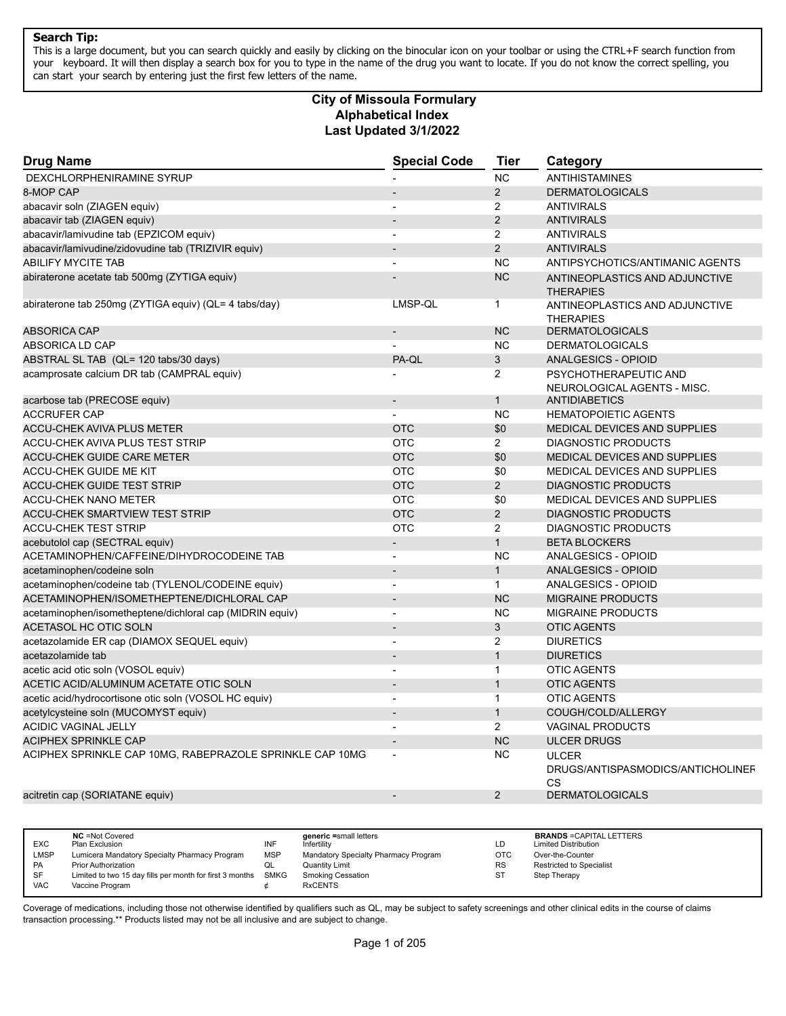This is a large document, but you can search quickly and easily by clicking on the binocular icon on your toolbar or using the CTRL+F search function from your keyboard. It will then display a search box for you to type in the name of the drug you want to locate. If you do not know the correct spelling, you can start your search by entering just the first few letters of the name.

#### **Alphabetical Index Last Updated 3/1/2022 City of Missoula Formulary**

| <b>NC</b><br><b>ANTIHISTAMINES</b><br>DEXCHLORPHENIRAMINE SYRUP<br>8-MOP CAP<br>$\overline{2}$<br><b>DERMATOLOGICALS</b><br>abacavir soln (ZIAGEN equiv)<br>$\overline{2}$<br><b>ANTIVIRALS</b><br>$\overline{\phantom{a}}$<br>2<br>abacavir tab (ZIAGEN equiv)<br><b>ANTIVIRALS</b><br>abacavir/lamivudine tab (EPZICOM equiv)<br>2<br><b>ANTIVIRALS</b><br>$\overline{a}$<br>2<br>abacavir/lamivudine/zidovudine tab (TRIZIVIR equiv)<br><b>ANTIVIRALS</b><br><b>ABILIFY MYCITE TAB</b><br><b>NC</b><br>ANTIPSYCHOTICS/ANTIMANIC AGENTS<br>$\overline{a}$<br>abiraterone acetate tab 500mg (ZYTIGA equiv)<br><b>NC</b><br>ANTINEOPLASTICS AND ADJUNCTIVE<br><b>THERAPIES</b><br>abiraterone tab 250mg (ZYTIGA equiv) (QL= 4 tabs/day)<br>LMSP-QL<br>$\mathbf{1}$<br>ANTINEOPLASTICS AND ADJUNCTIVE<br><b>THERAPIES</b><br><b>ABSORICA CAP</b><br><b>NC</b><br><b>DERMATOLOGICALS</b><br><b>NC</b><br>ABSORICA LD CAP<br><b>DERMATOLOGICALS</b><br>$\sqrt{3}$<br>ABSTRAL SL TAB (QL= 120 tabs/30 days)<br>PA-QL<br>ANALGESICS - OPIOID<br>2<br>acamprosate calcium DR tab (CAMPRAL equiv)<br>PSYCHOTHERAPEUTIC AND<br>NEUROLOGICAL AGENTS - MISC.<br>acarbose tab (PRECOSE equiv)<br>$\mathbf{1}$<br><b>ANTIDIABETICS</b><br>$\overline{a}$<br><b>NC</b><br><b>ACCRUFER CAP</b><br><b>HEMATOPOIETIC AGENTS</b><br><b>ACCU-CHEK AVIVA PLUS METER</b><br><b>OTC</b><br>\$0<br><b>MEDICAL DEVICES AND SUPPLIES</b><br>ACCU-CHEK AVIVA PLUS TEST STRIP<br><b>OTC</b><br>$\overline{2}$<br><b>DIAGNOSTIC PRODUCTS</b><br><b>OTC</b><br>\$0<br><b>ACCU-CHEK GUIDE CARE METER</b><br><b>MEDICAL DEVICES AND SUPPLIES</b><br><b>OTC</b><br>ACCU-CHEK GUIDE ME KIT<br>\$0<br>MEDICAL DEVICES AND SUPPLIES<br>2<br><b>ACCU-CHEK GUIDE TEST STRIP</b><br><b>OTC</b><br><b>DIAGNOSTIC PRODUCTS</b><br><b>OTC</b><br>\$0<br>MEDICAL DEVICES AND SUPPLIES<br><b>ACCU-CHEK NANO METER</b><br>$\overline{2}$<br><b>OTC</b><br><b>ACCU-CHEK SMARTVIEW TEST STRIP</b><br><b>DIAGNOSTIC PRODUCTS</b><br><b>ACCU-CHEK TEST STRIP</b><br><b>OTC</b><br>2<br><b>DIAGNOSTIC PRODUCTS</b><br>$\mathbf{1}$<br>acebutolol cap (SECTRAL equiv)<br><b>BETA BLOCKERS</b><br>$\blacksquare$<br>ACETAMINOPHEN/CAFFEINE/DIHYDROCODEINE TAB<br><b>NC</b><br>ANALGESICS - OPIOID<br>$\overline{a}$<br>$\mathbf{1}$<br><b>ANALGESICS - OPIOID</b><br>acetaminophen/codeine soln<br>$\mathbf{1}$<br>acetaminophen/codeine tab (TYLENOL/CODEINE equiv)<br>ANALGESICS - OPIOID<br>ACETAMINOPHEN/ISOMETHEPTENE/DICHLORAL CAP<br><b>NC</b><br><b>MIGRAINE PRODUCTS</b><br>$\overline{\phantom{a}}$<br><b>NC</b><br>acetaminophen/isometheptene/dichloral cap (MIDRIN equiv)<br><b>MIGRAINE PRODUCTS</b><br>÷,<br>3<br>ACETASOL HC OTIC SOLN<br><b>OTIC AGENTS</b><br>$\overline{a}$<br>2<br>acetazolamide ER cap (DIAMOX SEQUEL equiv)<br><b>DIURETICS</b><br>$\mathbf{1}$<br><b>DIURETICS</b><br>acetazolamide tab<br>$\overline{a}$<br>$\mathbf{1}$<br>acetic acid otic soln (VOSOL equiv)<br><b>OTIC AGENTS</b><br>÷,<br>$\mathbf{1}$<br>ACETIC ACID/ALUMINUM ACETATE OTIC SOLN<br><b>OTIC AGENTS</b><br>$\mathbf{1}$<br>acetic acid/hydrocortisone otic soln (VOSOL HC equiv)<br><b>OTIC AGENTS</b><br>acetylcysteine soln (MUCOMYST equiv)<br>$\mathbf{1}$<br>COUGH/COLD/ALLERGY<br>2<br><b>ACIDIC VAGINAL JELLY</b><br><b>VAGINAL PRODUCTS</b><br>$\blacksquare$<br><b>NC</b><br><b>ACIPHEX SPRINKLE CAP</b><br><b>ULCER DRUGS</b><br>$\overline{a}$<br><b>NC</b><br>ACIPHEX SPRINKLE CAP 10MG, RABEPRAZOLE SPRINKLE CAP 10MG<br><b>ULCER</b><br>DRUGS/ANTISPASMODICS/ANTICHOLINEF<br>CS<br>acitretin cap (SORIATANE equiv)<br>2<br><b>DERMATOLOGICALS</b> | <b>Drug Name</b> | <b>Special Code</b> | <b>Tier</b> | Category |
|---------------------------------------------------------------------------------------------------------------------------------------------------------------------------------------------------------------------------------------------------------------------------------------------------------------------------------------------------------------------------------------------------------------------------------------------------------------------------------------------------------------------------------------------------------------------------------------------------------------------------------------------------------------------------------------------------------------------------------------------------------------------------------------------------------------------------------------------------------------------------------------------------------------------------------------------------------------------------------------------------------------------------------------------------------------------------------------------------------------------------------------------------------------------------------------------------------------------------------------------------------------------------------------------------------------------------------------------------------------------------------------------------------------------------------------------------------------------------------------------------------------------------------------------------------------------------------------------------------------------------------------------------------------------------------------------------------------------------------------------------------------------------------------------------------------------------------------------------------------------------------------------------------------------------------------------------------------------------------------------------------------------------------------------------------------------------------------------------------------------------------------------------------------------------------------------------------------------------------------------------------------------------------------------------------------------------------------------------------------------------------------------------------------------------------------------------------------------------------------------------------------------------------------------------------------------------------------------------------------------------------------------------------------------------------------------------------------------------------------------------------------------------------------------------------------------------------------------------------------------------------------------------------------------------------------------------------------------------------------------------------------------------------------------------------------------------------------------------------------------------------------------------------------------------------------------------------------------------------------------------------------------------------------------------------------------------------------------------------------------------------------------------------------------------------------------------------------------------------------------------------------------------------------------------------------------------------------------------------------------------|------------------|---------------------|-------------|----------|
|                                                                                                                                                                                                                                                                                                                                                                                                                                                                                                                                                                                                                                                                                                                                                                                                                                                                                                                                                                                                                                                                                                                                                                                                                                                                                                                                                                                                                                                                                                                                                                                                                                                                                                                                                                                                                                                                                                                                                                                                                                                                                                                                                                                                                                                                                                                                                                                                                                                                                                                                                                                                                                                                                                                                                                                                                                                                                                                                                                                                                                                                                                                                                                                                                                                                                                                                                                                                                                                                                                                                                                                                                           |                  |                     |             |          |
|                                                                                                                                                                                                                                                                                                                                                                                                                                                                                                                                                                                                                                                                                                                                                                                                                                                                                                                                                                                                                                                                                                                                                                                                                                                                                                                                                                                                                                                                                                                                                                                                                                                                                                                                                                                                                                                                                                                                                                                                                                                                                                                                                                                                                                                                                                                                                                                                                                                                                                                                                                                                                                                                                                                                                                                                                                                                                                                                                                                                                                                                                                                                                                                                                                                                                                                                                                                                                                                                                                                                                                                                                           |                  |                     |             |          |
|                                                                                                                                                                                                                                                                                                                                                                                                                                                                                                                                                                                                                                                                                                                                                                                                                                                                                                                                                                                                                                                                                                                                                                                                                                                                                                                                                                                                                                                                                                                                                                                                                                                                                                                                                                                                                                                                                                                                                                                                                                                                                                                                                                                                                                                                                                                                                                                                                                                                                                                                                                                                                                                                                                                                                                                                                                                                                                                                                                                                                                                                                                                                                                                                                                                                                                                                                                                                                                                                                                                                                                                                                           |                  |                     |             |          |
|                                                                                                                                                                                                                                                                                                                                                                                                                                                                                                                                                                                                                                                                                                                                                                                                                                                                                                                                                                                                                                                                                                                                                                                                                                                                                                                                                                                                                                                                                                                                                                                                                                                                                                                                                                                                                                                                                                                                                                                                                                                                                                                                                                                                                                                                                                                                                                                                                                                                                                                                                                                                                                                                                                                                                                                                                                                                                                                                                                                                                                                                                                                                                                                                                                                                                                                                                                                                                                                                                                                                                                                                                           |                  |                     |             |          |
|                                                                                                                                                                                                                                                                                                                                                                                                                                                                                                                                                                                                                                                                                                                                                                                                                                                                                                                                                                                                                                                                                                                                                                                                                                                                                                                                                                                                                                                                                                                                                                                                                                                                                                                                                                                                                                                                                                                                                                                                                                                                                                                                                                                                                                                                                                                                                                                                                                                                                                                                                                                                                                                                                                                                                                                                                                                                                                                                                                                                                                                                                                                                                                                                                                                                                                                                                                                                                                                                                                                                                                                                                           |                  |                     |             |          |
|                                                                                                                                                                                                                                                                                                                                                                                                                                                                                                                                                                                                                                                                                                                                                                                                                                                                                                                                                                                                                                                                                                                                                                                                                                                                                                                                                                                                                                                                                                                                                                                                                                                                                                                                                                                                                                                                                                                                                                                                                                                                                                                                                                                                                                                                                                                                                                                                                                                                                                                                                                                                                                                                                                                                                                                                                                                                                                                                                                                                                                                                                                                                                                                                                                                                                                                                                                                                                                                                                                                                                                                                                           |                  |                     |             |          |
|                                                                                                                                                                                                                                                                                                                                                                                                                                                                                                                                                                                                                                                                                                                                                                                                                                                                                                                                                                                                                                                                                                                                                                                                                                                                                                                                                                                                                                                                                                                                                                                                                                                                                                                                                                                                                                                                                                                                                                                                                                                                                                                                                                                                                                                                                                                                                                                                                                                                                                                                                                                                                                                                                                                                                                                                                                                                                                                                                                                                                                                                                                                                                                                                                                                                                                                                                                                                                                                                                                                                                                                                                           |                  |                     |             |          |
|                                                                                                                                                                                                                                                                                                                                                                                                                                                                                                                                                                                                                                                                                                                                                                                                                                                                                                                                                                                                                                                                                                                                                                                                                                                                                                                                                                                                                                                                                                                                                                                                                                                                                                                                                                                                                                                                                                                                                                                                                                                                                                                                                                                                                                                                                                                                                                                                                                                                                                                                                                                                                                                                                                                                                                                                                                                                                                                                                                                                                                                                                                                                                                                                                                                                                                                                                                                                                                                                                                                                                                                                                           |                  |                     |             |          |
|                                                                                                                                                                                                                                                                                                                                                                                                                                                                                                                                                                                                                                                                                                                                                                                                                                                                                                                                                                                                                                                                                                                                                                                                                                                                                                                                                                                                                                                                                                                                                                                                                                                                                                                                                                                                                                                                                                                                                                                                                                                                                                                                                                                                                                                                                                                                                                                                                                                                                                                                                                                                                                                                                                                                                                                                                                                                                                                                                                                                                                                                                                                                                                                                                                                                                                                                                                                                                                                                                                                                                                                                                           |                  |                     |             |          |
|                                                                                                                                                                                                                                                                                                                                                                                                                                                                                                                                                                                                                                                                                                                                                                                                                                                                                                                                                                                                                                                                                                                                                                                                                                                                                                                                                                                                                                                                                                                                                                                                                                                                                                                                                                                                                                                                                                                                                                                                                                                                                                                                                                                                                                                                                                                                                                                                                                                                                                                                                                                                                                                                                                                                                                                                                                                                                                                                                                                                                                                                                                                                                                                                                                                                                                                                                                                                                                                                                                                                                                                                                           |                  |                     |             |          |
|                                                                                                                                                                                                                                                                                                                                                                                                                                                                                                                                                                                                                                                                                                                                                                                                                                                                                                                                                                                                                                                                                                                                                                                                                                                                                                                                                                                                                                                                                                                                                                                                                                                                                                                                                                                                                                                                                                                                                                                                                                                                                                                                                                                                                                                                                                                                                                                                                                                                                                                                                                                                                                                                                                                                                                                                                                                                                                                                                                                                                                                                                                                                                                                                                                                                                                                                                                                                                                                                                                                                                                                                                           |                  |                     |             |          |
|                                                                                                                                                                                                                                                                                                                                                                                                                                                                                                                                                                                                                                                                                                                                                                                                                                                                                                                                                                                                                                                                                                                                                                                                                                                                                                                                                                                                                                                                                                                                                                                                                                                                                                                                                                                                                                                                                                                                                                                                                                                                                                                                                                                                                                                                                                                                                                                                                                                                                                                                                                                                                                                                                                                                                                                                                                                                                                                                                                                                                                                                                                                                                                                                                                                                                                                                                                                                                                                                                                                                                                                                                           |                  |                     |             |          |
|                                                                                                                                                                                                                                                                                                                                                                                                                                                                                                                                                                                                                                                                                                                                                                                                                                                                                                                                                                                                                                                                                                                                                                                                                                                                                                                                                                                                                                                                                                                                                                                                                                                                                                                                                                                                                                                                                                                                                                                                                                                                                                                                                                                                                                                                                                                                                                                                                                                                                                                                                                                                                                                                                                                                                                                                                                                                                                                                                                                                                                                                                                                                                                                                                                                                                                                                                                                                                                                                                                                                                                                                                           |                  |                     |             |          |
|                                                                                                                                                                                                                                                                                                                                                                                                                                                                                                                                                                                                                                                                                                                                                                                                                                                                                                                                                                                                                                                                                                                                                                                                                                                                                                                                                                                                                                                                                                                                                                                                                                                                                                                                                                                                                                                                                                                                                                                                                                                                                                                                                                                                                                                                                                                                                                                                                                                                                                                                                                                                                                                                                                                                                                                                                                                                                                                                                                                                                                                                                                                                                                                                                                                                                                                                                                                                                                                                                                                                                                                                                           |                  |                     |             |          |
|                                                                                                                                                                                                                                                                                                                                                                                                                                                                                                                                                                                                                                                                                                                                                                                                                                                                                                                                                                                                                                                                                                                                                                                                                                                                                                                                                                                                                                                                                                                                                                                                                                                                                                                                                                                                                                                                                                                                                                                                                                                                                                                                                                                                                                                                                                                                                                                                                                                                                                                                                                                                                                                                                                                                                                                                                                                                                                                                                                                                                                                                                                                                                                                                                                                                                                                                                                                                                                                                                                                                                                                                                           |                  |                     |             |          |
|                                                                                                                                                                                                                                                                                                                                                                                                                                                                                                                                                                                                                                                                                                                                                                                                                                                                                                                                                                                                                                                                                                                                                                                                                                                                                                                                                                                                                                                                                                                                                                                                                                                                                                                                                                                                                                                                                                                                                                                                                                                                                                                                                                                                                                                                                                                                                                                                                                                                                                                                                                                                                                                                                                                                                                                                                                                                                                                                                                                                                                                                                                                                                                                                                                                                                                                                                                                                                                                                                                                                                                                                                           |                  |                     |             |          |
|                                                                                                                                                                                                                                                                                                                                                                                                                                                                                                                                                                                                                                                                                                                                                                                                                                                                                                                                                                                                                                                                                                                                                                                                                                                                                                                                                                                                                                                                                                                                                                                                                                                                                                                                                                                                                                                                                                                                                                                                                                                                                                                                                                                                                                                                                                                                                                                                                                                                                                                                                                                                                                                                                                                                                                                                                                                                                                                                                                                                                                                                                                                                                                                                                                                                                                                                                                                                                                                                                                                                                                                                                           |                  |                     |             |          |
|                                                                                                                                                                                                                                                                                                                                                                                                                                                                                                                                                                                                                                                                                                                                                                                                                                                                                                                                                                                                                                                                                                                                                                                                                                                                                                                                                                                                                                                                                                                                                                                                                                                                                                                                                                                                                                                                                                                                                                                                                                                                                                                                                                                                                                                                                                                                                                                                                                                                                                                                                                                                                                                                                                                                                                                                                                                                                                                                                                                                                                                                                                                                                                                                                                                                                                                                                                                                                                                                                                                                                                                                                           |                  |                     |             |          |
|                                                                                                                                                                                                                                                                                                                                                                                                                                                                                                                                                                                                                                                                                                                                                                                                                                                                                                                                                                                                                                                                                                                                                                                                                                                                                                                                                                                                                                                                                                                                                                                                                                                                                                                                                                                                                                                                                                                                                                                                                                                                                                                                                                                                                                                                                                                                                                                                                                                                                                                                                                                                                                                                                                                                                                                                                                                                                                                                                                                                                                                                                                                                                                                                                                                                                                                                                                                                                                                                                                                                                                                                                           |                  |                     |             |          |
|                                                                                                                                                                                                                                                                                                                                                                                                                                                                                                                                                                                                                                                                                                                                                                                                                                                                                                                                                                                                                                                                                                                                                                                                                                                                                                                                                                                                                                                                                                                                                                                                                                                                                                                                                                                                                                                                                                                                                                                                                                                                                                                                                                                                                                                                                                                                                                                                                                                                                                                                                                                                                                                                                                                                                                                                                                                                                                                                                                                                                                                                                                                                                                                                                                                                                                                                                                                                                                                                                                                                                                                                                           |                  |                     |             |          |
|                                                                                                                                                                                                                                                                                                                                                                                                                                                                                                                                                                                                                                                                                                                                                                                                                                                                                                                                                                                                                                                                                                                                                                                                                                                                                                                                                                                                                                                                                                                                                                                                                                                                                                                                                                                                                                                                                                                                                                                                                                                                                                                                                                                                                                                                                                                                                                                                                                                                                                                                                                                                                                                                                                                                                                                                                                                                                                                                                                                                                                                                                                                                                                                                                                                                                                                                                                                                                                                                                                                                                                                                                           |                  |                     |             |          |
|                                                                                                                                                                                                                                                                                                                                                                                                                                                                                                                                                                                                                                                                                                                                                                                                                                                                                                                                                                                                                                                                                                                                                                                                                                                                                                                                                                                                                                                                                                                                                                                                                                                                                                                                                                                                                                                                                                                                                                                                                                                                                                                                                                                                                                                                                                                                                                                                                                                                                                                                                                                                                                                                                                                                                                                                                                                                                                                                                                                                                                                                                                                                                                                                                                                                                                                                                                                                                                                                                                                                                                                                                           |                  |                     |             |          |
|                                                                                                                                                                                                                                                                                                                                                                                                                                                                                                                                                                                                                                                                                                                                                                                                                                                                                                                                                                                                                                                                                                                                                                                                                                                                                                                                                                                                                                                                                                                                                                                                                                                                                                                                                                                                                                                                                                                                                                                                                                                                                                                                                                                                                                                                                                                                                                                                                                                                                                                                                                                                                                                                                                                                                                                                                                                                                                                                                                                                                                                                                                                                                                                                                                                                                                                                                                                                                                                                                                                                                                                                                           |                  |                     |             |          |
|                                                                                                                                                                                                                                                                                                                                                                                                                                                                                                                                                                                                                                                                                                                                                                                                                                                                                                                                                                                                                                                                                                                                                                                                                                                                                                                                                                                                                                                                                                                                                                                                                                                                                                                                                                                                                                                                                                                                                                                                                                                                                                                                                                                                                                                                                                                                                                                                                                                                                                                                                                                                                                                                                                                                                                                                                                                                                                                                                                                                                                                                                                                                                                                                                                                                                                                                                                                                                                                                                                                                                                                                                           |                  |                     |             |          |
|                                                                                                                                                                                                                                                                                                                                                                                                                                                                                                                                                                                                                                                                                                                                                                                                                                                                                                                                                                                                                                                                                                                                                                                                                                                                                                                                                                                                                                                                                                                                                                                                                                                                                                                                                                                                                                                                                                                                                                                                                                                                                                                                                                                                                                                                                                                                                                                                                                                                                                                                                                                                                                                                                                                                                                                                                                                                                                                                                                                                                                                                                                                                                                                                                                                                                                                                                                                                                                                                                                                                                                                                                           |                  |                     |             |          |
|                                                                                                                                                                                                                                                                                                                                                                                                                                                                                                                                                                                                                                                                                                                                                                                                                                                                                                                                                                                                                                                                                                                                                                                                                                                                                                                                                                                                                                                                                                                                                                                                                                                                                                                                                                                                                                                                                                                                                                                                                                                                                                                                                                                                                                                                                                                                                                                                                                                                                                                                                                                                                                                                                                                                                                                                                                                                                                                                                                                                                                                                                                                                                                                                                                                                                                                                                                                                                                                                                                                                                                                                                           |                  |                     |             |          |
|                                                                                                                                                                                                                                                                                                                                                                                                                                                                                                                                                                                                                                                                                                                                                                                                                                                                                                                                                                                                                                                                                                                                                                                                                                                                                                                                                                                                                                                                                                                                                                                                                                                                                                                                                                                                                                                                                                                                                                                                                                                                                                                                                                                                                                                                                                                                                                                                                                                                                                                                                                                                                                                                                                                                                                                                                                                                                                                                                                                                                                                                                                                                                                                                                                                                                                                                                                                                                                                                                                                                                                                                                           |                  |                     |             |          |
|                                                                                                                                                                                                                                                                                                                                                                                                                                                                                                                                                                                                                                                                                                                                                                                                                                                                                                                                                                                                                                                                                                                                                                                                                                                                                                                                                                                                                                                                                                                                                                                                                                                                                                                                                                                                                                                                                                                                                                                                                                                                                                                                                                                                                                                                                                                                                                                                                                                                                                                                                                                                                                                                                                                                                                                                                                                                                                                                                                                                                                                                                                                                                                                                                                                                                                                                                                                                                                                                                                                                                                                                                           |                  |                     |             |          |
|                                                                                                                                                                                                                                                                                                                                                                                                                                                                                                                                                                                                                                                                                                                                                                                                                                                                                                                                                                                                                                                                                                                                                                                                                                                                                                                                                                                                                                                                                                                                                                                                                                                                                                                                                                                                                                                                                                                                                                                                                                                                                                                                                                                                                                                                                                                                                                                                                                                                                                                                                                                                                                                                                                                                                                                                                                                                                                                                                                                                                                                                                                                                                                                                                                                                                                                                                                                                                                                                                                                                                                                                                           |                  |                     |             |          |
|                                                                                                                                                                                                                                                                                                                                                                                                                                                                                                                                                                                                                                                                                                                                                                                                                                                                                                                                                                                                                                                                                                                                                                                                                                                                                                                                                                                                                                                                                                                                                                                                                                                                                                                                                                                                                                                                                                                                                                                                                                                                                                                                                                                                                                                                                                                                                                                                                                                                                                                                                                                                                                                                                                                                                                                                                                                                                                                                                                                                                                                                                                                                                                                                                                                                                                                                                                                                                                                                                                                                                                                                                           |                  |                     |             |          |
|                                                                                                                                                                                                                                                                                                                                                                                                                                                                                                                                                                                                                                                                                                                                                                                                                                                                                                                                                                                                                                                                                                                                                                                                                                                                                                                                                                                                                                                                                                                                                                                                                                                                                                                                                                                                                                                                                                                                                                                                                                                                                                                                                                                                                                                                                                                                                                                                                                                                                                                                                                                                                                                                                                                                                                                                                                                                                                                                                                                                                                                                                                                                                                                                                                                                                                                                                                                                                                                                                                                                                                                                                           |                  |                     |             |          |
|                                                                                                                                                                                                                                                                                                                                                                                                                                                                                                                                                                                                                                                                                                                                                                                                                                                                                                                                                                                                                                                                                                                                                                                                                                                                                                                                                                                                                                                                                                                                                                                                                                                                                                                                                                                                                                                                                                                                                                                                                                                                                                                                                                                                                                                                                                                                                                                                                                                                                                                                                                                                                                                                                                                                                                                                                                                                                                                                                                                                                                                                                                                                                                                                                                                                                                                                                                                                                                                                                                                                                                                                                           |                  |                     |             |          |
|                                                                                                                                                                                                                                                                                                                                                                                                                                                                                                                                                                                                                                                                                                                                                                                                                                                                                                                                                                                                                                                                                                                                                                                                                                                                                                                                                                                                                                                                                                                                                                                                                                                                                                                                                                                                                                                                                                                                                                                                                                                                                                                                                                                                                                                                                                                                                                                                                                                                                                                                                                                                                                                                                                                                                                                                                                                                                                                                                                                                                                                                                                                                                                                                                                                                                                                                                                                                                                                                                                                                                                                                                           |                  |                     |             |          |
|                                                                                                                                                                                                                                                                                                                                                                                                                                                                                                                                                                                                                                                                                                                                                                                                                                                                                                                                                                                                                                                                                                                                                                                                                                                                                                                                                                                                                                                                                                                                                                                                                                                                                                                                                                                                                                                                                                                                                                                                                                                                                                                                                                                                                                                                                                                                                                                                                                                                                                                                                                                                                                                                                                                                                                                                                                                                                                                                                                                                                                                                                                                                                                                                                                                                                                                                                                                                                                                                                                                                                                                                                           |                  |                     |             |          |
|                                                                                                                                                                                                                                                                                                                                                                                                                                                                                                                                                                                                                                                                                                                                                                                                                                                                                                                                                                                                                                                                                                                                                                                                                                                                                                                                                                                                                                                                                                                                                                                                                                                                                                                                                                                                                                                                                                                                                                                                                                                                                                                                                                                                                                                                                                                                                                                                                                                                                                                                                                                                                                                                                                                                                                                                                                                                                                                                                                                                                                                                                                                                                                                                                                                                                                                                                                                                                                                                                                                                                                                                                           |                  |                     |             |          |
|                                                                                                                                                                                                                                                                                                                                                                                                                                                                                                                                                                                                                                                                                                                                                                                                                                                                                                                                                                                                                                                                                                                                                                                                                                                                                                                                                                                                                                                                                                                                                                                                                                                                                                                                                                                                                                                                                                                                                                                                                                                                                                                                                                                                                                                                                                                                                                                                                                                                                                                                                                                                                                                                                                                                                                                                                                                                                                                                                                                                                                                                                                                                                                                                                                                                                                                                                                                                                                                                                                                                                                                                                           |                  |                     |             |          |
|                                                                                                                                                                                                                                                                                                                                                                                                                                                                                                                                                                                                                                                                                                                                                                                                                                                                                                                                                                                                                                                                                                                                                                                                                                                                                                                                                                                                                                                                                                                                                                                                                                                                                                                                                                                                                                                                                                                                                                                                                                                                                                                                                                                                                                                                                                                                                                                                                                                                                                                                                                                                                                                                                                                                                                                                                                                                                                                                                                                                                                                                                                                                                                                                                                                                                                                                                                                                                                                                                                                                                                                                                           |                  |                     |             |          |
|                                                                                                                                                                                                                                                                                                                                                                                                                                                                                                                                                                                                                                                                                                                                                                                                                                                                                                                                                                                                                                                                                                                                                                                                                                                                                                                                                                                                                                                                                                                                                                                                                                                                                                                                                                                                                                                                                                                                                                                                                                                                                                                                                                                                                                                                                                                                                                                                                                                                                                                                                                                                                                                                                                                                                                                                                                                                                                                                                                                                                                                                                                                                                                                                                                                                                                                                                                                                                                                                                                                                                                                                                           |                  |                     |             |          |
|                                                                                                                                                                                                                                                                                                                                                                                                                                                                                                                                                                                                                                                                                                                                                                                                                                                                                                                                                                                                                                                                                                                                                                                                                                                                                                                                                                                                                                                                                                                                                                                                                                                                                                                                                                                                                                                                                                                                                                                                                                                                                                                                                                                                                                                                                                                                                                                                                                                                                                                                                                                                                                                                                                                                                                                                                                                                                                                                                                                                                                                                                                                                                                                                                                                                                                                                                                                                                                                                                                                                                                                                                           |                  |                     |             |          |
|                                                                                                                                                                                                                                                                                                                                                                                                                                                                                                                                                                                                                                                                                                                                                                                                                                                                                                                                                                                                                                                                                                                                                                                                                                                                                                                                                                                                                                                                                                                                                                                                                                                                                                                                                                                                                                                                                                                                                                                                                                                                                                                                                                                                                                                                                                                                                                                                                                                                                                                                                                                                                                                                                                                                                                                                                                                                                                                                                                                                                                                                                                                                                                                                                                                                                                                                                                                                                                                                                                                                                                                                                           |                  |                     |             |          |

|            | <b>NC</b> = Not Covered                                       |            | generic =small letters               |            | <b>BRANDS = CAPITAL LETTERS</b> |
|------------|---------------------------------------------------------------|------------|--------------------------------------|------------|---------------------------------|
| <b>EXC</b> | Plan Exclusion                                                | INF        | nfertility                           | LD         | <b>Limited Distribution</b>     |
| LMSP       | Lumicera Mandatory Specialty Pharmacy Program                 | <b>MSP</b> | Mandatory Specialty Pharmacy Program | <b>OTC</b> | Over-the-Counter                |
| PA         | <b>Prior Authorization</b>                                    | ◡          | <b>Quantity Limit</b>                | <b>RS</b>  | <b>Restricted to Specialist</b> |
| <b>SF</b>  | Limited to two 15 day fills per month for first 3 months SMKG |            | Smoking Cessation                    | ST         | Step Therapy                    |
| VAC        | Vaccine Program                                               |            | <b>RxCENTS</b>                       |            |                                 |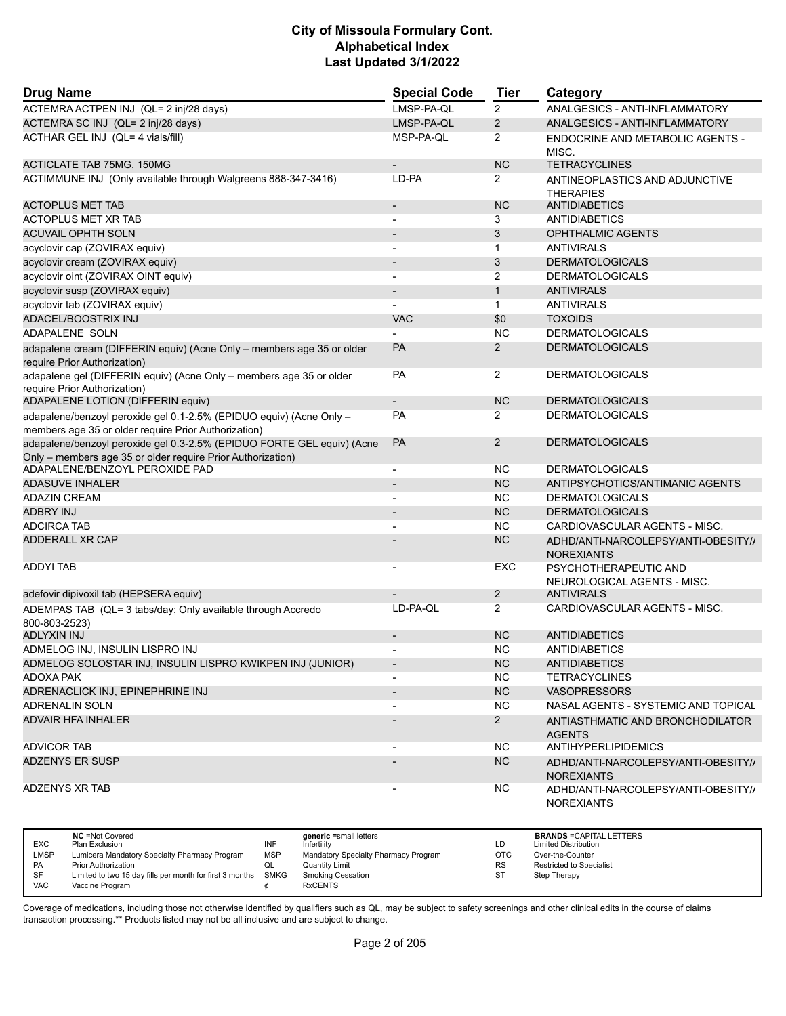| <b>Drug Name</b>                                                                                      | <b>Special Code</b>      | <b>Tier</b>    | Category                                                 |
|-------------------------------------------------------------------------------------------------------|--------------------------|----------------|----------------------------------------------------------|
| ACTEMRA ACTPEN INJ (QL= 2 inj/28 days)                                                                | LMSP-PA-QL               | $\overline{2}$ | ANALGESICS - ANTI-INFLAMMATORY                           |
| ACTEMRA SC INJ (QL= 2 inj/28 days)                                                                    | LMSP-PA-QL               | $\overline{2}$ | ANALGESICS - ANTI-INFLAMMATORY                           |
| ACTHAR GEL INJ (QL= 4 vials/fill)                                                                     | MSP-PA-QL                | 2              | ENDOCRINE AND METABOLIC AGENTS -                         |
|                                                                                                       |                          |                | MISC.                                                    |
| <b>ACTICLATE TAB 75MG, 150MG</b>                                                                      |                          | <b>NC</b>      | <b>TETRACYCLINES</b>                                     |
| ACTIMMUNE INJ (Only available through Walgreens 888-347-3416)                                         | LD-PA                    | 2              | ANTINEOPLASTICS AND ADJUNCTIVE<br><b>THERAPIES</b>       |
| <b>ACTOPLUS MET TAB</b>                                                                               | $\overline{\phantom{a}}$ | <b>NC</b>      | <b>ANTIDIABETICS</b>                                     |
| <b>ACTOPLUS MET XR TAB</b>                                                                            |                          | 3              | <b>ANTIDIABETICS</b>                                     |
| <b>ACUVAIL OPHTH SOLN</b>                                                                             |                          | 3              | <b>OPHTHALMIC AGENTS</b>                                 |
| acyclovir cap (ZOVIRAX equiv)                                                                         | $\blacksquare$           | 1              | <b>ANTIVIRALS</b>                                        |
| acyclovir cream (ZOVIRAX equiv)                                                                       |                          | 3              | <b>DERMATOLOGICALS</b>                                   |
| acyclovir oint (ZOVIRAX OINT equiv)                                                                   |                          | 2              | <b>DERMATOLOGICALS</b>                                   |
| acyclovir susp (ZOVIRAX equiv)                                                                        | $\blacksquare$           | $\mathbf{1}$   | <b>ANTIVIRALS</b>                                        |
| acyclovir tab (ZOVIRAX equiv)                                                                         |                          | $\mathbf{1}$   | <b>ANTIVIRALS</b>                                        |
| ADACEL/BOOSTRIX INJ                                                                                   | <b>VAC</b>               | \$0            | <b>TOXOIDS</b>                                           |
| ADAPALENE SOLN                                                                                        |                          | <b>NC</b>      | <b>DERMATOLOGICALS</b>                                   |
| adapalene cream (DIFFERIN equiv) (Acne Only - members age 35 or older<br>require Prior Authorization) | <b>PA</b>                | $\overline{2}$ | <b>DERMATOLOGICALS</b>                                   |
| adapalene gel (DIFFERIN equiv) (Acne Only - members age 35 or older<br>require Prior Authorization)   | PA                       | $\overline{2}$ | <b>DERMATOLOGICALS</b>                                   |
| ADAPALENE LOTION (DIFFERIN equiv)                                                                     | $\overline{\phantom{a}}$ | <b>NC</b>      | <b>DERMATOLOGICALS</b>                                   |
| adapalene/benzoyl peroxide gel 0.1-2.5% (EPIDUO equiv) (Acne Only -                                   | <b>PA</b>                | 2              | <b>DERMATOLOGICALS</b>                                   |
| members age 35 or older require Prior Authorization)                                                  |                          |                |                                                          |
| adapalene/benzoyl peroxide gel 0.3-2.5% (EPIDUO FORTE GEL equiv) (Acne                                | PA                       | $\overline{2}$ | <b>DERMATOLOGICALS</b>                                   |
| Only - members age 35 or older require Prior Authorization)<br>ADAPALENE/BENZOYL PEROXIDE PAD         | $\overline{\phantom{a}}$ | <b>NC</b>      | <b>DERMATOLOGICALS</b>                                   |
| <b>ADASUVE INHALER</b>                                                                                | $\blacksquare$           | NC             | ANTIPSYCHOTICS/ANTIMANIC AGENTS                          |
| <b>ADAZIN CREAM</b>                                                                                   |                          | <b>NC</b>      | <b>DERMATOLOGICALS</b>                                   |
| <b>ADBRY INJ</b>                                                                                      |                          | <b>NC</b>      | <b>DERMATOLOGICALS</b>                                   |
| <b>ADCIRCA TAB</b>                                                                                    |                          | <b>NC</b>      | CARDIOVASCULAR AGENTS - MISC.                            |
|                                                                                                       |                          |                |                                                          |
| <b>ADDERALL XR CAP</b>                                                                                |                          | <b>NC</b>      | ADHD/ANTI-NARCOLEPSY/ANTI-OBESITY//<br><b>NOREXIANTS</b> |
| ADDYI TAB                                                                                             |                          | EXC            | PSYCHOTHERAPEUTIC AND<br>NEUROLOGICAL AGENTS - MISC.     |
| adefovir dipivoxil tab (HEPSERA equiv)                                                                |                          | $\overline{2}$ | <b>ANTIVIRALS</b>                                        |
| ADEMPAS TAB (QL= 3 tabs/day; Only available through Accredo<br>800-803-2523)                          | LD-PA-QL                 | 2              | CARDIOVASCULAR AGENTS - MISC.                            |
| ADLYXIN INJ                                                                                           |                          | <b>NC</b>      | <b>ANTIDIABETICS</b>                                     |
| ADMELOG INJ, INSULIN LISPRO INJ                                                                       |                          | NC.            | <b>ANTIDIABETICS</b>                                     |
| ADMELOG SOLOSTAR INJ, INSULIN LISPRO KWIKPEN INJ (JUNIOR)                                             | $\overline{\phantom{a}}$ | <b>NC</b>      | <b>ANTIDIABETICS</b>                                     |
| ADOXA PAK                                                                                             |                          | <b>NC</b>      | <b>TETRACYCLINES</b>                                     |
| ADRENACLICK INJ, EPINEPHRINE INJ                                                                      | $\overline{\phantom{a}}$ | <b>NC</b>      | <b>VASOPRESSORS</b>                                      |
| <b>ADRENALIN SOLN</b>                                                                                 |                          | NC.            | NASAL AGENTS - SYSTEMIC AND TOPICAL                      |
| <b>ADVAIR HFA INHALER</b>                                                                             |                          | $2^{\circ}$    | ANTIASTHMATIC AND BRONCHODILATOR<br><b>AGENTS</b>        |
| <b>ADVICOR TAB</b>                                                                                    |                          | <b>NC</b>      | ANTIHYPERLIPIDEMICS                                      |
| ADZENYS ER SUSP                                                                                       |                          | <b>NC</b>      | ADHD/ANTI-NARCOLEPSY/ANTI-OBESITY//<br><b>NOREXIANTS</b> |
| ADZENYS XR TAB                                                                                        |                          | NC.            | ADHD/ANTI-NARCOLEPSY/ANTI-OBESITY//<br><b>NOREXIANTS</b> |

|            | <b>NC</b> = Not Covered                                  |             | generic =small letters               |           | <b>BRANDS = CAPITAL LETTERS</b> |
|------------|----------------------------------------------------------|-------------|--------------------------------------|-----------|---------------------------------|
| <b>EXC</b> | Plan Exclusion                                           | INF         | Infertility                          | LD        | <b>Limited Distribution</b>     |
| LMSP       | Lumicera Mandatory Specialty Pharmacy Program            | <b>MSP</b>  | Mandatory Specialty Pharmacy Program | OTC       | Over-the-Counter                |
| <b>PA</b>  | <b>Prior Authorization</b>                               |             | <b>Quantity Limit</b>                | <b>RS</b> | <b>Restricted to Specialist</b> |
| SF         | Limited to two 15 day fills per month for first 3 months | <b>SMKG</b> | Smoking Cessation                    | -ST       | Step Therapy                    |
| <b>VAC</b> | Vaccine Program                                          |             | <b>RxCENTS</b>                       |           |                                 |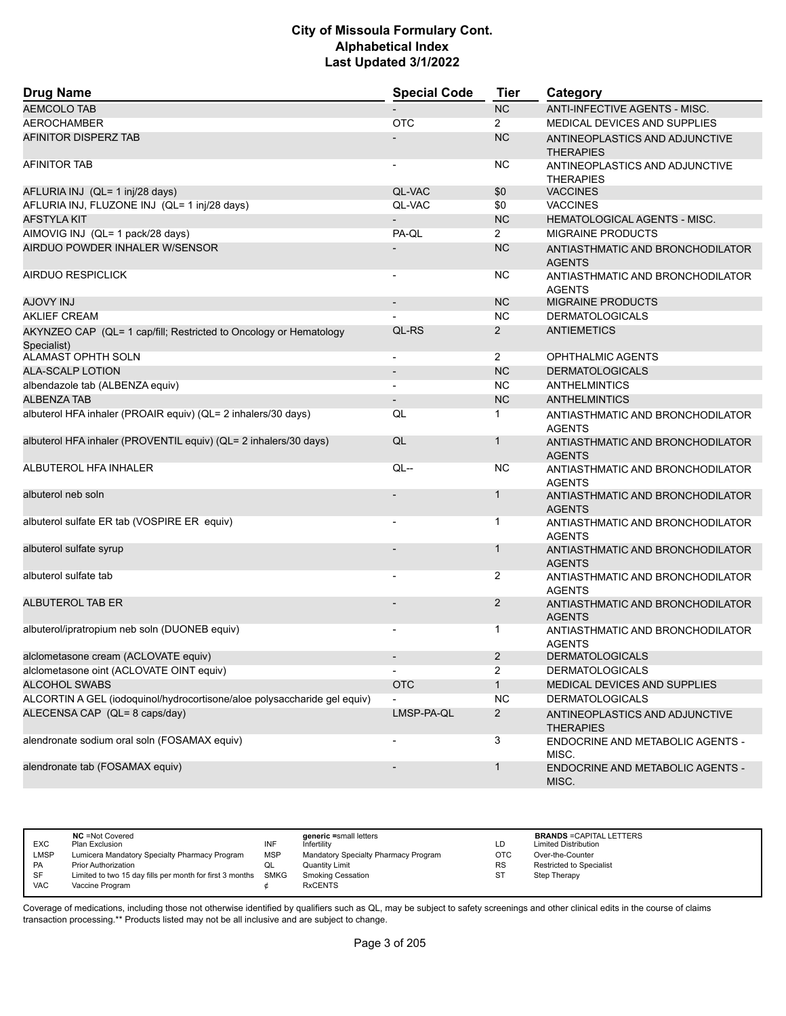| <b>Drug Name</b>                                                                 | <b>Special Code</b>      | <b>Tier</b>    | Category                                           |
|----------------------------------------------------------------------------------|--------------------------|----------------|----------------------------------------------------|
| <b>AEMCOLO TAB</b>                                                               |                          | <b>NC</b>      | ANTI-INFECTIVE AGENTS - MISC.                      |
| <b>AEROCHAMBER</b>                                                               | <b>OTC</b>               | $\overline{2}$ | MEDICAL DEVICES AND SUPPLIES                       |
| AFINITOR DISPERZ TAB                                                             |                          | <b>NC</b>      | ANTINEOPLASTICS AND ADJUNCTIVE<br><b>THERAPIES</b> |
| <b>AFINITOR TAB</b>                                                              |                          | NC.            | ANTINEOPLASTICS AND ADJUNCTIVE<br><b>THERAPIES</b> |
| AFLURIA INJ (QL= 1 inj/28 days)                                                  | QL-VAC                   | \$0            | <b>VACCINES</b>                                    |
| AFLURIA INJ, FLUZONE INJ (QL= 1 inj/28 days)                                     | QL-VAC                   | \$0            | <b>VACCINES</b>                                    |
| <b>AFSTYLA KIT</b>                                                               |                          | <b>NC</b>      | <b>HEMATOLOGICAL AGENTS - MISC.</b>                |
| AIMOVIG INJ (QL= 1 pack/28 days)                                                 | PA-QL                    | $\overline{2}$ | <b>MIGRAINE PRODUCTS</b>                           |
| AIRDUO POWDER INHALER W/SENSOR                                                   |                          | <b>NC</b>      | ANTIASTHMATIC AND BRONCHODILATOR<br><b>AGENTS</b>  |
| <b>AIRDUO RESPICLICK</b>                                                         |                          | <b>NC</b>      | ANTIASTHMATIC AND BRONCHODILATOR<br><b>AGENTS</b>  |
| LUI YVOLA                                                                        | $\overline{\phantom{a}}$ | <b>NC</b>      | <b>MIGRAINE PRODUCTS</b>                           |
| <b>AKLIEF CREAM</b>                                                              |                          | <b>NC</b>      | <b>DERMATOLOGICALS</b>                             |
| AKYNZEO CAP (QL= 1 cap/fill; Restricted to Oncology or Hematology<br>Specialist) | QL-RS                    | $\overline{2}$ | <b>ANTIEMETICS</b>                                 |
| ALAMAST OPHTH SOLN                                                               | $\blacksquare$           | $\overline{2}$ | OPHTHALMIC AGENTS                                  |
| <b>ALA-SCALP LOTION</b>                                                          |                          | <b>NC</b>      | <b>DERMATOLOGICALS</b>                             |
| albendazole tab (ALBENZA equiv)                                                  |                          | <b>NC</b>      | <b>ANTHELMINTICS</b>                               |
| <b>ALBENZA TAB</b>                                                               | $\blacksquare$           | <b>NC</b>      | <b>ANTHELMINTICS</b>                               |
| albuterol HFA inhaler (PROAIR equiv) (QL= 2 inhalers/30 days)                    | QL                       | 1.             | ANTIASTHMATIC AND BRONCHODILATOR<br><b>AGENTS</b>  |
| albuterol HFA inhaler (PROVENTIL equiv) (QL= 2 inhalers/30 days)                 | QL                       | 1              | ANTIASTHMATIC AND BRONCHODILATOR<br><b>AGENTS</b>  |
| ALBUTEROL HFA INHALER                                                            | $QL -$                   | <b>NC</b>      | ANTIASTHMATIC AND BRONCHODILATOR<br><b>AGENTS</b>  |
| albuterol neb soln                                                               |                          | 1              | ANTIASTHMATIC AND BRONCHODILATOR<br><b>AGENTS</b>  |
| albuterol sulfate ER tab (VOSPIRE ER equiv)                                      |                          | 1              | ANTIASTHMATIC AND BRONCHODILATOR<br><b>AGENTS</b>  |
| albuterol sulfate syrup                                                          |                          | 1              | ANTIASTHMATIC AND BRONCHODILATOR<br><b>AGENTS</b>  |
| albuterol sulfate tab                                                            |                          | 2              | ANTIASTHMATIC AND BRONCHODILATOR<br><b>AGENTS</b>  |
| ALBUTEROL TAB ER                                                                 |                          | $\overline{2}$ | ANTIASTHMATIC AND BRONCHODILATOR<br><b>AGENTS</b>  |
| albuterol/ipratropium neb soln (DUONEB equiv)                                    |                          | 1              | ANTIASTHMATIC AND BRONCHODILATOR<br><b>AGENTS</b>  |
| alclometasone cream (ACLOVATE equiv)                                             |                          | 2              | <b>DERMATOLOGICALS</b>                             |
| alclometasone oint (ACLOVATE OINT equiv)                                         | $\overline{\phantom{a}}$ | $\overline{2}$ | <b>DERMATOLOGICALS</b>                             |
| <b>ALCOHOL SWABS</b>                                                             | <b>OTC</b>               | $\mathbf{1}$   | MEDICAL DEVICES AND SUPPLIES                       |
| ALCORTIN A GEL (iodoquinol/hydrocortisone/aloe polysaccharide gel equiv)         |                          | <b>NC</b>      | <b>DERMATOLOGICALS</b>                             |
| ALECENSA CAP (QL= 8 caps/day)                                                    | LMSP-PA-QL               | $\overline{2}$ | ANTINEOPLASTICS AND ADJUNCTIVE<br><b>THERAPIES</b> |
| alendronate sodium oral soln (FOSAMAX equiv)                                     |                          | 3              | <b>ENDOCRINE AND METABOLIC AGENTS -</b><br>MISC.   |
| alendronate tab (FOSAMAX equiv)                                                  |                          | $\mathbf{1}$   | ENDOCRINE AND METABOLIC AGENTS -<br>MISC.          |

| <b>EXC</b> | <b>NC</b> = Not Covered<br>Plan Exclusion                     | INF | generic =small letters<br>Infertility | LD         | <b>BRANDS = CAPITAL LETTERS</b><br><b>Limited Distribution</b> |
|------------|---------------------------------------------------------------|-----|---------------------------------------|------------|----------------------------------------------------------------|
| LMSP       | Lumicera Mandatory Specialty Pharmacy Program                 | MSP | Mandatory Specialty Pharmacy Program  | <b>OTC</b> | Over-the-Counter                                               |
| <b>PA</b>  | <b>Prior Authorization</b>                                    |     | Quantity Limit                        | <b>RS</b>  | <b>Restricted to Specialist</b>                                |
| SF         | Limited to two 15 day fills per month for first 3 months SMKG |     | <b>Smoking Cessation</b>              |            | Step Therapy                                                   |
| <b>VAC</b> | Vaccine Program                                               |     | <b>RxCENTS</b>                        |            |                                                                |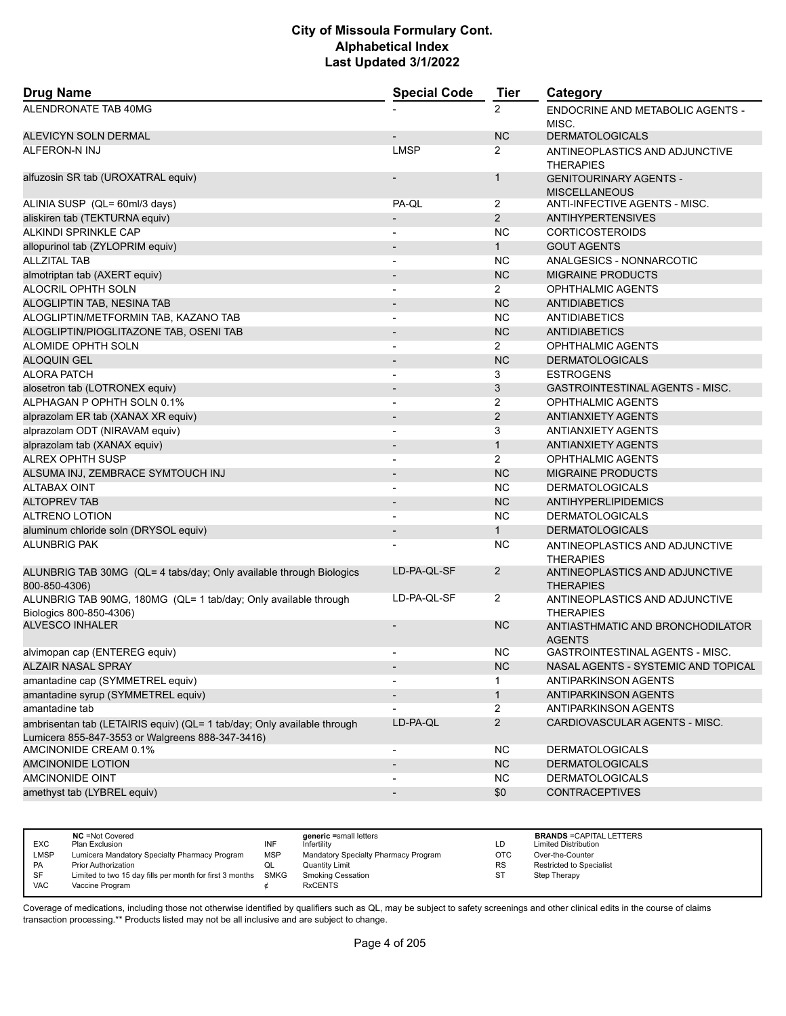| <b>Drug Name</b>                                                                                                            | <b>Special Code</b>          | <b>Tier</b>    | Category                                              |
|-----------------------------------------------------------------------------------------------------------------------------|------------------------------|----------------|-------------------------------------------------------|
| ALENDRONATE TAB 40MG                                                                                                        |                              | $\overline{2}$ | <b>ENDOCRINE AND METABOLIC AGENTS -</b><br>MISC.      |
| ALEVICYN SOLN DERMAL                                                                                                        |                              | NC             | <b>DERMATOLOGICALS</b>                                |
| <b>ALFERON-N INJ</b>                                                                                                        | <b>LMSP</b>                  | $\overline{2}$ | ANTINEOPLASTICS AND ADJUNCTIVE<br><b>THERAPIES</b>    |
| alfuzosin SR tab (UROXATRAL equiv)                                                                                          |                              | $\mathbf{1}$   | <b>GENITOURINARY AGENTS -</b><br><b>MISCELLANEOUS</b> |
| ALINIA SUSP (QL= 60ml/3 days)                                                                                               | PA-QL                        | 2              | ANTI-INFECTIVE AGENTS - MISC.                         |
| aliskiren tab (TEKTURNA equiv)                                                                                              |                              | $\overline{2}$ | <b>ANTIHYPERTENSIVES</b>                              |
| ALKINDI SPRINKLE CAP                                                                                                        | $\overline{a}$               | <b>NC</b>      | <b>CORTICOSTEROIDS</b>                                |
| allopurinol tab (ZYLOPRIM equiv)                                                                                            | $\qquad \qquad \blacksquare$ | $\mathbf{1}$   | <b>GOUT AGENTS</b>                                    |
| <b>ALLZITAL TAB</b>                                                                                                         | $\overline{\phantom{0}}$     | <b>NC</b>      | ANALGESICS - NONNARCOTIC                              |
| almotriptan tab (AXERT equiv)                                                                                               | $\overline{a}$               | NC             | <b>MIGRAINE PRODUCTS</b>                              |
| ALOCRIL OPHTH SOLN                                                                                                          | $\overline{\phantom{a}}$     | $\overline{2}$ | <b>OPHTHALMIC AGENTS</b>                              |
| ALOGLIPTIN TAB, NESINA TAB                                                                                                  |                              | <b>NC</b>      | <b>ANTIDIABETICS</b>                                  |
| ALOGLIPTIN/METFORMIN TAB, KAZANO TAB                                                                                        |                              | <b>NC</b>      | ANTIDIABETICS                                         |
| ALOGLIPTIN/PIOGLITAZONE TAB, OSENI TAB                                                                                      | $\overline{\phantom{m}}$     | <b>NC</b>      | <b>ANTIDIABETICS</b>                                  |
| ALOMIDE OPHTH SOLN                                                                                                          | $\overline{\phantom{a}}$     | $\overline{2}$ | OPHTHALMIC AGENTS                                     |
| <b>ALOQUIN GEL</b>                                                                                                          | $\overline{\phantom{m}}$     | <b>NC</b>      | <b>DERMATOLOGICALS</b>                                |
| <b>ALORA PATCH</b>                                                                                                          | $\blacksquare$               | 3              | <b>ESTROGENS</b>                                      |
| alosetron tab (LOTRONEX equiv)                                                                                              | $\overline{\phantom{a}}$     | 3              | <b>GASTROINTESTINAL AGENTS - MISC.</b>                |
| ALPHAGAN P OPHTH SOLN 0.1%                                                                                                  |                              | 2              | <b>OPHTHALMIC AGENTS</b>                              |
| alprazolam ER tab (XANAX XR equiv)                                                                                          | $\overline{\phantom{a}}$     | $\overline{2}$ | <b>ANTIANXIETY AGENTS</b>                             |
| alprazolam ODT (NIRAVAM equiv)                                                                                              | $\overline{\phantom{a}}$     | 3              | <b>ANTIANXIETY AGENTS</b>                             |
| alprazolam tab (XANAX equiv)                                                                                                |                              | $\mathbf{1}$   | <b>ANTIANXIETY AGENTS</b>                             |
| <b>ALREX OPHTH SUSP</b>                                                                                                     | $\blacksquare$               | $\overline{2}$ | <b>OPHTHALMIC AGENTS</b>                              |
| ALSUMA INJ, ZEMBRACE SYMTOUCH INJ                                                                                           |                              | <b>NC</b>      | <b>MIGRAINE PRODUCTS</b>                              |
| <b>ALTABAX OINT</b>                                                                                                         |                              | NC             | <b>DERMATOLOGICALS</b>                                |
| <b>ALTOPREV TAB</b>                                                                                                         | $\overline{\phantom{a}}$     | NC             | <b>ANTIHYPERLIPIDEMICS</b>                            |
| <b>ALTRENO LOTION</b>                                                                                                       | $\overline{\phantom{a}}$     | <b>NC</b>      | <b>DERMATOLOGICALS</b>                                |
| aluminum chloride soln (DRYSOL equiv)                                                                                       | $\overline{\phantom{a}}$     | $\mathbf{1}$   | <b>DERMATOLOGICALS</b>                                |
| <b>ALUNBRIG PAK</b>                                                                                                         | $\overline{\phantom{a}}$     | <b>NC</b>      | ANTINEOPLASTICS AND ADJUNCTIVE<br><b>THERAPIES</b>    |
| ALUNBRIG TAB 30MG (QL= 4 tabs/day; Only available through Biologics<br>800-850-4306)                                        | LD-PA-QL-SF                  | $\overline{2}$ | ANTINEOPLASTICS AND ADJUNCTIVE<br><b>THERAPIES</b>    |
| ALUNBRIG TAB 90MG, 180MG (QL= 1 tab/day; Only available through<br>Biologics 800-850-4306)                                  | LD-PA-QL-SF                  | $\overline{2}$ | ANTINEOPLASTICS AND ADJUNCTIVE<br><b>THERAPIES</b>    |
| <b>ALVESCO INHALER</b>                                                                                                      |                              | <b>NC</b>      | ANTIASTHMATIC AND BRONCHODILATOR<br><b>AGENTS</b>     |
| alvimopan cap (ENTEREG equiv)                                                                                               | $\overline{\phantom{a}}$     | <b>NC</b>      | GASTROINTESTINAL AGENTS - MISC.                       |
| <b>ALZAIR NASAL SPRAY</b>                                                                                                   | $\overline{\phantom{a}}$     | NC             | NASAL AGENTS - SYSTEMIC AND TOPICAL                   |
| amantadine cap (SYMMETREL equiv)                                                                                            |                              | 1              | ANTIPARKINSON AGENTS                                  |
| amantadine syrup (SYMMETREL equiv)                                                                                          |                              | $\mathbf{1}$   | <b>ANTIPARKINSON AGENTS</b>                           |
| amantadine tab                                                                                                              |                              | $\overline{2}$ | ANTIPARKINSON AGENTS                                  |
| ambrisentan tab (LETAIRIS equiv) (QL= 1 tab/day; Only available through<br>Lumicera 855-847-3553 or Walgreens 888-347-3416) | LD-PA-QL                     | $\overline{2}$ | CARDIOVASCULAR AGENTS - MISC.                         |
| AMCINONIDE CREAM 0.1%                                                                                                       |                              | <b>NC</b>      | <b>DERMATOLOGICALS</b>                                |
| AMCINONIDE LOTION                                                                                                           | $\overline{\phantom{m}}$     | NC             | <b>DERMATOLOGICALS</b>                                |
| AMCINONIDE OINT                                                                                                             | $\overline{\phantom{a}}$     | <b>NC</b>      | <b>DERMATOLOGICALS</b>                                |
| amethyst tab (LYBREL equiv)                                                                                                 | $\overline{\phantom{a}}$     | \$0            | <b>CONTRACEPTIVES</b>                                 |

|             | <b>NC</b> = Not Covered                                       |            | generic =small letters               |            | <b>BRANDS = CAPITAL LETTERS</b> |
|-------------|---------------------------------------------------------------|------------|--------------------------------------|------------|---------------------------------|
| <b>EXC</b>  | Plan Exclusion                                                | INF        | Infertility                          | LD         | <b>Limited Distribution</b>     |
| <b>LMSP</b> | Lumicera Mandatory Specialty Pharmacy Program                 | <b>MSP</b> | Mandatory Specialty Pharmacy Program | <b>OTC</b> | Over-the-Counter                |
| PA          | <b>Prior Authorization</b>                                    | w∟         | Quantity Limit                       | <b>RS</b>  | <b>Restricted to Specialist</b> |
| SF          | Limited to two 15 day fills per month for first 3 months SMKG |            | <b>Smoking Cessation</b>             | ST         | Step Therapy                    |
| VAC         | Vaccine Program                                               |            | <b>RxCENTS</b>                       |            |                                 |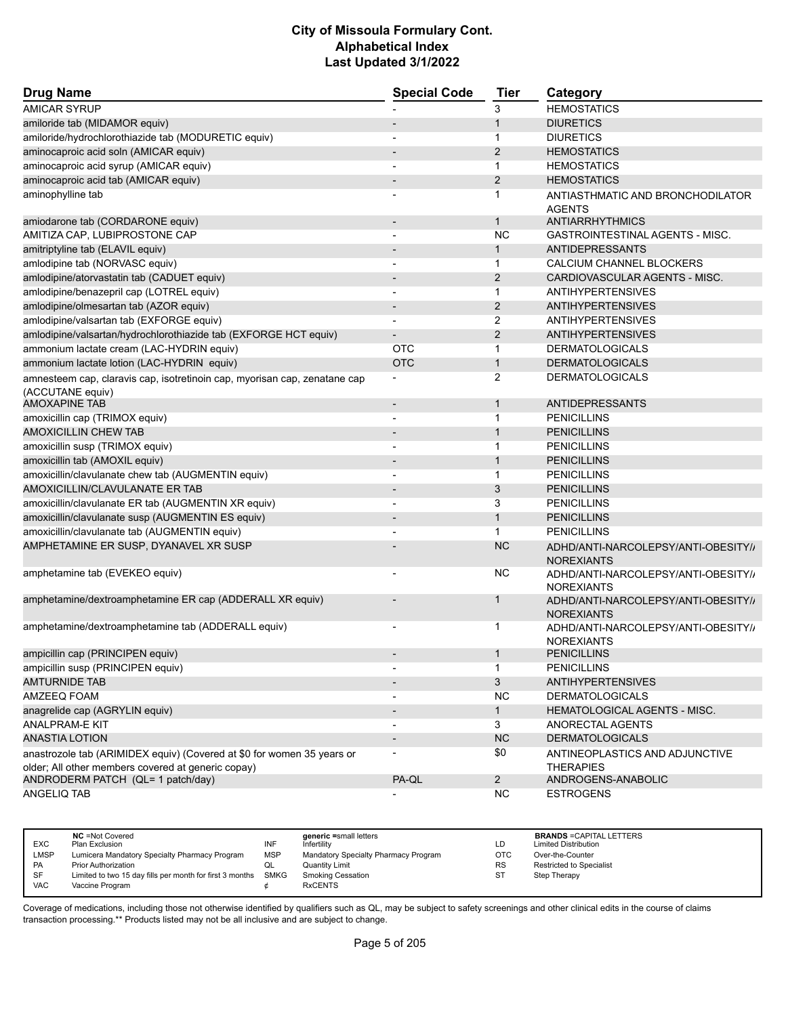| <b>Drug Name</b>                                                          | <b>Special Code</b>      | <b>Tier</b>    | Category                               |
|---------------------------------------------------------------------------|--------------------------|----------------|----------------------------------------|
| <b>AMICAR SYRUP</b>                                                       |                          | 3              | <b>HEMOSTATICS</b>                     |
| amiloride tab (MIDAMOR equiv)                                             |                          | $\mathbf{1}$   | <b>DIURETICS</b>                       |
| amiloride/hydrochlorothiazide tab (MODURETIC equiv)                       |                          | 1              | <b>DIURETICS</b>                       |
| aminocaproic acid soln (AMICAR equiv)                                     | $\overline{\phantom{a}}$ | $\overline{2}$ | <b>HEMOSTATICS</b>                     |
| aminocaproic acid syrup (AMICAR equiv)                                    |                          | $\mathbf{1}$   | <b>HEMOSTATICS</b>                     |
| aminocaproic acid tab (AMICAR equiv)                                      |                          | 2              | <b>HEMOSTATICS</b>                     |
| aminophylline tab                                                         |                          | 1              | ANTIASTHMATIC AND BRONCHODILATOR       |
|                                                                           |                          |                | <b>AGENTS</b>                          |
| amiodarone tab (CORDARONE equiv)                                          | $\overline{\phantom{a}}$ | $\mathbf{1}$   | ANTIARRHYTHMICS                        |
| AMITIZA CAP, LUBIPROSTONE CAP                                             |                          | <b>NC</b>      | <b>GASTROINTESTINAL AGENTS - MISC.</b> |
| amitriptyline tab (ELAVIL equiv)                                          |                          | $\mathbf{1}$   | <b>ANTIDEPRESSANTS</b>                 |
| amlodipine tab (NORVASC equiv)                                            |                          | $\mathbf{1}$   | CALCIUM CHANNEL BLOCKERS               |
| amlodipine/atorvastatin tab (CADUET equiv)                                |                          | $\overline{2}$ | CARDIOVASCULAR AGENTS - MISC.          |
| amlodipine/benazepril cap (LOTREL equiv)                                  | $\overline{\phantom{a}}$ | $\mathbf 1$    | <b>ANTIHYPERTENSIVES</b>               |
| amlodipine/olmesartan tab (AZOR equiv)                                    | $\blacksquare$           | $\overline{2}$ | <b>ANTIHYPERTENSIVES</b>               |
| amlodipine/valsartan tab (EXFORGE equiv)                                  |                          | 2              | <b>ANTIHYPERTENSIVES</b>               |
| amlodipine/valsartan/hydrochlorothiazide tab (EXFORGE HCT equiv)          |                          | $\overline{2}$ | <b>ANTIHYPERTENSIVES</b>               |
| ammonium lactate cream (LAC-HYDRIN equiv)                                 | <b>OTC</b>               | $\mathbf{1}$   | <b>DERMATOLOGICALS</b>                 |
| ammonium lactate lotion (LAC-HYDRIN equiv)                                | <b>OTC</b>               | $\mathbf{1}$   | <b>DERMATOLOGICALS</b>                 |
| amnesteem cap, claravis cap, isotretinoin cap, myorisan cap, zenatane cap | $\overline{a}$           | 2              | <b>DERMATOLOGICALS</b>                 |
| (ACCUTANE equiv)                                                          |                          |                |                                        |
| <b>AMOXAPINE TAB</b>                                                      | $\overline{\phantom{a}}$ | $\mathbf{1}$   | <b>ANTIDEPRESSANTS</b>                 |
| amoxicillin cap (TRIMOX equiv)                                            |                          | $\mathbf{1}$   | <b>PENICILLINS</b>                     |
| <b>AMOXICILLIN CHEW TAB</b>                                               | $\blacksquare$           | $\mathbf{1}$   | <b>PENICILLINS</b>                     |
| amoxicillin susp (TRIMOX equiv)                                           |                          | 1              | <b>PENICILLINS</b>                     |
| amoxicillin tab (AMOXIL equiv)                                            |                          | $\mathbf{1}$   | <b>PENICILLINS</b>                     |
| amoxicillin/clavulanate chew tab (AUGMENTIN equiv)                        | $\overline{\phantom{a}}$ | 1              | <b>PENICILLINS</b>                     |
| AMOXICILLIN/CLAVULANATE ER TAB                                            |                          | 3              | <b>PENICILLINS</b>                     |
| amoxicillin/clavulanate ER tab (AUGMENTIN XR equiv)                       |                          | 3              | <b>PENICILLINS</b>                     |
| amoxicillin/clavulanate susp (AUGMENTIN ES equiv)                         | $\overline{\phantom{a}}$ | $\mathbf{1}$   | <b>PENICILLINS</b>                     |
| amoxicillin/clavulanate tab (AUGMENTIN equiv)                             |                          | $\mathbf{1}$   | <b>PENICILLINS</b>                     |
| AMPHETAMINE ER SUSP, DYANAVEL XR SUSP                                     |                          | <b>NC</b>      | ADHD/ANTI-NARCOLEPSY/ANTI-OBESITY//    |
|                                                                           |                          |                | <b>NOREXIANTS</b>                      |
| amphetamine tab (EVEKEO equiv)                                            |                          | <b>NC</b>      | ADHD/ANTI-NARCOLEPSY/ANTI-OBESITY//    |
|                                                                           |                          |                | <b>NOREXIANTS</b>                      |
| amphetamine/dextroamphetamine ER cap (ADDERALL XR equiv)                  |                          | 1              | ADHD/ANTI-NARCOLEPSY/ANTI-OBESITY//    |
|                                                                           |                          |                | <b>NOREXIANTS</b>                      |
| amphetamine/dextroamphetamine tab (ADDERALL equiv)                        |                          | 1              | ADHD/ANTI-NARCOLEPSY/ANTI-OBESITY//    |
|                                                                           |                          |                | <b>NOREXIANTS</b>                      |
| ampicillin cap (PRINCIPEN equiv)                                          |                          | 1              | <b>PENICILLINS</b>                     |
| ampicillin susp (PRINCIPEN equiv)                                         |                          | $\mathbf{1}$   | <b>PENICILLINS</b>                     |
| <b>AMTURNIDE TAB</b>                                                      |                          | 3              | <b>ANTIHYPERTENSIVES</b>               |
| <b>AMZEEQ FOAM</b>                                                        |                          | <b>NC</b>      | <b>DERMATOLOGICALS</b>                 |
| anagrelide cap (AGRYLIN equiv)                                            |                          | $\mathbf{1}$   | HEMATOLOGICAL AGENTS - MISC.           |
| <b>ANALPRAM-E KIT</b>                                                     | $\blacksquare$           | 3              | ANORECTAL AGENTS                       |
| <b>ANASTIA LOTION</b>                                                     | $\overline{\phantom{a}}$ | NC             | <b>DERMATOLOGICALS</b>                 |
| anastrozole tab (ARIMIDEX equiv) (Covered at \$0 for women 35 years or    |                          | \$0            | ANTINEOPLASTICS AND ADJUNCTIVE         |
| older; All other members covered at generic copay)                        |                          |                | <b>THERAPIES</b>                       |
| ANDRODERM PATCH (QL= 1 patch/day)                                         | PA-QL                    | $2^{\circ}$    | ANDROGENS-ANABOLIC                     |
| ANGELIQ TAB                                                               |                          | <b>NC</b>      | <b>ESTROGENS</b>                       |

| <b>EXC</b> | <b>NC</b> = Not Covered<br>Plan Exclusion                | INF        | generic =small letters<br>Infertilitv | LD        | <b>BRANDS = CAPITAL LETTERS</b><br><b>Limited Distribution</b> |
|------------|----------------------------------------------------------|------------|---------------------------------------|-----------|----------------------------------------------------------------|
| LMSP       | Lumicera Mandatory Specialty Pharmacy Program            | <b>MSP</b> | Mandatory Specialty Pharmacy Program  | OTC       | Over-the-Counter                                               |
| <b>PA</b>  | <b>Prior Authorization</b>                               | QL         | Quantity Limit                        | <b>RS</b> | <b>Restricted to Specialist</b>                                |
| SF         | Limited to two 15 day fills per month for first 3 months | SMKG       | Smoking Cessation                     | ST        | Step Therapy                                                   |
| <b>VAC</b> | Vaccine Program                                          |            | <b>RxCENTS</b>                        |           |                                                                |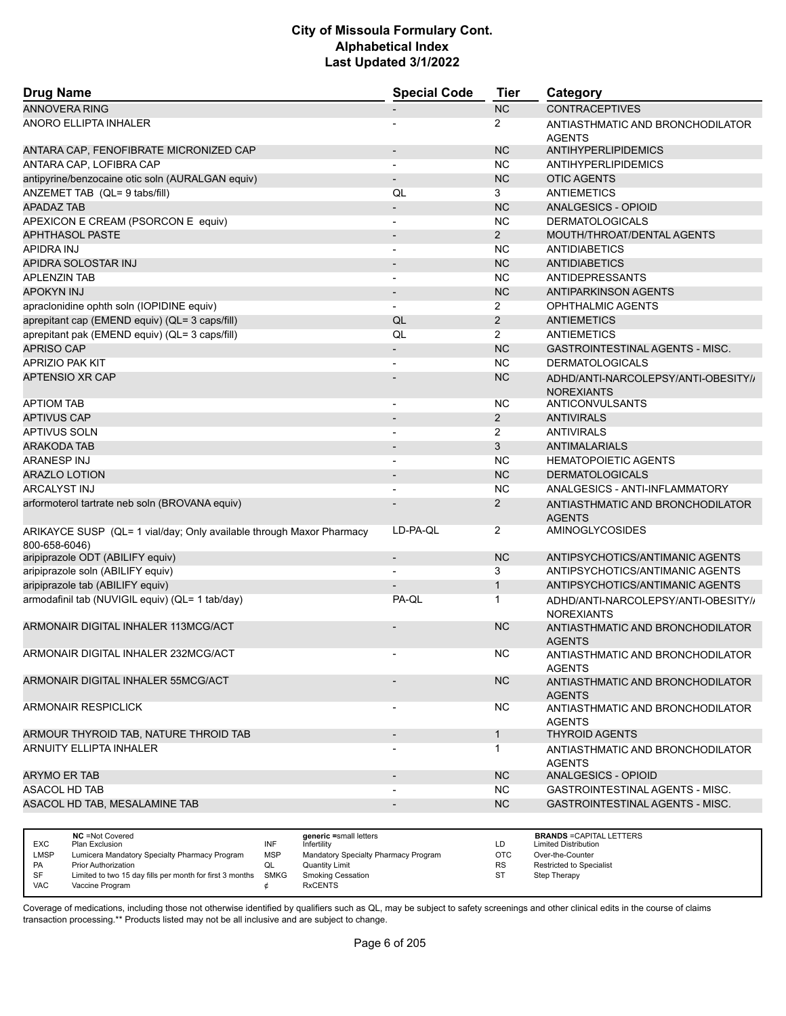| <b>Drug Name</b>                                                                      | <b>Special Code</b>      | <b>Tier</b>    | Category                                                 |
|---------------------------------------------------------------------------------------|--------------------------|----------------|----------------------------------------------------------|
| <b>ANNOVERA RING</b>                                                                  |                          | <b>NC</b>      | <b>CONTRACEPTIVES</b>                                    |
| ANORO ELLIPTA INHALER                                                                 |                          | $\overline{2}$ | ANTIASTHMATIC AND BRONCHODILATOR                         |
|                                                                                       |                          |                | <b>AGENTS</b>                                            |
| ANTARA CAP, FENOFIBRATE MICRONIZED CAP                                                | $\overline{\phantom{a}}$ | <b>NC</b>      | ANTIHYPERLIPIDEMICS                                      |
| ANTARA CAP, LOFIBRA CAP                                                               | $\overline{\phantom{a}}$ | NC             | <b>ANTIHYPERLIPIDEMICS</b>                               |
| antipyrine/benzocaine otic soln (AURALGAN equiv)                                      | $\overline{a}$           | <b>NC</b>      | <b>OTIC AGENTS</b>                                       |
| ANZEMET TAB (QL= 9 tabs/fill)                                                         | QL                       | 3              | ANTIEMETICS                                              |
| APADAZ TAB                                                                            | $\overline{a}$           | <b>NC</b>      | ANALGESICS - OPIOID                                      |
| APEXICON E CREAM (PSORCON E equiv)                                                    | $\overline{\phantom{a}}$ | <b>NC</b>      | <b>DERMATOLOGICALS</b>                                   |
| <b>APHTHASOL PASTE</b>                                                                | $\overline{\phantom{a}}$ | $\overline{2}$ | MOUTH/THROAT/DENTAL AGENTS                               |
| APIDRA INJ                                                                            | $\overline{\phantom{a}}$ | NC             | <b>ANTIDIABETICS</b>                                     |
| APIDRA SOLOSTAR INJ                                                                   | $\overline{\phantom{0}}$ | <b>NC</b>      | <b>ANTIDIABETICS</b>                                     |
| <b>APLENZIN TAB</b>                                                                   | $\overline{\phantom{a}}$ | <b>NC</b>      | ANTIDEPRESSANTS                                          |
| <b>APOKYN INJ</b>                                                                     | $\overline{\phantom{a}}$ | <b>NC</b>      | <b>ANTIPARKINSON AGENTS</b>                              |
| apraclonidine ophth soln (IOPIDINE equiv)                                             |                          | $\overline{2}$ | OPHTHALMIC AGENTS                                        |
| aprepitant cap (EMEND equiv) (QL= 3 caps/fill)                                        | QL                       | $\overline{2}$ | <b>ANTIEMETICS</b>                                       |
| aprepitant pak (EMEND equiv) (QL= 3 caps/fill)                                        | QL                       | $\overline{2}$ | <b>ANTIEMETICS</b>                                       |
| <b>APRISO CAP</b>                                                                     | $\overline{\phantom{0}}$ | <b>NC</b>      | GASTROINTESTINAL AGENTS - MISC.                          |
| <b>APRIZIO PAK KIT</b>                                                                | $\overline{\phantom{a}}$ | <b>NC</b>      | <b>DERMATOLOGICALS</b>                                   |
| APTENSIO XR CAP                                                                       |                          | <b>NC</b>      |                                                          |
|                                                                                       |                          |                | ADHD/ANTI-NARCOLEPSY/ANTI-OBESITY//<br><b>NOREXIANTS</b> |
| <b>APTIOM TAB</b>                                                                     | $\blacksquare$           | NC             | ANTICONVULSANTS                                          |
| <b>APTIVUS CAP</b>                                                                    |                          | $\overline{2}$ | <b>ANTIVIRALS</b>                                        |
| APTIVUS SOLN                                                                          | $\blacksquare$           | 2              | <b>ANTIVIRALS</b>                                        |
| ARAKODA TAB                                                                           | $\blacksquare$           | 3              | <b>ANTIMALARIALS</b>                                     |
| ARANESP INJ                                                                           |                          | <b>NC</b>      | <b>HEMATOPOIETIC AGENTS</b>                              |
| <b>ARAZLO LOTION</b>                                                                  | $\overline{\phantom{a}}$ | <b>NC</b>      | <b>DERMATOLOGICALS</b>                                   |
| <b>ARCALYST INJ</b>                                                                   | $\overline{a}$           | <b>NC</b>      | ANALGESICS - ANTI-INFLAMMATORY                           |
| arformoterol tartrate neb soln (BROVANA equiv)                                        |                          | $\overline{2}$ | ANTIASTHMATIC AND BRONCHODILATOR<br><b>AGENTS</b>        |
| ARIKAYCE SUSP (QL= 1 vial/day; Only available through Maxor Pharmacy<br>800-658-6046) | LD-PA-QL                 | $\overline{2}$ | AMINOGLYCOSIDES                                          |
| aripiprazole ODT (ABILIFY equiv)                                                      | $\overline{\phantom{a}}$ | <b>NC</b>      | ANTIPSYCHOTICS/ANTIMANIC AGENTS                          |
| aripiprazole soln (ABILIFY equiv)                                                     |                          | 3              | ANTIPSYCHOTICS/ANTIMANIC AGENTS                          |
| aripiprazole tab (ABILIFY equiv)                                                      |                          | $\mathbf{1}$   | ANTIPSYCHOTICS/ANTIMANIC AGENTS                          |
| armodafinil tab (NUVIGIL equiv) (QL= 1 tab/day)                                       | PA-QL                    | 1              | ADHD/ANTI-NARCOLEPSY/ANTI-OBESITY//<br><b>NOREXIANTS</b> |
| ARMONAIR DIGITAL INHALER 113MCG/ACT                                                   |                          | <b>NC</b>      | ANTIASTHMATIC AND BRONCHODILATOR                         |
| ARMONAIR DIGITAL INHALER 232MCG/ACT                                                   | $\overline{\phantom{a}}$ | NC             | <b>AGENTS</b><br>ANTIASTHMATIC AND BRONCHODILATOR        |
|                                                                                       |                          |                | <b>AGENTS</b>                                            |
| ARMONAIR DIGITAL INHALER 55MCG/ACT                                                    |                          | <b>NC</b>      | ANTIASTHMATIC AND BRONCHODILATOR<br><b>AGENTS</b>        |
| <b>ARMONAIR RESPICLICK</b>                                                            |                          | <b>NC</b>      | ANTIASTHMATIC AND BRONCHODILATOR<br><b>AGENTS</b>        |
| ARMOUR THYROID TAB, NATURE THROID TAB                                                 | $\overline{\phantom{a}}$ | $\mathbf{1}$   | <b>THYROID AGENTS</b>                                    |
| ARNUITY ELLIPTA INHALER                                                               |                          | 1              | ANTIASTHMATIC AND BRONCHODILATOR<br><b>AGENTS</b>        |
| <b>ARYMO ER TAB</b>                                                                   | $\overline{\phantom{a}}$ | <b>NC</b>      | ANALGESICS - OPIOID                                      |
| ASACOL HD TAB                                                                         | -                        | <b>NC</b>      | <b>GASTROINTESTINAL AGENTS - MISC.</b>                   |
| ASACOL HD TAB, MESALAMINE TAB                                                         | -                        | <b>NC</b>      | GASTROINTESTINAL AGENTS - MISC.                          |
|                                                                                       |                          |                |                                                          |

|             | <b>NC</b> = Not Covered                                       |     | generic =small letters               |           | <b>BRANDS = CAPITAL LETTERS</b> |
|-------------|---------------------------------------------------------------|-----|--------------------------------------|-----------|---------------------------------|
| <b>EXC</b>  | Plan Exclusion                                                | INF | Infertility                          | LD        | <b>Limited Distribution</b>     |
| <b>LMSP</b> | Lumicera Mandatory Specialty Pharmacy Program                 | MSP | Mandatory Specialty Pharmacy Program | OTC       | Over-the-Counter                |
| PA          | <b>Prior Authorization</b>                                    |     | Quantity Limit                       | <b>RS</b> | <b>Restricted to Specialist</b> |
| SF          | Limited to two 15 day fills per month for first 3 months SMKG |     | <b>Smoking Cessation</b>             |           | Step Therapy                    |
| <b>VAC</b>  | Vaccine Program                                               |     | <b>RxCENTS</b>                       |           |                                 |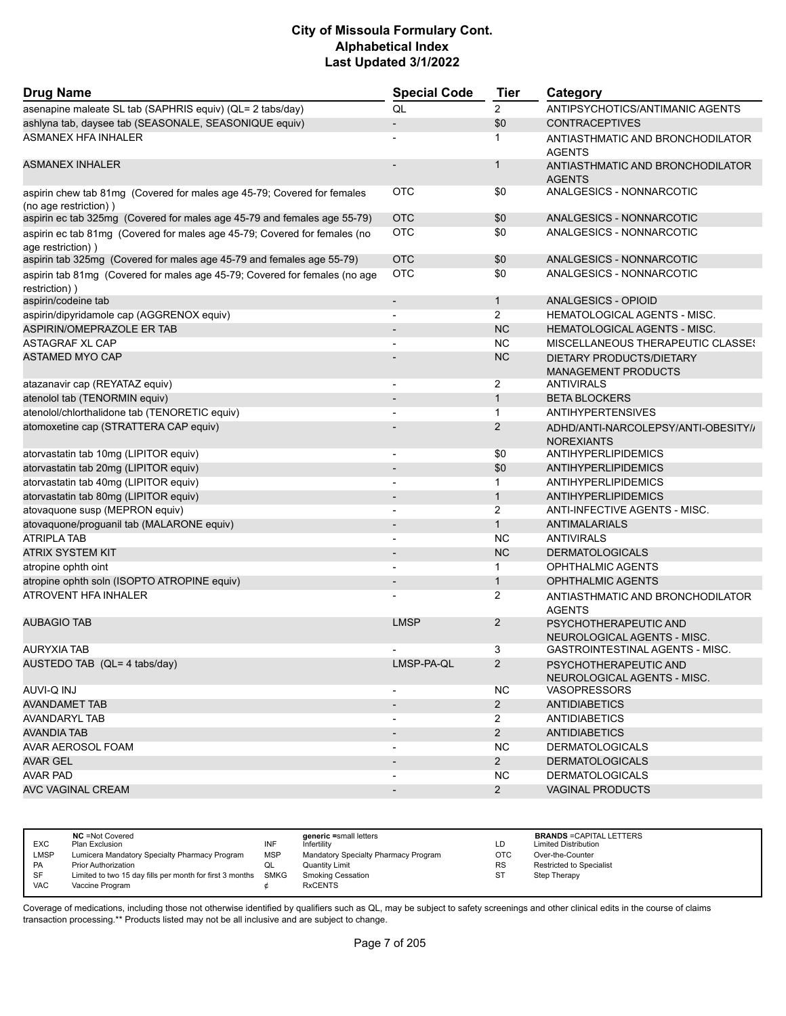| <b>Drug Name</b>                                                                                 | <b>Special Code</b>          | <b>Tier</b>    | Category                                                 |
|--------------------------------------------------------------------------------------------------|------------------------------|----------------|----------------------------------------------------------|
| asenapine maleate SL tab (SAPHRIS equiv) (QL= 2 tabs/day)                                        | QL                           | $\overline{2}$ | ANTIPSYCHOTICS/ANTIMANIC AGENTS                          |
| ashlyna tab, daysee tab (SEASONALE, SEASONIQUE equiv)                                            | $\overline{a}$               | \$0            | <b>CONTRACEPTIVES</b>                                    |
| <b>ASMANEX HFA INHALER</b>                                                                       |                              | 1              | ANTIASTHMATIC AND BRONCHODILATOR<br><b>AGENTS</b>        |
| <b>ASMANEX INHALER</b>                                                                           | $\overline{\phantom{a}}$     | $\mathbf{1}$   | ANTIASTHMATIC AND BRONCHODILATOR<br><b>AGENTS</b>        |
| aspirin chew tab 81mg (Covered for males age 45-79; Covered for females<br>(no age restriction)) | OTC                          | \$0            | ANALGESICS - NONNARCOTIC                                 |
| aspirin ec tab 325mg (Covered for males age 45-79 and females age 55-79)                         | <b>OTC</b>                   | \$0            | ANALGESICS - NONNARCOTIC                                 |
| aspirin ec tab 81mg (Covered for males age 45-79; Covered for females (no<br>age restriction))   | OTC                          | \$0            | ANALGESICS - NONNARCOTIC                                 |
| aspirin tab 325mg (Covered for males age 45-79 and females age 55-79)                            | <b>OTC</b>                   | \$0            | ANALGESICS - NONNARCOTIC                                 |
| aspirin tab 81mg (Covered for males age 45-79; Covered for females (no age<br>restriction))      | <b>OTC</b>                   | \$0            | ANALGESICS - NONNARCOTIC                                 |
| aspirin/codeine tab                                                                              | $\overline{\phantom{a}}$     | $\mathbf{1}$   | <b>ANALGESICS - OPIOID</b>                               |
| aspirin/dipyridamole cap (AGGRENOX equiv)                                                        | $\overline{a}$               | $\overline{2}$ | <b>HEMATOLOGICAL AGENTS - MISC.</b>                      |
| ASPIRIN/OMEPRAZOLE ER TAB                                                                        |                              | <b>NC</b>      | <b>HEMATOLOGICAL AGENTS - MISC.</b>                      |
| <b>ASTAGRAF XL CAP</b>                                                                           | $\overline{a}$               | <b>NC</b>      | MISCELLANEOUS THERAPEUTIC CLASSES                        |
| <b>ASTAMED MYO CAP</b>                                                                           |                              | <b>NC</b>      | DIETARY PRODUCTS/DIETARY<br><b>MANAGEMENT PRODUCTS</b>   |
| atazanavir cap (REYATAZ equiv)                                                                   | $\overline{\phantom{a}}$     | 2              | <b>ANTIVIRALS</b>                                        |
| atenolol tab (TENORMIN equiv)                                                                    |                              | $\mathbf{1}$   | <b>BETA BLOCKERS</b>                                     |
| atenolol/chlorthalidone tab (TENORETIC equiv)                                                    | $\overline{a}$               | $\mathbf{1}$   | ANTIHYPERTENSIVES                                        |
| atomoxetine cap (STRATTERA CAP equiv)                                                            |                              | $\overline{2}$ | ADHD/ANTI-NARCOLEPSY/ANTI-OBESITY//<br><b>NOREXIANTS</b> |
| atorvastatin tab 10mg (LIPITOR equiv)                                                            | $\qquad \qquad \blacksquare$ | \$0            | ANTIHYPERLIPIDEMICS                                      |
| atorvastatin tab 20mg (LIPITOR equiv)                                                            |                              | \$0            | ANTIHYPERLIPIDEMICS                                      |
| atorvastatin tab 40mg (LIPITOR equiv)                                                            | $\overline{a}$               | $\mathbf{1}$   | ANTIHYPERLIPIDEMICS                                      |
| atorvastatin tab 80mg (LIPITOR equiv)                                                            |                              | $\mathbf{1}$   | ANTIHYPERLIPIDEMICS                                      |
| atovaquone susp (MEPRON equiv)                                                                   |                              | 2              | ANTI-INFECTIVE AGENTS - MISC.                            |
| atovaquone/proguanil tab (MALARONE equiv)                                                        | $\overline{\phantom{a}}$     | $\mathbf{1}$   | <b>ANTIMALARIALS</b>                                     |
| <b>ATRIPLA TAB</b>                                                                               | $\overline{\phantom{0}}$     | NC             | <b>ANTIVIRALS</b>                                        |
| <b>ATRIX SYSTEM KIT</b>                                                                          |                              | <b>NC</b>      | <b>DERMATOLOGICALS</b>                                   |
| atropine ophth oint                                                                              |                              | 1              | OPHTHALMIC AGENTS                                        |
| atropine ophth soln (ISOPTO ATROPINE equiv)                                                      | $\qquad \qquad \blacksquare$ | $\mathbf{1}$   | <b>OPHTHALMIC AGENTS</b>                                 |
| <b>ATROVENT HFA INHALER</b>                                                                      |                              | 2              | ANTIASTHMATIC AND BRONCHODILATOR<br><b>AGENTS</b>        |
| <b>AUBAGIO TAB</b>                                                                               | <b>LMSP</b>                  | $\overline{2}$ | PSYCHOTHERAPEUTIC AND<br>NEUROLOGICAL AGENTS - MISC.     |
| <b>AURYXIA TAB</b>                                                                               |                              | 3              | <b>GASTROINTESTINAL AGENTS - MISC.</b>                   |
| AUSTEDO TAB (QL= 4 tabs/day)                                                                     | LMSP-PA-QL                   | $\overline{2}$ | PSYCHOTHERAPEUTIC AND<br>NEUROLOGICAL AGENTS - MISC.     |
| <b>AUVI-Q INJ</b>                                                                                |                              | NC.            | <b>VASOPRESSORS</b>                                      |
| <b>AVANDAMET TAB</b>                                                                             | $\overline{\phantom{a}}$     | $2^{\circ}$    | <b>ANTIDIABETICS</b>                                     |
| AVANDARYL TAB                                                                                    |                              | $\overline{2}$ | <b>ANTIDIABETICS</b>                                     |
| AVANDIA TAB                                                                                      | $\qquad \qquad \blacksquare$ | $2^{\circ}$    | <b>ANTIDIABETICS</b>                                     |
| AVAR AEROSOL FOAM                                                                                | $\overline{\phantom{a}}$     | NC.            | <b>DERMATOLOGICALS</b>                                   |
| AVAR GEL                                                                                         | $\overline{\phantom{a}}$     | $2^{\circ}$    | <b>DERMATOLOGICALS</b>                                   |
| <b>AVAR PAD</b>                                                                                  | $\overline{\phantom{a}}$     | <b>NC</b>      | <b>DERMATOLOGICALS</b>                                   |
| <b>AVC VAGINAL CREAM</b>                                                                         | $\overline{\phantom{a}}$     | $2^{\circ}$    | <b>VAGINAL PRODUCTS</b>                                  |

| <b>EXC</b>  | <b>NC</b> = Not Covered<br>Plan Exclusion                     | INF        | generic =small letters<br>Infertilitv | LD        | <b>BRANDS = CAPITAL LETTERS</b><br><b>Limited Distribution</b> |
|-------------|---------------------------------------------------------------|------------|---------------------------------------|-----------|----------------------------------------------------------------|
| <b>LMSP</b> | Lumicera Mandatory Specialty Pharmacy Program                 | <b>MSP</b> | Mandatory Specialty Pharmacy Program  | OTC       | Over-the-Counter                                               |
| <b>PA</b>   | <b>Prior Authorization</b>                                    | ◡          | Quantity Limit                        | <b>RS</b> | <b>Restricted to Specialist</b>                                |
| SF          | Limited to two 15 day fills per month for first 3 months SMKG |            | <b>Smoking Cessation</b>              | ST        | Step Therapy                                                   |
| VAC         | Vaccine Program                                               |            | <b>RxCENTS</b>                        |           |                                                                |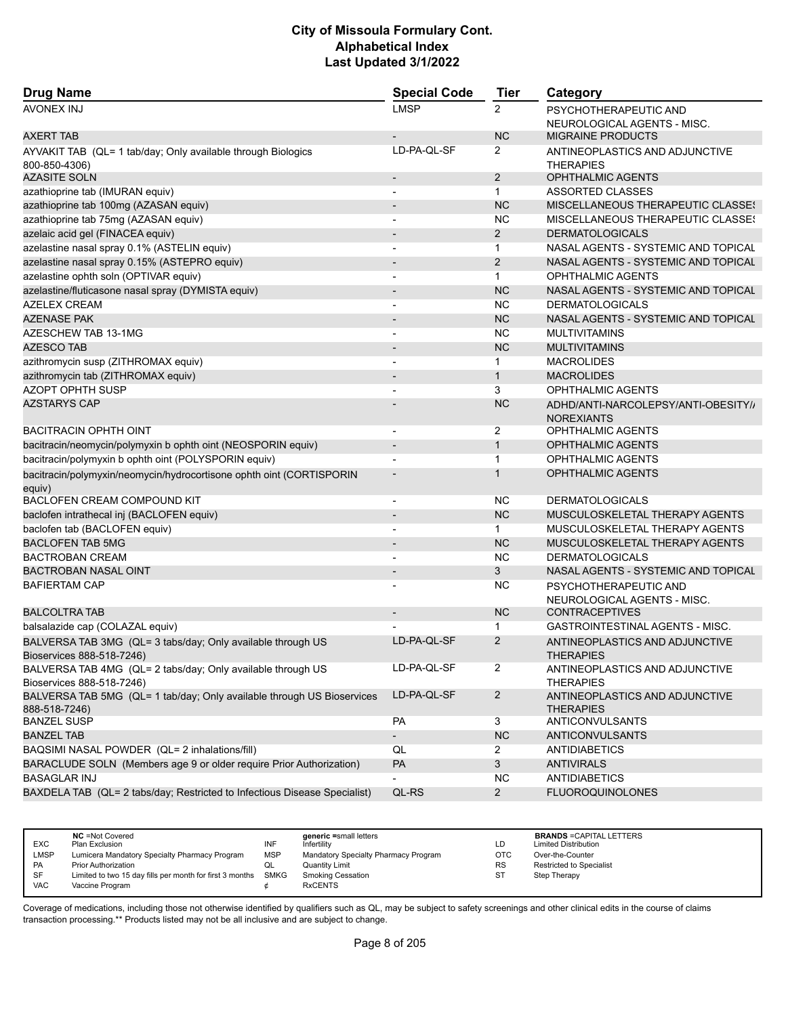| <b>Drug Name</b>                                                                         | <b>Special Code</b>      | <b>Tier</b>    | Category                                                 |
|------------------------------------------------------------------------------------------|--------------------------|----------------|----------------------------------------------------------|
| <b>AVONEX INJ</b>                                                                        | <b>LMSP</b>              | 2              | PSYCHOTHERAPEUTIC AND<br>NEUROLOGICAL AGENTS - MISC.     |
| <b>AXERT TAB</b>                                                                         |                          | <b>NC</b>      | <b>MIGRAINE PRODUCTS</b>                                 |
| AYVAKIT TAB (QL= 1 tab/day; Only available through Biologics<br>800-850-4306)            | LD-PA-QL-SF              | $\overline{2}$ | ANTINEOPLASTICS AND ADJUNCTIVE<br><b>THERAPIES</b>       |
| <b>AZASITE SOLN</b>                                                                      | $\blacksquare$           | $\overline{2}$ | <b>OPHTHALMIC AGENTS</b>                                 |
| azathioprine tab (IMURAN equiv)                                                          | $\blacksquare$           | $\mathbf{1}$   | ASSORTED CLASSES                                         |
| azathioprine tab 100mg (AZASAN equiv)                                                    | $\overline{\phantom{a}}$ | <b>NC</b>      | <b>MISCELLANEOUS THERAPEUTIC CLASSES</b>                 |
| azathioprine tab 75mg (AZASAN equiv)                                                     |                          | <b>NC</b>      | <b>MISCELLANEOUS THERAPEUTIC CLASSES</b>                 |
| azelaic acid gel (FINACEA equiv)                                                         | $\overline{\phantom{a}}$ | $\overline{2}$ | <b>DERMATOLOGICALS</b>                                   |
| azelastine nasal spray 0.1% (ASTELIN equiv)                                              | $\overline{\phantom{a}}$ | $\mathbf 1$    | NASAL AGENTS - SYSTEMIC AND TOPICAL                      |
| azelastine nasal spray 0.15% (ASTEPRO equiv)                                             |                          | 2              | NASAL AGENTS - SYSTEMIC AND TOPICAL                      |
| azelastine ophth soln (OPTIVAR equiv)                                                    | $\blacksquare$           | $\mathbf{1}$   | <b>OPHTHALMIC AGENTS</b>                                 |
| azelastine/fluticasone nasal spray (DYMISTA equiv)                                       |                          | <b>NC</b>      | NASAL AGENTS - SYSTEMIC AND TOPICAL                      |
| <b>AZELEX CREAM</b>                                                                      |                          | <b>NC</b>      | <b>DERMATOLOGICALS</b>                                   |
| <b>AZENASE PAK</b>                                                                       |                          | <b>NC</b>      | NASAL AGENTS - SYSTEMIC AND TOPICAL                      |
| AZESCHEW TAB 13-1MG                                                                      | $\overline{\phantom{a}}$ | <b>NC</b>      | <b>MULTIVITAMINS</b>                                     |
| <b>AZESCO TAB</b>                                                                        |                          | <b>NC</b>      | <b>MULTIVITAMINS</b>                                     |
| azithromycin susp (ZITHROMAX equiv)                                                      | $\blacksquare$           | 1              | <b>MACROLIDES</b>                                        |
| azithromycin tab (ZITHROMAX equiv)                                                       | $\overline{a}$           | $\mathbf{1}$   | <b>MACROLIDES</b>                                        |
| <b>AZOPT OPHTH SUSP</b>                                                                  |                          | 3              | <b>OPHTHALMIC AGENTS</b>                                 |
| <b>AZSTARYS CAP</b>                                                                      |                          | <b>NC</b>      | ADHD/ANTI-NARCOLEPSY/ANTI-OBESITY//<br><b>NOREXIANTS</b> |
| <b>BACITRACIN OPHTH OINT</b>                                                             | $\overline{\phantom{a}}$ | $\overline{2}$ | <b>OPHTHALMIC AGENTS</b>                                 |
| bacitracin/neomycin/polymyxin b ophth oint (NEOSPORIN equiv)                             | $\overline{\phantom{a}}$ | $\mathbf{1}$   | <b>OPHTHALMIC AGENTS</b>                                 |
| bacitracin/polymyxin b ophth oint (POLYSPORIN equiv)                                     |                          | $\mathbf{1}$   | <b>OPHTHALMIC AGENTS</b>                                 |
| bacitracin/polymyxin/neomycin/hydrocortisone ophth oint (CORTISPORIN<br>equiv)           |                          | 1              | <b>OPHTHALMIC AGENTS</b>                                 |
| BACLOFEN CREAM COMPOUND KIT                                                              | $\overline{\phantom{a}}$ | <b>NC</b>      | <b>DERMATOLOGICALS</b>                                   |
| baclofen intrathecal inj (BACLOFEN equiv)                                                | $\overline{a}$           | <b>NC</b>      | MUSCULOSKELETAL THERAPY AGENTS                           |
| baclofen tab (BACLOFEN equiv)                                                            |                          | 1              | MUSCULOSKELETAL THERAPY AGENTS                           |
| <b>BACLOFEN TAB 5MG</b>                                                                  |                          | <b>NC</b>      | MUSCULOSKELETAL THERAPY AGENTS                           |
| <b>BACTROBAN CREAM</b>                                                                   | $\overline{\phantom{a}}$ | <b>NC</b>      | <b>DERMATOLOGICALS</b>                                   |
| BACTROBAN NASAL OINT                                                                     |                          | 3              | NASAL AGENTS - SYSTEMIC AND TOPICAL                      |
| <b>BAFIERTAM CAP</b>                                                                     |                          | <b>NC</b>      | PSYCHOTHERAPEUTIC AND<br>NEUROLOGICAL AGENTS - MISC.     |
| <b>BALCOLTRA TAB</b>                                                                     |                          | <b>NC</b>      | <b>CONTRACEPTIVES</b>                                    |
| balsalazide cap (COLAZAL equiv)                                                          |                          | 1              | GASTROINTESTINAL AGENTS - MISC.                          |
| BALVERSA TAB 3MG (QL= 3 tabs/day; Only available through US<br>Bioservices 888-518-7246) | LD-PA-QL-SF              | 2              | ANTINEOPLASTICS AND ADJUNCTIVE<br><b>THERAPIES</b>       |
| BALVERSA TAB 4MG (QL= 2 tabs/day; Only available through US<br>Bioservices 888-518-7246) | LD-PA-QL-SF              | $\overline{2}$ | ANTINEOPLASTICS AND ADJUNCTIVE<br><b>THERAPIES</b>       |
| BALVERSA TAB 5MG (QL= 1 tab/day; Only available through US Bioservices<br>888-518-7246)  | LD-PA-QL-SF              | $\overline{2}$ | ANTINEOPLASTICS AND ADJUNCTIVE<br><b>THERAPIES</b>       |
| <b>BANZEL SUSP</b>                                                                       | PA                       | 3              | ANTICONVULSANTS                                          |
| <b>BANZEL TAB</b>                                                                        | $\overline{\phantom{0}}$ | NC             | ANTICONVULSANTS                                          |
| BAQSIMI NASAL POWDER (QL= 2 inhalations/fill)                                            | QL                       | $\overline{2}$ | ANTIDIABETICS                                            |
| BARACLUDE SOLN (Members age 9 or older require Prior Authorization)                      | PA                       | 3              | <b>ANTIVIRALS</b>                                        |
| <b>BASAGLAR INJ</b>                                                                      |                          | <b>NC</b>      | <b>ANTIDIABETICS</b>                                     |
| BAXDELA TAB (QL= 2 tabs/day; Restricted to Infectious Disease Specialist)                | QL-RS                    | $\overline{2}$ | <b>FLUOROQUINOLONES</b>                                  |
|                                                                                          |                          |                |                                                          |

| <b>EXC</b><br><b>LMSP</b> | <b>NC</b> = Not Covered<br>Plan Exclusion<br>Lumicera Mandatory Specialty Pharmacy Program | INF<br><b>MSP</b> | generic =small letters<br>Infertility<br>Mandatory Specialty Pharmacy Program | LD<br>OTC | <b>BRANDS = CAPITAL LETTERS</b><br><b>Limited Distribution</b><br>Over-the-Counter |
|---------------------------|--------------------------------------------------------------------------------------------|-------------------|-------------------------------------------------------------------------------|-----------|------------------------------------------------------------------------------------|
|                           |                                                                                            |                   |                                                                               |           |                                                                                    |
| PA                        | <b>Prior Authorization</b>                                                                 | QL                | <b>Quantity Limit</b>                                                         | <b>RS</b> | Restricted to Specialist                                                           |
| SF                        | Limited to two 15 day fills per month for first 3 months                                   | SMKG              | <b>Smoking Cessation</b>                                                      | ST        | Step Therapy                                                                       |
| <b>VAC</b>                | Vaccine Program                                                                            |                   | <b>RxCENTS</b>                                                                |           |                                                                                    |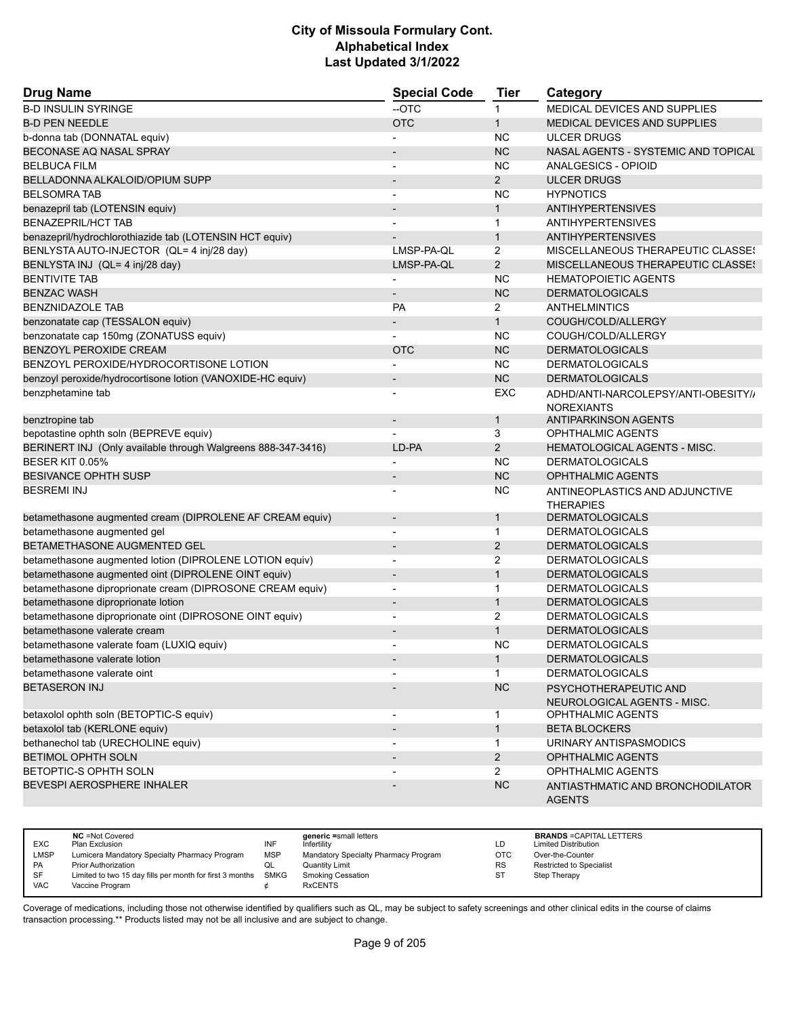| <b>Drug Name</b>                                             | <b>Special Code</b>      | <b>Tier</b>    | Category                                                 |
|--------------------------------------------------------------|--------------------------|----------------|----------------------------------------------------------|
| <b>B-D INSULIN SYRINGE</b>                                   | --OTC                    | $\mathbf{1}$   | MEDICAL DEVICES AND SUPPLIES                             |
| <b>B-D PEN NEEDLE</b>                                        | <b>OTC</b>               | $\mathbf{1}$   | <b>MEDICAL DEVICES AND SUPPLIES</b>                      |
| b-donna tab (DONNATAL equiv)                                 |                          | <b>NC</b>      | <b>ULCER DRUGS</b>                                       |
| BECONASE AQ NASAL SPRAY                                      |                          | <b>NC</b>      | NASAL AGENTS - SYSTEMIC AND TOPICAL                      |
| <b>BELBUCA FILM</b>                                          |                          | <b>NC</b>      | ANALGESICS - OPIOID                                      |
| BELLADONNA ALKALOID/OPIUM SUPP                               | $\overline{a}$           | $\overline{2}$ | <b>ULCER DRUGS</b>                                       |
| <b>BELSOMRA TAB</b>                                          | $\blacksquare$           | NC             | <b>HYPNOTICS</b>                                         |
| benazepril tab (LOTENSIN equiv)                              |                          | $\mathbf{1}$   | <b>ANTIHYPERTENSIVES</b>                                 |
| <b>BENAZEPRIL/HCT TAB</b>                                    |                          | 1              | <b>ANTIHYPERTENSIVES</b>                                 |
| benazepril/hydrochlorothiazide tab (LOTENSIN HCT equiv)      |                          | $\mathbf{1}$   | <b>ANTIHYPERTENSIVES</b>                                 |
| BENLYSTA AUTO-INJECTOR (QL= 4 inj/28 day)                    | LMSP-PA-QL               | 2              | MISCELLANEOUS THERAPEUTIC CLASSES                        |
| BENLYSTA INJ (QL= 4 inj/28 day)                              | LMSP-PA-QL               | $\overline{2}$ | MISCELLANEOUS THERAPEUTIC CLASSES                        |
| <b>BENTIVITE TAB</b>                                         |                          | <b>NC</b>      | <b>HEMATOPOIETIC AGENTS</b>                              |
| <b>BENZAC WASH</b>                                           |                          | <b>NC</b>      | <b>DERMATOLOGICALS</b>                                   |
| <b>BENZNIDAZOLE TAB</b>                                      | <b>PA</b>                | 2              | ANTHELMINTICS                                            |
| benzonatate cap (TESSALON equiv)                             | $\overline{\phantom{0}}$ | $\mathbf{1}$   | COUGH/COLD/ALLERGY                                       |
| benzonatate cap 150mg (ZONATUSS equiv)                       |                          | <b>NC</b>      | COUGH/COLD/ALLERGY                                       |
| BENZOYL PEROXIDE CREAM                                       | <b>OTC</b>               | <b>NC</b>      | <b>DERMATOLOGICALS</b>                                   |
| BENZOYL PEROXIDE/HYDROCORTISONE LOTION                       |                          | <b>NC</b>      | <b>DERMATOLOGICALS</b>                                   |
| benzoyl peroxide/hydrocortisone lotion (VANOXIDE-HC equiv)   | $\overline{\phantom{m}}$ | <b>NC</b>      | <b>DERMATOLOGICALS</b>                                   |
| benzphetamine tab                                            | $\overline{a}$           | EXC            | ADHD/ANTI-NARCOLEPSY/ANTI-OBESITY//<br><b>NOREXIANTS</b> |
| benztropine tab                                              | $\overline{\phantom{a}}$ | $\mathbf{1}$   | <b>ANTIPARKINSON AGENTS</b>                              |
| bepotastine ophth soln (BEPREVE equiv)                       |                          | 3              | <b>OPHTHALMIC AGENTS</b>                                 |
| BERINERT INJ (Only available through Walgreens 888-347-3416) | LD-PA                    | $\overline{2}$ | HEMATOLOGICAL AGENTS - MISC.                             |
| BESER KIT 0.05%                                              |                          | <b>NC</b>      | <b>DERMATOLOGICALS</b>                                   |
| <b>BESIVANCE OPHTH SUSP</b>                                  |                          | <b>NC</b>      | <b>OPHTHALMIC AGENTS</b>                                 |
| <b>BESREMI INJ</b>                                           |                          | <b>NC</b>      | ANTINEOPLASTICS AND ADJUNCTIVE<br><b>THERAPIES</b>       |
| betamethasone augmented cream (DIPROLENE AF CREAM equiv)     | $\overline{\phantom{a}}$ | $\mathbf{1}$   | <b>DERMATOLOGICALS</b>                                   |
| betamethasone augmented gel                                  | ٠                        | $\mathbf 1$    | <b>DERMATOLOGICALS</b>                                   |
| BETAMETHASONE AUGMENTED GEL                                  |                          | $\overline{2}$ | <b>DERMATOLOGICALS</b>                                   |
| betamethasone augmented lotion (DIPROLENE LOTION equiv)      | $\overline{a}$           | $\overline{2}$ | <b>DERMATOLOGICALS</b>                                   |
| betamethasone augmented oint (DIPROLENE OINT equiv)          | $\overline{\phantom{0}}$ | $\mathbf{1}$   | <b>DERMATOLOGICALS</b>                                   |
| betamethasone diproprionate cream (DIPROSONE CREAM equiv)    | $\overline{a}$           | 1              | <b>DERMATOLOGICALS</b>                                   |
| betamethasone diproprionate lotion                           | $\overline{\phantom{m}}$ | $\mathbf{1}$   | <b>DERMATOLOGICALS</b>                                   |
| betamethasone diproprionate oint (DIPROSONE OINT equiv)      | $\overline{\phantom{a}}$ | $\overline{2}$ | <b>DERMATOLOGICALS</b>                                   |
| betamethasone valerate cream                                 |                          | $\mathbf{1}$   | <b>DERMATOLOGICALS</b>                                   |
| betamethasone valerate foam (LUXIQ equiv)                    |                          | <b>NC</b>      | <b>DERMATOLOGICALS</b>                                   |
| betamethasone valerate lotion                                |                          |                | <b>DERMATOLOGICALS</b>                                   |
| betamethasone valerate oint                                  |                          | $\mathbf{1}$   | <b>DERMATOLOGICALS</b>                                   |
| <b>BETASERON INJ</b>                                         |                          | <b>NC</b>      | PSYCHOTHERAPEUTIC AND                                    |
|                                                              |                          |                | NEUROLOGICAL AGENTS - MISC.                              |
| betaxolol ophth soln (BETOPTIC-S equiv)                      | $\overline{\phantom{a}}$ | 1              | OPHTHALMIC AGENTS                                        |
| betaxolol tab (KERLONE equiv)                                | $\overline{\phantom{a}}$ | $\mathbf{1}$   | <b>BETA BLOCKERS</b>                                     |
| bethanechol tab (URECHOLINE equiv)                           |                          | $\mathbf{1}$   | URINARY ANTISPASMODICS                                   |
| BETIMOL OPHTH SOLN                                           |                          | $\overline{2}$ | <b>OPHTHALMIC AGENTS</b>                                 |
| BETOPTIC-S OPHTH SOLN                                        |                          | $\overline{2}$ | <b>OPHTHALMIC AGENTS</b>                                 |
| BEVESPI AEROSPHERE INHALER                                   |                          | <b>NC</b>      | ANTIASTHMATIC AND BRONCHODILATOR<br><b>AGENTS</b>        |

|            | <b>NC</b> = Not Covered                                       |            | generic =small letters               |            | <b>BRANDS = CAPITAL LETTERS</b> |
|------------|---------------------------------------------------------------|------------|--------------------------------------|------------|---------------------------------|
| <b>EXC</b> | Plan Exclusion                                                | INF        | Infertilitv                          | LD         | <b>Limited Distribution</b>     |
|            |                                                               |            |                                      |            |                                 |
| LMSP       | Lumicera Mandatory Specialty Pharmacy Program                 | <b>MSP</b> | Mandatory Specialty Pharmacy Program | <b>OTC</b> | Over-the-Counter                |
| PA         | <b>Prior Authorization</b>                                    | ◡          | <b>Quantity Limit</b>                | <b>RS</b>  | Restricted to Specialist        |
| <b>SF</b>  | Limited to two 15 day fills per month for first 3 months SMKG |            | <b>Smoking Cessation</b>             | ST         | Step Therapy                    |
| <b>VAC</b> | Vaccine Program                                               |            | <b>RxCENTS</b>                       |            |                                 |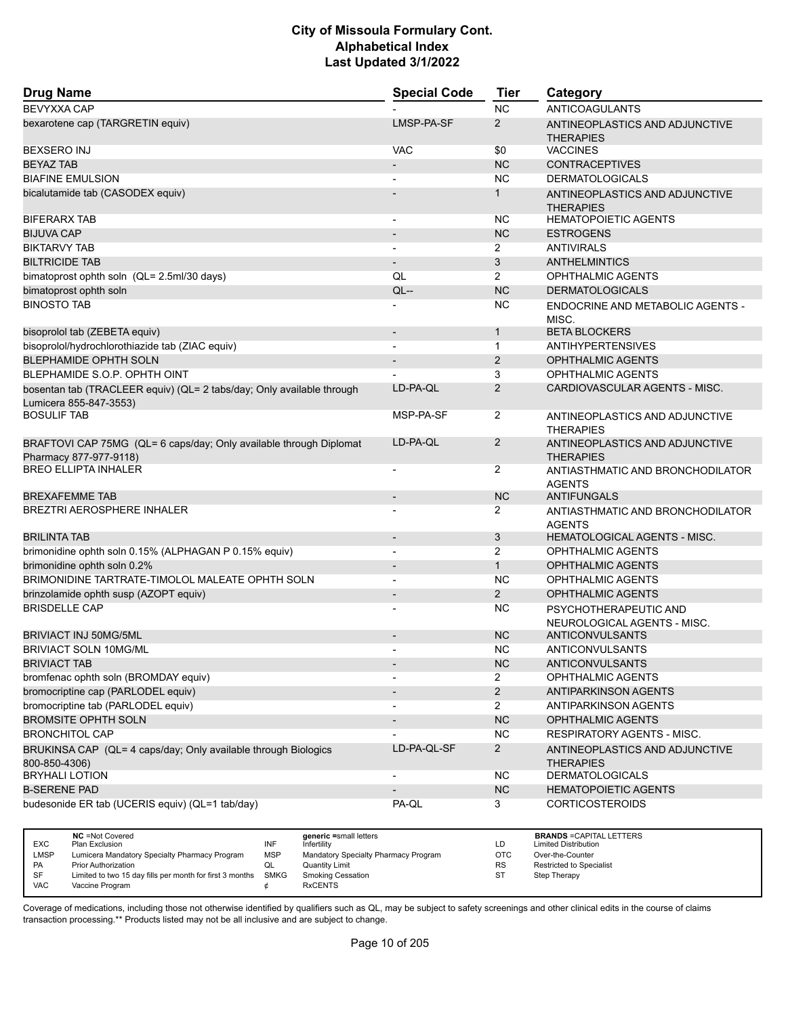| <b>Drug Name</b>                                                                                | <b>Special Code</b>          | <b>Tier</b>    | Category                                             |
|-------------------------------------------------------------------------------------------------|------------------------------|----------------|------------------------------------------------------|
| <b>BEVYXXA CAP</b>                                                                              |                              | <b>NC</b>      | <b>ANTICOAGULANTS</b>                                |
| bexarotene cap (TARGRETIN equiv)                                                                | LMSP-PA-SF                   | $\overline{2}$ | ANTINEOPLASTICS AND ADJUNCTIVE<br><b>THERAPIES</b>   |
| <b>BEXSERO INJ</b>                                                                              | <b>VAC</b>                   | \$0            | <b>VACCINES</b>                                      |
| <b>BEYAZ TAB</b>                                                                                | $\overline{\phantom{m}}$     | <b>NC</b>      | <b>CONTRACEPTIVES</b>                                |
| <b>BIAFINE EMULSION</b>                                                                         |                              | <b>NC</b>      | <b>DERMATOLOGICALS</b>                               |
| bicalutamide tab (CASODEX equiv)                                                                |                              | $\mathbf{1}$   | ANTINEOPLASTICS AND ADJUNCTIVE<br><b>THERAPIES</b>   |
| <b>BIFERARX TAB</b>                                                                             |                              | <b>NC</b>      | <b>HEMATOPOIETIC AGENTS</b>                          |
| <b>BIJUVA CAP</b>                                                                               | $\qquad \qquad \blacksquare$ | <b>NC</b>      | <b>ESTROGENS</b>                                     |
| <b>BIKTARVY TAB</b>                                                                             |                              | 2              | <b>ANTIVIRALS</b>                                    |
| <b>BILTRICIDE TAB</b>                                                                           |                              | 3              | <b>ANTHELMINTICS</b>                                 |
| bimatoprost ophth soln (QL= 2.5ml/30 days)                                                      | QL                           | $\overline{2}$ | <b>OPHTHALMIC AGENTS</b>                             |
| bimatoprost ophth soln                                                                          | $QL$ --                      | <b>NC</b>      | <b>DERMATOLOGICALS</b>                               |
| <b>BINOSTO TAB</b>                                                                              |                              | <b>NC</b>      | ENDOCRINE AND METABOLIC AGENTS -<br>MISC.            |
| bisoprolol tab (ZEBETA equiv)                                                                   | $\overline{\phantom{m}}$     | $\mathbf{1}$   | <b>BETA BLOCKERS</b>                                 |
| bisoprolol/hydrochlorothiazide tab (ZIAC equiv)                                                 |                              | $\mathbf{1}$   | <b>ANTIHYPERTENSIVES</b>                             |
| <b>BLEPHAMIDE OPHTH SOLN</b>                                                                    | $\qquad \qquad \blacksquare$ | 2              | <b>OPHTHALMIC AGENTS</b>                             |
| BLEPHAMIDE S.O.P. OPHTH OINT                                                                    |                              | 3              | <b>OPHTHALMIC AGENTS</b>                             |
| bosentan tab (TRACLEER equiv) (QL= 2 tabs/day; Only available through<br>Lumicera 855-847-3553) | LD-PA-QL                     | $\overline{2}$ | CARDIOVASCULAR AGENTS - MISC.                        |
| <b>BOSULIF TAB</b>                                                                              | MSP-PA-SF                    | 2              | ANTINEOPLASTICS AND ADJUNCTIVE<br><b>THERAPIES</b>   |
| BRAFTOVI CAP 75MG (QL= 6 caps/day; Only available through Diplomat<br>Pharmacy 877-977-9118)    | LD-PA-QL                     | 2              | ANTINEOPLASTICS AND ADJUNCTIVE<br><b>THERAPIES</b>   |
| <b>BREO ELLIPTA INHALER</b>                                                                     |                              | 2              | ANTIASTHMATIC AND BRONCHODILATOR<br><b>AGENTS</b>    |
| <b>BREXAFEMME TAB</b>                                                                           |                              | <b>NC</b>      | <b>ANTIFUNGALS</b>                                   |
| <b>BREZTRI AEROSPHERE INHALER</b>                                                               |                              | 2              | ANTIASTHMATIC AND BRONCHODILATOR<br><b>AGENTS</b>    |
| <b>BRILINTA TAB</b>                                                                             | $\overline{\phantom{a}}$     | 3              | HEMATOLOGICAL AGENTS - MISC.                         |
| brimonidine ophth soln 0.15% (ALPHAGAN P 0.15% equiv)                                           |                              | 2              | <b>OPHTHALMIC AGENTS</b>                             |
| brimonidine ophth soln 0.2%                                                                     |                              | $\mathbf{1}$   | <b>OPHTHALMIC AGENTS</b>                             |
| BRIMONIDINE TARTRATE-TIMOLOL MALEATE OPHTH SOLN                                                 | $\overline{a}$               | <b>NC</b>      | <b>OPHTHALMIC AGENTS</b>                             |
| brinzolamide ophth susp (AZOPT equiv)                                                           | $\overline{\phantom{m}}$     | 2              | <b>OPHTHALMIC AGENTS</b>                             |
| <b>BRISDELLE CAP</b>                                                                            |                              | <b>NC</b>      | PSYCHOTHERAPEUTIC AND<br>NEUROLOGICAL AGENTS - MISC. |
| <b>BRIVIACT INJ 50MG/5ML</b>                                                                    |                              | <b>NC</b>      | <b>ANTICONVULSANTS</b>                               |
| <b>BRIVIACT SOLN 10MG/ML</b>                                                                    |                              | NC.            | <b>ANTICONVULSANTS</b>                               |
| BRIVIACT TAB                                                                                    | ٠                            | NC.            | ANTICONVULSANTS                                      |
| bromfenac ophth soln (BROMDAY equiv)                                                            |                              | $\overline{2}$ | OPHTHALMIC AGENTS                                    |
| bromocriptine cap (PARLODEL equiv)                                                              | $\overline{\phantom{a}}$     | $\overline{2}$ | ANTIPARKINSON AGENTS                                 |
| bromocriptine tab (PARLODEL equiv)                                                              |                              | $\overline{2}$ | ANTIPARKINSON AGENTS                                 |
| <b>BROMSITE OPHTH SOLN</b>                                                                      | $\overline{\phantom{a}}$     | NC             | OPHTHALMIC AGENTS                                    |
| <b>BRONCHITOL CAP</b>                                                                           |                              | NC.            | <b>RESPIRATORY AGENTS - MISC.</b>                    |
| BRUKINSA CAP (QL= 4 caps/day; Only available through Biologics<br>800-850-4306)                 | LD-PA-QL-SF                  | $\overline{2}$ | ANTINEOPLASTICS AND ADJUNCTIVE<br><b>THERAPIES</b>   |
| <b>BRYHALI LOTION</b>                                                                           | $\overline{\phantom{a}}$     | NC             | <b>DERMATOLOGICALS</b>                               |
| <b>B-SERENE PAD</b>                                                                             |                              | <b>NC</b>      | <b>HEMATOPOIETIC AGENTS</b>                          |
| budesonide ER tab (UCERIS equiv) (QL=1 tab/day)                                                 | PA-QL                        | 3              | <b>CORTICOSTEROIDS</b>                               |

|             | <b>NC</b> = Not Covered                                       |            | generic =small letters               |            | <b>BRANDS = CAPITAL LETTERS</b> |
|-------------|---------------------------------------------------------------|------------|--------------------------------------|------------|---------------------------------|
| <b>EXC</b>  | Plan Exclusion                                                | INF        | Infertility                          | LD         | <b>Limited Distribution</b>     |
| <b>LMSP</b> | Lumicera Mandatory Specialty Pharmacy Program                 | <b>MSP</b> | Mandatory Specialty Pharmacy Program | <b>OTC</b> | Over-the-Counter                |
| <b>PA</b>   | Prior Authorization                                           |            | <b>Quantity Limit</b>                | <b>RS</b>  | <b>Restricted to Specialist</b> |
| SF          | Limited to two 15 day fills per month for first 3 months SMKG |            | <b>Smoking Cessation</b>             | <b>ST</b>  | Step Therapy                    |
| <b>VAC</b>  | Vaccine Program                                               |            | <b>RxCENTS</b>                       |            |                                 |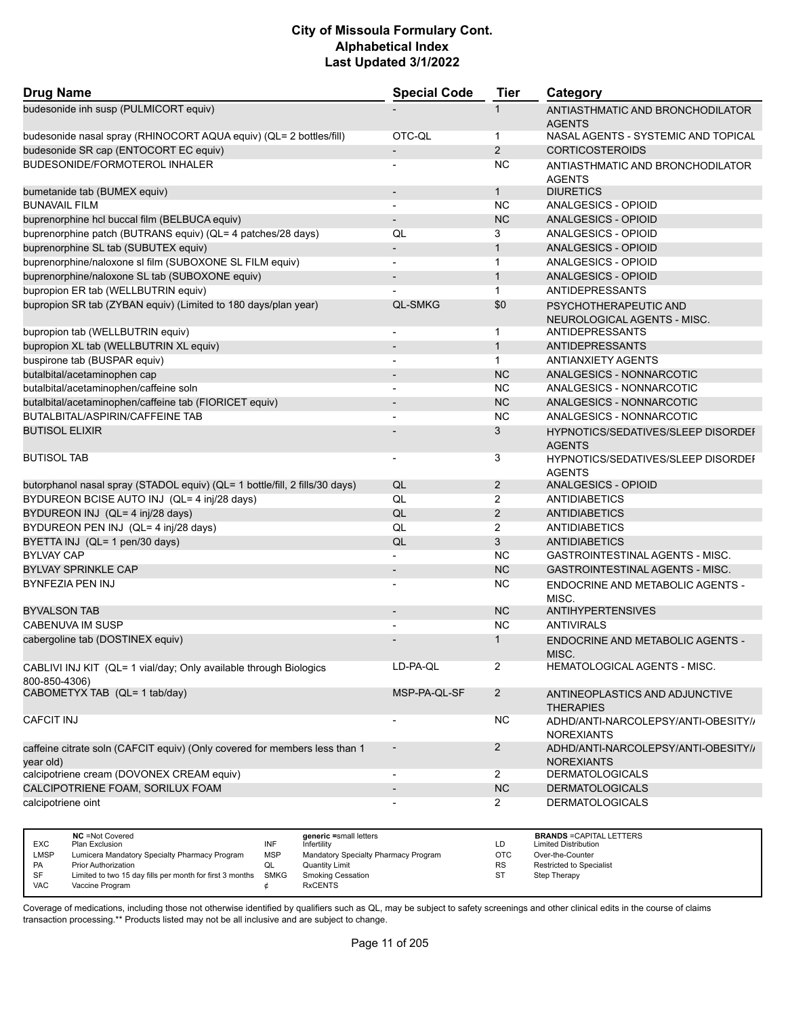| <b>Drug Name</b>                                                                        | <b>Special Code</b>      | <b>Tier</b>    | Category                                                 |
|-----------------------------------------------------------------------------------------|--------------------------|----------------|----------------------------------------------------------|
| budesonide inh susp (PULMICORT equiv)                                                   |                          | 1              | ANTIASTHMATIC AND BRONCHODILATOR<br><b>AGENTS</b>        |
| budesonide nasal spray (RHINOCORT AQUA equiv) (QL= 2 bottles/fill)                      | OTC-QL                   | $\mathbf{1}$   | NASAL AGENTS - SYSTEMIC AND TOPICAL                      |
| budesonide SR cap (ENTOCORT EC equiv)                                                   |                          | 2              | <b>CORTICOSTEROIDS</b>                                   |
| BUDESONIDE/FORMOTEROL INHALER                                                           |                          | <b>NC</b>      | ANTIASTHMATIC AND BRONCHODILATOR<br><b>AGENTS</b>        |
| bumetanide tab (BUMEX equiv)                                                            |                          | $\mathbf{1}$   | <b>DIURETICS</b>                                         |
| <b>BUNAVAIL FILM</b>                                                                    | $\overline{a}$           | <b>NC</b>      | ANALGESICS - OPIOID                                      |
| buprenorphine hcl buccal film (BELBUCA equiv)                                           |                          | NC             | <b>ANALGESICS - OPIOID</b>                               |
| buprenorphine patch (BUTRANS equiv) (QL= 4 patches/28 days)                             | QL                       | 3              | ANALGESICS - OPIOID                                      |
| buprenorphine SL tab (SUBUTEX equiv)                                                    | $\overline{\phantom{a}}$ | $\mathbf{1}$   | ANALGESICS - OPIOID                                      |
| buprenorphine/naloxone sl film (SUBOXONE SL FILM equiv)                                 | $\blacksquare$           | $\mathbf{1}$   | ANALGESICS - OPIOID                                      |
| buprenorphine/naloxone SL tab (SUBOXONE equiv)                                          |                          | $\mathbf{1}$   | <b>ANALGESICS - OPIOID</b>                               |
| bupropion ER tab (WELLBUTRIN equiv)                                                     |                          | $\mathbf{1}$   | ANTIDEPRESSANTS                                          |
| bupropion SR tab (ZYBAN equiv) (Limited to 180 days/plan year)                          | <b>QL-SMKG</b>           | \$0            | PSYCHOTHERAPEUTIC AND<br>NEUROLOGICAL AGENTS - MISC.     |
| bupropion tab (WELLBUTRIN equiv)                                                        | $\overline{\phantom{a}}$ | $\mathbf 1$    | ANTIDEPRESSANTS                                          |
| bupropion XL tab (WELLBUTRIN XL equiv)                                                  |                          | $\mathbf{1}$   | <b>ANTIDEPRESSANTS</b>                                   |
| buspirone tab (BUSPAR equiv)                                                            |                          | $\mathbf{1}$   | <b>ANTIANXIETY AGENTS</b>                                |
| butalbital/acetaminophen cap                                                            | $\blacksquare$           | <b>NC</b>      | ANALGESICS - NONNARCOTIC                                 |
| butalbital/acetaminophen/caffeine soln                                                  |                          | <b>NC</b>      | ANALGESICS - NONNARCOTIC                                 |
| butalbital/acetaminophen/caffeine tab (FIORICET equiv)                                  |                          | <b>NC</b>      | ANALGESICS - NONNARCOTIC                                 |
| <b>BUTALBITAL/ASPIRIN/CAFFEINE TAB</b>                                                  | $\blacksquare$           | <b>NC</b>      | ANALGESICS - NONNARCOTIC                                 |
| <b>BUTISOL ELIXIR</b>                                                                   |                          | 3              | HYPNOTICS/SEDATIVES/SLEEP DISORDEI<br><b>AGENTS</b>      |
| <b>BUTISOL TAB</b>                                                                      |                          | 3              | HYPNOTICS/SEDATIVES/SLEEP DISORDEI<br><b>AGENTS</b>      |
| butorphanol nasal spray (STADOL equiv) (QL= 1 bottle/fill, 2 fills/30 days)             | QL                       | $\overline{2}$ | ANALGESICS - OPIOID                                      |
| BYDUREON BCISE AUTO INJ (QL= 4 inj/28 days)                                             | QL                       | 2              | <b>ANTIDIABETICS</b>                                     |
| BYDUREON INJ (QL= 4 inj/28 days)                                                        | QL                       | 2              | <b>ANTIDIABETICS</b>                                     |
| BYDUREON PEN INJ (QL= 4 inj/28 days)                                                    | QL                       | 2              | ANTIDIABETICS                                            |
| BYETTA INJ (QL= 1 pen/30 days)                                                          | QL                       | 3              | <b>ANTIDIABETICS</b>                                     |
| <b>BYLVAY CAP</b>                                                                       |                          | <b>NC</b>      | GASTROINTESTINAL AGENTS - MISC.                          |
| <b>BYLVAY SPRINKLE CAP</b>                                                              |                          | <b>NC</b>      | <b>GASTROINTESTINAL AGENTS - MISC.</b>                   |
| <b>BYNFEZIA PEN INJ</b>                                                                 |                          | <b>NC</b>      | ENDOCRINE AND METABOLIC AGENTS -<br>MISC.                |
| <b>BYVALSON TAB</b>                                                                     |                          | <b>NC</b>      | <b>ANTIHYPERTENSIVES</b>                                 |
| <b>CABENUVA IM SUSP</b>                                                                 |                          | <b>NC</b>      | <b>ANTIVIRALS</b>                                        |
| cabergoline tab (DOSTINEX equiv)                                                        |                          | $\mathbf{1}$   | <b>ENDOCRINE AND METABOLIC AGENTS -</b><br>MISC.         |
| CABLIVI INJ KIT (QL= 1 vial/day; Only available through Biologics<br>800-850-4306)      | LD-PA-QL                 | $\overline{2}$ | HEMATOLOGICAL AGENTS - MISC.                             |
| CABOMETYX TAB (QL= 1 tab/day)                                                           | MSP-PA-QL-SF             | $\overline{2}$ | ANTINEOPLASTICS AND ADJUNCTIVE<br><b>THERAPIES</b>       |
| <b>CAFCIT INJ</b>                                                                       |                          | <b>NC</b>      | ADHD/ANTI-NARCOLEPSY/ANTI-OBESITY//<br><b>NOREXIANTS</b> |
| caffeine citrate soln (CAFCIT equiv) (Only covered for members less than 1<br>year old) | $\overline{\phantom{a}}$ | $\overline{2}$ | ADHD/ANTI-NARCOLEPSY/ANTI-OBESITY//<br><b>NOREXIANTS</b> |
| calcipotriene cream (DOVONEX CREAM equiv)                                               | $\overline{\phantom{a}}$ | $\overline{2}$ | <b>DERMATOLOGICALS</b>                                   |
| CALCIPOTRIENE FOAM, SORILUX FOAM                                                        |                          | NC             | <b>DERMATOLOGICALS</b>                                   |
| calcipotriene oint                                                                      |                          | $\overline{2}$ | <b>DERMATOLOGICALS</b>                                   |

|            | <b>NC</b> = Not Covered                                       |            | generic =small letters               |            | <b>BRANDS = CAPITAL LETTERS</b> |
|------------|---------------------------------------------------------------|------------|--------------------------------------|------------|---------------------------------|
| <b>EXC</b> | Plan Exclusion                                                | INF        | Infertilitv                          | LD         | <b>Limited Distribution</b>     |
| LMSP       | Lumicera Mandatory Specialty Pharmacy Program                 | <b>MSP</b> | Mandatory Specialty Pharmacy Program | <b>OTC</b> | Over-the-Counter                |
| <b>PA</b>  | <b>Prior Authorization</b>                                    |            | <b>Quantity Limit</b>                | <b>RS</b>  | <b>Restricted to Specialist</b> |
| - SF       | Limited to two 15 day fills per month for first 3 months SMKG |            | Smoking Cessation                    | ST         | Step Therapy                    |
| <b>VAC</b> | Vaccine Program                                               |            | <b>RxCENTS</b>                       |            |                                 |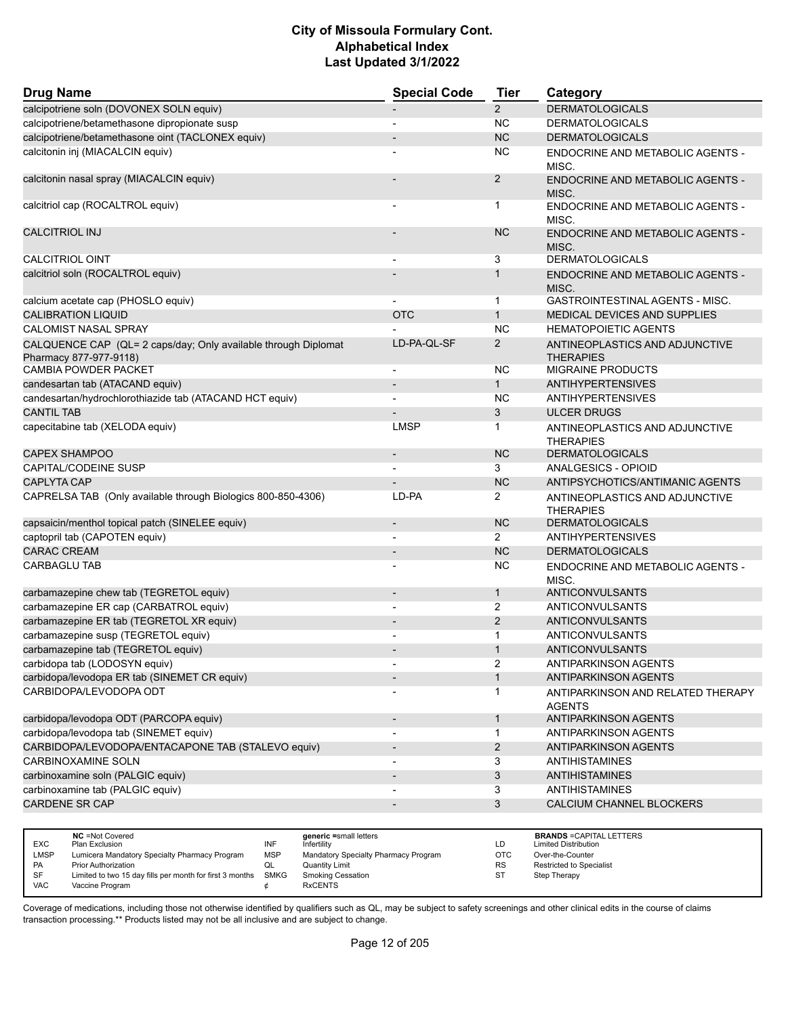| <b>Drug Name</b>                                                                         | <b>Special Code</b>      | <b>Tier</b>    | Category                                           |
|------------------------------------------------------------------------------------------|--------------------------|----------------|----------------------------------------------------|
| calcipotriene soln (DOVONEX SOLN equiv)                                                  |                          | $\overline{2}$ | <b>DERMATOLOGICALS</b>                             |
| calcipotriene/betamethasone dipropionate susp                                            | $\overline{\phantom{a}}$ | <b>NC</b>      | <b>DERMATOLOGICALS</b>                             |
| calcipotriene/betamethasone oint (TACLONEX equiv)                                        |                          | <b>NC</b>      | <b>DERMATOLOGICALS</b>                             |
| calcitonin inj (MIACALCIN equiv)                                                         |                          | <b>NC</b>      | <b>ENDOCRINE AND METABOLIC AGENTS -</b><br>MISC.   |
| calcitonin nasal spray (MIACALCIN equiv)                                                 |                          | $\overline{2}$ | <b>ENDOCRINE AND METABOLIC AGENTS -</b><br>MISC.   |
| calcitriol cap (ROCALTROL equiv)                                                         |                          | 1              | ENDOCRINE AND METABOLIC AGENTS -<br>MISC.          |
| <b>CALCITRIOL INJ</b>                                                                    |                          | <b>NC</b>      | ENDOCRINE AND METABOLIC AGENTS -<br>MISC.          |
| <b>CALCITRIOL OINT</b>                                                                   |                          | 3              | <b>DERMATOLOGICALS</b>                             |
| calcitriol soln (ROCALTROL equiv)                                                        |                          | 1              | ENDOCRINE AND METABOLIC AGENTS -<br>MISC.          |
| calcium acetate cap (PHOSLO equiv)                                                       |                          | 1              | GASTROINTESTINAL AGENTS - MISC.                    |
| <b>CALIBRATION LIQUID</b>                                                                | <b>OTC</b>               | $\mathbf{1}$   | MEDICAL DEVICES AND SUPPLIES                       |
| <b>CALOMIST NASAL SPRAY</b>                                                              |                          | <b>NC</b>      | <b>HEMATOPOIETIC AGENTS</b>                        |
| CALQUENCE CAP (QL= 2 caps/day; Only available through Diplomat<br>Pharmacy 877-977-9118) | LD-PA-QL-SF              | $\overline{2}$ | ANTINEOPLASTICS AND ADJUNCTIVE<br><b>THERAPIES</b> |
| <b>CAMBIA POWDER PACKET</b>                                                              | $\overline{\phantom{a}}$ | <b>NC</b>      | <b>MIGRAINE PRODUCTS</b>                           |
| candesartan tab (ATACAND equiv)                                                          |                          | $\mathbf{1}$   | <b>ANTIHYPERTENSIVES</b>                           |
| candesartan/hydrochlorothiazide tab (ATACAND HCT equiv)                                  |                          | <b>NC</b>      | <b>ANTIHYPERTENSIVES</b>                           |
| <b>CANTIL TAB</b>                                                                        |                          | 3              | <b>ULCER DRUGS</b>                                 |
| capecitabine tab (XELODA equiv)                                                          | <b>LMSP</b>              | 1              | ANTINEOPLASTICS AND ADJUNCTIVE<br><b>THERAPIES</b> |
| <b>CAPEX SHAMPOO</b>                                                                     | $\blacksquare$           | <b>NC</b>      | <b>DERMATOLOGICALS</b>                             |
| <b>CAPITAL/CODEINE SUSP</b>                                                              |                          | 3              | ANALGESICS - OPIOID                                |
| <b>CAPLYTA CAP</b>                                                                       |                          | <b>NC</b>      | ANTIPSYCHOTICS/ANTIMANIC AGENTS                    |
| CAPRELSA TAB (Only available through Biologics 800-850-4306)                             | LD-PA                    | 2              | ANTINEOPLASTICS AND ADJUNCTIVE<br><b>THERAPIES</b> |
| capsaicin/menthol topical patch (SINELEE equiv)                                          | $\overline{\phantom{a}}$ | <b>NC</b>      | <b>DERMATOLOGICALS</b>                             |
| captopril tab (CAPOTEN equiv)                                                            |                          | $\overline{2}$ | <b>ANTIHYPERTENSIVES</b>                           |
| <b>CARAC CREAM</b>                                                                       |                          | <b>NC</b>      | <b>DERMATOLOGICALS</b>                             |
| <b>CARBAGLU TAB</b>                                                                      |                          | <b>NC</b>      | ENDOCRINE AND METABOLIC AGENTS -<br>MISC.          |
| carbamazepine chew tab (TEGRETOL equiv)                                                  | $\blacksquare$           | $\mathbf{1}$   | <b>ANTICONVULSANTS</b>                             |
| carbamazepine ER cap (CARBATROL equiv)                                                   |                          | $\overline{2}$ | ANTICONVULSANTS                                    |
| carbamazepine ER tab (TEGRETOL XR equiv)                                                 |                          | $\overline{2}$ | ANTICONVULSANTS                                    |
| carbamazepine susp (TEGRETOL equiv)                                                      |                          | 1              | ANTICONVULSANTS                                    |
| carbamazepine tab (TEGRETOL equiv)                                                       |                          | $\mathbf{1}$   | ANTICONVULSANTS                                    |
| carbidopa tab (LODOSYN equiv)                                                            |                          | 2              | ANTIPARKINSON AGENTS                               |
| carbidopa/levodopa ER tab (SINEMET CR equiv)                                             | $\overline{\phantom{a}}$ | $\mathbf{1}$   | ANTIPARKINSON AGENTS                               |
| CARBIDOPA/LEVODOPA ODT                                                                   |                          | 1              | ANTIPARKINSON AND RELATED THERAPY<br><b>AGENTS</b> |
| carbidopa/levodopa ODT (PARCOPA equiv)                                                   |                          | 1              | <b>ANTIPARKINSON AGENTS</b>                        |
| carbidopa/levodopa tab (SINEMET equiv)                                                   |                          | $\mathbf{1}$   | ANTIPARKINSON AGENTS                               |
| CARBIDOPA/LEVODOPA/ENTACAPONE TAB (STALEVO equiv)                                        | $\overline{\phantom{a}}$ | $\overline{2}$ | ANTIPARKINSON AGENTS                               |
| <b>CARBINOXAMINE SOLN</b>                                                                |                          | 3              | <b>ANTIHISTAMINES</b>                              |
| carbinoxamine soln (PALGIC equiv)                                                        |                          | $\mathfrak{S}$ | <b>ANTIHISTAMINES</b>                              |
| carbinoxamine tab (PALGIC equiv)                                                         |                          | 3              | <b>ANTIHISTAMINES</b>                              |
| CARDENE SR CAP                                                                           |                          | 3              | CALCIUM CHANNEL BLOCKERS                           |
|                                                                                          |                          |                |                                                    |

|            | <b>NC</b> = Not Covered                                       |            | generic =small letters               |            | <b>BRANDS = CAPITAL LETTERS</b> |
|------------|---------------------------------------------------------------|------------|--------------------------------------|------------|---------------------------------|
| <b>EXC</b> | Plan Exclusion                                                | INF        | Infertility                          | LD         | <b>Limited Distribution</b>     |
| LMSP       | Lumicera Mandatory Specialty Pharmacy Program                 | <b>MSP</b> | Mandatory Specialty Pharmacy Program | <b>OTC</b> | Over-the-Counter                |
| <b>PA</b>  | <b>Prior Authorization</b>                                    | QL         | <b>Quantity Limit</b>                | <b>RS</b>  | <b>Restricted to Specialist</b> |
| SF         | Limited to two 15 day fills per month for first 3 months SMKG |            | Smoking Cessation                    | SТ         | Step Therapy                    |
| <b>VAC</b> | Vaccine Program                                               |            | <b>RxCENTS</b>                       |            |                                 |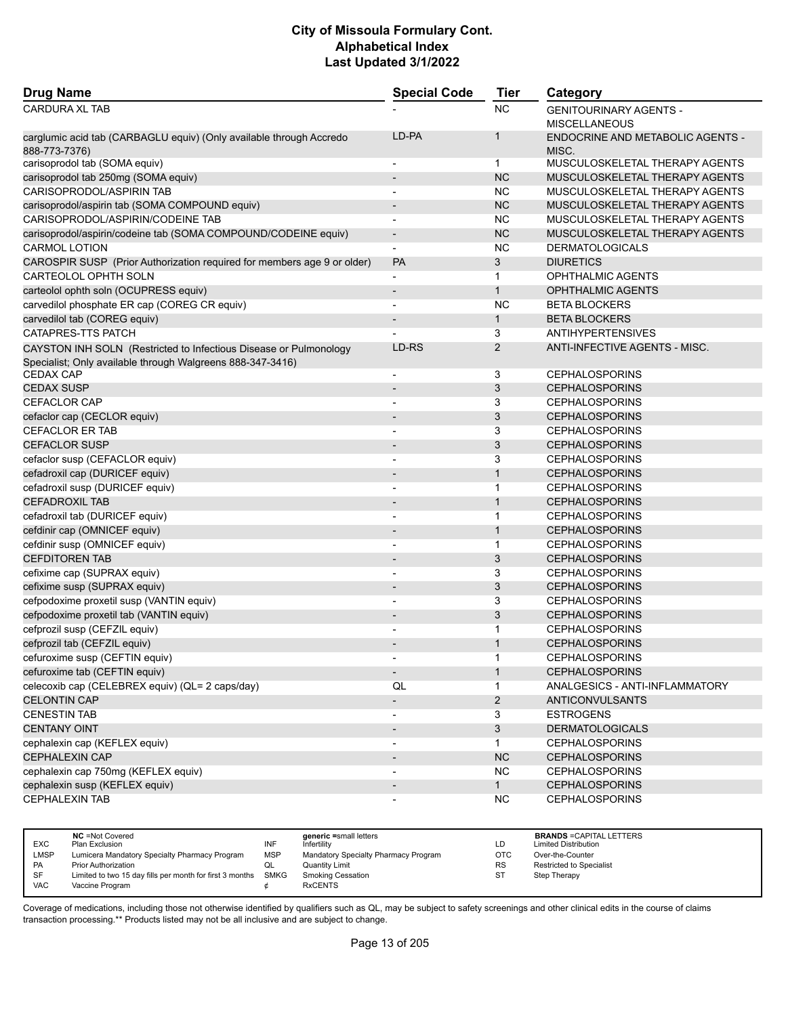| <b>Drug Name</b>                                                                     | <b>Special Code</b>          | <b>Tier</b>    | Category                                              |
|--------------------------------------------------------------------------------------|------------------------------|----------------|-------------------------------------------------------|
| <b>CARDURA XL TAB</b>                                                                |                              | NC             | <b>GENITOURINARY AGENTS -</b><br><b>MISCELLANEOUS</b> |
| carglumic acid tab (CARBAGLU equiv) (Only available through Accredo<br>888-773-7376) | LD-PA                        | $\mathbf{1}$   | <b>ENDOCRINE AND METABOLIC AGENTS -</b><br>MISC.      |
| carisoprodol tab (SOMA equiv)                                                        | $\overline{\phantom{a}}$     | $\mathbf{1}$   | MUSCULOSKELETAL THERAPY AGENTS                        |
| carisoprodol tab 250mg (SOMA equiv)                                                  | $\qquad \qquad \blacksquare$ | <b>NC</b>      | MUSCULOSKELETAL THERAPY AGENTS                        |
| CARISOPRODOL/ASPIRIN TAB                                                             | $\blacksquare$               | NC.            | MUSCULOSKELETAL THERAPY AGENTS                        |
| carisoprodol/aspirin tab (SOMA COMPOUND equiv)                                       | $\overline{\phantom{m}}$     | <b>NC</b>      | MUSCULOSKELETAL THERAPY AGENTS                        |
| CARISOPRODOL/ASPIRIN/CODEINE TAB                                                     |                              | NC             | MUSCULOSKELETAL THERAPY AGENTS                        |
| carisoprodol/aspirin/codeine tab (SOMA COMPOUND/CODEINE equiv)                       | $\overline{\phantom{a}}$     | <b>NC</b>      | MUSCULOSKELETAL THERAPY AGENTS                        |
| <b>CARMOL LOTION</b>                                                                 | $\qquad \qquad \blacksquare$ | NC             | <b>DERMATOLOGICALS</b>                                |
| CAROSPIR SUSP (Prior Authorization required for members age 9 or older)              | <b>PA</b>                    | 3              | <b>DIURETICS</b>                                      |
| CARTEOLOL OPHTH SOLN                                                                 | $\overline{\phantom{a}}$     | $\mathbf{1}$   | OPHTHALMIC AGENTS                                     |
| carteolol ophth soln (OCUPRESS equiv)                                                | $\overline{\phantom{m}}$     | $\mathbf{1}$   | <b>OPHTHALMIC AGENTS</b>                              |
| carvedilol phosphate ER cap (COREG CR equiv)                                         |                              | <b>NC</b>      | <b>BETA BLOCKERS</b>                                  |
| carvedilol tab (COREG equiv)                                                         | $\overline{\phantom{a}}$     | $\mathbf{1}$   | <b>BETA BLOCKERS</b>                                  |
| CATAPRES-TTS PATCH                                                                   |                              | 3              | <b>ANTIHYPERTENSIVES</b>                              |
| CAYSTON INH SOLN (Restricted to Infectious Disease or Pulmonology                    | LD-RS                        | 2              | ANTI-INFECTIVE AGENTS - MISC.                         |
| Specialist; Only available through Walgreens 888-347-3416)                           |                              |                |                                                       |
| CEDAX CAP                                                                            |                              | 3              | <b>CEPHALOSPORINS</b>                                 |
| <b>CEDAX SUSP</b>                                                                    | $\overline{\phantom{a}}$     | 3              | <b>CEPHALOSPORINS</b>                                 |
| <b>CEFACLOR CAP</b>                                                                  | ٠                            | 3              | <b>CEPHALOSPORINS</b>                                 |
| cefaclor cap (CECLOR equiv)                                                          |                              | 3              | <b>CEPHALOSPORINS</b>                                 |
| <b>CEFACLOR ER TAB</b>                                                               | -                            | 3              | <b>CEPHALOSPORINS</b>                                 |
| <b>CEFACLOR SUSP</b>                                                                 | $\overline{\phantom{a}}$     | 3              | <b>CEPHALOSPORINS</b>                                 |
| cefaclor susp (CEFACLOR equiv)                                                       | $\overline{\phantom{a}}$     | 3              | <b>CEPHALOSPORINS</b>                                 |
| cefadroxil cap (DURICEF equiv)                                                       |                              | $\mathbf{1}$   | <b>CEPHALOSPORINS</b>                                 |
| cefadroxil susp (DURICEF equiv)                                                      | $\overline{\phantom{0}}$     | $\mathbf 1$    | <b>CEPHALOSPORINS</b>                                 |
| <b>CEFADROXIL TAB</b>                                                                | $\overline{\phantom{a}}$     | $\mathbf{1}$   | <b>CEPHALOSPORINS</b>                                 |
| cefadroxil tab (DURICEF equiv)                                                       | -                            | 1              | <b>CEPHALOSPORINS</b>                                 |
| cefdinir cap (OMNICEF equiv)                                                         | $\overline{\phantom{a}}$     | $\mathbf{1}$   | <b>CEPHALOSPORINS</b>                                 |
| cefdinir susp (OMNICEF equiv)                                                        |                              | 1              | <b>CEPHALOSPORINS</b>                                 |
| <b>CEFDITOREN TAB</b>                                                                | $\overline{\phantom{m}}$     | 3              | <b>CEPHALOSPORINS</b>                                 |
| cefixime cap (SUPRAX equiv)                                                          | $\overline{\phantom{0}}$     | 3              | <b>CEPHALOSPORINS</b>                                 |
| cefixime susp (SUPRAX equiv)                                                         |                              | 3              | <b>CEPHALOSPORINS</b>                                 |
| cefpodoxime proxetil susp (VANTIN equiv)                                             | $\overline{a}$               | 3              | <b>CEPHALOSPORINS</b>                                 |
| cefpodoxime proxetil tab (VANTIN equiv)                                              | $\blacksquare$               | 3              | <b>CEPHALOSPORINS</b>                                 |
| cefprozil susp (CEFZIL equiv)                                                        |                              | 1              | <b>CEPHALOSPORINS</b>                                 |
| cefprozil tab (CEFZIL equiv)                                                         |                              | $\mathbf{1}$   | <b>CEPHALOSPORINS</b>                                 |
| cefuroxime susp (CEFTIN equiv)                                                       |                              |                | <b>CEPHALOSPORINS</b>                                 |
| cefuroxime tab (CEFTIN equiv)                                                        | $\overline{\phantom{a}}$     | $\mathbf{1}$   | <b>CEPHALOSPORINS</b>                                 |
| celecoxib cap (CELEBREX equiv) (QL= 2 caps/day)                                      | QL                           | 1              | ANALGESICS - ANTI-INFLAMMATORY                        |
| <b>CELONTIN CAP</b>                                                                  | $\overline{\phantom{a}}$     | $\overline{2}$ | <b>ANTICONVULSANTS</b>                                |
| <b>CENESTIN TAB</b>                                                                  |                              | 3              | <b>ESTROGENS</b>                                      |
| <b>CENTANY OINT</b>                                                                  |                              | 3              | <b>DERMATOLOGICALS</b>                                |
| cephalexin cap (KEFLEX equiv)                                                        |                              | $\mathbf{1}$   | <b>CEPHALOSPORINS</b>                                 |
| <b>CEPHALEXIN CAP</b>                                                                |                              | <b>NC</b>      | <b>CEPHALOSPORINS</b>                                 |
| cephalexin cap 750mg (KEFLEX equiv)                                                  |                              | <b>NC</b>      | <b>CEPHALOSPORINS</b>                                 |
| cephalexin susp (KEFLEX equiv)                                                       |                              | $\mathbf{1}$   | <b>CEPHALOSPORINS</b>                                 |
| CEPHALEXIN TAB                                                                       |                              | <b>NC</b>      | <b>CEPHALOSPORINS</b>                                 |

|            | <b>NC</b> = Not Covered                                       |            | generic =small letters               |     | <b>BRANDS = CAPITAL LETTERS</b> |
|------------|---------------------------------------------------------------|------------|--------------------------------------|-----|---------------------------------|
| <b>EXC</b> | Plan Exclusion                                                | INF        | Infertility                          | LD  | <b>Limited Distribution</b>     |
| LMSP       | Lumicera Mandatory Specialty Pharmacy Program                 | <b>MSP</b> | Mandatory Specialty Pharmacy Program | OTC | Over-the-Counter                |
| PA         | <b>Prior Authorization</b>                                    | ◡          | <b>Quantity Limit</b>                | RS  | Restricted to Specialist        |
| SF         | Limited to two 15 day fills per month for first 3 months SMKG |            | <b>Smoking Cessation</b>             | ST  | Step Therapy                    |
| VAC        | Vaccine Program                                               |            | <b>RxCENTS</b>                       |     |                                 |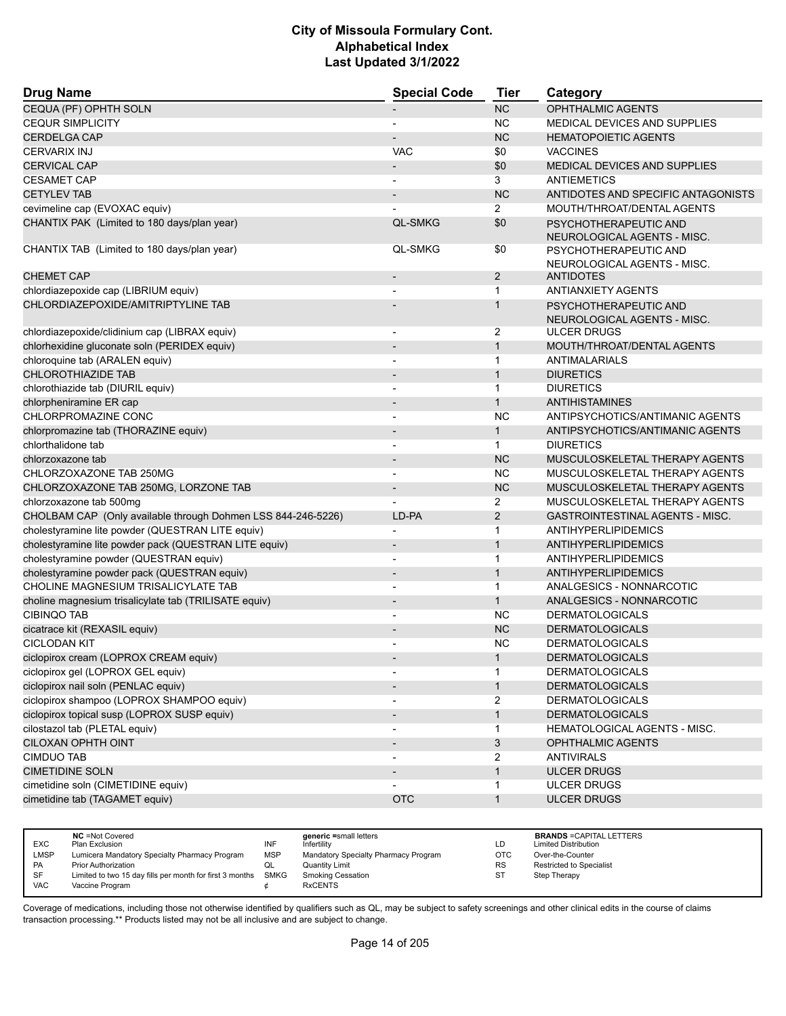| <b>Drug Name</b>                                             | <b>Special Code</b>          | Tier           | Category                                             |
|--------------------------------------------------------------|------------------------------|----------------|------------------------------------------------------|
| CEQUA (PF) OPHTH SOLN                                        |                              | <b>NC</b>      | OPHTHALMIC AGENTS                                    |
| <b>CEQUR SIMPLICITY</b>                                      |                              | <b>NC</b>      | <b>MEDICAL DEVICES AND SUPPLIES</b>                  |
| <b>CERDELGA CAP</b>                                          |                              | <b>NC</b>      | <b>HEMATOPOIETIC AGENTS</b>                          |
| <b>CERVARIX INJ</b>                                          | <b>VAC</b>                   | \$0            | <b>VACCINES</b>                                      |
| <b>CERVICAL CAP</b>                                          | $\overline{\phantom{a}}$     | \$0            | <b>MEDICAL DEVICES AND SUPPLIES</b>                  |
| <b>CESAMET CAP</b>                                           |                              | 3              | <b>ANTIEMETICS</b>                                   |
| <b>CETYLEV TAB</b>                                           |                              | <b>NC</b>      | ANTIDOTES AND SPECIFIC ANTAGONISTS                   |
| cevimeline cap (EVOXAC equiv)                                |                              | $\overline{2}$ | MOUTH/THROAT/DENTAL AGENTS                           |
| CHANTIX PAK (Limited to 180 days/plan year)                  | <b>QL-SMKG</b>               | \$0            | PSYCHOTHERAPEUTIC AND<br>NEUROLOGICAL AGENTS - MISC. |
| CHANTIX TAB (Limited to 180 days/plan year)                  | <b>QL-SMKG</b>               | \$0            | PSYCHOTHERAPEUTIC AND<br>NEUROLOGICAL AGENTS - MISC. |
| <b>CHEMET CAP</b>                                            |                              | $\overline{2}$ | <b>ANTIDOTES</b>                                     |
| chlordiazepoxide cap (LIBRIUM equiv)                         |                              | 1              | <b>ANTIANXIETY AGENTS</b>                            |
| CHLORDIAZEPOXIDE/AMITRIPTYLINE TAB                           |                              | 1              | PSYCHOTHERAPEUTIC AND<br>NEUROLOGICAL AGENTS - MISC. |
| chlordiazepoxide/clidinium cap (LIBRAX equiv)                | $\overline{\phantom{a}}$     | 2              | <b>ULCER DRUGS</b>                                   |
| chlorhexidine gluconate soln (PERIDEX equiv)                 |                              | $\mathbf{1}$   | MOUTH/THROAT/DENTAL AGENTS                           |
| chloroquine tab (ARALEN equiv)                               |                              | 1              | ANTIMALARIALS                                        |
| <b>CHLOROTHIAZIDE TAB</b>                                    |                              | $\mathbf{1}$   | <b>DIURETICS</b>                                     |
| chlorothiazide tab (DIURIL equiv)                            | $\overline{a}$               | 1              | <b>DIURETICS</b>                                     |
| chlorpheniramine ER cap                                      |                              | $\mathbf{1}$   | ANTIHISTAMINES                                       |
| CHLORPROMAZINE CONC                                          |                              | <b>NC</b>      | ANTIPSYCHOTICS/ANTIMANIC AGENTS                      |
| chlorpromazine tab (THORAZINE equiv)                         | $\qquad \qquad \blacksquare$ | $\mathbf{1}$   | ANTIPSYCHOTICS/ANTIMANIC AGENTS                      |
| chlorthalidone tab                                           |                              | $\mathbf{1}$   | <b>DIURETICS</b>                                     |
| chlorzoxazone tab                                            |                              | <b>NC</b>      | MUSCULOSKELETAL THERAPY AGENTS                       |
| CHLORZOXAZONE TAB 250MG                                      | $\overline{a}$               | <b>NC</b>      | MUSCULOSKELETAL THERAPY AGENTS                       |
| CHLORZOXAZONE TAB 250MG, LORZONE TAB                         |                              | <b>NC</b>      | MUSCULOSKELETAL THERAPY AGENTS                       |
| chlorzoxazone tab 500mg                                      |                              | 2              | MUSCULOSKELETAL THERAPY AGENTS                       |
| CHOLBAM CAP (Only available through Dohmen LSS 844-246-5226) | LD-PA                        | $\overline{2}$ | <b>GASTROINTESTINAL AGENTS - MISC.</b>               |
| cholestyramine lite powder (QUESTRAN LITE equiv)             |                              | 1              | ANTIHYPERLIPIDEMICS                                  |
| cholestyramine lite powder pack (QUESTRAN LITE equiv)        |                              | $\mathbf{1}$   | <b>ANTIHYPERLIPIDEMICS</b>                           |
| cholestyramine powder (QUESTRAN equiv)                       | $\overline{a}$               | $\mathbf{1}$   | ANTIHYPERLIPIDEMICS                                  |
| cholestyramine powder pack (QUESTRAN equiv)                  |                              | $\mathbf{1}$   | ANTIHYPERLIPIDEMICS                                  |
| CHOLINE MAGNESIUM TRISALICYLATE TAB                          |                              | 1              | ANALGESICS - NONNARCOTIC                             |
| choline magnesium trisalicylate tab (TRILISATE equiv)        | $\overline{\phantom{m}}$     | $\mathbf{1}$   | ANALGESICS - NONNARCOTIC                             |
| <b>CIBINQO TAB</b>                                           |                              | <b>NC</b>      | <b>DERMATOLOGICALS</b>                               |
| cicatrace kit (REXASIL equiv)                                |                              | <b>NC</b>      | <b>DERMATOLOGICALS</b>                               |
| <b>CICLODAN KIT</b>                                          |                              | <b>NC</b>      | <b>DERMATOLOGICALS</b>                               |
| ciclopirox cream (LOPROX CREAM equiv)                        |                              |                | <b>DERMATOLOGICALS</b>                               |
| ciclopirox gel (LOPROX GEL equiv)                            |                              | 1              | <b>DERMATOLOGICALS</b>                               |
| ciclopirox nail soln (PENLAC equiv)                          |                              | $\mathbf{1}$   | <b>DERMATOLOGICALS</b>                               |
| ciclopirox shampoo (LOPROX SHAMPOO equiv)                    |                              | $\overline{2}$ | <b>DERMATOLOGICALS</b>                               |
| ciclopirox topical susp (LOPROX SUSP equiv)                  |                              | $\mathbf{1}$   | <b>DERMATOLOGICALS</b>                               |
| cilostazol tab (PLETAL equiv)                                |                              | 1              | HEMATOLOGICAL AGENTS - MISC.                         |
| CILOXAN OPHTH OINT                                           | $\overline{\phantom{a}}$     | 3              | <b>OPHTHALMIC AGENTS</b>                             |
| <b>CIMDUO TAB</b>                                            |                              | 2              | <b>ANTIVIRALS</b>                                    |
| <b>CIMETIDINE SOLN</b>                                       |                              | $\mathbf{1}$   | <b>ULCER DRUGS</b>                                   |
| cimetidine soln (CIMETIDINE equiv)                           |                              | 1              | <b>ULCER DRUGS</b>                                   |
| cimetidine tab (TAGAMET equiv)                               | <b>OTC</b>                   | $\mathbf{1}$   | <b>ULCER DRUGS</b>                                   |

|            | <b>NC</b> = Not Covered                                       |            | generic =small letters               |           | <b>BRANDS = CAPITAL LETTERS</b> |
|------------|---------------------------------------------------------------|------------|--------------------------------------|-----------|---------------------------------|
| <b>EXC</b> | Plan Exclusion                                                | INF        | Infertility                          | LD        | <b>Limited Distribution</b>     |
| LMSP       | Lumicera Mandatory Specialty Pharmacy Program                 | <b>MSP</b> | Mandatory Specialty Pharmacy Program | OTC       | Over-the-Counter                |
| <b>PA</b>  | <b>Prior Authorization</b>                                    |            | <b>Quantity Limit</b>                | <b>RS</b> | <b>Restricted to Specialist</b> |
| SF         | Limited to two 15 day fills per month for first 3 months SMKG |            | <b>Smoking Cessation</b>             | ST        | Step Therapy                    |
| <b>VAC</b> | Vaccine Program                                               |            | <b>RxCENTS</b>                       |           |                                 |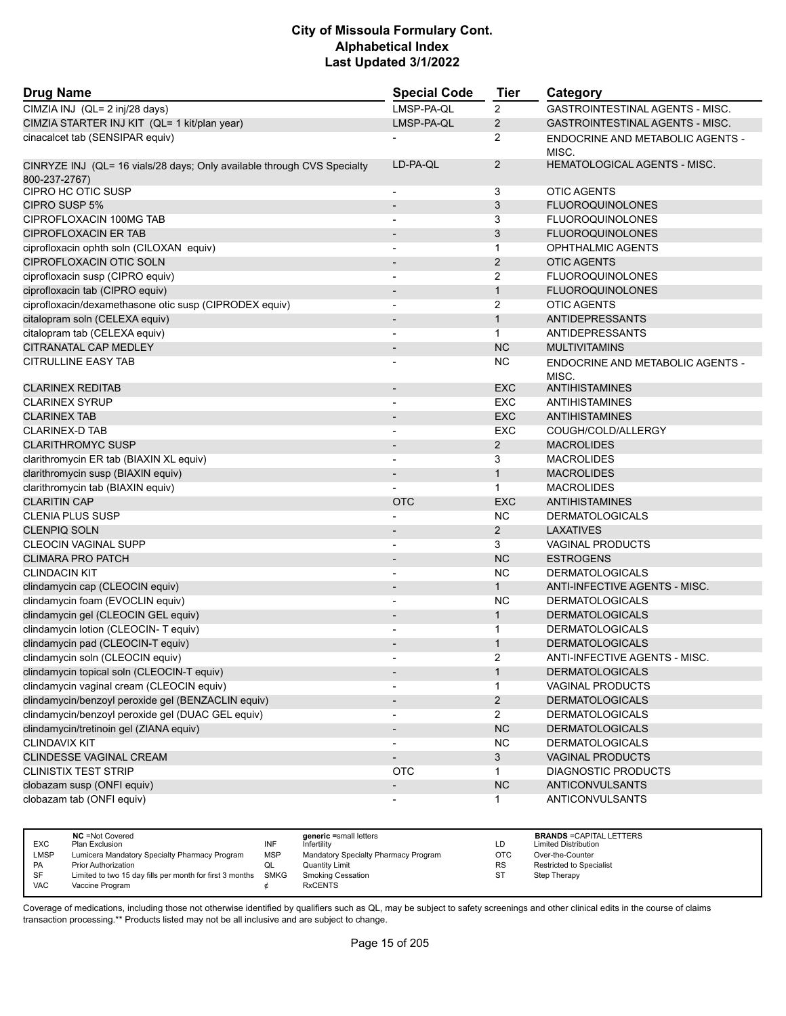| <b>Drug Name</b>                                                                         | <b>Special Code</b>      | Tier           | Category                                  |
|------------------------------------------------------------------------------------------|--------------------------|----------------|-------------------------------------------|
| CIMZIA INJ (QL= 2 inj/28 days)                                                           | LMSP-PA-QL               | $\overline{2}$ | GASTROINTESTINAL AGENTS - MISC.           |
| CIMZIA STARTER INJ KIT (QL= 1 kit/plan year)                                             | LMSP-PA-QL               | $\overline{c}$ | <b>GASTROINTESTINAL AGENTS - MISC.</b>    |
| cinacalcet tab (SENSIPAR equiv)                                                          |                          | 2              | ENDOCRINE AND METABOLIC AGENTS -<br>MISC. |
| CINRYZE INJ (QL= 16 vials/28 days; Only available through CVS Specialty<br>800-237-2767) | LD-PA-QL                 | 2              | <b>HEMATOLOGICAL AGENTS - MISC.</b>       |
| CIPRO HC OTIC SUSP                                                                       |                          | 3              | <b>OTIC AGENTS</b>                        |
| CIPRO SUSP 5%                                                                            |                          | 3              | <b>FLUOROQUINOLONES</b>                   |
| CIPROFLOXACIN 100MG TAB                                                                  | $\overline{\phantom{a}}$ | 3              | <b>FLUOROQUINOLONES</b>                   |
| <b>CIPROFLOXACIN ER TAB</b>                                                              |                          | 3              | <b>FLUOROQUINOLONES</b>                   |
| ciprofloxacin ophth soln (CILOXAN equiv)                                                 |                          | $\mathbf{1}$   | <b>OPHTHALMIC AGENTS</b>                  |
| CIPROFLOXACIN OTIC SOLN                                                                  | $\overline{\phantom{a}}$ | 2              | <b>OTIC AGENTS</b>                        |
| ciprofloxacin susp (CIPRO equiv)                                                         |                          | 2              | <b>FLUOROQUINOLONES</b>                   |
| ciprofloxacin tab (CIPRO equiv)                                                          |                          | $\mathbf{1}$   | <b>FLUOROQUINOLONES</b>                   |
| ciprofloxacin/dexamethasone otic susp (CIPRODEX equiv)                                   | $\blacksquare$           | 2              | <b>OTIC AGENTS</b>                        |
| citalopram soln (CELEXA equiv)                                                           | $\blacksquare$           | $\mathbf{1}$   | <b>ANTIDEPRESSANTS</b>                    |
| citalopram tab (CELEXA equiv)                                                            |                          | $\mathbf{1}$   | ANTIDEPRESSANTS                           |
| CITRANATAL CAP MEDLEY                                                                    |                          | <b>NC</b>      | <b>MULTIVITAMINS</b>                      |
| <b>CITRULLINE EASY TAB</b>                                                               |                          | <b>NC</b>      | ENDOCRINE AND METABOLIC AGENTS -<br>MISC. |
| <b>CLARINEX REDITAB</b>                                                                  | $\overline{\phantom{a}}$ | <b>EXC</b>     | <b>ANTIHISTAMINES</b>                     |
| <b>CLARINEX SYRUP</b>                                                                    |                          | EXC            | ANTIHISTAMINES                            |
| <b>CLARINEX TAB</b>                                                                      |                          | <b>EXC</b>     | <b>ANTIHISTAMINES</b>                     |
| <b>CLARINEX-D TAB</b>                                                                    |                          | EXC            | COUGH/COLD/ALLERGY                        |
| <b>CLARITHROMYC SUSP</b>                                                                 |                          | 2              | <b>MACROLIDES</b>                         |
| clarithromycin ER tab (BIAXIN XL equiv)                                                  |                          | 3              | <b>MACROLIDES</b>                         |
| clarithromycin susp (BIAXIN equiv)                                                       | $\blacksquare$           | $\mathbf{1}$   | <b>MACROLIDES</b>                         |
| clarithromycin tab (BIAXIN equiv)                                                        |                          | $\mathbf{1}$   | <b>MACROLIDES</b>                         |
| <b>CLARITIN CAP</b>                                                                      | <b>OTC</b>               | <b>EXC</b>     | <b>ANTIHISTAMINES</b>                     |
| <b>CLENIA PLUS SUSP</b>                                                                  |                          | <b>NC</b>      | <b>DERMATOLOGICALS</b>                    |
| <b>CLENPIQ SOLN</b>                                                                      |                          | $\overline{2}$ | <b>LAXATIVES</b>                          |
| <b>CLEOCIN VAGINAL SUPP</b>                                                              |                          | 3              | VAGINAL PRODUCTS                          |
| <b>CLIMARA PRO PATCH</b>                                                                 | $\overline{\phantom{a}}$ | <b>NC</b>      | <b>ESTROGENS</b>                          |
| <b>CLINDACIN KIT</b>                                                                     |                          | NC.            | <b>DERMATOLOGICALS</b>                    |
| clindamycin cap (CLEOCIN equiv)                                                          | $\overline{\phantom{a}}$ | $\mathbf{1}$   | ANTI-INFECTIVE AGENTS - MISC.             |
| clindamycin foam (EVOCLIN equiv)                                                         |                          | ΝC             | <b>DERMATOLOGICALS</b>                    |
| clindamycin gel (CLEOCIN GEL equiv)                                                      |                          | $\mathbf{1}$   | <b>DERMATOLOGICALS</b>                    |
| clindamycin lotion (CLEOCIN- T equiv)                                                    |                          | 1              | <b>DERMATOLOGICALS</b>                    |
| clindamycin pad (CLEOCIN-T equiv)                                                        |                          | $\mathbf{1}$   | <b>DERMATOLOGICALS</b>                    |
| clindamycin soln (CLEOCIN equiv)                                                         |                          | 2              | ANTI-INFECTIVE AGENTS - MISC.             |
| clindamycin topical soln (CLEOCIN-T equiv)                                               |                          | $\mathbf{1}$   | <b>DERMATOLOGICALS</b>                    |
| clindamycin vaginal cream (CLEOCIN equiv)                                                |                          | 1              | <b>VAGINAL PRODUCTS</b>                   |
| clindamycin/benzoyl peroxide gel (BENZACLIN equiv)                                       |                          | $\overline{c}$ | <b>DERMATOLOGICALS</b>                    |
| clindamycin/benzoyl peroxide gel (DUAC GEL equiv)                                        |                          | $\overline{2}$ | <b>DERMATOLOGICALS</b>                    |
| clindamycin/tretinoin gel (ZIANA equiv)                                                  |                          | NC             | <b>DERMATOLOGICALS</b>                    |
| <b>CLINDAVIX KIT</b>                                                                     |                          | <b>NC</b>      | <b>DERMATOLOGICALS</b>                    |
| CLINDESSE VAGINAL CREAM                                                                  | $\overline{\phantom{a}}$ | $\mathbf{3}$   | <b>VAGINAL PRODUCTS</b>                   |
| <b>CLINISTIX TEST STRIP</b>                                                              | <b>OTC</b>               | 1              | <b>DIAGNOSTIC PRODUCTS</b>                |
| clobazam susp (ONFI equiv)                                                               | $\overline{\phantom{a}}$ | NC             | ANTICONVULSANTS                           |
| clobazam tab (ONFI equiv)                                                                |                          | 1              | <b>ANTICONVULSANTS</b>                    |

|            | <b>NC</b> = Not Covered                                  |            | generic =small letters               |            | <b>BRANDS = CAPITAL LETTERS</b> |
|------------|----------------------------------------------------------|------------|--------------------------------------|------------|---------------------------------|
| <b>EXC</b> | Plan Exclusion                                           | INF        | Infertilitv                          | LD         | <b>Limited Distribution</b>     |
| LMSP       | Lumicera Mandatory Specialty Pharmacy Program            | <b>MSP</b> | Mandatory Specialty Pharmacy Program | <b>OTC</b> | Over-the-Counter                |
| <b>PA</b>  | <b>Prior Authorization</b>                               |            | Quantity Limit                       | <b>RS</b>  | <b>Restricted to Specialist</b> |
| SF         | Limited to two 15 day fills per month for first 3 months | SMKG       | Smoking Cessation                    | <b>ST</b>  | Step Therapy                    |
| VAC        | Vaccine Program                                          |            | <b>RxCENTS</b>                       |            |                                 |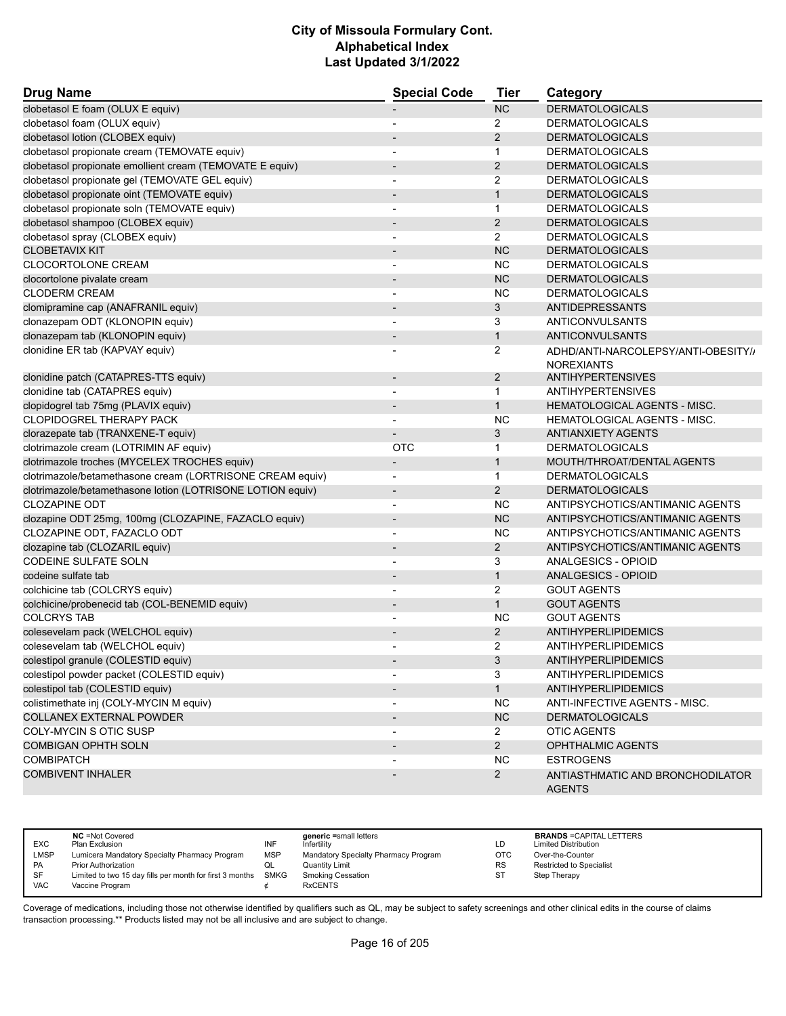| <b>Drug Name</b>                                           | <b>Special Code</b>          | <b>Tier</b>    | Category                                                 |
|------------------------------------------------------------|------------------------------|----------------|----------------------------------------------------------|
| clobetasol E foam (OLUX E equiv)                           |                              | NC             | <b>DERMATOLOGICALS</b>                                   |
| clobetasol foam (OLUX equiv)                               | $\overline{\phantom{a}}$     | 2              | <b>DERMATOLOGICALS</b>                                   |
| clobetasol lotion (CLOBEX equiv)                           |                              | $\overline{2}$ | <b>DERMATOLOGICALS</b>                                   |
| clobetasol propionate cream (TEMOVATE equiv)               | $\overline{\phantom{a}}$     | 1              | <b>DERMATOLOGICALS</b>                                   |
| clobetasol propionate emollient cream (TEMOVATE E equiv)   |                              | $\overline{2}$ | <b>DERMATOLOGICALS</b>                                   |
| clobetasol propionate gel (TEMOVATE GEL equiv)             |                              | $\overline{2}$ | <b>DERMATOLOGICALS</b>                                   |
| clobetasol propionate oint (TEMOVATE equiv)                | $\overline{\phantom{a}}$     | $\mathbf{1}$   | <b>DERMATOLOGICALS</b>                                   |
| clobetasol propionate soln (TEMOVATE equiv)                | $\overline{\phantom{a}}$     | 1              | <b>DERMATOLOGICALS</b>                                   |
| clobetasol shampoo (CLOBEX equiv)                          |                              | $\overline{2}$ | <b>DERMATOLOGICALS</b>                                   |
| clobetasol spray (CLOBEX equiv)                            | $\overline{\phantom{a}}$     | $\overline{2}$ | <b>DERMATOLOGICALS</b>                                   |
| <b>CLOBETAVIX KIT</b>                                      |                              | <b>NC</b>      | <b>DERMATOLOGICALS</b>                                   |
| <b>CLOCORTOLONE CREAM</b>                                  |                              | <b>NC</b>      | <b>DERMATOLOGICALS</b>                                   |
| clocortolone pivalate cream                                | $\overline{\phantom{a}}$     | <b>NC</b>      | <b>DERMATOLOGICALS</b>                                   |
| <b>CLODERM CREAM</b>                                       | $\overline{\phantom{a}}$     | <b>NC</b>      | <b>DERMATOLOGICALS</b>                                   |
| clomipramine cap (ANAFRANIL equiv)                         |                              | 3              | ANTIDEPRESSANTS                                          |
| clonazepam ODT (KLONOPIN equiv)                            |                              | 3              | ANTICONVULSANTS                                          |
| clonazepam tab (KLONOPIN equiv)                            | $\overline{\phantom{a}}$     | $\mathbf{1}$   | ANTICONVULSANTS                                          |
| clonidine ER tab (KAPVAY equiv)                            |                              | 2              | ADHD/ANTI-NARCOLEPSY/ANTI-OBESITY//<br><b>NOREXIANTS</b> |
| clonidine patch (CATAPRES-TTS equiv)                       | $\qquad \qquad \blacksquare$ | 2              | <b>ANTIHYPERTENSIVES</b>                                 |
| clonidine tab (CATAPRES equiv)                             |                              | $\mathbf{1}$   | <b>ANTIHYPERTENSIVES</b>                                 |
| clopidogrel tab 75mg (PLAVIX equiv)                        | $\blacksquare$               | $\mathbf{1}$   | <b>HEMATOLOGICAL AGENTS - MISC.</b>                      |
| CLOPIDOGREL THERAPY PACK                                   |                              | <b>NC</b>      | <b>HEMATOLOGICAL AGENTS - MISC.</b>                      |
| clorazepate tab (TRANXENE-T equiv)                         |                              | 3              | <b>ANTIANXIETY AGENTS</b>                                |
| clotrimazole cream (LOTRIMIN AF equiv)                     | <b>OTC</b>                   | 1              | <b>DERMATOLOGICALS</b>                                   |
| clotrimazole troches (MYCELEX TROCHES equiv)               | $\overline{\phantom{a}}$     | $\mathbf{1}$   | MOUTH/THROAT/DENTAL AGENTS                               |
| clotrimazole/betamethasone cream (LORTRISONE CREAM equiv)  | $\overline{\phantom{a}}$     | $\mathbf 1$    | <b>DERMATOLOGICALS</b>                                   |
| clotrimazole/betamethasone lotion (LOTRISONE LOTION equiv) | $\overline{\phantom{a}}$     | $\overline{2}$ | <b>DERMATOLOGICALS</b>                                   |
| <b>CLOZAPINE ODT</b>                                       |                              | <b>NC</b>      | ANTIPSYCHOTICS/ANTIMANIC AGENTS                          |
| clozapine ODT 25mg, 100mg (CLOZAPINE, FAZACLO equiv)       | $\overline{\phantom{a}}$     | <b>NC</b>      | ANTIPSYCHOTICS/ANTIMANIC AGENTS                          |
| CLOZAPINE ODT, FAZACLO ODT                                 | $\overline{\phantom{a}}$     | <b>NC</b>      | ANTIPSYCHOTICS/ANTIMANIC AGENTS                          |
| clozapine tab (CLOZARIL equiv)                             |                              | $\overline{2}$ | ANTIPSYCHOTICS/ANTIMANIC AGENTS                          |
| <b>CODEINE SULFATE SOLN</b>                                | $\overline{a}$               | 3              | ANALGESICS - OPIOID                                      |
| codeine sulfate tab                                        | $\blacksquare$               | $\mathbf{1}$   | ANALGESICS - OPIOID                                      |
| colchicine tab (COLCRYS equiv)                             |                              | $\overline{2}$ | <b>GOUT AGENTS</b>                                       |
| colchicine/probenecid tab (COL-BENEMID equiv)              |                              | $\mathbf{1}$   | <b>GOUT AGENTS</b>                                       |
| <b>COLCRYS TAB</b>                                         |                              | <b>NC</b>      | <b>GOUT AGENTS</b>                                       |
| colesevelam pack (WELCHOL equiv)                           |                              | $\overline{2}$ | <b>ANTIHYPERLIPIDEMICS</b>                               |
| colesevelam tab (WELCHOL equiv)                            |                              | 2              | ANTIHYPERLIPIDEMICS                                      |
| colestipol granule (COLESTID equiv)                        |                              | 3              | ANTIHYPERLIPIDEMICS                                      |
| colestipol powder packet (COLESTID equiv)                  |                              | 3              | <b>ANTIHYPERLIPIDEMICS</b>                               |
| colestipol tab (COLESTID equiv)                            |                              | $\mathbf{1}$   | <b>ANTIHYPERLIPIDEMICS</b>                               |
| colistimethate inj (COLY-MYCIN M equiv)                    |                              | <b>NC</b>      | <b>ANTI-INFECTIVE AGENTS - MISC.</b>                     |
| <b>COLLANEX EXTERNAL POWDER</b>                            | $\overline{\phantom{a}}$     | NC             | <b>DERMATOLOGICALS</b>                                   |
| COLY-MYCIN S OTIC SUSP                                     |                              | $\mathbf{2}$   | <b>OTIC AGENTS</b>                                       |
| <b>COMBIGAN OPHTH SOLN</b>                                 |                              | $2^{\circ}$    | OPHTHALMIC AGENTS                                        |
| <b>COMBIPATCH</b>                                          |                              | <b>NC</b>      | <b>ESTROGENS</b>                                         |
| <b>COMBIVENT INHALER</b>                                   |                              | $\overline{2}$ | ANTIASTHMATIC AND BRONCHODILATOR                         |
|                                                            |                              |                | <b>AGENTS</b>                                            |

| <b>EXC</b><br>LMSP | <b>NC</b> = Not Covered<br>Plan Exclusion<br>Lumicera Mandatory Specialty Pharmacy Program | INF<br>MSP | generic =small letters<br>Infertility<br>Mandatory Specialty Pharmacy Program | LD<br>OTC | <b>BRANDS = CAPITAL LETTERS</b><br><b>Limited Distribution</b><br>Over-the-Counter |
|--------------------|--------------------------------------------------------------------------------------------|------------|-------------------------------------------------------------------------------|-----------|------------------------------------------------------------------------------------|
| PA                 | <b>Prior Authorization</b>                                                                 | QL         | <b>Quantity Limit</b>                                                         | <b>RS</b> | <b>Restricted to Specialist</b>                                                    |
| <b>SF</b>          | Limited to two 15 day fills per month for first 3 months SMKG                              |            | <b>Smoking Cessation</b>                                                      | ST        | Step Therapy                                                                       |
| <b>VAC</b>         | Vaccine Program                                                                            |            | <b>RxCENTS</b>                                                                |           |                                                                                    |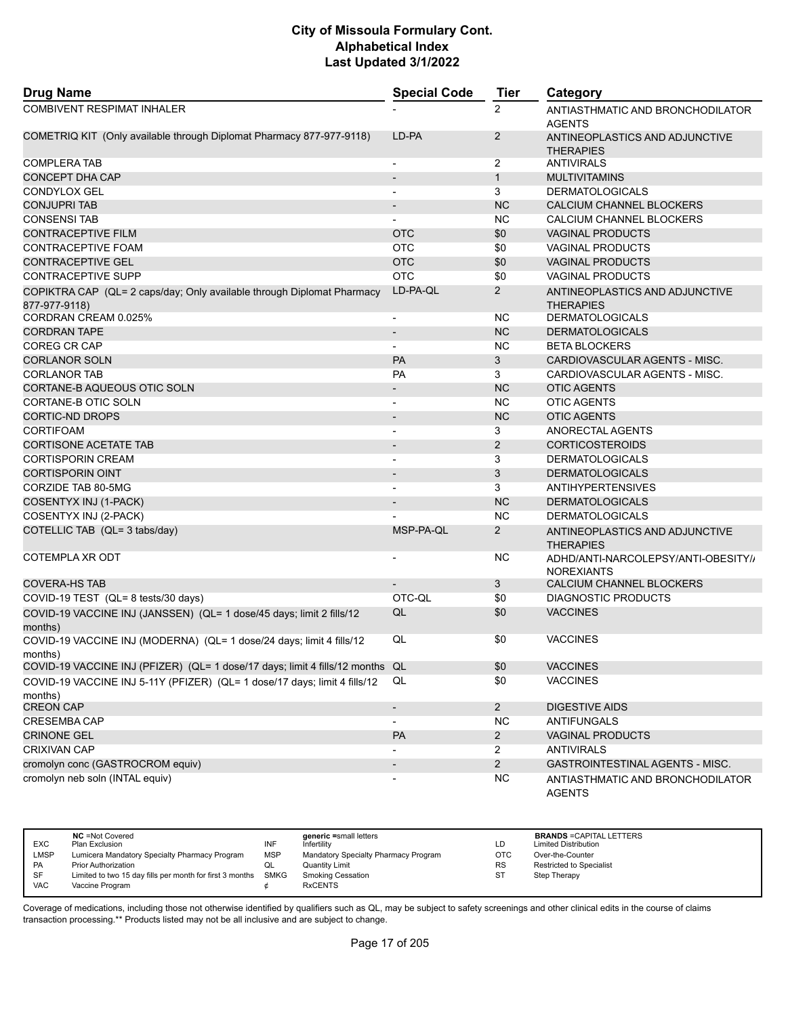| <b>Drug Name</b>                                                                        | <b>Special Code</b>      | <b>Tier</b>    | Category                                                 |
|-----------------------------------------------------------------------------------------|--------------------------|----------------|----------------------------------------------------------|
| <b>COMBIVENT RESPIMAT INHALER</b>                                                       |                          | 2              | ANTIASTHMATIC AND BRONCHODILATOR<br><b>AGENTS</b>        |
| COMETRIQ KIT (Only available through Diplomat Pharmacy 877-977-9118)                    | LD-PA                    | 2              | ANTINEOPLASTICS AND ADJUNCTIVE<br><b>THERAPIES</b>       |
| <b>COMPLERA TAB</b>                                                                     | $\overline{\phantom{a}}$ | 2              | <b>ANTIVIRALS</b>                                        |
| <b>CONCEPT DHA CAP</b>                                                                  |                          | $\mathbf{1}$   | <b>MULTIVITAMINS</b>                                     |
| <b>CONDYLOX GEL</b>                                                                     | $\blacksquare$           | 3              | <b>DERMATOLOGICALS</b>                                   |
| <b>CONJUPRI TAB</b>                                                                     | $\overline{\phantom{a}}$ | <b>NC</b>      | CALCIUM CHANNEL BLOCKERS                                 |
| <b>CONSENSI TAB</b>                                                                     |                          | <b>NC</b>      | CALCIUM CHANNEL BLOCKERS                                 |
| <b>CONTRACEPTIVE FILM</b>                                                               | <b>OTC</b>               | \$0            | <b>VAGINAL PRODUCTS</b>                                  |
| CONTRACEPTIVE FOAM                                                                      | <b>OTC</b>               | \$0            | <b>VAGINAL PRODUCTS</b>                                  |
| <b>CONTRACEPTIVE GEL</b>                                                                | <b>OTC</b>               | \$0            | <b>VAGINAL PRODUCTS</b>                                  |
| <b>CONTRACEPTIVE SUPP</b>                                                               | <b>OTC</b>               | \$0            | <b>VAGINAL PRODUCTS</b>                                  |
| COPIKTRA CAP (QL= 2 caps/day; Only available through Diplomat Pharmacy<br>877-977-9118) | LD-PA-QL                 | $\overline{2}$ | ANTINEOPLASTICS AND ADJUNCTIVE<br><b>THERAPIES</b>       |
| CORDRAN CREAM 0.025%                                                                    | $\overline{\phantom{a}}$ | NC.            | <b>DERMATOLOGICALS</b>                                   |
| <b>CORDRAN TAPE</b>                                                                     | $\overline{\phantom{a}}$ | <b>NC</b>      | <b>DERMATOLOGICALS</b>                                   |
| COREG CR CAP                                                                            |                          | <b>NC</b>      | <b>BETA BLOCKERS</b>                                     |
| <b>CORLANOR SOLN</b>                                                                    | <b>PA</b>                | 3              | CARDIOVASCULAR AGENTS - MISC.                            |
| <b>CORLANOR TAB</b>                                                                     | <b>PA</b>                | 3              | CARDIOVASCULAR AGENTS - MISC.                            |
| CORTANE-B AQUEOUS OTIC SOLN                                                             | $\overline{\phantom{a}}$ | <b>NC</b>      | <b>OTIC AGENTS</b>                                       |
| CORTANE-B OTIC SOLN                                                                     | $\overline{\phantom{a}}$ | NC.            | <b>OTIC AGENTS</b>                                       |
| <b>CORTIC-ND DROPS</b>                                                                  |                          | <b>NC</b>      | <b>OTIC AGENTS</b>                                       |
| <b>CORTIFOAM</b>                                                                        | $\overline{\phantom{a}}$ | 3              | ANORECTAL AGENTS                                         |
| <b>CORTISONE ACETATE TAB</b>                                                            | $\overline{\phantom{0}}$ | $\overline{2}$ | <b>CORTICOSTEROIDS</b>                                   |
| <b>CORTISPORIN CREAM</b>                                                                | $\blacksquare$           | 3              | <b>DERMATOLOGICALS</b>                                   |
| <b>CORTISPORIN OINT</b>                                                                 |                          | 3              | <b>DERMATOLOGICALS</b>                                   |
| CORZIDE TAB 80-5MG                                                                      | $\overline{\phantom{a}}$ | 3              | <b>ANTIHYPERTENSIVES</b>                                 |
| COSENTYX INJ (1-PACK)                                                                   |                          | <b>NC</b>      | <b>DERMATOLOGICALS</b>                                   |
| COSENTYX INJ (2-PACK)                                                                   |                          | <b>NC</b>      | <b>DERMATOLOGICALS</b>                                   |
| COTELLIC TAB (QL= 3 tabs/day)                                                           | MSP-PA-QL                | $\overline{2}$ | ANTINEOPLASTICS AND ADJUNCTIVE<br><b>THERAPIES</b>       |
| COTEMPLA XR ODT                                                                         |                          | ΝC             | ADHD/ANTI-NARCOLEPSY/ANTI-OBESITY//<br><b>NOREXIANTS</b> |
| <b>COVERA-HS TAB</b>                                                                    |                          | 3              | CALCIUM CHANNEL BLOCKERS                                 |
| COVID-19 TEST (QL= 8 tests/30 days)                                                     | OTC-QL                   | \$0            | <b>DIAGNOSTIC PRODUCTS</b>                               |
| COVID-19 VACCINE INJ (JANSSEN) (QL= 1 dose/45 days; limit 2 fills/12<br>months)         | QL                       | \$0            | <b>VACCINES</b>                                          |
| COVID-19 VACCINE INJ (MODERNA) (QL= 1 dose/24 days; limit 4 fills/12<br>months)         | QL                       | \$0            | <b>VACCINES</b>                                          |
| COVID-19 VACCINE INJ (PFIZER) (QL= 1 dose/17 days; limit 4 fills/12 months QL           |                          | \$0            | <b>VACCINES</b>                                          |
| COVID-19 VACCINE INJ 5-11Y (PFIZER) (QL= 1 dose/17 days; limit 4 fills/12<br>months)    | QL                       | \$0            | <b>VACCINES</b>                                          |
| <b>CREON CAP</b>                                                                        | $\overline{\phantom{a}}$ | $2^{\circ}$    | <b>DIGESTIVE AIDS</b>                                    |
| <b>CRESEMBA CAP</b>                                                                     | $\overline{\phantom{a}}$ | <b>NC</b>      | <b>ANTIFUNGALS</b>                                       |
| <b>CRINONE GEL</b>                                                                      | <b>PA</b>                | $\overline{2}$ | <b>VAGINAL PRODUCTS</b>                                  |
| <b>CRIXIVAN CAP</b>                                                                     |                          | $\overline{2}$ | <b>ANTIVIRALS</b>                                        |
| cromolyn conc (GASTROCROM equiv)                                                        | $\overline{\phantom{a}}$ | $\overline{2}$ | GASTROINTESTINAL AGENTS - MISC.                          |
| cromolyn neb soln (INTAL equiv)                                                         |                          | <b>NC</b>      | ANTIASTHMATIC AND BRONCHODILATOR<br><b>AGENTS</b>        |

|             | <b>NC</b> = Not Covered                                       |            | generic =small letters               |            | <b>BRANDS = CAPITAL LETTERS</b> |
|-------------|---------------------------------------------------------------|------------|--------------------------------------|------------|---------------------------------|
| <b>EXC</b>  | Plan Exclusion                                                | INF        | Infertility                          | LD         | <b>Limited Distribution</b>     |
| <b>LMSP</b> | Lumicera Mandatory Specialty Pharmacy Program                 | <b>MSP</b> | Mandatory Specialty Pharmacy Program | <b>OTC</b> | Over-the-Counter                |
| PA          | <b>Prior Authorization</b>                                    | QL         | Quantity Limit                       | <b>RS</b>  | <b>Restricted to Specialist</b> |
| SF          | Limited to two 15 day fills per month for first 3 months SMKG |            | <b>Smoking Cessation</b>             | ST         | Step Therapy                    |
| VAC         | Vaccine Program                                               |            | <b>RxCENTS</b>                       |            |                                 |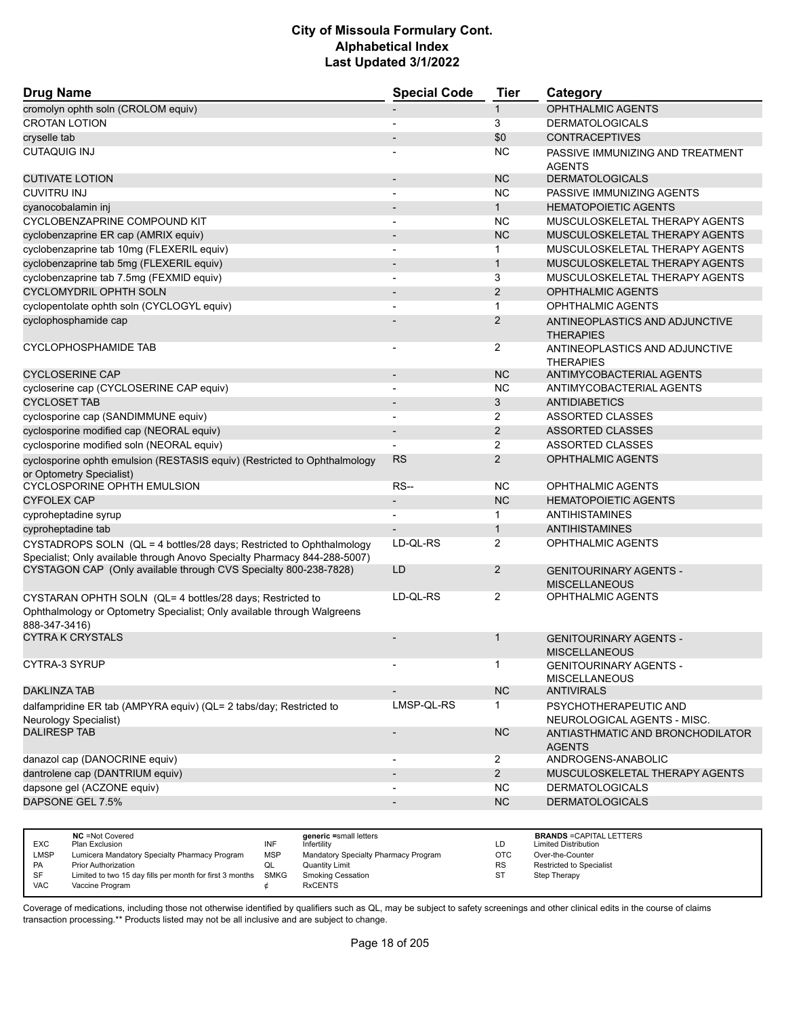| <b>Drug Name</b>                                                                                                                                                                                                                                                                          | <b>Special Code</b>      | <b>Tier</b>            | Category                                                                                                       |
|-------------------------------------------------------------------------------------------------------------------------------------------------------------------------------------------------------------------------------------------------------------------------------------------|--------------------------|------------------------|----------------------------------------------------------------------------------------------------------------|
| cromolyn ophth soln (CROLOM equiv)                                                                                                                                                                                                                                                        |                          | 1                      | <b>OPHTHALMIC AGENTS</b>                                                                                       |
| <b>CROTAN LOTION</b>                                                                                                                                                                                                                                                                      | $\blacksquare$           | 3                      | <b>DERMATOLOGICALS</b>                                                                                         |
| cryselle tab                                                                                                                                                                                                                                                                              |                          | \$0                    | <b>CONTRACEPTIVES</b>                                                                                          |
| <b>CUTAQUIG INJ</b>                                                                                                                                                                                                                                                                       |                          | <b>NC</b>              | PASSIVE IMMUNIZING AND TREATMENT<br><b>AGENTS</b>                                                              |
| <b>CUTIVATE LOTION</b>                                                                                                                                                                                                                                                                    | $\overline{\phantom{a}}$ | <b>NC</b>              | <b>DERMATOLOGICALS</b>                                                                                         |
| <b>CUVITRU INJ</b>                                                                                                                                                                                                                                                                        | $\overline{\phantom{a}}$ | <b>NC</b>              | PASSIVE IMMUNIZING AGENTS                                                                                      |
| cyanocobalamin inj                                                                                                                                                                                                                                                                        |                          | $\mathbf{1}$           | <b>HEMATOPOIETIC AGENTS</b>                                                                                    |
| CYCLOBENZAPRINE COMPOUND KIT                                                                                                                                                                                                                                                              |                          | <b>NC</b>              | MUSCULOSKELETAL THERAPY AGENTS                                                                                 |
| cyclobenzaprine ER cap (AMRIX equiv)                                                                                                                                                                                                                                                      | $\overline{\phantom{a}}$ | <b>NC</b>              | MUSCULOSKELETAL THERAPY AGENTS                                                                                 |
| cyclobenzaprine tab 10mg (FLEXERIL equiv)                                                                                                                                                                                                                                                 | $\overline{\phantom{a}}$ | $\mathbf 1$            | MUSCULOSKELETAL THERAPY AGENTS                                                                                 |
| cyclobenzaprine tab 5mg (FLEXERIL equiv)                                                                                                                                                                                                                                                  |                          | $\mathbf{1}$           | MUSCULOSKELETAL THERAPY AGENTS                                                                                 |
| cyclobenzaprine tab 7.5mg (FEXMID equiv)                                                                                                                                                                                                                                                  | $\overline{\phantom{a}}$ | 3                      | MUSCULOSKELETAL THERAPY AGENTS                                                                                 |
| <b>CYCLOMYDRIL OPHTH SOLN</b>                                                                                                                                                                                                                                                             |                          | 2                      | <b>OPHTHALMIC AGENTS</b>                                                                                       |
| cyclopentolate ophth soln (CYCLOGYL equiv)                                                                                                                                                                                                                                                |                          | $\mathbf{1}$           | <b>OPHTHALMIC AGENTS</b>                                                                                       |
| cyclophosphamide cap                                                                                                                                                                                                                                                                      |                          | $\overline{2}$         | ANTINEOPLASTICS AND ADJUNCTIVE<br><b>THERAPIES</b>                                                             |
| CYCLOPHOSPHAMIDE TAB                                                                                                                                                                                                                                                                      |                          | $\overline{2}$         | ANTINEOPLASTICS AND ADJUNCTIVE<br><b>THERAPIES</b>                                                             |
| <b>CYCLOSERINE CAP</b>                                                                                                                                                                                                                                                                    |                          | <b>NC</b>              | ANTIMYCOBACTERIAL AGENTS                                                                                       |
| cycloserine cap (CYCLOSERINE CAP equiv)                                                                                                                                                                                                                                                   | $\blacksquare$           | <b>NC</b>              | ANTIMYCOBACTERIAL AGENTS                                                                                       |
| <b>CYCLOSET TAB</b>                                                                                                                                                                                                                                                                       |                          | 3                      | <b>ANTIDIABETICS</b>                                                                                           |
| cyclosporine cap (SANDIMMUNE equiv)                                                                                                                                                                                                                                                       |                          | $\overline{2}$         | ASSORTED CLASSES                                                                                               |
| cyclosporine modified cap (NEORAL equiv)                                                                                                                                                                                                                                                  | $\overline{\phantom{a}}$ | $\overline{2}$         | <b>ASSORTED CLASSES</b>                                                                                        |
| cyclosporine modified soln (NEORAL equiv)                                                                                                                                                                                                                                                 |                          | 2                      | ASSORTED CLASSES                                                                                               |
| cyclosporine ophth emulsion (RESTASIS equiv) (Restricted to Ophthalmology<br>or Optometry Specialist)                                                                                                                                                                                     | <b>RS</b>                | 2                      | <b>OPHTHALMIC AGENTS</b>                                                                                       |
| CYCLOSPORINE OPHTH EMULSION                                                                                                                                                                                                                                                               | <b>RS--</b>              | <b>NC</b>              | <b>OPHTHALMIC AGENTS</b>                                                                                       |
| <b>CYFOLEX CAP</b>                                                                                                                                                                                                                                                                        | $\overline{\phantom{a}}$ | <b>NC</b>              | <b>HEMATOPOIETIC AGENTS</b>                                                                                    |
| cyproheptadine syrup                                                                                                                                                                                                                                                                      |                          | $\mathbf{1}$           | ANTIHISTAMINES                                                                                                 |
| cyproheptadine tab                                                                                                                                                                                                                                                                        |                          | $\mathbf{1}$           | <b>ANTIHISTAMINES</b>                                                                                          |
| CYSTADROPS SOLN (QL = 4 bottles/28 days; Restricted to Ophthalmology                                                                                                                                                                                                                      | LD-QL-RS                 | 2                      | OPHTHALMIC AGENTS                                                                                              |
| Specialist; Only available through Anovo Specialty Pharmacy 844-288-5007)<br>CYSTAGON CAP (Only available through CVS Specialty 800-238-7828)                                                                                                                                             | LD                       | $\overline{2}$         | <b>GENITOURINARY AGENTS -</b>                                                                                  |
|                                                                                                                                                                                                                                                                                           | LD-QL-RS                 | 2                      | <b>MISCELLANEOUS</b><br><b>OPHTHALMIC AGENTS</b>                                                               |
| CYSTARAN OPHTH SOLN (QL= 4 bottles/28 days; Restricted to<br>Ophthalmology or Optometry Specialist; Only available through Walgreens<br>888-347-3416)                                                                                                                                     |                          |                        |                                                                                                                |
| <b>CYTRA K CRYSTALS</b>                                                                                                                                                                                                                                                                   |                          | 1                      | <b>GENITOURINARY AGENTS -</b><br><b>MISCELLANEOUS</b>                                                          |
| CYTRA-3 SYRUP                                                                                                                                                                                                                                                                             |                          | 1                      | <b>GENITOURINARY AGENTS -</b><br><b>MISCELLANEOUS</b>                                                          |
| <b>DAKLINZA TAB</b>                                                                                                                                                                                                                                                                       |                          | <b>NC</b>              | <b>ANTIVIRALS</b>                                                                                              |
| dalfampridine ER tab (AMPYRA equiv) (QL= 2 tabs/day; Restricted to<br>Neurology Specialist)                                                                                                                                                                                               | LMSP-QL-RS               | $\mathbf{1}$           | PSYCHOTHERAPEUTIC AND<br>NEUROLOGICAL AGENTS - MISC.                                                           |
| <b>DALIRESP TAB</b>                                                                                                                                                                                                                                                                       |                          | NC.                    | ANTIASTHMATIC AND BRONCHODILATOR<br><b>AGENTS</b>                                                              |
| danazol cap (DANOCRINE equiv)                                                                                                                                                                                                                                                             |                          | $\overline{2}$         | ANDROGENS-ANABOLIC                                                                                             |
| dantrolene cap (DANTRIUM equiv)                                                                                                                                                                                                                                                           |                          | $\overline{2}$         | MUSCULOSKELETAL THERAPY AGENTS                                                                                 |
| dapsone gel (ACZONE equiv)                                                                                                                                                                                                                                                                |                          | <b>NC</b>              | <b>DERMATOLOGICALS</b>                                                                                         |
| DAPSONE GEL 7.5%                                                                                                                                                                                                                                                                          |                          | <b>NC</b>              | <b>DERMATOLOGICALS</b>                                                                                         |
|                                                                                                                                                                                                                                                                                           |                          |                        |                                                                                                                |
| <b>NC</b> = Not Covered<br>generic =small letters<br><b>INF</b><br>EXC<br>Infertility<br>Plan Exclusion<br><b>MSP</b><br><b>LMSP</b><br>Lumicera Mandatory Specialty Pharmacy Program<br>Mandatory Specialty Pharmacy Program<br>PA<br>Prior Authorization<br>QL<br><b>Quantity Limit</b> |                          | LD<br><b>OTC</b><br>RS | <b>BRANDS = CAPITAL LETTERS</b><br><b>Limited Distribution</b><br>Over-the-Counter<br>Restricted to Specialist |

Coverage of medications, including those not otherwise identified by qualifiers such as QL, may be subject to safety screenings and other clinical edits in the course of claims transaction processing.\*\* Products listed may not be all inclusive and are subject to change.

SF Limited to two 15 day fills per month for first 3 months SMKG Smoking Cessation ST Step Therapy<br>VAC Vaccine Program  $\phi$  RxCENTS

Vaccine Program  $\phi$  RxCENTS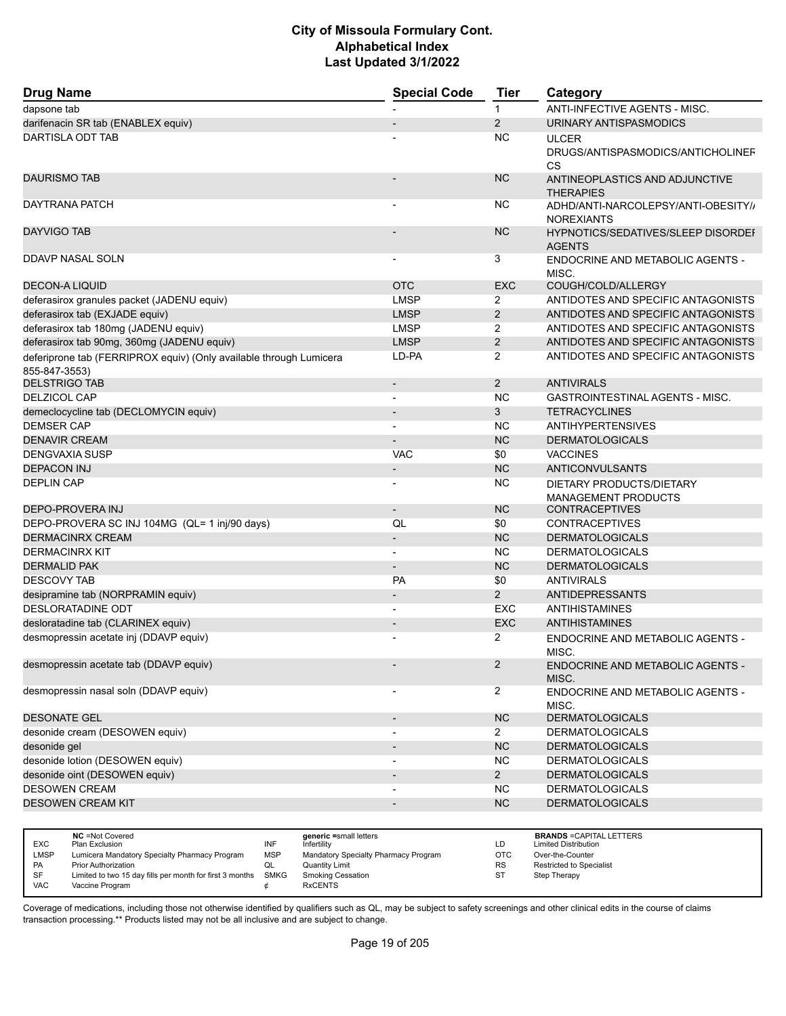| <b>Drug Name</b>                                                                    | <b>Special Code</b>      | <b>Tier</b>    | Category                                                 |
|-------------------------------------------------------------------------------------|--------------------------|----------------|----------------------------------------------------------|
| dapsone tab                                                                         |                          | $\mathbf{1}$   | <b>ANTI-INFECTIVE AGENTS - MISC.</b>                     |
| darifenacin SR tab (ENABLEX equiv)                                                  |                          | 2              | URINARY ANTISPASMODICS                                   |
| DARTISLA ODT TAB                                                                    |                          | <b>NC</b>      | <b>ULCER</b>                                             |
|                                                                                     |                          |                | DRUGS/ANTISPASMODICS/ANTICHOLINEF<br><b>CS</b>           |
| <b>DAURISMO TAB</b>                                                                 |                          | <b>NC</b>      | ANTINEOPLASTICS AND ADJUNCTIVE<br><b>THERAPIES</b>       |
| DAYTRANA PATCH                                                                      |                          | <b>NC</b>      | ADHD/ANTI-NARCOLEPSY/ANTI-OBESITY//<br><b>NOREXIANTS</b> |
| <b>DAYVIGO TAB</b>                                                                  |                          | <b>NC</b>      | HYPNOTICS/SEDATIVES/SLEEP DISORDEI<br><b>AGENTS</b>      |
| DDAVP NASAL SOLN                                                                    |                          | 3              | ENDOCRINE AND METABOLIC AGENTS -<br>MISC.                |
| <b>DECON-A LIQUID</b>                                                               | <b>OTC</b>               | <b>EXC</b>     | COUGH/COLD/ALLERGY                                       |
| deferasirox granules packet (JADENU equiv)                                          | <b>LMSP</b>              | 2              | ANTIDOTES AND SPECIFIC ANTAGONISTS                       |
| deferasirox tab (EXJADE equiv)                                                      | <b>LMSP</b>              | $\overline{2}$ | ANTIDOTES AND SPECIFIC ANTAGONISTS                       |
| deferasirox tab 180mg (JADENU equiv)                                                | <b>LMSP</b>              | 2              | ANTIDOTES AND SPECIFIC ANTAGONISTS                       |
| deferasirox tab 90mg, 360mg (JADENU equiv)                                          | <b>LMSP</b>              | 2              | ANTIDOTES AND SPECIFIC ANTAGONISTS                       |
| deferiprone tab (FERRIPROX equiv) (Only available through Lumicera<br>855-847-3553) | LD-PA                    | 2              | ANTIDOTES AND SPECIFIC ANTAGONISTS                       |
| <b>DELSTRIGO TAB</b>                                                                | $\blacksquare$           | 2              | <b>ANTIVIRALS</b>                                        |
| <b>DELZICOL CAP</b>                                                                 |                          | <b>NC</b>      | <b>GASTROINTESTINAL AGENTS - MISC.</b>                   |
| demeclocycline tab (DECLOMYCIN equiv)                                               |                          | 3              | <b>TETRACYCLINES</b>                                     |
| <b>DEMSER CAP</b>                                                                   | $\overline{a}$           | <b>NC</b>      | <b>ANTIHYPERTENSIVES</b>                                 |
| <b>DENAVIR CREAM</b>                                                                |                          | <b>NC</b>      | <b>DERMATOLOGICALS</b>                                   |
| <b>DENGVAXIA SUSP</b>                                                               | <b>VAC</b>               | \$0            | <b>VACCINES</b>                                          |
| <b>DEPACON INJ</b>                                                                  |                          | <b>NC</b>      | <b>ANTICONVULSANTS</b>                                   |
| <b>DEPLIN CAP</b>                                                                   | $\overline{a}$           | <b>NC</b>      | DIETARY PRODUCTS/DIETARY<br><b>MANAGEMENT PRODUCTS</b>   |
| DEPO-PROVERA INJ                                                                    | $\overline{\phantom{a}}$ | <b>NC</b>      | <b>CONTRACEPTIVES</b>                                    |
| DEPO-PROVERA SC INJ 104MG (QL= 1 inj/90 days)                                       | QL                       | \$0            | <b>CONTRACEPTIVES</b>                                    |
| <b>DERMACINRX CREAM</b>                                                             |                          | <b>NC</b>      | <b>DERMATOLOGICALS</b>                                   |
| <b>DERMACINRX KIT</b>                                                               | $\overline{\phantom{a}}$ | <b>NC</b>      | <b>DERMATOLOGICALS</b>                                   |
| <b>DERMALID PAK</b>                                                                 | $\overline{\phantom{a}}$ | <b>NC</b>      | <b>DERMATOLOGICALS</b>                                   |
| <b>DESCOVY TAB</b>                                                                  | PA                       | \$0            | <b>ANTIVIRALS</b>                                        |
| desipramine tab (NORPRAMIN equiv)                                                   | $\overline{\phantom{0}}$ | 2              | <b>ANTIDEPRESSANTS</b>                                   |
| DESLORATADINE ODT                                                                   | $\overline{\phantom{a}}$ | EXC            | <b>ANTIHISTAMINES</b>                                    |
| desloratadine tab (CLARINEX equiv)                                                  |                          | <b>EXC</b>     | <b>ANTIHISTAMINES</b>                                    |
| desmopressin acetate inj (DDAVP equiv)                                              |                          | 2              | ENDOCRINE AND METABOLIC AGENTS -<br>MISC.                |
| desmopressin acetate tab (DDAVP equiv)                                              |                          | $\overline{2}$ | ENDOCRINE AND METABOLIC AGENTS -<br>MISC.                |
| desmopressin nasal soln (DDAVP equiv)                                               | $\overline{\phantom{a}}$ | $\overline{2}$ | ENDOCRINE AND METABOLIC AGENTS -<br>MISC.                |
| <b>DESONATE GEL</b>                                                                 | $\overline{\phantom{a}}$ | NC             | <b>DERMATOLOGICALS</b>                                   |
| desonide cream (DESOWEN equiv)                                                      | $\overline{a}$           | $\overline{2}$ | <b>DERMATOLOGICALS</b>                                   |
| desonide gel                                                                        |                          | NC             | <b>DERMATOLOGICALS</b>                                   |
| desonide lotion (DESOWEN equiv)                                                     | $\overline{\phantom{a}}$ | <b>NC</b>      | <b>DERMATOLOGICALS</b>                                   |
| desonide oint (DESOWEN equiv)                                                       | $\overline{\phantom{a}}$ | $\overline{2}$ | <b>DERMATOLOGICALS</b>                                   |
| DESOWEN CREAM                                                                       |                          | <b>NC</b>      | <b>DERMATOLOGICALS</b>                                   |
| <b>DESOWEN CREAM KIT</b>                                                            | $\overline{a}$           | <b>NC</b>      | <b>DERMATOLOGICALS</b>                                   |

|            | <b>NC</b> = Not Covered                                       |            | generic =small letters               |           | <b>BRANDS = CAPITAL LETTERS</b> |
|------------|---------------------------------------------------------------|------------|--------------------------------------|-----------|---------------------------------|
| <b>EXC</b> | Plan Exclusion                                                | INF        | Infertility                          | LD        | <b>Limited Distribution</b>     |
| LMSP       | Lumicera Mandatory Specialty Pharmacy Program                 | <b>MSP</b> | Mandatory Specialty Pharmacy Program | OTC       | Over-the-Counter                |
| <b>PA</b>  | <b>Prior Authorization</b>                                    | w∟         | <b>Quantity Limit</b>                | <b>RS</b> | Restricted to Specialist        |
| SF         | Limited to two 15 day fills per month for first 3 months SMKG |            | <b>Smoking Cessation</b>             | ST        | Step Therapy                    |
| <b>VAC</b> | Vaccine Program                                               |            | <b>RxCENTS</b>                       |           |                                 |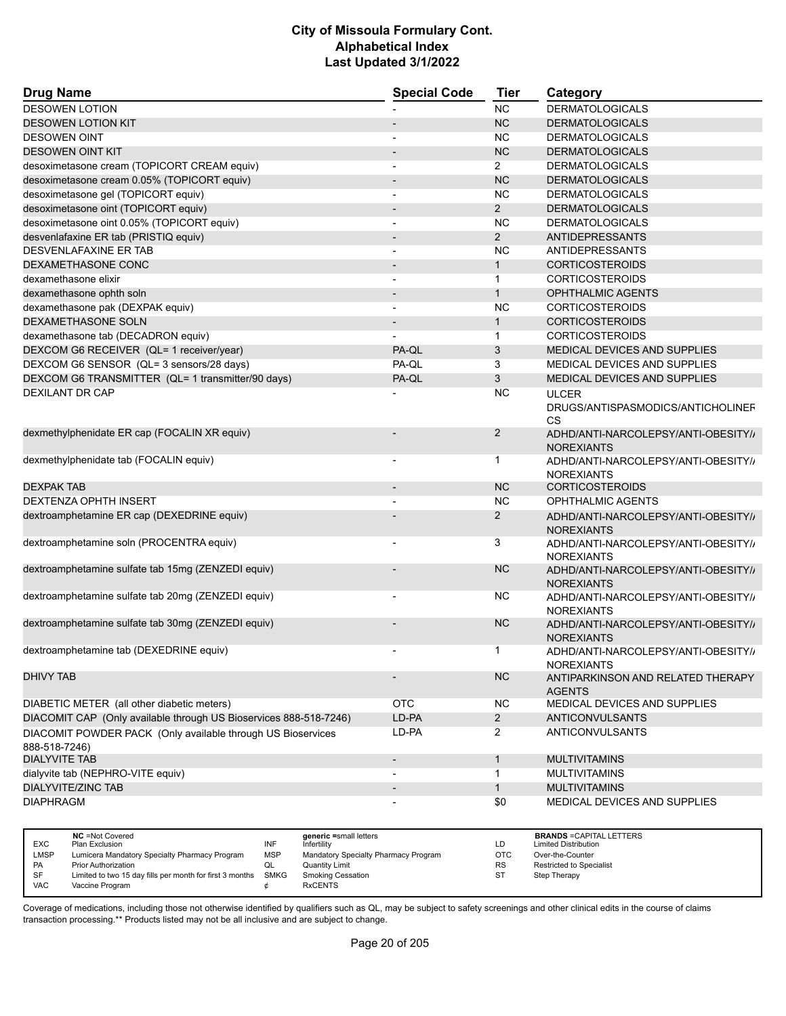| <b>Drug Name</b>                                                             | <b>Special Code</b>      | <b>Tier</b>    | Category                                                 |
|------------------------------------------------------------------------------|--------------------------|----------------|----------------------------------------------------------|
| <b>DESOWEN LOTION</b>                                                        |                          | <b>NC</b>      | <b>DERMATOLOGICALS</b>                                   |
| <b>DESOWEN LOTION KIT</b>                                                    |                          | <b>NC</b>      | <b>DERMATOLOGICALS</b>                                   |
| <b>DESOWEN OINT</b>                                                          |                          | <b>NC</b>      | <b>DERMATOLOGICALS</b>                                   |
| <b>DESOWEN OINT KIT</b>                                                      |                          | <b>NC</b>      | <b>DERMATOLOGICALS</b>                                   |
| desoximetasone cream (TOPICORT CREAM equiv)                                  |                          | $\overline{2}$ | <b>DERMATOLOGICALS</b>                                   |
| desoximetasone cream 0.05% (TOPICORT equiv)                                  |                          | <b>NC</b>      | <b>DERMATOLOGICALS</b>                                   |
| desoximetasone gel (TOPICORT equiv)                                          | $\overline{a}$           | <b>NC</b>      | <b>DERMATOLOGICALS</b>                                   |
| desoximetasone oint (TOPICORT equiv)                                         |                          | $\overline{2}$ | <b>DERMATOLOGICALS</b>                                   |
| desoximetasone oint 0.05% (TOPICORT equiv)                                   |                          | <b>NC</b>      | <b>DERMATOLOGICALS</b>                                   |
| desvenlafaxine ER tab (PRISTIQ equiv)                                        | $\overline{a}$           | $\overline{2}$ | <b>ANTIDEPRESSANTS</b>                                   |
| <b>DESVENLAFAXINE ER TAB</b>                                                 | $\overline{\phantom{a}}$ | <b>NC</b>      | ANTIDEPRESSANTS                                          |
| DEXAMETHASONE CONC                                                           |                          | $\mathbf{1}$   | <b>CORTICOSTEROIDS</b>                                   |
| dexamethasone elixir                                                         | $\overline{a}$           | $\mathbf{1}$   | <b>CORTICOSTEROIDS</b>                                   |
| dexamethasone ophth soln                                                     |                          | $\mathbf{1}$   | <b>OPHTHALMIC AGENTS</b>                                 |
| dexamethasone pak (DEXPAK equiv)                                             |                          | <b>NC</b>      | <b>CORTICOSTEROIDS</b>                                   |
| DEXAMETHASONE SOLN                                                           |                          | $\mathbf{1}$   | <b>CORTICOSTEROIDS</b>                                   |
| dexamethasone tab (DECADRON equiv)                                           |                          | 1              | <b>CORTICOSTEROIDS</b>                                   |
| DEXCOM G6 RECEIVER (QL= 1 receiver/year)                                     | PA-QL                    | 3              | MEDICAL DEVICES AND SUPPLIES                             |
| DEXCOM G6 SENSOR (QL= 3 sensors/28 days)                                     | PA-QL                    | 3              | MEDICAL DEVICES AND SUPPLIES                             |
| DEXCOM G6 TRANSMITTER (QL= 1 transmitter/90 days)                            | PA-QL                    | 3              | MEDICAL DEVICES AND SUPPLIES                             |
| DEXILANT DR CAP                                                              |                          | <b>NC</b>      | <b>ULCER</b>                                             |
|                                                                              |                          |                | DRUGS/ANTISPASMODICS/ANTICHOLINEF<br>CS                  |
| dexmethylphenidate ER cap (FOCALIN XR equiv)                                 |                          | $\overline{2}$ | ADHD/ANTI-NARCOLEPSY/ANTI-OBESITY//<br><b>NOREXIANTS</b> |
| dexmethylphenidate tab (FOCALIN equiv)                                       | $\overline{\phantom{a}}$ | 1              | ADHD/ANTI-NARCOLEPSY/ANTI-OBESITY//<br><b>NOREXIANTS</b> |
| <b>DEXPAK TAB</b>                                                            |                          | <b>NC</b>      | <b>CORTICOSTEROIDS</b>                                   |
| <b>DEXTENZA OPHTH INSERT</b>                                                 | $\overline{\phantom{a}}$ | <b>NC</b>      | <b>OPHTHALMIC AGENTS</b>                                 |
| dextroamphetamine ER cap (DEXEDRINE equiv)                                   |                          | 2              | ADHD/ANTI-NARCOLEPSY/ANTI-OBESITY//<br><b>NOREXIANTS</b> |
| dextroamphetamine soln (PROCENTRA equiv)                                     |                          | 3              | ADHD/ANTI-NARCOLEPSY/ANTI-OBESITY//<br><b>NOREXIANTS</b> |
| dextroamphetamine sulfate tab 15mg (ZENZEDI equiv)                           |                          | <b>NC</b>      | ADHD/ANTI-NARCOLEPSY/ANTI-OBESITY//<br><b>NOREXIANTS</b> |
| dextroamphetamine sulfate tab 20mg (ZENZEDI equiv)                           |                          | <b>NC</b>      | ADHD/ANTI-NARCOLEPSY/ANTI-OBESITY//<br><b>NOREXIANTS</b> |
| dextroamphetamine sulfate tab 30mg (ZENZEDI equiv)                           |                          | <b>NC</b>      | ADHD/ANTI-NARCOLEPSY/ANTI-OBESITY//<br><b>NOREXIANTS</b> |
| dextroamphetamine tab (DEXEDRINE equiv)                                      |                          | 1              | ADHD/ANTI-NARCOLEPSY/ANTI-OBESITY//<br><b>NOREXIANTS</b> |
| <b>DHIVY TAB</b>                                                             |                          | <b>NC</b>      | ANTIPARKINSON AND RELATED THERAPY<br><b>AGENTS</b>       |
| DIABETIC METER (all other diabetic meters)                                   | <b>OTC</b>               | <b>NC</b>      | MEDICAL DEVICES AND SUPPLIES                             |
| DIACOMIT CAP (Only available through US Bioservices 888-518-7246)            | LD-PA                    | $\overline{2}$ | <b>ANTICONVULSANTS</b>                                   |
| DIACOMIT POWDER PACK (Only available through US Bioservices<br>888-518-7246) | LD-PA                    | $\overline{2}$ | ANTICONVULSANTS                                          |
| <b>DIALYVITE TAB</b>                                                         | $\overline{\phantom{a}}$ | $\mathbf{1}$   | <b>MULTIVITAMINS</b>                                     |
| dialyvite tab (NEPHRO-VITE equiv)                                            |                          | 1              | <b>MULTIVITAMINS</b>                                     |
| <b>DIALYVITE/ZINC TAB</b>                                                    |                          | $\mathbf{1}$   | <b>MULTIVITAMINS</b>                                     |
| <b>DIAPHRAGM</b>                                                             |                          | \$0            | MEDICAL DEVICES AND SUPPLIES                             |

| <b>EXC</b> | <b>NC</b> = Not Covered<br>Plan Exclusion                     | INF        | generic =small letters<br>Infertility | LD        | <b>BRANDS = CAPITAL LETTERS</b><br><b>Limited Distribution</b> |
|------------|---------------------------------------------------------------|------------|---------------------------------------|-----------|----------------------------------------------------------------|
| LMSP       | Lumicera Mandatory Specialty Pharmacy Program                 | <b>MSP</b> | Mandatory Specialty Pharmacy Program  | отс       | Over-the-Counter                                               |
| <b>PA</b>  | Prior Authorization                                           |            | Quantity Limit                        | <b>RS</b> | <b>Restricted to Specialist</b>                                |
| SF         | Limited to two 15 day fills per month for first 3 months SMKG |            | Smoking Cessation                     | ST        | Step Therapy                                                   |
| <b>VAC</b> | Vaccine Program                                               |            | <b>RxCENTS</b>                        |           |                                                                |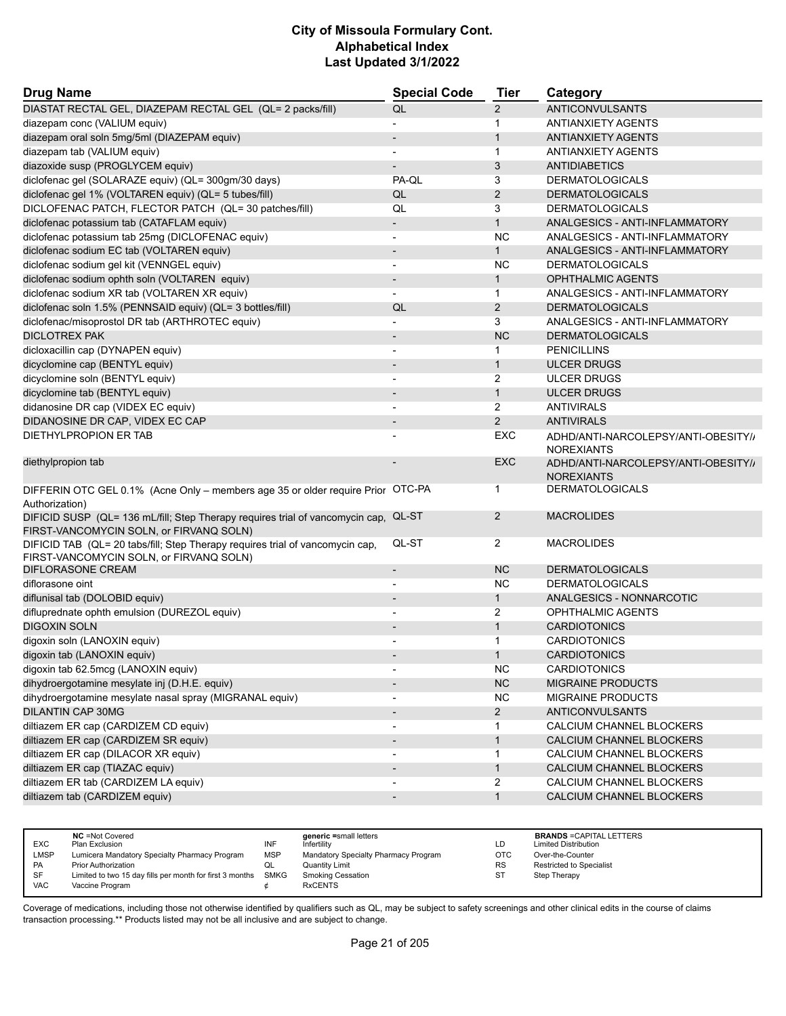| <b>Drug Name</b>                                                                                                         | <b>Special Code</b>          | <b>Tier</b>    | Category                                                 |
|--------------------------------------------------------------------------------------------------------------------------|------------------------------|----------------|----------------------------------------------------------|
| DIASTAT RECTAL GEL, DIAZEPAM RECTAL GEL (QL= 2 packs/fill)                                                               | QL                           | $\overline{2}$ | <b>ANTICONVULSANTS</b>                                   |
| diazepam conc (VALIUM equiv)                                                                                             |                              | 1              | <b>ANTIANXIETY AGENTS</b>                                |
| diazepam oral soln 5mg/5ml (DIAZEPAM equiv)                                                                              |                              | 1              | <b>ANTIANXIETY AGENTS</b>                                |
| diazepam tab (VALIUM equiv)                                                                                              | $\overline{\phantom{0}}$     | $\mathbf{1}$   | <b>ANTIANXIETY AGENTS</b>                                |
| diazoxide susp (PROGLYCEM equiv)                                                                                         | $\qquad \qquad \blacksquare$ | 3              | <b>ANTIDIABETICS</b>                                     |
| diclofenac gel (SOLARAZE equiv) (QL= 300gm/30 days)                                                                      | PA-QL                        | 3              | <b>DERMATOLOGICALS</b>                                   |
| diclofenac gel 1% (VOLTAREN equiv) (QL= 5 tubes/fill)                                                                    | QL                           | 2              | <b>DERMATOLOGICALS</b>                                   |
| DICLOFENAC PATCH, FLECTOR PATCH (QL= 30 patches/fill)                                                                    | QL                           | 3              | <b>DERMATOLOGICALS</b>                                   |
| diclofenac potassium tab (CATAFLAM equiv)                                                                                | $\overline{\phantom{0}}$     | $\mathbf{1}$   | ANALGESICS - ANTI-INFLAMMATORY                           |
| diclofenac potassium tab 25mg (DICLOFENAC equiv)                                                                         | ٠                            | <b>NC</b>      | ANALGESICS - ANTI-INFLAMMATORY                           |
| diclofenac sodium EC tab (VOLTAREN equiv)                                                                                | $\overline{\phantom{a}}$     | $\mathbf{1}$   | ANALGESICS - ANTI-INFLAMMATORY                           |
| diclofenac sodium gel kit (VENNGEL equiv)                                                                                | $\overline{\phantom{a}}$     | <b>NC</b>      | <b>DERMATOLOGICALS</b>                                   |
| diclofenac sodium ophth soln (VOLTAREN equiv)                                                                            | $\overline{\phantom{m}}$     | $\mathbf{1}$   | <b>OPHTHALMIC AGENTS</b>                                 |
| diclofenac sodium XR tab (VOLTAREN XR equiv)                                                                             |                              | $\mathbf 1$    | ANALGESICS - ANTI-INFLAMMATORY                           |
| diclofenac soln 1.5% (PENNSAID equiv) (QL= 3 bottles/fill)                                                               | QL                           | $\overline{2}$ | <b>DERMATOLOGICALS</b>                                   |
| diclofenac/misoprostol DR tab (ARTHROTEC equiv)                                                                          |                              | 3              | ANALGESICS - ANTI-INFLAMMATORY                           |
| <b>DICLOTREX PAK</b>                                                                                                     | $\overline{\phantom{a}}$     | <b>NC</b>      | <b>DERMATOLOGICALS</b>                                   |
| dicloxacillin cap (DYNAPEN equiv)                                                                                        | $\overline{\phantom{0}}$     | $\mathbf 1$    | <b>PENICILLINS</b>                                       |
| dicyclomine cap (BENTYL equiv)                                                                                           |                              | $\mathbf{1}$   | <b>ULCER DRUGS</b>                                       |
| dicyclomine soln (BENTYL equiv)                                                                                          |                              | 2              | <b>ULCER DRUGS</b>                                       |
| dicyclomine tab (BENTYL equiv)                                                                                           | $\overline{\phantom{a}}$     | $\mathbf{1}$   | <b>ULCER DRUGS</b>                                       |
| didanosine DR cap (VIDEX EC equiv)                                                                                       | $\overline{a}$               | 2              | <b>ANTIVIRALS</b>                                        |
| DIDANOSINE DR CAP, VIDEX EC CAP                                                                                          | $\overline{\phantom{m}}$     | $\overline{2}$ | <b>ANTIVIRALS</b>                                        |
| DIETHYLPROPION ER TAB                                                                                                    |                              | <b>EXC</b>     | ADHD/ANTI-NARCOLEPSY/ANTI-OBESITY//<br><b>NOREXIANTS</b> |
| diethylpropion tab                                                                                                       |                              | <b>EXC</b>     | ADHD/ANTI-NARCOLEPSY/ANTI-OBESITY//<br><b>NOREXIANTS</b> |
| DIFFERIN OTC GEL 0.1% (Acne Only - members age 35 or older require Prior OTC-PA<br>Authorization)                        |                              | $\mathbf{1}$   | <b>DERMATOLOGICALS</b>                                   |
| DIFICID SUSP (QL= 136 mL/fill; Step Therapy requires trial of vancomycin cap,<br>FIRST-VANCOMYCIN SOLN, or FIRVANQ SOLN) | QL-ST                        | $\overline{2}$ | <b>MACROLIDES</b>                                        |
| DIFICID TAB (QL= 20 tabs/fill; Step Therapy requires trial of vancomycin cap,<br>FIRST-VANCOMYCIN SOLN, or FIRVANQ SOLN) | QL-ST                        | 2              | <b>MACROLIDES</b>                                        |
| DIFLORASONE CREAM                                                                                                        | $\overline{\phantom{m}}$     | <b>NC</b>      | <b>DERMATOLOGICALS</b>                                   |
| diflorasone oint                                                                                                         |                              | <b>NC</b>      | <b>DERMATOLOGICALS</b>                                   |
| diflunisal tab (DOLOBID equiv)                                                                                           |                              | $\mathbf{1}$   | ANALGESICS - NONNARCOTIC                                 |
| difluprednate ophth emulsion (DUREZOL equiv)                                                                             | $\blacksquare$               | $\overline{2}$ | <b>OPHTHALMIC AGENTS</b>                                 |
| <b>DIGOXIN SOLN</b>                                                                                                      |                              | $\mathbf{1}$   | <b>CARDIOTONICS</b>                                      |
| digoxin soln (LANOXIN equiv)                                                                                             |                              | 1              | <b>CARDIOTONICS</b>                                      |
| digoxin tab (LANOXIN equiv)                                                                                              |                              |                | <b>CARDIOTONICS</b>                                      |
| digoxin tab 62.5mcg (LANOXIN equiv)                                                                                      |                              | <b>NC</b>      | <b>CARDIOTONICS</b>                                      |
| dihydroergotamine mesylate inj (D.H.E. equiv)                                                                            |                              | NC             | <b>MIGRAINE PRODUCTS</b>                                 |
| dihydroergotamine mesylate nasal spray (MIGRANAL equiv)                                                                  | $\qquad \qquad \blacksquare$ | <b>NC</b>      | <b>MIGRAINE PRODUCTS</b>                                 |
| DILANTIN CAP 30MG                                                                                                        | $\overline{\phantom{a}}$     | $\overline{2}$ | <b>ANTICONVULSANTS</b>                                   |
| diltiazem ER cap (CARDIZEM CD equiv)                                                                                     |                              | 1              | CALCIUM CHANNEL BLOCKERS                                 |
| diltiazem ER cap (CARDIZEM SR equiv)                                                                                     | $\overline{\phantom{a}}$     | $\mathbf{1}$   | CALCIUM CHANNEL BLOCKERS                                 |
| diltiazem ER cap (DILACOR XR equiv)                                                                                      | $\qquad \qquad \blacksquare$ | $\mathbf{1}$   | CALCIUM CHANNEL BLOCKERS                                 |
| diltiazem ER cap (TIAZAC equiv)                                                                                          |                              | $\mathbf{1}$   | CALCIUM CHANNEL BLOCKERS                                 |
| diltiazem ER tab (CARDIZEM LA equiv)                                                                                     |                              | $\overline{2}$ | CALCIUM CHANNEL BLOCKERS                                 |
| diltiazem tab (CARDIZEM equiv)                                                                                           | $\overline{\phantom{a}}$     | $\mathbf{1}$   | CALCIUM CHANNEL BLOCKERS                                 |

| <b>EXC</b> | <b>NC</b> = Not Covered<br>Plan Exclusion                     | INF        | generic =small letters<br>Infertility | LD        | <b>BRANDS = CAPITAL LETTERS</b><br><b>Limited Distribution</b> |
|------------|---------------------------------------------------------------|------------|---------------------------------------|-----------|----------------------------------------------------------------|
| LMSP       | Lumicera Mandatory Specialty Pharmacy Program                 | <b>MSP</b> | Mandatory Specialty Pharmacy Program  | OTC       | Over-the-Counter                                               |
| <b>PA</b>  | <b>Prior Authorization</b>                                    | ◡          | <b>Quantity Limit</b>                 | <b>RS</b> | Restricted to Specialist                                       |
| SF         | Limited to two 15 day fills per month for first 3 months SMKG |            | <b>Smoking Cessation</b>              | ST        | Step Therapy                                                   |
| <b>VAC</b> | Vaccine Program                                               |            | <b>RxCENTS</b>                        |           |                                                                |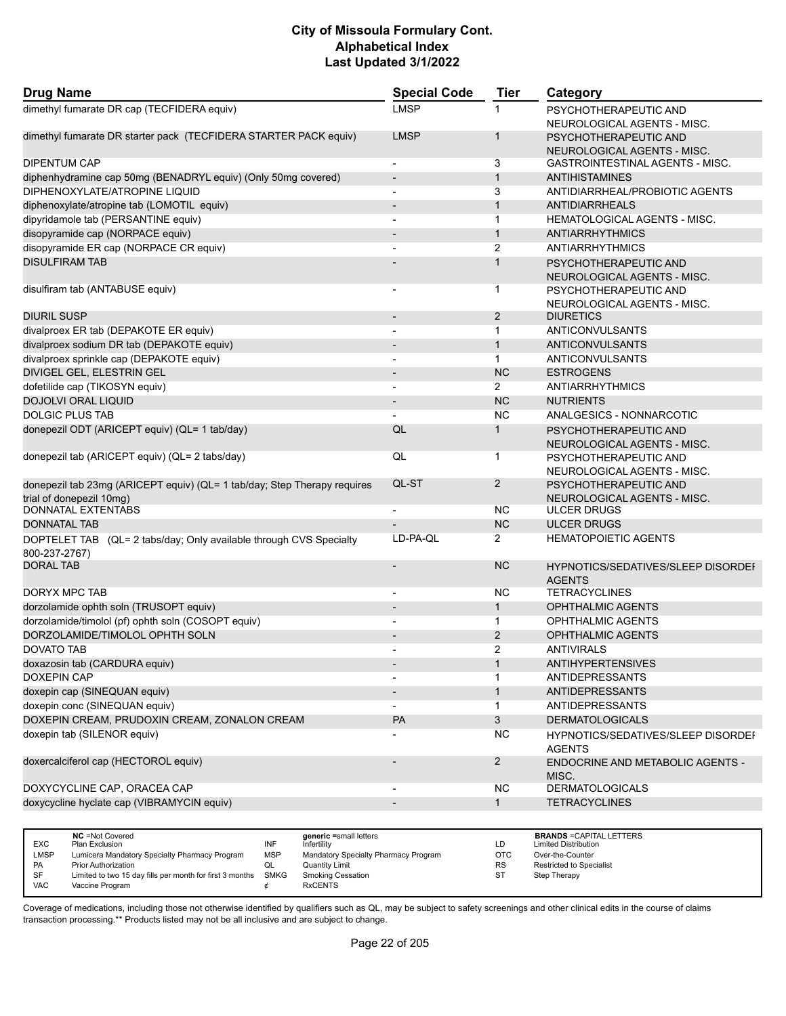| <b>Drug Name</b>                                                                    | <b>Special Code</b>      | <b>Tier</b>    | Category                                                   |
|-------------------------------------------------------------------------------------|--------------------------|----------------|------------------------------------------------------------|
| dimethyl fumarate DR cap (TECFIDERA equiv)                                          | <b>LMSP</b>              |                | PSYCHOTHERAPEUTIC AND                                      |
|                                                                                     |                          |                | NEUROLOGICAL AGENTS - MISC.                                |
| dimethyl fumarate DR starter pack (TECFIDERA STARTER PACK equiv)                    | <b>LMSP</b>              | $\overline{1}$ | PSYCHOTHERAPEUTIC AND                                      |
|                                                                                     |                          |                | NEUROLOGICAL AGENTS - MISC.                                |
| <b>DIPENTUM CAP</b>                                                                 | $\blacksquare$           | 3              | GASTROINTESTINAL AGENTS - MISC.                            |
| diphenhydramine cap 50mg (BENADRYL equiv) (Only 50mg covered)                       | $\overline{a}$           | $\mathbf{1}$   | <b>ANTIHISTAMINES</b>                                      |
| DIPHENOXYLATE/ATROPINE LIQUID                                                       |                          | 3              | ANTIDIARRHEAL/PROBIOTIC AGENTS                             |
| diphenoxylate/atropine tab (LOMOTIL equiv)                                          |                          | $\mathbf{1}$   | <b>ANTIDIARRHEALS</b>                                      |
| dipyridamole tab (PERSANTINE equiv)                                                 | $\overline{a}$           | $\mathbf{1}$   | <b>HEMATOLOGICAL AGENTS - MISC.</b>                        |
| disopyramide cap (NORPACE equiv)                                                    |                          | $\mathbf{1}$   | <b>ANTIARRHYTHMICS</b>                                     |
| disopyramide ER cap (NORPACE CR equiv)                                              |                          | 2              | ANTIARRHYTHMICS                                            |
| <b>DISULFIRAM TAB</b>                                                               |                          | $\mathbf{1}$   | PSYCHOTHERAPEUTIC AND                                      |
|                                                                                     |                          |                | NEUROLOGICAL AGENTS - MISC.                                |
| disulfiram tab (ANTABUSE equiv)                                                     |                          | $\mathbf 1$    | PSYCHOTHERAPEUTIC AND                                      |
|                                                                                     |                          |                | NEUROLOGICAL AGENTS - MISC.                                |
| DIURIL SUSP                                                                         | $\overline{\phantom{a}}$ | 2              | <b>DIURETICS</b>                                           |
| divalproex ER tab (DEPAKOTE ER equiv)                                               |                          | $\mathbf{1}$   | ANTICONVULSANTS                                            |
| divalproex sodium DR tab (DEPAKOTE equiv)                                           |                          | $\mathbf{1}$   | <b>ANTICONVULSANTS</b>                                     |
| divalproex sprinkle cap (DEPAKOTE equiv)                                            |                          | $\mathbf{1}$   | ANTICONVULSANTS                                            |
| DIVIGEL GEL, ELESTRIN GEL                                                           |                          | <b>NC</b>      | <b>ESTROGENS</b>                                           |
| dofetilide cap (TIKOSYN equiv)                                                      |                          | $\overline{2}$ | ANTIARRHYTHMICS                                            |
| DOJOLVI ORAL LIQUID                                                                 |                          | <b>NC</b>      | <b>NUTRIENTS</b>                                           |
| <b>DOLGIC PLUS TAB</b>                                                              |                          | <b>NC</b>      | ANALGESICS - NONNARCOTIC                                   |
| donepezil ODT (ARICEPT equiv) (QL= 1 tab/day)                                       | QL                       | $\mathbf{1}$   | PSYCHOTHERAPEUTIC AND                                      |
|                                                                                     |                          |                | NEUROLOGICAL AGENTS - MISC.                                |
| donepezil tab (ARICEPT equiv) (QL= 2 tabs/day)                                      | QL                       | 1              | PSYCHOTHERAPEUTIC AND                                      |
|                                                                                     |                          |                | NEUROLOGICAL AGENTS - MISC.                                |
| donepezil tab 23mg (ARICEPT equiv) (QL= 1 tab/day; Step Therapy requires            | QL-ST                    | 2              | PSYCHOTHERAPEUTIC AND                                      |
| trial of donepezil 10mg)<br>DONNATAL EXTENTABS                                      |                          | <b>NC</b>      | NEUROLOGICAL AGENTS - MISC.<br>ULCER DRUGS                 |
| <b>DONNATAL TAB</b>                                                                 |                          | <b>NC</b>      | <b>ULCER DRUGS</b>                                         |
|                                                                                     | LD-PA-QL                 | $\overline{2}$ | <b>HEMATOPOIETIC AGENTS</b>                                |
| DOPTELET TAB (QL= 2 tabs/day; Only available through CVS Specialty<br>800-237-2767) |                          |                |                                                            |
| <b>DORAL TAB</b>                                                                    |                          | <b>NC</b>      | <b>HYPNOTICS/SEDATIVES/SLEEP DISORDEF</b><br><b>AGENTS</b> |
| DORYX MPC TAB                                                                       | $\blacksquare$           | <b>NC</b>      | <b>TETRACYCLINES</b>                                       |
| dorzolamide ophth soln (TRUSOPT equiv)                                              |                          | $\mathbf{1}$   | <b>OPHTHALMIC AGENTS</b>                                   |
| dorzolamide/timolol (pf) ophth soln (COSOPT equiv)                                  |                          | $\mathbf{1}$   | OPHTHALMIC AGENTS                                          |
| DORZOLAMIDE/TIMOLOL OPHTH SOLN                                                      | $\overline{\phantom{0}}$ | 2              | <b>OPHTHALMIC AGENTS</b>                                   |
| DOVATO TAB                                                                          |                          | 2              | ANTIVIRALS                                                 |
| doxazosin tab (CARDURA equiv)                                                       |                          |                | ANTIHYPERTENSIVES                                          |
| <b>DOXEPIN CAP</b>                                                                  | $\overline{\phantom{a}}$ | $\mathbf{1}$   | <b>ANTIDEPRESSANTS</b>                                     |
| doxepin cap (SINEQUAN equiv)                                                        |                          | $\mathbf{1}$   | ANTIDEPRESSANTS                                            |
| doxepin conc (SINEQUAN equiv)                                                       |                          | $\mathbf{1}$   | <b>ANTIDEPRESSANTS</b>                                     |
| DOXEPIN CREAM, PRUDOXIN CREAM, ZONALON CREAM                                        | <b>PA</b>                | $\mathbf{3}$   | <b>DERMATOLOGICALS</b>                                     |
| doxepin tab (SILENOR equiv)                                                         |                          | <b>NC</b>      | HYPNOTICS/SEDATIVES/SLEEP DISORDEI<br><b>AGENTS</b>        |
| doxercalciferol cap (HECTOROL equiv)                                                |                          | $\overline{2}$ | ENDOCRINE AND METABOLIC AGENTS -<br>MISC.                  |
| DOXYCYCLINE CAP, ORACEA CAP                                                         |                          | NC.            | <b>DERMATOLOGICALS</b>                                     |
| doxycycline hyclate cap (VIBRAMYCIN equiv)                                          |                          | $\mathbf{1}$   | <b>TETRACYCLINES</b>                                       |
|                                                                                     |                          |                |                                                            |
| $MC = Net$ Coverad<br>sanaria =omoll lotte                                          |                          |                | <b>PRANDS -CADITAL LETTEDS</b>                             |

|            | <b>NC</b> = Not Covered                                       |            | generic =small letters               |            | <b>BRANDS = CAPITAL LETTERS</b> |
|------------|---------------------------------------------------------------|------------|--------------------------------------|------------|---------------------------------|
| <b>EXC</b> | Plan Exclusion                                                | INF        | Infertilitv                          | LD         | <b>Limited Distribution</b>     |
| LMSP       | Lumicera Mandatory Specialty Pharmacy Program                 | <b>MSP</b> | Mandatory Specialty Pharmacy Program | <b>OTC</b> | Over-the-Counter                |
| <b>PA</b>  | <b>Prior Authorization</b>                                    |            | <b>Quantity Limit</b>                | <b>RS</b>  | <b>Restricted to Specialist</b> |
| SF         | Limited to two 15 day fills per month for first 3 months SMKG |            | Smoking Cessation                    | ST         | <b>Step Therapy</b>             |
| <b>VAC</b> | Vaccine Program                                               |            | <b>RxCENTS</b>                       |            |                                 |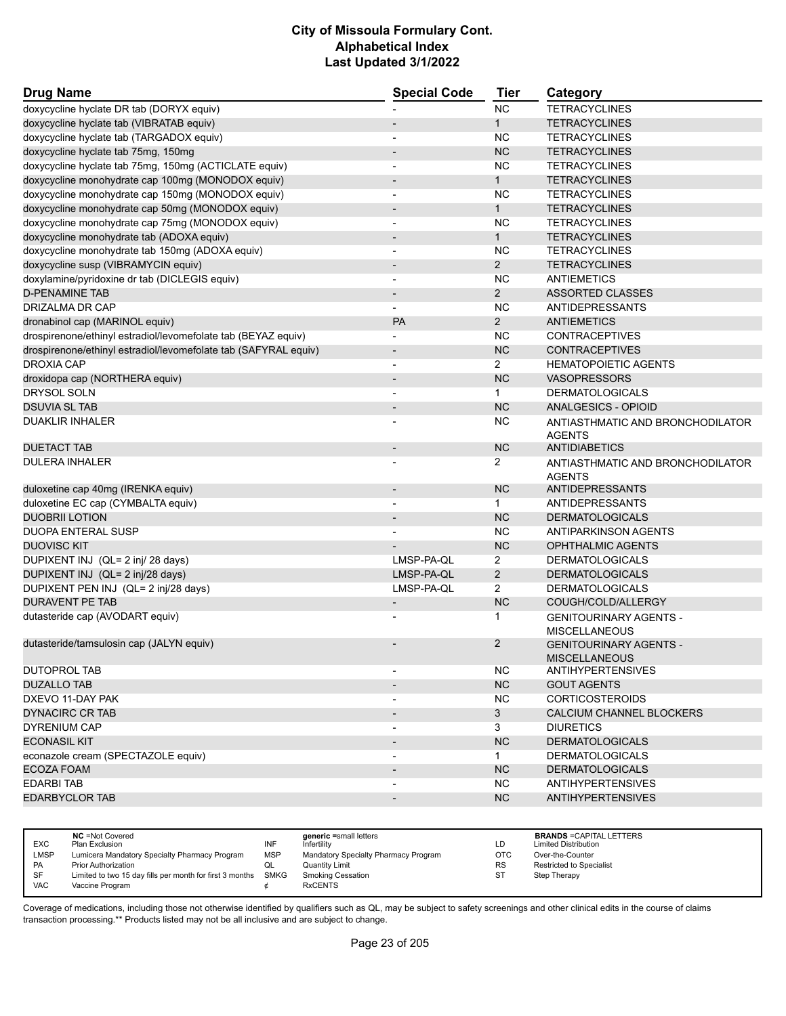| <b>Drug Name</b>                                                | <b>Special Code</b>      | <b>Tier</b>    | Category                                              |
|-----------------------------------------------------------------|--------------------------|----------------|-------------------------------------------------------|
| doxycycline hyclate DR tab (DORYX equiv)                        |                          | <b>NC</b>      | <b>TETRACYCLINES</b>                                  |
| doxycycline hyclate tab (VIBRATAB equiv)                        | $\overline{\phantom{a}}$ | 1              | <b>TETRACYCLINES</b>                                  |
| doxycycline hyclate tab (TARGADOX equiv)                        | $\overline{\phantom{a}}$ | <b>NC</b>      | <b>TETRACYCLINES</b>                                  |
| doxycycline hyclate tab 75mg, 150mg                             |                          | <b>NC</b>      | <b>TETRACYCLINES</b>                                  |
| doxycycline hyclate tab 75mg, 150mg (ACTICLATE equiv)           | $\blacksquare$           | <b>NC</b>      | <b>TETRACYCLINES</b>                                  |
| doxycycline monohydrate cap 100mg (MONODOX equiv)               | $\overline{\phantom{a}}$ | $\mathbf{1}$   | <b>TETRACYCLINES</b>                                  |
| doxycycline monohydrate cap 150mg (MONODOX equiv)               |                          | NC             | <b>TETRACYCLINES</b>                                  |
| doxycycline monohydrate cap 50mg (MONODOX equiv)                | $\blacksquare$           | 1              | <b>TETRACYCLINES</b>                                  |
| doxycycline monohydrate cap 75mg (MONODOX equiv)                | $\overline{\phantom{a}}$ | <b>NC</b>      | <b>TETRACYCLINES</b>                                  |
| doxycycline monohydrate tab (ADOXA equiv)                       |                          | $\mathbf{1}$   | <b>TETRACYCLINES</b>                                  |
| doxycycline monohydrate tab 150mg (ADOXA equiv)                 | $\overline{\phantom{a}}$ | <b>NC</b>      | <b>TETRACYCLINES</b>                                  |
| doxycycline susp (VIBRAMYCIN equiv)                             | $\overline{\phantom{a}}$ | $\overline{2}$ | <b>TETRACYCLINES</b>                                  |
| doxylamine/pyridoxine dr tab (DICLEGIS equiv)                   |                          | <b>NC</b>      | ANTIEMETICS                                           |
| <b>D-PENAMINE TAB</b>                                           | $\overline{\phantom{a}}$ | $2^{\circ}$    | ASSORTED CLASSES                                      |
| DRIZALMA DR CAP                                                 | $\overline{\phantom{a}}$ | NC.            | ANTIDEPRESSANTS                                       |
| dronabinol cap (MARINOL equiv)                                  | PA                       | $\overline{2}$ | <b>ANTIEMETICS</b>                                    |
| drospirenone/ethinyl estradiol/levomefolate tab (BEYAZ equiv)   | $\blacksquare$           | <b>NC</b>      | <b>CONTRACEPTIVES</b>                                 |
| drospirenone/ethinyl estradiol/levomefolate tab (SAFYRAL equiv) | $\overline{\phantom{a}}$ | <b>NC</b>      | <b>CONTRACEPTIVES</b>                                 |
| <b>DROXIA CAP</b>                                               |                          | $\overline{2}$ | <b>HEMATOPOIETIC AGENTS</b>                           |
| droxidopa cap (NORTHERA equiv)                                  |                          | <b>NC</b>      | <b>VASOPRESSORS</b>                                   |
| DRYSOL SOLN                                                     | $\blacksquare$           | $\mathbf{1}$   | <b>DERMATOLOGICALS</b>                                |
| <b>DSUVIA SL TAB</b>                                            | $\overline{\phantom{a}}$ | <b>NC</b>      | <b>ANALGESICS - OPIOID</b>                            |
| <b>DUAKLIR INHALER</b>                                          |                          | NC.            | ANTIASTHMATIC AND BRONCHODILATOR<br><b>AGENTS</b>     |
| <b>DUETACT TAB</b>                                              | $\overline{\phantom{a}}$ | <b>NC</b>      | <b>ANTIDIABETICS</b>                                  |
| <b>DULERA INHALER</b>                                           |                          | 2              | ANTIASTHMATIC AND BRONCHODILATOR<br><b>AGENTS</b>     |
| duloxetine cap 40mg (IRENKA equiv)                              | $\overline{\phantom{a}}$ | <b>NC</b>      | ANTIDEPRESSANTS                                       |
| duloxetine EC cap (CYMBALTA equiv)                              |                          | $\mathbf{1}$   | ANTIDEPRESSANTS                                       |
| <b>DUOBRII LOTION</b>                                           |                          | <b>NC</b>      | <b>DERMATOLOGICALS</b>                                |
| <b>DUOPA ENTERAL SUSP</b>                                       | $\blacksquare$           | <b>NC</b>      | ANTIPARKINSON AGENTS                                  |
| <b>DUOVISC KIT</b>                                              |                          | <b>NC</b>      | <b>OPHTHALMIC AGENTS</b>                              |
| DUPIXENT INJ (QL= 2 inj/ 28 days)                               | LMSP-PA-QL               | $\overline{2}$ | <b>DERMATOLOGICALS</b>                                |
| DUPIXENT INJ (QL= 2 inj/28 days)                                | LMSP-PA-QL               | $\overline{2}$ | <b>DERMATOLOGICALS</b>                                |
| DUPIXENT PEN INJ (QL= 2 inj/28 days)                            | LMSP-PA-QL               | 2              | <b>DERMATOLOGICALS</b>                                |
| <b>DURAVENT PE TAB</b>                                          | $\overline{\phantom{a}}$ | <b>NC</b>      | COUGH/COLD/ALLERGY                                    |
| dutasteride cap (AVODART equiv)                                 |                          | 1              | <b>GENITOURINARY AGENTS -</b><br><b>MISCELLANEOUS</b> |
| dutasteride/tamsulosin cap (JALYN equiv)                        |                          | $\overline{2}$ | <b>GENITOURINARY AGENTS -</b><br><b>MISCELLANEOUS</b> |
| <b>DUTOPROL TAB</b>                                             |                          | NC.            | <b>ANTIHYPERTENSIVES</b>                              |
| <b>DUZALLO TAB</b>                                              |                          | <b>NC</b>      | <b>GOUT AGENTS</b>                                    |
| DXEVO 11-DAY PAK                                                |                          | <b>NC</b>      | <b>CORTICOSTEROIDS</b>                                |
| <b>DYNACIRC CR TAB</b>                                          |                          | 3 <sup>1</sup> | CALCIUM CHANNEL BLOCKERS                              |
| <b>DYRENIUM CAP</b>                                             |                          | 3              | <b>DIURETICS</b>                                      |
| <b>ECONASIL KIT</b>                                             |                          | NC             | <b>DERMATOLOGICALS</b>                                |
| econazole cream (SPECTAZOLE equiv)                              |                          | $\mathbf{1}$   | <b>DERMATOLOGICALS</b>                                |
| <b>ECOZA FOAM</b>                                               |                          | NC             | <b>DERMATOLOGICALS</b>                                |
| <b>EDARBITAB</b>                                                |                          | <b>NC</b>      | <b>ANTIHYPERTENSIVES</b>                              |
| <b>EDARBYCLOR TAB</b>                                           |                          | <b>NC</b>      | <b>ANTIHYPERTENSIVES</b>                              |
|                                                                 |                          |                |                                                       |

| <b>EXC</b> | <b>NC</b> = Not Covered<br>Plan Exclusion                | INF        | generic =small letters<br>nfertility | LD        | <b>BRANDS = CAPITAL LETTERS</b><br><b>Limited Distribution</b> |
|------------|----------------------------------------------------------|------------|--------------------------------------|-----------|----------------------------------------------------------------|
| LMSP       | Lumicera Mandatory Specialty Pharmacy Program            | <b>MSP</b> | Mandatory Specialty Pharmacy Program | OTC       | Over-the-Counter                                               |
| <b>PA</b>  | <b>Prior Authorization</b>                               | ◡          | Quantity Limit                       | <b>RS</b> | <b>Restricted to Specialist</b>                                |
| SF         | Limited to two 15 day fills per month for first 3 months | SMKG       | Smoking Cessation                    | ST        | Step Therapy                                                   |
| <b>VAC</b> | Vaccine Program                                          |            | <b>RxCENTS</b>                       |           |                                                                |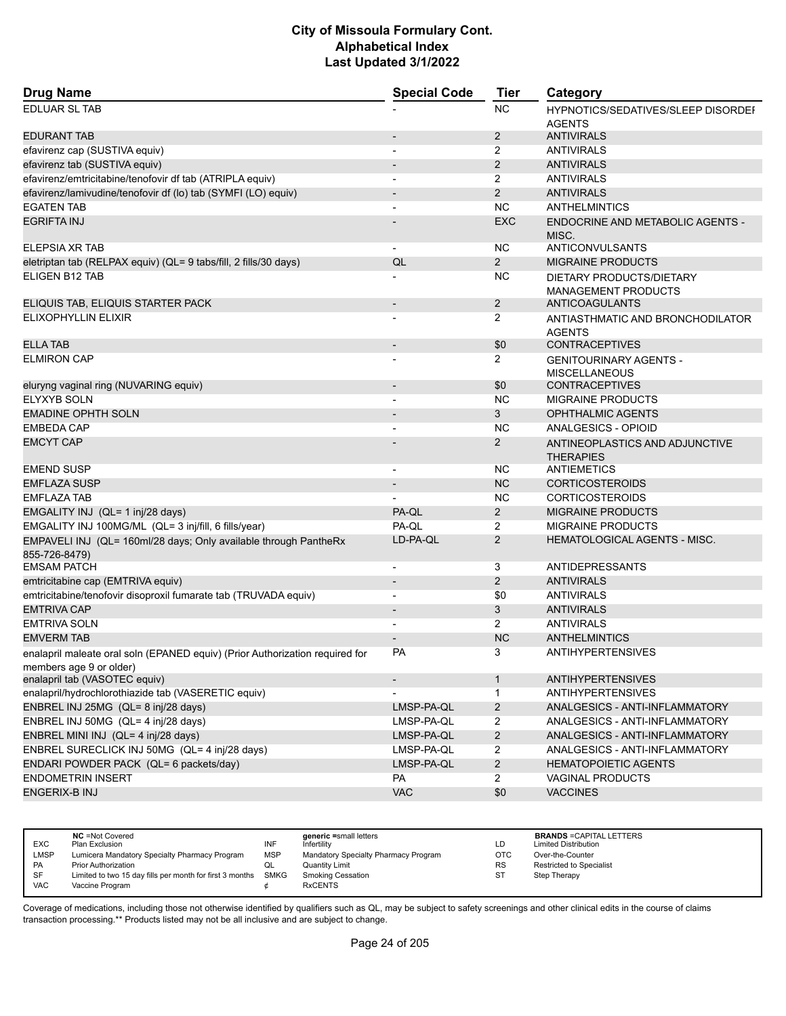| <b>Drug Name</b>                                                                                        | <b>Special Code</b>          | <b>Tier</b>    | Category                                                   |
|---------------------------------------------------------------------------------------------------------|------------------------------|----------------|------------------------------------------------------------|
| <b>EDLUAR SL TAB</b>                                                                                    |                              | NC             | <b>HYPNOTICS/SEDATIVES/SLEEP DISORDEF</b><br><b>AGENTS</b> |
| <b>EDURANT TAB</b>                                                                                      |                              | $\overline{2}$ | <b>ANTIVIRALS</b>                                          |
| efavirenz cap (SUSTIVA equiv)                                                                           |                              | 2              | <b>ANTIVIRALS</b>                                          |
| efavirenz tab (SUSTIVA equiv)                                                                           |                              | $\overline{2}$ | <b>ANTIVIRALS</b>                                          |
| efavirenz/emtricitabine/tenofovir df tab (ATRIPLA equiv)                                                | $\overline{\phantom{0}}$     | 2              | <b>ANTIVIRALS</b>                                          |
| efavirenz/lamivudine/tenofovir df (lo) tab (SYMFI (LO) equiv)                                           |                              | 2              | <b>ANTIVIRALS</b>                                          |
| <b>EGATEN TAB</b>                                                                                       |                              | <b>NC</b>      | ANTHELMINTICS                                              |
| <b>EGRIFTA INJ</b>                                                                                      |                              | <b>EXC</b>     | <b>ENDOCRINE AND METABOLIC AGENTS -</b><br>MISC.           |
| ELEPSIA XR TAB                                                                                          |                              | <b>NC</b>      | <b>ANTICONVULSANTS</b>                                     |
| eletriptan tab (RELPAX equiv) (QL= 9 tabs/fill, 2 fills/30 days)                                        | QL                           | $\overline{2}$ | <b>MIGRAINE PRODUCTS</b>                                   |
| ELIGEN B12 TAB                                                                                          |                              | <b>NC</b>      | DIETARY PRODUCTS/DIETARY<br><b>MANAGEMENT PRODUCTS</b>     |
| ELIQUIS TAB, ELIQUIS STARTER PACK                                                                       | $\qquad \qquad \blacksquare$ | $\overline{2}$ | ANTICOAGULANTS                                             |
| ELIXOPHYLLIN ELIXIR                                                                                     |                              | 2              | ANTIASTHMATIC AND BRONCHODILATOR<br><b>AGENTS</b>          |
| <b>ELLA TAB</b>                                                                                         | $\overline{\phantom{a}}$     | \$0            | <b>CONTRACEPTIVES</b>                                      |
| <b>ELMIRON CAP</b>                                                                                      |                              | 2              | <b>GENITOURINARY AGENTS -</b><br><b>MISCELLANEOUS</b>      |
| eluryng vaginal ring (NUVARING equiv)                                                                   | $\overline{\phantom{a}}$     | \$0            | <b>CONTRACEPTIVES</b>                                      |
| <b>ELYXYB SOLN</b>                                                                                      |                              | <b>NC</b>      | <b>MIGRAINE PRODUCTS</b>                                   |
| <b>EMADINE OPHTH SOLN</b>                                                                               | $\overline{\phantom{a}}$     | 3              | <b>OPHTHALMIC AGENTS</b>                                   |
| <b>EMBEDA CAP</b>                                                                                       |                              | <b>NC</b>      | ANALGESICS - OPIOID                                        |
| <b>EMCYT CAP</b>                                                                                        |                              | $\overline{2}$ | ANTINEOPLASTICS AND ADJUNCTIVE<br><b>THERAPIES</b>         |
| <b>EMEND SUSP</b>                                                                                       | $\overline{\phantom{a}}$     | <b>NC</b>      | <b>ANTIEMETICS</b>                                         |
| <b>EMFLAZA SUSP</b>                                                                                     | $\overline{\phantom{a}}$     | <b>NC</b>      | <b>CORTICOSTEROIDS</b>                                     |
| <b>EMFLAZA TAB</b>                                                                                      |                              | NC.            | <b>CORTICOSTEROIDS</b>                                     |
| EMGALITY INJ (QL= 1 inj/28 days)                                                                        | PA-QL                        | $\overline{2}$ | <b>MIGRAINE PRODUCTS</b>                                   |
| EMGALITY INJ 100MG/ML (QL= 3 inj/fill, 6 fills/year)                                                    | PA-QL                        | $\overline{2}$ | <b>MIGRAINE PRODUCTS</b>                                   |
| EMPAVELI INJ (QL= 160ml/28 days; Only available through PantheRx<br>855-726-8479)                       | LD-PA-QL                     | $\overline{2}$ | HEMATOLOGICAL AGENTS - MISC.                               |
| <b>EMSAM PATCH</b>                                                                                      | $\overline{\phantom{0}}$     | 3              | ANTIDEPRESSANTS                                            |
| emtricitabine cap (EMTRIVA equiv)                                                                       | $\overline{\phantom{a}}$     | $\overline{2}$ | <b>ANTIVIRALS</b>                                          |
| emtricitabine/tenofovir disoproxil fumarate tab (TRUVADA equiv)                                         | $\blacksquare$               | \$0            | <b>ANTIVIRALS</b>                                          |
| <b>EMTRIVA CAP</b>                                                                                      | $\overline{\phantom{a}}$     | 3              | <b>ANTIVIRALS</b>                                          |
| <b>EMTRIVA SOLN</b>                                                                                     | $\overline{a}$               | 2              | <b>ANTIVIRALS</b>                                          |
| <b>EMVERM TAB</b>                                                                                       | $\overline{\phantom{m}}$     | <b>NC</b>      | <b>ANTHELMINTICS</b>                                       |
| enalapril maleate oral soln (EPANED equiv) (Prior Authorization required for<br>members age 9 or older) | <b>PA</b>                    | 3              | <b>ANTIHYPERTENSIVES</b>                                   |
| enalapril tab (VASOTEC equiv)                                                                           | $\overline{\phantom{a}}$     | $\mathbf{1}$   | <b>ANTIHYPERTENSIVES</b>                                   |
| enalapril/hydrochlorothiazide tab (VASERETIC equiv)                                                     |                              | 1              | <b>ANTIHYPERTENSIVES</b>                                   |
| ENBREL INJ 25MG (QL= 8 inj/28 days)                                                                     | LMSP-PA-QL                   | $\overline{2}$ | <b>ANALGESICS - ANTI-INFLAMMATORY</b>                      |
| ENBREL INJ 50MG (QL= 4 inj/28 days)                                                                     | LMSP-PA-QL                   | $\overline{c}$ | ANALGESICS - ANTI-INFLAMMATORY                             |
| ENBREL MINI INJ (QL= 4 inj/28 days)                                                                     | LMSP-PA-QL                   | $\overline{2}$ | ANALGESICS - ANTI-INFLAMMATORY                             |
| ENBREL SURECLICK INJ 50MG (QL= 4 inj/28 days)                                                           | LMSP-PA-QL                   | $\overline{2}$ | ANALGESICS - ANTI-INFLAMMATORY                             |
| ENDARI POWDER PACK (QL= 6 packets/day)                                                                  | LMSP-PA-QL                   | $\overline{2}$ | <b>HEMATOPOIETIC AGENTS</b>                                |
| <b>ENDOMETRIN INSERT</b>                                                                                | PA                           | $\overline{2}$ | <b>VAGINAL PRODUCTS</b>                                    |
| <b>ENGERIX-B INJ</b>                                                                                    | <b>VAC</b>                   | \$0            | <b>VACCINES</b>                                            |
|                                                                                                         |                              |                |                                                            |

| <b>EXC</b> | <b>NC</b> = Not Covered<br>Plan Exclusion                | INF        | generic =small letters<br>Infertilitv | LD        | <b>BRANDS = CAPITAL LETTERS</b><br><b>Limited Distribution</b> |
|------------|----------------------------------------------------------|------------|---------------------------------------|-----------|----------------------------------------------------------------|
| LMSP       | Lumicera Mandatory Specialty Pharmacy Program            | <b>MSP</b> | Mandatory Specialty Pharmacy Program  | OTC       | Over-the-Counter                                               |
| <b>PA</b>  | <b>Prior Authorization</b>                               |            | <b>Quantity Limit</b>                 | <b>RS</b> | Restricted to Specialist                                       |
| SF         | Limited to two 15 day fills per month for first 3 months | SMKG       | <b>Smoking Cessation</b>              | ST        | Step Therapy                                                   |
| <b>VAC</b> | Vaccine Program                                          |            | <b>RxCENTS</b>                        |           |                                                                |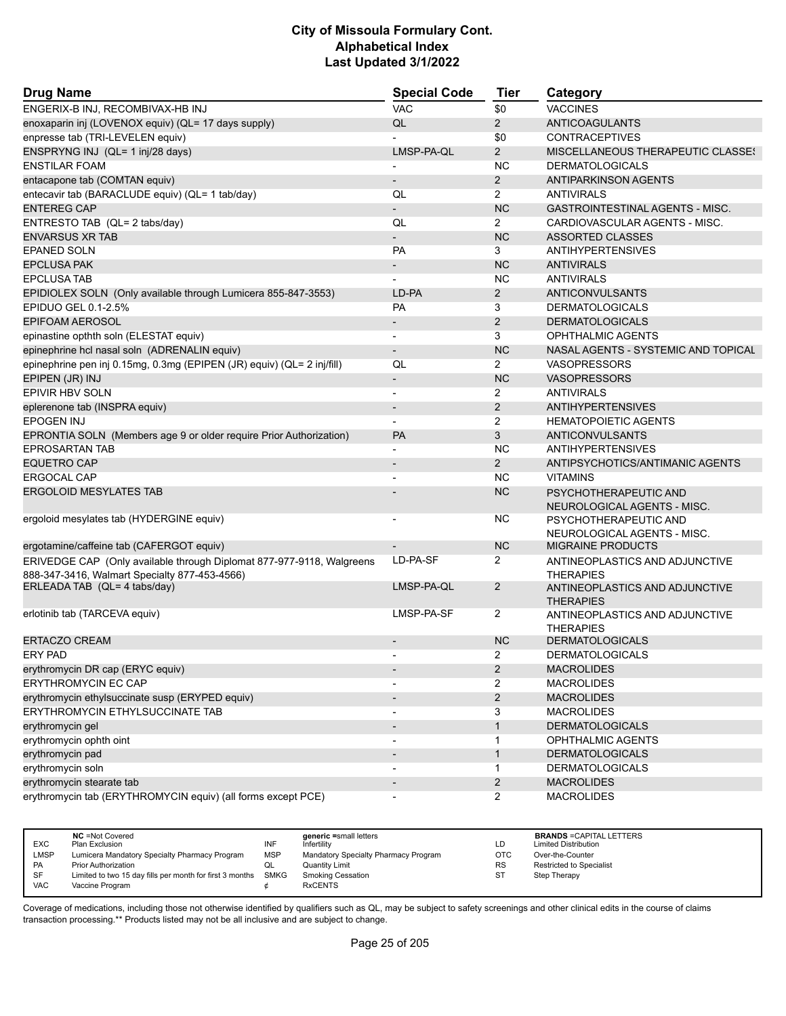| <b>Drug Name</b>                                                                                                       | <b>Special Code</b>          | Tier           | Category                                             |
|------------------------------------------------------------------------------------------------------------------------|------------------------------|----------------|------------------------------------------------------|
| ENGERIX-B INJ, RECOMBIVAX-HB INJ                                                                                       | <b>VAC</b>                   | \$0            | <b>VACCINES</b>                                      |
| enoxaparin inj (LOVENOX equiv) (QL= 17 days supply)                                                                    | QL                           | $\overline{2}$ | ANTICOAGULANTS                                       |
| enpresse tab (TRI-LEVELEN equiv)                                                                                       |                              | \$0            | <b>CONTRACEPTIVES</b>                                |
| ENSPRYNG INJ (QL= 1 inj/28 days)                                                                                       | LMSP-PA-QL                   | 2              | <b>MISCELLANEOUS THERAPEUTIC CLASSE!</b>             |
| <b>ENSTILAR FOAM</b>                                                                                                   |                              | <b>NC</b>      | <b>DERMATOLOGICALS</b>                               |
| entacapone tab (COMTAN equiv)                                                                                          | $\overline{\phantom{0}}$     | $\overline{2}$ | <b>ANTIPARKINSON AGENTS</b>                          |
| entecavir tab (BARACLUDE equiv) (QL= 1 tab/day)                                                                        | QL                           | $\overline{2}$ | <b>ANTIVIRALS</b>                                    |
| <b>ENTEREG CAP</b>                                                                                                     | $\overline{a}$               | <b>NC</b>      | <b>GASTROINTESTINAL AGENTS - MISC.</b>               |
| ENTRESTO TAB (QL= 2 tabs/day)                                                                                          | QL                           | 2              | CARDIOVASCULAR AGENTS - MISC.                        |
| <b>ENVARSUS XR TAB</b>                                                                                                 |                              | <b>NC</b>      | <b>ASSORTED CLASSES</b>                              |
| <b>EPANED SOLN</b>                                                                                                     | PA                           | 3              | <b>ANTIHYPERTENSIVES</b>                             |
| <b>EPCLUSA PAK</b>                                                                                                     | $\overline{\phantom{0}}$     | <b>NC</b>      | <b>ANTIVIRALS</b>                                    |
| <b>EPCLUSA TAB</b>                                                                                                     |                              | <b>NC</b>      | <b>ANTIVIRALS</b>                                    |
| EPIDIOLEX SOLN (Only available through Lumicera 855-847-3553)                                                          | LD-PA                        | $\overline{2}$ | <b>ANTICONVULSANTS</b>                               |
| EPIDUO GEL 0.1-2.5%                                                                                                    | PA                           | 3              | <b>DERMATOLOGICALS</b>                               |
| <b>EPIFOAM AEROSOL</b>                                                                                                 | $\qquad \qquad \blacksquare$ | $\overline{2}$ | <b>DERMATOLOGICALS</b>                               |
| epinastine opthth soln (ELESTAT equiv)                                                                                 | $\blacksquare$               | 3              | OPHTHALMIC AGENTS                                    |
| epinephrine hcl nasal soln (ADRENALIN equiv)                                                                           | $\overline{\phantom{0}}$     | <b>NC</b>      | NASAL AGENTS - SYSTEMIC AND TOPICAL                  |
| epinephrine pen inj 0.15mg, 0.3mg (EPIPEN (JR) equiv) (QL= 2 inj/fill)                                                 | QL                           | $\overline{2}$ | <b>VASOPRESSORS</b>                                  |
| EPIPEN (JR) INJ                                                                                                        | $\overline{\phantom{a}}$     | <b>NC</b>      | <b>VASOPRESSORS</b>                                  |
| <b>EPIVIR HBV SOLN</b>                                                                                                 | $\overline{\phantom{a}}$     | 2              | <b>ANTIVIRALS</b>                                    |
| eplerenone tab (INSPRA equiv)                                                                                          | $\qquad \qquad \blacksquare$ | $\overline{2}$ | <b>ANTIHYPERTENSIVES</b>                             |
| <b>EPOGEN INJ</b>                                                                                                      |                              | $\overline{2}$ | <b>HEMATOPOIETIC AGENTS</b>                          |
| EPRONTIA SOLN (Members age 9 or older require Prior Authorization)                                                     | <b>PA</b>                    | 3              | ANTICONVULSANTS                                      |
| <b>EPROSARTAN TAB</b>                                                                                                  |                              | <b>NC</b>      | <b>ANTIHYPERTENSIVES</b>                             |
| <b>EQUETRO CAP</b>                                                                                                     |                              | $\overline{2}$ | ANTIPSYCHOTICS/ANTIMANIC AGENTS                      |
| <b>ERGOCAL CAP</b>                                                                                                     | $\overline{a}$               | <b>NC</b>      | <b>VITAMINS</b>                                      |
| <b>ERGOLOID MESYLATES TAB</b>                                                                                          |                              | <b>NC</b>      | PSYCHOTHERAPEUTIC AND<br>NEUROLOGICAL AGENTS - MISC. |
| ergoloid mesylates tab (HYDERGINE equiv)                                                                               |                              | <b>NC</b>      | PSYCHOTHERAPEUTIC AND<br>NEUROLOGICAL AGENTS - MISC. |
| ergotamine/caffeine tab (CAFERGOT equiv)                                                                               |                              | <b>NC</b>      | <b>MIGRAINE PRODUCTS</b>                             |
| ERIVEDGE CAP (Only available through Diplomat 877-977-9118, Walgreens<br>888-347-3416, Walmart Specialty 877-453-4566) | LD-PA-SF                     | 2              | ANTINEOPLASTICS AND ADJUNCTIVE<br><b>THERAPIES</b>   |
| ERLEADA TAB (QL= 4 tabs/day)                                                                                           | LMSP-PA-QL                   | $\overline{2}$ | ANTINEOPLASTICS AND ADJUNCTIVE<br><b>THERAPIES</b>   |
| erlotinib tab (TARCEVA equiv)                                                                                          | LMSP-PA-SF                   | 2              | ANTINEOPLASTICS AND ADJUNCTIVE<br><b>THERAPIES</b>   |
| <b>ERTACZO CREAM</b>                                                                                                   |                              | <b>NC</b>      | <b>DERMATOLOGICALS</b>                               |
| ERY PAD                                                                                                                |                              | 2              | <b>DERMATOLOGICALS</b>                               |
| erythromycin DR cap (ERYC equiv)                                                                                       | $\overline{\phantom{a}}$     | $\overline{2}$ | <b>MACROLIDES</b>                                    |
| <b>ERYTHROMYCIN EC CAP</b>                                                                                             |                              | 2              | <b>MACROLIDES</b>                                    |
| erythromycin ethylsuccinate susp (ERYPED equiv)                                                                        | $\overline{\phantom{a}}$     | $\overline{c}$ | <b>MACROLIDES</b>                                    |
| ERYTHROMYCIN ETHYLSUCCINATE TAB                                                                                        | $\overline{\phantom{a}}$     | 3              | <b>MACROLIDES</b>                                    |
| erythromycin gel                                                                                                       | $\overline{\phantom{a}}$     | $\mathbf{1}$   | <b>DERMATOLOGICALS</b>                               |
| erythromycin ophth oint                                                                                                |                              | 1              | OPHTHALMIC AGENTS                                    |
| erythromycin pad                                                                                                       |                              | $\mathbf{1}$   | <b>DERMATOLOGICALS</b>                               |
| erythromycin soln                                                                                                      |                              | $\mathbf{1}$   | <b>DERMATOLOGICALS</b>                               |
| erythromycin stearate tab                                                                                              |                              | $\overline{c}$ | <b>MACROLIDES</b>                                    |
| erythromycin tab (ERYTHROMYCIN equiv) (all forms except PCE)                                                           | $\qquad \qquad \blacksquare$ | $\overline{2}$ | <b>MACROLIDES</b>                                    |

|            | <b>NC</b> = Not Covered                                       |            | generic =small letters               |           | <b>BRANDS = CAPITAL LETTERS</b> |
|------------|---------------------------------------------------------------|------------|--------------------------------------|-----------|---------------------------------|
| <b>EXC</b> | Plan Exclusion                                                | INF        | Infertility                          | LD        | <b>Limited Distribution</b>     |
| LMSP       | Lumicera Mandatory Specialty Pharmacy Program                 | <b>MSP</b> | Mandatory Specialty Pharmacy Program | OTC       | Over-the-Counter                |
| <b>PA</b>  | <b>Prior Authorization</b>                                    | w∟         | <b>Quantity Limit</b>                | <b>RS</b> | Restricted to Specialist        |
| SF         | Limited to two 15 day fills per month for first 3 months SMKG |            | <b>Smoking Cessation</b>             | ST        | Step Therapy                    |
| <b>VAC</b> | Vaccine Program                                               |            | <b>RxCENTS</b>                       |           |                                 |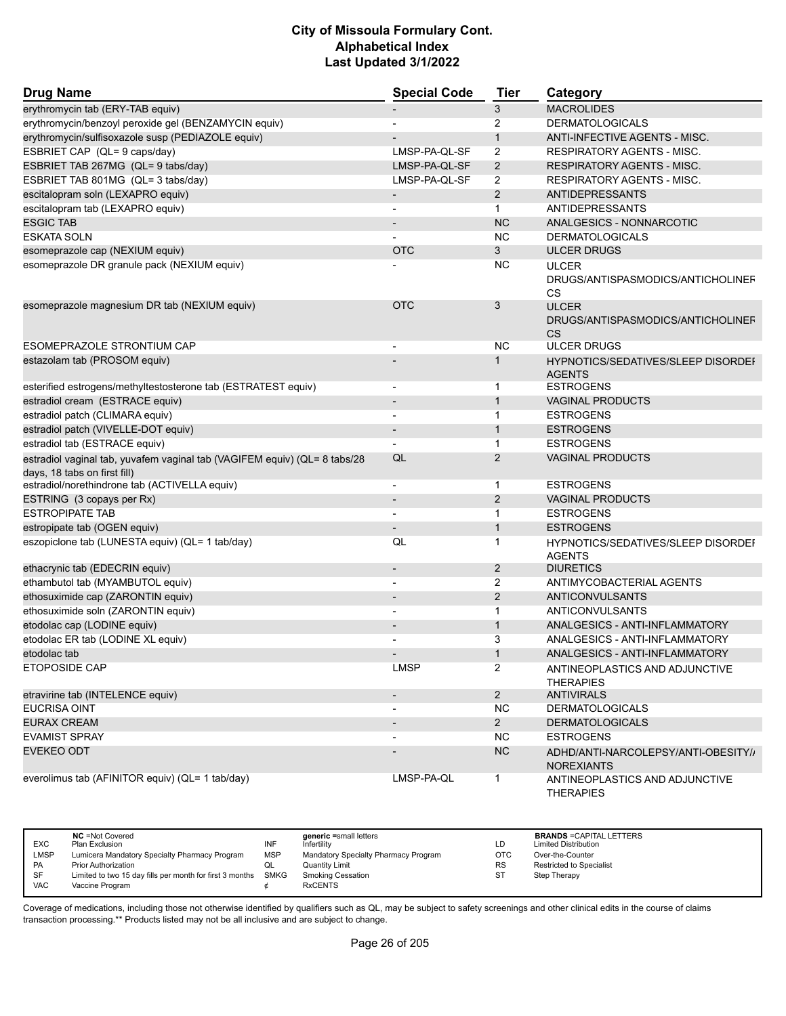| <b>Drug Name</b>                                                                                          | <b>Special Code</b>      | <b>Tier</b>    | Category                                                       |
|-----------------------------------------------------------------------------------------------------------|--------------------------|----------------|----------------------------------------------------------------|
| erythromycin tab (ERY-TAB equiv)                                                                          |                          | 3              | <b>MACROLIDES</b>                                              |
| erythromycin/benzoyl peroxide gel (BENZAMYCIN equiv)                                                      |                          | 2              | <b>DERMATOLOGICALS</b>                                         |
| erythromycin/sulfisoxazole susp (PEDIAZOLE equiv)                                                         |                          | $\mathbf{1}$   | ANTI-INFECTIVE AGENTS - MISC.                                  |
| ESBRIET CAP (QL= 9 caps/day)                                                                              | LMSP-PA-QL-SF            | 2              | <b>RESPIRATORY AGENTS - MISC.</b>                              |
| ESBRIET TAB 267MG (QL= 9 tabs/day)                                                                        | LMSP-PA-QL-SF            | $\overline{2}$ | <b>RESPIRATORY AGENTS - MISC.</b>                              |
| ESBRIET TAB 801MG (QL= 3 tabs/day)                                                                        | LMSP-PA-QL-SF            | 2              | <b>RESPIRATORY AGENTS - MISC.</b>                              |
| escitalopram soln (LEXAPRO equiv)                                                                         | $\overline{\phantom{a}}$ | 2              | <b>ANTIDEPRESSANTS</b>                                         |
| escitalopram tab (LEXAPRO equiv)                                                                          | $\overline{\phantom{a}}$ | $\mathbf{1}$   | <b>ANTIDEPRESSANTS</b>                                         |
| <b>ESGIC TAB</b>                                                                                          |                          | <b>NC</b>      | ANALGESICS - NONNARCOTIC                                       |
| <b>ESKATA SOLN</b>                                                                                        |                          | <b>NC</b>      | <b>DERMATOLOGICALS</b>                                         |
| esomeprazole cap (NEXIUM equiv)                                                                           | <b>OTC</b>               | 3              | <b>ULCER DRUGS</b>                                             |
| esomeprazole DR granule pack (NEXIUM equiv)                                                               |                          | <b>NC</b>      | <b>ULCER</b>                                                   |
|                                                                                                           |                          |                | DRUGS/ANTISPASMODICS/ANTICHOLINEF<br>CS                        |
| esomeprazole magnesium DR tab (NEXIUM equiv)                                                              | <b>OTC</b>               | 3              | <b>ULCER</b><br>DRUGS/ANTISPASMODICS/ANTICHOLINEF<br><b>CS</b> |
| ESOMEPRAZOLE STRONTIUM CAP                                                                                |                          | <b>NC</b>      | <b>ULCER DRUGS</b>                                             |
| estazolam tab (PROSOM equiv)                                                                              |                          | $\overline{1}$ | <b>HYPNOTICS/SEDATIVES/SLEEP DISORDEF</b><br><b>AGENTS</b>     |
| esterified estrogens/methyltestosterone tab (ESTRATEST equiv)                                             |                          | $\mathbf{1}$   | <b>ESTROGENS</b>                                               |
| estradiol cream (ESTRACE equiv)                                                                           | $\overline{\phantom{a}}$ | $\mathbf{1}$   | <b>VAGINAL PRODUCTS</b>                                        |
| estradiol patch (CLIMARA equiv)                                                                           | $\overline{\phantom{a}}$ | $\mathbf 1$    | <b>ESTROGENS</b>                                               |
| estradiol patch (VIVELLE-DOT equiv)                                                                       |                          | $\mathbf{1}$   | <b>ESTROGENS</b>                                               |
| estradiol tab (ESTRACE equiv)                                                                             |                          | $\mathbf{1}$   | <b>ESTROGENS</b>                                               |
| estradiol vaginal tab, yuvafem vaginal tab (VAGIFEM equiv) (QL= 8 tabs/28<br>days, 18 tabs on first fill) | QL                       | 2              | <b>VAGINAL PRODUCTS</b>                                        |
| estradiol/norethindrone tab (ACTIVELLA equiv)                                                             | $\overline{\phantom{a}}$ | $\mathbf 1$    | <b>ESTROGENS</b>                                               |
| ESTRING (3 copays per Rx)                                                                                 |                          | 2              | <b>VAGINAL PRODUCTS</b>                                        |
| <b>ESTROPIPATE TAB</b>                                                                                    | $\overline{\phantom{a}}$ | $\mathbf{1}$   | <b>ESTROGENS</b>                                               |
| estropipate tab (OGEN equiv)                                                                              |                          | $\mathbf{1}$   | <b>ESTROGENS</b>                                               |
| eszopiclone tab (LUNESTA equiv) (QL= 1 tab/day)                                                           | QL                       | $\mathbf 1$    | <b>HYPNOTICS/SEDATIVES/SLEEP DISORDEF</b><br><b>AGENTS</b>     |
| ethacrynic tab (EDECRIN equiv)                                                                            |                          | $\overline{2}$ | <b>DIURETICS</b>                                               |
| ethambutol tab (MYAMBUTOL equiv)                                                                          | $\blacksquare$           | 2              | ANTIMYCOBACTERIAL AGENTS                                       |
| ethosuximide cap (ZARONTIN equiv)                                                                         |                          | 2              | <b>ANTICONVULSANTS</b>                                         |
| ethosuximide soln (ZARONTIN equiv)                                                                        |                          | $\mathbf 1$    | <b>ANTICONVULSANTS</b>                                         |
| etodolac cap (LODINE equiv)                                                                               |                          | $\mathbf{1}$   | ANALGESICS - ANTI-INFLAMMATORY                                 |
| etodolac ER tab (LODINE XL equiv)                                                                         | $\blacksquare$           | 3              | ANALGESICS - ANTI-INFLAMMATORY                                 |
| etodolac tab                                                                                              |                          |                | ANALGESICS - ANTI-INFLAMMATORY                                 |
| <b>ETOPOSIDE CAP</b>                                                                                      | <b>LMSP</b>              | $\overline{2}$ | ANTINEOPLASTICS AND ADJUNCTIVE<br><b>THERAPIES</b>             |
| etravirine tab (INTELENCE equiv)                                                                          |                          | $\overline{2}$ | <b>ANTIVIRALS</b>                                              |
| <b>EUCRISA OINT</b>                                                                                       | $\overline{\phantom{a}}$ | <b>NC</b>      | <b>DERMATOLOGICALS</b>                                         |
| <b>EURAX CREAM</b>                                                                                        |                          | $2^{\circ}$    | <b>DERMATOLOGICALS</b>                                         |
| <b>EVAMIST SPRAY</b>                                                                                      |                          | NC.            | <b>ESTROGENS</b>                                               |
| <b>EVEKEO ODT</b>                                                                                         |                          | NC             | ADHD/ANTI-NARCOLEPSY/ANTI-OBESITY//<br><b>NOREXIANTS</b>       |
| everolimus tab (AFINITOR equiv) (QL= 1 tab/day)                                                           | LMSP-PA-QL               | $\mathbf{1}$   | ANTINEOPLASTICS AND ADJUNCTIVE<br><b>THERAPIES</b>             |

| <b>EXC</b>  | <b>NC</b> = Not Covered<br>Plan Exclusion                     | INF        | generic =small letters<br>Infertility | LD        | <b>BRANDS = CAPITAL LETTERS</b><br><b>Limited Distribution</b> |
|-------------|---------------------------------------------------------------|------------|---------------------------------------|-----------|----------------------------------------------------------------|
| <b>LMSP</b> | Lumicera Mandatory Specialty Pharmacy Program                 | <b>MSP</b> | Mandatory Specialty Pharmacy Program  | OTC       | Over-the-Counter                                               |
| PA          | <b>Prior Authorization</b>                                    | QL         | <b>Quantity Limit</b>                 | <b>RS</b> | <b>Restricted to Specialist</b>                                |
| SF          | Limited to two 15 day fills per month for first 3 months SMKG |            | <b>Smoking Cessation</b>              | ST        | Step Therapy                                                   |
| <b>VAC</b>  | Vaccine Program                                               |            | <b>RxCENTS</b>                        |           |                                                                |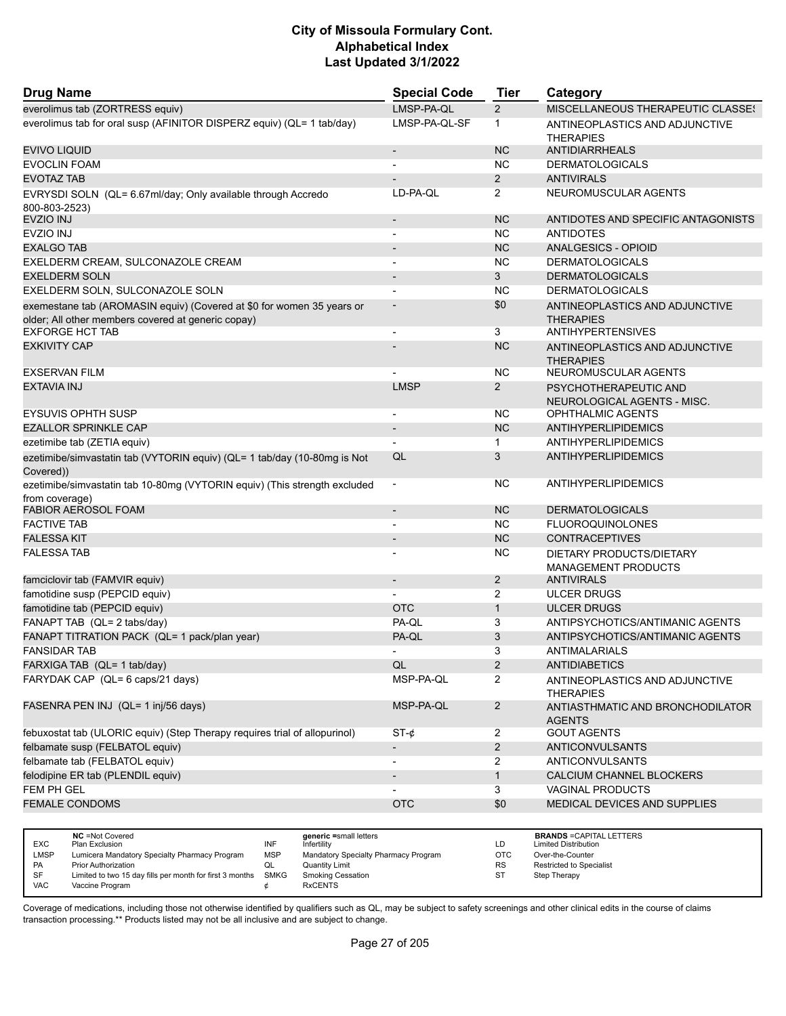| <b>Drug Name</b>                                                                                                            | <b>Special Code</b>      | <b>Tier</b>    | Category                                             |
|-----------------------------------------------------------------------------------------------------------------------------|--------------------------|----------------|------------------------------------------------------|
| everolimus tab (ZORTRESS equiv)                                                                                             | LMSP-PA-OL               | $\overline{2}$ | MISCELLANEOUS THERAPEUTIC CLASSES                    |
| everolimus tab for oral susp (AFINITOR DISPERZ equiv) (QL= 1 tab/day)                                                       | LMSP-PA-QL-SF            | 1              | ANTINEOPLASTICS AND ADJUNCTIVE<br><b>THERAPIES</b>   |
| EVIVO LIQUID                                                                                                                | $\overline{\phantom{a}}$ | <b>NC</b>      | <b>ANTIDIARRHEALS</b>                                |
| <b>EVOCLIN FOAM</b>                                                                                                         |                          | <b>NC</b>      | <b>DERMATOLOGICALS</b>                               |
| <b>EVOTAZ TAB</b>                                                                                                           |                          | $\overline{2}$ | <b>ANTIVIRALS</b>                                    |
| EVRYSDI SOLN (QL= 6.67ml/day; Only available through Accredo<br>800-803-2523)                                               | LD-PA-QL                 | $\overline{2}$ | NEUROMUSCULAR AGENTS                                 |
| EVZIO INJ                                                                                                                   | $\blacksquare$           | <b>NC</b>      | ANTIDOTES AND SPECIFIC ANTAGONISTS                   |
| <b>EVZIO INJ</b>                                                                                                            |                          | <b>NC</b>      | <b>ANTIDOTES</b>                                     |
| <b>EXALGO TAB</b>                                                                                                           |                          | <b>NC</b>      | ANALGESICS - OPIOID                                  |
| EXELDERM CREAM, SULCONAZOLE CREAM                                                                                           | $\overline{a}$           | ΝC             | <b>DERMATOLOGICALS</b>                               |
| <b>EXELDERM SOLN</b>                                                                                                        | $\overline{\phantom{a}}$ | 3              | <b>DERMATOLOGICALS</b>                               |
| EXELDERM SOLN, SULCONAZOLE SOLN                                                                                             |                          | <b>NC</b>      | <b>DERMATOLOGICALS</b>                               |
| exemestane tab (AROMASIN equiv) (Covered at \$0 for women 35 years or<br>older; All other members covered at generic copay) |                          | \$0            | ANTINEOPLASTICS AND ADJUNCTIVE<br><b>THERAPIES</b>   |
| <b>EXFORGE HCT TAB</b>                                                                                                      | $\overline{a}$           | 3              | <b>ANTIHYPERTENSIVES</b>                             |
| <b>EXKIVITY CAP</b>                                                                                                         |                          | <b>NC</b>      | ANTINEOPLASTICS AND ADJUNCTIVE<br><b>THERAPIES</b>   |
| <b>EXSERVAN FILM</b>                                                                                                        |                          | <b>NC</b>      | NEUROMUSCULAR AGENTS                                 |
| <b>EXTAVIA INJ</b>                                                                                                          | <b>LMSP</b>              | $\overline{2}$ | PSYCHOTHERAPEUTIC AND<br>NEUROLOGICAL AGENTS - MISC. |
| <b>EYSUVIS OPHTH SUSP</b>                                                                                                   | $\overline{\phantom{a}}$ | ΝC             | OPHTHALMIC AGENTS                                    |
| <b>EZALLOR SPRINKLE CAP</b>                                                                                                 | $\overline{\phantom{a}}$ | <b>NC</b>      | ANTIHYPERLIPIDEMICS                                  |
| ezetimibe tab (ZETIA equiv)                                                                                                 |                          | $\mathbf{1}$   | ANTIHYPERLIPIDEMICS                                  |
| ezetimibe/simvastatin tab (VYTORIN equiv) (QL= 1 tab/day (10-80mg is Not<br>Covered))                                       | QL                       | 3              | ANTIHYPERLIPIDEMICS                                  |
| ezetimibe/simvastatin tab 10-80mg (VYTORIN equiv) (This strength excluded<br>from coverage)                                 | $\overline{\phantom{a}}$ | ΝC             | ANTIHYPERLIPIDEMICS                                  |
| <b>FABIOR AEROSOL FOAM</b>                                                                                                  | $\blacksquare$           | <b>NC</b>      | <b>DERMATOLOGICALS</b>                               |
| <b>FACTIVE TAB</b>                                                                                                          |                          | <b>NC</b>      | <b>FLUOROQUINOLONES</b>                              |
| <b>FALESSA KIT</b>                                                                                                          | $\overline{\phantom{a}}$ | <b>NC</b>      | <b>CONTRACEPTIVES</b>                                |
| <b>FALESSA TAB</b>                                                                                                          |                          | <b>NC</b>      | DIETARY PRODUCTS/DIETARY<br>MANAGEMENT PRODUCTS      |
| famciclovir tab (FAMVIR equiv)                                                                                              | $\overline{\phantom{a}}$ | $\overline{2}$ | <b>ANTIVIRALS</b>                                    |
| famotidine susp (PEPCID equiv)                                                                                              |                          | $\overline{2}$ | <b>ULCER DRUGS</b>                                   |
| famotidine tab (PEPCID equiv)                                                                                               | <b>OTC</b>               | $\mathbf{1}$   | <b>ULCER DRUGS</b>                                   |
| FANAPT TAB (QL= 2 tabs/day)                                                                                                 | PA-QL                    | 3              | ANTIPSYCHOTICS/ANTIMANIC AGENTS                      |
| FANAPT TITRATION PACK (QL= 1 pack/plan year)                                                                                | PA-QL                    | 3              | ANTIPSYCHOTICS/ANTIMANIC AGENTS                      |
| <b>FANSIDAR TAB</b>                                                                                                         | $\overline{\phantom{0}}$ | 3              | ANTIMALARIALS                                        |
| FARXIGA TAB (QL= 1 tab/day)                                                                                                 | QL                       | $\overline{2}$ | <b>ANTIDIABETICS</b>                                 |
| FARYDAK CAP (QL= 6 caps/21 days)                                                                                            | MSP-PA-QL                | $\overline{2}$ | ANTINEOPLASTICS AND ADJUNCTIVE<br><b>THERAPIES</b>   |
| FASENRA PEN INJ (QL= 1 inj/56 days)                                                                                         | MSP-PA-QL                | $\overline{2}$ | ANTIASTHMATIC AND BRONCHODILATOR<br><b>AGENTS</b>    |
| febuxostat tab (ULORIC equiv) (Step Therapy requires trial of allopurinol)                                                  | $ST-¢$                   | $\overline{2}$ | <b>GOUT AGENTS</b>                                   |
| felbamate susp (FELBATOL equiv)                                                                                             | $\overline{\phantom{a}}$ | $\overline{2}$ | <b>ANTICONVULSANTS</b>                               |
| felbamate tab (FELBATOL equiv)                                                                                              | $\overline{\phantom{a}}$ | 2              | <b>ANTICONVULSANTS</b>                               |
| felodipine ER tab (PLENDIL equiv)                                                                                           |                          | $\mathbf{1}$   | CALCIUM CHANNEL BLOCKERS                             |
| FEM PH GEL                                                                                                                  |                          | 3              | VAGINAL PRODUCTS                                     |
| <b>FEMALE CONDOMS</b>                                                                                                       | <b>OTC</b>               | \$0            | MEDICAL DEVICES AND SUPPLIES                         |
|                                                                                                                             |                          |                |                                                      |

|            | <b>NC</b> = Not Covered                                       |            | generic =small letters               |           | <b>BRANDS = CAPITAL LETTERS</b> |
|------------|---------------------------------------------------------------|------------|--------------------------------------|-----------|---------------------------------|
| <b>EXC</b> | Plan Exclusion                                                | INF        | Infertility                          | LD.       | <b>Limited Distribution</b>     |
| LMSP       | Lumicera Mandatory Specialty Pharmacy Program                 | <b>MSP</b> | Mandatory Specialty Pharmacy Program | OTC       | Over-the-Counter                |
| <b>PA</b>  | <b>Prior Authorization</b>                                    | QL         | Quantity Limit                       | <b>RS</b> | Restricted to Specialist        |
| SF         | Limited to two 15 day fills per month for first 3 months SMKG |            | <b>Smoking Cessation</b>             |           | Step Therapy                    |
| <b>VAC</b> | Vaccine Program                                               |            | <b>RxCENTS</b>                       |           |                                 |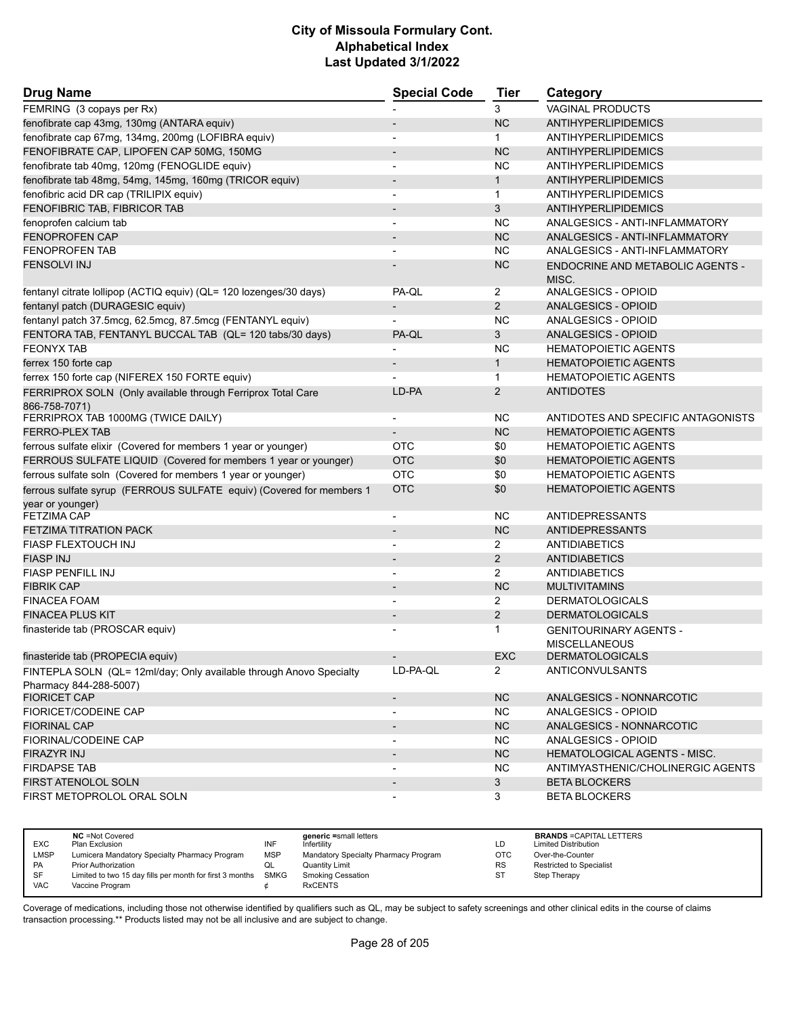| <b>Drug Name</b>                                                                              | <b>Special Code</b>      | <b>Tier</b>    | Category                                              |
|-----------------------------------------------------------------------------------------------|--------------------------|----------------|-------------------------------------------------------|
| FEMRING (3 copays per Rx)                                                                     |                          | 3              | <b>VAGINAL PRODUCTS</b>                               |
| fenofibrate cap 43mg, 130mg (ANTARA equiv)                                                    |                          | <b>NC</b>      | <b>ANTIHYPERLIPIDEMICS</b>                            |
| fenofibrate cap 67mg, 134mg, 200mg (LOFIBRA equiv)                                            |                          | $\mathbf{1}$   | <b>ANTIHYPERLIPIDEMICS</b>                            |
| FENOFIBRATE CAP, LIPOFEN CAP 50MG, 150MG                                                      | $\overline{\phantom{a}}$ | <b>NC</b>      | ANTIHYPERLIPIDEMICS                                   |
| fenofibrate tab 40mg, 120mg (FENOGLIDE equiv)                                                 | $\overline{\phantom{0}}$ | NC.            | ANTIHYPERLIPIDEMICS                                   |
| fenofibrate tab 48mg, 54mg, 145mg, 160mg (TRICOR equiv)                                       | $\overline{\phantom{m}}$ | $\mathbf{1}$   | <b>ANTIHYPERLIPIDEMICS</b>                            |
| fenofibric acid DR cap (TRILIPIX equiv)                                                       | $\blacksquare$           | $\mathbf{1}$   | <b>ANTIHYPERLIPIDEMICS</b>                            |
| FENOFIBRIC TAB, FIBRICOR TAB                                                                  |                          | 3              | <b>ANTIHYPERLIPIDEMICS</b>                            |
| fenoprofen calcium tab                                                                        | -                        | <b>NC</b>      | ANALGESICS - ANTI-INFLAMMATORY                        |
| <b>FENOPROFEN CAP</b>                                                                         | $\blacksquare$           | <b>NC</b>      | ANALGESICS - ANTI-INFLAMMATORY                        |
| <b>FENOPROFEN TAB</b>                                                                         |                          | <b>NC</b>      | ANALGESICS - ANTI-INFLAMMATORY                        |
| <b>FENSOLVI INJ</b>                                                                           |                          | <b>NC</b>      | <b>ENDOCRINE AND METABOLIC AGENTS -</b><br>MISC.      |
| fentanyl citrate lollipop (ACTIQ equiv) (QL= 120 lozenges/30 days)                            | PA-QL                    | 2              | ANALGESICS - OPIOID                                   |
| fentanyl patch (DURAGESIC equiv)                                                              |                          | $\overline{2}$ | <b>ANALGESICS - OPIOID</b>                            |
| fentanyl patch 37.5mcg, 62.5mcg, 87.5mcg (FENTANYL equiv)                                     |                          | <b>NC</b>      | ANALGESICS - OPIOID                                   |
| FENTORA TAB, FENTANYL BUCCAL TAB (QL= 120 tabs/30 days)                                       | PA-QL                    | 3              | ANALGESICS - OPIOID                                   |
| <b>FEONYX TAB</b>                                                                             |                          | <b>NC</b>      | <b>HEMATOPOIETIC AGENTS</b>                           |
| ferrex 150 forte cap                                                                          | $\overline{\phantom{m}}$ | $\mathbf{1}$   | <b>HEMATOPOIETIC AGENTS</b>                           |
| ferrex 150 forte cap (NIFEREX 150 FORTE equiv)                                                |                          | $\mathbf{1}$   | <b>HEMATOPOIETIC AGENTS</b>                           |
| FERRIPROX SOLN (Only available through Ferriprox Total Care<br>866-758-7071)                  | LD-PA                    | $\overline{2}$ | <b>ANTIDOTES</b>                                      |
| FERRIPROX TAB 1000MG (TWICE DAILY)                                                            |                          | <b>NC</b>      | ANTIDOTES AND SPECIFIC ANTAGONISTS                    |
| <b>FERRO-PLEX TAB</b>                                                                         |                          | <b>NC</b>      | <b>HEMATOPOIETIC AGENTS</b>                           |
| ferrous sulfate elixir (Covered for members 1 year or younger)                                | OTC                      | \$0            | <b>HEMATOPOIETIC AGENTS</b>                           |
| FERROUS SULFATE LIQUID (Covered for members 1 year or younger)                                | <b>OTC</b>               | \$0            | <b>HEMATOPOIETIC AGENTS</b>                           |
| ferrous sulfate soln (Covered for members 1 year or younger)                                  | <b>OTC</b>               | \$0            | <b>HEMATOPOIETIC AGENTS</b>                           |
| ferrous sulfate syrup (FERROUS SULFATE equiv) (Covered for members 1<br>year or younger)      | <b>OTC</b>               | \$0            | <b>HEMATOPOIETIC AGENTS</b>                           |
| <b>FETZIMA CAP</b>                                                                            | $\overline{\phantom{a}}$ | <b>NC</b>      | <b>ANTIDEPRESSANTS</b>                                |
| <b>FETZIMA TITRATION PACK</b>                                                                 |                          | <b>NC</b>      | <b>ANTIDEPRESSANTS</b>                                |
| <b>FIASP FLEXTOUCH INJ</b>                                                                    | $\blacksquare$           | $\overline{2}$ | <b>ANTIDIABETICS</b>                                  |
| <b>FIASP INJ</b>                                                                              |                          | $\overline{2}$ | <b>ANTIDIABETICS</b>                                  |
| <b>FIASP PENFILL INJ</b>                                                                      |                          | $\overline{2}$ | <b>ANTIDIABETICS</b>                                  |
| <b>FIBRIK CAP</b>                                                                             | $\overline{\phantom{a}}$ | <b>NC</b>      | <b>MULTIVITAMINS</b>                                  |
| <b>FINACEA FOAM</b>                                                                           |                          | 2              | <b>DERMATOLOGICALS</b>                                |
| <b>FINACEA PLUS KIT</b>                                                                       |                          | $\overline{2}$ | <b>DERMATOLOGICALS</b>                                |
| finasteride tab (PROSCAR equiv)                                                               |                          | 1              | <b>GENITOURINARY AGENTS -</b><br><b>MISCELLANEOUS</b> |
| finasteride tab (PROPECIA equiv)                                                              |                          | <b>EXC</b>     | <b>DERMATOLOGICALS</b>                                |
| FINTEPLA SOLN (QL= 12ml/day; Only available through Anovo Specialty<br>Pharmacy 844-288-5007) | LD-PA-QL                 | $\mathbf{2}$   | ANTICONVULSANTS                                       |
| <b>FIORICET CAP</b>                                                                           | $\overline{\phantom{a}}$ | NC             | ANALGESICS - NONNARCOTIC                              |
| FIORICET/CODEINE CAP                                                                          |                          | <b>NC</b>      | ANALGESICS - OPIOID                                   |
| <b>FIORINAL CAP</b>                                                                           |                          | NC             | ANALGESICS - NONNARCOTIC                              |
| <b>FIORINAL/CODEINE CAP</b>                                                                   | $\overline{\phantom{a}}$ | <b>NC</b>      | ANALGESICS - OPIOID                                   |
| <b>FIRAZYR INJ</b>                                                                            |                          | NC             | HEMATOLOGICAL AGENTS - MISC.                          |
| <b>FIRDAPSE TAB</b>                                                                           |                          | <b>NC</b>      | ANTIMYASTHENIC/CHOLINERGIC AGENTS                     |
| FIRST ATENOLOL SOLN                                                                           | $\overline{\phantom{a}}$ | 3              | <b>BETA BLOCKERS</b>                                  |
| FIRST METOPROLOL ORAL SOLN                                                                    |                          | 3              | <b>BETA BLOCKERS</b>                                  |

|            | <b>NC</b> = Not Covered                                       |            | generic =small letters               |            | <b>BRANDS = CAPITAL LETTERS</b> |
|------------|---------------------------------------------------------------|------------|--------------------------------------|------------|---------------------------------|
| <b>EXC</b> | Plan Exclusion                                                | INF        | Infertility                          | LD         | <b>Limited Distribution</b>     |
| LMSP       | Lumicera Mandatory Specialty Pharmacy Program                 | <b>MSP</b> | Mandatory Specialty Pharmacy Program | <b>OTC</b> | Over-the-Counter                |
| <b>PA</b>  | <b>Prior Authorization</b>                                    | QL         | Quantity Limit                       | <b>RS</b>  | <b>Restricted to Specialist</b> |
| SF         | Limited to two 15 day fills per month for first 3 months SMKG |            | Smoking Cessation                    | ST         | Step Therapy                    |
| <b>VAC</b> | Vaccine Program                                               |            | <b>RxCENTS</b>                       |            |                                 |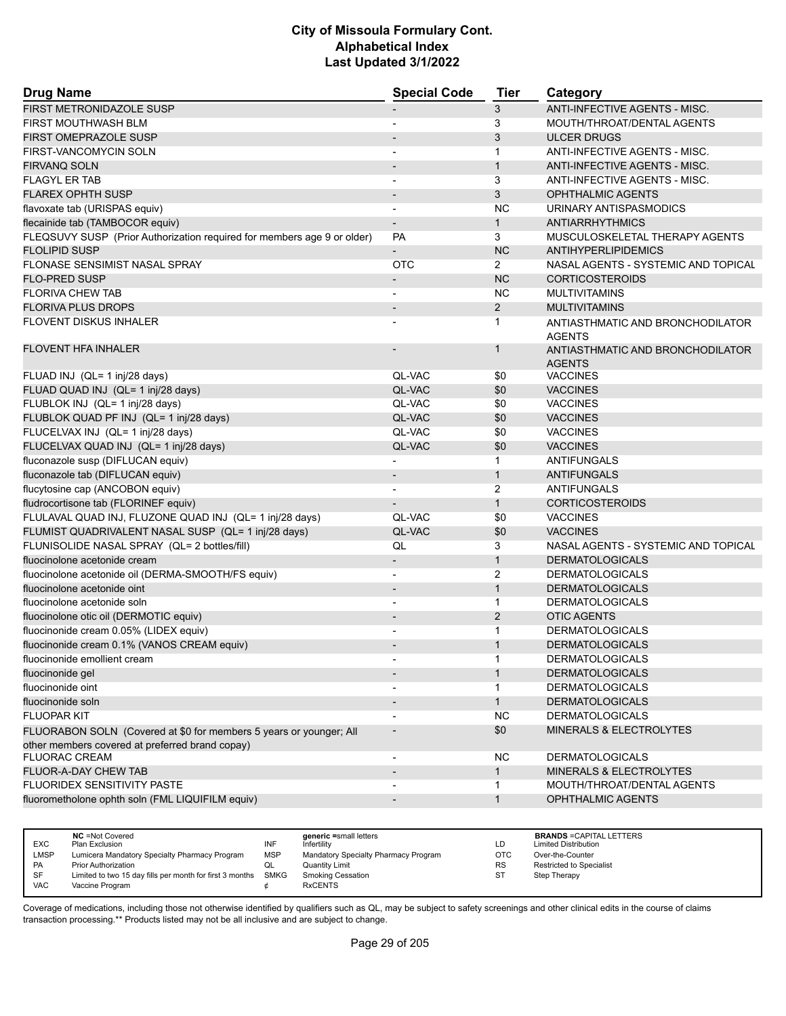| <b>Drug Name</b>                                                        | <b>Special Code</b>      | <b>Tier</b>    | Category                                          |
|-------------------------------------------------------------------------|--------------------------|----------------|---------------------------------------------------|
| FIRST METRONIDAZOLE SUSP                                                |                          | 3              | ANTI-INFECTIVE AGENTS - MISC.                     |
| FIRST MOUTHWASH BLM                                                     |                          | 3              | MOUTH/THROAT/DENTAL AGENTS                        |
| <b>FIRST OMEPRAZOLE SUSP</b>                                            |                          | 3              | <b>ULCER DRUGS</b>                                |
| FIRST-VANCOMYCIN SOLN                                                   | $\blacksquare$           | $\mathbf{1}$   | ANTI-INFECTIVE AGENTS - MISC.                     |
| <b>FIRVANQ SOLN</b>                                                     |                          | $\mathbf{1}$   | ANTI-INFECTIVE AGENTS - MISC.                     |
| <b>FLAGYL ER TAB</b>                                                    |                          | 3              | ANTI-INFECTIVE AGENTS - MISC.                     |
| <b>FLAREX OPHTH SUSP</b>                                                | $\overline{\phantom{m}}$ | 3              | <b>OPHTHALMIC AGENTS</b>                          |
| flavoxate tab (URISPAS equiv)                                           | $\overline{\phantom{a}}$ | <b>NC</b>      | URINARY ANTISPASMODICS                            |
| flecainide tab (TAMBOCOR equiv)                                         |                          | $\mathbf{1}$   | ANTIARRHYTHMICS                                   |
| FLEQSUVY SUSP (Prior Authorization required for members age 9 or older) | <b>PA</b>                | 3              | MUSCULOSKELETAL THERAPY AGENTS                    |
| <b>FLOLIPID SUSP</b>                                                    |                          | <b>NC</b>      | ANTIHYPERLIPIDEMICS                               |
| FLONASE SENSIMIST NASAL SPRAY                                           | <b>OTC</b>               | $\overline{2}$ | NASAL AGENTS - SYSTEMIC AND TOPICAL               |
| <b>FLO-PRED SUSP</b>                                                    | $\overline{\phantom{a}}$ | <b>NC</b>      | <b>CORTICOSTEROIDS</b>                            |
| <b>FLORIVA CHEW TAB</b>                                                 | $\overline{a}$           | <b>NC</b>      | <b>MULTIVITAMINS</b>                              |
| <b>FLORIVA PLUS DROPS</b>                                               |                          | $\overline{2}$ | <b>MULTIVITAMINS</b>                              |
| <b>FLOVENT DISKUS INHALER</b>                                           |                          | 1              | ANTIASTHMATIC AND BRONCHODILATOR<br><b>AGENTS</b> |
| <b>FLOVENT HFA INHALER</b>                                              |                          | 1              | ANTIASTHMATIC AND BRONCHODILATOR<br><b>AGENTS</b> |
| FLUAD INJ (QL= 1 inj/28 days)                                           | QL-VAC                   | \$0            | <b>VACCINES</b>                                   |
| FLUAD QUAD INJ (QL= 1 inj/28 days)                                      | QL-VAC                   | \$0            | <b>VACCINES</b>                                   |
| FLUBLOK INJ (QL= 1 inj/28 days)                                         | QL-VAC                   | \$0            | <b>VACCINES</b>                                   |
| FLUBLOK QUAD PF INJ (QL= 1 inj/28 days)                                 | QL-VAC                   | \$0            | <b>VACCINES</b>                                   |
| FLUCELVAX INJ (QL= 1 inj/28 days)                                       | QL-VAC                   | \$0            | <b>VACCINES</b>                                   |
| FLUCELVAX QUAD INJ (QL= 1 inj/28 days)                                  | QL-VAC                   | \$0            | <b>VACCINES</b>                                   |
| fluconazole susp (DIFLUCAN equiv)                                       |                          | 1              | <b>ANTIFUNGALS</b>                                |
| fluconazole tab (DIFLUCAN equiv)                                        | $\overline{\phantom{a}}$ | $\mathbf{1}$   | <b>ANTIFUNGALS</b>                                |
| flucytosine cap (ANCOBON equiv)                                         |                          | 2              | <b>ANTIFUNGALS</b>                                |
| fludrocortisone tab (FLORINEF equiv)                                    |                          | $\mathbf{1}$   | <b>CORTICOSTEROIDS</b>                            |
| FLULAVAL QUAD INJ, FLUZONE QUAD INJ (QL= 1 inj/28 days)                 | QL-VAC                   | \$0            | <b>VACCINES</b>                                   |
| FLUMIST QUADRIVALENT NASAL SUSP (QL= 1 inj/28 days)                     | QL-VAC                   | \$0            | <b>VACCINES</b>                                   |
| FLUNISOLIDE NASAL SPRAY (QL= 2 bottles/fill)                            | QL                       | 3              | NASAL AGENTS - SYSTEMIC AND TOPICAL               |
| fluocinolone acetonide cream                                            | $\overline{\phantom{0}}$ | $\mathbf{1}$   | <b>DERMATOLOGICALS</b>                            |
| fluocinolone acetonide oil (DERMA-SMOOTH/FS equiv)                      | $\overline{\phantom{a}}$ | 2              | <b>DERMATOLOGICALS</b>                            |
| fluocinolone acetonide oint                                             | $\overline{\phantom{a}}$ | $\mathbf{1}$   | <b>DERMATOLOGICALS</b>                            |
| fluocinolone acetonide soln                                             | $\overline{a}$           | $\mathbf{1}$   | <b>DERMATOLOGICALS</b>                            |
| fluocinolone otic oil (DERMOTIC equiv)                                  | $\overline{a}$           | $\overline{2}$ | <b>OTIC AGENTS</b>                                |
| fluocinonide cream 0.05% (LIDEX equiv)                                  |                          | 1              | <b>DERMATOLOGICALS</b>                            |
| fluocinonide cream 0.1% (VANOS CREAM equiv)                             |                          | $\mathbf{1}$   | <b>DERMATOLOGICALS</b>                            |
| fluocinonide emollient cream                                            |                          |                | <b>DERMATOLOGICALS</b>                            |
| fluocinonide gel                                                        |                          | $\mathbf{1}$   | <b>DERMATOLOGICALS</b>                            |
| fluocinonide oint                                                       |                          | 1              | <b>DERMATOLOGICALS</b>                            |
| fluocinonide soln                                                       | $\overline{\phantom{a}}$ | $\mathbf{1}$   | <b>DERMATOLOGICALS</b>                            |
| <b>FLUOPAR KIT</b>                                                      |                          | <b>NC</b>      | <b>DERMATOLOGICALS</b>                            |
| FLUORABON SOLN (Covered at \$0 for members 5 years or younger; All      |                          | \$0            | MINERALS & ELECTROLYTES                           |
| other members covered at preferred brand copay)                         |                          |                |                                                   |
| <b>FLUORAC CREAM</b>                                                    | $\overline{\phantom{a}}$ | NC.            | <b>DERMATOLOGICALS</b>                            |
| FLUOR-A-DAY CHEW TAB                                                    |                          | $\mathbf{1}$   | <b>MINERALS &amp; ELECTROLYTES</b>                |
| FLUORIDEX SENSITIVITY PASTE                                             |                          | 1              | MOUTH/THROAT/DENTAL AGENTS                        |
| fluorometholone ophth soln (FML LIQUIFILM equiv)                        | -                        | $\mathbf{1}$   | OPHTHALMIC AGENTS                                 |
|                                                                         |                          |                |                                                   |

| <b>EXC</b> | <b>NC</b> = Not Covered<br>Plan Exclusion                     | INF        | generic =small letters<br>Infertility | LD        | <b>BRANDS = CAPITAL LETTERS</b><br><b>Limited Distribution</b> |
|------------|---------------------------------------------------------------|------------|---------------------------------------|-----------|----------------------------------------------------------------|
| LMSP       | Lumicera Mandatory Specialty Pharmacy Program                 | <b>MSP</b> | Mandatory Specialty Pharmacy Program  | OTC       | Over-the-Counter                                               |
| PA         | Prior Authorization                                           | QL         | <b>Quantity Limit</b>                 | <b>RS</b> | <b>Restricted to Specialist</b>                                |
| <b>SF</b>  | Limited to two 15 day fills per month for first 3 months SMKG |            | Smoking Cessation                     | ST        | Step Therapy                                                   |
| <b>VAC</b> | Vaccine Program                                               |            | <b>RxCENTS</b>                        |           |                                                                |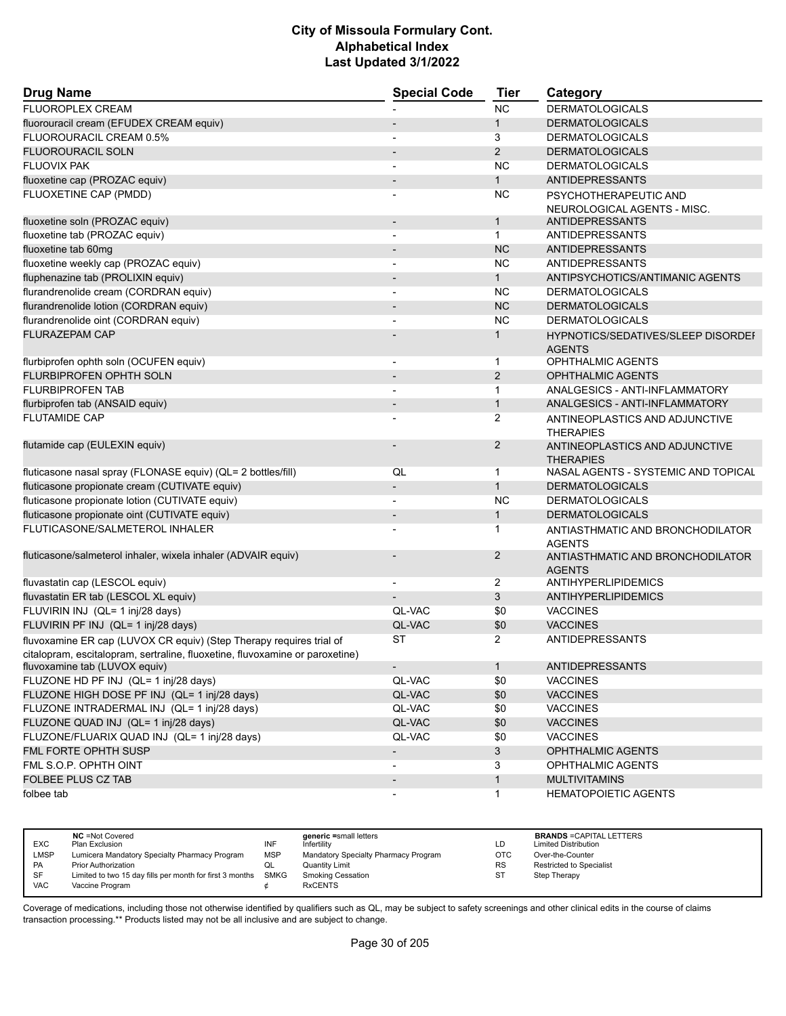| <b>Drug Name</b>                                                             | <b>Special Code</b>      | <b>Tier</b>    | Category                                           |
|------------------------------------------------------------------------------|--------------------------|----------------|----------------------------------------------------|
| FLUOROPLEX CREAM                                                             |                          | <b>NC</b>      | <b>DERMATOLOGICALS</b>                             |
| fluorouracil cream (EFUDEX CREAM equiv)                                      |                          | $\mathbf{1}$   | <b>DERMATOLOGICALS</b>                             |
| FLUOROURACIL CREAM 0.5%                                                      |                          | 3              | <b>DERMATOLOGICALS</b>                             |
| <b>FLUOROURACIL SOLN</b>                                                     | $\blacksquare$           | $\overline{2}$ | <b>DERMATOLOGICALS</b>                             |
| <b>FLUOVIX PAK</b>                                                           |                          | <b>NC</b>      | <b>DERMATOLOGICALS</b>                             |
| fluoxetine cap (PROZAC equiv)                                                |                          | $\mathbf{1}$   | <b>ANTIDEPRESSANTS</b>                             |
| FLUOXETINE CAP (PMDD)                                                        |                          | NC             | PSYCHOTHERAPEUTIC AND                              |
|                                                                              |                          |                | NEUROLOGICAL AGENTS - MISC.                        |
| fluoxetine soln (PROZAC equiv)                                               | $\overline{\phantom{a}}$ | $\mathbf{1}$   | ANTIDEPRESSANTS                                    |
| fluoxetine tab (PROZAC equiv)                                                |                          | $\mathbf{1}$   | <b>ANTIDEPRESSANTS</b>                             |
| fluoxetine tab 60mg                                                          |                          | <b>NC</b>      | ANTIDEPRESSANTS                                    |
| fluoxetine weekly cap (PROZAC equiv)                                         |                          | <b>NC</b>      | <b>ANTIDEPRESSANTS</b>                             |
| fluphenazine tab (PROLIXIN equiv)                                            |                          | $\mathbf{1}$   | ANTIPSYCHOTICS/ANTIMANIC AGENTS                    |
| flurandrenolide cream (CORDRAN equiv)                                        | $\overline{\phantom{a}}$ | <b>NC</b>      | <b>DERMATOLOGICALS</b>                             |
| flurandrenolide lotion (CORDRAN equiv)                                       | $\blacksquare$           | <b>NC</b>      | <b>DERMATOLOGICALS</b>                             |
| flurandrenolide oint (CORDRAN equiv)                                         |                          | <b>NC</b>      | <b>DERMATOLOGICALS</b>                             |
| <b>FLURAZEPAM CAP</b>                                                        |                          | 1              | <b>HYPNOTICS/SEDATIVES/SLEEP DISORDEF</b>          |
|                                                                              |                          |                | <b>AGENTS</b>                                      |
| flurbiprofen ophth soln (OCUFEN equiv)                                       | $\overline{\phantom{a}}$ | $\mathbf 1$    | <b>OPHTHALMIC AGENTS</b>                           |
| <b>FLURBIPROFEN OPHTH SOLN</b>                                               | $\overline{\phantom{a}}$ | 2              | <b>OPHTHALMIC AGENTS</b>                           |
| <b>FLURBIPROFEN TAB</b>                                                      | $\blacksquare$           | $\mathbf{1}$   | ANALGESICS - ANTI-INFLAMMATORY                     |
| flurbiprofen tab (ANSAID equiv)                                              | $\overline{\phantom{a}}$ | $\mathbf{1}$   | ANALGESICS - ANTI-INFLAMMATORY                     |
| <b>FLUTAMIDE CAP</b>                                                         |                          | $\overline{2}$ | ANTINEOPLASTICS AND ADJUNCTIVE<br><b>THERAPIES</b> |
| flutamide cap (EULEXIN equiv)                                                |                          | $\overline{2}$ | ANTINEOPLASTICS AND ADJUNCTIVE<br><b>THERAPIES</b> |
| fluticasone nasal spray (FLONASE equiv) (QL= 2 bottles/fill)                 | QL                       | $\mathbf{1}$   | NASAL AGENTS - SYSTEMIC AND TOPICAL                |
| fluticasone propionate cream (CUTIVATE equiv)                                | $\overline{\phantom{a}}$ | $\mathbf{1}$   | <b>DERMATOLOGICALS</b>                             |
| fluticasone propionate lotion (CUTIVATE equiv)                               | $\overline{\phantom{a}}$ | <b>NC</b>      | <b>DERMATOLOGICALS</b>                             |
| fluticasone propionate oint (CUTIVATE equiv)                                 |                          | $\mathbf{1}$   | <b>DERMATOLOGICALS</b>                             |
| FLUTICASONE/SALMETEROL INHALER                                               |                          | 1              | ANTIASTHMATIC AND BRONCHODILATOR<br><b>AGENTS</b>  |
| fluticasone/salmeterol inhaler, wixela inhaler (ADVAIR equiv)                |                          | 2              | ANTIASTHMATIC AND BRONCHODILATOR<br><b>AGENTS</b>  |
| fluvastatin cap (LESCOL equiv)                                               | $\overline{\phantom{a}}$ | $\overline{2}$ | <b>ANTIHYPERLIPIDEMICS</b>                         |
| fluvastatin ER tab (LESCOL XL equiv)                                         |                          | 3              | <b>ANTIHYPERLIPIDEMICS</b>                         |
| FLUVIRIN INJ (QL= 1 inj/28 days)                                             | QL-VAC                   | \$0            | <b>VACCINES</b>                                    |
| FLUVIRIN PF INJ (QL= 1 inj/28 days)                                          | QL-VAC                   | \$0            | <b>VACCINES</b>                                    |
| fluvoxamine ER cap (LUVOX CR equiv) (Step Therapy requires trial of          | <b>ST</b>                | $\overline{2}$ | <b>ANTIDEPRESSANTS</b>                             |
| citalopram, escitalopram, sertraline, fluoxetine, fluvoxamine or paroxetine) |                          |                |                                                    |
| fluvoxamine tab (LUVOX equiv)                                                |                          | 1              | <b>ANTIDEPRESSANTS</b>                             |
| FLUZONE HD PF INJ (QL= 1 inj/28 days)                                        | QL-VAC                   | \$0            | <b>VACCINES</b>                                    |
| FLUZONE HIGH DOSE PF INJ (QL= 1 inj/28 days)                                 | QL-VAC                   | \$0            | <b>VACCINES</b>                                    |
| FLUZONE INTRADERMAL INJ (QL= 1 inj/28 days)                                  | QL-VAC                   | \$0            | <b>VACCINES</b>                                    |
| FLUZONE QUAD INJ (QL= 1 inj/28 days)                                         | QL-VAC                   | \$0            | <b>VACCINES</b>                                    |
| FLUZONE/FLUARIX QUAD INJ (QL= 1 inj/28 days)                                 | QL-VAC                   | \$0            | <b>VACCINES</b>                                    |
| FML FORTE OPHTH SUSP                                                         | $\overline{\phantom{a}}$ | 3              | OPHTHALMIC AGENTS                                  |
| FML S.O.P. OPHTH OINT                                                        |                          | 3              | OPHTHALMIC AGENTS                                  |
| <b>FOLBEE PLUS CZ TAB</b>                                                    |                          | $\mathbf{1}$   | <b>MULTIVITAMINS</b>                               |
| folbee tab                                                                   |                          | $\mathbf{1}$   | <b>HEMATOPOIETIC AGENTS</b>                        |
|                                                                              |                          |                |                                                    |

|            | <b>NC</b> = Not Covered                                       |            | generic =small letters               |           | <b>BRANDS = CAPITAL LETTERS</b> |
|------------|---------------------------------------------------------------|------------|--------------------------------------|-----------|---------------------------------|
| <b>EXC</b> | Plan Exclusion                                                | INF        | Infertility                          | LD        | <b>Limited Distribution</b>     |
| LMSP       | Lumicera Mandatory Specialty Pharmacy Program                 | <b>MSP</b> | Mandatory Specialty Pharmacy Program | OTC       | Over-the-Counter                |
| <b>PA</b>  | Prior Authorization                                           |            | <b>Quantity Limit</b>                | <b>RS</b> | Restricted to Specialist        |
| SF         | Limited to two 15 day fills per month for first 3 months SMKG |            | <b>Smoking Cessation</b>             | S1        | Step Therapy                    |
| <b>VAC</b> | Vaccine Program                                               |            | <b>RxCENTS</b>                       |           |                                 |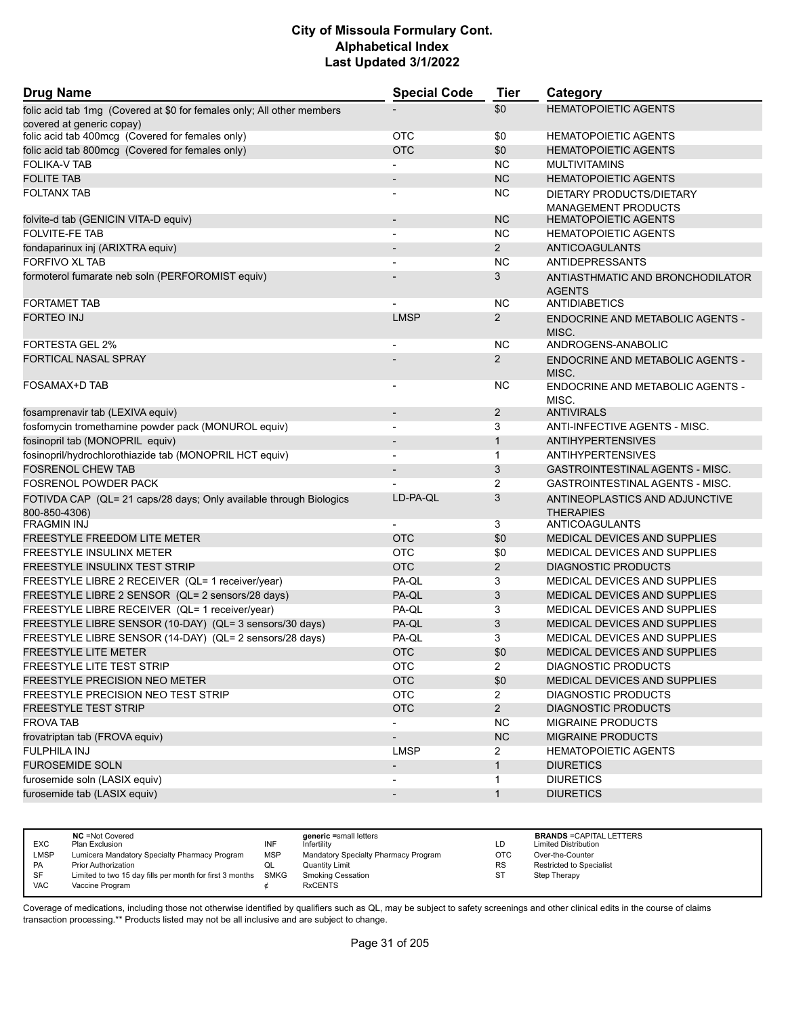| <b>Drug Name</b>                                                                                    | <b>Special Code</b>      | <b>Tier</b>    | Category                                          |
|-----------------------------------------------------------------------------------------------------|--------------------------|----------------|---------------------------------------------------|
| folic acid tab 1mg (Covered at \$0 for females only; All other members<br>covered at generic copay) |                          | \$0            | <b>HEMATOPOIETIC AGENTS</b>                       |
| folic acid tab 400mcg (Covered for females only)                                                    | <b>OTC</b>               | \$0            | <b>HEMATOPOIETIC AGENTS</b>                       |
| folic acid tab 800mcg (Covered for females only)                                                    | <b>OTC</b>               | \$0            | <b>HEMATOPOIETIC AGENTS</b>                       |
| <b>FOLIKA-V TAB</b>                                                                                 |                          | <b>NC</b>      | <b>MULTIVITAMINS</b>                              |
| <b>FOLITE TAB</b>                                                                                   |                          | <b>NC</b>      | <b>HEMATOPOIETIC AGENTS</b>                       |
| <b>FOLTANX TAB</b>                                                                                  |                          | <b>NC</b>      | DIETARY PRODUCTS/DIETARY                          |
|                                                                                                     |                          |                | <b>MANAGEMENT PRODUCTS</b>                        |
| folvite-d tab (GENICIN VITA-D equiv)                                                                | $\overline{\phantom{a}}$ | <b>NC</b>      | <b>HEMATOPOIETIC AGENTS</b>                       |
| <b>FOLVITE-FE TAB</b>                                                                               |                          | <b>NC</b>      | <b>HEMATOPOIETIC AGENTS</b>                       |
| fondaparinux inj (ARIXTRA equiv)                                                                    |                          | $\overline{2}$ | <b>ANTICOAGULANTS</b>                             |
| <b>FORFIVO XL TAB</b>                                                                               |                          | <b>NC</b>      | <b>ANTIDEPRESSANTS</b>                            |
| formoterol fumarate neb soln (PERFOROMIST equiv)                                                    |                          | 3              | ANTIASTHMATIC AND BRONCHODILATOR<br><b>AGENTS</b> |
| <b>FORTAMET TAB</b>                                                                                 |                          | <b>NC</b>      | <b>ANTIDIABETICS</b>                              |
| <b>FORTEO INJ</b>                                                                                   | <b>LMSP</b>              | $\overline{2}$ | <b>ENDOCRINE AND METABOLIC AGENTS -</b>           |
|                                                                                                     |                          |                | MISC.                                             |
| <b>FORTESTA GEL 2%</b>                                                                              |                          | <b>NC</b>      | ANDROGENS-ANABOLIC                                |
| <b>FORTICAL NASAL SPRAY</b>                                                                         |                          | $\mathbf{2}$   | <b>ENDOCRINE AND METABOLIC AGENTS -</b><br>MISC.  |
| FOSAMAX+D TAB                                                                                       |                          | <b>NC</b>      | ENDOCRINE AND METABOLIC AGENTS -<br>MISC.         |
| fosamprenavir tab (LEXIVA equiv)                                                                    | $\overline{\phantom{a}}$ | $\overline{2}$ | <b>ANTIVIRALS</b>                                 |
| fosfomycin tromethamine powder pack (MONUROL equiv)                                                 |                          | 3              | ANTI-INFECTIVE AGENTS - MISC.                     |
| fosinopril tab (MONOPRIL equiv)                                                                     |                          | $\mathbf{1}$   | <b>ANTIHYPERTENSIVES</b>                          |
| fosinopril/hydrochlorothiazide tab (MONOPRIL HCT equiv)                                             | $\overline{\phantom{a}}$ | $\mathbf{1}$   | <b>ANTIHYPERTENSIVES</b>                          |
| <b>FOSRENOL CHEW TAB</b>                                                                            |                          | 3              | <b>GASTROINTESTINAL AGENTS - MISC.</b>            |
| <b>FOSRENOL POWDER PACK</b>                                                                         |                          | 2              | GASTROINTESTINAL AGENTS - MISC.                   |
| FOTIVDA CAP (QL= 21 caps/28 days; Only available through Biologics                                  | LD-PA-QL                 | 3              | ANTINEOPLASTICS AND ADJUNCTIVE                    |
| 800-850-4306)                                                                                       |                          |                | <b>THERAPIES</b>                                  |
| <b>FRAGMIN INJ</b>                                                                                  |                          | 3              | ANTICOAGULANTS                                    |
| <b>FREESTYLE FREEDOM LITE METER</b>                                                                 | <b>OTC</b>               | \$0            | <b>MEDICAL DEVICES AND SUPPLIES</b>               |
| <b>FREESTYLE INSULINX METER</b>                                                                     | <b>OTC</b>               | \$0            | MEDICAL DEVICES AND SUPPLIES                      |
| FREESTYLE INSULINX TEST STRIP                                                                       | <b>OTC</b>               | $\overline{2}$ | <b>DIAGNOSTIC PRODUCTS</b>                        |
| FREESTYLE LIBRE 2 RECEIVER (QL= 1 receiver/year)                                                    | PA-QL                    | 3              | MEDICAL DEVICES AND SUPPLIES                      |
| FREESTYLE LIBRE 2 SENSOR (QL= 2 sensors/28 days)                                                    | PA-QL                    | 3              | <b>MEDICAL DEVICES AND SUPPLIES</b>               |
| FREESTYLE LIBRE RECEIVER (QL= 1 receiver/year)                                                      | PA-QL                    | 3              | MEDICAL DEVICES AND SUPPLIES                      |
| FREESTYLE LIBRE SENSOR (10-DAY) (QL= 3 sensors/30 days)                                             | PA-QL                    | 3              | <b>MEDICAL DEVICES AND SUPPLIES</b>               |
| FREESTYLE LIBRE SENSOR (14-DAY) (QL= 2 sensors/28 days)                                             | PA-QL                    | 3              | MEDICAL DEVICES AND SUPPLIES                      |
| <b>FREESTYLE LITE METER</b>                                                                         | <b>OTC</b>               | \$0            | <b>MEDICAL DEVICES AND SUPPLIES</b>               |
| FREESTYLE LITE TEST STRIP                                                                           | <b>OTC</b>               | $\overline{2}$ | <b>DIAGNOSTIC PRODUCTS</b>                        |
| <b>FREESTYLE PRECISION NEO METER</b>                                                                | <b>OTC</b>               | \$0            | MEDICAL DEVICES AND SUPPLIES                      |
| FREESTYLE PRECISION NEO TEST STRIP                                                                  | <b>OTC</b>               | $\overline{2}$ | <b>DIAGNOSTIC PRODUCTS</b>                        |
| <b>FREESTYLE TEST STRIP</b>                                                                         | <b>OTC</b>               | $2^{\circ}$    | <b>DIAGNOSTIC PRODUCTS</b>                        |
| <b>FROVA TAB</b>                                                                                    | $\overline{\phantom{a}}$ | <b>NC</b>      | <b>MIGRAINE PRODUCTS</b>                          |
| frovatriptan tab (FROVA equiv)                                                                      | $\overline{\phantom{a}}$ | NC             | MIGRAINE PRODUCTS                                 |
| <b>FULPHILA INJ</b>                                                                                 | <b>LMSP</b>              | $\overline{2}$ | <b>HEMATOPOIETIC AGENTS</b>                       |
| <b>FUROSEMIDE SOLN</b>                                                                              | $\overline{\phantom{a}}$ | $\mathbf{1}$   | <b>DIURETICS</b>                                  |
| furosemide soln (LASIX equiv)                                                                       | $\overline{\phantom{a}}$ | 1              | <b>DIURETICS</b>                                  |
| furosemide tab (LASIX equiv)                                                                        | $\overline{\phantom{a}}$ | $\mathbf{1}$   | <b>DIURETICS</b>                                  |
|                                                                                                     |                          |                |                                                   |

| <b>EXC</b> | <b>NC</b> = Not Covered<br>Plan Exclusion                     | INF | generic =small letters<br>Infertility | LD         | <b>BRANDS = CAPITAL LETTERS</b><br><b>Limited Distribution</b> |
|------------|---------------------------------------------------------------|-----|---------------------------------------|------------|----------------------------------------------------------------|
| LMSP       | Lumicera Mandatory Specialty Pharmacy Program                 | MSP | Mandatory Specialty Pharmacy Program  | <b>OTC</b> | Over-the-Counter                                               |
| <b>PA</b>  | <b>Prior Authorization</b>                                    | ◡   | Quantity Limit                        | <b>RS</b>  | <b>Restricted to Specialist</b>                                |
| <b>SF</b>  | Limited to two 15 day fills per month for first 3 months SMKG |     | <b>Smoking Cessation</b>              | ST         | Step Therapy                                                   |
| <b>VAC</b> | Vaccine Program                                               |     | <b>RxCENTS</b>                        |            |                                                                |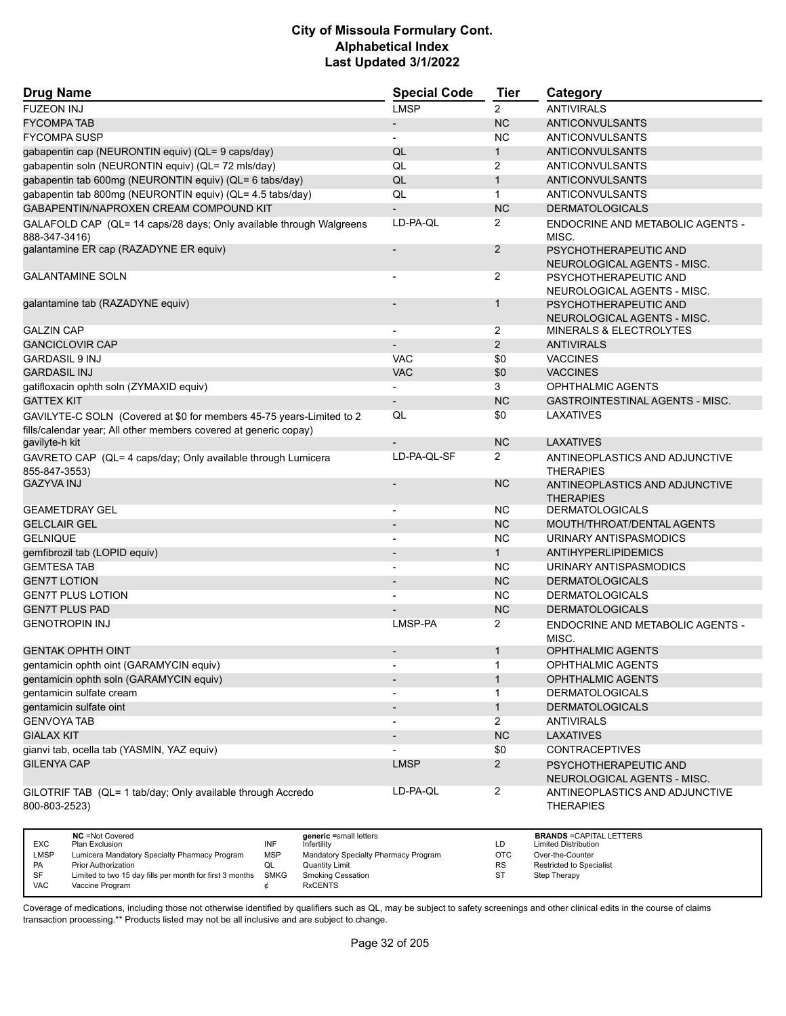| <b>Drug Name</b>                                                                                                                         | <b>Special Code</b>      | Tier           | Category                                             |
|------------------------------------------------------------------------------------------------------------------------------------------|--------------------------|----------------|------------------------------------------------------|
| <b>FUZEON INJ</b>                                                                                                                        | <b>LMSP</b>              | $\overline{2}$ | <b>ANTIVIRALS</b>                                    |
| <b>FYCOMPA TAB</b>                                                                                                                       | $\overline{\phantom{a}}$ | <b>NC</b>      | ANTICONVULSANTS                                      |
| <b>FYCOMPA SUSP</b>                                                                                                                      |                          | <b>NC</b>      | ANTICONVULSANTS                                      |
| gabapentin cap (NEURONTIN equiv) (QL= 9 caps/day)                                                                                        | QL                       | $\mathbf{1}$   | <b>ANTICONVULSANTS</b>                               |
| gabapentin soln (NEURONTIN equiv) (QL= 72 mls/day)                                                                                       | QL                       | 2              | ANTICONVULSANTS                                      |
| gabapentin tab 600mg (NEURONTIN equiv) (QL= 6 tabs/day)                                                                                  | QL                       | $\mathbf{1}$   | ANTICONVULSANTS                                      |
| gabapentin tab 800mg (NEURONTIN equiv) (QL= 4.5 tabs/day)                                                                                | QL                       | $\mathbf{1}$   | ANTICONVULSANTS                                      |
| GABAPENTIN/NAPROXEN CREAM COMPOUND KIT                                                                                                   | $\overline{\phantom{a}}$ | <b>NC</b>      | <b>DERMATOLOGICALS</b>                               |
| GALAFOLD CAP (QL= 14 caps/28 days; Only available through Walgreens<br>888-347-3416)                                                     | LD-PA-OL                 | $\overline{2}$ | ENDOCRINE AND METABOLIC AGENTS -<br>MISC.            |
| galantamine ER cap (RAZADYNE ER equiv)                                                                                                   |                          | $\overline{2}$ | PSYCHOTHERAPEUTIC AND<br>NEUROLOGICAL AGENTS - MISC. |
| <b>GALANTAMINE SOLN</b>                                                                                                                  |                          | 2              | PSYCHOTHERAPEUTIC AND<br>NEUROLOGICAL AGENTS - MISC. |
| galantamine tab (RAZADYNE equiv)                                                                                                         |                          | $\mathbf{1}$   | PSYCHOTHERAPEUTIC AND<br>NEUROLOGICAL AGENTS - MISC. |
| <b>GALZIN CAP</b>                                                                                                                        | $\overline{a}$           | 2              | MINERALS & ELECTROLYTES                              |
| <b>GANCICLOVIR CAP</b>                                                                                                                   |                          | $\overline{2}$ | <b>ANTIVIRALS</b>                                    |
| <b>GARDASIL 9 INJ</b>                                                                                                                    | <b>VAC</b>               | \$0            | <b>VACCINES</b>                                      |
| <b>GARDASIL INJ</b>                                                                                                                      | <b>VAC</b>               | \$0            | <b>VACCINES</b>                                      |
| gatifloxacin ophth soln (ZYMAXID equiv)                                                                                                  |                          | 3              | <b>OPHTHALMIC AGENTS</b>                             |
| <b>GATTEX KIT</b>                                                                                                                        | $\overline{\phantom{a}}$ | <b>NC</b>      | <b>GASTROINTESTINAL AGENTS - MISC.</b>               |
| GAVILYTE-C SOLN (Covered at \$0 for members 45-75 years-Limited to 2<br>fills/calendar year; All other members covered at generic copay) | QL                       | \$0            | LAXATIVES                                            |
| gavilyte-h kit                                                                                                                           |                          | <b>NC</b>      | <b>LAXATIVES</b>                                     |
| GAVRETO CAP (QL= 4 caps/day; Only available through Lumicera<br>855-847-3553)                                                            | LD-PA-QL-SF              | $\overline{2}$ | ANTINEOPLASTICS AND ADJUNCTIVE<br><b>THERAPIES</b>   |
| <b>GAZYVA INJ</b>                                                                                                                        |                          | <b>NC</b>      | ANTINEOPLASTICS AND ADJUNCTIVE<br><b>THERAPIES</b>   |
| <b>GEAMETDRAY GEL</b>                                                                                                                    |                          | <b>NC</b>      | <b>DERMATOLOGICALS</b>                               |
| <b>GELCLAIR GEL</b>                                                                                                                      |                          | <b>NC</b>      | MOUTH/THROAT/DENTAL AGENTS                           |
| <b>GELNIQUE</b>                                                                                                                          | $\overline{\phantom{a}}$ | <b>NC</b>      | URINARY ANTISPASMODICS                               |
| gemfibrozil tab (LOPID equiv)                                                                                                            |                          | $\mathbf{1}$   | ANTIHYPERLIPIDEMICS                                  |
| <b>GEMTESA TAB</b>                                                                                                                       |                          | <b>NC</b>      | URINARY ANTISPASMODICS                               |
| <b>GEN7T LOTION</b>                                                                                                                      | $\blacksquare$           | <b>NC</b>      | <b>DERMATOLOGICALS</b>                               |
| <b>GEN7T PLUS LOTION</b>                                                                                                                 |                          | <b>NC</b>      | <b>DERMATOLOGICALS</b>                               |
| <b>GEN7T PLUS PAD</b>                                                                                                                    |                          | <b>NC</b>      | <b>DERMATOLOGICALS</b>                               |
| <b>GENOTROPIN INJ</b>                                                                                                                    | LMSP-PA                  | $\overline{2}$ | <b>ENDOCRINE AND METABOLIC AGENTS -</b><br>MISC.     |
| <b>GENTAK OPHTH OINT</b>                                                                                                                 |                          | 1              | <b>OPHTHALMIC AGENTS</b>                             |
| gentamicin ophth oint (GARAMYCIN equiv)                                                                                                  |                          | $\mathbf{1}$   | <b>OPHTHALMIC AGENTS</b>                             |
| gentamicin ophth soln (GARAMYCIN equiv)                                                                                                  |                          | $\mathbf{1}$   | <b>OPHTHALMIC AGENTS</b>                             |
| gentamicin sulfate cream                                                                                                                 | $\overline{\phantom{a}}$ | 1              | <b>DERMATOLOGICALS</b>                               |
| gentamicin sulfate oint                                                                                                                  | $\overline{\phantom{a}}$ | $\mathbf{1}$   | <b>DERMATOLOGICALS</b>                               |
| <b>GENVOYA TAB</b>                                                                                                                       | $\overline{\phantom{a}}$ | $\overline{2}$ | <b>ANTIVIRALS</b>                                    |
| <b>GIALAX KIT</b>                                                                                                                        | $\overline{\phantom{a}}$ | NC             | LAXATIVES                                            |
| gianvi tab, ocella tab (YASMIN, YAZ equiv)                                                                                               |                          | \$0            | <b>CONTRACEPTIVES</b>                                |
| <b>GILENYA CAP</b>                                                                                                                       | <b>LMSP</b>              | $\overline{2}$ | PSYCHOTHERAPEUTIC AND<br>NEUROLOGICAL AGENTS - MISC. |
| GILOTRIF TAB (QL= 1 tab/day; Only available through Accredo<br>800-803-2523)                                                             | LD-PA-QL                 | $\overline{a}$ | ANTINEOPLASTICS AND ADJUNCTIVE<br><b>THERAPIES</b>   |

|            | <b>NC</b> = Not Covered                                  |             | generic =small letters               |           | <b>BRANDS = CAPITAL LETTERS</b> |
|------------|----------------------------------------------------------|-------------|--------------------------------------|-----------|---------------------------------|
| <b>EXC</b> | Plan Exclusion                                           | INF         | Infertility                          | LD        | <b>Limited Distribution</b>     |
| LMSP       | Lumicera Mandatory Specialty Pharmacy Program            | <b>MSP</b>  | Mandatory Specialty Pharmacy Program | OTC       | Over-the-Counter                |
| PA         | <b>Prior Authorization</b>                               |             | Quantity Limit                       | <b>RS</b> | <b>Restricted to Specialist</b> |
| SF         | Limited to two 15 day fills per month for first 3 months | <b>SMKG</b> | Smoking Cessation                    | S1        | Step Therapy                    |
| <b>VAC</b> | Vaccine Program                                          |             | <b>RxCENTS</b>                       |           |                                 |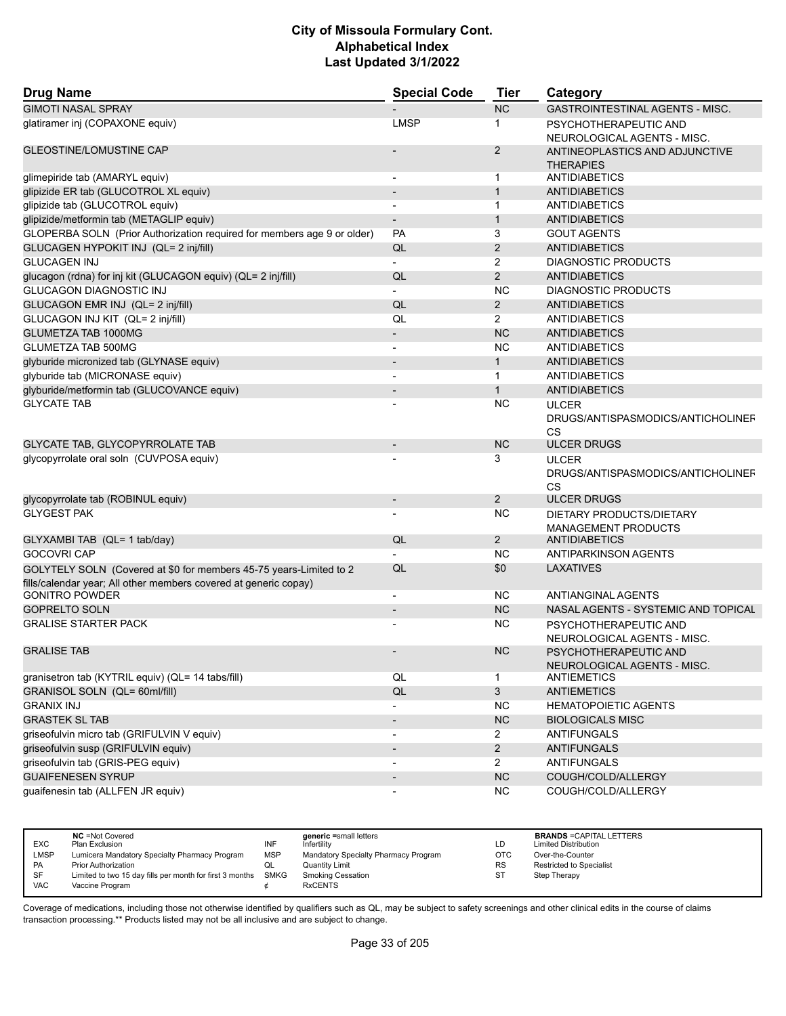| <b>Drug Name</b>                                                                                                                       | <b>Special Code</b>      | <b>Tier</b>    | Category                                                       |
|----------------------------------------------------------------------------------------------------------------------------------------|--------------------------|----------------|----------------------------------------------------------------|
| <b>GIMOTI NASAL SPRAY</b>                                                                                                              |                          | <b>NC</b>      | <b>GASTROINTESTINAL AGENTS - MISC.</b>                         |
| glatiramer inj (COPAXONE equiv)                                                                                                        | <b>LMSP</b>              | $\mathbf 1$    | PSYCHOTHERAPEUTIC AND<br>NEUROLOGICAL AGENTS - MISC.           |
| <b>GLEOSTINE/LOMUSTINE CAP</b>                                                                                                         |                          | $\overline{2}$ | ANTINEOPLASTICS AND ADJUNCTIVE<br><b>THERAPIES</b>             |
| glimepiride tab (AMARYL equiv)                                                                                                         | $\overline{\phantom{a}}$ | $\mathbf 1$    | <b>ANTIDIABETICS</b>                                           |
| glipizide ER tab (GLUCOTROL XL equiv)                                                                                                  | $\overline{\phantom{a}}$ | $\mathbf{1}$   | <b>ANTIDIABETICS</b>                                           |
| glipizide tab (GLUCOTROL equiv)                                                                                                        |                          | $\mathbf{1}$   | <b>ANTIDIABETICS</b>                                           |
| glipizide/metformin tab (METAGLIP equiv)                                                                                               |                          | $\mathbf{1}$   | <b>ANTIDIABETICS</b>                                           |
| GLOPERBA SOLN (Prior Authorization required for members age 9 or older)                                                                | <b>PA</b>                | 3              | <b>GOUT AGENTS</b>                                             |
| GLUCAGEN HYPOKIT INJ (QL= 2 inj/fill)                                                                                                  | QL                       | $\overline{2}$ | <b>ANTIDIABETICS</b>                                           |
| <b>GLUCAGEN INJ</b>                                                                                                                    |                          | $\overline{2}$ | <b>DIAGNOSTIC PRODUCTS</b>                                     |
| glucagon (rdna) for inj kit (GLUCAGON equiv) (QL= 2 inj/fill)                                                                          | QL                       | $\overline{2}$ | <b>ANTIDIABETICS</b>                                           |
| <b>GLUCAGON DIAGNOSTIC INJ</b>                                                                                                         |                          | <b>NC</b>      | <b>DIAGNOSTIC PRODUCTS</b>                                     |
| GLUCAGON EMR INJ (QL= 2 inj/fill)                                                                                                      | QL                       | $\overline{2}$ | <b>ANTIDIABETICS</b>                                           |
| GLUCAGON INJ KIT (QL= 2 inj/fill)                                                                                                      | QL                       | $\overline{2}$ | <b>ANTIDIABETICS</b>                                           |
| GLUMETZA TAB 1000MG                                                                                                                    | $\overline{\phantom{a}}$ | <b>NC</b>      | <b>ANTIDIABETICS</b>                                           |
| <b>GLUMETZA TAB 500MG</b>                                                                                                              | $\overline{a}$           | <b>NC</b>      | <b>ANTIDIABETICS</b>                                           |
| glyburide micronized tab (GLYNASE equiv)                                                                                               | $\overline{a}$           | $\mathbf{1}$   | <b>ANTIDIABETICS</b>                                           |
| glyburide tab (MICRONASE equiv)                                                                                                        | $\blacksquare$           | $\mathbf 1$    | <b>ANTIDIABETICS</b>                                           |
| glyburide/metformin tab (GLUCOVANCE equiv)                                                                                             |                          | $\mathbf{1}$   | <b>ANTIDIABETICS</b>                                           |
| <b>GLYCATE TAB</b>                                                                                                                     |                          | <b>NC</b>      | <b>ULCER</b><br>DRUGS/ANTISPASMODICS/ANTICHOLINEF<br>CS        |
| <b>GLYCATE TAB, GLYCOPYRROLATE TAB</b>                                                                                                 |                          | <b>NC</b>      | <b>ULCER DRUGS</b>                                             |
| glycopyrrolate oral soln (CUVPOSA equiv)                                                                                               |                          | 3              | <b>ULCER</b><br>DRUGS/ANTISPASMODICS/ANTICHOLINEF<br><b>CS</b> |
| glycopyrrolate tab (ROBINUL equiv)                                                                                                     | $\overline{\phantom{a}}$ | $\overline{2}$ | <b>ULCER DRUGS</b>                                             |
| <b>GLYGEST PAK</b>                                                                                                                     |                          | <b>NC</b>      | DIETARY PRODUCTS/DIETARY<br><b>MANAGEMENT PRODUCTS</b>         |
| GLYXAMBI TAB (QL= 1 tab/day)                                                                                                           | QL                       | $\overline{2}$ | <b>ANTIDIABETICS</b>                                           |
| <b>GOCOVRI CAP</b>                                                                                                                     |                          | <b>NC</b>      | ANTIPARKINSON AGENTS                                           |
| GOLYTELY SOLN (Covered at \$0 for members 45-75 years-Limited to 2<br>fills/calendar year; All other members covered at generic copay) | QL                       | \$0            | <b>LAXATIVES</b>                                               |
| <b>GONITRO POWDER</b>                                                                                                                  | $\overline{a}$           | <b>NC</b>      | <b>ANTIANGINAL AGENTS</b>                                      |
| <b>GOPRELTO SOLN</b>                                                                                                                   |                          | <b>NC</b>      | NASAL AGENTS - SYSTEMIC AND TOPICAL                            |
| <b>GRALISE STARTER PACK</b>                                                                                                            |                          | <b>NC</b>      | PSYCHOTHERAPEUTIC AND<br>NEUROLOGICAL AGENTS - MISC.           |
| <b>GRALISE TAB</b>                                                                                                                     |                          | <b>NC</b>      | PSYCHOTHERAPEUTIC AND<br>NEUROLOGICAL AGENTS - MISC.           |
| granisetron tab (KYTRIL equiv) (QL= 14 tabs/fill)                                                                                      | QL                       | $\mathbf 1$    | ANTIEMETICS                                                    |
| GRANISOL SOLN (QL= 60ml/fill)                                                                                                          | $\mathsf{QL}$            | $\mathbf{3}$   | <b>ANTIEMETICS</b>                                             |
| <b>GRANIX INJ</b>                                                                                                                      |                          | <b>NC</b>      | <b>HEMATOPOIETIC AGENTS</b>                                    |
| <b>GRASTEK SL TAB</b>                                                                                                                  |                          | NC             | <b>BIOLOGICALS MISC</b>                                        |
| griseofulvin micro tab (GRIFULVIN V equiv)                                                                                             | $\blacksquare$           | $\overline{2}$ | <b>ANTIFUNGALS</b>                                             |
| griseofulvin susp (GRIFULVIN equiv)                                                                                                    |                          | $2^{\circ}$    | <b>ANTIFUNGALS</b>                                             |
| griseofulvin tab (GRIS-PEG equiv)                                                                                                      |                          | $\overline{2}$ | <b>ANTIFUNGALS</b>                                             |
| <b>GUAIFENESEN SYRUP</b>                                                                                                               | $\overline{\phantom{a}}$ | NC             | COUGH/COLD/ALLERGY                                             |
| guaifenesin tab (ALLFEN JR equiv)                                                                                                      |                          | NC.            | COUGH/COLD/ALLERGY                                             |

| <b>EXC</b>  | <b>NC</b> = Not Covered<br>Plan Exclusion                     | INF        | generic =small letters<br>Infertilitv | LD         | <b>BRANDS = CAPITAL LETTERS</b><br><b>Limited Distribution</b> |
|-------------|---------------------------------------------------------------|------------|---------------------------------------|------------|----------------------------------------------------------------|
| <b>LMSP</b> | Lumicera Mandatory Specialty Pharmacy Program                 | <b>MSP</b> | Mandatory Specialty Pharmacy Program  | <b>OTC</b> | Over-the-Counter                                               |
| <b>PA</b>   | <b>Prior Authorization</b>                                    | QL         | <b>Quantity Limit</b>                 | <b>RS</b>  | Restricted to Specialist                                       |
| <b>SF</b>   | Limited to two 15 day fills per month for first 3 months SMKG |            | <b>Smoking Cessation</b>              | ST         | Step Therapy                                                   |
| <b>VAC</b>  | Vaccine Program                                               |            | <b>RxCENTS</b>                        |            |                                                                |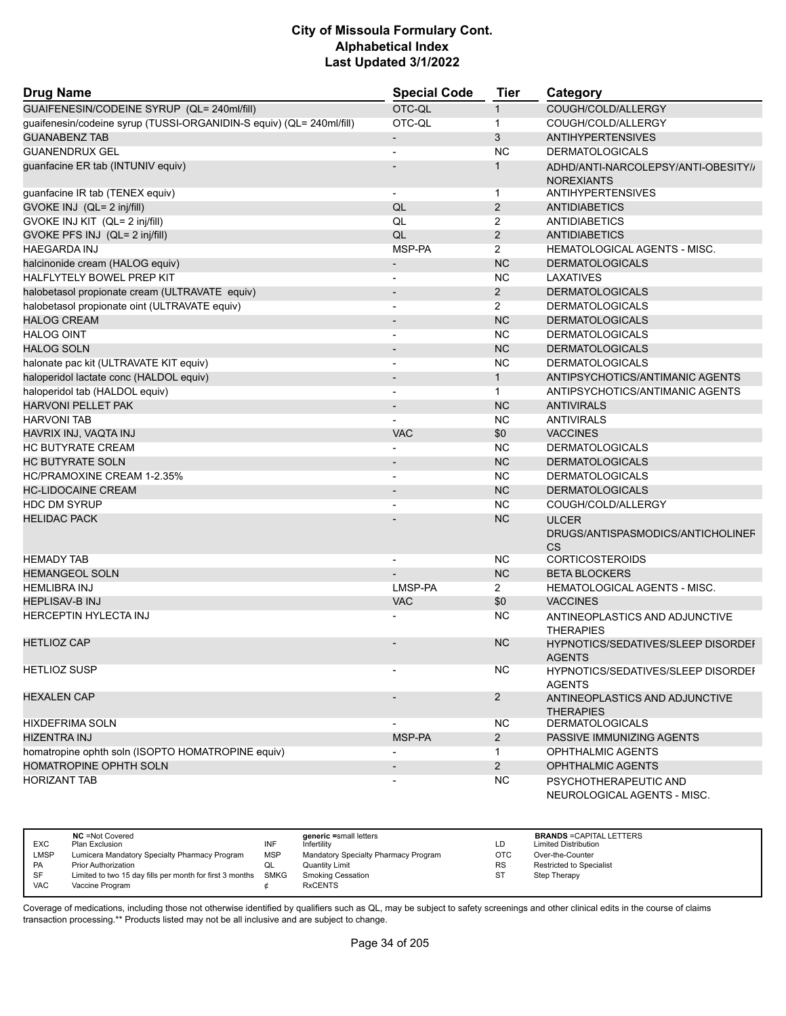| <b>Drug Name</b>                                                     | <b>Special Code</b>      | <b>Tier</b>    | Category                                                       |
|----------------------------------------------------------------------|--------------------------|----------------|----------------------------------------------------------------|
| GUAIFENESIN/CODEINE SYRUP (QL= 240ml/fill)                           | OTC-QL                   | $\mathbf{1}$   | COUGH/COLD/ALLERGY                                             |
| guaifenesin/codeine syrup (TUSSI-ORGANIDIN-S equiv) (QL= 240ml/fill) | OTC-QL                   | $\mathbf{1}$   | COUGH/COLD/ALLERGY                                             |
| <b>GUANABENZ TAB</b>                                                 |                          | 3              | <b>ANTIHYPERTENSIVES</b>                                       |
| <b>GUANENDRUX GEL</b>                                                |                          | <b>NC</b>      | <b>DERMATOLOGICALS</b>                                         |
| guanfacine ER tab (INTUNIV equiv)                                    |                          | $\mathbf{1}$   | ADHD/ANTI-NARCOLEPSY/ANTI-OBESITY//<br><b>NOREXIANTS</b>       |
| guanfacine IR tab (TENEX equiv)                                      | $\blacksquare$           | $\mathbf 1$    | <b>ANTIHYPERTENSIVES</b>                                       |
| GVOKE INJ (QL= 2 inj/fill)                                           | QL                       | 2              | <b>ANTIDIABETICS</b>                                           |
| GVOKE INJ KIT (QL= 2 inj/fill)                                       | QL                       | $\overline{2}$ | <b>ANTIDIABETICS</b>                                           |
| GVOKE PFS INJ (QL= 2 inj/fill)                                       | QL                       | $\overline{2}$ | <b>ANTIDIABETICS</b>                                           |
| <b>HAEGARDA INJ</b>                                                  | MSP-PA                   | 2              | <b>HEMATOLOGICAL AGENTS - MISC.</b>                            |
| halcinonide cream (HALOG equiv)                                      | $\overline{\phantom{a}}$ | <b>NC</b>      | <b>DERMATOLOGICALS</b>                                         |
| <b>HALFLYTELY BOWEL PREP KIT</b>                                     | $\overline{a}$           | <b>NC</b>      | <b>LAXATIVES</b>                                               |
| halobetasol propionate cream (ULTRAVATE equiv)                       |                          | $\overline{2}$ | <b>DERMATOLOGICALS</b>                                         |
| halobetasol propionate oint (ULTRAVATE equiv)                        |                          | $\overline{2}$ | <b>DERMATOLOGICALS</b>                                         |
| <b>HALOG CREAM</b>                                                   |                          | <b>NC</b>      | <b>DERMATOLOGICALS</b>                                         |
| <b>HALOG OINT</b>                                                    | $\overline{a}$           | <b>NC</b>      | <b>DERMATOLOGICALS</b>                                         |
| <b>HALOG SOLN</b>                                                    |                          | <b>NC</b>      | <b>DERMATOLOGICALS</b>                                         |
| halonate pac kit (ULTRAVATE KIT equiv)                               |                          | <b>NC</b>      | <b>DERMATOLOGICALS</b>                                         |
| haloperidol lactate conc (HALDOL equiv)                              | $\overline{\phantom{0}}$ | $\mathbf{1}$   | ANTIPSYCHOTICS/ANTIMANIC AGENTS                                |
| haloperidol tab (HALDOL equiv)                                       | $\overline{\phantom{a}}$ | $\mathbf{1}$   | ANTIPSYCHOTICS/ANTIMANIC AGENTS                                |
| <b>HARVONI PELLET PAK</b>                                            |                          | <b>NC</b>      | <b>ANTIVIRALS</b>                                              |
| <b>HARVONI TAB</b>                                                   | $\overline{a}$           | <b>NC</b>      | <b>ANTIVIRALS</b>                                              |
| HAVRIX INJ, VAQTA INJ                                                | <b>VAC</b>               | \$0            | <b>VACCINES</b>                                                |
| HC BUTYRATE CREAM                                                    |                          | <b>NC</b>      | <b>DERMATOLOGICALS</b>                                         |
| <b>HC BUTYRATE SOLN</b>                                              |                          | <b>NC</b>      | <b>DERMATOLOGICALS</b>                                         |
| HC/PRAMOXINE CREAM 1-2.35%                                           | $\overline{\phantom{a}}$ | <b>NC</b>      | <b>DERMATOLOGICALS</b>                                         |
| <b>HC-LIDOCAINE CREAM</b>                                            |                          | <b>NC</b>      | <b>DERMATOLOGICALS</b>                                         |
| <b>HDC DM SYRUP</b>                                                  |                          | <b>NC</b>      | COUGH/COLD/ALLERGY                                             |
| <b>HELIDAC PACK</b>                                                  |                          | <b>NC</b>      | <b>ULCER</b><br>DRUGS/ANTISPASMODICS/ANTICHOLINEF<br><b>CS</b> |
| <b>HEMADY TAB</b>                                                    | $\blacksquare$           | <b>NC</b>      | <b>CORTICOSTEROIDS</b>                                         |
| <b>HEMANGEOL SOLN</b>                                                |                          | <b>NC</b>      | <b>BETA BLOCKERS</b>                                           |
| <b>HEMLIBRA INJ</b>                                                  | LMSP-PA                  | $\overline{2}$ | <b>HEMATOLOGICAL AGENTS - MISC.</b>                            |
| <b>HEPLISAV-B INJ</b>                                                | <b>VAC</b>               | \$0            | <b>VACCINES</b>                                                |
| <b>HERCEPTIN HYLECTA INJ</b>                                         |                          | <b>NC</b>      | ANTINEOPLASTICS AND ADJUNCTIVE<br><b>THERAPIES</b>             |
| <b>HETLIOZ CAP</b>                                                   |                          | <b>NC</b>      | HYPNOTICS/SEDATIVES/SLEEP DISORDEI<br><b>AGENTS</b>            |
| <b>HETLIOZ SUSP</b>                                                  |                          | <b>NC</b>      | HYPNOTICS/SEDATIVES/SLEEP DISORDEF<br><b>AGENTS</b>            |
| <b>HEXALEN CAP</b>                                                   |                          | $\overline{2}$ | ANTINEOPLASTICS AND ADJUNCTIVE<br><b>THERAPIES</b>             |
| <b>HIXDEFRIMA SOLN</b>                                               |                          | NC.            | <b>DERMATOLOGICALS</b>                                         |
| HIZENTRA INJ                                                         | MSP-PA                   | $\overline{2}$ | PASSIVE IMMUNIZING AGENTS                                      |
| homatropine ophth soln (ISOPTO HOMATROPINE equiv)                    |                          | 1              | OPHTHALMIC AGENTS                                              |
| HOMATROPINE OPHTH SOLN                                               | $\overline{\phantom{a}}$ | $\overline{2}$ | OPHTHALMIC AGENTS                                              |
| <b>HORIZANT TAB</b>                                                  |                          | NC.            | PSYCHOTHERAPEUTIC AND                                          |
|                                                                      |                          |                | NEUROLOGICAL AGENTS - MISC.                                    |

| <b>EXC</b>  | <b>NC</b> = Not Covered<br>Plan Exclusion                     | INF        | generic =small letters<br>Infertilitv | LD         | <b>BRANDS = CAPITAL LETTERS</b><br><b>Limited Distribution</b> |
|-------------|---------------------------------------------------------------|------------|---------------------------------------|------------|----------------------------------------------------------------|
| <b>LMSP</b> | Lumicera Mandatory Specialty Pharmacy Program                 | <b>MSP</b> | Mandatory Specialty Pharmacy Program  | <b>OTC</b> | Over-the-Counter                                               |
| <b>PA</b>   | <b>Prior Authorization</b>                                    |            | <b>Quantity Limit</b>                 | <b>RS</b>  | <b>Restricted to Specialist</b>                                |
| SF          | Limited to two 15 day fills per month for first 3 months SMKG |            | <b>Smoking Cessation</b>              | ST         | Step Therapy                                                   |
| VAC         | Vaccine Program                                               |            | <b>RxCENTS</b>                        |            |                                                                |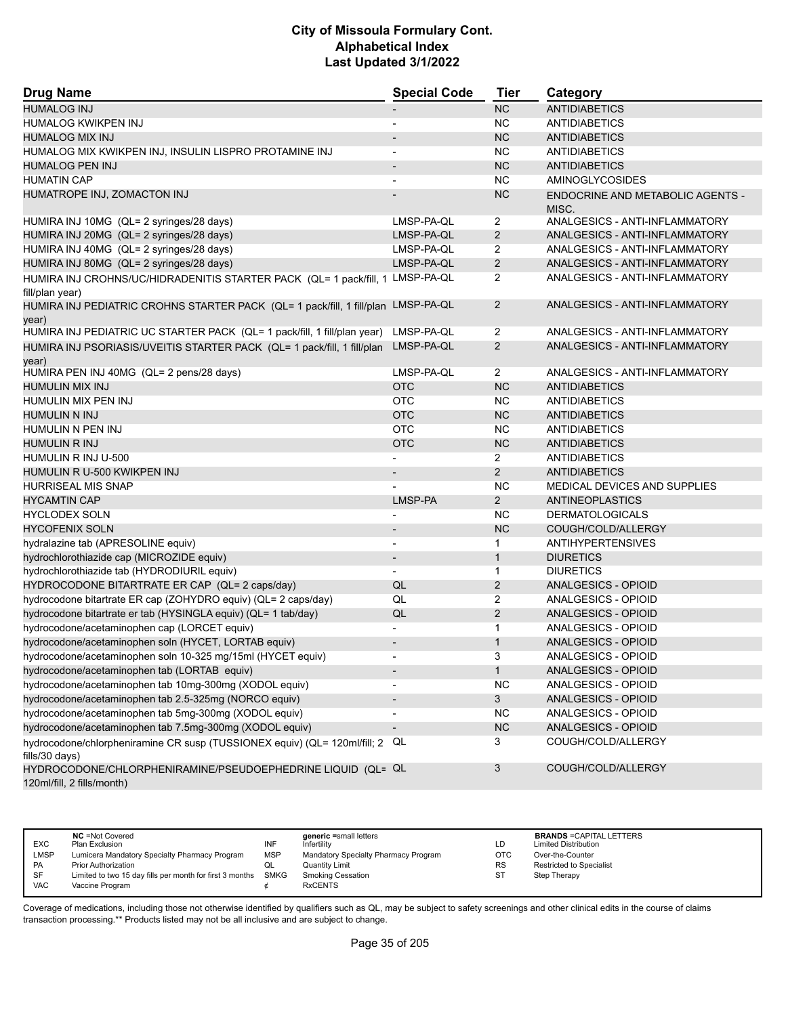| <b>Drug Name</b>                                                                                     | <b>Special Code</b>          | <b>Tier</b>    | Category                                         |
|------------------------------------------------------------------------------------------------------|------------------------------|----------------|--------------------------------------------------|
| <b>HUMALOG INJ</b>                                                                                   |                              | NC             | <b>ANTIDIABETICS</b>                             |
| HUMALOG KWIKPEN INJ                                                                                  | $\overline{a}$               | <b>NC</b>      | <b>ANTIDIABETICS</b>                             |
| <b>HUMALOG MIX INJ</b>                                                                               |                              | <b>NC</b>      | <b>ANTIDIABETICS</b>                             |
| HUMALOG MIX KWIKPEN INJ, INSULIN LISPRO PROTAMINE INJ                                                |                              | <b>NC</b>      | <b>ANTIDIABETICS</b>                             |
| <b>HUMALOG PEN INJ</b>                                                                               | $\qquad \qquad \blacksquare$ | <b>NC</b>      | <b>ANTIDIABETICS</b>                             |
| <b>HUMATIN CAP</b>                                                                                   |                              | <b>NC</b>      | <b>AMINOGLYCOSIDES</b>                           |
| HUMATROPE INJ, ZOMACTON INJ                                                                          |                              | <b>NC</b>      | <b>ENDOCRINE AND METABOLIC AGENTS -</b><br>MISC. |
| HUMIRA INJ 10MG (QL= 2 syringes/28 days)                                                             | LMSP-PA-QL                   | $\overline{2}$ | ANALGESICS - ANTI-INFLAMMATORY                   |
| HUMIRA INJ 20MG (QL= 2 syringes/28 days)                                                             | LMSP-PA-QL                   | $\overline{2}$ | ANALGESICS - ANTI-INFLAMMATORY                   |
| HUMIRA INJ 40MG (QL= 2 syringes/28 days)                                                             | LMSP-PA-QL                   | 2              | ANALGESICS - ANTI-INFLAMMATORY                   |
| HUMIRA INJ 80MG (QL= 2 syringes/28 days)                                                             | LMSP-PA-QL                   | $\overline{2}$ | ANALGESICS - ANTI-INFLAMMATORY                   |
| HUMIRA INJ CROHNS/UC/HIDRADENITIS STARTER PACK (QL= 1 pack/fill, 1 LMSP-PA-QL                        |                              | 2              | ANALGESICS - ANTI-INFLAMMATORY                   |
| fill/plan year)<br>HUMIRA INJ PEDIATRIC CROHNS STARTER PACK (QL= 1 pack/fill, 1 fill/plan LMSP-PA-QL |                              | $\overline{2}$ | ANALGESICS - ANTI-INFLAMMATORY                   |
| year)                                                                                                |                              |                |                                                  |
| HUMIRA INJ PEDIATRIC UC STARTER PACK (QL= 1 pack/fill, 1 fill/plan year)                             | LMSP-PA-QL                   | 2              | ANALGESICS - ANTI-INFLAMMATORY                   |
| HUMIRA INJ PSORIASIS/UVEITIS STARTER PACK (QL= 1 pack/fill, 1 fill/plan<br>year)                     | LMSP-PA-QL                   | $\overline{2}$ | ANALGESICS - ANTI-INFLAMMATORY                   |
| HUMIRA PEN INJ 40MG (QL= 2 pens/28 days)                                                             | LMSP-PA-QL                   | $\overline{2}$ | ANALGESICS - ANTI-INFLAMMATORY                   |
| <b>HUMULIN MIX INJ</b>                                                                               | <b>OTC</b>                   | <b>NC</b>      | <b>ANTIDIABETICS</b>                             |
| HUMULIN MIX PEN INJ                                                                                  | <b>OTC</b>                   | NC.            | <b>ANTIDIABETICS</b>                             |
| <b>HUMULIN N INJ</b>                                                                                 | <b>OTC</b>                   | NC             | <b>ANTIDIABETICS</b>                             |
| HUMULIN N PEN INJ                                                                                    | <b>OTC</b>                   | <b>NC</b>      | <b>ANTIDIABETICS</b>                             |
| <b>HUMULIN R INJ</b>                                                                                 | <b>OTC</b>                   | <b>NC</b>      | <b>ANTIDIABETICS</b>                             |
| HUMULIN R INJ U-500                                                                                  |                              | 2              | <b>ANTIDIABETICS</b>                             |
| HUMULIN R U-500 KWIKPEN INJ                                                                          |                              | $\overline{2}$ | <b>ANTIDIABETICS</b>                             |
| <b>HURRISEAL MIS SNAP</b>                                                                            |                              | <b>NC</b>      | <b>MEDICAL DEVICES AND SUPPLIES</b>              |
| <b>HYCAMTIN CAP</b>                                                                                  | LMSP-PA                      | $\overline{2}$ | ANTINEOPLASTICS                                  |
| <b>HYCLODEX SOLN</b>                                                                                 | $\overline{a}$               | <b>NC</b>      | <b>DERMATOLOGICALS</b>                           |
| <b>HYCOFENIX SOLN</b>                                                                                |                              | <b>NC</b>      | COUGH/COLD/ALLERGY                               |
| hydralazine tab (APRESOLINE equiv)                                                                   | $\overline{\phantom{0}}$     | 1              | <b>ANTIHYPERTENSIVES</b>                         |
| hydrochlorothiazide cap (MICROZIDE equiv)                                                            | $\overline{\phantom{m}}$     | $\mathbf{1}$   | <b>DIURETICS</b>                                 |
| hydrochlorothiazide tab (HYDRODIURIL equiv)                                                          |                              | $\mathbf{1}$   | <b>DIURETICS</b>                                 |
| HYDROCODONE BITARTRATE ER CAP (QL= 2 caps/day)                                                       | QL                           | 2              | <b>ANALGESICS - OPIOID</b>                       |
| hydrocodone bitartrate ER cap (ZOHYDRO equiv) (QL= 2 caps/day)                                       | QL                           | 2              | ANALGESICS - OPIOID                              |
| hydrocodone bitartrate er tab (HYSINGLA equiv) (QL= 1 tab/day)                                       | QL                           | 2              | ANALGESICS - OPIOID                              |
| hydrocodone/acetaminophen cap (LORCET equiv)                                                         | $\overline{\phantom{a}}$     | $\mathbf{1}$   | ANALGESICS - OPIOID                              |
| hydrocodone/acetaminophen soln (HYCET, LORTAB equiv)                                                 | $\overline{\phantom{m}}$     | $\mathbf{1}$   | <b>ANALGESICS - OPIOID</b>                       |
| hydrocodone/acetaminophen soln 10-325 mg/15ml (HYCET equiv)                                          |                              | 3              | ANALGESICS - OPIOID                              |
| hydrocodone/acetaminophen tab (LORTAB equiv)                                                         |                              | $\mathbf{1}$   | ANALGESICS - OPIOID                              |
| hydrocodone/acetaminophen tab 10mg-300mg (XODOL equiv)                                               |                              | <b>NC</b>      | ANALGESICS - OPIOID                              |
| hydrocodone/acetaminophen tab 2.5-325mg (NORCO equiv)                                                |                              | $\mathbf{3}$   | ANALGESICS - OPIOID                              |
| hydrocodone/acetaminophen tab 5mg-300mg (XODOL equiv)                                                |                              | <b>NC</b>      | ANALGESICS - OPIOID                              |
| hydrocodone/acetaminophen tab 7.5mg-300mg (XODOL equiv)                                              | $\qquad \qquad \blacksquare$ | NC             | ANALGESICS - OPIOID                              |
| hydrocodone/chlorpheniramine CR susp (TUSSIONEX equiv) (QL= 120ml/fill; 2<br>fills/30 days)          | QL                           | 3              | COUGH/COLD/ALLERGY                               |
| HYDROCODONE/CHLORPHENIRAMINE/PSEUDOEPHEDRINE LIQUID (QL= QL<br>120ml/fill, 2 fills/month)            |                              | 3              | COUGH/COLD/ALLERGY                               |

| <b>EXC</b>  | <b>NC</b> = Not Covered<br>Plan Exclusion                | INF         | generic =small letters<br>Infertility | LD        | <b>BRANDS = CAPITAL LETTERS</b><br><b>Limited Distribution</b> |
|-------------|----------------------------------------------------------|-------------|---------------------------------------|-----------|----------------------------------------------------------------|
| <b>LMSP</b> | Lumicera Mandatory Specialty Pharmacy Program            | <b>MSP</b>  | Mandatory Specialty Pharmacy Program  | OTC       | Over-the-Counter                                               |
| <b>PA</b>   | <b>Prior Authorization</b>                               | QL          | <b>Quantity Limit</b>                 | <b>RS</b> | Restricted to Specialist                                       |
| SF          | Limited to two 15 day fills per month for first 3 months | <b>SMKG</b> | <b>Smoking Cessation</b>              | ST        | Step Therapy                                                   |
| <b>VAC</b>  | Vaccine Program                                          |             | <b>RxCENTS</b>                        |           |                                                                |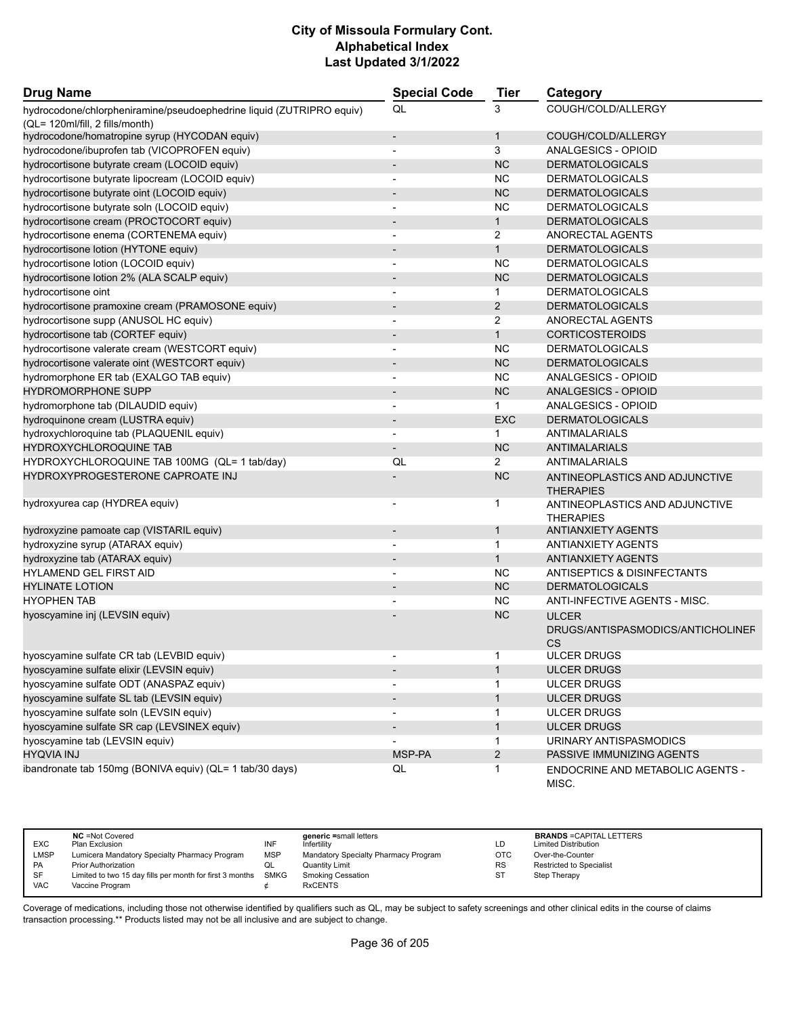| <b>Drug Name</b>                                                     | <b>Special Code</b>      | <b>Tier</b>    | Category                                                       |
|----------------------------------------------------------------------|--------------------------|----------------|----------------------------------------------------------------|
| hydrocodone/chlorpheniramine/pseudoephedrine liquid (ZUTRIPRO equiv) | QL                       | 3              | COUGH/COLD/ALLERGY                                             |
| (QL= 120ml/fill, 2 fills/month)                                      |                          |                |                                                                |
| hydrocodone/homatropine syrup (HYCODAN equiv)                        |                          | $\mathbf{1}$   | COUGH/COLD/ALLERGY                                             |
| hydrocodone/ibuprofen tab (VICOPROFEN equiv)                         | $\overline{a}$           | 3              | ANALGESICS - OPIOID                                            |
| hydrocortisone butyrate cream (LOCOID equiv)                         |                          | <b>NC</b>      | <b>DERMATOLOGICALS</b>                                         |
| hydrocortisone butyrate lipocream (LOCOID equiv)                     |                          | <b>NC</b>      | <b>DERMATOLOGICALS</b>                                         |
| hydrocortisone butyrate oint (LOCOID equiv)                          |                          | <b>NC</b>      | <b>DERMATOLOGICALS</b>                                         |
| hydrocortisone butyrate soln (LOCOID equiv)                          | $\overline{\phantom{a}}$ | <b>NC</b>      | <b>DERMATOLOGICALS</b>                                         |
| hydrocortisone cream (PROCTOCORT equiv)                              |                          | $\mathbf{1}$   | <b>DERMATOLOGICALS</b>                                         |
| hydrocortisone enema (CORTENEMA equiv)                               | $\blacksquare$           | $\overline{2}$ | ANORECTAL AGENTS                                               |
| hydrocortisone lotion (HYTONE equiv)                                 | $\overline{\phantom{a}}$ | $\mathbf{1}$   | <b>DERMATOLOGICALS</b>                                         |
| hydrocortisone lotion (LOCOID equiv)                                 |                          | <b>NC</b>      | <b>DERMATOLOGICALS</b>                                         |
| hydrocortisone lotion 2% (ALA SCALP equiv)                           |                          | <b>NC</b>      | <b>DERMATOLOGICALS</b>                                         |
| hydrocortisone oint                                                  | $\overline{\phantom{a}}$ | $\mathbf{1}$   | <b>DERMATOLOGICALS</b>                                         |
| hydrocortisone pramoxine cream (PRAMOSONE equiv)                     |                          | $\overline{2}$ | <b>DERMATOLOGICALS</b>                                         |
| hydrocortisone supp (ANUSOL HC equiv)                                | $\blacksquare$           | $\overline{2}$ | ANORECTAL AGENTS                                               |
| hydrocortisone tab (CORTEF equiv)                                    |                          | $\mathbf{1}$   | <b>CORTICOSTEROIDS</b>                                         |
| hydrocortisone valerate cream (WESTCORT equiv)                       |                          | <b>NC</b>      | <b>DERMATOLOGICALS</b>                                         |
| hydrocortisone valerate oint (WESTCORT equiv)                        |                          | <b>NC</b>      | <b>DERMATOLOGICALS</b>                                         |
| hydromorphone ER tab (EXALGO TAB equiv)                              | $\overline{a}$           | <b>NC</b>      | <b>ANALGESICS - OPIOID</b>                                     |
| <b>HYDROMORPHONE SUPP</b>                                            |                          | <b>NC</b>      | ANALGESICS - OPIOID                                            |
| hydromorphone tab (DILAUDID equiv)                                   | $\overline{\phantom{a}}$ | 1              | ANALGESICS - OPIOID                                            |
| hydroquinone cream (LUSTRA equiv)                                    | $\overline{\phantom{a}}$ | <b>EXC</b>     | <b>DERMATOLOGICALS</b>                                         |
| hydroxychloroquine tab (PLAQUENIL equiv)                             |                          | 1              | ANTIMALARIALS                                                  |
| <b>HYDROXYCHLOROQUINE TAB</b>                                        |                          | <b>NC</b>      | <b>ANTIMALARIALS</b>                                           |
| HYDROXYCHLOROQUINE TAB 100MG (QL= 1 tab/day)                         | QL                       | $\overline{2}$ | ANTIMALARIALS                                                  |
| <b>HYDROXYPROGESTERONE CAPROATE INJ</b>                              |                          | <b>NC</b>      |                                                                |
|                                                                      |                          |                | ANTINEOPLASTICS AND ADJUNCTIVE<br><b>THERAPIES</b>             |
| hydroxyurea cap (HYDREA equiv)                                       |                          | 1              | ANTINEOPLASTICS AND ADJUNCTIVE<br><b>THERAPIES</b>             |
| hydroxyzine pamoate cap (VISTARIL equiv)                             | $\overline{\phantom{a}}$ | $\mathbf{1}$   | <b>ANTIANXIETY AGENTS</b>                                      |
| hydroxyzine syrup (ATARAX equiv)                                     | $\overline{\phantom{a}}$ | $\mathbf{1}$   | <b>ANTIANXIETY AGENTS</b>                                      |
| hydroxyzine tab (ATARAX equiv)                                       | $\overline{a}$           | $\mathbf{1}$   | <b>ANTIANXIETY AGENTS</b>                                      |
| <b>HYLAMEND GEL FIRST AID</b>                                        |                          | <b>NC</b>      | ANTISEPTICS & DISINFECTANTS                                    |
| <b>HYLINATE LOTION</b>                                               |                          | <b>NC</b>      | <b>DERMATOLOGICALS</b>                                         |
| <b>HYOPHEN TAB</b>                                                   |                          | <b>NC</b>      | ANTI-INFECTIVE AGENTS - MISC.                                  |
| hyoscyamine inj (LEVSIN equiv)                                       |                          | <b>NC</b>      | <b>ULCER</b><br>DRUGS/ANTISPASMODICS/ANTICHOLINEF<br><b>CS</b> |
| hyoscyamine sulfate CR tab (LEVBID equiv)                            |                          | -1             | <b>ULCER DRUGS</b>                                             |
| hyoscyamine sulfate elixir (LEVSIN equiv)                            |                          | $\mathbf{1}$   | <b>ULCER DRUGS</b>                                             |
| hyoscyamine sulfate ODT (ANASPAZ equiv)                              |                          | 1              | <b>ULCER DRUGS</b>                                             |
| hyoscyamine sulfate SL tab (LEVSIN equiv)                            |                          | $\mathbf{1}$   | <b>ULCER DRUGS</b>                                             |
| hyoscyamine sulfate soln (LEVSIN equiv)                              | $\overline{\phantom{a}}$ | $\mathbf{1}$   | <b>ULCER DRUGS</b>                                             |
| hyoscyamine sulfate SR cap (LEVSINEX equiv)                          |                          | $\mathbf{1}$   | <b>ULCER DRUGS</b>                                             |
| hyoscyamine tab (LEVSIN equiv)                                       |                          | 1              | URINARY ANTISPASMODICS                                         |
| <b>HYQVIA INJ</b>                                                    | MSP-PA                   | $\overline{a}$ | PASSIVE IMMUNIZING AGENTS                                      |
| ibandronate tab 150mg (BONIVA equiv) (QL= 1 tab/30 days)             | QL                       | $\mathbf{1}$   | ENDOCRINE AND METABOLIC AGENTS -                               |
|                                                                      |                          |                | MISC.                                                          |

| <b>EXC</b>  | <b>NC</b> = Not Covered<br>Plan Exclusion                     | INF        | generic =small letters<br>Infertility | LD        | <b>BRANDS = CAPITAL LETTERS</b><br><b>Limited Distribution</b> |
|-------------|---------------------------------------------------------------|------------|---------------------------------------|-----------|----------------------------------------------------------------|
| <b>LMSP</b> | Lumicera Mandatory Specialty Pharmacy Program                 | <b>MSP</b> | Mandatory Specialty Pharmacy Program  | OTC.      | Over-the-Counter                                               |
| PA          | Prior Authorization                                           |            | <b>Quantity Limit</b>                 | <b>RS</b> | <b>Restricted to Specialist</b>                                |
| <b>SF</b>   | Limited to two 15 day fills per month for first 3 months SMKG |            | <b>Smoking Cessation</b>              | ST        | Step Therapy                                                   |
| VAC         | Vaccine Program                                               |            | <b>RxCENTS</b>                        |           |                                                                |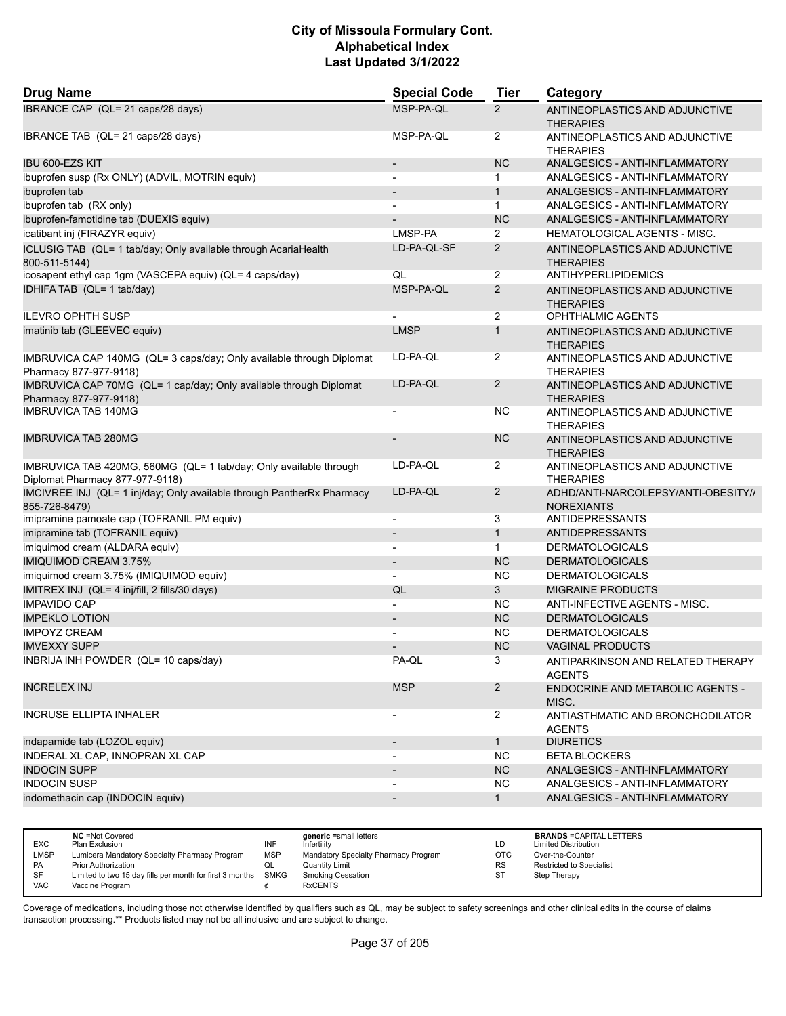| <b>Drug Name</b>                                                                                     | <b>Special Code</b>      | <b>Tier</b>           | Category                                                 |
|------------------------------------------------------------------------------------------------------|--------------------------|-----------------------|----------------------------------------------------------|
| IBRANCE CAP (QL= 21 caps/28 days)                                                                    | MSP-PA-QL                | $\mathbf{2}^{\prime}$ | ANTINEOPLASTICS AND ADJUNCTIVE<br><b>THERAPIES</b>       |
| IBRANCE TAB (QL= 21 caps/28 days)                                                                    | MSP-PA-QL                | 2                     | ANTINEOPLASTICS AND ADJUNCTIVE<br><b>THERAPIES</b>       |
| <b>IBU 600-EZS KIT</b>                                                                               | $\overline{\phantom{0}}$ | <b>NC</b>             | ANALGESICS - ANTI-INFLAMMATORY                           |
| ibuprofen susp (Rx ONLY) (ADVIL, MOTRIN equiv)                                                       | $\blacksquare$           | 1                     | ANALGESICS - ANTI-INFLAMMATORY                           |
| ibuprofen tab                                                                                        | $\overline{\phantom{a}}$ | $\mathbf{1}$          | ANALGESICS - ANTI-INFLAMMATORY                           |
| ibuprofen tab (RX only)                                                                              |                          | $\mathbf{1}$          | ANALGESICS - ANTI-INFLAMMATORY                           |
| ibuprofen-famotidine tab (DUEXIS equiv)                                                              |                          | <b>NC</b>             | ANALGESICS - ANTI-INFLAMMATORY                           |
| icatibant inj (FIRAZYR equiv)                                                                        | LMSP-PA                  | $\overline{2}$        | <b>HEMATOLOGICAL AGENTS - MISC.</b>                      |
| ICLUSIG TAB (QL= 1 tab/day; Only available through AcariaHealth<br>800-511-5144)                     | LD-PA-QL-SF              | $\overline{2}$        | ANTINEOPLASTICS AND ADJUNCTIVE<br><b>THERAPIES</b>       |
| icosapent ethyl cap 1gm (VASCEPA equiv) (QL= 4 caps/day)                                             | QL                       | $\overline{2}$        | ANTIHYPERLIPIDEMICS                                      |
| IDHIFA TAB (QL= 1 tab/day)                                                                           | MSP-PA-QL                | 2                     | ANTINEOPLASTICS AND ADJUNCTIVE<br><b>THERAPIES</b>       |
| <b>ILEVRO OPHTH SUSP</b>                                                                             |                          | 2                     | OPHTHALMIC AGENTS                                        |
| imatinib tab (GLEEVEC equiv)                                                                         | <b>LMSP</b>              | $\mathbf{1}$          | ANTINEOPLASTICS AND ADJUNCTIVE<br><b>THERAPIES</b>       |
| IMBRUVICA CAP 140MG (QL= 3 caps/day; Only available through Diplomat<br>Pharmacy 877-977-9118)       | LD-PA-QL                 | $\overline{2}$        | ANTINEOPLASTICS AND ADJUNCTIVE<br><b>THERAPIES</b>       |
| IMBRUVICA CAP 70MG (QL= 1 cap/day; Only available through Diplomat<br>Pharmacy 877-977-9118)         | LD-PA-QL                 | $\overline{2}$        | ANTINEOPLASTICS AND ADJUNCTIVE<br><b>THERAPIES</b>       |
| <b>IMBRUVICA TAB 140MG</b>                                                                           | $\overline{\phantom{a}}$ | NС                    | ANTINEOPLASTICS AND ADJUNCTIVE<br><b>THERAPIES</b>       |
| <b>IMBRUVICA TAB 280MG</b>                                                                           |                          | <b>NC</b>             | ANTINEOPLASTICS AND ADJUNCTIVE<br><b>THERAPIES</b>       |
| IMBRUVICA TAB 420MG, 560MG (QL= 1 tab/day; Only available through<br>Diplomat Pharmacy 877-977-9118) | LD-PA-QL                 | $\overline{2}$        | ANTINEOPLASTICS AND ADJUNCTIVE<br><b>THERAPIES</b>       |
| IMCIVREE INJ (QL= 1 inj/day; Only available through PantherRx Pharmacy<br>855-726-8479)              | LD-PA-QL                 | $\overline{2}$        | ADHD/ANTI-NARCOLEPSY/ANTI-OBESITY//<br><b>NOREXIANTS</b> |
| imipramine pamoate cap (TOFRANIL PM equiv)                                                           | $\overline{\phantom{a}}$ | 3                     | ANTIDEPRESSANTS                                          |
| imipramine tab (TOFRANIL equiv)                                                                      | $\overline{\phantom{0}}$ | $\mathbf{1}$          | <b>ANTIDEPRESSANTS</b>                                   |
| imiquimod cream (ALDARA equiv)                                                                       | $\blacksquare$           | $\mathbf{1}$          | <b>DERMATOLOGICALS</b>                                   |
| <b>IMIQUIMOD CREAM 3.75%</b>                                                                         | $\overline{\phantom{a}}$ | <b>NC</b>             | <b>DERMATOLOGICALS</b>                                   |
| imiquimod cream 3.75% (IMIQUIMOD equiv)                                                              | $\overline{\phantom{a}}$ | ΝC                    | <b>DERMATOLOGICALS</b>                                   |
| IMITREX INJ (QL= 4 inj/fill, 2 fills/30 days)                                                        | QL                       | 3                     | <b>MIGRAINE PRODUCTS</b>                                 |
| <b>IMPAVIDO CAP</b>                                                                                  |                          | <b>NC</b>             | ANTI-INFECTIVE AGENTS - MISC.                            |
| <b>IMPEKLO LOTION</b>                                                                                | $\overline{\phantom{a}}$ | <b>NC</b>             | <b>DERMATOLOGICALS</b>                                   |
| <b>IMPOYZ CREAM</b>                                                                                  |                          | ΝC                    | <b>DERMATOLOGICALS</b>                                   |
| <b>IMVEXXY SUPP</b>                                                                                  |                          | <b>NC</b>             | <b>VAGINAL PRODUCTS</b>                                  |
| INBRIJA INH POWDER (QL= 10 caps/day)                                                                 | PA-QL                    | 3                     | ANTIPARKINSON AND RELATED THERAPY<br><b>AGENTS</b>       |
| <b>INCRELEX INJ</b>                                                                                  | <b>MSP</b>               | $\overline{2}$        | <b>ENDOCRINE AND METABOLIC AGENTS -</b><br>MISC.         |
| <b>INCRUSE ELLIPTA INHALER</b>                                                                       | $\blacksquare$           | $\overline{2}$        | ANTIASTHMATIC AND BRONCHODILATOR<br><b>AGENTS</b>        |
| indapamide tab (LOZOL equiv)                                                                         | $\overline{\phantom{a}}$ | 1                     | <b>DIURETICS</b>                                         |
| INDERAL XL CAP, INNOPRAN XL CAP                                                                      | $\blacksquare$           | ΝC                    | <b>BETA BLOCKERS</b>                                     |
| <b>INDOCIN SUPP</b>                                                                                  |                          | <b>NC</b>             | ANALGESICS - ANTI-INFLAMMATORY                           |
| <b>INDOCIN SUSP</b>                                                                                  | $\overline{\phantom{a}}$ | NC                    | ANALGESICS - ANTI-INFLAMMATORY                           |
| indomethacin cap (INDOCIN equiv)                                                                     | $\overline{\phantom{a}}$ | 1                     | ANALGESICS - ANTI-INFLAMMATORY                           |
|                                                                                                      |                          |                       |                                                          |

|            | <b>NC</b> = Not Covered                                       |            | generic =small letters               |           | <b>BRANDS = CAPITAL LETTERS</b> |
|------------|---------------------------------------------------------------|------------|--------------------------------------|-----------|---------------------------------|
| <b>EXC</b> | Plan Exclusion                                                | INF        | Infertility                          | LD.       | <b>Limited Distribution</b>     |
| LMSP       | Lumicera Mandatory Specialty Pharmacy Program                 | <b>MSP</b> | Mandatory Specialty Pharmacy Program | OTC       | Over-the-Counter                |
| <b>PA</b>  | <b>Prior Authorization</b>                                    |            | <b>Quantity Limit</b>                | <b>RS</b> | Restricted to Specialist        |
| <b>SF</b>  | Limited to two 15 day fills per month for first 3 months SMKG |            | <b>Smoking Cessation</b>             | <b>ST</b> | Step Therapy                    |
| <b>VAC</b> | Vaccine Program                                               |            | <b>RxCENTS</b>                       |           |                                 |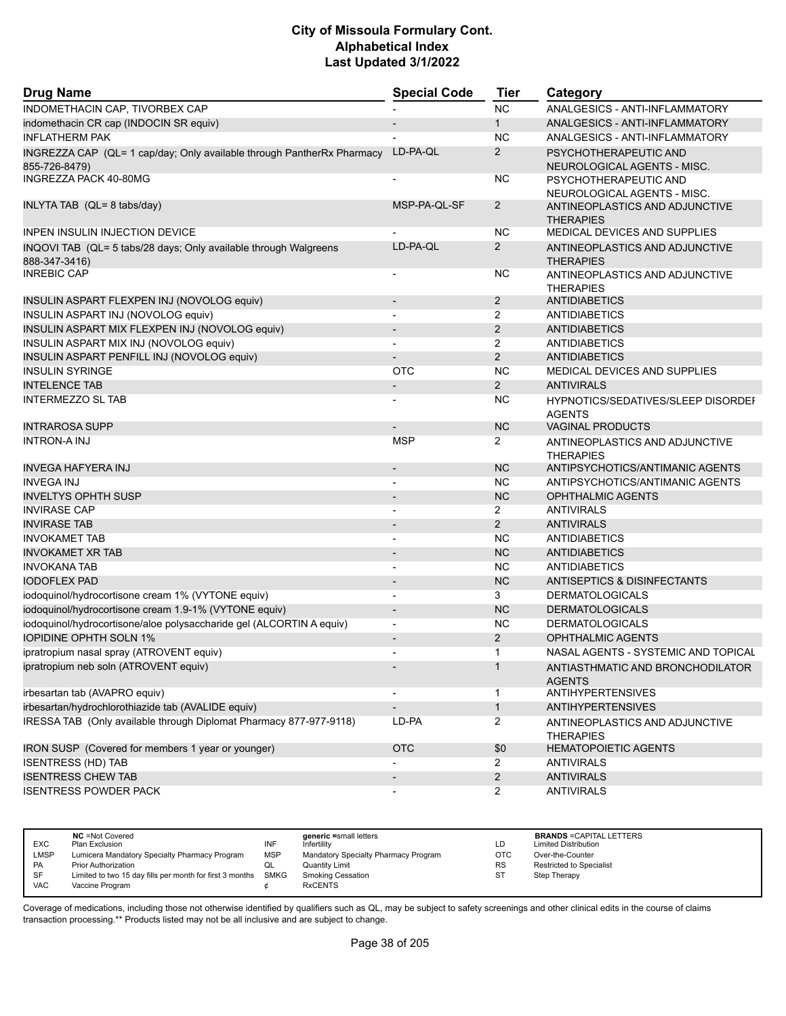| <b>Drug Name</b>                                                                        | <b>Special Code</b>      | <b>Tier</b>           | Category                                             |
|-----------------------------------------------------------------------------------------|--------------------------|-----------------------|------------------------------------------------------|
| INDOMETHACIN CAP, TIVORBEX CAP                                                          |                          | <b>NC</b>             | ANALGESICS - ANTI-INFLAMMATORY                       |
| indomethacin CR cap (INDOCIN SR equiv)                                                  |                          | $\mathbf{1}$          | ANALGESICS - ANTI-INFLAMMATORY                       |
| <b>INFLATHERM PAK</b>                                                                   |                          | <b>NC</b>             | ANALGESICS - ANTI-INFLAMMATORY                       |
| INGREZZA CAP (QL= 1 cap/day; Only available through PantherRx Pharmacy<br>855-726-8479) | LD-PA-QL                 | 2                     | PSYCHOTHERAPEUTIC AND<br>NEUROLOGICAL AGENTS - MISC. |
| INGREZZA PACK 40-80MG                                                                   |                          | <b>NC</b>             | PSYCHOTHERAPEUTIC AND<br>NEUROLOGICAL AGENTS - MISC. |
| INLYTA TAB (QL= 8 tabs/day)                                                             | MSP-PA-QL-SF             | 2                     | ANTINEOPLASTICS AND ADJUNCTIVE<br><b>THERAPIES</b>   |
| <b>INPEN INSULIN INJECTION DEVICE</b>                                                   |                          | <b>NC</b>             | <b>MEDICAL DEVICES AND SUPPLIES</b>                  |
| INQOVI TAB (QL= 5 tabs/28 days; Only available through Walgreens<br>888-347-3416)       | LD-PA-QL                 | 2                     | ANTINEOPLASTICS AND ADJUNCTIVE<br><b>THERAPIES</b>   |
| <b>INREBIC CAP</b>                                                                      | $\overline{\phantom{a}}$ | <b>NC</b>             | ANTINEOPLASTICS AND ADJUNCTIVE<br><b>THERAPIES</b>   |
| INSULIN ASPART FLEXPEN INJ (NOVOLOG equiv)                                              | $\overline{\phantom{a}}$ | 2                     | <b>ANTIDIABETICS</b>                                 |
| INSULIN ASPART INJ (NOVOLOG equiv)                                                      | $\overline{a}$           | 2                     | <b>ANTIDIABETICS</b>                                 |
| INSULIN ASPART MIX FLEXPEN INJ (NOVOLOG equiv)                                          |                          | 2                     | <b>ANTIDIABETICS</b>                                 |
| INSULIN ASPART MIX INJ (NOVOLOG equiv)                                                  |                          | $\overline{2}$        | <b>ANTIDIABETICS</b>                                 |
| INSULIN ASPART PENFILL INJ (NOVOLOG equiv)                                              |                          | $\overline{2}$        | <b>ANTIDIABETICS</b>                                 |
| <b>INSULIN SYRINGE</b>                                                                  | <b>OTC</b>               | <b>NC</b>             | <b>MEDICAL DEVICES AND SUPPLIES</b>                  |
| <b>INTELENCE TAB</b>                                                                    |                          | 2                     | <b>ANTIVIRALS</b>                                    |
| <b>INTERMEZZO SL TAB</b>                                                                |                          | NC                    | HYPNOTICS/SEDATIVES/SLEEP DISORDEI<br><b>AGENTS</b>  |
| <b>INTRAROSA SUPP</b>                                                                   |                          | <b>NC</b>             | <b>VAGINAL PRODUCTS</b>                              |
| <b>INTRON-AINJ</b>                                                                      | <b>MSP</b>               | $\mathbf{2}^{\prime}$ | ANTINEOPLASTICS AND ADJUNCTIVE<br><b>THERAPIES</b>   |
| <b>INVEGA HAFYERA INJ</b>                                                               | $\overline{\phantom{a}}$ | <b>NC</b>             | ANTIPSYCHOTICS/ANTIMANIC AGENTS                      |
| <b>INVEGA INJ</b>                                                                       |                          | <b>NC</b>             | ANTIPSYCHOTICS/ANTIMANIC AGENTS                      |
| <b>INVELTYS OPHTH SUSP</b>                                                              |                          | <b>NC</b>             | <b>OPHTHALMIC AGENTS</b>                             |
| <b>INVIRASE CAP</b>                                                                     | $\overline{a}$           | $\overline{2}$        | <b>ANTIVIRALS</b>                                    |
| <b>INVIRASE TAB</b>                                                                     |                          | $\overline{2}$        | <b>ANTIVIRALS</b>                                    |
| <b>INVOKAMET TAB</b>                                                                    |                          | <b>NC</b>             | <b>ANTIDIABETICS</b>                                 |
| <b>INVOKAMET XR TAB</b>                                                                 |                          | <b>NC</b>             | <b>ANTIDIABETICS</b>                                 |
| <b>INVOKANA TAB</b>                                                                     |                          | <b>NC</b>             | ANTIDIABETICS                                        |
| <b>IODOFLEX PAD</b>                                                                     |                          | <b>NC</b>             | <b>ANTISEPTICS &amp; DISINFECTANTS</b>               |
| iodoquinol/hydrocortisone cream 1% (VYTONE equiv)                                       | $\overline{\phantom{a}}$ | 3                     | <b>DERMATOLOGICALS</b>                               |
| iodoquinol/hydrocortisone cream 1.9-1% (VYTONE equiv)                                   |                          | <b>NC</b>             | <b>DERMATOLOGICALS</b>                               |
| iodoquinol/hydrocortisone/aloe polysaccharide gel (ALCORTIN A equiv)                    |                          | <b>NC</b>             | <b>DERMATOLOGICALS</b>                               |
| <b>IOPIDINE OPHTH SOLN 1%</b>                                                           | $\overline{\phantom{a}}$ | $\overline{2}$        | <b>OPHTHALMIC AGENTS</b>                             |
| ipratropium nasal spray (ATROVENT equiv)                                                | $\blacksquare$           | 1                     | NASAL AGENTS - SYSTEMIC AND TOPICAL                  |
| ipratropium neb soln (ATROVENT equiv)                                                   |                          | $\mathbf{1}$          | ANTIASTHMATIC AND BRONCHODILATOR<br><b>AGENTS</b>    |
| irbesartan tab (AVAPRO equiv)                                                           |                          | 1                     | <b>ANTIHYPERTENSIVES</b>                             |
| irbesartan/hydrochlorothiazide tab (AVALIDE equiv)                                      | $\overline{\phantom{a}}$ | $\mathbf{1}$          | <b>ANTIHYPERTENSIVES</b>                             |
| IRESSA TAB (Only available through Diplomat Pharmacy 877-977-9118)                      | LD-PA                    | $\overline{2}$        | ANTINEOPLASTICS AND ADJUNCTIVE                       |
|                                                                                         |                          |                       | <b>THERAPIES</b>                                     |
| IRON SUSP (Covered for members 1 year or younger)                                       | <b>OTC</b>               | \$0                   | <b>HEMATOPOIETIC AGENTS</b>                          |
| <b>ISENTRESS (HD) TAB</b>                                                               |                          | $\overline{2}$        | <b>ANTIVIRALS</b>                                    |
| <b>ISENTRESS CHEW TAB</b>                                                               |                          | $\overline{2}$        | <b>ANTIVIRALS</b>                                    |
| <b>ISENTRESS POWDER PACK</b>                                                            |                          | $\mathbf{2}^{\prime}$ | <b>ANTIVIRALS</b>                                    |

| <b>EXC</b> | <b>NC</b> = Not Covered<br>Plan Exclusion                     | INF        | generic =small letters<br>Infertility | LD        | <b>BRANDS = CAPITAL LETTERS</b><br><b>Limited Distribution</b> |
|------------|---------------------------------------------------------------|------------|---------------------------------------|-----------|----------------------------------------------------------------|
| LMSP       | Lumicera Mandatory Specialty Pharmacy Program                 | <b>MSP</b> | Mandatory Specialty Pharmacy Program  | OTC       | Over-the-Counter                                               |
| <b>PA</b>  | <b>Prior Authorization</b>                                    |            | <b>Quantity Limit</b>                 | <b>RS</b> | <b>Restricted to Specialist</b>                                |
| <b>SF</b>  | Limited to two 15 day fills per month for first 3 months SMKG |            | <b>Smoking Cessation</b>              | <b>ST</b> | Step Therapy                                                   |
| VAC        | Vaccine Program                                               |            | <b>RxCENTS</b>                        |           |                                                                |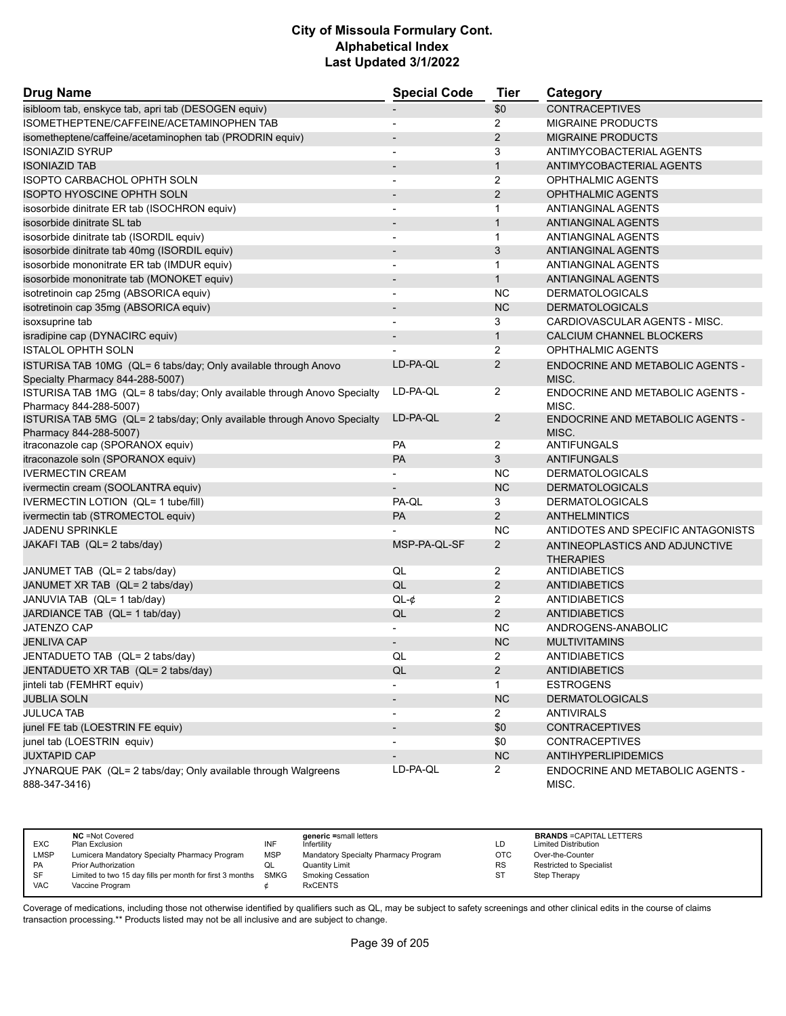| <b>Drug Name</b>                                                         | <b>Special Code</b>      | <b>Tier</b>    | Category                                |
|--------------------------------------------------------------------------|--------------------------|----------------|-----------------------------------------|
| isibloom tab, enskyce tab, apri tab (DESOGEN equiv)                      |                          | \$0            | <b>CONTRACEPTIVES</b>                   |
| ISOMETHEPTENE/CAFFEINE/ACETAMINOPHEN TAB                                 | $\overline{a}$           | $\overline{2}$ | <b>MIGRAINE PRODUCTS</b>                |
| isometheptene/caffeine/acetaminophen tab (PRODRIN equiv)                 |                          | $\overline{2}$ | <b>MIGRAINE PRODUCTS</b>                |
| <b>ISONIAZID SYRUP</b>                                                   | $\blacksquare$           | 3              | ANTIMYCOBACTERIAL AGENTS                |
| <b>ISONIAZID TAB</b>                                                     |                          | $\mathbf{1}$   | ANTIMYCOBACTERIAL AGENTS                |
| ISOPTO CARBACHOL OPHTH SOLN                                              |                          | 2              | <b>OPHTHALMIC AGENTS</b>                |
| <b>ISOPTO HYOSCINE OPHTH SOLN</b>                                        | $\overline{\phantom{a}}$ | 2              | <b>OPHTHALMIC AGENTS</b>                |
| isosorbide dinitrate ER tab (ISOCHRON equiv)                             | $\overline{\phantom{a}}$ | $\mathbf 1$    | ANTIANGINAL AGENTS                      |
| isosorbide dinitrate SL tab                                              |                          | $\mathbf{1}$   | <b>ANTIANGINAL AGENTS</b>               |
| isosorbide dinitrate tab (ISORDIL equiv)                                 | $\blacksquare$           | $\mathbf{1}$   | ANTIANGINAL AGENTS                      |
| isosorbide dinitrate tab 40mg (ISORDIL equiv)                            | $\overline{\phantom{m}}$ | 3              | <b>ANTIANGINAL AGENTS</b>               |
| isosorbide mononitrate ER tab (IMDUR equiv)                              |                          | $\mathbf{1}$   | ANTIANGINAL AGENTS                      |
| isosorbide mononitrate tab (MONOKET equiv)                               | $\overline{\phantom{a}}$ | $\mathbf{1}$   | <b>ANTIANGINAL AGENTS</b>               |
| isotretinoin cap 25mg (ABSORICA equiv)                                   | $\overline{\phantom{0}}$ | <b>NC</b>      | <b>DERMATOLOGICALS</b>                  |
| isotretinoin cap 35mg (ABSORICA equiv)                                   |                          | <b>NC</b>      | <b>DERMATOLOGICALS</b>                  |
| isoxsuprine tab                                                          |                          | 3              | CARDIOVASCULAR AGENTS - MISC.           |
| isradipine cap (DYNACIRC equiv)                                          | $\overline{\phantom{0}}$ | $\mathbf{1}$   | CALCIUM CHANNEL BLOCKERS                |
| <b>ISTALOL OPHTH SOLN</b>                                                |                          | 2              | <b>OPHTHALMIC AGENTS</b>                |
| ISTURISA TAB 10MG (QL= 6 tabs/day; Only available through Anovo          | LD-PA-QL                 | 2              | <b>ENDOCRINE AND METABOLIC AGENTS -</b> |
| Specialty Pharmacy 844-288-5007)                                         |                          |                | MISC.                                   |
| ISTURISA TAB 1MG (QL= 8 tabs/day; Only available through Anovo Specialty | LD-PA-QL                 | 2              | <b>ENDOCRINE AND METABOLIC AGENTS -</b> |
| Pharmacy 844-288-5007)                                                   |                          |                | MISC.                                   |
| ISTURISA TAB 5MG (QL= 2 tabs/day; Only available through Anovo Specialty | LD-PA-QL                 | 2              | ENDOCRINE AND METABOLIC AGENTS -        |
| Pharmacy 844-288-5007)                                                   |                          |                | MISC.                                   |
| itraconazole cap (SPORANOX equiv)                                        | <b>PA</b>                | 2              | ANTIFUNGALS                             |
| itraconazole soln (SPORANOX equiv)                                       | PA                       | 3              | <b>ANTIFUNGALS</b>                      |
| <b>IVERMECTIN CREAM</b>                                                  |                          | <b>NC</b>      | <b>DERMATOLOGICALS</b>                  |
| ivermectin cream (SOOLANTRA equiv)                                       |                          | <b>NC</b>      | <b>DERMATOLOGICALS</b>                  |
| IVERMECTIN LOTION (QL= 1 tube/fill)                                      | PA-QL                    | 3              | <b>DERMATOLOGICALS</b>                  |
| ivermectin tab (STROMECTOL equiv)                                        | <b>PA</b>                | 2              | <b>ANTHELMINTICS</b>                    |
| <b>JADENU SPRINKLE</b>                                                   |                          | <b>NC</b>      | ANTIDOTES AND SPECIFIC ANTAGONISTS      |
| JAKAFI TAB (QL= 2 tabs/day)                                              | MSP-PA-QL-SF             | $\overline{2}$ | ANTINEOPLASTICS AND ADJUNCTIVE          |
|                                                                          |                          |                | <b>THERAPIES</b>                        |
| JANUMET TAB (QL= 2 tabs/day)                                             | QL                       | 2              | ANTIDIABETICS                           |
| JANUMET XR TAB (QL= 2 tabs/day)                                          | QL                       | $\overline{2}$ | <b>ANTIDIABETICS</b>                    |
| JANUVIA TAB (QL= 1 tab/day)                                              | $QL-¢$                   | 2              | <b>ANTIDIABETICS</b>                    |
| JARDIANCE TAB (QL= 1 tab/day)                                            | QL                       | $\overline{2}$ | <b>ANTIDIABETICS</b>                    |
| <b>JATENZO CAP</b>                                                       |                          | <b>NC</b>      | ANDROGENS-ANABOLIC                      |
| <b>JENLIVA CAP</b>                                                       | $\overline{\phantom{0}}$ | NC             | <b>MULTIVITAMINS</b>                    |
| JENTADUETO TAB (QL= 2 tabs/day)                                          | QL                       | 2              | ANTIDIABETICS                           |
| JENTADUETO XR TAB (QL= 2 tabs/day)                                       | QL                       | $\overline{2}$ | <b>ANTIDIABETICS</b>                    |
| jinteli tab (FEMHRT equiv)                                               |                          | 1              | <b>ESTROGENS</b>                        |
| <b>JUBLIA SOLN</b>                                                       |                          | <b>NC</b>      | <b>DERMATOLOGICALS</b>                  |
| <b>JULUCA TAB</b>                                                        | $\overline{\phantom{a}}$ | $\overline{2}$ | <b>ANTIVIRALS</b>                       |
| junel FE tab (LOESTRIN FE equiv)                                         |                          | \$0            | <b>CONTRACEPTIVES</b>                   |
| junel tab (LOESTRIN equiv)                                               |                          | \$0            | <b>CONTRACEPTIVES</b>                   |
| <b>JUXTAPID CAP</b>                                                      |                          | <b>NC</b>      | <b>ANTIHYPERLIPIDEMICS</b>              |
| JYNARQUE PAK (QL= 2 tabs/day; Only available through Walgreens           | LD-PA-QL                 | $\mathbf{2}$   | ENDOCRINE AND METABOLIC AGENTS -        |
| 888-347-3416)                                                            |                          |                | MISC.                                   |

|            | <b>NC</b> = Not Covered                                       |            | generic =small letters               |            | <b>BRANDS = CAPITAL LETTERS</b> |
|------------|---------------------------------------------------------------|------------|--------------------------------------|------------|---------------------------------|
| <b>EXC</b> | Plan Exclusion                                                | INF        | Infertility                          | LD         | <b>Limited Distribution</b>     |
| LMSP       | Lumicera Mandatory Specialty Pharmacy Program                 | <b>MSP</b> | Mandatory Specialty Pharmacy Program | <b>OTC</b> | Over-the-Counter                |
| <b>PA</b>  | <b>Prior Authorization</b>                                    | QL         | <b>Quantity Limit</b>                | <b>RS</b>  | Restricted to Specialist        |
| SF         | Limited to two 15 day fills per month for first 3 months SMKG |            | <b>Smoking Cessation</b>             | ST         | Step Therapy                    |
| VAC        | Vaccine Program                                               |            | <b>RxCENTS</b>                       |            |                                 |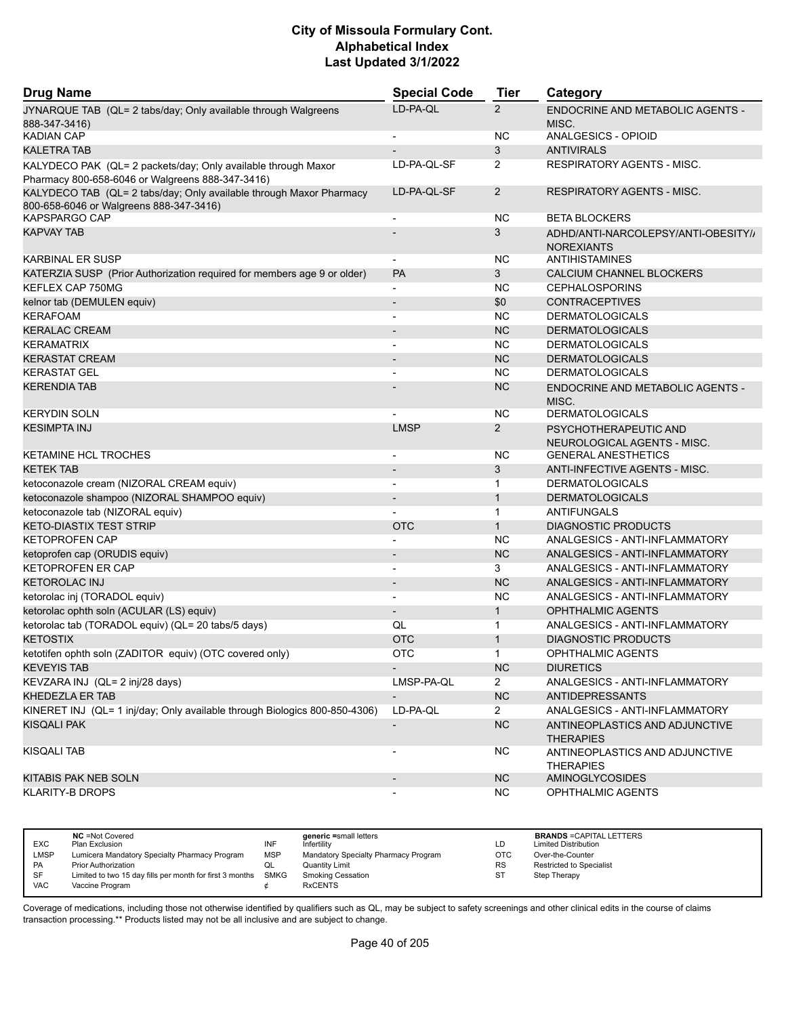| <b>Drug Name</b>                                                                                                  | <b>Special Code</b>      | <b>Tier</b>    | Category                                             |
|-------------------------------------------------------------------------------------------------------------------|--------------------------|----------------|------------------------------------------------------|
| JYNARQUE TAB (QL= 2 tabs/day; Only available through Walgreens                                                    | LD-PA-QL                 | $\overline{2}$ | ENDOCRINE AND METABOLIC AGENTS -                     |
| 888-347-3416)                                                                                                     |                          |                | MISC.                                                |
| <b>KADIAN CAP</b>                                                                                                 | $\overline{\phantom{a}}$ | <b>NC</b>      | ANALGESICS - OPIOID                                  |
| <b>KALETRA TAB</b>                                                                                                | $\overline{\phantom{a}}$ | 3              | <b>ANTIVIRALS</b>                                    |
| KALYDECO PAK (QL= 2 packets/day; Only available through Maxor<br>Pharmacy 800-658-6046 or Walgreens 888-347-3416) | LD-PA-QL-SF              | $\overline{2}$ | <b>RESPIRATORY AGENTS - MISC.</b>                    |
| KALYDECO TAB (QL= 2 tabs/day; Only available through Maxor Pharmacy<br>800-658-6046 or Walgreens 888-347-3416)    | LD-PA-QL-SF              | $\overline{2}$ | <b>RESPIRATORY AGENTS - MISC.</b>                    |
| <b>KAPSPARGO CAP</b>                                                                                              |                          | NC.            | <b>BETA BLOCKERS</b>                                 |
| <b>KAPVAY TAB</b>                                                                                                 |                          | 3              | ADHD/ANTI-NARCOLEPSY/ANTI-OBESITY/                   |
|                                                                                                                   |                          |                | <b>NOREXIANTS</b>                                    |
| <b>KARBINAL ER SUSP</b>                                                                                           | $\overline{\phantom{a}}$ | NC.            | ANTIHISTAMINES                                       |
| KATERZIA SUSP (Prior Authorization required for members age 9 or older)                                           | <b>PA</b>                | 3              | CALCIUM CHANNEL BLOCKERS                             |
| KEFLEX CAP 750MG                                                                                                  |                          | <b>NC</b>      | <b>CEPHALOSPORINS</b>                                |
| kelnor tab (DEMULEN equiv)                                                                                        | $\overline{\phantom{a}}$ | \$0            | CONTRACEPTIVES                                       |
| <b>KERAFOAM</b>                                                                                                   | $\overline{\phantom{a}}$ | NC.            | <b>DERMATOLOGICALS</b>                               |
| <b>KERALAC CREAM</b>                                                                                              |                          | <b>NC</b>      | <b>DERMATOLOGICALS</b>                               |
| <b>KERAMATRIX</b>                                                                                                 | $\overline{\phantom{a}}$ | <b>NC</b>      | <b>DERMATOLOGICALS</b>                               |
| <b>KERASTAT CREAM</b>                                                                                             | $\blacksquare$           | <b>NC</b>      | <b>DERMATOLOGICALS</b>                               |
| <b>KERASTAT GEL</b>                                                                                               |                          | <b>NC</b>      | <b>DERMATOLOGICALS</b>                               |
| <b>KERENDIA TAB</b>                                                                                               |                          | <b>NC</b>      | <b>ENDOCRINE AND METABOLIC AGENTS -</b><br>MISC.     |
| <b>KERYDIN SOLN</b>                                                                                               |                          | <b>NC</b>      | <b>DERMATOLOGICALS</b>                               |
| <b>KESIMPTA INJ</b>                                                                                               | <b>LMSP</b>              | $\overline{2}$ | PSYCHOTHERAPEUTIC AND<br>NEUROLOGICAL AGENTS - MISC. |
| <b>KETAMINE HCL TROCHES</b>                                                                                       |                          | NC.            | <b>GENERAL ANESTHETICS</b>                           |
| <b>KETEK TAB</b>                                                                                                  | $\overline{\phantom{a}}$ | 3              | ANTI-INFECTIVE AGENTS - MISC.                        |
| ketoconazole cream (NIZORAL CREAM equiv)                                                                          | $\overline{\phantom{a}}$ | $\mathbf{1}$   | <b>DERMATOLOGICALS</b>                               |
| ketoconazole shampoo (NIZORAL SHAMPOO equiv)                                                                      |                          | $\mathbf{1}$   | <b>DERMATOLOGICALS</b>                               |
| ketoconazole tab (NIZORAL equiv)                                                                                  |                          | $\mathbf{1}$   | <b>ANTIFUNGALS</b>                                   |
| <b>KETO-DIASTIX TEST STRIP</b>                                                                                    |                          | $\mathbf{1}$   |                                                      |
|                                                                                                                   | <b>OTC</b>               |                | <b>DIAGNOSTIC PRODUCTS</b>                           |
| <b>KETOPROFEN CAP</b>                                                                                             |                          | <b>NC</b>      | ANALGESICS - ANTI-INFLAMMATORY                       |
| ketoprofen cap (ORUDIS equiv)                                                                                     | $\overline{\phantom{a}}$ | <b>NC</b>      | ANALGESICS - ANTI-INFLAMMATORY                       |
| <b>KETOPROFEN ER CAP</b>                                                                                          | $\overline{\phantom{a}}$ | 3              | ANALGESICS - ANTI-INFLAMMATORY                       |
| <b>KETOROLAC INJ</b>                                                                                              |                          | <b>NC</b>      | ANALGESICS - ANTI-INFLAMMATORY                       |
| ketorolac inj (TORADOL equiv)                                                                                     | $\blacksquare$           | <b>NC</b>      | ANALGESICS - ANTI-INFLAMMATORY                       |
| ketorolac ophth soln (ACULAR (LS) equiv)                                                                          |                          | $\mathbf{1}$   | <b>OPHTHALMIC AGENTS</b>                             |
| ketorolac tab (TORADOL equiv) (QL= 20 tabs/5 days)                                                                | QL                       | 1              | ANALGESICS - ANTI-INFLAMMATORY                       |
| <b>KETOSTIX</b>                                                                                                   | <b>OTC</b>               | $\mathbf{1}$   | <b>DIAGNOSTIC PRODUCTS</b>                           |
| ketotifen ophth soln (ZADITOR equiv) (OTC covered only)                                                           | <b>OTC</b>               | 1              | OPHTHALMIC AGENTS                                    |
| <b>KEVEYIS TAB</b>                                                                                                |                          | NC             | <b>DIURETICS</b>                                     |
| KEVZARA INJ (QL= 2 inj/28 days)                                                                                   | LMSP-PA-QL               | $\mathbf{2}$   | ANALGESICS - ANTI-INFLAMMATORY                       |
| KHEDEZLA ER TAB                                                                                                   |                          | NC             | <b>ANTIDEPRESSANTS</b>                               |
| KINERET INJ (QL= 1 inj/day; Only available through Biologics 800-850-4306)                                        | LD-PA-QL                 | $\overline{2}$ | ANALGESICS - ANTI-INFLAMMATORY                       |
| <b>KISQALI PAK</b>                                                                                                | $\overline{\phantom{a}}$ | NC             | ANTINEOPLASTICS AND ADJUNCTIVE<br><b>THERAPIES</b>   |
| <b>KISQALI TAB</b>                                                                                                |                          | <b>NC</b>      | ANTINEOPLASTICS AND ADJUNCTIVE<br><b>THERAPIES</b>   |
| KITABIS PAK NEB SOLN                                                                                              |                          | <b>NC</b>      | AMINOGLYCOSIDES                                      |
| <b>KLARITY-B DROPS</b>                                                                                            |                          | <b>NC</b>      | OPHTHALMIC AGENTS                                    |

| <b>EXC</b> | <b>NC</b> = Not Covered<br>Plan Exclusion                     | INF        | generic =small letters<br>Infertility | LD         | <b>BRANDS = CAPITAL LETTERS</b><br><b>Limited Distribution</b> |
|------------|---------------------------------------------------------------|------------|---------------------------------------|------------|----------------------------------------------------------------|
| LMSP       | Lumicera Mandatory Specialty Pharmacy Program                 | <b>MSP</b> | Mandatory Specialty Pharmacy Program  | <b>OTC</b> | Over-the-Counter                                               |
| <b>PA</b>  | <b>Prior Authorization</b>                                    | QL         | <b>Quantity Limit</b>                 | <b>RS</b>  | Restricted to Specialist                                       |
| SF         | Limited to two 15 day fills per month for first 3 months SMKG |            | <b>Smoking Cessation</b>              | ST         | Step Therapy                                                   |
| <b>VAC</b> | Vaccine Program                                               |            | <b>RxCENTS</b>                        |            |                                                                |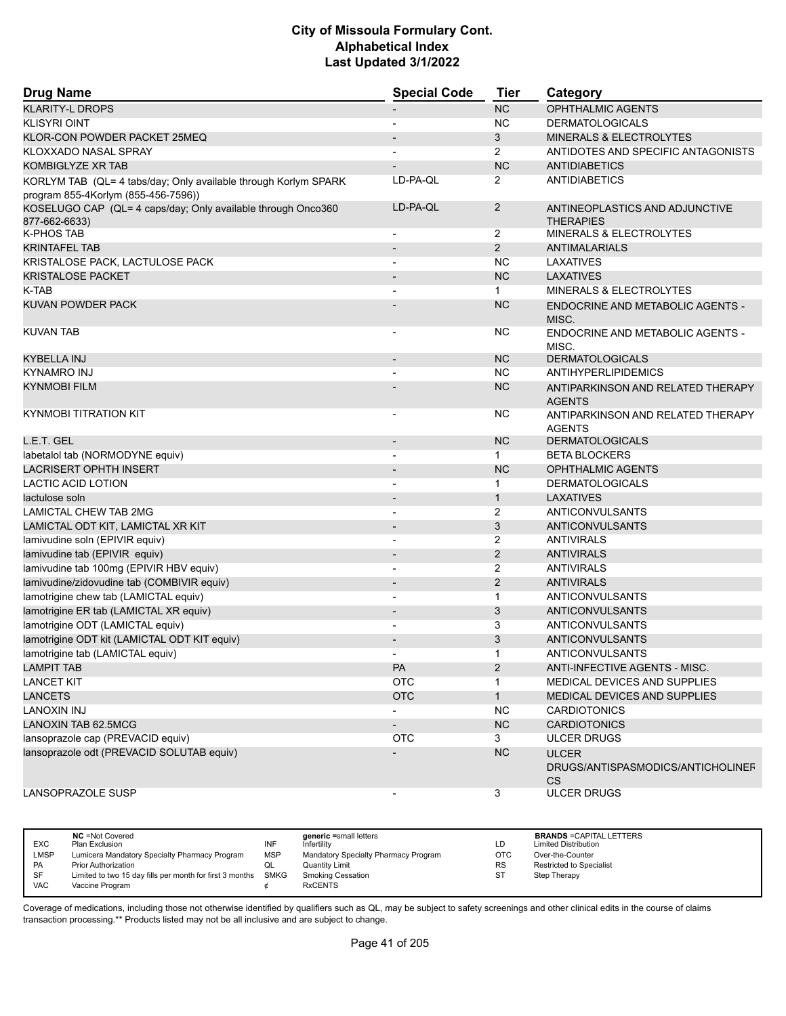| <b>Drug Name</b>                                                | <b>Special Code</b>      | <b>Tier</b>    | Category                                                       |
|-----------------------------------------------------------------|--------------------------|----------------|----------------------------------------------------------------|
| <b>KLARITY-L DROPS</b>                                          |                          | <b>NC</b>      | <b>OPHTHALMIC AGENTS</b>                                       |
| <b>KLISYRI OINT</b>                                             |                          | <b>NC</b>      | <b>DERMATOLOGICALS</b>                                         |
| KLOR-CON POWDER PACKET 25MEQ                                    |                          | 3              | MINERALS & ELECTROLYTES                                        |
| KLOXXADO NASAL SPRAY                                            |                          | 2              | ANTIDOTES AND SPECIFIC ANTAGONISTS                             |
| <b>KOMBIGLYZE XR TAB</b>                                        |                          | <b>NC</b>      | <b>ANTIDIABETICS</b>                                           |
| KORLYM TAB (QL= 4 tabs/day; Only available through Korlym SPARK | LD-PA-QL                 | 2              | <b>ANTIDIABETICS</b>                                           |
| program 855-4Korlym (855-456-7596))                             |                          |                |                                                                |
| KOSELUGO CAP (QL= 4 caps/day; Only available through Onco360    | LD-PA-QL                 | 2              | ANTINEOPLASTICS AND ADJUNCTIVE                                 |
| 877-662-6633)                                                   |                          |                | <b>THERAPIES</b>                                               |
| <b>K-PHOS TAB</b>                                               |                          | 2              | <b>MINERALS &amp; ELECTROLYTES</b>                             |
| <b>KRINTAFEL TAB</b>                                            |                          | 2              | <b>ANTIMALARIALS</b>                                           |
| KRISTALOSE PACK, LACTULOSE PACK                                 |                          | NC             | <b>LAXATIVES</b>                                               |
| <b>KRISTALOSE PACKET</b>                                        |                          | <b>NC</b>      | <b>LAXATIVES</b>                                               |
| K-TAB                                                           |                          | $\mathbf{1}$   | MINERALS & ELECTROLYTES                                        |
| KUVAN POWDER PACK                                               |                          | <b>NC</b>      | <b>ENDOCRINE AND METABOLIC AGENTS -</b>                        |
| <b>KUVAN TAB</b>                                                |                          | NС             | MISC.<br>ENDOCRINE AND METABOLIC AGENTS -                      |
|                                                                 |                          |                | MISC.                                                          |
| KYBELLA INJ                                                     |                          | <b>NC</b>      | <b>DERMATOLOGICALS</b>                                         |
| <b>KYNAMRO INJ</b>                                              |                          | <b>NC</b>      | ANTIHYPERLIPIDEMICS                                            |
| <b>KYNMOBI FILM</b>                                             |                          | <b>NC</b>      | ANTIPARKINSON AND RELATED THERAPY<br><b>AGENTS</b>             |
| KYNMOBI TITRATION KIT                                           | $\overline{\phantom{a}}$ | <b>NC</b>      | ANTIPARKINSON AND RELATED THERAPY<br><b>AGENTS</b>             |
| L.E.T. GEL                                                      | $\overline{\phantom{a}}$ | <b>NC</b>      | <b>DERMATOLOGICALS</b>                                         |
| labetalol tab (NORMODYNE equiv)                                 | $\overline{\phantom{a}}$ | $\mathbf{1}$   | <b>BETA BLOCKERS</b>                                           |
| <b>LACRISERT OPHTH INSERT</b>                                   |                          | <b>NC</b>      | <b>OPHTHALMIC AGENTS</b>                                       |
| <b>LACTIC ACID LOTION</b>                                       |                          | 1              | <b>DERMATOLOGICALS</b>                                         |
| lactulose soln                                                  |                          | $\mathbf{1}$   | LAXATIVES                                                      |
| <b>LAMICTAL CHEW TAB 2MG</b>                                    |                          | 2              | <b>ANTICONVULSANTS</b>                                         |
| LAMICTAL ODT KIT, LAMICTAL XR KIT                               |                          | 3              | <b>ANTICONVULSANTS</b>                                         |
| lamivudine soln (EPIVIR equiv)                                  | $\overline{\phantom{a}}$ | 2              | <b>ANTIVIRALS</b>                                              |
| lamivudine tab (EPIVIR equiv)                                   |                          | $\overline{2}$ | <b>ANTIVIRALS</b>                                              |
| lamivudine tab 100mg (EPIVIR HBV equiv)                         | $\overline{\phantom{a}}$ | 2              | ANTIVIRALS                                                     |
| lamivudine/zidovudine tab (COMBIVIR equiv)                      | $\blacksquare$           | 2              | <b>ANTIVIRALS</b>                                              |
| lamotrigine chew tab (LAMICTAL equiv)                           |                          | $\mathbf 1$    | ANTICONVULSANTS                                                |
| lamotrigine ER tab (LAMICTAL XR equiv)                          |                          | 3              | <b>ANTICONVULSANTS</b>                                         |
| lamotrigine ODT (LAMICTAL equiv)                                | $\overline{a}$           | 3              | <b>ANTICONVULSANTS</b>                                         |
| lamotrigine ODT kit (LAMICTAL ODT KIT equiv)                    |                          | 3              | <b>ANTICONVULSANTS</b>                                         |
| lamotrigine tab (LAMICTAL equiv)                                |                          | $\mathbf{1}$   | ANTICONVULSANTS                                                |
| <b>LAMPIT TAB</b>                                               | PA                       | $\overline{2}$ | ANTI-INFECTIVE AGENTS - MISC.                                  |
| <b>LANCET KIT</b>                                               | <b>OTC</b>               | $\mathbf 1$    | MEDICAL DEVICES AND SUPPLIES                                   |
| <b>LANCETS</b>                                                  | <b>OTC</b>               | $\mathbf{1}$   | MEDICAL DEVICES AND SUPPLIES                                   |
| <b>LANOXIN INJ</b>                                              | $\overline{a}$           | NC.            | <b>CARDIOTONICS</b>                                            |
| <b>LANOXIN TAB 62.5MCG</b>                                      |                          | NC             | <b>CARDIOTONICS</b>                                            |
| lansoprazole cap (PREVACID equiv)                               | <b>OTC</b>               | 3              | <b>ULCER DRUGS</b>                                             |
|                                                                 |                          |                |                                                                |
| lansoprazole odt (PREVACID SOLUTAB equiv)                       |                          | NC             | <b>ULCER</b><br>DRUGS/ANTISPASMODICS/ANTICHOLINEF<br><b>CS</b> |
| LANSOPRAZOLE SUSP                                               |                          | 3              | <b>ULCER DRUGS</b>                                             |

| <b>EXC</b> | <b>NC</b> = Not Covered<br>Plan Exclusion                     | INF        | generic =small letters<br>Infertilitv | LD        | <b>BRANDS = CAPITAL LETTERS</b><br><b>Limited Distribution</b> |
|------------|---------------------------------------------------------------|------------|---------------------------------------|-----------|----------------------------------------------------------------|
| LMSP       | Lumicera Mandatory Specialty Pharmacy Program                 | <b>MSP</b> | Mandatory Specialty Pharmacy Program  | ОТС       | Over-the-Counter                                               |
| <b>PA</b>  | <b>Prior Authorization</b>                                    | QL         | <b>Quantity Limit</b>                 | <b>RS</b> | Restricted to Specialist                                       |
| SF         | Limited to two 15 day fills per month for first 3 months SMKG |            | <b>Smoking Cessation</b>              | ST        | Step Therapy                                                   |
| <b>VAC</b> | Vaccine Program                                               |            | <b>RxCENTS</b>                        |           |                                                                |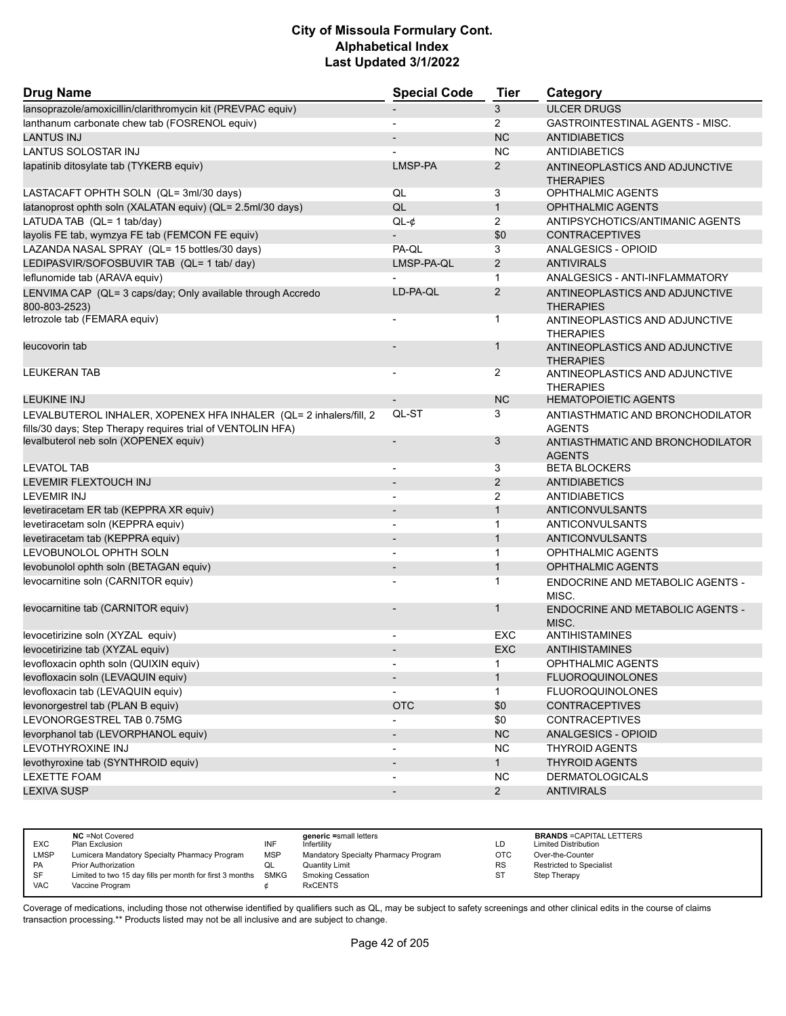| <b>Drug Name</b>                                                                                                                 | <b>Special Code</b>          | <b>Tier</b>    | Category                                           |
|----------------------------------------------------------------------------------------------------------------------------------|------------------------------|----------------|----------------------------------------------------|
| lansoprazole/amoxicillin/clarithromycin kit (PREVPAC equiv)                                                                      |                              | 3              | <b>ULCER DRUGS</b>                                 |
| lanthanum carbonate chew tab (FOSRENOL equiv)                                                                                    | $\overline{a}$               | $\overline{2}$ | GASTROINTESTINAL AGENTS - MISC.                    |
| <b>LANTUS INJ</b>                                                                                                                |                              | <b>NC</b>      | <b>ANTIDIABETICS</b>                               |
| <b>LANTUS SOLOSTAR INJ</b>                                                                                                       |                              | <b>NC</b>      | <b>ANTIDIABETICS</b>                               |
| lapatinib ditosylate tab (TYKERB equiv)                                                                                          | LMSP-PA                      | 2              | ANTINEOPLASTICS AND ADJUNCTIVE<br><b>THERAPIES</b> |
| LASTACAFT OPHTH SOLN (QL= 3ml/30 days)                                                                                           | QL                           | 3              | OPHTHALMIC AGENTS                                  |
| latanoprost ophth soln (XALATAN equiv) (QL= 2.5ml/30 days)                                                                       | QL                           | $\mathbf{1}$   | <b>OPHTHALMIC AGENTS</b>                           |
| LATUDA TAB (QL= 1 tab/day)                                                                                                       | $QL-¢$                       | $\overline{2}$ | ANTIPSYCHOTICS/ANTIMANIC AGENTS                    |
| layolis FE tab, wymzya FE tab (FEMCON FE equiv)                                                                                  |                              | \$0            | <b>CONTRACEPTIVES</b>                              |
| LAZANDA NASAL SPRAY (QL= 15 bottles/30 days)                                                                                     | PA-QL                        | 3              | ANALGESICS - OPIOID                                |
| LEDIPASVIR/SOFOSBUVIR TAB (QL= 1 tab/ day)                                                                                       | LMSP-PA-QL                   | $\overline{2}$ | <b>ANTIVIRALS</b>                                  |
| leflunomide tab (ARAVA equiv)                                                                                                    |                              | 1              | ANALGESICS - ANTI-INFLAMMATORY                     |
| LENVIMA CAP (QL= 3 caps/day; Only available through Accredo<br>800-803-2523)                                                     | LD-PA-QL                     | 2              | ANTINEOPLASTICS AND ADJUNCTIVE<br><b>THERAPIES</b> |
| letrozole tab (FEMARA equiv)                                                                                                     |                              | 1              | ANTINEOPLASTICS AND ADJUNCTIVE<br><b>THERAPIES</b> |
| leucovorin tab                                                                                                                   |                              | $\mathbf 1$    | ANTINEOPLASTICS AND ADJUNCTIVE<br><b>THERAPIES</b> |
| <b>LEUKERAN TAB</b>                                                                                                              |                              | $\overline{2}$ | ANTINEOPLASTICS AND ADJUNCTIVE<br><b>THERAPIES</b> |
| <b>LEUKINE INJ</b>                                                                                                               |                              | <b>NC</b>      | <b>HEMATOPOIETIC AGENTS</b>                        |
| LEVALBUTEROL INHALER, XOPENEX HFA INHALER (QL= 2 inhalers/fill, 2<br>fills/30 days; Step Therapy requires trial of VENTOLIN HFA) | QL-ST                        | 3              | ANTIASTHMATIC AND BRONCHODILATOR<br><b>AGENTS</b>  |
| levalbuterol neb soln (XOPENEX equiv)                                                                                            | $\overline{a}$               | 3              | ANTIASTHMATIC AND BRONCHODILATOR<br><b>AGENTS</b>  |
| <b>LEVATOL TAB</b>                                                                                                               | $\overline{\phantom{a}}$     | 3              | <b>BETA BLOCKERS</b>                               |
| <b>LEVEMIR FLEXTOUCH INJ</b>                                                                                                     |                              | 2              | <b>ANTIDIABETICS</b>                               |
| <b>LEVEMIR INJ</b>                                                                                                               |                              | 2              | <b>ANTIDIABETICS</b>                               |
| levetiracetam ER tab (KEPPRA XR equiv)                                                                                           | $\overline{\phantom{a}}$     | $\mathbf{1}$   | <b>ANTICONVULSANTS</b>                             |
| levetiracetam soln (KEPPRA equiv)                                                                                                | $\overline{\phantom{a}}$     | $\mathbf 1$    | <b>ANTICONVULSANTS</b>                             |
| levetiracetam tab (KEPPRA equiv)                                                                                                 |                              | $\mathbf{1}$   | <b>ANTICONVULSANTS</b>                             |
| LEVOBUNOLOL OPHTH SOLN                                                                                                           | $\blacksquare$               | $\mathbf{1}$   | OPHTHALMIC AGENTS                                  |
| levobunolol ophth soln (BETAGAN equiv)                                                                                           | $\qquad \qquad \blacksquare$ | $\mathbf{1}$   | <b>OPHTHALMIC AGENTS</b>                           |
| levocarnitine soln (CARNITOR equiv)                                                                                              |                              | 1              | <b>ENDOCRINE AND METABOLIC AGENTS -</b><br>MISC.   |
| levocarnitine tab (CARNITOR equiv)                                                                                               |                              | 1              | <b>ENDOCRINE AND METABOLIC AGENTS -</b><br>MISC.   |
| levocetirizine soln (XYZAL equiv)                                                                                                |                              | EXC            | <b>ANTIHISTAMINES</b>                              |
| levocetirizine tab (XYZAL equiv)                                                                                                 |                              | <b>EXC</b>     | <b>ANTIHISTAMINES</b>                              |
| levofloxacin ophth soln (QUIXIN equiv)                                                                                           | $\overline{\phantom{a}}$     | 1              | OPHTHALMIC AGENTS                                  |
| levofloxacin soln (LEVAQUIN equiv)                                                                                               | $\overline{\phantom{a}}$     | $\mathbf{1}$   | <b>FLUOROQUINOLONES</b>                            |
| levofloxacin tab (LEVAQUIN equiv)                                                                                                |                              | $\mathbf{1}$   | <b>FLUOROQUINOLONES</b>                            |
| levonorgestrel tab (PLAN B equiv)                                                                                                | <b>OTC</b>                   | \$0            | <b>CONTRACEPTIVES</b>                              |
| LEVONORGESTREL TAB 0.75MG                                                                                                        |                              | \$0            | <b>CONTRACEPTIVES</b>                              |
| levorphanol tab (LEVORPHANOL equiv)                                                                                              |                              | <b>NC</b>      | ANALGESICS - OPIOID                                |
| LEVOTHYROXINE INJ                                                                                                                | $\overline{\phantom{0}}$     | <b>NC</b>      | <b>THYROID AGENTS</b>                              |
| levothyroxine tab (SYNTHROID equiv)                                                                                              | $\overline{\phantom{a}}$     | $\mathbf{1}$   | <b>THYROID AGENTS</b>                              |
| <b>LEXETTE FOAM</b>                                                                                                              |                              | <b>NC</b>      | <b>DERMATOLOGICALS</b>                             |
| <b>LEXIVA SUSP</b>                                                                                                               | $\overline{\phantom{a}}$     | $2^{\circ}$    | <b>ANTIVIRALS</b>                                  |

| <b>EXC</b>  | <b>NC</b> = Not Covered<br>Plan Exclusion                     | INF        | generic =small letters<br>Infertility | LD         | <b>BRANDS = CAPITAL LETTERS</b><br><b>Limited Distribution</b> |
|-------------|---------------------------------------------------------------|------------|---------------------------------------|------------|----------------------------------------------------------------|
| <b>LMSP</b> | Lumicera Mandatory Specialty Pharmacy Program                 | <b>MSP</b> | Mandatory Specialty Pharmacy Program  | <b>OTC</b> | Over-the-Counter                                               |
| <b>PA</b>   | Prior Authorization                                           | QL         | Quantity Limit                        | <b>RS</b>  | <b>Restricted to Specialist</b>                                |
| SF          | Limited to two 15 day fills per month for first 3 months SMKG |            | <b>Smoking Cessation</b>              | ST         | Step Therapy                                                   |
| <b>VAC</b>  | Vaccine Program                                               |            | <b>RxCENTS</b>                        |            |                                                                |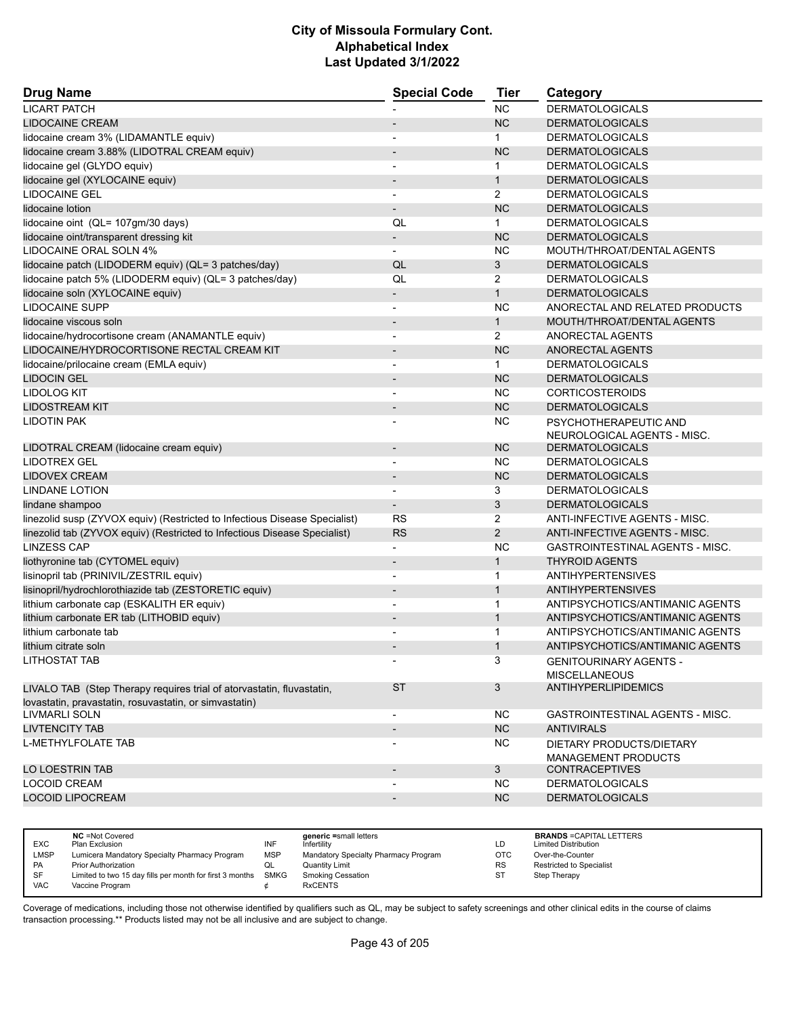| <b>Drug Name</b>                                                           | <b>Special Code</b>      | <b>Tier</b>    | Category                               |
|----------------------------------------------------------------------------|--------------------------|----------------|----------------------------------------|
| <b>LICART PATCH</b>                                                        |                          | <b>NC</b>      | <b>DERMATOLOGICALS</b>                 |
| <b>LIDOCAINE CREAM</b>                                                     |                          | <b>NC</b>      | <b>DERMATOLOGICALS</b>                 |
| lidocaine cream 3% (LIDAMANTLE equiv)                                      |                          | $\mathbf{1}$   | <b>DERMATOLOGICALS</b>                 |
| lidocaine cream 3.88% (LIDOTRAL CREAM equiv)                               | $\overline{\phantom{a}}$ | <b>NC</b>      | <b>DERMATOLOGICALS</b>                 |
| lidocaine gel (GLYDO equiv)                                                |                          | $\mathbf 1$    | <b>DERMATOLOGICALS</b>                 |
| lidocaine gel (XYLOCAINE equiv)                                            |                          | $\mathbf{1}$   | <b>DERMATOLOGICALS</b>                 |
| <b>LIDOCAINE GEL</b>                                                       | $\blacksquare$           | 2              | <b>DERMATOLOGICALS</b>                 |
| lidocaine lotion                                                           |                          | <b>NC</b>      | <b>DERMATOLOGICALS</b>                 |
| lidocaine oint (QL= 107gm/30 days)                                         | QL                       | $\mathbf{1}$   | <b>DERMATOLOGICALS</b>                 |
| lidocaine oint/transparent dressing kit                                    | $\overline{\phantom{a}}$ | <b>NC</b>      | <b>DERMATOLOGICALS</b>                 |
| LIDOCAINE ORAL SOLN 4%                                                     | $\overline{\phantom{a}}$ | <b>NC</b>      | MOUTH/THROAT/DENTAL AGENTS             |
| lidocaine patch (LIDODERM equiv) (QL= 3 patches/day)                       | QL                       | 3              | <b>DERMATOLOGICALS</b>                 |
| lidocaine patch 5% (LIDODERM equiv) (QL= 3 patches/day)                    | QL                       | 2              | <b>DERMATOLOGICALS</b>                 |
| lidocaine soln (XYLOCAINE equiv)                                           | $\overline{\phantom{a}}$ | $\mathbf{1}$   | <b>DERMATOLOGICALS</b>                 |
| <b>LIDOCAINE SUPP</b>                                                      |                          | <b>NC</b>      | ANORECTAL AND RELATED PRODUCTS         |
| lidocaine viscous soln                                                     |                          | $\mathbf{1}$   | MOUTH/THROAT/DENTAL AGENTS             |
| lidocaine/hydrocortisone cream (ANAMANTLE equiv)                           | $\overline{a}$           | $\overline{2}$ | ANORECTAL AGENTS                       |
| LIDOCAINE/HYDROCORTISONE RECTAL CREAM KIT                                  | $\overline{\phantom{a}}$ | <b>NC</b>      | <b>ANORECTAL AGENTS</b>                |
| lidocaine/prilocaine cream (EMLA equiv)                                    |                          | $\mathbf{1}$   | <b>DERMATOLOGICALS</b>                 |
| <b>LIDOCIN GEL</b>                                                         | $\overline{\phantom{a}}$ | <b>NC</b>      | <b>DERMATOLOGICALS</b>                 |
| <b>LIDOLOG KIT</b>                                                         | $\overline{\phantom{a}}$ | <b>NC</b>      | <b>CORTICOSTEROIDS</b>                 |
| <b>LIDOSTREAM KIT</b>                                                      |                          | <b>NC</b>      | <b>DERMATOLOGICALS</b>                 |
| LIDOTIN PAK                                                                |                          | <b>NC</b>      | PSYCHOTHERAPEUTIC AND                  |
|                                                                            |                          |                | NEUROLOGICAL AGENTS - MISC.            |
| LIDOTRAL CREAM (lidocaine cream equiv)                                     | $\overline{\phantom{a}}$ | <b>NC</b>      | <b>DERMATOLOGICALS</b>                 |
| <b>LIDOTREX GEL</b>                                                        | $\overline{\phantom{a}}$ | <b>NC</b>      | <b>DERMATOLOGICALS</b>                 |
| <b>LIDOVEX CREAM</b>                                                       |                          | <b>NC</b>      | <b>DERMATOLOGICALS</b>                 |
| LINDANE LOTION                                                             | $\overline{\phantom{a}}$ | 3              | <b>DERMATOLOGICALS</b>                 |
| lindane shampoo                                                            | $\overline{\phantom{a}}$ | 3              | <b>DERMATOLOGICALS</b>                 |
| linezolid susp (ZYVOX equiv) (Restricted to Infectious Disease Specialist) | <b>RS</b>                | 2              | ANTI-INFECTIVE AGENTS - MISC.          |
| linezolid tab (ZYVOX equiv) (Restricted to Infectious Disease Specialist)  | <b>RS</b>                | $\overline{2}$ | ANTI-INFECTIVE AGENTS - MISC.          |
| <b>LINZESS CAP</b>                                                         | $\blacksquare$           | <b>NC</b>      | <b>GASTROINTESTINAL AGENTS - MISC.</b> |
| liothyronine tab (CYTOMEL equiv)                                           |                          | 1              | <b>THYROID AGENTS</b>                  |
| lisinopril tab (PRINIVIL/ZESTRIL equiv)                                    | $\overline{\phantom{a}}$ | $\mathbf{1}$   | <b>ANTIHYPERTENSIVES</b>               |
| lisinopril/hydrochlorothiazide tab (ZESTORETIC equiv)                      | $\overline{\phantom{a}}$ | $\mathbf{1}$   | <b>ANTIHYPERTENSIVES</b>               |
| lithium carbonate cap (ESKALITH ER equiv)                                  |                          | $\mathbf 1$    | ANTIPSYCHOTICS/ANTIMANIC AGENTS        |
| lithium carbonate ER tab (LITHOBID equiv)                                  |                          | $\mathbf{1}$   | ANTIPSYCHOTICS/ANTIMANIC AGENTS        |
| lithium carbonate tab                                                      |                          | $\mathbf{1}$   | ANTIPSYCHOTICS/ANTIMANIC AGENTS        |
| lithium citrate soln                                                       |                          | $\mathbf{1}$   | ANTIPSYCHOTICS/ANTIMANIC AGENTS        |
| <b>LITHOSTAT TAB</b>                                                       |                          | 3              | <b>GENITOURINARY AGENTS -</b>          |
|                                                                            |                          |                | <b>MISCELLANEOUS</b>                   |
| LIVALO TAB (Step Therapy requires trial of atorvastatin, fluvastatin,      | <b>ST</b>                | 3              | <b>ANTIHYPERLIPIDEMICS</b>             |
| lovastatin, pravastatin, rosuvastatin, or simvastatin)                     |                          |                |                                        |
| LIVMARLI SOLN                                                              | $\overline{\phantom{a}}$ | NC.            | GASTROINTESTINAL AGENTS - MISC.        |
| <b>LIVTENCITY TAB</b>                                                      | $\overline{\phantom{a}}$ | NC             | <b>ANTIVIRALS</b>                      |
| L-METHYLFOLATE TAB                                                         |                          | NC.            | DIETARY PRODUCTS/DIETARY               |
|                                                                            |                          |                | <b>MANAGEMENT PRODUCTS</b>             |
| LO LOESTRIN TAB                                                            | $\overline{\phantom{a}}$ | 3              | <b>CONTRACEPTIVES</b>                  |
| <b>LOCOID CREAM</b>                                                        |                          | NC.            | <b>DERMATOLOGICALS</b>                 |
| <b>LOCOID LIPOCREAM</b>                                                    | $\overline{\phantom{a}}$ | NC             | <b>DERMATOLOGICALS</b>                 |
|                                                                            |                          |                |                                        |

| <b>EXC</b> | <b>NC</b> = Not Covered<br>Plan Exclusion                     | INF | generic =small letters<br>Infertility | LD         | <b>BRANDS = CAPITAL LETTERS</b><br><b>Limited Distribution</b> |
|------------|---------------------------------------------------------------|-----|---------------------------------------|------------|----------------------------------------------------------------|
| LMSP       | Lumicera Mandatory Specialty Pharmacy Program                 | MSP | Mandatory Specialty Pharmacy Program  | <b>OTC</b> | Over-the-Counter                                               |
| <b>PA</b>  | <b>Prior Authorization</b>                                    | QL  | <b>Quantity Limit</b>                 | <b>RS</b>  | Restricted to Specialist                                       |
| SF         | Limited to two 15 day fills per month for first 3 months SMKG |     | <b>Smoking Cessation</b>              | ST         | Step Therapy                                                   |
| <b>VAC</b> | Vaccine Program                                               |     | <b>RxCENTS</b>                        |            |                                                                |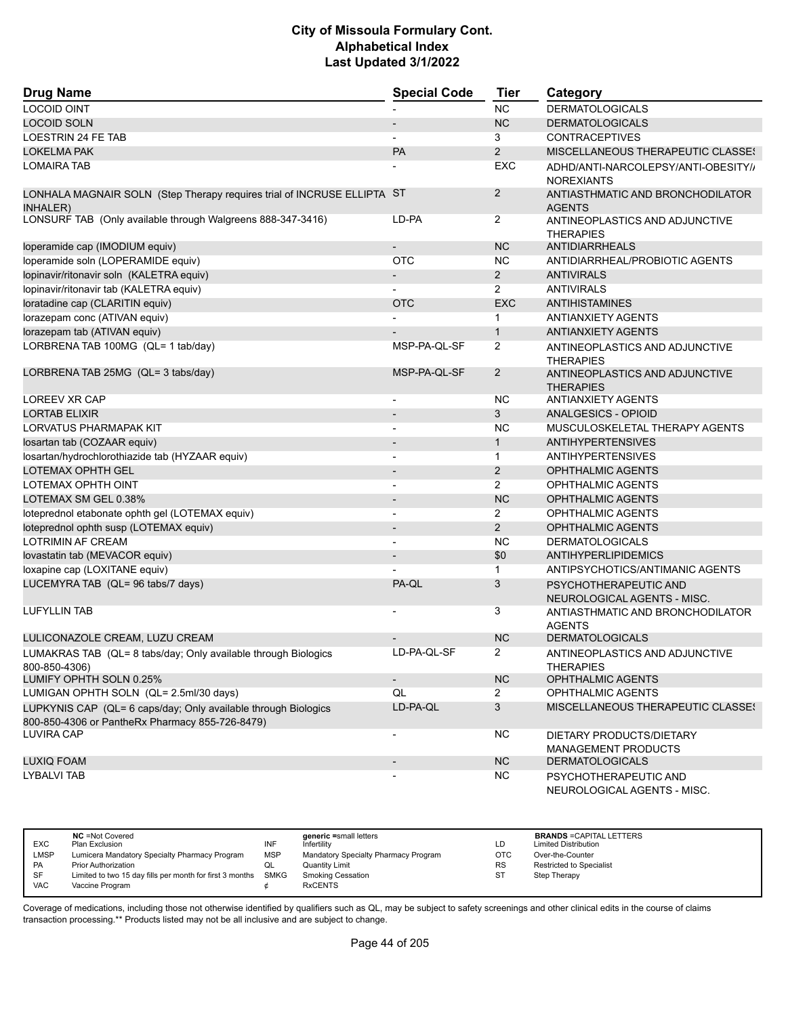| <b>Drug Name</b>                                                                                                  | <b>Special Code</b>      | <b>Tier</b>    | Category                                                 |
|-------------------------------------------------------------------------------------------------------------------|--------------------------|----------------|----------------------------------------------------------|
| <b>LOCOID OINT</b>                                                                                                |                          | <b>NC</b>      | <b>DERMATOLOGICALS</b>                                   |
| <b>LOCOID SOLN</b>                                                                                                |                          | <b>NC</b>      | <b>DERMATOLOGICALS</b>                                   |
| LOESTRIN 24 FE TAB                                                                                                |                          | 3              | <b>CONTRACEPTIVES</b>                                    |
| <b>LOKELMA PAK</b>                                                                                                | PA                       | $\overline{2}$ | <b>MISCELLANEOUS THERAPEUTIC CLASSES</b>                 |
| <b>LOMAIRA TAB</b>                                                                                                |                          | <b>EXC</b>     | ADHD/ANTI-NARCOLEPSY/ANTI-OBESITY//<br><b>NOREXIANTS</b> |
| LONHALA MAGNAIR SOLN (Step Therapy requires trial of INCRUSE ELLIPTA ST<br><b>INHALER)</b>                        |                          | $\overline{2}$ | ANTIASTHMATIC AND BRONCHODILATOR<br><b>AGENTS</b>        |
| LONSURF TAB (Only available through Walgreens 888-347-3416)                                                       | LD-PA                    | $\overline{2}$ | ANTINEOPLASTICS AND ADJUNCTIVE<br><b>THERAPIES</b>       |
| loperamide cap (IMODIUM equiv)                                                                                    |                          | <b>NC</b>      | <b>ANTIDIARRHEALS</b>                                    |
| loperamide soln (LOPERAMIDE equiv)                                                                                | <b>OTC</b>               | <b>NC</b>      | ANTIDIARRHEAL/PROBIOTIC AGENTS                           |
| lopinavir/ritonavir soln (KALETRA equiv)                                                                          | $\overline{\phantom{a}}$ | $\overline{2}$ | <b>ANTIVIRALS</b>                                        |
| lopinavir/ritonavir tab (KALETRA equiv)                                                                           |                          | $\overline{2}$ | <b>ANTIVIRALS</b>                                        |
| loratadine cap (CLARITIN equiv)                                                                                   | <b>OTC</b>               | <b>EXC</b>     | ANTIHISTAMINES                                           |
| lorazepam conc (ATIVAN equiv)                                                                                     |                          | 1              | <b>ANTIANXIETY AGENTS</b>                                |
| lorazepam tab (ATIVAN equiv)                                                                                      |                          | $\mathbf{1}$   | <b>ANTIANXIETY AGENTS</b>                                |
| LORBRENA TAB 100MG (QL= 1 tab/day)                                                                                | MSP-PA-QL-SF             | 2              | ANTINEOPLASTICS AND ADJUNCTIVE<br><b>THERAPIES</b>       |
| LORBRENA TAB 25MG (QL= 3 tabs/day)                                                                                | MSP-PA-QL-SF             | $\overline{2}$ | ANTINEOPLASTICS AND ADJUNCTIVE<br><b>THERAPIES</b>       |
| LOREEV XR CAP                                                                                                     | $\overline{\phantom{a}}$ | <b>NC</b>      | <b>ANTIANXIETY AGENTS</b>                                |
| <b>LORTAB ELIXIR</b>                                                                                              | $\overline{\phantom{a}}$ | 3              | ANALGESICS - OPIOID                                      |
| <b>LORVATUS PHARMAPAK KIT</b>                                                                                     |                          | <b>NC</b>      | MUSCULOSKELETAL THERAPY AGENTS                           |
| Iosartan tab (COZAAR equiv)                                                                                       |                          | $\mathbf{1}$   | <b>ANTIHYPERTENSIVES</b>                                 |
| losartan/hydrochlorothiazide tab (HYZAAR equiv)                                                                   | $\overline{a}$           | $\mathbf{1}$   | <b>ANTIHYPERTENSIVES</b>                                 |
| LOTEMAX OPHTH GEL                                                                                                 |                          | 2              | <b>OPHTHALMIC AGENTS</b>                                 |
| LOTEMAX OPHTH OINT                                                                                                | $\blacksquare$           | 2              | OPHTHALMIC AGENTS                                        |
| LOTEMAX SM GEL 0.38%                                                                                              | $\blacksquare$           | <b>NC</b>      | <b>OPHTHALMIC AGENTS</b>                                 |
| loteprednol etabonate ophth gel (LOTEMAX equiv)                                                                   | $\blacksquare$           | $\overline{2}$ | OPHTHALMIC AGENTS                                        |
| loteprednol ophth susp (LOTEMAX equiv)                                                                            | $\overline{\phantom{a}}$ | 2              | <b>OPHTHALMIC AGENTS</b>                                 |
| <b>LOTRIMIN AF CREAM</b>                                                                                          |                          | <b>NC</b>      | <b>DERMATOLOGICALS</b>                                   |
| lovastatin tab (MEVACOR equiv)                                                                                    |                          | \$0            | <b>ANTIHYPERLIPIDEMICS</b>                               |
| loxapine cap (LOXITANE equiv)                                                                                     |                          | 1              | ANTIPSYCHOTICS/ANTIMANIC AGENTS                          |
| LUCEMYRA TAB (QL= 96 tabs/7 days)                                                                                 | PA-QL                    | 3              | PSYCHOTHERAPEUTIC AND<br>NEUROLOGICAL AGENTS - MISC.     |
| <b>LUFYLLIN TAB</b>                                                                                               |                          | 3              | ANTIASTHMATIC AND BRONCHODILATOR<br><b>AGENTS</b>        |
| LULICONAZOLE CREAM, LUZU CREAM                                                                                    |                          | <b>NC</b>      | <b>DERMATOLOGICALS</b>                                   |
| LUMAKRAS TAB (QL= 8 tabs/day; Only available through Biologics<br>800-850-4306)                                   | LD-PA-QL-SF              | $\overline{2}$ | ANTINEOPLASTICS AND ADJUNCTIVE<br><b>THERAPIES</b>       |
| LUMIFY OPHTH SOLN 0.25%                                                                                           | $\overline{\phantom{a}}$ | NC             | <b>OPHTHALMIC AGENTS</b>                                 |
| LUMIGAN OPHTH SOLN (QL= 2.5ml/30 days)                                                                            | QL                       | 2              | <b>OPHTHALMIC AGENTS</b>                                 |
| LUPKYNIS CAP (QL= 6 caps/day; Only available through Biologics<br>800-850-4306 or PantheRx Pharmacy 855-726-8479) | LD-PA-QL                 | 3              | <b>MISCELLANEOUS THERAPEUTIC CLASSES</b>                 |
| <b>LUVIRA CAP</b>                                                                                                 |                          | <b>NC</b>      | DIETARY PRODUCTS/DIETARY<br><b>MANAGEMENT PRODUCTS</b>   |
| <b>LUXIQ FOAM</b>                                                                                                 |                          | <b>NC</b>      | <b>DERMATOLOGICALS</b>                                   |
| <b>LYBALVI TAB</b>                                                                                                |                          | <b>NC</b>      | PSYCHOTHERAPEUTIC AND<br>NEUROLOGICAL AGENTS - MISC.     |

|            | <b>NC</b> = Not Covered                                       |            | generic =small letters               |           | <b>BRANDS = CAPITAL LETTERS</b> |
|------------|---------------------------------------------------------------|------------|--------------------------------------|-----------|---------------------------------|
| <b>EXC</b> | Plan Exclusion                                                | INF        | Infertility                          | LD        | <b>Limited Distribution</b>     |
| LMSP       | Lumicera Mandatory Specialty Pharmacy Program                 | <b>MSP</b> | Mandatory Specialty Pharmacy Program | ОТС       | Over-the-Counter                |
| PA         | Prior Authorization                                           | QL         | <b>Quantity Limit</b>                | <b>RS</b> | <b>Restricted to Specialist</b> |
| SF         | Limited to two 15 day fills per month for first 3 months SMKG |            | <b>Smoking Cessation</b>             | ST        | Step Therapy                    |
| VAC        | Vaccine Program                                               |            | <b>RxCENTS</b>                       |           |                                 |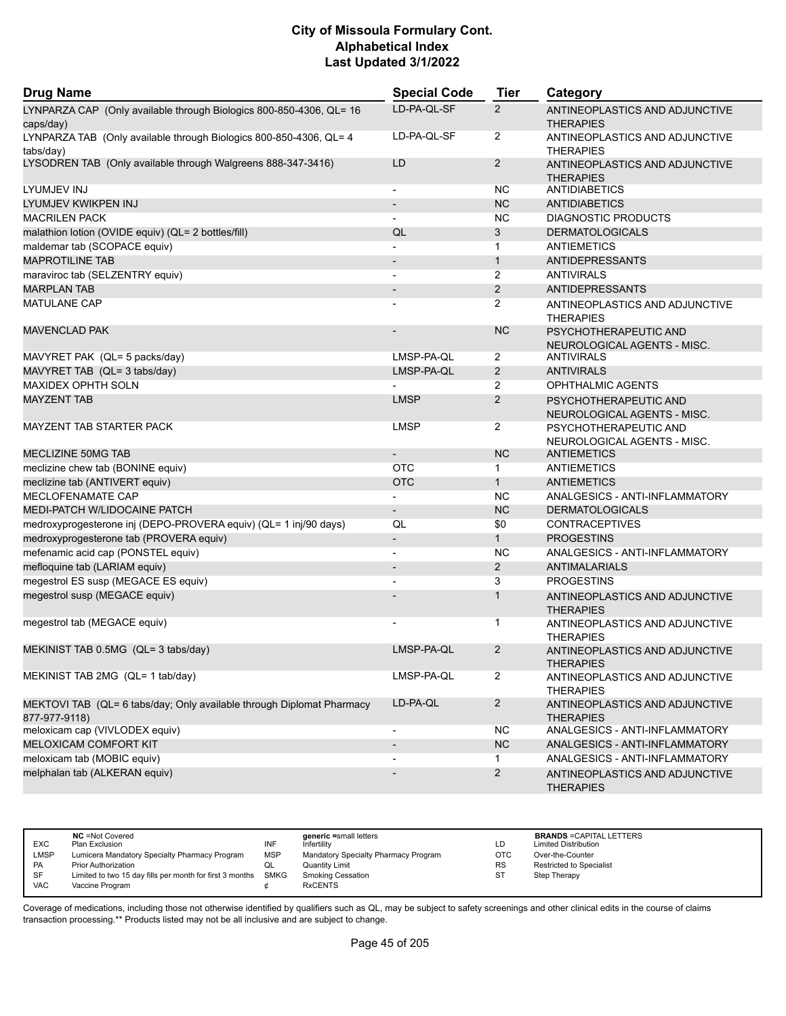| <b>Drug Name</b>                                                                       | <b>Special Code</b>      | <b>Tier</b>    | Category                                             |
|----------------------------------------------------------------------------------------|--------------------------|----------------|------------------------------------------------------|
| LYNPARZA CAP (Only available through Biologics 800-850-4306, QL= 16<br>caps/day)       | LD-PA-QL-SF              | $\overline{2}$ | ANTINEOPLASTICS AND ADJUNCTIVE<br><b>THERAPIES</b>   |
| LYNPARZA TAB (Only available through Biologics 800-850-4306, QL= 4<br>tabs/day)        | LD-PA-QL-SF              | $\overline{2}$ | ANTINEOPLASTICS AND ADJUNCTIVE<br><b>THERAPIES</b>   |
| LYSODREN TAB (Only available through Walgreens 888-347-3416)                           | LD                       | $\overline{2}$ | ANTINEOPLASTICS AND ADJUNCTIVE<br><b>THERAPIES</b>   |
| LYUMJEV INJ                                                                            | $\overline{\phantom{a}}$ | <b>NC</b>      | <b>ANTIDIABETICS</b>                                 |
| LYUMJEV KWIKPEN INJ                                                                    | $\overline{\phantom{a}}$ | <b>NC</b>      | <b>ANTIDIABETICS</b>                                 |
| <b>MACRILEN PACK</b>                                                                   |                          | <b>NC</b>      | DIAGNOSTIC PRODUCTS                                  |
| malathion lotion (OVIDE equiv) (QL= 2 bottles/fill)                                    | QL                       | 3              | <b>DERMATOLOGICALS</b>                               |
| maldemar tab (SCOPACE equiv)                                                           |                          | 1              | <b>ANTIEMETICS</b>                                   |
| <b>MAPROTILINE TAB</b>                                                                 |                          | $\mathbf{1}$   | <b>ANTIDEPRESSANTS</b>                               |
| maraviroc tab (SELZENTRY equiv)                                                        |                          | $\overline{2}$ | <b>ANTIVIRALS</b>                                    |
| <b>MARPLAN TAB</b>                                                                     | $\overline{\phantom{a}}$ | $\overline{2}$ | <b>ANTIDEPRESSANTS</b>                               |
| <b>MATULANE CAP</b>                                                                    |                          | $\overline{2}$ | ANTINEOPLASTICS AND ADJUNCTIVE<br><b>THERAPIES</b>   |
| <b>MAVENCLAD PAK</b>                                                                   |                          | <b>NC</b>      | PSYCHOTHERAPEUTIC AND<br>NEUROLOGICAL AGENTS - MISC. |
| MAVYRET PAK (QL= 5 packs/day)                                                          | LMSP-PA-QL               | $\overline{2}$ | ANTIVIRALS                                           |
| MAVYRET TAB (QL= 3 tabs/day)                                                           | LMSP-PA-QL               | 2              | <b>ANTIVIRALS</b>                                    |
| <b>MAXIDEX OPHTH SOLN</b>                                                              |                          | $\overline{2}$ | <b>OPHTHALMIC AGENTS</b>                             |
| <b>MAYZENT TAB</b>                                                                     | <b>LMSP</b>              | 2              | PSYCHOTHERAPEUTIC AND<br>NEUROLOGICAL AGENTS - MISC. |
| MAYZENT TAB STARTER PACK                                                               | <b>LMSP</b>              | $\overline{2}$ | PSYCHOTHERAPEUTIC AND<br>NEUROLOGICAL AGENTS - MISC. |
| MECLIZINE 50MG TAB                                                                     |                          | <b>NC</b>      | <b>ANTIEMETICS</b>                                   |
| meclizine chew tab (BONINE equiv)                                                      | <b>OTC</b>               | 1              | ANTIEMETICS                                          |
| meclizine tab (ANTIVERT equiv)                                                         | <b>OTC</b>               | $\mathbf{1}$   | <b>ANTIEMETICS</b>                                   |
| MECLOFENAMATE CAP                                                                      |                          | <b>NC</b>      | ANALGESICS - ANTI-INFLAMMATORY                       |
| MEDI-PATCH W/LIDOCAINE PATCH                                                           | $\overline{\phantom{a}}$ | NC             | <b>DERMATOLOGICALS</b>                               |
| medroxyprogesterone inj (DEPO-PROVERA equiv) (QL= 1 inj/90 days)                       | QL                       | \$0            | <b>CONTRACEPTIVES</b>                                |
| medroxyprogesterone tab (PROVERA equiv)                                                | $\overline{\phantom{a}}$ | 1              | <b>PROGESTINS</b>                                    |
| mefenamic acid cap (PONSTEL equiv)                                                     | $\overline{\phantom{a}}$ | <b>NC</b>      | ANALGESICS - ANTI-INFLAMMATORY                       |
| mefloquine tab (LARIAM equiv)                                                          |                          | $\overline{2}$ | ANTIMALARIALS                                        |
| megestrol ES susp (MEGACE ES equiv)                                                    | $\blacksquare$           | 3              | <b>PROGESTINS</b>                                    |
| megestrol susp (MEGACE equiv)                                                          |                          | $\mathbf{1}$   | ANTINEOPLASTICS AND ADJUNCTIVE<br><b>THERAPIES</b>   |
| megestrol tab (MEGACE equiv)                                                           |                          | 1              | ANTINEOPLASTICS AND ADJUNCTIVE<br><b>THERAPIES</b>   |
| MEKINIST TAB 0.5MG (QL= 3 tabs/day)                                                    | LMSP-PA-QL               | $\overline{2}$ | ANTINEOPLASTICS AND ADJUNCTIVE<br><b>THERAPIES</b>   |
| MEKINIST TAB 2MG (QL= 1 tab/day)                                                       | LMSP-PA-QL               | $\overline{2}$ | ANTINEOPLASTICS AND ADJUNCTIVE<br><b>THERAPIES</b>   |
| MEKTOVI TAB (QL= 6 tabs/day; Only available through Diplomat Pharmacy<br>877-977-9118) | LD-PA-QL                 | $\overline{2}$ | ANTINEOPLASTICS AND ADJUNCTIVE<br><b>THERAPIES</b>   |
| meloxicam cap (VIVLODEX equiv)                                                         | $\overline{\phantom{a}}$ | <b>NC</b>      | ANALGESICS - ANTI-INFLAMMATORY                       |
| MELOXICAM COMFORT KIT                                                                  |                          | NC             | ANALGESICS - ANTI-INFLAMMATORY                       |
| meloxicam tab (MOBIC equiv)                                                            |                          | 1              | ANALGESICS - ANTI-INFLAMMATORY                       |
| melphalan tab (ALKERAN equiv)                                                          |                          | $\overline{2}$ | ANTINEOPLASTICS AND ADJUNCTIVE<br><b>THERAPIES</b>   |

|             | <b>NC</b> = Not Covered                                       |            | generic =small letters               |           | <b>BRANDS = CAPITAL LETTERS</b> |
|-------------|---------------------------------------------------------------|------------|--------------------------------------|-----------|---------------------------------|
| <b>EXC</b>  | Plan Exclusion                                                | INF        | Infertility                          | LD        | <b>Limited Distribution</b>     |
| <b>LMSP</b> | Lumicera Mandatory Specialty Pharmacy Program                 | <b>MSP</b> | Mandatory Specialty Pharmacy Program | OTC       | Over-the-Counter                |
| <b>PA</b>   | <b>Prior Authorization</b>                                    | QL         | <b>Quantity Limit</b>                | <b>RS</b> | <b>Restricted to Specialist</b> |
| SF          | Limited to two 15 day fills per month for first 3 months SMKG |            | <b>Smoking Cessation</b>             | ST        | Step Therapy                    |
| <b>VAC</b>  | Vaccine Program                                               |            | <b>RxCENTS</b>                       |           |                                 |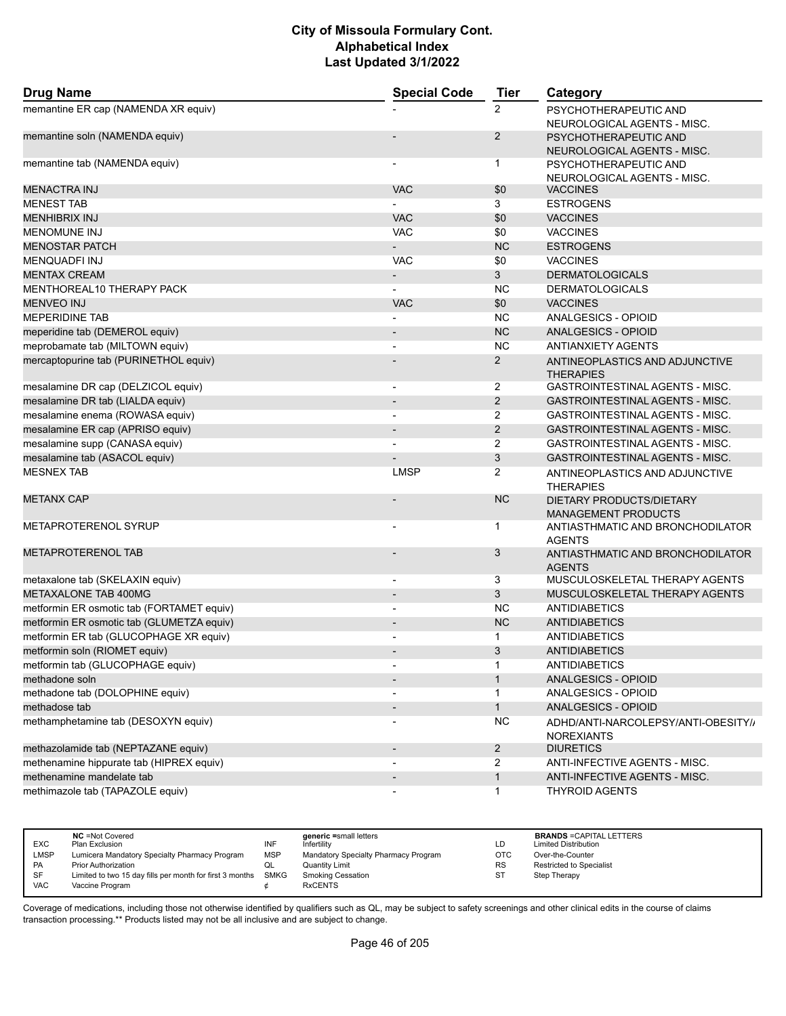| <b>Drug Name</b>                          | <b>Special Code</b>          | <b>Tier</b>    | Category                                                 |
|-------------------------------------------|------------------------------|----------------|----------------------------------------------------------|
| memantine ER cap (NAMENDA XR equiv)       |                              | $\overline{2}$ | PSYCHOTHERAPEUTIC AND<br>NEUROLOGICAL AGENTS - MISC.     |
| memantine soln (NAMENDA equiv)            |                              | $\overline{2}$ | PSYCHOTHERAPEUTIC AND<br>NEUROLOGICAL AGENTS - MISC.     |
| memantine tab (NAMENDA equiv)             | $\qquad \qquad \blacksquare$ | $\mathbf 1$    | PSYCHOTHERAPEUTIC AND<br>NEUROLOGICAL AGENTS - MISC.     |
| <b>MENACTRA INJ</b>                       | <b>VAC</b>                   | \$0            | <b>VACCINES</b>                                          |
| <b>MENEST TAB</b>                         |                              | 3              | <b>ESTROGENS</b>                                         |
| <b>MENHIBRIX INJ</b>                      | <b>VAC</b>                   | \$0            | <b>VACCINES</b>                                          |
| <b>MENOMUNE INJ</b>                       | <b>VAC</b>                   | \$0            | <b>VACCINES</b>                                          |
| <b>MENOSTAR PATCH</b>                     |                              | <b>NC</b>      | <b>ESTROGENS</b>                                         |
| <b>MENQUADFI INJ</b>                      | <b>VAC</b>                   | \$0            | <b>VACCINES</b>                                          |
| <b>MENTAX CREAM</b>                       | $\overline{\phantom{a}}$     | 3              | <b>DERMATOLOGICALS</b>                                   |
| MENTHOREAL10 THERAPY PACK                 | $\overline{\phantom{0}}$     | <b>NC</b>      | <b>DERMATOLOGICALS</b>                                   |
| <b>MENVEO INJ</b>                         | <b>VAC</b>                   | \$0            | <b>VACCINES</b>                                          |
| <b>MEPERIDINE TAB</b>                     | $\overline{a}$               | <b>NC</b>      | ANALGESICS - OPIOID                                      |
| meperidine tab (DEMEROL equiv)            | $\qquad \qquad \blacksquare$ | <b>NC</b>      | <b>ANALGESICS - OPIOID</b>                               |
| meprobamate tab (MILTOWN equiv)           | $\overline{a}$               | <b>NC</b>      | <b>ANTIANXIETY AGENTS</b>                                |
| mercaptopurine tab (PURINETHOL equiv)     |                              | $\overline{2}$ | ANTINEOPLASTICS AND ADJUNCTIVE<br><b>THERAPIES</b>       |
| mesalamine DR cap (DELZICOL equiv)        | $\overline{\phantom{m}}$     | $\overline{2}$ | GASTROINTESTINAL AGENTS - MISC.                          |
| mesalamine DR tab (LIALDA equiv)          | $\overline{\phantom{m}}$     | 2              | <b>GASTROINTESTINAL AGENTS - MISC.</b>                   |
| mesalamine enema (ROWASA equiv)           | $\overline{a}$               | $\overline{2}$ | GASTROINTESTINAL AGENTS - MISC.                          |
| mesalamine ER cap (APRISO equiv)          | $\blacksquare$               | $\overline{2}$ | <b>GASTROINTESTINAL AGENTS - MISC.</b>                   |
| mesalamine supp (CANASA equiv)            |                              | $\overline{2}$ | GASTROINTESTINAL AGENTS - MISC.                          |
| mesalamine tab (ASACOL equiv)             |                              | 3              | <b>GASTROINTESTINAL AGENTS - MISC.</b>                   |
| <b>MESNEX TAB</b>                         | <b>LMSP</b>                  | $\overline{2}$ | ANTINEOPLASTICS AND ADJUNCTIVE<br><b>THERAPIES</b>       |
| <b>METANX CAP</b>                         |                              | <b>NC</b>      | DIETARY PRODUCTS/DIETARY<br><b>MANAGEMENT PRODUCTS</b>   |
| <b>METAPROTERENOL SYRUP</b>               |                              | $\mathbf{1}$   | ANTIASTHMATIC AND BRONCHODILATOR<br><b>AGENTS</b>        |
| <b>METAPROTERENOL TAB</b>                 |                              | 3              | ANTIASTHMATIC AND BRONCHODILATOR<br><b>AGENTS</b>        |
| metaxalone tab (SKELAXIN equiv)           | $\overline{\phantom{a}}$     | 3              | MUSCULOSKELETAL THERAPY AGENTS                           |
| <b>METAXALONE TAB 400MG</b>               | $\overline{\phantom{m}}$     | 3              | MUSCULOSKELETAL THERAPY AGENTS                           |
| metformin ER osmotic tab (FORTAMET equiv) | $\blacksquare$               | <b>NC</b>      | <b>ANTIDIABETICS</b>                                     |
| metformin ER osmotic tab (GLUMETZA equiv) | $\overline{\phantom{a}}$     | <b>NC</b>      | <b>ANTIDIABETICS</b>                                     |
| metformin ER tab (GLUCOPHAGE XR equiv)    |                              | $\mathbf 1$    | <b>ANTIDIABETICS</b>                                     |
| metformin soln (RIOMET equiv)             |                              | 3              | <b>ANTIDIABETICS</b>                                     |
| metformin tab (GLUCOPHAGE equiv)          |                              | 1              | <b>ANTIDIABETICS</b>                                     |
| methadone soln                            | $\overline{\phantom{a}}$     | $\mathbf{1}$   | ANALGESICS - OPIOID                                      |
| methadone tab (DOLOPHINE equiv)           |                              | 1              | ANALGESICS - OPIOID                                      |
| methadose tab                             |                              | $\mathbf{1}$   | ANALGESICS - OPIOID                                      |
| methamphetamine tab (DESOXYN equiv)       | $\blacksquare$               | <b>NC</b>      | ADHD/ANTI-NARCOLEPSY/ANTI-OBESITY//<br><b>NOREXIANTS</b> |
| methazolamide tab (NEPTAZANE equiv)       | $\overline{\phantom{a}}$     | $\overline{2}$ | <b>DIURETICS</b>                                         |
| methenamine hippurate tab (HIPREX equiv)  | $\overline{\phantom{a}}$     | 2              | ANTI-INFECTIVE AGENTS - MISC.                            |
| methenamine mandelate tab                 |                              | $\mathbf{1}$   | <b>ANTI-INFECTIVE AGENTS - MISC.</b>                     |
| methimazole tab (TAPAZOLE equiv)          |                              | $\mathbf{1}$   | <b>THYROID AGENTS</b>                                    |

| <b>EXC</b>  | <b>NC</b> = Not Covered<br>Plan Exclusion                     | INF        | generic =small letters<br>Infertility | LD        | <b>BRANDS = CAPITAL LETTERS</b><br><b>Limited Distribution</b> |
|-------------|---------------------------------------------------------------|------------|---------------------------------------|-----------|----------------------------------------------------------------|
| <b>LMSP</b> | Lumicera Mandatory Specialty Pharmacy Program                 | <b>MSP</b> | Mandatory Specialty Pharmacy Program  | OTC       | Over-the-Counter                                               |
| PA          | <b>Prior Authorization</b>                                    | w∟         | Quantity Limit                        | <b>RS</b> | Restricted to Specialist                                       |
| <b>SF</b>   | Limited to two 15 day fills per month for first 3 months SMKG |            | <b>Smoking Cessation</b>              | SТ        | Step Therapy                                                   |
| VAC         | Vaccine Program                                               |            | <b>RxCENTS</b>                        |           |                                                                |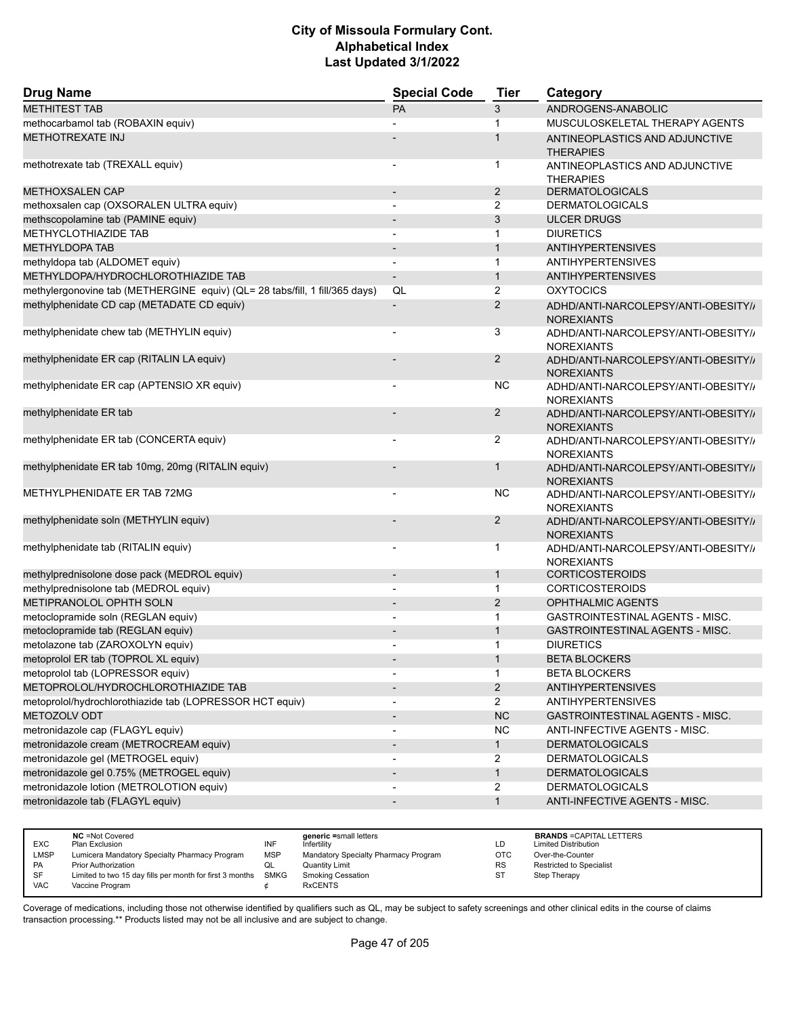| <b>Drug Name</b>                                                            | <b>Special Code</b>      | <b>Tier</b>    | Category                                                 |
|-----------------------------------------------------------------------------|--------------------------|----------------|----------------------------------------------------------|
| <b>METHITEST TAB</b>                                                        | PA                       | 3              | ANDROGENS-ANABOLIC                                       |
| methocarbamol tab (ROBAXIN equiv)                                           |                          | 1              | MUSCULOSKELETAL THERAPY AGENTS                           |
| <b>METHOTREXATE INJ</b>                                                     |                          | 1              | ANTINEOPLASTICS AND ADJUNCTIVE<br><b>THERAPIES</b>       |
| methotrexate tab (TREXALL equiv)                                            |                          | $\mathbf{1}$   | ANTINEOPLASTICS AND ADJUNCTIVE<br><b>THERAPIES</b>       |
| <b>METHOXSALEN CAP</b>                                                      | $\overline{\phantom{a}}$ | $\overline{2}$ | <b>DERMATOLOGICALS</b>                                   |
| methoxsalen cap (OXSORALEN ULTRA equiv)                                     |                          | 2              | <b>DERMATOLOGICALS</b>                                   |
| methscopolamine tab (PAMINE equiv)                                          |                          | 3              | <b>ULCER DRUGS</b>                                       |
| METHYCLOTHIAZIDE TAB                                                        |                          | 1              | <b>DIURETICS</b>                                         |
| <b>METHYLDOPA TAB</b>                                                       |                          | $\mathbf{1}$   | <b>ANTIHYPERTENSIVES</b>                                 |
| methyldopa tab (ALDOMET equiv)                                              |                          | $\mathbf{1}$   | <b>ANTIHYPERTENSIVES</b>                                 |
| METHYLDOPA/HYDROCHLOROTHIAZIDE TAB                                          |                          | $\mathbf{1}$   | <b>ANTIHYPERTENSIVES</b>                                 |
| methylergonovine tab (METHERGINE equiv) (QL= 28 tabs/fill, 1 fill/365 days) | QL                       | $\overline{2}$ | <b>OXYTOCICS</b>                                         |
| methylphenidate CD cap (METADATE CD equiv)                                  |                          | 2              | ADHD/ANTI-NARCOLEPSY/ANTI-OBESITY//<br><b>NOREXIANTS</b> |
| methylphenidate chew tab (METHYLIN equiv)                                   |                          | 3              | ADHD/ANTI-NARCOLEPSY/ANTI-OBESITY//<br><b>NOREXIANTS</b> |
| methylphenidate ER cap (RITALIN LA equiv)                                   |                          | $\overline{2}$ | ADHD/ANTI-NARCOLEPSY/ANTI-OBESITY//<br><b>NOREXIANTS</b> |
| methylphenidate ER cap (APTENSIO XR equiv)                                  |                          | <b>NC</b>      | ADHD/ANTI-NARCOLEPSY/ANTI-OBESITY//<br><b>NOREXIANTS</b> |
| methylphenidate ER tab                                                      |                          | $\overline{2}$ | ADHD/ANTI-NARCOLEPSY/ANTI-OBESITY//<br><b>NOREXIANTS</b> |
| methylphenidate ER tab (CONCERTA equiv)                                     |                          | 2              | ADHD/ANTI-NARCOLEPSY/ANTI-OBESITY//<br><b>NOREXIANTS</b> |
| methylphenidate ER tab 10mg, 20mg (RITALIN equiv)                           |                          | $\mathbf{1}$   | ADHD/ANTI-NARCOLEPSY/ANTI-OBESITY//<br><b>NOREXIANTS</b> |
| METHYLPHENIDATE ER TAB 72MG                                                 |                          | <b>NC</b>      | ADHD/ANTI-NARCOLEPSY/ANTI-OBESITY//<br><b>NOREXIANTS</b> |
| methylphenidate soln (METHYLIN equiv)                                       |                          | $\overline{2}$ | ADHD/ANTI-NARCOLEPSY/ANTI-OBESITY//<br><b>NOREXIANTS</b> |
| methylphenidate tab (RITALIN equiv)                                         |                          | 1              | ADHD/ANTI-NARCOLEPSY/ANTI-OBESITY//<br><b>NOREXIANTS</b> |
| methylprednisolone dose pack (MEDROL equiv)                                 | $\overline{\phantom{a}}$ | $\mathbf{1}$   | <b>CORTICOSTEROIDS</b>                                   |
| methylprednisolone tab (MEDROL equiv)                                       |                          | 1              | <b>CORTICOSTEROIDS</b>                                   |
| METIPRANOLOL OPHTH SOLN                                                     | $\blacksquare$           | 2              | <b>OPHTHALMIC AGENTS</b>                                 |
| metoclopramide soln (REGLAN equiv)                                          |                          | $\mathbf{1}$   | GASTROINTESTINAL AGENTS - MISC.                          |
| metoclopramide tab (REGLAN equiv)                                           |                          | $\mathbf{1}$   | GASTROINTESTINAL AGENTS - MISC.                          |
| metolazone tab (ZAROXOLYN equiv)                                            |                          | $\mathbf{1}$   | <b>DIURETICS</b>                                         |
| metoprolol ER tab (TOPROL XL equiv)                                         |                          | 1              | <b>BETA BLOCKERS</b>                                     |
| metoprolol tab (LOPRESSOR equiv)                                            |                          | $\mathbf{1}$   | <b>BETA BLOCKERS</b>                                     |
| METOPROLOL/HYDROCHLOROTHIAZIDE TAB                                          |                          | $\overline{2}$ | <b>ANTIHYPERTENSIVES</b>                                 |
| metoprolol/hydrochlorothiazide tab (LOPRESSOR HCT equiv)                    |                          | $\overline{2}$ | <b>ANTIHYPERTENSIVES</b>                                 |
| METOZOLV ODT                                                                |                          | NC             | GASTROINTESTINAL AGENTS - MISC.                          |
| metronidazole cap (FLAGYL equiv)                                            |                          | NC             | ANTI-INFECTIVE AGENTS - MISC.                            |
| metronidazole cream (METROCREAM equiv)                                      |                          | $\mathbf{1}$   | <b>DERMATOLOGICALS</b>                                   |
| metronidazole gel (METROGEL equiv)                                          |                          | $\overline{2}$ | <b>DERMATOLOGICALS</b>                                   |
| metronidazole gel 0.75% (METROGEL equiv)                                    |                          | $\mathbf{1}$   | <b>DERMATOLOGICALS</b>                                   |
| metronidazole lotion (METROLOTION equiv)                                    |                          | $\overline{2}$ | <b>DERMATOLOGICALS</b>                                   |
| metronidazole tab (FLAGYL equiv)                                            |                          | $\mathbf{1}$   | <b>ANTI-INFECTIVE AGENTS - MISC.</b>                     |

|            | <b>NC</b> = Not Covered                                       |            | generic =small letters               |     | <b>BRANDS = CAPITAL LETTERS</b> |
|------------|---------------------------------------------------------------|------------|--------------------------------------|-----|---------------------------------|
| <b>EXC</b> | Plan Exclusion                                                | INF        | Infertility                          | LD  | <b>Limited Distribution</b>     |
| LMSP       | Lumicera Mandatory Specialty Pharmacy Program                 | <b>MSP</b> | Mandatory Specialty Pharmacy Program | OTC | Over-the-Counter                |
| PA         | <b>Prior Authorization</b>                                    | w∟         | <b>Quantity Limit</b>                | RS  | Restricted to Specialist        |
| SF         | Limited to two 15 day fills per month for first 3 months SMKG |            | <b>Smoking Cessation</b>             | ST  | Step Therapy                    |
| VAC        | Vaccine Program                                               |            | <b>RxCENTS</b>                       |     |                                 |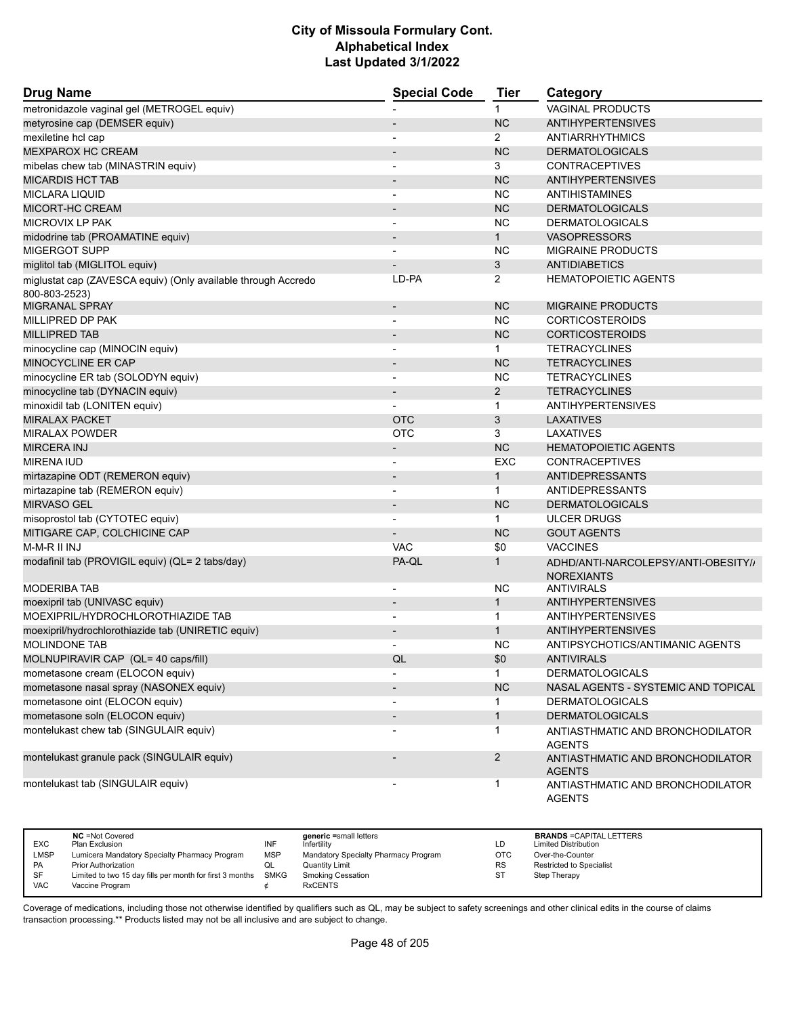| <b>Drug Name</b>                                                               | <b>Special Code</b>          | <b>Tier</b>    | Category                                                 |
|--------------------------------------------------------------------------------|------------------------------|----------------|----------------------------------------------------------|
| metronidazole vaginal gel (METROGEL equiv)                                     |                              | $\mathbf 1$    | <b>VAGINAL PRODUCTS</b>                                  |
| metyrosine cap (DEMSER equiv)                                                  |                              | <b>NC</b>      | <b>ANTIHYPERTENSIVES</b>                                 |
| mexiletine hcl cap                                                             |                              | $\overline{2}$ | ANTIARRHYTHMICS                                          |
| <b>MEXPAROX HC CREAM</b>                                                       |                              | <b>NC</b>      | <b>DERMATOLOGICALS</b>                                   |
| mibelas chew tab (MINASTRIN equiv)                                             |                              | 3              | <b>CONTRACEPTIVES</b>                                    |
| <b>MICARDIS HCT TAB</b>                                                        |                              | <b>NC</b>      | <b>ANTIHYPERTENSIVES</b>                                 |
| <b>MICLARA LIQUID</b>                                                          | $\overline{\phantom{a}}$     | ΝC             | <b>ANTIHISTAMINES</b>                                    |
| <b>MICORT-HC CREAM</b>                                                         |                              | <b>NC</b>      | <b>DERMATOLOGICALS</b>                                   |
| MICROVIX LP PAK                                                                |                              | <b>NC</b>      | <b>DERMATOLOGICALS</b>                                   |
| midodrine tab (PROAMATINE equiv)                                               | $\qquad \qquad \blacksquare$ | $\mathbf{1}$   | <b>VASOPRESSORS</b>                                      |
| <b>MIGERGOT SUPP</b>                                                           |                              | <b>NC</b>      | <b>MIGRAINE PRODUCTS</b>                                 |
| miglitol tab (MIGLITOL equiv)                                                  |                              | 3              | <b>ANTIDIABETICS</b>                                     |
| miglustat cap (ZAVESCA equiv) (Only available through Accredo<br>800-803-2523) | LD-PA                        | 2              | <b>HEMATOPOIETIC AGENTS</b>                              |
| <b>MIGRANAL SPRAY</b>                                                          | $\overline{\phantom{m}}$     | <b>NC</b>      | <b>MIGRAINE PRODUCTS</b>                                 |
| MILLIPRED DP PAK                                                               |                              | NC.            | <b>CORTICOSTEROIDS</b>                                   |
| <b>MILLIPRED TAB</b>                                                           |                              | <b>NC</b>      | <b>CORTICOSTEROIDS</b>                                   |
| minocycline cap (MINOCIN equiv)                                                |                              | $\mathbf{1}$   | <b>TETRACYCLINES</b>                                     |
| <b>MINOCYCLINE ER CAP</b>                                                      |                              | <b>NC</b>      | <b>TETRACYCLINES</b>                                     |
| minocycline ER tab (SOLODYN equiv)                                             |                              | <b>NC</b>      | <b>TETRACYCLINES</b>                                     |
| minocycline tab (DYNACIN equiv)                                                | $\overline{\phantom{a}}$     | $\overline{2}$ | <b>TETRACYCLINES</b>                                     |
| minoxidil tab (LONITEN equiv)                                                  |                              | $\mathbf 1$    | <b>ANTIHYPERTENSIVES</b>                                 |
| <b>MIRALAX PACKET</b>                                                          | <b>OTC</b>                   | 3              | <b>LAXATIVES</b>                                         |
| <b>MIRALAX POWDER</b>                                                          | OTC                          | 3              | LAXATIVES                                                |
| <b>MIRCERA INJ</b>                                                             | $\overline{\phantom{a}}$     | <b>NC</b>      | <b>HEMATOPOIETIC AGENTS</b>                              |
| <b>MIRENA IUD</b>                                                              |                              | <b>EXC</b>     | <b>CONTRACEPTIVES</b>                                    |
| mirtazapine ODT (REMERON equiv)                                                |                              | $\mathbf{1}$   | <b>ANTIDEPRESSANTS</b>                                   |
| mirtazapine tab (REMERON equiv)                                                | $\overline{\phantom{a}}$     | $\mathbf 1$    | <b>ANTIDEPRESSANTS</b>                                   |
| <b>MIRVASO GEL</b>                                                             |                              | <b>NC</b>      | <b>DERMATOLOGICALS</b>                                   |
| misoprostol tab (CYTOTEC equiv)                                                |                              | $\mathbf{1}$   | <b>ULCER DRUGS</b>                                       |
| MITIGARE CAP, COLCHICINE CAP                                                   |                              | <b>NC</b>      | <b>GOUT AGENTS</b>                                       |
| M-M-R II INJ                                                                   | <b>VAC</b>                   | \$0            | <b>VACCINES</b>                                          |
| modafinil tab (PROVIGIL equiv) (QL= 2 tabs/day)                                | PA-QL                        | $\mathbf{1}$   | ADHD/ANTI-NARCOLEPSY/ANTI-OBESITY//<br><b>NOREXIANTS</b> |
| <b>MODERIBA TAB</b>                                                            |                              | <b>NC</b>      | <b>ANTIVIRALS</b>                                        |
| moexipril tab (UNIVASC equiv)                                                  | $\overline{\phantom{m}}$     | $\mathbf{1}$   | <b>ANTIHYPERTENSIVES</b>                                 |
| MOEXIPRIL/HYDROCHLOROTHIAZIDE TAB                                              |                              | $\mathbf 1$    | <b>ANTIHYPERTENSIVES</b>                                 |
| moexipril/hydrochlorothiazide tab (UNIRETIC equiv)                             |                              | $\mathbf{1}$   | <b>ANTIHYPERTENSIVES</b>                                 |
| <b>MOLINDONE TAB</b>                                                           |                              | NC             | ANTIPSYCHOTICS/ANTIMANIC AGENTS                          |
| MOLNUPIRAVIR CAP (QL= 40 caps/fill)                                            | QL                           | \$0            | ANTIVIRALS                                               |
| mometasone cream (ELOCON equiv)                                                |                              | $\mathbf{1}$   | <b>DERMATOLOGICALS</b>                                   |
| mometasone nasal spray (NASONEX equiv)                                         |                              | <b>NC</b>      | NASAL AGENTS - SYSTEMIC AND TOPICAL                      |
| mometasone oint (ELOCON equiv)                                                 |                              | 1              | <b>DERMATOLOGICALS</b>                                   |
| mometasone soln (ELOCON equiv)                                                 |                              | $\mathbf{1}$   | <b>DERMATOLOGICALS</b>                                   |
| montelukast chew tab (SINGULAIR equiv)                                         |                              | 1              | ANTIASTHMATIC AND BRONCHODILATOR<br><b>AGENTS</b>        |
| montelukast granule pack (SINGULAIR equiv)                                     |                              | 2              | ANTIASTHMATIC AND BRONCHODILATOR<br><b>AGENTS</b>        |
| montelukast tab (SINGULAIR equiv)                                              |                              | $\mathbf{1}$   | ANTIASTHMATIC AND BRONCHODILATOR<br><b>AGENTS</b>        |

| <b>EXC</b> | <b>NC</b> = Not Covered<br>Plan Exclusion                     | INF        | generic =small letters<br>Infertilitv | LD         | <b>BRANDS = CAPITAL LETTERS</b><br><b>Limited Distribution</b> |
|------------|---------------------------------------------------------------|------------|---------------------------------------|------------|----------------------------------------------------------------|
|            |                                                               |            |                                       |            |                                                                |
| LMSP       | Lumicera Mandatory Specialty Pharmacy Program                 | <b>MSP</b> | Mandatory Specialty Pharmacy Program  | <b>OTC</b> | Over-the-Counter                                               |
| PA         | <b>Prior Authorization</b>                                    |            | <b>Quantity Limit</b>                 | <b>RS</b>  | <b>Restricted to Specialist</b>                                |
| SF         | Limited to two 15 day fills per month for first 3 months SMKG |            | Smoking Cessation                     | ST         | Step Therapy                                                   |
| VAC        | Vaccine Program                                               |            | <b>RxCENTS</b>                        |            |                                                                |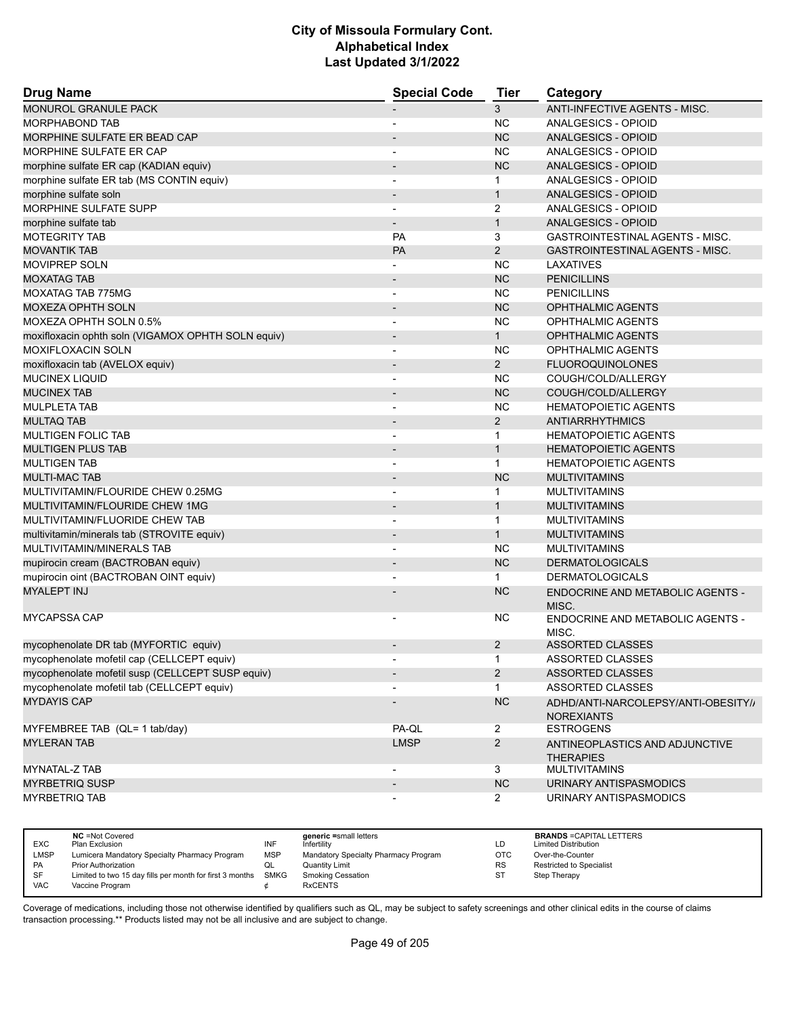| <b>Drug Name</b>                                   | <b>Special Code</b>          | <b>Tier</b>    | Category                                                 |
|----------------------------------------------------|------------------------------|----------------|----------------------------------------------------------|
| MONUROL GRANULE PACK                               |                              | 3              | <b>ANTI-INFECTIVE AGENTS - MISC.</b>                     |
| <b>MORPHABOND TAB</b>                              | $\overline{\phantom{a}}$     | <b>NC</b>      | ANALGESICS - OPIOID                                      |
| MORPHINE SULFATE ER BEAD CAP                       |                              | <b>NC</b>      | ANALGESICS - OPIOID                                      |
| MORPHINE SULFATE ER CAP                            | $\overline{\phantom{a}}$     | <b>NC</b>      | ANALGESICS - OPIOID                                      |
| morphine sulfate ER cap (KADIAN equiv)             |                              | <b>NC</b>      | ANALGESICS - OPIOID                                      |
| morphine sulfate ER tab (MS CONTIN equiv)          |                              | $\mathbf{1}$   | ANALGESICS - OPIOID                                      |
| morphine sulfate soln                              | $\overline{\phantom{a}}$     | $\mathbf{1}$   | ANALGESICS - OPIOID                                      |
| <b>MORPHINE SULFATE SUPP</b>                       | $\overline{\phantom{0}}$     | $\overline{2}$ | ANALGESICS - OPIOID                                      |
| morphine sulfate tab                               | $\overline{\phantom{0}}$     | $\mathbf{1}$   | <b>ANALGESICS - OPIOID</b>                               |
| <b>MOTEGRITY TAB</b>                               | PA                           | 3              | <b>GASTROINTESTINAL AGENTS - MISC.</b>                   |
| <b>MOVANTIK TAB</b>                                | PA                           | $\overline{2}$ | <b>GASTROINTESTINAL AGENTS - MISC.</b>                   |
| <b>MOVIPREP SOLN</b>                               |                              | <b>NC</b>      | LAXATIVES                                                |
| <b>MOXATAG TAB</b>                                 | $\overline{\phantom{a}}$     | <b>NC</b>      | <b>PENICILLINS</b>                                       |
| MOXATAG TAB 775MG                                  | $\overline{\phantom{a}}$     | <b>NC</b>      | <b>PENICILLINS</b>                                       |
| <b>MOXEZA OPHTH SOLN</b>                           |                              | <b>NC</b>      | <b>OPHTHALMIC AGENTS</b>                                 |
| MOXEZA OPHTH SOLN 0.5%                             | $\overline{\phantom{a}}$     | <b>NC</b>      | <b>OPHTHALMIC AGENTS</b>                                 |
| moxifloxacin ophth soln (VIGAMOX OPHTH SOLN equiv) | $\overline{\phantom{a}}$     | $\mathbf{1}$   | <b>OPHTHALMIC AGENTS</b>                                 |
| MOXIFLOXACIN SOLN                                  | $\overline{\phantom{a}}$     | <b>NC</b>      | OPHTHALMIC AGENTS                                        |
| moxifloxacin tab (AVELOX equiv)                    | $\overline{\phantom{m}}$     | $\overline{2}$ | <b>FLUOROQUINOLONES</b>                                  |
| <b>MUCINEX LIQUID</b>                              | $\blacksquare$               | <b>NC</b>      | COUGH/COLD/ALLERGY                                       |
| <b>MUCINEX TAB</b>                                 | $\overline{\phantom{a}}$     | <b>NC</b>      | COUGH/COLD/ALLERGY                                       |
| <b>MULPLETA TAB</b>                                | -                            | <b>NC</b>      | <b>HEMATOPOIETIC AGENTS</b>                              |
| <b>MULTAQ TAB</b>                                  | $\overline{\phantom{a}}$     | $\overline{2}$ | <b>ANTIARRHYTHMICS</b>                                   |
| <b>MULTIGEN FOLIC TAB</b>                          | $\overline{\phantom{a}}$     | 1              | <b>HEMATOPOIETIC AGENTS</b>                              |
| <b>MULTIGEN PLUS TAB</b>                           | $\overline{\phantom{a}}$     | $\mathbf{1}$   | <b>HEMATOPOIETIC AGENTS</b>                              |
| <b>MULTIGEN TAB</b>                                | $\blacksquare$               | $\mathbf{1}$   | <b>HEMATOPOIETIC AGENTS</b>                              |
| <b>MULTI-MAC TAB</b>                               |                              | <b>NC</b>      | <b>MULTIVITAMINS</b>                                     |
| MULTIVITAMIN/FLOURIDE CHEW 0.25MG                  | $\overline{a}$               | 1              | <b>MULTIVITAMINS</b>                                     |
| MULTIVITAMIN/FLOURIDE CHEW 1MG                     | $\blacksquare$               | $\mathbf{1}$   | <b>MULTIVITAMINS</b>                                     |
| MULTIVITAMIN/FLUORIDE CHEW TAB                     | $\overline{\phantom{0}}$     | $\mathbf{1}$   | <b>MULTIVITAMINS</b>                                     |
| multivitamin/minerals tab (STROVITE equiv)         | $\overline{\phantom{a}}$     | $\mathbf{1}$   | <b>MULTIVITAMINS</b>                                     |
| MULTIVITAMIN/MINERALS TAB                          | $\overline{a}$               | <b>NC</b>      | <b>MULTIVITAMINS</b>                                     |
| mupirocin cream (BACTROBAN equiv)                  | $\overline{\phantom{0}}$     | <b>NC</b>      | <b>DERMATOLOGICALS</b>                                   |
| mupirocin oint (BACTROBAN OINT equiv)              |                              | $\mathbf{1}$   | <b>DERMATOLOGICALS</b>                                   |
| <b>MYALEPT INJ</b>                                 |                              | <b>NC</b>      | <b>ENDOCRINE AND METABOLIC AGENTS -</b><br>MISC.         |
| <b>MYCAPSSA CAP</b>                                |                              | ΝC             | ENDOCRINE AND METABOLIC AGENTS -<br>MISC.                |
| mycophenolate DR tab (MYFORTIC equiv)              |                              | $\overline{2}$ | ASSORTED CLASSES                                         |
| mycophenolate mofetil cap (CELLCEPT equiv)         |                              |                | ASSORTED CLASSES                                         |
| mycophenolate mofetil susp (CELLCEPT SUSP equiv)   |                              | $\overline{2}$ | <b>ASSORTED CLASSES</b>                                  |
| mycophenolate mofetil tab (CELLCEPT equiv)         |                              | $\mathbf 1$    | <b>ASSORTED CLASSES</b>                                  |
| <b>MYDAYIS CAP</b>                                 |                              | <b>NC</b>      | ADHD/ANTI-NARCOLEPSY/ANTI-OBESITY//<br><b>NOREXIANTS</b> |
| MYFEMBREE TAB (QL= 1 tab/day)                      | PA-QL                        | $\overline{2}$ | <b>ESTROGENS</b>                                         |
| <b>MYLERAN TAB</b>                                 | <b>LMSP</b>                  | $\overline{2}$ | ANTINEOPLASTICS AND ADJUNCTIVE<br><b>THERAPIES</b>       |
| MYNATAL-Z TAB                                      | $\qquad \qquad \blacksquare$ | 3              | <b>MULTIVITAMINS</b>                                     |
| <b>MYRBETRIQ SUSP</b>                              | $\overline{\phantom{0}}$     | NC             | URINARY ANTISPASMODICS                                   |
| <b>MYRBETRIQ TAB</b>                               | $\overline{\phantom{0}}$     | $\overline{2}$ | URINARY ANTISPASMODICS                                   |

|            | <b>NC</b> = Not Covered                                  |            | generic =small letters               |            | <b>BRANDS = CAPITAL LETTERS</b> |
|------------|----------------------------------------------------------|------------|--------------------------------------|------------|---------------------------------|
| <b>EXC</b> | Plan Exclusion                                           | INF        | Infertilitv                          | LD         | <b>Limited Distribution</b>     |
| LMSP       | Lumicera Mandatory Specialty Pharmacy Program            | <b>MSP</b> | Mandatory Specialty Pharmacy Program | <b>OTC</b> | Over-the-Counter                |
| <b>PA</b>  | <b>Prior Authorization</b>                               | QL         | Quantity Limit                       | <b>RS</b>  | <b>Restricted to Specialist</b> |
| SF         | Limited to two 15 day fills per month for first 3 months | SMKG       | Smoking Cessation                    | ST         | Step Therapy                    |
| <b>VAC</b> | Vaccine Program                                          |            | <b>RxCENTS</b>                       |            |                                 |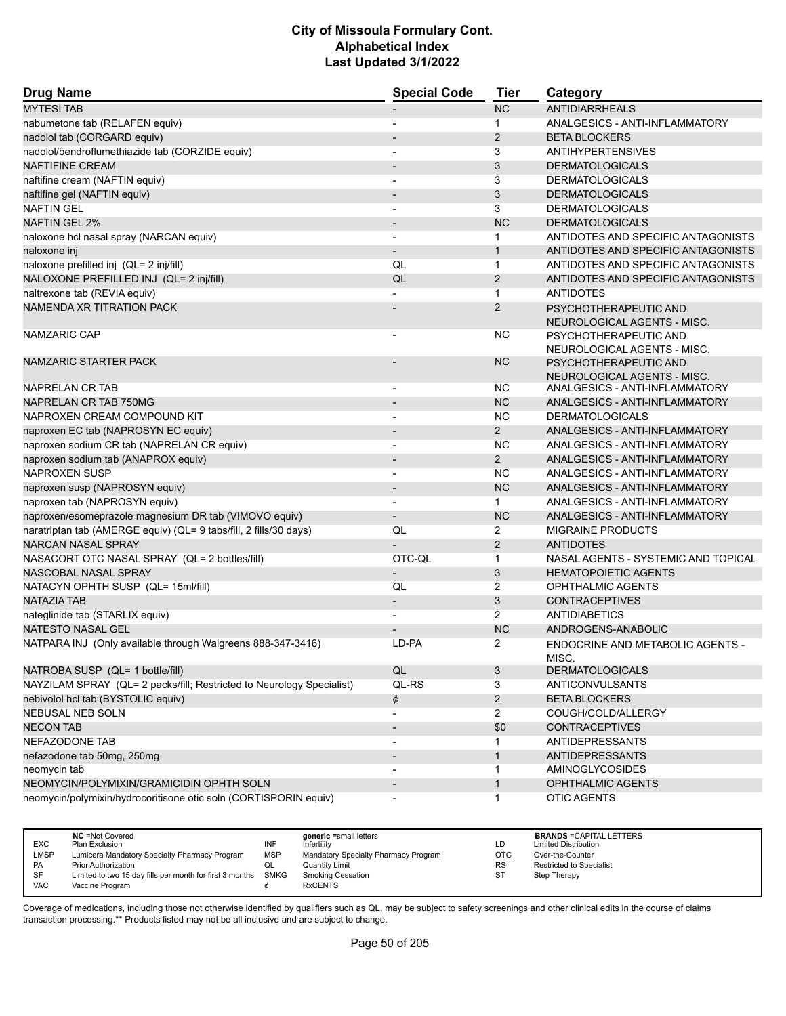| <b>Drug Name</b>                                                      | <b>Special Code</b>          | <b>Tier</b>    | Category                                             |
|-----------------------------------------------------------------------|------------------------------|----------------|------------------------------------------------------|
| <b>MYTESI TAB</b>                                                     |                              | <b>NC</b>      | <b>ANTIDIARRHEALS</b>                                |
| nabumetone tab (RELAFEN equiv)                                        | $\overline{\phantom{0}}$     | $\mathbf 1$    | ANALGESICS - ANTI-INFLAMMATORY                       |
| nadolol tab (CORGARD equiv)                                           |                              | 2              | <b>BETA BLOCKERS</b>                                 |
| nadolol/bendroflumethiazide tab (CORZIDE equiv)                       |                              | 3              | <b>ANTIHYPERTENSIVES</b>                             |
| <b>NAFTIFINE CREAM</b>                                                |                              | 3              | <b>DERMATOLOGICALS</b>                               |
| naftifine cream (NAFTIN equiv)                                        | $\overline{\phantom{a}}$     | 3              | <b>DERMATOLOGICALS</b>                               |
| naftifine gel (NAFTIN equiv)                                          |                              | 3              | <b>DERMATOLOGICALS</b>                               |
| <b>NAFTIN GEL</b>                                                     |                              | 3              | <b>DERMATOLOGICALS</b>                               |
| <b>NAFTIN GEL 2%</b>                                                  | $\overline{a}$               | <b>NC</b>      | <b>DERMATOLOGICALS</b>                               |
| naloxone hcl nasal spray (NARCAN equiv)                               | $\blacksquare$               | $\mathbf{1}$   | ANTIDOTES AND SPECIFIC ANTAGONISTS                   |
| naloxone inj                                                          | $\overline{\phantom{m}}$     | $\mathbf{1}$   | ANTIDOTES AND SPECIFIC ANTAGONISTS                   |
| naloxone prefilled inj (QL= 2 inj/fill)                               | QL                           | $\mathbf{1}$   | ANTIDOTES AND SPECIFIC ANTAGONISTS                   |
| NALOXONE PREFILLED INJ (QL= 2 inj/fill)                               | QL                           | 2              | ANTIDOTES AND SPECIFIC ANTAGONISTS                   |
| naltrexone tab (REVIA equiv)                                          |                              | 1              | <b>ANTIDOTES</b>                                     |
| NAMENDA XR TITRATION PACK                                             |                              | 2              | PSYCHOTHERAPEUTIC AND<br>NEUROLOGICAL AGENTS - MISC. |
| NAMZARIC CAP                                                          |                              | <b>NC</b>      | PSYCHOTHERAPEUTIC AND<br>NEUROLOGICAL AGENTS - MISC. |
| NAMZARIC STARTER PACK                                                 |                              | <b>NC</b>      | PSYCHOTHERAPEUTIC AND<br>NEUROLOGICAL AGENTS - MISC. |
| NAPRELAN CR TAB                                                       | $\overline{\phantom{a}}$     | ΝC             | ANALGESICS - ANTI-INFLAMMATORY                       |
| NAPRELAN CR TAB 750MG                                                 |                              | <b>NC</b>      | ANALGESICS - ANTI-INFLAMMATORY                       |
| NAPROXEN CREAM COMPOUND KIT                                           |                              | <b>NC</b>      | <b>DERMATOLOGICALS</b>                               |
| naproxen EC tab (NAPROSYN EC equiv)                                   | $\qquad \qquad \blacksquare$ | $\overline{2}$ | ANALGESICS - ANTI-INFLAMMATORY                       |
| naproxen sodium CR tab (NAPRELAN CR equiv)                            |                              | <b>NC</b>      | ANALGESICS - ANTI-INFLAMMATORY                       |
| naproxen sodium tab (ANAPROX equiv)                                   | $\overline{\phantom{a}}$     | $\overline{2}$ | ANALGESICS - ANTI-INFLAMMATORY                       |
| NAPROXEN SUSP                                                         | $\overline{\phantom{a}}$     | <b>NC</b>      | ANALGESICS - ANTI-INFLAMMATORY                       |
| naproxen susp (NAPROSYN equiv)                                        |                              | <b>NC</b>      | ANALGESICS - ANTI-INFLAMMATORY                       |
| naproxen tab (NAPROSYN equiv)                                         | $\overline{\phantom{a}}$     | $\mathbf{1}$   | ANALGESICS - ANTI-INFLAMMATORY                       |
| naproxen/esomeprazole magnesium DR tab (VIMOVO equiv)                 | $\overline{\phantom{0}}$     | <b>NC</b>      | ANALGESICS - ANTI-INFLAMMATORY                       |
| naratriptan tab (AMERGE equiv) (QL= 9 tabs/fill, 2 fills/30 days)     | QL                           | 2              | <b>MIGRAINE PRODUCTS</b>                             |
| <b>NARCAN NASAL SPRAY</b>                                             |                              | $\overline{2}$ | <b>ANTIDOTES</b>                                     |
| NASACORT OTC NASAL SPRAY (QL= 2 bottles/fill)                         | OTC-QL                       | $\mathbf{1}$   | NASAL AGENTS - SYSTEMIC AND TOPICAL                  |
| NASCOBAL NASAL SPRAY                                                  | $\overline{\phantom{0}}$     | 3              | <b>HEMATOPOIETIC AGENTS</b>                          |
| NATACYN OPHTH SUSP (QL= 15ml/fill)                                    | QL                           | 2              | <b>OPHTHALMIC AGENTS</b>                             |
| NATAZIA TAB                                                           |                              | 3              | <b>CONTRACEPTIVES</b>                                |
| nateglinide tab (STARLIX equiv)                                       |                              | $\overline{2}$ | ANTIDIABETICS                                        |
| <b>NATESTO NASAL GEL</b>                                              |                              | <b>NC</b>      | ANDROGENS-ANABOLIC                                   |
| NATPARA INJ (Only available through Walgreens 888-347-3416)           | LD-PA                        | 2              | ENDOCRINE AND METABOLIC AGENTS -<br>MISC.            |
| NATROBA SUSP (QL= 1 bottle/fill)                                      | $\mathsf{QL}$                | 3              | <b>DERMATOLOGICALS</b>                               |
| NAYZILAM SPRAY (QL= 2 packs/fill; Restricted to Neurology Specialist) | QL-RS                        | 3              | <b>ANTICONVULSANTS</b>                               |
| nebivolol hcl tab (BYSTOLIC equiv)                                    | ¢                            | $\overline{2}$ | <b>BETA BLOCKERS</b>                                 |
| NEBUSAL NEB SOLN                                                      | ٠                            | $\overline{2}$ | COUGH/COLD/ALLERGY                                   |
| <b>NECON TAB</b>                                                      | $\overline{\phantom{m}}$     | \$0            | <b>CONTRACEPTIVES</b>                                |
| NEFAZODONE TAB                                                        | $\overline{a}$               | $\mathbf{1}$   | ANTIDEPRESSANTS                                      |
| nefazodone tab 50mg, 250mg                                            |                              | $\mathbf{1}$   | <b>ANTIDEPRESSANTS</b>                               |
| neomycin tab                                                          | $\qquad \qquad \blacksquare$ | 1              | <b>AMINOGLYCOSIDES</b>                               |
| NEOMYCIN/POLYMIXIN/GRAMICIDIN OPHTH SOLN                              |                              | $\mathbf{1}$   | <b>OPHTHALMIC AGENTS</b>                             |
| neomycin/polymixin/hydrocoritisone otic soln (CORTISPORIN equiv)      |                              | $\mathbf 1$    | <b>OTIC AGENTS</b>                                   |

|            | <b>NC</b> = Not Covered                                       |            | generic =small letters               |            | <b>BRANDS = CAPITAL LETTERS</b> |
|------------|---------------------------------------------------------------|------------|--------------------------------------|------------|---------------------------------|
| <b>EXC</b> | Plan Exclusion                                                | INF        | Infertility                          | LD         | <b>Limited Distribution</b>     |
| LMSP       | Lumicera Mandatory Specialty Pharmacy Program                 | <b>MSP</b> | Mandatory Specialty Pharmacy Program | <b>OTC</b> | Over-the-Counter                |
| <b>PA</b>  | Prior Authorization                                           | QL         | <b>Quantity Limit</b>                | <b>RS</b>  | Restricted to Specialist        |
| SF         | Limited to two 15 day fills per month for first 3 months SMKG |            | Smoking Cessation                    | ST         | Step Therapy                    |
| <b>VAC</b> | Vaccine Program                                               |            | <b>RxCENTS</b>                       |            |                                 |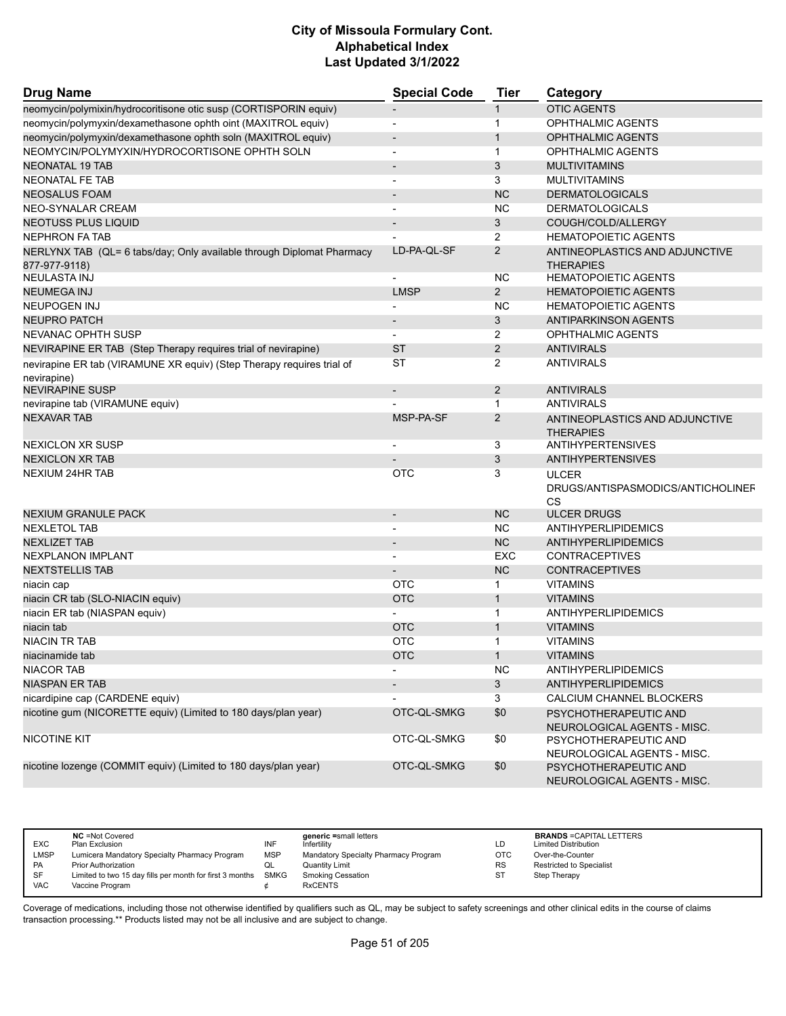| <b>Drug Name</b>                                                      | <b>Special Code</b>      | <b>Tier</b>    | Category                                             |
|-----------------------------------------------------------------------|--------------------------|----------------|------------------------------------------------------|
| neomycin/polymixin/hydrocoritisone otic susp (CORTISPORIN equiv)      |                          | 1              | <b>OTIC AGENTS</b>                                   |
| neomycin/polymyxin/dexamethasone ophth oint (MAXITROL equiv)          | $\overline{\phantom{a}}$ | 1              | <b>OPHTHALMIC AGENTS</b>                             |
| neomycin/polymyxin/dexamethasone ophth soln (MAXITROL equiv)          |                          | $\mathbf{1}$   | <b>OPHTHALMIC AGENTS</b>                             |
| NEOMYCIN/POLYMYXIN/HYDROCORTISONE OPHTH SOLN                          | $\overline{\phantom{a}}$ | $\mathbf{1}$   | <b>OPHTHALMIC AGENTS</b>                             |
| <b>NEONATAL 19 TAB</b>                                                | $\overline{\phantom{a}}$ | 3              | <b>MULTIVITAMINS</b>                                 |
| NEONATAL FE TAB                                                       |                          | 3              | <b>MULTIVITAMINS</b>                                 |
| <b>NEOSALUS FOAM</b>                                                  |                          | <b>NC</b>      | <b>DERMATOLOGICALS</b>                               |
| NEO-SYNALAR CREAM                                                     | $\blacksquare$           | <b>NC</b>      | <b>DERMATOLOGICALS</b>                               |
| <b>NEOTUSS PLUS LIQUID</b>                                            |                          | 3              | COUGH/COLD/ALLERGY                                   |
| <b>NEPHRON FA TAB</b>                                                 |                          | $\overline{2}$ | <b>HEMATOPOIETIC AGENTS</b>                          |
| NERLYNX TAB (QL= 6 tabs/day; Only available through Diplomat Pharmacy | LD-PA-QL-SF              | $\overline{2}$ | ANTINEOPLASTICS AND ADJUNCTIVE                       |
| 877-977-9118)                                                         |                          |                | <b>THERAPIES</b>                                     |
| <b>NEULASTA INJ</b>                                                   |                          | NC             | <b>HEMATOPOIETIC AGENTS</b>                          |
| <b>NEUMEGA INJ</b>                                                    | <b>LMSP</b>              | 2              | <b>HEMATOPOIETIC AGENTS</b>                          |
| <b>NEUPOGEN INJ</b>                                                   |                          | <b>NC</b>      | <b>HEMATOPOIETIC AGENTS</b>                          |
| <b>NEUPRO PATCH</b>                                                   |                          | 3              | <b>ANTIPARKINSON AGENTS</b>                          |
| NEVANAC OPHTH SUSP                                                    |                          | 2              | <b>OPHTHALMIC AGENTS</b>                             |
| NEVIRAPINE ER TAB (Step Therapy requires trial of nevirapine)         | <b>ST</b>                | 2              | <b>ANTIVIRALS</b>                                    |
| nevirapine ER tab (VIRAMUNE XR equiv) (Step Therapy requires trial of | <b>ST</b>                | 2              | <b>ANTIVIRALS</b>                                    |
| nevirapine)                                                           |                          |                |                                                      |
| <b>NEVIRAPINE SUSP</b>                                                | $\overline{\phantom{a}}$ | 2              | ANTIVIRALS                                           |
| nevirapine tab (VIRAMUNE equiv)                                       |                          | 1              | <b>ANTIVIRALS</b>                                    |
| <b>NEXAVAR TAB</b>                                                    | MSP-PA-SF                | $\overline{2}$ | ANTINEOPLASTICS AND ADJUNCTIVE<br><b>THERAPIES</b>   |
| <b>NEXICLON XR SUSP</b>                                               |                          | 3              | ANTIHYPERTENSIVES                                    |
| <b>NEXICLON XR TAB</b>                                                |                          | 3              | <b>ANTIHYPERTENSIVES</b>                             |
| <b>NEXIUM 24HR TAB</b>                                                | OTC                      | 3              | <b>ULCER</b>                                         |
|                                                                       |                          |                | DRUGS/ANTISPASMODICS/ANTICHOLINEF                    |
|                                                                       |                          |                | <b>CS</b>                                            |
| <b>NEXIUM GRANULE PACK</b>                                            | $\overline{\phantom{a}}$ | <b>NC</b>      | <b>ULCER DRUGS</b>                                   |
| <b>NEXLETOL TAB</b>                                                   |                          | <b>NC</b>      | ANTIHYPERLIPIDEMICS                                  |
| <b>NEXLIZET TAB</b>                                                   |                          | <b>NC</b>      | ANTIHYPERLIPIDEMICS                                  |
| <b>NEXPLANON IMPLANT</b>                                              |                          | <b>EXC</b>     | <b>CONTRACEPTIVES</b>                                |
| <b>NEXTSTELLIS TAB</b>                                                |                          | <b>NC</b>      | <b>CONTRACEPTIVES</b>                                |
| niacin cap                                                            | OTC                      | 1              | <b>VITAMINS</b>                                      |
| niacin CR tab (SLO-NIACIN equiv)                                      | <b>OTC</b>               | $\mathbf{1}$   | <b>VITAMINS</b>                                      |
| niacin ER tab (NIASPAN equiv)                                         |                          | $\mathbf{1}$   | ANTIHYPERLIPIDEMICS                                  |
| niacin tab                                                            | <b>OTC</b>               | $\mathbf{1}$   | <b>VITAMINS</b>                                      |
| <b>NIACIN TR TAB</b>                                                  | <b>OTC</b>               | $\mathbf 1$    | <b>VITAMINS</b>                                      |
| niacinamide tab                                                       | <b>OTC</b>               |                | <b>VITAMINS</b>                                      |
| <b>NIACOR TAB</b>                                                     |                          | <b>NC</b>      | ANTIHYPERLIPIDEMICS                                  |
| <b>NIASPAN ER TAB</b>                                                 |                          | 3              | <b>ANTIHYPERLIPIDEMICS</b>                           |
| nicardipine cap (CARDENE equiv)                                       |                          | 3              | CALCIUM CHANNEL BLOCKERS                             |
| nicotine gum (NICORETTE equiv) (Limited to 180 days/plan year)        | OTC-QL-SMKG              | \$0            | PSYCHOTHERAPEUTIC AND<br>NEUROLOGICAL AGENTS - MISC. |
| NICOTINE KIT                                                          | OTC-QL-SMKG              | \$0            | PSYCHOTHERAPEUTIC AND<br>NEUROLOGICAL AGENTS - MISC. |
| nicotine lozenge (COMMIT equiv) (Limited to 180 days/plan year)       | OTC-QL-SMKG              | \$0            | PSYCHOTHERAPEUTIC AND<br>NEUROLOGICAL AGENTS - MISC. |

| <b>EXC</b>  | <b>NC</b> = Not Covered<br>Plan Exclusion                     | INF        | generic =small letters<br>Infertility | LD        | <b>BRANDS = CAPITAL LETTERS</b><br><b>Limited Distribution</b> |
|-------------|---------------------------------------------------------------|------------|---------------------------------------|-----------|----------------------------------------------------------------|
| <b>LMSP</b> |                                                               |            |                                       |           |                                                                |
|             | Lumicera Mandatory Specialty Pharmacy Program                 | <b>MSP</b> | Mandatory Specialty Pharmacy Program  | OTC       | Over-the-Counter                                               |
| PA          | Prior Authorization                                           | w∟         | Quantity Limit                        | <b>RS</b> | Restricted to Specialist                                       |
| <b>SF</b>   | Limited to two 15 day fills per month for first 3 months SMKG |            | <b>Smoking Cessation</b>              | ST        | Step Therapy                                                   |
| VAC         | Vaccine Program                                               |            | <b>RxCENTS</b>                        |           |                                                                |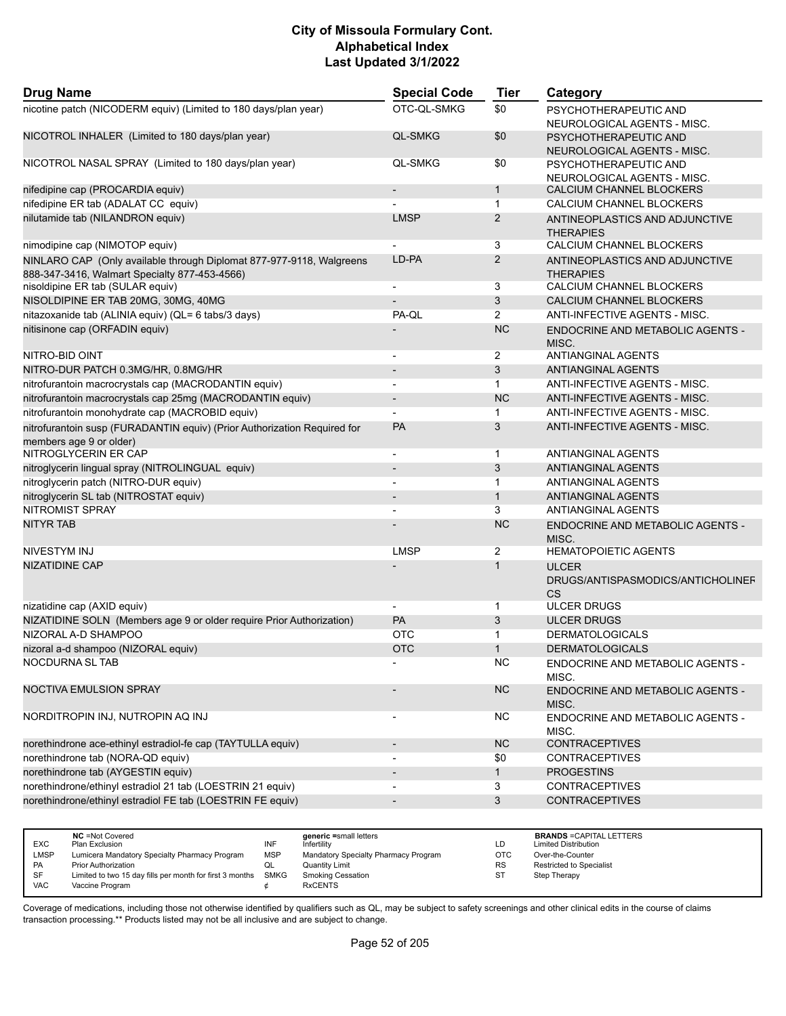| <b>Drug Name</b>                                                                                    | <b>Special Code</b>      | <b>Tier</b>               | Category                                                       |
|-----------------------------------------------------------------------------------------------------|--------------------------|---------------------------|----------------------------------------------------------------|
| nicotine patch (NICODERM equiv) (Limited to 180 days/plan year)                                     | OTC-QL-SMKG              | \$0                       | PSYCHOTHERAPEUTIC AND<br>NEUROLOGICAL AGENTS - MISC.           |
| NICOTROL INHALER (Limited to 180 days/plan year)                                                    | <b>QL-SMKG</b>           | \$0                       | PSYCHOTHERAPEUTIC AND<br>NEUROLOGICAL AGENTS - MISC.           |
| NICOTROL NASAL SPRAY (Limited to 180 days/plan year)                                                | <b>QL-SMKG</b>           | \$0                       | PSYCHOTHERAPEUTIC AND<br>NEUROLOGICAL AGENTS - MISC.           |
| nifedipine cap (PROCARDIA equiv)                                                                    |                          | $\mathbf{1}$              | CALCIUM CHANNEL BLOCKERS                                       |
| nifedipine ER tab (ADALAT CC equiv)                                                                 |                          | $\mathbf{1}$              | CALCIUM CHANNEL BLOCKERS                                       |
| nilutamide tab (NILANDRON equiv)                                                                    | <b>LMSP</b>              | 2                         | ANTINEOPLASTICS AND ADJUNCTIVE<br><b>THERAPIES</b>             |
| nimodipine cap (NIMOTOP equiv)                                                                      |                          | 3                         | CALCIUM CHANNEL BLOCKERS                                       |
| NINLARO CAP (Only available through Diplomat 877-977-9118, Walgreens                                | LD-PA                    | $\overline{2}$            | ANTINEOPLASTICS AND ADJUNCTIVE                                 |
| 888-347-3416, Walmart Specialty 877-453-4566)<br>nisoldipine ER tab (SULAR equiv)                   | $\overline{\phantom{a}}$ | 3                         | <b>THERAPIES</b><br>CALCIUM CHANNEL BLOCKERS                   |
| NISOLDIPINE ER TAB 20MG, 30MG, 40MG                                                                 |                          | $\ensuremath{\mathsf{3}}$ | CALCIUM CHANNEL BLOCKERS                                       |
|                                                                                                     | PA-QL                    | $\overline{2}$            | ANTI-INFECTIVE AGENTS - MISC.                                  |
| nitazoxanide tab (ALINIA equiv) (QL= 6 tabs/3 days)                                                 |                          | <b>NC</b>                 |                                                                |
| nitisinone cap (ORFADIN equiv)                                                                      |                          |                           | <b>ENDOCRINE AND METABOLIC AGENTS -</b><br>MISC.               |
| NITRO-BID OINT                                                                                      | $\overline{\phantom{a}}$ | $\overline{2}$            | <b>ANTIANGINAL AGENTS</b>                                      |
| NITRO-DUR PATCH 0.3MG/HR, 0.8MG/HR                                                                  |                          | 3                         | ANTIANGINAL AGENTS                                             |
| nitrofurantoin macrocrystals cap (MACRODANTIN equiv)                                                | $\blacksquare$           | $\mathbf{1}$              | ANTI-INFECTIVE AGENTS - MISC.                                  |
| nitrofurantoin macrocrystals cap 25mg (MACRODANTIN equiv)                                           |                          | <b>NC</b>                 | ANTI-INFECTIVE AGENTS - MISC.                                  |
| nitrofurantoin monohydrate cap (MACROBID equiv)                                                     |                          | 1                         | ANTI-INFECTIVE AGENTS - MISC.                                  |
| nitrofurantoin susp (FURADANTIN equiv) (Prior Authorization Required for<br>members age 9 or older) | <b>PA</b>                | 3                         | ANTI-INFECTIVE AGENTS - MISC.                                  |
| NITROGLYCERIN ER CAP                                                                                | $\blacksquare$           | 1                         | ANTIANGINAL AGENTS                                             |
| nitroglycerin lingual spray (NITROLINGUAL equiv)                                                    | $\overline{a}$           | 3                         | ANTIANGINAL AGENTS                                             |
| nitroglycerin patch (NITRO-DUR equiv)                                                               |                          | $\mathbf{1}$              | ANTIANGINAL AGENTS                                             |
| nitroglycerin SL tab (NITROSTAT equiv)                                                              |                          | $\mathbf{1}$              | ANTIANGINAL AGENTS                                             |
| <b>NITROMIST SPRAY</b>                                                                              |                          | 3                         | ANTIANGINAL AGENTS                                             |
| <b>NITYR TAB</b>                                                                                    |                          | <b>NC</b>                 | <b>ENDOCRINE AND METABOLIC AGENTS -</b><br>MISC.               |
| NIVESTYM INJ                                                                                        | <b>LMSP</b>              | 2                         | <b>HEMATOPOIETIC AGENTS</b>                                    |
| <b>NIZATIDINE CAP</b>                                                                               |                          | $\mathbf{1}$              | <b>ULCER</b><br>DRUGS/ANTISPASMODICS/ANTICHOLINEF<br><b>CS</b> |
| nizatidine cap (AXID equiv)                                                                         |                          | 1                         | <b>ULCER DRUGS</b>                                             |
| NIZATIDINE SOLN (Members age 9 or older require Prior Authorization)                                | PA                       | 3                         | <b>ULCER DRUGS</b>                                             |
| NIZORAL A-D SHAMPOO                                                                                 | <b>OTC</b>               | 1                         | <b>DERMATOLOGICALS</b>                                         |
| nizoral a-d shampoo (NIZORAL equiv)                                                                 | <b>OTC</b>               | $\mathbf{1}$              | <b>DERMATOLOGICALS</b>                                         |
| NOCDURNA SL TAB                                                                                     |                          | <b>NC</b>                 |                                                                |
|                                                                                                     |                          |                           | ENDOCRINE AND METABOLIC AGENTS -<br>MISC.                      |
| NOCTIVA EMULSION SPRAY                                                                              |                          | <b>NC</b>                 | <b>ENDOCRINE AND METABOLIC AGENTS -</b><br>MISC.               |
| NORDITROPIN INJ, NUTROPIN AQ INJ                                                                    | $\overline{\phantom{a}}$ | <b>NC</b>                 | ENDOCRINE AND METABOLIC AGENTS -<br>MISC.                      |
| norethindrone ace-ethinyl estradiol-fe cap (TAYTULLA equiv)                                         | $\overline{\phantom{a}}$ | <b>NC</b>                 | <b>CONTRACEPTIVES</b>                                          |
| norethindrone tab (NORA-QD equiv)                                                                   | $\blacksquare$           | \$0                       | <b>CONTRACEPTIVES</b>                                          |
| norethindrone tab (AYGESTIN equiv)                                                                  | $\overline{\phantom{a}}$ | $\mathbf{1}$              | <b>PROGESTINS</b>                                              |
| norethindrone/ethinyl estradiol 21 tab (LOESTRIN 21 equiv)                                          |                          | 3                         | <b>CONTRACEPTIVES</b>                                          |
| norethindrone/ethinyl estradiol FE tab (LOESTRIN FE equiv)                                          | $\blacksquare$           | $\mathbf{3}$              | <b>CONTRACEPTIVES</b>                                          |
|                                                                                                     |                          |                           |                                                                |

|            | <b>NC</b> = Not Covered                                  |            | generic =small letters               |     | <b>BRANDS = CAPITAL LETTERS</b> |
|------------|----------------------------------------------------------|------------|--------------------------------------|-----|---------------------------------|
| <b>EXC</b> | Plan Exclusion                                           | INF        | Infertility                          | ιD. | <b>Limited Distribution</b>     |
| LMSP       | Lumicera Mandatory Specialty Pharmacy Program            | <b>MSP</b> | Mandatory Specialty Pharmacy Program | OTC | Over-the-Counter                |
| <b>PA</b>  | Prior Authorization                                      | QL         | Quantity Limit                       | RS  | <b>Restricted to Specialist</b> |
| SF         | Limited to two 15 day fills per month for first 3 months | SMKG       | <b>Smoking Cessation</b>             |     | Step Therapy                    |
| <b>VAC</b> | Vaccine Program                                          |            | <b>RxCENTS</b>                       |     |                                 |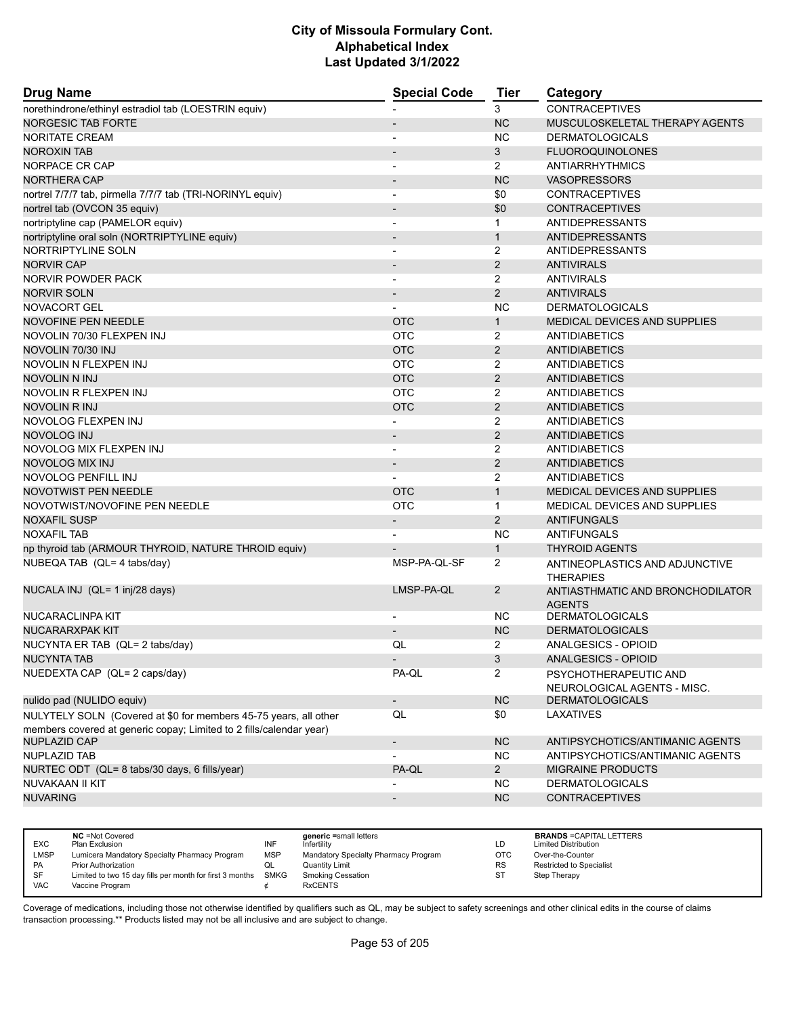| <b>Drug Name</b>                                                                                                                        | <b>Special Code</b>      | <b>Tier</b>    | Category                                             |
|-----------------------------------------------------------------------------------------------------------------------------------------|--------------------------|----------------|------------------------------------------------------|
| norethindrone/ethinyl estradiol tab (LOESTRIN equiv)                                                                                    |                          | 3              | <b>CONTRACEPTIVES</b>                                |
| <b>NORGESIC TAB FORTE</b>                                                                                                               | $\overline{\phantom{a}}$ | <b>NC</b>      | MUSCULOSKELETAL THERAPY AGENTS                       |
| <b>NORITATE CREAM</b>                                                                                                                   |                          | <b>NC</b>      | <b>DERMATOLOGICALS</b>                               |
| <b>NOROXIN TAB</b>                                                                                                                      | $\overline{\phantom{a}}$ | 3              | <b>FLUOROQUINOLONES</b>                              |
| NORPACE CR CAP                                                                                                                          |                          | $\overline{2}$ | <b>ANTIARRHYTHMICS</b>                               |
| NORTHERA CAP                                                                                                                            |                          | <b>NC</b>      | <b>VASOPRESSORS</b>                                  |
| nortrel 7/7/7 tab, pirmella 7/7/7 tab (TRI-NORINYL equiv)                                                                               | $\blacksquare$           | \$0            | <b>CONTRACEPTIVES</b>                                |
| nortrel tab (OVCON 35 equiv)                                                                                                            |                          | \$0            | <b>CONTRACEPTIVES</b>                                |
| nortriptyline cap (PAMELOR equiv)                                                                                                       | $\blacksquare$           | $\mathbf{1}$   | ANTIDEPRESSANTS                                      |
| nortriptyline oral soln (NORTRIPTYLINE equiv)                                                                                           | $\overline{\phantom{a}}$ | $\mathbf{1}$   | <b>ANTIDEPRESSANTS</b>                               |
| NORTRIPTYLINE SOLN                                                                                                                      |                          | $\overline{2}$ | ANTIDEPRESSANTS                                      |
| <b>NORVIR CAP</b>                                                                                                                       | $\overline{\phantom{a}}$ | $\overline{2}$ | <b>ANTIVIRALS</b>                                    |
| NORVIR POWDER PACK                                                                                                                      |                          | $\overline{2}$ | <b>ANTIVIRALS</b>                                    |
| <b>NORVIR SOLN</b>                                                                                                                      |                          | $\overline{2}$ | <b>ANTIVIRALS</b>                                    |
| NOVACORT GEL                                                                                                                            |                          | <b>NC</b>      | <b>DERMATOLOGICALS</b>                               |
| NOVOFINE PEN NEEDLE                                                                                                                     | <b>OTC</b>               | $\mathbf{1}$   | MEDICAL DEVICES AND SUPPLIES                         |
| NOVOLIN 70/30 FLEXPEN INJ                                                                                                               | <b>OTC</b>               | $\overline{2}$ | <b>ANTIDIABETICS</b>                                 |
| NOVOLIN 70/30 INJ                                                                                                                       | <b>OTC</b>               | $\overline{2}$ | <b>ANTIDIABETICS</b>                                 |
| NOVOLIN N FLEXPEN INJ                                                                                                                   | <b>OTC</b>               | $\overline{2}$ | <b>ANTIDIABETICS</b>                                 |
| NOVOLIN N INJ                                                                                                                           | <b>OTC</b>               | 2              | <b>ANTIDIABETICS</b>                                 |
| NOVOLIN R FLEXPEN INJ                                                                                                                   | <b>OTC</b>               | $\overline{2}$ | <b>ANTIDIABETICS</b>                                 |
| NOVOLIN R INJ                                                                                                                           | <b>OTC</b>               | $\overline{2}$ | <b>ANTIDIABETICS</b>                                 |
| NOVOLOG FLEXPEN INJ                                                                                                                     | $\blacksquare$           | $\overline{2}$ | <b>ANTIDIABETICS</b>                                 |
| <b>NOVOLOG INJ</b>                                                                                                                      | $\overline{\phantom{a}}$ | $\overline{2}$ | <b>ANTIDIABETICS</b>                                 |
| NOVOLOG MIX FLEXPEN INJ                                                                                                                 |                          | 2              | <b>ANTIDIABETICS</b>                                 |
| <b>NOVOLOG MIX INJ</b>                                                                                                                  | $\overline{\phantom{a}}$ | $\overline{2}$ | <b>ANTIDIABETICS</b>                                 |
| NOVOLOG PENFILL INJ                                                                                                                     |                          | 2              | <b>ANTIDIABETICS</b>                                 |
| <b>NOVOTWIST PEN NEEDLE</b>                                                                                                             | <b>OTC</b>               | $\mathbf{1}$   | <b>MEDICAL DEVICES AND SUPPLIES</b>                  |
| NOVOTWIST/NOVOFINE PEN NEEDLE                                                                                                           | <b>OTC</b>               | $\mathbf{1}$   | MEDICAL DEVICES AND SUPPLIES                         |
| <b>NOXAFIL SUSP</b>                                                                                                                     |                          | $\overline{2}$ | <b>ANTIFUNGALS</b>                                   |
| <b>NOXAFIL TAB</b>                                                                                                                      |                          | <b>NC</b>      | ANTIFUNGALS                                          |
| np thyroid tab (ARMOUR THYROID, NATURE THROID equiv)                                                                                    |                          | $\mathbf{1}$   | <b>THYROID AGENTS</b>                                |
| NUBEQA TAB (QL= 4 tabs/day)                                                                                                             | MSP-PA-QL-SF             | 2              | ANTINEOPLASTICS AND ADJUNCTIVE<br><b>THERAPIES</b>   |
| NUCALA INJ (QL= 1 inj/28 days)                                                                                                          | LMSP-PA-QL               | $\overline{2}$ | ANTIASTHMATIC AND BRONCHODILATOR<br><b>AGENTS</b>    |
| <b>NUCARACLINPA KIT</b>                                                                                                                 |                          | <b>NC</b>      | <b>DERMATOLOGICALS</b>                               |
| NUCARARXPAK KIT                                                                                                                         |                          | <b>NC</b>      | <b>DERMATOLOGICALS</b>                               |
| NUCYNTA ER TAB (QL= 2 tabs/day)                                                                                                         | QL                       | $\overline{2}$ | ANALGESICS - OPIOID                                  |
| <b>NUCYNTA TAB</b>                                                                                                                      |                          | 3              | ANALGESICS - OPIOID                                  |
| NUEDEXTA CAP (QL= 2 caps/day)                                                                                                           | PA-QL                    | $\overline{2}$ | PSYCHOTHERAPEUTIC AND<br>NEUROLOGICAL AGENTS - MISC. |
| nulido pad (NULIDO equiv)                                                                                                               | $\overline{\phantom{a}}$ | <b>NC</b>      | <b>DERMATOLOGICALS</b>                               |
| NULYTELY SOLN (Covered at \$0 for members 45-75 years, all other<br>members covered at generic copay; Limited to 2 fills/calendar year) | QL                       | \$0            | LAXATIVES                                            |
| <b>NUPLAZID CAP</b>                                                                                                                     | $\overline{\phantom{a}}$ | <b>NC</b>      | ANTIPSYCHOTICS/ANTIMANIC AGENTS                      |
| NUPLAZID TAB                                                                                                                            |                          | <b>NC</b>      | ANTIPSYCHOTICS/ANTIMANIC AGENTS                      |
| NURTEC ODT (QL= 8 tabs/30 days, 6 fills/year)                                                                                           | PA-QL                    | $2^{\circ}$    | MIGRAINE PRODUCTS                                    |
| NUVAKAAN II KIT                                                                                                                         |                          | NC.            | <b>DERMATOLOGICALS</b>                               |
| <b>NUVARING</b>                                                                                                                         | $\overline{\phantom{a}}$ | NC             | <b>CONTRACEPTIVES</b>                                |
|                                                                                                                                         |                          |                |                                                      |

| <b>EXC</b> | <b>NC</b> = Not Covered<br>Plan Exclusion                     | INF        | generic =small letters<br>Infertility | LD         | <b>BRANDS = CAPITAL LETTERS</b><br><b>Limited Distribution</b> |
|------------|---------------------------------------------------------------|------------|---------------------------------------|------------|----------------------------------------------------------------|
| LMSP       | Lumicera Mandatory Specialty Pharmacy Program                 | <b>MSP</b> | Mandatory Specialty Pharmacy Program  | <b>OTC</b> | Over-the-Counter                                               |
| <b>PA</b>  | <b>Prior Authorization</b>                                    | QL         | <b>Quantity Limit</b>                 | <b>RS</b>  | Restricted to Specialist                                       |
| SF         | Limited to two 15 day fills per month for first 3 months SMKG |            | <b>Smoking Cessation</b>              | SТ         | Step Therapy                                                   |
| <b>VAC</b> | Vaccine Program                                               |            | <b>RxCENTS</b>                        |            |                                                                |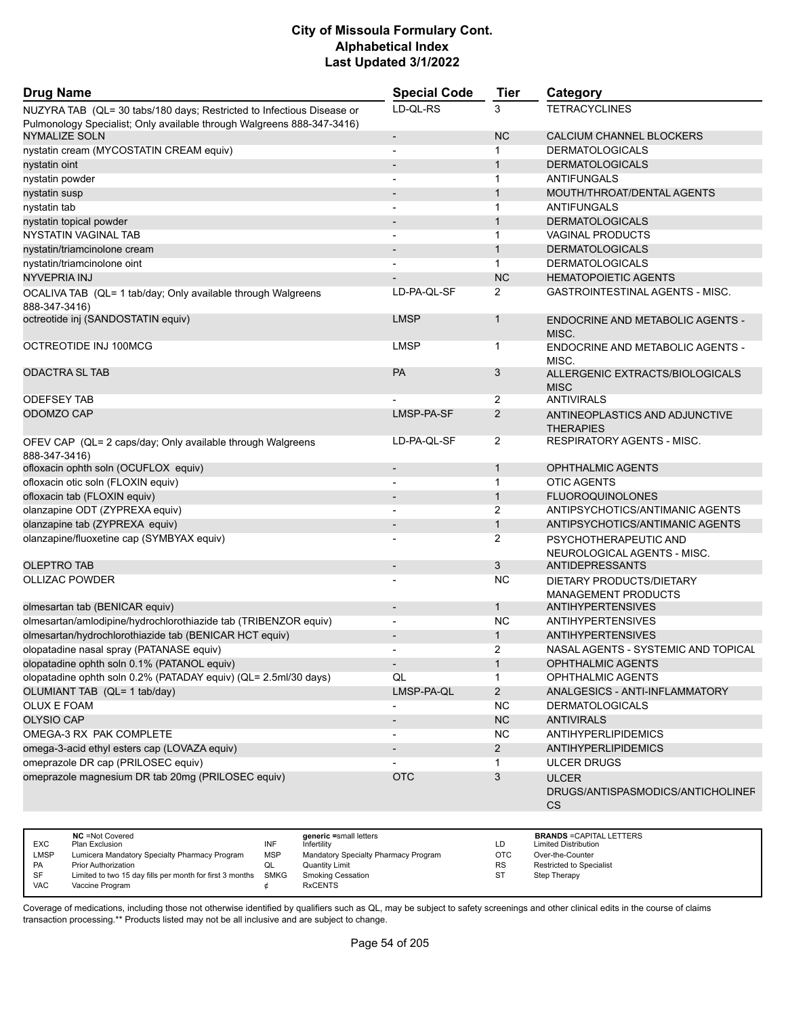| <b>Drug Name</b>                                                                                                                                | <b>Special Code</b>      | <b>Tier</b>    | Category                                                       |
|-------------------------------------------------------------------------------------------------------------------------------------------------|--------------------------|----------------|----------------------------------------------------------------|
| NUZYRA TAB (QL= 30 tabs/180 days; Restricted to Infectious Disease or<br>Pulmonology Specialist; Only available through Walgreens 888-347-3416) | LD-QL-RS                 | 3              | <b>TETRACYCLINES</b>                                           |
| <b>NYMALIZE SOLN</b>                                                                                                                            | $\overline{\phantom{a}}$ | <b>NC</b>      | CALCIUM CHANNEL BLOCKERS                                       |
| nystatin cream (MYCOSTATIN CREAM equiv)                                                                                                         |                          | 1              | <b>DERMATOLOGICALS</b>                                         |
| nystatin oint                                                                                                                                   |                          | $\mathbf{1}$   | <b>DERMATOLOGICALS</b>                                         |
| nystatin powder                                                                                                                                 |                          | 1              | ANTIFUNGALS                                                    |
| nystatin susp                                                                                                                                   |                          | $\mathbf{1}$   | MOUTH/THROAT/DENTAL AGENTS                                     |
| nystatin tab                                                                                                                                    |                          | 1              | ANTIFUNGALS                                                    |
| nystatin topical powder                                                                                                                         |                          | $\mathbf{1}$   | <b>DERMATOLOGICALS</b>                                         |
| <b>NYSTATIN VAGINAL TAB</b>                                                                                                                     |                          | 1              | <b>VAGINAL PRODUCTS</b>                                        |
| nystatin/triamcinolone cream                                                                                                                    |                          | $\mathbf{1}$   | <b>DERMATOLOGICALS</b>                                         |
| nystatin/triamcinolone oint                                                                                                                     |                          | $\mathbf{1}$   | <b>DERMATOLOGICALS</b>                                         |
| <b>NYVEPRIA INJ</b>                                                                                                                             |                          | <b>NC</b>      | <b>HEMATOPOIETIC AGENTS</b>                                    |
| OCALIVA TAB (QL= 1 tab/day; Only available through Walgreens<br>888-347-3416)                                                                   | LD-PA-QL-SF              | 2              | <b>GASTROINTESTINAL AGENTS - MISC.</b>                         |
| octreotide inj (SANDOSTATIN equiv)                                                                                                              | <b>LMSP</b>              | $\mathbf 1$    | <b>ENDOCRINE AND METABOLIC AGENTS -</b><br>MISC.               |
| OCTREOTIDE INJ 100MCG                                                                                                                           | <b>LMSP</b>              | 1              | ENDOCRINE AND METABOLIC AGENTS -<br>MISC.                      |
| <b>ODACTRA SL TAB</b>                                                                                                                           | PA                       | 3              | ALLERGENIC EXTRACTS/BIOLOGICALS<br><b>MISC</b>                 |
| <b>ODEFSEY TAB</b>                                                                                                                              |                          | 2              | <b>ANTIVIRALS</b>                                              |
| ODOMZO CAP                                                                                                                                      | LMSP-PA-SF               | $\overline{2}$ | ANTINEOPLASTICS AND ADJUNCTIVE<br><b>THERAPIES</b>             |
| OFEV CAP (QL= 2 caps/day; Only available through Walgreens<br>888-347-3416)                                                                     | LD-PA-QL-SF              | 2              | <b>RESPIRATORY AGENTS - MISC.</b>                              |
| ofloxacin ophth soln (OCUFLOX equiv)                                                                                                            |                          | $\mathbf{1}$   | <b>OPHTHALMIC AGENTS</b>                                       |
| ofloxacin otic soln (FLOXIN equiv)                                                                                                              |                          | $\mathbf{1}$   | <b>OTIC AGENTS</b>                                             |
| ofloxacin tab (FLOXIN equiv)                                                                                                                    | $\overline{\phantom{a}}$ | $\mathbf{1}$   | <b>FLUOROQUINOLONES</b>                                        |
| olanzapine ODT (ZYPREXA equiv)                                                                                                                  |                          | 2              | ANTIPSYCHOTICS/ANTIMANIC AGENTS                                |
| olanzapine tab (ZYPREXA equiv)                                                                                                                  | $\overline{\phantom{a}}$ | $\mathbf{1}$   | ANTIPSYCHOTICS/ANTIMANIC AGENTS                                |
| olanzapine/fluoxetine cap (SYMBYAX equiv)                                                                                                       |                          | 2              | PSYCHOTHERAPEUTIC AND<br>NEUROLOGICAL AGENTS - MISC.           |
| <b>OLEPTRO TAB</b>                                                                                                                              |                          | 3              | <b>ANTIDEPRESSANTS</b>                                         |
| <b>OLLIZAC POWDER</b>                                                                                                                           |                          | <b>NC</b>      | DIETARY PRODUCTS/DIETARY<br><b>MANAGEMENT PRODUCTS</b>         |
| olmesartan tab (BENICAR equiv)                                                                                                                  |                          | $\mathbf 1$    | <b>ANTIHYPERTENSIVES</b>                                       |
| olmesartan/amlodipine/hydrochlorothiazide tab (TRIBENZOR equiv)                                                                                 | $\overline{\phantom{a}}$ | <b>NC</b>      | <b>ANTIHYPERTENSIVES</b>                                       |
| olmesartan/hydrochlorothiazide tab (BENICAR HCT equiv)                                                                                          |                          | $\mathbf{1}$   | <b>ANTIHYPERTENSIVES</b>                                       |
| olopatadine nasal spray (PATANASE equiv)                                                                                                        |                          | $\overline{2}$ | NASAL AGENTS - SYSTEMIC AND TOPICAL                            |
| olopatadine ophth soln 0.1% (PATANOL equiv)                                                                                                     | $\overline{\phantom{a}}$ | $\mathbf{1}$   | OPHTHALMIC AGENTS                                              |
| olopatadine ophth soln 0.2% (PATADAY equiv) (QL= 2.5ml/30 days)                                                                                 | QL                       | 1              | OPHTHALMIC AGENTS                                              |
| OLUMIANT TAB (QL= 1 tab/day)                                                                                                                    | LMSP-PA-QL               | $\overline{2}$ | ANALGESICS - ANTI-INFLAMMATORY                                 |
| OLUX E FOAM                                                                                                                                     | $\blacksquare$           | <b>NC</b>      | <b>DERMATOLOGICALS</b>                                         |
| <b>OLYSIO CAP</b>                                                                                                                               | $\overline{\phantom{a}}$ | NC             | <b>ANTIVIRALS</b>                                              |
| OMEGA-3 RX PAK COMPLETE                                                                                                                         |                          | <b>NC</b>      | <b>ANTIHYPERLIPIDEMICS</b>                                     |
| omega-3-acid ethyl esters cap (LOVAZA equiv)                                                                                                    | $\overline{\phantom{a}}$ | $\overline{2}$ | <b>ANTIHYPERLIPIDEMICS</b>                                     |
| omeprazole DR cap (PRILOSEC equiv)                                                                                                              |                          | 1              | <b>ULCER DRUGS</b>                                             |
| omeprazole magnesium DR tab 20mg (PRILOSEC equiv)                                                                                               | <b>OTC</b>               | 3              | <b>ULCER</b><br>DRUGS/ANTISPASMODICS/ANTICHOLINEF<br><b>CS</b> |

| <b>EXC</b> | <b>NC</b> = Not Covered<br>Plan Exclusion                | INF        | generic =small letters<br>Infertilitv | LD         | <b>BRANDS = CAPITAL LETTERS</b><br><b>Limited Distribution</b> |
|------------|----------------------------------------------------------|------------|---------------------------------------|------------|----------------------------------------------------------------|
| LMSP       | Lumicera Mandatory Specialty Pharmacy Program            | <b>MSP</b> | Mandatory Specialty Pharmacy Program  | <b>OTC</b> | Over-the-Counter                                               |
| <b>PA</b>  | <b>Prior Authorization</b>                               | QL         | Quantity Limit                        | <b>RS</b>  | <b>Restricted to Specialist</b>                                |
| SF         | Limited to two 15 day fills per month for first 3 months | SMKG       | <b>Smoking Cessation</b>              | ST         | Step Therapy                                                   |
| <b>VAC</b> | Vaccine Program                                          |            | <b>RxCENTS</b>                        |            |                                                                |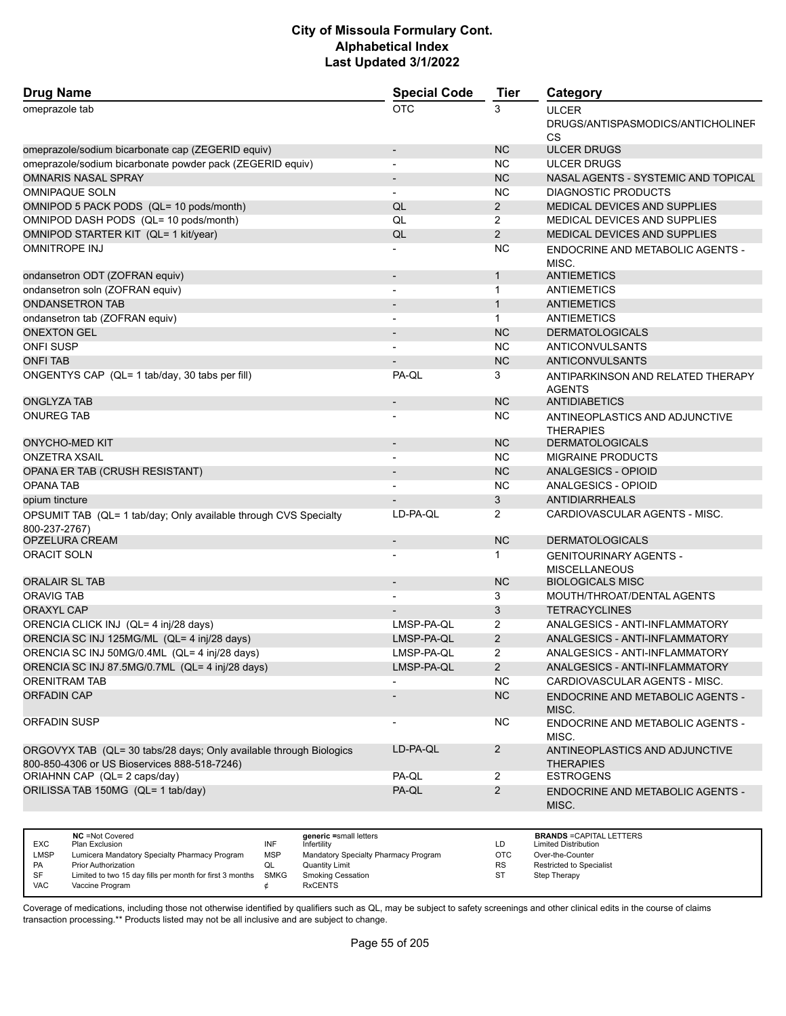| <b>Drug Name</b>                                                                                                   | <b>Special Code</b>      | <b>Tier</b>    | Category                                                       |
|--------------------------------------------------------------------------------------------------------------------|--------------------------|----------------|----------------------------------------------------------------|
| omeprazole tab                                                                                                     | <b>OTC</b>               | 3              | <b>ULCER</b><br>DRUGS/ANTISPASMODICS/ANTICHOLINEF<br><b>CS</b> |
| omeprazole/sodium bicarbonate cap (ZEGERID equiv)                                                                  | $\overline{\phantom{a}}$ | <b>NC</b>      | <b>ULCER DRUGS</b>                                             |
| omeprazole/sodium bicarbonate powder pack (ZEGERID equiv)                                                          | $\blacksquare$           | <b>NC</b>      | <b>ULCER DRUGS</b>                                             |
| <b>OMNARIS NASAL SPRAY</b>                                                                                         |                          | <b>NC</b>      | NASAL AGENTS - SYSTEMIC AND TOPICAL                            |
| <b>OMNIPAQUE SOLN</b>                                                                                              |                          | <b>NC</b>      | <b>DIAGNOSTIC PRODUCTS</b>                                     |
| OMNIPOD 5 PACK PODS (QL= 10 pods/month)                                                                            | QL                       | $\overline{2}$ | MEDICAL DEVICES AND SUPPLIES                                   |
| OMNIPOD DASH PODS (QL= 10 pods/month)                                                                              | QL                       | $\overline{2}$ | MEDICAL DEVICES AND SUPPLIES                                   |
| OMNIPOD STARTER KIT (QL= 1 kit/year)                                                                               | QL                       | 2              | MEDICAL DEVICES AND SUPPLIES                                   |
| <b>OMNITROPE INJ</b>                                                                                               |                          | <b>NC</b>      | ENDOCRINE AND METABOLIC AGENTS -<br>MISC.                      |
| ondansetron ODT (ZOFRAN equiv)                                                                                     | $\overline{\phantom{a}}$ | $\mathbf{1}$   | <b>ANTIEMETICS</b>                                             |
| ondansetron soln (ZOFRAN equiv)                                                                                    |                          | $\mathbf{1}$   | ANTIEMETICS                                                    |
| <b>ONDANSETRON TAB</b>                                                                                             |                          | $\mathbf{1}$   | <b>ANTIEMETICS</b>                                             |
| ondansetron tab (ZOFRAN equiv)                                                                                     | $\blacksquare$           | $\mathbf{1}$   | <b>ANTIEMETICS</b>                                             |
| <b>ONEXTON GEL</b>                                                                                                 |                          | <b>NC</b>      | <b>DERMATOLOGICALS</b>                                         |
| <b>ONFI SUSP</b>                                                                                                   |                          | <b>NC</b>      | ANTICONVULSANTS                                                |
| <b>ONFI TAB</b>                                                                                                    |                          | <b>NC</b>      | <b>ANTICONVULSANTS</b>                                         |
| ONGENTYS CAP (QL= 1 tab/day, 30 tabs per fill)                                                                     | PA-QL                    | 3              | ANTIPARKINSON AND RELATED THERAPY<br><b>AGENTS</b>             |
| <b>ONGLYZA TAB</b>                                                                                                 |                          | <b>NC</b>      | <b>ANTIDIABETICS</b>                                           |
| <b>ONUREG TAB</b>                                                                                                  |                          | <b>NC</b>      | ANTINEOPLASTICS AND ADJUNCTIVE<br><b>THERAPIES</b>             |
| <b>ONYCHO-MED KIT</b>                                                                                              | $\overline{\phantom{a}}$ | <b>NC</b>      | <b>DERMATOLOGICALS</b>                                         |
| <b>ONZETRA XSAIL</b>                                                                                               |                          | <b>NC</b>      | <b>MIGRAINE PRODUCTS</b>                                       |
| OPANA ER TAB (CRUSH RESISTANT)                                                                                     |                          | <b>NC</b>      | <b>ANALGESICS - OPIOID</b>                                     |
| <b>OPANA TAB</b>                                                                                                   |                          | <b>NC</b>      | ANALGESICS - OPIOID                                            |
| opium tincture                                                                                                     |                          | 3              | <b>ANTIDIARRHEALS</b>                                          |
| OPSUMIT TAB (QL= 1 tab/day; Only available through CVS Specialty<br>800-237-2767)                                  | LD-PA-QL                 | 2              | CARDIOVASCULAR AGENTS - MISC.                                  |
| OPZELURA CREAM                                                                                                     |                          | <b>NC</b>      | <b>DERMATOLOGICALS</b>                                         |
| <b>ORACIT SOLN</b>                                                                                                 |                          | $\mathbf 1$    | <b>GENITOURINARY AGENTS -</b><br><b>MISCELLANEOUS</b>          |
| <b>ORALAIR SL TAB</b>                                                                                              |                          | <b>NC</b>      | <b>BIOLOGICALS MISC</b>                                        |
| <b>ORAVIG TAB</b>                                                                                                  |                          | 3              | MOUTH/THROAT/DENTAL AGENTS                                     |
| <b>ORAXYL CAP</b>                                                                                                  |                          | 3              | <b>TETRACYCLINES</b>                                           |
| ORENCIA CLICK INJ (QL= 4 inj/28 days)                                                                              | LMSP-PA-QL               | 2              | ANALGESICS - ANTI-INFLAMMATORY                                 |
| ORENCIA SC INJ 125MG/ML (QL= 4 inj/28 days)                                                                        | LMSP-PA-QL               | 2              | ANALGESICS - ANTI-INFLAMMATORY                                 |
| ORENCIA SC INJ 50MG/0.4ML (QL= 4 inj/28 days)                                                                      | LMSP-PA-QL               | 2              | ANALGESICS - ANTI-INFLAMMATORY                                 |
| ORENCIA SC INJ 87.5MG/0.7ML (QL= 4 inj/28 days)                                                                    | LMSP-PA-QL               | $2^{\circ}$    | ANALGESICS - ANTI-INFLAMMATORY                                 |
| <b>ORENITRAM TAB</b>                                                                                               |                          | <b>NC</b>      | CARDIOVASCULAR AGENTS - MISC.                                  |
| <b>ORFADIN CAP</b>                                                                                                 |                          | NC             | ENDOCRINE AND METABOLIC AGENTS -<br>MISC.                      |
| ORFADIN SUSP                                                                                                       | $\blacksquare$           | <b>NC</b>      | ENDOCRINE AND METABOLIC AGENTS -<br>MISC.                      |
| ORGOVYX TAB (QL= 30 tabs/28 days; Only available through Biologics<br>800-850-4306 or US Bioservices 888-518-7246) | LD-PA-QL                 | $\overline{2}$ | ANTINEOPLASTICS AND ADJUNCTIVE<br><b>THERAPIES</b>             |
| ORIAHNN CAP (QL= 2 caps/day)                                                                                       | PA-QL                    | $\overline{2}$ | <b>ESTROGENS</b>                                               |
| ORILISSA TAB 150MG (QL= 1 tab/day)                                                                                 | PA-QL                    | $\overline{2}$ | ENDOCRINE AND METABOLIC AGENTS -<br>MISC.                      |

| <b>EXC</b>  | <b>NC</b> = Not Covered<br>Plan Exclusion                     | INF        | generic =small letters<br>Infertility | LD        | <b>BRANDS = CAPITAL LETTERS</b><br><b>Limited Distribution</b> |
|-------------|---------------------------------------------------------------|------------|---------------------------------------|-----------|----------------------------------------------------------------|
|             |                                                               |            |                                       |           |                                                                |
| <b>LMSP</b> | Lumicera Mandatory Specialty Pharmacy Program                 | <b>MSP</b> | Mandatory Specialty Pharmacy Program  | ОТС       | Over-the-Counter                                               |
| PA          | Prior Authorization                                           | QL         | <b>Quantity Limit</b>                 | <b>RS</b> | Restricted to Specialist                                       |
| SF          | Limited to two 15 day fills per month for first 3 months SMKG |            | <b>Smoking Cessation</b>              | ST        | Step Therapy                                                   |
| <b>VAC</b>  | Vaccine Program                                               |            | <b>RxCENTS</b>                        |           |                                                                |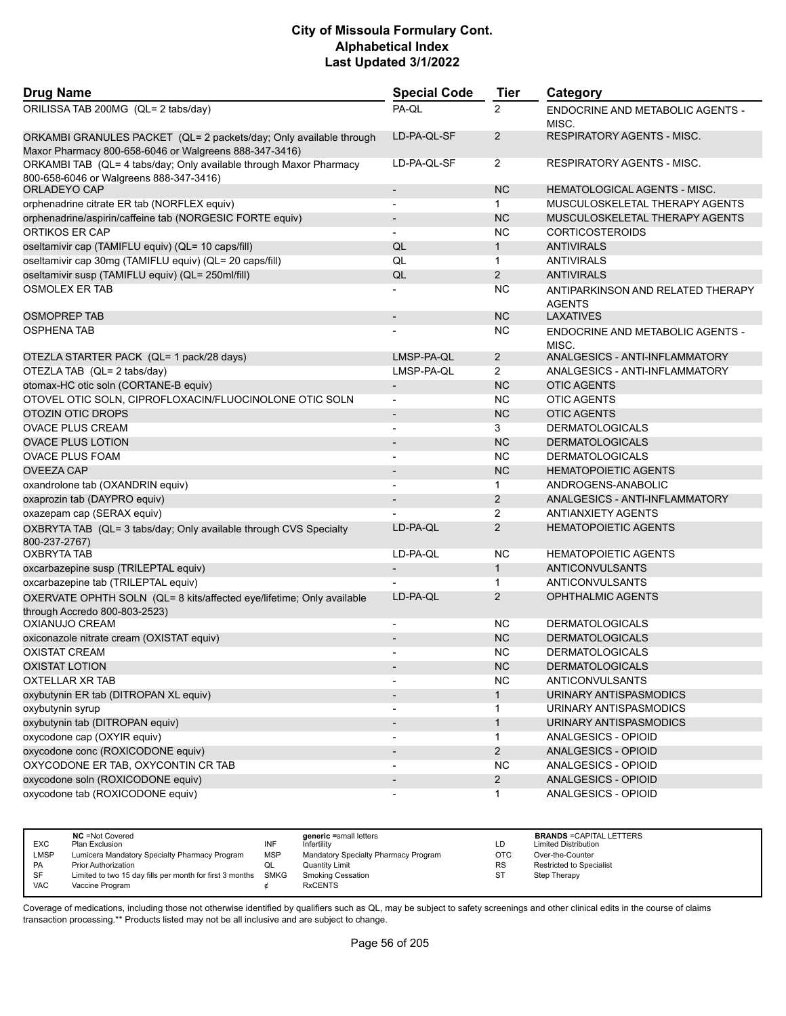| <b>Drug Name</b>                                                                                                             | <b>Special Code</b>      | <b>Tier</b>    | Category                                           |
|------------------------------------------------------------------------------------------------------------------------------|--------------------------|----------------|----------------------------------------------------|
| ORILISSA TAB 200MG (QL= 2 tabs/day)                                                                                          | PA-QL                    | $\overline{2}$ | <b>ENDOCRINE AND METABOLIC AGENTS -</b><br>MISC.   |
| ORKAMBI GRANULES PACKET (QL= 2 packets/day; Only available through<br>Maxor Pharmacy 800-658-6046 or Walgreens 888-347-3416) | LD-PA-QL-SF              | $\overline{2}$ | RESPIRATORY AGENTS - MISC.                         |
| ORKAMBI TAB (QL= 4 tabs/day; Only available through Maxor Pharmacy<br>800-658-6046 or Walgreens 888-347-3416)                | LD-PA-QL-SF              | 2              | RESPIRATORY AGENTS - MISC.                         |
| ORLADEYO CAP                                                                                                                 | $\overline{\phantom{a}}$ | <b>NC</b>      | <b>HEMATOLOGICAL AGENTS - MISC.</b>                |
| orphenadrine citrate ER tab (NORFLEX equiv)                                                                                  | $\blacksquare$           | 1.             | MUSCULOSKELETAL THERAPY AGENTS                     |
| orphenadrine/aspirin/caffeine tab (NORGESIC FORTE equiv)                                                                     |                          | <b>NC</b>      | MUSCULOSKELETAL THERAPY AGENTS                     |
| ORTIKOS ER CAP                                                                                                               | $\overline{a}$           | ΝC             | <b>CORTICOSTEROIDS</b>                             |
| oseltamivir cap (TAMIFLU equiv) (QL= 10 caps/fill)                                                                           | QL                       | $\mathbf{1}$   | <b>ANTIVIRALS</b>                                  |
| oseltamivir cap 30mg (TAMIFLU equiv) (QL= 20 caps/fill)                                                                      | QL                       | $\mathbf{1}$   | <b>ANTIVIRALS</b>                                  |
| oseltamivir susp (TAMIFLU equiv) (QL= 250ml/fill)                                                                            | QL                       | $\overline{2}$ | <b>ANTIVIRALS</b>                                  |
| <b>OSMOLEX ER TAB</b>                                                                                                        |                          | <b>NC</b>      | ANTIPARKINSON AND RELATED THERAPY<br><b>AGENTS</b> |
| <b>OSMOPREP TAB</b>                                                                                                          | $\overline{\phantom{m}}$ | <b>NC</b>      | <b>LAXATIVES</b>                                   |
| OSPHENA TAB                                                                                                                  |                          | <b>NC</b>      | ENDOCRINE AND METABOLIC AGENTS -<br>MISC.          |
| OTEZLA STARTER PACK (QL= 1 pack/28 days)                                                                                     | LMSP-PA-QL               | $\overline{2}$ | ANALGESICS - ANTI-INFLAMMATORY                     |
| OTEZLA TAB (QL= 2 tabs/day)                                                                                                  | LMSP-PA-QL               | $\overline{2}$ | ANALGESICS - ANTI-INFLAMMATORY                     |
| otomax-HC otic soln (CORTANE-B equiv)                                                                                        |                          | <b>NC</b>      | <b>OTIC AGENTS</b>                                 |
| OTOVEL OTIC SOLN, CIPROFLOXACIN/FLUOCINOLONE OTIC SOLN                                                                       | $\blacksquare$           | <b>NC</b>      | <b>OTIC AGENTS</b>                                 |
| OTOZIN OTIC DROPS                                                                                                            | $\overline{\phantom{0}}$ | <b>NC</b>      | <b>OTIC AGENTS</b>                                 |
| <b>OVACE PLUS CREAM</b>                                                                                                      | $\blacksquare$           | 3              | <b>DERMATOLOGICALS</b>                             |
| <b>OVACE PLUS LOTION</b>                                                                                                     |                          | <b>NC</b>      | <b>DERMATOLOGICALS</b>                             |
| <b>OVACE PLUS FOAM</b>                                                                                                       |                          | <b>NC</b>      | <b>DERMATOLOGICALS</b>                             |
| <b>OVEEZA CAP</b>                                                                                                            |                          | <b>NC</b>      | <b>HEMATOPOIETIC AGENTS</b>                        |
| oxandrolone tab (OXANDRIN equiv)                                                                                             | $\blacksquare$           | 1              | ANDROGENS-ANABOLIC                                 |
| oxaprozin tab (DAYPRO equiv)                                                                                                 |                          | $\overline{2}$ | ANALGESICS - ANTI-INFLAMMATORY                     |
| oxazepam cap (SERAX equiv)                                                                                                   |                          | $\overline{2}$ | <b>ANTIANXIETY AGENTS</b>                          |
| OXBRYTA TAB (QL= 3 tabs/day; Only available through CVS Specialty<br>800-237-2767)                                           | LD-PA-QL                 | $\overline{2}$ | <b>HEMATOPOIETIC AGENTS</b>                        |
| OXBRYTA TAB                                                                                                                  | LD-PA-QL                 | <b>NC</b>      | <b>HEMATOPOIETIC AGENTS</b>                        |
| oxcarbazepine susp (TRILEPTAL equiv)                                                                                         |                          | $\mathbf{1}$   | ANTICONVULSANTS                                    |
| oxcarbazepine tab (TRILEPTAL equiv)                                                                                          |                          | $\mathbf{1}$   | ANTICONVULSANTS                                    |
| OXERVATE OPHTH SOLN (QL= 8 kits/affected eye/lifetime; Only available<br>through Accredo 800-803-2523)                       | LD-PA-QL                 | 2              | <b>OPHTHALMIC AGENTS</b>                           |
| OXIANUJO CREAM                                                                                                               | $\overline{\phantom{a}}$ | <b>NC</b>      | <b>DERMATOLOGICALS</b>                             |
| oxiconazole nitrate cream (OXISTAT equiv)                                                                                    |                          | <b>NC</b>      | <b>DERMATOLOGICALS</b>                             |
| <b>OXISTAT CREAM</b>                                                                                                         | $\blacksquare$           | <b>NC</b>      | <b>DERMATOLOGICALS</b>                             |
| <b>OXISTAT LOTION</b>                                                                                                        |                          | <b>NC</b>      | <b>DERMATOLOGICALS</b>                             |
| <b>OXTELLAR XR TAB</b>                                                                                                       |                          | <b>NC</b>      | ANTICONVULSANTS                                    |
| oxybutynin ER tab (DITROPAN XL equiv)                                                                                        |                          | $\mathbf{1}$   | URINARY ANTISPASMODICS                             |
| oxybutynin syrup                                                                                                             | $\overline{\phantom{a}}$ | 1              | URINARY ANTISPASMODICS                             |
| oxybutynin tab (DITROPAN equiv)                                                                                              |                          | 1              | URINARY ANTISPASMODICS                             |
| oxycodone cap (OXYIR equiv)                                                                                                  | $\overline{\phantom{a}}$ | $\mathbf{1}$   | ANALGESICS - OPIOID                                |
| oxycodone conc (ROXICODONE equiv)                                                                                            | $\overline{\phantom{a}}$ | $\overline{2}$ | ANALGESICS - OPIOID                                |
| OXYCODONE ER TAB, OXYCONTIN CR TAB                                                                                           |                          | <b>NC</b>      | ANALGESICS - OPIOID                                |
| oxycodone soln (ROXICODONE equiv)                                                                                            |                          | $\overline{2}$ | ANALGESICS - OPIOID                                |
| oxycodone tab (ROXICODONE equiv)                                                                                             |                          | 1              | ANALGESICS - OPIOID                                |

| <b>EXC</b> | <b>NC</b> = Not Covered<br>Plan Exclusion                     | INF | generic =small letters<br>Infertility | LD         | <b>BRANDS = CAPITAL LETTERS</b><br><b>Limited Distribution</b> |
|------------|---------------------------------------------------------------|-----|---------------------------------------|------------|----------------------------------------------------------------|
| LMSP       | Lumicera Mandatory Specialty Pharmacy Program                 | MSP | Mandatory Specialty Pharmacy Program  | <b>OTC</b> | Over-the-Counter                                               |
| <b>PA</b>  | <b>Prior Authorization</b>                                    | ◡   | Quantity Limit                        | <b>RS</b>  | <b>Restricted to Specialist</b>                                |
| <b>SF</b>  | Limited to two 15 day fills per month for first 3 months SMKG |     | <b>Smoking Cessation</b>              | ST         | Step Therapy                                                   |
| <b>VAC</b> | Vaccine Program                                               |     | <b>RxCENTS</b>                        |            |                                                                |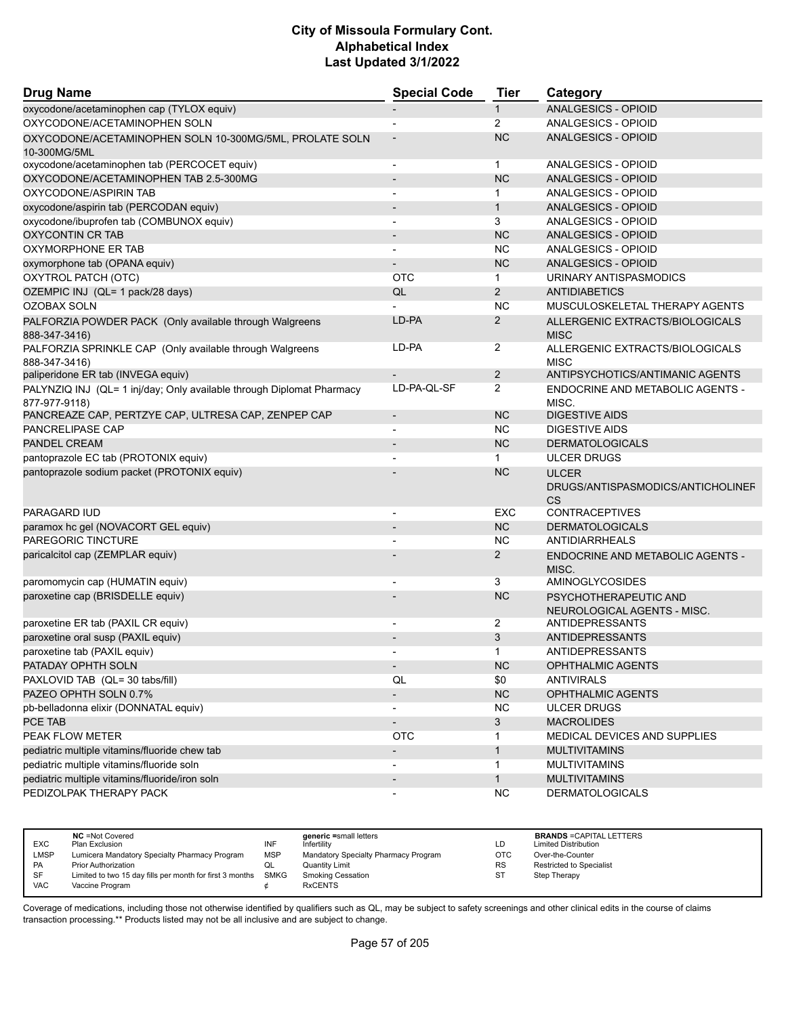| <b>Drug Name</b>                                                                      | <b>Special Code</b>      | <b>Tier</b>              | Category                                                       |
|---------------------------------------------------------------------------------------|--------------------------|--------------------------|----------------------------------------------------------------|
| oxycodone/acetaminophen cap (TYLOX equiv)                                             |                          | $\mathbf{1}$             | <b>ANALGESICS - OPIOID</b>                                     |
| OXYCODONE/ACETAMINOPHEN SOLN                                                          | $\overline{\phantom{a}}$ | $\overline{2}$           | ANALGESICS - OPIOID                                            |
| OXYCODONE/ACETAMINOPHEN SOLN 10-300MG/5ML, PROLATE SOLN                               |                          | <b>NC</b>                | ANALGESICS - OPIOID                                            |
| 10-300MG/5ML                                                                          |                          |                          | ANALGESICS - OPIOID                                            |
| oxycodone/acetaminophen tab (PERCOCET equiv)<br>OXYCODONE/ACETAMINOPHEN TAB 2.5-300MG |                          | 1<br><b>NC</b>           | ANALGESICS - OPIOID                                            |
|                                                                                       |                          |                          |                                                                |
| OXYCODONE/ASPIRIN TAB                                                                 | $\overline{a}$           | 1                        | ANALGESICS - OPIOID<br>ANALGESICS - OPIOID                     |
| oxycodone/aspirin tab (PERCODAN equiv)<br>oxycodone/ibuprofen tab (COMBUNOX equiv)    |                          | $\mathbf{1}$<br>3        | ANALGESICS - OPIOID                                            |
| <b>OXYCONTIN CR TAB</b>                                                               | $\overline{\phantom{a}}$ | <b>NC</b>                | ANALGESICS - OPIOID                                            |
| OXYMORPHONE ER TAB                                                                    | $\overline{\phantom{a}}$ | <b>NC</b>                | ANALGESICS - OPIOID                                            |
|                                                                                       |                          | <b>NC</b>                |                                                                |
| oxymorphone tab (OPANA equiv)<br>OXYTROL PATCH (OTC)                                  | <b>OTC</b>               | $\mathbf{1}$             | <b>ANALGESICS - OPIOID</b><br>URINARY ANTISPASMODICS           |
|                                                                                       | QL                       | 2                        | <b>ANTIDIABETICS</b>                                           |
| OZEMPIC INJ (QL= 1 pack/28 days)<br><b>OZOBAX SOLN</b>                                |                          | <b>NC</b>                | MUSCULOSKELETAL THERAPY AGENTS                                 |
|                                                                                       |                          |                          |                                                                |
| PALFORZIA POWDER PACK (Only available through Walgreens<br>888-347-3416)              | LD-PA                    | 2                        | ALLERGENIC EXTRACTS/BIOLOGICALS<br><b>MISC</b>                 |
| PALFORZIA SPRINKLE CAP (Only available through Walgreens<br>888-347-3416)             | LD-PA                    | 2                        | ALLERGENIC EXTRACTS/BIOLOGICALS<br><b>MISC</b>                 |
| paliperidone ER tab (INVEGA equiv)                                                    |                          | 2                        | ANTIPSYCHOTICS/ANTIMANIC AGENTS                                |
| PALYNZIQ INJ (QL= 1 inj/day; Only available through Diplomat Pharmacy                 | LD-PA-QL-SF              | 2                        | <b>ENDOCRINE AND METABOLIC AGENTS -</b>                        |
| 877-977-9118)                                                                         |                          |                          | MISC.                                                          |
| PANCREAZE CAP, PERTZYE CAP, ULTRESA CAP, ZENPEP CAP                                   | $\overline{\phantom{a}}$ | <b>NC</b>                | <b>DIGESTIVE AIDS</b>                                          |
| PANCRELIPASE CAP<br><b>PANDEL CREAM</b>                                               |                          | <b>NC</b><br><b>NC</b>   | <b>DIGESTIVE AIDS</b>                                          |
|                                                                                       |                          |                          | <b>DERMATOLOGICALS</b><br><b>ULCER DRUGS</b>                   |
| pantoprazole EC tab (PROTONIX equiv)<br>pantoprazole sodium packet (PROTONIX equiv)   |                          | $\mathbf 1$<br><b>NC</b> |                                                                |
|                                                                                       |                          |                          | <b>ULCER</b><br>DRUGS/ANTISPASMODICS/ANTICHOLINEF<br><b>CS</b> |
| <b>PARAGARD IUD</b>                                                                   | $\overline{\phantom{a}}$ | <b>EXC</b>               | <b>CONTRACEPTIVES</b>                                          |
| paramox hc gel (NOVACORT GEL equiv)                                                   |                          | <b>NC</b>                | <b>DERMATOLOGICALS</b>                                         |
| PAREGORIC TINCTURE                                                                    |                          | <b>NC</b>                | <b>ANTIDIARRHEALS</b>                                          |
| paricalcitol cap (ZEMPLAR equiv)                                                      |                          | 2                        | <b>ENDOCRINE AND METABOLIC AGENTS -</b><br>MISC.               |
| paromomycin cap (HUMATIN equiv)                                                       |                          | 3                        | AMINOGLYCOSIDES                                                |
| paroxetine cap (BRISDELLE equiv)                                                      |                          | <b>NC</b>                | PSYCHOTHERAPEUTIC AND<br>NEUROLOGICAL AGENTS - MISC.           |
| paroxetine ER tab (PAXIL CR equiv)                                                    | $\blacksquare$           | 2                        | ANTIDEPRESSANTS                                                |
| paroxetine oral susp (PAXIL equiv)                                                    |                          | 3                        | <b>ANTIDEPRESSANTS</b>                                         |
| paroxetine tab (PAXIL equiv)                                                          | $\blacksquare$           | $\mathbf 1$              | ANTIDEPRESSANTS                                                |
| PATADAY OPHTH SOLN                                                                    | $\overline{\phantom{a}}$ | NC                       | OPHTHALMIC AGENTS                                              |
| PAXLOVID TAB (QL= 30 tabs/fill)                                                       | QL                       | \$0                      | <b>ANTIVIRALS</b>                                              |
| PAZEO OPHTH SOLN 0.7%                                                                 | $\overline{\phantom{a}}$ | NC                       | OPHTHALMIC AGENTS                                              |
| pb-belladonna elixir (DONNATAL equiv)                                                 | $\overline{\phantom{a}}$ | <b>NC</b>                | <b>ULCER DRUGS</b>                                             |
| PCE TAB                                                                               |                          | 3                        | <b>MACROLIDES</b>                                              |
| PEAK FLOW METER                                                                       | <b>OTC</b>               | $\mathbf 1$              | MEDICAL DEVICES AND SUPPLIES                                   |
| pediatric multiple vitamins/fluoride chew tab                                         |                          | $\mathbf{1}$             | <b>MULTIVITAMINS</b>                                           |
| pediatric multiple vitamins/fluoride soln                                             |                          | 1                        | <b>MULTIVITAMINS</b>                                           |
| pediatric multiple vitamins/fluoride/iron soln                                        |                          | $\mathbf{1}$             | <b>MULTIVITAMINS</b>                                           |
| PEDIZOLPAK THERAPY PACK                                                               | $\overline{a}$           | <b>NC</b>                | <b>DERMATOLOGICALS</b>                                         |

| <b>EXC</b>  | <b>NC</b> = Not Covered<br>Plan Exclusion                | INF         | generic =small letters<br>Infertility | LD        | <b>BRANDS = CAPITAL LETTERS</b><br><b>Limited Distribution</b> |
|-------------|----------------------------------------------------------|-------------|---------------------------------------|-----------|----------------------------------------------------------------|
| <b>LMSP</b> | Lumicera Mandatory Specialty Pharmacy Program            | <b>MSP</b>  | Mandatory Specialty Pharmacy Program  | OTC       | Over-the-Counter                                               |
| PA          | <b>Prior Authorization</b>                               | QL          | <b>Quantity Limit</b>                 | <b>RS</b> | Restricted to Specialist                                       |
| SF          | Limited to two 15 day fills per month for first 3 months | <b>SMKG</b> | <b>Smoking Cessation</b>              | ST        | Step Therapy                                                   |
| <b>VAC</b>  | Vaccine Program                                          |             | <b>RxCENTS</b>                        |           |                                                                |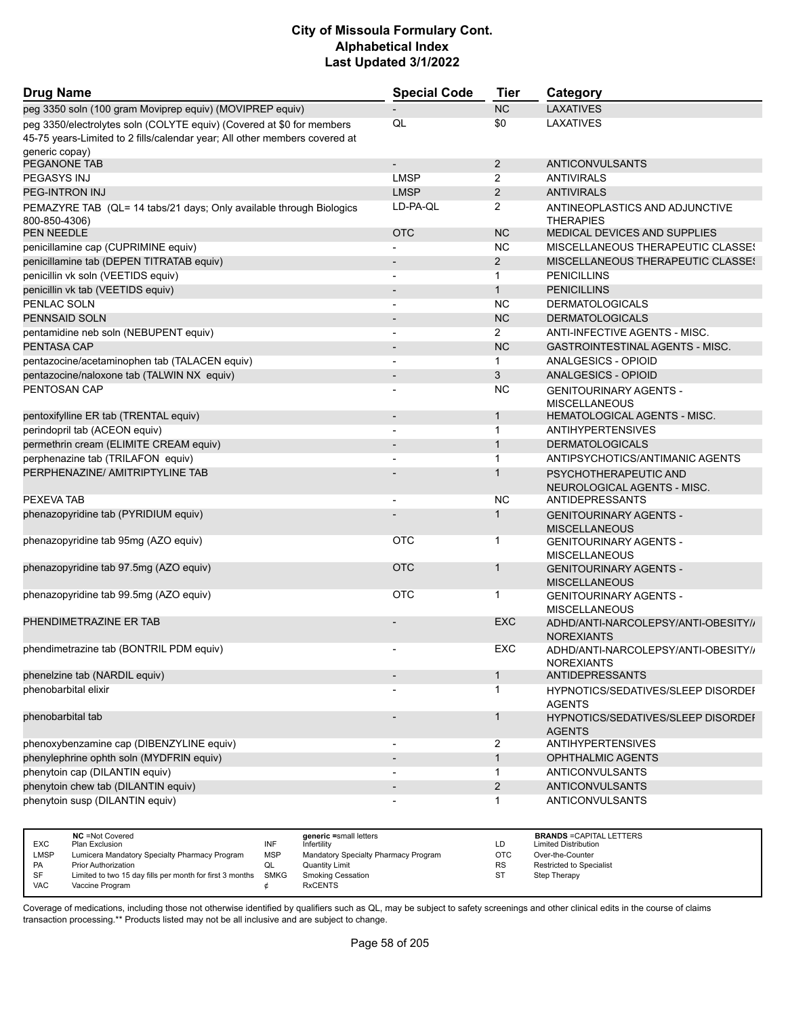| <b>Drug Name</b>                                                                                                                                    | <b>Special Code</b>      | Tier           | Category                                                   |
|-----------------------------------------------------------------------------------------------------------------------------------------------------|--------------------------|----------------|------------------------------------------------------------|
| peg 3350 soln (100 gram Moviprep equiv) (MOVIPREP equiv)                                                                                            |                          | <b>NC</b>      | <b>LAXATIVES</b>                                           |
| peg 3350/electrolytes soln (COLYTE equiv) (Covered at \$0 for members<br>45-75 years-Limited to 2 fills/calendar year; All other members covered at | QL                       | \$0            | <b>LAXATIVES</b>                                           |
| generic copay)<br>PEGANONE TAB                                                                                                                      | $\overline{\phantom{a}}$ | $\overline{2}$ | ANTICONVULSANTS                                            |
| PEGASYS INJ                                                                                                                                         | <b>LMSP</b>              | 2              | <b>ANTIVIRALS</b>                                          |
| PEG-INTRON INJ                                                                                                                                      | <b>LMSP</b>              | $\overline{2}$ | <b>ANTIVIRALS</b>                                          |
|                                                                                                                                                     |                          |                |                                                            |
| PEMAZYRE TAB (QL= 14 tabs/21 days; Only available through Biologics<br>800-850-4306)                                                                | LD-PA-QL                 | 2              | ANTINEOPLASTICS AND ADJUNCTIVE<br><b>THERAPIES</b>         |
| <b>PEN NEEDLE</b>                                                                                                                                   | <b>OTC</b>               | <b>NC</b>      | MEDICAL DEVICES AND SUPPLIES                               |
| penicillamine cap (CUPRIMINE equiv)                                                                                                                 |                          | <b>NC</b>      | MISCELLANEOUS THERAPEUTIC CLASSES                          |
| penicillamine tab (DEPEN TITRATAB equiv)                                                                                                            |                          | $\overline{2}$ | MISCELLANEOUS THERAPEUTIC CLASSES                          |
| penicillin vk soln (VEETIDS equiv)                                                                                                                  | $\overline{\phantom{a}}$ | $\mathbf{1}$   | <b>PENICILLINS</b>                                         |
| penicillin vk tab (VEETIDS equiv)                                                                                                                   |                          | $\mathbf{1}$   | <b>PENICILLINS</b>                                         |
| PENLAC SOLN                                                                                                                                         |                          | <b>NC</b>      | <b>DERMATOLOGICALS</b>                                     |
| PENNSAID SOLN                                                                                                                                       | $\overline{\phantom{a}}$ | <b>NC</b>      | <b>DERMATOLOGICALS</b>                                     |
| pentamidine neb soln (NEBUPENT equiv)                                                                                                               | $\overline{a}$           | $\overline{2}$ | ANTI-INFECTIVE AGENTS - MISC.                              |
| <b>PENTASA CAP</b>                                                                                                                                  |                          | <b>NC</b>      | <b>GASTROINTESTINAL AGENTS - MISC.</b>                     |
| pentazocine/acetaminophen tab (TALACEN equiv)                                                                                                       | L,                       | 1              | ANALGESICS - OPIOID                                        |
| pentazocine/naloxone tab (TALWIN NX equiv)                                                                                                          | $\overline{\phantom{a}}$ | 3              | <b>ANALGESICS - OPIOID</b>                                 |
| PENTOSAN CAP                                                                                                                                        |                          | <b>NC</b>      |                                                            |
|                                                                                                                                                     |                          |                | <b>GENITOURINARY AGENTS -</b><br><b>MISCELLANEOUS</b>      |
| pentoxifylline ER tab (TRENTAL equiv)                                                                                                               |                          | $\mathbf{1}$   | <b>HEMATOLOGICAL AGENTS - MISC.</b>                        |
| perindopril tab (ACEON equiv)                                                                                                                       | $\overline{\phantom{a}}$ | 1              | <b>ANTIHYPERTENSIVES</b>                                   |
| permethrin cream (ELIMITE CREAM equiv)                                                                                                              |                          | $\mathbf{1}$   | <b>DERMATOLOGICALS</b>                                     |
| perphenazine tab (TRILAFON equiv)                                                                                                                   |                          | 1              | ANTIPSYCHOTICS/ANTIMANIC AGENTS                            |
| PERPHENAZINE/ AMITRIPTYLINE TAB                                                                                                                     |                          | $\mathbf 1$    | PSYCHOTHERAPEUTIC AND<br>NEUROLOGICAL AGENTS - MISC.       |
| PEXEVA TAB                                                                                                                                          | $\blacksquare$           | ΝC             | ANTIDEPRESSANTS                                            |
| phenazopyridine tab (PYRIDIUM equiv)                                                                                                                |                          | 1              | <b>GENITOURINARY AGENTS -</b>                              |
|                                                                                                                                                     | <b>OTC</b>               | 1              | <b>MISCELLANEOUS</b>                                       |
| phenazopyridine tab 95mg (AZO equiv)                                                                                                                |                          |                | <b>GENITOURINARY AGENTS -</b><br><b>MISCELLANEOUS</b>      |
| phenazopyridine tab 97.5mg (AZO equiv)                                                                                                              | <b>OTC</b>               | 1              | <b>GENITOURINARY AGENTS -</b><br><b>MISCELLANEOUS</b>      |
| phenazopyridine tab 99.5mg (AZO equiv)                                                                                                              | <b>OTC</b>               | 1              | <b>GENITOURINARY AGENTS -</b><br><b>MISCELLANEOUS</b>      |
| PHENDIMETRAZINE ER TAB                                                                                                                              |                          | <b>EXC</b>     | ADHD/ANTI-NARCOLEPSY/ANTI-OBESITY//<br><b>NOREXIANTS</b>   |
| phendimetrazine tab (BONTRIL PDM equiv)                                                                                                             |                          | EXC            | ADHD/ANTI-NARCOLEPSY/ANTI-OBESITY//<br><b>NOREXIANTS</b>   |
| phenelzine tab (NARDIL equiv)                                                                                                                       | $\overline{\phantom{a}}$ | 1              | ANTIDEPRESSANTS                                            |
| phenobarbital elixir                                                                                                                                |                          | 1              | HYPNOTICS/SEDATIVES/SLEEP DISORDEF                         |
|                                                                                                                                                     |                          |                | <b>AGENTS</b>                                              |
| phenobarbital tab                                                                                                                                   |                          | 1              | <b>HYPNOTICS/SEDATIVES/SLEEP DISORDEF</b><br><b>AGENTS</b> |
| phenoxybenzamine cap (DIBENZYLINE equiv)                                                                                                            | $\overline{\phantom{a}}$ | 2              | <b>ANTIHYPERTENSIVES</b>                                   |
| phenylephrine ophth soln (MYDFRIN equiv)                                                                                                            | $\blacksquare$           | $\mathbf{1}$   | <b>OPHTHALMIC AGENTS</b>                                   |
| phenytoin cap (DILANTIN equiv)                                                                                                                      |                          | 1              | <b>ANTICONVULSANTS</b>                                     |
| phenytoin chew tab (DILANTIN equiv)                                                                                                                 |                          | $\overline{c}$ | <b>ANTICONVULSANTS</b>                                     |
| phenytoin susp (DILANTIN equiv)                                                                                                                     |                          | 1              | ANTICONVULSANTS                                            |

|            | <b>NC</b> = Not Covered                                       |            | generic =small letters               |           | <b>BRANDS = CAPITAL LETTERS</b> |
|------------|---------------------------------------------------------------|------------|--------------------------------------|-----------|---------------------------------|
| <b>EXC</b> | Plan Exclusion                                                | INF        | Infertility                          | LD        | <b>Limited Distribution</b>     |
| LMSP       | Lumicera Mandatory Specialty Pharmacy Program                 | <b>MSP</b> | Mandatory Specialty Pharmacy Program | OTC       | Over-the-Counter                |
| <b>PA</b>  | <b>Prior Authorization</b>                                    | QL         | Quantity Limit                       | <b>RS</b> | Restricted to Specialist        |
| SF         | Limited to two 15 day fills per month for first 3 months SMKG |            | <b>Smoking Cessation</b>             | <b>ST</b> | Step Therapy                    |
| <b>VAC</b> | Vaccine Program                                               |            | <b>RxCENTS</b>                       |           |                                 |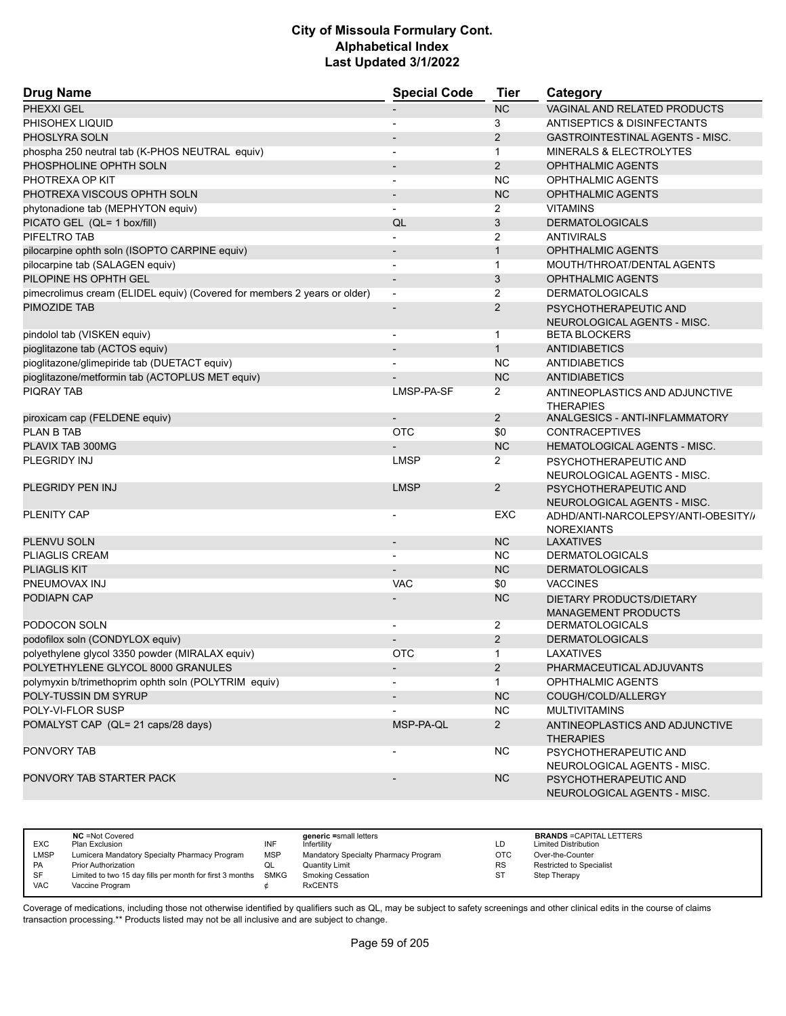| <b>Drug Name</b>                                                         | <b>Special Code</b>          | <b>Tier</b>    | Category                                                 |
|--------------------------------------------------------------------------|------------------------------|----------------|----------------------------------------------------------|
| PHEXXI GEL                                                               |                              | <b>NC</b>      | VAGINAL AND RELATED PRODUCTS                             |
| PHISOHEX LIQUID                                                          |                              | 3              | <b>ANTISEPTICS &amp; DISINFECTANTS</b>                   |
| PHOSLYRA SOLN                                                            |                              | 2              | <b>GASTROINTESTINAL AGENTS - MISC.</b>                   |
| phospha 250 neutral tab (K-PHOS NEUTRAL equiv)                           |                              | $\mathbf{1}$   | <b>MINERALS &amp; ELECTROLYTES</b>                       |
| PHOSPHOLINE OPHTH SOLN                                                   |                              | 2              | <b>OPHTHALMIC AGENTS</b>                                 |
| PHOTREXA OP KIT                                                          | $\overline{\phantom{a}}$     | <b>NC</b>      | <b>OPHTHALMIC AGENTS</b>                                 |
| PHOTREXA VISCOUS OPHTH SOLN                                              |                              | <b>NC</b>      | <b>OPHTHALMIC AGENTS</b>                                 |
| phytonadione tab (MEPHYTON equiv)                                        |                              | $\overline{2}$ | <b>VITAMINS</b>                                          |
| PICATO GEL (QL= 1 box/fill)                                              | QL                           | 3              | <b>DERMATOLOGICALS</b>                                   |
| PIFELTRO TAB                                                             |                              | 2              | <b>ANTIVIRALS</b>                                        |
| pilocarpine ophth soln (ISOPTO CARPINE equiv)                            | $\overline{\phantom{a}}$     | $\mathbf{1}$   | <b>OPHTHALMIC AGENTS</b>                                 |
| pilocarpine tab (SALAGEN equiv)                                          |                              | $\mathbf{1}$   | MOUTH/THROAT/DENTAL AGENTS                               |
| PILOPINE HS OPHTH GEL                                                    | $\overline{\phantom{a}}$     | 3              | <b>OPHTHALMIC AGENTS</b>                                 |
| pimecrolimus cream (ELIDEL equiv) (Covered for members 2 years or older) | $\overline{a}$               | 2              | <b>DERMATOLOGICALS</b>                                   |
| PIMOZIDE TAB                                                             |                              | 2              | PSYCHOTHERAPEUTIC AND                                    |
|                                                                          |                              |                | NEUROLOGICAL AGENTS - MISC.                              |
| pindolol tab (VISKEN equiv)                                              |                              | $\mathbf 1$    | <b>BETA BLOCKERS</b>                                     |
| pioglitazone tab (ACTOS equiv)                                           |                              | $\mathbf{1}$   | <b>ANTIDIABETICS</b>                                     |
| pioglitazone/glimepiride tab (DUETACT equiv)                             |                              | <b>NC</b>      | <b>ANTIDIABETICS</b>                                     |
| pioglitazone/metformin tab (ACTOPLUS MET equiv)                          |                              | <b>NC</b>      | <b>ANTIDIABETICS</b>                                     |
| <b>PIORAY TAB</b>                                                        | LMSP-PA-SF                   | $\overline{2}$ | ANTINEOPLASTICS AND ADJUNCTIVE                           |
|                                                                          |                              |                | <b>THERAPIES</b>                                         |
| piroxicam cap (FELDENE equiv)                                            |                              | $\overline{2}$ | ANALGESICS - ANTI-INFLAMMATORY                           |
| <b>PLAN B TAB</b>                                                        | <b>OTC</b>                   | \$0            | <b>CONTRACEPTIVES</b>                                    |
| PLAVIX TAB 300MG                                                         |                              | <b>NC</b>      | <b>HEMATOLOGICAL AGENTS - MISC.</b>                      |
| PLEGRIDY INJ                                                             | <b>LMSP</b>                  | 2              | PSYCHOTHERAPEUTIC AND<br>NEUROLOGICAL AGENTS - MISC.     |
| PLEGRIDY PEN INJ                                                         | <b>LMSP</b>                  | 2              | PSYCHOTHERAPEUTIC AND                                    |
| <b>PLENITY CAP</b>                                                       |                              | EXC            | NEUROLOGICAL AGENTS - MISC.                              |
|                                                                          |                              |                | ADHD/ANTI-NARCOLEPSY/ANTI-OBESITY//<br><b>NOREXIANTS</b> |
| PLENVU SOLN                                                              | $\qquad \qquad \blacksquare$ | <b>NC</b>      | LAXATIVES                                                |
| <b>PLIAGLIS CREAM</b>                                                    |                              | <b>NC</b>      | <b>DERMATOLOGICALS</b>                                   |
| <b>PLIAGLIS KIT</b>                                                      |                              | <b>NC</b>      | <b>DERMATOLOGICALS</b>                                   |
| PNEUMOVAX INJ                                                            | <b>VAC</b>                   | \$0            | <b>VACCINES</b>                                          |
| PODIAPN CAP                                                              |                              | <b>NC</b>      | DIETARY PRODUCTS/DIETARY                                 |
|                                                                          |                              |                | <b>MANAGEMENT PRODUCTS</b>                               |
| PODOCON SOLN                                                             |                              | 2              | <b>DERMATOLOGICALS</b>                                   |
| podofilox soln (CONDYLOX equiv)                                          |                              | $\overline{2}$ | <b>DERMATOLOGICALS</b>                                   |
| polyethylene glycol 3350 powder (MIRALAX equiv)                          | <b>OTC</b>                   | $\mathbf{1}$   | LAXATIVES                                                |
| POLYETHYLENE GLYCOL 8000 GRANULES                                        | $\overline{\phantom{a}}$     | $2^{\circ}$    | PHARMACEUTICAL ADJUVANTS                                 |
| polymyxin b/trimethoprim ophth soln (POLYTRIM equiv)                     |                              | $\mathbf{1}$   | OPHTHALMIC AGENTS                                        |
| POLY-TUSSIN DM SYRUP                                                     |                              | NC             | COUGH/COLD/ALLERGY                                       |
| POLY-VI-FLOR SUSP                                                        |                              | <b>NC</b>      | <b>MULTIVITAMINS</b>                                     |
| POMALYST CAP (QL= 21 caps/28 days)                                       | MSP-PA-QL                    | $2^{\circ}$    | ANTINEOPLASTICS AND ADJUNCTIVE<br><b>THERAPIES</b>       |
| PONVORY TAB                                                              |                              | <b>NC</b>      | PSYCHOTHERAPEUTIC AND                                    |
|                                                                          |                              |                | NEUROLOGICAL AGENTS - MISC.                              |
| PONVORY TAB STARTER PACK                                                 |                              | <b>NC</b>      | PSYCHOTHERAPEUTIC AND<br>NEUROLOGICAL AGENTS - MISC.     |

|             | <b>NC</b> = Not Covered                                       |            | generic =small letters               |           | <b>BRANDS = CAPITAL LETTERS</b> |
|-------------|---------------------------------------------------------------|------------|--------------------------------------|-----------|---------------------------------|
| <b>EXC</b>  | Plan Exclusion                                                | INF        | Infertility                          | LD        | <b>Limited Distribution</b>     |
| <b>LMSP</b> | Lumicera Mandatory Specialty Pharmacy Program                 | <b>MSP</b> | Mandatory Specialty Pharmacy Program | OTC       | Over-the-Counter                |
| <b>PA</b>   | <b>Prior Authorization</b>                                    | w∟         | <b>Quantity Limit</b>                | <b>RS</b> | <b>Restricted to Specialist</b> |
| SF          | Limited to two 15 day fills per month for first 3 months SMKG |            | Smoking Cessation                    | ST        | Step Therapy                    |
| <b>VAC</b>  | Vaccine Program                                               |            | <b>RxCENTS</b>                       |           |                                 |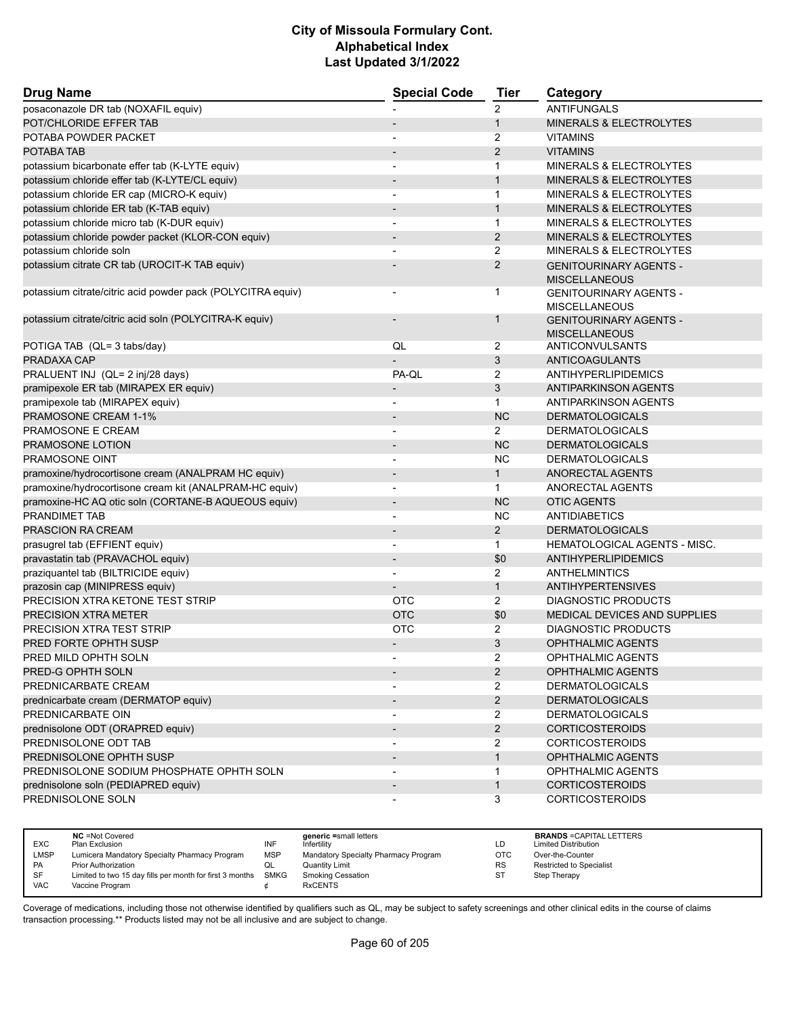| <b>Drug Name</b>                                            | <b>Special Code</b>      | <b>Tier</b>           | Category                                              |
|-------------------------------------------------------------|--------------------------|-----------------------|-------------------------------------------------------|
| posaconazole DR tab (NOXAFIL equiv)                         |                          | $\overline{2}$        | <b>ANTIFUNGALS</b>                                    |
| POT/CHLORIDE EFFER TAB                                      |                          | 1                     | MINERALS & ELECTROLYTES                               |
| POTABA POWDER PACKET                                        |                          | 2                     | <b>VITAMINS</b>                                       |
| POTABA TAB                                                  |                          | $\overline{2}$        | <b>VITAMINS</b>                                       |
| potassium bicarbonate effer tab (K-LYTE equiv)              | $\blacksquare$           | 1                     | MINERALS & ELECTROLYTES                               |
| potassium chloride effer tab (K-LYTE/CL equiv)              |                          | $\mathbf{1}$          | MINERALS & ELECTROLYTES                               |
| potassium chloride ER cap (MICRO-K equiv)                   |                          | 1                     | MINERALS & ELECTROLYTES                               |
| potassium chloride ER tab (K-TAB equiv)                     |                          | $\mathbf{1}$          | MINERALS & ELECTROLYTES                               |
| potassium chloride micro tab (K-DUR equiv)                  | $\overline{\phantom{a}}$ | $\mathbf{1}$          | <b>MINERALS &amp; ELECTROLYTES</b>                    |
| potassium chloride powder packet (KLOR-CON equiv)           |                          | $\overline{2}$        | MINERALS & ELECTROLYTES                               |
| potassium chloride soln                                     |                          | $\overline{2}$        | MINERALS & ELECTROLYTES                               |
| potassium citrate CR tab (UROCIT-K TAB equiv)               |                          | $\overline{2}$        | <b>GENITOURINARY AGENTS -</b><br><b>MISCELLANEOUS</b> |
| potassium citrate/citric acid powder pack (POLYCITRA equiv) |                          | 1                     | <b>GENITOURINARY AGENTS -</b>                         |
|                                                             |                          | 1                     | <b>MISCELLANEOUS</b>                                  |
| potassium citrate/citric acid soln (POLYCITRA-K equiv)      |                          |                       | <b>GENITOURINARY AGENTS -</b><br><b>MISCELLANEOUS</b> |
| POTIGA TAB (QL= 3 tabs/day)                                 | QL                       | 2                     | ANTICONVULSANTS                                       |
| PRADAXA CAP                                                 |                          | 3                     | ANTICOAGULANTS                                        |
| PRALUENT INJ (QL= 2 inj/28 days)                            | PA-QL                    | $\overline{2}$        | ANTIHYPERLIPIDEMICS                                   |
| pramipexole ER tab (MIRAPEX ER equiv)                       |                          | 3                     | <b>ANTIPARKINSON AGENTS</b>                           |
| pramipexole tab (MIRAPEX equiv)                             |                          | 1                     | ANTIPARKINSON AGENTS                                  |
| PRAMOSONE CREAM 1-1%                                        |                          | <b>NC</b>             | <b>DERMATOLOGICALS</b>                                |
| PRAMOSONE E CREAM                                           | $\overline{\phantom{a}}$ | $\overline{2}$        | <b>DERMATOLOGICALS</b>                                |
| PRAMOSONE LOTION                                            |                          | <b>NC</b>             | <b>DERMATOLOGICALS</b>                                |
| PRAMOSONE OINT                                              |                          | <b>NC</b>             | <b>DERMATOLOGICALS</b>                                |
| pramoxine/hydrocortisone cream (ANALPRAM HC equiv)          |                          | $\mathbf{1}$          | ANORECTAL AGENTS                                      |
| pramoxine/hydrocortisone cream kit (ANALPRAM-HC equiv)      | $\overline{\phantom{a}}$ | $\mathbf{1}$          | ANORECTAL AGENTS                                      |
| pramoxine-HC AQ otic soln (CORTANE-B AQUEOUS equiv)         | $\overline{a}$           | <b>NC</b>             | <b>OTIC AGENTS</b>                                    |
| PRANDIMET TAB                                               | $\overline{\phantom{a}}$ | <b>NC</b>             | <b>ANTIDIABETICS</b>                                  |
| <b>PRASCION RA CREAM</b>                                    |                          | $\overline{2}$        | <b>DERMATOLOGICALS</b>                                |
| prasugrel tab (EFFIENT equiv)                               |                          | 1                     | HEMATOLOGICAL AGENTS - MISC.                          |
| pravastatin tab (PRAVACHOL equiv)                           | $\blacksquare$           | \$0                   | ANTIHYPERLIPIDEMICS                                   |
| praziquantel tab (BILTRICIDE equiv)                         |                          | 2                     | <b>ANTHELMINTICS</b>                                  |
| prazosin cap (MINIPRESS equiv)                              |                          | $\mathbf{1}$          | <b>ANTIHYPERTENSIVES</b>                              |
| PRECISION XTRA KETONE TEST STRIP                            | <b>OTC</b>               | $\overline{2}$        | DIAGNOSTIC PRODUCTS                                   |
| <b>PRECISION XTRA METER</b>                                 | <b>OTC</b>               | \$0                   | <b>MEDICAL DEVICES AND SUPPLIES</b>                   |
| PRECISION XTRA TEST STRIP                                   | <b>OTC</b>               | 2                     | <b>DIAGNOSTIC PRODUCTS</b>                            |
| PRED FORTE OPHTH SUSP                                       |                          | 3                     | OPHTHALMIC AGENTS                                     |
| PRED MILD OPHTH SOLN                                        |                          | 2                     | OPHTHALMIC AGENTS                                     |
| PRED-G OPHTH SOLN                                           |                          | $\overline{2}$        | OPHTHALMIC AGENTS                                     |
| PREDNICARBATE CREAM                                         |                          | $\mathbf{2}^{\prime}$ | <b>DERMATOLOGICALS</b>                                |
| prednicarbate cream (DERMATOP equiv)                        |                          | $\overline{2}$        | <b>DERMATOLOGICALS</b>                                |
| PREDNICARBATE OIN                                           |                          | $\overline{2}$        | <b>DERMATOLOGICALS</b>                                |
| prednisolone ODT (ORAPRED equiv)                            |                          | $\overline{2}$        | <b>CORTICOSTEROIDS</b>                                |
| PREDNISOLONE ODT TAB                                        | $\blacksquare$           | $\overline{2}$        | <b>CORTICOSTEROIDS</b>                                |
| PREDNISOLONE OPHTH SUSP                                     |                          | $\mathbf{1}$          | OPHTHALMIC AGENTS                                     |
| PREDNISOLONE SODIUM PHOSPHATE OPHTH SOLN                    |                          | 1                     | OPHTHALMIC AGENTS                                     |
| prednisolone soln (PEDIAPRED equiv)                         |                          | $\mathbf{1}$          | <b>CORTICOSTEROIDS</b>                                |
| PREDNISOLONE SOLN                                           |                          | 3                     | <b>CORTICOSTEROIDS</b>                                |

|            | <b>NC</b> = Not Covered                                       |     | generic =small letters               |            | <b>BRANDS = CAPITAL LETTERS</b> |
|------------|---------------------------------------------------------------|-----|--------------------------------------|------------|---------------------------------|
| <b>EXC</b> | Plan Exclusion                                                | INF | Infertility                          | LD         | <b>Limited Distribution</b>     |
| LMSP       | Lumicera Mandatory Specialty Pharmacy Program                 | MSP | Mandatory Specialty Pharmacy Program | <b>OTC</b> | Over-the-Counter                |
| PA         | <b>Prior Authorization</b>                                    | QL  | Quantity Limit                       | <b>RS</b>  | Restricted to Specialist        |
| <b>SF</b>  | Limited to two 15 day fills per month for first 3 months SMKG |     | <b>Smoking Cessation</b>             | ST         | Step Therapy                    |
| <b>VAC</b> | Vaccine Program                                               |     | <b>RxCENTS</b>                       |            |                                 |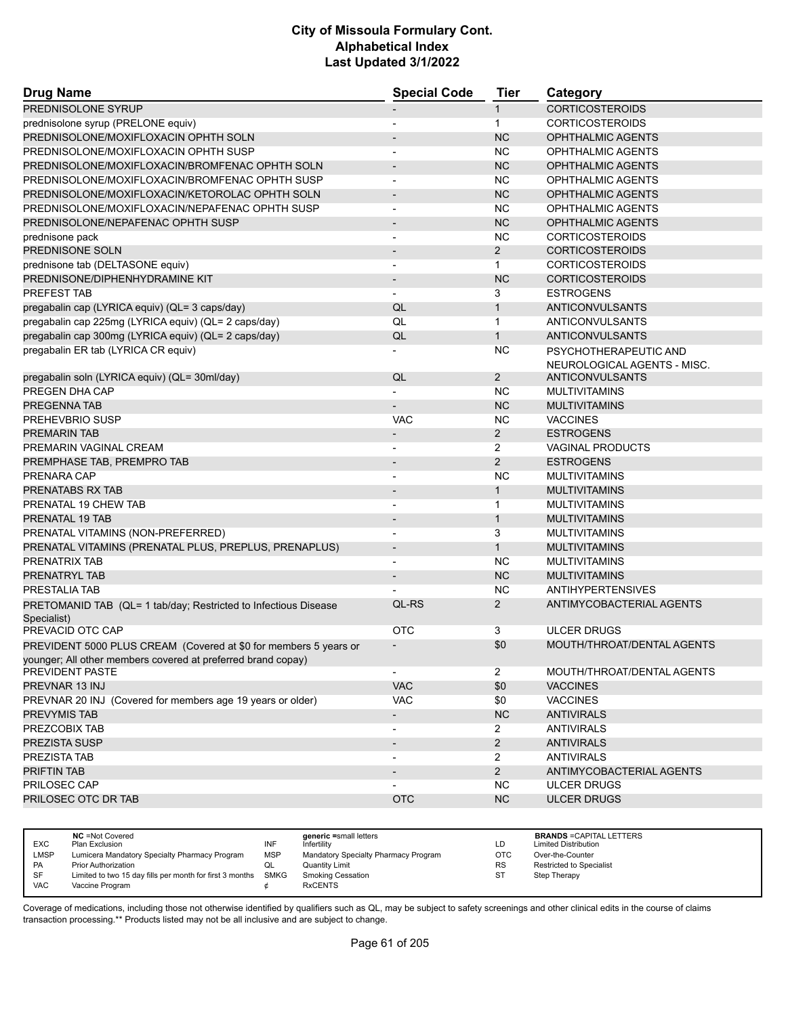| <b>Drug Name</b>                                                 | <b>Special Code</b>      | <b>Tier</b>           | Category                    |
|------------------------------------------------------------------|--------------------------|-----------------------|-----------------------------|
| PREDNISOLONE SYRUP                                               |                          | $\mathbf{1}$          | <b>CORTICOSTEROIDS</b>      |
| prednisolone syrup (PRELONE equiv)                               |                          | $\mathbf{1}$          | <b>CORTICOSTEROIDS</b>      |
| PREDNISOLONE/MOXIFLOXACIN OPHTH SOLN                             |                          | <b>NC</b>             | <b>OPHTHALMIC AGENTS</b>    |
| PREDNISOLONE/MOXIFLOXACIN OPHTH SUSP                             | $\blacksquare$           | <b>NC</b>             | <b>OPHTHALMIC AGENTS</b>    |
| PREDNISOLONE/MOXIFLOXACIN/BROMFENAC OPHTH SOLN                   |                          | <b>NC</b>             | <b>OPHTHALMIC AGENTS</b>    |
| PREDNISOLONE/MOXIFLOXACIN/BROMFENAC OPHTH SUSP                   |                          | <b>NC</b>             | <b>OPHTHALMIC AGENTS</b>    |
| PREDNISOLONE/MOXIFLOXACIN/KETOROLAC OPHTH SOLN                   | $\overline{\phantom{a}}$ | <b>NC</b>             | <b>OPHTHALMIC AGENTS</b>    |
| PREDNISOLONE/MOXIFLOXACIN/NEPAFENAC OPHTH SUSP                   |                          | <b>NC</b>             | <b>OPHTHALMIC AGENTS</b>    |
| PREDNISOLONE/NEPAFENAC OPHTH SUSP                                |                          | <b>NC</b>             | <b>OPHTHALMIC AGENTS</b>    |
| prednisone pack                                                  |                          | <b>NC</b>             | <b>CORTICOSTEROIDS</b>      |
| PREDNISONE SOLN                                                  | $\overline{\phantom{a}}$ | $\overline{2}$        | <b>CORTICOSTEROIDS</b>      |
| prednisone tab (DELTASONE equiv)                                 | $\overline{\phantom{a}}$ | $\mathbf{1}$          | <b>CORTICOSTEROIDS</b>      |
| PREDNISONE/DIPHENHYDRAMINE KIT                                   | $\overline{\phantom{a}}$ | <b>NC</b>             | <b>CORTICOSTEROIDS</b>      |
| PREFEST TAB                                                      | $\overline{\phantom{0}}$ | 3                     | <b>ESTROGENS</b>            |
| pregabalin cap (LYRICA equiv) (QL= 3 caps/day)                   | QL                       | $\mathbf{1}$          | <b>ANTICONVULSANTS</b>      |
| pregabalin cap 225mg (LYRICA equiv) (QL= 2 caps/day)             | QL                       | $\mathbf{1}$          | ANTICONVULSANTS             |
| pregabalin cap 300mg (LYRICA equiv) (QL= 2 caps/day)             | QL                       | $\mathbf{1}$          | <b>ANTICONVULSANTS</b>      |
| pregabalin ER tab (LYRICA CR equiv)                              |                          | <b>NC</b>             | PSYCHOTHERAPEUTIC AND       |
|                                                                  |                          |                       | NEUROLOGICAL AGENTS - MISC. |
| pregabalin soln (LYRICA equiv) (QL= 30ml/day)                    | QL                       | $\overline{2}$        | <b>ANTICONVULSANTS</b>      |
| PREGEN DHA CAP                                                   |                          | <b>NC</b>             | <b>MULTIVITAMINS</b>        |
| PREGENNA TAB                                                     | $\overline{\phantom{a}}$ | <b>NC</b>             | <b>MULTIVITAMINS</b>        |
| <b>PREHEVBRIO SUSP</b>                                           | <b>VAC</b>               | <b>NC</b>             | <b>VACCINES</b>             |
| <b>PREMARIN TAB</b>                                              |                          | $\overline{2}$        | <b>ESTROGENS</b>            |
| PREMARIN VAGINAL CREAM                                           |                          | $\overline{2}$        | <b>VAGINAL PRODUCTS</b>     |
| PREMPHASE TAB, PREMPRO TAB                                       |                          | $\overline{2}$        | <b>ESTROGENS</b>            |
| PRENARA CAP                                                      |                          | <b>NC</b>             | <b>MULTIVITAMINS</b>        |
| PRENATABS RX TAB                                                 |                          | $\mathbf{1}$          | <b>MULTIVITAMINS</b>        |
| PRENATAL 19 CHEW TAB                                             |                          | $\mathbf{1}$          | <b>MULTIVITAMINS</b>        |
| PRENATAL 19 TAB                                                  |                          | $\mathbf{1}$          | <b>MULTIVITAMINS</b>        |
| PRENATAL VITAMINS (NON-PREFERRED)                                |                          | 3                     | <b>MULTIVITAMINS</b>        |
| PRENATAL VITAMINS (PRENATAL PLUS, PREPLUS, PRENAPLUS)            | $\overline{\phantom{a}}$ | $\mathbf{1}$          | <b>MULTIVITAMINS</b>        |
| PRENATRIX TAB                                                    | $\overline{\phantom{a}}$ | <b>NC</b>             | <b>MULTIVITAMINS</b>        |
| PRENATRYL TAB                                                    |                          | <b>NC</b>             | <b>MULTIVITAMINS</b>        |
| PRESTALIA TAB                                                    |                          | <b>NC</b>             | <b>ANTIHYPERTENSIVES</b>    |
| PRETOMANID TAB (QL= 1 tab/day; Restricted to Infectious Disease  | QL-RS                    | $\overline{2}$        | ANTIMYCOBACTERIAL AGENTS    |
| Specialist)                                                      |                          |                       |                             |
| PREVACID OTC CAP                                                 | <b>OTC</b>               | 3                     | <b>ULCER DRUGS</b>          |
| PREVIDENT 5000 PLUS CREAM (Covered at \$0 for members 5 years or |                          | \$0                   | MOUTH/THROAT/DENTAL AGENTS  |
| younger; All other members covered at preferred brand copay)     |                          |                       |                             |
| PREVIDENT PASTE                                                  |                          | $\overline{2}$        | MOUTH/THROAT/DENTAL AGENTS  |
| PREVNAR 13 INJ                                                   | VAC                      | \$0                   | <b>VACCINES</b>             |
| PREVNAR 20 INJ (Covered for members age 19 years or older)       | <b>VAC</b>               | \$0                   | <b>VACCINES</b>             |
| PREVYMIS TAB                                                     | $\overline{a}$           | NC                    | <b>ANTIVIRALS</b>           |
| PREZCOBIX TAB                                                    | $\overline{\phantom{a}}$ | $\mathbf{2}^{\prime}$ | <b>ANTIVIRALS</b>           |
| PREZISTA SUSP                                                    | $\overline{\phantom{a}}$ | $\overline{2}$        | <b>ANTIVIRALS</b>           |
| PREZISTA TAB                                                     |                          | $\overline{2}$        | <b>ANTIVIRALS</b>           |
| PRIFTIN TAB                                                      | $\overline{\phantom{a}}$ | $\overline{2}$        | ANTIMYCOBACTERIAL AGENTS    |
| PRILOSEC CAP                                                     |                          | NC.                   | <b>ULCER DRUGS</b>          |
| PRILOSEC OTC DR TAB                                              | <b>OTC</b>               | NC                    | <b>ULCER DRUGS</b>          |
|                                                                  |                          |                       |                             |

| <b>EXC</b> | <b>NC</b> = Not Covered<br>Plan Exclusion                     | INF        | generic =small letters<br>Infertility | LD        | <b>BRANDS = CAPITAL LETTERS</b><br><b>Limited Distribution</b> |
|------------|---------------------------------------------------------------|------------|---------------------------------------|-----------|----------------------------------------------------------------|
| LMSP       | Lumicera Mandatory Specialty Pharmacy Program                 | <b>MSP</b> | Mandatory Specialty Pharmacy Program  | ОТС       | Over-the-Counter                                               |
| PA         | <b>Prior Authorization</b>                                    | w∟         | Quantity Limit                        | <b>RS</b> | Restricted to Specialist                                       |
| SF         | Limited to two 15 day fills per month for first 3 months SMKG |            | Smoking Cessation                     | ST        | Step Therapy                                                   |
| VAC        | Vaccine Program                                               |            | <b>RxCENTS</b>                        |           |                                                                |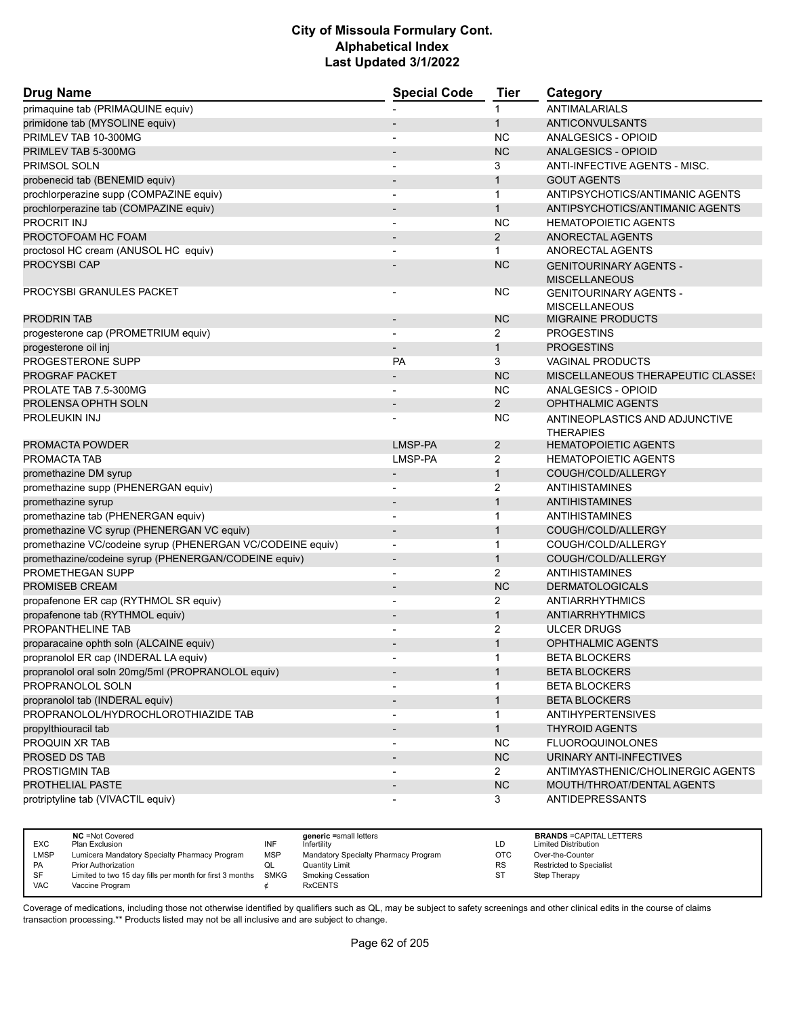| <b>Drug Name</b>                                           | <b>Special Code</b>      | <b>Tier</b>    | Category                          |
|------------------------------------------------------------|--------------------------|----------------|-----------------------------------|
| primaquine tab (PRIMAQUINE equiv)                          |                          | 1              | <b>ANTIMALARIALS</b>              |
| primidone tab (MYSOLINE equiv)                             |                          | $\mathbf{1}$   | <b>ANTICONVULSANTS</b>            |
| PRIMLEV TAB 10-300MG                                       |                          | ΝC             | ANALGESICS - OPIOID               |
| PRIMLEV TAB 5-300MG                                        |                          | <b>NC</b>      | <b>ANALGESICS - OPIOID</b>        |
| PRIMSOL SOLN                                               |                          | 3              | ANTI-INFECTIVE AGENTS - MISC.     |
| probenecid tab (BENEMID equiv)                             |                          | $\mathbf{1}$   | <b>GOUT AGENTS</b>                |
| prochlorperazine supp (COMPAZINE equiv)                    | $\overline{\phantom{0}}$ | $\mathbf{1}$   | ANTIPSYCHOTICS/ANTIMANIC AGENTS   |
| prochlorperazine tab (COMPAZINE equiv)                     |                          | $\mathbf{1}$   | ANTIPSYCHOTICS/ANTIMANIC AGENTS   |
| PROCRIT INJ                                                |                          | <b>NC</b>      | <b>HEMATOPOIETIC AGENTS</b>       |
| PROCTOFOAM HC FOAM                                         | $\overline{\phantom{a}}$ | $\overline{2}$ | ANORECTAL AGENTS                  |
| proctosol HC cream (ANUSOL HC equiv)                       |                          | $\mathbf{1}$   | ANORECTAL AGENTS                  |
| <b>PROCYSBI CAP</b>                                        |                          | <b>NC</b>      | <b>GENITOURINARY AGENTS -</b>     |
|                                                            |                          |                | <b>MISCELLANEOUS</b>              |
| PROCYSBI GRANULES PACKET                                   |                          | <b>NC</b>      | <b>GENITOURINARY AGENTS -</b>     |
|                                                            |                          |                | <b>MISCELLANEOUS</b>              |
| <b>PRODRIN TAB</b>                                         |                          | <b>NC</b>      | <b>MIGRAINE PRODUCTS</b>          |
| progesterone cap (PROMETRIUM equiv)                        | $\overline{a}$           | 2              | PROGESTINS                        |
| progesterone oil inj                                       |                          | $\mathbf{1}$   | <b>PROGESTINS</b>                 |
| PROGESTERONE SUPP                                          | PA                       | 3              | <b>VAGINAL PRODUCTS</b>           |
| PROGRAF PACKET                                             |                          | <b>NC</b>      | MISCELLANEOUS THERAPEUTIC CLASSE! |
| PROLATE TAB 7.5-300MG                                      |                          | <b>NC</b>      | ANALGESICS - OPIOID               |
| PROLENSA OPHTH SOLN                                        |                          | $\overline{2}$ | <b>OPHTHALMIC AGENTS</b>          |
| <b>PROLEUKIN INJ</b>                                       |                          | ΝC             | ANTINEOPLASTICS AND ADJUNCTIVE    |
|                                                            |                          |                | <b>THERAPIES</b>                  |
| <b>PROMACTA POWDER</b>                                     | LMSP-PA                  | $\overline{2}$ | <b>HEMATOPOIETIC AGENTS</b>       |
| PROMACTA TAB                                               | LMSP-PA                  | 2              | <b>HEMATOPOIETIC AGENTS</b>       |
| promethazine DM syrup                                      | $\overline{\phantom{m}}$ | $\mathbf{1}$   | COUGH/COLD/ALLERGY                |
| promethazine supp (PHENERGAN equiv)                        |                          | 2              | ANTIHISTAMINES                    |
| promethazine syrup                                         |                          | $\mathbf{1}$   | <b>ANTIHISTAMINES</b>             |
| promethazine tab (PHENERGAN equiv)                         |                          | $\mathbf{1}$   | <b>ANTIHISTAMINES</b>             |
| promethazine VC syrup (PHENERGAN VC equiv)                 | $\overline{\phantom{m}}$ | $\mathbf{1}$   | COUGH/COLD/ALLERGY                |
| promethazine VC/codeine syrup (PHENERGAN VC/CODEINE equiv) | $\overline{\phantom{a}}$ | $\mathbf{1}$   | COUGH/COLD/ALLERGY                |
| promethazine/codeine syrup (PHENERGAN/CODEINE equiv)       | $\overline{\phantom{a}}$ | $\mathbf{1}$   | COUGH/COLD/ALLERGY                |
| <b>PROMETHEGAN SUPP</b>                                    |                          | 2              | ANTIHISTAMINES                    |
| <b>PROMISEB CREAM</b>                                      | $\overline{\phantom{a}}$ | <b>NC</b>      | <b>DERMATOLOGICALS</b>            |
| propafenone ER cap (RYTHMOL SR equiv)                      |                          | 2              | ANTIARRHYTHMICS                   |
| propafenone tab (RYTHMOL equiv)                            |                          | $\mathbf{1}$   | <b>ANTIARRHYTHMICS</b>            |
| PROPANTHELINE TAB                                          | $\overline{a}$           | 2              | <b>ULCER DRUGS</b>                |
| proparacaine ophth soln (ALCAINE equiv)                    |                          | $\mathbf{1}$   | <b>OPHTHALMIC AGENTS</b>          |
| propranolol ER cap (INDERAL LA equiv)                      |                          | 1              | <b>BETA BLOCKERS</b>              |
| propranolol oral soln 20mg/5ml (PROPRANOLOL equiv)         | $\overline{\phantom{a}}$ | $\mathbf{1}$   | <b>BETA BLOCKERS</b>              |
| PROPRANOLOL SOLN                                           |                          | 1              | <b>BETA BLOCKERS</b>              |
| propranolol tab (INDERAL equiv)                            |                          | $\mathbf{1}$   | <b>BETA BLOCKERS</b>              |
| PROPRANOLOL/HYDROCHLOROTHIAZIDE TAB                        | $\overline{\phantom{a}}$ | 1              | <b>ANTIHYPERTENSIVES</b>          |
| propylthiouracil tab                                       |                          | $\mathbf{1}$   | <b>THYROID AGENTS</b>             |
| PROQUIN XR TAB                                             |                          | <b>NC</b>      | <b>FLUOROQUINOLONES</b>           |
| PROSED DS TAB                                              |                          | NC             | URINARY ANTI-INFECTIVES           |
| PROSTIGMIN TAB                                             |                          | $\overline{2}$ | ANTIMYASTHENIC/CHOLINERGIC AGENTS |
| PROTHELIAL PASTE                                           |                          | <b>NC</b>      | MOUTH/THROAT/DENTAL AGENTS        |
| protriptyline tab (VIVACTIL equiv)                         |                          | 3              | <b>ANTIDEPRESSANTS</b>            |

|             | <b>NC</b> = Not Covered                                       |            | generic =small letters               |           | <b>BRANDS = CAPITAL LETTERS</b> |
|-------------|---------------------------------------------------------------|------------|--------------------------------------|-----------|---------------------------------|
| <b>EXC</b>  | Plan Exclusion                                                | INF        | Infertility                          | LD        | <b>Limited Distribution</b>     |
| <b>LMSP</b> | Lumicera Mandatory Specialty Pharmacy Program                 | <b>MSP</b> | Mandatory Specialty Pharmacy Program | отс       | Over-the-Counter                |
| <b>PA</b>   | <b>Prior Authorization</b>                                    |            | <b>Quantity Limit</b>                | <b>RS</b> | <b>Restricted to Specialist</b> |
| SF          | Limited to two 15 day fills per month for first 3 months SMKG |            | <b>Smoking Cessation</b>             | S1        | Step Therapy                    |
| <b>VAC</b>  | Vaccine Program                                               |            | <b>RxCENTS</b>                       |           |                                 |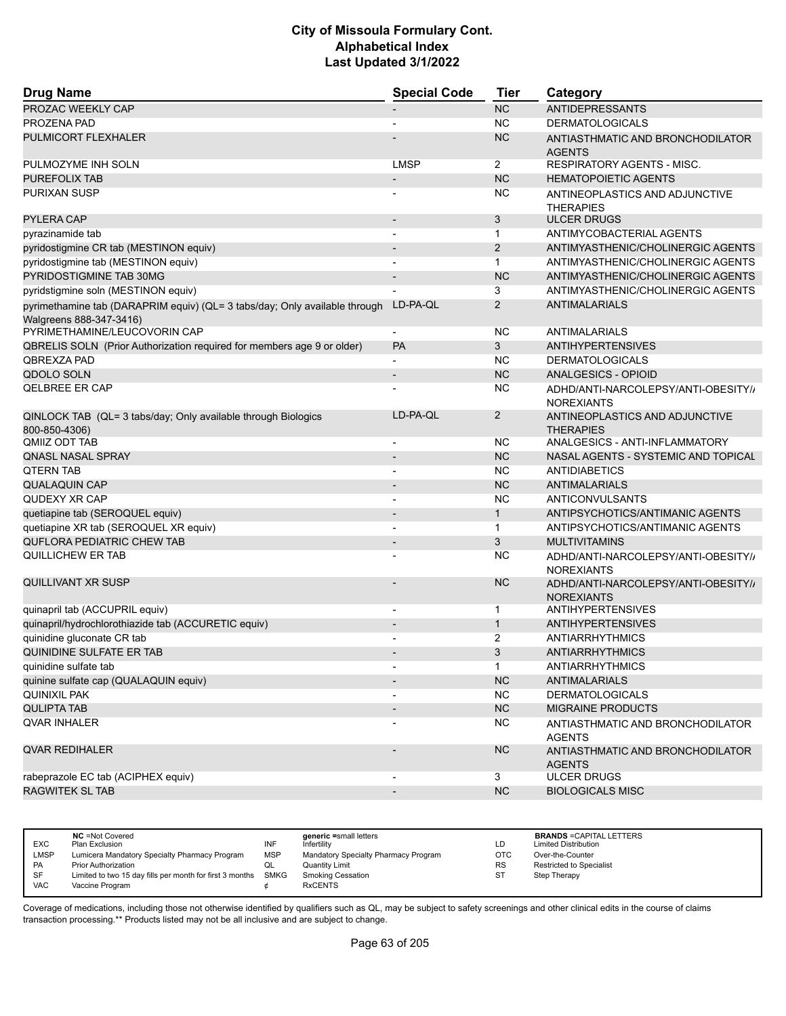| <b>Drug Name</b>                                                           | <b>Special Code</b>          | <b>Tier</b>    | Category                                                 |
|----------------------------------------------------------------------------|------------------------------|----------------|----------------------------------------------------------|
| PROZAC WEEKLY CAP                                                          |                              | <b>NC</b>      | <b>ANTIDEPRESSANTS</b>                                   |
| PROZENA PAD                                                                |                              | <b>NC</b>      | <b>DERMATOLOGICALS</b>                                   |
| PULMICORT FLEXHALER                                                        |                              | <b>NC</b>      | ANTIASTHMATIC AND BRONCHODILATOR<br><b>AGENTS</b>        |
| PULMOZYME INH SOLN                                                         | <b>LMSP</b>                  | 2              | RESPIRATORY AGENTS - MISC.                               |
| PUREFOLIX TAB                                                              | $\qquad \qquad \blacksquare$ | <b>NC</b>      | <b>HEMATOPOIETIC AGENTS</b>                              |
| PURIXAN SUSP                                                               |                              | <b>NC</b>      | ANTINEOPLASTICS AND ADJUNCTIVE<br><b>THERAPIES</b>       |
| <b>PYLERA CAP</b>                                                          |                              | 3              | <b>ULCER DRUGS</b>                                       |
| pyrazinamide tab                                                           | $\overline{\phantom{a}}$     | $\mathbf{1}$   | ANTIMYCOBACTERIAL AGENTS                                 |
| pyridostigmine CR tab (MESTINON equiv)                                     |                              | 2              | ANTIMYASTHENIC/CHOLINERGIC AGENTS                        |
| pyridostigmine tab (MESTINON equiv)                                        |                              | $\mathbf{1}$   | ANTIMYASTHENIC/CHOLINERGIC AGENTS                        |
| PYRIDOSTIGMINE TAB 30MG                                                    | $\qquad \qquad \blacksquare$ | <b>NC</b>      | ANTIMYASTHENIC/CHOLINERGIC AGENTS                        |
| pyridstigmine soln (MESTINON equiv)                                        |                              | 3              | ANTIMYASTHENIC/CHOLINERGIC AGENTS                        |
| pyrimethamine tab (DARAPRIM equiv) (QL= 3 tabs/day; Only available through | LD-PA-QL                     | $\overline{2}$ | <b>ANTIMALARIALS</b>                                     |
| Walgreens 888-347-3416)<br>PYRIMETHAMINE/LEUCOVORIN CAP                    | $\overline{\phantom{0}}$     | <b>NC</b>      | <b>ANTIMALARIALS</b>                                     |
| QBRELIS SOLN (Prior Authorization required for members age 9 or older)     | PA                           | 3              | <b>ANTIHYPERTENSIVES</b>                                 |
| <b>OBREXZA PAD</b>                                                         |                              | <b>NC</b>      | <b>DERMATOLOGICALS</b>                                   |
| <b>QDOLO SOLN</b>                                                          | $\qquad \qquad \blacksquare$ | <b>NC</b>      | <b>ANALGESICS - OPIOID</b>                               |
| <b>QELBREE ER CAP</b>                                                      |                              | NC             | ADHD/ANTI-NARCOLEPSY/ANTI-OBESITY//                      |
| QINLOCK TAB (QL= 3 tabs/day; Only available through Biologics              | LD-PA-QL                     | $\overline{2}$ | <b>NOREXIANTS</b><br>ANTINEOPLASTICS AND ADJUNCTIVE      |
| 800-850-4306)<br>QMIIZ ODT TAB                                             | $\overline{a}$               | NC             | <b>THERAPIES</b><br>ANALGESICS - ANTI-INFLAMMATORY       |
| <b>QNASL NASAL SPRAY</b>                                                   |                              | <b>NC</b>      | NASAL AGENTS - SYSTEMIC AND TOPICAL                      |
| <b>QTERN TAB</b>                                                           |                              | <b>NC</b>      | ANTIDIABETICS                                            |
| <b>QUALAQUIN CAP</b>                                                       |                              | <b>NC</b>      | <b>ANTIMALARIALS</b>                                     |
| QUDEXY XR CAP                                                              | $\overline{\phantom{a}}$     | <b>NC</b>      | ANTICONVULSANTS                                          |
| quetiapine tab (SEROQUEL equiv)                                            | $\overline{\phantom{0}}$     | $\mathbf{1}$   | ANTIPSYCHOTICS/ANTIMANIC AGENTS                          |
| quetiapine XR tab (SEROQUEL XR equiv)                                      |                              | $\mathbf{1}$   | ANTIPSYCHOTICS/ANTIMANIC AGENTS                          |
| <b>QUFLORA PEDIATRIC CHEW TAB</b>                                          | $\overline{a}$               | 3              | <b>MULTIVITAMINS</b>                                     |
| QUILLICHEW ER TAB                                                          |                              | NC             |                                                          |
|                                                                            |                              |                | ADHD/ANTI-NARCOLEPSY/ANTI-OBESITY//<br><b>NOREXIANTS</b> |
| QUILLIVANT XR SUSP                                                         |                              | <b>NC</b>      | ADHD/ANTI-NARCOLEPSY/ANTI-OBESITY//<br><b>NOREXIANTS</b> |
| quinapril tab (ACCUPRIL equiv)                                             | $\overline{\phantom{0}}$     | 1              | <b>ANTIHYPERTENSIVES</b>                                 |
| quinapril/hydrochlorothiazide tab (ACCURETIC equiv)                        |                              | $\mathbf{1}$   | <b>ANTIHYPERTENSIVES</b>                                 |
| quinidine gluconate CR tab                                                 |                              | 2              | <b>ANTIARRHYTHMICS</b>                                   |
| <b>QUINIDINE SULFATE ER TAB</b>                                            |                              | 3              | <b>ANTIARRHYTHMICS</b>                                   |
| quinidine sulfate tab                                                      | $\qquad \qquad \blacksquare$ | $\mathbf{1}$   | <b>ANTIARRHYTHMICS</b>                                   |
| quinine sulfate cap (QUALAQUIN equiv)                                      |                              | NC             | <b>ANTIMALARIALS</b>                                     |
| <b>QUINIXIL PAK</b>                                                        |                              | NC.            | <b>DERMATOLOGICALS</b>                                   |
| <b>QULIPTA TAB</b>                                                         |                              | NC             | MIGRAINE PRODUCTS                                        |
| <b>QVAR INHALER</b>                                                        |                              | NC.            | ANTIASTHMATIC AND BRONCHODILATOR<br><b>AGENTS</b>        |
| <b>QVAR REDIHALER</b>                                                      |                              | <b>NC</b>      | ANTIASTHMATIC AND BRONCHODILATOR<br><b>AGENTS</b>        |
| rabeprazole EC tab (ACIPHEX equiv)                                         | $\overline{\phantom{a}}$     | 3              | <b>ULCER DRUGS</b>                                       |
| <b>RAGWITEK SL TAB</b>                                                     | $\overline{\phantom{m}}$     | NC             | <b>BIOLOGICALS MISC</b>                                  |
|                                                                            |                              |                |                                                          |

| <b>EXC</b> | <b>NC</b> = Not Covered<br>Plan Exclusion                | INF        | generic =small letters<br>Infertilitv | LD        | <b>BRANDS = CAPITAL LETTERS</b><br><b>Limited Distribution</b> |
|------------|----------------------------------------------------------|------------|---------------------------------------|-----------|----------------------------------------------------------------|
| LMSP       | Lumicera Mandatory Specialty Pharmacy Program            | <b>MSP</b> | Mandatory Specialty Pharmacy Program  | OTC       | Over-the-Counter                                               |
| <b>PA</b>  | <b>Prior Authorization</b>                               | ◡          | <b>Quantity Limit</b>                 | <b>RS</b> | Restricted to Specialist                                       |
| SF         | Limited to two 15 day fills per month for first 3 months | SMKG       | <b>Smoking Cessation</b>              | ST        | Step Therapy                                                   |
| <b>VAC</b> | Vaccine Program                                          |            | <b>RxCENTS</b>                        |           |                                                                |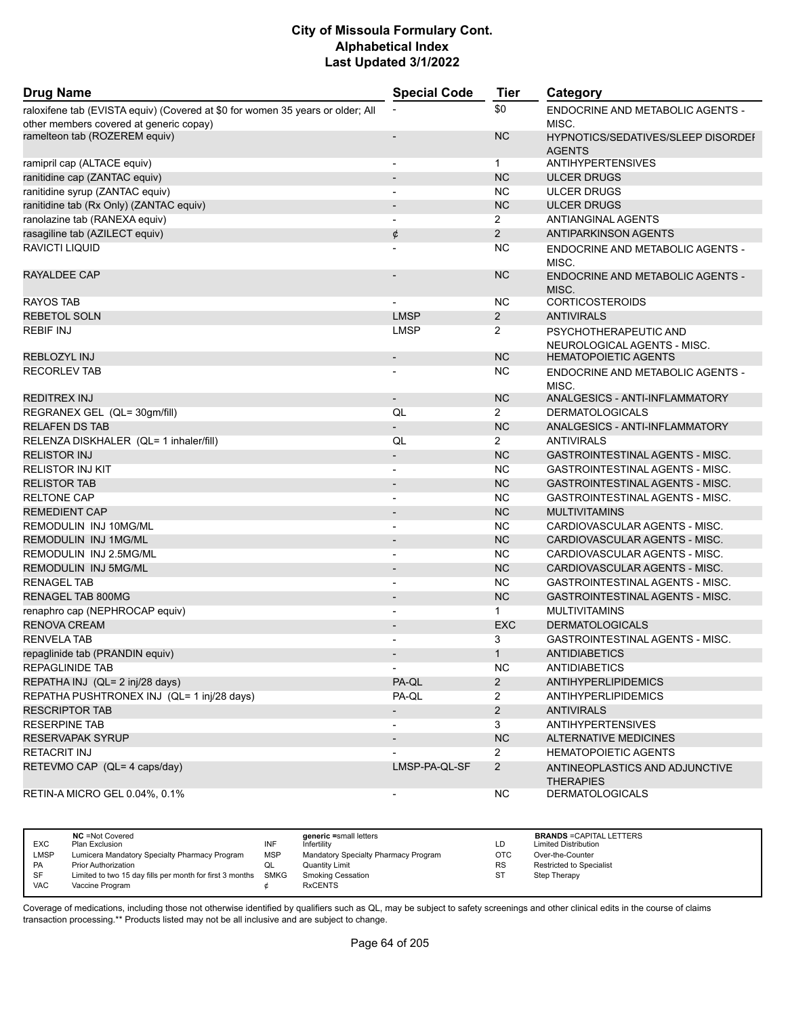| <b>Drug Name</b>                                                                                                          | <b>Special Code</b>      | <b>Tier</b>           | Category                                                   |
|---------------------------------------------------------------------------------------------------------------------------|--------------------------|-----------------------|------------------------------------------------------------|
| raloxifene tab (EVISTA equiv) (Covered at \$0 for women 35 years or older; All<br>other members covered at generic copay) |                          | \$0                   | <b>ENDOCRINE AND METABOLIC AGENTS -</b><br>MISC.           |
| ramelteon tab (ROZEREM equiv)                                                                                             | $\overline{\phantom{a}}$ | <b>NC</b>             | HYPNOTICS/SEDATIVES/SLEEP DISORDEF                         |
|                                                                                                                           |                          |                       | <b>AGENTS</b>                                              |
| ramipril cap (ALTACE equiv)                                                                                               | $\overline{\phantom{a}}$ | $\mathbf 1$           | <b>ANTIHYPERTENSIVES</b>                                   |
| ranitidine cap (ZANTAC equiv)                                                                                             | $\overline{\phantom{a}}$ | <b>NC</b>             | <b>ULCER DRUGS</b>                                         |
| ranitidine syrup (ZANTAC equiv)                                                                                           | $\blacksquare$           | <b>NC</b>             | <b>ULCER DRUGS</b>                                         |
| ranitidine tab (Rx Only) (ZANTAC equiv)                                                                                   | $\overline{\phantom{a}}$ | <b>NC</b>             | <b>ULCER DRUGS</b>                                         |
| ranolazine tab (RANEXA equiv)                                                                                             | $\overline{\phantom{a}}$ | $\overline{2}$        | <b>ANTIANGINAL AGENTS</b>                                  |
| rasagiline tab (AZILECT equiv)                                                                                            | ¢                        | $\overline{2}$        | <b>ANTIPARKINSON AGENTS</b>                                |
| RAVICTI LIQUID                                                                                                            |                          | ΝC                    | ENDOCRINE AND METABOLIC AGENTS -                           |
|                                                                                                                           |                          |                       | MISC.                                                      |
| RAYALDEE CAP                                                                                                              |                          | <b>NC</b>             | <b>ENDOCRINE AND METABOLIC AGENTS -</b><br>MISC.           |
| <b>RAYOS TAB</b>                                                                                                          | $\blacksquare$           | NС                    | <b>CORTICOSTEROIDS</b>                                     |
| <b>REBETOL SOLN</b>                                                                                                       | <b>LMSP</b>              | $\overline{2}$        | <b>ANTIVIRALS</b>                                          |
| <b>REBIF INJ</b>                                                                                                          | <b>LMSP</b>              | $\overline{2}$        | PSYCHOTHERAPEUTIC AND                                      |
| REBLOZYL INJ                                                                                                              |                          | <b>NC</b>             | NEUROLOGICAL AGENTS - MISC.<br><b>HEMATOPOIETIC AGENTS</b> |
|                                                                                                                           | $\overline{\phantom{a}}$ |                       |                                                            |
| <b>RECORLEV TAB</b>                                                                                                       |                          | ΝC                    | ENDOCRINE AND METABOLIC AGENTS -<br>MISC.                  |
| <b>REDITREX INJ</b>                                                                                                       | $\overline{\phantom{a}}$ | <b>NC</b>             | ANALGESICS - ANTI-INFLAMMATORY                             |
| REGRANEX GEL (QL= 30gm/fill)                                                                                              | QL                       | $\overline{2}$        | <b>DERMATOLOGICALS</b>                                     |
| <b>RELAFEN DS TAB</b>                                                                                                     | $\overline{\phantom{a}}$ | <b>NC</b>             | ANALGESICS - ANTI-INFLAMMATORY                             |
| RELENZA DISKHALER (QL= 1 inhaler/fill)                                                                                    | QL                       | $\overline{2}$        | <b>ANTIVIRALS</b>                                          |
| <b>RELISTOR INJ</b>                                                                                                       | $\overline{\phantom{a}}$ | <b>NC</b>             | <b>GASTROINTESTINAL AGENTS - MISC.</b>                     |
| <b>RELISTOR INJ KIT</b>                                                                                                   | $\overline{a}$           | <b>NC</b>             | <b>GASTROINTESTINAL AGENTS - MISC.</b>                     |
| <b>RELISTOR TAB</b>                                                                                                       | $\overline{\phantom{a}}$ | <b>NC</b>             | <b>GASTROINTESTINAL AGENTS - MISC.</b>                     |
| <b>RELTONE CAP</b>                                                                                                        | $\overline{\phantom{a}}$ | ΝC                    | GASTROINTESTINAL AGENTS - MISC.                            |
| REMEDIENT CAP                                                                                                             | $\overline{\phantom{a}}$ | <b>NC</b>             | <b>MULTIVITAMINS</b>                                       |
| REMODULIN INJ 10MG/ML                                                                                                     | $\overline{a}$           | <b>NC</b>             | CARDIOVASCULAR AGENTS - MISC.                              |
| REMODULIN INJ 1MG/ML                                                                                                      | $\overline{\phantom{a}}$ | <b>NC</b>             | CARDIOVASCULAR AGENTS - MISC.                              |
| REMODULIN INJ 2.5MG/ML                                                                                                    | $\overline{\phantom{a}}$ | <b>NC</b>             | CARDIOVASCULAR AGENTS - MISC.                              |
| REMODULIN INJ 5MG/ML                                                                                                      | $\overline{\phantom{a}}$ | <b>NC</b>             | CARDIOVASCULAR AGENTS - MISC.                              |
| <b>RENAGEL TAB</b>                                                                                                        | $\overline{\phantom{a}}$ | <b>NC</b>             | GASTROINTESTINAL AGENTS - MISC.                            |
| <b>RENAGEL TAB 800MG</b>                                                                                                  | $\overline{\phantom{a}}$ | <b>NC</b>             | <b>GASTROINTESTINAL AGENTS - MISC.</b>                     |
| renaphro cap (NEPHROCAP equiv)                                                                                            |                          | $\mathbf{1}$          | <b>MULTIVITAMINS</b>                                       |
| <b>RENOVA CREAM</b>                                                                                                       | $\overline{\phantom{a}}$ | <b>EXC</b>            | <b>DERMATOLOGICALS</b>                                     |
| <b>RENVELA TAB</b>                                                                                                        | $\overline{\phantom{a}}$ | 3                     | <b>GASTROINTESTINAL AGENTS - MISC.</b>                     |
| repaglinide tab (PRANDIN equiv)                                                                                           |                          | $\mathbf{1}$          | <b>ANTIDIABETICS</b>                                       |
| REPAGLINIDE TAB                                                                                                           | $\overline{\phantom{a}}$ | NC.                   | <b>ANTIDIABETICS</b>                                       |
| REPATHA INJ (QL= 2 inj/28 days)                                                                                           | PA-QL                    | $\overline{2}$        | <b>ANTIHYPERLIPIDEMICS</b>                                 |
| REPATHA PUSHTRONEX INJ (QL= 1 inj/28 days)                                                                                | PA-QL                    | 2                     | <b>ANTIHYPERLIPIDEMICS</b>                                 |
| <b>RESCRIPTOR TAB</b>                                                                                                     | $\overline{\phantom{a}}$ | $\overline{2}$        | <b>ANTIVIRALS</b>                                          |
| <b>RESERPINE TAB</b>                                                                                                      | $\overline{\phantom{a}}$ | 3                     | <b>ANTIHYPERTENSIVES</b>                                   |
| RESERVAPAK SYRUP                                                                                                          | $\overline{\phantom{0}}$ | NC                    | <b>ALTERNATIVE MEDICINES</b>                               |
| <b>RETACRIT INJ</b>                                                                                                       |                          | $\mathbf{2}^{\prime}$ | <b>HEMATOPOIETIC AGENTS</b>                                |
| RETEVMO CAP (QL= 4 caps/day)                                                                                              | LMSP-PA-QL-SF            | $\overline{2}$        | ANTINEOPLASTICS AND ADJUNCTIVE                             |
| RETIN-A MICRO GEL 0.04%, 0.1%                                                                                             | $\overline{\phantom{a}}$ | <b>NC</b>             | <b>THERAPIES</b><br><b>DERMATOLOGICALS</b>                 |

|            | <b>NC</b> = Not Covered                                       |            | generic =small letters               |            | <b>BRANDS = CAPITAL LETTERS</b> |
|------------|---------------------------------------------------------------|------------|--------------------------------------|------------|---------------------------------|
| <b>EXC</b> | Plan Exclusion                                                | INF        | Infertility                          | LD         | <b>Limited Distribution</b>     |
| LMSP       | Lumicera Mandatory Specialty Pharmacy Program                 | <b>MSP</b> | Mandatory Specialty Pharmacy Program | <b>OTC</b> | Over-the-Counter                |
| <b>PA</b>  | <b>Prior Authorization</b>                                    |            | <b>Quantity Limit</b>                | RS         | Restricted to Specialist        |
| <b>SF</b>  | Limited to two 15 day fills per month for first 3 months SMKG |            | <b>Smoking Cessation</b>             | SТ         | Step Therapy                    |
| <b>VAC</b> | Vaccine Program                                               |            | <b>RxCENTS</b>                       |            |                                 |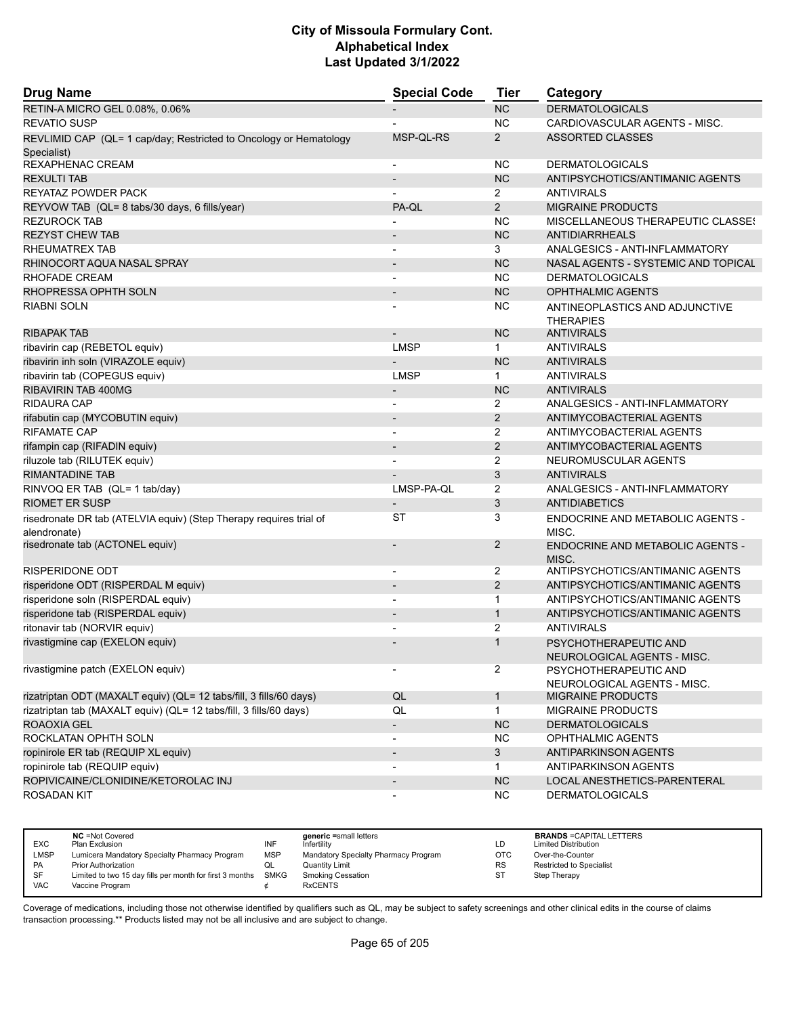| <b>Drug Name</b>                                                                   | <b>Special Code</b>          | <b>Tier</b>    | Category                                           |
|------------------------------------------------------------------------------------|------------------------------|----------------|----------------------------------------------------|
| RETIN-A MICRO GEL 0.08%, 0.06%                                                     |                              | <b>NC</b>      | <b>DERMATOLOGICALS</b>                             |
| <b>REVATIO SUSP</b>                                                                |                              | <b>NC</b>      | CARDIOVASCULAR AGENTS - MISC.                      |
| REVLIMID CAP (QL= 1 cap/day; Restricted to Oncology or Hematology                  | MSP-QL-RS                    | 2              | <b>ASSORTED CLASSES</b>                            |
| Specialist)                                                                        |                              |                |                                                    |
| REXAPHENAC CREAM                                                                   | $\overline{\phantom{a}}$     | <b>NC</b>      | <b>DERMATOLOGICALS</b>                             |
| <b>REXULTI TAB</b>                                                                 | $\overline{a}$               | <b>NC</b>      | ANTIPSYCHOTICS/ANTIMANIC AGENTS                    |
| REYATAZ POWDER PACK                                                                |                              | 2              | <b>ANTIVIRALS</b>                                  |
| REYVOW TAB (QL= 8 tabs/30 days, 6 fills/year)                                      | PA-QL                        | 2              | <b>MIGRAINE PRODUCTS</b>                           |
| <b>REZUROCK TAB</b>                                                                |                              | <b>NC</b>      | MISCELLANEOUS THERAPEUTIC CLASSES                  |
| <b>REZYST CHEW TAB</b>                                                             |                              | <b>NC</b>      | ANTIDIARRHEALS                                     |
| RHEUMATREX TAB                                                                     |                              | 3              | <b>ANALGESICS - ANTI-INFLAMMATORY</b>              |
| RHINOCORT AQUA NASAL SPRAY                                                         | $\overline{\phantom{a}}$     | <b>NC</b>      | NASAL AGENTS - SYSTEMIC AND TOPICAL                |
| RHOFADE CREAM                                                                      | $\overline{\phantom{a}}$     | <b>NC</b>      | <b>DERMATOLOGICALS</b>                             |
| RHOPRESSA OPHTH SOLN                                                               |                              | <b>NC</b>      | <b>OPHTHALMIC AGENTS</b>                           |
| RIABNI SOLN                                                                        |                              | NC             | ANTINEOPLASTICS AND ADJUNCTIVE<br><b>THERAPIES</b> |
| <b>RIBAPAK TAB</b>                                                                 |                              | <b>NC</b>      | <b>ANTIVIRALS</b>                                  |
| ribavirin cap (REBETOL equiv)                                                      | <b>LMSP</b>                  | $\mathbf{1}$   | <b>ANTIVIRALS</b>                                  |
| ribavirin inh soln (VIRAZOLE equiv)                                                |                              | <b>NC</b>      | <b>ANTIVIRALS</b>                                  |
| ribavirin tab (COPEGUS equiv)                                                      | <b>LMSP</b>                  | $\mathbf{1}$   | <b>ANTIVIRALS</b>                                  |
| RIBAVIRIN TAB 400MG                                                                | $\overline{\phantom{a}}$     | <b>NC</b>      | <b>ANTIVIRALS</b>                                  |
| <b>RIDAURA CAP</b>                                                                 |                              | $\overline{2}$ | ANALGESICS - ANTI-INFLAMMATORY                     |
| rifabutin cap (MYCOBUTIN equiv)                                                    |                              | 2              | ANTIMYCOBACTERIAL AGENTS                           |
| <b>RIFAMATE CAP</b>                                                                | $\blacksquare$               | $\overline{2}$ | ANTIMYCOBACTERIAL AGENTS                           |
| rifampin cap (RIFADIN equiv)                                                       | $\overline{\phantom{a}}$     | $\overline{2}$ | ANTIMYCOBACTERIAL AGENTS                           |
| riluzole tab (RILUTEK equiv)                                                       |                              | 2              | NEUROMUSCULAR AGENTS                               |
| <b>RIMANTADINE TAB</b>                                                             |                              | 3              | <b>ANTIVIRALS</b>                                  |
| RINVOQ ER TAB (QL= 1 tab/day)                                                      | LMSP-PA-QL                   | 2              | ANALGESICS - ANTI-INFLAMMATORY                     |
| <b>RIOMET ER SUSP</b>                                                              |                              | 3              | <b>ANTIDIABETICS</b>                               |
| risedronate DR tab (ATELVIA equiv) (Step Therapy requires trial of<br>alendronate) | <b>ST</b>                    | 3              | <b>ENDOCRINE AND METABOLIC AGENTS -</b><br>MISC.   |
| risedronate tab (ACTONEL equiv)                                                    |                              | 2              | <b>ENDOCRINE AND METABOLIC AGENTS -</b><br>MISC.   |
| RISPERIDONE ODT                                                                    | $\blacksquare$               | 2              | ANTIPSYCHOTICS/ANTIMANIC AGENTS                    |
| risperidone ODT (RISPERDAL M equiv)                                                |                              | 2              | ANTIPSYCHOTICS/ANTIMANIC AGENTS                    |
| risperidone soln (RISPERDAL equiv)                                                 |                              | 1              | ANTIPSYCHOTICS/ANTIMANIC AGENTS                    |
| risperidone tab (RISPERDAL equiv)                                                  | $\blacksquare$               | $\mathbf{1}$   | ANTIPSYCHOTICS/ANTIMANIC AGENTS                    |
| ritonavir tab (NORVIR equiv)                                                       |                              | 2              | <b>ANTIVIRALS</b>                                  |
| rivastigmine cap (EXELON equiv)                                                    |                              |                | PSYCHOTHERAPEUTIC AND                              |
|                                                                                    |                              |                | NEUROLOGICAL AGENTS - MISC.                        |
| rivastigmine patch (EXELON equiv)                                                  |                              | $\overline{2}$ | PSYCHOTHERAPEUTIC AND                              |
|                                                                                    |                              |                | NEUROLOGICAL AGENTS - MISC.                        |
| rizatriptan ODT (MAXALT equiv) (QL= 12 tabs/fill, 3 fills/60 days)                 | QL                           | $\mathbf{1}$   | <b>MIGRAINE PRODUCTS</b>                           |
| rizatriptan tab (MAXALT equiv) (QL= 12 tabs/fill, 3 fills/60 days)                 | QL                           | $\mathbf{1}$   | MIGRAINE PRODUCTS                                  |
| ROAOXIA GEL                                                                        | $\overline{\phantom{0}}$     | <b>NC</b>      | <b>DERMATOLOGICALS</b>                             |
| ROCKLATAN OPHTH SOLN                                                               | $\overline{\phantom{0}}$     | <b>NC</b>      | OPHTHALMIC AGENTS                                  |
| ropinirole ER tab (REQUIP XL equiv)                                                | $\overline{\phantom{m}}$     | 3 <sup>1</sup> | <b>ANTIPARKINSON AGENTS</b>                        |
| ropinirole tab (REQUIP equiv)                                                      | $\qquad \qquad \blacksquare$ | $\mathbf{1}$   | ANTIPARKINSON AGENTS                               |
| ROPIVICAINE/CLONIDINE/KETOROLAC INJ                                                | $\overline{\phantom{a}}$     | NC             | LOCAL ANESTHETICS-PARENTERAL                       |
| <b>ROSADAN KIT</b>                                                                 | $\overline{\phantom{0}}$     | <b>NC</b>      | <b>DERMATOLOGICALS</b>                             |

| <b>EXC</b>  | <b>NC</b> = Not Covered<br>Plan Exclusion                     | INF        | generic =small letters<br>Infertility | LD        | <b>BRANDS = CAPITAL LETTERS</b><br><b>Limited Distribution</b> |
|-------------|---------------------------------------------------------------|------------|---------------------------------------|-----------|----------------------------------------------------------------|
| <b>LMSP</b> | Lumicera Mandatory Specialty Pharmacy Program                 | <b>MSP</b> | Mandatory Specialty Pharmacy Program  | OTC       | Over-the-Counter                                               |
| PA          | <b>Prior Authorization</b>                                    | QL         | <b>Quantity Limit</b>                 | <b>RS</b> | Restricted to Specialist                                       |
| SF          | Limited to two 15 day fills per month for first 3 months SMKG |            | Smoking Cessation                     | <b>ST</b> | Step Therapy                                                   |
| <b>VAC</b>  | Vaccine Program                                               |            | <b>RxCENTS</b>                        |           |                                                                |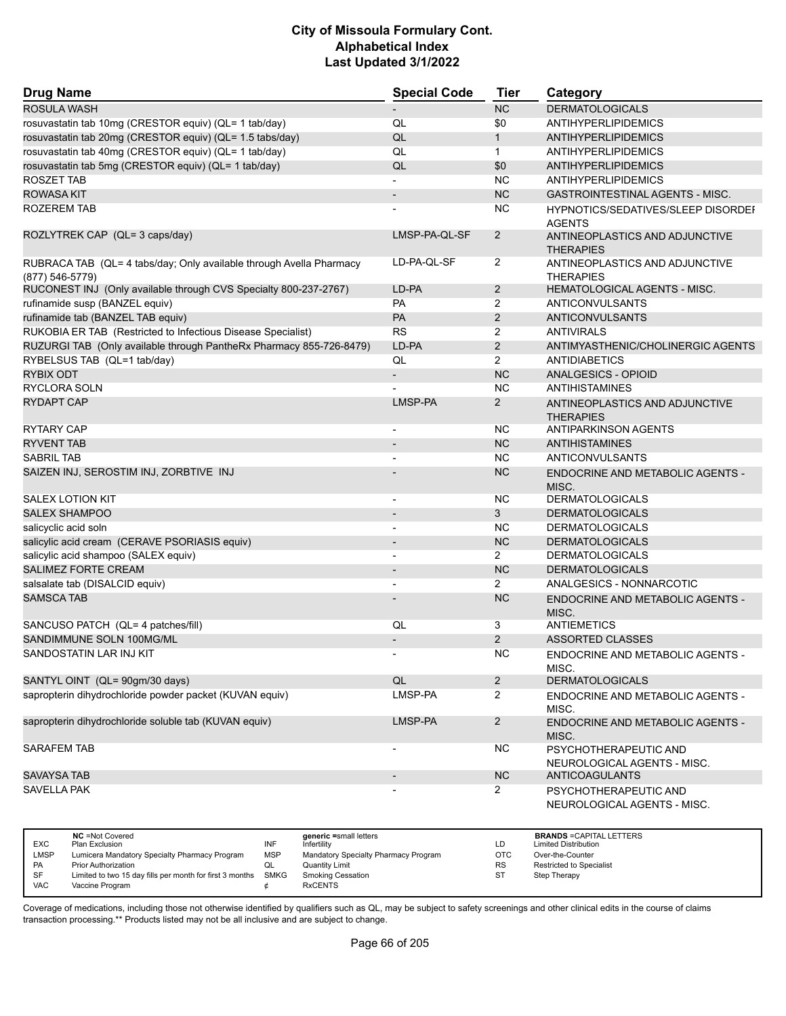| <b>Drug Name</b>                                                                          | <b>Special Code</b>      | <b>Tier</b>    | Category                                             |
|-------------------------------------------------------------------------------------------|--------------------------|----------------|------------------------------------------------------|
| ROSULA WASH                                                                               |                          | NC             | <b>DERMATOLOGICALS</b>                               |
| rosuvastatin tab 10mg (CRESTOR equiv) (QL= 1 tab/day)                                     | QL                       | \$0            | <b>ANTIHYPERLIPIDEMICS</b>                           |
| rosuvastatin tab 20mg (CRESTOR equiv) (QL= 1.5 tabs/day)                                  | QL                       | $\mathbf{1}$   | <b>ANTIHYPERLIPIDEMICS</b>                           |
| rosuvastatin tab 40mg (CRESTOR equiv) (QL= 1 tab/day)                                     | QL                       | $\mathbf{1}$   | ANTIHYPERLIPIDEMICS                                  |
| rosuvastatin tab 5mg (CRESTOR equiv) (QL= 1 tab/day)                                      | QL                       | \$0            | ANTIHYPERLIPIDEMICS                                  |
| <b>ROSZET TAB</b>                                                                         |                          | NC.            | ANTIHYPERLIPIDEMICS                                  |
| <b>ROWASA KIT</b>                                                                         |                          | <b>NC</b>      | <b>GASTROINTESTINAL AGENTS - MISC.</b>               |
| ROZEREM TAB                                                                               |                          | NC.            | HYPNOTICS/SEDATIVES/SLEEP DISORDEI<br><b>AGENTS</b>  |
| ROZLYTREK CAP (QL= 3 caps/day)                                                            | LMSP-PA-QL-SF            | $\overline{2}$ | ANTINEOPLASTICS AND ADJUNCTIVE<br><b>THERAPIES</b>   |
| RUBRACA TAB (QL= 4 tabs/day; Only available through Avella Pharmacy<br>$(877) 546 - 5779$ | LD-PA-QL-SF              | $\overline{2}$ | ANTINEOPLASTICS AND ADJUNCTIVE<br><b>THERAPIES</b>   |
| RUCONEST INJ (Only available through CVS Specialty 800-237-2767)                          | LD-PA                    | $\overline{2}$ | HEMATOLOGICAL AGENTS - MISC.                         |
| rufinamide susp (BANZEL equiv)                                                            | PA                       | $\overline{2}$ | ANTICONVULSANTS                                      |
| rufinamide tab (BANZEL TAB equiv)                                                         | PA                       | $\overline{2}$ | ANTICONVULSANTS                                      |
| RUKOBIA ER TAB (Restricted to Infectious Disease Specialist)                              | <b>RS</b>                | $\overline{2}$ | <b>ANTIVIRALS</b>                                    |
| RUZURGI TAB (Only available through PantheRx Pharmacy 855-726-8479)                       | LD-PA                    | $\overline{2}$ | ANTIMYASTHENIC/CHOLINERGIC AGENTS                    |
| RYBELSUS TAB (QL=1 tab/day)                                                               | QL                       | $\overline{2}$ | <b>ANTIDIABETICS</b>                                 |
| <b>RYBIX ODT</b>                                                                          | $\overline{\phantom{a}}$ | <b>NC</b>      | ANALGESICS - OPIOID                                  |
| <b>RYCLORA SOLN</b>                                                                       |                          | <b>NC</b>      | ANTIHISTAMINES                                       |
| <b>RYDAPT CAP</b>                                                                         | LMSP-PA                  | $\overline{2}$ | ANTINEOPLASTICS AND ADJUNCTIVE<br><b>THERAPIES</b>   |
| <b>RYTARY CAP</b>                                                                         |                          | <b>NC</b>      | ANTIPARKINSON AGENTS                                 |
| <b>RYVENT TAB</b>                                                                         |                          | <b>NC</b>      | <b>ANTIHISTAMINES</b>                                |
| <b>SABRIL TAB</b>                                                                         |                          | NC             | ANTICONVULSANTS                                      |
| SAIZEN INJ, SEROSTIM INJ, ZORBTIVE INJ                                                    |                          | <b>NC</b>      | <b>ENDOCRINE AND METABOLIC AGENTS -</b><br>MISC.     |
| <b>SALEX LOTION KIT</b>                                                                   | $\overline{\phantom{a}}$ | <b>NC</b>      | <b>DERMATOLOGICALS</b>                               |
| <b>SALEX SHAMPOO</b>                                                                      |                          | 3              | <b>DERMATOLOGICALS</b>                               |
| salicyclic acid soln                                                                      | $\blacksquare$           | <b>NC</b>      | <b>DERMATOLOGICALS</b>                               |
| salicylic acid cream (CERAVE PSORIASIS equiv)                                             | $\overline{\phantom{a}}$ | <b>NC</b>      | <b>DERMATOLOGICALS</b>                               |
| salicylic acid shampoo (SALEX equiv)                                                      |                          | $\overline{2}$ | <b>DERMATOLOGICALS</b>                               |
| <b>SALIMEZ FORTE CREAM</b>                                                                | $\overline{\phantom{a}}$ | <b>NC</b>      | <b>DERMATOLOGICALS</b>                               |
| salsalate tab (DISALCID equiv)                                                            |                          | $\overline{2}$ | ANALGESICS - NONNARCOTIC                             |
| <b>SAMSCA TAB</b>                                                                         |                          | <b>NC</b>      | <b>ENDOCRINE AND METABOLIC AGENTS -</b><br>MISC.     |
| SANCUSO PATCH (QL= 4 patches/fill)                                                        | QL                       | 3              | <b>ANTIEMETICS</b>                                   |
| SANDIMMUNE SOLN 100MG/ML                                                                  | $\overline{\phantom{a}}$ | $\overline{2}$ | ASSORTED CLASSES                                     |
| SANDOSTATIN LAR INJ KIT                                                                   |                          | <b>NC</b>      | ENDOCRINE AND METABOLIC AGENTS -<br>MISC.            |
| SANTYL OINT (QL= 90gm/30 days)                                                            | QL                       | $\overline{2}$ | <b>DERMATOLOGICALS</b>                               |
| sapropterin dihydrochloride powder packet (KUVAN equiv)                                   | LMSP-PA                  | $\overline{2}$ | ENDOCRINE AND METABOLIC AGENTS -<br>MISC.            |
| sapropterin dihydrochloride soluble tab (KUVAN equiv)                                     | LMSP-PA                  | $\overline{2}$ | <b>ENDOCRINE AND METABOLIC AGENTS -</b><br>MISC.     |
| <b>SARAFEM TAB</b>                                                                        |                          | <b>NC</b>      | PSYCHOTHERAPEUTIC AND<br>NEUROLOGICAL AGENTS - MISC. |
| <b>SAVAYSA TAB</b>                                                                        |                          | NC             | <b>ANTICOAGULANTS</b>                                |
| <b>SAVELLA PAK</b>                                                                        |                          | 2              | PSYCHOTHERAPEUTIC AND<br>NEUROLOGICAL AGENTS - MISC. |

| <b>EXC</b> | <b>NC</b> = Not Covered<br>Plan Exclusion                     | INF        | generic =small letters<br>Infertility | LD        | <b>BRANDS = CAPITAL LETTERS</b><br><b>Limited Distribution</b> |
|------------|---------------------------------------------------------------|------------|---------------------------------------|-----------|----------------------------------------------------------------|
| LMSP       | Lumicera Mandatory Specialty Pharmacy Program                 | <b>MSP</b> | Mandatory Specialty Pharmacy Program  | OTC       | Over-the-Counter                                               |
| <b>PA</b>  | <b>Prior Authorization</b>                                    | QL         | Quantity Limit                        | <b>RS</b> | <b>Restricted to Specialist</b>                                |
| SF         | Limited to two 15 day fills per month for first 3 months SMKG |            | Smoking Cessation                     | ST        | Step Therapy                                                   |
| <b>VAC</b> | Vaccine Program                                               |            | <b>RxCENTS</b>                        |           |                                                                |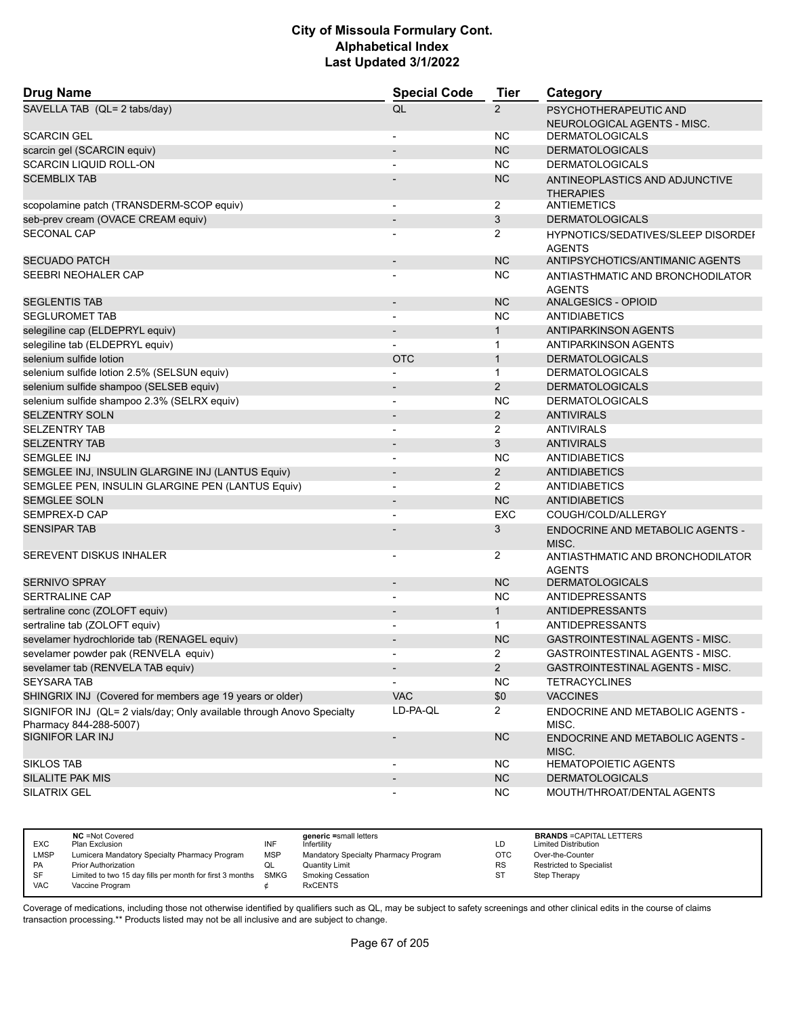| <b>Drug Name</b>                                                                                | <b>Special Code</b>      | <b>Tier</b>    | Category                                             |
|-------------------------------------------------------------------------------------------------|--------------------------|----------------|------------------------------------------------------|
| SAVELLA TAB (QL= 2 tabs/day)                                                                    | QL                       | $\overline{2}$ | PSYCHOTHERAPEUTIC AND<br>NEUROLOGICAL AGENTS - MISC. |
| <b>SCARCIN GEL</b>                                                                              |                          | <b>NC</b>      | <b>DERMATOLOGICALS</b>                               |
| scarcin gel (SCARCIN equiv)                                                                     |                          | <b>NC</b>      | <b>DERMATOLOGICALS</b>                               |
| <b>SCARCIN LIQUID ROLL-ON</b>                                                                   | $\overline{a}$           | <b>NC</b>      | <b>DERMATOLOGICALS</b>                               |
| <b>SCEMBLIX TAB</b>                                                                             |                          | <b>NC</b>      | ANTINEOPLASTICS AND ADJUNCTIVE<br><b>THERAPIES</b>   |
| scopolamine patch (TRANSDERM-SCOP equiv)                                                        |                          | 2              | <b>ANTIEMETICS</b>                                   |
| seb-prev cream (OVACE CREAM equiv)                                                              | $\overline{\phantom{a}}$ | 3              | <b>DERMATOLOGICALS</b>                               |
| <b>SECONAL CAP</b>                                                                              |                          | 2              | HYPNOTICS/SEDATIVES/SLEEP DISORDEI<br><b>AGENTS</b>  |
| <b>SECUADO PATCH</b>                                                                            | $\overline{\phantom{a}}$ | <b>NC</b>      | ANTIPSYCHOTICS/ANTIMANIC AGENTS                      |
| SEEBRI NEOHALER CAP                                                                             |                          | NC             | ANTIASTHMATIC AND BRONCHODILATOR<br><b>AGENTS</b>    |
| <b>SEGLENTIS TAB</b>                                                                            | $\overline{\phantom{a}}$ | <b>NC</b>      | <b>ANALGESICS - OPIOID</b>                           |
| <b>SEGLUROMET TAB</b>                                                                           | ÷                        | <b>NC</b>      | <b>ANTIDIABETICS</b>                                 |
| selegiline cap (ELDEPRYL equiv)                                                                 | $\overline{\phantom{a}}$ | $\mathbf{1}$   | <b>ANTIPARKINSON AGENTS</b>                          |
| selegiline tab (ELDEPRYL equiv)                                                                 |                          | $\mathbf 1$    | ANTIPARKINSON AGENTS                                 |
| selenium sulfide lotion                                                                         | <b>OTC</b>               | $\mathbf{1}$   | <b>DERMATOLOGICALS</b>                               |
| selenium sulfide lotion 2.5% (SELSUN equiv)                                                     |                          | $\mathbf{1}$   | <b>DERMATOLOGICALS</b>                               |
| selenium sulfide shampoo (SELSEB equiv)                                                         |                          | $\overline{2}$ | <b>DERMATOLOGICALS</b>                               |
| selenium sulfide shampoo 2.3% (SELRX equiv)                                                     | $\overline{a}$           | <b>NC</b>      | <b>DERMATOLOGICALS</b>                               |
| <b>SELZENTRY SOLN</b>                                                                           | $\overline{\phantom{a}}$ | $\overline{2}$ | <b>ANTIVIRALS</b>                                    |
| <b>SELZENTRY TAB</b>                                                                            | $\overline{\phantom{0}}$ | 2              | <b>ANTIVIRALS</b>                                    |
| <b>SELZENTRY TAB</b>                                                                            |                          | 3              | <b>ANTIVIRALS</b>                                    |
| <b>SEMGLEE INJ</b>                                                                              |                          | <b>NC</b>      | ANTIDIABETICS                                        |
| SEMGLEE INJ, INSULIN GLARGINE INJ (LANTUS Equiv)                                                | $\overline{\phantom{m}}$ | $\overline{2}$ | <b>ANTIDIABETICS</b>                                 |
| SEMGLEE PEN, INSULIN GLARGINE PEN (LANTUS Equiv)                                                | $\overline{\phantom{a}}$ | $\overline{2}$ | <b>ANTIDIABETICS</b>                                 |
| <b>SEMGLEE SOLN</b>                                                                             |                          | <b>NC</b>      | <b>ANTIDIABETICS</b>                                 |
| SEMPREX-D CAP                                                                                   | $\overline{\phantom{0}}$ | <b>EXC</b>     | COUGH/COLD/ALLERGY                                   |
| <b>SENSIPAR TAB</b>                                                                             |                          | 3              | <b>ENDOCRINE AND METABOLIC AGENTS -</b><br>MISC.     |
| SEREVENT DISKUS INHALER                                                                         |                          | 2              | ANTIASTHMATIC AND BRONCHODILATOR<br><b>AGENTS</b>    |
| <b>SERNIVO SPRAY</b>                                                                            | $\overline{\phantom{a}}$ | <b>NC</b>      | <b>DERMATOLOGICALS</b>                               |
| <b>SERTRALINE CAP</b>                                                                           |                          | <b>NC</b>      | <b>ANTIDEPRESSANTS</b>                               |
| sertraline conc (ZOLOFT equiv)                                                                  | $\overline{\phantom{a}}$ | $\mathbf{1}$   | <b>ANTIDEPRESSANTS</b>                               |
| sertraline tab (ZOLOFT equiv)                                                                   | $\overline{\phantom{a}}$ | $\mathbf{1}$   | ANTIDEPRESSANTS                                      |
| sevelamer hydrochloride tab (RENAGEL equiv)                                                     |                          | <b>NC</b>      | <b>GASTROINTESTINAL AGENTS - MISC.</b>               |
| sevelamer powder pak (RENVELA equiv)                                                            | $\overline{\phantom{0}}$ | $\overline{2}$ | <b>GASTROINTESTINAL AGENTS - MISC.</b>               |
| sevelamer tab (RENVELA TAB equiv)                                                               | $\overline{\phantom{a}}$ | $\overline{2}$ | GASTROINTESTINAL AGENTS - MISC.                      |
| <b>SEYSARA TAB</b>                                                                              |                          | <b>NC</b>      | <b>TETRACYCLINES</b>                                 |
| SHINGRIX INJ (Covered for members age 19 years or older)                                        | <b>VAC</b>               | \$0            | <b>VACCINES</b>                                      |
| SIGNIFOR INJ (QL= 2 vials/day; Only available through Anovo Specialty<br>Pharmacy 844-288-5007) | LD-PA-QL                 | $\mathbf{2}$   | ENDOCRINE AND METABOLIC AGENTS -<br>MISC.            |
| SIGNIFOR LAR INJ                                                                                | $\overline{\phantom{m}}$ | <b>NC</b>      | ENDOCRINE AND METABOLIC AGENTS -<br>MISC.            |
| <b>SIKLOS TAB</b>                                                                               |                          | NC.            | <b>HEMATOPOIETIC AGENTS</b>                          |
| SILALITE PAK MIS                                                                                | $\overline{\phantom{a}}$ | NC             | <b>DERMATOLOGICALS</b>                               |
| SILATRIX GEL                                                                                    | $\overline{\phantom{a}}$ | <b>NC</b>      | MOUTH/THROAT/DENTAL AGENTS                           |

| <b>EXC</b> | <b>NC</b> = Not Covered<br>Plan Exclusion                     | INF        | generic =small letters<br>Infertility | LD         | <b>BRANDS = CAPITAL LETTERS</b><br><b>Limited Distribution</b> |
|------------|---------------------------------------------------------------|------------|---------------------------------------|------------|----------------------------------------------------------------|
| LMSP       | Lumicera Mandatory Specialty Pharmacy Program                 | <b>MSP</b> | Mandatory Specialty Pharmacy Program  | <b>OTC</b> | Over-the-Counter                                               |
| <b>PA</b>  | <b>Prior Authorization</b>                                    | QL         | <b>Quantity Limit</b>                 | <b>RS</b>  | <b>Restricted to Specialist</b>                                |
| SF         | Limited to two 15 day fills per month for first 3 months SMKG |            | <b>Smoking Cessation</b>              | ST         | Step Therapy                                                   |
| <b>VAC</b> | Vaccine Program                                               |            | <b>RxCENTS</b>                        |            |                                                                |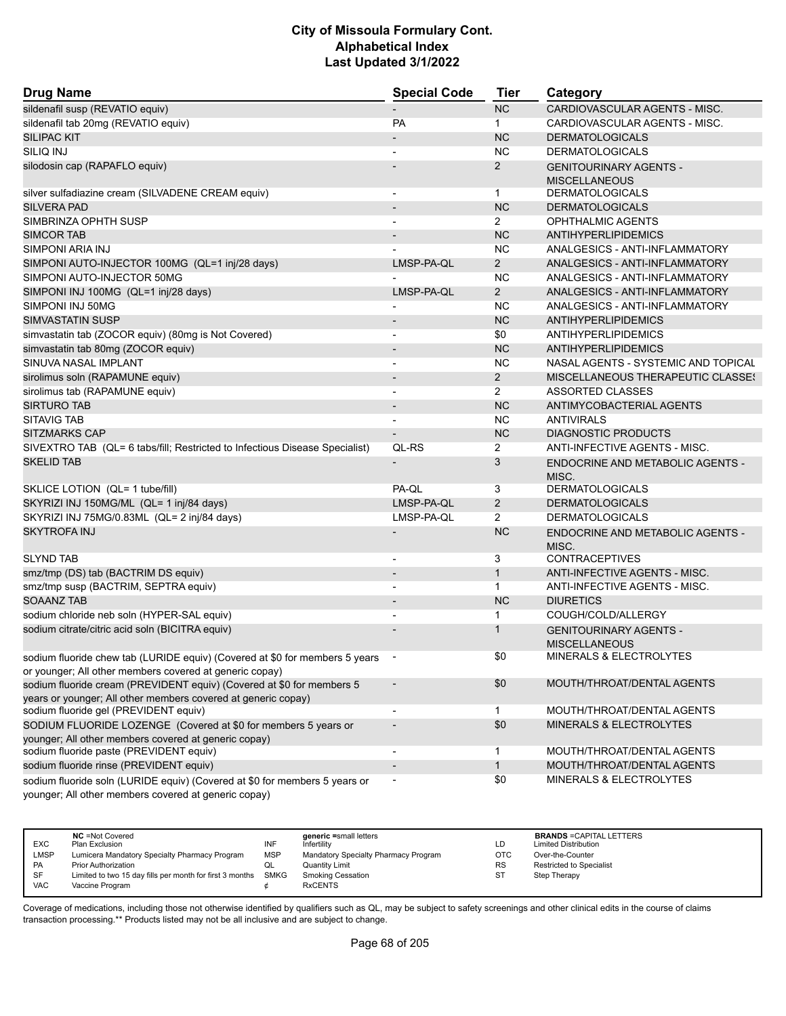| <b>Drug Name</b>                                                                                                                       | <b>Special Code</b>      | <b>Tier</b>           | Category                                              |
|----------------------------------------------------------------------------------------------------------------------------------------|--------------------------|-----------------------|-------------------------------------------------------|
| sildenafil susp (REVATIO equiv)                                                                                                        |                          | <b>NC</b>             | CARDIOVASCULAR AGENTS - MISC.                         |
| sildenafil tab 20mg (REVATIO equiv)                                                                                                    | <b>PA</b>                | $\mathbf{1}$          | CARDIOVASCULAR AGENTS - MISC.                         |
| <b>SILIPAC KIT</b>                                                                                                                     |                          | <b>NC</b>             | <b>DERMATOLOGICALS</b>                                |
| <b>SILIQ INJ</b>                                                                                                                       |                          | <b>NC</b>             | <b>DERMATOLOGICALS</b>                                |
| silodosin cap (RAPAFLO equiv)                                                                                                          |                          | $\overline{2}$        | <b>GENITOURINARY AGENTS -</b><br><b>MISCELLANEOUS</b> |
| silver sulfadiazine cream (SILVADENE CREAM equiv)                                                                                      | $\overline{a}$           | $\mathbf{1}$          | <b>DERMATOLOGICALS</b>                                |
| <b>SILVERA PAD</b>                                                                                                                     | $\overline{\phantom{a}}$ | <b>NC</b>             | <b>DERMATOLOGICALS</b>                                |
| SIMBRINZA OPHTH SUSP                                                                                                                   |                          | $\overline{2}$        | OPHTHALMIC AGENTS                                     |
| <b>SIMCOR TAB</b>                                                                                                                      |                          | <b>NC</b>             | ANTIHYPERLIPIDEMICS                                   |
| SIMPONI ARIA INJ                                                                                                                       |                          | ΝC                    | ANALGESICS - ANTI-INFLAMMATORY                        |
| SIMPONI AUTO-INJECTOR 100MG (QL=1 inj/28 days)                                                                                         | LMSP-PA-QL               | $\overline{2}$        | ANALGESICS - ANTI-INFLAMMATORY                        |
| SIMPONI AUTO-INJECTOR 50MG                                                                                                             |                          | <b>NC</b>             | ANALGESICS - ANTI-INFLAMMATORY                        |
| SIMPONI INJ 100MG (QL=1 inj/28 days)                                                                                                   | LMSP-PA-QL               | $2^{\circ}$           | ANALGESICS - ANTI-INFLAMMATORY                        |
| SIMPONI INJ 50MG                                                                                                                       |                          | <b>NC</b>             | ANALGESICS - ANTI-INFLAMMATORY                        |
| <b>SIMVASTATIN SUSP</b>                                                                                                                |                          | <b>NC</b>             | <b>ANTIHYPERLIPIDEMICS</b>                            |
| simvastatin tab (ZOCOR equiv) (80mg is Not Covered)                                                                                    | $\blacksquare$           | \$0                   | ANTIHYPERLIPIDEMICS                                   |
| simvastatin tab 80mg (ZOCOR equiv)                                                                                                     |                          | <b>NC</b>             | <b>ANTIHYPERLIPIDEMICS</b>                            |
| SINUVA NASAL IMPLANT                                                                                                                   |                          | <b>NC</b>             | NASAL AGENTS - SYSTEMIC AND TOPICAL                   |
| sirolimus soln (RAPAMUNE equiv)                                                                                                        | $\overline{\phantom{a}}$ | $\overline{2}$        | <b>MISCELLANEOUS THERAPEUTIC CLASSES</b>              |
| sirolimus tab (RAPAMUNE equiv)                                                                                                         | $\overline{a}$           | $\mathbf{2}^{\prime}$ | ASSORTED CLASSES                                      |
| <b>SIRTURO TAB</b>                                                                                                                     |                          | <b>NC</b>             | ANTIMYCOBACTERIAL AGENTS                              |
| <b>SITAVIG TAB</b>                                                                                                                     |                          | <b>NC</b>             | <b>ANTIVIRALS</b>                                     |
| <b>SITZMARKS CAP</b>                                                                                                                   |                          | <b>NC</b>             | <b>DIAGNOSTIC PRODUCTS</b>                            |
| SIVEXTRO TAB (QL= 6 tabs/fill; Restricted to Infectious Disease Specialist)                                                            | QL-RS                    | 2                     | ANTI-INFECTIVE AGENTS - MISC.                         |
| <b>SKELID TAB</b>                                                                                                                      |                          | 3                     | ENDOCRINE AND METABOLIC AGENTS -<br>MISC.             |
| SKLICE LOTION (QL= 1 tube/fill)                                                                                                        | PA-QL                    | 3                     | <b>DERMATOLOGICALS</b>                                |
| SKYRIZI INJ 150MG/ML (QL= 1 inj/84 days)                                                                                               | LMSP-PA-QL               | $\overline{2}$        | <b>DERMATOLOGICALS</b>                                |
| SKYRIZI INJ 75MG/0.83ML (QL= 2 inj/84 days)                                                                                            | LMSP-PA-QL               | $\mathbf{2}^{\prime}$ | <b>DERMATOLOGICALS</b>                                |
| <b>SKYTROFA INJ</b>                                                                                                                    |                          | <b>NC</b>             | ENDOCRINE AND METABOLIC AGENTS -<br>MISC.             |
| <b>SLYND TAB</b>                                                                                                                       |                          | 3                     | <b>CONTRACEPTIVES</b>                                 |
| smz/tmp (DS) tab (BACTRIM DS equiv)                                                                                                    | $\overline{a}$           | $\mathbf{1}$          | ANTI-INFECTIVE AGENTS - MISC.                         |
| smz/tmp susp (BACTRIM, SEPTRA equiv)                                                                                                   |                          | $\mathbf{1}$          | ANTI-INFECTIVE AGENTS - MISC.                         |
| <b>SOAANZ TAB</b>                                                                                                                      |                          | <b>NC</b>             | <b>DIURETICS</b>                                      |
| sodium chloride neb soln (HYPER-SAL equiv)                                                                                             | $\overline{a}$           | 1                     | COUGH/COLD/ALLERGY                                    |
| sodium citrate/citric acid soln (BICITRA equiv)                                                                                        |                          | 1                     | <b>GENITOURINARY AGENTS -</b><br><b>MISCELLANEOUS</b> |
| sodium fluoride chew tab (LURIDE equiv) (Covered at \$0 for members 5 years<br>or younger; All other members covered at generic copay) |                          | \$0                   | MINERALS & ELECTROLYTES                               |
| sodium fluoride cream (PREVIDENT equiv) (Covered at \$0 for members 5<br>years or younger; All other members covered at generic copay) |                          | \$0                   | MOUTH/THROAT/DENTAL AGENTS                            |
| sodium fluoride gel (PREVIDENT equiv)                                                                                                  |                          | 1.                    | MOUTH/THROAT/DENTAL AGENTS                            |
| SODIUM FLUORIDE LOZENGE (Covered at \$0 for members 5 years or                                                                         |                          | \$0                   | MINERALS & ELECTROLYTES                               |
| younger; All other members covered at generic copay)                                                                                   |                          |                       |                                                       |
| sodium fluoride paste (PREVIDENT equiv)                                                                                                |                          | 1                     | MOUTH/THROAT/DENTAL AGENTS                            |
| sodium fluoride rinse (PREVIDENT equiv)                                                                                                | $\overline{\phantom{a}}$ | $\mathbf{1}$          | MOUTH/THROAT/DENTAL AGENTS                            |
| sodium fluoride soln (LURIDE equiv) (Covered at \$0 for members 5 years or<br>younger; All other members covered at generic copay)     |                          | \$0                   | MINERALS & ELECTROLYTES                               |

|             | <b>NC</b> = Not Covered                                       |            | generic =small letters               |           | <b>BRANDS = CAPITAL LETTERS</b> |
|-------------|---------------------------------------------------------------|------------|--------------------------------------|-----------|---------------------------------|
| <b>EXC</b>  | Plan Exclusion                                                | INF        | Infertility                          | ∟D.       | <b>Limited Distribution</b>     |
| <b>LMSP</b> | Lumicera Mandatory Specialty Pharmacy Program                 | <b>MSP</b> | Mandatory Specialty Pharmacy Program | отс       | Over-the-Counter                |
| PA          | <b>Prior Authorization</b>                                    | QL         | <b>Quantity Limit</b>                | <b>RS</b> | <b>Restricted to Specialist</b> |
| <b>SF</b>   | Limited to two 15 day fills per month for first 3 months SMKG |            | <b>Smoking Cessation</b>             | ST        | Step Therapy                    |
| <b>VAC</b>  | Vaccine Program                                               |            | <b>RxCENTS</b>                       |           |                                 |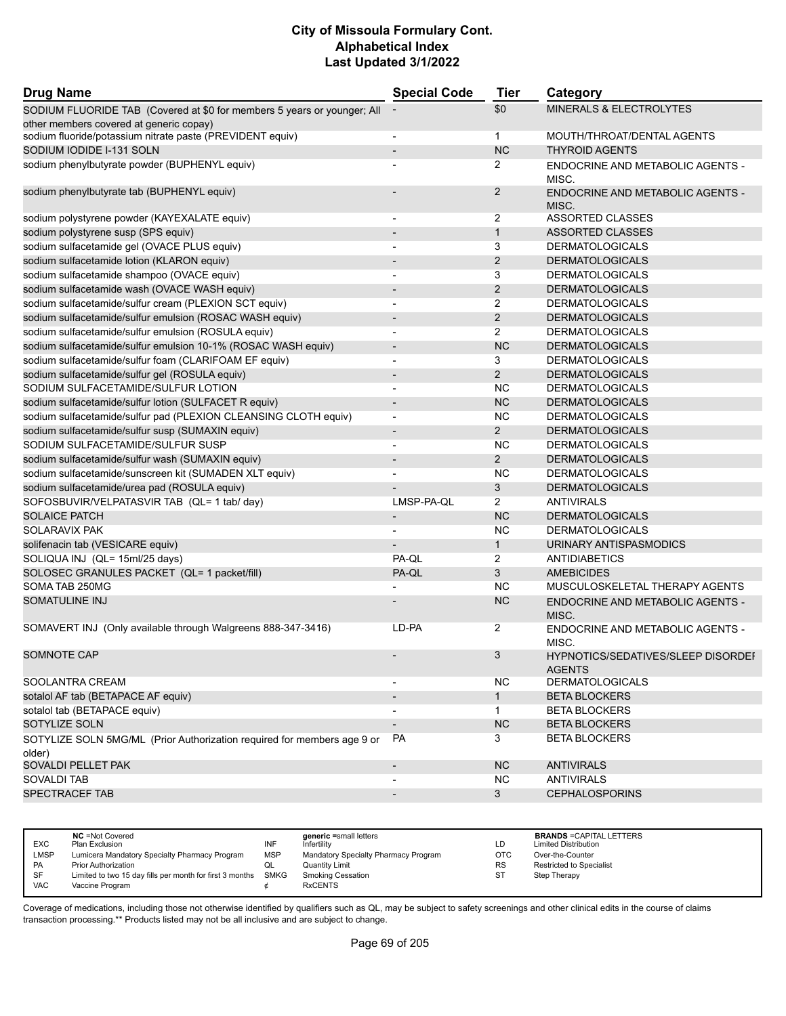| <b>Drug Name</b>                                                        | <b>Special Code</b>      | <b>Tier</b>    | Category                                                   |  |
|-------------------------------------------------------------------------|--------------------------|----------------|------------------------------------------------------------|--|
| SODIUM FLUORIDE TAB (Covered at \$0 for members 5 years or younger; All |                          | \$0            | MINERALS & ELECTROLYTES                                    |  |
| other members covered at generic copay)                                 |                          |                |                                                            |  |
| sodium fluoride/potassium nitrate paste (PREVIDENT equiv)               | $\blacksquare$           | $\mathbf{1}$   | MOUTH/THROAT/DENTAL AGENTS                                 |  |
| SODIUM IODIDE I-131 SOLN                                                | $\overline{\phantom{0}}$ | <b>NC</b>      | <b>THYROID AGENTS</b>                                      |  |
| sodium phenylbutyrate powder (BUPHENYL equiv)                           |                          | 2              | ENDOCRINE AND METABOLIC AGENTS -<br>MISC.                  |  |
| sodium phenylbutyrate tab (BUPHENYL equiv)                              |                          | 2              | ENDOCRINE AND METABOLIC AGENTS -<br>MISC.                  |  |
| sodium polystyrene powder (KAYEXALATE equiv)                            |                          | $\overline{2}$ | <b>ASSORTED CLASSES</b>                                    |  |
| sodium polystyrene susp (SPS equiv)                                     | $\overline{\phantom{a}}$ | $\mathbf{1}$   | <b>ASSORTED CLASSES</b>                                    |  |
| sodium sulfacetamide gel (OVACE PLUS equiv)                             | ٠                        | 3              | <b>DERMATOLOGICALS</b>                                     |  |
| sodium sulfacetamide lotion (KLARON equiv)                              |                          | 2              | <b>DERMATOLOGICALS</b>                                     |  |
| sodium sulfacetamide shampoo (OVACE equiv)                              | $\overline{\phantom{a}}$ | 3              | <b>DERMATOLOGICALS</b>                                     |  |
| sodium sulfacetamide wash (OVACE WASH equiv)                            |                          | $\overline{2}$ | <b>DERMATOLOGICALS</b>                                     |  |
| sodium sulfacetamide/sulfur cream (PLEXION SCT equiv)                   |                          | 2              | <b>DERMATOLOGICALS</b>                                     |  |
| sodium sulfacetamide/sulfur emulsion (ROSAC WASH equiv)                 | $\overline{\phantom{0}}$ | $\overline{2}$ | <b>DERMATOLOGICALS</b>                                     |  |
| sodium sulfacetamide/sulfur emulsion (ROSULA equiv)                     | ٠                        | $\overline{2}$ | <b>DERMATOLOGICALS</b>                                     |  |
| sodium sulfacetamide/sulfur emulsion 10-1% (ROSAC WASH equiv)           | $\overline{\phantom{a}}$ | <b>NC</b>      | <b>DERMATOLOGICALS</b>                                     |  |
| sodium sulfacetamide/sulfur foam (CLARIFOAM EF equiv)                   | $\overline{\phantom{a}}$ | 3              | <b>DERMATOLOGICALS</b>                                     |  |
| sodium sulfacetamide/sulfur gel (ROSULA equiv)                          | $\overline{a}$           | $\overline{2}$ | <b>DERMATOLOGICALS</b>                                     |  |
| SODIUM SULFACETAMIDE/SULFUR LOTION                                      |                          | <b>NC</b>      | <b>DERMATOLOGICALS</b>                                     |  |
| sodium sulfacetamide/sulfur lotion (SULFACET R equiv)                   | $\overline{a}$           | <b>NC</b>      | <b>DERMATOLOGICALS</b>                                     |  |
| sodium sulfacetamide/sulfur pad (PLEXION CLEANSING CLOTH equiv)         | $\overline{\phantom{a}}$ | ΝC             | <b>DERMATOLOGICALS</b>                                     |  |
| sodium sulfacetamide/sulfur susp (SUMAXIN equiv)                        | $\overline{\phantom{a}}$ | $\overline{2}$ | <b>DERMATOLOGICALS</b>                                     |  |
| SODIUM SULFACETAMIDE/SULFUR SUSP                                        | $\overline{a}$           | <b>NC</b>      | <b>DERMATOLOGICALS</b>                                     |  |
| sodium sulfacetamide/sulfur wash (SUMAXIN equiv)                        | $\overline{\phantom{a}}$ | $\overline{2}$ | <b>DERMATOLOGICALS</b>                                     |  |
| sodium sulfacetamide/sunscreen kit (SUMADEN XLT equiv)                  |                          | <b>NC</b>      | <b>DERMATOLOGICALS</b>                                     |  |
| sodium sulfacetamide/urea pad (ROSULA equiv)                            |                          | 3              | <b>DERMATOLOGICALS</b>                                     |  |
| SOFOSBUVIR/VELPATASVIR TAB (QL= 1 tab/ day)                             | LMSP-PA-QL               | $\overline{2}$ | <b>ANTIVIRALS</b>                                          |  |
| <b>SOLAICE PATCH</b>                                                    | $\overline{\phantom{a}}$ | <b>NC</b>      | <b>DERMATOLOGICALS</b>                                     |  |
| SOLARAVIX PAK                                                           | $\blacksquare$           | <b>NC</b>      | <b>DERMATOLOGICALS</b>                                     |  |
| solifenacin tab (VESICARE equiv)                                        | $\overline{a}$           | $\mathbf{1}$   | URINARY ANTISPASMODICS                                     |  |
| SOLIQUA INJ (QL= 15ml/25 days)                                          | PA-QL                    | 2              | ANTIDIABETICS                                              |  |
| SOLOSEC GRANULES PACKET (QL= 1 packet/fill)                             | PA-QL                    | 3              | <b>AMEBICIDES</b>                                          |  |
| SOMA TAB 250MG                                                          |                          | NC             | MUSCULOSKELETAL THERAPY AGENTS                             |  |
| <b>SOMATULINE INJ</b>                                                   |                          | <b>NC</b>      |                                                            |  |
|                                                                         |                          |                | <b>ENDOCRINE AND METABOLIC AGENTS -</b><br>MISC.           |  |
| SOMAVERT INJ (Only available through Walgreens 888-347-3416)            | LD-PA                    | 2              | <b>ENDOCRINE AND METABOLIC AGENTS -</b><br>MISC.           |  |
| SOMNOTE CAP                                                             |                          | 3              | <b>HYPNOTICS/SEDATIVES/SLEEP DISORDEF</b><br><b>AGENTS</b> |  |
| SOOLANTRA CREAM                                                         |                          | <b>NC</b>      | <b>DERMATOLOGICALS</b>                                     |  |
| sotalol AF tab (BETAPACE AF equiv)                                      |                          | $\mathbf{1}$   | <b>BETA BLOCKERS</b>                                       |  |
| sotalol tab (BETAPACE equiv)                                            | -                        | 1              | <b>BETA BLOCKERS</b>                                       |  |
| SOTYLIZE SOLN                                                           |                          | <b>NC</b>      | <b>BETA BLOCKERS</b>                                       |  |
| SOTYLIZE SOLN 5MG/ML (Prior Authorization required for members age 9 or | <b>PA</b>                | 3              | <b>BETA BLOCKERS</b>                                       |  |
| older)                                                                  |                          |                |                                                            |  |
| SOVALDI PELLET PAK                                                      | $\overline{\phantom{a}}$ | <b>NC</b>      | <b>ANTIVIRALS</b>                                          |  |
| <b>SOVALDI TAB</b>                                                      |                          | <b>NC</b>      | <b>ANTIVIRALS</b>                                          |  |
| SPECTRACEF TAB                                                          | $\overline{\phantom{a}}$ | 3 <sup>1</sup> | <b>CEPHALOSPORINS</b>                                      |  |
|                                                                         |                          |                |                                                            |  |

| <b>EXC</b> | <b>NC</b> = Not Covered<br>Plan Exclusion                | INF        | generic =small letters<br>Infertilitv | LD         | <b>BRANDS = CAPITAL LETTERS</b><br><b>Limited Distribution</b> |
|------------|----------------------------------------------------------|------------|---------------------------------------|------------|----------------------------------------------------------------|
| LMSP       | Lumicera Mandatory Specialty Pharmacy Program            | <b>MSP</b> | Mandatory Specialty Pharmacy Program  | <b>OTC</b> | Over-the-Counter                                               |
| <b>PA</b>  | <b>Prior Authorization</b>                               | ◡          | Quantity Limit                        | <b>RS</b>  | Restricted to Specialist                                       |
| SF         | Limited to two 15 day fills per month for first 3 months | SMKG       | <b>Smoking Cessation</b>              | <b>ST</b>  | Step Therapy                                                   |
| VAC        | Vaccine Program                                          |            | <b>RxCENTS</b>                        |            |                                                                |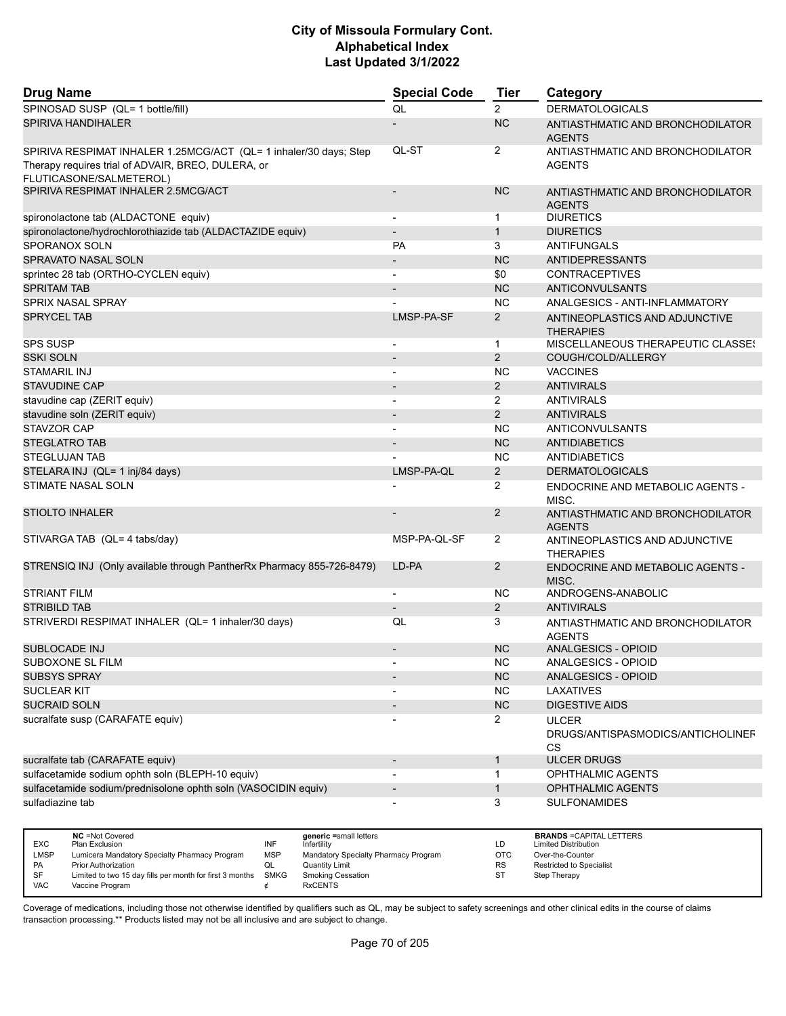| <b>Drug Name</b>                                                                                                                                   | <b>Special Code</b>      | <b>Tier</b>    | Category                                                       |
|----------------------------------------------------------------------------------------------------------------------------------------------------|--------------------------|----------------|----------------------------------------------------------------|
| SPINOSAD SUSP (QL= 1 bottle/fill)                                                                                                                  | QL                       | $\overline{2}$ | <b>DERMATOLOGICALS</b>                                         |
| <b>SPIRIVA HANDIHALER</b>                                                                                                                          |                          | <b>NC</b>      | ANTIASTHMATIC AND BRONCHODILATOR<br><b>AGENTS</b>              |
| SPIRIVA RESPIMAT INHALER 1.25MCG/ACT (QL= 1 inhaler/30 days; Step<br>Therapy requires trial of ADVAIR, BREO, DULERA, or<br>FLUTICASONE/SALMETEROL) | QL-ST                    | 2              | ANTIASTHMATIC AND BRONCHODILATOR<br><b>AGENTS</b>              |
| SPIRIVA RESPIMAT INHALER 2.5MCG/ACT                                                                                                                |                          | <b>NC</b>      | ANTIASTHMATIC AND BRONCHODILATOR<br><b>AGENTS</b>              |
| spironolactone tab (ALDACTONE equiv)                                                                                                               |                          | $\mathbf{1}$   | <b>DIURETICS</b>                                               |
| spironolactone/hydrochlorothiazide tab (ALDACTAZIDE equiv)                                                                                         |                          | $\mathbf{1}$   | <b>DIURETICS</b>                                               |
| SPORANOX SOLN                                                                                                                                      | PA                       | 3              | <b>ANTIFUNGALS</b>                                             |
| SPRAVATO NASAL SOLN                                                                                                                                |                          | <b>NC</b>      | <b>ANTIDEPRESSANTS</b>                                         |
| sprintec 28 tab (ORTHO-CYCLEN equiv)                                                                                                               | $\overline{a}$           | \$0            | <b>CONTRACEPTIVES</b>                                          |
| <b>SPRITAM TAB</b>                                                                                                                                 |                          | <b>NC</b>      | ANTICONVULSANTS                                                |
| <b>SPRIX NASAL SPRAY</b>                                                                                                                           |                          | <b>NC</b>      | ANALGESICS - ANTI-INFLAMMATORY                                 |
| <b>SPRYCEL TAB</b>                                                                                                                                 | LMSP-PA-SF               | 2              | ANTINEOPLASTICS AND ADJUNCTIVE<br><b>THERAPIES</b>             |
| <b>SPS SUSP</b>                                                                                                                                    |                          | $\mathbf{1}$   | <b>MISCELLANEOUS THERAPEUTIC CLASSES</b>                       |
| <b>SSKI SOLN</b>                                                                                                                                   |                          | 2              | COUGH/COLD/ALLERGY                                             |
| <b>STAMARIL INJ</b>                                                                                                                                |                          | <b>NC</b>      | <b>VACCINES</b>                                                |
| <b>STAVUDINE CAP</b>                                                                                                                               |                          | 2              | <b>ANTIVIRALS</b>                                              |
| stavudine cap (ZERIT equiv)                                                                                                                        | $\overline{\phantom{a}}$ | $\overline{2}$ | <b>ANTIVIRALS</b>                                              |
| stavudine soln (ZERIT equiv)                                                                                                                       |                          | 2              | <b>ANTIVIRALS</b>                                              |
| STAVZOR CAP                                                                                                                                        | $\overline{a}$           | <b>NC</b>      | <b>ANTICONVULSANTS</b>                                         |
| <b>STEGLATRO TAB</b>                                                                                                                               |                          | <b>NC</b>      | <b>ANTIDIABETICS</b>                                           |
| <b>STEGLUJAN TAB</b>                                                                                                                               |                          | <b>NC</b>      | ANTIDIABETICS                                                  |
| STELARA INJ (QL= 1 inj/84 days)                                                                                                                    | LMSP-PA-QL               | 2              | <b>DERMATOLOGICALS</b>                                         |
| <b>STIMATE NASAL SOLN</b>                                                                                                                          |                          | $\overline{2}$ | ENDOCRINE AND METABOLIC AGENTS -<br>MISC.                      |
| <b>STIOLTO INHALER</b>                                                                                                                             |                          | 2              | ANTIASTHMATIC AND BRONCHODILATOR<br><b>AGENTS</b>              |
| STIVARGA TAB (QL= 4 tabs/day)                                                                                                                      | MSP-PA-QL-SF             | $\overline{2}$ | ANTINEOPLASTICS AND ADJUNCTIVE<br><b>THERAPIES</b>             |
| STRENSIQ INJ (Only available through PantherRx Pharmacy 855-726-8479)                                                                              | LD-PA                    | $\overline{2}$ | <b>ENDOCRINE AND METABOLIC AGENTS -</b><br>MISC.               |
| <b>STRIANT FILM</b>                                                                                                                                | $\overline{\phantom{a}}$ | <b>NC</b>      | ANDROGENS-ANABOLIC                                             |
| <b>STRIBILD TAB</b>                                                                                                                                |                          | $\overline{2}$ | <b>ANTIVIRALS</b>                                              |
| STRIVERDI RESPIMAT INHALER (QL= 1 inhaler/30 days)                                                                                                 | QL                       | 3              | ANTIASTHMATIC AND BRONCHODILATOR<br><b>AGENTS</b>              |
| <b>SUBLOCADE INJ</b>                                                                                                                               |                          | <b>NC</b>      | ANALGESICS - OPIOID                                            |
| SUBOXONE SL FILM                                                                                                                                   | $\overline{\phantom{a}}$ | NC.            | ANALGESICS - OPIOID                                            |
| <b>SUBSYS SPRAY</b>                                                                                                                                |                          | NC             | ANALGESICS - OPIOID                                            |
| <b>SUCLEAR KIT</b>                                                                                                                                 |                          | <b>NC</b>      | LAXATIVES                                                      |
| <b>SUCRAID SOLN</b>                                                                                                                                |                          | NC             | <b>DIGESTIVE AIDS</b>                                          |
| sucralfate susp (CARAFATE equiv)                                                                                                                   |                          | $\overline{2}$ | <b>ULCER</b><br>DRUGS/ANTISPASMODICS/ANTICHOLINEF<br><b>CS</b> |
| sucralfate tab (CARAFATE equiv)                                                                                                                    |                          | $\mathbf{1}$   | <b>ULCER DRUGS</b>                                             |
| sulfacetamide sodium ophth soln (BLEPH-10 equiv)                                                                                                   |                          | 1              | <b>OPHTHALMIC AGENTS</b>                                       |
| sulfacetamide sodium/prednisolone ophth soln (VASOCIDIN equiv)                                                                                     |                          | $\mathbf{1}$   | OPHTHALMIC AGENTS                                              |
| sulfadiazine tab                                                                                                                                   |                          | 3              | <b>SULFONAMIDES</b>                                            |
| NC =Not Covered<br>generic =small letters                                                                                                          |                          |                | <b>BRANDS = CAPITAL LETTERS</b>                                |

|            | <b>NC</b> =Not Covered                                   |            | deneric =small letters               |           | <b>BRANDS</b> FOAPHAL LETTERS   |
|------------|----------------------------------------------------------|------------|--------------------------------------|-----------|---------------------------------|
| <b>EXC</b> | Plan Exclusion                                           |            | Infertilitv                          | LГ        | <b>Limited Distribution</b>     |
| LMSP       | Lumicera Mandatory Specialty Pharmacy Program            | <b>MSP</b> | Mandatory Specialty Pharmacy Program | OTC       | Over-the-Counter                |
| <b>PA</b>  | <b>Prior Authorization</b>                               |            | Quantity Limit                       | <b>RS</b> | <b>Restricted to Specialist</b> |
| - SF       | Limited to two 15 day fills per month for first 3 months | SMKG       | Smoking Cessation                    | S.        | Step Therapy                    |
| <b>VAC</b> | Vaccine Program                                          |            | <b>RxCENTS</b>                       |           |                                 |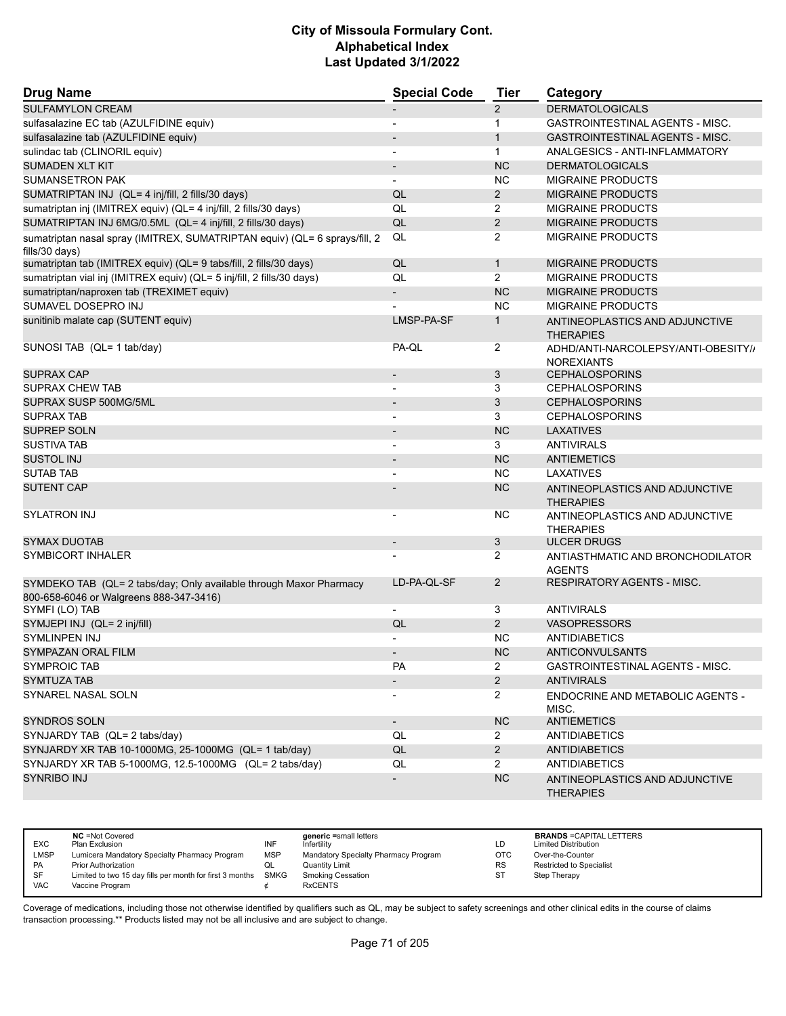| <b>Drug Name</b>                                                                                              | <b>Special Code</b>          | <b>Tier</b>    | Category                                                 |
|---------------------------------------------------------------------------------------------------------------|------------------------------|----------------|----------------------------------------------------------|
| <b>SULFAMYLON CREAM</b>                                                                                       |                              | $\overline{2}$ | <b>DERMATOLOGICALS</b>                                   |
| sulfasalazine EC tab (AZULFIDINE equiv)                                                                       | $\overline{\phantom{0}}$     | $\mathbf{1}$   | <b>GASTROINTESTINAL AGENTS - MISC.</b>                   |
| sulfasalazine tab (AZULFIDINE equiv)                                                                          |                              | $\mathbf{1}$   | <b>GASTROINTESTINAL AGENTS - MISC.</b>                   |
| sulindac tab (CLINORIL equiv)                                                                                 | $\overline{\phantom{a}}$     | $\mathbf{1}$   | ANALGESICS - ANTI-INFLAMMATORY                           |
| <b>SUMADEN XLT KIT</b>                                                                                        |                              | <b>NC</b>      | <b>DERMATOLOGICALS</b>                                   |
| <b>SUMANSETRON PAK</b>                                                                                        |                              | <b>NC</b>      | <b>MIGRAINE PRODUCTS</b>                                 |
| SUMATRIPTAN INJ (QL= 4 inj/fill, 2 fills/30 days)                                                             | QL                           | $\overline{2}$ | <b>MIGRAINE PRODUCTS</b>                                 |
| sumatriptan inj (IMITREX equiv) (QL= 4 inj/fill, 2 fills/30 days)                                             | QL                           | $\overline{2}$ | <b>MIGRAINE PRODUCTS</b>                                 |
| SUMATRIPTAN INJ 6MG/0.5ML (QL= 4 inj/fill, 2 fills/30 days)                                                   | QL                           | $\overline{2}$ | <b>MIGRAINE PRODUCTS</b>                                 |
| sumatriptan nasal spray (IMITREX, SUMATRIPTAN equiv) (QL= 6 sprays/fill, 2<br>fills/30 days)                  | QL                           | 2              | <b>MIGRAINE PRODUCTS</b>                                 |
| sumatriptan tab (IMITREX equiv) (QL= 9 tabs/fill, 2 fills/30 days)                                            | QL                           | $\mathbf{1}$   | <b>MIGRAINE PRODUCTS</b>                                 |
| sumatriptan vial inj (IMITREX equiv) (QL= 5 inj/fill, 2 fills/30 days)                                        | QL                           | $\overline{2}$ | <b>MIGRAINE PRODUCTS</b>                                 |
| sumatriptan/naproxen tab (TREXIMET equiv)                                                                     |                              | <b>NC</b>      | <b>MIGRAINE PRODUCTS</b>                                 |
| SUMAVEL DOSEPRO INJ                                                                                           |                              | <b>NC</b>      | <b>MIGRAINE PRODUCTS</b>                                 |
| sunitinib malate cap (SUTENT equiv)                                                                           | LMSP-PA-SF                   | $\mathbf{1}$   | ANTINEOPLASTICS AND ADJUNCTIVE<br><b>THERAPIES</b>       |
| SUNOSI TAB (QL= 1 tab/day)                                                                                    | PA-QL                        | 2              | ADHD/ANTI-NARCOLEPSY/ANTI-OBESITY//<br><b>NOREXIANTS</b> |
| <b>SUPRAX CAP</b>                                                                                             | $\overline{\phantom{a}}$     | 3              | <b>CEPHALOSPORINS</b>                                    |
| <b>SUPRAX CHEW TAB</b>                                                                                        |                              | 3              | <b>CEPHALOSPORINS</b>                                    |
| SUPRAX SUSP 500MG/5ML                                                                                         |                              | 3              | <b>CEPHALOSPORINS</b>                                    |
| <b>SUPRAX TAB</b>                                                                                             | $\overline{\phantom{a}}$     | 3              | <b>CEPHALOSPORINS</b>                                    |
| <b>SUPREP SOLN</b>                                                                                            |                              | <b>NC</b>      | <b>LAXATIVES</b>                                         |
| <b>SUSTIVA TAB</b>                                                                                            |                              | 3              | <b>ANTIVIRALS</b>                                        |
| <b>SUSTOL INJ</b>                                                                                             | $\qquad \qquad \blacksquare$ | NC             | <b>ANTIEMETICS</b>                                       |
| <b>SUTAB TAB</b>                                                                                              |                              | <b>NC</b>      | <b>LAXATIVES</b>                                         |
| <b>SUTENT CAP</b>                                                                                             |                              | <b>NC</b>      | ANTINEOPLASTICS AND ADJUNCTIVE<br><b>THERAPIES</b>       |
| SYLATRON INJ                                                                                                  |                              | NC.            | ANTINEOPLASTICS AND ADJUNCTIVE<br><b>THERAPIES</b>       |
| <b>SYMAX DUOTAB</b>                                                                                           |                              | 3              | <b>ULCER DRUGS</b>                                       |
| SYMBICORT INHALER                                                                                             |                              | $\overline{2}$ | ANTIASTHMATIC AND BRONCHODILATOR<br><b>AGENTS</b>        |
| SYMDEKO TAB (QL= 2 tabs/day; Only available through Maxor Pharmacy<br>800-658-6046 or Walgreens 888-347-3416) | LD-PA-QL-SF                  | $\overline{2}$ | <b>RESPIRATORY AGENTS - MISC.</b>                        |
| SYMFI (LO) TAB                                                                                                | $\overline{a}$               | 3              | <b>ANTIVIRALS</b>                                        |
| SYMJEPI INJ (QL= 2 inj/fill)                                                                                  | QL                           | $\overline{2}$ | <b>VASOPRESSORS</b>                                      |
| SYMLINPEN INJ                                                                                                 |                              | <b>NC</b>      | <b>ANTIDIABETICS</b>                                     |
| SYMPAZAN ORAL FILM                                                                                            | $\qquad \qquad \blacksquare$ | <b>NC</b>      | <b>ANTICONVULSANTS</b>                                   |
| <b>SYMPROIC TAB</b>                                                                                           | PA                           | $\overline{2}$ | GASTROINTESTINAL AGENTS - MISC.                          |
| <b>SYMTUZA TAB</b>                                                                                            |                              | $\overline{2}$ | <b>ANTIVIRALS</b>                                        |
| <b>SYNAREL NASAL SOLN</b>                                                                                     |                              | $\overline{2}$ | ENDOCRINE AND METABOLIC AGENTS -<br>MISC.                |
| <b>SYNDROS SOLN</b>                                                                                           | $\sim$                       | NC             | <b>ANTIEMETICS</b>                                       |
| SYNJARDY TAB (QL= 2 tabs/day)                                                                                 | QL                           | $\mathbf{2}$   | <b>ANTIDIABETICS</b>                                     |
| SYNJARDY XR TAB 10-1000MG, 25-1000MG (QL= 1 tab/day)                                                          | QL                           | $\overline{2}$ | <b>ANTIDIABETICS</b>                                     |
| SYNJARDY XR TAB 5-1000MG, 12.5-1000MG (QL= 2 tabs/day)                                                        | QL                           | $\mathbf{2}$   | <b>ANTIDIABETICS</b>                                     |
| <b>SYNRIBO INJ</b>                                                                                            |                              | NC             | ANTINEOPLASTICS AND ADJUNCTIVE<br><b>THERAPIES</b>       |

| <b>EXC</b>  | <b>NC</b> = Not Covered<br>Plan Exclusion                     | INF        | generic =small letters<br>Infertility | LD         | <b>BRANDS = CAPITAL LETTERS</b><br><b>Limited Distribution</b> |
|-------------|---------------------------------------------------------------|------------|---------------------------------------|------------|----------------------------------------------------------------|
| <b>LMSP</b> | Lumicera Mandatory Specialty Pharmacy Program                 | <b>MSP</b> | Mandatory Specialty Pharmacy Program  | <b>OTC</b> | Over-the-Counter                                               |
| <b>PA</b>   | <b>Prior Authorization</b>                                    |            | Quantity Limit                        | <b>RS</b>  | <b>Restricted to Specialist</b>                                |
| -SF         | Limited to two 15 day fills per month for first 3 months SMKG |            | <b>Smoking Cessation</b>              | ST         | Step Therapy                                                   |
| <b>VAC</b>  | Vaccine Program                                               |            | <b>RxCENTS</b>                        |            |                                                                |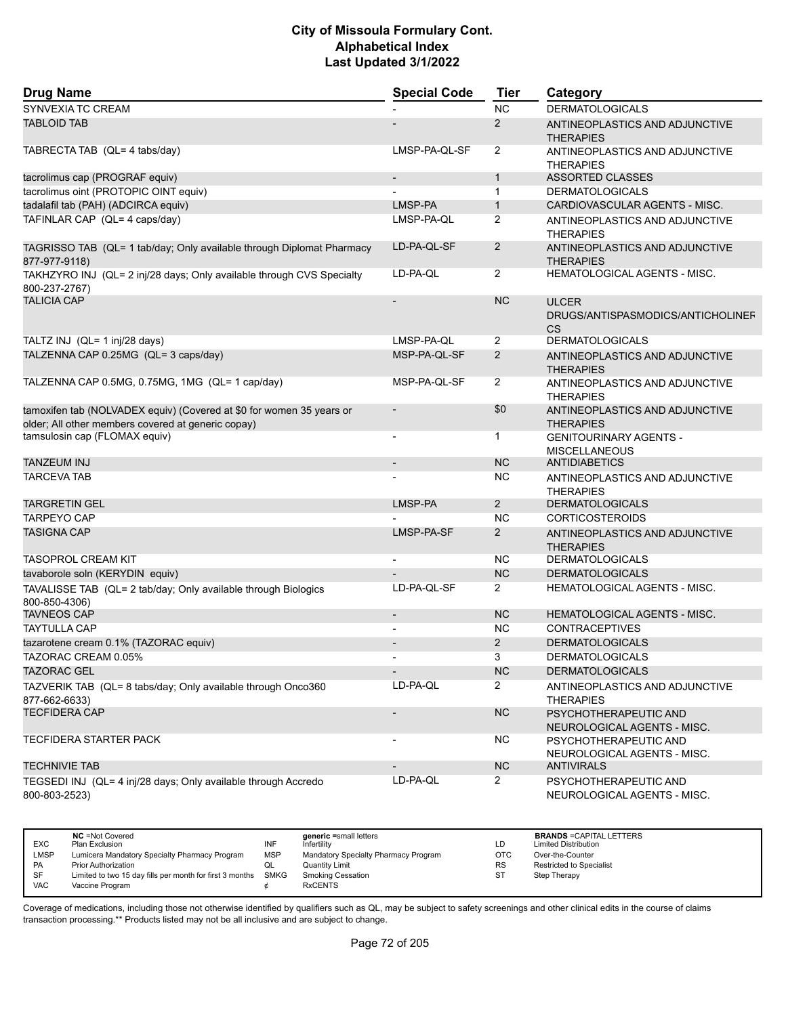| <b>Drug Name</b>                                                                                                           | <b>Special Code</b>      | <b>Tier</b>    | Category                                                |
|----------------------------------------------------------------------------------------------------------------------------|--------------------------|----------------|---------------------------------------------------------|
| SYNVEXIA TC CREAM                                                                                                          |                          | <b>NC</b>      | <b>DERMATOLOGICALS</b>                                  |
| <b>TABLOID TAB</b>                                                                                                         |                          | 2              | ANTINEOPLASTICS AND ADJUNCTIVE<br><b>THERAPIES</b>      |
| TABRECTA TAB (QL= 4 tabs/day)                                                                                              | LMSP-PA-QL-SF            | 2              | ANTINEOPLASTICS AND ADJUNCTIVE<br><b>THERAPIES</b>      |
| tacrolimus cap (PROGRAF equiv)                                                                                             | $\overline{\phantom{a}}$ | $\mathbf{1}$   | <b>ASSORTED CLASSES</b>                                 |
| tacrolimus oint (PROTOPIC OINT equiv)                                                                                      |                          | $\mathbf{1}$   | <b>DERMATOLOGICALS</b>                                  |
| tadalafil tab (PAH) (ADCIRCA equiv)                                                                                        | LMSP-PA                  | $\mathbf{1}$   | CARDIOVASCULAR AGENTS - MISC.                           |
| TAFINLAR CAP (QL= 4 caps/day)                                                                                              | LMSP-PA-QL               | 2              | ANTINEOPLASTICS AND ADJUNCTIVE<br><b>THERAPIES</b>      |
| TAGRISSO TAB (QL= 1 tab/day; Only available through Diplomat Pharmacy<br>877-977-9118)                                     | LD-PA-QL-SF              | 2              | ANTINEOPLASTICS AND ADJUNCTIVE<br><b>THERAPIES</b>      |
| TAKHZYRO INJ (QL= 2 inj/28 days; Only available through CVS Specialty<br>800-237-2767)                                     | LD-PA-QL                 | $\overline{2}$ | HEMATOLOGICAL AGENTS - MISC.                            |
| <b>TALICIA CAP</b>                                                                                                         |                          | <b>NC</b>      | <b>ULCER</b><br>DRUGS/ANTISPASMODICS/ANTICHOLINEF<br>CS |
| TALTZ INJ (QL= 1 inj/28 days)                                                                                              | LMSP-PA-QL               | $\overline{2}$ | <b>DERMATOLOGICALS</b>                                  |
| TALZENNA CAP 0.25MG (QL= 3 caps/day)                                                                                       | MSP-PA-QL-SF             | 2              | ANTINEOPLASTICS AND ADJUNCTIVE<br><b>THERAPIES</b>      |
| TALZENNA CAP 0.5MG, 0.75MG, 1MG (QL= 1 cap/day)                                                                            | MSP-PA-QL-SF             | 2              | ANTINEOPLASTICS AND ADJUNCTIVE<br><b>THERAPIES</b>      |
| tamoxifen tab (NOLVADEX equiv) (Covered at \$0 for women 35 years or<br>older; All other members covered at generic copay) |                          | \$0            | ANTINEOPLASTICS AND ADJUNCTIVE<br><b>THERAPIES</b>      |
| tamsulosin cap (FLOMAX equiv)                                                                                              |                          | 1              | <b>GENITOURINARY AGENTS -</b><br><b>MISCELLANEOUS</b>   |
| <b>TANZEUM INJ</b>                                                                                                         |                          | <b>NC</b>      | <b>ANTIDIABETICS</b>                                    |
| <b>TARCEVA TAB</b>                                                                                                         |                          | <b>NC</b>      | ANTINEOPLASTICS AND ADJUNCTIVE<br><b>THERAPIES</b>      |
| <b>TARGRETIN GEL</b>                                                                                                       | LMSP-PA                  | $\overline{2}$ | <b>DERMATOLOGICALS</b>                                  |
| <b>TARPEYO CAP</b>                                                                                                         |                          | <b>NC</b>      | <b>CORTICOSTEROIDS</b>                                  |
| <b>TASIGNA CAP</b>                                                                                                         | LMSP-PA-SF               | 2              | ANTINEOPLASTICS AND ADJUNCTIVE<br><b>THERAPIES</b>      |
| <b>TASOPROL CREAM KIT</b>                                                                                                  |                          | <b>NC</b>      | <b>DERMATOLOGICALS</b>                                  |
| tavaborole soln (KERYDIN equiv)                                                                                            |                          | <b>NC</b>      | <b>DERMATOLOGICALS</b>                                  |
| TAVALISSE TAB (QL= 2 tab/day; Only available through Biologics<br>800-850-4306)                                            | LD-PA-QL-SF              | $\overline{2}$ | <b>HEMATOLOGICAL AGENTS - MISC.</b>                     |
| <b>TAVNEOS CAP</b>                                                                                                         | $\overline{\phantom{a}}$ | <b>NC</b>      | HEMATOLOGICAL AGENTS - MISC.                            |
| <b>TAYTULLA CAP</b>                                                                                                        |                          | <b>NC</b>      | <b>CONTRACEPTIVES</b>                                   |
| tazarotene cream 0.1% (TAZORAC equiv)                                                                                      |                          | 2              | <b>DERMATOLOGICALS</b>                                  |
| TAZORAC CREAM 0.05%                                                                                                        |                          | 3              | <b>DERMATOLOGICALS</b>                                  |
| <b>TAZORAC GEL</b>                                                                                                         |                          | NC             | <b>DERMATOLOGICALS</b>                                  |
| TAZVERIK TAB (QL= 8 tabs/day; Only available through Onco360<br>877-662-6633)                                              | LD-PA-QL                 | $\overline{2}$ | ANTINEOPLASTICS AND ADJUNCTIVE<br><b>THERAPIES</b>      |
| <b>TECFIDERA CAP</b>                                                                                                       | $\overline{\phantom{a}}$ | <b>NC</b>      | PSYCHOTHERAPEUTIC AND<br>NEUROLOGICAL AGENTS - MISC.    |
| TECFIDERA STARTER PACK                                                                                                     | $\overline{\phantom{a}}$ | <b>NC</b>      | PSYCHOTHERAPEUTIC AND<br>NEUROLOGICAL AGENTS - MISC.    |
| <b>TECHNIVIE TAB</b>                                                                                                       |                          | <b>NC</b>      | <b>ANTIVIRALS</b>                                       |
| TEGSEDI INJ (QL= 4 inj/28 days; Only available through Accredo<br>800-803-2523)                                            | LD-PA-QL                 | $\mathbf{2}$   | PSYCHOTHERAPEUTIC AND<br>NEUROLOGICAL AGENTS - MISC.    |

|             | <b>NC</b> = Not Covered                                  |            | generic =small letters               |            | <b>BRANDS = CAPITAL LETTERS</b> |
|-------------|----------------------------------------------------------|------------|--------------------------------------|------------|---------------------------------|
| <b>EXC</b>  | Plan Exclusion                                           | INF        | Infertilitv                          | LD         | <b>Limited Distribution</b>     |
| <b>LMSP</b> | Lumicera Mandatory Specialty Pharmacy Program            | <b>MSP</b> | Mandatory Specialty Pharmacy Program | <b>OTC</b> | Over-the-Counter                |
| <b>PA</b>   | <b>Prior Authorization</b>                               | ◡          | <b>Quantity Limit</b>                | <b>RS</b>  | Restricted to Specialist        |
| SF          | Limited to two 15 day fills per month for first 3 months | SMKG       | Smoking Cessation                    | SТ         | Step Therapy                    |
| <b>VAC</b>  | Vaccine Program                                          |            | <b>RxCENTS</b>                       |            |                                 |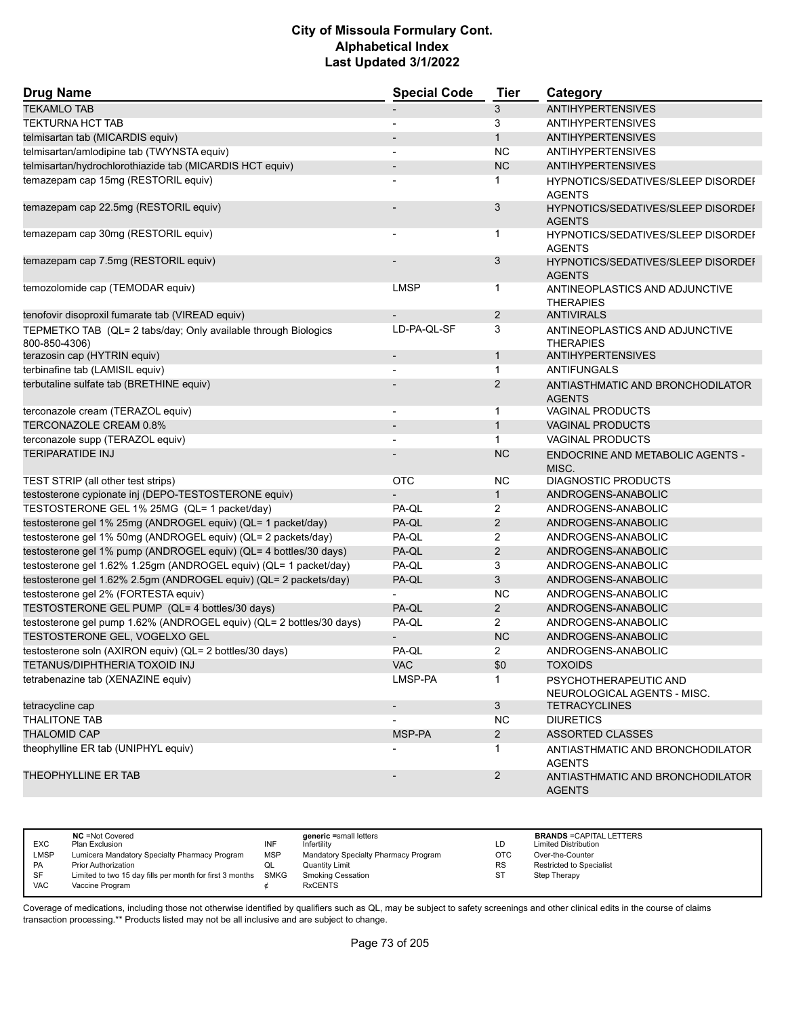| <b>Drug Name</b>                                                                | <b>Special Code</b>      | <b>Tier</b>    | Category                                                   |
|---------------------------------------------------------------------------------|--------------------------|----------------|------------------------------------------------------------|
| <b>TEKAMLO TAB</b>                                                              |                          | 3              | <b>ANTIHYPERTENSIVES</b>                                   |
| <b>TEKTURNA HCT TAB</b>                                                         |                          | 3              | <b>ANTIHYPERTENSIVES</b>                                   |
| telmisartan tab (MICARDIS equiv)                                                |                          | $\mathbf{1}$   | <b>ANTIHYPERTENSIVES</b>                                   |
| telmisartan/amlodipine tab (TWYNSTA equiv)                                      |                          | <b>NC</b>      | <b>ANTIHYPERTENSIVES</b>                                   |
| telmisartan/hydrochlorothiazide tab (MICARDIS HCT equiv)                        | $\overline{\phantom{a}}$ | NC             | <b>ANTIHYPERTENSIVES</b>                                   |
| temazepam cap 15mg (RESTORIL equiv)                                             |                          | 1              | HYPNOTICS/SEDATIVES/SLEEP DISORDEF<br><b>AGENTS</b>        |
| temazepam cap 22.5mg (RESTORIL equiv)                                           |                          | 3              | HYPNOTICS/SEDATIVES/SLEEP DISORDEI<br><b>AGENTS</b>        |
| temazepam cap 30mg (RESTORIL equiv)                                             |                          | $\mathbf{1}$   | <b>HYPNOTICS/SEDATIVES/SLEEP DISORDEF</b><br><b>AGENTS</b> |
| temazepam cap 7.5mg (RESTORIL equiv)                                            |                          | 3              | HYPNOTICS/SEDATIVES/SLEEP DISORDEI<br><b>AGENTS</b>        |
| temozolomide cap (TEMODAR equiv)                                                | <b>LMSP</b>              | 1              | ANTINEOPLASTICS AND ADJUNCTIVE<br><b>THERAPIES</b>         |
| tenofovir disoproxil fumarate tab (VIREAD equiv)                                |                          | $\overline{2}$ | <b>ANTIVIRALS</b>                                          |
| TEPMETKO TAB (QL= 2 tabs/day; Only available through Biologics<br>800-850-4306) | LD-PA-QL-SF              | 3              | ANTINEOPLASTICS AND ADJUNCTIVE<br><b>THERAPIES</b>         |
| terazosin cap (HYTRIN equiv)                                                    | $\overline{\phantom{a}}$ | $\mathbf{1}$   | <b>ANTIHYPERTENSIVES</b>                                   |
| terbinafine tab (LAMISIL equiv)                                                 |                          | 1              | <b>ANTIFUNGALS</b>                                         |
| terbutaline sulfate tab (BRETHINE equiv)                                        |                          | $\mathbf{2}$   | ANTIASTHMATIC AND BRONCHODILATOR<br><b>AGENTS</b>          |
| terconazole cream (TERAZOL equiv)                                               |                          | $\mathbf{1}$   | <b>VAGINAL PRODUCTS</b>                                    |
| TERCONAZOLE CREAM 0.8%                                                          |                          | $\mathbf{1}$   | <b>VAGINAL PRODUCTS</b>                                    |
| terconazole supp (TERAZOL equiv)                                                | $\blacksquare$           | $\mathbf{1}$   | <b>VAGINAL PRODUCTS</b>                                    |
| <b>TERIPARATIDE INJ</b>                                                         |                          | <b>NC</b>      | <b>ENDOCRINE AND METABOLIC AGENTS -</b><br>MISC.           |
| TEST STRIP (all other test strips)                                              | <b>OTC</b>               | <b>NC</b>      | <b>DIAGNOSTIC PRODUCTS</b>                                 |
| testosterone cypionate inj (DEPO-TESTOSTERONE equiv)                            |                          | $\mathbf{1}$   | ANDROGENS-ANABOLIC                                         |
| TESTOSTERONE GEL 1% 25MG (QL= 1 packet/day)                                     | PA-QL                    | $\overline{2}$ | ANDROGENS-ANABOLIC                                         |
| testosterone gel 1% 25mg (ANDROGEL equiv) (QL= 1 packet/day)                    | PA-QL                    | $\overline{2}$ | ANDROGENS-ANABOLIC                                         |
| testosterone gel 1% 50mg (ANDROGEL equiv) (QL= 2 packets/day)                   | PA-QL                    | $\overline{2}$ | ANDROGENS-ANABOLIC                                         |
| testosterone gel 1% pump (ANDROGEL equiv) (QL= 4 bottles/30 days)               | PA-QL                    | $\overline{2}$ | ANDROGENS-ANABOLIC                                         |
| testosterone gel 1.62% 1.25gm (ANDROGEL equiv) (QL= 1 packet/day)               | PA-QL                    | 3              | ANDROGENS-ANABOLIC                                         |
| testosterone gel 1.62% 2.5gm (ANDROGEL equiv) (QL= 2 packets/day)               | PA-QL                    | 3              | ANDROGENS-ANABOLIC                                         |
| testosterone gel 2% (FORTESTA equiv)                                            |                          | <b>NC</b>      | ANDROGENS-ANABOLIC                                         |
| TESTOSTERONE GEL PUMP (QL= 4 bottles/30 days)                                   | PA-QL                    | $\overline{2}$ | ANDROGENS-ANABOLIC                                         |
| testosterone gel pump 1.62% (ANDROGEL equiv) (QL= 2 bottles/30 days)            | PA-QL                    | $\overline{2}$ | ANDROGENS-ANABOLIC                                         |
| TESTOSTERONE GEL, VOGELXO GEL                                                   |                          | <b>NC</b>      | ANDROGENS-ANABOLIC                                         |
| testosterone soln (AXIRON equiv) (QL= 2 bottles/30 days)                        | PA-QL                    | 2              | ANDROGENS-ANABOLIC                                         |
| TETANUS/DIPHTHERIA TOXOID INJ                                                   | <b>VAC</b>               | \$0            | <b>TOXOIDS</b>                                             |
| tetrabenazine tab (XENAZINE equiv)                                              | LMSP-PA                  | 1.             | PSYCHOTHERAPEUTIC AND<br>NEUROLOGICAL AGENTS - MISC.       |
| tetracycline cap                                                                | $\overline{\phantom{a}}$ | $\mathbf{3}$   | <b>TETRACYCLINES</b>                                       |
| <b>THALITONE TAB</b>                                                            |                          | <b>NC</b>      | <b>DIURETICS</b>                                           |
| <b>THALOMID CAP</b>                                                             | MSP-PA                   | $2^{\circ}$    | <b>ASSORTED CLASSES</b>                                    |
| theophylline ER tab (UNIPHYL equiv)                                             |                          | 1              | ANTIASTHMATIC AND BRONCHODILATOR<br><b>AGENTS</b>          |
| THEOPHYLLINE ER TAB                                                             |                          | $\overline{2}$ | ANTIASTHMATIC AND BRONCHODILATOR<br><b>AGENTS</b>          |

|             | <b>NC</b> = Not Covered                                       |            | generic =small letters               |           | <b>BRANDS = CAPITAL LETTERS</b> |
|-------------|---------------------------------------------------------------|------------|--------------------------------------|-----------|---------------------------------|
| <b>EXC</b>  | Plan Exclusion                                                | INF        | Infertility                          | LD        | <b>Limited Distribution</b>     |
| <b>LMSP</b> | Lumicera Mandatory Specialty Pharmacy Program                 | <b>MSP</b> | Mandatory Specialty Pharmacy Program | OTC       | Over-the-Counter                |
| <b>PA</b>   | <b>Prior Authorization</b>                                    | w∟         | Quantity Limit                       | <b>RS</b> | <b>Restricted to Specialist</b> |
| SF          | Limited to two 15 day fills per month for first 3 months SMKG |            | Smoking Cessation                    | ST        | Step Therapy                    |
| <b>VAC</b>  | Vaccine Program                                               |            | <b>RxCENTS</b>                       |           |                                 |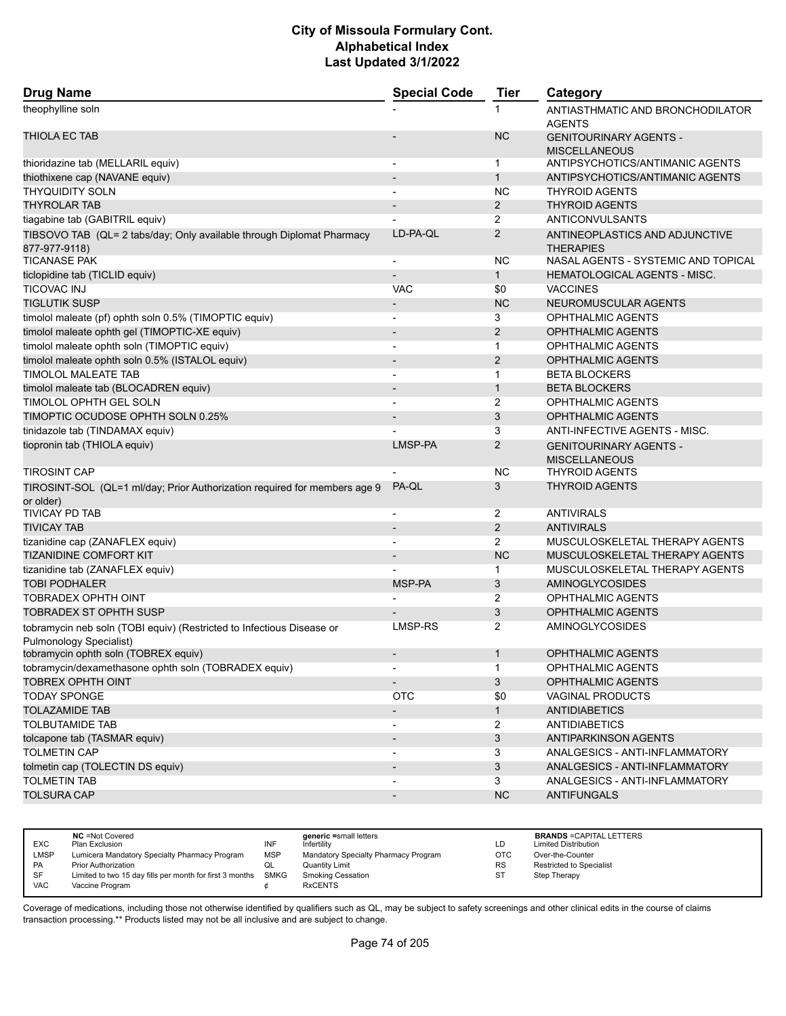| <b>Drug Name</b>                                                                                 | <b>Special Code</b>          | <b>Tier</b>    | Category                                              |
|--------------------------------------------------------------------------------------------------|------------------------------|----------------|-------------------------------------------------------|
| theophylline soln                                                                                |                              | 1              | ANTIASTHMATIC AND BRONCHODILATOR<br><b>AGENTS</b>     |
| <b>THIOLA EC TAB</b>                                                                             |                              | <b>NC</b>      | <b>GENITOURINARY AGENTS -</b><br><b>MISCELLANEOUS</b> |
| thioridazine tab (MELLARIL equiv)                                                                | $\overline{\phantom{a}}$     | 1              | ANTIPSYCHOTICS/ANTIMANIC AGENTS                       |
| thiothixene cap (NAVANE equiv)                                                                   |                              | $\mathbf{1}$   | ANTIPSYCHOTICS/ANTIMANIC AGENTS                       |
| <b>THYQUIDITY SOLN</b>                                                                           | $\overline{\phantom{a}}$     | NC             | <b>THYROID AGENTS</b>                                 |
| <b>THYROLAR TAB</b>                                                                              | $\overline{a}$               | $\overline{2}$ | <b>THYROID AGENTS</b>                                 |
| tiagabine tab (GABITRIL equiv)                                                                   |                              | 2              | ANTICONVULSANTS                                       |
| TIBSOVO TAB (QL= 2 tabs/day; Only available through Diplomat Pharmacy<br>877-977-9118)           | LD-PA-QL                     | $\overline{2}$ | ANTINEOPLASTICS AND ADJUNCTIVE<br><b>THERAPIES</b>    |
| <b>TICANASE PAK</b>                                                                              | $\overline{\phantom{a}}$     | ΝC             | NASAL AGENTS - SYSTEMIC AND TOPICAL                   |
| ticlopidine tab (TICLID equiv)                                                                   | $\overline{\phantom{0}}$     | $\mathbf{1}$   | <b>HEMATOLOGICAL AGENTS - MISC.</b>                   |
| <b>TICOVAC INJ</b>                                                                               | <b>VAC</b>                   | \$0            | <b>VACCINES</b>                                       |
| <b>TIGLUTIK SUSP</b>                                                                             | $\overline{\phantom{a}}$     | <b>NC</b>      | NEUROMUSCULAR AGENTS                                  |
| timolol maleate (pf) ophth soln 0.5% (TIMOPTIC equiv)                                            | $\overline{a}$               | 3              | <b>OPHTHALMIC AGENTS</b>                              |
| timolol maleate ophth gel (TIMOPTIC-XE equiv)                                                    | $\qquad \qquad \blacksquare$ | $\overline{2}$ | OPHTHALMIC AGENTS                                     |
| timolol maleate ophth soln (TIMOPTIC equiv)                                                      | $\overline{\phantom{a}}$     | $\mathbf 1$    | <b>OPHTHALMIC AGENTS</b>                              |
| timolol maleate ophth soln 0.5% (ISTALOL equiv)                                                  | $\overline{\phantom{a}}$     | $\overline{2}$ | <b>OPHTHALMIC AGENTS</b>                              |
| TIMOLOL MALEATE TAB                                                                              | $\overline{a}$               | 1              | <b>BETA BLOCKERS</b>                                  |
| timolol maleate tab (BLOCADREN equiv)                                                            | $\overline{a}$               | $\mathbf{1}$   | <b>BETA BLOCKERS</b>                                  |
| TIMOLOL OPHTH GEL SOLN                                                                           | $\blacksquare$               | 2              | OPHTHALMIC AGENTS                                     |
| TIMOPTIC OCUDOSE OPHTH SOLN 0.25%                                                                | $\overline{\phantom{m}}$     | 3              | <b>OPHTHALMIC AGENTS</b>                              |
| tinidazole tab (TINDAMAX equiv)                                                                  |                              | 3              | ANTI-INFECTIVE AGENTS - MISC.                         |
| tiopronin tab (THIOLA equiv)                                                                     | LMSP-PA                      | $\overline{2}$ | <b>GENITOURINARY AGENTS -</b><br><b>MISCELLANEOUS</b> |
| <b>TIROSINT CAP</b>                                                                              |                              | ΝC             | <b>THYROID AGENTS</b>                                 |
| TIROSINT-SOL (QL=1 ml/day; Prior Authorization required for members age 9<br>or older)           | PA-QL                        | 3              | <b>THYROID AGENTS</b>                                 |
| <b>TIVICAY PD TAB</b>                                                                            |                              | 2              | <b>ANTIVIRALS</b>                                     |
| <b>TIVICAY TAB</b>                                                                               | $\overline{a}$               | $\overline{2}$ | <b>ANTIVIRALS</b>                                     |
| tizanidine cap (ZANAFLEX equiv)                                                                  | $\blacksquare$               | $\overline{2}$ | MUSCULOSKELETAL THERAPY AGENTS                        |
| <b>TIZANIDINE COMFORT KIT</b>                                                                    |                              | <b>NC</b>      | MUSCULOSKELETAL THERAPY AGENTS                        |
| tizanidine tab (ZANAFLEX equiv)                                                                  |                              | 1              | MUSCULOSKELETAL THERAPY AGENTS                        |
| <b>TOBI PODHALER</b>                                                                             | MSP-PA                       | 3              | <b>AMINOGLYCOSIDES</b>                                |
| <b>TOBRADEX OPHTH OINT</b>                                                                       |                              | 2              | <b>OPHTHALMIC AGENTS</b>                              |
| <b>TOBRADEX ST OPHTH SUSP</b>                                                                    |                              | 3              | <b>OPHTHALMIC AGENTS</b>                              |
| tobramycin neb soln (TOBI equiv) (Restricted to Infectious Disease or<br>Pulmonology Specialist) | LMSP-RS                      | $\overline{2}$ | AMINOGLYCOSIDES                                       |
| tobramycin ophth soln (TOBREX equiv)                                                             | $\blacksquare$               | $\mathbf 1$    | <b>OPHTHALMIC AGENTS</b>                              |
| tobramycin/dexamethasone ophth soln (TOBRADEX equiv)                                             | $\blacksquare$               | $\mathbf{1}$   | OPHTHALMIC AGENTS                                     |
| <b>TOBREX OPHTH OINT</b>                                                                         | $\overline{\phantom{0}}$     | 3              | OPHTHALMIC AGENTS                                     |
| <b>TODAY SPONGE</b>                                                                              | <b>OTC</b>                   | \$0            | <b>VAGINAL PRODUCTS</b>                               |
| <b>TOLAZAMIDE TAB</b>                                                                            | $\overline{\phantom{a}}$     | $\mathbf{1}$   | <b>ANTIDIABETICS</b>                                  |
| <b>TOLBUTAMIDE TAB</b>                                                                           | $\overline{\phantom{a}}$     | $\overline{2}$ | <b>ANTIDIABETICS</b>                                  |
| tolcapone tab (TASMAR equiv)                                                                     | $\overline{\phantom{a}}$     | 3              | ANTIPARKINSON AGENTS                                  |
| <b>TOLMETIN CAP</b>                                                                              | $\overline{\phantom{a}}$     | 3              | ANALGESICS - ANTI-INFLAMMATORY                        |
| tolmetin cap (TOLECTIN DS equiv)                                                                 | $\overline{\phantom{a}}$     | 3              | ANALGESICS - ANTI-INFLAMMATORY                        |
| <b>TOLMETIN TAB</b>                                                                              | ٠                            | 3              | ANALGESICS - ANTI-INFLAMMATORY                        |
| <b>TOLSURA CAP</b>                                                                               | $\overline{\phantom{a}}$     | NC             | <b>ANTIFUNGALS</b>                                    |
|                                                                                                  |                              |                |                                                       |

|            | <b>NC</b> = Not Covered                                       |            | generic =small letters               |           | <b>BRANDS = CAPITAL LETTERS</b> |
|------------|---------------------------------------------------------------|------------|--------------------------------------|-----------|---------------------------------|
| <b>EXC</b> | Plan Exclusion                                                | INF        | Infertility                          | LD        | <b>Limited Distribution</b>     |
| LMSP       | Lumicera Mandatory Specialty Pharmacy Program                 | <b>MSP</b> | Mandatory Specialty Pharmacy Program | ОТС       | Over-the-Counter                |
| PA         | Prior Authorization                                           | QL         | Quantity Limit                       | <b>RS</b> | <b>Restricted to Specialist</b> |
| SF         | Limited to two 15 day fills per month for first 3 months SMKG |            | <b>Smoking Cessation</b>             | ST        | Step Therapy                    |
| VAC        | Vaccine Program                                               |            | <b>RxCENTS</b>                       |           |                                 |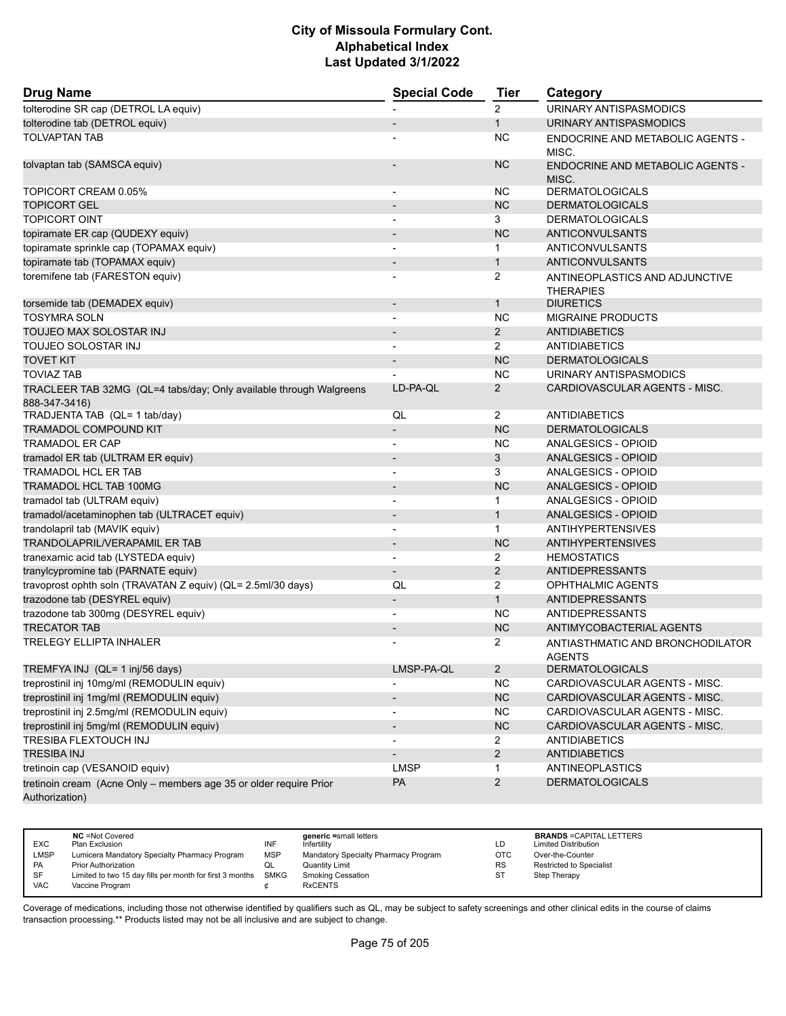| <b>Drug Name</b>                                                                     | <b>Special Code</b>          | <b>Tier</b>    | Category                                           |
|--------------------------------------------------------------------------------------|------------------------------|----------------|----------------------------------------------------|
| tolterodine SR cap (DETROL LA equiv)                                                 |                              | $\overline{2}$ | URINARY ANTISPASMODICS                             |
| tolterodine tab (DETROL equiv)                                                       |                              | $\mathbf{1}$   | URINARY ANTISPASMODICS                             |
| <b>TOLVAPTAN TAB</b>                                                                 |                              | <b>NC</b>      | ENDOCRINE AND METABOLIC AGENTS -<br>MISC.          |
| tolvaptan tab (SAMSCA equiv)                                                         |                              | <b>NC</b>      | <b>ENDOCRINE AND METABOLIC AGENTS -</b><br>MISC.   |
| TOPICORT CREAM 0.05%                                                                 | $\overline{a}$               | <b>NC</b>      | <b>DERMATOLOGICALS</b>                             |
| <b>TOPICORT GEL</b>                                                                  | $\qquad \qquad \blacksquare$ | <b>NC</b>      | <b>DERMATOLOGICALS</b>                             |
| <b>TOPICORT OINT</b>                                                                 | $\overline{\phantom{0}}$     | 3              | <b>DERMATOLOGICALS</b>                             |
| topiramate ER cap (QUDEXY equiv)                                                     | $\overline{a}$               | <b>NC</b>      | <b>ANTICONVULSANTS</b>                             |
| topiramate sprinkle cap (TOPAMAX equiv)                                              |                              | $\mathbf{1}$   | ANTICONVULSANTS                                    |
| topiramate tab (TOPAMAX equiv)                                                       | $\overline{\phantom{a}}$     | $\mathbf{1}$   | <b>ANTICONVULSANTS</b>                             |
| toremifene tab (FARESTON equiv)                                                      |                              | 2              | ANTINEOPLASTICS AND ADJUNCTIVE<br><b>THERAPIES</b> |
| torsemide tab (DEMADEX equiv)                                                        | $\overline{\phantom{a}}$     | $\mathbf{1}$   | <b>DIURETICS</b>                                   |
| <b>TOSYMRA SOLN</b>                                                                  |                              | <b>NC</b>      | <b>MIGRAINE PRODUCTS</b>                           |
| TOUJEO MAX SOLOSTAR INJ                                                              | $\overline{\phantom{a}}$     | $\overline{2}$ | <b>ANTIDIABETICS</b>                               |
| TOUJEO SOLOSTAR INJ                                                                  | $\overline{\phantom{a}}$     | $\overline{2}$ | <b>ANTIDIABETICS</b>                               |
| <b>TOVET KIT</b>                                                                     |                              | <b>NC</b>      | <b>DERMATOLOGICALS</b>                             |
| <b>TOVIAZ TAB</b>                                                                    |                              | <b>NC</b>      | URINARY ANTISPASMODICS                             |
| TRACLEER TAB 32MG (QL=4 tabs/day; Only available through Walgreens<br>888-347-3416)  | LD-PA-QL                     | $\overline{2}$ | CARDIOVASCULAR AGENTS - MISC.                      |
| TRADJENTA TAB (QL= 1 tab/day)                                                        | QL                           | $\overline{2}$ | <b>ANTIDIABETICS</b>                               |
| TRAMADOL COMPOUND KIT                                                                |                              | <b>NC</b>      | <b>DERMATOLOGICALS</b>                             |
| <b>TRAMADOL ER CAP</b>                                                               | $\blacksquare$               | <b>NC</b>      | ANALGESICS - OPIOID                                |
| tramadol ER tab (ULTRAM ER equiv)                                                    |                              | 3              | <b>ANALGESICS - OPIOID</b>                         |
| TRAMADOL HCL ER TAB                                                                  |                              | 3              | ANALGESICS - OPIOID                                |
| <b>TRAMADOL HCL TAB 100MG</b>                                                        | $\overline{\phantom{a}}$     | <b>NC</b>      | ANALGESICS - OPIOID                                |
| tramadol tab (ULTRAM equiv)                                                          | $\overline{\phantom{0}}$     | $\mathbf{1}$   | ANALGESICS - OPIOID                                |
| tramadol/acetaminophen tab (ULTRACET equiv)                                          |                              | $\mathbf{1}$   | <b>ANALGESICS - OPIOID</b>                         |
| trandolapril tab (MAVIK equiv)                                                       | $\blacksquare$               | $\mathbf{1}$   | <b>ANTIHYPERTENSIVES</b>                           |
| <b>TRANDOLAPRIL/VERAPAMIL ER TAB</b>                                                 | $\overline{\phantom{m}}$     | <b>NC</b>      | <b>ANTIHYPERTENSIVES</b>                           |
| tranexamic acid tab (LYSTEDA equiv)                                                  |                              | 2              | <b>HEMOSTATICS</b>                                 |
| tranylcypromine tab (PARNATE equiv)                                                  | $\overline{\phantom{a}}$     | $\overline{2}$ | <b>ANTIDEPRESSANTS</b>                             |
| travoprost ophth soln (TRAVATAN Z equiv) (QL= 2.5ml/30 days)                         | QL                           | 2              | OPHTHALMIC AGENTS                                  |
| trazodone tab (DESYREL equiv)                                                        | $\qquad \qquad \blacksquare$ | $\mathbf{1}$   | <b>ANTIDEPRESSANTS</b>                             |
| trazodone tab 300mg (DESYREL equiv)                                                  | $\overline{\phantom{a}}$     | <b>NC</b>      | ANTIDEPRESSANTS                                    |
| <b>TRECATOR TAB</b>                                                                  | $\qquad \qquad \blacksquare$ | <b>NC</b>      | ANTIMYCOBACTERIAL AGENTS                           |
| <b>TRELEGY ELLIPTA INHALER</b>                                                       |                              | 2              | ANTIASTHMATIC AND BRONCHODILATOR<br><b>AGENTS</b>  |
| TREMFYA INJ (QL= 1 inj/56 days)                                                      | LMSP-PA-QL                   | $\overline{2}$ | <b>DERMATOLOGICALS</b>                             |
| treprostinil inj 10mg/ml (REMODULIN equiv)                                           |                              | <b>NC</b>      | CARDIOVASCULAR AGENTS - MISC.                      |
| treprostinil inj 1mg/ml (REMODULIN equiv)                                            | $\overline{\phantom{a}}$     | NC             | CARDIOVASCULAR AGENTS - MISC.                      |
| treprostinil inj 2.5mg/ml (REMODULIN equiv)                                          |                              | <b>NC</b>      | CARDIOVASCULAR AGENTS - MISC.                      |
| treprostinil inj 5mg/ml (REMODULIN equiv)                                            |                              | ${\sf NC}$     | CARDIOVASCULAR AGENTS - MISC.                      |
| TRESIBA FLEXTOUCH INJ                                                                | $\overline{\phantom{0}}$     | $\overline{2}$ | <b>ANTIDIABETICS</b>                               |
| <b>TRESIBA INJ</b>                                                                   |                              | 2              | <b>ANTIDIABETICS</b>                               |
| tretinoin cap (VESANOID equiv)                                                       | <b>LMSP</b>                  | $\mathbf{1}$   | <b>ANTINEOPLASTICS</b>                             |
| tretinoin cream (Acne Only - members age 35 or older require Prior<br>Authorization) | PA                           | $\overline{c}$ | <b>DERMATOLOGICALS</b>                             |

| <b>EXC</b> | <b>NC</b> = Not Covered<br>Plan Exclusion                     | INF        | generic =small letters<br>Infertility | LD.       | <b>BRANDS = CAPITAL LETTERS</b><br><b>Limited Distribution</b> |
|------------|---------------------------------------------------------------|------------|---------------------------------------|-----------|----------------------------------------------------------------|
|            |                                                               |            |                                       |           |                                                                |
| LMSP       | Lumicera Mandatory Specialty Pharmacy Program                 | <b>MSP</b> | Mandatory Specialty Pharmacy Program  | ОТС       | Over-the-Counter                                               |
| PA         | Prior Authorization                                           | QL         | Quantity Limit                        | <b>RS</b> | <b>Restricted to Specialist</b>                                |
| <b>SF</b>  | Limited to two 15 day fills per month for first 3 months SMKG |            | <b>Smoking Cessation</b>              | ST        | Step Therapy                                                   |
| VAC        | Vaccine Program                                               |            | <b>RxCENTS</b>                        |           |                                                                |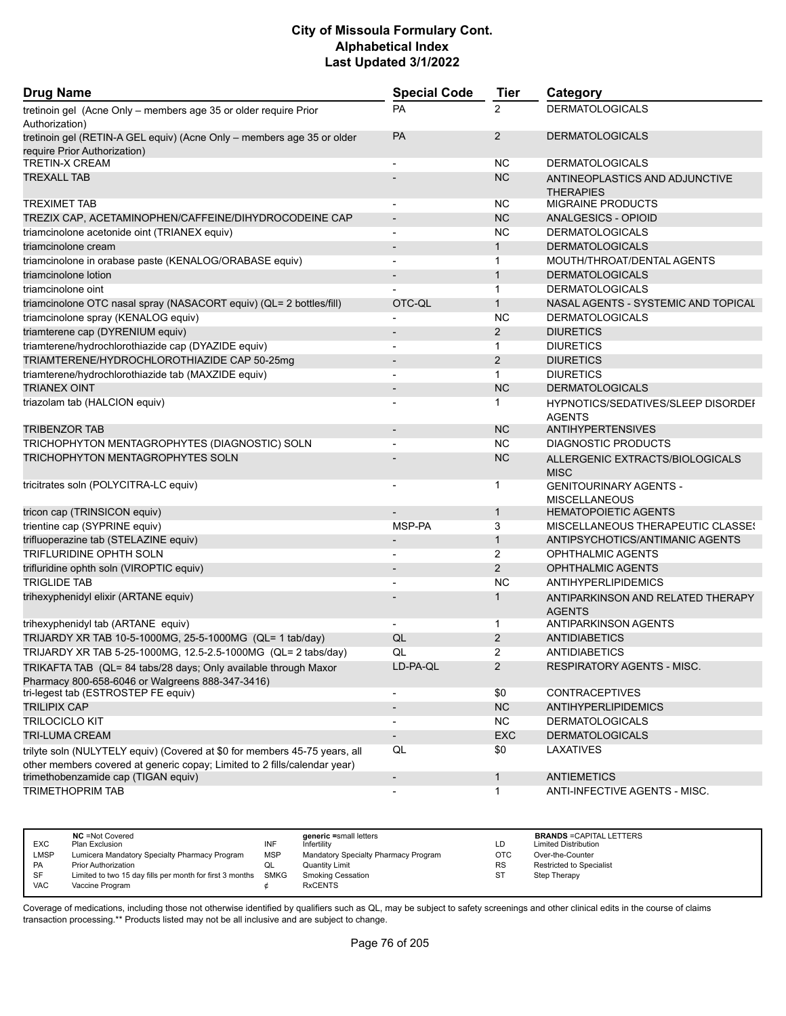| <b>Drug Name</b>                                                                                                                                        | <b>Special Code</b>      | <b>Tier</b>    | Category                                                   |
|---------------------------------------------------------------------------------------------------------------------------------------------------------|--------------------------|----------------|------------------------------------------------------------|
| tretinoin gel (Acne Only - members age 35 or older require Prior<br>Authorization)                                                                      | <b>PA</b>                | $\overline{2}$ | <b>DERMATOLOGICALS</b>                                     |
| tretinoin gel (RETIN-A GEL equiv) (Acne Only - members age 35 or older<br>require Prior Authorization)                                                  | <b>PA</b>                | $\overline{2}$ | <b>DERMATOLOGICALS</b>                                     |
| <b>TRETIN-X CREAM</b>                                                                                                                                   |                          | <b>NC</b>      | <b>DERMATOLOGICALS</b>                                     |
| <b>TREXALL TAB</b>                                                                                                                                      |                          | <b>NC</b>      | ANTINEOPLASTICS AND ADJUNCTIVE                             |
|                                                                                                                                                         |                          |                | <b>THERAPIES</b>                                           |
| <b>TREXIMET TAB</b>                                                                                                                                     |                          | NC.            | <b>MIGRAINE PRODUCTS</b>                                   |
| TREZIX CAP, ACETAMINOPHEN/CAFFEINE/DIHYDROCODEINE CAP                                                                                                   | $\overline{\phantom{a}}$ | NC             | ANALGESICS - OPIOID                                        |
| triamcinolone acetonide oint (TRIANEX equiv)                                                                                                            |                          | NC.            | <b>DERMATOLOGICALS</b>                                     |
| triamcinolone cream                                                                                                                                     | $\blacksquare$           | $\mathbf{1}$   | <b>DERMATOLOGICALS</b>                                     |
| triamcinolone in orabase paste (KENALOG/ORABASE equiv)                                                                                                  |                          | 1              | MOUTH/THROAT/DENTAL AGENTS                                 |
| triamcinolone lotion                                                                                                                                    |                          | $\mathbf{1}$   | <b>DERMATOLOGICALS</b>                                     |
| triamcinolone oint                                                                                                                                      |                          | $\mathbf{1}$   | <b>DERMATOLOGICALS</b>                                     |
| triamcinolone OTC nasal spray (NASACORT equiv) (QL= 2 bottles/fill)                                                                                     | OTC-QL                   | $\mathbf{1}$   | NASAL AGENTS - SYSTEMIC AND TOPICAL                        |
| triamcinolone spray (KENALOG equiv)                                                                                                                     |                          | <b>NC</b>      | <b>DERMATOLOGICALS</b>                                     |
| triamterene cap (DYRENIUM equiv)                                                                                                                        | $\blacksquare$           | $\overline{2}$ | <b>DIURETICS</b>                                           |
| triamterene/hydrochlorothiazide cap (DYAZIDE equiv)                                                                                                     |                          | $\mathbf{1}$   | <b>DIURETICS</b>                                           |
| TRIAMTERENE/HYDROCHLOROTHIAZIDE CAP 50-25mg                                                                                                             |                          | 2              | <b>DIURETICS</b>                                           |
| triamterene/hydrochlorothiazide tab (MAXZIDE equiv)                                                                                                     | $\overline{\phantom{a}}$ | $\mathbf{1}$   | <b>DIURETICS</b>                                           |
| <b>TRIANEX OINT</b>                                                                                                                                     |                          | <b>NC</b>      | <b>DERMATOLOGICALS</b>                                     |
| triazolam tab (HALCION equiv)                                                                                                                           |                          | 1              | <b>HYPNOTICS/SEDATIVES/SLEEP DISORDEF</b><br><b>AGENTS</b> |
| <b>TRIBENZOR TAB</b>                                                                                                                                    |                          | <b>NC</b>      | <b>ANTIHYPERTENSIVES</b>                                   |
| TRICHOPHYTON MENTAGROPHYTES (DIAGNOSTIC) SOLN                                                                                                           |                          | <b>NC</b>      | <b>DIAGNOSTIC PRODUCTS</b>                                 |
| <b>TRICHOPHYTON MENTAGROPHYTES SOLN</b>                                                                                                                 |                          | <b>NC</b>      | ALLERGENIC EXTRACTS/BIOLOGICALS<br><b>MISC</b>             |
| tricitrates soln (POLYCITRA-LC equiv)                                                                                                                   |                          | 1              | <b>GENITOURINARY AGENTS -</b><br><b>MISCELLANEOUS</b>      |
| tricon cap (TRINSICON equiv)                                                                                                                            |                          | $\mathbf{1}$   | <b>HEMATOPOIETIC AGENTS</b>                                |
| trientine cap (SYPRINE equiv)                                                                                                                           | MSP-PA                   | 3              | MISCELLANEOUS THERAPEUTIC CLASSES                          |
| trifluoperazine tab (STELAZINE equiv)                                                                                                                   | $\overline{\phantom{a}}$ | $\mathbf{1}$   | ANTIPSYCHOTICS/ANTIMANIC AGENTS                            |
| TRIFLURIDINE OPHTH SOLN                                                                                                                                 |                          | 2              | OPHTHALMIC AGENTS                                          |
| trifluridine ophth soln (VIROPTIC equiv)                                                                                                                |                          | $\overline{2}$ | OPHTHALMIC AGENTS                                          |
| <b>TRIGLIDE TAB</b>                                                                                                                                     |                          | <b>NC</b>      | ANTIHYPERLIPIDEMICS                                        |
| trihexyphenidyl elixir (ARTANE equiv)                                                                                                                   |                          | $\mathbf{1}$   | ANTIPARKINSON AND RELATED THERAPY<br><b>AGENTS</b>         |
| trihexyphenidyl tab (ARTANE equiv)                                                                                                                      |                          | 1              | <b>ANTIPARKINSON AGENTS</b>                                |
| TRIJARDY XR TAB 10-5-1000MG, 25-5-1000MG (QL= 1 tab/day)                                                                                                | QL                       | $\overline{2}$ | <b>ANTIDIABETICS</b>                                       |
| TRIJARDY XR TAB 5-25-1000MG, 12.5-2.5-1000MG (QL= 2 tabs/day)                                                                                           | QL                       | 2              | ANTIDIABETICS                                              |
| TRIKAFTA TAB (QL= 84 tabs/28 days; Only available through Maxor                                                                                         | LD-PA-QL                 | $\overline{2}$ | RESPIRATORY AGENTS - MISC.                                 |
| Pharmacy 800-658-6046 or Walgreens 888-347-3416)<br>tri-legest tab (ESTROSTEP FE equiv)                                                                 | $\overline{\phantom{a}}$ | \$0            | <b>CONTRACEPTIVES</b>                                      |
| <b>TRILIPIX CAP</b>                                                                                                                                     | $\overline{\phantom{a}}$ | NC             | <b>ANTIHYPERLIPIDEMICS</b>                                 |
| <b>TRILOCICLO KIT</b>                                                                                                                                   | $\overline{\phantom{a}}$ | <b>NC</b>      | <b>DERMATOLOGICALS</b>                                     |
| <b>TRI-LUMA CREAM</b>                                                                                                                                   | $\overline{\phantom{a}}$ | EXC            | <b>DERMATOLOGICALS</b>                                     |
|                                                                                                                                                         |                          |                |                                                            |
| trilyte soln (NULYTELY equiv) (Covered at \$0 for members 45-75 years, all<br>other members covered at generic copay; Limited to 2 fills/calendar year) | QL                       | \$0            | LAXATIVES                                                  |
| trimethobenzamide cap (TIGAN equiv)                                                                                                                     | $\overline{\phantom{a}}$ | $\mathbf{1}$   | <b>ANTIEMETICS</b>                                         |
| TRIMETHOPRIM TAB                                                                                                                                        |                          | $\mathbf{1}$   | ANTI-INFECTIVE AGENTS - MISC.                              |

| <b>EXC</b>  | <b>NC</b> = Not Covered<br>Plan Exclusion                     | INF        | generic =small letters<br>Infertilitv | LD         | <b>BRANDS = CAPITAL LETTERS</b><br><b>Limited Distribution</b> |
|-------------|---------------------------------------------------------------|------------|---------------------------------------|------------|----------------------------------------------------------------|
| <b>LMSP</b> | Lumicera Mandatory Specialty Pharmacy Program                 | <b>MSP</b> | Mandatory Specialty Pharmacy Program  | <b>OTC</b> | Over-the-Counter                                               |
| PA          | <b>Prior Authorization</b>                                    | ◡          | Quantity Limit                        | <b>RS</b>  | <b>Restricted to Specialist</b>                                |
| SF          | Limited to two 15 day fills per month for first 3 months SMKG |            | <b>Smoking Cessation</b>              | ST         | Step Therapy                                                   |
| VAC         | Vaccine Program                                               |            | <b>RxCENTS</b>                        |            |                                                                |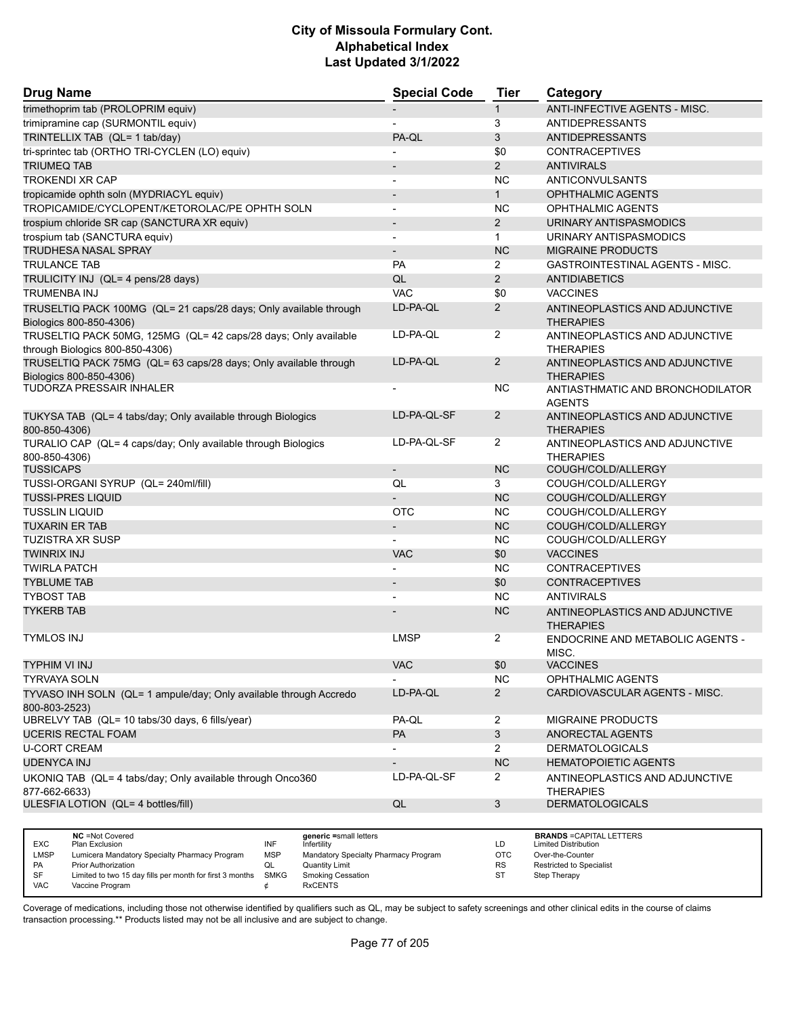| <b>Drug Name</b>                                                                             | <b>Special Code</b>      | <b>Tier</b>           | Category                                           |
|----------------------------------------------------------------------------------------------|--------------------------|-----------------------|----------------------------------------------------|
| trimethoprim tab (PROLOPRIM equiv)                                                           |                          | $\mathbf{1}$          | <b>ANTI-INFECTIVE AGENTS - MISC.</b>               |
| trimipramine cap (SURMONTIL equiv)                                                           | $\blacksquare$           | 3                     | <b>ANTIDEPRESSANTS</b>                             |
| TRINTELLIX TAB (QL= 1 tab/day)                                                               | PA-QL                    | 3                     | <b>ANTIDEPRESSANTS</b>                             |
| tri-sprintec tab (ORTHO TRI-CYCLEN (LO) equiv)                                               |                          | \$0                   | <b>CONTRACEPTIVES</b>                              |
| <b>TRIUMEQ TAB</b>                                                                           | $\overline{\phantom{a}}$ | $\overline{2}$        | <b>ANTIVIRALS</b>                                  |
| <b>TROKENDI XR CAP</b>                                                                       | -                        | <b>NC</b>             | <b>ANTICONVULSANTS</b>                             |
| tropicamide ophth soln (MYDRIACYL equiv)                                                     | $\overline{\phantom{a}}$ | $\mathbf{1}$          | OPHTHALMIC AGENTS                                  |
| TROPICAMIDE/CYCLOPENT/KETOROLAC/PE OPHTH SOLN                                                | $\overline{\phantom{a}}$ | <b>NC</b>             | OPHTHALMIC AGENTS                                  |
| trospium chloride SR cap (SANCTURA XR equiv)                                                 | $\overline{\phantom{a}}$ | $\overline{2}$        | URINARY ANTISPASMODICS                             |
| trospium tab (SANCTURA equiv)                                                                | $\blacksquare$           | $\mathbf{1}$          | URINARY ANTISPASMODICS                             |
| <b>TRUDHESA NASAL SPRAY</b>                                                                  | $\overline{\phantom{a}}$ | <b>NC</b>             | <b>MIGRAINE PRODUCTS</b>                           |
| <b>TRULANCE TAB</b>                                                                          | PA                       | $\overline{2}$        | <b>GASTROINTESTINAL AGENTS - MISC.</b>             |
| TRULICITY INJ (QL= 4 pens/28 days)                                                           | QL                       | $\overline{2}$        | <b>ANTIDIABETICS</b>                               |
| TRUMENBA INJ                                                                                 | <b>VAC</b>               | \$0                   | <b>VACCINES</b>                                    |
|                                                                                              | LD-PA-QL                 | $\overline{2}$        |                                                    |
| TRUSELTIQ PACK 100MG (QL= 21 caps/28 days; Only available through<br>Biologics 800-850-4306) |                          |                       | ANTINEOPLASTICS AND ADJUNCTIVE<br><b>THERAPIES</b> |
| TRUSELTIQ PACK 50MG, 125MG (QL= 42 caps/28 days; Only available                              | LD-PA-QL                 | $\overline{2}$        | ANTINEOPLASTICS AND ADJUNCTIVE                     |
| through Biologics 800-850-4306)                                                              | LD-PA-QL                 | $\overline{2}$        | <b>THERAPIES</b>                                   |
| TRUSELTIQ PACK 75MG (QL= 63 caps/28 days; Only available through                             |                          |                       | ANTINEOPLASTICS AND ADJUNCTIVE                     |
| Biologics 800-850-4306)<br>TUDORZA PRESSAIR INHALER                                          |                          | <b>NC</b>             | <b>THERAPIES</b>                                   |
|                                                                                              |                          |                       | ANTIASTHMATIC AND BRONCHODILATOR<br><b>AGENTS</b>  |
| TUKYSA TAB (QL= 4 tabs/day; Only available through Biologics<br>800-850-4306)                | LD-PA-QL-SF              | $\overline{2}$        | ANTINEOPLASTICS AND ADJUNCTIVE<br><b>THERAPIES</b> |
| TURALIO CAP (QL= 4 caps/day; Only available through Biologics<br>800-850-4306)               | LD-PA-QL-SF              | 2                     | ANTINEOPLASTICS AND ADJUNCTIVE<br><b>THERAPIES</b> |
| <b>TUSSICAPS</b>                                                                             | $\overline{\phantom{a}}$ | <b>NC</b>             | COUGH/COLD/ALLERGY                                 |
| TUSSI-ORGANI SYRUP (QL= 240ml/fill)                                                          | QL                       | 3                     | COUGH/COLD/ALLERGY                                 |
| <b>TUSSI-PRES LIQUID</b>                                                                     | $\overline{\phantom{0}}$ | <b>NC</b>             | COUGH/COLD/ALLERGY                                 |
| <b>TUSSLIN LIQUID</b>                                                                        | <b>OTC</b>               | <b>NC</b>             | COUGH/COLD/ALLERGY                                 |
| <b>TUXARIN ER TAB</b>                                                                        | $\overline{\phantom{a}}$ | <b>NC</b>             | COUGH/COLD/ALLERGY                                 |
| TUZISTRA XR SUSP                                                                             |                          | NC                    | COUGH/COLD/ALLERGY                                 |
| <b>TWINRIX INJ</b>                                                                           | <b>VAC</b>               | \$0                   | <b>VACCINES</b>                                    |
| <b>TWIRLA PATCH</b>                                                                          | $\blacksquare$           | <b>NC</b>             | <b>CONTRACEPTIVES</b>                              |
| <b>TYBLUME TAB</b>                                                                           | $\overline{\phantom{a}}$ | \$0                   | <b>CONTRACEPTIVES</b>                              |
| <b>TYBOST TAB</b>                                                                            |                          | <b>NC</b>             | <b>ANTIVIRALS</b>                                  |
| <b>TYKERB TAB</b>                                                                            |                          | <b>NC</b>             | ANTINEOPLASTICS AND ADJUNCTIVE<br><b>THERAPIES</b> |
| <b>TYMLOS INJ</b>                                                                            | <b>LMSP</b>              | 2                     | ENDOCRINE AND METABOLIC AGENTS -<br>MISC.          |
| TYPHIM VI INJ                                                                                | <b>VAC</b>               | \$0                   | <b>VACCINES</b>                                    |
| <b>TYRVAYA SOLN</b>                                                                          |                          | <b>NC</b>             | OPHTHALMIC AGENTS                                  |
| TYVASO INH SOLN (QL= 1 ampule/day; Only available through Accredo                            | LD-PA-QL                 | $\overline{2}$        | CARDIOVASCULAR AGENTS - MISC.                      |
| 800-803-2523)                                                                                |                          |                       |                                                    |
| UBRELVY TAB (QL= 10 tabs/30 days, 6 fills/year)                                              | PA-QL                    | $\overline{2}$        | MIGRAINE PRODUCTS                                  |
| <b>UCERIS RECTAL FOAM</b>                                                                    | <b>PA</b>                | 3                     | ANORECTAL AGENTS                                   |
| <b>U-CORT CREAM</b>                                                                          |                          | $\mathbf{2}^{\prime}$ | <b>DERMATOLOGICALS</b>                             |
| <b>UDENYCA INJ</b>                                                                           |                          | <b>NC</b>             | <b>HEMATOPOIETIC AGENTS</b>                        |
| UKONIQ TAB (QL= 4 tabs/day; Only available through Onco360<br>877-662-6633)                  | LD-PA-QL-SF              | 2                     | ANTINEOPLASTICS AND ADJUNCTIVE<br>THERAPIES        |
| ULESFIA LOTION (QL= 4 bottles/fill)                                                          | QL                       | 3                     | <b>DERMATOLOGICALS</b>                             |
|                                                                                              |                          |                       |                                                    |
|                                                                                              |                          |                       | <b>DOAMDO - CADITAL LETTEDO</b>                    |

|             | <b>NC</b> = Not Covered                                       |            | generic =small letters               |           | <b>BRANDS = CAPITAL LETTERS</b> |
|-------------|---------------------------------------------------------------|------------|--------------------------------------|-----------|---------------------------------|
| <b>EXC</b>  | Plan Exclusion                                                | INF        | Infertility                          | LD        | <b>Limited Distribution</b>     |
| <b>LMSP</b> | Lumicera Mandatory Specialty Pharmacy Program                 | <b>MSP</b> | Mandatory Specialty Pharmacy Program | ОТС       | Over-the-Counter                |
| <b>PA</b>   | <b>Prior Authorization</b>                                    |            | Quantity Limit                       | <b>RS</b> | <b>Restricted to Specialist</b> |
| SF          | Limited to two 15 day fills per month for first 3 months SMKG |            | Smoking Cessation                    | ST        | Step Therapy                    |
| <b>VAC</b>  | Vaccine Program                                               |            | <b>RxCENTS</b>                       |           |                                 |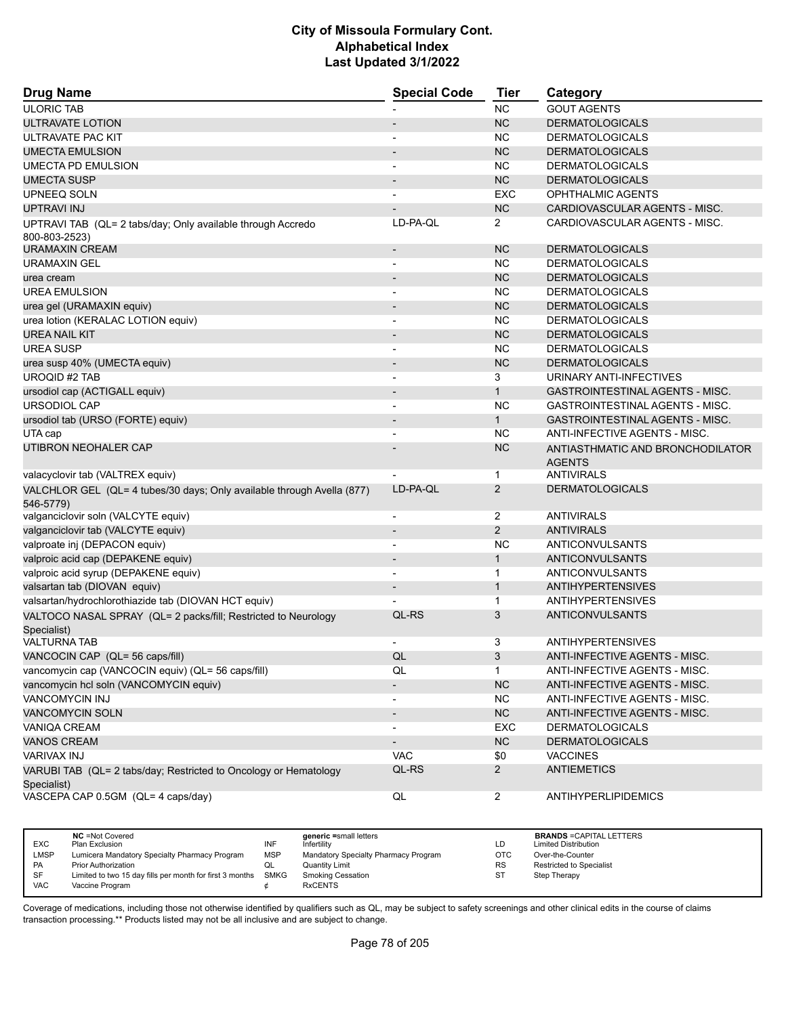| <b>Drug Name</b>                                                                    | <b>Special Code</b>      | Tier           | Category                                          |
|-------------------------------------------------------------------------------------|--------------------------|----------------|---------------------------------------------------|
| <b>ULORIC TAB</b>                                                                   |                          | <b>NC</b>      | <b>GOUT AGENTS</b>                                |
| ULTRAVATE LOTION                                                                    |                          | <b>NC</b>      | <b>DERMATOLOGICALS</b>                            |
| ULTRAVATE PAC KIT                                                                   |                          | <b>NC</b>      | <b>DERMATOLOGICALS</b>                            |
| <b>UMECTA EMULSION</b>                                                              | $\overline{\phantom{a}}$ | <b>NC</b>      | <b>DERMATOLOGICALS</b>                            |
| <b>UMECTA PD EMULSION</b>                                                           |                          | <b>NC</b>      | <b>DERMATOLOGICALS</b>                            |
| <b>UMECTA SUSP</b>                                                                  |                          | <b>NC</b>      | <b>DERMATOLOGICALS</b>                            |
| UPNEEQ SOLN                                                                         |                          | EXC            | OPHTHALMIC AGENTS                                 |
| <b>UPTRAVI INJ</b>                                                                  |                          | <b>NC</b>      | CARDIOVASCULAR AGENTS - MISC.                     |
| UPTRAVI TAB (QL= 2 tabs/day; Only available through Accredo                         | LD-PA-QL                 | 2              | CARDIOVASCULAR AGENTS - MISC.                     |
| 800-803-2523)                                                                       |                          | <b>NC</b>      |                                                   |
| <b>URAMAXIN CREAM</b>                                                               |                          |                | <b>DERMATOLOGICALS</b>                            |
| <b>URAMAXIN GEL</b>                                                                 |                          | <b>NC</b>      | <b>DERMATOLOGICALS</b>                            |
| urea cream                                                                          |                          | <b>NC</b>      | <b>DERMATOLOGICALS</b>                            |
| <b>UREA EMULSION</b>                                                                | $\overline{\phantom{a}}$ | <b>NC</b>      | <b>DERMATOLOGICALS</b>                            |
| urea gel (URAMAXIN equiv)                                                           | $\blacksquare$           | <b>NC</b>      | <b>DERMATOLOGICALS</b>                            |
| urea lotion (KERALAC LOTION equiv)                                                  | $\blacksquare$           | <b>NC</b>      | <b>DERMATOLOGICALS</b>                            |
| <b>UREA NAIL KIT</b>                                                                | $\overline{\phantom{a}}$ | <b>NC</b>      | <b>DERMATOLOGICALS</b>                            |
| <b>UREA SUSP</b>                                                                    |                          | <b>NC</b>      | <b>DERMATOLOGICALS</b>                            |
| urea susp 40% (UMECTA equiv)                                                        | $\overline{\phantom{a}}$ | <b>NC</b>      | <b>DERMATOLOGICALS</b>                            |
| UROQID #2 TAB                                                                       | $\overline{\phantom{a}}$ | 3              | URINARY ANTI-INFECTIVES                           |
| ursodiol cap (ACTIGALL equiv)                                                       |                          | $\mathbf{1}$   | <b>GASTROINTESTINAL AGENTS - MISC.</b>            |
| URSODIOL CAP                                                                        | $\blacksquare$           | <b>NC</b>      | GASTROINTESTINAL AGENTS - MISC.                   |
| ursodiol tab (URSO (FORTE) equiv)                                                   | $\overline{\phantom{a}}$ | $\mathbf{1}$   | GASTROINTESTINAL AGENTS - MISC.                   |
| UTA cap                                                                             |                          | <b>NC</b>      | <b>ANTI-INFECTIVE AGENTS - MISC.</b>              |
| UTIBRON NEOHALER CAP                                                                |                          | <b>NC</b>      | ANTIASTHMATIC AND BRONCHODILATOR<br><b>AGENTS</b> |
| valacyclovir tab (VALTREX equiv)                                                    |                          | $\mathbf{1}$   | <b>ANTIVIRALS</b>                                 |
| VALCHLOR GEL (QL= 4 tubes/30 days; Only available through Avella (877)<br>546-5779) | LD-PA-QL                 | $\overline{2}$ | <b>DERMATOLOGICALS</b>                            |
| valganciclovir soln (VALCYTE equiv)                                                 | $\overline{\phantom{a}}$ | $\overline{2}$ | <b>ANTIVIRALS</b>                                 |
| valganciclovir tab (VALCYTE equiv)                                                  |                          | 2              | <b>ANTIVIRALS</b>                                 |
| valproate inj (DEPACON equiv)                                                       | $\blacksquare$           | <b>NC</b>      | ANTICONVULSANTS                                   |
| valproic acid cap (DEPAKENE equiv)                                                  | $\overline{\phantom{a}}$ | $\mathbf{1}$   | ANTICONVULSANTS                                   |
| valproic acid syrup (DEPAKENE equiv)                                                |                          | $\mathbf{1}$   | ANTICONVULSANTS                                   |
| valsartan tab (DIOVAN equiv)                                                        | $\overline{\phantom{a}}$ | $\mathbf{1}$   | <b>ANTIHYPERTENSIVES</b>                          |
| valsartan/hydrochlorothiazide tab (DIOVAN HCT equiv)                                |                          | $\mathbf{1}$   | <b>ANTIHYPERTENSIVES</b>                          |
| VALTOCO NASAL SPRAY (QL= 2 packs/fill; Restricted to Neurology                      | QL-RS                    | 3              | ANTICONVULSANTS                                   |
| Specialist)                                                                         |                          |                |                                                   |
| <b>VALTURNA TAB</b>                                                                 |                          | 3              | <b>ANTIHYPERTENSIVES</b>                          |
| VANCOCIN CAP (QL= 56 caps/fill)                                                     | QL                       | 3              | ANTI-INFECTIVE AGENTS - MISC.                     |
| vancomycin cap (VANCOCIN equiv) (QL= 56 caps/fill)                                  | QL                       | $\mathbf{1}$   | ANTI-INFECTIVE AGENTS - MISC.                     |
| vancomycin hcl soln (VANCOMYCIN equiv)                                              |                          | NC             | ANTI-INFECTIVE AGENTS - MISC.                     |
| <b>VANCOMYCIN INJ</b>                                                               |                          | <b>NC</b>      | ANTI-INFECTIVE AGENTS - MISC.                     |
| VANCOMYCIN SOLN                                                                     | $\overline{\phantom{a}}$ | NC             | ANTI-INFECTIVE AGENTS - MISC.                     |
| <b>VANIQA CREAM</b>                                                                 |                          | EXC            | <b>DERMATOLOGICALS</b>                            |
| <b>VANOS CREAM</b>                                                                  |                          | <b>NC</b>      | <b>DERMATOLOGICALS</b>                            |
| VARIVAX INJ                                                                         | <b>VAC</b>               | \$0            | <b>VACCINES</b>                                   |
| VARUBI TAB (QL= 2 tabs/day; Restricted to Oncology or Hematology<br>Specialist)     | QL-RS                    | $\mathbf{2}$   | <b>ANTIEMETICS</b>                                |
| VASCEPA CAP 0.5GM (QL= 4 caps/day)                                                  | QL                       | $\overline{2}$ | <b>ANTIHYPERLIPIDEMICS</b>                        |

|            | <b>NC</b> = Not Covered                                       |            | generic =small letters               |           | <b>BRANDS = CAPITAL LETTERS</b> |
|------------|---------------------------------------------------------------|------------|--------------------------------------|-----------|---------------------------------|
| <b>EXC</b> | Plan Exclusion                                                | INF        | Infertility                          | LD        | <b>Limited Distribution</b>     |
| LMSP       | Lumicera Mandatory Specialty Pharmacy Program                 | <b>MSP</b> | Mandatory Specialty Pharmacy Program | OTC       | Over-the-Counter                |
| <b>PA</b>  | <b>Prior Authorization</b>                                    | QL         | Quantity Limit                       | <b>RS</b> | <b>Restricted to Specialist</b> |
| SF         | Limited to two 15 day fills per month for first 3 months SMKG |            | Smoking Cessation                    | ST        | Step Therapy                    |
| <b>VAC</b> | Vaccine Program                                               |            | <b>RxCENTS</b>                       |           |                                 |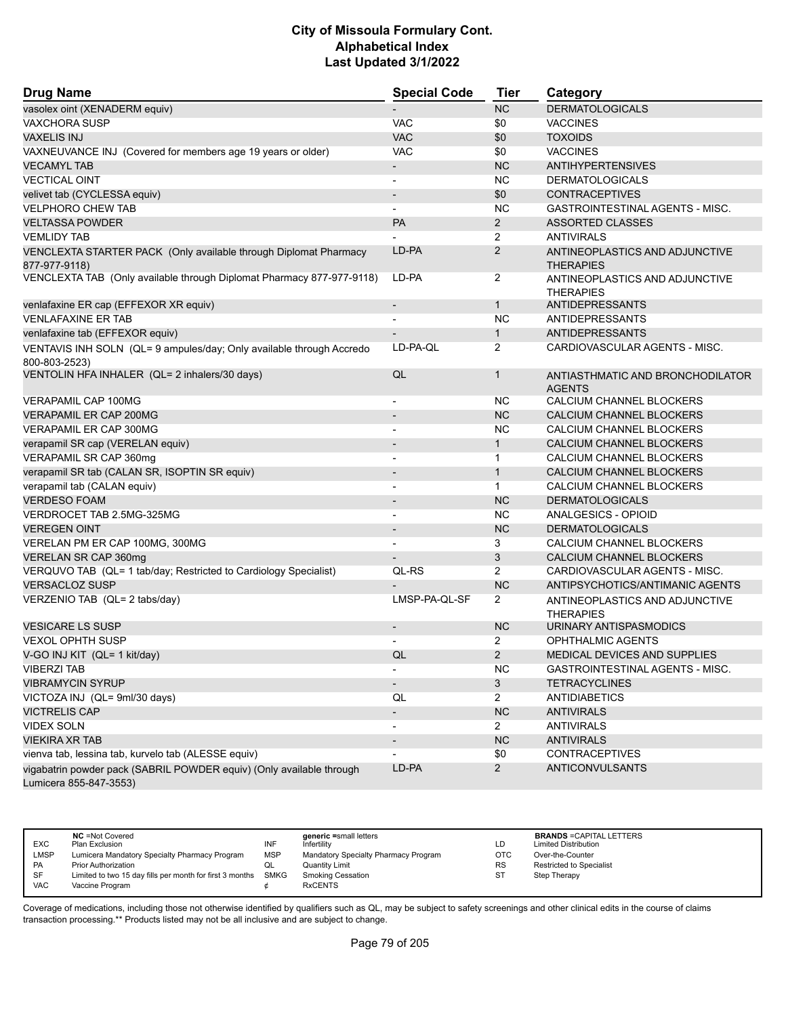| <b>Drug Name</b>                                                                      | <b>Special Code</b>      | <b>Tier</b>    | Category                                           |
|---------------------------------------------------------------------------------------|--------------------------|----------------|----------------------------------------------------|
| vasolex oint (XENADERM equiv)                                                         |                          | <b>NC</b>      | <b>DERMATOLOGICALS</b>                             |
| <b>VAXCHORA SUSP</b>                                                                  | <b>VAC</b>               | \$0            | <b>VACCINES</b>                                    |
| <b>VAXELIS INJ</b>                                                                    | <b>VAC</b>               | \$0            | <b>TOXOIDS</b>                                     |
| VAXNEUVANCE INJ (Covered for members age 19 years or older)                           | <b>VAC</b>               | \$0            | <b>VACCINES</b>                                    |
| <b>VECAMYL TAB</b>                                                                    | $\overline{\phantom{a}}$ | <b>NC</b>      | <b>ANTIHYPERTENSIVES</b>                           |
| <b>VECTICAL OINT</b>                                                                  | $\overline{\phantom{a}}$ | <b>NC</b>      | <b>DERMATOLOGICALS</b>                             |
| velivet tab (CYCLESSA equiv)                                                          | $\overline{\phantom{a}}$ | \$0            | <b>CONTRACEPTIVES</b>                              |
| <b>VELPHORO CHEW TAB</b>                                                              | $\overline{\phantom{a}}$ | <b>NC</b>      | GASTROINTESTINAL AGENTS - MISC.                    |
| <b>VELTASSA POWDER</b>                                                                | <b>PA</b>                | $\overline{2}$ | <b>ASSORTED CLASSES</b>                            |
| <b>VEMLIDY TAB</b>                                                                    |                          | $\overline{2}$ | <b>ANTIVIRALS</b>                                  |
| VENCLEXTA STARTER PACK (Only available through Diplomat Pharmacy                      | LD-PA                    | $\overline{2}$ | ANTINEOPLASTICS AND ADJUNCTIVE                     |
| 877-977-9118)                                                                         |                          |                | <b>THERAPIES</b>                                   |
| VENCLEXTA TAB (Only available through Diplomat Pharmacy 877-977-9118)                 | LD-PA                    | 2              | ANTINEOPLASTICS AND ADJUNCTIVE<br><b>THERAPIES</b> |
| venlafaxine ER cap (EFFEXOR XR equiv)                                                 | $\overline{\phantom{a}}$ | $\mathbf{1}$   | ANTIDEPRESSANTS                                    |
| <b>VENLAFAXINE ER TAB</b>                                                             |                          | <b>NC</b>      | <b>ANTIDEPRESSANTS</b>                             |
| venlafaxine tab (EFFEXOR equiv)                                                       |                          | $\mathbf{1}$   | ANTIDEPRESSANTS                                    |
| VENTAVIS INH SOLN (QL= 9 ampules/day; Only available through Accredo<br>800-803-2523) | LD-PA-QL                 | 2              | CARDIOVASCULAR AGENTS - MISC.                      |
| VENTOLIN HFA INHALER (QL= 2 inhalers/30 days)                                         | QL                       | $\mathbf{1}$   | ANTIASTHMATIC AND BRONCHODILATOR<br><b>AGENTS</b>  |
| VERAPAMIL CAP 100MG                                                                   |                          | NC.            | CALCIUM CHANNEL BLOCKERS                           |
| <b>VERAPAMIL ER CAP 200MG</b>                                                         |                          | <b>NC</b>      | CALCIUM CHANNEL BLOCKERS                           |
| <b>VERAPAMIL ER CAP 300MG</b>                                                         | $\blacksquare$           | <b>NC</b>      | CALCIUM CHANNEL BLOCKERS                           |
| verapamil SR cap (VERELAN equiv)                                                      |                          | $\mathbf{1}$   | CALCIUM CHANNEL BLOCKERS                           |
| VERAPAMIL SR CAP 360mg                                                                |                          | $\mathbf{1}$   | CALCIUM CHANNEL BLOCKERS                           |
| verapamil SR tab (CALAN SR, ISOPTIN SR equiv)                                         | $\overline{\phantom{a}}$ | $\mathbf{1}$   | CALCIUM CHANNEL BLOCKERS                           |
| verapamil tab (CALAN equiv)                                                           | $\blacksquare$           | $\mathbf{1}$   | CALCIUM CHANNEL BLOCKERS                           |
| <b>VERDESO FOAM</b>                                                                   |                          | <b>NC</b>      | <b>DERMATOLOGICALS</b>                             |
| VERDROCET TAB 2.5MG-325MG                                                             | $\blacksquare$           | NC.            | ANALGESICS - OPIOID                                |
| <b>VEREGEN OINT</b>                                                                   | $\blacksquare$           | <b>NC</b>      | <b>DERMATOLOGICALS</b>                             |
| VERELAN PM ER CAP 100MG, 300MG                                                        |                          | 3              | CALCIUM CHANNEL BLOCKERS                           |
| VERELAN SR CAP 360mg                                                                  | $\overline{\phantom{a}}$ | 3              | CALCIUM CHANNEL BLOCKERS                           |
| VERQUVO TAB (QL= 1 tab/day; Restricted to Cardiology Specialist)                      | QL-RS                    | $\overline{2}$ | CARDIOVASCULAR AGENTS - MISC.                      |
| <b>VERSACLOZ SUSP</b>                                                                 |                          | <b>NC</b>      | ANTIPSYCHOTICS/ANTIMANIC AGENTS                    |
| VERZENIO TAB (QL= 2 tabs/day)                                                         | LMSP-PA-QL-SF            | $\overline{2}$ | ANTINEOPLASTICS AND ADJUNCTIVE<br><b>THERAPIES</b> |
| <b>VESICARE LS SUSP</b>                                                               | $\overline{\phantom{a}}$ | <b>NC</b>      | URINARY ANTISPASMODICS                             |
| <b>VEXOL OPHTH SUSP</b>                                                               |                          | $\overline{2}$ | <b>OPHTHALMIC AGENTS</b>                           |
| V-GO INJ KIT (QL= 1 kit/day)                                                          | QL                       | 2              | MEDICAL DEVICES AND SUPPLIES                       |
| <b>VIBERZI TAB</b>                                                                    | $\overline{\phantom{a}}$ | <b>NC</b>      | GASTROINTESTINAL AGENTS - MISC.                    |
| <b>VIBRAMYCIN SYRUP</b>                                                               | $\overline{\phantom{a}}$ | 3 <sup>5</sup> | <b>TETRACYCLINES</b>                               |
| VICTOZA INJ (QL= 9ml/30 days)                                                         | QL                       | $\overline{2}$ | <b>ANTIDIABETICS</b>                               |
| <b>VICTRELIS CAP</b>                                                                  | $\overline{\phantom{a}}$ | NC             | <b>ANTIVIRALS</b>                                  |
| <b>VIDEX SOLN</b>                                                                     | $\blacksquare$           | $\overline{2}$ | <b>ANTIVIRALS</b>                                  |
| <b>VIEKIRA XR TAB</b>                                                                 |                          | <b>NC</b>      | <b>ANTIVIRALS</b>                                  |
| vienva tab, lessina tab, kurvelo tab (ALESSE equiv)                                   |                          | \$0            | <b>CONTRACEPTIVES</b>                              |
| vigabatrin powder pack (SABRIL POWDER equiv) (Only available through                  | LD-PA                    | $2^{\circ}$    | ANTICONVULSANTS                                    |
| Lumicera 855-847-3553)                                                                |                          |                |                                                    |

| <b>EXC</b> | <b>NC</b> = Not Covered<br>Plan Exclusion                | INF        | generic =small letters<br>Infertility | LD.       | <b>BRANDS = CAPITAL LETTERS</b><br><b>Limited Distribution</b> |
|------------|----------------------------------------------------------|------------|---------------------------------------|-----------|----------------------------------------------------------------|
| LMSP       | Lumicera Mandatory Specialty Pharmacy Program            | <b>MSP</b> | Mandatory Specialty Pharmacy Program  | ОТС       | Over-the-Counter                                               |
| <b>PA</b>  | <b>Prior Authorization</b>                               | QL         | <b>Quantity Limit</b>                 | <b>RS</b> | <b>Restricted to Specialist</b>                                |
| SF         | Limited to two 15 day fills per month for first 3 months | SMKG       | <b>Smoking Cessation</b>              | ST        | Step Therapy                                                   |
| <b>VAC</b> | Vaccine Program                                          |            | <b>RxCENTS</b>                        |           |                                                                |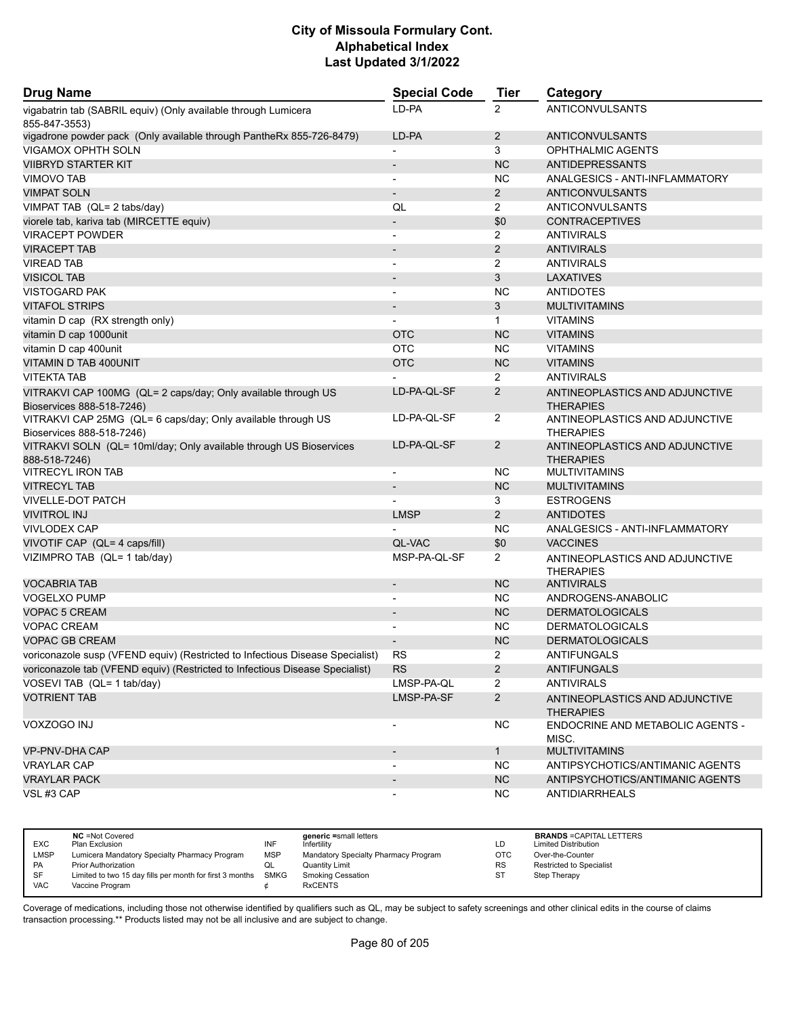| <b>Drug Name</b>                                                                           | <b>Special Code</b>      | <b>Tier</b>    | Category                                           |
|--------------------------------------------------------------------------------------------|--------------------------|----------------|----------------------------------------------------|
| vigabatrin tab (SABRIL equiv) (Only available through Lumicera<br>855-847-3553)            | LD-PA                    | 2              | <b>ANTICONVULSANTS</b>                             |
| vigadrone powder pack (Only available through PantheRx 855-726-8479)                       | LD-PA                    | $\overline{2}$ | ANTICONVULSANTS                                    |
| <b>VIGAMOX OPHTH SOLN</b>                                                                  | $\overline{a}$           | 3              | <b>OPHTHALMIC AGENTS</b>                           |
| <b>VIIBRYD STARTER KIT</b>                                                                 | $\overline{\phantom{a}}$ | <b>NC</b>      | <b>ANTIDEPRESSANTS</b>                             |
| <b>VIMOVO TAB</b>                                                                          | $\overline{\phantom{a}}$ | NC.            | ANALGESICS - ANTI-INFLAMMATORY                     |
| <b>VIMPAT SOLN</b>                                                                         |                          | $\overline{2}$ | ANTICONVULSANTS                                    |
| VIMPAT TAB (QL= 2 tabs/day)                                                                | QL                       | $\overline{2}$ | ANTICONVULSANTS                                    |
| viorele tab, kariva tab (MIRCETTE equiv)                                                   | $\overline{\phantom{a}}$ | \$0            | <b>CONTRACEPTIVES</b>                              |
| <b>VIRACEPT POWDER</b>                                                                     | $\blacksquare$           | $\overline{2}$ | <b>ANTIVIRALS</b>                                  |
| <b>VIRACEPT TAB</b>                                                                        | $\overline{\phantom{a}}$ | $\overline{2}$ | <b>ANTIVIRALS</b>                                  |
| <b>VIREAD TAB</b>                                                                          |                          | $\overline{2}$ | <b>ANTIVIRALS</b>                                  |
| <b>VISICOL TAB</b>                                                                         | $\overline{\phantom{a}}$ | 3              | <b>LAXATIVES</b>                                   |
| <b>VISTOGARD PAK</b>                                                                       | $\overline{\phantom{a}}$ | <b>NC</b>      | <b>ANTIDOTES</b>                                   |
| <b>VITAFOL STRIPS</b>                                                                      |                          | 3              | <b>MULTIVITAMINS</b>                               |
| vitamin D cap (RX strength only)                                                           |                          | $\mathbf{1}$   | <b>VITAMINS</b>                                    |
| vitamin D cap 1000unit                                                                     | <b>OTC</b>               | <b>NC</b>      | <b>VITAMINS</b>                                    |
| vitamin D cap 400unit                                                                      | <b>OTC</b>               | <b>NC</b>      | <b>VITAMINS</b>                                    |
| VITAMIN D TAB 400UNIT                                                                      | <b>OTC</b>               | <b>NC</b>      | <b>VITAMINS</b>                                    |
| <b>VITEKTA TAB</b>                                                                         |                          | $\overline{2}$ | <b>ANTIVIRALS</b>                                  |
| VITRAKVI CAP 100MG (QL= 2 caps/day; Only available through US<br>Bioservices 888-518-7246) | LD-PA-QL-SF              | $\overline{2}$ | ANTINEOPLASTICS AND ADJUNCTIVE<br><b>THERAPIES</b> |
| VITRAKVI CAP 25MG (QL= 6 caps/day; Only available through US                               | LD-PA-QL-SF              | $\overline{2}$ | ANTINEOPLASTICS AND ADJUNCTIVE                     |
| Bioservices 888-518-7246)                                                                  |                          |                | <b>THERAPIES</b>                                   |
| VITRAKVI SOLN (QL= 10ml/day; Only available through US Bioservices<br>888-518-7246)        | LD-PA-QL-SF              | $\overline{2}$ | ANTINEOPLASTICS AND ADJUNCTIVE<br><b>THERAPIES</b> |
| <b>VITRECYL IRON TAB</b>                                                                   | $\overline{a}$           | <b>NC</b>      | <b>MULTIVITAMINS</b>                               |
| <b>VITRECYL TAB</b>                                                                        | $\overline{\phantom{a}}$ | <b>NC</b>      | <b>MULTIVITAMINS</b>                               |
| <b>VIVELLE-DOT PATCH</b>                                                                   |                          | 3              | <b>ESTROGENS</b>                                   |
| <b>VIVITROL INJ</b>                                                                        | <b>LMSP</b>              | $\overline{2}$ | <b>ANTIDOTES</b>                                   |
| <b>VIVLODEX CAP</b>                                                                        |                          | NC.            | ANALGESICS - ANTI-INFLAMMATORY                     |
| VIVOTIF CAP (QL= 4 caps/fill)                                                              | QL-VAC                   | \$0            | <b>VACCINES</b>                                    |
| VIZIMPRO TAB (QL= 1 tab/day)                                                               | MSP-PA-QL-SF             | $\overline{2}$ | ANTINEOPLASTICS AND ADJUNCTIVE<br><b>THERAPIES</b> |
| <b>VOCABRIA TAB</b>                                                                        |                          | <b>NC</b>      | <b>ANTIVIRALS</b>                                  |
| <b>VOGELXO PUMP</b>                                                                        | $\overline{\phantom{a}}$ | NC.            | ANDROGENS-ANABOLIC                                 |
| <b>VOPAC 5 CREAM</b>                                                                       |                          | <b>NC</b>      | <b>DERMATOLOGICALS</b>                             |
| <b>VOPAC CREAM</b>                                                                         |                          | NC.            | <b>DERMATOLOGICALS</b>                             |
| <b>VOPAC GB CREAM</b>                                                                      |                          | NC             | <b>DERMATOLOGICALS</b>                             |
| voriconazole susp (VFEND equiv) (Restricted to Infectious Disease Specialist)              | RS                       | $\overline{2}$ | <b>ANTIFUNGALS</b>                                 |
| voriconazole tab (VFEND equiv) (Restricted to Infectious Disease Specialist)               | <b>RS</b>                | $\overline{2}$ | <b>ANTIFUNGALS</b>                                 |
| VOSEVI TAB (QL= 1 tab/day)                                                                 | LMSP-PA-QL               | $\overline{2}$ | <b>ANTIVIRALS</b>                                  |
| <b>VOTRIENT TAB</b>                                                                        | LMSP-PA-SF               | $\overline{2}$ | ANTINEOPLASTICS AND ADJUNCTIVE<br><b>THERAPIES</b> |
| VOXZOGO INJ                                                                                | $\overline{a}$           | <b>NC</b>      | ENDOCRINE AND METABOLIC AGENTS -<br>MISC.          |
| VP-PNV-DHA CAP                                                                             | $\overline{\phantom{a}}$ | 1              | <b>MULTIVITAMINS</b>                               |
| <b>VRAYLAR CAP</b>                                                                         |                          | <b>NC</b>      | ANTIPSYCHOTICS/ANTIMANIC AGENTS                    |
| <b>VRAYLAR PACK</b>                                                                        |                          | <b>NC</b>      | ANTIPSYCHOTICS/ANTIMANIC AGENTS                    |
| VSL#3 CAP                                                                                  | $\overline{\phantom{a}}$ | <b>NC</b>      | ANTIDIARRHEALS                                     |

| <b>EXC</b> | <b>NC</b> = Not Covered<br>Plan Exclusion                     | INF | generic =small letters<br>Infertility | LD         | <b>BRANDS = CAPITAL LETTERS</b><br><b>Limited Distribution</b> |
|------------|---------------------------------------------------------------|-----|---------------------------------------|------------|----------------------------------------------------------------|
| LMSP       | Lumicera Mandatory Specialty Pharmacy Program                 | MSP | Mandatory Specialty Pharmacy Program  | <b>OTC</b> | Over-the-Counter                                               |
| <b>PA</b>  | <b>Prior Authorization</b>                                    | QL  | Quantity Limit                        | <b>RS</b>  | Restricted to Specialist                                       |
| SF         | Limited to two 15 day fills per month for first 3 months SMKG |     | <b>Smoking Cessation</b>              | ST         | Step Therapy                                                   |
| <b>VAC</b> | Vaccine Program                                               |     | <b>RxCENTS</b>                        |            |                                                                |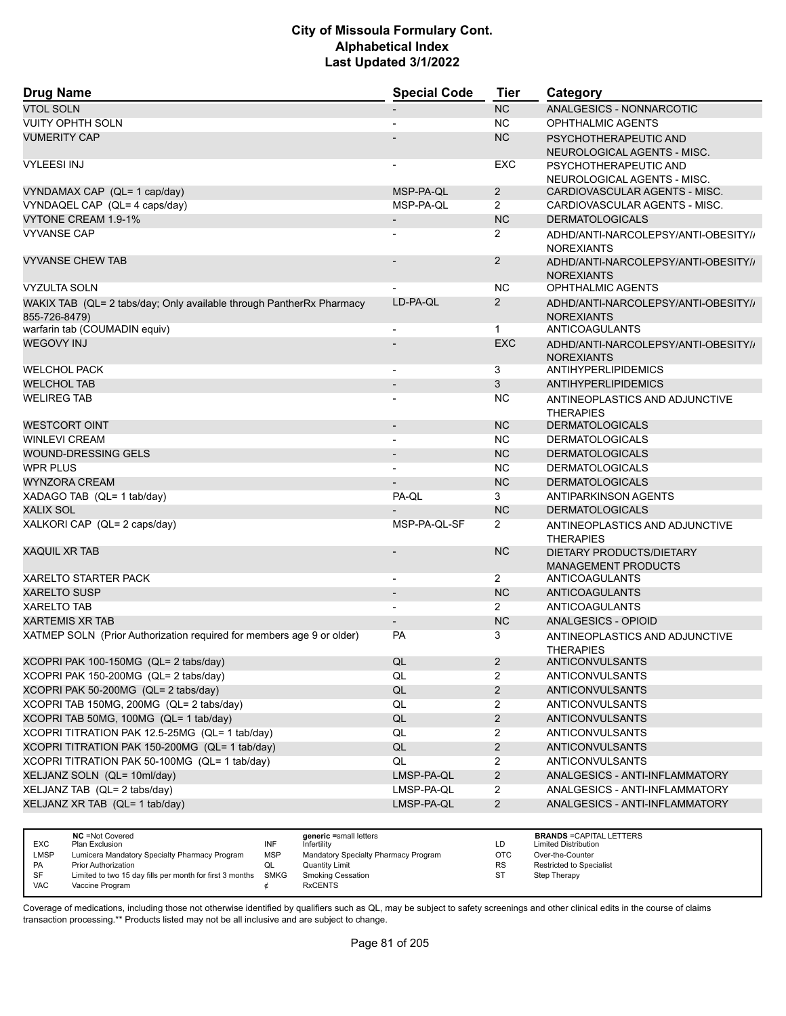| <b>Drug Name</b>                                                      | <b>Special Code</b>      | <b>Tier</b>    | Category                                                 |
|-----------------------------------------------------------------------|--------------------------|----------------|----------------------------------------------------------|
| <b>VTOL SOLN</b>                                                      |                          | <b>NC</b>      | ANALGESICS - NONNARCOTIC                                 |
| <b>VUITY OPHTH SOLN</b>                                               |                          | <b>NC</b>      | <b>OPHTHALMIC AGENTS</b>                                 |
| <b>VUMERITY CAP</b>                                                   |                          | <b>NC</b>      | PSYCHOTHERAPEUTIC AND                                    |
|                                                                       |                          |                | NEUROLOGICAL AGENTS - MISC.                              |
| <b>VYLEESI INJ</b>                                                    |                          | <b>EXC</b>     | PSYCHOTHERAPEUTIC AND                                    |
|                                                                       |                          |                | NEUROLOGICAL AGENTS - MISC.                              |
| VYNDAMAX CAP (QL= 1 cap/day)                                          | MSP-PA-QL                | $\overline{2}$ | CARDIOVASCULAR AGENTS - MISC.                            |
| VYNDAQEL CAP (QL= 4 caps/day)                                         | MSP-PA-QL                | $\overline{2}$ | CARDIOVASCULAR AGENTS - MISC.                            |
| VYTONE CREAM 1.9-1%                                                   | $\overline{\phantom{a}}$ | <b>NC</b>      | <b>DERMATOLOGICALS</b>                                   |
| <b>VYVANSE CAP</b>                                                    |                          | $\overline{2}$ | ADHD/ANTI-NARCOLEPSY/ANTI-OBESITY//<br><b>NOREXIANTS</b> |
| <b>VYVANSE CHEW TAB</b>                                               |                          | 2              | ADHD/ANTI-NARCOLEPSY/ANTI-OBESITY//                      |
|                                                                       |                          |                | <b>NOREXIANTS</b>                                        |
| <b>VYZULTA SOLN</b>                                                   |                          | <b>NC</b>      | <b>OPHTHALMIC AGENTS</b>                                 |
| WAKIX TAB (QL= 2 tabs/day; Only available through PantherRx Pharmacy  | LD-PA-QL                 | 2              | ADHD/ANTI-NARCOLEPSY/ANTI-OBESITY/                       |
| 855-726-8479)                                                         |                          |                | <b>NOREXIANTS</b>                                        |
| warfarin tab (COUMADIN equiv)                                         |                          | $\mathbf{1}$   | <b>ANTICOAGULANTS</b>                                    |
| <b>WEGOVY INJ</b>                                                     |                          | <b>EXC</b>     | ADHD/ANTI-NARCOLEPSY/ANTI-OBESITY//<br><b>NOREXIANTS</b> |
| <b>WELCHOL PACK</b>                                                   |                          | 3              | <b>ANTIHYPERLIPIDEMICS</b>                               |
| <b>WELCHOL TAB</b>                                                    |                          | 3              | <b>ANTIHYPERLIPIDEMICS</b>                               |
| <b>WELIREG TAB</b>                                                    |                          | <b>NC</b>      | ANTINEOPLASTICS AND ADJUNCTIVE                           |
|                                                                       |                          |                | <b>THERAPIES</b>                                         |
| <b>WESTCORT OINT</b>                                                  | $\overline{\phantom{a}}$ | <b>NC</b>      | <b>DERMATOLOGICALS</b>                                   |
| <b>WINLEVI CREAM</b>                                                  | $\blacksquare$           | <b>NC</b>      | <b>DERMATOLOGICALS</b>                                   |
| WOUND-DRESSING GELS                                                   |                          | <b>NC</b>      | <b>DERMATOLOGICALS</b>                                   |
| <b>WPR PLUS</b>                                                       | $\blacksquare$           | <b>NC</b>      | <b>DERMATOLOGICALS</b>                                   |
| <b>WYNZORA CREAM</b>                                                  |                          | <b>NC</b>      | <b>DERMATOLOGICALS</b>                                   |
| XADAGO TAB (QL= 1 tab/day)                                            | PA-QL                    | 3              | ANTIPARKINSON AGENTS                                     |
| <b>XALIX SOL</b>                                                      |                          | <b>NC</b>      | <b>DERMATOLOGICALS</b>                                   |
| XALKORI CAP (QL= 2 caps/day)                                          | MSP-PA-QL-SF             | $\overline{2}$ | ANTINEOPLASTICS AND ADJUNCTIVE<br><b>THERAPIES</b>       |
| <b>XAQUIL XR TAB</b>                                                  |                          | <b>NC</b>      | DIETARY PRODUCTS/DIETARY                                 |
|                                                                       |                          |                | <b>MANAGEMENT PRODUCTS</b>                               |
| <b>XARELTO STARTER PACK</b>                                           | $\overline{\phantom{a}}$ | $\overline{2}$ | ANTICOAGULANTS                                           |
| <b>XARELTO SUSP</b>                                                   |                          | <b>NC</b>      | ANTICOAGULANTS                                           |
| <b>XARELTO TAB</b>                                                    | $\overline{a}$           | $\overline{2}$ | ANTICOAGULANTS                                           |
| <b>XARTEMIS XR TAB</b>                                                |                          | <b>NC</b>      | ANALGESICS - OPIOID                                      |
| XATMEP SOLN (Prior Authorization required for members age 9 or older) | <b>PA</b>                | 3              | ANTINEOPLASTICS AND ADJUNCTIVE<br><b>THERAPIES</b>       |
| XCOPRI PAK 100-150MG (QL= 2 tabs/day)                                 | QL                       | 2              | ANTICONVULSANTS                                          |
| XCOPRI PAK 150-200MG (QL= 2 tabs/day)                                 | QL                       | $\overline{2}$ | ANTICONVULSANTS                                          |
| XCOPRI PAK 50-200MG (QL= 2 tabs/day)                                  | QL                       | $\overline{2}$ | ANTICONVULSANTS                                          |
| XCOPRI TAB 150MG, 200MG (QL= 2 tabs/day)                              | QL                       | 2              | ANTICONVULSANTS                                          |
| XCOPRI TAB 50MG, 100MG (QL= 1 tab/day)                                | QL                       | $\overline{2}$ | <b>ANTICONVULSANTS</b>                                   |
| XCOPRI TITRATION PAK 12.5-25MG (QL= 1 tab/day)                        | QL                       | $\overline{2}$ | ANTICONVULSANTS                                          |
| XCOPRI TITRATION PAK 150-200MG (QL= 1 tab/day)                        | QL                       | $\overline{c}$ | ANTICONVULSANTS                                          |
| XCOPRI TITRATION PAK 50-100MG (QL= 1 tab/day)                         | QL                       | $\overline{2}$ | ANTICONVULSANTS                                          |
| XELJANZ SOLN (QL= 10ml/day)                                           | LMSP-PA-QL               | $\overline{a}$ | ANALGESICS - ANTI-INFLAMMATORY                           |
| XELJANZ TAB (QL= 2 tabs/day)                                          | LMSP-PA-QL               | 2              | ANALGESICS - ANTI-INFLAMMATORY                           |
| XELJANZ XR TAB (QL= 1 tab/day)                                        | LMSP-PA-QL               | $\overline{2}$ | ANALGESICS - ANTI-INFLAMMATORY                           |
|                                                                       |                          |                |                                                          |

|            | <b>NC</b> = Not Covered                                       |     | generic =small letters               |           | <b>BRANDS = CAPITAL LETTERS</b> |
|------------|---------------------------------------------------------------|-----|--------------------------------------|-----------|---------------------------------|
| <b>EXC</b> | Plan Exclusion                                                | INF | Infertilitv                          | LD        | <b>Limited Distribution</b>     |
| LMSP       | Lumicera Mandatory Specialty Pharmacy Program                 | MSP | Mandatory Specialty Pharmacy Program | отс       | Over-the-Counter                |
| PA         | <b>Prior Authorization</b>                                    | QL  | Quantity Limit                       | <b>RS</b> | Restricted to Specialist        |
| SF         | Limited to two 15 day fills per month for first 3 months SMKG |     | <b>Smoking Cessation</b>             | ST        | Step Therapy                    |
| <b>VAC</b> | Vaccine Program                                               |     | <b>RxCENTS</b>                       |           |                                 |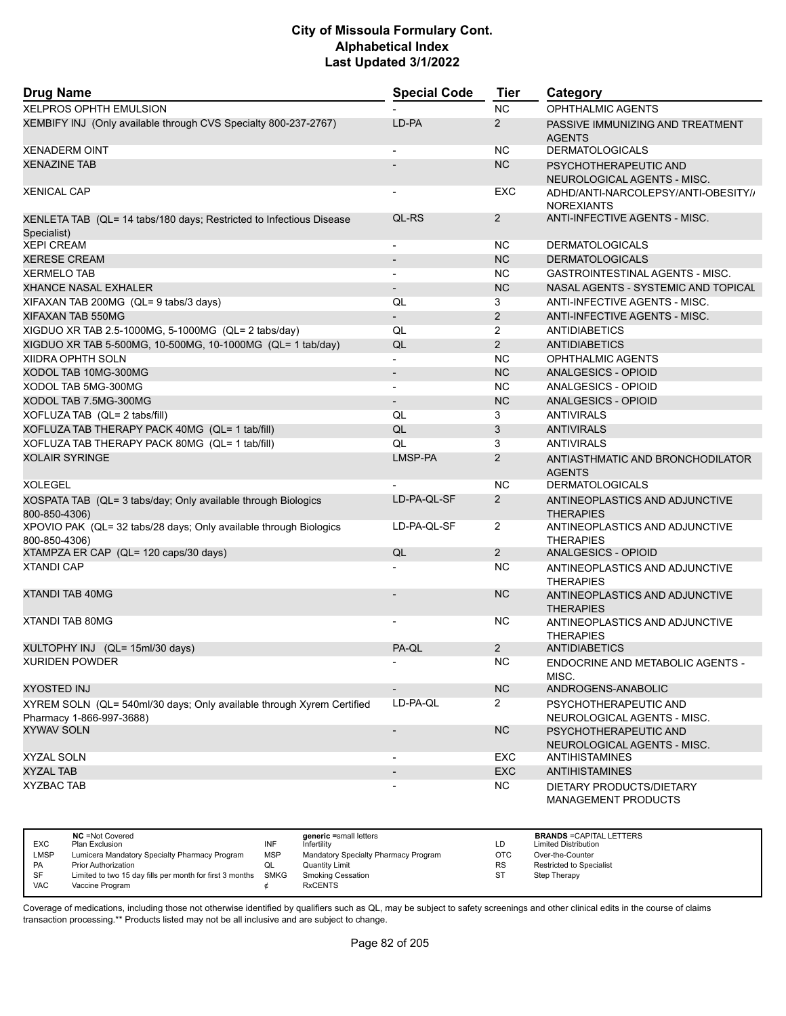| <b>Drug Name</b>                                                                                  | <b>Special Code</b>          | Tier           | Category                                                 |
|---------------------------------------------------------------------------------------------------|------------------------------|----------------|----------------------------------------------------------|
| <b>XELPROS OPHTH EMULSION</b>                                                                     |                              | <b>NC</b>      | <b>OPHTHALMIC AGENTS</b>                                 |
| XEMBIFY INJ (Only available through CVS Specialty 800-237-2767)                                   | LD-PA                        | $\overline{2}$ | PASSIVE IMMUNIZING AND TREATMENT<br><b>AGENTS</b>        |
| <b>XENADERM OINT</b>                                                                              |                              | <b>NC</b>      | <b>DERMATOLOGICALS</b>                                   |
| <b>XENAZINE TAB</b>                                                                               |                              | <b>NC</b>      | PSYCHOTHERAPEUTIC AND<br>NEUROLOGICAL AGENTS - MISC.     |
| <b>XENICAL CAP</b>                                                                                | $\overline{a}$               | EXC            | ADHD/ANTI-NARCOLEPSY/ANTI-OBESITY//<br><b>NOREXIANTS</b> |
| XENLETA TAB (QL= 14 tabs/180 days; Restricted to Infectious Disease<br>Specialist)                | QL-RS                        | $\overline{2}$ | <b>ANTI-INFECTIVE AGENTS - MISC.</b>                     |
| <b>XEPI CREAM</b>                                                                                 | $\overline{\phantom{a}}$     | <b>NC</b>      | <b>DERMATOLOGICALS</b>                                   |
| <b>XERESE CREAM</b>                                                                               | $\overline{a}$               | <b>NC</b>      | <b>DERMATOLOGICALS</b>                                   |
| <b>XERMELO TAB</b>                                                                                | $\overline{\phantom{0}}$     | <b>NC</b>      | GASTROINTESTINAL AGENTS - MISC.                          |
| <b>XHANCE NASAL EXHALER</b>                                                                       | $\qquad \qquad \blacksquare$ | <b>NC</b>      | NASAL AGENTS - SYSTEMIC AND TOPICAL                      |
| XIFAXAN TAB 200MG (QL= 9 tabs/3 days)                                                             | QL                           | 3              | ANTI-INFECTIVE AGENTS - MISC.                            |
| XIFAXAN TAB 550MG                                                                                 | $\overline{a}$               | 2              | <b>ANTI-INFECTIVE AGENTS - MISC.</b>                     |
| XIGDUO XR TAB 2.5-1000MG, 5-1000MG (QL= 2 tabs/day)                                               | QL                           | $\overline{2}$ | ANTIDIABETICS                                            |
| XIGDUO XR TAB 5-500MG, 10-500MG, 10-1000MG (QL= 1 tab/day)                                        | QL                           | 2              | <b>ANTIDIABETICS</b>                                     |
| <b>XIIDRA OPHTH SOLN</b>                                                                          | $\overline{\phantom{0}}$     | <b>NC</b>      | OPHTHALMIC AGENTS                                        |
| XODOL TAB 10MG-300MG                                                                              | $\overline{\phantom{a}}$     | <b>NC</b>      | ANALGESICS - OPIOID                                      |
| XODOL TAB 5MG-300MG                                                                               |                              | <b>NC</b>      | <b>ANALGESICS - OPIOID</b>                               |
| XODOL TAB 7.5MG-300MG                                                                             | $\overline{a}$               | <b>NC</b>      | ANALGESICS - OPIOID                                      |
| XOFLUZA TAB (QL= 2 tabs/fill)                                                                     | QL                           | 3              | <b>ANTIVIRALS</b>                                        |
| XOFLUZA TAB THERAPY PACK 40MG (QL= 1 tab/fill)                                                    | QL                           | 3              | <b>ANTIVIRALS</b>                                        |
| XOFLUZA TAB THERAPY PACK 80MG (QL= 1 tab/fill)                                                    | QL                           | 3              | <b>ANTIVIRALS</b>                                        |
| <b>XOLAIR SYRINGE</b>                                                                             | LMSP-PA                      | 2              | ANTIASTHMATIC AND BRONCHODILATOR<br><b>AGENTS</b>        |
| <b>XOLEGEL</b>                                                                                    |                              | <b>NC</b>      | <b>DERMATOLOGICALS</b>                                   |
| XOSPATA TAB (QL= 3 tabs/day; Only available through Biologics<br>800-850-4306)                    | LD-PA-QL-SF                  | $\overline{2}$ | ANTINEOPLASTICS AND ADJUNCTIVE<br><b>THERAPIES</b>       |
| XPOVIO PAK (QL= 32 tabs/28 days; Only available through Biologics<br>800-850-4306)                | LD-PA-QL-SF                  | $\overline{2}$ | ANTINEOPLASTICS AND ADJUNCTIVE<br><b>THERAPIES</b>       |
| XTAMPZA ER CAP (QL= 120 caps/30 days)                                                             | QL                           | 2              | <b>ANALGESICS - OPIOID</b>                               |
| <b>XTANDI CAP</b>                                                                                 |                              | <b>NC</b>      | ANTINEOPLASTICS AND ADJUNCTIVE<br><b>THERAPIES</b>       |
| <b>XTANDI TAB 40MG</b>                                                                            | $\overline{\phantom{a}}$     | <b>NC</b>      | ANTINEOPLASTICS AND ADJUNCTIVE<br><b>THERAPIES</b>       |
| <b>XTANDI TAB 80MG</b>                                                                            | $\overline{\phantom{a}}$     | NС             | ANTINEOPLASTICS AND ADJUNCTIVE<br><b>THERAPIES</b>       |
| XULTOPHY INJ (QL= 15ml/30 days)                                                                   | PA-QL                        | $\overline{2}$ | <b>ANTIDIABETICS</b>                                     |
| <b>XURIDEN POWDER</b>                                                                             |                              | NC.            | ENDOCRINE AND METABOLIC AGENTS -<br>MISC.                |
| <b>XYOSTED INJ</b>                                                                                |                              | <b>NC</b>      | ANDROGENS-ANABOLIC                                       |
| XYREM SOLN (QL= 540ml/30 days; Only available through Xyrem Certified<br>Pharmacy 1-866-997-3688) | LD-PA-QL                     | $\overline{2}$ | PSYCHOTHERAPEUTIC AND<br>NEUROLOGICAL AGENTS - MISC.     |
| <b>XYWAV SOLN</b>                                                                                 | $\qquad \qquad \blacksquare$ | NC             | PSYCHOTHERAPEUTIC AND<br>NEUROLOGICAL AGENTS - MISC.     |
| XYZAL SOLN                                                                                        |                              | EXC            | <b>ANTIHISTAMINES</b>                                    |
| <b>XYZAL TAB</b>                                                                                  | $\overline{\phantom{a}}$     | <b>EXC</b>     | <b>ANTIHISTAMINES</b>                                    |
| <b>XYZBAC TAB</b>                                                                                 |                              | NC.            | DIETARY PRODUCTS/DIETARY<br>MANAGEMENT PRODUCTS          |

|             | <b>NC</b> = Not Covered                                  |             | generic =small letters               |           | <b>BRANDS = CAPITAL LETTERS</b> |
|-------------|----------------------------------------------------------|-------------|--------------------------------------|-----------|---------------------------------|
| <b>EXC</b>  | Plan Exclusion                                           | INF         | Infertilitv                          | LC        | <b>Limited Distribution</b>     |
| <b>LMSP</b> | Lumicera Mandatory Specialty Pharmacy Program            | <b>MSP</b>  | Mandatory Specialty Pharmacy Program | OTC       | Over-the-Counter                |
| <b>PA</b>   | <b>Prior Authorization</b>                               | QL          | Quantity Limit                       | <b>RS</b> | <b>Restricted to Specialist</b> |
| SF          | Limited to two 15 day fills per month for first 3 months | <b>SMKG</b> | <b>Smoking Cessation</b>             | <b>ST</b> | Step Therapy                    |
| <b>VAC</b>  | Vaccine Program                                          |             | <b>RxCENTS</b>                       |           |                                 |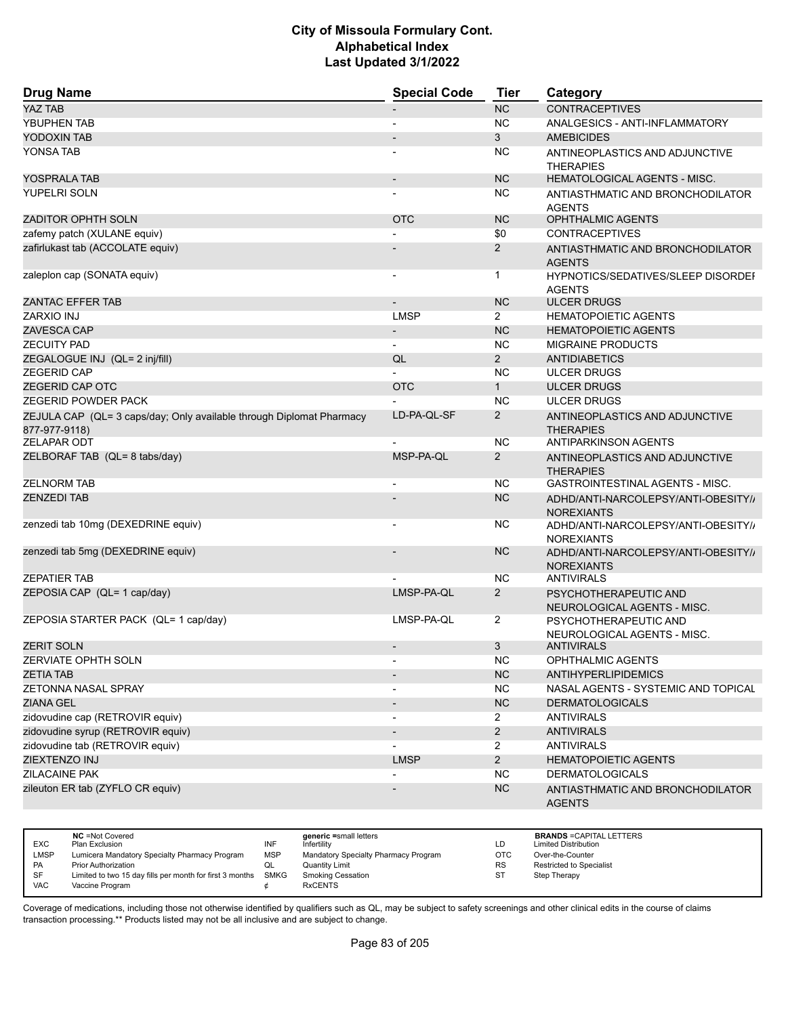| <b>Drug Name</b>                                                                      | <b>Special Code</b>          | <b>Tier</b>    | Category                                                   |
|---------------------------------------------------------------------------------------|------------------------------|----------------|------------------------------------------------------------|
| <b>YAZ TAB</b>                                                                        |                              | <b>NC</b>      | <b>CONTRACEPTIVES</b>                                      |
| YBUPHEN TAB                                                                           |                              | <b>NC</b>      | ANALGESICS - ANTI-INFLAMMATORY                             |
| YODOXIN TAB                                                                           |                              | 3              | <b>AMEBICIDES</b>                                          |
| YONSA TAB                                                                             |                              | <b>NC</b>      | ANTINEOPLASTICS AND ADJUNCTIVE<br><b>THERAPIES</b>         |
| YOSPRALA TAB                                                                          | $\overline{\phantom{a}}$     | <b>NC</b>      | <b>HEMATOLOGICAL AGENTS - MISC.</b>                        |
| YUPELRI SOLN                                                                          | $\qquad \qquad \blacksquare$ | <b>NC</b>      | ANTIASTHMATIC AND BRONCHODILATOR<br><b>AGENTS</b>          |
| <b>ZADITOR OPHTH SOLN</b>                                                             | <b>OTC</b>                   | <b>NC</b>      | <b>OPHTHALMIC AGENTS</b>                                   |
| zafemy patch (XULANE equiv)                                                           |                              | \$0            | <b>CONTRACEPTIVES</b>                                      |
| zafirlukast tab (ACCOLATE equiv)                                                      |                              | $\overline{2}$ | ANTIASTHMATIC AND BRONCHODILATOR<br><b>AGENTS</b>          |
| zaleplon cap (SONATA equiv)                                                           | $\overline{\phantom{a}}$     | 1              | <b>HYPNOTICS/SEDATIVES/SLEEP DISORDEF</b><br><b>AGENTS</b> |
| ZANTAC EFFER TAB                                                                      |                              | <b>NC</b>      | <b>ULCER DRUGS</b>                                         |
| ZARXIO INJ                                                                            | <b>LMSP</b>                  | $\overline{2}$ | <b>HEMATOPOIETIC AGENTS</b>                                |
| ZAVESCA CAP                                                                           | $\overline{\phantom{a}}$     | <b>NC</b>      | <b>HEMATOPOIETIC AGENTS</b>                                |
| <b>ZECUITY PAD</b>                                                                    | $\blacksquare$               | <b>NC</b>      | <b>MIGRAINE PRODUCTS</b>                                   |
| ZEGALOGUE INJ (QL= 2 inj/fill)                                                        | QL                           | $\overline{2}$ | <b>ANTIDIABETICS</b>                                       |
| <b>ZEGERID CAP</b>                                                                    |                              | <b>NC</b>      | <b>ULCER DRUGS</b>                                         |
| <b>ZEGERID CAP OTC</b>                                                                | <b>OTC</b>                   | 1              | <b>ULCER DRUGS</b>                                         |
| ZEGERID POWDER PACK                                                                   |                              | <b>NC</b>      | <b>ULCER DRUGS</b>                                         |
| ZEJULA CAP (QL= 3 caps/day; Only available through Diplomat Pharmacy<br>877-977-9118) | LD-PA-QL-SF                  | $\overline{2}$ | ANTINEOPLASTICS AND ADJUNCTIVE<br><b>THERAPIES</b>         |
| <b>ZELAPAR ODT</b>                                                                    |                              | <b>NC</b>      | <b>ANTIPARKINSON AGENTS</b>                                |
| ZELBORAF TAB (QL= 8 tabs/day)                                                         | MSP-PA-QL                    | $\overline{2}$ | ANTINEOPLASTICS AND ADJUNCTIVE<br><b>THERAPIES</b>         |
| <b>ZELNORM TAB</b>                                                                    | $\overline{\phantom{a}}$     | <b>NC</b>      | GASTROINTESTINAL AGENTS - MISC.                            |
| <b>ZENZEDI TAB</b>                                                                    |                              | <b>NC</b>      | ADHD/ANTI-NARCOLEPSY/ANTI-OBESITY//<br><b>NOREXIANTS</b>   |
| zenzedi tab 10mg (DEXEDRINE equiv)                                                    |                              | <b>NC</b>      | ADHD/ANTI-NARCOLEPSY/ANTI-OBESITY//<br><b>NOREXIANTS</b>   |
| zenzedi tab 5mg (DEXEDRINE equiv)                                                     |                              | <b>NC</b>      | ADHD/ANTI-NARCOLEPSY/ANTI-OBESITY//<br><b>NOREXIANTS</b>   |
| <b>ZEPATIER TAB</b>                                                                   |                              | <b>NC</b>      | <b>ANTIVIRALS</b>                                          |
| ZEPOSIA CAP (QL= 1 cap/day)                                                           | LMSP-PA-QL                   | $\overline{2}$ | PSYCHOTHERAPEUTIC AND<br>NEUROLOGICAL AGENTS - MISC.       |
| ZEPOSIA STARTER PACK (QL= 1 cap/day)                                                  | LMSP-PA-QL                   | $\overline{2}$ | PSYCHOTHERAPEUTIC AND<br>NEUROLOGICAL AGENTS - MISC.       |
| <b>ZERIT SOLN</b>                                                                     |                              | 3              | ANTIVIRALS                                                 |
| ZERVIATE OPHTH SOLN                                                                   |                              | NC             | OPHTHALMIC AGENTS                                          |
| <b>ZETIA TAB</b>                                                                      | $\overline{\phantom{a}}$     | NC             | <b>ANTIHYPERLIPIDEMICS</b>                                 |
| ZETONNA NASAL SPRAY                                                                   |                              | <b>NC</b>      | NASAL AGENTS - SYSTEMIC AND TOPICAL                        |
| <b>ZIANA GEL</b>                                                                      | $\overline{\phantom{m}}$     | NC             | <b>DERMATOLOGICALS</b>                                     |
| zidovudine cap (RETROVIR equiv)                                                       | ٠                            | $\overline{2}$ | <b>ANTIVIRALS</b>                                          |
| zidovudine syrup (RETROVIR equiv)                                                     |                              | $\overline{2}$ | <b>ANTIVIRALS</b>                                          |
| zidovudine tab (RETROVIR equiv)                                                       |                              | $\overline{2}$ | <b>ANTIVIRALS</b>                                          |
| ZIEXTENZO INJ                                                                         | <b>LMSP</b>                  | $2^{\circ}$    | <b>HEMATOPOIETIC AGENTS</b>                                |
| ZILACAINE PAK                                                                         |                              | NC             | <b>DERMATOLOGICALS</b>                                     |
| zileuton ER tab (ZYFLO CR equiv)                                                      |                              | NC             | ANTIASTHMATIC AND BRONCHODILATOR<br><b>AGENTS</b>          |

|            | <b>NC</b> = Not Covered                                       |            | generic =small letters               |           | <b>BRANDS = CAPITAL LETTERS</b> |
|------------|---------------------------------------------------------------|------------|--------------------------------------|-----------|---------------------------------|
| <b>EXC</b> | Plan Exclusion                                                | INF        | Infertility                          | LD        | <b>Limited Distribution</b>     |
| LMSP       | Lumicera Mandatory Specialty Pharmacy Program                 | <b>MSP</b> | Mandatory Specialty Pharmacy Program | OTC       | Over-the-Counter                |
| <b>PA</b>  | Prior Authorization                                           |            | Quantity Limit                       | <b>RS</b> | Restricted to Specialist        |
| SF         | Limited to two 15 day fills per month for first 3 months SMKG |            | <b>Smoking Cessation</b>             | S1        | Step Therapy                    |
| <b>VAC</b> | Vaccine Program                                               |            | <b>RxCENTS</b>                       |           |                                 |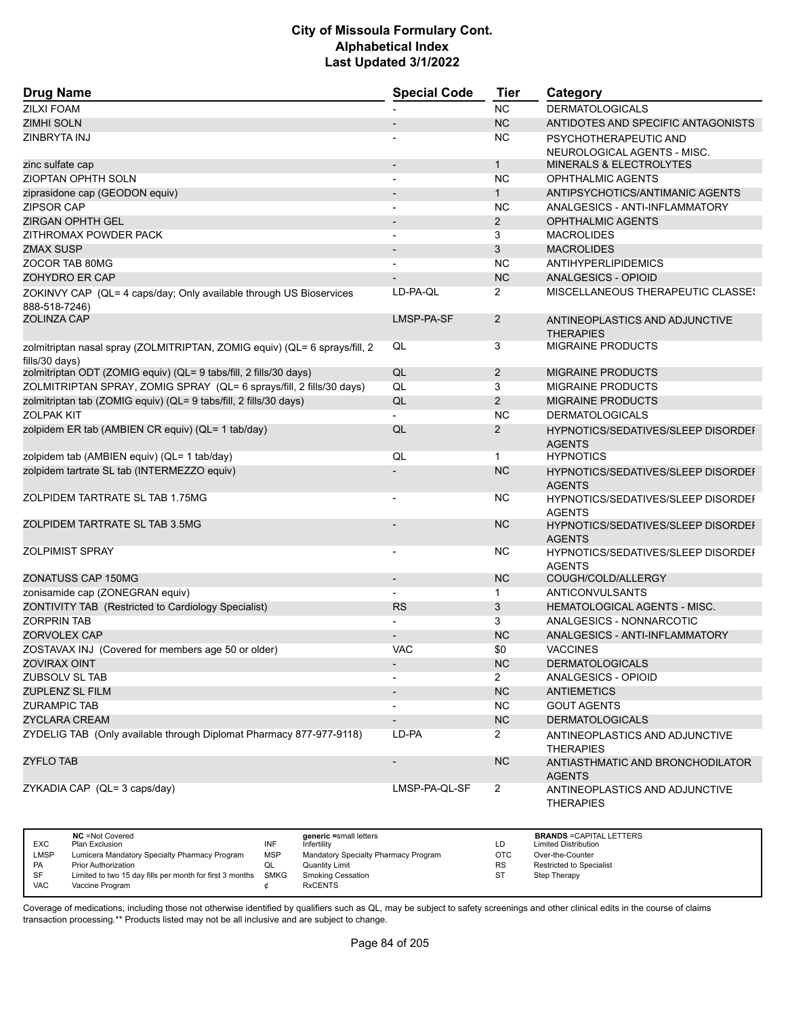| <b>Drug Name</b>                                                                             | <b>Special Code</b>          | <b>Tier</b>    | Category                                                   |
|----------------------------------------------------------------------------------------------|------------------------------|----------------|------------------------------------------------------------|
| <b>ZILXI FOAM</b>                                                                            |                              | <b>NC</b>      | <b>DERMATOLOGICALS</b>                                     |
| <b>ZIMHI SOLN</b>                                                                            |                              | <b>NC</b>      | ANTIDOTES AND SPECIFIC ANTAGONISTS                         |
| ZINBRYTA INJ                                                                                 |                              | <b>NC</b>      | PSYCHOTHERAPEUTIC AND                                      |
|                                                                                              |                              |                | NEUROLOGICAL AGENTS - MISC.                                |
| zinc sulfate cap                                                                             | $\overline{a}$               | $\mathbf{1}$   | <b>MINERALS &amp; ELECTROLYTES</b>                         |
| <b>ZIOPTAN OPHTH SOLN</b>                                                                    | $\overline{a}$               | <b>NC</b>      | OPHTHALMIC AGENTS                                          |
| ziprasidone cap (GEODON equiv)                                                               |                              | $\mathbf{1}$   | ANTIPSYCHOTICS/ANTIMANIC AGENTS                            |
| <b>ZIPSOR CAP</b>                                                                            | $\blacksquare$               | <b>NC</b>      | ANALGESICS - ANTI-INFLAMMATORY                             |
| <b>ZIRGAN OPHTH GEL</b>                                                                      | $\overline{\phantom{a}}$     | $\overline{2}$ | <b>OPHTHALMIC AGENTS</b>                                   |
| ZITHROMAX POWDER PACK                                                                        |                              | 3              | <b>MACROLIDES</b>                                          |
| <b>ZMAX SUSP</b>                                                                             | $\qquad \qquad \blacksquare$ | 3              | <b>MACROLIDES</b>                                          |
| ZOCOR TAB 80MG                                                                               |                              | <b>NC</b>      | ANTIHYPERLIPIDEMICS                                        |
| ZOHYDRO ER CAP                                                                               |                              | <b>NC</b>      | ANALGESICS - OPIOID                                        |
| ZOKINVY CAP (QL= 4 caps/day; Only available through US Bioservices<br>888-518-7246)          | LD-PA-QL                     | $\overline{2}$ | MISCELLANEOUS THERAPEUTIC CLASSES                          |
| <b>ZOLINZA CAP</b>                                                                           | LMSP-PA-SF                   | $\overline{2}$ | ANTINEOPLASTICS AND ADJUNCTIVE<br><b>THERAPIES</b>         |
| zolmitriptan nasal spray (ZOLMITRIPTAN, ZOMIG equiv) (QL= 6 sprays/fill, 2<br>fills/30 days) | QL                           | 3              | <b>MIGRAINE PRODUCTS</b>                                   |
| zolmitriptan ODT (ZOMIG equiv) (QL= 9 tabs/fill, 2 fills/30 days)                            | QL                           | $\overline{2}$ | <b>MIGRAINE PRODUCTS</b>                                   |
| ZOLMITRIPTAN SPRAY, ZOMIG SPRAY (QL= 6 sprays/fill, 2 fills/30 days)                         | QL                           | 3              | <b>MIGRAINE PRODUCTS</b>                                   |
| zolmitriptan tab (ZOMIG equiv) (QL= 9 tabs/fill, 2 fills/30 days)                            | QL                           | 2              | <b>MIGRAINE PRODUCTS</b>                                   |
| <b>ZOLPAK KIT</b>                                                                            |                              | <b>NC</b>      | <b>DERMATOLOGICALS</b>                                     |
| zolpidem ER tab (AMBIEN CR equiv) (QL= 1 tab/day)                                            | QL                           | $\overline{2}$ | HYPNOTICS/SEDATIVES/SLEEP DISORDEF<br><b>AGENTS</b>        |
| zolpidem tab (AMBIEN equiv) (QL= 1 tab/day)                                                  | QL                           | $\mathbf{1}$   | <b>HYPNOTICS</b>                                           |
| zolpidem tartrate SL tab (INTERMEZZO equiv)                                                  |                              | <b>NC</b>      | <b>HYPNOTICS/SEDATIVES/SLEEP DISORDEI</b><br><b>AGENTS</b> |
| ZOLPIDEM TARTRATE SL TAB 1.75MG                                                              |                              | <b>NC</b>      | HYPNOTICS/SEDATIVES/SLEEP DISORDEI<br><b>AGENTS</b>        |
| ZOLPIDEM TARTRATE SL TAB 3.5MG                                                               |                              | <b>NC</b>      | HYPNOTICS/SEDATIVES/SLEEP DISORDEF<br><b>AGENTS</b>        |
| <b>ZOLPIMIST SPRAY</b>                                                                       |                              | <b>NC</b>      | HYPNOTICS/SEDATIVES/SLEEP DISORDEI<br><b>AGENTS</b>        |
| ZONATUSS CAP 150MG                                                                           | $\overline{\phantom{a}}$     | <b>NC</b>      | COUGH/COLD/ALLERGY                                         |
| zonisamide cap (ZONEGRAN equiv)                                                              |                              | $\mathbf 1$    | ANTICONVULSANTS                                            |
| ZONTIVITY TAB (Restricted to Cardiology Specialist)                                          | <b>RS</b>                    | 3              | <b>HEMATOLOGICAL AGENTS - MISC.</b>                        |
| <b>ZORPRIN TAB</b>                                                                           |                              | 3              | ANALGESICS - NONNARCOTIC                                   |
| ZORVOLEX CAP                                                                                 |                              | <b>NC</b>      | ANALGESICS - ANTI-INFLAMMATORY                             |
| ZOSTAVAX INJ (Covered for members age 50 or older)                                           | <b>VAC</b>                   | \$0            | <b>VACCINES</b>                                            |
| ZOVIRAX OINT                                                                                 |                              | NC.            | <b>DERMATOLOGICALS</b>                                     |
| ZUBSOLV SL TAB                                                                               |                              | $\overline{2}$ | ANALGESICS - OPIOID                                        |
| <b>ZUPLENZ SL FILM</b>                                                                       |                              | NC             | <b>ANTIEMETICS</b>                                         |
| <b>ZURAMPIC TAB</b>                                                                          |                              | NC.            | <b>GOUT AGENTS</b>                                         |
| <b>ZYCLARA CREAM</b>                                                                         |                              | NC             | <b>DERMATOLOGICALS</b>                                     |
| ZYDELIG TAB (Only available through Diplomat Pharmacy 877-977-9118)                          | LD-PA                        | $\mathbf{2}$   | ANTINEOPLASTICS AND ADJUNCTIVE<br><b>THERAPIES</b>         |
| <b>ZYFLO TAB</b>                                                                             | $\overline{\phantom{m}}$     | <b>NC</b>      | ANTIASTHMATIC AND BRONCHODILATOR<br><b>AGENTS</b>          |
| ZYKADIA CAP (QL= 3 caps/day)                                                                 | LMSP-PA-QL-SF                | $\overline{2}$ | ANTINEOPLASTICS AND ADJUNCTIVE<br><b>THERAPIES</b>         |

| <b>EXC</b>  | <b>NC</b> = Not Covered                                  |            | generic =small letters               |            | <b>BRANDS = CAPITAL LETTERS</b> |
|-------------|----------------------------------------------------------|------------|--------------------------------------|------------|---------------------------------|
|             | Plan Exclusion                                           | INF        | Infertility                          | LD         | <b>Limited Distribution</b>     |
| <b>LMSP</b> | Lumicera Mandatory Specialty Pharmacy Program            | <b>MSP</b> | Mandatory Specialty Pharmacy Program | <b>OTC</b> | Over-the-Counter                |
| <b>PA</b>   | <b>Prior Authorization</b>                               | QL         | Quantity Limit                       | <b>RS</b>  | <b>Restricted to Specialist</b> |
| SF          | Limited to two 15 day fills per month for first 3 months | SMKG       | <b>Smoking Cessation</b>             | <b>ST</b>  | Step Therapy                    |
| <b>VAC</b>  | Vaccine Program                                          |            | <b>RxCENTS</b>                       |            |                                 |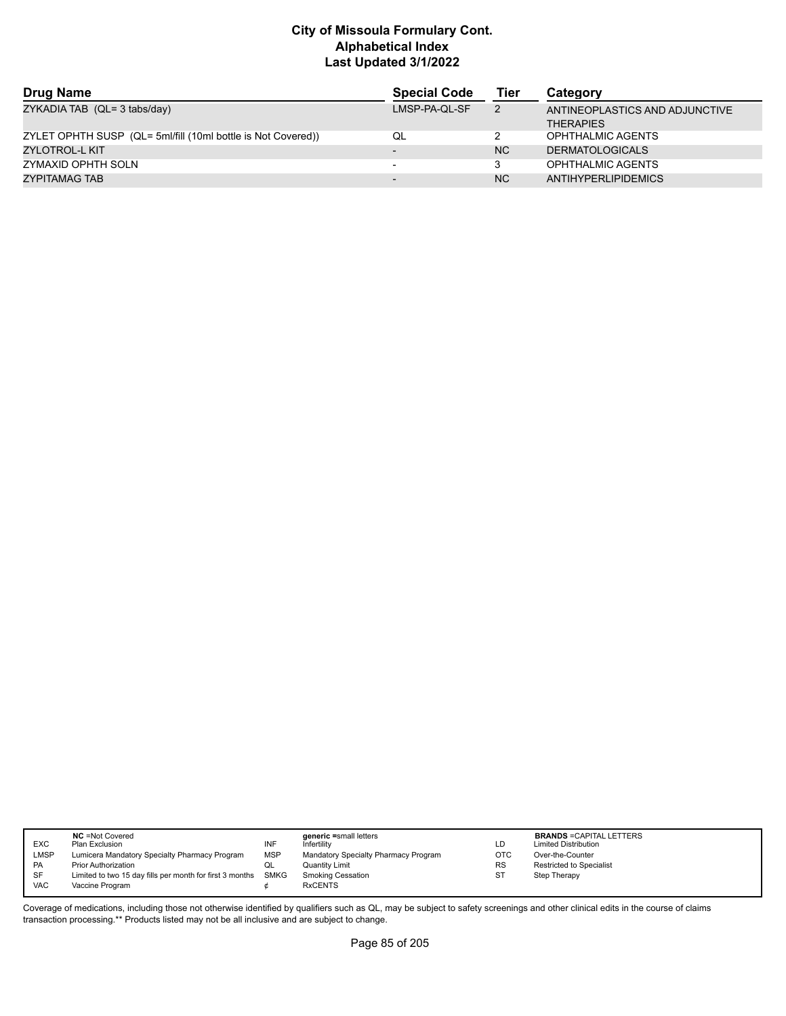| <b>Drug Name</b>                                             | <b>Special Code</b>      | Tier           | Category                                           |
|--------------------------------------------------------------|--------------------------|----------------|----------------------------------------------------|
| ZYKADIA TAB (QL= 3 tabs/day)                                 | LMSP-PA-QL-SF            | $\overline{2}$ | ANTINEOPLASTICS AND ADJUNCTIVE<br><b>THERAPIES</b> |
| ZYLET OPHTH SUSP (QL= 5ml/fill (10ml bottle is Not Covered)) | QL                       |                | OPHTHALMIC AGENTS                                  |
| ZYLOTROL-L KIT                                               | $\overline{\phantom{0}}$ | <b>NC</b>      | <b>DERMATOLOGICALS</b>                             |
| ZYMAXID OPHTH SOLN                                           | $\overline{\phantom{0}}$ |                | OPHTHALMIC AGENTS                                  |
| ZYPITAMAG TAB                                                | $\overline{\phantom{0}}$ | <b>NC</b>      | ANTIHYPERLIPIDEMICS                                |

| <b>EXC</b><br><b>LMSP</b><br>PA<br>SF | <b>NC</b> = Not Covered<br>Plan Exclusion<br>Lumicera Mandatory Specialty Pharmacy Program<br><b>Prior Authorization</b><br>Limited to two 15 day fills per month for first 3 months | INF<br><b>MSP</b><br>QL<br><b>SMKG</b> | generic =small letters<br>Infertility<br>Mandatory Specialty Pharmacy Program<br>Quantity Limit<br><b>Smoking Cessation</b> | LD<br>OTC<br><b>RS</b> | <b>BRANDS = CAPITAL LETTERS</b><br><b>Limited Distribution</b><br>Over-the-Counter<br>Restricted to Specialist<br>Step Therapy |
|---------------------------------------|--------------------------------------------------------------------------------------------------------------------------------------------------------------------------------------|----------------------------------------|-----------------------------------------------------------------------------------------------------------------------------|------------------------|--------------------------------------------------------------------------------------------------------------------------------|
| <b>VAC</b>                            | Vaccine Program                                                                                                                                                                      |                                        | <b>RxCENTS</b>                                                                                                              |                        |                                                                                                                                |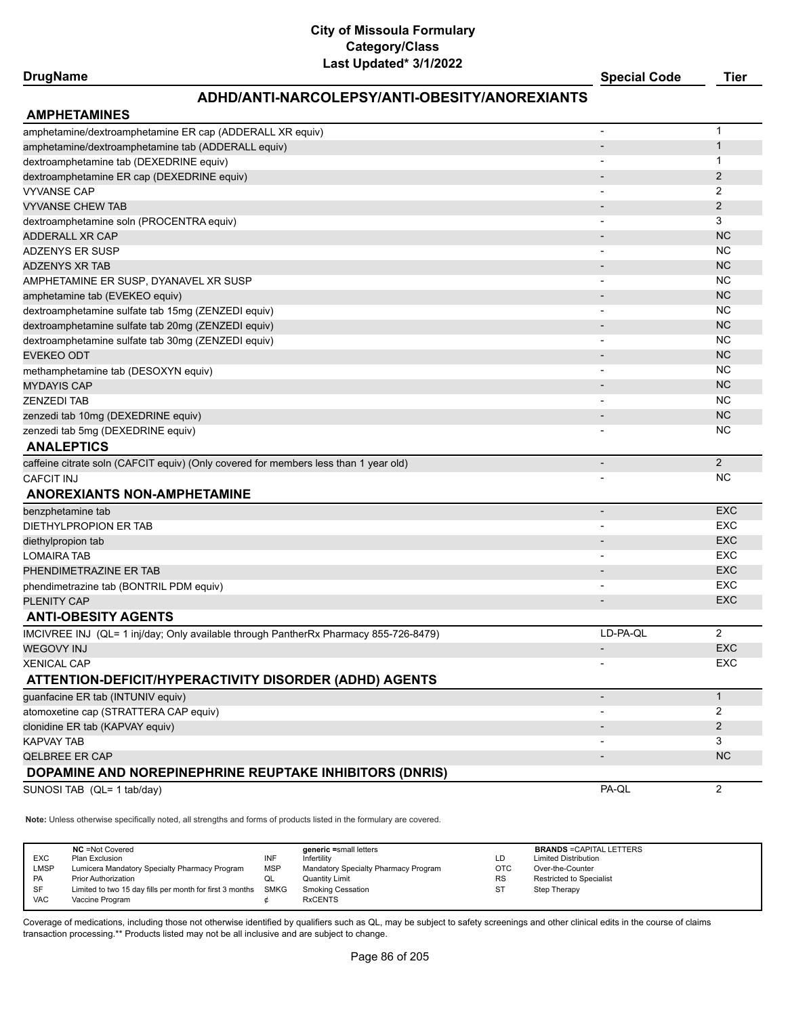## **DrugName Special Code Tier**

### **ADHD/ANTI-NARCOLEPSY/ANTI-OBESITY/ANOREXIANTS**

| <b>AMPHETAMINES</b>                                                                  |                          |                |
|--------------------------------------------------------------------------------------|--------------------------|----------------|
| amphetamine/dextroamphetamine ER cap (ADDERALL XR equiv)                             |                          | $\mathbf 1$    |
| amphetamine/dextroamphetamine tab (ADDERALL equiv)                                   |                          | $\mathbf{1}$   |
| dextroamphetamine tab (DEXEDRINE equiv)                                              |                          | 1              |
| dextroamphetamine ER cap (DEXEDRINE equiv)                                           |                          | $\overline{2}$ |
| <b>VYVANSE CAP</b>                                                                   |                          | 2              |
| <b>VYVANSE CHEW TAB</b>                                                              |                          | $\overline{2}$ |
| dextroamphetamine soln (PROCENTRA equiv)                                             | $\overline{\phantom{a}}$ | 3              |
| <b>ADDERALL XR CAP</b>                                                               |                          | <b>NC</b>      |
| <b>ADZENYS ER SUSP</b>                                                               | $\overline{\phantom{a}}$ | <b>NC</b>      |
| <b>ADZENYS XR TAB</b>                                                                |                          | <b>NC</b>      |
| AMPHETAMINE ER SUSP, DYANAVEL XR SUSP                                                |                          | <b>NC</b>      |
| amphetamine tab (EVEKEO equiv)                                                       |                          | <b>NC</b>      |
| dextroamphetamine sulfate tab 15mg (ZENZEDI equiv)                                   |                          | <b>NC</b>      |
| dextroamphetamine sulfate tab 20mg (ZENZEDI equiv)                                   |                          | <b>NC</b>      |
| dextroamphetamine sulfate tab 30mg (ZENZEDI equiv)                                   |                          | <b>NC</b>      |
| <b>EVEKEO ODT</b>                                                                    |                          | <b>NC</b>      |
| methamphetamine tab (DESOXYN equiv)                                                  | $\overline{\phantom{a}}$ | <b>NC</b>      |
| <b>MYDAYIS CAP</b>                                                                   |                          | <b>NC</b>      |
| <b>ZENZEDI TAB</b>                                                                   |                          | <b>NC</b>      |
| zenzedi tab 10mg (DEXEDRINE equiv)                                                   |                          | <b>NC</b>      |
| zenzedi tab 5mg (DEXEDRINE equiv)                                                    |                          | <b>NC</b>      |
| <b>ANALEPTICS</b>                                                                    |                          |                |
| caffeine citrate soln (CAFCIT equiv) (Only covered for members less than 1 year old) |                          | 2              |
| <b>CAFCIT INJ</b>                                                                    |                          | NC.            |
| <b>ANOREXIANTS NON-AMPHETAMINE</b>                                                   |                          |                |
| benzphetamine tab                                                                    | $\overline{\phantom{a}}$ | <b>EXC</b>     |
| DIETHYLPROPION ER TAB                                                                |                          | <b>EXC</b>     |
| diethylpropion tab                                                                   |                          | EXC            |
| <b>LOMAIRA TAB</b>                                                                   | $\overline{\phantom{a}}$ | EXC            |
| PHENDIMETRAZINE ER TAB                                                               |                          | <b>EXC</b>     |
| phendimetrazine tab (BONTRIL PDM equiv)                                              | $\overline{\phantom{a}}$ | EXC            |
| <b>PLENITY CAP</b>                                                                   |                          | EXC            |
| <b>ANTI-OBESITY AGENTS</b>                                                           |                          |                |
| IMCIVREE INJ (QL= 1 inj/day; Only available through PantherRx Pharmacy 855-726-8479) | LD-PA-QL                 | $\overline{2}$ |
| <b>WEGOVY INJ</b>                                                                    | $\overline{\phantom{a}}$ | EXC            |
| <b>XENICAL CAP</b>                                                                   |                          | EXC            |
| ATTENTION-DEFICIT/HYPERACTIVITY DISORDER (ADHD) AGENTS                               |                          |                |
| guanfacine ER tab (INTUNIV equiv)                                                    |                          | $\mathbf{1}$   |
| atomoxetine cap (STRATTERA CAP equiv)                                                |                          | 2              |
| clonidine ER tab (KAPVAY equiv)                                                      |                          | 2              |
| <b>KAPVAY TAB</b>                                                                    |                          | 3              |
| <b>QELBREE ER CAP</b>                                                                |                          | <b>NC</b>      |
| DOPAMINE AND NOREPINEPHRINE REUPTAKE INHIBITORS (DNRIS)                              |                          |                |
| SUNOSI TAB (QL= 1 tab/day)                                                           | PA-QL                    | $\overline{2}$ |
|                                                                                      |                          |                |
|                                                                                      |                          |                |

**Note:** Unless otherwise specifically noted, all strengths and forms of products listed in the formulary are covered.

| <b>EXC</b><br><b>LMSP</b><br><b>PA</b> | <b>NC</b> = Not Covered<br>Plan Exclusion<br>Lumicera Mandatory Specialty Pharmacy Program<br><b>Prior Authorization</b> | INF<br>MSP<br>w∟ | generic =small letters<br>Infertility<br>Mandatory Specialty Pharmacy Program<br><b>Quantity Limit</b> | LD<br>ОТС<br><b>RS</b> | <b>BRANDS = CAPITAL LETTERS</b><br><b>Limited Distribution</b><br>Over-the-Counter<br><b>Restricted to Specialist</b> |
|----------------------------------------|--------------------------------------------------------------------------------------------------------------------------|------------------|--------------------------------------------------------------------------------------------------------|------------------------|-----------------------------------------------------------------------------------------------------------------------|
| SF                                     | Limited to two 15 day fills per month for first 3 months                                                                 | SMKG             | <b>Smoking Cessation</b>                                                                               | S.                     | Step Therapy                                                                                                          |
| <b>VAC</b>                             | Vaccine Program                                                                                                          |                  | <b>RxCENTS</b>                                                                                         |                        |                                                                                                                       |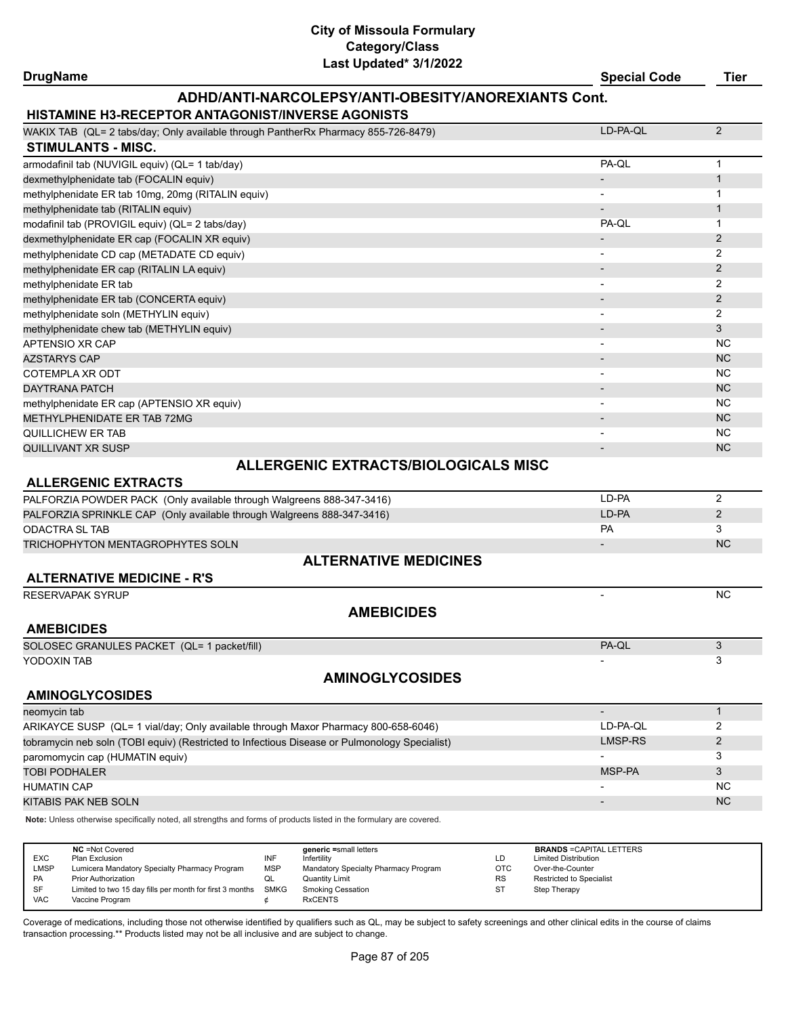**DrugName Special Code Tier**

#### **ADHD/ANTI-NARCOLEPSY/ANTI-OBESITY/ANOREXIANTS Cont.**

#### **HISTAMINE H3-RECEPTOR ANTAGONIST/INVERSE AGONISTS**

| ==================================                                                 |          |                |
|------------------------------------------------------------------------------------|----------|----------------|
| WAKIX TAB (QL= 2 tabs/day; Only available through PantherRx Pharmacy 855-726-8479) | LD-PA-QL | 2              |
| <b>STIMULANTS - MISC.</b>                                                          |          |                |
| armodafinil tab (NUVIGIL equiv) (QL= 1 tab/day)                                    | PA-OL    |                |
| dexmethylphenidate tab (FOCALIN equiv)                                             |          |                |
| methylphenidate ER tab 10mg, 20mg (RITALIN equiv)                                  |          |                |
| methylphenidate tab (RITALIN equiv)                                                |          |                |
| modafinil tab (PROVIGIL equiv) (QL= 2 tabs/day)                                    | PA-OL    |                |
| dexmethylphenidate ER cap (FOCALIN XR equiv)                                       |          | $\overline{2}$ |
| methylphenidate CD cap (METADATE CD equiv)                                         |          | 2              |
| methylphenidate ER cap (RITALIN LA equiv)                                          |          | 2              |
| methylphenidate ER tab                                                             |          | 2              |
| methylphenidate ER tab (CONCERTA equiv)                                            |          | 2              |
| methylphenidate soln (METHYLIN equiv)                                              |          | $\overline{2}$ |
| methylphenidate chew tab (METHYLIN equiv)                                          |          | 3              |
| APTENSIO XR CAP                                                                    |          | <b>NC</b>      |
| <b>AZSTARYS CAP</b>                                                                |          | N <sub>C</sub> |
| <b>COTEMPLA XR ODT</b>                                                             |          | NC.            |
| <b>DAYTRANA PATCH</b>                                                              |          | <b>NC</b>      |
| methylphenidate ER cap (APTENSIO XR equiv)                                         |          | <b>NC</b>      |
| METHYLPHENIDATE ER TAB 72MG                                                        |          | N <sub>C</sub> |
| QUILLICHEW ER TAB                                                                  |          | N <sub>C</sub> |
| QUILLIVANT XR SUSP                                                                 |          | <b>NC</b>      |
|                                                                                    |          |                |

#### **ALLERGENIC EXTRACTS**

## **ALLERGENIC EXTRACTS/BIOLOGICALS MISC**

| PALFORZIA POWDER PACK (Only available through Walgreens 888-347-3416)  | LD-PA |           |
|------------------------------------------------------------------------|-------|-----------|
| PALFORZIA SPRINKLE CAP (Only available through Walgreens 888-347-3416) | LD-PA |           |
| ODACTRA SL TAB                                                         | PА    |           |
| TRICHOPHYTON MENTAGROPHYTES SOLN                                       |       | <b>NC</b> |

#### **ALTERNATIVE MEDICINES**

#### **ALTERNATIVE MEDICINE - R'S**

RESERVAPAK SYRUP NORTH AND THE SERVAPAK SYRUP OF THE SERVAPAK SYRUP OF THE SERVAPAK SYRUP OF THE SERVAPAK SYRUP

#### **AMEBICIDES**

| <b>AMEBICIDES</b>                           |       |  |
|---------------------------------------------|-------|--|
| SOLOSEC GRANULES PACKET (QL= 1 packet/fill) | PA-QL |  |
| YODOXIN TAB                                 |       |  |
| <b>AMINOGLYCOSIDES</b>                      |       |  |

#### **AMINOGLYCOSIDES**

| neomycin tab                                                                                  |          |                |
|-----------------------------------------------------------------------------------------------|----------|----------------|
| ARIKAYCE SUSP (QL= 1 vial/day; Only available through Maxor Pharmacy 800-658-6046)            | LD-PA-OL |                |
| tobramycin neb soln (TOBI equiv) (Restricted to Infectious Disease or Pulmonology Specialist) | LMSP-RS  |                |
| paromomycin cap (HUMATIN equiv)                                                               |          |                |
| <b>TOBI PODHALER</b>                                                                          | MSP-PA   |                |
| <b>HUMATIN CAP</b>                                                                            |          | N <sub>C</sub> |
| KITABIS PAK NEB SOLN                                                                          |          | <b>NC</b>      |

**Note:** Unless otherwise specifically noted, all strengths and forms of products listed in the formulary are covered.

|           | <b>NC</b> = Not Covered                                       |            | generic =small letters               |           | <b>BRANDS = CAPITAL LETTERS</b> |
|-----------|---------------------------------------------------------------|------------|--------------------------------------|-----------|---------------------------------|
| EXC       | Plan Exclusion                                                | INF        | Infertility                          | LD        | <b>Limited Distribution</b>     |
| LMSP      | Lumicera Mandatory Specialty Pharmacy Program                 | <b>MSP</b> | Mandatory Specialty Pharmacy Program | OTC       | Over-the-Counter                |
| PA        | <b>Prior Authorization</b>                                    | QL         | <b>Quantity Limit</b>                | <b>RS</b> | <b>Restricted to Specialist</b> |
| <b>SF</b> | Limited to two 15 day fills per month for first 3 months SMKG |            | <b>Smoking Cessation</b>             | <b>ST</b> | Step Therapy                    |
| VAC       | Vaccine Program                                               |            | <b>RxCENTS</b>                       |           |                                 |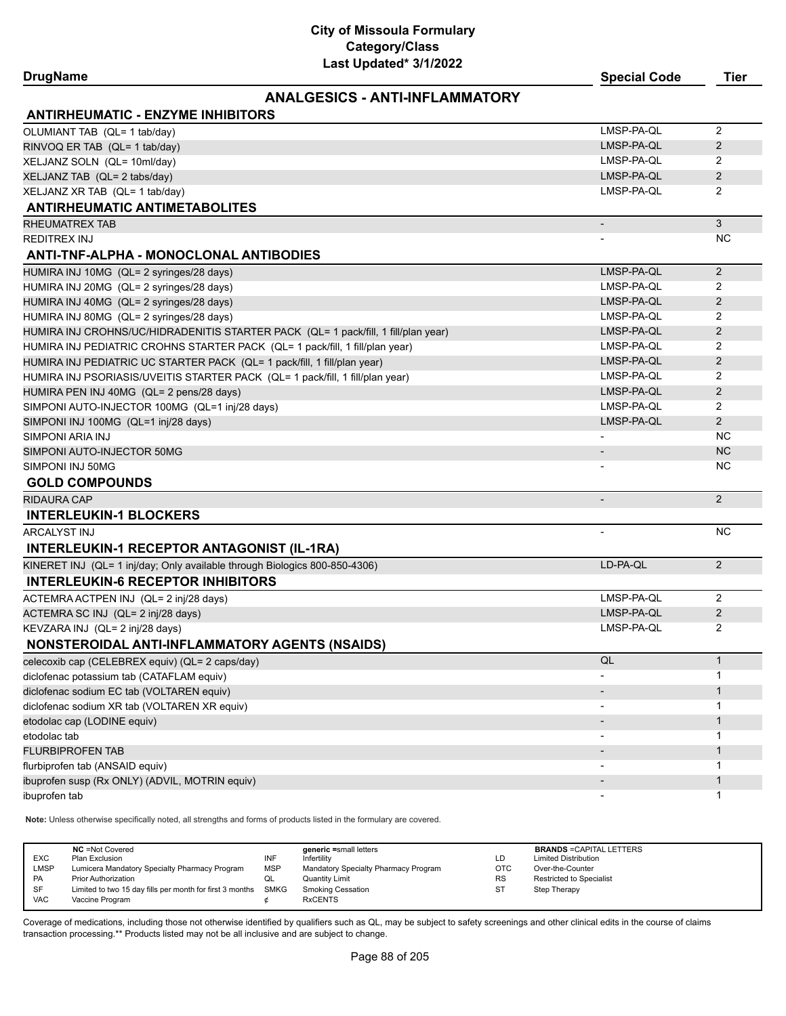**DrugName Special Code Tier**

#### **ANALGESICS - ANTI-INFLAMMATORY**

| <b>ANTIRHEUMATIC - ENZYME INHIBITORS</b>                                           |                          |                |
|------------------------------------------------------------------------------------|--------------------------|----------------|
| OLUMIANT TAB (QL= 1 tab/day)                                                       | LMSP-PA-QL               | $\overline{2}$ |
| RINVOQ ER TAB (QL= 1 tab/day)                                                      | LMSP-PA-QL               | 2              |
| XELJANZ SOLN (QL= 10ml/day)                                                        | LMSP-PA-QL               | 2              |
| XELJANZ TAB (QL= 2 tabs/day)                                                       | LMSP-PA-QL               | 2              |
| XELJANZ XR TAB (QL= 1 tab/day)                                                     | LMSP-PA-QL               | $\overline{2}$ |
| <b>ANTIRHEUMATIC ANTIMETABOLITES</b>                                               |                          |                |
| RHEUMATREX TAB                                                                     | $\overline{\phantom{a}}$ | 3              |
| <b>REDITREX INJ</b>                                                                |                          | NC.            |
| ANTI-TNF-ALPHA - MONOCLONAL ANTIBODIES                                             |                          |                |
| HUMIRA INJ 10MG (QL= 2 syringes/28 days)                                           | LMSP-PA-QL               | $\overline{2}$ |
| HUMIRA INJ 20MG (QL= 2 syringes/28 days)                                           | LMSP-PA-QL               | 2              |
| HUMIRA INJ 40MG (QL= 2 syringes/28 days)                                           | LMSP-PA-QL               | 2              |
| HUMIRA INJ 80MG (QL= 2 syringes/28 days)                                           | LMSP-PA-QL               | 2              |
| HUMIRA INJ CROHNS/UC/HIDRADENITIS STARTER PACK (QL= 1 pack/fill, 1 fill/plan year) | LMSP-PA-QL               | 2              |
| HUMIRA INJ PEDIATRIC CROHNS STARTER PACK (QL= 1 pack/fill, 1 fill/plan year)       | LMSP-PA-QL               | 2              |
| HUMIRA INJ PEDIATRIC UC STARTER PACK (QL= 1 pack/fill, 1 fill/plan year)           | LMSP-PA-QL               | 2              |
| HUMIRA INJ PSORIASIS/UVEITIS STARTER PACK (QL= 1 pack/fill, 1 fill/plan year)      | LMSP-PA-QL               | 2              |
| HUMIRA PEN INJ 40MG (QL= 2 pens/28 days)                                           | LMSP-PA-QL               | 2              |
| SIMPONI AUTO-INJECTOR 100MG (QL=1 inj/28 days)                                     | LMSP-PA-QL               | 2              |
| SIMPONI INJ 100MG (QL=1 inj/28 days)                                               | LMSP-PA-QL               | $\overline{2}$ |
| SIMPONI ARIA INJ                                                                   |                          | <b>NC</b>      |
| SIMPONI AUTO-INJECTOR 50MG                                                         |                          | <b>NC</b>      |
| SIMPONI INJ 50MG                                                                   |                          | NC.            |
| <b>GOLD COMPOUNDS</b>                                                              |                          |                |
| <b>RIDAURA CAP</b>                                                                 | $\overline{\phantom{a}}$ | 2              |
| <b>INTERLEUKIN-1 BLOCKERS</b>                                                      |                          |                |
| ARCALYST INJ                                                                       | $\overline{a}$           | <b>NC</b>      |
| <b>INTERLEUKIN-1 RECEPTOR ANTAGONIST (IL-1RA)</b>                                  |                          |                |
| KINERET INJ (QL= 1 inj/day; Only available through Biologics 800-850-4306)         | LD-PA-QL                 | 2              |
| <b>INTERLEUKIN-6 RECEPTOR INHIBITORS</b>                                           |                          |                |
| ACTEMRA ACTPEN INJ (QL= 2 inj/28 days)                                             | LMSP-PA-QL               | 2              |
| ACTEMRA SC INJ (QL= 2 inj/28 days)                                                 | LMSP-PA-QL               | 2              |
| KEVZARA INJ (QL= 2 inj/28 days)                                                    | LMSP-PA-QL               | 2              |
| NONSTEROIDAL ANTI-INFLAMMATORY AGENTS (NSAIDS)                                     |                          |                |
| celecoxib cap (CELEBREX equiv) (QL= 2 caps/day)                                    | QL                       | $\mathbf{1}$   |
| diclofenac potassium tab (CATAFLAM equiv)                                          |                          | $\mathbf{1}$   |
| diclofenac sodium EC tab (VOLTAREN equiv)                                          |                          | $\mathbf{1}$   |
| diclofenac sodium XR tab (VOLTAREN XR equiv)                                       |                          | 1              |
| etodolac cap (LODINE equiv)                                                        |                          | 1              |
| etodolac tab                                                                       |                          | 1              |
| <b>FLURBIPROFEN TAB</b>                                                            |                          | $\mathbf{1}$   |
| flurbiprofen tab (ANSAID equiv)                                                    |                          | $\mathbf 1$    |
| ibuprofen susp (Rx ONLY) (ADVIL, MOTRIN equiv)                                     |                          | $\mathbf{1}$   |
| ibuprofen tab                                                                      |                          | 1              |

**Note:** Unless otherwise specifically noted, all strengths and forms of products listed in the formulary are covered.

| EXC<br>LMSP<br><b>PA</b> | <b>NC</b> = Not Covered<br>Plan Exclusion<br>Lumicera Mandatory Specialty Pharmacy Program<br><b>Prior Authorization</b> | INF<br><b>MSP</b><br>QL | generic =small letters<br>Infertility<br>Mandatory Specialty Pharmacy Program<br>Quantity Limit | LD<br><b>OTC</b><br><b>RS</b> | <b>BRANDS = CAPITAL LETTERS</b><br><b>Limited Distribution</b><br>Over-the-Counter<br><b>Restricted to Specialist</b> |
|--------------------------|--------------------------------------------------------------------------------------------------------------------------|-------------------------|-------------------------------------------------------------------------------------------------|-------------------------------|-----------------------------------------------------------------------------------------------------------------------|
| <b>SF</b>                | Limited to two 15 day fills per month for first 3 months SMKG                                                            |                         | <b>Smoking Cessation</b>                                                                        | <b>ST</b>                     | Step Therapy                                                                                                          |
| <b>VAC</b>               | Vaccine Program                                                                                                          |                         | <b>RxCENTS</b>                                                                                  |                               |                                                                                                                       |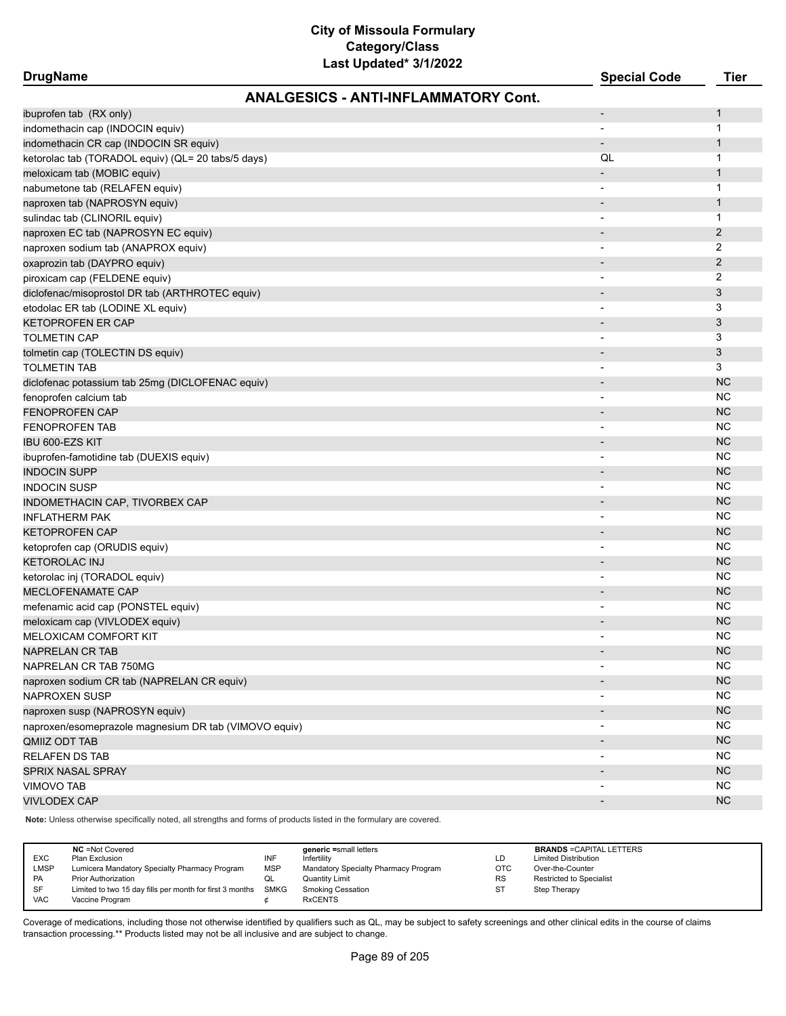| <b>DrugName</b>                                       | Last updated 3/1/2022                       | <b>Special Code</b>      | <b>Tier</b>    |
|-------------------------------------------------------|---------------------------------------------|--------------------------|----------------|
|                                                       | <b>ANALGESICS - ANTI-INFLAMMATORY Cont.</b> |                          |                |
| ibuprofen tab (RX only)                               |                                             | $\overline{a}$           | $\mathbf{1}$   |
| indomethacin cap (INDOCIN equiv)                      |                                             | $\overline{\phantom{a}}$ | $\mathbf{1}$   |
| indomethacin CR cap (INDOCIN SR equiv)                |                                             | $\overline{\phantom{m}}$ | $\mathbf{1}$   |
| ketorolac tab (TORADOL equiv) (QL= 20 tabs/5 days)    |                                             | QL                       | $\mathbf{1}$   |
| meloxicam tab (MOBIC equiv)                           |                                             |                          | $\mathbf{1}$   |
| nabumetone tab (RELAFEN equiv)                        |                                             | $\overline{\phantom{a}}$ | $\mathbf 1$    |
| naproxen tab (NAPROSYN equiv)                         |                                             | $\overline{a}$           | $\mathbf{1}$   |
| sulindac tab (CLINORIL equiv)                         |                                             | $\overline{\phantom{a}}$ | $\mathbf{1}$   |
| naproxen EC tab (NAPROSYN EC equiv)                   |                                             | $\overline{\phantom{a}}$ | $\overline{2}$ |
| naproxen sodium tab (ANAPROX equiv)                   |                                             | $\overline{\phantom{a}}$ | 2              |
| oxaprozin tab (DAYPRO equiv)                          |                                             |                          | 2              |
| piroxicam cap (FELDENE equiv)                         |                                             | $\overline{\phantom{a}}$ | 2              |
| diclofenac/misoprostol DR tab (ARTHROTEC equiv)       |                                             | $\overline{\phantom{a}}$ | $\mathfrak{Z}$ |
| etodolac ER tab (LODINE XL equiv)                     |                                             | $\overline{\phantom{a}}$ | 3              |
| <b>KETOPROFEN ER CAP</b>                              |                                             |                          | 3              |
| <b>TOLMETIN CAP</b>                                   |                                             |                          | 3              |
| tolmetin cap (TOLECTIN DS equiv)                      |                                             | $\overline{\phantom{a}}$ | $\mathfrak{Z}$ |
| <b>TOLMETIN TAB</b>                                   |                                             | $\overline{\phantom{a}}$ | 3              |
| diclofenac potassium tab 25mg (DICLOFENAC equiv)      |                                             | $\overline{a}$           | <b>NC</b>      |
| fenoprofen calcium tab                                |                                             |                          | <b>NC</b>      |
| <b>FENOPROFEN CAP</b>                                 |                                             |                          | <b>NC</b>      |
| <b>FENOPROFEN TAB</b>                                 |                                             |                          | <b>NC</b>      |
| IBU 600-EZS KIT                                       |                                             |                          | <b>NC</b>      |
| ibuprofen-famotidine tab (DUEXIS equiv)               |                                             |                          | <b>NC</b>      |
| <b>INDOCIN SUPP</b>                                   |                                             |                          | <b>NC</b>      |
| <b>INDOCIN SUSP</b>                                   |                                             | $\overline{\phantom{a}}$ | <b>NC</b>      |
| INDOMETHACIN CAP, TIVORBEX CAP                        |                                             |                          | <b>NC</b>      |
| <b>INFLATHERM PAK</b>                                 |                                             | $\overline{\phantom{a}}$ | NC.            |
| <b>KETOPROFEN CAP</b>                                 |                                             | $\blacksquare$           | <b>NC</b>      |
| ketoprofen cap (ORUDIS equiv)                         |                                             | $\overline{\phantom{a}}$ | <b>NC</b>      |
| <b>KETOROLAC INJ</b>                                  |                                             | $\overline{\phantom{a}}$ | <b>NC</b>      |
| ketorolac inj (TORADOL equiv)                         |                                             |                          | <b>NC</b>      |
| MECLOFENAMATE CAP                                     |                                             |                          | <b>NC</b>      |
| mefenamic acid cap (PONSTEL equiv)                    |                                             |                          | <b>NC</b>      |
| meloxicam cap (VIVLODEX equiv)                        |                                             | $\overline{\phantom{a}}$ | <b>NC</b>      |
| <b>MELOXICAM COMFORT KIT</b>                          |                                             |                          | <b>NC</b>      |
| <b>NAPRELAN CR TAB</b>                                |                                             | $\overline{\phantom{a}}$ | <b>NC</b>      |
| NAPRELAN CR TAB 750MG                                 |                                             |                          | <b>NC</b>      |
| naproxen sodium CR tab (NAPRELAN CR equiv)            |                                             |                          | <b>NC</b>      |
| <b>NAPROXEN SUSP</b>                                  |                                             |                          | NC             |
| naproxen susp (NAPROSYN equiv)                        |                                             |                          | <b>NC</b>      |
| naproxen/esomeprazole magnesium DR tab (VIMOVO equiv) |                                             |                          | <b>NC</b>      |
| QMIIZ ODT TAB                                         |                                             |                          | NC             |
| <b>RELAFEN DS TAB</b>                                 |                                             | $\overline{\phantom{a}}$ | <b>NC</b>      |
| SPRIX NASAL SPRAY                                     |                                             |                          | <b>NC</b>      |
| <b>VIMOVO TAB</b>                                     |                                             |                          | <b>NC</b>      |
| <b>VIVLODEX CAP</b>                                   |                                             | $\overline{a}$           | <b>NC</b>      |
|                                                       |                                             |                          |                |

**Note:** Unless otherwise specifically noted, all strengths and forms of products listed in the formulary are covered.

| <b>EXC</b><br><b>LMSP</b><br><b>PA</b><br><b>SF</b> | <b>NC</b> = Not Covered<br>Plan Exclusion<br>Lumicera Mandatory Specialty Pharmacy Program<br><b>Prior Authorization</b><br>Limited to two 15 day fills per month for first 3 months | INF<br><b>MSP</b><br>◡<br>SMKG | generic =small letters<br>Infertility<br>Mandatory Specialty Pharmacy Program<br><b>Quantity Limit</b><br><b>Smoking Cessation</b> | LD<br>ОТС<br><b>RS</b><br>ST | <b>BRANDS = CAPITAL LETTERS</b><br><b>Limited Distribution</b><br>Over-the-Counter<br><b>Restricted to Specialist</b><br>Step Therapy |
|-----------------------------------------------------|--------------------------------------------------------------------------------------------------------------------------------------------------------------------------------------|--------------------------------|------------------------------------------------------------------------------------------------------------------------------------|------------------------------|---------------------------------------------------------------------------------------------------------------------------------------|
| <b>VAC</b>                                          | Vaccine Program                                                                                                                                                                      |                                | <b>RxCENTS</b>                                                                                                                     |                              |                                                                                                                                       |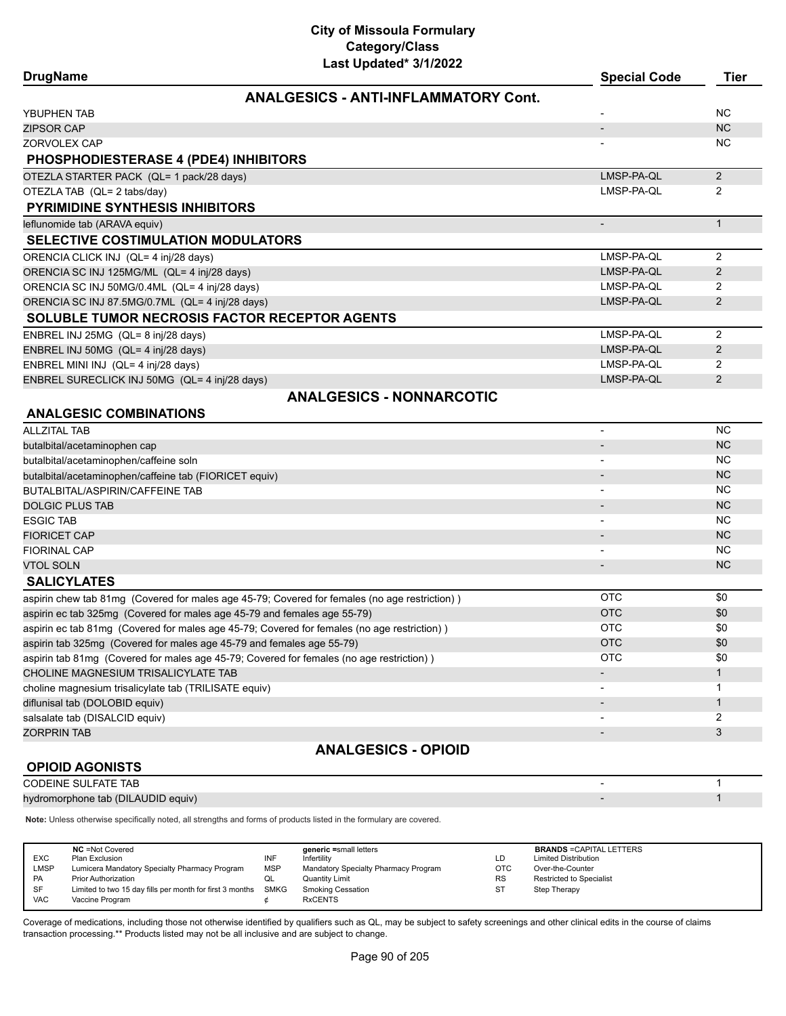**ANALGESICS - ANTI-INFLAMMATORY Cont.**

| YBUPHEN TAB                                                                                   |                          | <b>NC</b>      |
|-----------------------------------------------------------------------------------------------|--------------------------|----------------|
| <b>ZIPSOR CAP</b>                                                                             |                          | <b>NC</b>      |
| ZORVOLEX CAP                                                                                  |                          | <b>NC</b>      |
| <b>PHOSPHODIESTERASE 4 (PDE4) INHIBITORS</b>                                                  |                          |                |
| OTEZLA STARTER PACK (QL= 1 pack/28 days)                                                      | LMSP-PA-QL               | $2^{\circ}$    |
| OTEZLA TAB (QL= 2 tabs/day)                                                                   | LMSP-PA-QL               | 2              |
| PYRIMIDINE SYNTHESIS INHIBITORS                                                               |                          |                |
| leflunomide tab (ARAVA equiv)                                                                 |                          | $\mathbf{1}$   |
| <b>SELECTIVE COSTIMULATION MODULATORS</b>                                                     |                          |                |
| ORENCIA CLICK INJ (QL= 4 inj/28 days)                                                         | LMSP-PA-QL               | $\overline{2}$ |
| ORENCIA SC INJ 125MG/ML (QL= 4 inj/28 days)                                                   | LMSP-PA-QL               | 2              |
| ORENCIA SC INJ 50MG/0.4ML (QL= 4 inj/28 days)                                                 | LMSP-PA-QL               | 2              |
| ORENCIA SC INJ 87.5MG/0.7ML (QL= 4 inj/28 days)                                               | LMSP-PA-QL               | 2              |
| SOLUBLE TUMOR NECROSIS FACTOR RECEPTOR AGENTS                                                 |                          |                |
| ENBREL INJ 25MG (QL= 8 inj/28 days)                                                           | LMSP-PA-QL               | $\overline{2}$ |
| ENBREL INJ 50MG (QL= 4 inj/28 days)                                                           | LMSP-PA-QL               | $\overline{2}$ |
| ENBREL MINI INJ (QL= 4 inj/28 days)                                                           | LMSP-PA-QL               | $\overline{2}$ |
| ENBREL SURECLICK INJ 50MG (QL= 4 inj/28 days)                                                 | LMSP-PA-QL               | 2              |
| <b>ANALGESICS - NONNARCOTIC</b>                                                               |                          |                |
| <b>ANALGESIC COMBINATIONS</b>                                                                 |                          |                |
| <b>ALLZITAL TAB</b>                                                                           | $\overline{\phantom{a}}$ | <b>NC</b>      |
| butalbital/acetaminophen cap                                                                  |                          | <b>NC</b>      |
| butalbital/acetaminophen/caffeine soln                                                        |                          | <b>NC</b>      |
| butalbital/acetaminophen/caffeine tab (FIORICET equiv)                                        |                          | <b>NC</b>      |
| BUTALBITAL/ASPIRIN/CAFFEINE TAB                                                               |                          | <b>NC</b>      |
| <b>DOLGIC PLUS TAB</b>                                                                        |                          | <b>NC</b>      |
| <b>ESGIC TAB</b>                                                                              | $\overline{\phantom{a}}$ | <b>NC</b>      |
| <b>FIORICET CAP</b>                                                                           | $\overline{\phantom{a}}$ | <b>NC</b>      |
| <b>FIORINAL CAP</b>                                                                           | -                        | <b>NC</b>      |
| <b>VTOL SOLN</b>                                                                              | $\overline{\phantom{a}}$ | <b>NC</b>      |
| <b>SALICYLATES</b>                                                                            |                          |                |
| aspirin chew tab 81mg (Covered for males age 45-79; Covered for females (no age restriction)) | <b>OTC</b>               | \$0            |
| aspirin ec tab 325mg (Covered for males age 45-79 and females age 55-79)                      | <b>OTC</b>               | \$0            |
| aspirin ec tab 81mg (Covered for males age 45-79; Covered for females (no age restriction))   | <b>OTC</b>               | \$0            |
| aspirin tab 325mg (Covered for males age 45-79 and females age 55-79)                         | <b>OTC</b>               | \$0            |
| aspirin tab 81mg (Covered for males age 45-79; Covered for females (no age restriction))      | OTC                      | \$0            |
| CHOLINE MAGNESIUM TRISALICYLATE TAB                                                           |                          | $\mathbf{1}$   |
| choline magnesium trisalicylate tab (TRILISATE equiv)                                         |                          | 1              |
| diflunisal tab (DOLOBID equiv)                                                                |                          | $\mathbf{1}$   |
| salsalate tab (DISALCID equiv)                                                                |                          | 2              |
| <b>ZORPRIN TAB</b>                                                                            | $\overline{\phantom{a}}$ | 3              |
| <b>ANALGESICS - OPIOID</b>                                                                    |                          |                |
| <b>OPIOID AGONISTS</b>                                                                        |                          |                |
| <b>CODEINE SULFATE TAB</b>                                                                    | $\blacksquare$           | $\mathbf 1$    |

### **DrugName Special Code Tier**

|                                                                                                                     |                   |                                                                                               |                  |                                                 | NC.         |
|---------------------------------------------------------------------------------------------------------------------|-------------------|-----------------------------------------------------------------------------------------------|------------------|-------------------------------------------------|-------------|
| <b>VTOL SOLN</b>                                                                                                    |                   |                                                                                               |                  |                                                 | <b>NC</b>   |
| <b>SALICYLATES</b>                                                                                                  |                   |                                                                                               |                  |                                                 |             |
|                                                                                                                     |                   | aspirin chew tab 81mg (Covered for males age 45-79; Covered for females (no age restriction)) |                  | <b>OTC</b>                                      | \$0         |
| aspirin ec tab 325mg (Covered for males age 45-79 and females age 55-79)                                            |                   |                                                                                               |                  | <b>OTC</b>                                      | \$0         |
| aspirin ec tab 81mg (Covered for males age 45-79; Covered for females (no age restriction))                         |                   |                                                                                               |                  | <b>OTC</b>                                      | \$0         |
| aspirin tab 325mg (Covered for males age 45-79 and females age 55-79)                                               |                   |                                                                                               |                  | <b>OTC</b>                                      | \$0         |
| aspirin tab 81mg (Covered for males age 45-79; Covered for females (no age restriction))                            |                   |                                                                                               |                  | <b>OTC</b>                                      | \$0         |
| CHOLINE MAGNESIUM TRISALICYLATE TAB                                                                                 |                   |                                                                                               |                  |                                                 | 1           |
| choline magnesium trisalicylate tab (TRILISATE equiv)                                                               |                   |                                                                                               |                  |                                                 |             |
| diflunisal tab (DOLOBID equiv)                                                                                      |                   |                                                                                               |                  |                                                 | 1           |
| salsalate tab (DISALCID equiv)                                                                                      |                   |                                                                                               |                  |                                                 | 2           |
| <b>ZORPRIN TAB</b>                                                                                                  |                   |                                                                                               |                  |                                                 | 3           |
|                                                                                                                     |                   | <b>ANALGESICS - OPIOID</b>                                                                    |                  |                                                 |             |
| <b>OPIOID AGONISTS</b>                                                                                              |                   |                                                                                               |                  |                                                 |             |
| <b>CODEINE SULFATE TAB</b>                                                                                          |                   |                                                                                               |                  |                                                 | 1           |
| hydromorphone tab (DILAUDID equiv)                                                                                  |                   |                                                                                               |                  |                                                 | $\mathbf 1$ |
| Note: Unless otherwise specifically noted, all strengths and forms of products listed in the formulary are covered. |                   |                                                                                               |                  |                                                 |             |
|                                                                                                                     |                   |                                                                                               |                  |                                                 |             |
| <b>NC</b> = Not Covered                                                                                             |                   | generic =small letters                                                                        |                  | <b>BRANDS = CAPITAL LETTERS</b>                 |             |
| EXC<br>Plan Exclusion<br><b>LMSP</b><br>Lumicera Mandatory Specialty Pharmacy Program                               | INF<br><b>MSP</b> | Infertility<br>Mandatory Specialty Pharmacy Program                                           | LD<br><b>OTC</b> | <b>Limited Distribution</b><br>Over-the-Counter |             |
|                                                                                                                     | QL                | <b>Quantity Limit</b>                                                                         | <b>RS</b>        | <b>Restricted to Specialist</b>                 |             |
| PA<br><b>Prior Authorization</b>                                                                                    | <b>SMKG</b>       | <b>Smoking Cessation</b>                                                                      | <b>ST</b>        | <b>Step Therapy</b>                             |             |
| SF<br>Limited to two 15 day fills per month for first 3 months<br><b>VAC</b><br>Vaccine Program                     | ¢                 | <b>RxCENTS</b>                                                                                |                  |                                                 |             |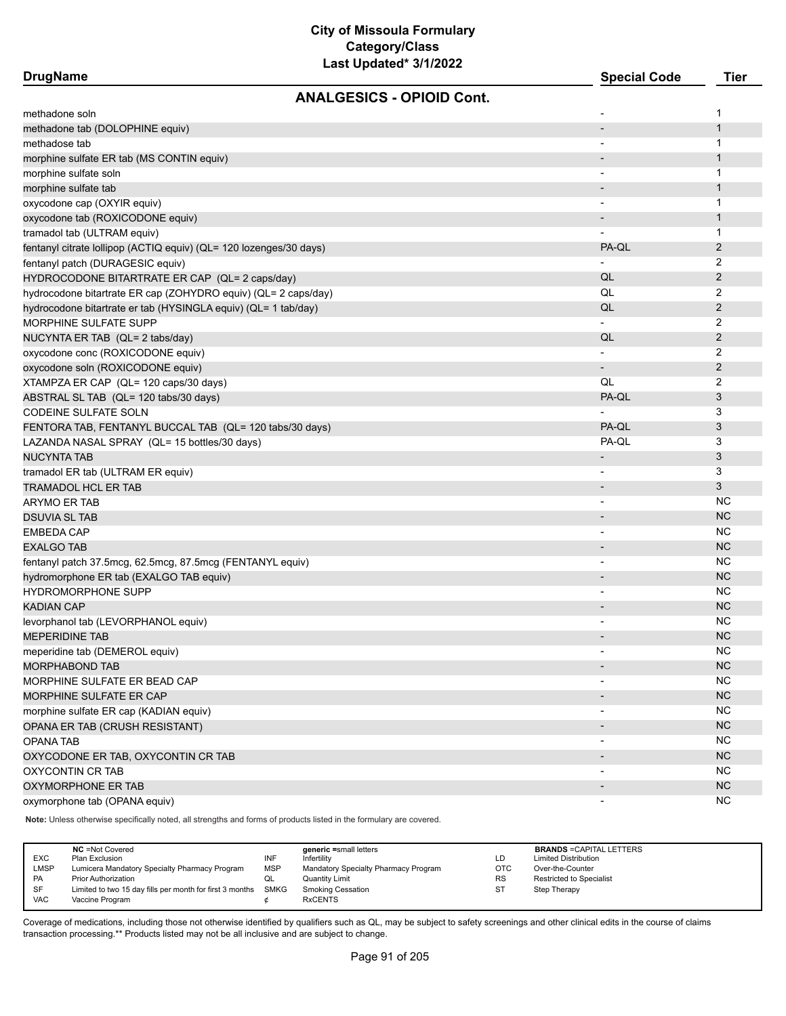E

Ξ

e<br>S

**DrugName Special Code Tier ANALGESICS - OPIOID Cont.**

| methadone soln                                                     |                              | 1              |
|--------------------------------------------------------------------|------------------------------|----------------|
| methadone tab (DOLOPHINE equiv)                                    |                              | $\mathbf{1}$   |
| methadose tab                                                      |                              | 1              |
| morphine sulfate ER tab (MS CONTIN equiv)                          |                              | $\mathbf{1}$   |
| morphine sulfate soln                                              |                              | 1              |
| morphine sulfate tab                                               |                              | $\mathbf{1}$   |
| oxycodone cap (OXYIR equiv)                                        |                              | 1              |
| oxycodone tab (ROXICODONE equiv)                                   |                              | $\mathbf{1}$   |
| tramadol tab (ULTRAM equiv)                                        |                              | $\mathbf{1}$   |
| fentanyl citrate lollipop (ACTIQ equiv) (QL= 120 lozenges/30 days) | PA-QL                        | $\overline{2}$ |
| fentanyl patch (DURAGESIC equiv)                                   |                              | 2              |
| HYDROCODONE BITARTRATE ER CAP (QL= 2 caps/day)                     | QL                           | $\overline{2}$ |
| hydrocodone bitartrate ER cap (ZOHYDRO equiv) (QL= 2 caps/day)     | QL                           | 2              |
| hydrocodone bitartrate er tab (HYSINGLA equiv) (QL= 1 tab/day)     | QL                           | $\overline{2}$ |
| <b>MORPHINE SULFATE SUPP</b>                                       |                              | 2              |
| NUCYNTA ER TAB (QL= 2 tabs/day)                                    | QL                           | $\overline{2}$ |
| oxycodone conc (ROXICODONE equiv)                                  |                              | 2              |
| oxycodone soln (ROXICODONE equiv)                                  | $\overline{\phantom{0}}$     | $\overline{2}$ |
| XTAMPZA ER CAP (QL= 120 caps/30 days)                              | QL                           | 2              |
| ABSTRAL SL TAB (QL= 120 tabs/30 days)                              | PA-QL                        | 3              |
| <b>CODEINE SULFATE SOLN</b>                                        |                              | 3              |
| FENTORA TAB, FENTANYL BUCCAL TAB (QL= 120 tabs/30 days)            | PA-QL                        | 3              |
| LAZANDA NASAL SPRAY (QL= 15 bottles/30 days)                       | PA-QL                        | 3              |
| <b>NUCYNTA TAB</b>                                                 | $\overline{\phantom{a}}$     | 3              |
| tramadol ER tab (ULTRAM ER equiv)                                  |                              | 3              |
| TRAMADOL HCL ER TAB                                                | $\overline{\phantom{m}}$     | 3              |
| ARYMO ER TAB                                                       | $\overline{\phantom{0}}$     | <b>NC</b>      |
| <b>DSUVIA SL TAB</b>                                               | $\overline{\phantom{m}}$     | <b>NC</b>      |
| <b>EMBEDA CAP</b>                                                  |                              | <b>NC</b>      |
| <b>EXALGO TAB</b>                                                  | $\qquad \qquad \blacksquare$ | <b>NC</b>      |
| fentanyl patch 37.5mcg, 62.5mcg, 87.5mcg (FENTANYL equiv)          |                              | <b>NC</b>      |
| hydromorphone ER tab (EXALGO TAB equiv)                            |                              | <b>NC</b>      |
| <b>HYDROMORPHONE SUPP</b>                                          |                              | <b>NC</b>      |
| <b>KADIAN CAP</b>                                                  |                              | <b>NC</b>      |
| levorphanol tab (LEVORPHANOL equiv)                                |                              | <b>NC</b>      |
| <b>MEPERIDINE TAB</b>                                              | $\overline{\phantom{a}}$     | <b>NC</b>      |
| meperidine tab (DEMEROL equiv)                                     |                              | NC             |
| <b>MORPHABOND TAB</b>                                              |                              | <b>NC</b>      |
| MORPHINE SULFATE ER BEAD CAP                                       |                              | <b>NC</b>      |
| MORPHINE SULFATE ER CAP                                            |                              | <b>NC</b>      |
| morphine sulfate ER cap (KADIAN equiv)                             |                              | <b>NC</b>      |
| OPANA ER TAB (CRUSH RESISTANT)                                     |                              | <b>NC</b>      |
| OPANA TAB                                                          |                              | <b>NC</b>      |
| OXYCODONE ER TAB, OXYCONTIN CR TAB                                 | $\overline{\phantom{a}}$     | <b>NC</b>      |
| OXYCONTIN CR TAB                                                   | $\qquad \qquad \blacksquare$ | <b>NC</b>      |
| OXYMORPHONE ER TAB                                                 | $\overline{\phantom{a}}$     | <b>NC</b>      |
| oxymorphone tab (OPANA equiv)                                      | $\overline{\phantom{a}}$     | <b>NC</b>      |

**Note:** Unless otherwise specifically noted, all strengths and forms of products listed in the formulary are covered.

|            | <b>NC</b> = Not Covered                                  |            | generic =small letters               |            | <b>BRANDS = CAPITAL LETTERS</b> |
|------------|----------------------------------------------------------|------------|--------------------------------------|------------|---------------------------------|
| EXC        | Plan Exclusion                                           | INF        | Infertility                          | LD         | <b>Limited Distribution</b>     |
| LMSP       | Lumicera Mandatory Specialty Pharmacy Program            | <b>MSP</b> | Mandatory Specialty Pharmacy Program | <b>OTC</b> | Over-the-Counter                |
| PA         | <b>Prior Authorization</b>                               | QL         | <b>Quantity Limit</b>                | <b>RS</b>  | Restricted to Specialist        |
| SF         | Limited to two 15 day fills per month for first 3 months | SMKG       | Smoking Cessation                    | ST         | Step Therapy                    |
| <b>VAC</b> | Vaccine Program                                          |            | <b>RxCENTS</b>                       |            |                                 |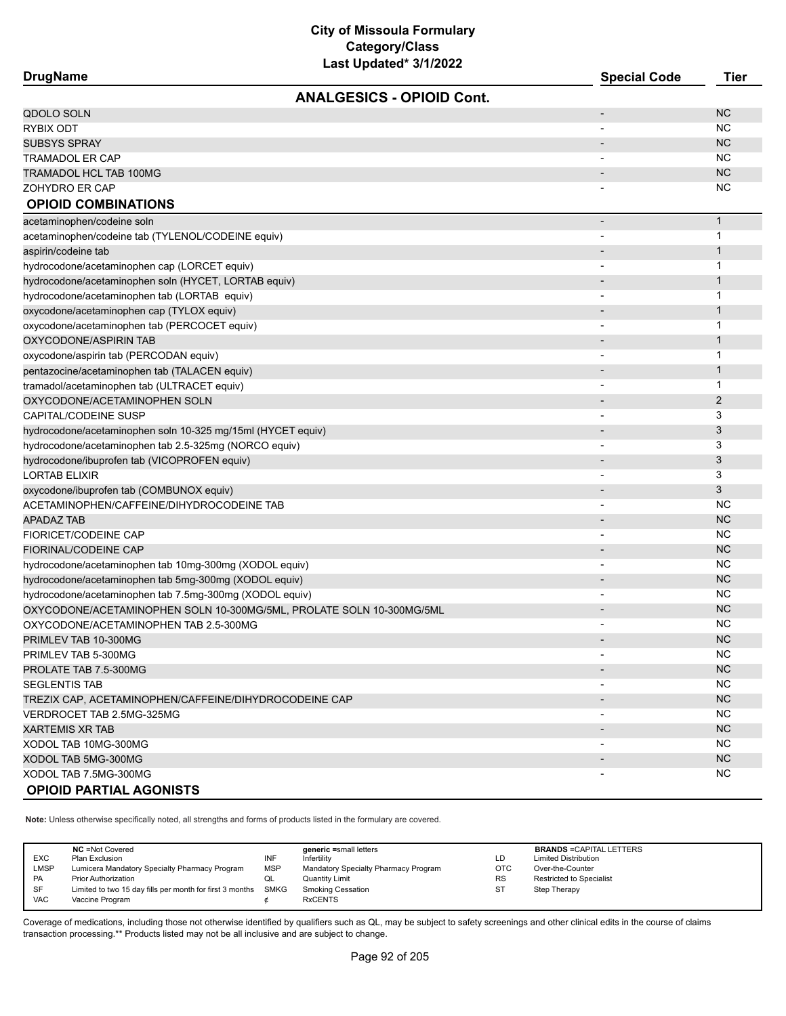| <b>ANALGESICS - OPIOID Cont.</b><br><b>NC</b><br>QDOLO SOLN<br>$\overline{\phantom{a}}$<br><b>RYBIX ODT</b><br>ΝC<br><b>NC</b><br><b>SUBSYS SPRAY</b><br><b>NC</b><br>TRAMADOL ER CAP<br><b>NC</b><br>TRAMADOL HCL TAB 100MG<br><b>NC</b><br>ZOHYDRO ER CAP<br><b>OPIOID COMBINATIONS</b><br>$\mathbf{1}$<br>acetaminophen/codeine soln<br>$\overline{\phantom{a}}$<br>1<br>acetaminophen/codeine tab (TYLENOL/CODEINE equiv)<br>$\mathbf 1$<br>aspirin/codeine tab<br>hydrocodone/acetaminophen cap (LORCET equiv)<br>1<br>hydrocodone/acetaminophen soln (HYCET, LORTAB equiv)<br>1<br>hydrocodone/acetaminophen tab (LORTAB equiv)<br>1<br>$\mathbf 1$<br>oxycodone/acetaminophen cap (TYLOX equiv)<br>oxycodone/acetaminophen tab (PERCOCET equiv)<br>1<br>$\mathbf{1}$<br>OXYCODONE/ASPIRIN TAB<br>1<br>oxycodone/aspirin tab (PERCODAN equiv)<br>$\overline{\phantom{0}}$<br>$\mathbf{1}$<br>pentazocine/acetaminophen tab (TALACEN equiv)<br>1<br>tramadol/acetaminophen tab (ULTRACET equiv)<br>$\overline{2}$<br>OXYCODONE/ACETAMINOPHEN SOLN<br>3<br>3<br>hydrocodone/acetaminophen soln 10-325 mg/15ml (HYCET equiv)<br>3<br>hydrocodone/acetaminophen tab 2.5-325mg (NORCO equiv)<br>3<br>hydrocodone/ibuprofen tab (VICOPROFEN equiv)<br><b>LORTAB ELIXIR</b><br>3<br>3<br>oxycodone/ibuprofen tab (COMBUNOX equiv)<br>$\overline{\phantom{a}}$<br>ACETAMINOPHEN/CAFFEINE/DIHYDROCODEINE TAB<br>NC<br>$\overline{\phantom{a}}$<br><b>APADAZ TAB</b><br><b>NC</b><br><b>NC</b><br><b>FIORICET/CODEINE CAP</b><br><b>NC</b><br><b>FIORINAL/CODEINE CAP</b><br><b>NC</b><br>hydrocodone/acetaminophen tab 10mg-300mg (XODOL equiv)<br><b>NC</b><br>hydrocodone/acetaminophen tab 5mg-300mg (XODOL equiv)<br><b>NC</b><br>hydrocodone/acetaminophen tab 7.5mg-300mg (XODOL equiv)<br>$\overline{\phantom{a}}$<br><b>NC</b><br>OXYCODONE/ACETAMINOPHEN SOLN 10-300MG/5ML, PROLATE SOLN 10-300MG/5ML<br>NC<br>OXYCODONE/ACETAMINOPHEN TAB 2.5-300MG<br><b>NC</b><br>PRIMLEV TAB 10-300MG<br>ΝC<br>PRIMLEV TAB 5-300MG<br><b>NC</b><br>PROLATE TAB 7.5-300MG<br>NC<br><b>SEGLENTIS TAB</b><br>NC<br>TREZIX CAP, ACETAMINOPHEN/CAFFEINE/DIHYDROCODEINE CAP<br>NC.<br>VERDROCET TAB 2.5MG-325MG<br>NC.<br><b>XARTEMIS XR TAB</b><br>NC.<br>XODOL TAB 10MG-300MG<br>$\overline{\phantom{a}}$<br><b>NC</b><br>XODOL TAB 5MG-300MG | <b>DrugName</b>             | <b>Special Code</b> | <b>Tier</b> |
|-------------------------------------------------------------------------------------------------------------------------------------------------------------------------------------------------------------------------------------------------------------------------------------------------------------------------------------------------------------------------------------------------------------------------------------------------------------------------------------------------------------------------------------------------------------------------------------------------------------------------------------------------------------------------------------------------------------------------------------------------------------------------------------------------------------------------------------------------------------------------------------------------------------------------------------------------------------------------------------------------------------------------------------------------------------------------------------------------------------------------------------------------------------------------------------------------------------------------------------------------------------------------------------------------------------------------------------------------------------------------------------------------------------------------------------------------------------------------------------------------------------------------------------------------------------------------------------------------------------------------------------------------------------------------------------------------------------------------------------------------------------------------------------------------------------------------------------------------------------------------------------------------------------------------------------------------------------------------------------------------------------------------------------------------------------------------------------------------------------------------------------------------------------------------------------------------------------------------------------------------------------------------------------------------------------------------------------|-----------------------------|---------------------|-------------|
|                                                                                                                                                                                                                                                                                                                                                                                                                                                                                                                                                                                                                                                                                                                                                                                                                                                                                                                                                                                                                                                                                                                                                                                                                                                                                                                                                                                                                                                                                                                                                                                                                                                                                                                                                                                                                                                                                                                                                                                                                                                                                                                                                                                                                                                                                                                                     |                             |                     |             |
|                                                                                                                                                                                                                                                                                                                                                                                                                                                                                                                                                                                                                                                                                                                                                                                                                                                                                                                                                                                                                                                                                                                                                                                                                                                                                                                                                                                                                                                                                                                                                                                                                                                                                                                                                                                                                                                                                                                                                                                                                                                                                                                                                                                                                                                                                                                                     |                             |                     |             |
|                                                                                                                                                                                                                                                                                                                                                                                                                                                                                                                                                                                                                                                                                                                                                                                                                                                                                                                                                                                                                                                                                                                                                                                                                                                                                                                                                                                                                                                                                                                                                                                                                                                                                                                                                                                                                                                                                                                                                                                                                                                                                                                                                                                                                                                                                                                                     |                             |                     |             |
|                                                                                                                                                                                                                                                                                                                                                                                                                                                                                                                                                                                                                                                                                                                                                                                                                                                                                                                                                                                                                                                                                                                                                                                                                                                                                                                                                                                                                                                                                                                                                                                                                                                                                                                                                                                                                                                                                                                                                                                                                                                                                                                                                                                                                                                                                                                                     |                             |                     |             |
|                                                                                                                                                                                                                                                                                                                                                                                                                                                                                                                                                                                                                                                                                                                                                                                                                                                                                                                                                                                                                                                                                                                                                                                                                                                                                                                                                                                                                                                                                                                                                                                                                                                                                                                                                                                                                                                                                                                                                                                                                                                                                                                                                                                                                                                                                                                                     |                             |                     |             |
|                                                                                                                                                                                                                                                                                                                                                                                                                                                                                                                                                                                                                                                                                                                                                                                                                                                                                                                                                                                                                                                                                                                                                                                                                                                                                                                                                                                                                                                                                                                                                                                                                                                                                                                                                                                                                                                                                                                                                                                                                                                                                                                                                                                                                                                                                                                                     |                             |                     |             |
|                                                                                                                                                                                                                                                                                                                                                                                                                                                                                                                                                                                                                                                                                                                                                                                                                                                                                                                                                                                                                                                                                                                                                                                                                                                                                                                                                                                                                                                                                                                                                                                                                                                                                                                                                                                                                                                                                                                                                                                                                                                                                                                                                                                                                                                                                                                                     |                             |                     |             |
|                                                                                                                                                                                                                                                                                                                                                                                                                                                                                                                                                                                                                                                                                                                                                                                                                                                                                                                                                                                                                                                                                                                                                                                                                                                                                                                                                                                                                                                                                                                                                                                                                                                                                                                                                                                                                                                                                                                                                                                                                                                                                                                                                                                                                                                                                                                                     |                             |                     |             |
|                                                                                                                                                                                                                                                                                                                                                                                                                                                                                                                                                                                                                                                                                                                                                                                                                                                                                                                                                                                                                                                                                                                                                                                                                                                                                                                                                                                                                                                                                                                                                                                                                                                                                                                                                                                                                                                                                                                                                                                                                                                                                                                                                                                                                                                                                                                                     |                             |                     |             |
|                                                                                                                                                                                                                                                                                                                                                                                                                                                                                                                                                                                                                                                                                                                                                                                                                                                                                                                                                                                                                                                                                                                                                                                                                                                                                                                                                                                                                                                                                                                                                                                                                                                                                                                                                                                                                                                                                                                                                                                                                                                                                                                                                                                                                                                                                                                                     |                             |                     |             |
|                                                                                                                                                                                                                                                                                                                                                                                                                                                                                                                                                                                                                                                                                                                                                                                                                                                                                                                                                                                                                                                                                                                                                                                                                                                                                                                                                                                                                                                                                                                                                                                                                                                                                                                                                                                                                                                                                                                                                                                                                                                                                                                                                                                                                                                                                                                                     |                             |                     |             |
|                                                                                                                                                                                                                                                                                                                                                                                                                                                                                                                                                                                                                                                                                                                                                                                                                                                                                                                                                                                                                                                                                                                                                                                                                                                                                                                                                                                                                                                                                                                                                                                                                                                                                                                                                                                                                                                                                                                                                                                                                                                                                                                                                                                                                                                                                                                                     |                             |                     |             |
|                                                                                                                                                                                                                                                                                                                                                                                                                                                                                                                                                                                                                                                                                                                                                                                                                                                                                                                                                                                                                                                                                                                                                                                                                                                                                                                                                                                                                                                                                                                                                                                                                                                                                                                                                                                                                                                                                                                                                                                                                                                                                                                                                                                                                                                                                                                                     |                             |                     |             |
|                                                                                                                                                                                                                                                                                                                                                                                                                                                                                                                                                                                                                                                                                                                                                                                                                                                                                                                                                                                                                                                                                                                                                                                                                                                                                                                                                                                                                                                                                                                                                                                                                                                                                                                                                                                                                                                                                                                                                                                                                                                                                                                                                                                                                                                                                                                                     |                             |                     |             |
|                                                                                                                                                                                                                                                                                                                                                                                                                                                                                                                                                                                                                                                                                                                                                                                                                                                                                                                                                                                                                                                                                                                                                                                                                                                                                                                                                                                                                                                                                                                                                                                                                                                                                                                                                                                                                                                                                                                                                                                                                                                                                                                                                                                                                                                                                                                                     |                             |                     |             |
|                                                                                                                                                                                                                                                                                                                                                                                                                                                                                                                                                                                                                                                                                                                                                                                                                                                                                                                                                                                                                                                                                                                                                                                                                                                                                                                                                                                                                                                                                                                                                                                                                                                                                                                                                                                                                                                                                                                                                                                                                                                                                                                                                                                                                                                                                                                                     |                             |                     |             |
|                                                                                                                                                                                                                                                                                                                                                                                                                                                                                                                                                                                                                                                                                                                                                                                                                                                                                                                                                                                                                                                                                                                                                                                                                                                                                                                                                                                                                                                                                                                                                                                                                                                                                                                                                                                                                                                                                                                                                                                                                                                                                                                                                                                                                                                                                                                                     |                             |                     |             |
|                                                                                                                                                                                                                                                                                                                                                                                                                                                                                                                                                                                                                                                                                                                                                                                                                                                                                                                                                                                                                                                                                                                                                                                                                                                                                                                                                                                                                                                                                                                                                                                                                                                                                                                                                                                                                                                                                                                                                                                                                                                                                                                                                                                                                                                                                                                                     |                             |                     |             |
|                                                                                                                                                                                                                                                                                                                                                                                                                                                                                                                                                                                                                                                                                                                                                                                                                                                                                                                                                                                                                                                                                                                                                                                                                                                                                                                                                                                                                                                                                                                                                                                                                                                                                                                                                                                                                                                                                                                                                                                                                                                                                                                                                                                                                                                                                                                                     |                             |                     |             |
|                                                                                                                                                                                                                                                                                                                                                                                                                                                                                                                                                                                                                                                                                                                                                                                                                                                                                                                                                                                                                                                                                                                                                                                                                                                                                                                                                                                                                                                                                                                                                                                                                                                                                                                                                                                                                                                                                                                                                                                                                                                                                                                                                                                                                                                                                                                                     |                             |                     |             |
|                                                                                                                                                                                                                                                                                                                                                                                                                                                                                                                                                                                                                                                                                                                                                                                                                                                                                                                                                                                                                                                                                                                                                                                                                                                                                                                                                                                                                                                                                                                                                                                                                                                                                                                                                                                                                                                                                                                                                                                                                                                                                                                                                                                                                                                                                                                                     |                             |                     |             |
|                                                                                                                                                                                                                                                                                                                                                                                                                                                                                                                                                                                                                                                                                                                                                                                                                                                                                                                                                                                                                                                                                                                                                                                                                                                                                                                                                                                                                                                                                                                                                                                                                                                                                                                                                                                                                                                                                                                                                                                                                                                                                                                                                                                                                                                                                                                                     | <b>CAPITAL/CODEINE SUSP</b> |                     |             |
|                                                                                                                                                                                                                                                                                                                                                                                                                                                                                                                                                                                                                                                                                                                                                                                                                                                                                                                                                                                                                                                                                                                                                                                                                                                                                                                                                                                                                                                                                                                                                                                                                                                                                                                                                                                                                                                                                                                                                                                                                                                                                                                                                                                                                                                                                                                                     |                             |                     |             |
|                                                                                                                                                                                                                                                                                                                                                                                                                                                                                                                                                                                                                                                                                                                                                                                                                                                                                                                                                                                                                                                                                                                                                                                                                                                                                                                                                                                                                                                                                                                                                                                                                                                                                                                                                                                                                                                                                                                                                                                                                                                                                                                                                                                                                                                                                                                                     |                             |                     |             |
|                                                                                                                                                                                                                                                                                                                                                                                                                                                                                                                                                                                                                                                                                                                                                                                                                                                                                                                                                                                                                                                                                                                                                                                                                                                                                                                                                                                                                                                                                                                                                                                                                                                                                                                                                                                                                                                                                                                                                                                                                                                                                                                                                                                                                                                                                                                                     |                             |                     |             |
|                                                                                                                                                                                                                                                                                                                                                                                                                                                                                                                                                                                                                                                                                                                                                                                                                                                                                                                                                                                                                                                                                                                                                                                                                                                                                                                                                                                                                                                                                                                                                                                                                                                                                                                                                                                                                                                                                                                                                                                                                                                                                                                                                                                                                                                                                                                                     |                             |                     |             |
|                                                                                                                                                                                                                                                                                                                                                                                                                                                                                                                                                                                                                                                                                                                                                                                                                                                                                                                                                                                                                                                                                                                                                                                                                                                                                                                                                                                                                                                                                                                                                                                                                                                                                                                                                                                                                                                                                                                                                                                                                                                                                                                                                                                                                                                                                                                                     |                             |                     |             |
|                                                                                                                                                                                                                                                                                                                                                                                                                                                                                                                                                                                                                                                                                                                                                                                                                                                                                                                                                                                                                                                                                                                                                                                                                                                                                                                                                                                                                                                                                                                                                                                                                                                                                                                                                                                                                                                                                                                                                                                                                                                                                                                                                                                                                                                                                                                                     |                             |                     |             |
|                                                                                                                                                                                                                                                                                                                                                                                                                                                                                                                                                                                                                                                                                                                                                                                                                                                                                                                                                                                                                                                                                                                                                                                                                                                                                                                                                                                                                                                                                                                                                                                                                                                                                                                                                                                                                                                                                                                                                                                                                                                                                                                                                                                                                                                                                                                                     |                             |                     |             |
|                                                                                                                                                                                                                                                                                                                                                                                                                                                                                                                                                                                                                                                                                                                                                                                                                                                                                                                                                                                                                                                                                                                                                                                                                                                                                                                                                                                                                                                                                                                                                                                                                                                                                                                                                                                                                                                                                                                                                                                                                                                                                                                                                                                                                                                                                                                                     |                             |                     |             |
|                                                                                                                                                                                                                                                                                                                                                                                                                                                                                                                                                                                                                                                                                                                                                                                                                                                                                                                                                                                                                                                                                                                                                                                                                                                                                                                                                                                                                                                                                                                                                                                                                                                                                                                                                                                                                                                                                                                                                                                                                                                                                                                                                                                                                                                                                                                                     |                             |                     |             |
|                                                                                                                                                                                                                                                                                                                                                                                                                                                                                                                                                                                                                                                                                                                                                                                                                                                                                                                                                                                                                                                                                                                                                                                                                                                                                                                                                                                                                                                                                                                                                                                                                                                                                                                                                                                                                                                                                                                                                                                                                                                                                                                                                                                                                                                                                                                                     |                             |                     |             |
|                                                                                                                                                                                                                                                                                                                                                                                                                                                                                                                                                                                                                                                                                                                                                                                                                                                                                                                                                                                                                                                                                                                                                                                                                                                                                                                                                                                                                                                                                                                                                                                                                                                                                                                                                                                                                                                                                                                                                                                                                                                                                                                                                                                                                                                                                                                                     |                             |                     |             |
|                                                                                                                                                                                                                                                                                                                                                                                                                                                                                                                                                                                                                                                                                                                                                                                                                                                                                                                                                                                                                                                                                                                                                                                                                                                                                                                                                                                                                                                                                                                                                                                                                                                                                                                                                                                                                                                                                                                                                                                                                                                                                                                                                                                                                                                                                                                                     |                             |                     |             |
|                                                                                                                                                                                                                                                                                                                                                                                                                                                                                                                                                                                                                                                                                                                                                                                                                                                                                                                                                                                                                                                                                                                                                                                                                                                                                                                                                                                                                                                                                                                                                                                                                                                                                                                                                                                                                                                                                                                                                                                                                                                                                                                                                                                                                                                                                                                                     |                             |                     |             |
|                                                                                                                                                                                                                                                                                                                                                                                                                                                                                                                                                                                                                                                                                                                                                                                                                                                                                                                                                                                                                                                                                                                                                                                                                                                                                                                                                                                                                                                                                                                                                                                                                                                                                                                                                                                                                                                                                                                                                                                                                                                                                                                                                                                                                                                                                                                                     |                             |                     |             |
|                                                                                                                                                                                                                                                                                                                                                                                                                                                                                                                                                                                                                                                                                                                                                                                                                                                                                                                                                                                                                                                                                                                                                                                                                                                                                                                                                                                                                                                                                                                                                                                                                                                                                                                                                                                                                                                                                                                                                                                                                                                                                                                                                                                                                                                                                                                                     |                             |                     |             |
|                                                                                                                                                                                                                                                                                                                                                                                                                                                                                                                                                                                                                                                                                                                                                                                                                                                                                                                                                                                                                                                                                                                                                                                                                                                                                                                                                                                                                                                                                                                                                                                                                                                                                                                                                                                                                                                                                                                                                                                                                                                                                                                                                                                                                                                                                                                                     |                             |                     |             |
|                                                                                                                                                                                                                                                                                                                                                                                                                                                                                                                                                                                                                                                                                                                                                                                                                                                                                                                                                                                                                                                                                                                                                                                                                                                                                                                                                                                                                                                                                                                                                                                                                                                                                                                                                                                                                                                                                                                                                                                                                                                                                                                                                                                                                                                                                                                                     |                             |                     |             |
|                                                                                                                                                                                                                                                                                                                                                                                                                                                                                                                                                                                                                                                                                                                                                                                                                                                                                                                                                                                                                                                                                                                                                                                                                                                                                                                                                                                                                                                                                                                                                                                                                                                                                                                                                                                                                                                                                                                                                                                                                                                                                                                                                                                                                                                                                                                                     |                             |                     |             |
|                                                                                                                                                                                                                                                                                                                                                                                                                                                                                                                                                                                                                                                                                                                                                                                                                                                                                                                                                                                                                                                                                                                                                                                                                                                                                                                                                                                                                                                                                                                                                                                                                                                                                                                                                                                                                                                                                                                                                                                                                                                                                                                                                                                                                                                                                                                                     |                             |                     |             |
|                                                                                                                                                                                                                                                                                                                                                                                                                                                                                                                                                                                                                                                                                                                                                                                                                                                                                                                                                                                                                                                                                                                                                                                                                                                                                                                                                                                                                                                                                                                                                                                                                                                                                                                                                                                                                                                                                                                                                                                                                                                                                                                                                                                                                                                                                                                                     |                             |                     |             |
|                                                                                                                                                                                                                                                                                                                                                                                                                                                                                                                                                                                                                                                                                                                                                                                                                                                                                                                                                                                                                                                                                                                                                                                                                                                                                                                                                                                                                                                                                                                                                                                                                                                                                                                                                                                                                                                                                                                                                                                                                                                                                                                                                                                                                                                                                                                                     |                             |                     |             |
|                                                                                                                                                                                                                                                                                                                                                                                                                                                                                                                                                                                                                                                                                                                                                                                                                                                                                                                                                                                                                                                                                                                                                                                                                                                                                                                                                                                                                                                                                                                                                                                                                                                                                                                                                                                                                                                                                                                                                                                                                                                                                                                                                                                                                                                                                                                                     |                             |                     |             |
|                                                                                                                                                                                                                                                                                                                                                                                                                                                                                                                                                                                                                                                                                                                                                                                                                                                                                                                                                                                                                                                                                                                                                                                                                                                                                                                                                                                                                                                                                                                                                                                                                                                                                                                                                                                                                                                                                                                                                                                                                                                                                                                                                                                                                                                                                                                                     |                             |                     |             |
|                                                                                                                                                                                                                                                                                                                                                                                                                                                                                                                                                                                                                                                                                                                                                                                                                                                                                                                                                                                                                                                                                                                                                                                                                                                                                                                                                                                                                                                                                                                                                                                                                                                                                                                                                                                                                                                                                                                                                                                                                                                                                                                                                                                                                                                                                                                                     | XODOL TAB 7.5MG-300MG       |                     | NC.         |
| <b>OPIOID PARTIAL AGONISTS</b>                                                                                                                                                                                                                                                                                                                                                                                                                                                                                                                                                                                                                                                                                                                                                                                                                                                                                                                                                                                                                                                                                                                                                                                                                                                                                                                                                                                                                                                                                                                                                                                                                                                                                                                                                                                                                                                                                                                                                                                                                                                                                                                                                                                                                                                                                                      |                             |                     |             |

**Note:** Unless otherwise specifically noted, all strengths and forms of products listed in the formulary are covered.

|            | <b>NC</b> = Not Covered                                       |            | generic =small letters               |            | <b>BRANDS = CAPITAL LETTERS</b> |
|------------|---------------------------------------------------------------|------------|--------------------------------------|------------|---------------------------------|
| <b>EXC</b> | Plan Exclusion                                                | INF        | Infertility                          | LD         | <b>Limited Distribution</b>     |
| LMSP       | Lumicera Mandatory Specialty Pharmacy Program                 | <b>MSP</b> | Mandatory Specialty Pharmacy Program | <b>OTC</b> | Over-the-Counter                |
| PA         | <b>Prior Authorization</b>                                    | QL         | Quantity Limit                       | <b>RS</b>  | <b>Restricted to Specialist</b> |
| SF         | Limited to two 15 day fills per month for first 3 months SMKG |            | <b>Smoking Cessation</b>             | <b>ST</b>  | Step Therapy                    |
| <b>VAC</b> | Vaccine Program                                               |            | <b>RxCENTS</b>                       |            |                                 |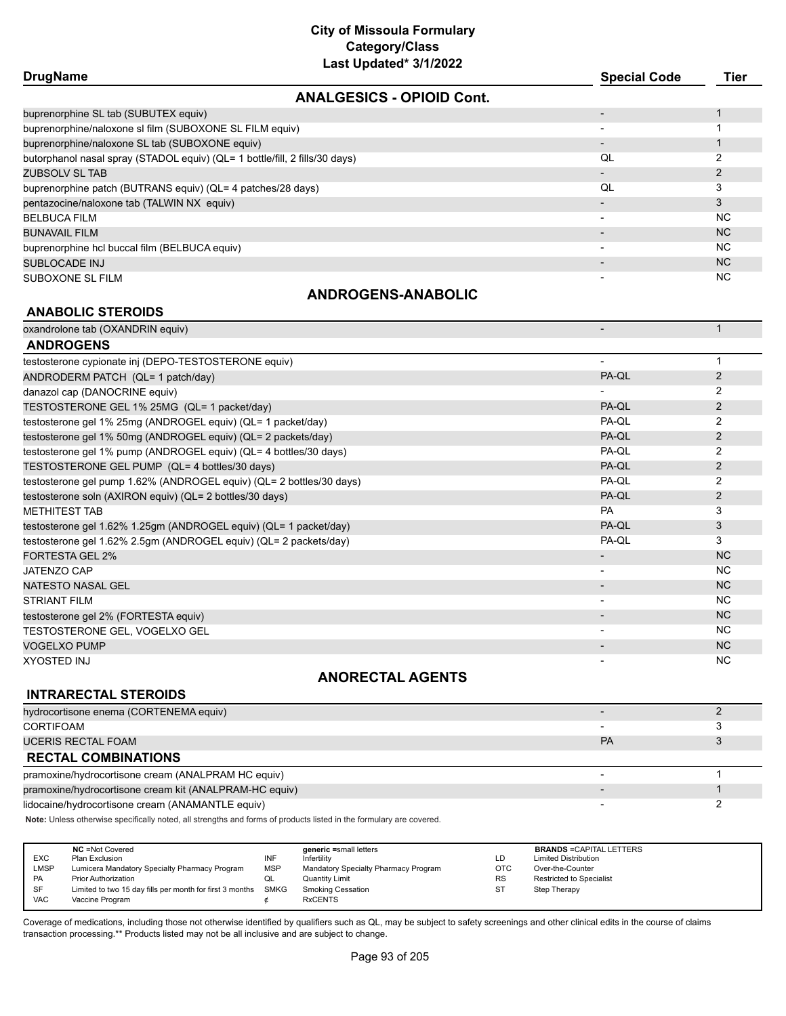| ===================                                                         |                     |                |
|-----------------------------------------------------------------------------|---------------------|----------------|
| <b>DrugName</b>                                                             | <b>Special Code</b> | <b>Tier</b>    |
| <b>ANALGESICS - OPIOID Cont.</b>                                            |                     |                |
| buprenorphine SL tab (SUBUTEX equiv)                                        |                     |                |
| buprenorphine/naloxone sl film (SUBOXONE SL FILM equiv)                     |                     |                |
| buprenorphine/naloxone SL tab (SUBOXONE equiv)                              |                     |                |
| butorphanol nasal spray (STADOL equiv) (QL= 1 bottle/fill, 2 fills/30 days) | QL                  | 2              |
| ZUBSOLV SL TAB                                                              |                     | 2              |
| buprenorphine patch (BUTRANS equiv) (QL= 4 patches/28 days)                 | QL                  | 3              |
| pentazocine/naloxone tab (TALWIN NX equiv)                                  |                     | 3              |
| BELBUCA FILM                                                                |                     | <b>NC</b>      |
| <b>BUNAVAIL FILM</b>                                                        |                     | N <sub>C</sub> |
| buprenorphine hcl buccal film (BELBUCA equiv)                               |                     | NC.            |
| SUBLOCADE INJ                                                               |                     | N <sub>C</sub> |
| SUBOXONE SL FILM                                                            |                     | N <sub>C</sub> |
|                                                                             |                     |                |

#### **ANDROGENS-ANABOLIC**

#### **ANABOLIC STEROIDS**

oxandrolone tab (OXANDRIN equiv) and the contract of the contract of the contract of the contract of the contract of the contract of the contract of the contract of the contract of the contract of the contract of the contr

| <b>ANDROGENS</b>                                                     |                          |                |
|----------------------------------------------------------------------|--------------------------|----------------|
| testosterone cypionate inj (DEPO-TESTOSTERONE equiv)                 | $\overline{\phantom{a}}$ |                |
| ANDRODERM PATCH (QL= 1 patch/day)                                    | PA-QL                    | 2              |
| danazol cap (DANOCRINE equiv)                                        |                          | 2              |
| TESTOSTERONE GEL 1% 25MG (QL= 1 packet/day)                          | PA-QL                    | $\overline{2}$ |
| testosterone gel 1% 25mg (ANDROGEL equiv) (QL= 1 packet/day)         | PA-QL                    | 2              |
| testosterone gel 1% 50mg (ANDROGEL equiv) (QL= 2 packets/day)        | PA-QL                    | $\overline{2}$ |
| testosterone gel 1% pump (ANDROGEL equiv) (QL= 4 bottles/30 days)    | PA-QL                    | $\overline{2}$ |
| TESTOSTERONE GEL PUMP (QL= 4 bottles/30 days)                        | PA-QL                    | 2              |
| testosterone gel pump 1.62% (ANDROGEL equiv) (QL= 2 bottles/30 days) | PA-QL                    | 2              |
| testosterone soln (AXIRON equiv) (QL= 2 bottles/30 days)             | PA-QL                    | $\overline{2}$ |
| <b>METHITEST TAB</b>                                                 | <b>PA</b>                | 3              |
| testosterone gel 1.62% 1.25gm (ANDROGEL equiv) (QL= 1 packet/day)    | PA-QL                    | 3              |
| testosterone gel 1.62% 2.5gm (ANDROGEL equiv) (QL= 2 packets/day)    | PA-QL                    | 3              |
| <b>FORTESTA GEL 2%</b>                                               |                          | <b>NC</b>      |
| JATENZO CAP                                                          | $\overline{\phantom{a}}$ | NC.            |
| <b>NATESTO NASAL GEL</b>                                             | $\overline{\phantom{a}}$ | <b>NC</b>      |
| <b>STRIANT FILM</b>                                                  | $\overline{\phantom{a}}$ | <b>NC</b>      |
| testosterone gel 2% (FORTESTA equiv)                                 |                          | <b>NC</b>      |
| TESTOSTERONE GEL, VOGELXO GEL                                        | $\overline{\phantom{a}}$ | NC.            |
| <b>VOGELXO PUMP</b>                                                  |                          | <b>NC</b>      |
| <b>XYOSTED INJ</b>                                                   |                          | <b>NC</b>      |

### **ANORECTAL AGENTS**

| <b>INTRARECTAL STEROIDS</b>                            |                          |  |
|--------------------------------------------------------|--------------------------|--|
| hydrocortisone enema (CORTENEMA equiv)                 |                          |  |
| CORTIFOAM                                              |                          |  |
| <b>UCERIS RECTAL FOAM</b>                              | <b>PA</b>                |  |
| <b>RECTAL COMBINATIONS</b>                             |                          |  |
| pramoxine/hydrocortisone cream (ANALPRAM HC equiv)     |                          |  |
| pramoxine/hydrocortisone cream kit (ANALPRAM-HC equiv) | $\overline{\phantom{0}}$ |  |
| lidocaine/hydrocortisone cream (ANAMANTLE equiv)       |                          |  |

**Note:** Unless otherwise specifically noted, all strengths and forms of products listed in the formulary are covered.

| <b>EXC</b><br>LMSP<br>PA | <b>NC</b> = Not Covered<br>Plan Exclusion<br>Lumicera Mandatory Specialty Pharmacy Program<br><b>Prior Authorization</b> | INF<br><b>MSP</b><br>QL | generic =small letters<br>Infertility<br>Mandatory Specialty Pharmacy Program<br><b>Quantity Limit</b> | LD<br><b>OTC</b><br><b>RS</b> | <b>BRANDS = CAPITAL LETTERS</b><br><b>Limited Distribution</b><br>Over-the-Counter<br><b>Restricted to Specialist</b> |
|--------------------------|--------------------------------------------------------------------------------------------------------------------------|-------------------------|--------------------------------------------------------------------------------------------------------|-------------------------------|-----------------------------------------------------------------------------------------------------------------------|
| <b>SF</b><br><b>VAC</b>  | Limited to two 15 day fills per month for first 3 months<br>Vaccine Program                                              | <b>SMKG</b>             | <b>Smoking Cessation</b><br><b>RxCENTS</b>                                                             | <b>ST</b>                     | Step Therapy                                                                                                          |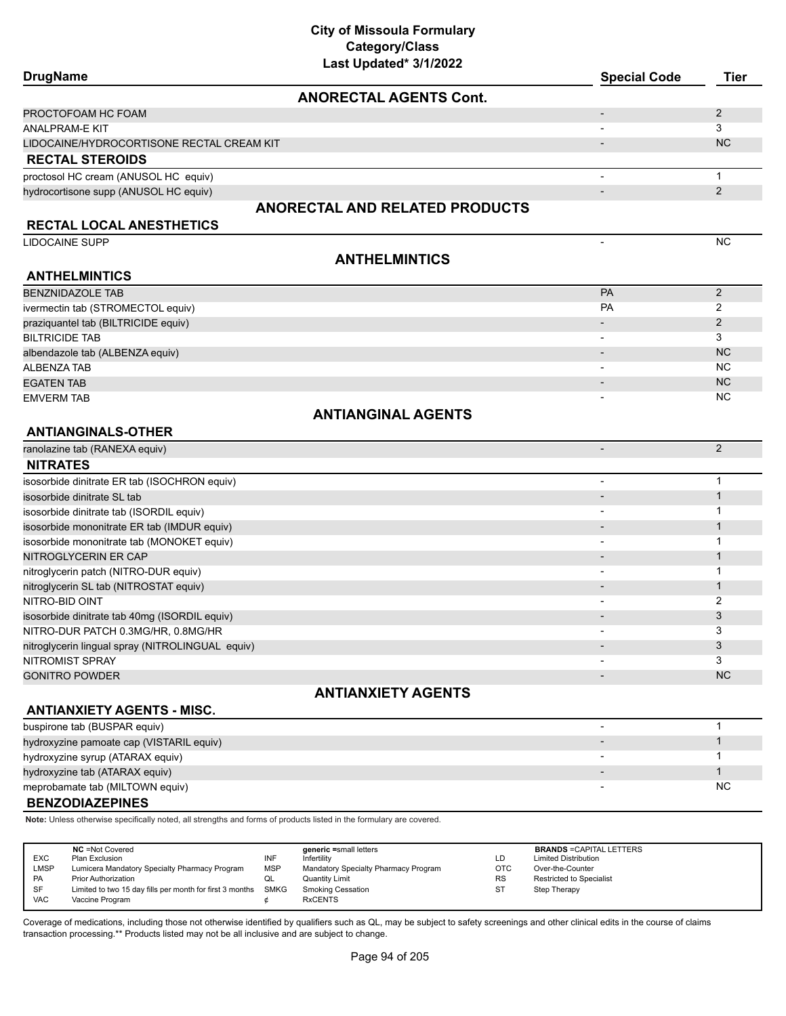| <b>DrugName</b>                                  |                                       | <b>Special Code</b>      | <b>Tier</b>    |
|--------------------------------------------------|---------------------------------------|--------------------------|----------------|
|                                                  | <b>ANORECTAL AGENTS Cont.</b>         |                          |                |
| PROCTOFOAM HC FOAM                               |                                       |                          | 2              |
| ANALPRAM-E KIT                                   |                                       |                          | 3              |
| LIDOCAINE/HYDROCORTISONE RECTAL CREAM KIT        |                                       |                          | <b>NC</b>      |
| <b>RECTAL STEROIDS</b>                           |                                       |                          |                |
| proctosol HC cream (ANUSOL HC equiv)             |                                       | $\overline{\phantom{a}}$ | $\mathbf{1}$   |
| hydrocortisone supp (ANUSOL HC equiv)            |                                       |                          | 2              |
|                                                  | <b>ANORECTAL AND RELATED PRODUCTS</b> |                          |                |
| <b>RECTAL LOCAL ANESTHETICS</b>                  |                                       |                          |                |
| <b>LIDOCAINE SUPP</b>                            |                                       | $\overline{\phantom{a}}$ | <b>NC</b>      |
|                                                  | <b>ANTHELMINTICS</b>                  |                          |                |
| <b>ANTHELMINTICS</b>                             |                                       |                          |                |
| <b>BENZNIDAZOLE TAB</b>                          |                                       | <b>PA</b>                | 2              |
| ivermectin tab (STROMECTOL equiv)                |                                       | PA                       | 2              |
| praziquantel tab (BILTRICIDE equiv)              |                                       |                          | 2              |
| <b>BILTRICIDE TAB</b>                            |                                       |                          | 3              |
| albendazole tab (ALBENZA equiv)                  |                                       |                          | <b>NC</b>      |
| <b>ALBENZA TAB</b>                               |                                       |                          | <b>NC</b>      |
| <b>EGATEN TAB</b>                                |                                       |                          | <b>NC</b>      |
| <b>EMVERM TAB</b>                                |                                       |                          | <b>NC</b>      |
|                                                  | <b>ANTIANGINAL AGENTS</b>             |                          |                |
| <b>ANTIANGINALS-OTHER</b>                        |                                       |                          |                |
| ranolazine tab (RANEXA equiv)                    |                                       | $\overline{\phantom{a}}$ | $\overline{2}$ |
| <b>NITRATES</b>                                  |                                       |                          |                |
| isosorbide dinitrate ER tab (ISOCHRON equiv)     |                                       |                          | $\mathbf{1}$   |
| isosorbide dinitrate SL tab                      |                                       |                          | $\mathbf{1}$   |
| isosorbide dinitrate tab (ISORDIL equiv)         |                                       |                          | 1              |
| isosorbide mononitrate ER tab (IMDUR equiv)      |                                       |                          | $\mathbf{1}$   |
| isosorbide mononitrate tab (MONOKET equiv)       |                                       |                          | 1              |
| NITROGLYCERIN ER CAP                             |                                       |                          | $\mathbf{1}$   |
| nitroglycerin patch (NITRO-DUR equiv)            |                                       |                          | $\mathbf 1$    |
| nitroglycerin SL tab (NITROSTAT equiv)           |                                       |                          | $\mathbf{1}$   |
| NITRO-BID OINT                                   |                                       |                          | 2              |
| isosorbide dinitrate tab 40mg (ISORDIL equiv)    |                                       |                          | 3              |
| NITRO-DUR PATCH 0.3MG/HR, 0.8MG/HR               |                                       |                          | 3              |
| nitroglycerin lingual spray (NITROLINGUAL equiv) |                                       |                          | 3              |
| NITROMIST SPRAY                                  |                                       |                          | 3              |
| <b>GONITRO POWDER</b>                            |                                       |                          | <b>NC</b>      |
|                                                  | <b>ANTIANXIETY AGENTS</b>             |                          |                |
| <b>ANTIANXIETY AGENTS - MISC.</b>                |                                       |                          |                |
| buspirone tab (BUSPAR equiv)                     |                                       | $\overline{\phantom{a}}$ | $\mathbf{1}$   |
| hydroxyzine pamoate cap (VISTARIL equiv)         |                                       |                          | $\mathbf{1}$   |
| hydroxyzine syrup (ATARAX equiv)                 |                                       |                          | 1              |
| hydroxyzine tab (ATARAX equiv)                   |                                       |                          | $\mathbf{1}$   |
| meprobamate tab (MILTOWN equiv)                  |                                       |                          | NC.            |
| <b>BENZODIAZEPINES</b>                           |                                       |                          |                |
|                                                  |                                       |                          |                |

**Note:** Unless otherwise specifically noted, all strengths and forms of products listed in the formulary are covered.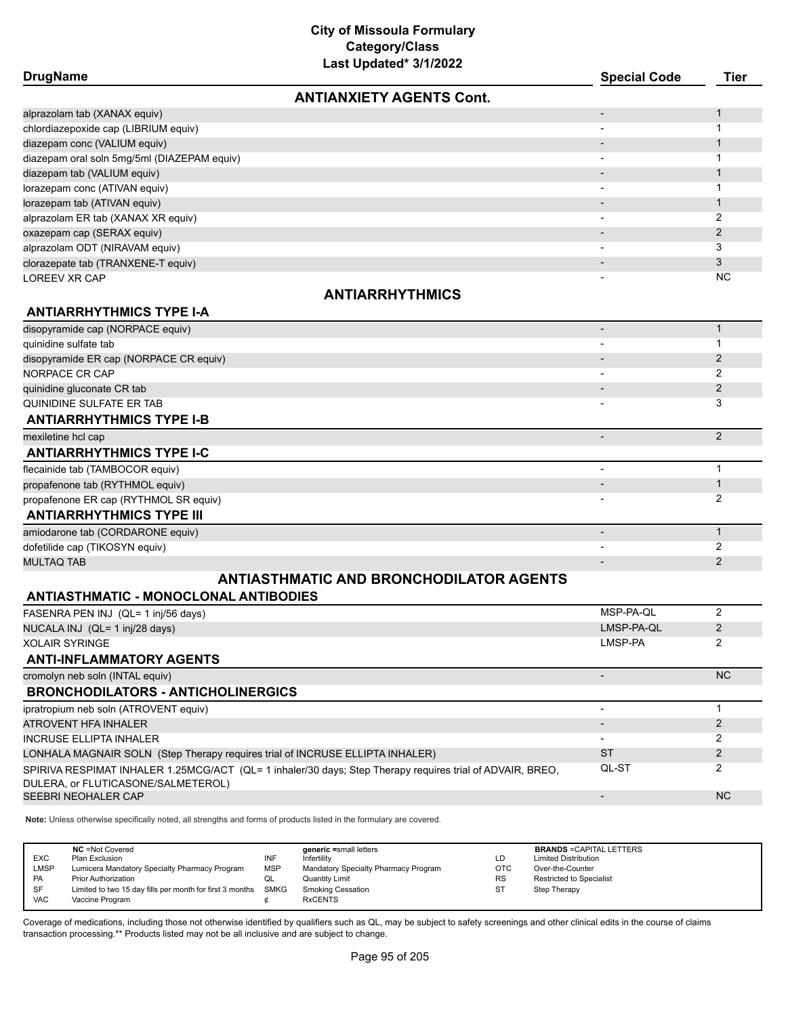**DrugName Special Code Tier ANTIANXIETY AGENTS Cont.**

| alprazolam tab (XANAX equiv)                                                                                        |                          | $\mathbf{1}$   |
|---------------------------------------------------------------------------------------------------------------------|--------------------------|----------------|
| chlordiazepoxide cap (LIBRIUM equiv)                                                                                |                          | $\mathbf 1$    |
| diazepam conc (VALIUM equiv)                                                                                        |                          | $\mathbf 1$    |
| diazepam oral soln 5mg/5ml (DIAZEPAM equiv)                                                                         | $\overline{\phantom{a}}$ | 1              |
| diazepam tab (VALIUM equiv)                                                                                         |                          | $\mathbf{1}$   |
| lorazepam conc (ATIVAN equiv)                                                                                       |                          | 1              |
| lorazepam tab (ATIVAN equiv)                                                                                        |                          | $\mathbf 1$    |
| alprazolam ER tab (XANAX XR equiv)                                                                                  |                          | 2              |
| oxazepam cap (SERAX equiv)                                                                                          |                          | 2              |
| alprazolam ODT (NIRAVAM equiv)                                                                                      |                          | 3              |
| clorazepate tab (TRANXENE-T equiv)                                                                                  |                          | 3              |
| LOREEV XR CAP                                                                                                       |                          | <b>NC</b>      |
| <b>ANTIARRHYTHMICS</b>                                                                                              |                          |                |
| <b>ANTIARRHYTHMICS TYPE I-A</b>                                                                                     |                          |                |
| disopyramide cap (NORPACE equiv)                                                                                    | $\overline{\phantom{a}}$ | $\mathbf{1}$   |
| quinidine sulfate tab                                                                                               |                          | $\mathbf{1}$   |
| disopyramide ER cap (NORPACE CR equiv)                                                                              |                          | 2              |
| NORPACE CR CAP                                                                                                      |                          | $\overline{2}$ |
| quinidine gluconate CR tab                                                                                          |                          | 2              |
| QUINIDINE SULFATE ER TAB                                                                                            |                          | 3              |
| <b>ANTIARRHYTHMICS TYPE I-B</b>                                                                                     |                          |                |
| mexiletine hcl cap                                                                                                  | $\overline{\phantom{a}}$ | 2              |
| <b>ANTIARRHYTHMICS TYPE I-C</b>                                                                                     |                          |                |
| flecainide tab (TAMBOCOR equiv)                                                                                     |                          | $\mathbf{1}$   |
| propafenone tab (RYTHMOL equiv)                                                                                     |                          | $\mathbf{1}$   |
| propafenone ER cap (RYTHMOL SR equiv)                                                                               |                          | 2              |
| <b>ANTIARRHYTHMICS TYPE III</b>                                                                                     |                          |                |
| amiodarone tab (CORDARONE equiv)                                                                                    |                          | $\mathbf{1}$   |
| dofetilide cap (TIKOSYN equiv)                                                                                      |                          | 2              |
| <b>MULTAQ TAB</b>                                                                                                   |                          | $\overline{2}$ |
| <b>ANTIASTHMATIC AND BRONCHODILATOR AGENTS</b>                                                                      |                          |                |
| <b>ANTIASTHMATIC - MONOCLONAL ANTIBODIES</b>                                                                        |                          |                |
| FASENRA PEN INJ (QL= 1 inj/56 days)                                                                                 | MSP-PA-QL                | 2              |
| NUCALA INJ (QL= 1 inj/28 days)                                                                                      | LMSP-PA-QL               | $\overline{2}$ |
| <b>XOLAIR SYRINGE</b>                                                                                               | LMSP-PA                  | $\overline{2}$ |
| <b>ANTI-INFLAMMATORY AGENTS</b>                                                                                     |                          |                |
| cromolyn neb soln (INTAL equiv)                                                                                     |                          | <b>NC</b>      |
| <b>BRONCHODILATORS - ANTICHOLINERGICS</b>                                                                           |                          |                |
| ipratropium neb soln (ATROVENT equiv)                                                                               | $\overline{\phantom{a}}$ | $\mathbf{1}$   |
| ATROVENT HFA INHALER                                                                                                |                          | 2              |
| <b>INCRUSE ELLIPTA INHALER</b>                                                                                      |                          | 2              |
| LONHALA MAGNAIR SOLN (Step Therapy requires trial of INCRUSE ELLIPTA INHALER)                                       | <b>ST</b>                | 2              |
| SPIRIVA RESPIMAT INHALER 1.25MCG/ACT (QL= 1 inhaler/30 days; Step Therapy requires trial of ADVAIR, BREO,           | QL-ST                    | 2              |
| DULERA, or FLUTICASONE/SALMETEROL)                                                                                  |                          |                |
| SEEBRI NEOHALER CAP                                                                                                 | $\overline{\phantom{a}}$ | <b>NC</b>      |
| Note: Unless otherwise specifically noted, all strengths and forms of products listed in the formulary are covered. |                          |                |
|                                                                                                                     |                          |                |

**NC** =Not Covered **ageneric =small letters BRANDS** =CAPITAL LETTERS<br>
Plan Exclusion **BRANDS** =CAPITAL LETTERS<br>  $\blacksquare$ **NC** =Not Covered<br>
EXC Plan Exclusion **INF** Infertility<br>
LMSP Lumicera Mandatory Specialty Pharmacy Program MSP Mandatory Specialty P LMSP Lumicera Mandatory Specialty Pharmacy Program MSP Mandatory Specialty Pharmacy Program OTC Over-the-Counter PA Prior Authorization duminity Community Limit Community Limit Prior Authorization RS Restricted to Specialist<br>Philode SF Limited to two 15 day fills per month for first 3 months SMKG Smoking Cessation ST Step Therapy SF Limited to two 15 day fills per month for first 3 months SMKG Smoking Cessation ST Step Therapy<br>VAC Vaccine Program  $\phi$  RxCENTS Vaccine Program  $\phi$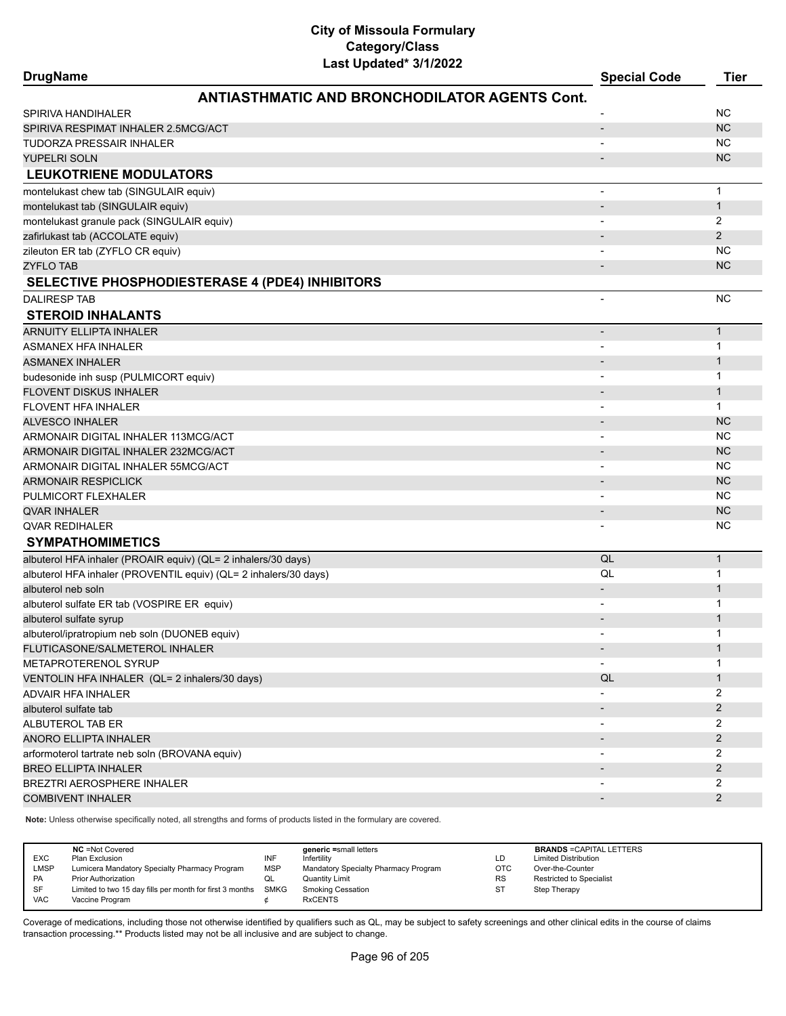| <b>DrugName</b>                                                  | Last updated" 3/1/2022                               | <b>Special Code</b>      | <b>Tier</b>    |
|------------------------------------------------------------------|------------------------------------------------------|--------------------------|----------------|
|                                                                  | <b>ANTIASTHMATIC AND BRONCHODILATOR AGENTS Cont.</b> |                          |                |
| SPIRIVA HANDIHALER                                               |                                                      |                          | <b>NC</b>      |
| SPIRIVA RESPIMAT INHALER 2.5MCG/ACT                              |                                                      | $\overline{\phantom{a}}$ | <b>NC</b>      |
| TUDORZA PRESSAIR INHALER                                         |                                                      | $\overline{\phantom{a}}$ | <b>NC</b>      |
| <b>YUPELRI SOLN</b>                                              |                                                      |                          | <b>NC</b>      |
| <b>LEUKOTRIENE MODULATORS</b>                                    |                                                      |                          |                |
| montelukast chew tab (SINGULAIR equiv)                           |                                                      | ٠                        | $\mathbf{1}$   |
| montelukast tab (SINGULAIR equiv)                                |                                                      | $\overline{\phantom{a}}$ | $\mathbf{1}$   |
| montelukast granule pack (SINGULAIR equiv)                       |                                                      | $\overline{\phantom{a}}$ | 2              |
| zafirlukast tab (ACCOLATE equiv)                                 |                                                      | $\overline{\phantom{a}}$ | 2              |
| zileuton ER tab (ZYFLO CR equiv)                                 |                                                      | $\overline{\phantom{a}}$ | <b>NC</b>      |
| <b>ZYFLO TAB</b>                                                 |                                                      |                          | <b>NC</b>      |
| <b>SELECTIVE PHOSPHODIESTERASE 4 (PDE4) INHIBITORS</b>           |                                                      |                          |                |
| <b>DALIRESP TAB</b>                                              |                                                      | ٠                        | <b>NC</b>      |
| <b>STEROID INHALANTS</b>                                         |                                                      |                          |                |
| <b>ARNUITY ELLIPTA INHALER</b>                                   |                                                      |                          | $\mathbf{1}$   |
| ASMANEX HFA INHALER                                              |                                                      |                          | 1              |
| <b>ASMANEX INHALER</b>                                           |                                                      | $\overline{\phantom{a}}$ | $\mathbf{1}$   |
| budesonide inh susp (PULMICORT equiv)                            |                                                      | $\overline{\phantom{a}}$ | 1              |
| <b>FLOVENT DISKUS INHALER</b>                                    |                                                      | $\overline{a}$           | $\mathbf{1}$   |
| <b>FLOVENT HFA INHALER</b>                                       |                                                      |                          | $\mathbf{1}$   |
| <b>ALVESCO INHALER</b>                                           |                                                      | $\overline{a}$           | <b>NC</b>      |
| ARMONAIR DIGITAL INHALER 113MCG/ACT                              |                                                      | $\overline{\phantom{a}}$ | <b>NC</b>      |
| ARMONAIR DIGITAL INHALER 232MCG/ACT                              |                                                      | $\overline{\phantom{a}}$ | <b>NC</b>      |
| ARMONAIR DIGITAL INHALER 55MCG/ACT                               |                                                      | $\overline{\phantom{a}}$ | <b>NC</b>      |
| <b>ARMONAIR RESPICLICK</b>                                       |                                                      | $\overline{\phantom{m}}$ | <b>NC</b>      |
| PULMICORT FLEXHALER                                              |                                                      | $\overline{\phantom{a}}$ | <b>NC</b>      |
| <b>QVAR INHALER</b>                                              |                                                      | $\overline{\phantom{a}}$ | <b>NC</b>      |
| <b>QVAR REDIHALER</b>                                            |                                                      |                          | <b>NC</b>      |
| <b>SYMPATHOMIMETICS</b>                                          |                                                      |                          |                |
| albuterol HFA inhaler (PROAIR equiv) (QL= 2 inhalers/30 days)    |                                                      | QL                       | $\mathbf{1}$   |
| albuterol HFA inhaler (PROVENTIL equiv) (QL= 2 inhalers/30 days) |                                                      | QL                       | $\mathbf{1}$   |
| albuterol neb soln                                               |                                                      | $\overline{\phantom{a}}$ | $\mathbf{1}$   |
| albuterol sulfate ER tab (VOSPIRE ER equiv)                      |                                                      | $\overline{\phantom{a}}$ | $\mathbf 1$    |
| albuterol sulfate syrup                                          |                                                      |                          | $\mathbf{1}$   |
| albuterol/ipratropium neb soln (DUONEB equiv)                    |                                                      |                          | $\mathbf{1}$   |
| FLUTICASONE/SALMETEROL INHALER                                   |                                                      | $\overline{\phantom{a}}$ | $\mathbf{1}$   |
| METAPROTERENOL SYRUP                                             |                                                      |                          | $\mathbf{1}$   |
| VENTOLIN HFA INHALER (QL= 2 inhalers/30 days)                    |                                                      | QL                       | $\mathbf{1}$   |
| ADVAIR HFA INHALER                                               |                                                      |                          | $\overline{2}$ |
| albuterol sulfate tab                                            |                                                      | $\overline{\phantom{a}}$ | $\overline{2}$ |
| ALBUTEROL TAB ER                                                 |                                                      | $\overline{\phantom{a}}$ | 2              |
| <b>ANORO ELLIPTA INHALER</b>                                     |                                                      |                          | $\overline{2}$ |
| arformoterol tartrate neb soln (BROVANA equiv)                   |                                                      |                          | 2              |
| <b>BREO ELLIPTA INHALER</b>                                      |                                                      |                          | $\overline{2}$ |
| BREZTRI AEROSPHERE INHALER                                       |                                                      |                          | $\overline{2}$ |
| <b>COMBIVENT INHALER</b>                                         |                                                      |                          | $\overline{2}$ |
|                                                                  |                                                      |                          |                |

**Note:** Unless otherwise specifically noted, all strengths and forms of products listed in the formulary are covered.

| EXC<br>LMSP | <b>NC</b> = Not Covered<br>Plan Exclusion<br>Lumicera Mandatory Specialty Pharmacy Program | INF<br><b>MSP</b> | generic =small letters<br>Infertility<br>Mandatory Specialty Pharmacy Program | LD<br><b>OTC</b> | <b>BRANDS = CAPITAL LETTERS</b><br><b>Limited Distribution</b><br>Over-the-Counter |
|-------------|--------------------------------------------------------------------------------------------|-------------------|-------------------------------------------------------------------------------|------------------|------------------------------------------------------------------------------------|
| PA          | <b>Prior Authorization</b>                                                                 | QL                | <b>Quantity Limit</b>                                                         | <b>RS</b>        | <b>Restricted to Specialist</b>                                                    |
| SF          | Limited to two 15 day fills per month for first 3 months SMKG                              |                   | <b>Smoking Cessation</b>                                                      | <b>ST</b>        | Step Therapy                                                                       |
| <b>VAC</b>  | Vaccine Program                                                                            |                   | <b>RxCENTS</b>                                                                |                  |                                                                                    |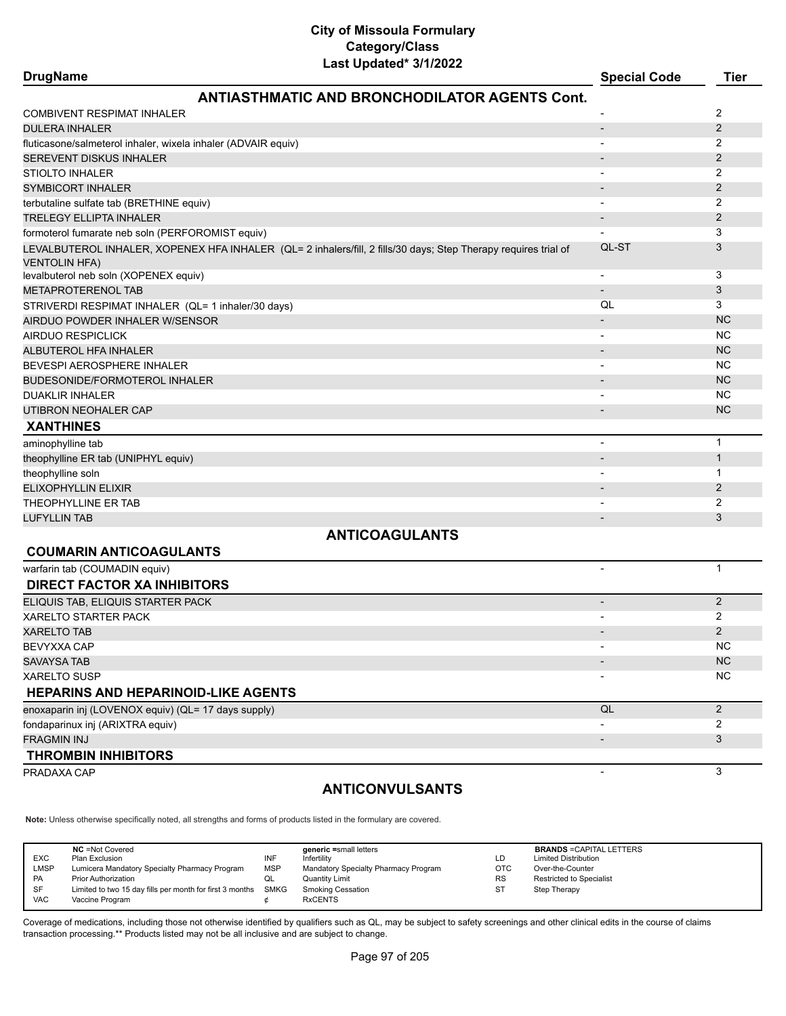## **City of Missoula Formulary Category/Class**

| Last Updated* 3/1/2022                                                                                                                  |                          |                |
|-----------------------------------------------------------------------------------------------------------------------------------------|--------------------------|----------------|
| <b>DrugName</b>                                                                                                                         | <b>Special Code</b>      | <b>Tier</b>    |
| <b>ANTIASTHMATIC AND BRONCHODILATOR AGENTS Cont.</b>                                                                                    |                          |                |
| COMBIVENT RESPIMAT INHALER                                                                                                              |                          | 2              |
| <b>DULERA INHALER</b>                                                                                                                   |                          | 2              |
| fluticasone/salmeterol inhaler, wixela inhaler (ADVAIR equiv)                                                                           |                          | 2              |
| SEREVENT DISKUS INHALER                                                                                                                 |                          | 2              |
| STIOLTO INHALER                                                                                                                         |                          | $\overline{2}$ |
| <b>SYMBICORT INHALER</b>                                                                                                                |                          | 2              |
| terbutaline sulfate tab (BRETHINE equiv)                                                                                                |                          | $\overline{2}$ |
| <b>TRELEGY ELLIPTA INHALER</b>                                                                                                          |                          | 2              |
| formoterol fumarate neb soln (PERFOROMIST equiv)                                                                                        |                          | 3              |
| LEVALBUTEROL INHALER, XOPENEX HFA INHALER (QL= 2 inhalers/fill, 2 fills/30 days; Step Therapy requires trial of<br><b>VENTOLIN HFA)</b> | QL-ST                    | 3              |
| levalbuterol neb soln (XOPENEX equiv)                                                                                                   | $\overline{\phantom{a}}$ | 3              |
| <b>METAPROTERENOL TAB</b>                                                                                                               |                          | 3              |
| STRIVERDI RESPIMAT INHALER (QL= 1 inhaler/30 days)                                                                                      | QL                       | 3              |
| AIRDUO POWDER INHALER W/SENSOR                                                                                                          |                          | <b>NC</b>      |
| AIRDUO RESPICLICK                                                                                                                       |                          | <b>NC</b>      |
| ALBUTEROL HFA INHALER                                                                                                                   |                          | <b>NC</b>      |
| BEVESPI AEROSPHERE INHALER                                                                                                              |                          | NC.            |
| BUDESONIDE/FORMOTEROL INHALER                                                                                                           |                          | NC             |
| DUAKLIR INHALER                                                                                                                         |                          | NC.            |
| UTIBRON NEOHALER CAP                                                                                                                    |                          | <b>NC</b>      |
| <b>XANTHINES</b>                                                                                                                        |                          |                |
| aminophylline tab                                                                                                                       |                          | $\mathbf{1}$   |
| theophylline ER tab (UNIPHYL equiv)                                                                                                     |                          | $\mathbf{1}$   |
| theophylline soln                                                                                                                       | $\overline{\phantom{0}}$ | 1              |
| ELIXOPHYLLIN ELIXIR                                                                                                                     |                          | 2              |
| THEOPHYLLINE ER TAB                                                                                                                     |                          | 2              |
| <b>LUFYLLIN TAB</b>                                                                                                                     |                          | 3              |
| <b>ANTICOAGULANTS</b>                                                                                                                   |                          |                |
| <b>COUMARIN ANTICOAGULANTS</b>                                                                                                          |                          |                |
| warfarin tab (COUMADIN equiv)                                                                                                           | $\overline{\phantom{a}}$ | $\mathbf{1}$   |
| <b>DIRECT FACTOR XA INHIBITORS</b>                                                                                                      |                          |                |
| ELIQUIS TAB, ELIQUIS STARTER PACK                                                                                                       | $\overline{\phantom{a}}$ | 2              |
| <b>XARELTO STARTER PACK</b>                                                                                                             |                          | 2              |
| XARELTO TAB                                                                                                                             |                          | $\overline{2}$ |
| BEVYXXA CAP                                                                                                                             |                          | NC.            |
| <b>SAVAYSA TAB</b>                                                                                                                      |                          | <b>NC</b>      |
| XARELTO SUSP                                                                                                                            |                          | NC.            |
| <b>HEPARINS AND HEPARINOID-LIKE AGENTS</b>                                                                                              |                          |                |
| enoxaparin inj (LOVENOX equiv) (QL= 17 days supply)                                                                                     | QL                       | 2              |
| fondaparinux inj (ARIXTRA equiv)                                                                                                        |                          | 2              |
| <b>FRAGMIN INJ</b>                                                                                                                      |                          | 3              |
| <b>THROMBIN INHIBITORS</b>                                                                                                              |                          |                |
|                                                                                                                                         |                          |                |
| PRADAXA CAP                                                                                                                             |                          | 3              |

#### **ANTICONVULSANTS**

**Note:** Unless otherwise specifically noted, all strengths and forms of products listed in the formulary are covered.

| <b>EXC</b><br><b>LMSP</b><br>PA<br><b>SF</b> | <b>NC</b> = Not Covered<br>Plan Exclusion<br>Lumicera Mandatory Specialty Pharmacy Program<br>Prior Authorization<br>Limited to two 15 day fills per month for first 3 months | INF<br><b>MSP</b><br>QL<br>SMKG | generic =small letters<br>Infertility<br>Mandatory Specialty Pharmacy Program<br>Quantity Limit<br><b>Smoking Cessation</b> | LD<br>отс<br><b>RS</b><br>S1 | <b>BRANDS = CAPITAL LETTERS</b><br><b>Limited Distribution</b><br>Over-the-Counter<br><b>Restricted to Specialist</b><br>Step Therapy |
|----------------------------------------------|-------------------------------------------------------------------------------------------------------------------------------------------------------------------------------|---------------------------------|-----------------------------------------------------------------------------------------------------------------------------|------------------------------|---------------------------------------------------------------------------------------------------------------------------------------|
| <b>VAC</b>                                   | Vaccine Program                                                                                                                                                               |                                 | <b>RxCENTS</b>                                                                                                              |                              |                                                                                                                                       |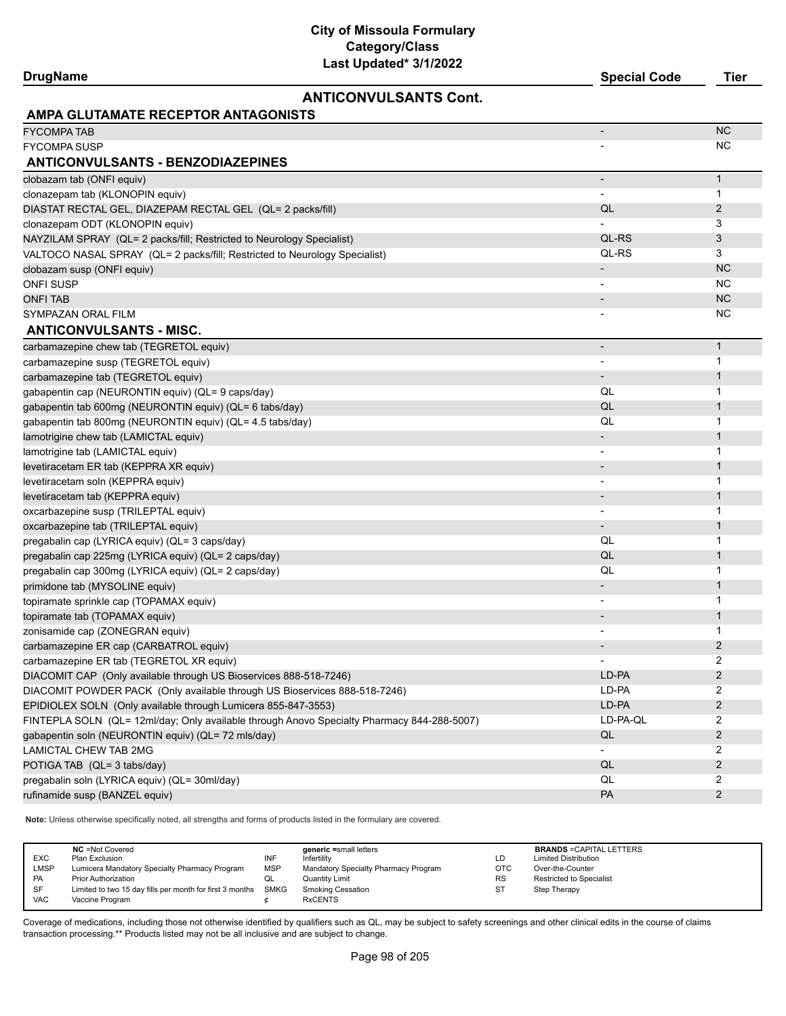#### **ANTICONVULSANTS Cont.**

| <b>Drugl</b> | $2$ mania.<br>cial Code<br>sner | fier |
|--------------|---------------------------------|------|
|              |                                 |      |

| <b>AMPA GLUTAMATE RECEPTOR ANTAGONISTS</b>                                                 |                          |                         |
|--------------------------------------------------------------------------------------------|--------------------------|-------------------------|
| <b>FYCOMPA TAB</b>                                                                         |                          | <b>NC</b>               |
| <b>FYCOMPA SUSP</b>                                                                        |                          | ΝC                      |
| <b>ANTICONVULSANTS - BENZODIAZEPINES</b>                                                   |                          |                         |
| clobazam tab (ONFI equiv)                                                                  |                          | $\mathbf{1}$            |
| clonazepam tab (KLONOPIN equiv)                                                            |                          | 1                       |
| DIASTAT RECTAL GEL, DIAZEPAM RECTAL GEL (QL= 2 packs/fill)                                 | QL                       | $\overline{2}$          |
| clonazepam ODT (KLONOPIN equiv)                                                            |                          | 3                       |
| NAYZILAM SPRAY (QL= 2 packs/fill; Restricted to Neurology Specialist)                      | QL-RS                    | 3                       |
| VALTOCO NASAL SPRAY (QL= 2 packs/fill; Restricted to Neurology Specialist)                 | QL-RS                    | 3                       |
| clobazam susp (ONFI equiv)                                                                 | $\overline{\phantom{a}}$ | <b>NC</b>               |
| <b>ONFI SUSP</b>                                                                           |                          | <b>NC</b>               |
| <b>ONFI TAB</b>                                                                            |                          | <b>NC</b>               |
| SYMPAZAN ORAL FILM                                                                         |                          | <b>NC</b>               |
| <b>ANTICONVULSANTS - MISC.</b>                                                             |                          |                         |
| carbamazepine chew tab (TEGRETOL equiv)                                                    |                          | $\mathbf{1}$            |
| carbamazepine susp (TEGRETOL equiv)                                                        |                          | 1                       |
| carbamazepine tab (TEGRETOL equiv)                                                         | $\overline{\phantom{a}}$ | $\mathbf{1}$            |
| qabapentin cap (NEURONTIN equiv) (QL= 9 caps/day)                                          | QL                       | 1                       |
| gabapentin tab 600mg (NEURONTIN equiv) (QL= 6 tabs/day)                                    | QL                       | $\mathbf{1}$            |
| gabapentin tab 800mg (NEURONTIN equiv) (QL= 4.5 tabs/day)                                  | QL                       | $\mathbf{1}$            |
| lamotrigine chew tab (LAMICTAL equiv)                                                      | $\overline{\phantom{a}}$ | $\mathbf{1}$            |
| lamotrigine tab (LAMICTAL equiv)                                                           | $\overline{\phantom{a}}$ | 1                       |
| levetiracetam ER tab (KEPPRA XR equiv)                                                     | $\overline{\phantom{a}}$ | $\mathbf{1}$            |
| levetiracetam soln (KEPPRA equiv)                                                          | $\overline{\phantom{a}}$ | 1                       |
| levetiracetam tab (KEPPRA equiv)                                                           | $\overline{\phantom{a}}$ | $\mathbf{1}$            |
| oxcarbazepine susp (TRILEPTAL equiv)                                                       | $\overline{\phantom{a}}$ | 1                       |
| oxcarbazepine tab (TRILEPTAL equiv)                                                        | $\overline{\phantom{a}}$ | $\mathbf{1}$            |
| pregabalin cap (LYRICA equiv) (QL= 3 caps/day)                                             | QL                       | 1                       |
| pregabalin cap 225mg (LYRICA equiv) (QL= 2 caps/day)                                       | QL                       | $\mathbf{1}$            |
| pregabalin cap 300mg (LYRICA equiv) (QL= 2 caps/day)                                       | QL                       | 1                       |
| primidone tab (MYSOLINE equiv)                                                             |                          | $\mathbf{1}$            |
| topiramate sprinkle cap (TOPAMAX equiv)                                                    | $\overline{\phantom{a}}$ | 1                       |
| topiramate tab (TOPAMAX equiv)                                                             |                          | $\mathbf{1}$            |
| zonisamide cap (ZONEGRAN equiv)                                                            | $\overline{\phantom{a}}$ | 1                       |
| carbamazepine ER cap (CARBATROL equiv)                                                     | $\overline{\phantom{a}}$ | $\overline{2}$          |
| carbamazepine ER tab (TEGRETOL XR equiv)                                                   |                          | 2                       |
| DIACOMIT CAP (Only available through US Bioservices 888-518-7246)                          | LD-PA                    | $\overline{2}$          |
| DIACOMIT POWDER PACK (Only available through US Bioservices 888-518-7246)                  | LD-PA                    | 2                       |
| EPIDIOLEX SOLN (Only available through Lumicera 855-847-3553)                              | LD-PA                    | $\overline{c}$          |
| FINTEPLA SOLN (QL= 12ml/day; Only available through Anovo Specialty Pharmacy 844-288-5007) | LD-PA-QL                 | 2                       |
| gabapentin soln (NEURONTIN equiv) (QL= 72 mls/day)                                         | QL                       | $\overline{\mathbf{c}}$ |
| <b>LAMICTAL CHEW TAB 2MG</b>                                                               | $\blacksquare$           | 2                       |
| POTIGA TAB (QL= 3 tabs/day)                                                                | QL                       | $\overline{\mathbf{c}}$ |
| pregabalin soln (LYRICA equiv) (QL= 30ml/day)                                              | QL                       | 2                       |
| rufinamide susp (BANZEL equiv)                                                             | PA                       | $\overline{c}$          |
|                                                                                            |                          |                         |

**Note:** Unless otherwise specifically noted, all strengths and forms of products listed in the formulary are covered.

| EXC<br>LMSP | <b>NC</b> = Not Covered<br>Plan Exclusion<br>Lumicera Mandatory Specialty Pharmacy Program | INF<br><b>MSP</b> | generic =small letters<br>Infertility<br>Mandatory Specialty Pharmacy Program | LD<br><b>OTC</b> | <b>BRANDS = CAPITAL LETTERS</b><br><b>Limited Distribution</b><br>Over-the-Counter |
|-------------|--------------------------------------------------------------------------------------------|-------------------|-------------------------------------------------------------------------------|------------------|------------------------------------------------------------------------------------|
| PA          | <b>Prior Authorization</b>                                                                 | QL                | <b>Quantity Limit</b>                                                         | <b>RS</b>        | <b>Restricted to Specialist</b>                                                    |
| SF          | Limited to two 15 day fills per month for first 3 months SMKG                              |                   | <b>Smoking Cessation</b>                                                      | <b>ST</b>        | Step Therapy                                                                       |
| <b>VAC</b>  | Vaccine Program                                                                            |                   | <b>RxCENTS</b>                                                                |                  |                                                                                    |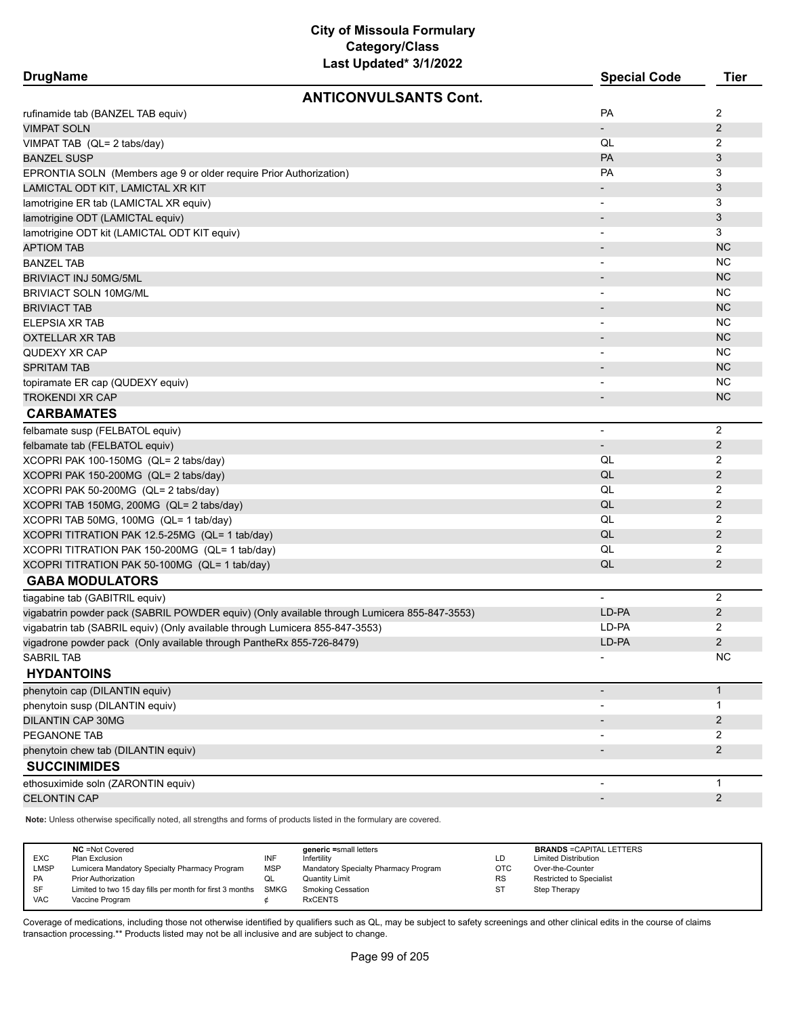| <b>DrugName</b>                                                              |                                                                                             | <b>Special Code</b>      | <b>Tier</b>    |
|------------------------------------------------------------------------------|---------------------------------------------------------------------------------------------|--------------------------|----------------|
|                                                                              | <b>ANTICONVULSANTS Cont.</b>                                                                |                          |                |
| rufinamide tab (BANZEL TAB equiv)                                            |                                                                                             | <b>PA</b>                | 2              |
| VIMPAT SOLN                                                                  |                                                                                             |                          | $\overline{2}$ |
| VIMPAT TAB (QL= 2 tabs/day)                                                  |                                                                                             | QL                       | 2              |
| BANZEL SUSP                                                                  |                                                                                             | <b>PA</b>                | 3              |
| EPRONTIA SOLN (Members age 9 or older require Prior Authorization)           |                                                                                             | <b>PA</b>                | 3              |
| LAMICTAL ODT KIT, LAMICTAL XR KIT                                            |                                                                                             |                          | 3              |
| lamotrigine ER tab (LAMICTAL XR equiv)                                       |                                                                                             | $\overline{\phantom{a}}$ | 3              |
| lamotrigine ODT (LAMICTAL equiv)                                             |                                                                                             |                          | 3              |
| lamotrigine ODT kit (LAMICTAL ODT KIT equiv)                                 |                                                                                             |                          | 3              |
| <b>APTIOM TAB</b>                                                            |                                                                                             |                          | <b>NC</b>      |
| BANZEL TAB                                                                   |                                                                                             |                          | NC             |
| BRIVIACT INJ 50MG/5ML                                                        |                                                                                             |                          | <b>NC</b>      |
| <b>BRIVIACT SOLN 10MG/ML</b>                                                 |                                                                                             |                          | NC             |
| <b>BRIVIACT TAB</b>                                                          |                                                                                             |                          | <b>NC</b>      |
| ELEPSIA XR TAB                                                               |                                                                                             |                          | NC.            |
| <b>OXTELLAR XR TAB</b>                                                       |                                                                                             |                          | <b>NC</b>      |
| QUDEXY XR CAP                                                                |                                                                                             |                          | NC             |
| <b>SPRITAM TAB</b>                                                           |                                                                                             |                          | <b>NC</b>      |
| topiramate ER cap (QUDEXY equiv)                                             |                                                                                             |                          | NC.            |
| <b>TROKENDI XR CAP</b>                                                       |                                                                                             |                          | <b>NC</b>      |
| <b>CARBAMATES</b>                                                            |                                                                                             |                          |                |
| felbamate susp (FELBATOL equiv)                                              |                                                                                             |                          | $\overline{2}$ |
| felbamate tab (FELBATOL equiv)                                               |                                                                                             |                          | $\overline{2}$ |
| XCOPRI PAK 100-150MG (QL= 2 tabs/day)                                        |                                                                                             | QL                       | 2              |
| XCOPRI PAK 150-200MG (QL= 2 tabs/day)                                        |                                                                                             | QL                       | $\overline{2}$ |
| XCOPRI PAK 50-200MG (QL= 2 tabs/day)                                         |                                                                                             | QL                       | 2              |
| XCOPRI TAB 150MG, 200MG (QL= 2 tabs/day)                                     |                                                                                             | QL                       | $\overline{2}$ |
| XCOPRI TAB 50MG, 100MG (QL= 1 tab/day)                                       |                                                                                             | QL                       | 2              |
| XCOPRI TITRATION PAK 12.5-25MG (QL= 1 tab/day)                               |                                                                                             | QL                       | $\overline{2}$ |
| XCOPRI TITRATION PAK 150-200MG (QL= 1 tab/day)                               |                                                                                             | QL                       | 2              |
| XCOPRI TITRATION PAK 50-100MG (QL= 1 tab/day)                                |                                                                                             | QL                       | $\overline{2}$ |
| <b>GABA MODULATORS</b>                                                       |                                                                                             |                          |                |
| tiagabine tab (GABITRIL equiv)                                               |                                                                                             | $\blacksquare$           | 2              |
|                                                                              | vigabatrin powder pack (SABRIL POWDER equiv) (Only available through Lumicera 855-847-3553) | LD-PA                    | 2              |
| vigabatrin tab (SABRIL equiv) (Only available through Lumicera 855-847-3553) |                                                                                             | LD-PA                    | 2              |
| vigadrone powder pack (Only available through PantheRx 855-726-8479)         |                                                                                             | LD-PA                    | 2              |
| SABRIL TAB                                                                   |                                                                                             |                          | <b>NC</b>      |
| <b>HYDANTOINS</b>                                                            |                                                                                             |                          |                |
| phenytoin cap (DILANTIN equiv)                                               |                                                                                             | $\overline{\phantom{a}}$ | $\mathbf{1}$   |
| phenytoin susp (DILANTIN equiv)                                              |                                                                                             |                          | 1              |
| <b>DILANTIN CAP 30MG</b>                                                     |                                                                                             |                          | $\overline{2}$ |
| PEGANONE TAB                                                                 |                                                                                             |                          | 2              |
| phenytoin chew tab (DILANTIN equiv)                                          |                                                                                             |                          | $\overline{2}$ |
| <b>SUCCINIMIDES</b>                                                          |                                                                                             |                          |                |
| ethosuximide soln (ZARONTIN equiv)                                           |                                                                                             |                          | $\mathbf{1}$   |
| <b>CELONTIN CAP</b>                                                          |                                                                                             | $\overline{\phantom{a}}$ | $\overline{2}$ |

**Note:** Unless otherwise specifically noted, all strengths and forms of products listed in the formulary are covered.

| <b>EXC</b><br><b>LMSP</b><br>PA<br>SF | <b>NC</b> = Not Covered<br>Plan Exclusion<br>Lumicera Mandatory Specialty Pharmacy Program<br><b>Prior Authorization</b><br>Limited to two 15 day fills per month for first 3 months | INF<br><b>MSP</b><br>QL<br>SMKG | generic =small letters<br>Infertility<br>Mandatory Specialty Pharmacy Program<br>Quantity Limit<br><b>Smoking Cessation</b> | LD<br><b>OTC</b><br><b>RS</b><br>ST | <b>BRANDS = CAPITAL LETTERS</b><br><b>Limited Distribution</b><br>Over-the-Counter<br><b>Restricted to Specialist</b><br>Step Therapy |
|---------------------------------------|--------------------------------------------------------------------------------------------------------------------------------------------------------------------------------------|---------------------------------|-----------------------------------------------------------------------------------------------------------------------------|-------------------------------------|---------------------------------------------------------------------------------------------------------------------------------------|
| <b>VAC</b>                            | Vaccine Program                                                                                                                                                                      |                                 | <b>RxCENTS</b>                                                                                                              |                                     |                                                                                                                                       |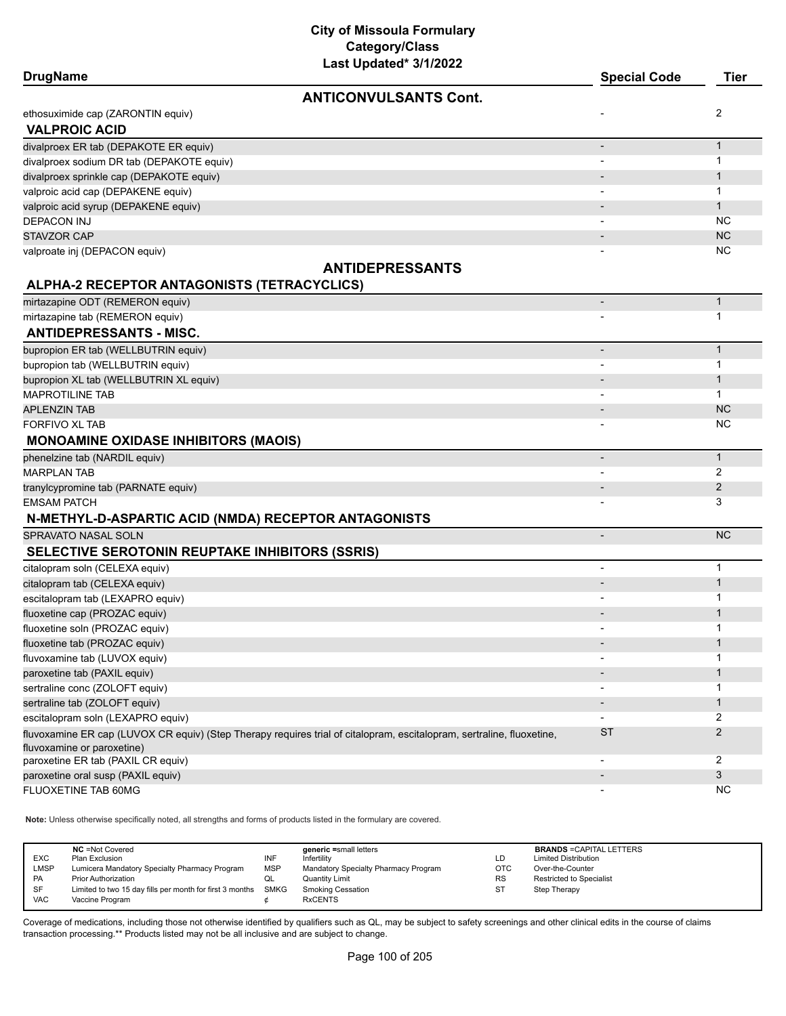| <b>DrugName</b>                                        | Last Updated" 3/1/2022                                                                                                | <b>Special Code</b>          | <b>Tier</b>  |
|--------------------------------------------------------|-----------------------------------------------------------------------------------------------------------------------|------------------------------|--------------|
|                                                        | <b>ANTICONVULSANTS Cont.</b>                                                                                          |                              |              |
| ethosuximide cap (ZARONTIN equiv)                      |                                                                                                                       |                              | 2            |
| <b>VALPROIC ACID</b>                                   |                                                                                                                       |                              |              |
| divalproex ER tab (DEPAKOTE ER equiv)                  |                                                                                                                       | $\overline{a}$               | $\mathbf{1}$ |
| divalproex sodium DR tab (DEPAKOTE equiv)              |                                                                                                                       |                              | 1            |
| divalproex sprinkle cap (DEPAKOTE equiv)               |                                                                                                                       |                              | $\mathbf 1$  |
| valproic acid cap (DEPAKENE equiv)                     |                                                                                                                       |                              | 1            |
| valproic acid syrup (DEPAKENE equiv)                   |                                                                                                                       |                              | $\mathbf{1}$ |
| <b>DEPACON INJ</b>                                     |                                                                                                                       | $\overline{\phantom{a}}$     | <b>NC</b>    |
| <b>STAVZOR CAP</b>                                     |                                                                                                                       |                              | <b>NC</b>    |
| valproate inj (DEPACON equiv)                          |                                                                                                                       |                              | NC           |
|                                                        | <b>ANTIDEPRESSANTS</b>                                                                                                |                              |              |
| ALPHA-2 RECEPTOR ANTAGONISTS (TETRACYCLICS)            |                                                                                                                       |                              |              |
| mirtazapine ODT (REMERON equiv)                        |                                                                                                                       |                              | $\mathbf{1}$ |
| mirtazapine tab (REMERON equiv)                        |                                                                                                                       |                              | 1            |
| <b>ANTIDEPRESSANTS - MISC.</b>                         |                                                                                                                       |                              |              |
| bupropion ER tab (WELLBUTRIN equiv)                    |                                                                                                                       | $\overline{a}$               | $\mathbf{1}$ |
| bupropion tab (WELLBUTRIN equiv)                       |                                                                                                                       |                              | 1            |
| bupropion XL tab (WELLBUTRIN XL equiv)                 |                                                                                                                       |                              | 1            |
| <b>MAPROTILINE TAB</b>                                 |                                                                                                                       |                              | $\mathbf{1}$ |
| <b>APLENZIN TAB</b>                                    |                                                                                                                       |                              | <b>NC</b>    |
| FORFIVO XL TAB                                         |                                                                                                                       |                              | <b>NC</b>    |
| <b>MONOAMINE OXIDASE INHIBITORS (MAOIS)</b>            |                                                                                                                       |                              |              |
| phenelzine tab (NARDIL equiv)                          |                                                                                                                       |                              | $\mathbf{1}$ |
| <b>MARPLAN TAB</b>                                     |                                                                                                                       |                              | 2            |
| tranylcypromine tab (PARNATE equiv)                    |                                                                                                                       |                              | 2            |
| EMSAM PATCH                                            |                                                                                                                       |                              | 3            |
| N-METHYL-D-ASPARTIC ACID (NMDA) RECEPTOR ANTAGONISTS   |                                                                                                                       |                              |              |
| SPRAVATO NASAL SOLN                                    |                                                                                                                       | $\overline{\phantom{a}}$     | <b>NC</b>    |
| <b>SELECTIVE SEROTONIN REUPTAKE INHIBITORS (SSRIS)</b> |                                                                                                                       |                              |              |
| citalopram soln (CELEXA equiv)                         |                                                                                                                       | $\overline{\phantom{0}}$     | $\mathbf 1$  |
| citalopram tab (CELEXA equiv)                          |                                                                                                                       | $\overline{\phantom{a}}$     | $\mathbf{1}$ |
| escitalopram tab (LEXAPRO equiv)                       |                                                                                                                       | $\qquad \qquad \blacksquare$ | 1            |
| fluoxetine cap (PROZAC equiv)                          |                                                                                                                       |                              | $\mathbf 1$  |
| fluoxetine soln (PROZAC equiv)                         |                                                                                                                       |                              | 1            |
| fluoxetine tab (PROZAC equiv)                          |                                                                                                                       |                              | 1            |
| fluvoxamine tab (LUVOX equiv)                          |                                                                                                                       |                              | 1            |
| paroxetine tab (PAXIL equiv)                           |                                                                                                                       |                              | 1            |
| sertraline conc (ZOLOFT equiv)                         |                                                                                                                       |                              | 1            |
| sertraline tab (ZOLOFT equiv)                          |                                                                                                                       |                              | 1            |
| escitalopram soln (LEXAPRO equiv)                      |                                                                                                                       | $\blacksquare$               | 2            |
|                                                        | fluvoxamine ER cap (LUVOX CR equiv) (Step Therapy requires trial of citalopram, escitalopram, sertraline, fluoxetine, | <b>ST</b>                    | 2            |
| fluvoxamine or paroxetine)                             |                                                                                                                       |                              |              |
| paroxetine ER tab (PAXIL CR equiv)                     |                                                                                                                       | $\blacksquare$               | 2            |
| paroxetine oral susp (PAXIL equiv)                     |                                                                                                                       |                              | 3            |
| FLUOXETINE TAB 60MG                                    |                                                                                                                       | $\qquad \qquad \blacksquare$ | <b>NC</b>    |

**Note:** Unless otherwise specifically noted, all strengths and forms of products listed in the formulary are covered.

| <b>EXC</b><br><b>LMSP</b><br><b>PA</b> | <b>NC</b> = Not Covered<br>Plan Exclusion<br>Lumicera Mandatory Specialty Pharmacy Program<br><b>Prior Authorization</b> | INF<br><b>MSP</b><br>QL | generic =small letters<br>Infertility<br>Mandatory Specialty Pharmacy Program<br>Quantity Limit | LD<br><b>OTC</b><br><b>RS</b> | <b>BRANDS = CAPITAL LETTERS</b><br><b>Limited Distribution</b><br>Over-the-Counter<br><b>Restricted to Specialist</b> |
|----------------------------------------|--------------------------------------------------------------------------------------------------------------------------|-------------------------|-------------------------------------------------------------------------------------------------|-------------------------------|-----------------------------------------------------------------------------------------------------------------------|
| <b>SF</b><br><b>VAC</b>                | Limited to two 15 day fills per month for first 3 months<br>Vaccine Program                                              | <b>SMKG</b>             | <b>Smoking Cessation</b><br><b>RxCENTS</b>                                                      | ST                            | Step Therapy                                                                                                          |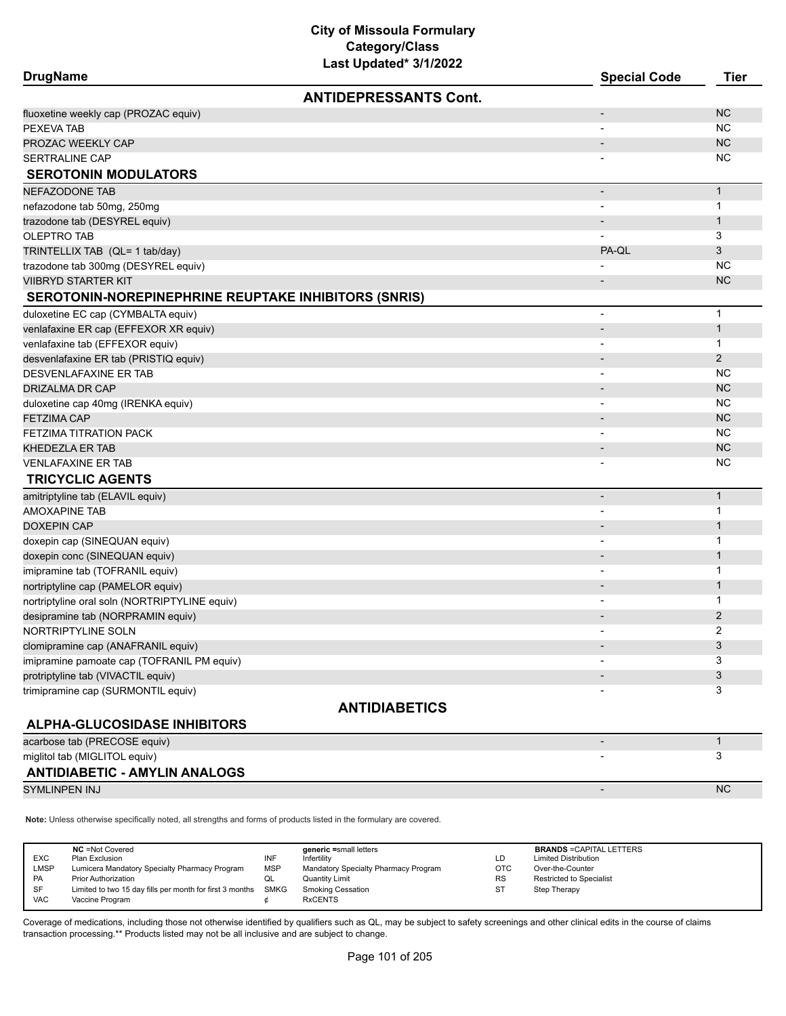| <b>DrugName</b>                                             | Lasi Upualtu <i>JI IIL</i> UZZ | <b>Special Code</b>      | <b>Tier</b>    |
|-------------------------------------------------------------|--------------------------------|--------------------------|----------------|
|                                                             | <b>ANTIDEPRESSANTS Cont.</b>   |                          |                |
| fluoxetine weekly cap (PROZAC equiv)                        |                                | $\overline{a}$           | <b>NC</b>      |
| PEXEVA TAB                                                  |                                | $\overline{\phantom{a}}$ | <b>NC</b>      |
| PROZAC WEEKLY CAP                                           |                                | $\overline{a}$           | <b>NC</b>      |
| <b>SERTRALINE CAP</b>                                       |                                |                          | <b>NC</b>      |
| <b>SEROTONIN MODULATORS</b>                                 |                                |                          |                |
| <b>NEFAZODONE TAB</b>                                       |                                | $\overline{\phantom{a}}$ | $\mathbf{1}$   |
| nefazodone tab 50mg, 250mg                                  |                                | $\overline{\phantom{a}}$ | $\mathbf{1}$   |
| trazodone tab (DESYREL equiv)                               |                                | $\overline{\phantom{a}}$ | $\mathbf{1}$   |
| <b>OLEPTRO TAB</b>                                          |                                | $\overline{\phantom{a}}$ | 3              |
| TRINTELLIX TAB (QL= 1 tab/day)                              |                                | PA-QL                    | 3              |
| trazodone tab 300mg (DESYREL equiv)                         |                                |                          | <b>NC</b>      |
| <b>VIIBRYD STARTER KIT</b>                                  |                                |                          | <b>NC</b>      |
| <b>SEROTONIN-NOREPINEPHRINE REUPTAKE INHIBITORS (SNRIS)</b> |                                |                          |                |
| duloxetine EC cap (CYMBALTA equiv)                          |                                | $\overline{\phantom{a}}$ | $\mathbf{1}$   |
| venlafaxine ER cap (EFFEXOR XR equiv)                       |                                | $\overline{\phantom{a}}$ | $\mathbf{1}$   |
| venlafaxine tab (EFFEXOR equiv)                             |                                | $\overline{\phantom{a}}$ | $\mathbf{1}$   |
| desvenlafaxine ER tab (PRISTIQ equiv)                       |                                |                          | 2              |
| DESVENLAFAXINE ER TAB                                       |                                |                          | <b>NC</b>      |
| <b>DRIZALMA DR CAP</b>                                      |                                |                          | <b>NC</b>      |
| duloxetine cap 40mg (IRENKA equiv)                          |                                | $\overline{\phantom{a}}$ | <b>NC</b>      |
| <b>FETZIMA CAP</b>                                          |                                | $\overline{\phantom{0}}$ | <b>NC</b>      |
| FETZIMA TITRATION PACK                                      |                                | $\overline{\phantom{a}}$ | <b>NC</b>      |
| <b>KHEDEZLA ER TAB</b>                                      |                                |                          | <b>NC</b>      |
| <b>VENLAFAXINE ER TAB</b>                                   |                                |                          | <b>NC</b>      |
| <b>TRICYCLIC AGENTS</b>                                     |                                |                          |                |
| amitriptyline tab (ELAVIL equiv)                            |                                | $\overline{a}$           | $\mathbf{1}$   |
| <b>AMOXAPINE TAB</b>                                        |                                | $\overline{\phantom{a}}$ | $\mathbf{1}$   |
| <b>DOXEPIN CAP</b>                                          |                                |                          | $\mathbf{1}$   |
| doxepin cap (SINEQUAN equiv)                                |                                | $\overline{\phantom{a}}$ | 1              |
| doxepin conc (SINEQUAN equiv)                               |                                |                          | $\mathbf{1}$   |
| imipramine tab (TOFRANIL equiv)                             |                                | $\overline{\phantom{a}}$ | 1              |
| nortriptyline cap (PAMELOR equiv)                           |                                | $\overline{\phantom{a}}$ | $\mathbf{1}$   |
| nortriptyline oral soln (NORTRIPTYLINE equiv)               |                                |                          | 1              |
| desipramine tab (NORPRAMIN equiv)                           |                                |                          | $\overline{2}$ |
| NORTRIPTYLINE SOLN                                          |                                |                          | 2              |
| clomipramine cap (ANAFRANIL equiv)                          |                                |                          | 3              |
| imipramine pamoate cap (TOFRANIL PM equiv)                  |                                |                          | 3              |
| protriptyline tab (VIVACTIL equiv)                          |                                |                          | 3              |
| trimipramine cap (SURMONTIL equiv)                          |                                |                          | 3              |
|                                                             | <b>ANTIDIABETICS</b>           |                          |                |
| <b>ALPHA-GLUCOSIDASE INHIBITORS</b>                         |                                |                          |                |
| acarbose tab (PRECOSE equiv)                                |                                |                          | $\mathbf{1}$   |
| miglitol tab (MIGLITOL equiv)                               |                                |                          | 3              |
| <b>ANTIDIABETIC - AMYLIN ANALOGS</b>                        |                                |                          |                |
| SYMLINPEN INJ                                               |                                |                          | <b>NC</b>      |

**Note:** Unless otherwise specifically noted, all strengths and forms of products listed in the formulary are covered.

| <b>EXC</b><br><b>LMSP</b><br>PA<br><b>SF</b> | <b>NC</b> = Not Covered<br>Plan Exclusion<br>Lumicera Mandatory Specialty Pharmacy Program<br><b>Prior Authorization</b><br>Limited to two 15 day fills per month for first 3 months | INF<br><b>MSP</b><br>QL<br>SMKG | generic =small letters<br>Infertility<br>Mandatory Specialty Pharmacy Program<br><b>Quantity Limit</b><br><b>Smoking Cessation</b> | LD<br>OTC<br><b>RS</b><br><b>ST</b> | <b>BRANDS = CAPITAL LETTERS</b><br><b>Limited Distribution</b><br>Over-the-Counter<br><b>Restricted to Specialist</b><br>Step Therapy |
|----------------------------------------------|--------------------------------------------------------------------------------------------------------------------------------------------------------------------------------------|---------------------------------|------------------------------------------------------------------------------------------------------------------------------------|-------------------------------------|---------------------------------------------------------------------------------------------------------------------------------------|
| <b>VAC</b>                                   | Vaccine Program                                                                                                                                                                      |                                 | <b>RxCENTS</b>                                                                                                                     |                                     |                                                                                                                                       |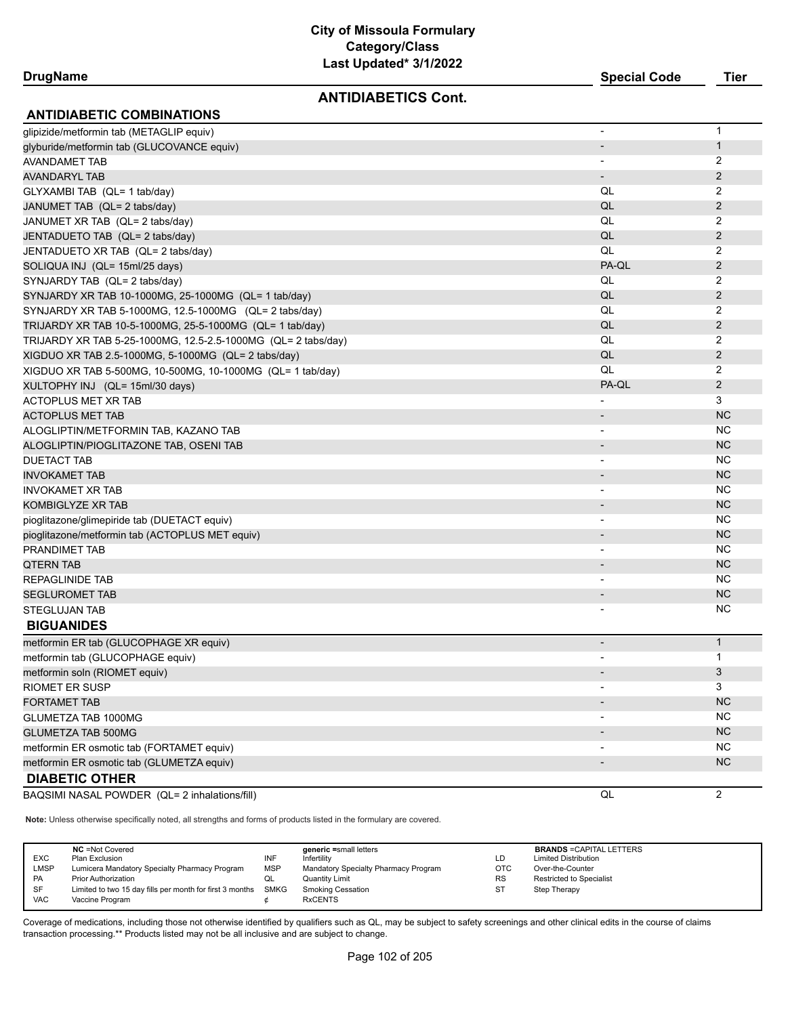#### **ANTIDIABETICS Cont.**

| <b>DrugName</b> | <b>Special Code</b> | Tier |
|-----------------|---------------------|------|

| <b>ANTIDIABETIC COMBINATIONS</b>                              |                          |                |
|---------------------------------------------------------------|--------------------------|----------------|
| glipizide/metformin tab (METAGLIP equiv)                      | $\overline{\phantom{a}}$ | 1              |
| glyburide/metformin tab (GLUCOVANCE equiv)                    | $\overline{\phantom{a}}$ | $\mathbf{1}$   |
| AVANDAMET TAB                                                 |                          | $\overline{2}$ |
| <b>AVANDARYL TAB</b>                                          | $\overline{\phantom{a}}$ | 2              |
| GLYXAMBI TAB (QL= 1 tab/day)                                  | QL                       | 2              |
| JANUMET TAB (QL= 2 tabs/day)                                  | QL                       | 2              |
| JANUMET XR TAB (QL= 2 tabs/day)                               | QL                       | 2              |
| JENTADUETO TAB (QL= 2 tabs/day)                               | QL                       | $\overline{2}$ |
| JENTADUETO XR TAB (QL= 2 tabs/day)                            | QL                       | 2              |
| SOLIQUA INJ (QL= 15ml/25 days)                                | PA-QL                    | $\overline{2}$ |
| SYNJARDY TAB (QL= 2 tabs/day)                                 | QL                       | 2              |
| SYNJARDY XR TAB 10-1000MG, 25-1000MG (QL= 1 tab/day)          | QL                       | $\overline{2}$ |
| SYNJARDY XR TAB 5-1000MG, 12.5-1000MG (QL= 2 tabs/day)        | QL                       | $\overline{2}$ |
| TRIJARDY XR TAB 10-5-1000MG, 25-5-1000MG (QL= 1 tab/day)      | QL                       | 2              |
| TRIJARDY XR TAB 5-25-1000MG, 12.5-2.5-1000MG (QL= 2 tabs/day) | QL                       | 2              |
| XIGDUO XR TAB 2.5-1000MG, 5-1000MG (QL= 2 tabs/day)           | QL                       | $\overline{2}$ |
| XIGDUO XR TAB 5-500MG, 10-500MG, 10-1000MG (QL= 1 tab/day)    | QL                       | 2              |
| XULTOPHY INJ (QL= 15ml/30 days)                               | PA-QL                    | 2              |
| ACTOPLUS MET XR TAB                                           |                          | 3              |
| <b>ACTOPLUS MET TAB</b>                                       | $\overline{\phantom{a}}$ | <b>NC</b>      |
| ALOGLIPTIN/METFORMIN TAB, KAZANO TAB                          | -                        | <b>NC</b>      |
| ALOGLIPTIN/PIOGLITAZONE TAB, OSENI TAB                        |                          | <b>NC</b>      |
| <b>DUETACT TAB</b>                                            |                          | NC.            |
| <b>INVOKAMET TAB</b>                                          | $\overline{a}$           | <b>NC</b>      |
| INVOKAMET XR TAB                                              | $\blacksquare$           | <b>NC</b>      |
| <b>KOMBIGLYZE XR TAB</b>                                      | $\overline{\phantom{a}}$ | <b>NC</b>      |
| pioglitazone/glimepiride tab (DUETACT equiv)                  |                          | NC.            |
| pioglitazone/metformin tab (ACTOPLUS MET equiv)               |                          | <b>NC</b>      |
| PRANDIMET TAB                                                 |                          | <b>NC</b>      |
| <b>QTERN TAB</b>                                              |                          | <b>NC</b>      |
| REPAGLINIDE TAB                                               |                          | <b>NC</b>      |
| <b>SEGLUROMET TAB</b>                                         |                          | <b>NC</b>      |
| STEGLUJAN TAB                                                 |                          | <b>NC</b>      |
| <b>BIGUANIDES</b>                                             |                          |                |
| metformin ER tab (GLUCOPHAGE XR equiv)                        | $\overline{\phantom{a}}$ | $\mathbf{1}$   |
| metformin tab (GLUCOPHAGE equiv)                              |                          | $\mathbf{1}$   |
| metformin soln (RIOMET equiv)                                 |                          | 3              |
| RIOMET ER SUSP                                                |                          | 3              |
| <b>FORTAMET TAB</b>                                           |                          | <b>NC</b>      |
| <b>GLUMETZA TAB 1000MG</b>                                    |                          | <b>NC</b>      |
| <b>GLUMETZA TAB 500MG</b>                                     |                          | NC             |
| metformin ER osmotic tab (FORTAMET equiv)                     |                          | NC.            |
| metformin ER osmotic tab (GLUMETZA equiv)                     | $\overline{\phantom{a}}$ | <b>NC</b>      |
| <b>DIABETIC OTHER</b>                                         |                          |                |
| BAQSIMI NASAL POWDER (QL= 2 inhalations/fill)                 | QL                       | 2              |

**Note:** Unless otherwise specifically noted, all strengths and forms of products listed in the formulary are covered.

| EXC<br>LMSP<br>PA | <b>NC</b> = Not Covered<br>Plan Exclusion<br>Lumicera Mandatory Specialty Pharmacy Program<br><b>Prior Authorization</b> | INF<br><b>MSP</b><br>QL | generic =small letters<br>Infertility<br>Mandatory Specialty Pharmacy Program<br>Quantity Limit | LD<br>OTC<br><b>RS</b> | <b>BRANDS = CAPITAL LETTERS</b><br><b>Limited Distribution</b><br>Over-the-Counter<br><b>Restricted to Specialist</b> |
|-------------------|--------------------------------------------------------------------------------------------------------------------------|-------------------------|-------------------------------------------------------------------------------------------------|------------------------|-----------------------------------------------------------------------------------------------------------------------|
| SF<br><b>VAC</b>  | Limited to two 15 day fills per month for first 3 months SMKG<br>Vaccine Program                                         |                         | <b>Smoking Cessation</b><br><b>RxCENTS</b>                                                      | <b>ST</b>              | Step Therapy                                                                                                          |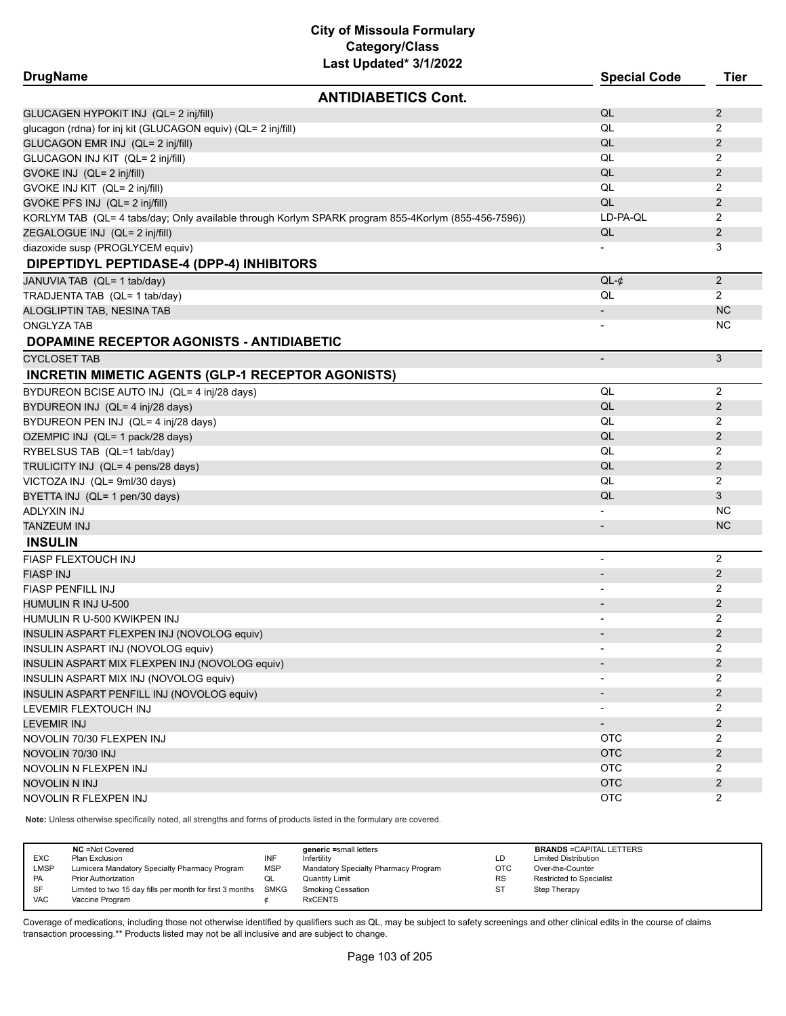| <b>DrugName</b>                                               | Last updated" 3/1/2022                                                                              | <b>Special Code</b>          | <b>Tier</b>    |
|---------------------------------------------------------------|-----------------------------------------------------------------------------------------------------|------------------------------|----------------|
|                                                               | <b>ANTIDIABETICS Cont.</b>                                                                          |                              |                |
| GLUCAGEN HYPOKIT INJ (QL= 2 inj/fill)                         |                                                                                                     | QL                           | $\mathbf{2}$   |
| glucagon (rdna) for inj kit (GLUCAGON equiv) (QL= 2 inj/fill) |                                                                                                     | QL                           | 2              |
| GLUCAGON EMR INJ (QL= 2 inj/fill)                             |                                                                                                     | QL                           | $\overline{2}$ |
| GLUCAGON INJ KIT (QL= 2 inj/fill)                             |                                                                                                     | QL                           | 2              |
| GVOKE INJ (QL= 2 inj/fill)                                    |                                                                                                     | QL                           | $\overline{2}$ |
| GVOKE INJ KIT (QL= 2 inj/fill)                                |                                                                                                     | QL                           | 2              |
| GVOKE PFS INJ (QL= 2 inj/fill)                                |                                                                                                     | QL                           | $\overline{2}$ |
|                                                               | KORLYM TAB (QL= 4 tabs/day; Only available through Korlym SPARK program 855-4Korlym (855-456-7596)) | LD-PA-QL                     | 2              |
| ZEGALOGUE INJ (QL= 2 inj/fill)                                |                                                                                                     | QL                           | $\overline{2}$ |
| diazoxide susp (PROGLYCEM equiv)                              |                                                                                                     |                              | 3              |
| DIPEPTIDYL PEPTIDASE-4 (DPP-4) INHIBITORS                     |                                                                                                     |                              |                |
| JANUVIA TAB (QL= 1 tab/day)                                   |                                                                                                     | $QL-¢$                       | $\overline{2}$ |
| TRADJENTA TAB (QL= 1 tab/day)                                 |                                                                                                     | QL                           | $\overline{2}$ |
| ALOGLIPTIN TAB, NESINA TAB                                    |                                                                                                     |                              | <b>NC</b>      |
| ONGLYZA TAB                                                   |                                                                                                     |                              | <b>NC</b>      |
| DOPAMINE RECEPTOR AGONISTS - ANTIDIABETIC                     |                                                                                                     |                              |                |
| <b>CYCLOSET TAB</b>                                           |                                                                                                     | $\overline{\phantom{m}}$     | 3              |
| <b>INCRETIN MIMETIC AGENTS (GLP-1 RECEPTOR AGONISTS)</b>      |                                                                                                     |                              |                |
| BYDUREON BCISE AUTO INJ (QL= 4 inj/28 days)                   |                                                                                                     | QL                           | 2              |
| BYDUREON INJ (QL= 4 inj/28 days)                              |                                                                                                     | QL                           | $\overline{2}$ |
| BYDUREON PEN INJ (QL= 4 inj/28 days)                          |                                                                                                     | QL                           | 2              |
| OZEMPIC INJ (QL= 1 pack/28 days)                              |                                                                                                     | QL                           | $\overline{c}$ |
| RYBELSUS TAB (QL=1 tab/day)                                   |                                                                                                     | QL                           | 2              |
| TRULICITY INJ (QL= 4 pens/28 days)                            |                                                                                                     | QL                           | $\overline{2}$ |
| VICTOZA INJ (QL= 9ml/30 days)                                 |                                                                                                     | QL                           | 2              |
| BYETTA INJ (QL= 1 pen/30 days)                                |                                                                                                     | QL                           | 3              |
| ADLYXIN INJ                                                   |                                                                                                     | $\overline{a}$               | <b>NC</b>      |
| TANZEUM INJ                                                   |                                                                                                     | $\overline{\phantom{m}}$     | <b>NC</b>      |
| <b>INSULIN</b>                                                |                                                                                                     |                              |                |
| FIASP FLEXTOUCH INJ                                           |                                                                                                     | $\overline{\phantom{0}}$     | 2              |
| <b>FIASP INJ</b>                                              |                                                                                                     |                              | $\overline{2}$ |
| <b>FIASP PENFILL INJ</b>                                      |                                                                                                     |                              | 2              |
| HUMULIN R INJ U-500                                           |                                                                                                     |                              | $\overline{2}$ |
| HUMULIN R U-500 KWIKPEN INJ                                   |                                                                                                     |                              | $\overline{2}$ |
| INSULIN ASPART FLEXPEN INJ (NOVOLOG equiv)                    |                                                                                                     |                              | $\overline{2}$ |
| INSULIN ASPART INJ (NOVOLOG equiv)                            |                                                                                                     |                              | $\overline{2}$ |
| INSULIN ASPART MIX FLEXPEN INJ (NOVOLOG equiv)                |                                                                                                     |                              | 2              |
| INSULIN ASPART MIX INJ (NOVOLOG equiv)                        |                                                                                                     | $\overline{\phantom{a}}$     | $\overline{2}$ |
| INSULIN ASPART PENFILL INJ (NOVOLOG equiv)                    |                                                                                                     |                              | $\overline{2}$ |
| LEVEMIR FLEXTOUCH INJ                                         |                                                                                                     |                              | 2              |
| <b>LEVEMIR INJ</b>                                            |                                                                                                     | $\qquad \qquad \blacksquare$ | $\overline{c}$ |
| NOVOLIN 70/30 FLEXPEN INJ                                     |                                                                                                     | <b>OTC</b>                   | 2              |
| NOVOLIN 70/30 INJ                                             |                                                                                                     | <b>OTC</b>                   | $\overline{2}$ |
| NOVOLIN N FLEXPEN INJ                                         |                                                                                                     | <b>OTC</b>                   | 2              |
| NOVOLIN N INJ                                                 |                                                                                                     | <b>OTC</b>                   | $\overline{2}$ |
| NOVOLIN R FLEXPEN INJ                                         |                                                                                                     | <b>OTC</b>                   | $\overline{2}$ |
|                                                               |                                                                                                     |                              |                |

**Note:** Unless otherwise specifically noted, all strengths and forms of products listed in the formulary are covered.

| <b>EXC</b><br><b>LMSP</b><br><b>PA</b><br><b>SF</b> | <b>NC</b> = Not Covered<br>Plan Exclusion<br>Lumicera Mandatory Specialty Pharmacy Program<br><b>Prior Authorization</b><br>Limited to two 15 day fills per month for first 3 months SMKG | INF<br><b>MSP</b><br>QL | generic =small letters<br>Infertility<br>Mandatory Specialty Pharmacy Program<br>Quantity Limit<br><b>Smoking Cessation</b> | LD<br><b>OTC</b><br><b>RS</b><br>ST | <b>BRANDS = CAPITAL LETTERS</b><br><b>Limited Distribution</b><br>Over-the-Counter<br><b>Restricted to Specialist</b><br>Step Therapy |
|-----------------------------------------------------|-------------------------------------------------------------------------------------------------------------------------------------------------------------------------------------------|-------------------------|-----------------------------------------------------------------------------------------------------------------------------|-------------------------------------|---------------------------------------------------------------------------------------------------------------------------------------|
| <b>VAC</b>                                          | Vaccine Program                                                                                                                                                                           |                         | <b>RxCENTS</b>                                                                                                              |                                     |                                                                                                                                       |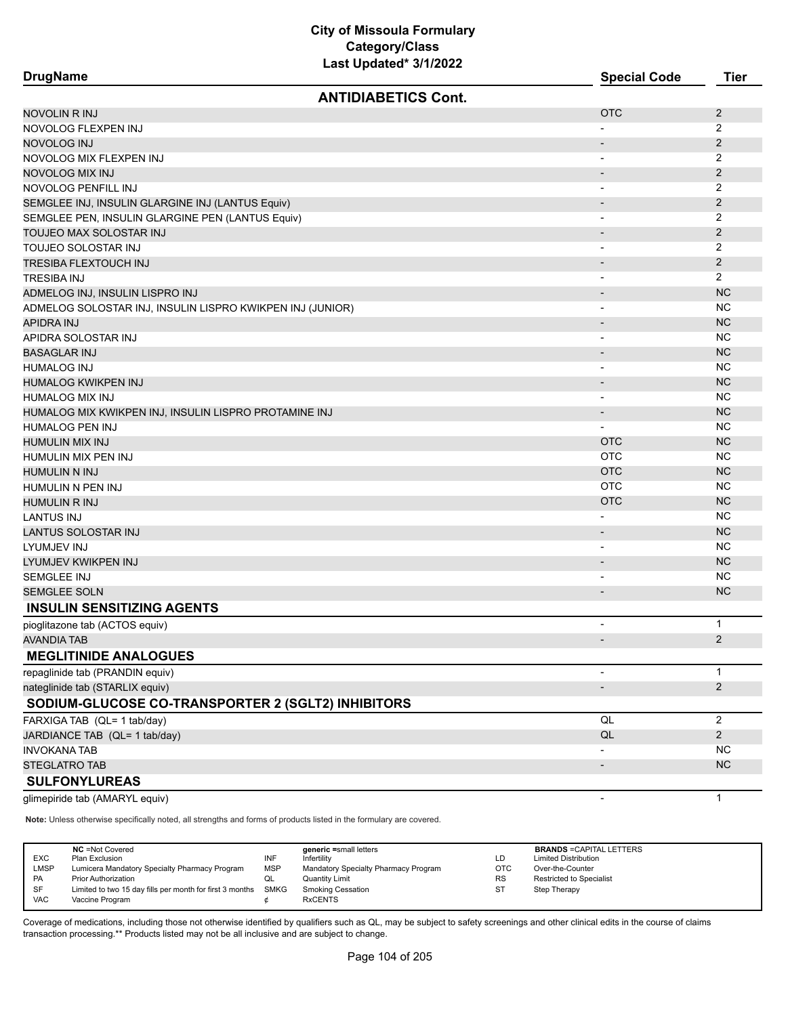| <b>DrugName</b>                                           | Last Updated 3/1/2022      | <b>Special Code</b>          | <b>Tier</b>    |
|-----------------------------------------------------------|----------------------------|------------------------------|----------------|
|                                                           | <b>ANTIDIABETICS Cont.</b> |                              |                |
| <b>NOVOLIN R INJ</b>                                      |                            | <b>OTC</b>                   | 2              |
| NOVOLOG FLEXPEN INJ                                       |                            |                              | $\overline{2}$ |
| NOVOLOG INJ                                               |                            | -                            | $\overline{2}$ |
| NOVOLOG MIX FLEXPEN INJ                                   |                            | $\overline{\phantom{a}}$     | $\overline{2}$ |
| NOVOLOG MIX INJ                                           |                            | $\overline{\phantom{a}}$     | $\overline{2}$ |
| NOVOLOG PENFILL INJ                                       |                            | $\overline{\phantom{a}}$     | $\overline{2}$ |
| SEMGLEE INJ, INSULIN GLARGINE INJ (LANTUS Equiv)          |                            | $\overline{\phantom{a}}$     | $\overline{2}$ |
| SEMGLEE PEN, INSULIN GLARGINE PEN (LANTUS Equiv)          |                            | $\overline{\phantom{a}}$     | 2              |
| TOUJEO MAX SOLOSTAR INJ                                   |                            | $\overline{\phantom{0}}$     | 2              |
| TOUJEO SOLOSTAR INJ                                       |                            | $\overline{\phantom{a}}$     | 2              |
| TRESIBA FLEXTOUCH INJ                                     |                            | $\overline{\phantom{a}}$     | $\overline{2}$ |
| <b>TRESIBA INJ</b>                                        |                            | $\overline{\phantom{0}}$     | $\overline{2}$ |
| ADMELOG INJ, INSULIN LISPRO INJ                           |                            | $\overline{\phantom{a}}$     | <b>NC</b>      |
| ADMELOG SOLOSTAR INJ, INSULIN LISPRO KWIKPEN INJ (JUNIOR) |                            |                              | <b>NC</b>      |
| <b>APIDRA INJ</b>                                         |                            | $\overline{\phantom{a}}$     | <b>NC</b>      |
| APIDRA SOLOSTAR INJ                                       |                            | -                            | <b>NC</b>      |
| <b>BASAGLAR INJ</b>                                       |                            | $\overline{\phantom{a}}$     | <b>NC</b>      |
| <b>HUMALOG INJ</b>                                        |                            | -                            | <b>NC</b>      |
| HUMALOG KWIKPEN INJ                                       |                            | $\qquad \qquad \blacksquare$ | <b>NC</b>      |
| <b>HUMALOG MIX INJ</b>                                    |                            | $\overline{\phantom{a}}$     | <b>NC</b>      |
| HUMALOG MIX KWIKPEN INJ, INSULIN LISPRO PROTAMINE INJ     |                            | ۰                            | <b>NC</b>      |
| <b>HUMALOG PEN INJ</b>                                    |                            | -                            | <b>NC</b>      |
| <b>HUMULIN MIX INJ</b>                                    |                            | <b>OTC</b>                   | <b>NC</b>      |
| HUMULIN MIX PEN INJ                                       |                            | <b>OTC</b>                   | <b>NC</b>      |
| <b>HUMULIN N INJ</b>                                      |                            | <b>OTC</b>                   | <b>NC</b>      |
| HUMULIN N PEN INJ                                         |                            | <b>OTC</b>                   | <b>NC</b>      |
| <b>HUMULIN R INJ</b>                                      |                            | <b>OTC</b>                   | <b>NC</b>      |
| <b>LANTUS INJ</b>                                         |                            |                              | NC             |
| LANTUS SOLOSTAR INJ                                       |                            | $\overline{\phantom{a}}$     | <b>NC</b>      |
| LYUMJEV INJ                                               |                            | $\overline{\phantom{0}}$     | <b>NC</b>      |
| LYUMJEV KWIKPEN INJ                                       |                            | $\overline{\phantom{0}}$     | <b>NC</b>      |
| SEMGLEE INJ                                               |                            |                              | <b>NC</b>      |
| <b>SEMGLEE SOLN</b>                                       |                            | $\overline{\phantom{a}}$     | <b>NC</b>      |
| <b>INSULIN SENSITIZING AGENTS</b>                         |                            |                              |                |
| pioglitazone tab (ACTOS equiv)                            |                            | ٠                            | 1              |
| <b>AVANDIA TAB</b>                                        |                            |                              | $\overline{a}$ |
| <b>MEGLITINIDE ANALOGUES</b>                              |                            |                              |                |
| repaglinide tab (PRANDIN equiv)                           |                            | $\overline{\phantom{0}}$     | $\mathbf{1}$   |
| nateglinide tab (STARLIX equiv)                           |                            | $\overline{\phantom{0}}$     | $\overline{2}$ |
| SODIUM-GLUCOSE CO-TRANSPORTER 2 (SGLT2) INHIBITORS        |                            |                              |                |
| FARXIGA TAB (QL= 1 tab/day)                               |                            | QL                           | $\overline{c}$ |
| JARDIANCE TAB (QL= 1 tab/day)                             |                            | QL                           | $\overline{2}$ |
| <b>INVOKANA TAB</b>                                       |                            | -                            | <b>NC</b>      |
| <b>STEGLATRO TAB</b>                                      |                            | $\overline{\phantom{0}}$     | NC             |
| <b>SULFONYLUREAS</b>                                      |                            |                              |                |
|                                                           |                            | $\overline{a}$               | 1              |
| glimepiride tab (AMARYL equiv)                            |                            |                              |                |

**Note:** Unless otherwise specifically noted, all strengths and forms of products listed in the formulary are covered.

| <b>EXC</b><br><b>LMSP</b><br><b>PA</b><br>SF | <b>NC</b> = Not Covered<br>Plan Exclusion<br>Lumicera Mandatory Specialty Pharmacy Program<br><b>Prior Authorization</b><br>Limited to two 15 day fills per month for first 3 months | INF<br><b>MSP</b><br>QL<br><b>SMKG</b> | generic =small letters<br>Infertility<br>Mandatory Specialty Pharmacy Program<br><b>Quantity Limit</b><br><b>Smoking Cessation</b> | LC<br><b>OTC</b><br><b>RS</b><br>SΤ | <b>BRANDS = CAPITAL LETTERS</b><br><b>Limited Distribution</b><br>Over-the-Counter<br><b>Restricted to Specialist</b><br>Step Therapy |
|----------------------------------------------|--------------------------------------------------------------------------------------------------------------------------------------------------------------------------------------|----------------------------------------|------------------------------------------------------------------------------------------------------------------------------------|-------------------------------------|---------------------------------------------------------------------------------------------------------------------------------------|
| <b>VAC</b>                                   | Vaccine Program                                                                                                                                                                      |                                        | <b>RxCENTS</b>                                                                                                                     |                                     |                                                                                                                                       |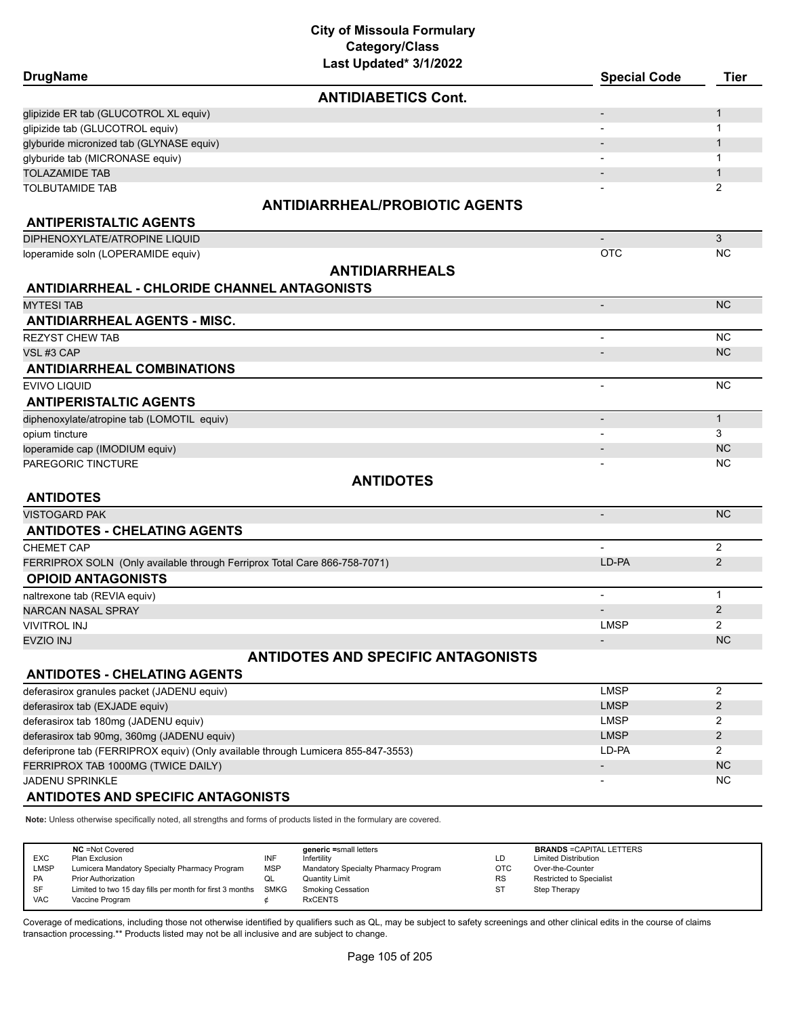# **City of Missoula Formulary Category/Class**

| Last Updated* 3/1/2022                                                           |                              |                |
|----------------------------------------------------------------------------------|------------------------------|----------------|
| <b>DrugName</b>                                                                  | <b>Special Code</b>          | <b>Tier</b>    |
| <b>ANTIDIABETICS Cont.</b>                                                       |                              |                |
| glipizide ER tab (GLUCOTROL XL equiv)                                            | $\overline{\phantom{a}}$     | 1              |
| glipizide tab (GLUCOTROL equiv)                                                  |                              | 1              |
| glyburide micronized tab (GLYNASE equiv)                                         |                              | $\mathbf{1}$   |
| glyburide tab (MICRONASE equiv)                                                  | $\blacksquare$               | 1              |
| <b>TOLAZAMIDE TAB</b>                                                            | $\blacksquare$               | $\mathbf{1}$   |
| <b>TOLBUTAMIDE TAB</b>                                                           |                              | 2              |
| <b>ANTIDIARRHEAL/PROBIOTIC AGENTS</b>                                            |                              |                |
| <b>ANTIPERISTALTIC AGENTS</b>                                                    |                              |                |
| DIPHENOXYLATE/ATROPINE LIQUID                                                    | $\qquad \qquad \blacksquare$ | 3              |
| loperamide soln (LOPERAMIDE equiv)                                               | <b>OTC</b>                   | <b>NC</b>      |
| <b>ANTIDIARRHEALS</b>                                                            |                              |                |
| <b>ANTIDIARRHEAL - CHLORIDE CHANNEL ANTAGONISTS</b>                              |                              |                |
| <b>MYTESI TAB</b>                                                                | $\overline{\phantom{a}}$     | <b>NC</b>      |
| <b>ANTIDIARRHEAL AGENTS - MISC.</b>                                              |                              |                |
| <b>REZYST CHEW TAB</b>                                                           | $\overline{\phantom{a}}$     | <b>NC</b>      |
| VSL#3 CAP                                                                        | $\overline{\phantom{a}}$     | <b>NC</b>      |
| <b>ANTIDIARRHEAL COMBINATIONS</b>                                                |                              |                |
| EVIVO LIQUID                                                                     | $\overline{\phantom{a}}$     | <b>NC</b>      |
| <b>ANTIPERISTALTIC AGENTS</b>                                                    |                              |                |
| diphenoxylate/atropine tab (LOMOTIL equiv)                                       | $\overline{\phantom{a}}$     | $\mathbf{1}$   |
| opium tincture                                                                   |                              | 3              |
| loperamide cap (IMODIUM equiv)                                                   |                              | <b>NC</b>      |
| PAREGORIC TINCTURE                                                               |                              | <b>NC</b>      |
| <b>ANTIDOTES</b>                                                                 |                              |                |
| <b>ANTIDOTES</b>                                                                 |                              |                |
| VISTOGARD PAK                                                                    | $\overline{\phantom{a}}$     | <b>NC</b>      |
| <b>ANTIDOTES - CHELATING AGENTS</b>                                              |                              |                |
| <b>CHEMET CAP</b>                                                                | $\overline{a}$               | $\overline{2}$ |
| FERRIPROX SOLN (Only available through Ferriprox Total Care 866-758-7071)        | LD-PA                        | 2              |
| <b>OPIOID ANTAGONISTS</b>                                                        |                              |                |
| naltrexone tab (REVIA equiv)                                                     | $\overline{\phantom{0}}$     | $\mathbf{1}$   |
| NARCAN NASAL SPRAY                                                               |                              | $\overline{2}$ |
| <b>VIVITROL INJ</b>                                                              | <b>LMSP</b>                  | $\overline{2}$ |
| <b>EVZIO INJ</b>                                                                 |                              | <b>NC</b>      |
| <b>ANTIDOTES AND SPECIFIC ANTAGONISTS</b>                                        |                              |                |
| <b>ANTIDOTES - CHELATING AGENTS</b>                                              |                              |                |
| deferasirox granules packet (JADENU equiv)                                       | <b>LMSP</b>                  | $\overline{c}$ |
| deferasirox tab (EXJADE equiv)                                                   | <b>LMSP</b>                  | $\overline{2}$ |
| deferasirox tab 180mg (JADENU equiv)                                             | <b>LMSP</b>                  | 2              |
| deferasirox tab 90mg, 360mg (JADENU equiv)                                       | <b>LMSP</b>                  | $\overline{2}$ |
| deferiprone tab (FERRIPROX equiv) (Only available through Lumicera 855-847-3553) | LD-PA                        | $\overline{2}$ |
| FERRIPROX TAB 1000MG (TWICE DAILY)                                               |                              | <b>NC</b>      |
| JADENU SPRINKLE                                                                  |                              | <b>NC</b>      |
| <b>ANTIDOTES AND SPECIFIC ANTAGONISTS</b>                                        |                              |                |

**Note:** Unless otherwise specifically noted, all strengths and forms of products listed in the formulary are covered.

| <b>EXC</b><br>LMSP | <b>NC</b> = Not Covered<br>Plan Exclusion<br>Lumicera Mandatory Specialty Pharmacy Program | INF<br><b>MSP</b> | generic =small letters<br>Infertility<br>Mandatory Specialty Pharmacy Program | LD<br><b>OTC</b> | <b>BRANDS = CAPITAL LETTERS</b><br><b>Limited Distribution</b><br>Over-the-Counter |
|--------------------|--------------------------------------------------------------------------------------------|-------------------|-------------------------------------------------------------------------------|------------------|------------------------------------------------------------------------------------|
| <b>PA</b>          | <b>Prior Authorization</b>                                                                 | QL                | <b>Quantity Limit</b>                                                         | <b>RS</b>        | <b>Restricted to Specialist</b>                                                    |
| SF<br><b>VAC</b>   | Limited to two 15 day fills per month for first 3 months<br>Vaccine Program                | SMKG              | Smoking Cessation<br><b>RxCENTS</b>                                           | ST               | Step Therapy                                                                       |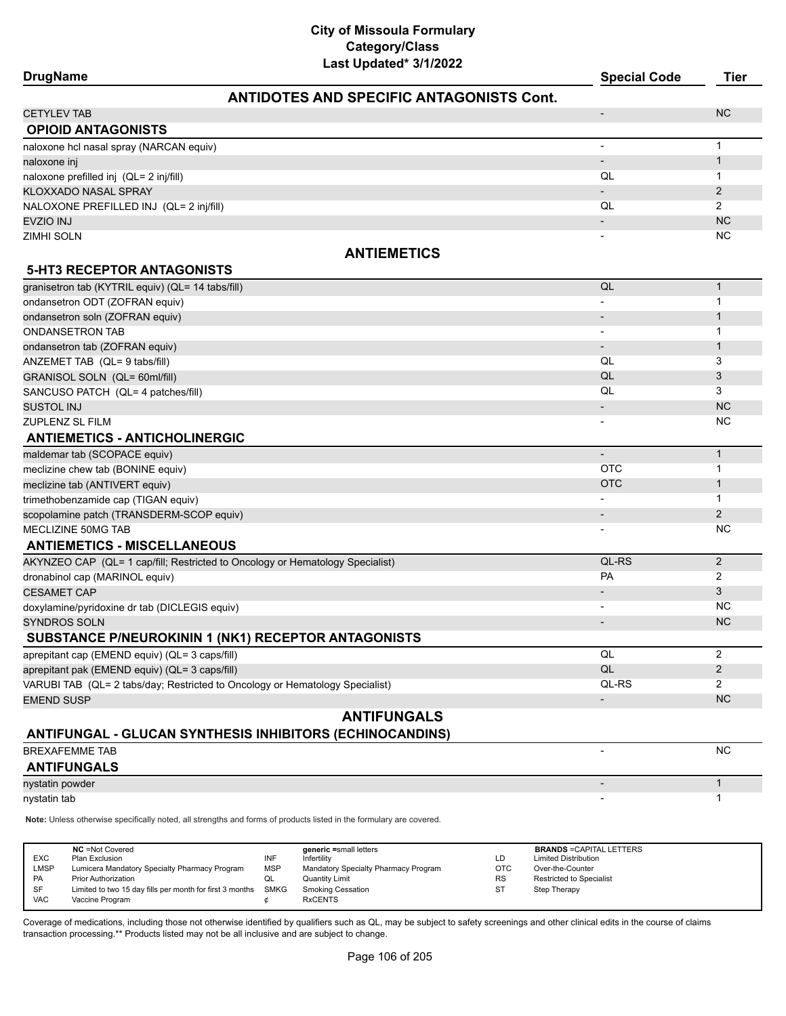| Last Updated* 3/1/2022<br><b>DrugName</b>                                     | <b>Special Code</b>      | <b>Tier</b>    |
|-------------------------------------------------------------------------------|--------------------------|----------------|
| <b>ANTIDOTES AND SPECIFIC ANTAGONISTS Cont.</b>                               |                          |                |
| <b>CETYLEV TAB</b>                                                            | $\overline{\phantom{m}}$ | <b>NC</b>      |
| <b>OPIOID ANTAGONISTS</b>                                                     |                          |                |
| naloxone hcl nasal spray (NARCAN equiv)                                       | $\overline{\phantom{0}}$ | 1              |
| naloxone inj                                                                  | $\overline{\phantom{a}}$ | $\mathbf{1}$   |
| naloxone prefilled inj (QL= 2 inj/fill)                                       | QL                       | 1              |
| KLOXXADO NASAL SPRAY                                                          |                          | $\overline{2}$ |
| NALOXONE PREFILLED INJ (QL= 2 inj/fill)                                       | QL                       | $\overline{2}$ |
| <b>EVZIO INJ</b>                                                              |                          | <b>NC</b>      |
| <b>ZIMHI SOLN</b>                                                             |                          | <b>NC</b>      |
| <b>ANTIEMETICS</b>                                                            |                          |                |
| <b>5-HT3 RECEPTOR ANTAGONISTS</b>                                             |                          |                |
| granisetron tab (KYTRIL equiv) (QL= 14 tabs/fill)                             | QL                       | $\mathbf{1}$   |
| ondansetron ODT (ZOFRAN equiv)                                                |                          | 1              |
| ondansetron soln (ZOFRAN equiv)                                               | $\overline{\phantom{0}}$ | 1              |
| <b>ONDANSETRON TAB</b>                                                        | $\blacksquare$           | 1              |
| ondansetron tab (ZOFRAN equiv)                                                |                          | 1              |
| ANZEMET TAB (QL= 9 tabs/fill)                                                 | QL                       | 3              |
| GRANISOL SOLN (QL= 60ml/fill)                                                 | QL                       | 3              |
| SANCUSO PATCH (QL= 4 patches/fill)                                            | QL                       | 3              |
| <b>SUSTOL INJ</b>                                                             |                          | <b>NC</b>      |
| <b>ZUPLENZ SL FILM</b>                                                        |                          | <b>NC</b>      |
| <b>ANTIEMETICS - ANTICHOLINERGIC</b>                                          |                          |                |
| maldemar tab (SCOPACE equiv)                                                  |                          | $\mathbf{1}$   |
| meclizine chew tab (BONINE equiv)                                             | <b>OTC</b>               | 1              |
| meclizine tab (ANTIVERT equiv)                                                | OTC                      | 1              |
| trimethobenzamide cap (TIGAN equiv)                                           |                          | $\mathbf{1}$   |
| scopolamine patch (TRANSDERM-SCOP equiv)                                      |                          | $\overline{2}$ |
| MECLIZINE 50MG TAB                                                            |                          | <b>NC</b>      |
| <b>ANTIEMETICS - MISCELLANEOUS</b>                                            |                          |                |
| AKYNZEO CAP (QL= 1 cap/fill; Restricted to Oncology or Hematology Specialist) | QL-RS                    | $\overline{2}$ |
| dronabinol cap (MARINOL equiv)                                                | PA                       | 2              |
| <b>CESAMET CAP</b>                                                            | $\overline{\phantom{a}}$ | 3              |
| doxylamine/pyridoxine dr tab (DICLEGIS equiv)                                 |                          | <b>NC</b>      |
| <b>SYNDROS SOLN</b>                                                           |                          | <b>NC</b>      |
| SUBSTANCE P/NEUROKININ 1 (NK1) RECEPTOR ANTAGONISTS                           |                          |                |
| aprepitant cap (EMEND equiv) (QL= 3 caps/fill)                                | QL                       | $\overline{2}$ |
| aprepitant pak (EMEND equiv) (QL= 3 caps/fill)                                | QL                       | $\overline{2}$ |
| VARUBI TAB (QL= 2 tabs/day; Restricted to Oncology or Hematology Specialist)  | QL-RS                    | $\overline{2}$ |
| <b>EMEND SUSP</b>                                                             | $\overline{\phantom{0}}$ | <b>NC</b>      |
| <b>ANTIFUNGALS</b>                                                            |                          |                |
| <b>ANTIFUNGAL - GLUCAN SYNTHESIS INHIBITORS (ECHINOCANDINS)</b>               |                          |                |
| <b>BREXAFEMME TAB</b>                                                         | $\overline{a}$           | <b>NC</b>      |
| <b>ANTIFUNGALS</b>                                                            |                          |                |
| nystatin powder                                                               |                          | $\mathbf{1}$   |
| nystatin tab                                                                  |                          | 1              |
|                                                                               |                          |                |

**Note:** Unless otherwise specifically noted, all strengths and forms of products listed in the formulary are covered.

| <b>EXC</b><br><b>LMSP</b><br>PA<br>SF | <b>NC</b> = Not Covered<br>Plan Exclusion<br>Lumicera Mandatory Specialty Pharmacy Program<br><b>Prior Authorization</b><br>Limited to two 15 day fills per month for first 3 months | INF<br><b>MSP</b><br>QL<br>SMKG | generic =small letters<br>Infertility<br>Mandatory Specialty Pharmacy Program<br>Quantity Limit<br><b>Smoking Cessation</b> | LD<br>отс<br><b>RS</b><br>ST | <b>BRANDS = CAPITAL LETTERS</b><br><b>Limited Distribution</b><br>Over-the-Counter<br><b>Restricted to Specialist</b><br>Step Therapy |
|---------------------------------------|--------------------------------------------------------------------------------------------------------------------------------------------------------------------------------------|---------------------------------|-----------------------------------------------------------------------------------------------------------------------------|------------------------------|---------------------------------------------------------------------------------------------------------------------------------------|
| <b>VAC</b>                            | Vaccine Program                                                                                                                                                                      |                                 | <b>RxCENTS</b>                                                                                                              |                              |                                                                                                                                       |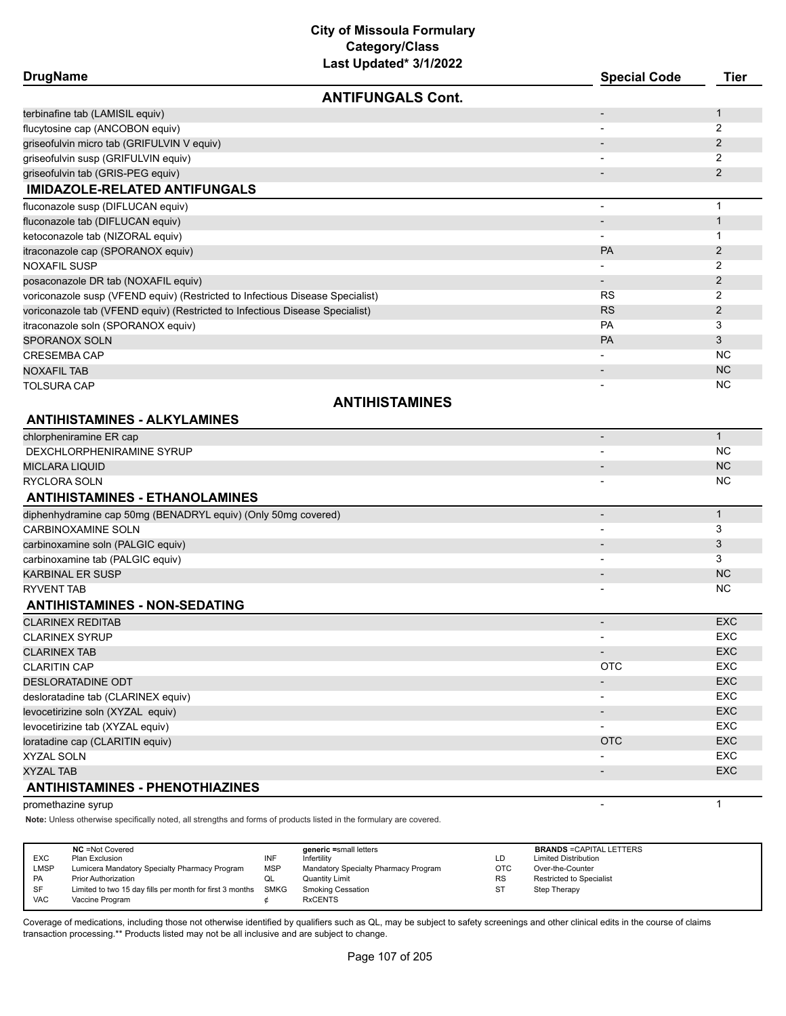## **City of Missoula Formulary Category/Class**

|                                                                               | Last Updated* 3/1/2022   |                          |                |
|-------------------------------------------------------------------------------|--------------------------|--------------------------|----------------|
| <b>DrugName</b>                                                               |                          | <b>Special Code</b>      | <b>Tier</b>    |
|                                                                               | <b>ANTIFUNGALS Cont.</b> |                          |                |
| terbinafine tab (LAMISIL equiv)                                               |                          |                          | $\mathbf{1}$   |
| flucytosine cap (ANCOBON equiv)                                               |                          |                          | 2              |
| griseofulvin micro tab (GRIFULVIN V equiv)                                    |                          |                          | 2              |
| griseofulvin susp (GRIFULVIN equiv)                                           |                          |                          | 2              |
| griseofulvin tab (GRIS-PEG equiv)                                             |                          |                          | 2              |
| <b>IMIDAZOLE-RELATED ANTIFUNGALS</b>                                          |                          |                          |                |
| fluconazole susp (DIFLUCAN equiv)                                             |                          | $\overline{\phantom{a}}$ | $\mathbf{1}$   |
| fluconazole tab (DIFLUCAN equiv)                                              |                          |                          | $\mathbf{1}$   |
| ketoconazole tab (NIZORAL equiv)                                              |                          |                          | $\mathbf 1$    |
| itraconazole cap (SPORANOX equiv)                                             |                          | <b>PA</b>                | $\overline{2}$ |
| NOXAFIL SUSP                                                                  |                          |                          | 2              |
| posaconazole DR tab (NOXAFIL equiv)                                           |                          |                          | $\overline{2}$ |
| voriconazole susp (VFEND equiv) (Restricted to Infectious Disease Specialist) |                          | <b>RS</b>                | 2              |
| voriconazole tab (VFEND equiv) (Restricted to Infectious Disease Specialist)  |                          | <b>RS</b>                | $\overline{2}$ |
| itraconazole soln (SPORANOX equiv)                                            |                          | PA                       | 3              |
| SPORANOX SOLN                                                                 |                          | PA                       | 3              |
| CRESEMBA CAP                                                                  |                          |                          | <b>NC</b>      |
| <b>NOXAFIL TAB</b>                                                            |                          |                          | <b>NC</b>      |
| TOLSURA CAP                                                                   |                          |                          | <b>NC</b>      |
|                                                                               | <b>ANTIHISTAMINES</b>    |                          |                |
| <b>ANTIHISTAMINES - ALKYLAMINES</b>                                           |                          |                          |                |
| chlorpheniramine ER cap                                                       |                          | $\overline{\phantom{a}}$ | $\mathbf{1}$   |
| DEXCHLORPHENIRAMINE SYRUP                                                     |                          |                          | <b>NC</b>      |
| MICLARA LIQUID                                                                |                          | $\overline{\phantom{a}}$ | <b>NC</b>      |
| RYCLORA SOLN                                                                  |                          |                          | <b>NC</b>      |
| <b>ANTIHISTAMINES - ETHANOLAMINES</b>                                         |                          |                          |                |
| diphenhydramine cap 50mg (BENADRYL equiv) (Only 50mg covered)                 |                          | $\overline{\phantom{a}}$ | $\mathbf{1}$   |
| <b>CARBINOXAMINE SOLN</b>                                                     |                          |                          | 3              |
| carbinoxamine soln (PALGIC equiv)                                             |                          |                          | 3              |
| carbinoxamine tab (PALGIC equiv)                                              |                          |                          | 3              |
| <b>KARBINAL ER SUSP</b>                                                       |                          | $\overline{\phantom{a}}$ | <b>NC</b>      |
| <b>RYVENT TAB</b>                                                             |                          |                          | <b>NC</b>      |
| <b>ANTIHISTAMINES - NON-SEDATING</b>                                          |                          |                          |                |
| <b>CLARINEX REDITAB</b>                                                       |                          |                          | <b>EXC</b>     |
| <b>CLARINEX SYRUP</b>                                                         |                          | $\overline{a}$           | EXC            |
| <b>CLARINEX TAB</b>                                                           |                          | $\overline{\phantom{a}}$ | EXC            |
| <b>CLARITIN CAP</b>                                                           |                          | <b>OTC</b>               | <b>EXC</b>     |
| DESLORATADINE ODT                                                             |                          | $\overline{\phantom{a}}$ | EXC            |
| desloratadine tab (CLARINEX equiv)                                            |                          | $\overline{\phantom{a}}$ | EXC            |
| levocetirizine soln (XYZAL equiv)                                             |                          | $\overline{\phantom{a}}$ | EXC            |
| levocetirizine tab (XYZAL equiv)                                              |                          | $\overline{\phantom{a}}$ | EXC            |
| loratadine cap (CLARITIN equiv)                                               |                          | <b>OTC</b>               | EXC            |
|                                                                               |                          |                          |                |

XYZAL SOLN - EXC

XYZAL TAB - EXC

#### **ANTIHISTAMINES - PHENOTHIAZINES**

#### promethazine syrup 1

**Note:** Unless otherwise specifically noted, all strengths and forms of products listed in the formulary are covered.

| <b>EXC</b><br>LMSP<br>PA | <b>NC</b> = Not Covered<br>Plan Exclusion<br>Lumicera Mandatory Specialty Pharmacy Program<br><b>Prior Authorization</b> | INF<br><b>MSP</b><br>QL | generic =small letters<br>Infertility<br>Mandatory Specialty Pharmacy Program<br><b>Quantity Limit</b> | LD<br>OTC<br><b>RS</b> | <b>BRANDS = CAPITAL LETTERS</b><br><b>Limited Distribution</b><br>Over-the-Counter<br>Restricted to Specialist |
|--------------------------|--------------------------------------------------------------------------------------------------------------------------|-------------------------|--------------------------------------------------------------------------------------------------------|------------------------|----------------------------------------------------------------------------------------------------------------|
| <b>SF</b><br><b>VAC</b>  | Limited to two 15 day fills per month for first 3 months<br>Vaccine Program                                              | SMKG                    | <b>Smoking Cessation</b><br><b>RxCENTS</b>                                                             | S٦                     | Step Therapy                                                                                                   |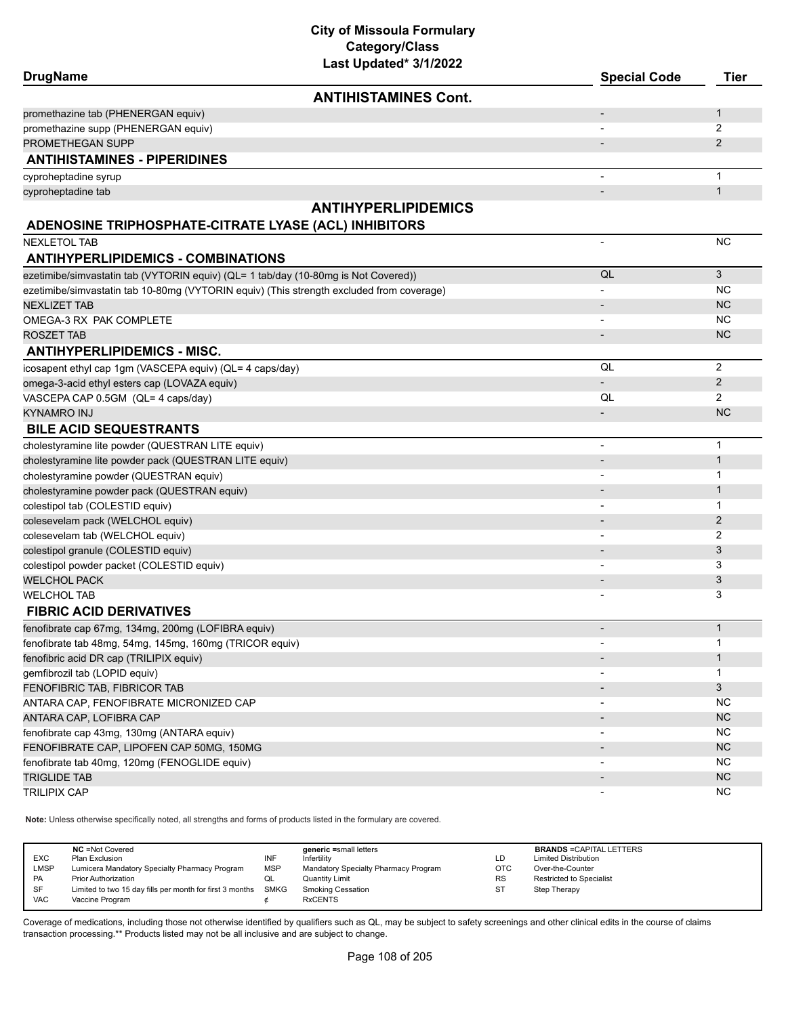| <b>DrugName</b>                                                                          | Last Updated <sup>®</sup> 3/1/2022 | <b>Special Code</b>      | <b>Tier</b>    |
|------------------------------------------------------------------------------------------|------------------------------------|--------------------------|----------------|
|                                                                                          | <b>ANTIHISTAMINES Cont.</b>        |                          |                |
| promethazine tab (PHENERGAN equiv)                                                       |                                    |                          | $\mathbf{1}$   |
| promethazine supp (PHENERGAN equiv)                                                      |                                    |                          | $\overline{2}$ |
| PROMETHEGAN SUPP                                                                         |                                    |                          | $\overline{2}$ |
| <b>ANTIHISTAMINES - PIPERIDINES</b>                                                      |                                    |                          |                |
| cyproheptadine syrup                                                                     |                                    | $\blacksquare$           | $\mathbf{1}$   |
| cyproheptadine tab                                                                       |                                    |                          | $\mathbf{1}$   |
|                                                                                          | <b>ANTIHYPERLIPIDEMICS</b>         |                          |                |
| ADENOSINE TRIPHOSPHATE-CITRATE LYASE (ACL) INHIBITORS                                    |                                    |                          |                |
| <b>NEXLETOL TAB</b>                                                                      |                                    | $\blacksquare$           | <b>NC</b>      |
| <b>ANTIHYPERLIPIDEMICS - COMBINATIONS</b>                                                |                                    |                          |                |
| ezetimibe/simvastatin tab (VYTORIN equiv) (QL= 1 tab/day (10-80mg is Not Covered))       |                                    | QL                       | 3              |
| ezetimibe/simvastatin tab 10-80mg (VYTORIN equiv) (This strength excluded from coverage) |                                    |                          | <b>NC</b>      |
| <b>NEXLIZET TAB</b>                                                                      |                                    | $\overline{\phantom{a}}$ | <b>NC</b>      |
| OMEGA-3 RX PAK COMPLETE                                                                  |                                    | $\overline{\phantom{a}}$ | <b>NC</b>      |
| <b>ROSZET TAB</b>                                                                        |                                    |                          | <b>NC</b>      |
| <b>ANTIHYPERLIPIDEMICS - MISC.</b>                                                       |                                    |                          |                |
| icosapent ethyl cap 1gm (VASCEPA equiv) (QL= 4 caps/day)                                 |                                    | QL                       | 2              |
| omega-3-acid ethyl esters cap (LOVAZA equiv)                                             |                                    |                          | 2              |
| VASCEPA CAP 0.5GM (QL= 4 caps/day)                                                       |                                    | QL                       | $\overline{2}$ |
| <b>KYNAMRO INJ</b>                                                                       |                                    |                          | <b>NC</b>      |
| <b>BILE ACID SEQUESTRANTS</b>                                                            |                                    |                          |                |
| cholestyramine lite powder (QUESTRAN LITE equiv)                                         |                                    | $\overline{\phantom{a}}$ | $\mathbf{1}$   |
| cholestyramine lite powder pack (QUESTRAN LITE equiv)                                    |                                    |                          | $\mathbf{1}$   |
| cholestyramine powder (QUESTRAN equiv)                                                   |                                    |                          | $\mathbf 1$    |
| cholestyramine powder pack (QUESTRAN equiv)                                              |                                    |                          | $\mathbf{1}$   |
| colestipol tab (COLESTID equiv)                                                          |                                    |                          | $\mathbf 1$    |
| colesevelam pack (WELCHOL equiv)                                                         |                                    |                          | 2              |
| colesevelam tab (WELCHOL equiv)                                                          |                                    |                          | 2              |
| colestipol granule (COLESTID equiv)                                                      |                                    |                          | 3              |
| colestipol powder packet (COLESTID equiv)                                                |                                    |                          | 3              |
| <b>WELCHOL PACK</b>                                                                      |                                    |                          | 3              |
| <b>WELCHOL TAB</b>                                                                       |                                    |                          | 3              |
| <b>FIBRIC ACID DERIVATIVES</b>                                                           |                                    |                          |                |
| fenofibrate cap 67mg, 134mg, 200mg (LOFIBRA equiv)                                       |                                    | $\overline{\phantom{a}}$ | $\mathbf{1}$   |
| fenofibrate tab 48mg, 54mg, 145mg, 160mg (TRICOR equiv)                                  |                                    | $\overline{\phantom{a}}$ | 1              |
| fenofibric acid DR cap (TRILIPIX equiv)                                                  |                                    |                          | $\mathbf{1}$   |
| qemfibrozil tab (LOPID equiv)                                                            |                                    |                          | 1              |
| FENOFIBRIC TAB, FIBRICOR TAB                                                             |                                    |                          | 3              |
| ANTARA CAP, FENOFIBRATE MICRONIZED CAP                                                   |                                    |                          | NC.            |
| ANTARA CAP, LOFIBRA CAP                                                                  |                                    |                          | NC             |
| fenofibrate cap 43mg, 130mg (ANTARA equiv)                                               |                                    |                          | <b>NC</b>      |
| FENOFIBRATE CAP, LIPOFEN CAP 50MG, 150MG                                                 |                                    |                          | NC             |
| fenofibrate tab 40mg, 120mg (FENOGLIDE equiv)                                            |                                    |                          | NC.            |
| <b>TRIGLIDE TAB</b>                                                                      |                                    |                          | NC             |
| <b>TRILIPIX CAP</b>                                                                      |                                    |                          | NC.            |
|                                                                                          |                                    |                          |                |

**Note:** Unless otherwise specifically noted, all strengths and forms of products listed in the formulary are covered.

| <b>EXC</b><br><b>LMSP</b><br><b>PA</b><br>SF | <b>NC</b> = Not Covered<br>Plan Exclusion<br>Lumicera Mandatory Specialty Pharmacy Program<br><b>Prior Authorization</b><br>Limited to two 15 day fills per month for first 3 months | INF<br><b>MSP</b><br>◡<br>SMKG | generic =small letters<br>Infertility<br>Mandatory Specialty Pharmacy Program<br><b>Quantity Limit</b><br><b>Smoking Cessation</b> | LD<br><b>OTC</b><br><b>RS</b><br>S1 | <b>BRANDS = CAPITAL LETTERS</b><br><b>Limited Distribution</b><br>Over-the-Counter<br><b>Restricted to Specialist</b><br>Step Therapy |
|----------------------------------------------|--------------------------------------------------------------------------------------------------------------------------------------------------------------------------------------|--------------------------------|------------------------------------------------------------------------------------------------------------------------------------|-------------------------------------|---------------------------------------------------------------------------------------------------------------------------------------|
| <b>VAC</b>                                   | Vaccine Program                                                                                                                                                                      |                                | <b>RxCENTS</b>                                                                                                                     |                                     |                                                                                                                                       |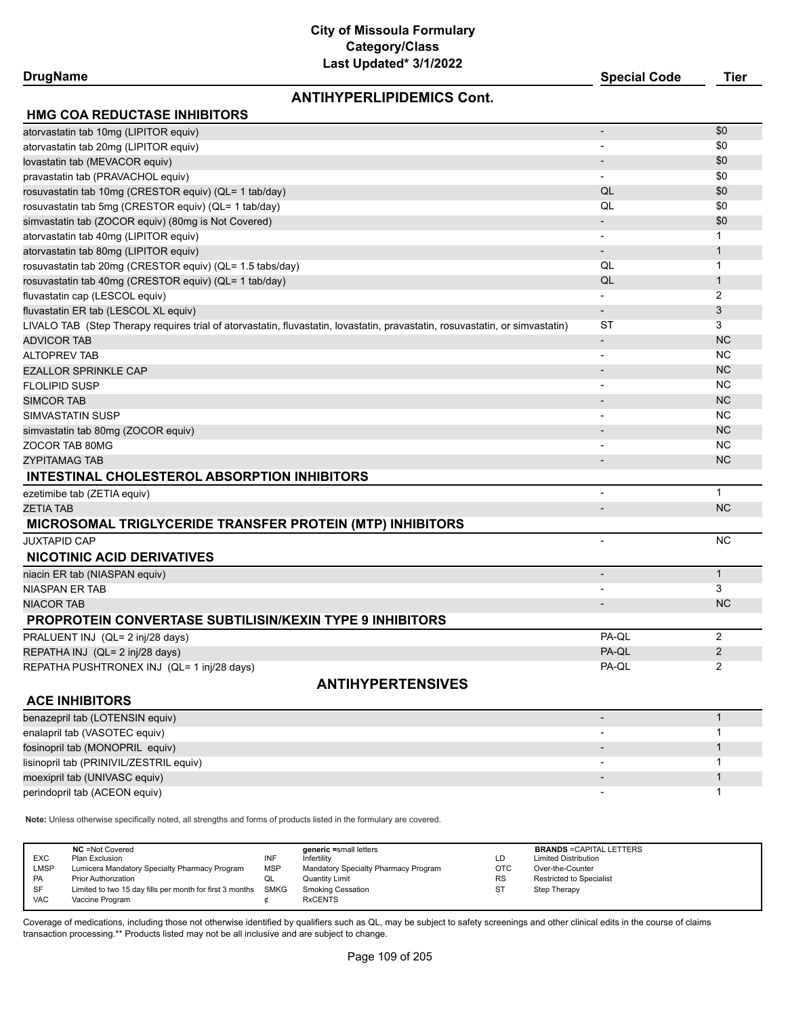### **DrugName Special Code Tier**

# **ANTIHYPERLIPIDEMICS Cont.**

| \$0<br>atorvastatin tab 10mg (LIPITOR equiv)<br>\$0<br>atorvastatin tab 20mg (LIPITOR equiv)<br>$\overline{\phantom{a}}$<br>\$0<br>lovastatin tab (MEVACOR equiv)<br>\$0<br>pravastatin tab (PRAVACHOL equiv)<br>QL<br>\$0<br>rosuvastatin tab 10mg (CRESTOR equiv) (QL= 1 tab/day)<br>QL<br>\$0<br>rosuvastatin tab 5mg (CRESTOR equiv) (QL= 1 tab/day)<br>\$0<br>simvastatin tab (ZOCOR equiv) (80mg is Not Covered)<br>atorvastatin tab 40mg (LIPITOR equiv)<br>1<br>atorvastatin tab 80mg (LIPITOR equiv)<br>1<br>$\overline{\phantom{a}}$<br>rosuvastatin tab 20mg (CRESTOR equiv) (QL= 1.5 tabs/day)<br>QL<br>1<br>QL<br>rosuvastatin tab 40mg (CRESTOR equiv) (QL= 1 tab/day)<br>$\mathbf{1}$<br>fluvastatin cap (LESCOL equiv)<br>2<br>$\overline{\phantom{a}}$<br>3<br>fluvastatin ER tab (LESCOL XL equiv)<br>$\overline{\phantom{a}}$<br>3<br>ST<br>LIVALO TAB (Step Therapy requires trial of atorvastatin, fluvastatin, lovastatin, pravastatin, rosuvastatin, or simvastatin)<br><b>NC</b><br><b>ADVICOR TAB</b><br>$\overline{\phantom{a}}$<br><b>NC</b><br><b>ALTOPREV TAB</b><br>$\overline{a}$<br><b>NC</b><br><b>EZALLOR SPRINKLE CAP</b><br>$\overline{\phantom{a}}$<br>ΝC<br><b>FLOLIPID SUSP</b><br>$\overline{\phantom{a}}$<br><b>NC</b><br><b>SIMCOR TAB</b><br>$\blacksquare$<br><b>NC</b><br>SIMVASTATIN SUSP<br><b>NC</b><br>simvastatin tab 80mg (ZOCOR equiv)<br>$\overline{\phantom{a}}$<br>ΝC<br>ZOCOR TAB 80MG<br><b>NC</b><br><b>ZYPITAMAG TAB</b><br>$\overline{\phantom{a}}$<br><b>INTESTINAL CHOLESTEROL ABSORPTION INHIBITORS</b><br>$\mathbf{1}$<br>ezetimibe tab (ZETIA equiv)<br>$\overline{\phantom{a}}$<br><b>NC</b><br><b>ZETIA TAB</b><br>$\overline{\phantom{a}}$<br><b>MICROSOMAL TRIGLYCERIDE TRANSFER PROTEIN (MTP) INHIBITORS</b><br><b>JUXTAPID CAP</b><br>NC.<br>$\blacksquare$<br><b>NICOTINIC ACID DERIVATIVES</b><br>$\mathbf{1}$<br>niacin ER tab (NIASPAN equiv)<br>$\overline{\phantom{a}}$<br>3<br>NIASPAN ER TAB<br>$\overline{\phantom{a}}$<br><b>NC</b><br><b>NIACOR TAB</b><br>$\overline{\phantom{a}}$<br><b>PROPROTEIN CONVERTASE SUBTILISIN/KEXIN TYPE 9 INHIBITORS</b><br>PA-QL<br>2<br>PRALUENT INJ (QL= 2 inj/28 days)<br>PA-QL<br>$\overline{2}$<br>REPATHA INJ (QL= 2 inj/28 days)<br>$\overline{2}$<br>PA-QL<br>REPATHA PUSHTRONEX INJ (QL= 1 inj/28 days)<br><b>ANTIHYPERTENSIVES</b><br><b>ACE INHIBITORS</b><br>benazepril tab (LOTENSIN equiv)<br>$\mathbf{1}$<br>enalapril tab (VASOTEC equiv)<br>$\mathbf{1}$<br>fosinopril tab (MONOPRIL equiv)<br>$\mathbf{1}$<br>1<br>lisinopril tab (PRINIVIL/ZESTRIL equiv)<br>$\mathbf{1}$<br>moexipril tab (UNIVASC equiv)<br>1 | <b>HMG COA REDUCTASE INHIBITORS</b> |  |
|-----------------------------------------------------------------------------------------------------------------------------------------------------------------------------------------------------------------------------------------------------------------------------------------------------------------------------------------------------------------------------------------------------------------------------------------------------------------------------------------------------------------------------------------------------------------------------------------------------------------------------------------------------------------------------------------------------------------------------------------------------------------------------------------------------------------------------------------------------------------------------------------------------------------------------------------------------------------------------------------------------------------------------------------------------------------------------------------------------------------------------------------------------------------------------------------------------------------------------------------------------------------------------------------------------------------------------------------------------------------------------------------------------------------------------------------------------------------------------------------------------------------------------------------------------------------------------------------------------------------------------------------------------------------------------------------------------------------------------------------------------------------------------------------------------------------------------------------------------------------------------------------------------------------------------------------------------------------------------------------------------------------------------------------------------------------------------------------------------------------------------------------------------------------------------------------------------------------------------------------------------------------------------------------------------------------------------------------------------------------------------------------------------------------------------------------------------------------------------------------------------------------------------------------------------------------------------------------------------------------------------------------------------|-------------------------------------|--|
|                                                                                                                                                                                                                                                                                                                                                                                                                                                                                                                                                                                                                                                                                                                                                                                                                                                                                                                                                                                                                                                                                                                                                                                                                                                                                                                                                                                                                                                                                                                                                                                                                                                                                                                                                                                                                                                                                                                                                                                                                                                                                                                                                                                                                                                                                                                                                                                                                                                                                                                                                                                                                                                     |                                     |  |
|                                                                                                                                                                                                                                                                                                                                                                                                                                                                                                                                                                                                                                                                                                                                                                                                                                                                                                                                                                                                                                                                                                                                                                                                                                                                                                                                                                                                                                                                                                                                                                                                                                                                                                                                                                                                                                                                                                                                                                                                                                                                                                                                                                                                                                                                                                                                                                                                                                                                                                                                                                                                                                                     |                                     |  |
|                                                                                                                                                                                                                                                                                                                                                                                                                                                                                                                                                                                                                                                                                                                                                                                                                                                                                                                                                                                                                                                                                                                                                                                                                                                                                                                                                                                                                                                                                                                                                                                                                                                                                                                                                                                                                                                                                                                                                                                                                                                                                                                                                                                                                                                                                                                                                                                                                                                                                                                                                                                                                                                     |                                     |  |
|                                                                                                                                                                                                                                                                                                                                                                                                                                                                                                                                                                                                                                                                                                                                                                                                                                                                                                                                                                                                                                                                                                                                                                                                                                                                                                                                                                                                                                                                                                                                                                                                                                                                                                                                                                                                                                                                                                                                                                                                                                                                                                                                                                                                                                                                                                                                                                                                                                                                                                                                                                                                                                                     |                                     |  |
|                                                                                                                                                                                                                                                                                                                                                                                                                                                                                                                                                                                                                                                                                                                                                                                                                                                                                                                                                                                                                                                                                                                                                                                                                                                                                                                                                                                                                                                                                                                                                                                                                                                                                                                                                                                                                                                                                                                                                                                                                                                                                                                                                                                                                                                                                                                                                                                                                                                                                                                                                                                                                                                     |                                     |  |
|                                                                                                                                                                                                                                                                                                                                                                                                                                                                                                                                                                                                                                                                                                                                                                                                                                                                                                                                                                                                                                                                                                                                                                                                                                                                                                                                                                                                                                                                                                                                                                                                                                                                                                                                                                                                                                                                                                                                                                                                                                                                                                                                                                                                                                                                                                                                                                                                                                                                                                                                                                                                                                                     |                                     |  |
|                                                                                                                                                                                                                                                                                                                                                                                                                                                                                                                                                                                                                                                                                                                                                                                                                                                                                                                                                                                                                                                                                                                                                                                                                                                                                                                                                                                                                                                                                                                                                                                                                                                                                                                                                                                                                                                                                                                                                                                                                                                                                                                                                                                                                                                                                                                                                                                                                                                                                                                                                                                                                                                     |                                     |  |
|                                                                                                                                                                                                                                                                                                                                                                                                                                                                                                                                                                                                                                                                                                                                                                                                                                                                                                                                                                                                                                                                                                                                                                                                                                                                                                                                                                                                                                                                                                                                                                                                                                                                                                                                                                                                                                                                                                                                                                                                                                                                                                                                                                                                                                                                                                                                                                                                                                                                                                                                                                                                                                                     |                                     |  |
|                                                                                                                                                                                                                                                                                                                                                                                                                                                                                                                                                                                                                                                                                                                                                                                                                                                                                                                                                                                                                                                                                                                                                                                                                                                                                                                                                                                                                                                                                                                                                                                                                                                                                                                                                                                                                                                                                                                                                                                                                                                                                                                                                                                                                                                                                                                                                                                                                                                                                                                                                                                                                                                     |                                     |  |
|                                                                                                                                                                                                                                                                                                                                                                                                                                                                                                                                                                                                                                                                                                                                                                                                                                                                                                                                                                                                                                                                                                                                                                                                                                                                                                                                                                                                                                                                                                                                                                                                                                                                                                                                                                                                                                                                                                                                                                                                                                                                                                                                                                                                                                                                                                                                                                                                                                                                                                                                                                                                                                                     |                                     |  |
|                                                                                                                                                                                                                                                                                                                                                                                                                                                                                                                                                                                                                                                                                                                                                                                                                                                                                                                                                                                                                                                                                                                                                                                                                                                                                                                                                                                                                                                                                                                                                                                                                                                                                                                                                                                                                                                                                                                                                                                                                                                                                                                                                                                                                                                                                                                                                                                                                                                                                                                                                                                                                                                     |                                     |  |
|                                                                                                                                                                                                                                                                                                                                                                                                                                                                                                                                                                                                                                                                                                                                                                                                                                                                                                                                                                                                                                                                                                                                                                                                                                                                                                                                                                                                                                                                                                                                                                                                                                                                                                                                                                                                                                                                                                                                                                                                                                                                                                                                                                                                                                                                                                                                                                                                                                                                                                                                                                                                                                                     |                                     |  |
|                                                                                                                                                                                                                                                                                                                                                                                                                                                                                                                                                                                                                                                                                                                                                                                                                                                                                                                                                                                                                                                                                                                                                                                                                                                                                                                                                                                                                                                                                                                                                                                                                                                                                                                                                                                                                                                                                                                                                                                                                                                                                                                                                                                                                                                                                                                                                                                                                                                                                                                                                                                                                                                     |                                     |  |
|                                                                                                                                                                                                                                                                                                                                                                                                                                                                                                                                                                                                                                                                                                                                                                                                                                                                                                                                                                                                                                                                                                                                                                                                                                                                                                                                                                                                                                                                                                                                                                                                                                                                                                                                                                                                                                                                                                                                                                                                                                                                                                                                                                                                                                                                                                                                                                                                                                                                                                                                                                                                                                                     |                                     |  |
|                                                                                                                                                                                                                                                                                                                                                                                                                                                                                                                                                                                                                                                                                                                                                                                                                                                                                                                                                                                                                                                                                                                                                                                                                                                                                                                                                                                                                                                                                                                                                                                                                                                                                                                                                                                                                                                                                                                                                                                                                                                                                                                                                                                                                                                                                                                                                                                                                                                                                                                                                                                                                                                     |                                     |  |
|                                                                                                                                                                                                                                                                                                                                                                                                                                                                                                                                                                                                                                                                                                                                                                                                                                                                                                                                                                                                                                                                                                                                                                                                                                                                                                                                                                                                                                                                                                                                                                                                                                                                                                                                                                                                                                                                                                                                                                                                                                                                                                                                                                                                                                                                                                                                                                                                                                                                                                                                                                                                                                                     |                                     |  |
|                                                                                                                                                                                                                                                                                                                                                                                                                                                                                                                                                                                                                                                                                                                                                                                                                                                                                                                                                                                                                                                                                                                                                                                                                                                                                                                                                                                                                                                                                                                                                                                                                                                                                                                                                                                                                                                                                                                                                                                                                                                                                                                                                                                                                                                                                                                                                                                                                                                                                                                                                                                                                                                     |                                     |  |
|                                                                                                                                                                                                                                                                                                                                                                                                                                                                                                                                                                                                                                                                                                                                                                                                                                                                                                                                                                                                                                                                                                                                                                                                                                                                                                                                                                                                                                                                                                                                                                                                                                                                                                                                                                                                                                                                                                                                                                                                                                                                                                                                                                                                                                                                                                                                                                                                                                                                                                                                                                                                                                                     |                                     |  |
|                                                                                                                                                                                                                                                                                                                                                                                                                                                                                                                                                                                                                                                                                                                                                                                                                                                                                                                                                                                                                                                                                                                                                                                                                                                                                                                                                                                                                                                                                                                                                                                                                                                                                                                                                                                                                                                                                                                                                                                                                                                                                                                                                                                                                                                                                                                                                                                                                                                                                                                                                                                                                                                     |                                     |  |
|                                                                                                                                                                                                                                                                                                                                                                                                                                                                                                                                                                                                                                                                                                                                                                                                                                                                                                                                                                                                                                                                                                                                                                                                                                                                                                                                                                                                                                                                                                                                                                                                                                                                                                                                                                                                                                                                                                                                                                                                                                                                                                                                                                                                                                                                                                                                                                                                                                                                                                                                                                                                                                                     |                                     |  |
|                                                                                                                                                                                                                                                                                                                                                                                                                                                                                                                                                                                                                                                                                                                                                                                                                                                                                                                                                                                                                                                                                                                                                                                                                                                                                                                                                                                                                                                                                                                                                                                                                                                                                                                                                                                                                                                                                                                                                                                                                                                                                                                                                                                                                                                                                                                                                                                                                                                                                                                                                                                                                                                     |                                     |  |
|                                                                                                                                                                                                                                                                                                                                                                                                                                                                                                                                                                                                                                                                                                                                                                                                                                                                                                                                                                                                                                                                                                                                                                                                                                                                                                                                                                                                                                                                                                                                                                                                                                                                                                                                                                                                                                                                                                                                                                                                                                                                                                                                                                                                                                                                                                                                                                                                                                                                                                                                                                                                                                                     |                                     |  |
|                                                                                                                                                                                                                                                                                                                                                                                                                                                                                                                                                                                                                                                                                                                                                                                                                                                                                                                                                                                                                                                                                                                                                                                                                                                                                                                                                                                                                                                                                                                                                                                                                                                                                                                                                                                                                                                                                                                                                                                                                                                                                                                                                                                                                                                                                                                                                                                                                                                                                                                                                                                                                                                     |                                     |  |
|                                                                                                                                                                                                                                                                                                                                                                                                                                                                                                                                                                                                                                                                                                                                                                                                                                                                                                                                                                                                                                                                                                                                                                                                                                                                                                                                                                                                                                                                                                                                                                                                                                                                                                                                                                                                                                                                                                                                                                                                                                                                                                                                                                                                                                                                                                                                                                                                                                                                                                                                                                                                                                                     |                                     |  |
|                                                                                                                                                                                                                                                                                                                                                                                                                                                                                                                                                                                                                                                                                                                                                                                                                                                                                                                                                                                                                                                                                                                                                                                                                                                                                                                                                                                                                                                                                                                                                                                                                                                                                                                                                                                                                                                                                                                                                                                                                                                                                                                                                                                                                                                                                                                                                                                                                                                                                                                                                                                                                                                     |                                     |  |
|                                                                                                                                                                                                                                                                                                                                                                                                                                                                                                                                                                                                                                                                                                                                                                                                                                                                                                                                                                                                                                                                                                                                                                                                                                                                                                                                                                                                                                                                                                                                                                                                                                                                                                                                                                                                                                                                                                                                                                                                                                                                                                                                                                                                                                                                                                                                                                                                                                                                                                                                                                                                                                                     |                                     |  |
|                                                                                                                                                                                                                                                                                                                                                                                                                                                                                                                                                                                                                                                                                                                                                                                                                                                                                                                                                                                                                                                                                                                                                                                                                                                                                                                                                                                                                                                                                                                                                                                                                                                                                                                                                                                                                                                                                                                                                                                                                                                                                                                                                                                                                                                                                                                                                                                                                                                                                                                                                                                                                                                     |                                     |  |
|                                                                                                                                                                                                                                                                                                                                                                                                                                                                                                                                                                                                                                                                                                                                                                                                                                                                                                                                                                                                                                                                                                                                                                                                                                                                                                                                                                                                                                                                                                                                                                                                                                                                                                                                                                                                                                                                                                                                                                                                                                                                                                                                                                                                                                                                                                                                                                                                                                                                                                                                                                                                                                                     |                                     |  |
|                                                                                                                                                                                                                                                                                                                                                                                                                                                                                                                                                                                                                                                                                                                                                                                                                                                                                                                                                                                                                                                                                                                                                                                                                                                                                                                                                                                                                                                                                                                                                                                                                                                                                                                                                                                                                                                                                                                                                                                                                                                                                                                                                                                                                                                                                                                                                                                                                                                                                                                                                                                                                                                     |                                     |  |
|                                                                                                                                                                                                                                                                                                                                                                                                                                                                                                                                                                                                                                                                                                                                                                                                                                                                                                                                                                                                                                                                                                                                                                                                                                                                                                                                                                                                                                                                                                                                                                                                                                                                                                                                                                                                                                                                                                                                                                                                                                                                                                                                                                                                                                                                                                                                                                                                                                                                                                                                                                                                                                                     |                                     |  |
|                                                                                                                                                                                                                                                                                                                                                                                                                                                                                                                                                                                                                                                                                                                                                                                                                                                                                                                                                                                                                                                                                                                                                                                                                                                                                                                                                                                                                                                                                                                                                                                                                                                                                                                                                                                                                                                                                                                                                                                                                                                                                                                                                                                                                                                                                                                                                                                                                                                                                                                                                                                                                                                     |                                     |  |
|                                                                                                                                                                                                                                                                                                                                                                                                                                                                                                                                                                                                                                                                                                                                                                                                                                                                                                                                                                                                                                                                                                                                                                                                                                                                                                                                                                                                                                                                                                                                                                                                                                                                                                                                                                                                                                                                                                                                                                                                                                                                                                                                                                                                                                                                                                                                                                                                                                                                                                                                                                                                                                                     |                                     |  |
|                                                                                                                                                                                                                                                                                                                                                                                                                                                                                                                                                                                                                                                                                                                                                                                                                                                                                                                                                                                                                                                                                                                                                                                                                                                                                                                                                                                                                                                                                                                                                                                                                                                                                                                                                                                                                                                                                                                                                                                                                                                                                                                                                                                                                                                                                                                                                                                                                                                                                                                                                                                                                                                     |                                     |  |
|                                                                                                                                                                                                                                                                                                                                                                                                                                                                                                                                                                                                                                                                                                                                                                                                                                                                                                                                                                                                                                                                                                                                                                                                                                                                                                                                                                                                                                                                                                                                                                                                                                                                                                                                                                                                                                                                                                                                                                                                                                                                                                                                                                                                                                                                                                                                                                                                                                                                                                                                                                                                                                                     |                                     |  |
|                                                                                                                                                                                                                                                                                                                                                                                                                                                                                                                                                                                                                                                                                                                                                                                                                                                                                                                                                                                                                                                                                                                                                                                                                                                                                                                                                                                                                                                                                                                                                                                                                                                                                                                                                                                                                                                                                                                                                                                                                                                                                                                                                                                                                                                                                                                                                                                                                                                                                                                                                                                                                                                     |                                     |  |
|                                                                                                                                                                                                                                                                                                                                                                                                                                                                                                                                                                                                                                                                                                                                                                                                                                                                                                                                                                                                                                                                                                                                                                                                                                                                                                                                                                                                                                                                                                                                                                                                                                                                                                                                                                                                                                                                                                                                                                                                                                                                                                                                                                                                                                                                                                                                                                                                                                                                                                                                                                                                                                                     |                                     |  |
|                                                                                                                                                                                                                                                                                                                                                                                                                                                                                                                                                                                                                                                                                                                                                                                                                                                                                                                                                                                                                                                                                                                                                                                                                                                                                                                                                                                                                                                                                                                                                                                                                                                                                                                                                                                                                                                                                                                                                                                                                                                                                                                                                                                                                                                                                                                                                                                                                                                                                                                                                                                                                                                     |                                     |  |
|                                                                                                                                                                                                                                                                                                                                                                                                                                                                                                                                                                                                                                                                                                                                                                                                                                                                                                                                                                                                                                                                                                                                                                                                                                                                                                                                                                                                                                                                                                                                                                                                                                                                                                                                                                                                                                                                                                                                                                                                                                                                                                                                                                                                                                                                                                                                                                                                                                                                                                                                                                                                                                                     |                                     |  |
|                                                                                                                                                                                                                                                                                                                                                                                                                                                                                                                                                                                                                                                                                                                                                                                                                                                                                                                                                                                                                                                                                                                                                                                                                                                                                                                                                                                                                                                                                                                                                                                                                                                                                                                                                                                                                                                                                                                                                                                                                                                                                                                                                                                                                                                                                                                                                                                                                                                                                                                                                                                                                                                     |                                     |  |
|                                                                                                                                                                                                                                                                                                                                                                                                                                                                                                                                                                                                                                                                                                                                                                                                                                                                                                                                                                                                                                                                                                                                                                                                                                                                                                                                                                                                                                                                                                                                                                                                                                                                                                                                                                                                                                                                                                                                                                                                                                                                                                                                                                                                                                                                                                                                                                                                                                                                                                                                                                                                                                                     |                                     |  |
|                                                                                                                                                                                                                                                                                                                                                                                                                                                                                                                                                                                                                                                                                                                                                                                                                                                                                                                                                                                                                                                                                                                                                                                                                                                                                                                                                                                                                                                                                                                                                                                                                                                                                                                                                                                                                                                                                                                                                                                                                                                                                                                                                                                                                                                                                                                                                                                                                                                                                                                                                                                                                                                     |                                     |  |
|                                                                                                                                                                                                                                                                                                                                                                                                                                                                                                                                                                                                                                                                                                                                                                                                                                                                                                                                                                                                                                                                                                                                                                                                                                                                                                                                                                                                                                                                                                                                                                                                                                                                                                                                                                                                                                                                                                                                                                                                                                                                                                                                                                                                                                                                                                                                                                                                                                                                                                                                                                                                                                                     |                                     |  |
|                                                                                                                                                                                                                                                                                                                                                                                                                                                                                                                                                                                                                                                                                                                                                                                                                                                                                                                                                                                                                                                                                                                                                                                                                                                                                                                                                                                                                                                                                                                                                                                                                                                                                                                                                                                                                                                                                                                                                                                                                                                                                                                                                                                                                                                                                                                                                                                                                                                                                                                                                                                                                                                     |                                     |  |
|                                                                                                                                                                                                                                                                                                                                                                                                                                                                                                                                                                                                                                                                                                                                                                                                                                                                                                                                                                                                                                                                                                                                                                                                                                                                                                                                                                                                                                                                                                                                                                                                                                                                                                                                                                                                                                                                                                                                                                                                                                                                                                                                                                                                                                                                                                                                                                                                                                                                                                                                                                                                                                                     | perindopril tab (ACEON equiv)       |  |

**Note:** Unless otherwise specifically noted, all strengths and forms of products listed in the formulary are covered.

| <b>EXC</b><br><b>LMSP</b> | <b>NC</b> = Not Covered<br>Plan Exclusion<br>Lumicera Mandatory Specialty Pharmacy Program | <b>INF</b><br><b>MSP</b> | generic =small letters<br>Infertility<br>Mandatory Specialty Pharmacy Program | LD<br>OTC | <b>BRANDS = CAPITAL LETTERS</b><br><b>Limited Distribution</b><br>Over-the-Counter |
|---------------------------|--------------------------------------------------------------------------------------------|--------------------------|-------------------------------------------------------------------------------|-----------|------------------------------------------------------------------------------------|
| PA                        | <b>Prior Authorization</b>                                                                 | QL                       | Quantity Limit                                                                | <b>RS</b> | <b>Restricted to Specialist</b>                                                    |
| SF                        | Limited to two 15 day fills per month for first 3 months                                   | SMKG                     | <b>Smoking Cessation</b>                                                      | <b>ST</b> | <b>Step Therapy</b>                                                                |
| <b>VAC</b>                | Vaccine Program                                                                            |                          | <b>RxCENTS</b>                                                                |           |                                                                                    |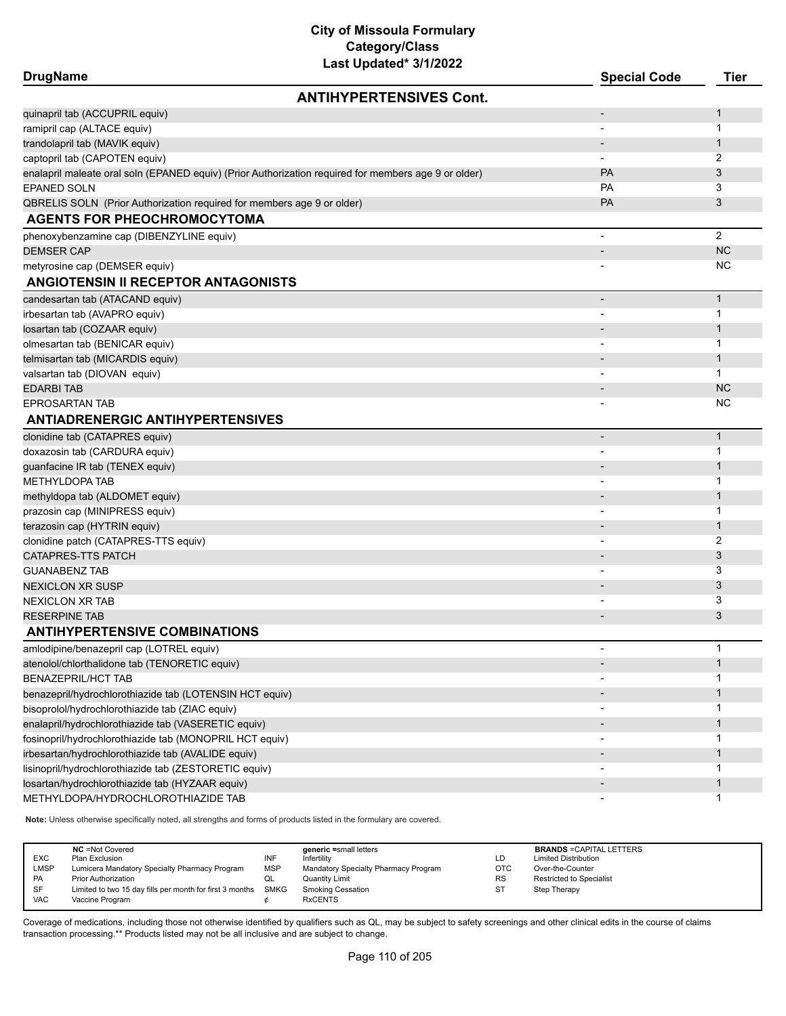| <b>DrugName</b>                                                                                      | <b>Special Code</b> | <b>Tier</b>    |
|------------------------------------------------------------------------------------------------------|---------------------|----------------|
| <b>ANTIHYPERTENSIVES Cont.</b>                                                                       |                     |                |
| quinapril tab (ACCUPRIL equiv)                                                                       |                     | 1              |
| ramipril cap (ALTACE equiv)                                                                          |                     | $\mathbf 1$    |
| trandolapril tab (MAVIK equiv)                                                                       |                     | $\mathbf{1}$   |
| captopril tab (CAPOTEN equiv)                                                                        |                     | 2              |
| enalapril maleate oral soln (EPANED equiv) (Prior Authorization required for members age 9 or older) | PA                  | 3              |
| <b>EPANED SOLN</b>                                                                                   | <b>PA</b>           | 3              |
| QBRELIS SOLN (Prior Authorization required for members age 9 or older)                               | PA                  | 3              |
| <b>AGENTS FOR PHEOCHROMOCYTOMA</b>                                                                   |                     |                |
| phenoxybenzamine cap (DIBENZYLINE equiv)                                                             | $\blacksquare$      | $\overline{2}$ |
| <b>DEMSER CAP</b>                                                                                    |                     | <b>NC</b>      |
| metyrosine cap (DEMSER equiv)                                                                        |                     | NC             |
| <b>ANGIOTENSIN II RECEPTOR ANTAGONISTS</b>                                                           |                     |                |
| candesartan tab (ATACAND equiv)                                                                      | $\blacksquare$      | $\mathbf{1}$   |
| irbesartan tab (AVAPRO equiv)                                                                        |                     | 1              |
| Iosartan tab (COZAAR equiv)                                                                          |                     | $\mathbf{1}$   |
| olmesartan tab (BENICAR equiv)                                                                       |                     | 1              |
| telmisartan tab (MICARDIS equiv)                                                                     |                     | $\mathbf{1}$   |
| valsartan tab (DIOVAN equiv)                                                                         |                     | $\mathbf{1}$   |
| <b>EDARBI TAB</b>                                                                                    |                     | <b>NC</b>      |
| <b>EPROSARTAN TAB</b>                                                                                |                     | NC             |
| <b>ANTIADRENERGIC ANTIHYPERTENSIVES</b>                                                              |                     |                |
| clonidine tab (CATAPRES equiv)                                                                       |                     | $\mathbf{1}$   |
| doxazosin tab (CARDURA equiv)                                                                        |                     | 1              |
| guanfacine IR tab (TENEX equiv)                                                                      |                     | $\mathbf{1}$   |
| <b>METHYLDOPA TAB</b>                                                                                |                     | 1              |
| methyldopa tab (ALDOMET equiv)                                                                       |                     | $\mathbf{1}$   |
| prazosin cap (MINIPRESS equiv)                                                                       |                     | 1              |
| terazosin cap (HYTRIN equiv)                                                                         |                     | $\mathbf{1}$   |
| clonidine patch (CATAPRES-TTS equiv)                                                                 |                     | 2              |
| <b>CATAPRES-TTS PATCH</b>                                                                            |                     | 3              |
| <b>GUANABENZ TAB</b>                                                                                 |                     | 3              |
| <b>NEXICLON XR SUSP</b>                                                                              |                     | 3              |
| <b>NEXICLON XR TAB</b>                                                                               |                     | 3              |
| <b>RESERPINE TAB</b>                                                                                 |                     | 3              |
| <b>ANTIHYPERTENSIVE COMBINATIONS</b>                                                                 |                     |                |
| amlodipine/benazepril cap (LOTREL equiv)                                                             |                     | 1              |
| atenolol/chlorthalidone tab (TENORETIC equiv)                                                        |                     | $\mathbf{1}$   |
| <b>BENAZEPRIL/HCT TAB</b>                                                                            |                     | 1              |
| benazepril/hydrochlorothiazide tab (LOTENSIN HCT equiv)                                              |                     | $\mathbf{1}$   |
| bisoprolol/hydrochlorothiazide tab (ZIAC equiv)                                                      |                     | 1              |
| enalapril/hydrochlorothiazide tab (VASERETIC equiv)                                                  |                     | $\mathbf{1}$   |
| fosinopril/hydrochlorothiazide tab (MONOPRIL HCT equiv)                                              |                     | 1              |
| irbesartan/hydrochlorothiazide tab (AVALIDE equiv)                                                   |                     | $\mathbf{1}$   |
| lisinopril/hydrochlorothiazide tab (ZESTORETIC equiv)                                                |                     | 1              |
| Iosartan/hydrochlorothiazide tab (HYZAAR equiv)                                                      |                     | $\mathbf{1}$   |
| METHYLDOPA/HYDROCHLOROTHIAZIDE TAB                                                                   |                     | 1              |
|                                                                                                      |                     |                |

**Note:** Unless otherwise specifically noted, all strengths and forms of products listed in the formulary are covered.

| <b>EXC</b><br>LMSP<br>PA<br>SF<br><b>VAC</b> | <b>NC</b> = Not Covered<br>Plan Exclusion<br>Lumicera Mandatory Specialty Pharmacy Program<br><b>Prior Authorization</b><br>Limited to two 15 day fills per month for first 3 months<br>Vaccine Program | INF<br><b>MSP</b><br>QL<br>SMKG | generic =small letters<br>Infertility<br>Mandatory Specialty Pharmacy Program<br><b>Quantity Limit</b><br><b>Smoking Cessation</b><br><b>RxCENTS</b> | LD<br>OTC<br><b>RS</b><br><b>ST</b> | <b>BRANDS = CAPITAL LETTERS</b><br><b>Limited Distribution</b><br>Over-the-Counter<br><b>Restricted to Specialist</b><br>Step Therapy |
|----------------------------------------------|---------------------------------------------------------------------------------------------------------------------------------------------------------------------------------------------------------|---------------------------------|------------------------------------------------------------------------------------------------------------------------------------------------------|-------------------------------------|---------------------------------------------------------------------------------------------------------------------------------------|
|----------------------------------------------|---------------------------------------------------------------------------------------------------------------------------------------------------------------------------------------------------------|---------------------------------|------------------------------------------------------------------------------------------------------------------------------------------------------|-------------------------------------|---------------------------------------------------------------------------------------------------------------------------------------|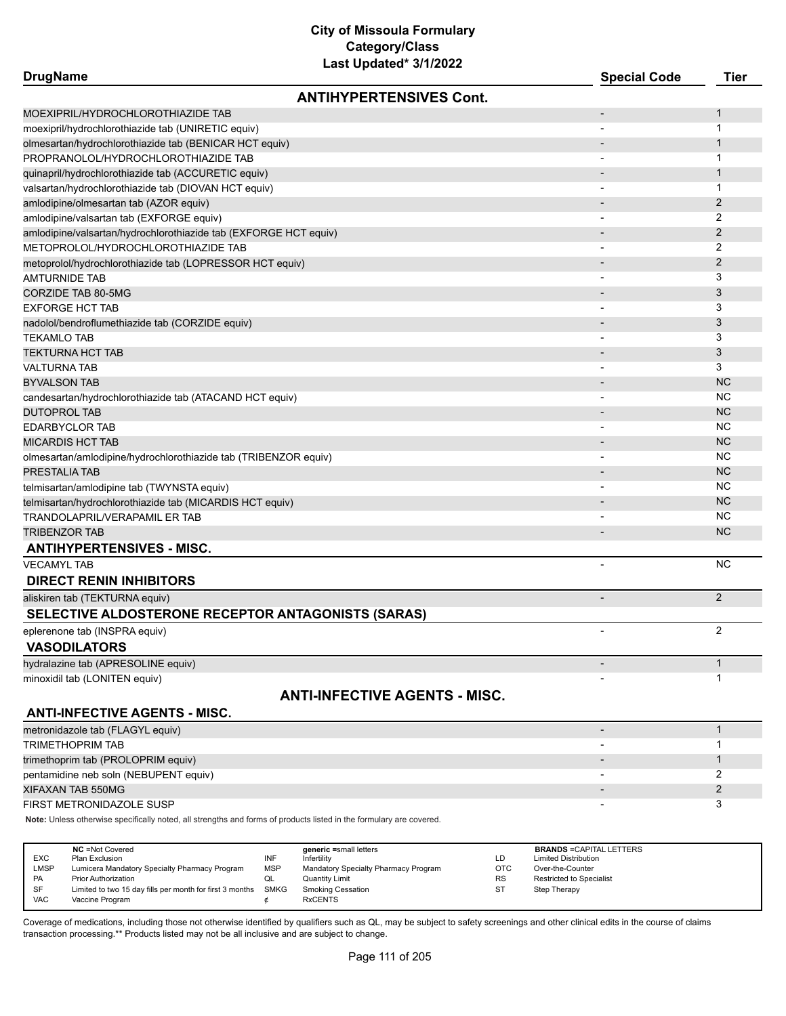| Last Updated <sup>*</sup> 3/1/2022<br><b>DrugName</b>            | <b>Special Code</b>      | Tier           |
|------------------------------------------------------------------|--------------------------|----------------|
| <b>ANTIHYPERTENSIVES Cont.</b>                                   |                          |                |
| MOEXIPRIL/HYDROCHLOROTHIAZIDE TAB                                | $\overline{\phantom{a}}$ | 1              |
| moexipril/hydrochlorothiazide tab (UNIRETIC equiv)               |                          | 1              |
| olmesartan/hydrochlorothiazide tab (BENICAR HCT equiv)           |                          | 1              |
| PROPRANOLOL/HYDROCHLOROTHIAZIDE TAB                              |                          | 1              |
| quinapril/hydrochlorothiazide tab (ACCURETIC equiv)              |                          | 1              |
| valsartan/hydrochlorothiazide tab (DIOVAN HCT equiv)             |                          | 1              |
| amlodipine/olmesartan tab (AZOR equiv)                           |                          | 2              |
| amlodipine/valsartan tab (EXFORGE equiv)                         |                          | 2              |
| amlodipine/valsartan/hydrochlorothiazide tab (EXFORGE HCT equiv) |                          | 2              |
| METOPROLOL/HYDROCHLOROTHIAZIDE TAB                               |                          | 2              |
| metoprolol/hydrochlorothiazide tab (LOPRESSOR HCT equiv)         |                          | 2              |
| AMTURNIDE TAB                                                    |                          | 3              |
| CORZIDE TAB 80-5MG                                               |                          | 3              |
| EXFORGE HCT TAB                                                  |                          | 3              |
| nadolol/bendroflumethiazide tab (CORZIDE equiv)                  |                          | 3              |
| TEKAMLO TAB                                                      |                          | 3              |
| TEKTURNA HCT TAB                                                 |                          | 3              |
| VALTURNA TAB                                                     |                          | 3              |
| BYVALSON TAB                                                     |                          | <b>NC</b>      |
| candesartan/hydrochlorothiazide tab (ATACAND HCT equiv)          |                          | ΝC             |
| DUTOPROL TAB                                                     |                          | <b>NC</b>      |
| <b>EDARBYCLOR TAB</b>                                            |                          | ΝC             |
| MICARDIS HCT TAB                                                 |                          | <b>NC</b>      |
| olmesartan/amlodipine/hydrochlorothiazide tab (TRIBENZOR equiv)  |                          | ΝC             |
| PRESTALIA TAB                                                    |                          | <b>NC</b>      |
| telmisartan/amlodipine tab (TWYNSTA equiv)                       |                          | ΝC             |
| telmisartan/hydrochlorothiazide tab (MICARDIS HCT equiv)         |                          | <b>NC</b>      |
| TRANDOLAPRIL/VERAPAMIL ER TAB                                    |                          | ΝC             |
| <b>TRIBENZOR TAB</b>                                             |                          | <b>NC</b>      |
| <b>ANTIHYPERTENSIVES - MISC.</b>                                 |                          |                |
| <b>VECAMYL TAB</b>                                               |                          | ΝC             |
| <b>DIRECT RENIN INHIBITORS</b>                                   |                          |                |
| aliskiren tab (TEKTURNA equiv)                                   | $\overline{\phantom{a}}$ | 2              |
| <b>SELECTIVE ALDOSTERONE RECEPTOR ANTAGONISTS (SARAS)</b>        |                          |                |
| eplerenone tab (INSPRA equiv)                                    |                          | $\overline{2}$ |
| <b>VASODILATORS</b>                                              |                          |                |
| hydralazine tab (APRESOLINE equiv)                               |                          | 1              |
| minoxidil tab (LONITEN equiv)                                    |                          | 1              |
| <b>ANTI-INFECTIVE AGENTS - MISC.</b>                             |                          |                |
| <b>ANTI-INFECTIVE AGENTS - MISC.</b>                             |                          |                |
| metronidazole tab (FLAGYL equiv)                                 | $\overline{\phantom{a}}$ | $\mathbf{1}$   |
| <b>TRIMETHOPRIM TAB</b>                                          |                          | 1              |
| trimethoprim tab (PROLOPRIM equiv)                               |                          | 1              |
| pentamidine neb soln (NEBUPENT equiv)                            |                          | 2              |
| XIFAXAN TAB 550MG                                                |                          | 2              |
| FIRST METRONIDAZOLE SUSP                                         |                          | 3              |
|                                                                  |                          |                |

**Note:** Unless otherwise specifically noted, all strengths and forms of products listed in the formulary are covered.

| <b>EXC</b><br><b>LMSP</b><br><b>PA</b> | <b>NC</b> = Not Covered<br>Plan Exclusion<br>Lumicera Mandatory Specialty Pharmacy Program<br><b>Prior Authorization</b> | INF<br><b>MSP</b><br>QL | generic =small letters<br>Infertility<br>Mandatory Specialty Pharmacy Program<br>Quantity Limit | LD<br><b>OTC</b><br><b>RS</b> | <b>BRANDS = CAPITAL LETTERS</b><br><b>Limited Distribution</b><br>Over-the-Counter<br><b>Restricted to Specialist</b> |
|----------------------------------------|--------------------------------------------------------------------------------------------------------------------------|-------------------------|-------------------------------------------------------------------------------------------------|-------------------------------|-----------------------------------------------------------------------------------------------------------------------|
| SF<br><b>VAC</b>                       | Limited to two 15 day fills per month for first 3 months<br>Vaccine Program                                              | <b>SMKG</b>             | <b>Smoking Cessation</b><br><b>RxCENTS</b>                                                      | <b>ST</b>                     | Step Therapy                                                                                                          |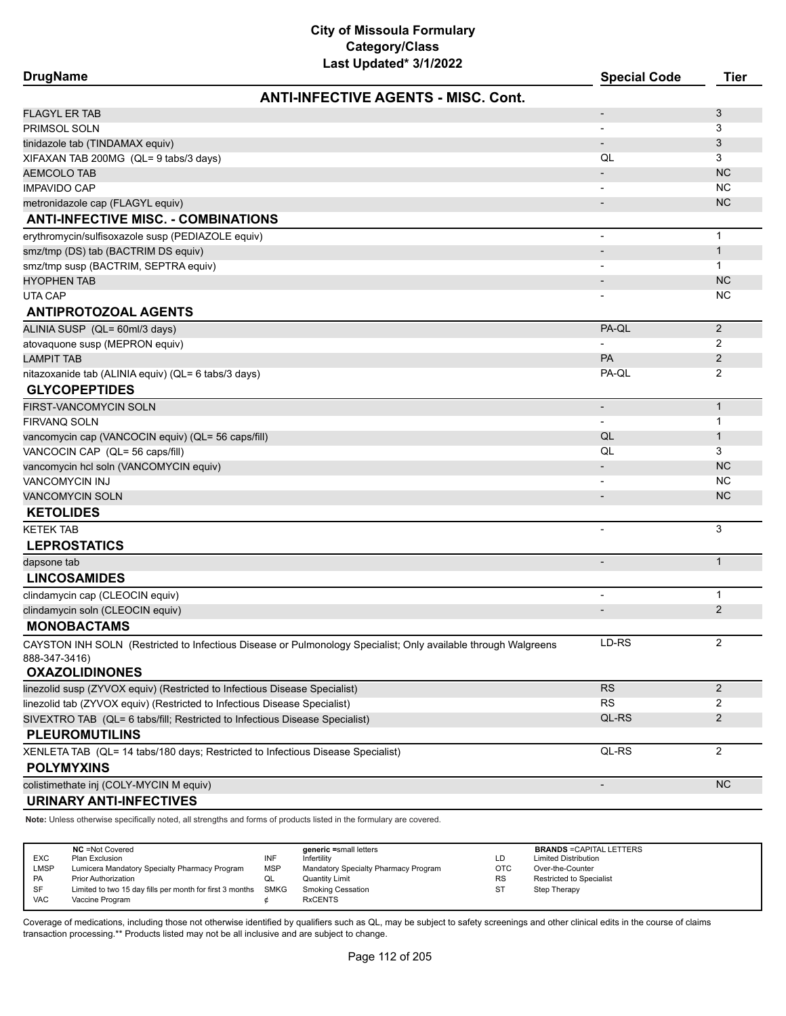| <b>DrugName</b>                                                                                                     | <b>Special Code</b>           | Tier           |
|---------------------------------------------------------------------------------------------------------------------|-------------------------------|----------------|
| <b>ANTI-INFECTIVE AGENTS - MISC. Cont.</b>                                                                          |                               |                |
| <b>FLAGYL ER TAB</b>                                                                                                | $\overline{\phantom{a}}$      | 3              |
| PRIMSOL SOLN                                                                                                        |                               | 3              |
| tinidazole tab (TINDAMAX equiv)                                                                                     | $\blacksquare$                | 3              |
| XIFAXAN TAB 200MG (QL= 9 tabs/3 days)                                                                               | QL                            | 3              |
| <b>AEMCOLO TAB</b>                                                                                                  |                               | <b>NC</b>      |
| <b>IMPAVIDO CAP</b>                                                                                                 |                               | <b>NC</b>      |
| metronidazole cap (FLAGYL equiv)                                                                                    |                               | <b>NC</b>      |
| <b>ANTI-INFECTIVE MISC. - COMBINATIONS</b>                                                                          |                               |                |
| erythromycin/sulfisoxazole susp (PEDIAZOLE equiv)                                                                   | $\blacksquare$                | $\mathbf{1}$   |
| smz/tmp (DS) tab (BACTRIM DS equiv)                                                                                 |                               | $\mathbf{1}$   |
| smz/tmp susp (BACTRIM, SEPTRA equiv)                                                                                |                               | $\mathbf{1}$   |
| <b>HYOPHEN TAB</b>                                                                                                  |                               | <b>NC</b>      |
| UTA CAP                                                                                                             |                               | <b>NC</b>      |
| <b>ANTIPROTOZOAL AGENTS</b>                                                                                         |                               |                |
| ALINIA SUSP (QL= 60ml/3 days)                                                                                       | PA-QL                         | $\overline{2}$ |
| atovaquone susp (MEPRON equiv)                                                                                      |                               | 2              |
| <b>LAMPIT TAB</b>                                                                                                   | <b>PA</b>                     | 2              |
| nitazoxanide tab (ALINIA equiv) (QL= 6 tabs/3 days)                                                                 | PA-QL                         | 2              |
| <b>GLYCOPEPTIDES</b>                                                                                                |                               |                |
| FIRST-VANCOMYCIN SOLN                                                                                               | $\overline{\phantom{0}}$      | $\mathbf{1}$   |
| <b>FIRVANO SOLN</b>                                                                                                 |                               | $\mathbf 1$    |
| vancomycin cap (VANCOCIN equiv) (QL= 56 caps/fill)                                                                  | QL                            | $\mathbf{1}$   |
| VANCOCIN CAP (QL= 56 caps/fill)                                                                                     | QL                            | 3              |
| vancomycin hcl soln (VANCOMYCIN equiv)                                                                              |                               | <b>NC</b>      |
| <b>VANCOMYCIN INJ</b>                                                                                               |                               | <b>NC</b>      |
| <b>VANCOMYCIN SOLN</b>                                                                                              |                               | <b>NC</b>      |
| <b>KETOLIDES</b>                                                                                                    |                               |                |
| <b>KETEK TAB</b>                                                                                                    | $\blacksquare$                | 3              |
| <b>LEPROSTATICS</b>                                                                                                 |                               |                |
| dapsone tab                                                                                                         | $\blacksquare$                | $\mathbf{1}$   |
| <b>LINCOSAMIDES</b>                                                                                                 |                               |                |
| clindamycin cap (CLEOCIN equiv)                                                                                     |                               | $\mathbf{1}$   |
| clindamycin soln (CLEOCIN equiv)                                                                                    |                               | $\overline{2}$ |
| <b>MONOBACTAMS</b>                                                                                                  |                               |                |
| CAYSTON INH SOLN (Restricted to Infectious Disease or Pulmonology Specialist; Only available through Walgreens      | LD-RS                         | 2              |
| 888-347-3416)                                                                                                       |                               |                |
| <b>OXAZOLIDINONES</b>                                                                                               |                               |                |
| linezolid susp (ZYVOX equiv) (Restricted to Infectious Disease Specialist)                                          | <b>RS</b>                     | 2              |
| linezolid tab (ZYVOX equiv) (Restricted to Infectious Disease Specialist)                                           | <b>RS</b>                     | 2              |
| SIVEXTRO TAB (QL= 6 tabs/fill; Restricted to Infectious Disease Specialist)                                         | QL-RS                         | 2              |
| <b>PLEUROMUTILINS</b>                                                                                               |                               |                |
| XENLETA TAB (QL= 14 tabs/180 days; Restricted to Infectious Disease Specialist)                                     | QL-RS                         | $\overline{2}$ |
| <b>POLYMYXINS</b>                                                                                                   |                               |                |
| colistimethate inj (COLY-MYCIN M equiv)                                                                             |                               | <b>NC</b>      |
| <b>URINARY ANTI-INFECTIVES</b>                                                                                      |                               |                |
| Note: Unless otherwise specifically noted, all strengths and forms of products listed in the formulary are covered. |                               |                |
|                                                                                                                     |                               |                |
| $MC - Not$ Covered<br>aonoric =emall lotter                                                                         | <b>RPANDS-CADITAL LETTEDS</b> |                |

|            | <b>NC</b> = Not Covered                                       |     | generic =small letters               |           | <b>BRANDS = CAPITAL LETTERS</b> |
|------------|---------------------------------------------------------------|-----|--------------------------------------|-----------|---------------------------------|
| <b>EXC</b> | Plan Exclusion                                                | INF | Infertility                          | LD        | <b>Limited Distribution</b>     |
| LMSP       | Lumicera Mandatory Specialty Pharmacy Program                 | MSP | Mandatory Specialty Pharmacy Program | OTC       | Over-the-Counter                |
| <b>PA</b>  | <b>Prior Authorization</b>                                    | ◡   | Quantity Limit                       | <b>RS</b> | <b>Restricted to Specialist</b> |
| SF         | Limited to two 15 day fills per month for first 3 months SMKG |     | <b>Smoking Cessation</b>             | ST        | Step Therapy                    |
| <b>VAC</b> | Vaccine Program                                               |     | <b>RxCENTS</b>                       |           |                                 |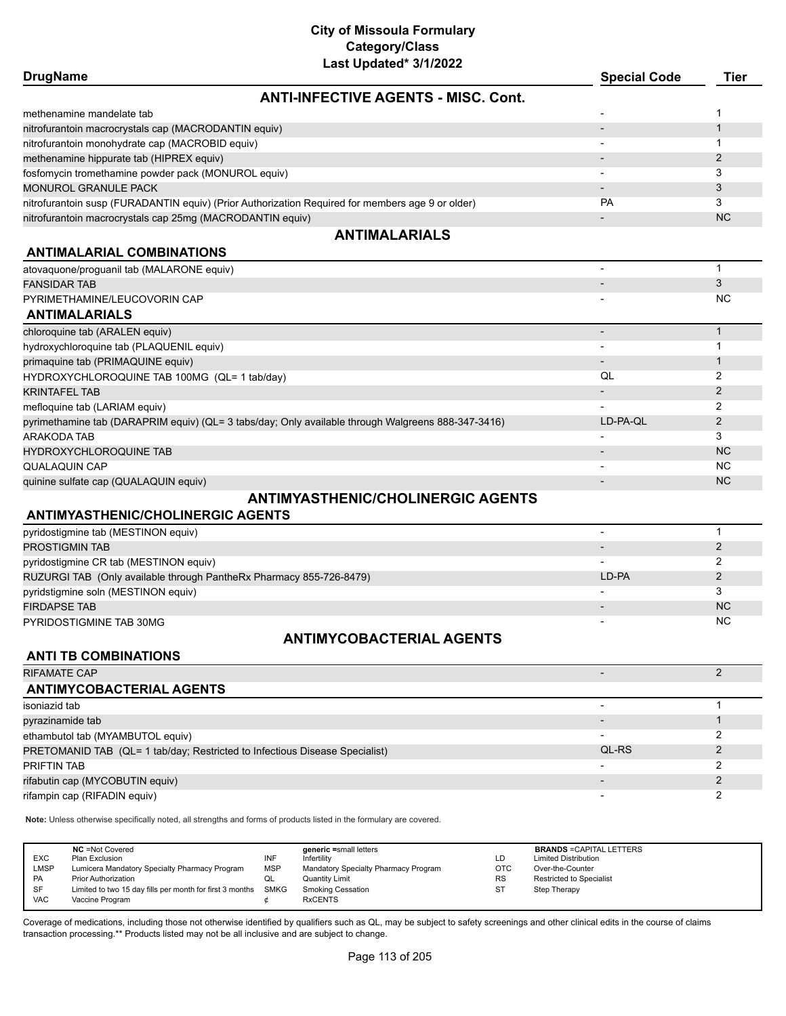| Last Updated* 3/1/2022                                                                             |                          |                |
|----------------------------------------------------------------------------------------------------|--------------------------|----------------|
| <b>DrugName</b>                                                                                    | <b>Special Code</b>      | Tier           |
| <b>ANTI-INFECTIVE AGENTS - MISC. Cont.</b>                                                         |                          |                |
| methenamine mandelate tab                                                                          |                          | 1              |
| nitrofurantoin macrocrystals cap (MACRODANTIN equiv)                                               |                          | $\mathbf{1}$   |
| nitrofurantoin monohydrate cap (MACROBID equiv)                                                    |                          | $\mathbf{1}$   |
| methenamine hippurate tab (HIPREX equiv)                                                           |                          | 2              |
| fosfomycin tromethamine powder pack (MONUROL equiv)                                                |                          | 3              |
| MONUROL GRANULE PACK                                                                               |                          | 3              |
| nitrofurantoin susp (FURADANTIN equiv) (Prior Authorization Required for members age 9 or older)   | <b>PA</b>                | 3              |
| nitrofurantoin macrocrystals cap 25mg (MACRODANTIN equiv)                                          | $\overline{\phantom{a}}$ | <b>NC</b>      |
| <b>ANTIMALARIALS</b>                                                                               |                          |                |
| <b>ANTIMALARIAL COMBINATIONS</b>                                                                   |                          |                |
| atovaquone/proguanil tab (MALARONE equiv)                                                          | $\blacksquare$           | $\mathbf{1}$   |
| <b>FANSIDAR TAB</b>                                                                                |                          | 3              |
| PYRIMETHAMINE/LEUCOVORIN CAP                                                                       |                          | <b>NC</b>      |
| <b>ANTIMALARIALS</b>                                                                               |                          |                |
| chloroquine tab (ARALEN equiv)                                                                     |                          | $\mathbf{1}$   |
| hydroxychloroquine tab (PLAQUENIL equiv)                                                           |                          | $\mathbf{1}$   |
| primaquine tab (PRIMAQUINE equiv)                                                                  |                          | $\mathbf{1}$   |
| HYDROXYCHLOROQUINE TAB 100MG (QL= 1 tab/day)                                                       | QL                       | 2              |
| <b>KRINTAFEL TAB</b>                                                                               |                          | $\overline{2}$ |
| mefloquine tab (LARIAM equiv)                                                                      |                          | 2              |
| pyrimethamine tab (DARAPRIM equiv) (QL= 3 tabs/day; Only available through Walgreens 888-347-3416) | LD-PA-QL                 | 2              |
| ARAKODA TAB                                                                                        |                          | 3              |
| HYDROXYCHLOROQUINE TAB                                                                             |                          | <b>NC</b>      |
| QUALAQUIN CAP                                                                                      |                          | <b>NC</b>      |
| quinine sulfate cap (QUALAQUIN equiv)                                                              |                          | <b>NC</b>      |
| <b>ANTIMYASTHENIC/CHOLINERGIC AGENTS</b>                                                           |                          |                |
| <b>ANTIMYASTHENIC/CHOLINERGIC AGENTS</b>                                                           |                          |                |
| pyridostigmine tab (MESTINON equiv)                                                                | ÷,                       | $\mathbf{1}$   |
| PROSTIGMIN TAB                                                                                     |                          | 2              |
| pyridostigmine CR tab (MESTINON equiv)                                                             |                          | 2              |
| RUZURGI TAB (Only available through PantheRx Pharmacy 855-726-8479)                                | LD-PA                    | $\overline{2}$ |
| pyridstigmine soln (MESTINON equiv)                                                                |                          | 3              |
| <b>FIRDAPSE TAB</b>                                                                                |                          | <b>NC</b>      |
| PYRIDOSTIGMINE TAB 30MG                                                                            |                          | <b>NC</b>      |
| <b>ANTIMYCOBACTERIAL AGENTS</b>                                                                    |                          |                |
| <b>ANTI TB COMBINATIONS</b>                                                                        |                          |                |
| <b>RIFAMATE CAP</b>                                                                                |                          | 2              |

# **ANTIMYCOBACTERIAL AGENTS** isoniazid tab - 1 pyrazinamide tab - 1 and 1 and 1 and 1 and 1 and 1 and 1 and 1 and 1 and 1 and 1 and 1 and 1 and 1 and 1 and 1 ethambutol tab (MYAMBUTOL equiv) 2 PRETOMANID TAB (QL= 1 tab/day; Restricted to Infectious Disease Specialist) **Discussed COL-RS** 2 PRIFTIN TAB - 2 rifabutin cap (MYCOBUTIN equiv) - 2 rifampin cap (RIFADIN equiv) - 2

**Note:** Unless otherwise specifically noted, all strengths and forms of products listed in the formulary are covered.

| <b>EXC</b><br><b>LMSP</b><br><b>PA</b><br><b>SF</b> | <b>NC</b> = Not Covered<br>Plan Exclusion<br>Lumicera Mandatory Specialty Pharmacy Program<br><b>Prior Authorization</b><br>Limited to two 15 day fills per month for first 3 months | INF<br><b>MSP</b><br>QL<br>SMKG | generic =small letters<br>Infertility<br>Mandatory Specialty Pharmacy Program<br>Quantity Limit<br><b>Smoking Cessation</b> | LD<br><b>OTC</b><br><b>RS</b><br>-ST | <b>BRANDS = CAPITAL LETTERS</b><br><b>Limited Distribution</b><br>Over-the-Counter<br><b>Restricted to Specialist</b><br>Step Therapy |
|-----------------------------------------------------|--------------------------------------------------------------------------------------------------------------------------------------------------------------------------------------|---------------------------------|-----------------------------------------------------------------------------------------------------------------------------|--------------------------------------|---------------------------------------------------------------------------------------------------------------------------------------|
| <b>VAC</b>                                          | Vaccine Program                                                                                                                                                                      |                                 | <b>RxCENTS</b>                                                                                                              |                                      |                                                                                                                                       |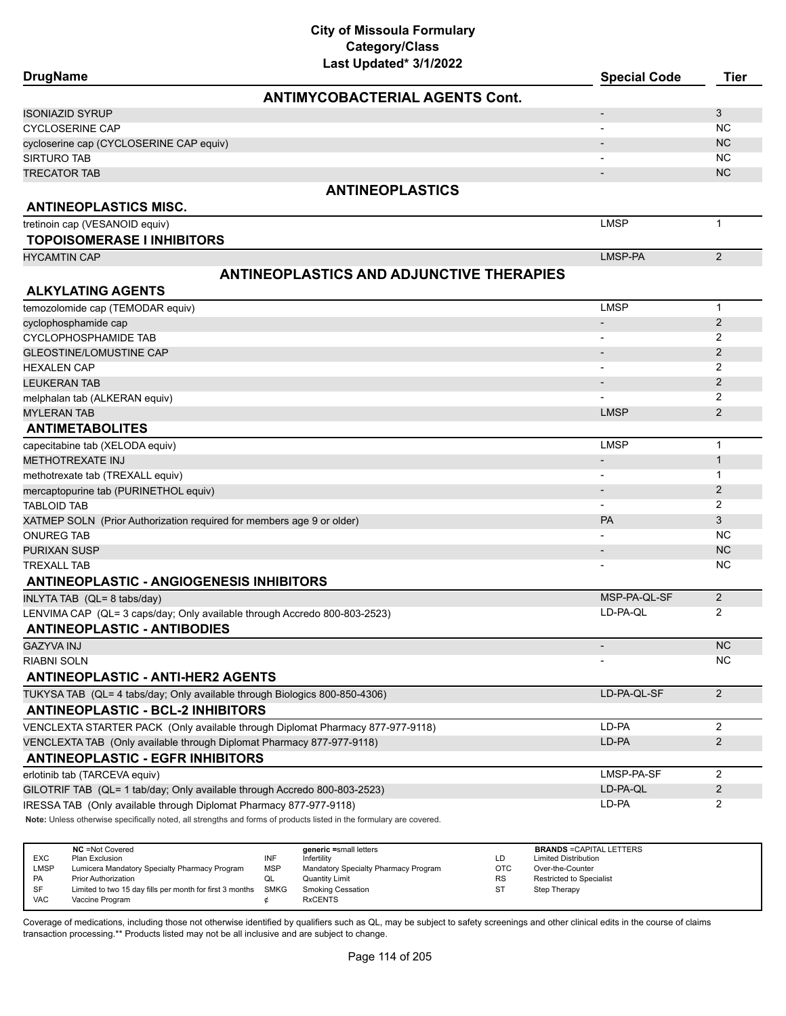| Last Updated* 3/1/2022                                                                                                                                                                             |                                 |                     |
|----------------------------------------------------------------------------------------------------------------------------------------------------------------------------------------------------|---------------------------------|---------------------|
| <b>DrugName</b>                                                                                                                                                                                    | <b>Special Code</b>             | <b>Tier</b>         |
| <b>ANTIMYCOBACTERIAL AGENTS Cont.</b>                                                                                                                                                              |                                 |                     |
| ISONIAZID SYRUP                                                                                                                                                                                    |                                 | 3                   |
| <b>CYCLOSERINE CAP</b>                                                                                                                                                                             |                                 | <b>NC</b>           |
| cycloserine cap (CYCLOSERINE CAP equiv)                                                                                                                                                            |                                 | <b>NC</b>           |
| <b>SIRTURO TAB</b>                                                                                                                                                                                 |                                 | NC                  |
| <b>TRECATOR TAB</b>                                                                                                                                                                                |                                 | <b>NC</b>           |
| <b>ANTINEOPLASTICS</b>                                                                                                                                                                             |                                 |                     |
| <b>ANTINEOPLASTICS MISC.</b>                                                                                                                                                                       |                                 |                     |
| tretinoin cap (VESANOID equiv)                                                                                                                                                                     | <b>LMSP</b>                     | $\mathbf 1$         |
| <b>TOPOISOMERASE I INHIBITORS</b>                                                                                                                                                                  |                                 |                     |
| <b>HYCAMTIN CAP</b>                                                                                                                                                                                | LMSP-PA                         | 2                   |
| ANTINEOPLASTICS AND ADJUNCTIVE THERAPIES                                                                                                                                                           |                                 |                     |
| <b>ALKYLATING AGENTS</b>                                                                                                                                                                           |                                 |                     |
| temozolomide cap (TEMODAR equiv)                                                                                                                                                                   | <b>LMSP</b>                     | $\mathbf{1}$        |
| cyclophosphamide cap                                                                                                                                                                               |                                 | 2                   |
| <b>CYCLOPHOSPHAMIDE TAB</b>                                                                                                                                                                        |                                 | 2                   |
| <b>GLEOSTINE/LOMUSTINE CAP</b>                                                                                                                                                                     |                                 | $\mathbf{2}$        |
| HEXALEN CAP                                                                                                                                                                                        | $\blacksquare$                  | $\overline{2}$      |
| <b>LEUKERAN TAB</b>                                                                                                                                                                                |                                 | 2                   |
| melphalan tab (ALKERAN equiv)                                                                                                                                                                      |                                 | 2                   |
| <b>MYLERAN TAB</b>                                                                                                                                                                                 | <b>LMSP</b>                     | 2                   |
| <b>ANTIMETABOLITES</b>                                                                                                                                                                             |                                 |                     |
| capecitabine tab (XELODA equiv)                                                                                                                                                                    | <b>LMSP</b>                     | $\mathbf 1$         |
| METHOTREXATE INJ                                                                                                                                                                                   | $\overline{\phantom{a}}$        | $\mathbf 1$         |
| methotrexate tab (TREXALL equiv)                                                                                                                                                                   | $\overline{\phantom{a}}$        | 1                   |
| mercaptopurine tab (PURINETHOL equiv)                                                                                                                                                              |                                 | 2                   |
| <b>TABLOID TAB</b>                                                                                                                                                                                 |                                 | 2                   |
| XATMEP SOLN (Prior Authorization required for members age 9 or older)                                                                                                                              | <b>PA</b>                       | 3<br><b>NC</b>      |
| <b>ONUREG TAB</b>                                                                                                                                                                                  |                                 | <b>NC</b>           |
| PURIXAN SUSP<br>TREXALL TAB                                                                                                                                                                        |                                 | ΝC                  |
| <b>ANTINEOPLASTIC - ANGIOGENESIS INHIBITORS</b>                                                                                                                                                    |                                 |                     |
|                                                                                                                                                                                                    | MSP-PA-QL-SF                    | 2                   |
| INLYTA TAB (QL= 8 tabs/day)<br>LENVIMA CAP (QL= 3 caps/day; Only available through Accredo 800-803-2523)                                                                                           | LD-PA-QL                        | 2                   |
|                                                                                                                                                                                                    |                                 |                     |
| <b>ANTINEOPLASTIC - ANTIBODIES</b>                                                                                                                                                                 |                                 |                     |
| GAZYVA INJ                                                                                                                                                                                         | $\overline{\phantom{m}}$        | <b>NC</b>           |
| RIABNI SOLN                                                                                                                                                                                        |                                 | ΝC                  |
| <b>ANTINEOPLASTIC - ANTI-HER2 AGENTS</b>                                                                                                                                                           |                                 |                     |
| TUKYSA TAB (QL= 4 tabs/day; Only available through Biologics 800-850-4306)<br><b>ANTINEOPLASTIC - BCL-2 INHIBITORS</b>                                                                             | LD-PA-QL-SF                     | 2                   |
|                                                                                                                                                                                                    |                                 |                     |
| VENCLEXTA STARTER PACK (Only available through Diplomat Pharmacy 877-977-9118)                                                                                                                     | LD-PA<br>LD-PA                  | 2<br>$\overline{2}$ |
| VENCLEXTA TAB (Only available through Diplomat Pharmacy 877-977-9118)<br><b>ANTINEOPLASTIC - EGFR INHIBITORS</b>                                                                                   |                                 |                     |
| erlotinib tab (TARCEVA equiv)                                                                                                                                                                      | LMSP-PA-SF                      | 2                   |
| GILOTRIF TAB (QL= 1 tab/day; Only available through Accredo 800-803-2523)                                                                                                                          | LD-PA-QL                        | 2                   |
| IRESSA TAB (Only available through Diplomat Pharmacy 877-977-9118)                                                                                                                                 | LD-PA                           | 2                   |
| Note: Unless otherwise specifically noted, all strengths and forms of products listed in the formulary are covered.                                                                                |                                 |                     |
|                                                                                                                                                                                                    |                                 |                     |
| <b>NC</b> = Not Covered<br>generic =small letters                                                                                                                                                  | <b>BRANDS = CAPITAL LETTERS</b> |                     |
| INF<br>LD<br>EXC<br>Plan Exclusion<br>Infertility<br>LMSP<br><b>MSP</b><br>Mandatory Specialty Pharmacy Program<br><b>OTC</b><br>Lumicera Mandatory Specialty Pharmacy Program<br>Over-the-Counter | <b>Limited Distribution</b>     |                     |
| <b>Quantity Limit</b><br>PA<br>Prior Authorization<br>QL<br>RS                                                                                                                                     | Restricted to Specialist        |                     |
| SF<br>Limited to two 15 day fills per month for first 3 months<br><b>SMKG</b><br><b>Smoking Cessation</b><br><b>ST</b><br>Step Therapy                                                             |                                 |                     |

SF Limited to two 15 day fills per month for first 3 months<br>VAC Vaccine Program Vaccine Program  $\phi$  RxCENTS Coverage of medications, including those not otherwise identified by qualifiers such as QL, may be subject to safety screenings and other clinical edits in the course of claims transaction processing.\*\* Products listed may not be all inclusive and are subject to change.

PA Prior Authorization COL Quantity Limit Collection Control RS Restricted to Specialist<br>1991 - ST Step Therapy ST Step Therapy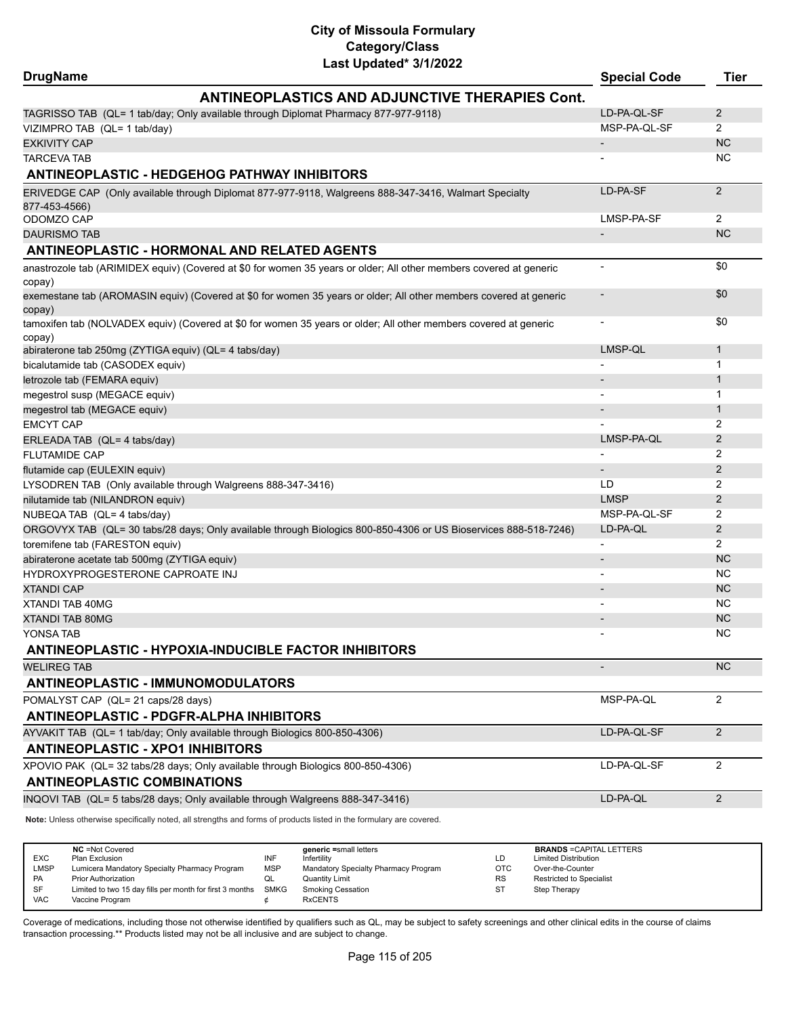| Last Updated* 3/1/2022<br><b>DrugName</b>                                                                                    | <b>Special Code</b>      | <b>Tier</b>    |
|------------------------------------------------------------------------------------------------------------------------------|--------------------------|----------------|
| <b>ANTINEOPLASTICS AND ADJUNCTIVE THERAPIES Cont.</b>                                                                        |                          |                |
| TAGRISSO TAB (QL= 1 tab/day; Only available through Diplomat Pharmacy 877-977-9118)                                          | LD-PA-QL-SF              | 2              |
| VIZIMPRO TAB (QL= 1 tab/day)                                                                                                 | MSP-PA-QL-SF             | $\overline{2}$ |
| <b>EXKIVITY CAP</b>                                                                                                          |                          | <b>NC</b>      |
| <b>TARCEVA TAB</b>                                                                                                           |                          | NC.            |
| <b>ANTINEOPLASTIC - HEDGEHOG PATHWAY INHIBITORS</b>                                                                          |                          |                |
|                                                                                                                              |                          |                |
| ERIVEDGE CAP (Only available through Diplomat 877-977-9118, Walgreens 888-347-3416, Walmart Specialty                        | LD-PA-SF                 | 2              |
| 877-453-4566)<br>ODOMZO CAP                                                                                                  | LMSP-PA-SF               | 2              |
| <b>DAURISMO TAB</b>                                                                                                          | $\overline{\phantom{a}}$ | <b>NC</b>      |
| <b>ANTINEOPLASTIC - HORMONAL AND RELATED AGENTS</b>                                                                          |                          |                |
|                                                                                                                              |                          |                |
| anastrozole tab (ARIMIDEX equiv) (Covered at \$0 for women 35 years or older; All other members covered at generic<br>copay) |                          | \$0            |
| exemestane tab (AROMASIN equiv) (Covered at \$0 for women 35 years or older; All other members covered at generic<br>copay)  |                          | \$0            |
| tamoxifen tab (NOLVADEX equiv) (Covered at \$0 for women 35 years or older; All other members covered at generic<br>copay)   |                          | \$0            |
| abiraterone tab 250mg (ZYTIGA equiv) (QL= 4 tabs/day)                                                                        | LMSP-QL                  | $\mathbf{1}$   |
| bicalutamide tab (CASODEX equiv)                                                                                             |                          | -1             |
| letrozole tab (FEMARA equiv)                                                                                                 |                          | $\mathbf{1}$   |
| megestrol susp (MEGACE equiv)                                                                                                |                          | 1              |
| megestrol tab (MEGACE equiv)                                                                                                 |                          | $\mathbf{1}$   |
| <b>EMCYT CAP</b>                                                                                                             |                          | 2              |
| ERLEADA TAB (QL= 4 tabs/day)                                                                                                 | LMSP-PA-QL               | 2              |
| <b>FLUTAMIDE CAP</b>                                                                                                         |                          | 2              |
| flutamide cap (EULEXIN equiv)                                                                                                |                          | 2              |
| LYSODREN TAB (Only available through Walgreens 888-347-3416)                                                                 | LD                       | 2              |
| nilutamide tab (NILANDRON equiv)                                                                                             | <b>LMSP</b>              | 2              |
| NUBEQA TAB (QL= 4 tabs/day)                                                                                                  | MSP-PA-QL-SF             | 2              |
| ORGOVYX TAB (QL= 30 tabs/28 days; Only available through Biologics 800-850-4306 or US Bioservices 888-518-7246)              | LD-PA-QL                 | 2              |
| toremifene tab (FARESTON equiv)                                                                                              |                          | $\overline{2}$ |
| abiraterone acetate tab 500mg (ZYTIGA equiv)                                                                                 |                          | <b>NC</b>      |
| HYDROXYPROGESTERONE CAPROATE INJ                                                                                             |                          | NC.            |
| <b>XTANDI CAP</b>                                                                                                            |                          | <b>NC</b>      |
| XTANDI TAB 40MG                                                                                                              |                          | NC             |
| XTANDI TAB 80MG                                                                                                              |                          | <b>NC</b>      |
| YONSA TAB                                                                                                                    |                          | <b>NC</b>      |
| <b>ANTINEOPLASTIC - HYPOXIA-INDUCIBLE FACTOR INHIBITORS</b>                                                                  |                          |                |
| <b>WELIREG TAB</b>                                                                                                           |                          | NC             |
| <b>ANTINEOPLASTIC - IMMUNOMODULATORS</b>                                                                                     |                          |                |
| POMALYST CAP (QL= 21 caps/28 days)                                                                                           | MSP-PA-QL                | $\overline{2}$ |
| <b>ANTINEOPLASTIC - PDGFR-ALPHA INHIBITORS</b>                                                                               |                          |                |
| AYVAKIT TAB (QL= 1 tab/day; Only available through Biologics 800-850-4306)                                                   | LD-PA-QL-SF              | 2              |
| <b>ANTINEOPLASTIC - XPO1 INHIBITORS</b>                                                                                      |                          |                |
| XPOVIO PAK (QL= 32 tabs/28 days; Only available through Biologics 800-850-4306)                                              | LD-PA-QL-SF              | 2              |
| <b>ANTINEOPLASTIC COMBINATIONS</b>                                                                                           |                          |                |
| INQOVI TAB (QL= 5 tabs/28 days; Only available through Walgreens 888-347-3416)                                               | LD-PA-QL                 | 2              |
| Note: Unless otherwise specifically noted, all strengths and forms of products listed in the formulary are covered.          |                          |                |

|            | <b>NC</b> = Not Covered                                  |            | generic =small letters               |           | <b>BRANDS = CAPITAL LETTERS</b> |
|------------|----------------------------------------------------------|------------|--------------------------------------|-----------|---------------------------------|
| <b>EXC</b> | Plan Exclusion                                           | INF        | Infertility                          | LD        | <b>Limited Distribution</b>     |
| LMSP       | Lumicera Mandatory Specialty Pharmacy Program            | <b>MSP</b> | Mandatory Specialty Pharmacy Program | OTC       | Over-the-Counter                |
| PA         | <b>Prior Authorization</b>                               | QL         | <b>Quantity Limit</b>                | <b>RS</b> | <b>Restricted to Specialist</b> |
| SF         | Limited to two 15 day fills per month for first 3 months | SMKG       | Smoking Cessation                    | SТ        | Step Therapy                    |
| <b>VAC</b> | Vaccine Program                                          |            | <b>RxCENTS</b>                       |           |                                 |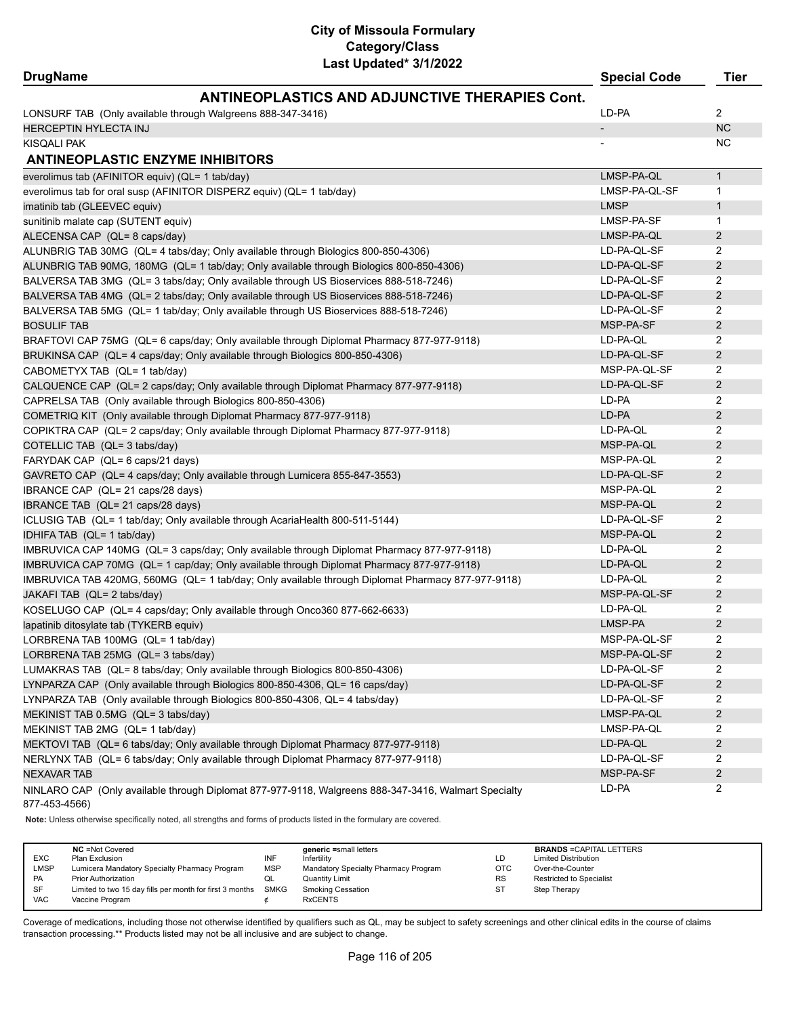|  | <b>DrugName</b> |
|--|-----------------|
|--|-----------------|

| <b>DrugName</b>                                                                                                       | <b>Special Code</b>      | Tier           |
|-----------------------------------------------------------------------------------------------------------------------|--------------------------|----------------|
| <b>ANTINEOPLASTICS AND ADJUNCTIVE THERAPIES Cont.</b>                                                                 |                          |                |
| LONSURF TAB (Only available through Walgreens 888-347-3416)                                                           | LD-PA                    | $\overline{2}$ |
| <b>HERCEPTIN HYLECTA INJ</b>                                                                                          | $\overline{\phantom{a}}$ | <b>NC</b>      |
| <b>KISQALI PAK</b>                                                                                                    |                          | <b>NC</b>      |
| <b>ANTINEOPLASTIC ENZYME INHIBITORS</b>                                                                               |                          |                |
| everolimus tab (AFINITOR equiv) (QL= 1 tab/day)                                                                       | LMSP-PA-QL               | $\mathbf{1}$   |
| everolimus tab for oral susp (AFINITOR DISPERZ equiv) (QL= 1 tab/day)                                                 | LMSP-PA-QL-SF            | 1              |
| imatinib tab (GLEEVEC equiv)                                                                                          | <b>LMSP</b>              | $\mathbf{1}$   |
| sunitinib malate cap (SUTENT equiv)                                                                                   | LMSP-PA-SF               | $\mathbf{1}$   |
| ALECENSA CAP (QL= 8 caps/day)                                                                                         | LMSP-PA-QL               | $\overline{2}$ |
| ALUNBRIG TAB 30MG (QL= 4 tabs/day; Only available through Biologics 800-850-4306)                                     | LD-PA-QL-SF              | 2              |
| ALUNBRIG TAB 90MG, 180MG (QL= 1 tab/day; Only available through Biologics 800-850-4306)                               | LD-PA-QL-SF              | $\overline{2}$ |
| BALVERSA TAB 3MG (QL= 3 tabs/day; Only available through US Bioservices 888-518-7246)                                 | LD-PA-QL-SF              | 2              |
| BALVERSA TAB 4MG (QL= 2 tabs/day; Only available through US Bioservices 888-518-7246)                                 | LD-PA-QL-SF              | $\overline{2}$ |
| BALVERSA TAB 5MG (QL= 1 tab/day; Only available through US Bioservices 888-518-7246)                                  | LD-PA-QL-SF              | 2              |
| <b>BOSULIF TAB</b>                                                                                                    | MSP-PA-SF                | 2              |
| BRAFTOVI CAP 75MG (QL= 6 caps/day; Only available through Diplomat Pharmacy 877-977-9118)                             | LD-PA-QL                 | $\overline{2}$ |
| BRUKINSA CAP (QL= 4 caps/day; Only available through Biologics 800-850-4306)                                          | LD-PA-QL-SF              | 2              |
| CABOMETYX TAB (QL= 1 tab/day)                                                                                         | MSP-PA-QL-SF             | 2              |
| CALQUENCE CAP (QL= 2 caps/day; Only available through Diplomat Pharmacy 877-977-9118)                                 | LD-PA-QL-SF              | 2              |
| CAPRELSA TAB (Only available through Biologics 800-850-4306)                                                          | LD-PA                    | 2              |
| COMETRIQ KIT (Only available through Diplomat Pharmacy 877-977-9118)                                                  | LD-PA                    | $\overline{2}$ |
| COPIKTRA CAP (QL= 2 caps/day; Only available through Diplomat Pharmacy 877-977-9118)                                  | LD-PA-QL                 | $\overline{2}$ |
| COTELLIC TAB (QL= 3 tabs/day)                                                                                         | MSP-PA-QL                | $\overline{2}$ |
| FARYDAK CAP (QL= 6 caps/21 days)                                                                                      | MSP-PA-QL                | 2              |
| GAVRETO CAP (QL= 4 caps/day; Only available through Lumicera 855-847-3553)                                            | LD-PA-QL-SF              | $\overline{2}$ |
| IBRANCE CAP (QL= 21 caps/28 days)                                                                                     | MSP-PA-QL                | 2              |
| IBRANCE TAB (QL= 21 caps/28 days)                                                                                     | MSP-PA-QL                | $\overline{2}$ |
| ICLUSIG TAB (QL= 1 tab/day; Only available through AcariaHealth 800-511-5144)                                         | LD-PA-QL-SF              | $\overline{2}$ |
| IDHIFA TAB (QL= 1 tab/day)                                                                                            | MSP-PA-QL                | $\overline{2}$ |
| IMBRUVICA CAP 140MG (QL= 3 caps/day; Only available through Diplomat Pharmacy 877-977-9118)                           | LD-PA-QL                 | 2              |
| IMBRUVICA CAP 70MG (QL= 1 cap/day; Only available through Diplomat Pharmacy 877-977-9118)                             | LD-PA-QL                 | $\overline{2}$ |
| IMBRUVICA TAB 420MG, 560MG (QL= 1 tab/day; Only available through Diplomat Pharmacy 877-977-9118)                     | LD-PA-QL                 | 2              |
| JAKAFI TAB (QL= 2 tabs/day)                                                                                           | MSP-PA-QL-SF             | $\overline{2}$ |
| KOSELUGO CAP (QL= 4 caps/day; Only available through Onco360 877-662-6633)                                            | LD-PA-QL                 | 2              |
| lapatinib ditosylate tab (TYKERB equiv)                                                                               | LMSP-PA                  | $\overline{2}$ |
| LORBRENA TAB 100MG (QL= 1 tab/day)                                                                                    | MSP-PA-QL-SF             | $\overline{2}$ |
| LORBRENA TAB 25MG (QL= 3 tabs/day)                                                                                    | MSP-PA-QL-SF             | $\overline{2}$ |
| LUMAKRAS TAB (QL= 8 tabs/day; Only available through Biologics 800-850-4306)                                          | LD-PA-QL-SF              | 2              |
| LYNPARZA CAP (Only available through Biologics 800-850-4306, QL= 16 caps/day)                                         | LD-PA-QL-SF              | $\overline{2}$ |
| LYNPARZA TAB (Only available through Biologics 800-850-4306, QL= 4 tabs/day)                                          | LD-PA-QL-SF              | 2              |
| MEKINIST TAB 0.5MG (QL= 3 tabs/day)                                                                                   | LMSP-PA-QL               | $\overline{2}$ |
| MEKINIST TAB 2MG (QL= 1 tab/day)                                                                                      | LMSP-PA-QL               | $\overline{2}$ |
| MEKTOVI TAB (QL= 6 tabs/day; Only available through Diplomat Pharmacy 877-977-9118)                                   | LD-PA-QL                 | $\overline{2}$ |
| NERLYNX TAB (QL= 6 tabs/day; Only available through Diplomat Pharmacy 877-977-9118)                                   | LD-PA-QL-SF              | $\overline{2}$ |
| <b>NEXAVAR TAB</b>                                                                                                    | MSP-PA-SF                | $\overline{2}$ |
| NINLARO CAP (Only available through Diplomat 877-977-9118, Walgreens 888-347-3416, Walmart Specialty<br>877-453-4566) | LD-PA                    | 2              |

**Note:** Unless otherwise specifically noted, all strengths and forms of products listed in the formulary are covered.

| <b>EXC</b> | <b>NC</b> = Not Covered<br>Plan Exclusion                     | INF        | generic =small letters<br>Infertility | LD         | <b>BRANDS = CAPITAL LETTERS</b><br><b>Limited Distribution</b> |
|------------|---------------------------------------------------------------|------------|---------------------------------------|------------|----------------------------------------------------------------|
| LMSP       | Lumicera Mandatory Specialty Pharmacy Program                 | <b>MSP</b> | Mandatory Specialty Pharmacy Program  | <b>OTC</b> | Over-the-Counter                                               |
| <b>PA</b>  | <b>Prior Authorization</b>                                    | QL         | Quantity Limit                        | <b>RS</b>  | <b>Restricted to Specialist</b>                                |
| <b>SF</b>  | Limited to two 15 day fills per month for first 3 months SMKG |            | <b>Smoking Cessation</b>              | <b>ST</b>  | Step Therapy                                                   |
| <b>VAC</b> | Vaccine Program                                               |            | <b>RxCENTS</b>                        |            |                                                                |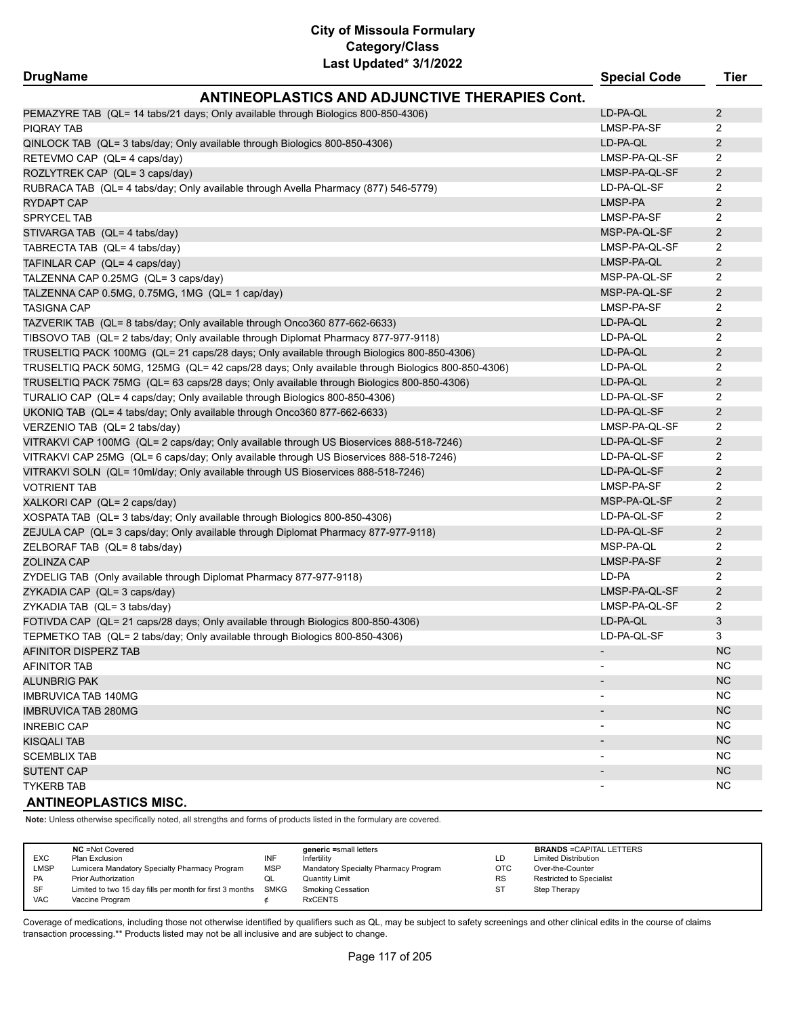| <b>DrugName</b>                                                                                 | <b>Special Code</b> | Tier           |
|-------------------------------------------------------------------------------------------------|---------------------|----------------|
| <b>ANTINEOPLASTICS AND ADJUNCTIVE THERAPIES Cont.</b>                                           |                     |                |
| PEMAZYRE TAB (QL= 14 tabs/21 days; Only available through Biologics 800-850-4306)               | LD-PA-QL            | 2              |
| <b>PIQRAY TAB</b>                                                                               | LMSP-PA-SF          | 2              |
| QINLOCK TAB (QL= 3 tabs/day; Only available through Biologics 800-850-4306)                     | LD-PA-QL            | 2              |
| RETEVMO CAP (QL= 4 caps/day)                                                                    | LMSP-PA-QL-SF       | 2              |
| ROZLYTREK CAP (QL= 3 caps/day)                                                                  | LMSP-PA-QL-SF       | $\overline{2}$ |
| RUBRACA TAB (QL= 4 tabs/day; Only available through Avella Pharmacy (877) 546-5779)             | LD-PA-QL-SF         | 2              |
| <b>RYDAPT CAP</b>                                                                               | LMSP-PA             | 2              |
| SPRYCEL TAB                                                                                     | LMSP-PA-SF          | 2              |
| STIVARGA TAB (QL= 4 tabs/day)                                                                   | MSP-PA-QL-SF        | 2              |
| TABRECTA TAB (QL= 4 tabs/day)                                                                   | LMSP-PA-QL-SF       | 2              |
| TAFINLAR CAP (QL= 4 caps/day)                                                                   | LMSP-PA-QL          | $\overline{2}$ |
| TALZENNA CAP 0.25MG (QL= 3 caps/day)                                                            | MSP-PA-QL-SF        | 2              |
| TALZENNA CAP 0.5MG, 0.75MG, 1MG (QL= 1 cap/day)                                                 | MSP-PA-QL-SF        | $\overline{2}$ |
| <b>TASIGNA CAP</b>                                                                              | LMSP-PA-SF          | 2              |
| TAZVERIK TAB (QL= 8 tabs/day; Only available through Onco360 877-662-6633)                      | LD-PA-QL            | 2              |
| TIBSOVO TAB (QL= 2 tabs/day; Only available through Diplomat Pharmacy 877-977-9118)             | LD-PA-QL            | 2              |
| TRUSELTIQ PACK 100MG (QL= 21 caps/28 days; Only available through Biologics 800-850-4306)       | LD-PA-QL            | 2              |
| TRUSELTIQ PACK 50MG, 125MG (QL= 42 caps/28 days; Only available through Biologics 800-850-4306) | LD-PA-QL            | 2              |
| TRUSELTIQ PACK 75MG (QL= 63 caps/28 days; Only available through Biologics 800-850-4306)        | LD-PA-QL            | 2              |
| TURALIO CAP (QL= 4 caps/day; Only available through Biologics 800-850-4306)                     | LD-PA-QL-SF         | $\overline{2}$ |
| UKONIQ TAB (QL= 4 tabs/day; Only available through Onco360 877-662-6633)                        | LD-PA-QL-SF         | $\overline{2}$ |
| VERZENIO TAB (QL= 2 tabs/day)                                                                   | LMSP-PA-QL-SF       | 2              |
| VITRAKVI CAP 100MG (QL= 2 caps/day; Only available through US Bioservices 888-518-7246)         | LD-PA-QL-SF         | 2              |
| VITRAKVI CAP 25MG (QL= 6 caps/day; Only available through US Bioservices 888-518-7246)          | LD-PA-QL-SF         | 2              |
| VITRAKVI SOLN (QL= 10ml/day; Only available through US Bioservices 888-518-7246)                | LD-PA-QL-SF         | 2              |
| <b>VOTRIENT TAB</b>                                                                             | LMSP-PA-SF          | 2              |
| XALKORI CAP (QL= 2 caps/day)                                                                    | MSP-PA-QL-SF        | 2              |
| XOSPATA TAB (QL= 3 tabs/day; Only available through Biologics 800-850-4306)                     | LD-PA-QL-SF         | 2              |
| ZEJULA CAP (QL= 3 caps/day; Only available through Diplomat Pharmacy 877-977-9118)              | LD-PA-QL-SF         | $\overline{2}$ |
| ZELBORAF TAB (QL= 8 tabs/day)                                                                   | MSP-PA-QL           | 2              |
| ZOLINZA CAP                                                                                     | LMSP-PA-SF          | $\overline{2}$ |
| ZYDELIG TAB (Only available through Diplomat Pharmacy 877-977-9118)                             | LD-PA               | 2              |
| ZYKADIA CAP (QL= 3 caps/day)                                                                    | LMSP-PA-QL-SF       | 2              |
| ZYKADIA TAB (QL= 3 tabs/day)                                                                    | LMSP-PA-QL-SF       | 2              |
| FOTIVDA CAP (QL= 21 caps/28 days; Only available through Biologics 800-850-4306)                | LD-PA-QL            | 3              |
| TEPMETKO TAB (QL= 2 tabs/day; Only available through Biologics 800-850-4306)                    | LD-PA-QL-SF         | 3              |
| AFINITOR DISPERZ TAB                                                                            |                     | <b>NC</b>      |
| <b>AFINITOR TAB</b>                                                                             |                     | NC             |
| <b>ALUNBRIG PAK</b>                                                                             |                     | <b>NC</b>      |
| <b>IMBRUVICA TAB 140MG</b>                                                                      |                     | NC             |
| <b>IMBRUVICA TAB 280MG</b>                                                                      |                     | NC             |
| <b>INREBIC CAP</b>                                                                              |                     | NC             |
| KISQALI TAB                                                                                     |                     | <b>NC</b>      |
| <b>SCEMBLIX TAB</b>                                                                             |                     | NC.            |
| <b>SUTENT CAP</b>                                                                               |                     | NC             |
| <b>TYKERB TAB</b>                                                                               |                     | NC.            |
| <b>ANTINEOPLASTICS MISC.</b>                                                                    |                     |                |

**Note:** Unless otherwise specifically noted, all strengths and forms of products listed in the formulary are covered.

| <b>EXC</b><br>LMSP<br>PA | <b>NC</b> = Not Covered<br>Plan Exclusion<br>Lumicera Mandatory Specialty Pharmacy Program<br><b>Prior Authorization</b> | INF<br><b>MSP</b><br>w∟ | generic =small letters<br>Infertility<br>Mandatory Specialty Pharmacy Program<br><b>Quantity Limit</b> | LD<br><b>OTC</b><br><b>RS</b> | <b>BRANDS = CAPITAL LETTERS</b><br><b>Limited Distribution</b><br>Over-the-Counter<br>Restricted to Specialist |
|--------------------------|--------------------------------------------------------------------------------------------------------------------------|-------------------------|--------------------------------------------------------------------------------------------------------|-------------------------------|----------------------------------------------------------------------------------------------------------------|
| SF<br><b>VAC</b>         | Limited to two 15 day fills per month for first 3 months SMKG<br>Vaccine Program                                         |                         | Smoking Cessation<br><b>RxCENTS</b>                                                                    | <b>ST</b>                     | Step Therapy                                                                                                   |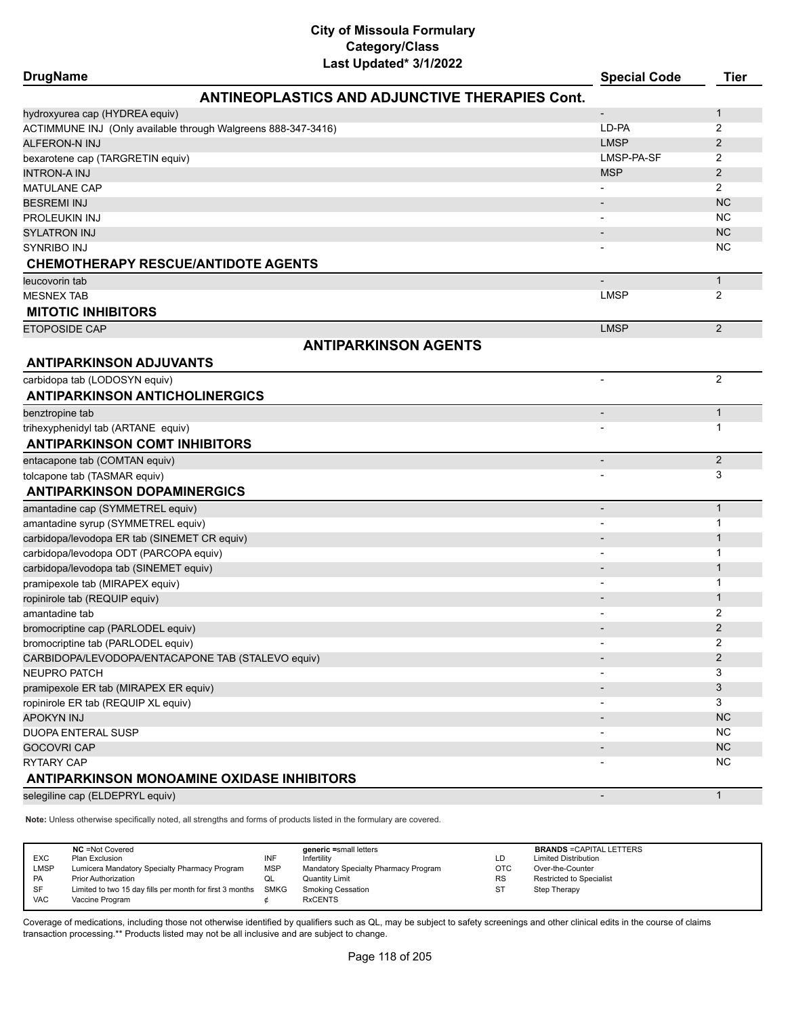| <b>DrugName</b>                                               | Last Upuateu vrijkukk                                 | <b>Special Code</b>          | <b>Tier</b>    |
|---------------------------------------------------------------|-------------------------------------------------------|------------------------------|----------------|
|                                                               | <b>ANTINEOPLASTICS AND ADJUNCTIVE THERAPIES Cont.</b> |                              |                |
| hydroxyurea cap (HYDREA equiv)                                |                                                       |                              | 1              |
| ACTIMMUNE INJ (Only available through Walgreens 888-347-3416) |                                                       | LD-PA                        | 2              |
| <b>ALFERON-N INJ</b>                                          |                                                       | <b>LMSP</b>                  | $\overline{2}$ |
| bexarotene cap (TARGRETIN equiv)                              |                                                       | LMSP-PA-SF                   | 2              |
| <b>INTRON-A INJ</b>                                           |                                                       | <b>MSP</b>                   | $\overline{2}$ |
| <b>MATULANE CAP</b>                                           |                                                       |                              | $\overline{2}$ |
| <b>BESREMI INJ</b>                                            |                                                       | $\overline{\phantom{a}}$     | <b>NC</b>      |
| PROLEUKIN INJ                                                 |                                                       |                              | <b>NC</b>      |
| <b>SYLATRON INJ</b>                                           |                                                       | $\overline{\phantom{a}}$     | <b>NC</b>      |
| SYNRIBO INJ                                                   |                                                       |                              | <b>NC</b>      |
| <b>CHEMOTHERAPY RESCUE/ANTIDOTE AGENTS</b>                    |                                                       |                              |                |
| leucovorin tab                                                |                                                       |                              | $\mathbf{1}$   |
| <b>MESNEX TAB</b>                                             |                                                       | <b>LMSP</b>                  | 2              |
| <b>MITOTIC INHIBITORS</b>                                     |                                                       |                              |                |
| ETOPOSIDE CAP                                                 |                                                       | <b>LMSP</b>                  | 2              |
|                                                               | <b>ANTIPARKINSON AGENTS</b>                           |                              |                |
| <b>ANTIPARKINSON ADJUVANTS</b>                                |                                                       |                              |                |
| carbidopa tab (LODOSYN equiv)                                 |                                                       |                              | 2              |
| <b>ANTIPARKINSON ANTICHOLINERGICS</b>                         |                                                       |                              |                |
| benztropine tab                                               |                                                       | $\qquad \qquad \blacksquare$ | $\mathbf{1}$   |
| trihexyphenidyl tab (ARTANE equiv)                            |                                                       |                              | 1              |
| <b>ANTIPARKINSON COMT INHIBITORS</b>                          |                                                       |                              |                |
| entacapone tab (COMTAN equiv)                                 |                                                       | $\overline{\phantom{a}}$     | 2              |
| tolcapone tab (TASMAR equiv)                                  |                                                       |                              | 3              |
| <b>ANTIPARKINSON DOPAMINERGICS</b>                            |                                                       |                              |                |
| amantadine cap (SYMMETREL equiv)                              |                                                       | $\overline{\phantom{0}}$     | $\mathbf{1}$   |
| amantadine syrup (SYMMETREL equiv)                            |                                                       |                              | 1              |
| carbidopa/levodopa ER tab (SINEMET CR equiv)                  |                                                       | $\overline{\phantom{a}}$     | $\mathbf{1}$   |
| carbidopa/levodopa ODT (PARCOPA equiv)                        |                                                       | $\blacksquare$               | 1              |
| carbidopa/levodopa tab (SINEMET equiv)                        |                                                       |                              | 1              |
| pramipexole tab (MIRAPEX equiv)                               |                                                       |                              | 1              |
| ropinirole tab (REQUIP equiv)                                 |                                                       |                              | $\mathbf 1$    |
| amantadine tab                                                |                                                       |                              | 2              |
| bromocriptine cap (PARLODEL equiv)                            |                                                       |                              | $\overline{2}$ |
| bromocriptine tab (PARLODEL equiv)                            |                                                       |                              | 2              |
| CARBIDOPA/LEVODOPA/ENTACAPONE TAB (STALEVO equiv)             |                                                       |                              | $\overline{2}$ |
| NEUPRO PATCH                                                  |                                                       |                              | 3              |
| pramipexole ER tab (MIRAPEX ER equiv)                         |                                                       |                              | 3              |
| ropinirole ER tab (REQUIP XL equiv)                           |                                                       |                              | 3              |
| <b>APOKYN INJ</b>                                             |                                                       |                              | NC.            |
| <b>DUOPA ENTERAL SUSP</b>                                     |                                                       |                              | NC.            |
| <b>GOCOVRI CAP</b>                                            |                                                       |                              | NC             |
| <b>RYTARY CAP</b>                                             |                                                       |                              | NC             |
| ANTIPARKINSON MONOAMINE OXIDASE INHIBITORS                    |                                                       |                              |                |
| selegiline cap (ELDEPRYL equiv)                               |                                                       |                              | $\mathbf{1}$   |

**Note:** Unless otherwise specifically noted, all strengths and forms of products listed in the formulary are covered.

| <b>EXC</b><br>LMSP<br><b>PA</b><br>SF | <b>NC</b> = Not Covered<br>Plan Exclusion<br>Lumicera Mandatory Specialty Pharmacy Program<br><b>Prior Authorization</b><br>Limited to two 15 day fills per month for first 3 months | INF<br><b>MSP</b><br><b>SMKG</b> | generic =small letters<br>Infertilitv<br>Mandatory Specialty Pharmacy Program<br><b>Quantity Limit</b><br><b>Smoking Cessation</b> | LD<br><b>OTC</b><br>RS<br>SТ | <b>BRANDS = CAPITAL LETTERS</b><br><b>Limited Distribution</b><br>Over-the-Counter<br><b>Restricted to Specialist</b><br>Step Therapy |
|---------------------------------------|--------------------------------------------------------------------------------------------------------------------------------------------------------------------------------------|----------------------------------|------------------------------------------------------------------------------------------------------------------------------------|------------------------------|---------------------------------------------------------------------------------------------------------------------------------------|
| <b>VAC</b>                            | Vaccine Program                                                                                                                                                                      |                                  | <b>RxCENTS</b>                                                                                                                     |                              |                                                                                                                                       |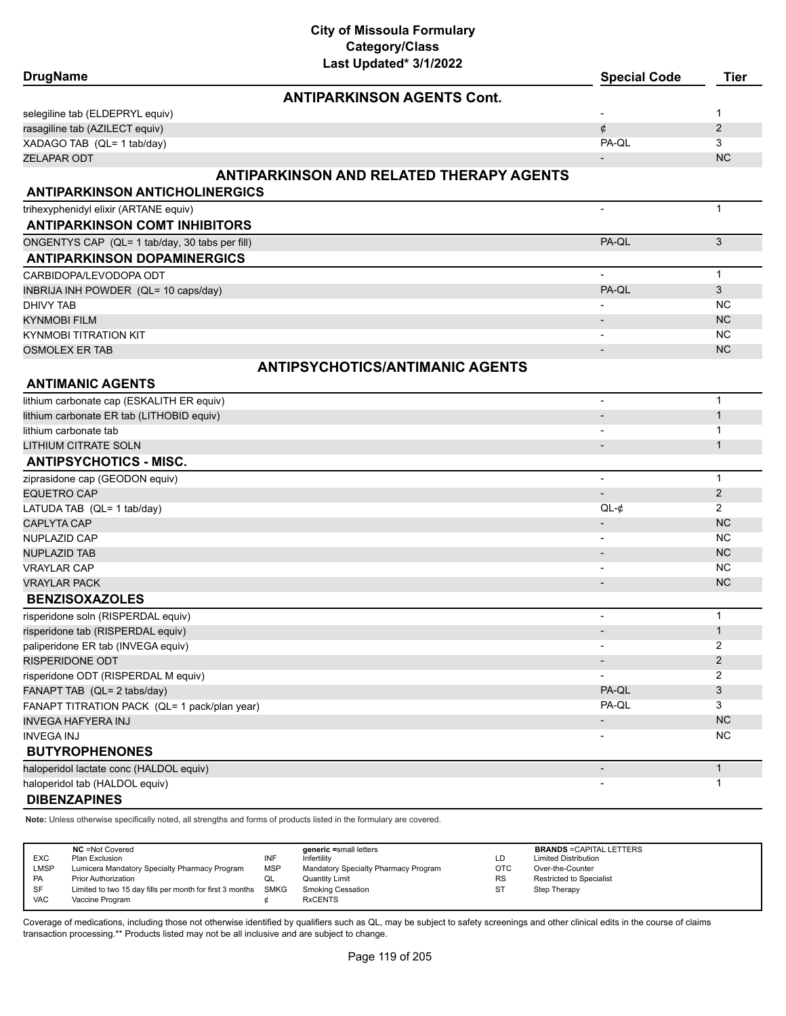| <b>ANTIPARKINSON AGENTS Cont.</b><br>$\mathbf{1}$<br>$\overline{2}$<br>rasagiline tab (AZILECT equiv)<br>¢<br>PA-QL<br>3<br><b>NC</b><br><b>ZELAPAR ODT</b><br><b>ANTIPARKINSON AND RELATED THERAPY AGENTS</b><br><b>ANTIPARKINSON ANTICHOLINERGICS</b><br>$\mathbf{1}$<br>$\blacksquare$<br><b>ANTIPARKINSON COMT INHIBITORS</b><br>3<br>PA-QL<br>ONGENTYS CAP (QL= 1 tab/day, 30 tabs per fill)<br><b>ANTIPARKINSON DOPAMINERGICS</b><br>CARBIDOPA/LEVODOPA ODT<br>$\mathbf{1}$<br>PA-QL<br>3<br>INBRIJA INH POWDER (QL= 10 caps/day)<br><b>NC</b><br>DHIVY TAB<br><b>NC</b><br>KYNMOBI FILM<br><b>NC</b><br>KYNMOBI TITRATION KIT<br><b>NC</b><br><b>OSMOLEX ER TAB</b><br><b>ANTIPSYCHOTICS/ANTIMANIC AGENTS</b><br><b>ANTIMANIC AGENTS</b><br>lithium carbonate cap (ESKALITH ER equiv)<br>$\mathbf{1}$<br>$\overline{\phantom{a}}$<br>$\mathbf{1}$<br>lithium carbonate ER tab (LITHOBID equiv)<br>lithium carbonate tab<br>$\mathbf 1$<br>$\mathbf{1}$<br>$\overline{\phantom{a}}$<br><b>ANTIPSYCHOTICS - MISC.</b><br>$\mathbf{1}$<br>$\overline{\phantom{a}}$<br>2<br><b>EQUETRO CAP</b><br>$\overline{\phantom{a}}$<br>2<br>LATUDA TAB (QL= 1 tab/day)<br>$QL-¢$<br><b>CAPLYTA CAP</b><br><b>NC</b><br><b>NC</b><br><b>NC</b><br>$\overline{\phantom{a}}$<br><b>NC</b><br><b>VRAYLAR CAP</b><br>$\overline{\phantom{a}}$<br><b>NC</b><br><b>VRAYLAR PACK</b><br><b>BENZISOXAZOLES</b><br>risperidone soln (RISPERDAL equiv)<br>$\mathbf{1}$<br>$\overline{a}$<br>$\mathbf{1}$<br>risperidone tab (RISPERDAL equiv)<br>$\blacksquare$<br>2<br>paliperidone ER tab (INVEGA equiv)<br>$\overline{\phantom{a}}$<br>$\overline{2}$<br>$\overline{\phantom{a}}$<br>risperidone ODT (RISPERDAL M equiv)<br>$\overline{2}$<br>$\overline{\phantom{a}}$<br>PA-QL<br>3<br>FANAPT TAB (QL= 2 tabs/day)<br>PA-QL<br>3<br>FANAPT TITRATION PACK (QL= 1 pack/plan year)<br>NC<br><b>INVEGA HAFYERA INJ</b><br>$\overline{\phantom{a}}$<br><b>NC</b><br><b>INVEGA INJ</b><br><b>BUTYROPHENONES</b><br>$\mathbf{1}$<br>haloperidol lactate conc (HALDOL equiv)<br>$\overline{\phantom{a}}$<br>haloperidol tab (HALDOL equiv)<br>$\mathbf{1}$<br><b>DIBENZAPINES</b> | <b>DrugName</b> | Lasi Upualtu <i>JI IIL</i> UZZ | <b>Special Code</b> | <b>Tier</b> |
|---------------------------------------------------------------------------------------------------------------------------------------------------------------------------------------------------------------------------------------------------------------------------------------------------------------------------------------------------------------------------------------------------------------------------------------------------------------------------------------------------------------------------------------------------------------------------------------------------------------------------------------------------------------------------------------------------------------------------------------------------------------------------------------------------------------------------------------------------------------------------------------------------------------------------------------------------------------------------------------------------------------------------------------------------------------------------------------------------------------------------------------------------------------------------------------------------------------------------------------------------------------------------------------------------------------------------------------------------------------------------------------------------------------------------------------------------------------------------------------------------------------------------------------------------------------------------------------------------------------------------------------------------------------------------------------------------------------------------------------------------------------------------------------------------------------------------------------------------------------------------------------------------------------------------------------------------------------------------------------------------------------------------------------------------------------------------------------------------------------------------------------------------------------|-----------------|--------------------------------|---------------------|-------------|
| selegiline tab (ELDEPRYL equiv)<br>XADAGO TAB (QL= 1 tab/day)<br>trihexyphenidyl elixir (ARTANE equiv)<br><b>LITHIUM CITRATE SOLN</b><br>ziprasidone cap (GEODON equiv)<br>NUPLAZID CAP<br><b>NUPLAZID TAB</b><br>RISPERIDONE ODT                                                                                                                                                                                                                                                                                                                                                                                                                                                                                                                                                                                                                                                                                                                                                                                                                                                                                                                                                                                                                                                                                                                                                                                                                                                                                                                                                                                                                                                                                                                                                                                                                                                                                                                                                                                                                                                                                                                             |                 |                                |                     |             |
|                                                                                                                                                                                                                                                                                                                                                                                                                                                                                                                                                                                                                                                                                                                                                                                                                                                                                                                                                                                                                                                                                                                                                                                                                                                                                                                                                                                                                                                                                                                                                                                                                                                                                                                                                                                                                                                                                                                                                                                                                                                                                                                                                               |                 |                                |                     |             |
|                                                                                                                                                                                                                                                                                                                                                                                                                                                                                                                                                                                                                                                                                                                                                                                                                                                                                                                                                                                                                                                                                                                                                                                                                                                                                                                                                                                                                                                                                                                                                                                                                                                                                                                                                                                                                                                                                                                                                                                                                                                                                                                                                               |                 |                                |                     |             |
|                                                                                                                                                                                                                                                                                                                                                                                                                                                                                                                                                                                                                                                                                                                                                                                                                                                                                                                                                                                                                                                                                                                                                                                                                                                                                                                                                                                                                                                                                                                                                                                                                                                                                                                                                                                                                                                                                                                                                                                                                                                                                                                                                               |                 |                                |                     |             |
|                                                                                                                                                                                                                                                                                                                                                                                                                                                                                                                                                                                                                                                                                                                                                                                                                                                                                                                                                                                                                                                                                                                                                                                                                                                                                                                                                                                                                                                                                                                                                                                                                                                                                                                                                                                                                                                                                                                                                                                                                                                                                                                                                               |                 |                                |                     |             |
|                                                                                                                                                                                                                                                                                                                                                                                                                                                                                                                                                                                                                                                                                                                                                                                                                                                                                                                                                                                                                                                                                                                                                                                                                                                                                                                                                                                                                                                                                                                                                                                                                                                                                                                                                                                                                                                                                                                                                                                                                                                                                                                                                               |                 |                                |                     |             |
|                                                                                                                                                                                                                                                                                                                                                                                                                                                                                                                                                                                                                                                                                                                                                                                                                                                                                                                                                                                                                                                                                                                                                                                                                                                                                                                                                                                                                                                                                                                                                                                                                                                                                                                                                                                                                                                                                                                                                                                                                                                                                                                                                               |                 |                                |                     |             |
|                                                                                                                                                                                                                                                                                                                                                                                                                                                                                                                                                                                                                                                                                                                                                                                                                                                                                                                                                                                                                                                                                                                                                                                                                                                                                                                                                                                                                                                                                                                                                                                                                                                                                                                                                                                                                                                                                                                                                                                                                                                                                                                                                               |                 |                                |                     |             |
|                                                                                                                                                                                                                                                                                                                                                                                                                                                                                                                                                                                                                                                                                                                                                                                                                                                                                                                                                                                                                                                                                                                                                                                                                                                                                                                                                                                                                                                                                                                                                                                                                                                                                                                                                                                                                                                                                                                                                                                                                                                                                                                                                               |                 |                                |                     |             |
|                                                                                                                                                                                                                                                                                                                                                                                                                                                                                                                                                                                                                                                                                                                                                                                                                                                                                                                                                                                                                                                                                                                                                                                                                                                                                                                                                                                                                                                                                                                                                                                                                                                                                                                                                                                                                                                                                                                                                                                                                                                                                                                                                               |                 |                                |                     |             |
|                                                                                                                                                                                                                                                                                                                                                                                                                                                                                                                                                                                                                                                                                                                                                                                                                                                                                                                                                                                                                                                                                                                                                                                                                                                                                                                                                                                                                                                                                                                                                                                                                                                                                                                                                                                                                                                                                                                                                                                                                                                                                                                                                               |                 |                                |                     |             |
|                                                                                                                                                                                                                                                                                                                                                                                                                                                                                                                                                                                                                                                                                                                                                                                                                                                                                                                                                                                                                                                                                                                                                                                                                                                                                                                                                                                                                                                                                                                                                                                                                                                                                                                                                                                                                                                                                                                                                                                                                                                                                                                                                               |                 |                                |                     |             |
|                                                                                                                                                                                                                                                                                                                                                                                                                                                                                                                                                                                                                                                                                                                                                                                                                                                                                                                                                                                                                                                                                                                                                                                                                                                                                                                                                                                                                                                                                                                                                                                                                                                                                                                                                                                                                                                                                                                                                                                                                                                                                                                                                               |                 |                                |                     |             |
|                                                                                                                                                                                                                                                                                                                                                                                                                                                                                                                                                                                                                                                                                                                                                                                                                                                                                                                                                                                                                                                                                                                                                                                                                                                                                                                                                                                                                                                                                                                                                                                                                                                                                                                                                                                                                                                                                                                                                                                                                                                                                                                                                               |                 |                                |                     |             |
|                                                                                                                                                                                                                                                                                                                                                                                                                                                                                                                                                                                                                                                                                                                                                                                                                                                                                                                                                                                                                                                                                                                                                                                                                                                                                                                                                                                                                                                                                                                                                                                                                                                                                                                                                                                                                                                                                                                                                                                                                                                                                                                                                               |                 |                                |                     |             |
|                                                                                                                                                                                                                                                                                                                                                                                                                                                                                                                                                                                                                                                                                                                                                                                                                                                                                                                                                                                                                                                                                                                                                                                                                                                                                                                                                                                                                                                                                                                                                                                                                                                                                                                                                                                                                                                                                                                                                                                                                                                                                                                                                               |                 |                                |                     |             |
|                                                                                                                                                                                                                                                                                                                                                                                                                                                                                                                                                                                                                                                                                                                                                                                                                                                                                                                                                                                                                                                                                                                                                                                                                                                                                                                                                                                                                                                                                                                                                                                                                                                                                                                                                                                                                                                                                                                                                                                                                                                                                                                                                               |                 |                                |                     |             |
|                                                                                                                                                                                                                                                                                                                                                                                                                                                                                                                                                                                                                                                                                                                                                                                                                                                                                                                                                                                                                                                                                                                                                                                                                                                                                                                                                                                                                                                                                                                                                                                                                                                                                                                                                                                                                                                                                                                                                                                                                                                                                                                                                               |                 |                                |                     |             |
|                                                                                                                                                                                                                                                                                                                                                                                                                                                                                                                                                                                                                                                                                                                                                                                                                                                                                                                                                                                                                                                                                                                                                                                                                                                                                                                                                                                                                                                                                                                                                                                                                                                                                                                                                                                                                                                                                                                                                                                                                                                                                                                                                               |                 |                                |                     |             |
|                                                                                                                                                                                                                                                                                                                                                                                                                                                                                                                                                                                                                                                                                                                                                                                                                                                                                                                                                                                                                                                                                                                                                                                                                                                                                                                                                                                                                                                                                                                                                                                                                                                                                                                                                                                                                                                                                                                                                                                                                                                                                                                                                               |                 |                                |                     |             |
|                                                                                                                                                                                                                                                                                                                                                                                                                                                                                                                                                                                                                                                                                                                                                                                                                                                                                                                                                                                                                                                                                                                                                                                                                                                                                                                                                                                                                                                                                                                                                                                                                                                                                                                                                                                                                                                                                                                                                                                                                                                                                                                                                               |                 |                                |                     |             |
|                                                                                                                                                                                                                                                                                                                                                                                                                                                                                                                                                                                                                                                                                                                                                                                                                                                                                                                                                                                                                                                                                                                                                                                                                                                                                                                                                                                                                                                                                                                                                                                                                                                                                                                                                                                                                                                                                                                                                                                                                                                                                                                                                               |                 |                                |                     |             |
|                                                                                                                                                                                                                                                                                                                                                                                                                                                                                                                                                                                                                                                                                                                                                                                                                                                                                                                                                                                                                                                                                                                                                                                                                                                                                                                                                                                                                                                                                                                                                                                                                                                                                                                                                                                                                                                                                                                                                                                                                                                                                                                                                               |                 |                                |                     |             |
|                                                                                                                                                                                                                                                                                                                                                                                                                                                                                                                                                                                                                                                                                                                                                                                                                                                                                                                                                                                                                                                                                                                                                                                                                                                                                                                                                                                                                                                                                                                                                                                                                                                                                                                                                                                                                                                                                                                                                                                                                                                                                                                                                               |                 |                                |                     |             |
|                                                                                                                                                                                                                                                                                                                                                                                                                                                                                                                                                                                                                                                                                                                                                                                                                                                                                                                                                                                                                                                                                                                                                                                                                                                                                                                                                                                                                                                                                                                                                                                                                                                                                                                                                                                                                                                                                                                                                                                                                                                                                                                                                               |                 |                                |                     |             |
|                                                                                                                                                                                                                                                                                                                                                                                                                                                                                                                                                                                                                                                                                                                                                                                                                                                                                                                                                                                                                                                                                                                                                                                                                                                                                                                                                                                                                                                                                                                                                                                                                                                                                                                                                                                                                                                                                                                                                                                                                                                                                                                                                               |                 |                                |                     |             |
|                                                                                                                                                                                                                                                                                                                                                                                                                                                                                                                                                                                                                                                                                                                                                                                                                                                                                                                                                                                                                                                                                                                                                                                                                                                                                                                                                                                                                                                                                                                                                                                                                                                                                                                                                                                                                                                                                                                                                                                                                                                                                                                                                               |                 |                                |                     |             |
|                                                                                                                                                                                                                                                                                                                                                                                                                                                                                                                                                                                                                                                                                                                                                                                                                                                                                                                                                                                                                                                                                                                                                                                                                                                                                                                                                                                                                                                                                                                                                                                                                                                                                                                                                                                                                                                                                                                                                                                                                                                                                                                                                               |                 |                                |                     |             |
|                                                                                                                                                                                                                                                                                                                                                                                                                                                                                                                                                                                                                                                                                                                                                                                                                                                                                                                                                                                                                                                                                                                                                                                                                                                                                                                                                                                                                                                                                                                                                                                                                                                                                                                                                                                                                                                                                                                                                                                                                                                                                                                                                               |                 |                                |                     |             |
|                                                                                                                                                                                                                                                                                                                                                                                                                                                                                                                                                                                                                                                                                                                                                                                                                                                                                                                                                                                                                                                                                                                                                                                                                                                                                                                                                                                                                                                                                                                                                                                                                                                                                                                                                                                                                                                                                                                                                                                                                                                                                                                                                               |                 |                                |                     |             |
|                                                                                                                                                                                                                                                                                                                                                                                                                                                                                                                                                                                                                                                                                                                                                                                                                                                                                                                                                                                                                                                                                                                                                                                                                                                                                                                                                                                                                                                                                                                                                                                                                                                                                                                                                                                                                                                                                                                                                                                                                                                                                                                                                               |                 |                                |                     |             |
|                                                                                                                                                                                                                                                                                                                                                                                                                                                                                                                                                                                                                                                                                                                                                                                                                                                                                                                                                                                                                                                                                                                                                                                                                                                                                                                                                                                                                                                                                                                                                                                                                                                                                                                                                                                                                                                                                                                                                                                                                                                                                                                                                               |                 |                                |                     |             |
|                                                                                                                                                                                                                                                                                                                                                                                                                                                                                                                                                                                                                                                                                                                                                                                                                                                                                                                                                                                                                                                                                                                                                                                                                                                                                                                                                                                                                                                                                                                                                                                                                                                                                                                                                                                                                                                                                                                                                                                                                                                                                                                                                               |                 |                                |                     |             |
|                                                                                                                                                                                                                                                                                                                                                                                                                                                                                                                                                                                                                                                                                                                                                                                                                                                                                                                                                                                                                                                                                                                                                                                                                                                                                                                                                                                                                                                                                                                                                                                                                                                                                                                                                                                                                                                                                                                                                                                                                                                                                                                                                               |                 |                                |                     |             |
|                                                                                                                                                                                                                                                                                                                                                                                                                                                                                                                                                                                                                                                                                                                                                                                                                                                                                                                                                                                                                                                                                                                                                                                                                                                                                                                                                                                                                                                                                                                                                                                                                                                                                                                                                                                                                                                                                                                                                                                                                                                                                                                                                               |                 |                                |                     |             |
|                                                                                                                                                                                                                                                                                                                                                                                                                                                                                                                                                                                                                                                                                                                                                                                                                                                                                                                                                                                                                                                                                                                                                                                                                                                                                                                                                                                                                                                                                                                                                                                                                                                                                                                                                                                                                                                                                                                                                                                                                                                                                                                                                               |                 |                                |                     |             |
|                                                                                                                                                                                                                                                                                                                                                                                                                                                                                                                                                                                                                                                                                                                                                                                                                                                                                                                                                                                                                                                                                                                                                                                                                                                                                                                                                                                                                                                                                                                                                                                                                                                                                                                                                                                                                                                                                                                                                                                                                                                                                                                                                               |                 |                                |                     |             |
|                                                                                                                                                                                                                                                                                                                                                                                                                                                                                                                                                                                                                                                                                                                                                                                                                                                                                                                                                                                                                                                                                                                                                                                                                                                                                                                                                                                                                                                                                                                                                                                                                                                                                                                                                                                                                                                                                                                                                                                                                                                                                                                                                               |                 |                                |                     |             |
|                                                                                                                                                                                                                                                                                                                                                                                                                                                                                                                                                                                                                                                                                                                                                                                                                                                                                                                                                                                                                                                                                                                                                                                                                                                                                                                                                                                                                                                                                                                                                                                                                                                                                                                                                                                                                                                                                                                                                                                                                                                                                                                                                               |                 |                                |                     |             |
|                                                                                                                                                                                                                                                                                                                                                                                                                                                                                                                                                                                                                                                                                                                                                                                                                                                                                                                                                                                                                                                                                                                                                                                                                                                                                                                                                                                                                                                                                                                                                                                                                                                                                                                                                                                                                                                                                                                                                                                                                                                                                                                                                               |                 |                                |                     |             |
|                                                                                                                                                                                                                                                                                                                                                                                                                                                                                                                                                                                                                                                                                                                                                                                                                                                                                                                                                                                                                                                                                                                                                                                                                                                                                                                                                                                                                                                                                                                                                                                                                                                                                                                                                                                                                                                                                                                                                                                                                                                                                                                                                               |                 |                                |                     |             |
|                                                                                                                                                                                                                                                                                                                                                                                                                                                                                                                                                                                                                                                                                                                                                                                                                                                                                                                                                                                                                                                                                                                                                                                                                                                                                                                                                                                                                                                                                                                                                                                                                                                                                                                                                                                                                                                                                                                                                                                                                                                                                                                                                               |                 |                                |                     |             |
|                                                                                                                                                                                                                                                                                                                                                                                                                                                                                                                                                                                                                                                                                                                                                                                                                                                                                                                                                                                                                                                                                                                                                                                                                                                                                                                                                                                                                                                                                                                                                                                                                                                                                                                                                                                                                                                                                                                                                                                                                                                                                                                                                               |                 |                                |                     |             |
|                                                                                                                                                                                                                                                                                                                                                                                                                                                                                                                                                                                                                                                                                                                                                                                                                                                                                                                                                                                                                                                                                                                                                                                                                                                                                                                                                                                                                                                                                                                                                                                                                                                                                                                                                                                                                                                                                                                                                                                                                                                                                                                                                               |                 |                                |                     |             |
|                                                                                                                                                                                                                                                                                                                                                                                                                                                                                                                                                                                                                                                                                                                                                                                                                                                                                                                                                                                                                                                                                                                                                                                                                                                                                                                                                                                                                                                                                                                                                                                                                                                                                                                                                                                                                                                                                                                                                                                                                                                                                                                                                               |                 |                                |                     |             |
|                                                                                                                                                                                                                                                                                                                                                                                                                                                                                                                                                                                                                                                                                                                                                                                                                                                                                                                                                                                                                                                                                                                                                                                                                                                                                                                                                                                                                                                                                                                                                                                                                                                                                                                                                                                                                                                                                                                                                                                                                                                                                                                                                               |                 |                                |                     |             |

**Note:** Unless otherwise specifically noted, all strengths and forms of products listed in the formulary are covered.

| <b>EXC</b><br><b>LMSP</b><br><b>PA</b><br>SF | <b>NC</b> = Not Covered<br>Plan Exclusion<br>Lumicera Mandatory Specialty Pharmacy Program<br><b>Prior Authorization</b><br>Limited to two 15 day fills per month for first 3 months SMKG | INF<br><b>MSP</b><br>QL | generic =small letters<br>Infertility<br>Mandatory Specialty Pharmacy Program<br>Quantity Limit<br><b>Smoking Cessation</b> | LD<br><b>OTC</b><br><b>RS</b><br>S1 | <b>BRANDS = CAPITAL LETTERS</b><br><b>Limited Distribution</b><br>Over-the-Counter<br><b>Restricted to Specialist</b><br>Step Therapy |
|----------------------------------------------|-------------------------------------------------------------------------------------------------------------------------------------------------------------------------------------------|-------------------------|-----------------------------------------------------------------------------------------------------------------------------|-------------------------------------|---------------------------------------------------------------------------------------------------------------------------------------|
| <b>VAC</b>                                   | Vaccine Program                                                                                                                                                                           |                         | <b>RxCENTS</b>                                                                                                              |                                     |                                                                                                                                       |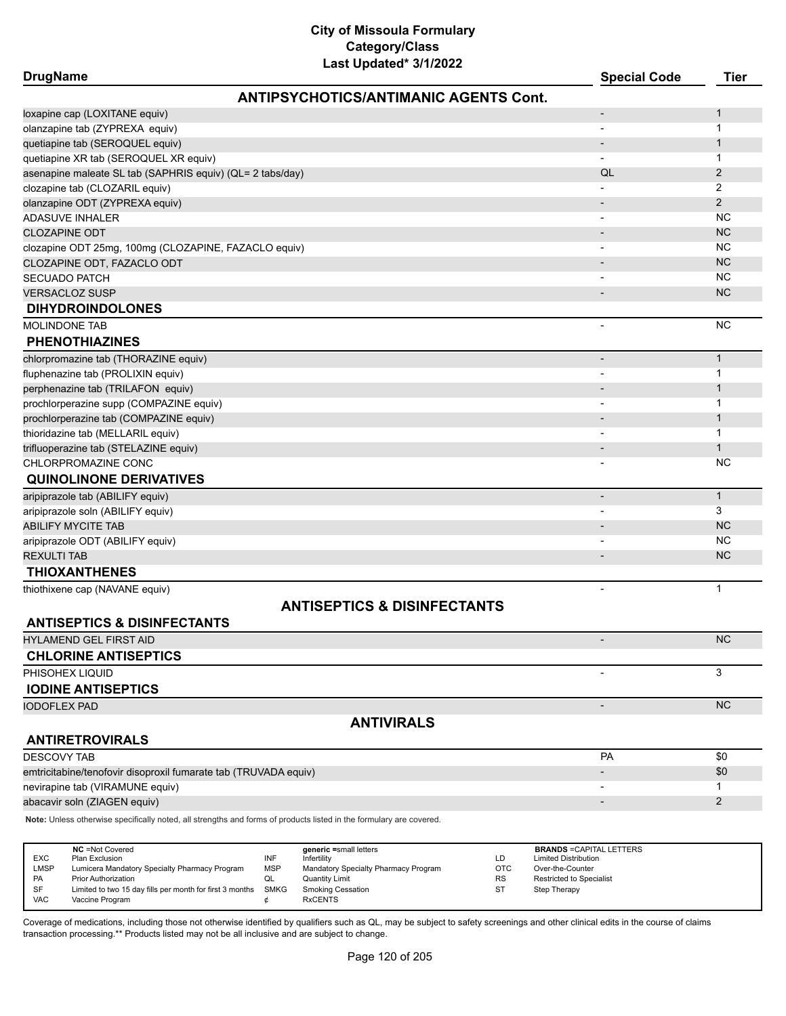| DrugName |
|----------|
|----------|

| <b>DrugName</b>                                                                                                     |                                              | <b>Special Code</b>             | <b>Tier</b>    |
|---------------------------------------------------------------------------------------------------------------------|----------------------------------------------|---------------------------------|----------------|
|                                                                                                                     | <b>ANTIPSYCHOTICS/ANTIMANIC AGENTS Cont.</b> |                                 |                |
| loxapine cap (LOXITANE equiv)                                                                                       |                                              | $\overline{\phantom{a}}$        | 1              |
| olanzapine tab (ZYPREXA equiv)                                                                                      |                                              | $\overline{\phantom{a}}$        | 1              |
| quetiapine tab (SEROQUEL equiv)                                                                                     |                                              | $\overline{\phantom{a}}$        | $\mathbf{1}$   |
| quetiapine XR tab (SEROQUEL XR equiv)                                                                               |                                              |                                 | $\mathbf{1}$   |
| asenapine maleate SL tab (SAPHRIS equiv) (QL= 2 tabs/day)                                                           |                                              | QL                              | $\mathbf{2}$   |
| clozapine tab (CLOZARIL equiv)                                                                                      |                                              |                                 | 2              |
| olanzapine ODT (ZYPREXA equiv)                                                                                      |                                              |                                 | $\overline{2}$ |
| <b>ADASUVE INHALER</b>                                                                                              |                                              |                                 | <b>NC</b>      |
| <b>CLOZAPINE ODT</b>                                                                                                |                                              |                                 | <b>NC</b>      |
| clozapine ODT 25mg, 100mg (CLOZAPINE, FAZACLO equiv)                                                                |                                              |                                 | <b>NC</b>      |
| CLOZAPINE ODT, FAZACLO ODT                                                                                          |                                              |                                 | <b>NC</b>      |
| <b>SECUADO PATCH</b>                                                                                                |                                              |                                 | <b>NC</b>      |
| <b>VERSACLOZ SUSP</b>                                                                                               |                                              |                                 | <b>NC</b>      |
| <b>DIHYDROINDOLONES</b>                                                                                             |                                              |                                 |                |
| <b>MOLINDONE TAB</b>                                                                                                |                                              |                                 | <b>NC</b>      |
| <b>PHENOTHIAZINES</b>                                                                                               |                                              |                                 |                |
| chlorpromazine tab (THORAZINE equiv)                                                                                |                                              | $\overline{\phantom{a}}$        | $\mathbf{1}$   |
| fluphenazine tab (PROLIXIN equiv)                                                                                   |                                              | $\overline{\phantom{0}}$        | 1              |
| perphenazine tab (TRILAFON equiv)                                                                                   |                                              |                                 | $\mathbf{1}$   |
| prochlorperazine supp (COMPAZINE equiv)                                                                             |                                              |                                 | 1              |
| prochlorperazine tab (COMPAZINE equiv)                                                                              |                                              |                                 | $\mathbf{1}$   |
| thioridazine tab (MELLARIL equiv)                                                                                   |                                              |                                 | $\mathbf{1}$   |
| trifluoperazine tab (STELAZINE equiv)                                                                               |                                              |                                 | $\mathbf{1}$   |
| CHLORPROMAZINE CONC                                                                                                 |                                              |                                 | ΝC             |
| <b>QUINOLINONE DERIVATIVES</b>                                                                                      |                                              |                                 |                |
| aripiprazole tab (ABILIFY equiv)                                                                                    |                                              | $\overline{\phantom{a}}$        | $\mathbf{1}$   |
| aripiprazole soln (ABILIFY equiv)                                                                                   |                                              |                                 | 3              |
| <b>ABILIFY MYCITE TAB</b>                                                                                           |                                              |                                 | <b>NC</b>      |
| aripiprazole ODT (ABILIFY equiv)                                                                                    |                                              |                                 | <b>NC</b>      |
| <b>REXULTI TAB</b>                                                                                                  |                                              |                                 | <b>NC</b>      |
| <b>THIOXANTHENES</b>                                                                                                |                                              |                                 |                |
| thiothixene cap (NAVANE equiv)                                                                                      |                                              | $\overline{\phantom{a}}$        | $\mathbf{1}$   |
|                                                                                                                     | <b>ANTISEPTICS &amp; DISINFECTANTS</b>       |                                 |                |
| <b>ANTISEPTICS &amp; DISINFECTANTS</b>                                                                              |                                              |                                 |                |
| <b>HYLAMEND GEL FIRST AID</b>                                                                                       |                                              |                                 | <b>NC</b>      |
| <b>CHLORINE ANTISEPTICS</b>                                                                                         |                                              |                                 |                |
| PHISOHEX LIQUID                                                                                                     |                                              |                                 | 3              |
| <b>IODINE ANTISEPTICS</b>                                                                                           |                                              |                                 |                |
| <b>IODOFLEX PAD</b>                                                                                                 |                                              | $\overline{\phantom{a}}$        | <b>NC</b>      |
|                                                                                                                     | <b>ANTIVIRALS</b>                            |                                 |                |
| <b>ANTIRETROVIRALS</b>                                                                                              |                                              |                                 |                |
| <b>DESCOVY TAB</b>                                                                                                  |                                              | <b>PA</b>                       | \$0            |
| emtricitabine/tenofovir disoproxil fumarate tab (TRUVADA equiv)                                                     |                                              |                                 | \$0            |
| nevirapine tab (VIRAMUNE equiv)                                                                                     |                                              | $\overline{\phantom{0}}$        | 1              |
| abacavir soln (ZIAGEN equiv)                                                                                        |                                              | $\overline{\phantom{a}}$        | 2              |
| Note: Unless otherwise specifically noted, all strengths and forms of products listed in the formulary are covered. |                                              |                                 |                |
|                                                                                                                     |                                              |                                 |                |
| <b>NC</b> = Not Covered                                                                                             | generic =small letters                       | <b>BRANDS = CAPITAL LETTERS</b> |                |

|            | <b>NC</b> = Not Covered                                  |      | <b>deneric</b> =small letters        |           | <b>BRANDS</b> FOAPHAL LETTERS   |
|------------|----------------------------------------------------------|------|--------------------------------------|-----------|---------------------------------|
| <b>EXC</b> | Plan Exclusion                                           |      | Infertility                          | LD        | <b>Limited Distribution</b>     |
| LMSP       | Lumicera Mandatory Specialty Pharmacy Program            | MSP  | Mandatory Specialty Pharmacy Program | ОТС       | Over-the-Counter                |
| <b>PA</b>  | <b>Prior Authorization</b>                               |      | Quantity Limit                       | <b>RS</b> | <b>Restricted to Specialist</b> |
| SF         | Limited to two 15 day fills per month for first 3 months | SMKG | Smoking Cessation                    | ST        | Step Therapy                    |
| <b>VAC</b> | Vaccine Program                                          |      | <b>RxCENTS</b>                       |           |                                 |
|            |                                                          |      |                                      |           |                                 |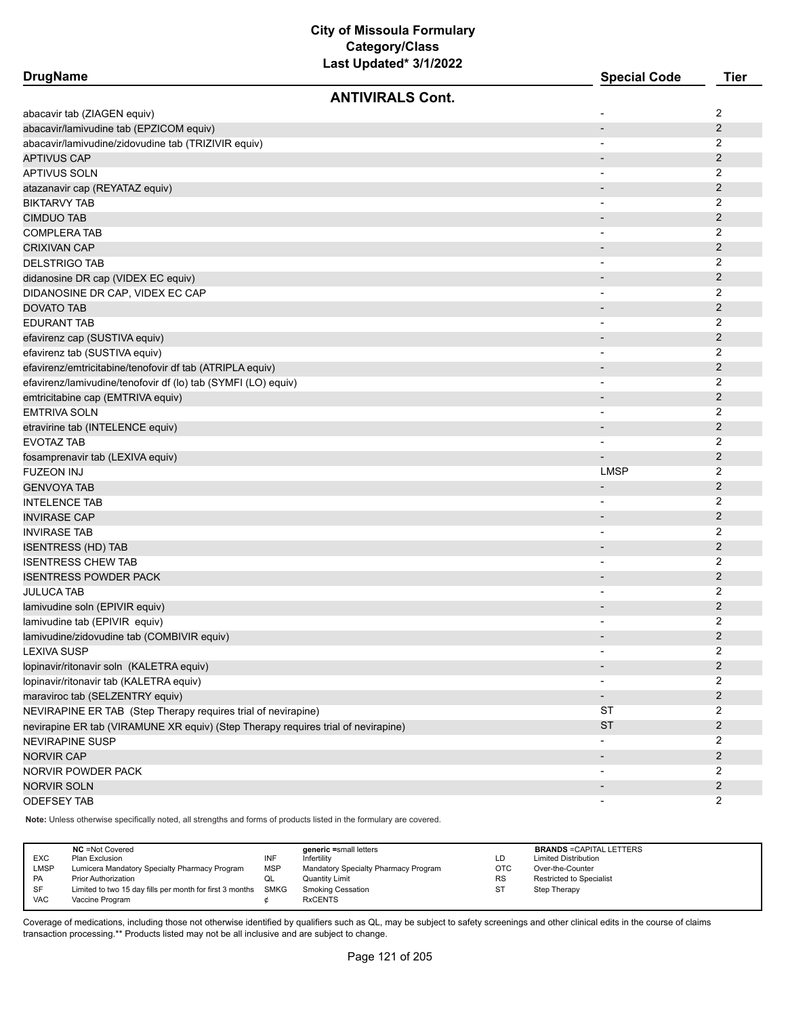| <b>DrugName</b>                                                                   | 201 9 paaloo - 97 m     | <b>Special Code</b>      | <b>Tier</b>    |
|-----------------------------------------------------------------------------------|-------------------------|--------------------------|----------------|
|                                                                                   | <b>ANTIVIRALS Cont.</b> |                          |                |
| abacavir tab (ZIAGEN equiv)                                                       |                         |                          | 2              |
| abacavir/lamivudine tab (EPZICOM equiv)                                           |                         | $\blacksquare$           | $\overline{2}$ |
| abacavir/lamivudine/zidovudine tab (TRIZIVIR equiv)                               |                         | $\overline{\phantom{a}}$ | 2              |
| APTIVUS CAP                                                                       |                         |                          | 2              |
| <b>APTIVUS SOLN</b>                                                               |                         | -                        | 2              |
| atazanavir cap (REYATAZ equiv)                                                    |                         | $\overline{\phantom{a}}$ | $\overline{2}$ |
| BIKTARVY TAB                                                                      |                         |                          | 2              |
| <b>CIMDUO TAB</b>                                                                 |                         |                          | $\overline{2}$ |
| <b>COMPLERA TAB</b>                                                               |                         |                          | 2              |
| <b>CRIXIVAN CAP</b>                                                               |                         | $\overline{\phantom{a}}$ | $\overline{2}$ |
| <b>DELSTRIGO TAB</b>                                                              |                         | $\overline{\phantom{a}}$ | 2              |
| didanosine DR cap (VIDEX EC equiv)                                                |                         |                          | 2              |
| DIDANOSINE DR CAP, VIDEX EC CAP                                                   |                         |                          | 2              |
| <b>DOVATO TAB</b>                                                                 |                         |                          | $\overline{2}$ |
| EDURANT TAB                                                                       |                         |                          | 2              |
| efavirenz cap (SUSTIVA equiv)                                                     |                         |                          | $\overline{2}$ |
| efavirenz tab (SUSTIVA equiv)                                                     |                         |                          | 2              |
| efavirenz/emtricitabine/tenofovir df tab (ATRIPLA equiv)                          |                         |                          | 2              |
| efavirenz/lamivudine/tenofovir df (lo) tab (SYMFI (LO) equiv)                     |                         | $\blacksquare$           | 2              |
| emtricitabine cap (EMTRIVA equiv)                                                 |                         |                          | 2              |
| EMTRIVA SOLN                                                                      |                         | $\overline{\phantom{a}}$ | 2              |
| etravirine tab (INTELENCE equiv)                                                  |                         | $\overline{\phantom{a}}$ | 2              |
| <b>EVOTAZ TAB</b>                                                                 |                         |                          | 2              |
| fosamprenavir tab (LEXIVA equiv)                                                  |                         |                          | $\overline{c}$ |
| <b>FUZEON INJ</b>                                                                 |                         | <b>LMSP</b>              | 2              |
| <b>GENVOYA TAB</b>                                                                |                         | $\overline{\phantom{a}}$ | $\overline{2}$ |
| <b>INTELENCE TAB</b>                                                              |                         | $\overline{\phantom{a}}$ | 2              |
| <b>INVIRASE CAP</b>                                                               |                         | $\overline{\phantom{a}}$ | $\overline{2}$ |
| <b>INVIRASE TAB</b>                                                               |                         | $\overline{\phantom{a}}$ | 2              |
| <b>ISENTRESS (HD) TAB</b>                                                         |                         | $\overline{\phantom{0}}$ | $\overline{2}$ |
| <b>ISENTRESS CHEW TAB</b>                                                         |                         | $\overline{\phantom{a}}$ | 2              |
| <b>ISENTRESS POWDER PACK</b>                                                      |                         | -                        | $\overline{2}$ |
| <b>JULUCA TAB</b>                                                                 |                         | $\overline{\phantom{a}}$ | $\overline{2}$ |
| lamivudine soln (EPIVIR equiv)                                                    |                         |                          | 2              |
| lamivudine tab (EPIVIR equiv)                                                     |                         | $\overline{\phantom{a}}$ | 2              |
| lamivudine/zidovudine tab (COMBIVIR equiv)                                        |                         |                          | $\overline{2}$ |
| <b>LEXIVA SUSP</b>                                                                |                         | $\overline{\phantom{a}}$ | $\overline{2}$ |
| lopinavir/ritonavir soln (KALETRA equiv)                                          |                         |                          | $\overline{c}$ |
| lopinavir/ritonavir tab (KALETRA equiv)                                           |                         |                          | $\overline{2}$ |
| maraviroc tab (SELZENTRY equiv)                                                   |                         | $\overline{\phantom{0}}$ | $\overline{c}$ |
| NEVIRAPINE ER TAB (Step Therapy requires trial of nevirapine)                     |                         | <b>ST</b>                | $\overline{c}$ |
| nevirapine ER tab (VIRAMUNE XR equiv) (Step Therapy requires trial of nevirapine) |                         | <b>ST</b>                | $\overline{c}$ |
| <b>NEVIRAPINE SUSP</b>                                                            |                         |                          | $\overline{2}$ |
| <b>NORVIR CAP</b>                                                                 |                         | $\overline{\phantom{a}}$ | $\sqrt{2}$     |
| NORVIR POWDER PACK                                                                |                         | $\overline{\phantom{a}}$ | $\overline{2}$ |
| NORVIR SOLN                                                                       |                         | $\overline{\phantom{a}}$ | $\overline{2}$ |
| <b>ODEFSEY TAB</b>                                                                |                         | $\overline{\phantom{a}}$ | $\overline{2}$ |

**Note:** Unless otherwise specifically noted, all strengths and forms of products listed in the formulary are covered.

| <b>EXC</b><br><b>LMSP</b><br><b>PA</b><br>SF | <b>NC</b> = Not Covered<br>Plan Exclusion<br>Lumicera Mandatory Specialty Pharmacy Program<br><b>Prior Authorization</b><br>Limited to two 15 day fills per month for first 3 months | INF<br><b>MSP</b><br>QL<br>SMKG | generic =small letters<br>Infertility<br>Mandatory Specialty Pharmacy Program<br>Quantity Limit<br><b>Smoking Cessation</b> | LD<br><b>OTC</b><br><b>RS</b><br>-ST | <b>BRANDS = CAPITAL LETTERS</b><br><b>Limited Distribution</b><br>Over-the-Counter<br><b>Restricted to Specialist</b><br>Step Therapy |
|----------------------------------------------|--------------------------------------------------------------------------------------------------------------------------------------------------------------------------------------|---------------------------------|-----------------------------------------------------------------------------------------------------------------------------|--------------------------------------|---------------------------------------------------------------------------------------------------------------------------------------|
| <b>VAC</b>                                   | Vaccine Program                                                                                                                                                                      |                                 | <b>RxCENTS</b>                                                                                                              |                                      |                                                                                                                                       |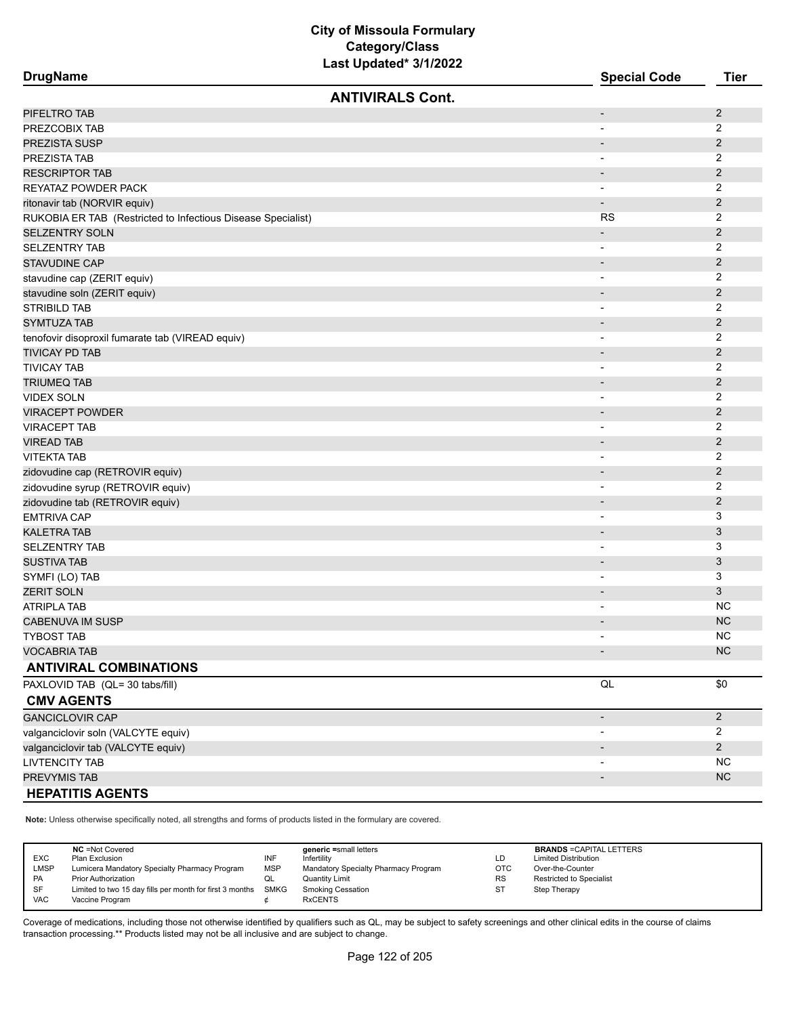| <b>DrugName</b>                                              | <b>Special Code</b>          | <b>Tier</b>    |
|--------------------------------------------------------------|------------------------------|----------------|
| <b>ANTIVIRALS Cont.</b>                                      |                              |                |
| PIFELTRO TAB                                                 | $\overline{\phantom{a}}$     | $\overline{2}$ |
| PREZCOBIX TAB                                                | $\overline{\phantom{0}}$     | $\overline{2}$ |
| PREZISTA SUSP                                                | $\qquad \qquad \blacksquare$ | $\overline{2}$ |
| PREZISTA TAB                                                 | $\overline{\phantom{a}}$     | 2              |
| <b>RESCRIPTOR TAB</b>                                        | $\overline{\phantom{a}}$     | 2              |
| REYATAZ POWDER PACK                                          | -                            | 2              |
| ritonavir tab (NORVIR equiv)                                 | $\overline{\phantom{m}}$     | $\overline{2}$ |
| RUKOBIA ER TAB (Restricted to Infectious Disease Specialist) | <b>RS</b>                    | 2              |
| SELZENTRY SOLN                                               | $\overline{\phantom{a}}$     | $\overline{2}$ |
| <b>SELZENTRY TAB</b>                                         | $\overline{\phantom{0}}$     | 2              |
| <b>STAVUDINE CAP</b>                                         | $\overline{\phantom{0}}$     | $\overline{c}$ |
| stavudine cap (ZERIT equiv)                                  | -                            | 2              |
| stavudine soln (ZERIT equiv)                                 | $\overline{\phantom{a}}$     | $\overline{2}$ |
| STRIBILD TAB                                                 | $\overline{\phantom{0}}$     | $\overline{2}$ |
| <b>SYMTUZA TAB</b>                                           | $\overline{\phantom{a}}$     | $\overline{2}$ |
| tenofovir disoproxil fumarate tab (VIREAD equiv)             | $\overline{\phantom{0}}$     | $\overline{2}$ |
| TIVICAY PD TAB                                               |                              | $\overline{2}$ |
| <b>TIVICAY TAB</b>                                           | $\qquad \qquad \blacksquare$ | 2              |
| TRIUMEQ TAB                                                  | $\overline{\phantom{a}}$     | $\overline{2}$ |
| <b>VIDEX SOLN</b>                                            | $\overline{\phantom{a}}$     | 2              |
| <b>VIRACEPT POWDER</b>                                       |                              | 2              |
| <b>VIRACEPT TAB</b>                                          | $\overline{\phantom{a}}$     | 2              |
| VIREAD TAB                                                   | $\overline{\phantom{a}}$     | $\overline{c}$ |
| <b>VITEKTA TAB</b>                                           |                              | $\overline{2}$ |
| zidovudine cap (RETROVIR equiv)                              |                              | $\overline{2}$ |
| zidovudine syrup (RETROVIR equiv)                            | $\overline{\phantom{0}}$     | 2              |
| zidovudine tab (RETROVIR equiv)                              | $\overline{\phantom{a}}$     | $\overline{c}$ |
| <b>EMTRIVA CAP</b>                                           | $\overline{\phantom{a}}$     | 3              |
| KALETRA TAB                                                  | $\overline{\phantom{a}}$     | 3              |
| <b>SELZENTRY TAB</b>                                         | -                            | 3              |
| <b>SUSTIVA TAB</b>                                           | $\overline{\phantom{a}}$     | 3              |
| SYMFI (LO) TAB                                               | $\qquad \qquad \blacksquare$ | 3              |
| ZERIT SOLN                                                   | $\overline{\phantom{a}}$     | 3              |
| ATRIPLA TAB                                                  | $\overline{a}$               | NC.            |
| CABENUVA IM SUSP                                             |                              | <b>NC</b>      |
| TYBOST TAB                                                   | $\blacksquare$               | <b>NC</b>      |
| <b>VOCABRIA TAB</b>                                          |                              | NC             |
| <b>ANTIVIRAL COMBINATIONS</b>                                |                              |                |
| PAXLOVID TAB (QL= 30 tabs/fill)                              | $\mathsf{QL}$                | \$0            |
| <b>CMV AGENTS</b>                                            |                              |                |
| <b>GANCICLOVIR CAP</b>                                       | $\overline{\phantom{a}}$     | $\overline{2}$ |
| valganciclovir soln (VALCYTE equiv)                          | $\overline{\phantom{0}}$     | 2              |
| valganciclovir tab (VALCYTE equiv)                           |                              | $\overline{2}$ |
| <b>LIVTENCITY TAB</b>                                        |                              | <b>NC</b>      |
| PREVYMIS TAB                                                 |                              | <b>NC</b>      |
| <b>HEPATITIS AGENTS</b>                                      |                              |                |

**Note:** Unless otherwise specifically noted, all strengths and forms of products listed in the formulary are covered.

 $\overline{a}$ 

| <b>EXC</b><br>LMSP<br><b>PA</b><br><b>SF</b> | <b>NC</b> = Not Covered<br>Plan Exclusion<br>Lumicera Mandatory Specialty Pharmacy Program<br><b>Prior Authorization</b><br>Limited to two 15 day fills per month for first 3 months SMKG | INF<br><b>MSP</b><br>QL | generic =small letters<br>Infertilitv<br>Mandatory Specialty Pharmacy Program<br>Quantity Limit<br><b>Smoking Cessation</b> | LD<br><b>OTC</b><br><b>RS</b><br>ST | <b>BRANDS = CAPITAL LETTERS</b><br><b>Limited Distribution</b><br>Over-the-Counter<br><b>Restricted to Specialist</b><br>Step Therapy |
|----------------------------------------------|-------------------------------------------------------------------------------------------------------------------------------------------------------------------------------------------|-------------------------|-----------------------------------------------------------------------------------------------------------------------------|-------------------------------------|---------------------------------------------------------------------------------------------------------------------------------------|
| <b>VAC</b>                                   | Vaccine Program                                                                                                                                                                           |                         | <b>RxCENTS</b>                                                                                                              |                                     |                                                                                                                                       |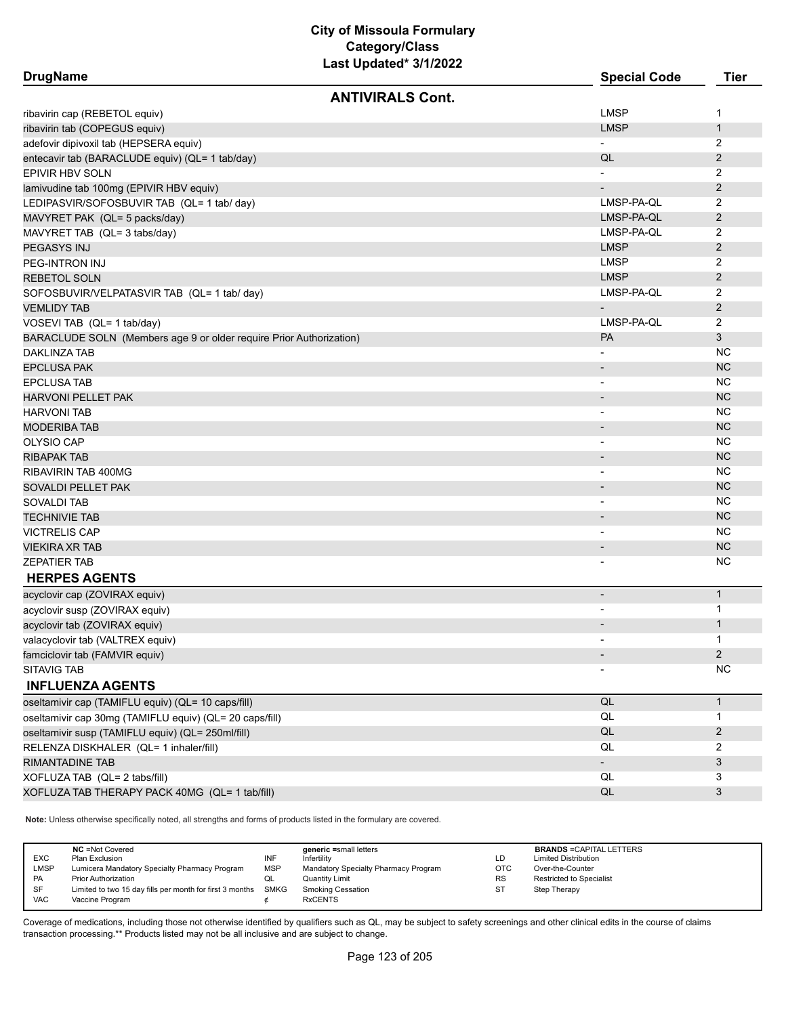| <b>DrugName</b>                                                     | <b>Special Code</b>          | <b>Tier</b>    |
|---------------------------------------------------------------------|------------------------------|----------------|
| <b>ANTIVIRALS Cont.</b>                                             |                              |                |
| ribavirin cap (REBETOL equiv)                                       | <b>LMSP</b>                  | 1              |
| ribavirin tab (COPEGUS equiv)                                       | <b>LMSP</b>                  | $\mathbf{1}$   |
| adefovir dipivoxil tab (HEPSERA equiv)                              |                              | 2              |
| entecavir tab (BARACLUDE equiv) (QL= 1 tab/day)                     | QL                           | $\overline{2}$ |
| EPIVIR HBV SOLN                                                     |                              | 2              |
| lamivudine tab 100mg (EPIVIR HBV equiv)                             |                              | $\overline{2}$ |
| LEDIPASVIR/SOFOSBUVIR TAB (QL= 1 tab/ day)                          | LMSP-PA-QL                   | 2              |
| MAVYRET PAK (QL= 5 packs/day)                                       | LMSP-PA-QL                   | $\overline{2}$ |
| MAVYRET TAB (QL= 3 tabs/day)                                        | LMSP-PA-QL                   | 2              |
| PEGASYS INJ                                                         | <b>LMSP</b>                  | $\overline{2}$ |
| PEG-INTRON INJ                                                      | <b>LMSP</b>                  | 2              |
| <b>REBETOL SOLN</b>                                                 | <b>LMSP</b>                  | $\overline{2}$ |
| SOFOSBUVIR/VELPATASVIR TAB (QL= 1 tab/ day)                         | LMSP-PA-QL                   | 2              |
| <b>VEMLIDY TAB</b>                                                  | $\overline{\phantom{m}}$     | $\overline{2}$ |
| VOSEVI TAB (QL= 1 tab/day)                                          | LMSP-PA-QL                   | 2              |
| BARACLUDE SOLN (Members age 9 or older require Prior Authorization) | PA                           | 3              |
| <b>DAKLINZA TAB</b>                                                 |                              | <b>NC</b>      |
| <b>EPCLUSA PAK</b>                                                  | $\overline{\phantom{a}}$     | <b>NC</b>      |
| <b>EPCLUSA TAB</b>                                                  | $\overline{\phantom{a}}$     | <b>NC</b>      |
| <b>HARVONI PELLET PAK</b>                                           | $\overline{\phantom{a}}$     | <b>NC</b>      |
| <b>HARVONI TAB</b>                                                  | $\qquad \qquad \blacksquare$ | <b>NC</b>      |
| <b>MODERIBA TAB</b>                                                 | $\overline{\phantom{a}}$     | <b>NC</b>      |
| <b>OLYSIO CAP</b>                                                   | $\overline{\phantom{0}}$     | <b>NC</b>      |
| RIBAPAK TAB                                                         | $\overline{\phantom{m}}$     | <b>NC</b>      |
| RIBAVIRIN TAB 400MG                                                 | $\overline{a}$               | <b>NC</b>      |
| SOVALDI PELLET PAK                                                  |                              | <b>NC</b>      |
| SOVALDI TAB                                                         | $\overline{\phantom{0}}$     | <b>NC</b>      |
| TECHNIVIE TAB                                                       |                              | <b>NC</b>      |
| VICTRELIS CAP                                                       | $\overline{\phantom{a}}$     | <b>NC</b>      |
| VIEKIRA XR TAB                                                      | $\overline{\phantom{m}}$     | <b>NC</b>      |
| ZEPATIER TAB                                                        |                              | <b>NC</b>      |
| <b>HERPES AGENTS</b>                                                |                              |                |
| acyclovir cap (ZOVIRAX equiv)                                       | $\overline{a}$               | $\mathbf{1}$   |
| acyclovir susp (ZOVIRAX equiv)                                      | $\qquad \qquad \blacksquare$ | 1              |
| acyclovir tab (ZOVIRAX equiv)                                       |                              | $\mathbf{1}$   |
| valacyclovir tab (VALTREX equiv)                                    |                              | 1              |
| famciclovir tab (FAMVIR equiv)                                      |                              | $\overline{2}$ |
| <b>SITAVIG TAB</b>                                                  |                              | <b>NC</b>      |
| <b>INFLUENZA AGENTS</b>                                             |                              |                |
| oseltamivir cap (TAMIFLU equiv) (QL= 10 caps/fill)                  | $\mathsf{QL}$                | $\mathbf{1}$   |
| oseltamivir cap 30mg (TAMIFLU equiv) (QL= 20 caps/fill)             | $\mathsf{QL}$                | 1              |
| oseltamivir susp (TAMIFLU equiv) (QL= 250ml/fill)                   | $\mathsf{QL}$                | 2              |
| RELENZA DISKHALER (QL= 1 inhaler/fill)                              | QL                           | 2              |
| RIMANTADINE TAB                                                     |                              | 3              |
| XOFLUZA TAB (QL= 2 tabs/fill)                                       | QL                           | 3              |
| XOFLUZA TAB THERAPY PACK 40MG (QL= 1 tab/fill)                      | QL                           | 3              |

**Note:** Unless otherwise specifically noted, all strengths and forms of products listed in the formulary are covered.

| <b>EXC</b><br><b>LMSP</b> | <b>NC</b> = Not Covered<br>Plan Exclusion<br>Lumicera Mandatory Specialty Pharmacy Program | INF<br><b>MSP</b> | generic =small letters<br>Infertility<br>Mandatory Specialty Pharmacy Program | LD<br><b>OTC</b> | <b>BRANDS = CAPITAL LETTERS</b><br><b>Limited Distribution</b><br>Over-the-Counter |
|---------------------------|--------------------------------------------------------------------------------------------|-------------------|-------------------------------------------------------------------------------|------------------|------------------------------------------------------------------------------------|
| PA                        | <b>Prior Authorization</b>                                                                 | QL                | <b>Quantity Limit</b>                                                         | <b>RS</b>        | <b>Restricted to Specialist</b>                                                    |
| SF                        | Limited to two 15 day fills per month for first 3 months SMKG                              |                   | Smoking Cessation                                                             | ST               | Step Therapy                                                                       |
| <b>VAC</b>                | Vaccine Program                                                                            |                   | <b>RxCENTS</b>                                                                |                  |                                                                                    |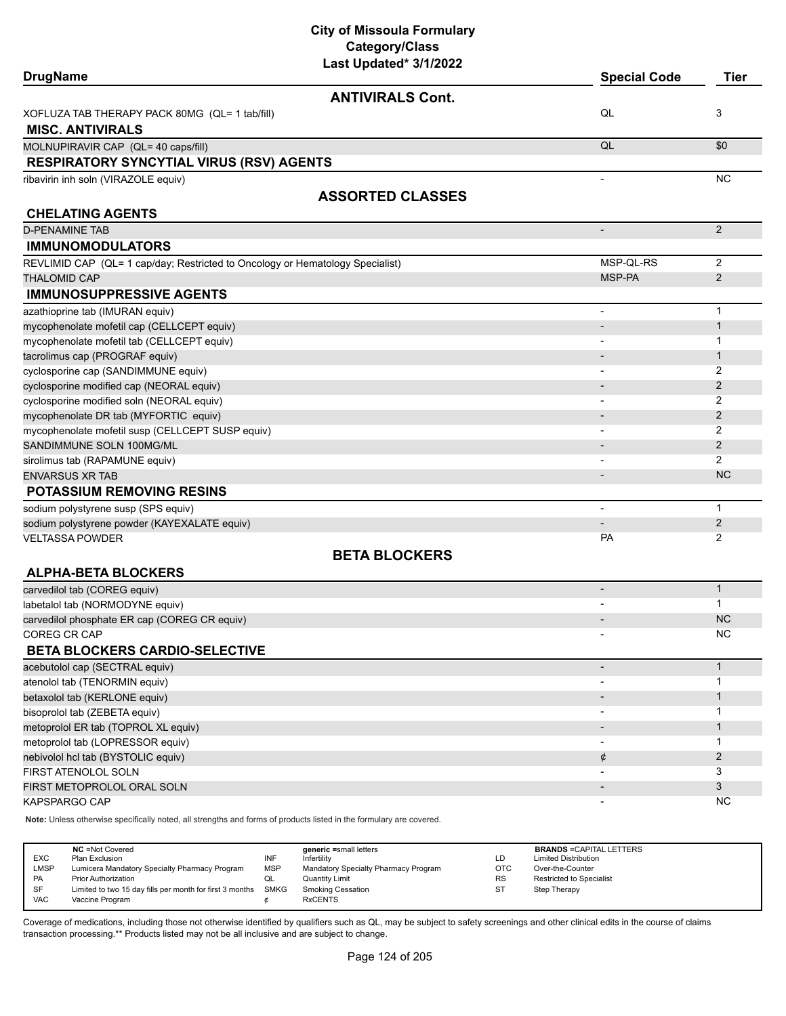| Last Updated* 3/1/2022<br><b>DrugName</b>                                     | <b>Special Code</b>          | <b>Tier</b>                 |
|-------------------------------------------------------------------------------|------------------------------|-----------------------------|
|                                                                               |                              |                             |
| <b>ANTIVIRALS Cont.</b>                                                       |                              |                             |
| XOFLUZA TAB THERAPY PACK 80MG (QL= 1 tab/fill)                                | QL                           | 3                           |
| <b>MISC. ANTIVIRALS</b>                                                       |                              |                             |
| MOLNUPIRAVIR CAP (QL= 40 caps/fill)                                           | QL                           | \$0                         |
| <b>RESPIRATORY SYNCYTIAL VIRUS (RSV) AGENTS</b>                               |                              |                             |
| ribavirin inh soln (VIRAZOLE equiv)                                           |                              | <b>NC</b>                   |
| <b>ASSORTED CLASSES</b>                                                       |                              |                             |
| <b>CHELATING AGENTS</b>                                                       |                              |                             |
| <b>D-PENAMINE TAB</b>                                                         | $\qquad \qquad \blacksquare$ | $\overline{2}$              |
| <b>IMMUNOMODULATORS</b>                                                       |                              |                             |
| REVLIMID CAP (QL= 1 cap/day; Restricted to Oncology or Hematology Specialist) | MSP-QL-RS                    | 2                           |
| <b>THALOMID CAP</b>                                                           | MSP-PA                       | $\overline{2}$              |
| <b>IMMUNOSUPPRESSIVE AGENTS</b>                                               |                              |                             |
| azathioprine tab (IMURAN equiv)                                               |                              | $\mathbf{1}$                |
| mycophenolate mofetil cap (CELLCEPT equiv)                                    | $\overline{\phantom{m}}$     | $\mathbf{1}$                |
| mycophenolate mofetil tab (CELLCEPT equiv)                                    |                              | 1                           |
| tacrolimus cap (PROGRAF equiv)                                                |                              | $\mathbf{1}$                |
| cyclosporine cap (SANDIMMUNE equiv)                                           |                              | 2                           |
| cyclosporine modified cap (NEORAL equiv)                                      |                              | $\overline{2}$              |
| cyclosporine modified soln (NEORAL equiv)                                     | $\overline{\phantom{0}}$     | 2                           |
| mycophenolate DR tab (MYFORTIC equiv)                                         |                              | $\overline{2}$              |
| mycophenolate mofetil susp (CELLCEPT SUSP equiv)                              | $\qquad \qquad \blacksquare$ | $\overline{2}$              |
| SANDIMMUNE SOLN 100MG/ML                                                      |                              | $\overline{2}$              |
| sirolimus tab (RAPAMUNE equiv)                                                |                              | $\overline{2}$<br><b>NC</b> |
| <b>ENVARSUS XR TAB</b>                                                        |                              |                             |
| <b>POTASSIUM REMOVING RESINS</b>                                              |                              |                             |
| sodium polystyrene susp (SPS equiv)                                           | L,                           | $\mathbf{1}$                |
| sodium polystyrene powder (KAYEXALATE equiv)                                  | PA                           | $\overline{2}$              |
| <b>VELTASSA POWDER</b>                                                        |                              | 2                           |
| <b>BETA BLOCKERS</b>                                                          |                              |                             |
| <b>ALPHA-BETA BLOCKERS</b>                                                    |                              |                             |
| carvedilol tab (COREG equiv)                                                  |                              | $\mathbf{1}$                |
| labetalol tab (NORMODYNE equiv)                                               |                              | 1                           |
| carvedilol phosphate ER cap (COREG CR equiv)                                  |                              | <b>NC</b>                   |
| COREG CR CAP                                                                  |                              | <b>NC</b>                   |
| <b>BETA BLOCKERS CARDIO-SELECTIVE</b>                                         |                              |                             |
| acebutolol cap (SECTRAL equiv)                                                | $\overline{\phantom{m}}$     | $\mathbf{1}$                |
| atenolol tab (TENORMIN equiv)                                                 | $\qquad \qquad \blacksquare$ | $\mathbf{1}$                |
| betaxolol tab (KERLONE equiv)                                                 |                              | $\mathbf{1}$                |
| bisoprolol tab (ZEBETA equiv)                                                 |                              | 1                           |
| metoprolol ER tab (TOPROL XL equiv)                                           |                              | 1                           |
| metoprolol tab (LOPRESSOR equiv)                                              |                              | $\mathbf 1$                 |
| nebivolol hcl tab (BYSTOLIC equiv)                                            | ¢                            | $\overline{2}$<br>3         |
| FIRST ATENOLOL SOLN<br>FIRST METOPROLOL ORAL SOLN                             |                              | 3                           |
| KAPSPARGO CAP                                                                 |                              | ΝC                          |
|                                                                               |                              |                             |

**Note:** Unless otherwise specifically noted, all strengths and forms of products listed in the formulary are covered.

| <b>NC</b> = Not Covered<br>generic =small letters<br><b>EXC</b><br>INF<br>Plan Exclusion<br>Infertility<br>LMSP<br>Lumicera Mandatory Specialty Pharmacy Program<br>Mandatory Specialty Pharmacy Program<br><b>MSP</b><br>PA<br>Prior Authorization<br><b>Quantity Limit</b><br>QL<br><b>SF</b><br>Limited to two 15 day fills per month for first 3 months SMKG<br><b>Smoking Cessation</b><br><b>VAC</b><br><b>RxCENTS</b><br>Vaccine Program | LD<br>отс<br><b>RS</b><br>ST | <b>BRANDS = CAPITAL LETTERS</b><br><b>Limited Distribution</b><br>Over-the-Counter<br><b>Restricted to Specialist</b><br>Step Therapy |
|-------------------------------------------------------------------------------------------------------------------------------------------------------------------------------------------------------------------------------------------------------------------------------------------------------------------------------------------------------------------------------------------------------------------------------------------------|------------------------------|---------------------------------------------------------------------------------------------------------------------------------------|
|-------------------------------------------------------------------------------------------------------------------------------------------------------------------------------------------------------------------------------------------------------------------------------------------------------------------------------------------------------------------------------------------------------------------------------------------------|------------------------------|---------------------------------------------------------------------------------------------------------------------------------------|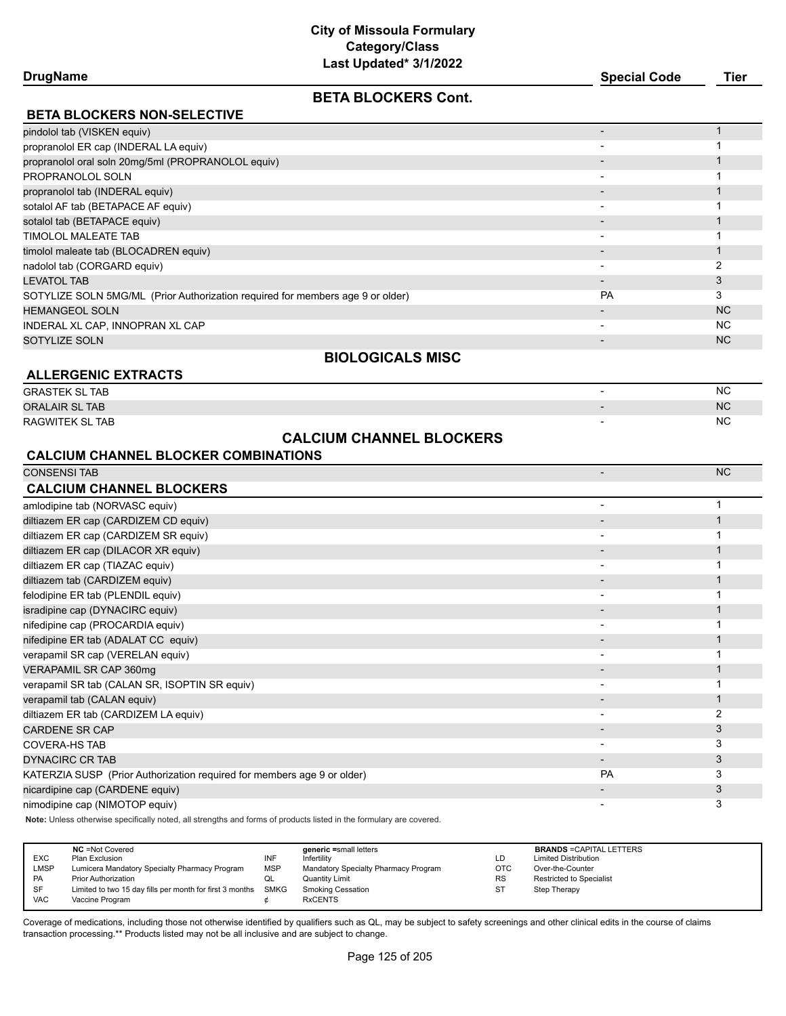| <b>Special Code</b> | Tier |
|---------------------|------|
|                     |      |

| <b>DrugName</b>                                                                | <b>Special Code</b>      | Tier      |  |
|--------------------------------------------------------------------------------|--------------------------|-----------|--|
| <b>BETA BLOCKERS Cont.</b>                                                     |                          |           |  |
| <b>BETA BLOCKERS NON-SELECTIVE</b>                                             |                          |           |  |
| pindolol tab (VISKEN equiv)                                                    |                          |           |  |
| propranolol ER cap (INDERAL LA equiv)                                          |                          |           |  |
| propranolol oral soln 20mg/5ml (PROPRANOLOL equiv)                             |                          |           |  |
| PROPRANOLOL SOLN                                                               | $\overline{\phantom{0}}$ |           |  |
| propranolol tab (INDERAL equiv)                                                |                          |           |  |
| sotalol AF tab (BETAPACE AF equiv)                                             |                          |           |  |
| sotalol tab (BETAPACE equiv)                                                   |                          |           |  |
| TIMOLOL MALEATE TAB                                                            | $\overline{\phantom{0}}$ |           |  |
| timolol maleate tab (BLOCADREN equiv)                                          |                          |           |  |
| nadolol tab (CORGARD equiv)                                                    |                          |           |  |
| <b>LEVATOL TAB</b>                                                             |                          | 3         |  |
| SOTYLIZE SOLN 5MG/ML (Prior Authorization required for members age 9 or older) | PA                       | 3         |  |
| <b>HEMANGEOL SOLN</b>                                                          |                          | <b>NC</b> |  |

#### INDERAL XL CAP, INNOPRAN XL CAP - NC SOTYLIZE SOLN - NC

#### **BIOLOGICALS MISC**

| <b>ALLERGENIC EXTRACTS</b> |                |           |
|----------------------------|----------------|-----------|
| <b>GRASTEK SL TAB</b>      | $\blacksquare$ | <b>NC</b> |
| <b>ORALAIR SL TAB</b>      |                | NC.       |
| RAGWITEK SL TAB            |                | NC.       |
|                            |                |           |

# **CALCIUM CHANNEL BLOCKERS**

# **CALCIUM CHANNEL BLOCKER COMBINATIONS**

| <b>CONSENSI TAB</b>                                                     |           | <b>NC</b> |
|-------------------------------------------------------------------------|-----------|-----------|
| <b>CALCIUM CHANNEL BLOCKERS</b>                                         |           |           |
| amlodipine tab (NORVASC equiv)                                          |           |           |
| diltiazem ER cap (CARDIZEM CD equiv)                                    |           |           |
| diltiazem ER cap (CARDIZEM SR equiv)                                    |           |           |
| diltiazem ER cap (DILACOR XR equiv)                                     |           |           |
| diltiazem ER cap (TIAZAC equiv)                                         |           |           |
| diltiazem tab (CARDIZEM equiv)                                          |           |           |
| felodipine ER tab (PLENDIL equiv)                                       |           |           |
| isradipine cap (DYNACIRC equiv)                                         |           |           |
| nifedipine cap (PROCARDIA equiv)                                        |           |           |
| nifedipine ER tab (ADALAT CC equiv)                                     |           |           |
| verapamil SR cap (VERELAN equiv)                                        |           |           |
| VERAPAMIL SR CAP 360mg                                                  |           |           |
| verapamil SR tab (CALAN SR, ISOPTIN SR equiv)                           |           |           |
| verapamil tab (CALAN equiv)                                             |           |           |
| diltiazem ER tab (CARDIZEM LA equiv)                                    |           | 2         |
| <b>CARDENE SR CAP</b>                                                   |           | 3         |
| <b>COVERA-HS TAB</b>                                                    |           | 3         |
| <b>DYNACIRC CR TAB</b>                                                  |           | 3         |
| KATERZIA SUSP (Prior Authorization required for members age 9 or older) | <b>PA</b> | 3         |
| nicardipine cap (CARDENE equiv)                                         |           | 3         |
| nimodipine cap (NIMOTOP equiv)                                          |           | 3         |

**Note:** Unless otherwise specifically noted, all strengths and forms of products listed in the formulary are covered.

|            | <b>NC</b> = Not Covered                                  |            | generic =small letters               |           | <b>BRANDS = CAPITAL LETTERS</b> |
|------------|----------------------------------------------------------|------------|--------------------------------------|-----------|---------------------------------|
| <b>EXC</b> | Plan Exclusion                                           | INF        | Infertility                          | LD        | <b>Limited Distribution</b>     |
| LMSP       | Lumicera Mandatory Specialty Pharmacy Program            | <b>MSP</b> | Mandatory Specialty Pharmacy Program | OTC       | Over-the-Counter                |
| PA         | <b>Prior Authorization</b>                               | QL         | <b>Quantity Limit</b>                | <b>RS</b> | Restricted to Specialist        |
| <b>SF</b>  | Limited to two 15 day fills per month for first 3 months | SMKG       | <b>Smoking Cessation</b>             | <b>ST</b> | Step Therapy                    |
| <b>VAC</b> | Vaccine Program                                          |            | <b>RxCENTS</b>                       |           |                                 |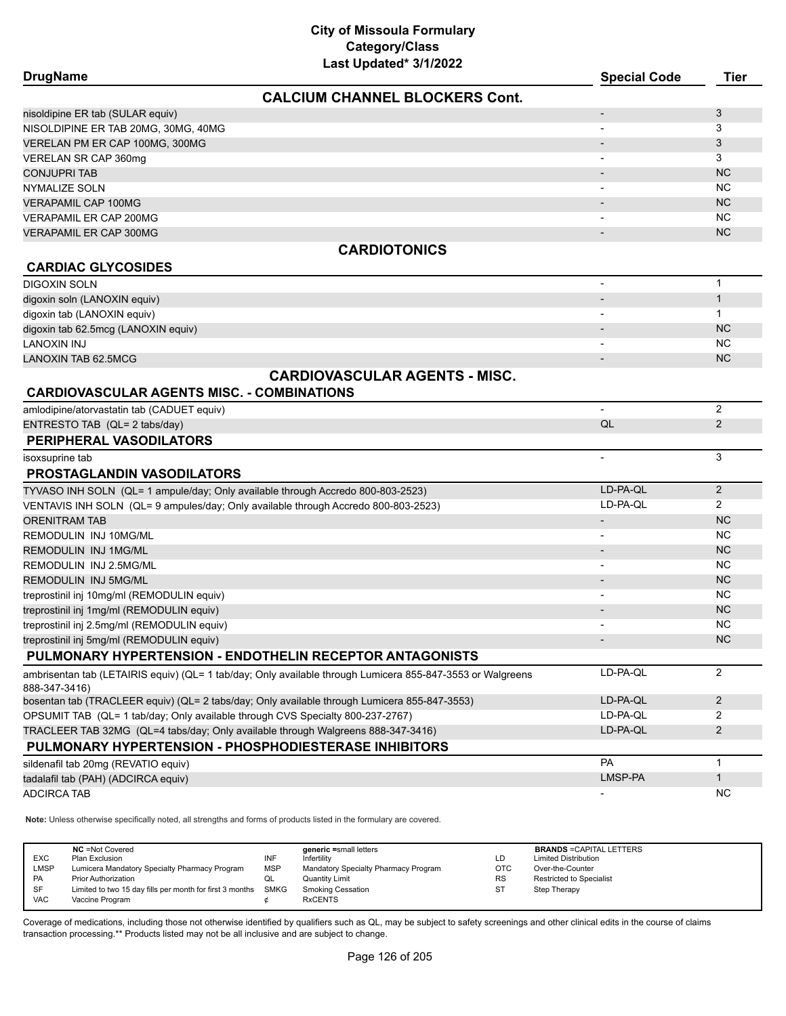| Last Updated* 3/1/2022                                                                                     |                          |                |
|------------------------------------------------------------------------------------------------------------|--------------------------|----------------|
| <b>DrugName</b>                                                                                            | <b>Special Code</b>      | Tier           |
| <b>CALCIUM CHANNEL BLOCKERS Cont.</b>                                                                      |                          |                |
| nisoldipine ER tab (SULAR equiv)                                                                           |                          | 3              |
| NISOLDIPINE ER TAB 20MG, 30MG, 40MG                                                                        |                          | 3              |
| VERELAN PM ER CAP 100MG, 300MG                                                                             |                          | 3              |
| VERELAN SR CAP 360mg                                                                                       |                          | 3              |
| <b>CONJUPRI TAB</b>                                                                                        |                          | <b>NC</b>      |
| NYMALIZE SOLN                                                                                              |                          | <b>NC</b>      |
| <b>VERAPAMIL CAP 100MG</b>                                                                                 |                          | <b>NC</b>      |
| <b>VERAPAMIL ER CAP 200MG</b>                                                                              |                          | NC             |
| <b>VERAPAMIL ER CAP 300MG</b>                                                                              |                          | <b>NC</b>      |
| <b>CARDIOTONICS</b>                                                                                        |                          |                |
| <b>CARDIAC GLYCOSIDES</b>                                                                                  |                          |                |
| <b>DIGOXIN SOLN</b>                                                                                        | $\overline{\phantom{a}}$ | $\mathbf{1}$   |
| digoxin soln (LANOXIN equiv)                                                                               |                          | $\mathbf{1}$   |
| digoxin tab (LANOXIN equiv)                                                                                |                          | 1              |
| digoxin tab 62.5mcg (LANOXIN equiv)                                                                        |                          | <b>NC</b>      |
| <b>LANOXIN INJ</b>                                                                                         |                          | NC             |
| LANOXIN TAB 62.5MCG                                                                                        |                          | <b>NC</b>      |
| <b>CARDIOVASCULAR AGENTS - MISC.</b>                                                                       |                          |                |
| <b>CARDIOVASCULAR AGENTS MISC. - COMBINATIONS</b>                                                          |                          |                |
| amlodipine/atorvastatin tab (CADUET equiv)                                                                 | $\blacksquare$           | 2              |
| ENTRESTO TAB (QL= 2 tabs/day)                                                                              | QL                       | 2              |
| PERIPHERAL VASODILATORS                                                                                    |                          |                |
| isoxsuprine tab                                                                                            |                          | 3              |
| <b>PROSTAGLANDIN VASODILATORS</b>                                                                          |                          |                |
| TYVASO INH SOLN (QL= 1 ampule/day; Only available through Accredo 800-803-2523)                            | LD-PA-QL                 | $\overline{2}$ |
| VENTAVIS INH SOLN (QL= 9 ampules/day; Only available through Accredo 800-803-2523)                         | LD-PA-QL                 | $\overline{2}$ |
| <b>ORENITRAM TAB</b>                                                                                       |                          | <b>NC</b>      |
| REMODULIN INJ 10MG/ML                                                                                      |                          | ΝC             |
| REMODULIN INJ 1MG/ML                                                                                       |                          | <b>NC</b>      |
| REMODULIN INJ 2.5MG/ML                                                                                     |                          | <b>NC</b>      |
| <b>REMODULIN INJ 5MG/ML</b>                                                                                | $\overline{\phantom{a}}$ | <b>NC</b>      |
| treprostinil inj 10mg/ml (REMODULIN equiv)                                                                 |                          | <b>NC</b>      |
| treprostinil inj 1mg/ml (REMODULIN equiv)                                                                  |                          | <b>NC</b>      |
| treprostinil inj 2.5mg/ml (REMODULIN equiv)                                                                |                          | <b>NC</b>      |
| treprostinil inj 5mg/ml (REMODULIN equiv)                                                                  |                          | $NC$           |
| PULMONARY HYPERTENSION - ENDOTHELIN RECEPTOR ANTAGONISTS                                                   |                          |                |
| ambrisentan tab (LETAIRIS equiv) (QL= 1 tab/day; Only available through Lumicera 855-847-3553 or Walgreens | LD-PA-QL                 | $\overline{2}$ |
| 888-347-3416)                                                                                              |                          |                |
| bosentan tab (TRACLEER equiv) (QL= 2 tabs/day; Only available through Lumicera 855-847-3553)               | LD-PA-QL                 | $\overline{2}$ |
| OPSUMIT TAB (QL= 1 tab/day; Only available through CVS Specialty 800-237-2767)                             | LD-PA-QL                 | $\overline{2}$ |
| TRACLEER TAB 32MG (QL=4 tabs/day; Only available through Walgreens 888-347-3416)                           | LD-PA-QL                 | $\overline{2}$ |
| PULMONARY HYPERTENSION - PHOSPHODIESTERASE INHIBITORS                                                      |                          |                |
| sildenafil tab 20mg (REVATIO equiv)                                                                        | <b>PA</b>                | $\mathbf{1}$   |
| tadalafil tab (PAH) (ADCIRCA equiv)                                                                        | LMSP-PA                  | $\mathbf{1}$   |
| <b>ADCIRCA TAB</b>                                                                                         | $\blacksquare$           | NC.            |

**Note:** Unless otherwise specifically noted, all strengths and forms of products listed in the formulary are covered.

| <b>EXC</b><br><b>LMSP</b><br>PA<br>SF | <b>NC</b> = Not Covered<br>Plan Exclusion<br>Lumicera Mandatory Specialty Pharmacy Program<br><b>Prior Authorization</b><br>Limited to two 15 day fills per month for first 3 months | INF<br><b>MSP</b><br>QL<br><b>SMKG</b> | generic =small letters<br>Infertility<br>Mandatory Specialty Pharmacy Program<br>Quantity Limit<br><b>Smoking Cessation</b> | LD<br><b>OTC</b><br><b>RS</b><br><b>ST</b> | <b>BRANDS = CAPITAL LETTERS</b><br><b>Limited Distribution</b><br>Over-the-Counter<br><b>Restricted to Specialist</b><br>Step Therapy |
|---------------------------------------|--------------------------------------------------------------------------------------------------------------------------------------------------------------------------------------|----------------------------------------|-----------------------------------------------------------------------------------------------------------------------------|--------------------------------------------|---------------------------------------------------------------------------------------------------------------------------------------|
| <b>VAC</b>                            | Vaccine Program                                                                                                                                                                      |                                        | <b>RxCENTS</b>                                                                                                              |                                            |                                                                                                                                       |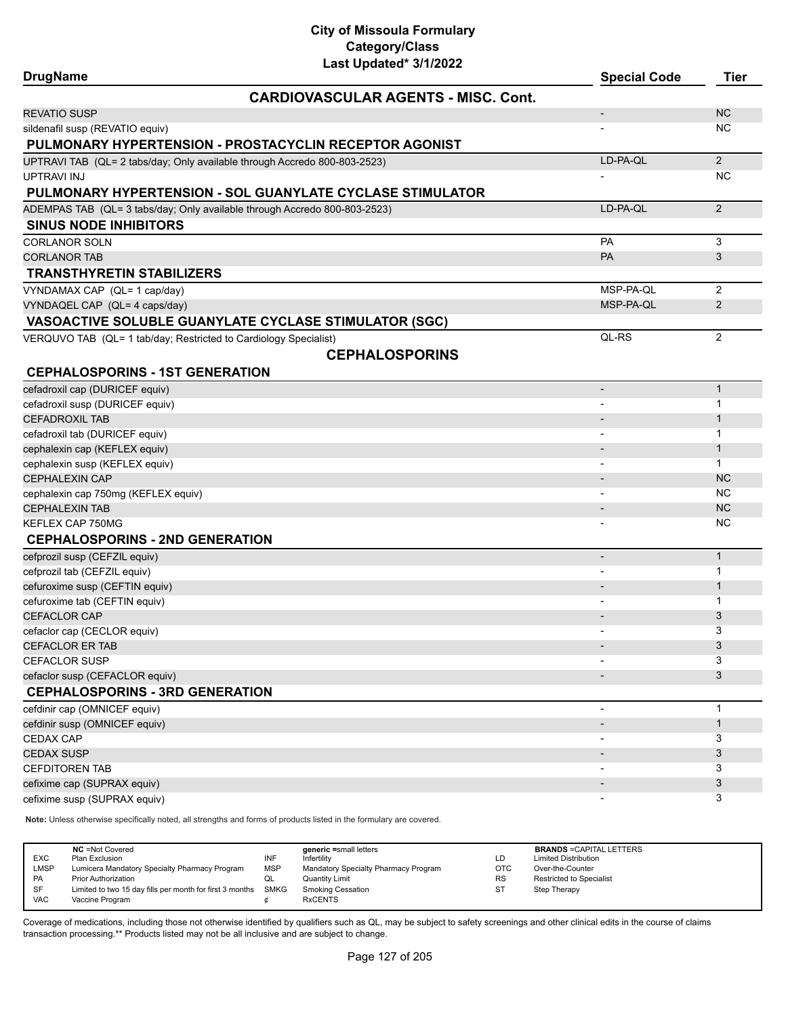| <b>DrugName</b>                                                  | Lasi Upudibu <i>SHIZUZZ</i>                                               | <b>Special Code</b>      | <b>Tier</b>    |
|------------------------------------------------------------------|---------------------------------------------------------------------------|--------------------------|----------------|
|                                                                  | <b>CARDIOVASCULAR AGENTS - MISC. Cont.</b>                                |                          |                |
| <b>REVATIO SUSP</b>                                              |                                                                           | $\overline{\phantom{a}}$ | <b>NC</b>      |
| sildenafil susp (REVATIO equiv)                                  |                                                                           |                          | NC.            |
|                                                                  | PULMONARY HYPERTENSION - PROSTACYCLIN RECEPTOR AGONIST                    |                          |                |
|                                                                  | UPTRAVI TAB (QL= 2 tabs/day; Only available through Accredo 800-803-2523) | LD-PA-QL                 | 2              |
| <b>UPTRAVI INJ</b>                                               |                                                                           |                          | NC             |
|                                                                  | PULMONARY HYPERTENSION - SOL GUANYLATE CYCLASE STIMULATOR                 |                          |                |
|                                                                  | ADEMPAS TAB (QL= 3 tabs/day; Only available through Accredo 800-803-2523) | LD-PA-QL                 | 2              |
| <b>SINUS NODE INHIBITORS</b>                                     |                                                                           |                          |                |
| <b>CORLANOR SOLN</b>                                             |                                                                           | <b>PA</b>                | 3              |
| <b>CORLANOR TAB</b>                                              |                                                                           | <b>PA</b>                | 3              |
| <b>TRANSTHYRETIN STABILIZERS</b>                                 |                                                                           |                          |                |
| VYNDAMAX CAP (QL= 1 cap/day)                                     |                                                                           | MSP-PA-QL                | 2              |
| VYNDAQEL CAP (QL= 4 caps/day)                                    |                                                                           | MSP-PA-QL                | 2              |
|                                                                  | VASOACTIVE SOLUBLE GUANYLATE CYCLASE STIMULATOR (SGC)                     |                          |                |
| VERQUVO TAB (QL= 1 tab/day; Restricted to Cardiology Specialist) |                                                                           | QL-RS                    | 2              |
|                                                                  | <b>CEPHALOSPORINS</b>                                                     |                          |                |
|                                                                  |                                                                           |                          |                |
| <b>CEPHALOSPORINS - 1ST GENERATION</b>                           |                                                                           |                          |                |
| cefadroxil cap (DURICEF equiv)                                   |                                                                           | $\overline{\phantom{a}}$ | $\mathbf{1}$   |
| cefadroxil susp (DURICEF equiv)                                  |                                                                           |                          | 1              |
| <b>CEFADROXIL TAB</b>                                            |                                                                           |                          | $\mathbf{1}$   |
| cefadroxil tab (DURICEF equiv)                                   |                                                                           |                          | $\mathbf{1}$   |
| cephalexin cap (KEFLEX equiv)                                    |                                                                           |                          | $\mathbf{1}$   |
| cephalexin susp (KEFLEX equiv)<br><b>CEPHALEXIN CAP</b>          |                                                                           |                          | 1<br><b>NC</b> |
|                                                                  |                                                                           |                          | NC.            |
| cephalexin cap 750mg (KEFLEX equiv)<br><b>CEPHALEXIN TAB</b>     |                                                                           | $\overline{\phantom{a}}$ | <b>NC</b>      |
| KEFLEX CAP 750MG                                                 |                                                                           |                          | NC             |
| <b>CEPHALOSPORINS - 2ND GENERATION</b>                           |                                                                           |                          |                |
|                                                                  |                                                                           |                          | $\mathbf{1}$   |
| cefprozil susp (CEFZIL equiv)                                    |                                                                           |                          | 1              |
| cefprozil tab (CEFZIL equiv)<br>cefuroxime susp (CEFTIN equiv)   |                                                                           | $\overline{\phantom{a}}$ | $\mathbf{1}$   |
| cefuroxime tab (CEFTIN equiv)                                    |                                                                           |                          | 1              |
| <b>CEFACLOR CAP</b>                                              |                                                                           |                          | 3              |
| cefaclor cap (CECLOR equiv)                                      |                                                                           |                          | 3              |
| CEFACLOR ER TAB                                                  |                                                                           |                          | 3              |
| <b>CEFACLOR SUSP</b>                                             |                                                                           |                          | 3              |
| cefaclor susp (CEFACLOR equiv)                                   |                                                                           |                          | 3              |
| <b>CEPHALOSPORINS - 3RD GENERATION</b>                           |                                                                           |                          |                |
| cefdinir cap (OMNICEF equiv)                                     |                                                                           | $\overline{\phantom{a}}$ | $\mathbf{1}$   |
| cefdinir susp (OMNICEF equiv)                                    |                                                                           |                          | $\mathbf{1}$   |
| CEDAX CAP                                                        |                                                                           |                          | 3              |
| <b>CEDAX SUSP</b>                                                |                                                                           |                          | 3              |
| <b>CEFDITOREN TAB</b>                                            |                                                                           |                          | 3              |
| cefixime cap (SUPRAX equiv)                                      |                                                                           |                          | 3              |
| cefixime susp (SUPRAX equiv)                                     |                                                                           |                          | 3              |
|                                                                  |                                                                           |                          |                |

**Note:** Unless otherwise specifically noted, all strengths and forms of products listed in the formulary are covered.

| <b>NC</b> = Not Covered<br>generic =small letters<br><b>EXC</b><br>INF<br>Plan Exclusion<br>Infertility<br>LMSP<br><b>MSP</b><br>Lumicera Mandatory Specialty Pharmacy Program<br>Mandatory Specialty Pharmacy Program<br><b>PA</b><br><b>Prior Authorization</b><br>Quantity Limit<br>QL<br><b>SF</b><br>Limited to two 15 day fills per month for first 3 months<br>SMKG<br><b>Smoking Cessation</b><br><b>VAC</b><br><b>RxCENTS</b><br>Vaccine Program | LD<br><b>OTC</b><br><b>RS</b><br><b>ST</b> | <b>BRANDS = CAPITAL LETTERS</b><br><b>Limited Distribution</b><br>Over-the-Counter<br>Restricted to Specialist<br>Step Therapy |
|-----------------------------------------------------------------------------------------------------------------------------------------------------------------------------------------------------------------------------------------------------------------------------------------------------------------------------------------------------------------------------------------------------------------------------------------------------------|--------------------------------------------|--------------------------------------------------------------------------------------------------------------------------------|
|-----------------------------------------------------------------------------------------------------------------------------------------------------------------------------------------------------------------------------------------------------------------------------------------------------------------------------------------------------------------------------------------------------------------------------------------------------------|--------------------------------------------|--------------------------------------------------------------------------------------------------------------------------------|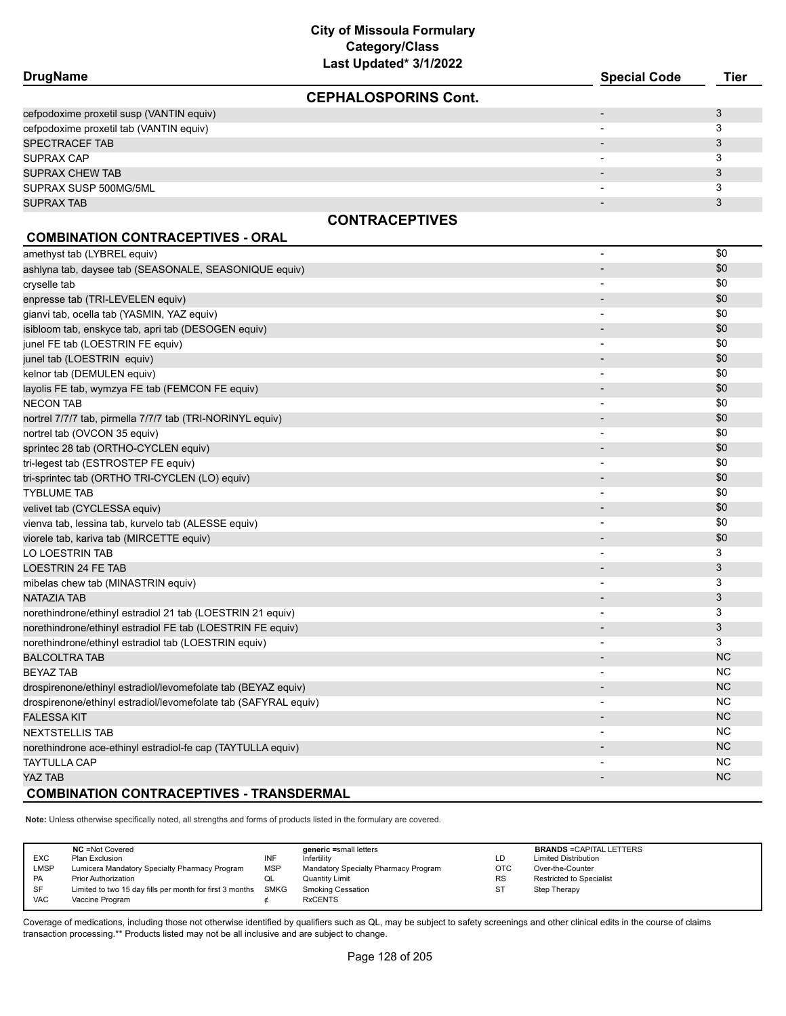| <b>DrugName</b>                                                 | Last Upuateu vrijkukk       | <b>Special Code</b>          | <b>Tier</b> |
|-----------------------------------------------------------------|-----------------------------|------------------------------|-------------|
|                                                                 | <b>CEPHALOSPORINS Cont.</b> |                              |             |
| cefpodoxime proxetil susp (VANTIN equiv)                        |                             | -                            | 3           |
| cefpodoxime proxetil tab (VANTIN equiv)                         |                             |                              | 3           |
| SPECTRACEF TAB                                                  |                             |                              | 3           |
| SUPRAX CAP                                                      |                             |                              | 3           |
| <b>SUPRAX CHEW TAB</b>                                          |                             |                              | 3           |
| SUPRAX SUSP 500MG/5ML                                           |                             |                              | 3           |
| <b>SUPRAX TAB</b>                                               |                             |                              | 3           |
|                                                                 | <b>CONTRACEPTIVES</b>       |                              |             |
| <b>COMBINATION CONTRACEPTIVES - ORAL</b>                        |                             |                              |             |
| amethyst tab (LYBREL equiv)                                     |                             | $\overline{\phantom{a}}$     | \$0         |
| ashlyna tab, daysee tab (SEASONALE, SEASONIQUE equiv)           |                             |                              | \$0         |
| cryselle tab                                                    |                             | $\overline{\phantom{a}}$     | \$0         |
| enpresse tab (TRI-LEVELEN equiv)                                |                             |                              | \$0         |
| gianvi tab, ocella tab (YASMIN, YAZ equiv)                      |                             | $\qquad \qquad \blacksquare$ | \$0         |
| isibloom tab, enskyce tab, apri tab (DESOGEN equiv)             |                             |                              | \$0         |
| junel FE tab (LOESTRIN FE equiv)                                |                             | $\overline{\phantom{a}}$     | \$0         |
| junel tab (LOESTRIN equiv)                                      |                             |                              | \$0         |
| kelnor tab (DEMULEN equiv)                                      |                             |                              | \$0         |
| layolis FE tab, wymzya FE tab (FEMCON FE equiv)                 |                             |                              | \$0         |
| <b>NECON TAB</b>                                                |                             | $\overline{\phantom{a}}$     | \$0         |
| nortrel 7/7/7 tab, pirmella 7/7/7 tab (TRI-NORINYL equiv)       |                             |                              | \$0         |
| nortrel tab (OVCON 35 equiv)                                    |                             | $\qquad \qquad \blacksquare$ | \$0         |
| sprintec 28 tab (ORTHO-CYCLEN equiv)                            |                             | $\overline{\phantom{a}}$     | \$0         |
| tri-legest tab (ESTROSTEP FE equiv)                             |                             | $\overline{\phantom{0}}$     | \$0         |
| tri-sprintec tab (ORTHO TRI-CYCLEN (LO) equiv)                  |                             |                              | \$0         |
| <b>TYBLUME TAB</b>                                              |                             |                              | \$0         |
| velivet tab (CYCLESSA equiv)                                    |                             | $\overline{\phantom{a}}$     | \$0         |
| vienva tab, lessina tab, kurvelo tab (ALESSE equiv)             |                             | $\blacksquare$               | \$0         |
| viorele tab, kariva tab (MIRCETTE equiv)                        |                             | $\overline{\phantom{a}}$     | \$0         |
| LO LOESTRIN TAB                                                 |                             |                              | 3           |
| <b>LOESTRIN 24 FE TAB</b>                                       |                             |                              | 3           |
| mibelas chew tab (MINASTRIN equiv)                              |                             |                              | 3           |
| NATAZIA TAB                                                     |                             |                              | 3           |
| norethindrone/ethinyl estradiol 21 tab (LOESTRIN 21 equiv)      |                             |                              | 3           |
| norethindrone/ethinyl estradiol FE tab (LOESTRIN FE equiv)      |                             |                              | 3           |
| norethindrone/ethinyl estradiol tab (LOESTRIN equiv)            |                             |                              | 3           |
| <b>BALCOLTRA TAB</b>                                            |                             |                              | NC.         |
| <b>BEYAZ TAB</b>                                                |                             | $\qquad \qquad \blacksquare$ | NC.         |
| drospirenone/ethinyl estradiol/levomefolate tab (BEYAZ equiv)   |                             |                              | NC.         |
| drospirenone/ethinyl estradiol/levomefolate tab (SAFYRAL equiv) |                             |                              | NC.         |
| <b>FALESSA KIT</b>                                              |                             |                              | NC.         |
| <b>NEXTSTELLIS TAB</b>                                          |                             |                              | NC          |
| norethindrone ace-ethinyl estradiol-fe cap (TAYTULLA equiv)     |                             |                              | NC.         |
| <b>TAYTULLA CAP</b>                                             |                             |                              | ΝC          |
| YAZ TAB                                                         |                             | $\overline{a}$               | <b>NC</b>   |
| <b>COMBINATION CONTRACEPTIVES - TRANSDERMAL</b>                 |                             |                              |             |

**Note:** Unless otherwise specifically noted, all strengths and forms of products listed in the formulary are covered.

|            | <b>NC</b> = Not Covered                                  |            | generic =small letters               |           | <b>BRANDS = CAPITAL LETTERS</b> |
|------------|----------------------------------------------------------|------------|--------------------------------------|-----------|---------------------------------|
| EXC        | Plan Exclusion                                           | INF        | Infertility                          | LD        | <b>Limited Distribution</b>     |
| LMSP       | Lumicera Mandatory Specialty Pharmacy Program            | <b>MSP</b> | Mandatory Specialty Pharmacy Program | OTC       | Over-the-Counter                |
| PA         | <b>Prior Authorization</b>                               | QL         | Quantity Limit                       | <b>RS</b> | <b>Restricted to Specialist</b> |
| SF         | Limited to two 15 day fills per month for first 3 months | SMKG       | Smoking Cessation                    | ST        | Step Therapy                    |
| <b>VAC</b> | Vaccine Program                                          |            | <b>RxCENTS</b>                       |           |                                 |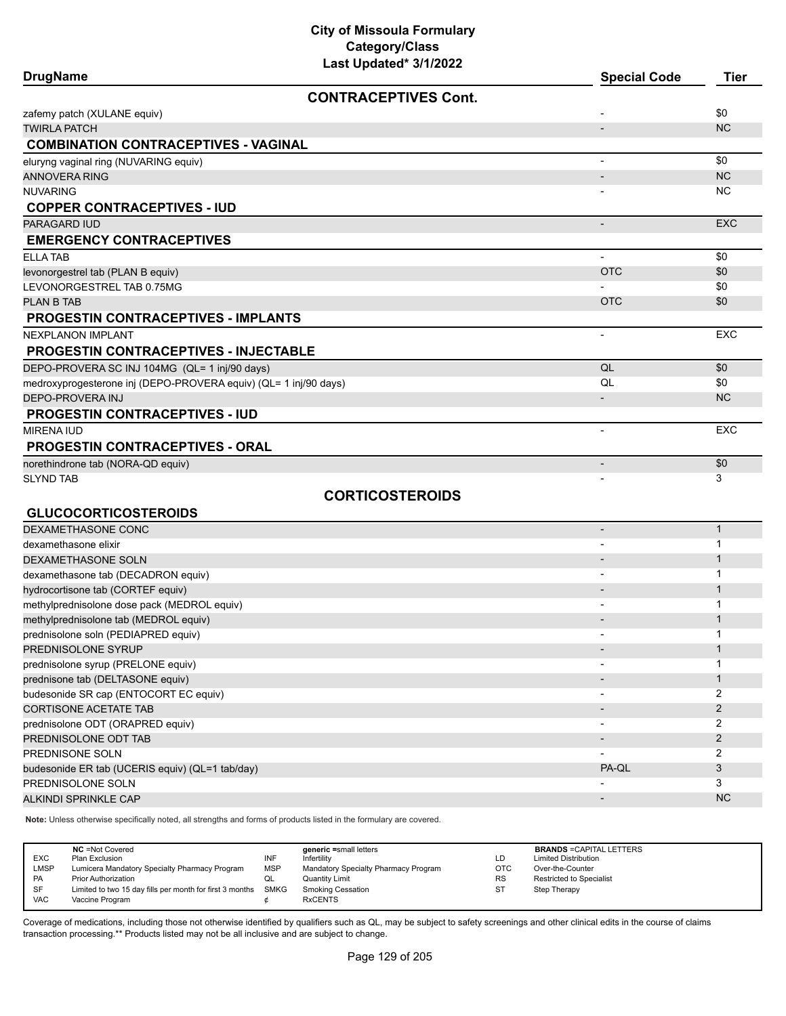| <b>DrugName</b>                                                  | Last upuateu von Zull       | <b>Special Code</b>      | <b>Tier</b>         |
|------------------------------------------------------------------|-----------------------------|--------------------------|---------------------|
|                                                                  | <b>CONTRACEPTIVES Cont.</b> |                          |                     |
| zafemy patch (XULANE equiv)                                      |                             |                          | \$0                 |
| <b>TWIRLA PATCH</b>                                              |                             |                          | <b>NC</b>           |
| <b>COMBINATION CONTRACEPTIVES - VAGINAL</b>                      |                             |                          |                     |
| eluryng vaginal ring (NUVARING equiv)                            |                             | $\overline{\phantom{a}}$ | \$0                 |
| <b>ANNOVERA RING</b>                                             |                             |                          | <b>NC</b>           |
| <b>NUVARING</b>                                                  |                             |                          | ΝC                  |
| <b>COPPER CONTRACEPTIVES - IUD</b>                               |                             |                          |                     |
| PARAGARD IUD                                                     |                             | $\overline{\phantom{0}}$ | <b>EXC</b>          |
| <b>EMERGENCY CONTRACEPTIVES</b>                                  |                             |                          |                     |
| <b>ELLA TAB</b>                                                  |                             |                          | \$0                 |
| levonorgestrel tab (PLAN B equiv)                                |                             | <b>OTC</b>               | \$0                 |
| LEVONORGESTREL TAB 0.75MG                                        |                             |                          | \$0                 |
| PLAN B TAB                                                       |                             | <b>OTC</b>               | \$0                 |
| <b>PROGESTIN CONTRACEPTIVES - IMPLANTS</b>                       |                             |                          |                     |
| <b>NEXPLANON IMPLANT</b>                                         |                             |                          | <b>EXC</b>          |
| <b>PROGESTIN CONTRACEPTIVES - INJECTABLE</b>                     |                             |                          |                     |
| DEPO-PROVERA SC INJ 104MG (QL= 1 inj/90 days)                    |                             | QL                       | \$0                 |
| medroxyprogesterone inj (DEPO-PROVERA equiv) (QL= 1 inj/90 days) |                             | QL                       | \$0                 |
| DEPO-PROVERA INJ                                                 |                             |                          | <b>NC</b>           |
| <b>PROGESTIN CONTRACEPTIVES - IUD</b>                            |                             |                          |                     |
| <b>MIRENA IUD</b>                                                |                             | $\overline{\phantom{a}}$ | <b>EXC</b>          |
| <b>PROGESTIN CONTRACEPTIVES - ORAL</b>                           |                             |                          |                     |
| norethindrone tab (NORA-QD equiv)                                |                             | $\overline{\phantom{a}}$ | \$0                 |
| <b>SLYND TAB</b>                                                 |                             |                          | 3                   |
|                                                                  | <b>CORTICOSTEROIDS</b>      |                          |                     |
| <b>GLUCOCORTICOSTEROIDS</b>                                      |                             |                          |                     |
| DEXAMETHASONE CONC                                               |                             | $\overline{\phantom{a}}$ | $\mathbf{1}$        |
| dexamethasone elixir                                             |                             |                          | 1                   |
| DEXAMETHASONE SOLN                                               |                             |                          | $\mathbf 1$         |
| dexamethasone tab (DECADRON equiv)                               |                             |                          | $\mathbf{1}$        |
| hydrocortisone tab (CORTEF equiv)                                |                             |                          | $\mathbf{1}$        |
| methylprednisolone dose pack (MEDROL equiv)                      |                             | $\overline{\phantom{a}}$ | 1                   |
| methylprednisolone tab (MEDROL equiv)                            |                             |                          | 1                   |
| prednisolone soln (PEDIAPRED equiv)                              |                             |                          | 1                   |
| PREDNISOLONE SYRUP                                               |                             |                          | $\mathbf{1}$        |
| prednisolone syrup (PRELONE equiv)                               |                             |                          | 1                   |
| prednisone tab (DELTASONE equiv)                                 |                             |                          | $\mathbf{1}$<br>2   |
| budesonide SR cap (ENTOCORT EC equiv)                            |                             |                          |                     |
| <b>CORTISONE ACETATE TAB</b>                                     |                             |                          | $\overline{2}$      |
| prednisolone ODT (ORAPRED equiv)<br>PREDNISOLONE ODT TAB         |                             |                          | 2<br>$\overline{2}$ |
| PREDNISONE SOLN                                                  |                             |                          | 2                   |
| budesonide ER tab (UCERIS equiv) (QL=1 tab/day)                  |                             | PA-QL                    | 3                   |
| PREDNISOLONE SOLN                                                |                             |                          | 3                   |
| ALKINDI SPRINKLE CAP                                             |                             |                          | <b>NC</b>           |
|                                                                  |                             |                          |                     |

**Note:** Unless otherwise specifically noted, all strengths and forms of products listed in the formulary are covered.

| <b>EXC</b><br><b>LMSP</b><br><b>PA</b><br><b>SF</b> | <b>NC</b> = Not Covered<br>Plan Exclusion<br>Lumicera Mandatory Specialty Pharmacy Program<br><b>Prior Authorization</b><br>Limited to two 15 day fills per month for first 3 months SMKG | INF<br><b>MSP</b><br>QL | generic =small letters<br>Infertility<br>Mandatory Specialty Pharmacy Program<br>Quantity Limit<br><b>Smoking Cessation</b> | LD<br><b>OTC</b><br><b>RS</b><br>ST | <b>BRANDS = CAPITAL LETTERS</b><br><b>Limited Distribution</b><br>Over-the-Counter<br><b>Restricted to Specialist</b><br>Step Therapy |
|-----------------------------------------------------|-------------------------------------------------------------------------------------------------------------------------------------------------------------------------------------------|-------------------------|-----------------------------------------------------------------------------------------------------------------------------|-------------------------------------|---------------------------------------------------------------------------------------------------------------------------------------|
| <b>VAC</b>                                          | Vaccine Program                                                                                                                                                                           |                         | <b>RxCENTS</b>                                                                                                              |                                     |                                                                                                                                       |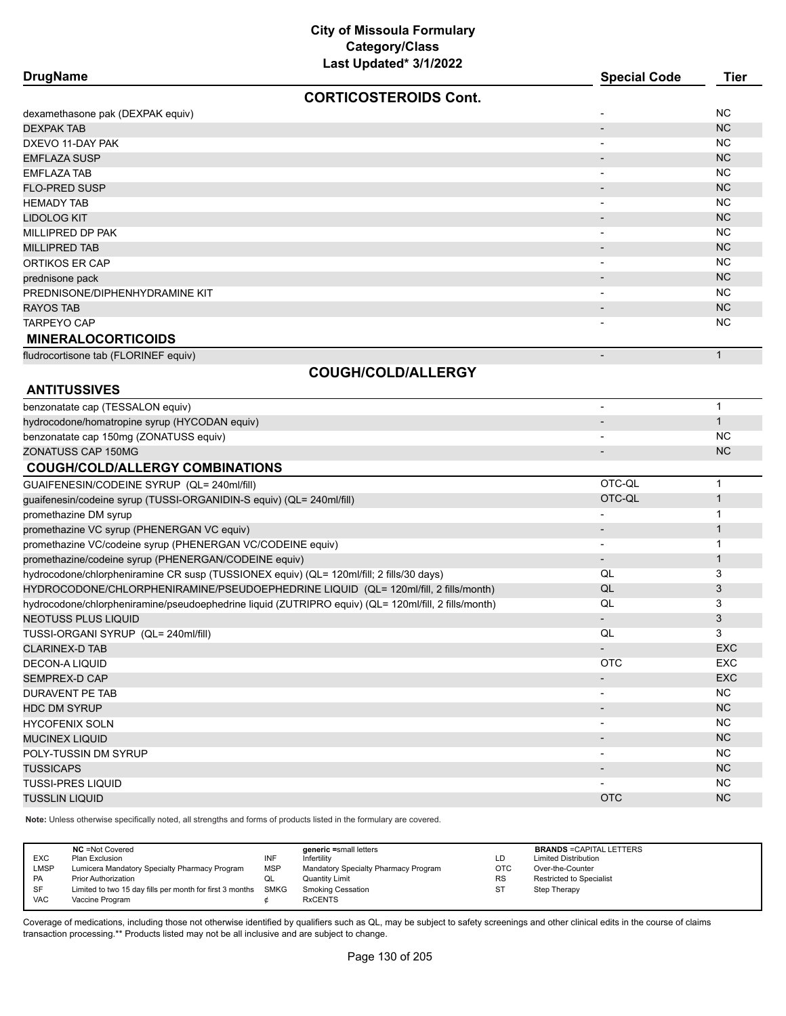| <b>DrugName</b>                                                                                      | Last Updated^ 3/1/2022       | <b>Special Code</b>          | <b>Tier</b>  |
|------------------------------------------------------------------------------------------------------|------------------------------|------------------------------|--------------|
|                                                                                                      | <b>CORTICOSTEROIDS Cont.</b> |                              |              |
| dexamethasone pak (DEXPAK equiv)                                                                     |                              |                              | <b>NC</b>    |
| <b>DEXPAK TAB</b>                                                                                    |                              |                              | <b>NC</b>    |
| DXEVO 11-DAY PAK                                                                                     |                              |                              | NC.          |
| <b>EMFLAZA SUSP</b>                                                                                  |                              | $\overline{\phantom{a}}$     | <b>NC</b>    |
| <b>EMFLAZA TAB</b>                                                                                   |                              | $\overline{\phantom{a}}$     | NC.          |
| <b>FLO-PRED SUSP</b>                                                                                 |                              |                              | <b>NC</b>    |
| <b>HEMADY TAB</b>                                                                                    |                              | $\overline{\phantom{0}}$     | NC.          |
| <b>LIDOLOG KIT</b>                                                                                   |                              | $\overline{\phantom{a}}$     | <b>NC</b>    |
| MILLIPRED DP PAK                                                                                     |                              | $\overline{\phantom{0}}$     | <b>NC</b>    |
| <b>MILLIPRED TAB</b>                                                                                 |                              |                              | <b>NC</b>    |
| ORTIKOS ER CAP                                                                                       |                              | $\overline{\phantom{0}}$     | NC.          |
| prednisone pack                                                                                      |                              | $\overline{\phantom{a}}$     | <b>NC</b>    |
| PREDNISONE/DIPHENHYDRAMINE KIT                                                                       |                              | $\blacksquare$               | NC.          |
| <b>RAYOS TAB</b>                                                                                     |                              |                              | <b>NC</b>    |
| <b>TARPEYO CAP</b>                                                                                   |                              |                              | NC.          |
| <b>MINERALOCORTICOIDS</b>                                                                            |                              |                              |              |
| fludrocortisone tab (FLORINEF equiv)                                                                 |                              |                              | $\mathbf{1}$ |
|                                                                                                      | <b>COUGH/COLD/ALLERGY</b>    |                              |              |
| <b>ANTITUSSIVES</b>                                                                                  |                              |                              |              |
| benzonatate cap (TESSALON equiv)                                                                     |                              | $\overline{a}$               | $\mathbf{1}$ |
| hydrocodone/homatropine syrup (HYCODAN equiv)                                                        |                              |                              | $\mathbf{1}$ |
| benzonatate cap 150mg (ZONATUSS equiv)                                                               |                              |                              | <b>NC</b>    |
| <b>ZONATUSS CAP 150MG</b>                                                                            |                              | $\overline{\phantom{a}}$     | <b>NC</b>    |
| <b>COUGH/COLD/ALLERGY COMBINATIONS</b>                                                               |                              |                              |              |
| GUAIFENESIN/CODEINE SYRUP (QL= 240ml/fill)                                                           |                              | OTC-QL                       | $\mathbf 1$  |
| guaifenesin/codeine syrup (TUSSI-ORGANIDIN-S equiv) (QL= 240ml/fill)                                 |                              | OTC-QL                       | $\mathbf{1}$ |
| promethazine DM syrup                                                                                |                              |                              | 1            |
| promethazine VC syrup (PHENERGAN VC equiv)                                                           |                              | $\overline{\phantom{m}}$     | 1            |
| promethazine VC/codeine syrup (PHENERGAN VC/CODEINE equiv)                                           |                              |                              | 1            |
| promethazine/codeine syrup (PHENERGAN/CODEINE equiv)                                                 |                              | $\qquad \qquad \blacksquare$ | $\mathbf{1}$ |
| hydrocodone/chlorpheniramine CR susp (TUSSIONEX equiv) (QL= 120ml/fill; 2 fills/30 days)             |                              | QL                           | 3            |
| HYDROCODONE/CHLORPHENIRAMINE/PSEUDOEPHEDRINE LIQUID (QL= 120ml/fill, 2 fills/month)                  |                              | QL                           | 3            |
| hydrocodone/chlorpheniramine/pseudoephedrine liquid (ZUTRIPRO equiv) (QL= 120ml/fill, 2 fills/month) |                              | QL                           | 3            |
| <b>NEOTUSS PLUS LIQUID</b>                                                                           |                              |                              | 3            |
| TUSSI-ORGANI SYRUP (QL= 240ml/fill)                                                                  |                              | QL                           | 3            |
| <b>CLARINEX-D TAB</b>                                                                                |                              | $\overline{\phantom{a}}$     | EXC          |
| <b>DECON-A LIQUID</b>                                                                                |                              | <b>OTC</b>                   | EXC          |
| SEMPREX-D CAP                                                                                        |                              | $\qquad \qquad \blacksquare$ | <b>EXC</b>   |
| DURAVENT PE TAB                                                                                      |                              | $\qquad \qquad \blacksquare$ | <b>NC</b>    |
| <b>HDC DM SYRUP</b>                                                                                  |                              | $\overline{\phantom{a}}$     | NC           |
| <b>HYCOFENIX SOLN</b>                                                                                |                              | $\qquad \qquad \blacksquare$ | <b>NC</b>    |
| <b>MUCINEX LIQUID</b>                                                                                |                              | $\overline{\phantom{a}}$     | <b>NC</b>    |
| POLY-TUSSIN DM SYRUP                                                                                 |                              |                              | <b>NC</b>    |
| <b>TUSSICAPS</b>                                                                                     |                              | $\qquad \qquad \blacksquare$ | <b>NC</b>    |
| <b>TUSSI-PRES LIQUID</b>                                                                             |                              |                              | <b>NC</b>    |
| <b>TUSSLIN LIQUID</b>                                                                                |                              | <b>OTC</b>                   | <b>NC</b>    |

**Note:** Unless otherwise specifically noted, all strengths and forms of products listed in the formulary are covered.

| EXC<br>LMSP<br>PA<br>SF | <b>NC</b> = Not Covered<br>Plan Exclusion<br>Lumicera Mandatory Specialty Pharmacy Program<br><b>Prior Authorization</b><br>Limited to two 15 day fills per month for first 3 months SMKG | INF<br><b>MSP</b><br>QL | generic =small letters<br>Infertility<br>Mandatory Specialty Pharmacy Program<br>Quantity Limit<br><b>Smoking Cessation</b> | LD<br>OTC<br><b>RS</b><br><b>ST</b> | <b>BRANDS = CAPITAL LETTERS</b><br><b>Limited Distribution</b><br>Over-the-Counter<br>Restricted to Specialist<br>Step Therapy |
|-------------------------|-------------------------------------------------------------------------------------------------------------------------------------------------------------------------------------------|-------------------------|-----------------------------------------------------------------------------------------------------------------------------|-------------------------------------|--------------------------------------------------------------------------------------------------------------------------------|
| <b>VAC</b>              | Vaccine Program                                                                                                                                                                           |                         | <b>RxCENTS</b>                                                                                                              |                                     |                                                                                                                                |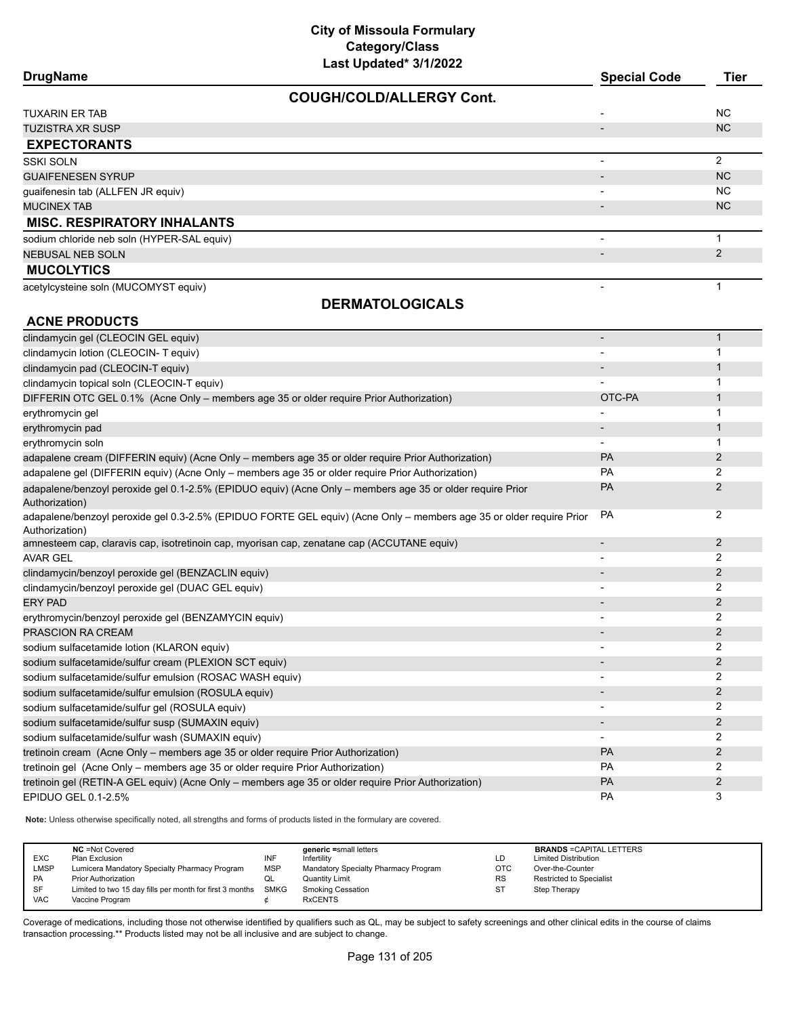|  | DrugName |
|--|----------|
|--|----------|

| <b>DrugName</b>                            | <b>Special Code</b>      | <b>Tier</b>    |
|--------------------------------------------|--------------------------|----------------|
| <b>COUGH/COLD/ALLERGY Cont.</b>            |                          |                |
| <b>TUXARIN ER TAB</b>                      | $\overline{\phantom{0}}$ | NC.            |
| <b>TUZISTRA XR SUSP</b>                    | $\overline{\phantom{a}}$ | NC.            |
| <b>EXPECTORANTS</b>                        |                          |                |
| <b>SSKI SOLN</b>                           | $\blacksquare$           | $\overline{2}$ |
| <b>GUAIFENESEN SYRUP</b>                   | $\overline{\phantom{a}}$ | <b>NC</b>      |
| guaifenesin tab (ALLFEN JR equiv)          |                          | NC.            |
| <b>MUCINEX TAB</b>                         | -                        | NC.            |
| <b>MISC. RESPIRATORY INHALANTS</b>         |                          |                |
| sodium chloride neb soln (HYPER-SAL equiv) |                          |                |
| <b>NEBUSAL NEB SOLN</b>                    |                          | 2              |
| <b>MUCOLYTICS</b>                          |                          |                |
| acetylcysteine soln (MUCOMYST equiv)       |                          |                |
| <b>DERMATOLOGICALS</b>                     |                          |                |
| <b>ACNE PRODUCTS</b>                       |                          |                |
| clindamycin gel (CLEOCIN GEL equiv)        |                          |                |
| clindamycin lotion (CLEOCIN-T equiv)       |                          |                |
| clindamycin pad (CI FOCIN-T equiv)         |                          |                |

| clindamycin lotion (CLEOCIN-T equiv)                                                                                                  |                              |                |
|---------------------------------------------------------------------------------------------------------------------------------------|------------------------------|----------------|
| clindamycin pad (CLEOCIN-T equiv)                                                                                                     |                              |                |
| clindamycin topical soln (CLEOCIN-T equiv)                                                                                            |                              |                |
| DIFFERIN OTC GEL 0.1% (Acne Only - members age 35 or older require Prior Authorization)                                               | OTC-PA                       | 1              |
| erythromycin gel                                                                                                                      | $\blacksquare$               |                |
| erythromycin pad                                                                                                                      | $\blacksquare$               | 1              |
| erythromycin soln                                                                                                                     |                              |                |
| adapalene cream (DIFFERIN equiv) (Acne Only – members age 35 or older require Prior Authorization)                                    | PA                           | 2              |
| adapalene gel (DIFFERIN equiv) (Acne Only - members age 35 or older require Prior Authorization)                                      | PA                           | 2              |
| adapalene/benzoyl peroxide gel 0.1-2.5% (EPIDUO equiv) (Acne Only - members age 35 or older require Prior<br>Authorization)           | PA                           | 2              |
| adapalene/benzoyl peroxide gel 0.3-2.5% (EPIDUO FORTE GEL equiv) (Acne Only - members age 35 or older require Prior<br>Authorization) | PA                           | 2              |
| amnesteem cap, claravis cap, isotretinoin cap, myorisan cap, zenatane cap (ACCUTANE equiv)                                            | ٠                            | $\overline{2}$ |
| <b>AVAR GEL</b>                                                                                                                       |                              | 2              |
| clindamycin/benzoyl peroxide gel (BENZACLIN equiv)                                                                                    |                              | $\overline{2}$ |
| clindamycin/benzoyl peroxide gel (DUAC GEL equiv)                                                                                     |                              | $\overline{2}$ |
| <b>ERY PAD</b>                                                                                                                        |                              | $\overline{2}$ |
| erythromycin/benzoyl peroxide gel (BENZAMYCIN equiv)                                                                                  |                              | $\overline{2}$ |
| <b>PRASCION RA CREAM</b>                                                                                                              | $\qquad \qquad \blacksquare$ | $\overline{2}$ |
| sodium sulfacetamide lotion (KLARON equiv)                                                                                            |                              | 2              |
| sodium sulfacetamide/sulfur cream (PLEXION SCT equiv)                                                                                 |                              | $\overline{2}$ |
| sodium sulfacetamide/sulfur emulsion (ROSAC WASH equiv)                                                                               |                              | 2              |
| sodium sulfacetamide/sulfur emulsion (ROSULA equiv)                                                                                   |                              | 2              |
| sodium sulfacetamide/sulfur gel (ROSULA equiv)                                                                                        | $\blacksquare$               | 2              |
| sodium sulfacetamide/sulfur susp (SUMAXIN equiv)                                                                                      | $\overline{\phantom{a}}$     | 2              |
| sodium sulfacetamide/sulfur wash (SUMAXIN equiv)                                                                                      |                              | $\overline{2}$ |
| tretinoin cream (Acne Only - members age 35 or older require Prior Authorization)                                                     | PA                           | $\overline{2}$ |
| tretinoin gel (Acne Only - members age 35 or older require Prior Authorization)                                                       | PA                           | 2              |
| tretinoin gel (RETIN-A GEL equiv) (Acne Only - members age 35 or older require Prior Authorization)                                   | PA                           | $\overline{2}$ |
| EPIDUO GEL 0.1-2.5%                                                                                                                   | <b>PA</b>                    | 3              |

**Note:** Unless otherwise specifically noted, all strengths and forms of products listed in the formulary are covered.

| <b>EXC</b><br><b>LMSP</b>     | <b>NC</b> = Not Covered<br>Plan Exclusion<br>Lumicera Mandatory Specialty Pharmacy Program                     | INF<br><b>MSP</b> | generic =small letters<br>Infertility<br>Mandatory Specialty Pharmacy Program | LD<br><b>OTC</b>       | <b>BRANDS = CAPITAL LETTERS</b><br><b>Limited Distribution</b><br>Over-the-Counter |
|-------------------------------|----------------------------------------------------------------------------------------------------------------|-------------------|-------------------------------------------------------------------------------|------------------------|------------------------------------------------------------------------------------|
| <b>PA</b><br>SF<br><b>VAC</b> | <b>Prior Authorization</b><br>Limited to two 15 day fills per month for first 3 months SMKG<br>Vaccine Program | QL                | Quantity Limit<br><b>Smoking Cessation</b><br><b>RxCENTS</b>                  | <b>RS</b><br><b>ST</b> | Restricted to Specialist<br>Step Therapy                                           |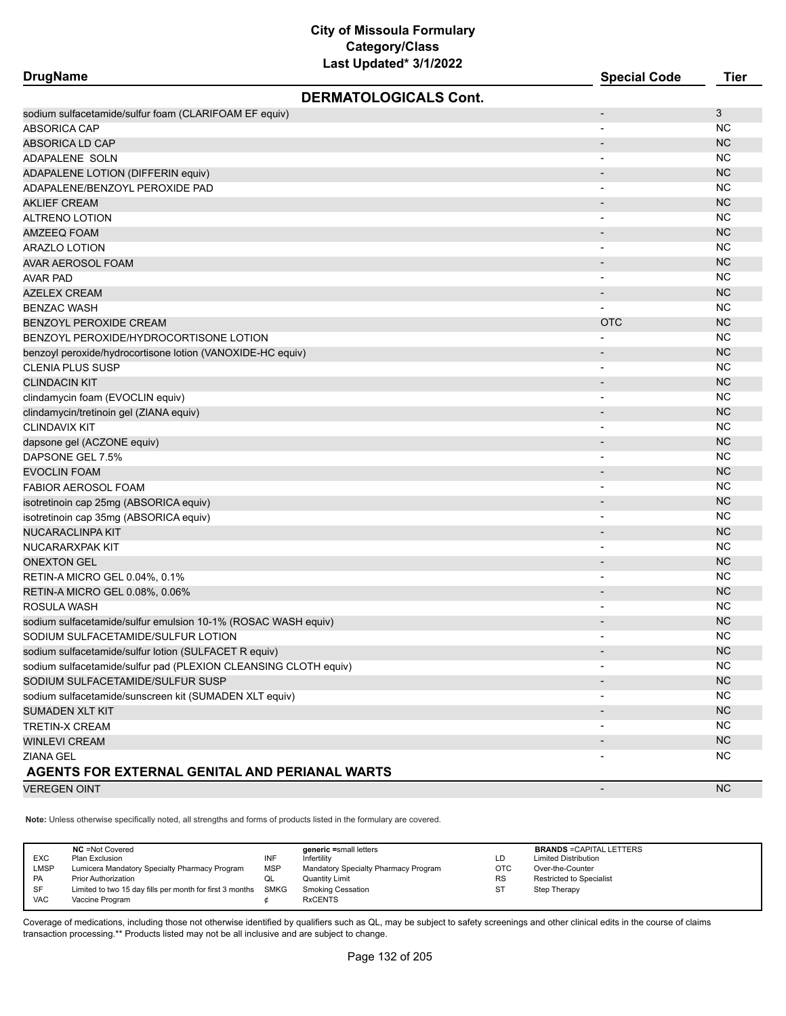| <b>DrugName</b>                                                 | Last Upuatou villevez        | <b>Special Code</b>      | <b>Tier</b> |
|-----------------------------------------------------------------|------------------------------|--------------------------|-------------|
|                                                                 | <b>DERMATOLOGICALS Cont.</b> |                          |             |
| sodium sulfacetamide/sulfur foam (CLARIFOAM EF equiv)           |                              |                          | 3           |
| <b>ABSORICA CAP</b>                                             |                              |                          | ΝC          |
| ABSORICA LD CAP                                                 |                              |                          | <b>NC</b>   |
| ADAPALENE SOLN                                                  |                              |                          | <b>NC</b>   |
| ADAPALENE LOTION (DIFFERIN equiv)                               |                              |                          | <b>NC</b>   |
| ADAPALENE/BENZOYL PEROXIDE PAD                                  |                              |                          | ΝC          |
| <b>AKLIEF CREAM</b>                                             |                              |                          | <b>NC</b>   |
| ALTRENO LOTION                                                  |                              |                          | <b>NC</b>   |
| AMZEEQ FOAM                                                     |                              |                          | <b>NC</b>   |
| ARAZLO LOTION                                                   |                              |                          | NC          |
| AVAR AEROSOL FOAM                                               |                              |                          | <b>NC</b>   |
| <b>AVAR PAD</b>                                                 |                              |                          | <b>NC</b>   |
| AZELEX CREAM                                                    |                              | $\overline{\phantom{a}}$ | <b>NC</b>   |
| <b>BENZAC WASH</b>                                              |                              |                          | ΝC          |
| <b>BENZOYL PEROXIDE CREAM</b>                                   |                              | <b>OTC</b>               | <b>NC</b>   |
| BENZOYL PEROXIDE/HYDROCORTISONE LOTION                          |                              |                          | <b>NC</b>   |
| benzoyl peroxide/hydrocortisone lotion (VANOXIDE-HC equiv)      |                              |                          | <b>NC</b>   |
| <b>CLENIA PLUS SUSP</b>                                         |                              |                          | <b>NC</b>   |
| <b>CLINDACIN KIT</b>                                            |                              |                          | <b>NC</b>   |
| clindamycin foam (EVOCLIN equiv)                                |                              |                          | <b>NC</b>   |
| clindamycin/tretinoin gel (ZIANA equiv)                         |                              |                          | <b>NC</b>   |
| <b>CLINDAVIX KIT</b>                                            |                              |                          | NC          |
| dapsone gel (ACZONE equiv)                                      |                              |                          | <b>NC</b>   |
| DAPSONE GEL 7.5%                                                |                              |                          | <b>NC</b>   |
| <b>EVOCLIN FOAM</b>                                             |                              |                          | NC          |
| FABIOR AEROSOL FOAM                                             |                              | $\blacksquare$           | <b>NC</b>   |
| isotretinoin cap 25mg (ABSORICA equiv)                          |                              |                          | <b>NC</b>   |
| isotretinoin cap 35mg (ABSORICA equiv)                          |                              |                          | ΝC          |
| NUCARACLINPA KIT                                                |                              |                          | <b>NC</b>   |
| NUCARARXPAK KIT                                                 |                              | $\blacksquare$           | ΝC          |
| <b>ONEXTON GEL</b>                                              |                              |                          | <b>NC</b>   |
| RETIN-A MICRO GEL 0.04%, 0.1%                                   |                              | $\overline{\phantom{a}}$ | ΝC          |
| RETIN-A MICRO GEL 0.08%, 0.06%                                  |                              |                          | <b>NC</b>   |
| ROSULA WASH                                                     |                              | $\overline{\phantom{0}}$ | <b>NC</b>   |
| sodium sulfacetamide/sulfur emulsion 10-1% (ROSAC WASH equiv)   |                              |                          | <b>NC</b>   |
| SODIUM SULFACETAMIDE/SULFUR LOTION                              |                              |                          | <b>NC</b>   |
| sodium sulfacetamide/sulfur lotion (SULFACET R equiv)           |                              |                          | <b>NC</b>   |
| sodium sulfacetamide/sulfur pad (PLEXION CLEANSING CLOTH equiv) |                              |                          | NC.         |
| SODIUM SULFACETAMIDE/SULFUR SUSP                                |                              |                          | <b>NC</b>   |
| sodium sulfacetamide/sunscreen kit (SUMADEN XLT equiv)          |                              |                          | <b>NC</b>   |
| SUMADEN XLT KIT                                                 |                              |                          | NC          |
| TRETIN-X CREAM                                                  |                              |                          | NC.         |
| WINLEVI CREAM                                                   |                              |                          | <b>NC</b>   |
| ZIANA GEL                                                       |                              |                          | <b>NC</b>   |
| AGENTS FOR EXTERNAL GENITAL AND PERIANAL WARTS                  |                              |                          |             |
| <b>VEREGEN OINT</b>                                             |                              |                          | <b>NC</b>   |
|                                                                 |                              |                          |             |

**Note:** Unless otherwise specifically noted, all strengths and forms of products listed in the formulary are covered.

| <b>EXC</b><br><b>LMSP</b><br><b>PA</b> | <b>NC</b> =Not Covered<br>Plan Exclusion<br>Lumicera Mandatory Specialty Pharmacy Program<br><b>Prior Authorization</b> | INF<br><b>MSP</b> | generic =small letters<br>Infertility<br>Mandatory Specialty Pharmacy Program<br><b>Quantity Limit</b> | LD<br>OTC<br><b>RS</b> | <b>BRANDS = CAPITAL LETTERS</b><br><b>Limited Distribution</b><br>Over-the-Counter<br>Restricted to Specialist |
|----------------------------------------|-------------------------------------------------------------------------------------------------------------------------|-------------------|--------------------------------------------------------------------------------------------------------|------------------------|----------------------------------------------------------------------------------------------------------------|
| SF<br><b>VAC</b>                       | Limited to two 15 day fills per month for first 3 months<br>Vaccine Program                                             | SMKG              | <b>Smoking Cessation</b><br><b>RxCENTS</b>                                                             | S٦                     | Step Therapy                                                                                                   |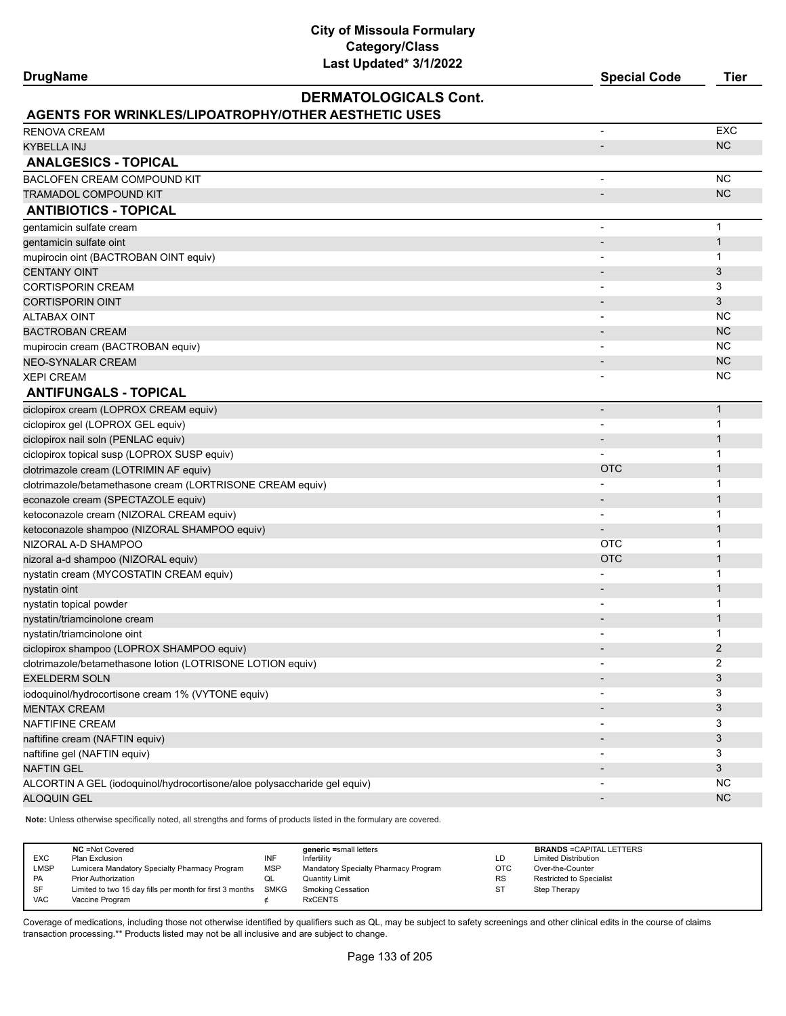**Last Updated\* 3/1/2022 DrugName Special Code Tier DERMATOLOGICALS Cont. AGENTS FOR WRINKLES/LIPOATROPHY/OTHER AESTHETIC USES** RENOVA CREAM - EXC KYBELLA INJ NASA NA MARANJI NA MARANJI NA MARANJI NA MARANJI NA MARANJI NA MARANJI NA MARANJI NA MARANJI NA MA **ANALGESICS - TOPICAL** BACLOFEN CREAM COMPOUND KIT A LOCAL COMPOUND AND RELATIONSHIP OF THE RELATIONSHIP OF THE RELATIONSHIP OF THE RELATIONSHIP OF THE RELATIONSHIP OF THE RELATIONSHIP OF THE RELATIONSHIP OF THE RELATIONSHIP OF THE RELATIONSHIP TRAMADOL COMPOUND KIT AND A RELEASED ON A SERIES OF THE CONTROL COMPOUND AND THE COMPOUND KIT **ANTIBIOTICS - TOPICAL** gentamicin sulfate cream and the set of the set of the set of the set of the set of the set of the set of the set of the set of the set of the set of the set of the set of the set of the set of the set of the set of the se gentamicin sulfate oint - 1 mupirocin oint (BACTROBAN OINT equiv) - 1  $\sim$  CENTANY OINT  $\sim$  3 CORTISPORIN CREAM  $\overline{\phantom{a}}$  3 CORTISPORIN OINT **And Alternative Contract Contract Contract Contract Contract Contract Contract Contract Contract Contract Contract Contract Contract Contract Contract Contract Contract Contract Contract Contract Contract** ALTABAX OINT - NC BACTROBAN CREAM AND REACHER CREATED AND RELEASED FOR THE CREATED AT A RELEASED FOR THE CREATED AND RELEASED FOR mupirocin cream (BACTROBAN equiv) and the control of the control of the control of the control of the control of the control of the control of the control of the control of the control of the control of the control of the NEO-SYNALAR CREAM AND THE REAL PROPERTY OF THE REAL PROPERTY OF THE REAL PROPERTY OF THE REAL PROPERTY OF THE REAL PROPERTY OF THE REAL PROPERTY OF THE REAL PROPERTY OF THE REAL PROPERTY OF THE REAL PROPERTY OF THE REAL PR XEPI CREAM - NC **ANTIFUNGALS - TOPICAL** ciclopirox cream (LOPROX CREAM equiv) - 1 ciclopirox gel (LOPROX GEL equiv) and the contract of the contract of the contract of the contract of the contract of the contract of the contract of the contract of the contract of the contract of the contract of the cont ciclopirox nail soln (PENLAC equiv) - 1 ciclopirox topical susp (LOPROX SUSP equiv) - 1 clotrimazole cream (LOTRIMIN AF equiv) and the control of the control of the control of the control of the control of the control of the control of the control of the control of the control of the control of the control of clotrimazole/betamethasone cream (LORTRISONE CREAM equiv) - 1 econazole cream (SPECTAZOLE equiv) and the contract of the contract of the contract of the contract of the contract of the contract of the contract of the contract of the contract of the contract of the contract of the con ketoconazole cream (NIZORAL CREAM equiv) and the state of the state of the state of the state of the state of the state of the state of the state of the state of the state of the state of the state of the state of the stat ketoconazole shampoo (NIZORAL SHAMPOO equiv) - 1 NIZORAL A-D SHAMPOO OTC 1 nizoral a-d shampoo (NIZORAL equiv) and the control of the control of the control of the control of the control of the control of the control of the control of the control of the control of the control of the control of th nystatin cream (MYCOSTATIN CREAM equiv) and the control of the control of the control of the control of the control of the control of the control of the control of the control of the control of the control of the control o nystatin oint - 1999 - 1999 - 1999 - 1999 - 1999 - 1999 - 1999 - 1999 - 1999 - 1999 - 1999 - 1999 - 1999 - 199 nystatin topical powder - 1 and 1 and 1 and 1 and 1 and 1 and 1 and 1 and 1 and 1 and 1 and 1 and 1 and 1 and 1 nystatin/triamcinolone cream - 1 nystatin/triamcinolone oint and the state of the state of the state of the state of the state of the state of the state of the state of the state of the state of the state of the state of the state of the state of the stat ciclopirox shampoo (LOPROX SHAMPOO equiv) - 2 clotrimazole/betamethasone lotion (LOTRISONE LOTION equiv) - 2 EXELDERM SOLN  $\overline{3}$ iodoquinol/hydrocortisone cream 1% (VYTONE equiv) - 3 MENTAX CREAM - 3 NAFTIFINE CREAM  $\sim$  3 naftifine cream (NAFTIN equiv) - 3 And 2012 12: 2013 12: 2014 12: 3 And 2012 12: 3 And 2013 12: 3 And 2013 12: 3 And 2013 12: 3 And 2013 12: 3 And 2013 12: 3 And 2013 12: 3 And 2013 12: 3 And 2013 12: 3 And 2013 12: 3 And naftifine gel (NAFTIN equiv) - 3 NAFTIN GEL - 3 ALCORTIN A GEL (iodoquinol/hydrocortisone/aloe polysaccharide gel equiv) and the material of the control of the material of the NC ALOQUIN GEL AND A RESIDENCE OF THE SERVICE OF THE SERVICE OF THE SERVICE OF THE SERVICE OF THE SERVICE OF THE S

**Note:** Unless otherwise specifically noted, all strengths and forms of products listed in the formulary are covered.

| <b>EXC</b><br>LMSP<br>PA<br>SF | <b>NC</b> = Not Covered<br>Plan Exclusion<br>Lumicera Mandatory Specialty Pharmacy Program<br><b>Prior Authorization</b><br>Limited to two 15 day fills per month for first 3 months | INF<br><b>MSP</b><br>QL<br>SMKG | generic =small letters<br>Infertility<br>Mandatory Specialty Pharmacy Program<br>Quantity Limit<br><b>Smoking Cessation</b> | LD<br>OTC<br><b>RS</b><br>-ST | <b>BRANDS = CAPITAL LETTERS</b><br><b>Limited Distribution</b><br>Over-the-Counter<br><b>Restricted to Specialist</b><br>Step Therapy |
|--------------------------------|--------------------------------------------------------------------------------------------------------------------------------------------------------------------------------------|---------------------------------|-----------------------------------------------------------------------------------------------------------------------------|-------------------------------|---------------------------------------------------------------------------------------------------------------------------------------|
| <b>VAC</b>                     | Vaccine Program                                                                                                                                                                      |                                 | <b>RxCENTS</b>                                                                                                              |                               |                                                                                                                                       |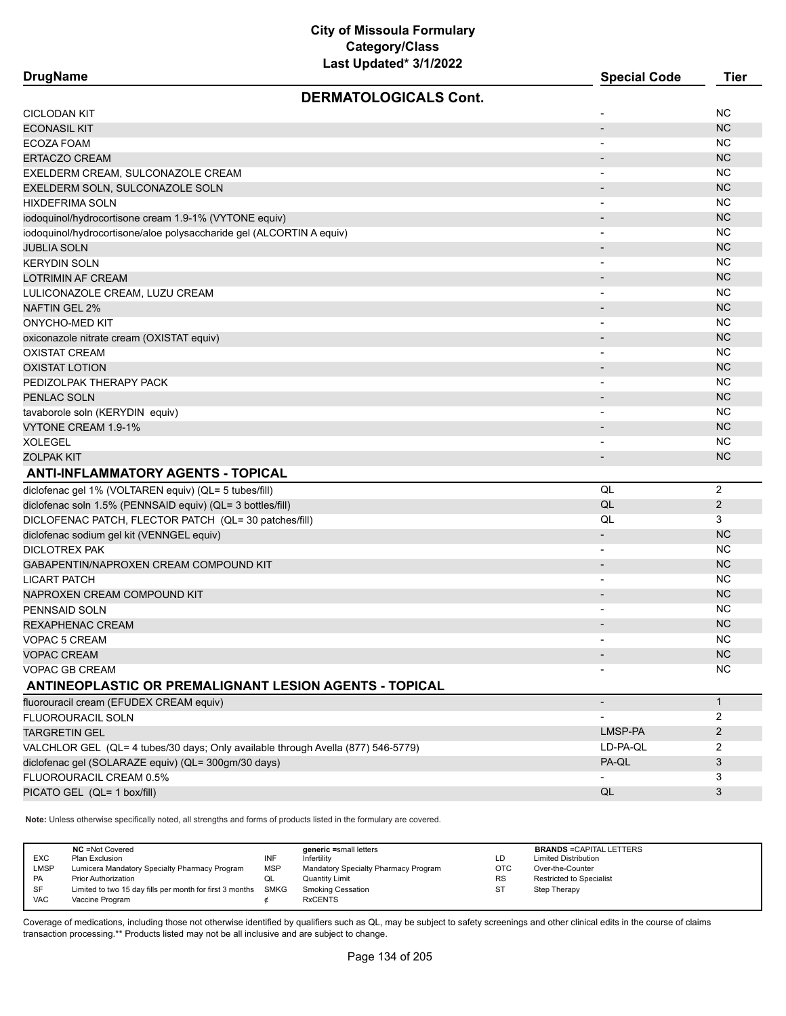| Last Updated <sup>*</sup> 3/1/2022<br><b>DrugName</b>                            |                          |                |
|----------------------------------------------------------------------------------|--------------------------|----------------|
|                                                                                  | <b>Special Code</b>      | <b>Tier</b>    |
| <b>DERMATOLOGICALS Cont.</b>                                                     |                          |                |
| CICLODAN KIT                                                                     |                          | <b>NC</b>      |
| <b>ECONASIL KIT</b>                                                              |                          | <b>NC</b>      |
| ECOZA FOAM                                                                       |                          | <b>NC</b>      |
| <b>ERTACZO CREAM</b>                                                             |                          | <b>NC</b>      |
| EXELDERM CREAM, SULCONAZOLE CREAM                                                | $\overline{\phantom{a}}$ | <b>NC</b>      |
| EXELDERM SOLN, SULCONAZOLE SOLN                                                  | $\overline{\phantom{0}}$ | <b>NC</b>      |
| HIXDEFRIMA SOLN                                                                  | $\overline{\phantom{a}}$ | <b>NC</b>      |
| iodoquinol/hydrocortisone cream 1.9-1% (VYTONE equiv)                            |                          | <b>NC</b>      |
| iodoquinol/hydrocortisone/aloe polysaccharide gel (ALCORTIN A equiv)             | $\overline{\phantom{a}}$ | <b>NC</b>      |
| <b>JUBLIA SOLN</b>                                                               |                          | <b>NC</b>      |
| <b>KERYDIN SOLN</b>                                                              |                          | <b>NC</b>      |
| LOTRIMIN AF CREAM                                                                |                          | <b>NC</b>      |
| LULICONAZOLE CREAM, LUZU CREAM                                                   |                          | <b>NC</b>      |
| NAFTIN GEL 2%                                                                    |                          | <b>NC</b>      |
| ONYCHO-MED KIT                                                                   | $\overline{\phantom{a}}$ | <b>NC</b>      |
| oxiconazole nitrate cream (OXISTAT equiv)                                        |                          | <b>NC</b>      |
| <b>OXISTAT CREAM</b>                                                             |                          | <b>NC</b>      |
| <b>OXISTAT LOTION</b>                                                            | $\overline{\phantom{a}}$ | <b>NC</b>      |
| PEDIZOLPAK THERAPY PACK                                                          |                          | <b>NC</b>      |
| PENLAC SOLN                                                                      |                          | <b>NC</b>      |
| tavaborole soln (KERYDIN equiv)                                                  |                          | <b>NC</b>      |
| VYTONE CREAM 1.9-1%                                                              | $\overline{\phantom{a}}$ | <b>NC</b>      |
| XOLEGEL                                                                          | $\overline{\phantom{a}}$ | <b>NC</b>      |
| <b>ZOLPAK KIT</b>                                                                |                          | <b>NC</b>      |
| <b>ANTI-INFLAMMATORY AGENTS - TOPICAL</b>                                        |                          |                |
| diclofenac gel 1% (VOLTAREN equiv) (QL= 5 tubes/fill)                            | QL                       | 2              |
| diclofenac soln 1.5% (PENNSAID equiv) (QL= 3 bottles/fill)                       | QL                       | $\overline{2}$ |
| DICLOFENAC PATCH, FLECTOR PATCH (QL= 30 patches/fill)                            | QL                       | 3              |
| diclofenac sodium gel kit (VENNGEL equiv)                                        | $\overline{\phantom{a}}$ | <b>NC</b>      |
| DICLOTREX PAK                                                                    | $\overline{\phantom{a}}$ | <b>NC</b>      |
| GABAPENTIN/NAPROXEN CREAM COMPOUND KIT                                           |                          | <b>NC</b>      |
| LICART PATCH                                                                     |                          | <b>NC</b>      |
| NAPROXEN CREAM COMPOUND KIT                                                      |                          | <b>NC</b>      |
| PENNSAID SOLN                                                                    |                          | <b>NC</b>      |
| REXAPHENAC CREAM                                                                 |                          | <b>NC</b>      |
| VOPAC 5 CREAM                                                                    |                          | <b>NC</b>      |
| VOPAC CREAM                                                                      |                          | <b>NC</b>      |
| VOPAC GB CREAM                                                                   |                          | NC             |
| ANTINEOPLASTIC OR PREMALIGNANT LESION AGENTS - TOPICAL                           |                          |                |
| fluorouracil cream (EFUDEX CREAM equiv)                                          | $\overline{\phantom{a}}$ | $\mathbf{1}$   |
| FLUOROURACIL SOLN                                                                |                          | 2              |
| <b>TARGRETIN GEL</b>                                                             | LMSP-PA                  | $\overline{2}$ |
| VALCHLOR GEL (QL= 4 tubes/30 days; Only available through Avella (877) 546-5779) | LD-PA-QL                 | 2              |
| diclofenac gel (SOLARAZE equiv) (QL= 300gm/30 days)                              | PA-QL                    | $\mathfrak{Z}$ |
| FLUOROURACIL CREAM 0.5%                                                          |                          | 3              |
| PICATO GEL (QL= 1 box/fill)                                                      | QL                       | 3              |
|                                                                                  |                          |                |

**Note:** Unless otherwise specifically noted, all strengths and forms of products listed in the formulary are covered.

| <b>EXC</b><br><b>LMSP</b><br>PA<br>SF | <b>NC</b> = Not Covered<br>Plan Exclusion<br>Lumicera Mandatory Specialty Pharmacy Program<br><b>Prior Authorization</b><br>Limited to two 15 day fills per month for first 3 months | INF<br><b>MSP</b><br>QL<br>SMKG | generic =small letters<br>Infertility<br>Mandatory Specialty Pharmacy Program<br>Quantity Limit<br><b>Smoking Cessation</b> | LD<br>OTC<br><b>RS</b><br>-ST | <b>BRANDS = CAPITAL LETTERS</b><br><b>Limited Distribution</b><br>Over-the-Counter<br><b>Restricted to Specialist</b><br>Step Therapy |
|---------------------------------------|--------------------------------------------------------------------------------------------------------------------------------------------------------------------------------------|---------------------------------|-----------------------------------------------------------------------------------------------------------------------------|-------------------------------|---------------------------------------------------------------------------------------------------------------------------------------|
| <b>VAC</b>                            | Vaccine Program                                                                                                                                                                      |                                 | <b>RxCENTS</b>                                                                                                              |                               |                                                                                                                                       |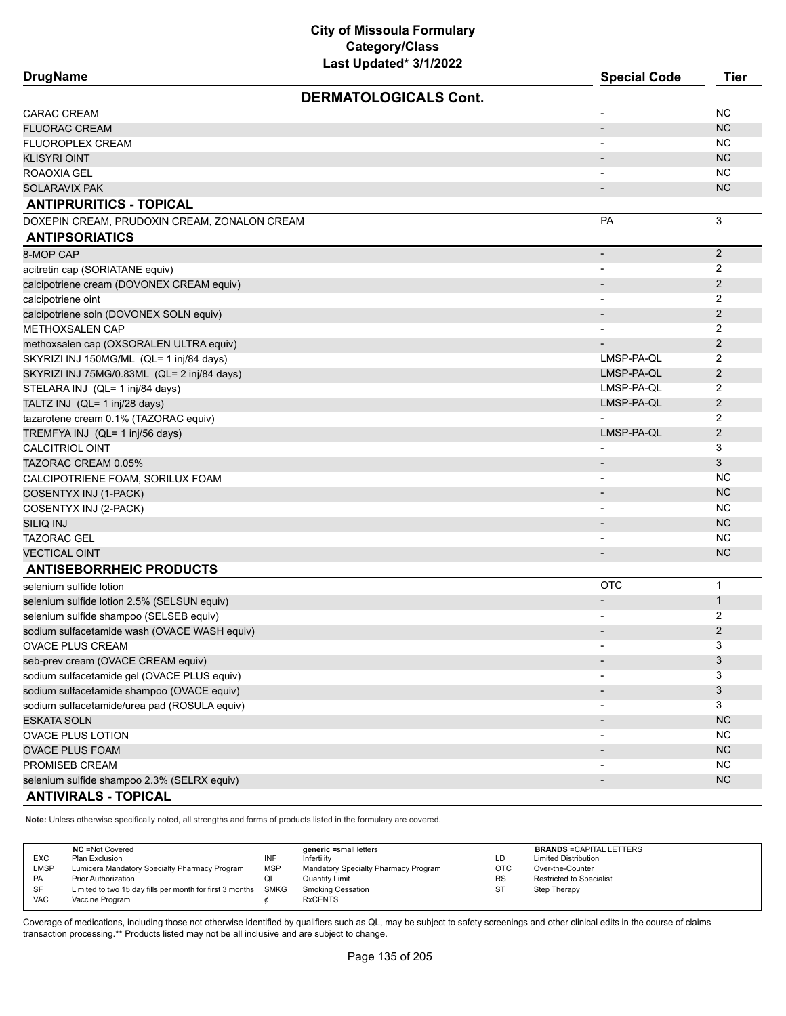**DrugName Special Code Tier**

| <b>DERMATOLOGICALS Cont.</b>                                   |                              |                |
|----------------------------------------------------------------|------------------------------|----------------|
| <b>CARAC CREAM</b>                                             |                              | <b>NC</b>      |
| <b>FLUORAC CREAM</b>                                           | $\overline{\phantom{a}}$     | <b>NC</b>      |
| FLUOROPLEX CREAM                                               | $\overline{\phantom{0}}$     | <b>NC</b>      |
| <b>KLISYRI OINT</b>                                            |                              | <b>NC</b>      |
| ROAOXIA GEL                                                    |                              | <b>NC</b>      |
| <b>SOLARAVIX PAK</b>                                           |                              | <b>NC</b>      |
| <b>ANTIPRURITICS - TOPICAL</b>                                 |                              |                |
| DOXEPIN CREAM, PRUDOXIN CREAM, ZONALON CREAM                   | PA                           | $\mathbf{3}$   |
| <b>ANTIPSORIATICS</b>                                          |                              |                |
| 8-MOP CAP                                                      | $\blacksquare$               | $2^{\circ}$    |
| acitretin cap (SORIATANE equiv)                                |                              | 2              |
| calcipotriene cream (DOVONEX CREAM equiv)                      |                              | $\overline{2}$ |
| calcipotriene oint                                             |                              | 2              |
| calcipotriene soln (DOVONEX SOLN equiv)                        |                              | $\overline{2}$ |
| <b>METHOXSALEN CAP</b>                                         |                              | 2              |
| methoxsalen cap (OXSORALEN ULTRA equiv)                        |                              | $\overline{2}$ |
| SKYRIZI INJ 150MG/ML (QL= 1 inj/84 days)                       | LMSP-PA-QL                   | 2              |
| SKYRIZI INJ 75MG/0.83ML (QL= 2 inj/84 days)                    | LMSP-PA-QL                   | $\overline{2}$ |
| STELARA INJ (QL= 1 inj/84 days)                                | LMSP-PA-QL                   | $\overline{2}$ |
| TALTZ INJ (QL= 1 inj/28 days)                                  | LMSP-PA-QL                   | $\overline{2}$ |
| tazarotene cream 0.1% (TAZORAC equiv)                          |                              | 2              |
| TREMFYA INJ (QL= 1 inj/56 days)                                | LMSP-PA-QL                   | $\overline{2}$ |
| <b>CALCITRIOL OINT</b>                                         |                              | 3              |
| TAZORAC CREAM 0.05%                                            |                              | 3              |
| CALCIPOTRIENE FOAM, SORILUX FOAM                               |                              | <b>NC</b>      |
| COSENTYX INJ (1-PACK)                                          | $\overline{\phantom{a}}$     | <b>NC</b>      |
| COSENTYX INJ (2-PACK)                                          | $\blacksquare$               | <b>NC</b>      |
| SILIQ INJ                                                      | $\overline{\phantom{a}}$     | <b>NC</b>      |
| <b>TAZORAC GEL</b>                                             |                              | <b>NC</b>      |
| <b>VECTICAL OINT</b>                                           | $\qquad \qquad \blacksquare$ | <b>NC</b>      |
| <b>ANTISEBORRHEIC PRODUCTS</b>                                 |                              |                |
| selenium sulfide lotion                                        | <b>OTC</b>                   | $\mathbf{1}$   |
| selenium sulfide lotion 2.5% (SELSUN equiv)                    | $\overline{\phantom{m}}$     | $\mathbf{1}$   |
| selenium sulfide shampoo (SELSEB equiv)                        |                              | 2              |
| sodium sulfacetamide wash (OVACE WASH equiv)                   | $\overline{\phantom{a}}$     | $\overline{2}$ |
| OVACE PLUS CREAM                                               |                              | 3              |
| $\mathsf{Coh}$ provesses $\mathsf{ONACT}$ CDFAM $\mathsf{Coh}$ |                              | $\mathbf{r}$   |

| <b>OVACE PLUS CREAM</b>                      |           |
|----------------------------------------------|-----------|
| seb-prev cream (OVACE CREAM equiv)           |           |
| sodium sulfacetamide gel (OVACE PLUS equiv)  |           |
| sodium sulfacetamide shampoo (OVACE equiv)   |           |
| sodium sulfacetamide/urea pad (ROSULA equiv) |           |
| <b>ESKATA SOLN</b>                           | NC.       |
| <b>OVACE PLUS LOTION</b>                     | <b>NC</b> |
| <b>OVACE PLUS FOAM</b>                       | NC.       |
| PROMISEB CREAM                               | <b>NC</b> |
| selenium sulfide shampoo 2.3% (SELRX equiv)  | NC.       |
| <b>ANTIVIRALS - TOPICAL</b>                  |           |

**Note:** Unless otherwise specifically noted, all strengths and forms of products listed in the formulary are covered.

|            | <b>NC</b> = Not Covered                                       |            | generic =small letters               |            | <b>BRANDS = CAPITAL LETTERS</b> |
|------------|---------------------------------------------------------------|------------|--------------------------------------|------------|---------------------------------|
| EXC        | Plan Exclusion                                                | INF        | Infertility                          | LD         | <b>Limited Distribution</b>     |
| LMSP       | Lumicera Mandatory Specialty Pharmacy Program                 | <b>MSP</b> | Mandatory Specialty Pharmacy Program | <b>OTC</b> | Over-the-Counter                |
| PA         | <b>Prior Authorization</b>                                    | QL         | Quantity Limit                       | <b>RS</b>  | <b>Restricted to Specialist</b> |
| <b>SF</b>  | Limited to two 15 day fills per month for first 3 months SMKG |            | <b>Smoking Cessation</b>             | -ST        | Step Therapy                    |
| <b>VAC</b> | Vaccine Program                                               |            | <b>RxCENTS</b>                       |            |                                 |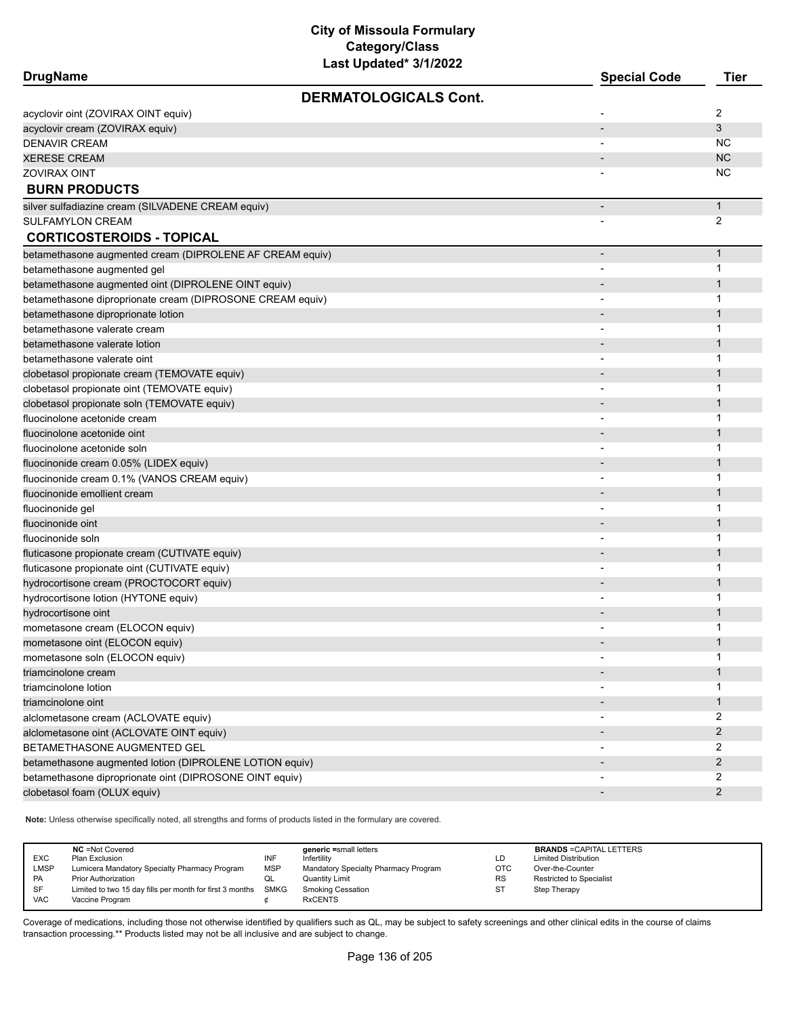| <b>DrugName</b>                                           | <b>Special Code</b>      | Tier           |
|-----------------------------------------------------------|--------------------------|----------------|
| <b>DERMATOLOGICALS Cont.</b>                              |                          |                |
| acyclovir oint (ZOVIRAX OINT equiv)                       |                          | 2              |
| acyclovir cream (ZOVIRAX equiv)                           |                          | 3              |
| <b>DENAVIR CREAM</b>                                      |                          | NC.            |
| <b>XERESE CREAM</b>                                       |                          | <b>NC</b>      |
| <b>ZOVIRAX OINT</b>                                       |                          | <b>NC</b>      |
| <b>BURN PRODUCTS</b>                                      |                          |                |
| silver sulfadiazine cream (SILVADENE CREAM equiv)         | $\overline{\phantom{a}}$ | $\mathbf{1}$   |
| <b>SULFAMYLON CREAM</b>                                   |                          | 2              |
| <b>CORTICOSTEROIDS - TOPICAL</b>                          |                          |                |
| betamethasone augmented cream (DIPROLENE AF CREAM equiv)  | $\overline{\phantom{a}}$ | $\mathbf{1}$   |
| betamethasone augmented gel                               |                          | 1              |
| betamethasone augmented oint (DIPROLENE OINT equiv)       |                          | 1              |
| betamethasone diproprionate cream (DIPROSONE CREAM equiv) |                          | 1              |
| betamethasone diproprionate lotion                        |                          | $\mathbf 1$    |
| betamethasone valerate cream                              |                          | 1              |
| betamethasone valerate lotion                             |                          | 1              |
| betamethasone valerate oint                               |                          | 1              |
| clobetasol propionate cream (TEMOVATE equiv)              |                          | 1              |
| clobetasol propionate oint (TEMOVATE equiv)               |                          | 1              |
| clobetasol propionate soln (TEMOVATE equiv)               |                          | 1              |
| fluocinolone acetonide cream                              |                          | 1              |
| fluocinolone acetonide oint                               |                          | $\mathbf 1$    |
| fluocinolone acetonide soln                               |                          | 1              |
| fluocinonide cream 0.05% (LIDEX equiv)                    |                          | $\mathbf 1$    |
| fluocinonide cream 0.1% (VANOS CREAM equiv)               |                          | 1              |
| fluocinonide emollient cream                              |                          | $\mathbf 1$    |
| fluocinonide gel                                          |                          | 1              |
| fluocinonide oint                                         |                          | $\mathbf 1$    |
| fluocinonide soln                                         |                          | 1              |
| fluticasone propionate cream (CUTIVATE equiv)             |                          | $\mathbf 1$    |
| fluticasone propionate oint (CUTIVATE equiv)              |                          | 1              |
| hydrocortisone cream (PROCTOCORT equiv)                   |                          | 1              |
| hydrocortisone lotion (HYTONE equiv)                      | $\blacksquare$           | 1              |
| hydrocortisone oint                                       |                          | 1              |
| mometasone cream (ELOCON equiv)                           |                          | 1              |
| mometasone oint (ELOCON equiv)                            |                          |                |
| mometasone soln (ELOCON equiv)                            |                          | 1              |
| triamcinolone cream                                       |                          | 1              |
| triamcinolone lotion                                      |                          | 1              |
| triamcinolone oint                                        |                          | 1              |
| alclometasone cream (ACLOVATE equiv)                      | $\overline{\phantom{a}}$ | $\overline{2}$ |
| alclometasone oint (ACLOVATE OINT equiv)                  |                          | $\overline{2}$ |
| BETAMETHASONE AUGMENTED GEL                               |                          | $\overline{2}$ |
| betamethasone augmented lotion (DIPROLENE LOTION equiv)   |                          | 2              |
| betamethasone diproprionate oint (DIPROSONE OINT equiv)   |                          | 2              |
| clobetasol foam (OLUX equiv)                              |                          | $\mathbf{2}$   |
|                                                           |                          |                |

**Note:** Unless otherwise specifically noted, all strengths and forms of products listed in the formulary are covered.

| EXC<br>LMSP<br>PA<br>SF | <b>NC</b> = Not Covered<br>Plan Exclusion<br>Lumicera Mandatory Specialty Pharmacy Program<br><b>Prior Authorization</b><br>Limited to two 15 day fills per month for first 3 months SMKG | INF<br><b>MSP</b><br>QL | generic =small letters<br>Infertility<br>Mandatory Specialty Pharmacy Program<br>Quantity Limit<br><b>Smoking Cessation</b> | LD<br><b>OTC</b><br><b>RS</b><br><b>ST</b> | <b>BRANDS = CAPITAL LETTERS</b><br><b>Limited Distribution</b><br>Over-the-Counter<br><b>Restricted to Specialist</b><br>Step Therapy |
|-------------------------|-------------------------------------------------------------------------------------------------------------------------------------------------------------------------------------------|-------------------------|-----------------------------------------------------------------------------------------------------------------------------|--------------------------------------------|---------------------------------------------------------------------------------------------------------------------------------------|
| <b>VAC</b>              | Vaccine Program                                                                                                                                                                           |                         | <b>RxCENTS</b>                                                                                                              |                                            |                                                                                                                                       |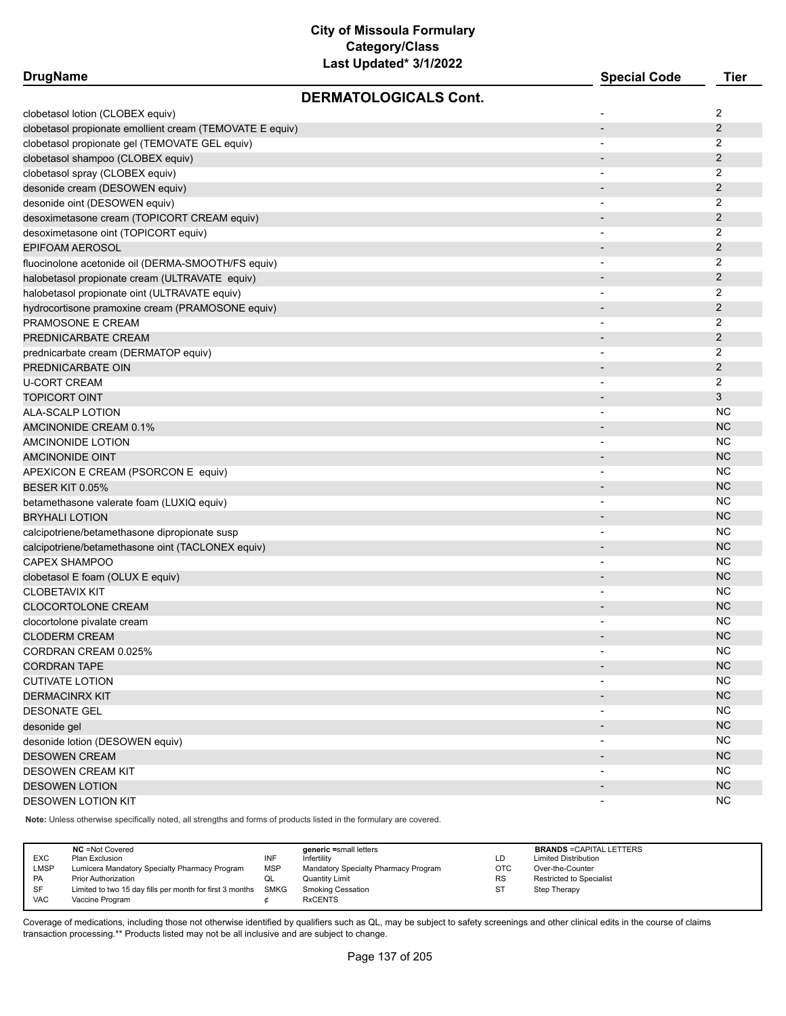| <b>DrugName</b>                                          |                              | <b>Special Code</b>      | <b>Tier</b>    |
|----------------------------------------------------------|------------------------------|--------------------------|----------------|
|                                                          | <b>DERMATOLOGICALS Cont.</b> |                          |                |
| clobetasol lotion (CLOBEX equiv)                         |                              |                          | 2              |
| clobetasol propionate emollient cream (TEMOVATE E equiv) |                              | $\blacksquare$           | $\overline{2}$ |
| clobetasol propionate gel (TEMOVATE GEL equiv)           |                              | $\overline{\phantom{a}}$ | 2              |
| clobetasol shampoo (CLOBEX equiv)                        |                              |                          | $\overline{2}$ |
| clobetasol spray (CLOBEX equiv)                          |                              | $\overline{\phantom{a}}$ | 2              |
| desonide cream (DESOWEN equiv)                           |                              |                          | $\overline{2}$ |
| desonide oint (DESOWEN equiv)                            |                              |                          | 2              |
| desoximetasone cream (TOPICORT CREAM equiv)              |                              |                          | $\overline{2}$ |
| desoximetasone oint (TOPICORT equiv)                     |                              |                          | 2              |
| EPIFOAM AEROSOL                                          |                              | $\overline{\phantom{a}}$ | $\overline{2}$ |
| fluocinolone acetonide oil (DERMA-SMOOTH/FS equiv)       |                              | $\blacksquare$           | 2              |
| halobetasol propionate cream (ULTRAVATE equiv)           |                              |                          | $\overline{2}$ |
| halobetasol propionate oint (ULTRAVATE equiv)            |                              |                          | 2              |
|                                                          |                              |                          | $\overline{2}$ |
| hydrocortisone pramoxine cream (PRAMOSONE equiv)         |                              |                          |                |
| PRAMOSONE E CREAM                                        |                              |                          | 2              |
| PREDNICARBATE CREAM                                      |                              |                          | 2              |
| prednicarbate cream (DERMATOP equiv)                     |                              |                          | 2              |
| PREDNICARBATE OIN                                        |                              |                          | $\overline{2}$ |
| U-CORT CREAM                                             |                              | $\overline{\phantom{a}}$ | 2              |
| TOPICORT OINT                                            |                              |                          | 3              |
| ALA-SCALP LOTION                                         |                              |                          | <b>NC</b>      |
| AMCINONIDE CREAM 0.1%                                    |                              |                          | <b>NC</b>      |
| AMCINONIDE LOTION                                        |                              | $\overline{\phantom{a}}$ | NC.            |
| AMCINONIDE OINT                                          |                              |                          | <b>NC</b>      |
| APEXICON E CREAM (PSORCON E equiv)                       |                              |                          | NC.            |
| BESER KIT 0.05%                                          |                              |                          | <b>NC</b>      |
| betamethasone valerate foam (LUXIQ equiv)                |                              | $\overline{\phantom{a}}$ | NC.            |
| <b>BRYHALI LOTION</b>                                    |                              |                          | <b>NC</b>      |
| calcipotriene/betamethasone dipropionate susp            |                              |                          | <b>NC</b>      |
| calcipotriene/betamethasone oint (TACLONEX equiv)        |                              |                          | <b>NC</b>      |
| <b>CAPEX SHAMPOO</b>                                     |                              | $\overline{\phantom{a}}$ | <b>NC</b>      |
| clobetasol E foam (OLUX E equiv)                         |                              |                          | <b>NC</b>      |
| <b>CLOBETAVIX KIT</b>                                    |                              |                          | <b>NC</b>      |
| <b>CLOCORTOLONE CREAM</b>                                |                              |                          | <b>NC</b>      |
| clocortolone pivalate cream                              |                              |                          | NC.            |
| <b>CLODERM CREAM</b>                                     |                              |                          | <b>NC</b>      |
| CORDRAN CREAM 0.025%                                     |                              | $\overline{\phantom{a}}$ | <b>NC</b>      |
| <b>CORDRAN TAPE</b>                                      |                              |                          | <b>NC</b>      |
| <b>CUTIVATE LOTION</b>                                   |                              | $\overline{\phantom{a}}$ | <b>NC</b>      |
| <b>DERMACINRX KIT</b>                                    |                              |                          | <b>NC</b>      |
| <b>DESONATE GEL</b>                                      |                              |                          | <b>NC</b>      |
| desonide gel                                             |                              |                          | <b>NC</b>      |
| desonide lotion (DESOWEN equiv)                          |                              |                          | <b>NC</b>      |
| <b>DESOWEN CREAM</b>                                     |                              | $\overline{\phantom{a}}$ | <b>NC</b>      |
| DESOWEN CREAM KIT                                        |                              | $\overline{\phantom{a}}$ | <b>NC</b>      |
| <b>DESOWEN LOTION</b>                                    |                              |                          | <b>NC</b>      |
| <b>DESOWEN LOTION KIT</b>                                |                              |                          | <b>NC</b>      |
|                                                          |                              | $\overline{\phantom{a}}$ |                |

**Note:** Unless otherwise specifically noted, all strengths and forms of products listed in the formulary are covered.

| <b>EXC</b><br><b>LMSP</b><br>PA | <b>NC</b> =Not Covered<br>Plan Exclusion<br>Lumicera Mandatory Specialty Pharmacy Program<br><b>Prior Authorization</b> | INF<br><b>MSP</b><br>QL | generic =small letters<br>Infertility<br>Mandatory Specialty Pharmacy Program<br><b>Quantity Limit</b> | LD<br>OTC<br><b>RS</b> | <b>BRANDS = CAPITAL LETTERS</b><br><b>Limited Distribution</b><br>Over-the-Counter<br>Restricted to Specialist |
|---------------------------------|-------------------------------------------------------------------------------------------------------------------------|-------------------------|--------------------------------------------------------------------------------------------------------|------------------------|----------------------------------------------------------------------------------------------------------------|
| SF<br><b>VAC</b>                | Limited to two 15 day fills per month for first 3 months<br>Vaccine Program                                             | <b>SMKG</b>             | <b>Smoking Cessation</b><br><b>RxCENTS</b>                                                             | <b>ST</b>              | Step Therapy                                                                                                   |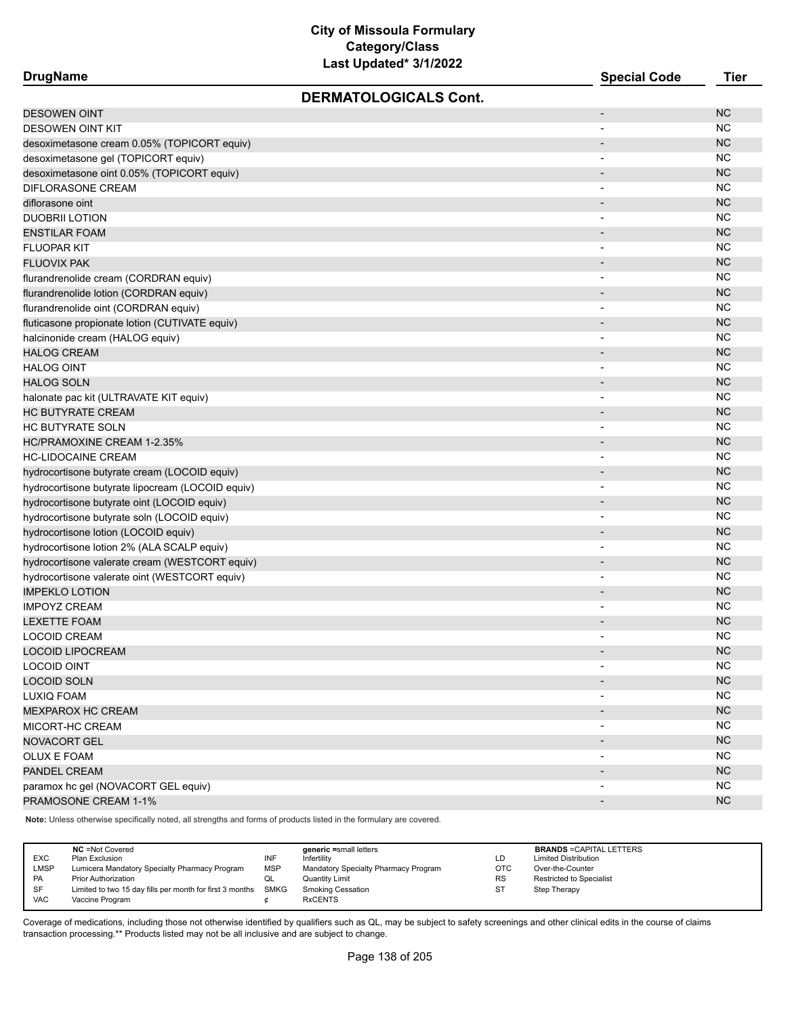| <b>DrugName</b> |  |
|-----------------|--|
|-----------------|--|

| <b>DrugName</b>                                  | <b>Special Code</b>      | Tier      |
|--------------------------------------------------|--------------------------|-----------|
| <b>DERMATOLOGICALS Cont.</b>                     |                          |           |
| <b>DESOWEN OINT</b>                              | $\overline{\phantom{a}}$ | <b>NC</b> |
| <b>DESOWEN OINT KIT</b>                          |                          | <b>NC</b> |
| desoximetasone cream 0.05% (TOPICORT equiv)      |                          | <b>NC</b> |
| desoximetasone gel (TOPICORT equiv)              |                          | <b>NC</b> |
| desoximetasone oint 0.05% (TOPICORT equiv)       | $\blacksquare$           | <b>NC</b> |
| DIFLORASONE CREAM                                |                          | <b>NC</b> |
| diflorasone oint                                 |                          | <b>NC</b> |
| <b>DUOBRII LOTION</b>                            |                          | <b>NC</b> |
| <b>ENSTILAR FOAM</b>                             |                          | <b>NC</b> |
| <b>FLUOPAR KIT</b>                               |                          | <b>NC</b> |
| <b>FLUOVIX PAK</b>                               |                          | <b>NC</b> |
| flurandrenolide cream (CORDRAN equiv)            |                          | <b>NC</b> |
| flurandrenolide lotion (CORDRAN equiv)           | $\overline{\phantom{a}}$ | <b>NC</b> |
| flurandrenolide oint (CORDRAN equiv)             | $\blacksquare$           | <b>NC</b> |
| fluticasone propionate lotion (CUTIVATE equiv)   |                          | <b>NC</b> |
| halcinonide cream (HALOG equiv)                  |                          | <b>NC</b> |
| <b>HALOG CREAM</b>                               |                          | <b>NC</b> |
| <b>HALOG OINT</b>                                | $\overline{\phantom{a}}$ | <b>NC</b> |
| <b>HALOG SOLN</b>                                | $\overline{\phantom{0}}$ | <b>NC</b> |
| halonate pac kit (ULTRAVATE KIT equiv)           | $\overline{a}$           | <b>NC</b> |
| <b>HC BUTYRATE CREAM</b>                         |                          | <b>NC</b> |
| <b>HC BUTYRATE SOLN</b>                          | $\overline{\phantom{a}}$ | <b>NC</b> |
| HC/PRAMOXINE CREAM 1-2.35%                       | $\blacksquare$           | <b>NC</b> |
| <b>HC-LIDOCAINE CREAM</b>                        |                          | <b>NC</b> |
| hydrocortisone butyrate cream (LOCOID equiv)     |                          | <b>NC</b> |
| hydrocortisone butyrate lipocream (LOCOID equiv) | $\overline{a}$           | <b>NC</b> |
| hydrocortisone butyrate oint (LOCOID equiv)      | $\overline{a}$           | <b>NC</b> |
| hydrocortisone butyrate soln (LOCOID equiv)      | $\overline{\phantom{a}}$ | <b>NC</b> |
| hydrocortisone lotion (LOCOID equiv)             |                          | <b>NC</b> |
| hydrocortisone lotion 2% (ALA SCALP equiv)       | $\overline{\phantom{a}}$ | <b>NC</b> |
| hydrocortisone valerate cream (WESTCORT equiv)   | $\blacksquare$           | <b>NC</b> |
| hydrocortisone valerate oint (WESTCORT equiv)    |                          | <b>NC</b> |
| <b>IMPEKLO LOTION</b>                            |                          | <b>NC</b> |
| <b>IMPOYZ CREAM</b>                              |                          | <b>NC</b> |
| <b>LEXETTE FOAM</b>                              |                          | <b>NC</b> |
| <b>LOCOID CREAM</b>                              | $\overline{a}$           | <b>NC</b> |
| <b>LOCOID LIPOCREAM</b>                          |                          | <b>NC</b> |
| <b>LOCOID OINT</b>                               |                          | <b>NC</b> |
| <b>LOCOID SOLN</b>                               |                          | NC        |
| LUXIQ FOAM                                       |                          | NC        |
| <b>MEXPAROX HC CREAM</b>                         |                          | NC        |
| MICORT-HC CREAM                                  |                          | NC        |
| NOVACORT GEL                                     |                          | NC        |
| <b>OLUX E FOAM</b>                               |                          | NC        |
| PANDEL CREAM                                     |                          | NC        |
| paramox hc gel (NOVACORT GEL equiv)              |                          | NC        |
| PRAMOSONE CREAM 1-1%                             |                          | <b>NC</b> |
|                                                  |                          |           |

**Note:** Unless otherwise specifically noted, all strengths and forms of products listed in the formulary are covered.

| <b>EXC</b><br><b>LMSP</b><br><b>PA</b><br>SF | <b>NC</b> = Not Covered<br>Plan Exclusion<br>Lumicera Mandatory Specialty Pharmacy Program<br><b>Prior Authorization</b><br>Limited to two 15 day fills per month for first 3 months SMKG | INF<br><b>MSP</b><br>QL | generic =small letters<br>Infertility<br>Mandatory Specialty Pharmacy Program<br><b>Quantity Limit</b><br><b>Smoking Cessation</b> | LD<br>OTC<br><b>RS</b><br>S. | <b>BRANDS = CAPITAL LETTERS</b><br><b>Limited Distribution</b><br>Over-the-Counter<br>Restricted to Specialist<br>Step Therapy |
|----------------------------------------------|-------------------------------------------------------------------------------------------------------------------------------------------------------------------------------------------|-------------------------|------------------------------------------------------------------------------------------------------------------------------------|------------------------------|--------------------------------------------------------------------------------------------------------------------------------|
| <b>VAC</b>                                   | Vaccine Program                                                                                                                                                                           |                         | <b>RxCENTS</b>                                                                                                                     |                              |                                                                                                                                |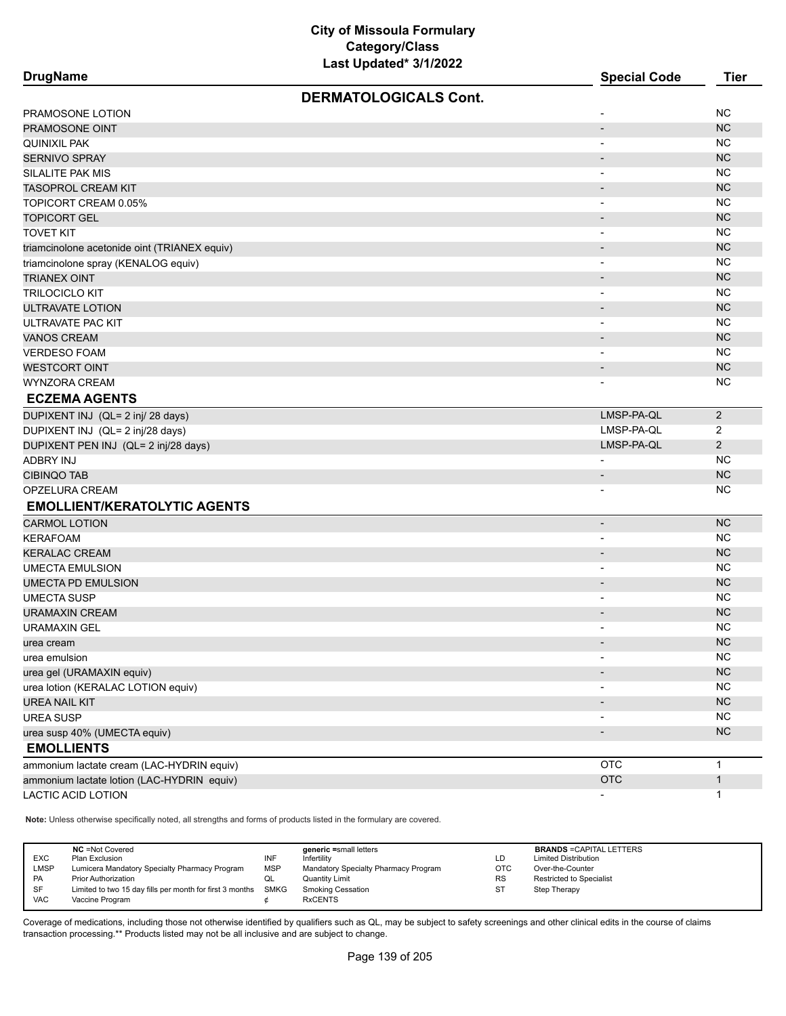| <b>DrugName</b>                              |                              | <b>Special Code</b>      | <b>Tier</b>    |
|----------------------------------------------|------------------------------|--------------------------|----------------|
|                                              | <b>DERMATOLOGICALS Cont.</b> |                          |                |
| PRAMOSONE LOTION                             |                              |                          | <b>NC</b>      |
| PRAMOSONE OINT                               |                              | $\overline{\phantom{0}}$ | NC             |
| QUINIXIL PAK                                 |                              | $\blacksquare$           | <b>NC</b>      |
| <b>SERNIVO SPRAY</b>                         |                              |                          | NC             |
| SILALITE PAK MIS                             |                              |                          | <b>NC</b>      |
| <b>TASOPROL CREAM KIT</b>                    |                              | $\overline{\phantom{a}}$ | <b>NC</b>      |
| TOPICORT CREAM 0.05%                         |                              | $\overline{\phantom{a}}$ | <b>NC</b>      |
| <b>TOPICORT GEL</b>                          |                              |                          | <b>NC</b>      |
| <b>TOVET KIT</b>                             |                              |                          | <b>NC</b>      |
| triamcinolone acetonide oint (TRIANEX equiv) |                              | $\overline{\phantom{a}}$ | <b>NC</b>      |
| triamcinolone spray (KENALOG equiv)          |                              | ٠                        | <b>NC</b>      |
| <b>TRIANEX OINT</b>                          |                              | $\overline{\phantom{a}}$ | <b>NC</b>      |
| TRILOCICLO KIT                               |                              | $\overline{\phantom{a}}$ | <b>NC</b>      |
| <b>ULTRAVATE LOTION</b>                      |                              |                          | <b>NC</b>      |
| ULTRAVATE PAC KIT                            |                              | $\blacksquare$           | <b>NC</b>      |
| <b>VANOS CREAM</b>                           |                              |                          | <b>NC</b>      |
| <b>VERDESO FOAM</b>                          |                              |                          | <b>NC</b>      |
| <b>WESTCORT OINT</b>                         |                              |                          | <b>NC</b>      |
| WYNZORA CREAM                                |                              |                          | <b>NC</b>      |
| <b>ECZEMA AGENTS</b>                         |                              |                          |                |
| DUPIXENT INJ (QL= 2 inj/ 28 days)            |                              | LMSP-PA-QL               | $\overline{2}$ |
| DUPIXENT INJ (QL= 2 inj/28 days)             |                              | LMSP-PA-QL               | $\overline{2}$ |
| DUPIXENT PEN INJ (QL= 2 inj/28 days)         |                              | LMSP-PA-QL               | $\overline{2}$ |
| ADBRY INJ                                    |                              |                          | <b>NC</b>      |
| <b>CIBINQO TAB</b>                           |                              |                          | <b>NC</b>      |
| OPZELURA CREAM                               |                              |                          | <b>NC</b>      |
| <b>EMOLLIENT/KERATOLYTIC AGENTS</b>          |                              |                          |                |
| <b>CARMOL LOTION</b>                         |                              | $\overline{\phantom{a}}$ | <b>NC</b>      |
| KERAFOAM                                     |                              |                          | <b>NC</b>      |
| <b>KERALAC CREAM</b>                         |                              |                          | <b>NC</b>      |
| <b>UMECTA EMULSION</b>                       |                              |                          | <b>NC</b>      |
| UMECTA PD EMULSION                           |                              |                          | <b>NC</b>      |
| UMECTA SUSP                                  |                              | $\blacksquare$           | NC             |
| <b>URAMAXIN CREAM</b>                        |                              |                          | <b>NC</b>      |
| URAMAXIN GEL                                 |                              |                          | <b>NC</b>      |
| urea cream                                   |                              |                          | ${\sf NC}$     |
| urea emulsion                                |                              |                          | <b>NC</b>      |
| urea gel (URAMAXIN equiv)                    |                              |                          | <b>NC</b>      |
| urea lotion (KERALAC LOTION equiv)           |                              |                          | <b>NC</b>      |
| <b>UREA NAIL KIT</b>                         |                              |                          | NC             |
| UREA SUSP                                    |                              |                          | <b>NC</b>      |
| urea susp 40% (UMECTA equiv)                 |                              |                          | <b>NC</b>      |
| <b>EMOLLIENTS</b>                            |                              |                          |                |
| ammonium lactate cream (LAC-HYDRIN equiv)    |                              | <b>OTC</b>               | 1              |
| ammonium lactate lotion (LAC-HYDRIN equiv)   |                              | <b>OTC</b>               | $\mathbf{1}$   |
| LACTIC ACID LOTION                           |                              |                          | $\mathbf 1$    |

**Note:** Unless otherwise specifically noted, all strengths and forms of products listed in the formulary are covered.

| <b>EXC</b><br><b>LMSP</b><br>PA | <b>NC</b> = Not Covered<br>Plan Exclusion<br>Lumicera Mandatory Specialty Pharmacy Program<br><b>Prior Authorization</b> | INF<br><b>MSP</b><br>QL | generic =small letters<br>Infertility<br>Mandatory Specialty Pharmacy Program<br><b>Quantity Limit</b> | LD<br><b>OTC</b><br><b>RS</b> | <b>BRANDS = CAPITAL LETTERS</b><br><b>Limited Distribution</b><br>Over-the-Counter<br><b>Restricted to Specialist</b> |
|---------------------------------|--------------------------------------------------------------------------------------------------------------------------|-------------------------|--------------------------------------------------------------------------------------------------------|-------------------------------|-----------------------------------------------------------------------------------------------------------------------|
| SF                              | Limited to two 15 day fills per month for first 3 months SMKG                                                            |                         | <b>Smoking Cessation</b>                                                                               | <b>ST</b>                     | Step Therapy                                                                                                          |
| <b>VAC</b>                      | Vaccine Program                                                                                                          |                         | <b>RxCENTS</b>                                                                                         |                               |                                                                                                                       |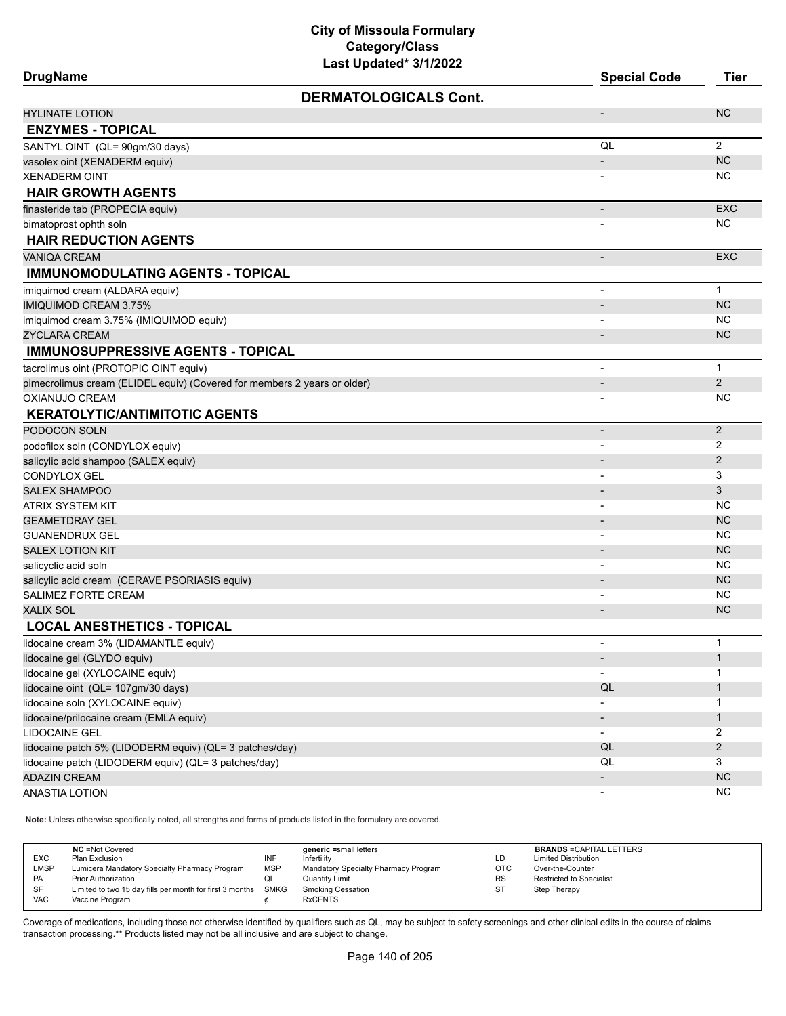| <b>DrugName</b>                                                          | Last updated" 3/1/2022       | <b>Special Code</b>      | <b>Tier</b>         |
|--------------------------------------------------------------------------|------------------------------|--------------------------|---------------------|
|                                                                          | <b>DERMATOLOGICALS Cont.</b> |                          |                     |
| <b>HYLINATE LOTION</b>                                                   |                              |                          | <b>NC</b>           |
| <b>ENZYMES - TOPICAL</b>                                                 |                              |                          |                     |
| SANTYL OINT (QL= 90gm/30 days)                                           |                              | QL                       | $\overline{2}$      |
| vasolex oint (XENADERM equiv)                                            |                              |                          | <b>NC</b>           |
| <b>XENADERM OINT</b>                                                     |                              |                          | <b>NC</b>           |
| <b>HAIR GROWTH AGENTS</b>                                                |                              |                          |                     |
| finasteride tab (PROPECIA equiv)                                         |                              |                          | <b>EXC</b>          |
| bimatoprost ophth soln                                                   |                              |                          | <b>NC</b>           |
| <b>HAIR REDUCTION AGENTS</b>                                             |                              |                          |                     |
| VANIQA CREAM                                                             |                              |                          | <b>EXC</b>          |
| <b>IMMUNOMODULATING AGENTS - TOPICAL</b>                                 |                              |                          |                     |
| imiquimod cream (ALDARA equiv)                                           |                              |                          | $\mathbf{1}$        |
| <b>IMIQUIMOD CREAM 3.75%</b>                                             |                              |                          | <b>NC</b>           |
| imiquimod cream 3.75% (IMIQUIMOD equiv)                                  |                              |                          | <b>NC</b>           |
| ZYCLARA CREAM                                                            |                              |                          | <b>NC</b>           |
| <b>IMMUNOSUPPRESSIVE AGENTS - TOPICAL</b>                                |                              |                          |                     |
| tacrolimus oint (PROTOPIC OINT equiv)                                    |                              | $\blacksquare$           | $\mathbf{1}$        |
| pimecrolimus cream (ELIDEL equiv) (Covered for members 2 years or older) |                              |                          | 2                   |
| OXIANUJO CREAM                                                           |                              |                          | <b>NC</b>           |
| <b>KERATOLYTIC/ANTIMITOTIC AGENTS</b>                                    |                              |                          |                     |
| PODOCON SOLN                                                             |                              | $\overline{\phantom{a}}$ | $\overline{2}$      |
| podofilox soln (CONDYLOX equiv)                                          |                              |                          | 2                   |
| salicylic acid shampoo (SALEX equiv)                                     |                              |                          | 2                   |
| CONDYLOX GEL                                                             |                              |                          | 3                   |
| <b>SALEX SHAMPOO</b>                                                     |                              |                          | 3                   |
| ATRIX SYSTEM KIT                                                         |                              |                          | <b>NC</b>           |
| <b>GEAMETDRAY GEL</b>                                                    |                              |                          | <b>NC</b>           |
| <b>GUANENDRUX GEL</b>                                                    |                              |                          | <b>NC</b>           |
| <b>SALEX LOTION KIT</b>                                                  |                              |                          | <b>NC</b>           |
| salicyclic acid soln                                                     |                              |                          | <b>NC</b>           |
| salicylic acid cream (CERAVE PSORIASIS equiv)                            |                              |                          | <b>NC</b>           |
| <b>SALIMEZ FORTE CREAM</b>                                               |                              |                          | <b>NC</b>           |
| XALIX SOL                                                                |                              |                          | <b>NC</b>           |
| <b>LOCAL ANESTHETICS - TOPICAL</b>                                       |                              |                          |                     |
| lidocaine cream 3% (LIDAMANTLE equiv)                                    |                              |                          | 1                   |
| lidocaine gel (GLYDO equiv)                                              |                              |                          | $\mathbf{1}$        |
| lidocaine gel (XYLOCAINE equiv)                                          |                              |                          | -1                  |
| lidocaine oint (QL= 107gm/30 days)                                       |                              | QL                       | $\mathbf{1}$        |
| lidocaine soln (XYLOCAINE equiv)                                         |                              |                          | $\mathbf 1$         |
| lidocaine/prilocaine cream (EMLA equiv)                                  |                              |                          | $\mathbf{1}$        |
| <b>LIDOCAINE GEL</b>                                                     |                              | $\blacksquare$           | 2                   |
| lidocaine patch 5% (LIDODERM equiv) (QL= 3 patches/day)                  |                              | QL<br>QL                 | $\overline{2}$<br>3 |
| lidocaine patch (LIDODERM equiv) (QL= 3 patches/day)                     |                              |                          | NC                  |
| <b>ADAZIN CREAM</b><br><b>ANASTIA LOTION</b>                             |                              |                          | NC                  |
|                                                                          |                              |                          |                     |

**Note:** Unless otherwise specifically noted, all strengths and forms of products listed in the formulary are covered.

| <b>EXC</b><br><b>LMSP</b><br><b>PA</b> | <b>NC</b> = Not Covered<br>Plan Exclusion<br>Lumicera Mandatory Specialty Pharmacy Program<br><b>Prior Authorization</b> | INF<br><b>MSP</b> | generic =small letters<br>Infertility<br>Mandatory Specialty Pharmacy Program<br>Quantity Limit | LD<br>OTC<br><b>RS</b> | <b>BRANDS = CAPITAL LETTERS</b><br><b>Limited Distribution</b><br>Over-the-Counter<br><b>Restricted to Specialist</b> |
|----------------------------------------|--------------------------------------------------------------------------------------------------------------------------|-------------------|-------------------------------------------------------------------------------------------------|------------------------|-----------------------------------------------------------------------------------------------------------------------|
| SF                                     | Limited to two 15 day fills per month for first 3 months SMKG                                                            |                   | <b>Smoking Cessation</b>                                                                        | <b>ST</b>              | Step Therapy                                                                                                          |
| <b>VAC</b>                             | Vaccine Program                                                                                                          |                   | <b>RxCENTS</b>                                                                                  |                        |                                                                                                                       |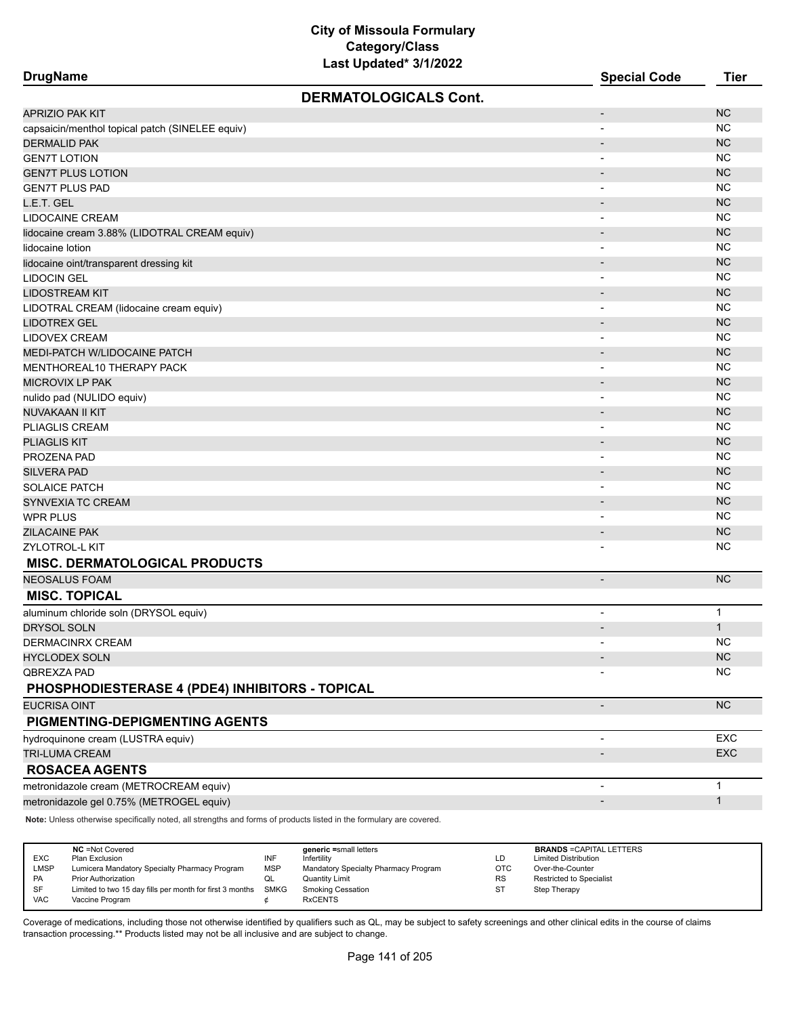| <b>DrugName</b>                                 | Last updated" 3/1/2022       | <b>Special Code</b>      | <b>Tier</b>  |
|-------------------------------------------------|------------------------------|--------------------------|--------------|
|                                                 | <b>DERMATOLOGICALS Cont.</b> |                          |              |
| APRIZIO PAK KIT                                 |                              | $\overline{\phantom{a}}$ | <b>NC</b>    |
| capsaicin/menthol topical patch (SINELEE equiv) |                              | $\blacksquare$           | <b>NC</b>    |
| <b>DERMALID PAK</b>                             |                              |                          | <b>NC</b>    |
| <b>GEN7T LOTION</b>                             |                              | $\overline{\phantom{a}}$ | <b>NC</b>    |
| <b>GEN7T PLUS LOTION</b>                        |                              |                          | <b>NC</b>    |
| <b>GEN7T PLUS PAD</b>                           |                              | $\blacksquare$           | <b>NC</b>    |
| L.E.T. GEL                                      |                              |                          | <b>NC</b>    |
| LIDOCAINE CREAM                                 |                              |                          | <b>NC</b>    |
| lidocaine cream 3.88% (LIDOTRAL CREAM equiv)    |                              |                          | <b>NC</b>    |
| lidocaine lotion                                |                              | $\overline{\phantom{a}}$ | <b>NC</b>    |
| lidocaine oint/transparent dressing kit         |                              |                          | <b>NC</b>    |
| <b>LIDOCIN GEL</b>                              |                              |                          | <b>NC</b>    |
| <b>LIDOSTREAM KIT</b>                           |                              |                          | <b>NC</b>    |
| LIDOTRAL CREAM (lidocaine cream equiv)          |                              | $\overline{\phantom{a}}$ | <b>NC</b>    |
| LIDOTREX GEL                                    |                              |                          | <b>NC</b>    |
| LIDOVEX CREAM                                   |                              |                          | <b>NC</b>    |
| MEDI-PATCH W/LIDOCAINE PATCH                    |                              |                          | <b>NC</b>    |
| MENTHOREAL10 THERAPY PACK                       |                              |                          | <b>NC</b>    |
| MICROVIX LP PAK                                 |                              | $\overline{\phantom{a}}$ | <b>NC</b>    |
| nulido pad (NULIDO equiv)                       |                              | $\overline{\phantom{a}}$ | <b>NC</b>    |
| NUVAKAAN II KIT                                 |                              |                          | <b>NC</b>    |
| PLIAGLIS CREAM                                  |                              |                          | <b>NC</b>    |
| <b>PLIAGLIS KIT</b>                             |                              |                          | <b>NC</b>    |
| PROZENA PAD                                     |                              |                          | <b>NC</b>    |
| <b>SILVERA PAD</b>                              |                              |                          | <b>NC</b>    |
| <b>SOLAICE PATCH</b>                            |                              |                          | <b>NC</b>    |
| SYNVEXIA TC CREAM                               |                              |                          | <b>NC</b>    |
| WPR PLUS                                        |                              | $\overline{\phantom{a}}$ | <b>NC</b>    |
| ZILACAINE PAK                                   |                              |                          | <b>NC</b>    |
| ZYLOTROL-L KIT                                  |                              |                          | <b>NC</b>    |
| <b>MISC. DERMATOLOGICAL PRODUCTS</b>            |                              |                          |              |
| <b>NEOSALUS FOAM</b>                            |                              |                          | <b>NC</b>    |
| <b>MISC. TOPICAL</b>                            |                              |                          |              |
| aluminum chloride soln (DRYSOL equiv)           |                              | $\overline{\phantom{a}}$ | $\mathbf 1$  |
| <b>DRYSOL SOLN</b>                              |                              |                          | $\mathbf{1}$ |
| DERMACINRX CREAM                                |                              |                          | NC.          |
| <b>HYCLODEX SOLN</b>                            |                              |                          | NC           |
| QBREXZA PAD                                     |                              |                          | <b>NC</b>    |
| PHOSPHODIESTERASE 4 (PDE4) INHIBITORS - TOPICAL |                              |                          |              |
| EUCRISA OINT                                    |                              | $\overline{\phantom{a}}$ | NC           |
| PIGMENTING-DEPIGMENTING AGENTS                  |                              |                          |              |
| hydroquinone cream (LUSTRA equiv)               |                              |                          | EXC          |
| TRI-LUMA CREAM                                  |                              |                          | EXC          |
| <b>ROSACEA AGENTS</b>                           |                              |                          |              |
| metronidazole cream (METROCREAM equiv)          |                              |                          | $\mathbf{1}$ |
| metronidazole gel 0.75% (METROGEL equiv)        |                              |                          | $\mathbf{1}$ |
|                                                 |                              |                          |              |

**Note:** Unless otherwise specifically noted, all strengths and forms of products listed in the formulary are covered.

| <b>EXC</b><br><b>LMSP</b><br><b>PA</b><br>SF | <b>NC</b> = Not Covered<br>Plan Exclusion<br>Lumicera Mandatory Specialty Pharmacy Program<br><b>Prior Authorization</b><br>Limited to two 15 day fills per month for first 3 months | INF<br><b>MSP</b><br>w∟<br>SMKG | generic =small letters<br>Infertility<br>Mandatory Specialty Pharmacy Program<br>Quantity Limit<br><b>Smoking Cessation</b> | LD<br><b>OTC</b><br><b>RS</b><br>S1 | <b>BRANDS = CAPITAL LETTERS</b><br><b>Limited Distribution</b><br>Over-the-Counter<br><b>Restricted to Specialist</b><br>Step Therapy |
|----------------------------------------------|--------------------------------------------------------------------------------------------------------------------------------------------------------------------------------------|---------------------------------|-----------------------------------------------------------------------------------------------------------------------------|-------------------------------------|---------------------------------------------------------------------------------------------------------------------------------------|
| <b>VAC</b>                                   | Vaccine Program                                                                                                                                                                      |                                 | <b>RxCENTS</b>                                                                                                              |                                     |                                                                                                                                       |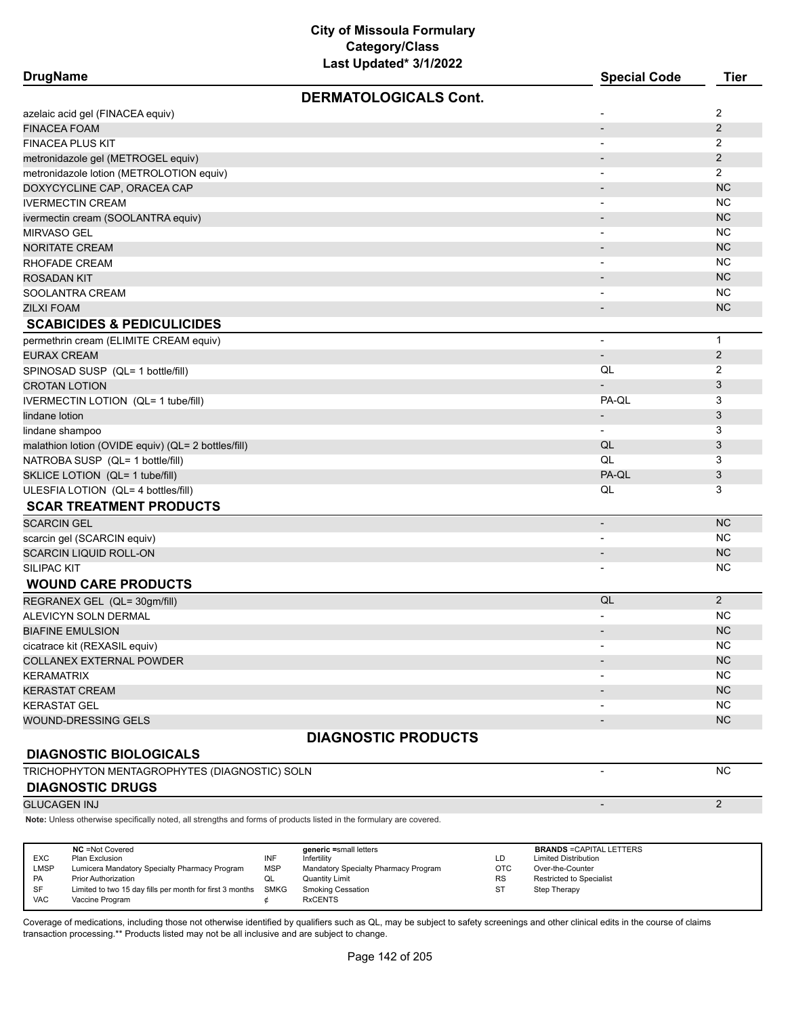| <b>DrugName</b>                                     |                                               |            | Last Updated* 3/1/2022                                                                                              |            | <b>Special Code</b>                                            | <b>Tier</b>    |
|-----------------------------------------------------|-----------------------------------------------|------------|---------------------------------------------------------------------------------------------------------------------|------------|----------------------------------------------------------------|----------------|
|                                                     |                                               |            | <b>DERMATOLOGICALS Cont.</b>                                                                                        |            |                                                                |                |
| azelaic acid gel (FINACEA equiv)                    |                                               |            |                                                                                                                     |            |                                                                | 2              |
| <b>FINACEA FOAM</b>                                 |                                               |            |                                                                                                                     |            |                                                                | 2              |
| FINACEA PLUS KIT                                    |                                               |            |                                                                                                                     |            | $\overline{\phantom{a}}$                                       | 2              |
|                                                     |                                               |            |                                                                                                                     |            |                                                                | $\overline{2}$ |
| metronidazole gel (METROGEL equiv)                  |                                               |            |                                                                                                                     |            |                                                                | $\overline{2}$ |
| metronidazole lotion (METROLOTION equiv)            |                                               |            |                                                                                                                     |            | $\overline{\phantom{a}}$                                       | <b>NC</b>      |
| DOXYCYCLINE CAP, ORACEA CAP                         |                                               |            |                                                                                                                     |            |                                                                |                |
| <b>IVERMECTIN CREAM</b>                             |                                               |            |                                                                                                                     |            | $\overline{\phantom{a}}$                                       | <b>NC</b>      |
| ivermectin cream (SOOLANTRA equiv)                  |                                               |            |                                                                                                                     |            |                                                                | <b>NC</b>      |
| MIRVASO GEL                                         |                                               |            |                                                                                                                     |            |                                                                | <b>NC</b>      |
| <b>NORITATE CREAM</b>                               |                                               |            |                                                                                                                     |            |                                                                | <b>NC</b>      |
| RHOFADE CREAM                                       |                                               |            |                                                                                                                     |            | $\overline{\phantom{a}}$                                       | <b>NC</b>      |
| ROSADAN KIT                                         |                                               |            |                                                                                                                     |            | $\overline{\phantom{a}}$                                       | <b>NC</b>      |
| SOOLANTRA CREAM                                     |                                               |            |                                                                                                                     |            | $\overline{\phantom{a}}$                                       | <b>NC</b>      |
| <b>ZILXI FOAM</b>                                   |                                               |            |                                                                                                                     |            | $\overline{\phantom{a}}$                                       | <b>NC</b>      |
| <b>SCABICIDES &amp; PEDICULICIDES</b>               |                                               |            |                                                                                                                     |            |                                                                |                |
| permethrin cream (ELIMITE CREAM equiv)              |                                               |            |                                                                                                                     |            | $\overline{\phantom{a}}$                                       | $\mathbf{1}$   |
| <b>EURAX CREAM</b>                                  |                                               |            |                                                                                                                     |            | $\overline{\phantom{a}}$                                       | $\overline{2}$ |
| SPINOSAD SUSP (QL= 1 bottle/fill)                   |                                               |            |                                                                                                                     |            | QL                                                             | 2              |
| <b>CROTAN LOTION</b>                                |                                               |            |                                                                                                                     |            |                                                                | 3              |
| IVERMECTIN LOTION (QL= 1 tube/fill)                 |                                               |            |                                                                                                                     |            | PA-QL                                                          | 3              |
| lindane lotion                                      |                                               |            |                                                                                                                     |            | $\overline{a}$                                                 | 3              |
| lindane shampoo                                     |                                               |            |                                                                                                                     |            | $\overline{\phantom{a}}$                                       | 3              |
| malathion lotion (OVIDE equiv) (QL= 2 bottles/fill) |                                               |            |                                                                                                                     |            | QL                                                             | 3              |
| NATROBA SUSP (QL= 1 bottle/fill)                    |                                               |            |                                                                                                                     |            | QL                                                             | 3              |
| SKLICE LOTION (QL= 1 tube/fill)                     |                                               |            |                                                                                                                     |            | PA-QL                                                          | $\mathfrak{B}$ |
| ULESFIA LOTION (QL= 4 bottles/fill)                 |                                               |            |                                                                                                                     |            | QL                                                             | 3              |
| <b>SCAR TREATMENT PRODUCTS</b>                      |                                               |            |                                                                                                                     |            |                                                                |                |
| <b>SCARCIN GEL</b>                                  |                                               |            |                                                                                                                     |            | $\overline{\phantom{a}}$                                       | <b>NC</b>      |
| scarcin gel (SCARCIN equiv)                         |                                               |            |                                                                                                                     |            | $\overline{\phantom{a}}$                                       | <b>NC</b>      |
| <b>SCARCIN LIQUID ROLL-ON</b>                       |                                               |            |                                                                                                                     |            | $\overline{\phantom{a}}$                                       | <b>NC</b>      |
| SILIPAC KIT                                         |                                               |            |                                                                                                                     |            |                                                                | <b>NC</b>      |
| <b>WOUND CARE PRODUCTS</b>                          |                                               |            |                                                                                                                     |            |                                                                |                |
| REGRANEX GEL (QL= 30gm/fill)                        |                                               |            |                                                                                                                     |            | QL                                                             | 2              |
| ALEVICYN SOLN DERMAL                                |                                               |            |                                                                                                                     |            | $\overline{a}$                                                 | <b>NC</b>      |
| <b>BIAFINE EMULSION</b>                             |                                               |            |                                                                                                                     |            |                                                                | <b>NC</b>      |
| cicatrace kit (REXASIL equiv)                       |                                               |            |                                                                                                                     |            |                                                                | <b>NC</b>      |
| <b>COLLANEX EXTERNAL POWDER</b>                     |                                               |            |                                                                                                                     |            |                                                                | <b>NC</b>      |
| KERAMATRIX                                          |                                               |            |                                                                                                                     |            |                                                                | <b>NC</b>      |
| KERASTAT CREAM                                      |                                               |            |                                                                                                                     |            |                                                                | <b>NC</b>      |
| <b>KERASTAT GEL</b>                                 |                                               |            |                                                                                                                     |            |                                                                | <b>NC</b>      |
| WOUND-DRESSING GELS                                 |                                               |            |                                                                                                                     |            |                                                                | <b>NC</b>      |
|                                                     |                                               |            |                                                                                                                     |            |                                                                |                |
|                                                     |                                               |            | <b>DIAGNOSTIC PRODUCTS</b>                                                                                          |            |                                                                |                |
| <b>DIAGNOSTIC BIOLOGICALS</b>                       |                                               |            |                                                                                                                     |            |                                                                |                |
| TRICHOPHYTON MENTAGROPHYTES (DIAGNOSTIC) SOLN       |                                               |            |                                                                                                                     |            | $\blacksquare$                                                 | <b>NC</b>      |
| <b>DIAGNOSTIC DRUGS</b>                             |                                               |            |                                                                                                                     |            |                                                                |                |
| <b>GLUCAGEN INJ</b>                                 |                                               |            |                                                                                                                     |            |                                                                | 2              |
|                                                     |                                               |            | Note: Unless otherwise specifically noted, all strengths and forms of products listed in the formulary are covered. |            |                                                                |                |
|                                                     |                                               |            |                                                                                                                     |            |                                                                |                |
| <b>NC</b> = Not Covered<br>EXC<br>Plan Exclusion    |                                               | INF        | generic =small letters<br>Infertility                                                                               | LD         | <b>BRANDS = CAPITAL LETTERS</b><br><b>Limited Distribution</b> |                |
| <b>LMSP</b>                                         | Lumicera Mandatory Specialty Pharmacy Program | <b>MSP</b> | Mandatory Specialty Pharmacy Program                                                                                | <b>OTC</b> | Over-the-Counter                                               |                |

Coverage of medications, including those not otherwise identified by qualifiers such as QL, may be subject to safety screenings and other clinical edits in the course of claims transaction processing.\*\* Products listed may not be all inclusive and are subject to change.

PA Prior Authorization QL Quantity Limit RS Restricted to Specialist SF Limited to two 15 day fills per month for first 3 months SMKG Smoking Cessation State Step Therapy

VAC Vaccine Program  $\phi$  RxCENTS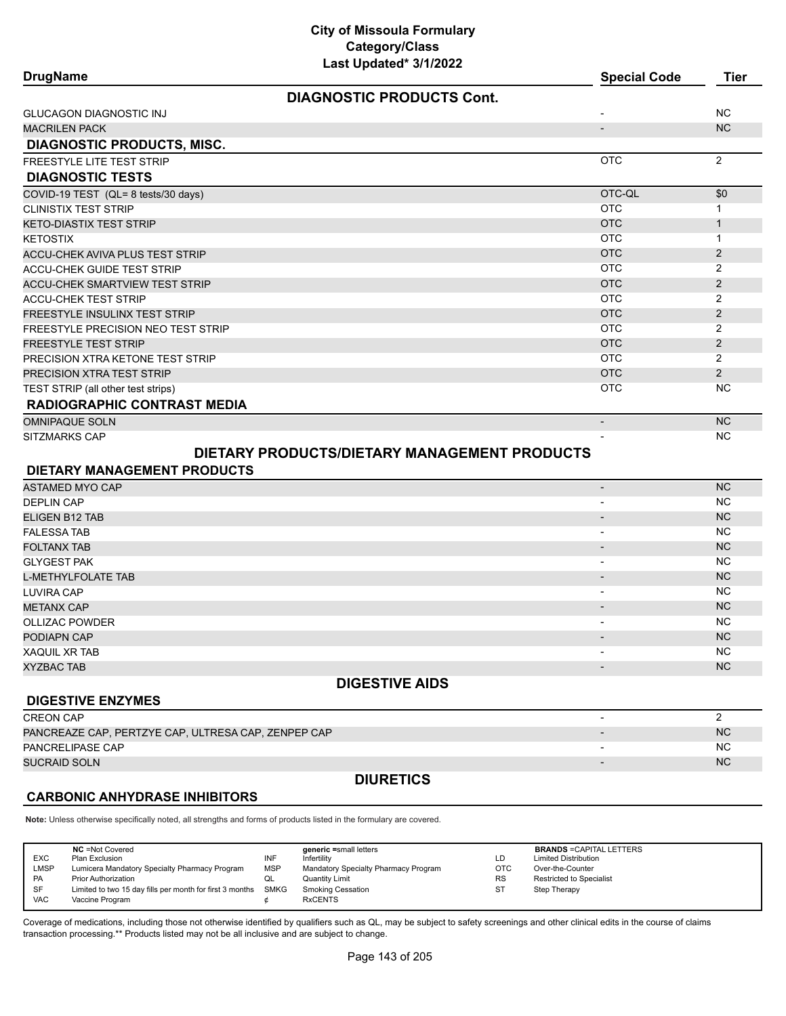| <b>DrugName</b>                                     | Last Updated" 3/1/2022                       | <b>Special Code</b>      | <b>Tier</b>    |
|-----------------------------------------------------|----------------------------------------------|--------------------------|----------------|
|                                                     | <b>DIAGNOSTIC PRODUCTS Cont.</b>             |                          |                |
| <b>GLUCAGON DIAGNOSTIC INJ</b>                      |                                              | $\overline{\phantom{a}}$ | <b>NC</b>      |
| <b>MACRILEN PACK</b>                                |                                              | $\overline{\phantom{a}}$ | <b>NC</b>      |
| <b>DIAGNOSTIC PRODUCTS, MISC.</b>                   |                                              |                          |                |
| <b>FREESTYLE LITE TEST STRIP</b>                    |                                              | <b>OTC</b>               | $\overline{2}$ |
| <b>DIAGNOSTIC TESTS</b>                             |                                              |                          |                |
| COVID-19 TEST (QL= 8 tests/30 days)                 |                                              | OTC-QL                   | \$0            |
| <b>CLINISTIX TEST STRIP</b>                         |                                              | <b>OTC</b>               | $\mathbf{1}$   |
| <b>KETO-DIASTIX TEST STRIP</b>                      |                                              | <b>OTC</b>               | $\mathbf{1}$   |
| <b>KETOSTIX</b>                                     |                                              | <b>OTC</b>               | $\mathbf{1}$   |
| ACCU-CHEK AVIVA PLUS TEST STRIP                     |                                              | <b>OTC</b>               | 2              |
| ACCU-CHEK GUIDE TEST STRIP                          |                                              | <b>OTC</b>               | 2              |
| <b>ACCU-CHEK SMARTVIEW TEST STRIP</b>               |                                              | <b>OTC</b>               | 2              |
| <b>ACCU-CHEK TEST STRIP</b>                         |                                              | <b>OTC</b>               | 2              |
| FREESTYLE INSULINX TEST STRIP                       |                                              | <b>OTC</b>               | 2              |
| FREESTYLE PRECISION NEO TEST STRIP                  |                                              | <b>OTC</b>               | $\overline{2}$ |
| <b>FREESTYLE TEST STRIP</b>                         |                                              | <b>OTC</b>               | $\overline{2}$ |
| PRECISION XTRA KETONE TEST STRIP                    |                                              | <b>OTC</b>               | $\overline{2}$ |
| PRECISION XTRA TEST STRIP                           |                                              | <b>OTC</b>               | $\overline{2}$ |
| TEST STRIP (all other test strips)                  |                                              | <b>OTC</b>               | <b>NC</b>      |
| <b>RADIOGRAPHIC CONTRAST MEDIA</b>                  |                                              |                          |                |
| <b>OMNIPAQUE SOLN</b>                               |                                              | $\overline{\phantom{a}}$ | <b>NC</b>      |
| SITZMARKS CAP                                       |                                              |                          | <b>NC</b>      |
|                                                     | DIETARY PRODUCTS/DIETARY MANAGEMENT PRODUCTS |                          |                |
| DIETARY MANAGEMENT PRODUCTS                         |                                              |                          |                |
| ASTAMED MYO CAP                                     |                                              | $\overline{\phantom{a}}$ | <b>NC</b>      |
| <b>DEPLIN CAP</b>                                   |                                              |                          | <b>NC</b>      |
| ELIGEN B12 TAB                                      |                                              | $\overline{a}$           | <b>NC</b>      |
| <b>FALESSA TAB</b>                                  |                                              | $\overline{\phantom{a}}$ | NC             |
| <b>FOLTANX TAB</b>                                  |                                              | $\overline{\phantom{a}}$ | <b>NC</b>      |
| <b>GLYGEST PAK</b>                                  |                                              | $\overline{\phantom{a}}$ | <b>NC</b>      |
| <b>L-METHYLFOLATE TAB</b>                           |                                              | $\overline{\phantom{a}}$ | <b>NC</b>      |
| <b>LUVIRA CAP</b>                                   |                                              | $\overline{\phantom{a}}$ | <b>NC</b>      |
| <b>METANX CAP</b>                                   |                                              |                          | <b>NC</b>      |
| <b>OLLIZAC POWDER</b>                               |                                              |                          | <b>NC</b>      |
| PODIAPN CAP                                         |                                              |                          | NC.            |
| XAQUIL XR TAB                                       |                                              |                          | ΝC             |
| <b>XYZBAC TAB</b>                                   |                                              |                          | <b>NC</b>      |
|                                                     | <b>DIGESTIVE AIDS</b>                        |                          |                |
| <b>DIGESTIVE ENZYMES</b>                            |                                              |                          |                |
| <b>CREON CAP</b>                                    |                                              |                          | $\overline{2}$ |
| PANCREAZE CAP, PERTZYE CAP, ULTRESA CAP, ZENPEP CAP |                                              |                          | <b>NC</b>      |
| PANCRELIPASE CAP                                    |                                              |                          | NC.            |
| <b>SUCRAID SOLN</b>                                 |                                              |                          | <b>NC</b>      |
|                                                     | <b>DIURETICS</b>                             |                          |                |

### **CARBONIC ANHYDRASE INHIBITORS**

**Note:** Unless otherwise specifically noted, all strengths and forms of products listed in the formulary are covered.

| <b>EXC</b><br>LMSP<br>PA | <b>NC</b> = Not Covered<br>Plan Exclusion<br>Lumicera Mandatory Specialty Pharmacy Program<br><b>Prior Authorization</b> | INF<br><b>MSP</b><br>QL | generic =small letters<br>Infertility<br>Mandatory Specialty Pharmacy Program<br>Quantity Limit | LD<br>OTC<br><b>RS</b> | <b>BRANDS = CAPITAL LETTERS</b><br><b>Limited Distribution</b><br>Over-the-Counter<br><b>Restricted to Specialist</b> |
|--------------------------|--------------------------------------------------------------------------------------------------------------------------|-------------------------|-------------------------------------------------------------------------------------------------|------------------------|-----------------------------------------------------------------------------------------------------------------------|
| SF<br><b>VAC</b>         | Limited to two 15 day fills per month for first 3 months<br>Vaccine Program                                              | SMKG                    | <b>Smoking Cessation</b><br><b>RxCENTS</b>                                                      | ST                     | Step Therapy                                                                                                          |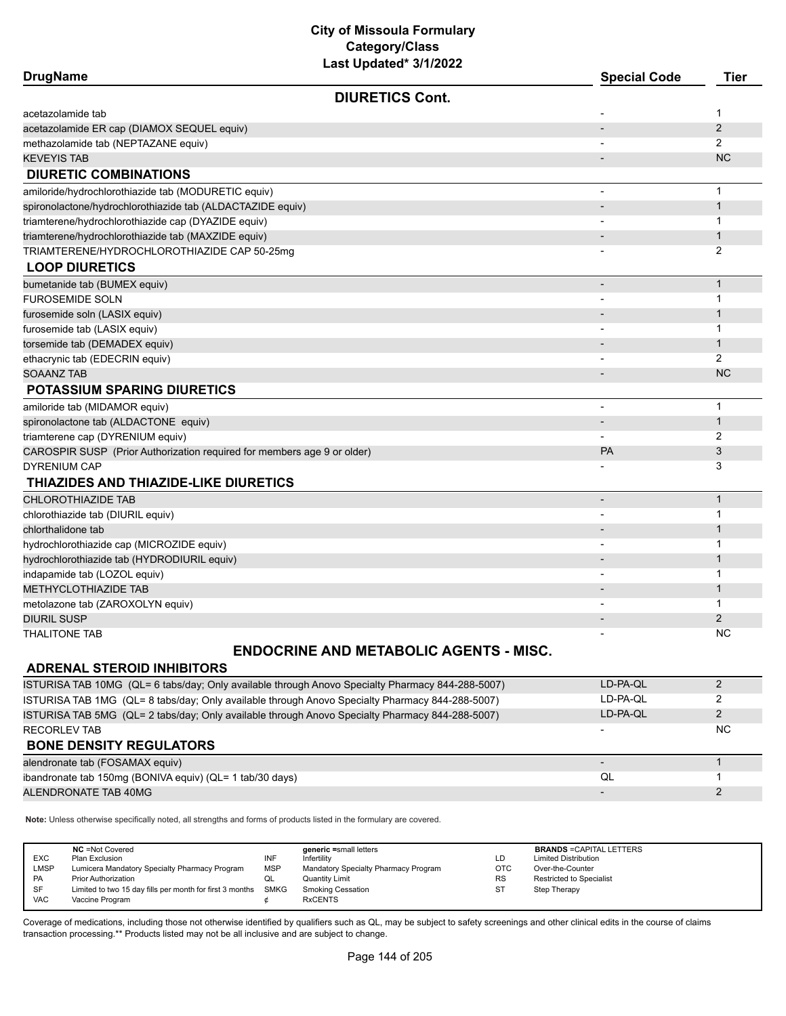| <b>DrugName</b>                                                         | Last updated" <i>SITIZUZZ</i>                 | <b>Special Code</b>      | <b>Tier</b>    |
|-------------------------------------------------------------------------|-----------------------------------------------|--------------------------|----------------|
|                                                                         | <b>DIURETICS Cont.</b>                        |                          |                |
| acetazolamide tab                                                       |                                               |                          | 1              |
| acetazolamide ER cap (DIAMOX SEQUEL equiv)                              |                                               | $\overline{\phantom{a}}$ | 2              |
| methazolamide tab (NEPTAZANE equiv)                                     |                                               |                          | 2              |
| <b>KEVEYIS TAB</b>                                                      |                                               |                          | <b>NC</b>      |
| <b>DIURETIC COMBINATIONS</b>                                            |                                               |                          |                |
| amiloride/hydrochlorothiazide tab (MODURETIC equiv)                     |                                               | $\overline{\phantom{m}}$ | $\mathbf{1}$   |
| spironolactone/hydrochlorothiazide tab (ALDACTAZIDE equiv)              |                                               |                          | $\mathbf{1}$   |
| triamterene/hydrochlorothiazide cap (DYAZIDE equiv)                     |                                               |                          | $\mathbf{1}$   |
| triamterene/hydrochlorothiazide tab (MAXZIDE equiv)                     |                                               |                          | $\mathbf{1}$   |
| TRIAMTERENE/HYDROCHLOROTHIAZIDE CAP 50-25mg                             |                                               |                          | 2              |
| <b>LOOP DIURETICS</b>                                                   |                                               |                          |                |
| bumetanide tab (BUMEX equiv)                                            |                                               | $\overline{\phantom{0}}$ | $\mathbf{1}$   |
| FUROSEMIDE SOLN                                                         |                                               | -                        | 1              |
| furosemide soln (LASIX equiv)                                           |                                               |                          | $\mathbf{1}$   |
| furosemide tab (LASIX equiv)                                            |                                               |                          | $\mathbf{1}$   |
| torsemide tab (DEMADEX equiv)                                           |                                               |                          | $\mathbf{1}$   |
| ethacrynic tab (EDECRIN equiv)                                          |                                               | $\overline{\phantom{a}}$ | $\overline{2}$ |
| <b>SOAANZ TAB</b>                                                       |                                               |                          | <b>NC</b>      |
| <b>POTASSIUM SPARING DIURETICS</b>                                      |                                               |                          |                |
| amiloride tab (MIDAMOR equiv)                                           |                                               | $\overline{\phantom{m}}$ | $\mathbf{1}$   |
| spironolactone tab (ALDACTONE equiv)                                    |                                               | $\blacksquare$           | $\mathbf{1}$   |
| triamterene cap (DYRENIUM equiv)                                        |                                               |                          | $\overline{2}$ |
| CAROSPIR SUSP (Prior Authorization required for members age 9 or older) |                                               | PA                       | 3              |
| <b>DYRENIUM CAP</b>                                                     |                                               |                          | 3              |
| <b>THIAZIDES AND THIAZIDE-LIKE DIURETICS</b>                            |                                               |                          |                |
| <b>CHLOROTHIAZIDE TAB</b>                                               |                                               | $\overline{\phantom{0}}$ | $\mathbf{1}$   |
| chlorothiazide tab (DIURIL equiv)                                       |                                               | $\blacksquare$           | 1              |
| chlorthalidone tab                                                      |                                               |                          | $\mathbf{1}$   |
| hydrochlorothiazide cap (MICROZIDE equiv)                               |                                               |                          | 1              |
| hydrochlorothiazide tab (HYDRODIURIL equiv)                             |                                               |                          | $\mathbf{1}$   |
| indapamide tab (LOZOL equiv)                                            |                                               |                          | 1              |
| METHYCLOTHIAZIDE TAB                                                    |                                               |                          | $\mathbf{1}$   |
| metolazone tab (ZAROXOLYN equiv)                                        |                                               | $\blacksquare$           | 1              |
| <b>DIURIL SUSP</b>                                                      |                                               |                          | $\overline{2}$ |
| <b>THALITONE TAB</b>                                                    |                                               |                          | <b>NC</b>      |
|                                                                         | <b>ENDOCRINE AND METABOLIC AGENTS - MISC.</b> |                          |                |
| <b>ADRENAL STEROID INHIBITORS</b>                                       |                                               |                          |                |

#### **ADRENAL STEROID INHIBITORS**

| ISTURISA TAB 10MG (QL= 6 tabs/day; Only available through Anovo Specialty Pharmacy 844-288-5007) | LD-PA-OL                 | ົ         |
|--------------------------------------------------------------------------------------------------|--------------------------|-----------|
| ISTURISA TAB 1MG (QL= 8 tabs/day; Only available through Anovo Specialty Pharmacy 844-288-5007)  | LD-PA-OL                 |           |
| ISTURISA TAB 5MG (QL= 2 tabs/day; Only available through Anovo Specialty Pharmacy 844-288-5007)  | LD-PA-OL                 | 2         |
| <b>RECORLEV TAB</b>                                                                              |                          | <b>NC</b> |
| <b>BONE DENSITY REGULATORS</b>                                                                   |                          |           |
| alendronate tab (FOSAMAX equiv)                                                                  | $\overline{\phantom{0}}$ |           |
| ibandronate tab 150mg (BONIVA equiv) (QL= 1 tab/30 days)                                         |                          |           |
|                                                                                                  | QL                       |           |
| ALENDRONATE TAB 40MG                                                                             | $\overline{\phantom{0}}$ | າ         |

**Note:** Unless otherwise specifically noted, all strengths and forms of products listed in the formulary are covered.

| <b>EXC</b><br><b>LMSP</b><br>PA<br>SF<br><b>VAC</b> | <b>NC</b> = Not Covered<br>Plan Exclusion<br>Lumicera Mandatory Specialty Pharmacy Program<br><b>Prior Authorization</b><br>Limited to two 15 day fills per month for first 3 months SMKG<br>Vaccine Program | INF<br><b>MSP</b><br>QL | generic =small letters<br>Infertility<br>Mandatory Specialty Pharmacy Program<br><b>Quantity Limit</b><br><b>Smoking Cessation</b><br><b>RxCENTS</b> | LD<br><b>OTC</b><br><b>RS</b><br><b>ST</b> | <b>BRANDS = CAPITAL LETTERS</b><br><b>Limited Distribution</b><br>Over-the-Counter<br><b>Restricted to Specialist</b><br>Step Therapy |
|-----------------------------------------------------|--------------------------------------------------------------------------------------------------------------------------------------------------------------------------------------------------------------|-------------------------|------------------------------------------------------------------------------------------------------------------------------------------------------|--------------------------------------------|---------------------------------------------------------------------------------------------------------------------------------------|
|-----------------------------------------------------|--------------------------------------------------------------------------------------------------------------------------------------------------------------------------------------------------------------|-------------------------|------------------------------------------------------------------------------------------------------------------------------------------------------|--------------------------------------------|---------------------------------------------------------------------------------------------------------------------------------------|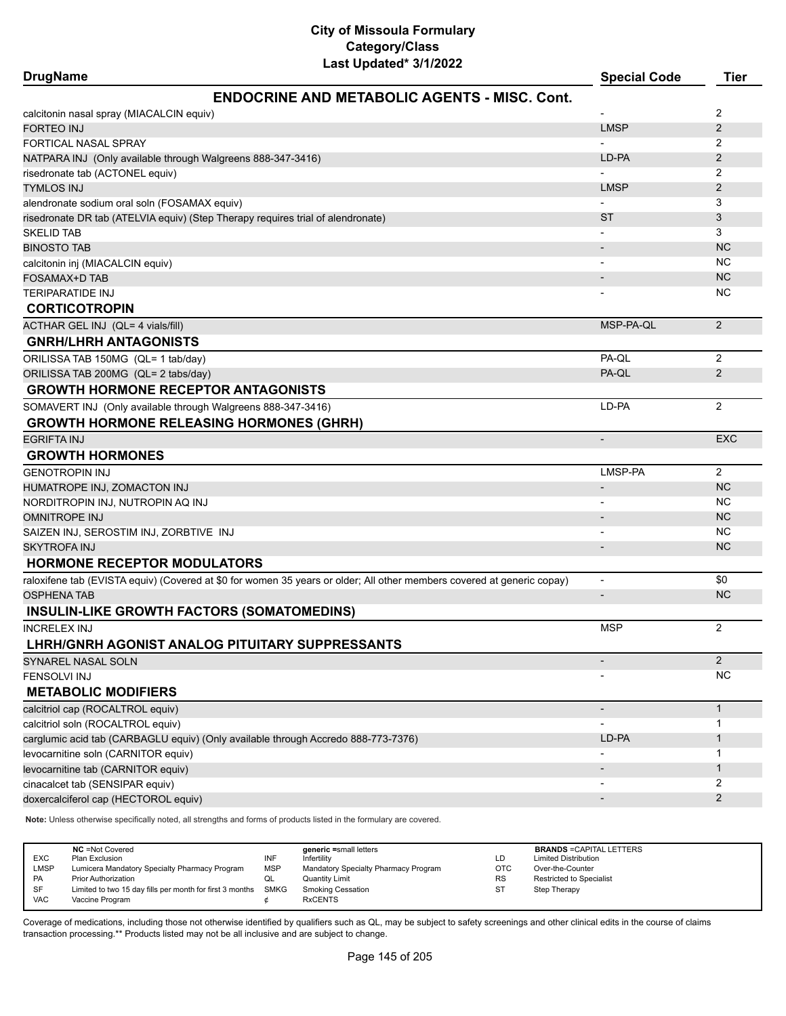| <b>DrugName</b>                                                                   | Last Updated* 3/1/2022                                                                                                 | <b>Special Code</b>          | <b>Tier</b>    |
|-----------------------------------------------------------------------------------|------------------------------------------------------------------------------------------------------------------------|------------------------------|----------------|
|                                                                                   | <b>ENDOCRINE AND METABOLIC AGENTS - MISC, Cont.</b>                                                                    |                              |                |
| calcitonin nasal spray (MIACALCIN equiv)                                          |                                                                                                                        |                              | 2              |
| <b>FORTEO INJ</b>                                                                 |                                                                                                                        | <b>LMSP</b>                  | $\overline{2}$ |
| FORTICAL NASAL SPRAY                                                              |                                                                                                                        |                              | 2              |
| NATPARA INJ (Only available through Walgreens 888-347-3416)                       |                                                                                                                        | LD-PA                        | 2              |
| risedronate tab (ACTONEL equiv)                                                   |                                                                                                                        |                              | 2              |
| <b>TYMLOS INJ</b>                                                                 |                                                                                                                        | <b>LMSP</b>                  | $\overline{2}$ |
| alendronate sodium oral soln (FOSAMAX equiv)                                      |                                                                                                                        |                              | 3              |
| risedronate DR tab (ATELVIA equiv) (Step Therapy requires trial of alendronate)   |                                                                                                                        | ST                           | 3              |
| <b>SKELID TAB</b>                                                                 |                                                                                                                        |                              | 3              |
| <b>BINOSTO TAB</b>                                                                |                                                                                                                        |                              | <b>NC</b>      |
| calcitonin inj (MIACALCIN equiv)                                                  |                                                                                                                        |                              | <b>NC</b>      |
| FOSAMAX+D TAB                                                                     |                                                                                                                        |                              | <b>NC</b>      |
| TERIPARATIDE INJ                                                                  |                                                                                                                        |                              | <b>NC</b>      |
| <b>CORTICOTROPIN</b>                                                              |                                                                                                                        |                              |                |
| ACTHAR GEL INJ (QL= 4 vials/fill)                                                 |                                                                                                                        | MSP-PA-QL                    | 2              |
| <b>GNRH/LHRH ANTAGONISTS</b>                                                      |                                                                                                                        |                              |                |
| ORILISSA TAB 150MG (QL= 1 tab/day)                                                |                                                                                                                        | PA-QL                        | $\overline{2}$ |
| ORILISSA TAB 200MG (QL= 2 tabs/day)                                               |                                                                                                                        | PA-QL                        | $\overline{2}$ |
| <b>GROWTH HORMONE RECEPTOR ANTAGONISTS</b>                                        |                                                                                                                        |                              |                |
| SOMAVERT INJ (Only available through Walgreens 888-347-3416)                      |                                                                                                                        | LD-PA                        | $\overline{2}$ |
| <b>GROWTH HORMONE RELEASING HORMONES (GHRH)</b>                                   |                                                                                                                        |                              |                |
| <b>EGRIFTA INJ</b>                                                                |                                                                                                                        |                              | <b>EXC</b>     |
| <b>GROWTH HORMONES</b>                                                            |                                                                                                                        |                              |                |
| <b>GENOTROPIN INJ</b>                                                             |                                                                                                                        | LMSP-PA                      | $\overline{2}$ |
| HUMATROPE INJ, ZOMACTON INJ                                                       |                                                                                                                        | $\qquad \qquad \blacksquare$ | <b>NC</b>      |
| NORDITROPIN INJ, NUTROPIN AQ INJ                                                  |                                                                                                                        |                              | <b>NC</b>      |
| OMNITROPE INJ                                                                     |                                                                                                                        |                              | <b>NC</b>      |
| SAIZEN INJ, SEROSTIM INJ, ZORBTIVE INJ                                            |                                                                                                                        |                              | <b>NC</b>      |
| <b>SKYTROFA INJ</b>                                                               |                                                                                                                        |                              | <b>NC</b>      |
| <b>HORMONE RECEPTOR MODULATORS</b>                                                |                                                                                                                        |                              |                |
|                                                                                   | raloxifene tab (EVISTA equiv) (Covered at \$0 for women 35 years or older; All other members covered at generic copay) | $\overline{\phantom{a}}$     | \$0            |
| OSPHENA TAB                                                                       |                                                                                                                        | $\qquad \qquad \blacksquare$ | <b>NC</b>      |
| INSULIN-LIKE GROWTH FACTORS (SOMATOMEDINS)                                        |                                                                                                                        |                              |                |
| INCRELEX INJ                                                                      |                                                                                                                        | <b>MSP</b>                   | 2              |
| LHRH/GNRH AGONIST ANALOG PITUITARY SUPPRESSANTS                                   |                                                                                                                        |                              |                |
| SYNAREL NASAL SOLN                                                                |                                                                                                                        |                              | $\overline{2}$ |
| FENSOLVI INJ                                                                      |                                                                                                                        |                              | NC.            |
| <b>METABOLIC MODIFIERS</b>                                                        |                                                                                                                        |                              |                |
| calcitriol cap (ROCALTROL equiv)                                                  |                                                                                                                        |                              | $\mathbf{1}$   |
| calcitriol soln (ROCALTROL equiv)                                                 |                                                                                                                        |                              | 1              |
| carglumic acid tab (CARBAGLU equiv) (Only available through Accredo 888-773-7376) |                                                                                                                        | LD-PA                        | 1              |
| levocarnitine soln (CARNITOR equiv)                                               |                                                                                                                        |                              | 1              |
| levocarnitine tab (CARNITOR equiv)                                                |                                                                                                                        |                              | 1              |
| cinacalcet tab (SENSIPAR equiv)                                                   |                                                                                                                        |                              | 2              |
| doxercalciferol cap (HECTOROL equiv)                                              |                                                                                                                        |                              | $\overline{2}$ |
|                                                                                   |                                                                                                                        |                              |                |

**Note:** Unless otherwise specifically noted, all strengths and forms of products listed in the formulary are covered.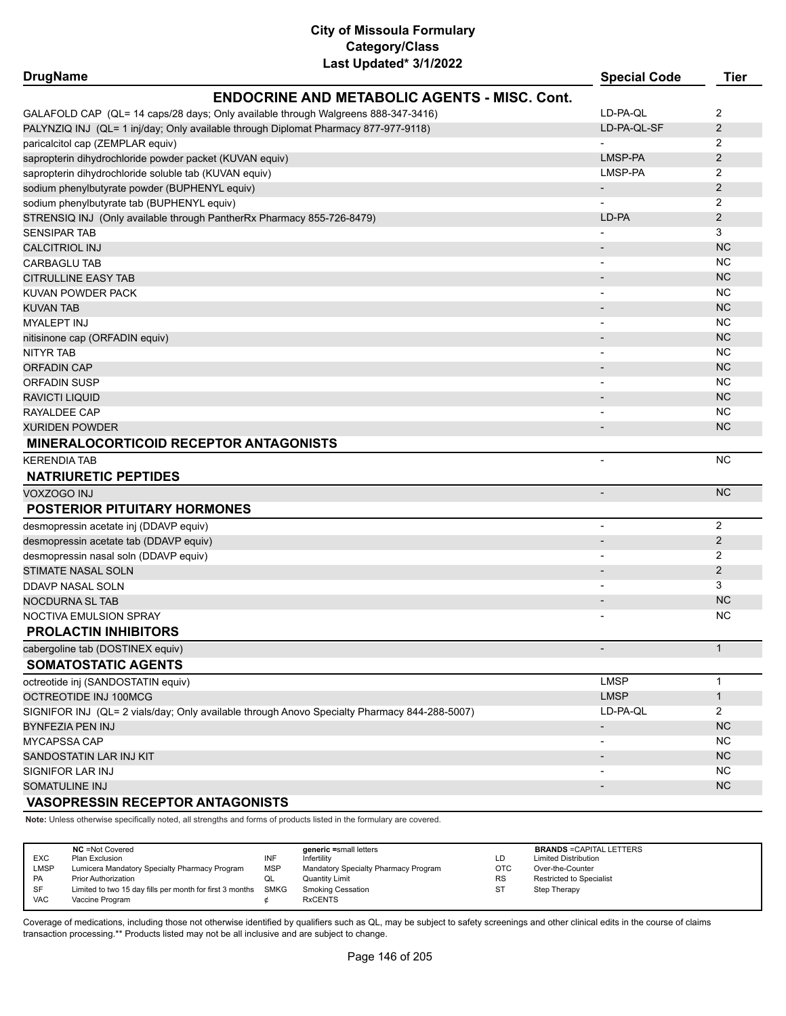| Last updated" 3/1/2022<br><b>DrugName</b>                                                    | <b>Special Code</b>          | <b>Tier</b>    |
|----------------------------------------------------------------------------------------------|------------------------------|----------------|
| <b>ENDOCRINE AND METABOLIC AGENTS - MISC, Cont.</b>                                          |                              |                |
| GALAFOLD CAP (QL= 14 caps/28 days; Only available through Walgreens 888-347-3416)            | LD-PA-QL                     | 2              |
| PALYNZIQ INJ (QL= 1 inj/day; Only available through Diplomat Pharmacy 877-977-9118)          | LD-PA-QL-SF                  | 2              |
| paricalcitol cap (ZEMPLAR equiv)                                                             |                              | 2              |
| sapropterin dihydrochloride powder packet (KUVAN equiv)                                      | LMSP-PA                      | $\overline{2}$ |
| sapropterin dihydrochloride soluble tab (KUVAN equiv)                                        | LMSP-PA                      | 2              |
| sodium phenylbutyrate powder (BUPHENYL equiv)                                                | $\overline{\phantom{a}}$     | $\overline{c}$ |
| sodium phenylbutyrate tab (BUPHENYL equiv)                                                   | $\overline{a}$               | 2              |
| STRENSIQ INJ (Only available through PantherRx Pharmacy 855-726-8479)                        | LD-PA                        | 2              |
| <b>SENSIPAR TAB</b>                                                                          | $\overline{a}$               | 3              |
| <b>CALCITRIOL INJ</b>                                                                        | $\qquad \qquad \blacksquare$ | <b>NC</b>      |
| CARBAGLU TAB                                                                                 | $\overline{\phantom{0}}$     | <b>NC</b>      |
| <b>CITRULLINE EASY TAB</b>                                                                   |                              | <b>NC</b>      |
| KUVAN POWDER PACK                                                                            | $\qquad \qquad \blacksquare$ | <b>NC</b>      |
| <b>KUVAN TAB</b>                                                                             | $\overline{\phantom{a}}$     | <b>NC</b>      |
| <b>MYALEPT INJ</b>                                                                           |                              | <b>NC</b>      |
| nitisinone cap (ORFADIN equiv)                                                               | $\overline{\phantom{m}}$     | <b>NC</b>      |
| <b>NITYR TAB</b>                                                                             |                              | <b>NC</b>      |
| <b>ORFADIN CAP</b>                                                                           | $\overline{\phantom{a}}$     | <b>NC</b>      |
| ORFADIN SUSP                                                                                 | $\overline{\phantom{0}}$     | NC.            |
| RAVICTI LIQUID                                                                               | $\overline{\phantom{m}}$     | <b>NC</b>      |
| RAYALDEE CAP                                                                                 |                              | <b>NC</b>      |
| <b>XURIDEN POWDER</b>                                                                        | $\overline{\phantom{m}}$     | <b>NC</b>      |
| <b>MINERALOCORTICOID RECEPTOR ANTAGONISTS</b>                                                |                              |                |
| <b>KERENDIA TAB</b>                                                                          | L,                           | <b>NC</b>      |
| <b>NATRIURETIC PEPTIDES</b>                                                                  |                              |                |
| <b>VOXZOGO INJ</b>                                                                           | $\overline{a}$               | <b>NC</b>      |
| <b>POSTERIOR PITUITARY HORMONES</b>                                                          |                              |                |
| desmopressin acetate inj (DDAVP equiv)                                                       | ٠                            | $\overline{2}$ |
| desmopressin acetate tab (DDAVP equiv)                                                       | $\overline{\phantom{m}}$     | $\overline{2}$ |
| desmopressin nasal soln (DDAVP equiv)                                                        | $\overline{a}$               | 2              |
| STIMATE NASAL SOLN                                                                           |                              | $\overline{2}$ |
| DDAVP NASAL SOLN                                                                             | $\overline{\phantom{0}}$     | 3              |
| <b>NOCDURNA SL TAB</b>                                                                       | $\overline{\phantom{a}}$     | <b>NC</b>      |
| NOCTIVA EMULSION SPRAY                                                                       |                              | <b>NC</b>      |
| <b>PROLACTIN INHIBITORS</b>                                                                  |                              |                |
| cabergoline tab (DOSTINEX equiv)                                                             |                              | $\mathbf{1}$   |
| <b>SOMATOSTATIC AGENTS</b>                                                                   |                              |                |
| octreotide inj (SANDOSTATIN equiv)                                                           | <b>LMSP</b>                  | $\mathbf{1}$   |
| OCTREOTIDE INJ 100MCG                                                                        | <b>LMSP</b>                  | $\mathbf{1}$   |
| SIGNIFOR INJ (QL= 2 vials/day; Only available through Anovo Specialty Pharmacy 844-288-5007) | LD-PA-QL                     | $\overline{2}$ |
| <b>BYNFEZIA PEN INJ</b>                                                                      | $\overline{\phantom{a}}$     | <b>NC</b>      |
| MYCAPSSA CAP                                                                                 |                              | <b>NC</b>      |
| SANDOSTATIN LAR INJ KIT                                                                      | $\overline{\phantom{a}}$     | NC             |
| <b>SIGNIFOR LAR INJ</b>                                                                      |                              | <b>NC</b>      |
| SOMATULINE INJ                                                                               |                              | NC             |
| <b>VASOPRESSIN RECEPTOR ANTAGONISTS</b>                                                      |                              |                |

**Note:** Unless otherwise specifically noted, all strengths and forms of products listed in the formulary are covered.

| <b>EXC</b><br><b>LMSP</b><br><b>PA</b> | <b>NC</b> = Not Covered<br>Plan Exclusion<br>Lumicera Mandatory Specialty Pharmacy Program<br><b>Prior Authorization</b> | INF<br><b>MSP</b><br>QL | generic =small letters<br>Infertility<br>Mandatory Specialty Pharmacy Program<br>Quantity Limit | LD<br><b>OTC</b><br><b>RS</b> | <b>BRANDS = CAPITAL LETTERS</b><br><b>Limited Distribution</b><br>Over-the-Counter<br><b>Restricted to Specialist</b> |
|----------------------------------------|--------------------------------------------------------------------------------------------------------------------------|-------------------------|-------------------------------------------------------------------------------------------------|-------------------------------|-----------------------------------------------------------------------------------------------------------------------|
| <b>SF</b><br><b>VAC</b>                | Limited to two 15 day fills per month for first 3 months SMKG<br>Vaccine Program                                         |                         | <b>Smoking Cessation</b><br><b>RxCENTS</b>                                                      | <b>ST</b>                     | Step Therapy                                                                                                          |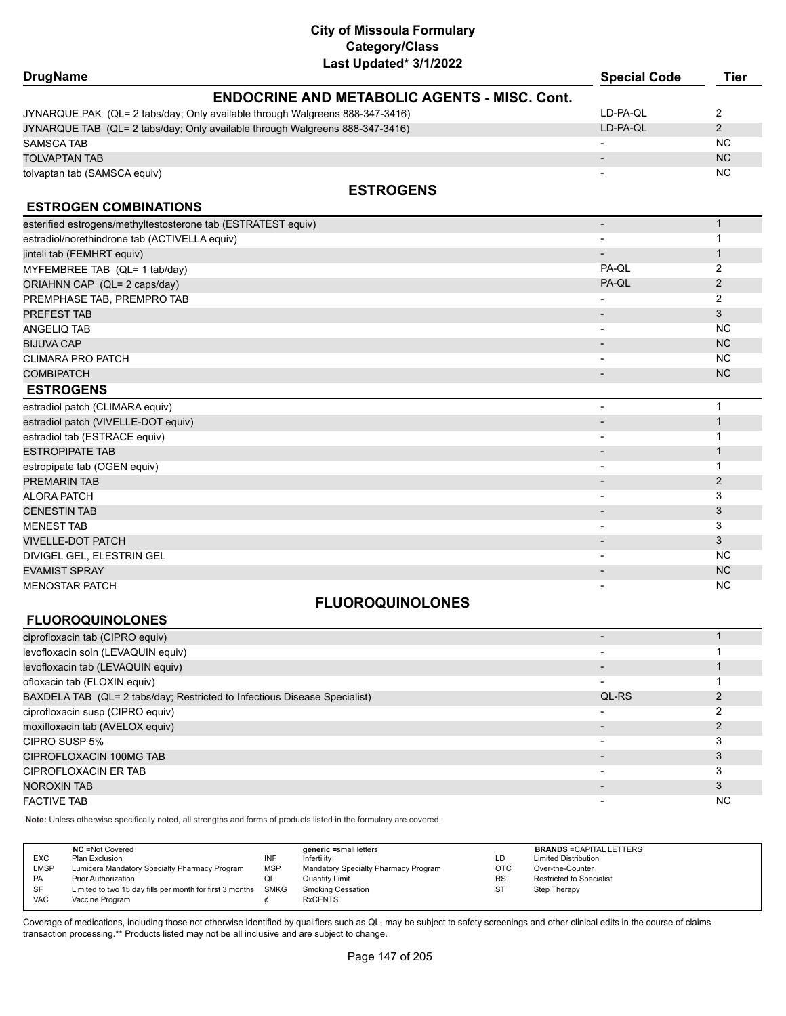| <b>DrugName</b>                                                              | Last υμμαι <del>σ</del> μπ <i>ιι Σ</i> υΣΣ          | <b>Special Code</b>          | <b>Tier</b>    |
|------------------------------------------------------------------------------|-----------------------------------------------------|------------------------------|----------------|
|                                                                              | <b>ENDOCRINE AND METABOLIC AGENTS - MISC. Cont.</b> |                              |                |
| JYNARQUE PAK (QL= 2 tabs/day; Only available through Walgreens 888-347-3416) |                                                     | LD-PA-QL                     | 2              |
| JYNARQUE TAB (QL= 2 tabs/day; Only available through Walgreens 888-347-3416) |                                                     | LD-PA-QL                     | $\overline{2}$ |
| <b>SAMSCA TAB</b>                                                            |                                                     | $\blacksquare$               | <b>NC</b>      |
| <b>TOLVAPTAN TAB</b>                                                         |                                                     | $\overline{\phantom{0}}$     | <b>NC</b>      |
| tolvaptan tab (SAMSCA equiv)                                                 |                                                     |                              | <b>NC</b>      |
|                                                                              | <b>ESTROGENS</b>                                    |                              |                |
|                                                                              |                                                     |                              |                |
| <b>ESTROGEN COMBINATIONS</b>                                                 |                                                     |                              |                |
| esterified estrogens/methyltestosterone tab (ESTRATEST equiv)                |                                                     | $\overline{\phantom{a}}$     | $\mathbf{1}$   |
| estradiol/norethindrone tab (ACTIVELLA equiv)                                |                                                     | $\overline{\phantom{a}}$     | $\mathbf{1}$   |
| jinteli tab (FEMHRT equiv)                                                   |                                                     | $\overline{\phantom{a}}$     | $\mathbf{1}$   |
| MYFEMBREE TAB (QL= 1 tab/day)                                                |                                                     | PA-QL                        | $\overline{2}$ |
| ORIAHNN CAP (QL= 2 caps/day)                                                 |                                                     | PA-QL                        | $\overline{2}$ |
| PREMPHASE TAB, PREMPRO TAB                                                   |                                                     |                              | $\overline{2}$ |
| PREFEST TAB                                                                  |                                                     | $\overline{\phantom{m}}$     | 3              |
| <b>ANGELIQ TAB</b>                                                           |                                                     | $\overline{\phantom{0}}$     | <b>NC</b>      |
| <b>BIJUVA CAP</b>                                                            |                                                     | $\blacksquare$               | <b>NC</b>      |
| <b>CLIMARA PRO PATCH</b>                                                     |                                                     |                              | <b>NC</b>      |
| <b>COMBIPATCH</b>                                                            |                                                     | $\qquad \qquad \blacksquare$ | <b>NC</b>      |
| <b>ESTROGENS</b>                                                             |                                                     |                              |                |
| estradiol patch (CLIMARA equiv)                                              |                                                     | L,                           | $\mathbf{1}$   |
| estradiol patch (VIVELLE-DOT equiv)                                          |                                                     | $\overline{\phantom{m}}$     | $\mathbf{1}$   |
| estradiol tab (ESTRACE equiv)                                                |                                                     |                              | 1              |
| <b>ESTROPIPATE TAB</b>                                                       |                                                     |                              | $\mathbf{1}$   |
| estropipate tab (OGEN equiv)                                                 |                                                     |                              | $\mathbf{1}$   |
| <b>PREMARIN TAB</b>                                                          |                                                     | $\overline{a}$               | 2              |
| <b>ALORA PATCH</b>                                                           |                                                     |                              | 3              |
| <b>CENESTIN TAB</b>                                                          |                                                     |                              | 3              |
| <b>MENEST TAB</b>                                                            |                                                     |                              | 3              |
| <b>VIVELLE-DOT PATCH</b>                                                     |                                                     |                              | 3              |
| DIVIGEL GEL, ELESTRIN GEL                                                    |                                                     | $\overline{a}$               | <b>NC</b>      |
| <b>EVAMIST SPRAY</b>                                                         |                                                     | $\overline{\phantom{m}}$     | <b>NC</b>      |
| <b>MENOSTAR PATCH</b>                                                        |                                                     |                              | <b>NC</b>      |
|                                                                              | <b>FLUOROQUINOLONES</b>                             |                              |                |
| <b>FLUOROQUINOLONES</b>                                                      |                                                     |                              |                |
| ciprofloxacin tab (CIPRO equiv)                                              |                                                     | $\overline{\phantom{a}}$     | $\mathbf{1}$   |
| Avofloxacin soln (LEVAOLIIN equiv)                                           |                                                     |                              | 1              |

| ciprofloxacin tab (CIPRO equiv)                                           |                          |           |
|---------------------------------------------------------------------------|--------------------------|-----------|
| levofloxacin soln (LEVAQUIN equiv)                                        |                          |           |
| levofloxacin tab (LEVAQUIN equiv)                                         |                          |           |
| ofloxacin tab (FLOXIN equiv)                                              | $\overline{\phantom{0}}$ |           |
| BAXDELA TAB (QL= 2 tabs/day; Restricted to Infectious Disease Specialist) | QL-RS                    |           |
| ciprofloxacin susp (CIPRO equiv)                                          | $\overline{\phantom{0}}$ |           |
| moxifloxacin tab (AVELOX equiv)                                           |                          |           |
| CIPRO SUSP 5%                                                             |                          |           |
| CIPROFLOXACIN 100MG TAB                                                   |                          |           |
| CIPROFLOXACIN ER TAB                                                      | $\overline{\phantom{0}}$ |           |
| NOROXIN TAB                                                               |                          |           |
| <b>FACTIVE TAB</b>                                                        |                          | <b>NC</b> |

**Note:** Unless otherwise specifically noted, all strengths and forms of products listed in the formulary are covered.

| <b>NC</b> = Not Covered<br><b>EXC</b><br>Plan Exclusion<br><b>LMSP</b><br>Lumicera Mandatory Specialty Pharmacy Program<br><b>PA</b><br><b>Prior Authorization</b><br>SF<br>Limited to two 15 day fills per month for first 3 months<br><b>VAC</b><br>Vaccine Program | INF<br><b>MSP</b><br>QL<br><b>SMKG</b> | generic =small letters<br>Infertility<br>Mandatory Specialty Pharmacy Program<br>Quantity Limit<br><b>Smoking Cessation</b><br><b>RxCENTS</b> | LD<br>OTC<br><b>RS</b><br><b>ST</b> | <b>BRANDS = CAPITAL LETTERS</b><br><b>Limited Distribution</b><br>Over-the-Counter<br><b>Restricted to Specialist</b><br>Step Therapy |  |
|-----------------------------------------------------------------------------------------------------------------------------------------------------------------------------------------------------------------------------------------------------------------------|----------------------------------------|-----------------------------------------------------------------------------------------------------------------------------------------------|-------------------------------------|---------------------------------------------------------------------------------------------------------------------------------------|--|
|-----------------------------------------------------------------------------------------------------------------------------------------------------------------------------------------------------------------------------------------------------------------------|----------------------------------------|-----------------------------------------------------------------------------------------------------------------------------------------------|-------------------------------------|---------------------------------------------------------------------------------------------------------------------------------------|--|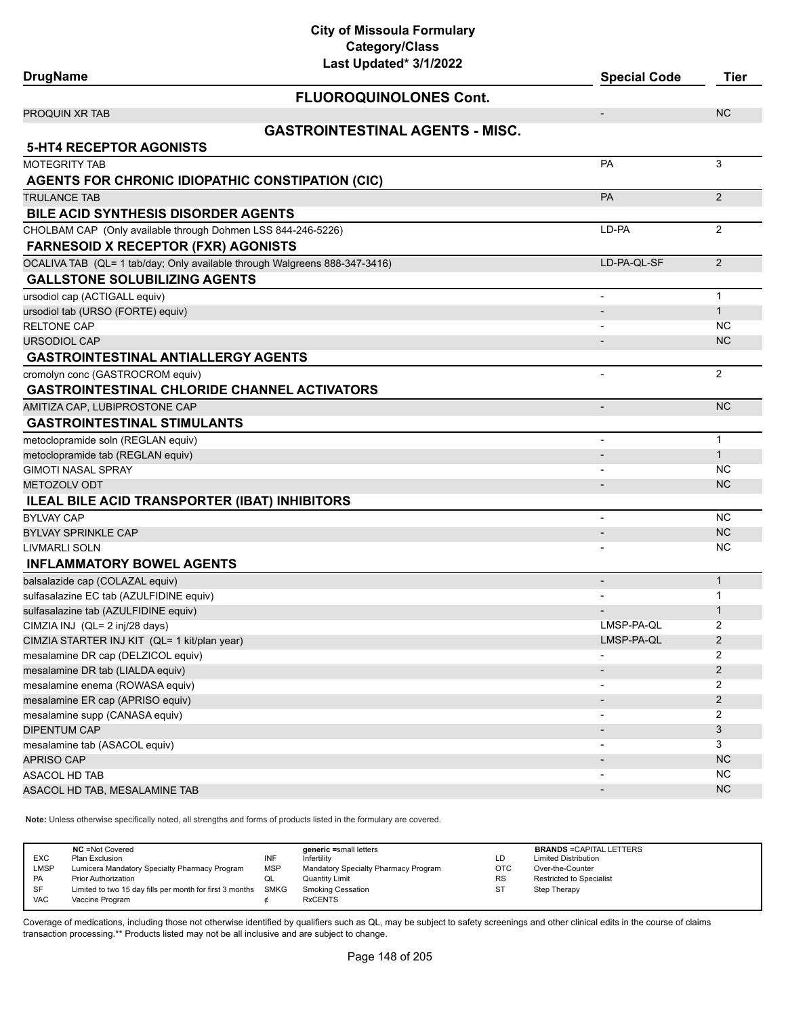**City of Missoula Formulary Category/Class**

| Last Updated* 3/1/2022                                                     |                          |                |
|----------------------------------------------------------------------------|--------------------------|----------------|
| <b>DrugName</b>                                                            | <b>Special Code</b>      | <b>Tier</b>    |
| <b>FLUOROQUINOLONES Cont.</b>                                              |                          |                |
| <b>PROQUIN XR TAB</b>                                                      | $\overline{\phantom{a}}$ | <b>NC</b>      |
| <b>GASTROINTESTINAL AGENTS - MISC.</b>                                     |                          |                |
| <b>5-HT4 RECEPTOR AGONISTS</b>                                             |                          |                |
| <b>MOTEGRITY TAB</b>                                                       | <b>PA</b>                | 3              |
| AGENTS FOR CHRONIC IDIOPATHIC CONSTIPATION (CIC)                           |                          |                |
|                                                                            | <b>PA</b>                | 2              |
| <b>TRULANCE TAB</b><br><b>BILE ACID SYNTHESIS DISORDER AGENTS</b>          |                          |                |
|                                                                            |                          |                |
| CHOLBAM CAP (Only available through Dohmen LSS 844-246-5226)               | LD-PA                    | 2              |
| <b>FARNESOID X RECEPTOR (FXR) AGONISTS</b>                                 |                          |                |
| OCALIVA TAB (QL= 1 tab/day; Only available through Walgreens 888-347-3416) | LD-PA-QL-SF              | 2              |
| <b>GALLSTONE SOLUBILIZING AGENTS</b>                                       |                          |                |
| ursodiol cap (ACTIGALL equiv)                                              |                          | $\mathbf{1}$   |
| ursodiol tab (URSO (FORTE) equiv)                                          |                          | $\mathbf{1}$   |
| <b>RELTONE CAP</b>                                                         |                          | NC.            |
| <b>URSODIOL CAP</b>                                                        |                          | <b>NC</b>      |
| <b>GASTROINTESTINAL ANTIALLERGY AGENTS</b>                                 |                          |                |
| cromolyn conc (GASTROCROM equiv)                                           |                          | 2              |
| <b>GASTROINTESTINAL CHLORIDE CHANNEL ACTIVATORS</b>                        |                          |                |
| AMITIZA CAP, LUBIPROSTONE CAP                                              | $\centerdot$             | <b>NC</b>      |
| <b>GASTROINTESTINAL STIMULANTS</b>                                         |                          |                |
| metoclopramide soln (REGLAN equiv)                                         | $\overline{\phantom{a}}$ | $\mathbf{1}$   |
| metoclopramide tab (REGLAN equiv)                                          |                          | $\mathbf{1}$   |
| <b>GIMOTI NASAL SPRAY</b>                                                  |                          | NC             |
| <b>METOZOLV ODT</b>                                                        | $\overline{\phantom{a}}$ | <b>NC</b>      |
| <b>ILEAL BILE ACID TRANSPORTER (IBAT) INHIBITORS</b>                       |                          |                |
| <b>BYLVAY CAP</b>                                                          | $\overline{\phantom{m}}$ | <b>NC</b>      |
| <b>BYLVAY SPRINKLE CAP</b>                                                 |                          | <b>NC</b>      |
| LIVMARLI SOLN                                                              |                          | NC.            |
| <b>INFLAMMATORY BOWEL AGENTS</b>                                           |                          |                |
| balsalazide cap (COLAZAL equiv)                                            |                          | $\mathbf{1}$   |
| sulfasalazine EC tab (AZULFIDINE equiv)                                    |                          | 1              |
| sulfasalazine tab (AZULFIDINE equiv)                                       |                          | 1              |
| CIMZIA INJ (QL= 2 inj/28 days)                                             | LMSP-PA-QL               | 2              |
| CIMZIA STARTER INJ KIT (QL= 1 kit/plan year)                               | LMSP-PA-QL               | $\overline{c}$ |
| mesalamine DR cap (DELZICOL equiv)                                         |                          | 2              |
| mesalamine DR tab (LIALDA equiv)                                           |                          | $\overline{2}$ |
| mesalamine enema (ROWASA equiv)                                            |                          | $\overline{c}$ |
| mesalamine ER cap (APRISO equiv)                                           | $\overline{\phantom{a}}$ | $\overline{c}$ |
| mesalamine supp (CANASA equiv)                                             | $\overline{\phantom{a}}$ | 2              |
| <b>DIPENTUM CAP</b>                                                        | $\overline{\phantom{a}}$ | 3              |
| mesalamine tab (ASACOL equiv)                                              |                          | 3              |
| <b>APRISO CAP</b>                                                          |                          | <b>NC</b>      |
| ASACOL HD TAB                                                              |                          | <b>NC</b>      |
| ASACOL HD TAB, MESALAMINE TAB                                              | $\overline{\phantom{a}}$ | <b>NC</b>      |

**Note:** Unless otherwise specifically noted, all strengths and forms of products listed in the formulary are covered.

| <b>EXC</b><br>LMSP<br><b>PA</b> | <b>NC</b> = Not Covered<br>Plan Exclusion<br>Lumicera Mandatory Specialty Pharmacy Program<br><b>Prior Authorization</b> | INF<br><b>MSP</b><br>QL | generic =small letters<br>Infertility<br>Mandatory Specialty Pharmacy Program<br>Quantity Limit | LD<br><b>OTC</b><br><b>RS</b> | <b>BRANDS = CAPITAL LETTERS</b><br><b>Limited Distribution</b><br>Over-the-Counter<br><b>Restricted to Specialist</b> |
|---------------------------------|--------------------------------------------------------------------------------------------------------------------------|-------------------------|-------------------------------------------------------------------------------------------------|-------------------------------|-----------------------------------------------------------------------------------------------------------------------|
| SF<br><b>VAC</b>                | Limited to two 15 day fills per month for first 3 months SMKG<br>Vaccine Program                                         |                         | <b>Smoking Cessation</b><br><b>RxCENTS</b>                                                      | -ST                           | Step Therapy                                                                                                          |
|                                 |                                                                                                                          |                         |                                                                                                 |                               |                                                                                                                       |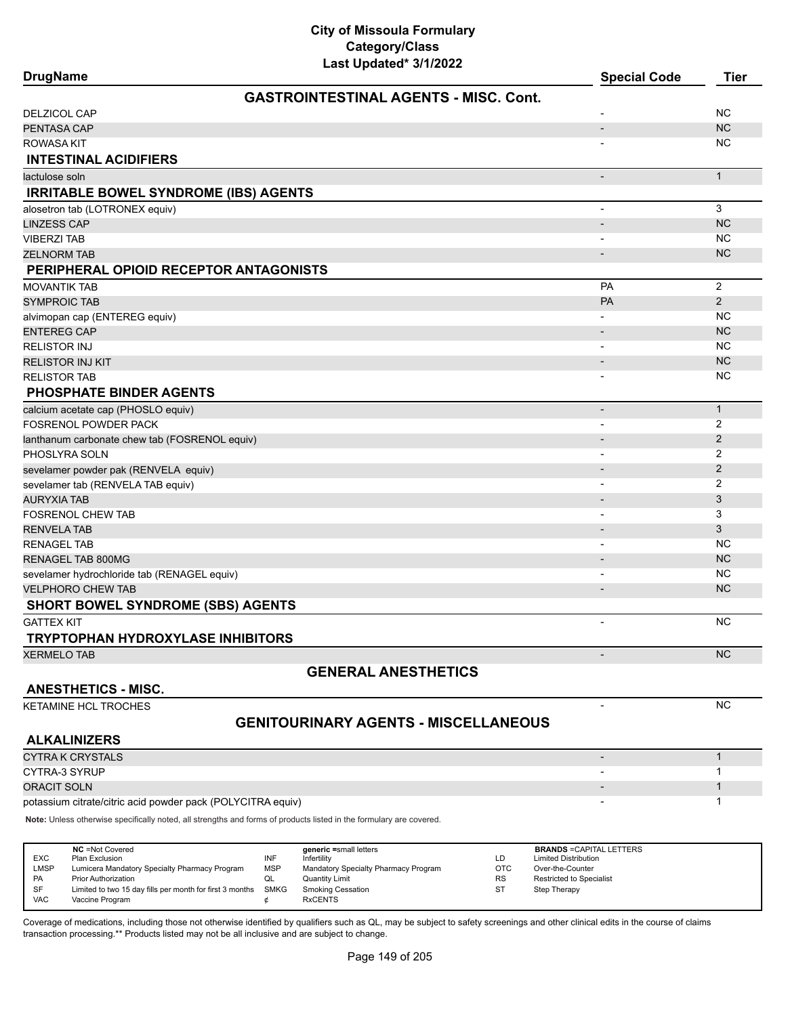| Last Updated* 3/1/2022<br><b>DrugName</b>     | <b>Special Code</b>      | <b>Tier</b>    |
|-----------------------------------------------|--------------------------|----------------|
| <b>GASTROINTESTINAL AGENTS - MISC. Cont.</b>  |                          |                |
| <b>DELZICOL CAP</b>                           |                          | <b>NC</b>      |
| PENTASA CAP                                   | $\overline{\phantom{a}}$ | <b>NC</b>      |
| ROWASA KIT                                    |                          | NC.            |
| <b>INTESTINAL ACIDIFIERS</b>                  |                          |                |
| lactulose soln                                | $\overline{\phantom{a}}$ | $\mathbf{1}$   |
| <b>IRRITABLE BOWEL SYNDROME (IBS) AGENTS</b>  |                          |                |
| alosetron tab (LOTRONEX equiv)                | $\overline{\phantom{a}}$ | 3              |
| <b>LINZESS CAP</b>                            | $\overline{\phantom{0}}$ | <b>NC</b>      |
| <b>VIBERZI TAB</b>                            |                          | <b>NC</b>      |
| <b>ZELNORM TAB</b>                            |                          | <b>NC</b>      |
| PERIPHERAL OPIOID RECEPTOR ANTAGONISTS        |                          |                |
| <b>MOVANTIK TAB</b>                           | <b>PA</b>                | 2              |
| <b>SYMPROIC TAB</b>                           | PA                       | 2              |
| alvimopan cap (ENTEREG equiv)                 |                          | <b>NC</b>      |
| <b>ENTEREG CAP</b>                            |                          | <b>NC</b>      |
| <b>RELISTOR INJ</b>                           |                          | <b>NC</b>      |
| RELISTOR INJ KIT                              |                          | <b>NC</b>      |
| <b>RELISTOR TAB</b>                           |                          | <b>NC</b>      |
| <b>PHOSPHATE BINDER AGENTS</b>                |                          |                |
| calcium acetate cap (PHOSLO equiv)            | $\blacksquare$           | $\mathbf{1}$   |
| <b>FOSRENOL POWDER PACK</b>                   |                          | $\overline{2}$ |
| lanthanum carbonate chew tab (FOSRENOL equiv) |                          | 2              |
| PHOSLYRA SOLN                                 |                          | 2              |
| sevelamer powder pak (RENVELA equiv)          |                          | $\sqrt{2}$     |
| sevelamer tab (RENVELA TAB equiv)             |                          | 2              |
| <b>AURYXIA TAB</b>                            |                          | 3              |
| <b>FOSRENOL CHEW TAB</b>                      |                          | 3              |
| <b>RENVELA TAB</b>                            |                          | 3              |
| <b>RENAGEL TAB</b>                            | $\blacksquare$           | <b>NC</b>      |
| RENAGEL TAB 800MG                             |                          | <b>NC</b>      |
| sevelamer hydrochloride tab (RENAGEL equiv)   |                          | <b>NC</b>      |
| <b>VELPHORO CHEW TAB</b>                      | $\overline{\phantom{a}}$ | <b>NC</b>      |
| <b>SHORT BOWEL SYNDROME (SBS) AGENTS</b>      |                          |                |
| <b>GATTEX KIT</b>                             | $\blacksquare$           | <b>NC</b>      |
| <b>TRYPTOPHAN HYDROXYLASE INHIBITORS</b>      |                          |                |
| <b>XERMELO TAB</b>                            | $\frac{1}{2}$            | <b>NC</b>      |
| <b>GENERAL ANESTHETICS</b>                    |                          |                |
|                                               |                          |                |

#### **ANESTHETICS - MISC.**

KETAMINE HCL TROCHES NOW A REAL PROPERTY AND THE SET OF THE SET OF THE SET OF THE SET OF THE SET OF THE SET OF THE SET OF THE SET OF THE SET OF THE SET OF THE SET OF THE SET OF THE SET OF THE SET OF THE SET OF THE SET OF T

## **GENITOURINARY AGENTS - MISCELLANEOUS**

**ALKALINIZERS**

CYTRA K CRYSTALS - 1 cytra 3 Syrup 2012 and 2012 and 2012 and 2012 and 2012 and 2012 and 2012 and 2012 and 2012 and 2012 and 2012 and 201 or of the state of the state of the state of the state of the state of the state of the state of the state of t potassium citrate/citric acid powder pack (POLYCITRA equiv) and the control of the control of the control of the control of the control of the control of the control of the control of the control of the control of the cont

**Note:** Unless otherwise specifically noted, all strengths and forms of products listed in the formulary are covered.

| <b>EXC</b><br><b>LMSP</b><br>PA | <b>NC</b> = Not Covered<br>Plan Exclusion<br>Lumicera Mandatory Specialty Pharmacy Program<br><b>Prior Authorization</b> | INF<br><b>MSP</b><br>QL | generic =small letters<br>Infertility<br>Mandatory Specialty Pharmacy Program<br><b>Quantity Limit</b> | LD<br>OTC<br><b>RS</b> | <b>BRANDS = CAPITAL LETTERS</b><br><b>Limited Distribution</b><br>Over-the-Counter<br><b>Restricted to Specialist</b> |
|---------------------------------|--------------------------------------------------------------------------------------------------------------------------|-------------------------|--------------------------------------------------------------------------------------------------------|------------------------|-----------------------------------------------------------------------------------------------------------------------|
| SF<br><b>VAC</b>                | Limited to two 15 day fills per month for first 3 months<br>Vaccine Program                                              | SMKG                    | <b>Smoking Cessation</b><br><b>RxCENTS</b>                                                             | ST                     | Step Therapy                                                                                                          |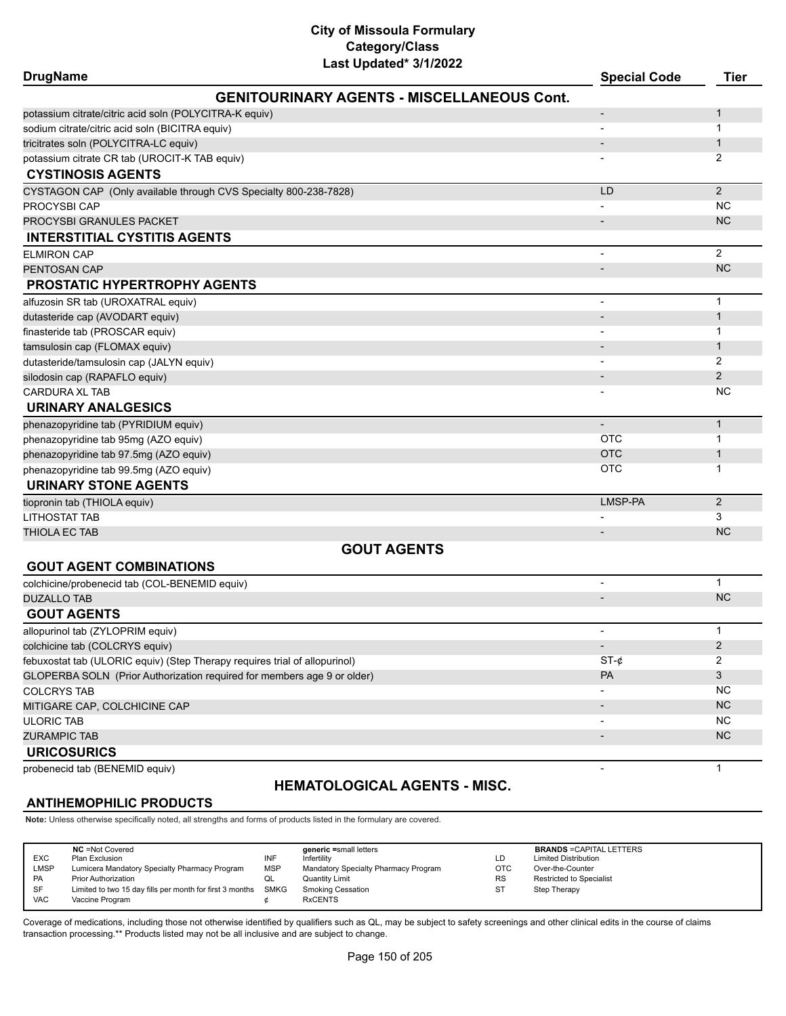| <b>DrugName</b>                                                            | Last Updated" 3/1/2022                            | <b>Special Code</b>      | <b>Tier</b>    |
|----------------------------------------------------------------------------|---------------------------------------------------|--------------------------|----------------|
|                                                                            | <b>GENITOURINARY AGENTS - MISCELLANEOUS Cont.</b> |                          |                |
| potassium citrate/citric acid soln (POLYCITRA-K equiv)                     |                                                   |                          | 1              |
| sodium citrate/citric acid soln (BICITRA equiv)                            |                                                   |                          | 1              |
| tricitrates soln (POLYCITRA-LC equiv)                                      |                                                   |                          | $\mathbf{1}$   |
| potassium citrate CR tab (UROCIT-K TAB equiv)                              |                                                   |                          | 2              |
| <b>CYSTINOSIS AGENTS</b>                                                   |                                                   |                          |                |
| CYSTAGON CAP (Only available through CVS Specialty 800-238-7828)           |                                                   | LD                       | $\overline{2}$ |
| PROCYSBI CAP                                                               |                                                   |                          | <b>NC</b>      |
| PROCYSBI GRANULES PACKET                                                   |                                                   |                          | <b>NC</b>      |
| <b>INTERSTITIAL CYSTITIS AGENTS</b>                                        |                                                   |                          |                |
| <b>ELMIRON CAP</b>                                                         |                                                   |                          | $\overline{2}$ |
| PENTOSAN CAP                                                               |                                                   | $\overline{\phantom{a}}$ | <b>NC</b>      |
| <b>PROSTATIC HYPERTROPHY AGENTS</b>                                        |                                                   |                          |                |
| alfuzosin SR tab (UROXATRAL equiv)                                         |                                                   |                          | $\mathbf{1}$   |
| dutasteride cap (AVODART equiv)                                            |                                                   |                          | $\mathbf{1}$   |
| finasteride tab (PROSCAR equiv)                                            |                                                   |                          | 1              |
| tamsulosin cap (FLOMAX equiv)                                              |                                                   |                          | $\mathbf{1}$   |
| dutasteride/tamsulosin cap (JALYN equiv)                                   |                                                   |                          | 2              |
| silodosin cap (RAPAFLO equiv)                                              |                                                   |                          | $\overline{2}$ |
| <b>CARDURA XL TAB</b>                                                      |                                                   |                          | NC             |
| <b>URINARY ANALGESICS</b>                                                  |                                                   |                          |                |
| phenazopyridine tab (PYRIDIUM equiv)                                       |                                                   |                          | $\mathbf{1}$   |
| phenazopyridine tab 95mg (AZO equiv)                                       |                                                   | <b>OTC</b>               | 1              |
| phenazopyridine tab 97.5mg (AZO equiv)                                     |                                                   | <b>OTC</b>               | $\mathbf{1}$   |
| phenazopyridine tab 99.5mg (AZO equiv)                                     |                                                   | <b>OTC</b>               | 1              |
| <b>URINARY STONE AGENTS</b>                                                |                                                   |                          |                |
| tiopronin tab (THIOLA equiv)                                               |                                                   | LMSP-PA                  | $\overline{2}$ |
| LITHOSTAT TAB                                                              |                                                   |                          | 3              |
| THIOLA EC TAB                                                              |                                                   |                          | <b>NC</b>      |
|                                                                            | <b>GOUT AGENTS</b>                                |                          |                |
| <b>GOUT AGENT COMBINATIONS</b>                                             |                                                   |                          |                |
| colchicine/probenecid tab (COL-BENEMID equiv)                              |                                                   | $\blacksquare$           | $\mathbf{1}$   |
| <b>DUZALLO TAB</b>                                                         |                                                   | $\overline{\phantom{a}}$ | <b>NC</b>      |
| <b>GOUT AGENTS</b>                                                         |                                                   |                          |                |
| allopurinol tab (ZYLOPRIM equiv)                                           |                                                   |                          | $\mathbf{1}$   |
| colchicine tab (COLCRYS equiv)                                             |                                                   | $\overline{\phantom{a}}$ | 2              |
| febuxostat tab (ULORIC equiv) (Step Therapy requires trial of allopurinol) |                                                   | ST- $\phi$               | 2              |
| GLOPERBA SOLN (Prior Authorization required for members age 9 or older)    |                                                   | PA                       | 3              |
| <b>COLCRYS TAB</b>                                                         |                                                   |                          | NC.            |
| MITIGARE CAP, COLCHICINE CAP                                               |                                                   |                          | <b>NC</b>      |
| <b>ULORIC TAB</b>                                                          |                                                   | $\overline{\phantom{a}}$ | <b>NC</b>      |
| <b>ZURAMPIC TAB</b>                                                        |                                                   |                          | <b>NC</b>      |
| <b>URICOSURICS</b>                                                         |                                                   |                          |                |
| probenecid tab (BENEMID equiv)                                             |                                                   |                          | 1              |

# **HEMATOLOGICAL AGENTS - MISC.**

# **ANTIHEMOPHILIC PRODUCTS**

**Note:** Unless otherwise specifically noted, all strengths and forms of products listed in the formulary are covered.

|  | <b>EXC</b><br><b>LMSP</b><br>PA<br><b>SF</b><br><b>VAC</b> | <b>NC</b> = Not Covered<br>Plan Exclusion<br>Lumicera Mandatory Specialty Pharmacy Program<br><b>Prior Authorization</b><br>Limited to two 15 day fills per month for first 3 months<br>Vaccine Program | INF<br><b>MSP</b><br>QL<br>SMKG | generic =small letters<br>Infertility<br>Mandatory Specialty Pharmacy Program<br><b>Quantity Limit</b><br><b>Smoking Cessation</b><br><b>RxCENTS</b> | LD<br>OTC<br><b>RS</b><br><b>ST</b> | <b>BRANDS = CAPITAL LETTERS</b><br><b>Limited Distribution</b><br>Over-the-Counter<br>Restricted to Specialist<br>Step Therapy |
|--|------------------------------------------------------------|---------------------------------------------------------------------------------------------------------------------------------------------------------------------------------------------------------|---------------------------------|------------------------------------------------------------------------------------------------------------------------------------------------------|-------------------------------------|--------------------------------------------------------------------------------------------------------------------------------|
|--|------------------------------------------------------------|---------------------------------------------------------------------------------------------------------------------------------------------------------------------------------------------------------|---------------------------------|------------------------------------------------------------------------------------------------------------------------------------------------------|-------------------------------------|--------------------------------------------------------------------------------------------------------------------------------|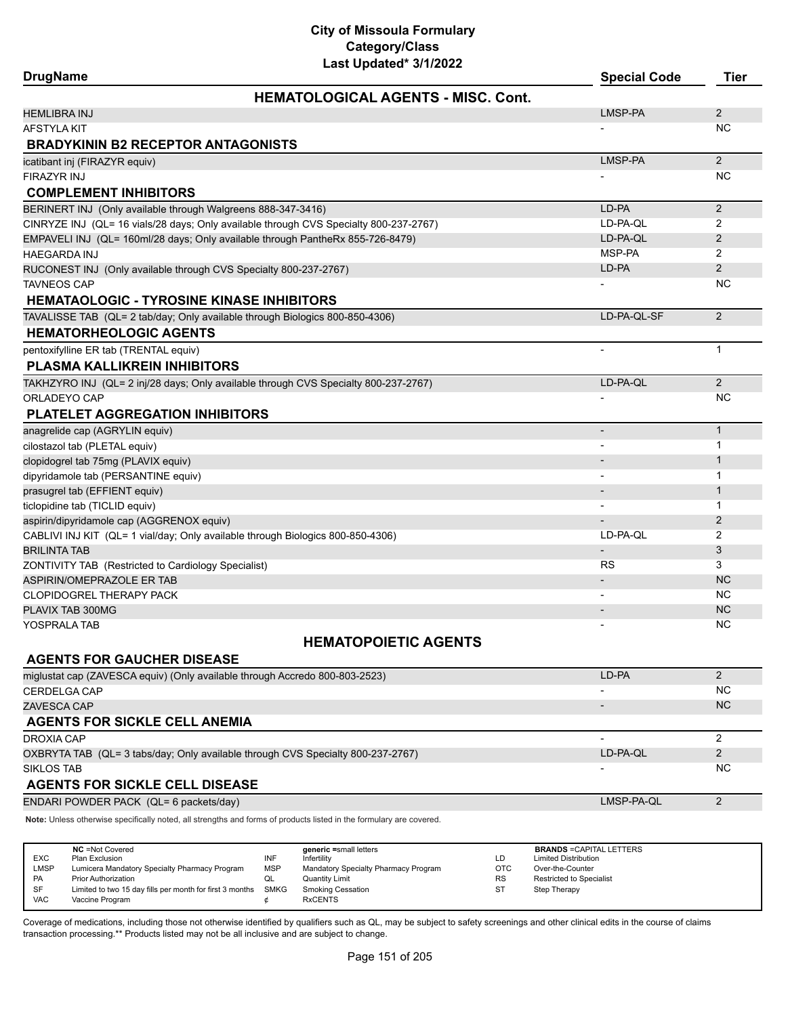| Last Updated* 3/1/2022<br><b>DrugName</b>                                             | <b>Special Code</b>      | <b>Tier</b>    |
|---------------------------------------------------------------------------------------|--------------------------|----------------|
| <b>HEMATOLOGICAL AGENTS - MISC. Cont.</b>                                             |                          |                |
| HEMLIBRA INJ                                                                          | LMSP-PA                  | $\overline{2}$ |
| AFSTYLA KIT                                                                           |                          | <b>NC</b>      |
| <b>BRADYKININ B2 RECEPTOR ANTAGONISTS</b>                                             |                          |                |
| icatibant inj (FIRAZYR equiv)                                                         | LMSP-PA                  | $\overline{2}$ |
| FIRAZYR INJ                                                                           |                          | <b>NC</b>      |
| <b>COMPLEMENT INHIBITORS</b>                                                          |                          |                |
| BERINERT INJ (Only available through Walgreens 888-347-3416)                          | LD-PA                    | $\overline{2}$ |
| CINRYZE INJ (QL= 16 vials/28 days; Only available through CVS Specialty 800-237-2767) | LD-PA-QL                 | 2              |
| EMPAVELI INJ (QL= 160ml/28 days; Only available through PantheRx 855-726-8479)        | LD-PA-QL                 | 2              |
| <b>HAEGARDA INJ</b>                                                                   | MSP-PA                   | $\overline{2}$ |
| RUCONEST INJ (Only available through CVS Specialty 800-237-2767)                      | LD-PA                    | 2              |
| TAVNEOS CAP                                                                           |                          | <b>NC</b>      |
| <b>HEMATAOLOGIC - TYROSINE KINASE INHIBITORS</b>                                      |                          |                |
| TAVALISSE TAB (QL= 2 tab/day; Only available through Biologics 800-850-4306)          | LD-PA-QL-SF              | 2              |
| <b>HEMATORHEOLOGIC AGENTS</b>                                                         |                          |                |
| pentoxifylline ER tab (TRENTAL equiv)                                                 | $\overline{\phantom{a}}$ | $\mathbf{1}$   |
| <b>PLASMA KALLIKREIN INHIBITORS</b>                                                   |                          |                |
| TAKHZYRO INJ (QL= 2 inj/28 days; Only available through CVS Specialty 800-237-2767)   | LD-PA-QL                 | 2              |
| ORLADEYO CAP                                                                          |                          | <b>NC</b>      |
| <b>PLATELET AGGREGATION INHIBITORS</b>                                                |                          |                |
| anagrelide cap (AGRYLIN equiv)                                                        | $\overline{a}$           | $\mathbf{1}$   |
| cilostazol tab (PLETAL equiv)                                                         | $\blacksquare$           | 1              |
| clopidogrel tab 75mg (PLAVIX equiv)                                                   |                          | 1              |
| dipyridamole tab (PERSANTINE equiv)                                                   |                          | 1              |
| prasugrel tab (EFFIENT equiv)                                                         |                          | $\mathbf{1}$   |
| ticlopidine tab (TICLID equiv)                                                        |                          | 1              |
| aspirin/dipyridamole cap (AGGRENOX equiv)                                             |                          | 2              |
| CABLIVI INJ KIT (QL= 1 vial/day; Only available through Biologics 800-850-4306)       | LD-PA-QL                 | 2              |
| BRILINTA TAB                                                                          | $\overline{\phantom{0}}$ | 3              |
| ZONTIVITY TAB (Restricted to Cardiology Specialist)                                   | RS                       | 3              |
| ASPIRIN/OMEPRAZOLE ER TAB                                                             | $\overline{\phantom{a}}$ | <b>NC</b>      |
| CLOPIDOGREL THERAPY PACK                                                              | $\overline{\phantom{a}}$ | <b>NC</b>      |
| PLAVIX TAB 300MG                                                                      |                          | <b>NC</b>      |
| YOSPRALA TAB                                                                          |                          | <b>NC</b>      |
| <b>HEMATOPOIETIC AGENTS</b>                                                           |                          |                |
| <b>AGENTS FOR GAUCHER DISEASE</b>                                                     |                          |                |
| miglustat cap (ZAVESCA equiv) (Only available through Accredo 800-803-2523)           | LD-PA                    | $\overline{2}$ |
| CERDELGA CAP                                                                          |                          | NC.            |
| ZAVESCA CAP                                                                           |                          | <b>NC</b>      |
| <b>AGENTS FOR SICKLE CELL ANEMIA</b>                                                  |                          |                |
| <b>DROXIA CAP</b>                                                                     |                          | $\overline{2}$ |
| OXBRYTA TAB (QL= 3 tabs/day; Only available through CVS Specialty 800-237-2767)       | LD-PA-QL                 | $\overline{2}$ |
| SIKLOS TAB                                                                            |                          | <b>NC</b>      |
| <b>AGENTS FOR SICKLE CELL DISEASE</b>                                                 |                          |                |
| ENDARI POWDER PACK (QL= 6 packets/day)                                                | LMSP-PA-QL               | 2              |

**Note:** Unless otherwise specifically noted, all strengths and forms of products listed in the formulary are covered.

| <b>EXC</b><br>LMSP<br><b>PA</b> | <b>NC</b> = Not Covered<br>Plan Exclusion<br>Lumicera Mandatory Specialty Pharmacy Program<br><b>Prior Authorization</b> | INF<br><b>MSP</b><br>QL | generic =small letters<br>Infertility<br>Mandatory Specialty Pharmacy Program<br><b>Quantity Limit</b> | LD<br><b>OTC</b><br><b>RS</b> | <b>BRANDS = CAPITAL LETTERS</b><br><b>Limited Distribution</b><br>Over-the-Counter<br><b>Restricted to Specialist</b> |
|---------------------------------|--------------------------------------------------------------------------------------------------------------------------|-------------------------|--------------------------------------------------------------------------------------------------------|-------------------------------|-----------------------------------------------------------------------------------------------------------------------|
| <b>SF</b><br><b>VAC</b>         | Limited to two 15 day fills per month for first 3 months<br>Vaccine Program                                              | SMKG                    | <b>Smoking Cessation</b><br><b>RxCENTS</b>                                                             | ST                            | Step Therapy                                                                                                          |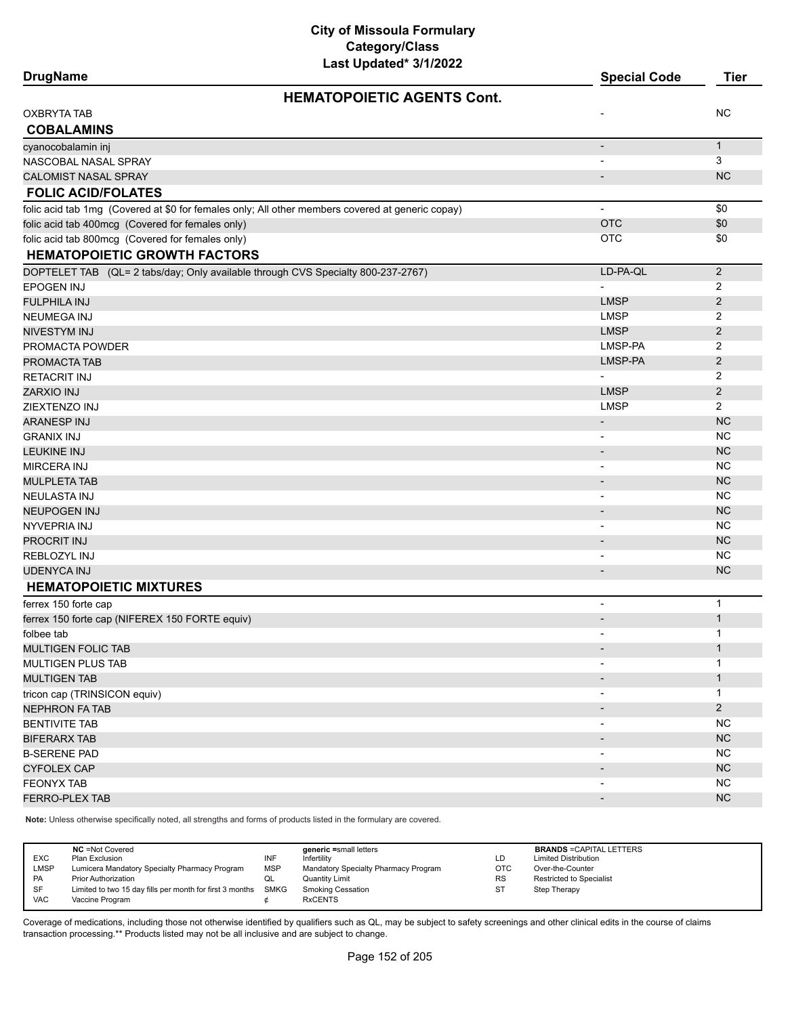| Last Upualtu viiikukk<br><b>DrugName</b>                                                         | <b>Special Code</b>      | <b>Tier</b>    |
|--------------------------------------------------------------------------------------------------|--------------------------|----------------|
| <b>HEMATOPOIETIC AGENTS Cont.</b>                                                                |                          |                |
| <b>OXBRYTA TAB</b>                                                                               |                          | <b>NC</b>      |
| <b>COBALAMINS</b>                                                                                |                          |                |
| cyanocobalamin inj                                                                               | $\overline{\phantom{a}}$ | $\mathbf{1}$   |
| NASCOBAL NASAL SPRAY                                                                             | $\overline{\phantom{a}}$ | 3              |
| <b>CALOMIST NASAL SPRAY</b>                                                                      | $\overline{\phantom{a}}$ | NC             |
| <b>FOLIC ACID/FOLATES</b>                                                                        |                          |                |
| folic acid tab 1mg (Covered at \$0 for females only; All other members covered at generic copay) | $\blacksquare$           | \$0            |
| folic acid tab 400mcg (Covered for females only)                                                 | <b>OTC</b>               | \$0            |
| folic acid tab 800mcg (Covered for females only)                                                 | <b>OTC</b>               | \$0            |
| <b>HEMATOPOIETIC GROWTH FACTORS</b>                                                              |                          |                |
| DOPTELET TAB (QL= 2 tabs/day; Only available through CVS Specialty 800-237-2767)                 | LD-PA-QL                 | $\overline{2}$ |
| <b>EPOGEN INJ</b>                                                                                |                          | 2              |
| <b>FULPHILA INJ</b>                                                                              | <b>LMSP</b>              | $\overline{2}$ |
| <b>NEUMEGA INJ</b>                                                                               | <b>LMSP</b>              | 2              |
| NIVESTYM INJ                                                                                     | <b>LMSP</b>              | 2              |
| PROMACTA POWDER                                                                                  | LMSP-PA                  | 2              |
| PROMACTA TAB                                                                                     | LMSP-PA                  | 2              |
| <b>RETACRIT INJ</b>                                                                              | $\overline{\phantom{a}}$ | 2              |
| ZARXIO INJ                                                                                       | <b>LMSP</b>              | 2              |
| ZIEXTENZO INJ                                                                                    | <b>LMSP</b>              | $\overline{2}$ |
| <b>ARANESP INJ</b>                                                                               | $\overline{\phantom{a}}$ | <b>NC</b>      |
| <b>GRANIX INJ</b>                                                                                | $\blacksquare$           | <b>NC</b>      |
| <b>LEUKINE INJ</b>                                                                               |                          | <b>NC</b>      |
| <b>MIRCERA INJ</b>                                                                               |                          | NC             |
| <b>MULPLETA TAB</b>                                                                              |                          | NC             |
| <b>NEULASTA INJ</b>                                                                              | $\overline{\phantom{a}}$ | NC             |
| <b>NEUPOGEN INJ</b>                                                                              |                          | NC             |
| NYVEPRIA INJ                                                                                     | $\overline{\phantom{a}}$ | <b>NC</b>      |
| PROCRIT INJ                                                                                      |                          | NC             |
| REBLOZYL INJ                                                                                     | $\overline{\phantom{a}}$ | <b>NC</b>      |
| <b>UDENYCA INJ</b>                                                                               | $\overline{\phantom{a}}$ | <b>NC</b>      |
| <b>HEMATOPOIETIC MIXTURES</b>                                                                    |                          |                |
| ferrex 150 forte cap                                                                             | $\blacksquare$           | $\mathbf{1}$   |
| ferrex 150 forte cap (NIFEREX 150 FORTE equiv)                                                   |                          | $\mathbf{1}$   |
| folbee tab                                                                                       |                          | 1              |
| <b>MULTIGEN FOLIC TAB</b>                                                                        | $\overline{\phantom{a}}$ | $\mathbf{1}$   |
| <b>MULTIGEN PLUS TAB</b>                                                                         |                          | 1              |
| <b>MULTIGEN TAB</b>                                                                              |                          | $\mathbf{1}$   |
| tricon cap (TRINSICON equiv)                                                                     |                          | 1              |
| <b>NEPHRON FA TAB</b>                                                                            |                          | $\overline{2}$ |
| <b>BENTIVITE TAB</b>                                                                             | $\overline{\phantom{a}}$ | <b>NC</b>      |
| <b>BIFERARX TAB</b>                                                                              | $\overline{\phantom{a}}$ | NC             |
| <b>B-SERENE PAD</b>                                                                              | $\overline{\phantom{a}}$ | <b>NC</b>      |
| <b>CYFOLEX CAP</b>                                                                               |                          | <b>NC</b>      |
| <b>FEONYX TAB</b>                                                                                | $\overline{\phantom{a}}$ | NC             |
| <b>FERRO-PLEX TAB</b>                                                                            |                          | NC             |

**Note:** Unless otherwise specifically noted, all strengths and forms of products listed in the formulary are covered.

| <b>EXC</b><br><b>LMSP</b><br><b>PA</b> | <b>NC</b> = Not Covered<br>Plan Exclusion<br>Lumicera Mandatory Specialty Pharmacy Program<br><b>Prior Authorization</b> | INF<br><b>MSP</b><br>QL | generic =small letters<br>Infertility<br>Mandatory Specialty Pharmacy Program<br>Quantity Limit | LD<br><b>OTC</b><br><b>RS</b> | <b>BRANDS = CAPITAL LETTERS</b><br><b>Limited Distribution</b><br>Over-the-Counter<br><b>Restricted to Specialist</b> |  |
|----------------------------------------|--------------------------------------------------------------------------------------------------------------------------|-------------------------|-------------------------------------------------------------------------------------------------|-------------------------------|-----------------------------------------------------------------------------------------------------------------------|--|
| SF<br><b>VAC</b>                       | Limited to two 15 day fills per month for first 3 months SMKG<br>Vaccine Program                                         |                         | <b>Smoking Cessation</b><br><b>RxCENTS</b>                                                      | -ST                           | Step Therapy                                                                                                          |  |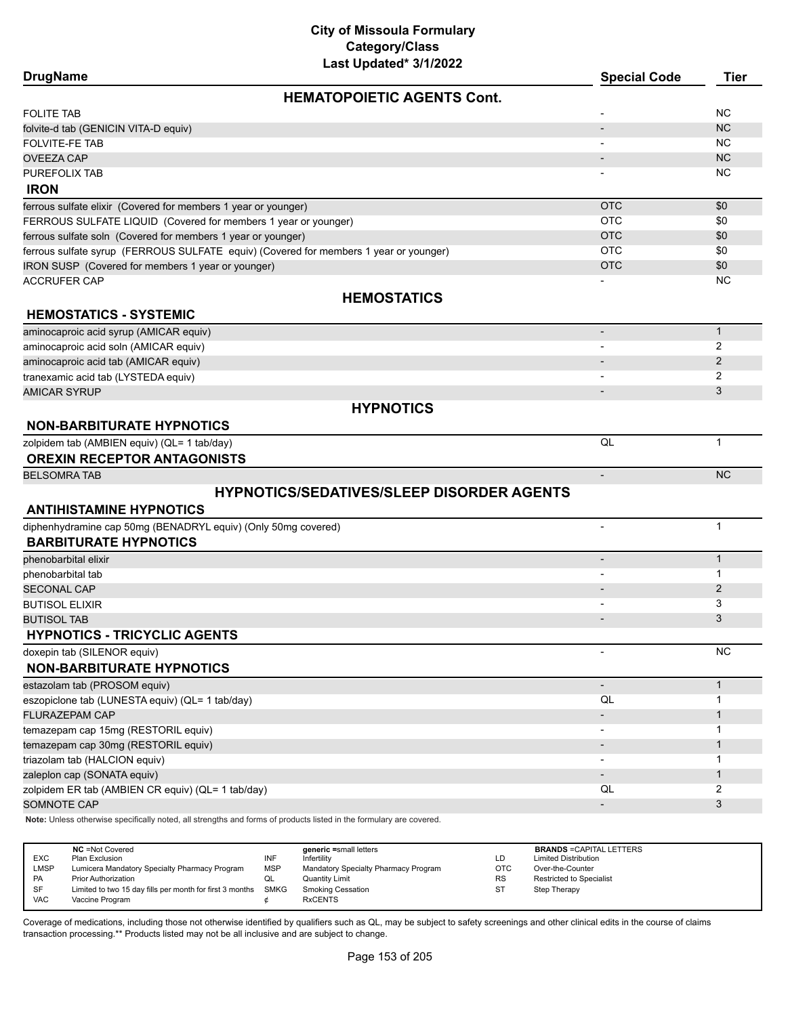# **City of Missoula Formulary Category/Class**

| Last Updated* 3/1/2022                                                                                                             |                          |              |
|------------------------------------------------------------------------------------------------------------------------------------|--------------------------|--------------|
| <b>DrugName</b>                                                                                                                    | <b>Special Code</b>      | <b>Tier</b>  |
| <b>HEMATOPOIETIC AGENTS Cont.</b>                                                                                                  |                          |              |
| <b>FOLITE TAB</b>                                                                                                                  |                          | <b>NC</b>    |
| folvite-d tab (GENICIN VITA-D equiv)                                                                                               |                          | <b>NC</b>    |
| <b>FOLVITE-FE TAB</b>                                                                                                              |                          | <b>NC</b>    |
| <b>OVEEZA CAP</b>                                                                                                                  |                          | <b>NC</b>    |
| PUREFOLIX TAB                                                                                                                      |                          | <b>NC</b>    |
| <b>IRON</b>                                                                                                                        |                          |              |
| ferrous sulfate elixir (Covered for members 1 year or younger)                                                                     | <b>OTC</b>               | \$0          |
| FERROUS SULFATE LIQUID (Covered for members 1 year or younger)                                                                     | <b>OTC</b>               | \$0          |
| ferrous sulfate soln (Covered for members 1 year or younger)                                                                       | <b>OTC</b>               | \$0          |
| ferrous sulfate syrup (FERROUS SULFATE equiv) (Covered for members 1 year or younger)                                              | <b>OTC</b>               | \$0          |
| IRON SUSP (Covered for members 1 year or younger)                                                                                  | <b>OTC</b>               | \$0          |
| <b>ACCRUFER CAP</b>                                                                                                                |                          | <b>NC</b>    |
| <b>HEMOSTATICS</b>                                                                                                                 |                          |              |
| <b>HEMOSTATICS - SYSTEMIC</b>                                                                                                      |                          |              |
| aminocaproic acid syrup (AMICAR equiv)                                                                                             | $\overline{\phantom{a}}$ | $\mathbf{1}$ |
| aminocaproic acid soln (AMICAR equiv)                                                                                              |                          | 2            |
| aminocaproic acid tab (AMICAR equiv)                                                                                               |                          | 2            |
| tranexamic acid tab (LYSTEDA equiv)                                                                                                |                          | 2            |
| <b>AMICAR SYRUP</b>                                                                                                                |                          | 3            |
| <b>HYPNOTICS</b>                                                                                                                   |                          |              |
|                                                                                                                                    |                          |              |
| <b>NON-BARBITURATE HYPNOTICS</b>                                                                                                   |                          |              |
| zolpidem tab (AMBIEN equiv) (QL= 1 tab/day)                                                                                        | QL                       | $\mathbf{1}$ |
| <b>OREXIN RECEPTOR ANTAGONISTS</b>                                                                                                 |                          |              |
| <b>BELSOMRA TAB</b>                                                                                                                | $\overline{\phantom{a}}$ | <b>NC</b>    |
| <b>HYPNOTICS/SEDATIVES/SLEEP DISORDER AGENTS</b>                                                                                   |                          |              |
| <b>ANTIHISTAMINE HYPNOTICS</b>                                                                                                     |                          |              |
| diphenhydramine cap 50mg (BENADRYL equiv) (Only 50mg covered)                                                                      |                          | $\mathbf{1}$ |
| <b>BARBITURATE HYPNOTICS</b>                                                                                                       |                          |              |
| phenobarbital elixir                                                                                                               | $\overline{\phantom{a}}$ | $\mathbf{1}$ |
| phenobarbital tab                                                                                                                  |                          | 1            |
| <b>SECONAL CAP</b>                                                                                                                 |                          | 2            |
| <b>BUTISOL ELIXIR</b>                                                                                                              |                          | 3            |
| <b>BUTISOL TAB</b>                                                                                                                 |                          | 3            |
| <b>HYPNOTICS - TRICYCLIC AGENTS</b>                                                                                                |                          |              |
| doxepin tab (SILENOR equiv)                                                                                                        |                          | NC           |
| <b>NON-BARBITURATE HYPNOTICS</b>                                                                                                   |                          |              |
|                                                                                                                                    |                          |              |
| estazolam tab (PROSOM equiv)                                                                                                       | $\overline{\phantom{a}}$ | $\mathbf{1}$ |
| eszopiclone tab (LUNESTA equiv) (QL= 1 tab/day)                                                                                    | QL                       | 1            |
| FLURAZEPAM CAP                                                                                                                     | $\overline{\phantom{a}}$ | $\mathbf{1}$ |
| temazepam cap 15mg (RESTORIL equiv)                                                                                                | $\overline{\phantom{a}}$ | 1            |
| temazepam cap 30mg (RESTORIL equiv)                                                                                                | $\overline{\phantom{a}}$ | $\mathbf{1}$ |
| triazolam tab (HALCION equiv)                                                                                                      | $\overline{\phantom{a}}$ | 1            |
| zaleplon cap (SONATA equiv)                                                                                                        |                          | $\mathbf{1}$ |
| zolpidem ER tab (AMBIEN CR equiv) (QL= 1 tab/day)                                                                                  | QL                       | 2            |
| SOMNOTE CAP<br>Note: Unless otherwise specifically noted, all strengths and forms of products listed in the formulary are covered. |                          | 3            |
|                                                                                                                                    |                          |              |

|             | <b>NC</b> = Not Covered                                  |      | generic =small letters               |           | <b>BRANDS = CAPITAL LETTERS</b> |
|-------------|----------------------------------------------------------|------|--------------------------------------|-----------|---------------------------------|
| <b>EXC</b>  | Plan Exclusion                                           | INF  | Infertility                          | LD        | <b>Limited Distribution</b>     |
| <b>LMSP</b> | Lumicera Mandatory Specialty Pharmacy Program            | MSP  | Mandatory Specialty Pharmacy Program | OTC       | Over-the-Counter                |
| PA          | <b>Prior Authorization</b>                               |      | <b>Quantity Limit</b>                | <b>RS</b> | <b>Restricted to Specialist</b> |
| SF          | Limited to two 15 day fills per month for first 3 months | SMKG | <b>Smoking Cessation</b>             |           | Step Therapy                    |
| <b>VAC</b>  | Vaccine Program                                          |      | <b>RxCENTS</b>                       |           |                                 |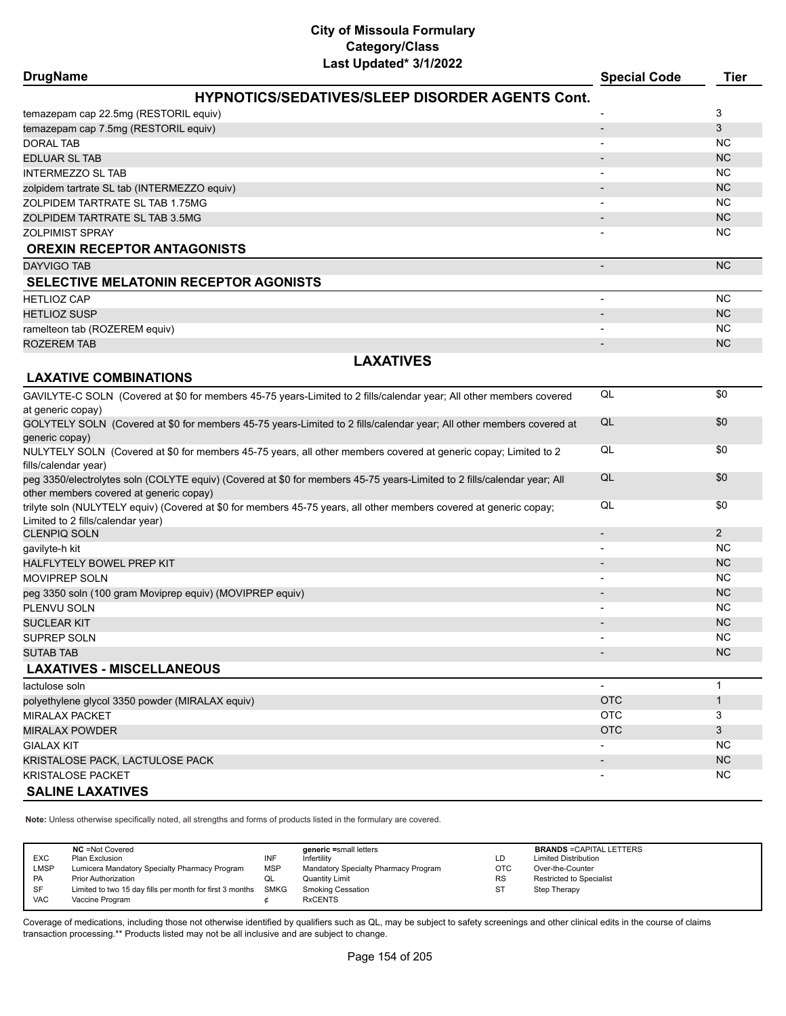| Last Updated* 3/1/2022<br><b>DrugName</b>                                                                                                                          | <b>Special Code</b>          | <b>Tier</b>            |
|--------------------------------------------------------------------------------------------------------------------------------------------------------------------|------------------------------|------------------------|
| <b>HYPNOTICS/SEDATIVES/SLEEP DISORDER AGENTS Cont.</b>                                                                                                             |                              |                        |
| temazepam cap 22.5mg (RESTORIL equiv)                                                                                                                              |                              | 3                      |
| temazepam cap 7.5mg (RESTORIL equiv)                                                                                                                               |                              | 3                      |
| <b>DORAL TAB</b>                                                                                                                                                   |                              | <b>NC</b>              |
| <b>EDLUAR SL TAB</b>                                                                                                                                               |                              | <b>NC</b>              |
| <b>INTERMEZZO SL TAB</b>                                                                                                                                           |                              | <b>NC</b>              |
| zolpidem tartrate SL tab (INTERMEZZO equiv)                                                                                                                        |                              | <b>NC</b>              |
| ZOLPIDEM TARTRATE SL TAB 1.75MG                                                                                                                                    | $\qquad \qquad \blacksquare$ | <b>NC</b>              |
| ZOLPIDEM TARTRATE SL TAB 3.5MG                                                                                                                                     |                              | <b>NC</b>              |
| <b>ZOLPIMIST SPRAY</b>                                                                                                                                             |                              | <b>NC</b>              |
| <b>OREXIN RECEPTOR ANTAGONISTS</b>                                                                                                                                 |                              |                        |
| <b>DAYVIGO TAB</b>                                                                                                                                                 | $\overline{a}$               | <b>NC</b>              |
| SELECTIVE MELATONIN RECEPTOR AGONISTS                                                                                                                              |                              |                        |
| <b>HETLIOZ CAP</b>                                                                                                                                                 |                              | <b>NC</b>              |
| <b>HETLIOZ SUSP</b>                                                                                                                                                |                              | <b>NC</b>              |
| ramelteon tab (ROZEREM equiv)                                                                                                                                      |                              | <b>NC</b>              |
| <b>ROZEREM TAB</b>                                                                                                                                                 |                              | <b>NC</b>              |
| <b>LAXATIVES</b>                                                                                                                                                   |                              |                        |
| <b>LAXATIVE COMBINATIONS</b>                                                                                                                                       |                              |                        |
| GAVILYTE-C SOLN (Covered at \$0 for members 45-75 years-Limited to 2 fills/calendar year; All other members covered                                                | QL                           | \$0                    |
| at generic copay)                                                                                                                                                  |                              |                        |
| GOLYTELY SOLN (Covered at \$0 for members 45-75 years-Limited to 2 fills/calendar year; All other members covered at<br>generic copay)                             | QL                           | \$0                    |
| NULYTELY SOLN (Covered at \$0 for members 45-75 years, all other members covered at generic copay; Limited to 2<br>fills/calendar year)                            | QL                           | \$0                    |
| peg 3350/electrolytes soln (COLYTE equiv) (Covered at \$0 for members 45-75 years-Limited to 2 fills/calendar year; All<br>other members covered at generic copay) | QL                           | \$0                    |
| trilyte soln (NULYTELY equiv) (Covered at \$0 for members 45-75 years, all other members covered at generic copay;<br>Limited to 2 fills/calendar year)            | QL                           | \$0                    |
| <b>CLENPIQ SOLN</b>                                                                                                                                                | $\overline{\phantom{0}}$     | $\overline{2}$         |
| gavilyte-h kit                                                                                                                                                     |                              | <b>NC</b>              |
| <b>HALFLYTELY BOWEL PREP KIT</b>                                                                                                                                   |                              | <b>NC</b>              |
| <b>MOVIPREP SOLN</b>                                                                                                                                               |                              | <b>NC</b><br><b>NC</b> |
| peg 3350 soln (100 gram Moviprep equiv) (MOVIPREP equiv)                                                                                                           |                              | <b>NC</b>              |
| PLENVU SOLN<br><b>SUCLEAR KIT</b>                                                                                                                                  |                              | <b>NC</b>              |
| SUPREP SOLN                                                                                                                                                        |                              | <b>NC</b>              |
| <b>SUTAB TAB</b>                                                                                                                                                   |                              | <b>NC</b>              |
| <b>LAXATIVES - MISCELLANEOUS</b>                                                                                                                                   |                              |                        |
| lactulose soln                                                                                                                                                     | ٠                            | 1                      |
| polyethylene glycol 3350 powder (MIRALAX equiv)                                                                                                                    | <b>OTC</b>                   | 1                      |
| <b>MIRALAX PACKET</b>                                                                                                                                              | OTC                          | 3                      |
| <b>MIRALAX POWDER</b>                                                                                                                                              | <b>OTC</b>                   | 3                      |
| <b>GIALAX KIT</b>                                                                                                                                                  |                              | NC.                    |
| KRISTALOSE PACK, LACTULOSE PACK                                                                                                                                    |                              | <b>NC</b>              |
| <b>KRISTALOSE PACKET</b>                                                                                                                                           |                              | NC.                    |
| <b>SALINE LAXATIVES</b>                                                                                                                                            |                              |                        |
|                                                                                                                                                                    |                              |                        |

**Note:** Unless otherwise specifically noted, all strengths and forms of products listed in the formulary are covered.

| <b>EXC</b><br><b>LMSP</b><br>PA<br>SF | <b>NC</b> = Not Covered<br>Plan Exclusion<br>Lumicera Mandatory Specialty Pharmacy Program<br><b>Prior Authorization</b><br>Limited to two 15 day fills per month for first 3 months | INF<br><b>MSP</b><br>QL<br>SMKG | generic =small letters<br>Infertility<br>Mandatory Specialty Pharmacy Program<br>Quantity Limit<br><b>Smoking Cessation</b> | LD<br><b>OTC</b><br><b>RS</b><br>ST | <b>BRANDS = CAPITAL LETTERS</b><br><b>Limited Distribution</b><br>Over-the-Counter<br><b>Restricted to Specialist</b><br>Step Therapy |
|---------------------------------------|--------------------------------------------------------------------------------------------------------------------------------------------------------------------------------------|---------------------------------|-----------------------------------------------------------------------------------------------------------------------------|-------------------------------------|---------------------------------------------------------------------------------------------------------------------------------------|
| <b>VAC</b>                            | Vaccine Program                                                                                                                                                                      |                                 | <b>RxCENTS</b>                                                                                                              |                                     |                                                                                                                                       |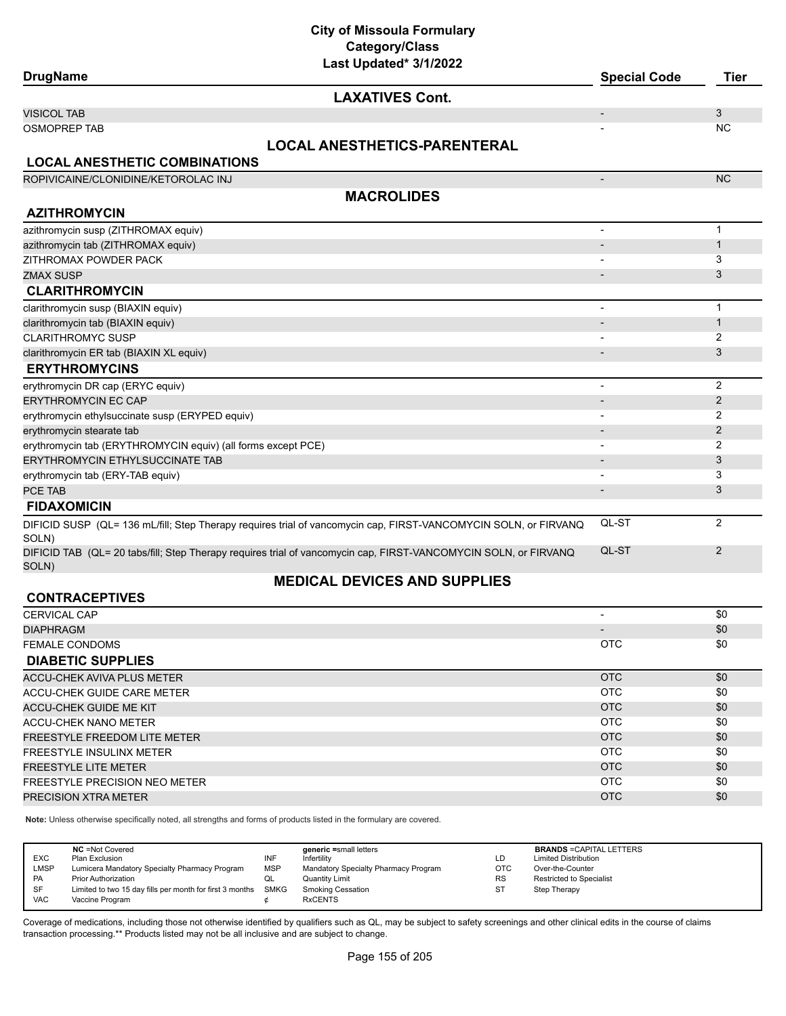# **City of Missoula Formulary Category/Class**

| Last Updated* 3/1/2022<br><b>DrugName</b>                                                                                | <b>Special Code</b>      | <b>Tier</b>    |
|--------------------------------------------------------------------------------------------------------------------------|--------------------------|----------------|
| <b>LAXATIVES Cont.</b>                                                                                                   |                          |                |
| <b>VISICOL TAB</b>                                                                                                       |                          | 3              |
| <b>OSMOPREP TAB</b>                                                                                                      |                          | <b>NC</b>      |
| <b>LOCAL ANESTHETICS-PARENTERAL</b>                                                                                      |                          |                |
| <b>LOCAL ANESTHETIC COMBINATIONS</b>                                                                                     |                          |                |
| ROPIVICAINE/CLONIDINE/KETOROLAC INJ                                                                                      | $\overline{\phantom{a}}$ | <b>NC</b>      |
| <b>MACROLIDES</b>                                                                                                        |                          |                |
| <b>AZITHROMYCIN</b>                                                                                                      |                          |                |
| azithromycin susp (ZITHROMAX equiv)                                                                                      | $\overline{\phantom{a}}$ | 1              |
| azithromycin tab (ZITHROMAX equiv)                                                                                       |                          | 1              |
| ZITHROMAX POWDER PACK                                                                                                    |                          | 3              |
| <b>ZMAX SUSP</b>                                                                                                         |                          | 3              |
| <b>CLARITHROMYCIN</b>                                                                                                    |                          |                |
| clarithromycin susp (BIAXIN equiv)                                                                                       | $\overline{\phantom{a}}$ | 1              |
| clarithromycin tab (BIAXIN equiv)                                                                                        |                          | $\mathbf{1}$   |
| <b>CLARITHROMYC SUSP</b>                                                                                                 |                          | 2              |
| clarithromycin ER tab (BIAXIN XL equiv)                                                                                  |                          | 3              |
| <b>ERYTHROMYCINS</b>                                                                                                     |                          |                |
| erythromycin DR cap (ERYC equiv)                                                                                         | $\overline{\phantom{a}}$ | $\overline{2}$ |
| ERYTHROMYCIN EC CAP                                                                                                      | $\overline{\phantom{a}}$ | $\overline{c}$ |
| erythromycin ethylsuccinate susp (ERYPED equiv)                                                                          | $\overline{\phantom{a}}$ | 2              |
| erythromycin stearate tab                                                                                                |                          | $\mathbf{2}$   |
| erythromycin tab (ERYTHROMYCIN equiv) (all forms except PCE)                                                             |                          | 2              |
| ERYTHROMYCIN ETHYLSUCCINATE TAB                                                                                          |                          | 3              |
| erythromycin tab (ERY-TAB equiv)                                                                                         |                          | 3              |
| PCE TAB                                                                                                                  |                          | 3              |
| <b>FIDAXOMICIN</b>                                                                                                       |                          |                |
| DIFICID SUSP (QL= 136 mL/fill; Step Therapy requires trial of vancomycin cap, FIRST-VANCOMYCIN SOLN, or FIRVANQ<br>SOLN) | QL-ST                    | $\overline{2}$ |
| DIFICID TAB (QL= 20 tabs/fill; Step Therapy requires trial of vancomycin cap, FIRST-VANCOMYCIN SOLN, or FIRVANQ<br>SOLN) | QL-ST                    | $\overline{2}$ |
| <b>MEDICAL DEVICES AND SUPPLIES</b>                                                                                      |                          |                |
| <b>CONTRACEPTIVES</b>                                                                                                    |                          |                |
| <b>CERVICAL CAP</b>                                                                                                      | $\overline{\phantom{a}}$ | \$0            |
| <b>DIAPHRAGM</b>                                                                                                         |                          | \$0            |
| <b>FEMALE CONDOMS</b>                                                                                                    | <b>OTC</b>               | \$0            |
| <b>DIABETIC SUPPLIES</b>                                                                                                 |                          |                |
| <b>ACCU-CHEK AVIVA PLUS METER</b>                                                                                        | <b>OTC</b>               | \$0            |
| ACCU-CHEK GUIDE CARE METER                                                                                               | <b>OTC</b>               | \$0            |
| <b>ACCU-CHEK GUIDE ME KIT</b>                                                                                            | <b>OTC</b>               | \$0            |
| <b>ACCU-CHEK NANO METER</b>                                                                                              | <b>OTC</b>               | \$0            |
| FREESTYLE FREEDOM LITE METER                                                                                             | <b>OTC</b>               | \$0            |
| FREESTYLE INSULINX METER                                                                                                 | <b>OTC</b>               | \$0            |
| <b>FREESTYLE LITE METER</b>                                                                                              | <b>OTC</b>               | \$0            |
| FREESTYLE PRECISION NEO METER                                                                                            | <b>OTC</b>               | \$0            |
| PRECISION XTRA METER                                                                                                     | <b>OTC</b>               | \$0            |

**Note:** Unless otherwise specifically noted, all strengths and forms of products listed in the formulary are covered.

| <b>EXC</b><br><b>LMSP</b> | <b>NC</b> = Not Covered<br>Plan Exclusion<br>Lumicera Mandatory Specialty Pharmacy Program | INF<br><b>MSP</b> | generic =small letters<br>Infertility<br>Mandatory Specialty Pharmacy Program | LD<br><b>OTC</b> | <b>BRANDS = CAPITAL LETTERS</b><br><b>Limited Distribution</b><br>Over-the-Counter |
|---------------------------|--------------------------------------------------------------------------------------------|-------------------|-------------------------------------------------------------------------------|------------------|------------------------------------------------------------------------------------|
| <b>PA</b>                 | <b>Prior Authorization</b>                                                                 | QL                | Quantity Limit                                                                | <b>RS</b>        | <b>Restricted to Specialist</b>                                                    |
| <b>SF</b>                 | Limited to two 15 day fills per month for first 3 months SMKG                              |                   | Smoking Cessation                                                             | <b>ST</b>        | Step Therapy                                                                       |
| <b>VAC</b>                | Vaccine Program                                                                            |                   | <b>RxCENTS</b>                                                                |                  |                                                                                    |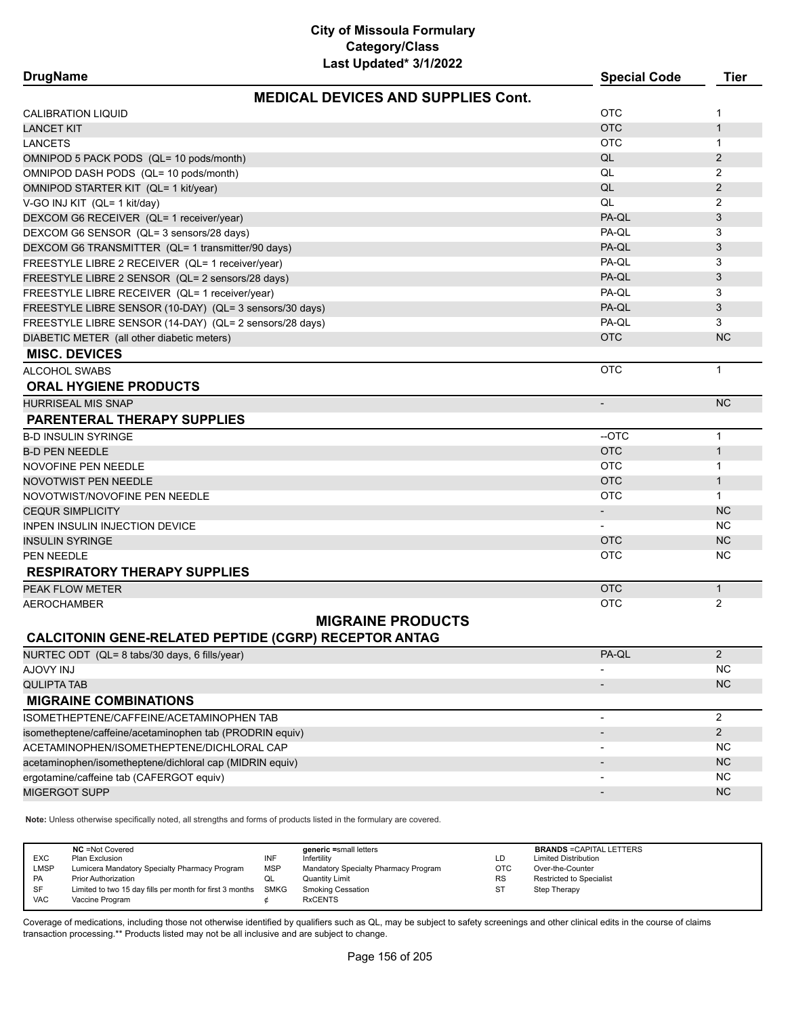| <b>DrugName</b>                                          | Last Updated" 3/1/2022                                       | <b>Special Code</b>      | <b>Tier</b>    |
|----------------------------------------------------------|--------------------------------------------------------------|--------------------------|----------------|
|                                                          | <b>MEDICAL DEVICES AND SUPPLIES Cont.</b>                    |                          |                |
| <b>CALIBRATION LIQUID</b>                                |                                                              | <b>OTC</b>               | 1              |
| <b>LANCET KIT</b>                                        |                                                              | <b>OTC</b>               | $\mathbf{1}$   |
| LANCETS                                                  |                                                              | <b>OTC</b>               | $\mathbf{1}$   |
| OMNIPOD 5 PACK PODS (QL= 10 pods/month)                  |                                                              | QL                       | 2              |
| OMNIPOD DASH PODS (QL= 10 pods/month)                    |                                                              | QL                       | $\overline{2}$ |
| OMNIPOD STARTER KIT (QL= 1 kit/year)                     |                                                              | QL                       | $\overline{2}$ |
| V-GO INJ KIT (QL= 1 kit/day)                             |                                                              | QL                       | 2              |
| DEXCOM G6 RECEIVER (QL= 1 receiver/year)                 |                                                              | PA-QL                    | 3              |
| DEXCOM G6 SENSOR (QL= 3 sensors/28 days)                 |                                                              | PA-QL                    | 3              |
| DEXCOM G6 TRANSMITTER (QL= 1 transmitter/90 days)        |                                                              | PA-QL                    | 3              |
| FREESTYLE LIBRE 2 RECEIVER (QL= 1 receiver/year)         |                                                              | PA-QL                    | 3              |
| FREESTYLE LIBRE 2 SENSOR (QL= 2 sensors/28 days)         |                                                              | PA-QL                    | 3              |
| FREESTYLE LIBRE RECEIVER (QL= 1 receiver/year)           |                                                              | PA-QL                    | 3              |
| FREESTYLE LIBRE SENSOR (10-DAY) (QL= 3 sensors/30 days)  |                                                              | PA-QL                    | 3              |
| FREESTYLE LIBRE SENSOR (14-DAY) (QL= 2 sensors/28 days)  |                                                              | PA-QL                    | 3              |
| DIABETIC METER (all other diabetic meters)               |                                                              | <b>OTC</b>               | <b>NC</b>      |
| <b>MISC. DEVICES</b>                                     |                                                              |                          |                |
| ALCOHOL SWABS                                            |                                                              | <b>OTC</b>               | $\mathbf{1}$   |
| <b>ORAL HYGIENE PRODUCTS</b>                             |                                                              |                          |                |
| <b>HURRISEAL MIS SNAP</b>                                |                                                              | $\overline{\phantom{a}}$ | <b>NC</b>      |
| <b>PARENTERAL THERAPY SUPPLIES</b>                       |                                                              |                          |                |
| <b>B-D INSULIN SYRINGE</b>                               |                                                              | --OTC                    | $\mathbf{1}$   |
| <b>B-D PEN NEEDLE</b>                                    |                                                              | <b>OTC</b>               | $\mathbf{1}$   |
| NOVOFINE PEN NEEDLE                                      |                                                              | <b>OTC</b>               | $\mathbf{1}$   |
| NOVOTWIST PEN NEEDLE                                     |                                                              | <b>OTC</b>               | $\mathbf{1}$   |
| NOVOTWIST/NOVOFINE PEN NEEDLE                            |                                                              | <b>OTC</b>               | $\mathbf{1}$   |
| <b>CEQUR SIMPLICITY</b>                                  |                                                              | $\blacksquare$           | <b>NC</b>      |
| INPEN INSULIN INJECTION DEVICE                           |                                                              | $\overline{\phantom{a}}$ | <b>NC</b>      |
| <b>INSULIN SYRINGE</b>                                   |                                                              | <b>OTC</b>               | <b>NC</b>      |
| PEN NEEDLE                                               |                                                              | <b>OTC</b>               | <b>NC</b>      |
| <b>RESPIRATORY THERAPY SUPPLIES</b>                      |                                                              |                          |                |
| PEAK FLOW METER                                          |                                                              | <b>OTC</b>               | $\mathbf{1}$   |
| AEROCHAMBER                                              |                                                              | <b>OTC</b>               | $\overline{2}$ |
|                                                          | <b>MIGRAINE PRODUCTS</b>                                     |                          |                |
|                                                          | <b>CALCITONIN GENE-RELATED PEPTIDE (CGRP) RECEPTOR ANTAG</b> |                          |                |
| NURTEC ODT (QL= 8 tabs/30 days, 6 fills/year)            |                                                              | PA-QL                    | $\overline{2}$ |
| LUI YVOLA                                                |                                                              |                          | <b>NC</b>      |
| <b>QULIPTA TAB</b>                                       |                                                              |                          | <b>NC</b>      |
| <b>MIGRAINE COMBINATIONS</b>                             |                                                              |                          |                |
| ISOMETHEPTENE/CAFFEINE/ACETAMINOPHEN TAB                 |                                                              |                          | 2              |
| isometheptene/caffeine/acetaminophen tab (PRODRIN equiv) |                                                              |                          | $\overline{2}$ |
| ACETAMINOPHEN/ISOMETHEPTENE/DICHLORAL CAP                |                                                              |                          | <b>NC</b>      |
| acetaminophen/isometheptene/dichloral cap (MIDRIN equiv) |                                                              |                          | <b>NC</b>      |
| ergotamine/caffeine tab (CAFERGOT equiv)                 |                                                              |                          | <b>NC</b>      |
| MIGERGOT SUPP                                            |                                                              |                          | <b>NC</b>      |

**Note:** Unless otherwise specifically noted, all strengths and forms of products listed in the formulary are covered.

| <b>EXC</b><br><b>LMSP</b><br>PA<br>SF | <b>NC</b> = Not Covered<br>Plan Exclusion<br>Lumicera Mandatory Specialty Pharmacy Program<br><b>Prior Authorization</b><br>Limited to two 15 day fills per month for first 3 months SMKG | INF<br><b>MSP</b><br>QL | generic =small letters<br>Infertility<br>Mandatory Specialty Pharmacy Program<br>Quantity Limit<br><b>Smoking Cessation</b> | LD<br><b>OTC</b><br><b>RS</b><br><b>ST</b> | <b>BRANDS = CAPITAL LETTERS</b><br><b>Limited Distribution</b><br>Over-the-Counter<br><b>Restricted to Specialist</b><br>Step Therapy |
|---------------------------------------|-------------------------------------------------------------------------------------------------------------------------------------------------------------------------------------------|-------------------------|-----------------------------------------------------------------------------------------------------------------------------|--------------------------------------------|---------------------------------------------------------------------------------------------------------------------------------------|
| <b>VAC</b>                            | Vaccine Program                                                                                                                                                                           |                         | <b>RxCENTS</b>                                                                                                              |                                            |                                                                                                                                       |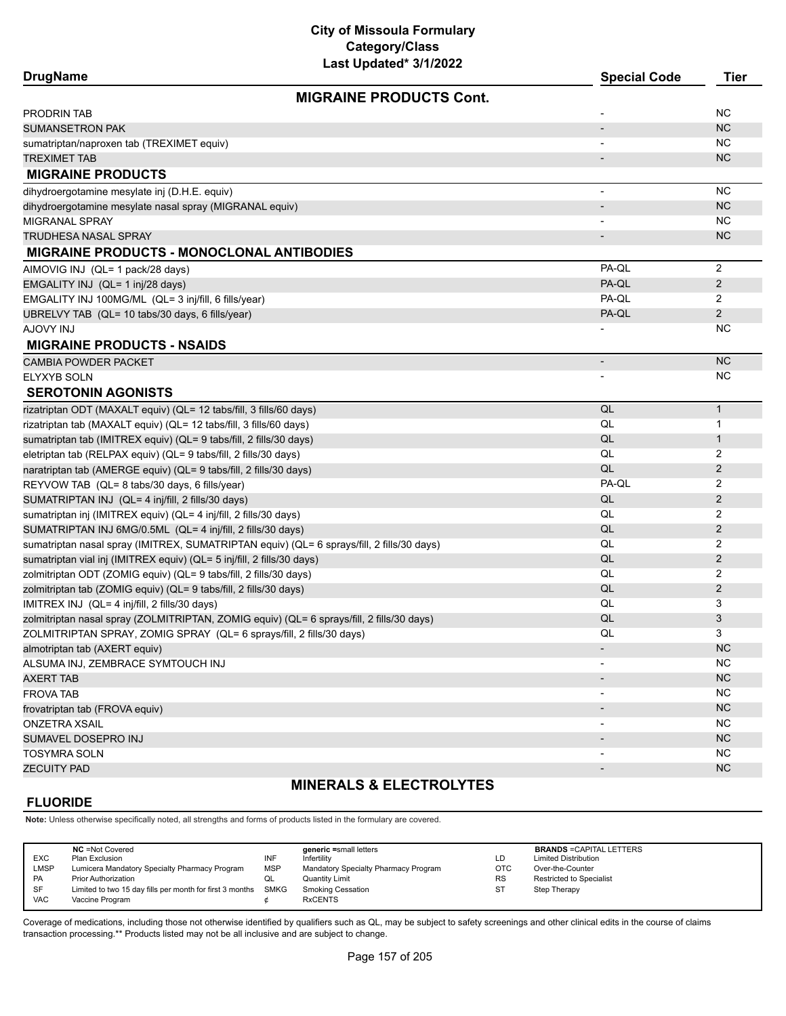**City of Missoula Formulary Category/Class**

| Last Updated* 3/1/2022<br><b>DrugName</b>                                                 | <b>Special Code</b>      | <b>Tier</b>    |
|-------------------------------------------------------------------------------------------|--------------------------|----------------|
| <b>MIGRAINE PRODUCTS Cont.</b>                                                            |                          |                |
|                                                                                           |                          | NC.            |
| PRODRIN TAB<br><b>SUMANSETRON PAK</b>                                                     |                          | <b>NC</b>      |
|                                                                                           |                          |                |
| sumatriptan/naproxen tab (TREXIMET equiv)                                                 |                          | NC.            |
| TREXIMET TAB                                                                              |                          | <b>NC</b>      |
| <b>MIGRAINE PRODUCTS</b>                                                                  |                          |                |
| dihydroergotamine mesylate inj (D.H.E. equiv)                                             | $\overline{a}$           | <b>NC</b>      |
| dihydroergotamine mesylate nasal spray (MIGRANAL equiv)                                   |                          | <b>NC</b>      |
| MIGRANAL SPRAY                                                                            |                          | NC             |
| TRUDHESA NASAL SPRAY                                                                      |                          | <b>NC</b>      |
| <b>MIGRAINE PRODUCTS - MONOCLONAL ANTIBODIES</b>                                          |                          |                |
| AIMOVIG INJ (QL= 1 pack/28 days)                                                          | PA-QL                    | $\overline{2}$ |
| EMGALITY INJ (QL= 1 inj/28 days)                                                          | PA-QL                    | $\overline{2}$ |
| EMGALITY INJ 100MG/ML (QL= 3 inj/fill, 6 fills/year)                                      | PA-QL                    | 2              |
| UBRELVY TAB (QL= 10 tabs/30 days, 6 fills/year)                                           | PA-QL                    | $\overline{2}$ |
| <b>AJOVY INJ</b>                                                                          |                          | NC.            |
| <b>MIGRAINE PRODUCTS - NSAIDS</b>                                                         |                          |                |
| <b>CAMBIA POWDER PACKET</b>                                                               | -                        | <b>NC</b>      |
| <b>ELYXYB SOLN</b>                                                                        |                          | NC.            |
| <b>SEROTONIN AGONISTS</b>                                                                 |                          |                |
| rizatriptan ODT (MAXALT equiv) (QL= 12 tabs/fill, 3 fills/60 days)                        | QL                       | $\mathbf{1}$   |
| rizatriptan tab (MAXALT equiv) (QL= 12 tabs/fill, 3 fills/60 days)                        | QL                       | 1              |
| sumatriptan tab (IMITREX equiv) (QL= 9 tabs/fill, 2 fills/30 days)                        | QL                       | $\mathbf{1}$   |
| eletriptan tab (RELPAX equiv) (QL= 9 tabs/fill, 2 fills/30 days)                          | QL                       | 2              |
| naratriptan tab (AMERGE equiv) (QL= 9 tabs/fill, 2 fills/30 days)                         | QL                       | 2              |
| REYVOW TAB (QL= 8 tabs/30 days, 6 fills/year)                                             | PA-QL                    | 2              |
| SUMATRIPTAN INJ (QL= 4 inj/fill, 2 fills/30 days)                                         | QL                       | 2              |
| sumatriptan inj (IMITREX equiv) (QL= 4 inj/fill, 2 fills/30 days)                         | QL                       | 2              |
| SUMATRIPTAN INJ 6MG/0.5ML (QL= 4 inj/fill, 2 fills/30 days)                               | QL                       | 2              |
| sumatriptan nasal spray (IMITREX, SUMATRIPTAN equiv) (QL= 6 sprays/fill, 2 fills/30 days) | QL                       | 2              |
| sumatriptan vial inj (IMITREX equiv) (QL= 5 inj/fill, 2 fills/30 days)                    | QL                       | 2              |
| zolmitriptan ODT (ZOMIG equiv) (QL= 9 tabs/fill, 2 fills/30 days)                         | QL                       | 2              |
| zolmitriptan tab (ZOMIG equiv) (QL= 9 tabs/fill, 2 fills/30 days)                         | QL                       | 2              |
| IMITREX INJ (QL= 4 inj/fill, 2 fills/30 days)                                             | QL                       | 3              |
| zolmitriptan nasal spray (ZOLMITRIPTAN, ZOMIG equiv) (QL= 6 sprays/fill, 2 fills/30 days) | QL                       | 3              |
| ZOLMITRIPTAN SPRAY, ZOMIG SPRAY (QL= 6 sprays/fill, 2 fills/30 days)                      | QL                       | 3              |
|                                                                                           |                          | <b>NC</b>      |
| almotriptan tab (AXERT equiv)<br>ALSUMA INJ, ZEMBRACE SYMTOUCH INJ                        |                          | NC             |
|                                                                                           |                          | <b>NC</b>      |
| <b>AXERT TAB</b>                                                                          |                          |                |
| <b>FROVA TAB</b>                                                                          |                          | <b>NC</b>      |
| frovatriptan tab (FROVA equiv)                                                            | $\overline{\phantom{a}}$ | <b>NC</b>      |
| <b>ONZETRA XSAIL</b>                                                                      |                          | <b>NC</b>      |
| SUMAVEL DOSEPRO INJ                                                                       |                          | <b>NC</b>      |
| <b>TOSYMRA SOLN</b>                                                                       |                          | <b>NC</b>      |
| <b>ZECUITY PAD</b>                                                                        |                          | <b>NC</b>      |
| <b>MINERALS &amp; ELECTROLYTES</b>                                                        |                          |                |

#### **FLUORIDE**

**Note:** Unless otherwise specifically noted, all strengths and forms of products listed in the formulary are covered.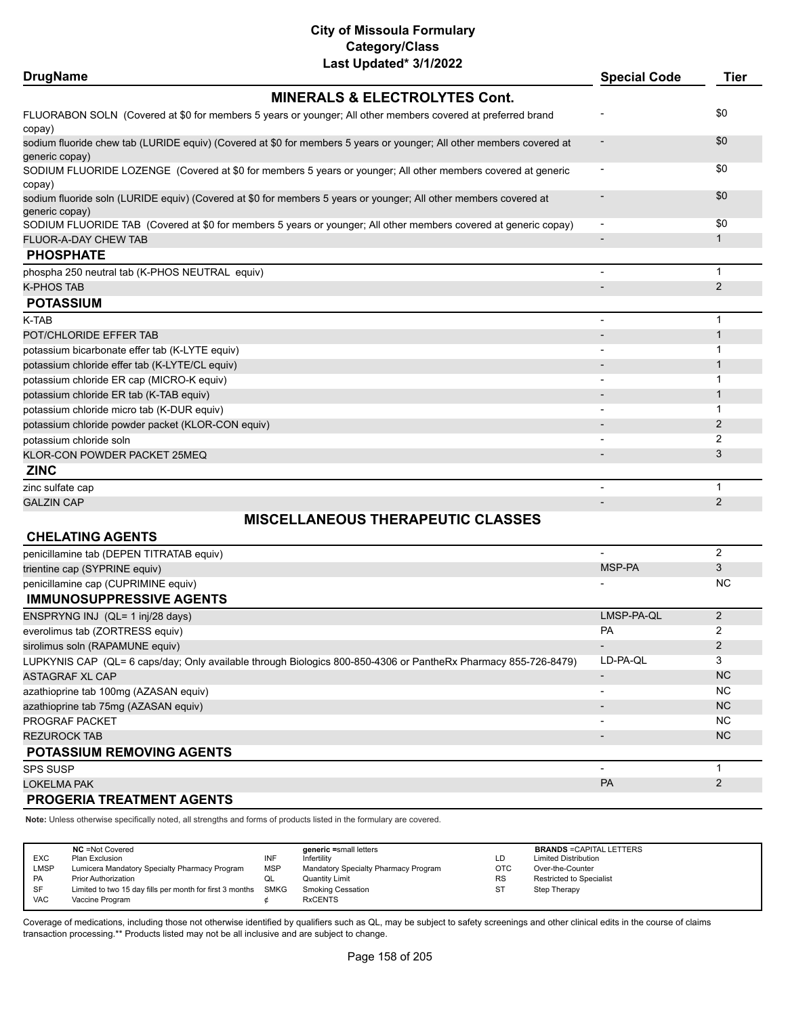| <b>DrugName</b>                                                                                                                    | <b>Special Code</b>      | <b>Tier</b>    |
|------------------------------------------------------------------------------------------------------------------------------------|--------------------------|----------------|
| <b>MINERALS &amp; ELECTROLYTES Cont.</b>                                                                                           |                          |                |
| FLUORABON SOLN (Covered at \$0 for members 5 years or younger; All other members covered at preferred brand                        |                          | \$0            |
| copay)<br>sodium fluoride chew tab (LURIDE equiv) (Covered at \$0 for members 5 years or younger; All other members covered at     |                          | \$0            |
| generic copay)                                                                                                                     |                          |                |
| SODIUM FLUORIDE LOZENGE (Covered at \$0 for members 5 years or younger; All other members covered at generic                       |                          | \$0            |
| copay)                                                                                                                             |                          | \$0            |
| sodium fluoride soln (LURIDE equiv) (Covered at \$0 for members 5 years or younger; All other members covered at<br>generic copay) |                          |                |
| SODIUM FLUORIDE TAB (Covered at \$0 for members 5 years or younger; All other members covered at generic copay)                    | $\overline{\phantom{a}}$ | \$0            |
| <b>FLUOR-A-DAY CHEW TAB</b>                                                                                                        |                          | $\mathbf{1}$   |
| <b>PHOSPHATE</b>                                                                                                                   |                          |                |
| phospha 250 neutral tab (K-PHOS NEUTRAL equiv)                                                                                     |                          | 1              |
| <b>K-PHOS TAB</b>                                                                                                                  |                          | $\overline{2}$ |
| <b>POTASSIUM</b>                                                                                                                   |                          |                |
| K-TAB                                                                                                                              | $\blacksquare$           | 1              |
| POT/CHLORIDE EFFER TAB                                                                                                             |                          | $\mathbf{1}$   |
| potassium bicarbonate effer tab (K-LYTE equiv)                                                                                     |                          | 1              |
| potassium chloride effer tab (K-LYTE/CL equiv)                                                                                     |                          | $\mathbf 1$    |
| potassium chloride ER cap (MICRO-K equiv)                                                                                          |                          | 1              |
| potassium chloride ER tab (K-TAB equiv)                                                                                            |                          | $\mathbf{1}$   |
| potassium chloride micro tab (K-DUR equiv)                                                                                         |                          | 1              |
| potassium chloride powder packet (KLOR-CON equiv)                                                                                  |                          | 2              |
| potassium chloride soln                                                                                                            |                          | 2              |
| KLOR-CON POWDER PACKET 25MEQ                                                                                                       |                          | 3              |
| <b>ZINC</b>                                                                                                                        |                          |                |
| zinc sulfate cap                                                                                                                   |                          | $\mathbf{1}$   |
| <b>GALZIN CAP</b>                                                                                                                  |                          | 2              |
| <b>MISCELLANEOUS THERAPEUTIC CLASSES</b>                                                                                           |                          |                |
| <b>CHELATING AGENTS</b>                                                                                                            |                          |                |
| penicillamine tab (DEPEN TITRATAB equiv)                                                                                           |                          | 2              |
| trientine cap (SYPRINE equiv)                                                                                                      | MSP-PA                   | 3              |
| penicillamine cap (CUPRIMINE equiv)                                                                                                |                          | NC.            |
| <b>IMMUNOSUPPRESSIVE AGENTS</b>                                                                                                    |                          |                |
| F11000010101111011111100111                                                                                                        | 11000000                 | $\sim$         |

| ENSPRYNG INJ (QL= 1 inj/28 days)                                                                               | LMSP-PA-QL               |                |
|----------------------------------------------------------------------------------------------------------------|--------------------------|----------------|
| everolimus tab (ZORTRESS equiv)                                                                                | <b>PA</b>                | ົ              |
| sirolimus soln (RAPAMUNE equiv)                                                                                | $\overline{\phantom{0}}$ | $\mathcal{P}$  |
| LUPKYNIS CAP (QL= 6 caps/day; Only available through Biologics 800-850-4306 or PantheRx Pharmacy 855-726-8479) | LD-PA-QL                 | 3              |
| ASTAGRAF XL CAP                                                                                                | $\overline{\phantom{0}}$ | <b>NC</b>      |
| azathioprine tab 100mg (AZASAN equiv)                                                                          | $\overline{\phantom{0}}$ | <b>NC</b>      |
| azathioprine tab 75mg (AZASAN equiv)                                                                           |                          | N <sub>C</sub> |
| <b>PROGRAF PACKET</b>                                                                                          | $\overline{\phantom{0}}$ | <b>NC</b>      |
| <b>REZUROCK TAB</b>                                                                                            | $\overline{\phantom{0}}$ | <b>NC</b>      |
| <b>POTASSIUM REMOVING AGENTS</b>                                                                               |                          |                |
| <b>SPS SUSP</b>                                                                                                | $\overline{\phantom{0}}$ |                |
| <b>LOKELMA PAK</b>                                                                                             | PA                       |                |
| <b>PROGERIA TREATMENT AGENTS</b>                                                                               |                          |                |

**Note:** Unless otherwise specifically noted, all strengths and forms of products listed in the formulary are covered.

|             | <b>NC</b> = Not Covered                                       |            | generic =small letters               |            | <b>BRANDS = CAPITAL LETTERS</b> |
|-------------|---------------------------------------------------------------|------------|--------------------------------------|------------|---------------------------------|
| EXC         | Plan Exclusion                                                | INF        | Infertilitv                          | LD         | <b>Limited Distribution</b>     |
| <b>LMSP</b> | Lumicera Mandatory Specialty Pharmacy Program                 | <b>MSP</b> | Mandatory Specialty Pharmacy Program | <b>OTC</b> | Over-the-Counter                |
| <b>PA</b>   | <b>Prior Authorization</b>                                    | QL         | Quantity Limit                       | <b>RS</b>  | <b>Restricted to Specialist</b> |
| SF          | Limited to two 15 day fills per month for first 3 months SMKG |            | <b>Smoking Cessation</b>             | ST         | Step Therapy                    |
| <b>VAC</b>  | Vaccine Program                                               |            | <b>RxCENTS</b>                       |            |                                 |
|             |                                                               |            |                                      |            |                                 |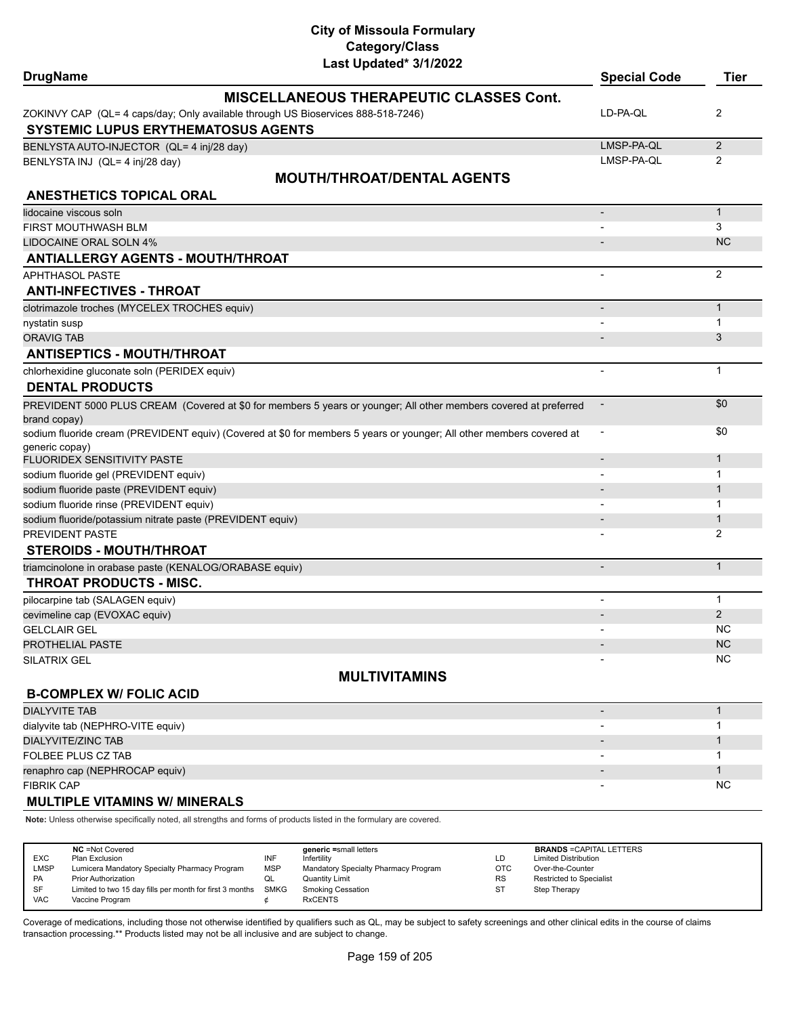| <b>DrugName</b>                                                                          | Last Upualtu <i>VIIIL</i> ULL                                                                                        | <b>Special Code</b>          | <b>Tier</b>    |
|------------------------------------------------------------------------------------------|----------------------------------------------------------------------------------------------------------------------|------------------------------|----------------|
|                                                                                          | <b>MISCELLANEOUS THERAPEUTIC CLASSES Cont.</b>                                                                       |                              |                |
|                                                                                          | ZOKINVY CAP (QL= 4 caps/day; Only available through US Bioservices 888-518-7246)                                     | LD-PA-QL                     | 2              |
| <b>SYSTEMIC LUPUS ERYTHEMATOSUS AGENTS</b>                                               |                                                                                                                      |                              |                |
| BENLYSTA AUTO-INJECTOR (QL= 4 inj/28 day)                                                |                                                                                                                      | LMSP-PA-QL                   | $\overline{2}$ |
| BENLYSTA INJ (QL= 4 inj/28 day)                                                          |                                                                                                                      | LMSP-PA-QL                   | 2              |
|                                                                                          | <b>MOUTH/THROAT/DENTAL AGENTS</b>                                                                                    |                              |                |
| <b>ANESTHETICS TOPICAL ORAL</b>                                                          |                                                                                                                      |                              |                |
| lidocaine viscous soln                                                                   |                                                                                                                      | $\qquad \qquad \blacksquare$ | $\mathbf{1}$   |
| <b>FIRST MOUTHWASH BLM</b>                                                               |                                                                                                                      |                              | 3              |
| LIDOCAINE ORAL SOLN 4%                                                                   |                                                                                                                      |                              | <b>NC</b>      |
| <b>ANTIALLERGY AGENTS - MOUTH/THROAT</b>                                                 |                                                                                                                      |                              |                |
| <b>APHTHASOL PASTE</b>                                                                   |                                                                                                                      |                              | 2              |
| <b>ANTI-INFECTIVES - THROAT</b>                                                          |                                                                                                                      |                              |                |
| clotrimazole troches (MYCELEX TROCHES equiv)                                             |                                                                                                                      | $\overline{\phantom{a}}$     | $\mathbf{1}$   |
| nystatin susp                                                                            |                                                                                                                      |                              | 1              |
| <b>ORAVIG TAB</b>                                                                        |                                                                                                                      |                              | 3              |
| <b>ANTISEPTICS - MOUTH/THROAT</b>                                                        |                                                                                                                      |                              |                |
| chlorhexidine gluconate soln (PERIDEX equiv)                                             |                                                                                                                      |                              | $\mathbf{1}$   |
| <b>DENTAL PRODUCTS</b>                                                                   |                                                                                                                      |                              |                |
|                                                                                          | PREVIDENT 5000 PLUS CREAM (Covered at \$0 for members 5 years or younger; All other members covered at preferred     |                              | \$0            |
| brand copay)                                                                             |                                                                                                                      |                              |                |
|                                                                                          | sodium fluoride cream (PREVIDENT equiv) (Covered at \$0 for members 5 years or younger; All other members covered at |                              | \$0            |
| generic copay)                                                                           |                                                                                                                      |                              |                |
| FLUORIDEX SENSITIVITY PASTE                                                              |                                                                                                                      |                              | 1              |
| sodium fluoride gel (PREVIDENT equiv)                                                    |                                                                                                                      |                              | 1              |
| sodium fluoride paste (PREVIDENT equiv)                                                  |                                                                                                                      |                              | $\mathbf{1}$   |
| sodium fluoride rinse (PREVIDENT equiv)                                                  |                                                                                                                      |                              | 1              |
| sodium fluoride/potassium nitrate paste (PREVIDENT equiv)                                |                                                                                                                      |                              | 1              |
| PREVIDENT PASTE<br><b>STEROIDS - MOUTH/THROAT</b>                                        |                                                                                                                      |                              | 2              |
|                                                                                          |                                                                                                                      |                              | $\mathbf{1}$   |
| triamcinolone in orabase paste (KENALOG/ORABASE equiv)<br><b>THROAT PRODUCTS - MISC.</b> |                                                                                                                      |                              |                |
| pilocarpine tab (SALAGEN equiv)                                                          |                                                                                                                      | $\overline{\phantom{0}}$     | 1              |
| cevimeline cap (EVOXAC equiv)                                                            |                                                                                                                      |                              | $\overline{2}$ |
| <b>GELCLAIR GEL</b>                                                                      |                                                                                                                      |                              | <b>NC</b>      |
| <b>PROTHELIAL PASTE</b>                                                                  |                                                                                                                      |                              | NC.            |
| <b>SILATRIX GEL</b>                                                                      |                                                                                                                      |                              | <b>NC</b>      |
|                                                                                          | <b>MULTIVITAMINS</b>                                                                                                 |                              |                |
| <b>B-COMPLEX W/ FOLIC ACID</b>                                                           |                                                                                                                      |                              |                |
| <b>DIALYVITE TAB</b>                                                                     |                                                                                                                      | $\overline{\phantom{m}}$     | $\mathbf{1}$   |
| dialyvite tab (NEPHRO-VITE equiv)                                                        |                                                                                                                      |                              | 1              |
| <b>DIALYVITE/ZINC TAB</b>                                                                |                                                                                                                      |                              | 1              |
| FOLBEE PLUS CZ TAB                                                                       |                                                                                                                      |                              | 1              |
| renaphro cap (NEPHROCAP equiv)                                                           |                                                                                                                      |                              | 1              |
| <b>FIBRIK CAP</b>                                                                        |                                                                                                                      |                              | <b>NC</b>      |
|                                                                                          |                                                                                                                      |                              |                |

**MULTIPLE VITAMINS W/ MINERALS**

**Note:** Unless otherwise specifically noted, all strengths and forms of products listed in the formulary are covered.

| <b>EXC</b><br>LMSP<br><b>PA</b><br><b>SF</b> | <b>NC</b> = Not Covered<br>Plan Exclusion<br>Lumicera Mandatory Specialty Pharmacy Program<br><b>Prior Authorization</b><br>Limited to two 15 day fills per month for first 3 months SMKG | INF<br><b>MSP</b><br>w∟ | generic =small letters<br>Infertilitv<br>Mandatory Specialty Pharmacy Program<br>Quantity Limit<br><b>Smoking Cessation</b> | LD<br><b>OTC</b><br><b>RS</b><br><b>ST</b> | <b>BRANDS = CAPITAL LETTERS</b><br><b>Limited Distribution</b><br>Over-the-Counter<br><b>Restricted to Specialist</b><br>Step Therapy |
|----------------------------------------------|-------------------------------------------------------------------------------------------------------------------------------------------------------------------------------------------|-------------------------|-----------------------------------------------------------------------------------------------------------------------------|--------------------------------------------|---------------------------------------------------------------------------------------------------------------------------------------|
| <b>VAC</b>                                   | Vaccine Program                                                                                                                                                                           |                         | <b>RxCENTS</b>                                                                                                              |                                            |                                                                                                                                       |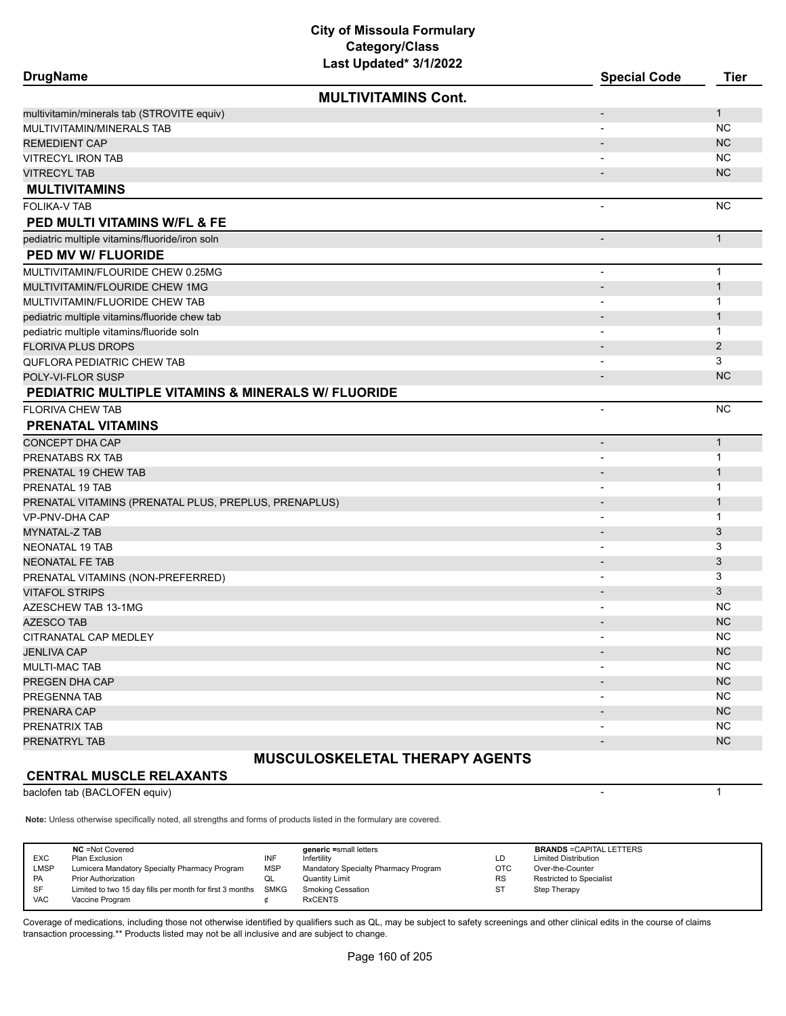| <b>DrugName</b>                                       | Last Updated" 3/1/2022                | <b>Special Code</b>          | <b>Tier</b>  |
|-------------------------------------------------------|---------------------------------------|------------------------------|--------------|
|                                                       | <b>MULTIVITAMINS Cont.</b>            |                              |              |
| multivitamin/minerals tab (STROVITE equiv)            |                                       | $\qquad \qquad \blacksquare$ | $\mathbf{1}$ |
| MULTIVITAMIN/MINERALS TAB                             |                                       | $\overline{\phantom{a}}$     | <b>NC</b>    |
| <b>REMEDIENT CAP</b>                                  |                                       |                              | <b>NC</b>    |
| <b>VITRECYL IRON TAB</b>                              |                                       | $\overline{\phantom{a}}$     | <b>NC</b>    |
| <b>VITRECYL TAB</b>                                   |                                       |                              | <b>NC</b>    |
| <b>MULTIVITAMINS</b>                                  |                                       |                              |              |
| <b>FOLIKA-V TAB</b>                                   |                                       | $\overline{\phantom{a}}$     | <b>NC</b>    |
| PED MULTI VITAMINS W/FL & FE                          |                                       |                              |              |
| pediatric multiple vitamins/fluoride/iron soln        |                                       | $\overline{\phantom{a}}$     | $\mathbf{1}$ |
| <b>PED MV W/ FLUORIDE</b>                             |                                       |                              |              |
| MULTIVITAMIN/FLOURIDE CHEW 0.25MG                     |                                       | $\overline{a}$               | $\mathbf{1}$ |
| MULTIVITAMIN/FLOURIDE CHEW 1MG                        |                                       | $\overline{\phantom{a}}$     | $\mathbf{1}$ |
| MULTIVITAMIN/FLUORIDE CHEW TAB                        |                                       | $\overline{\phantom{a}}$     | 1            |
| pediatric multiple vitamins/fluoride chew tab         |                                       | $\overline{\phantom{a}}$     | 1            |
| pediatric multiple vitamins/fluoride soln             |                                       | $\overline{\phantom{a}}$     | $\mathbf{1}$ |
| <b>FLORIVA PLUS DROPS</b>                             |                                       | $\overline{\phantom{m}}$     | 2            |
| QUFLORA PEDIATRIC CHEW TAB                            |                                       | $\overline{\phantom{a}}$     | 3            |
| POLY-VI-FLOR SUSP                                     |                                       | $\overline{\phantom{m}}$     | <b>NC</b>    |
| PEDIATRIC MULTIPLE VITAMINS & MINERALS W/ FLUORIDE    |                                       |                              |              |
| <b>FLORIVA CHEW TAB</b>                               |                                       |                              | <b>NC</b>    |
| <b>PRENATAL VITAMINS</b>                              |                                       |                              |              |
| CONCEPT DHA CAP                                       |                                       | $\qquad \qquad \blacksquare$ | $\mathbf{1}$ |
| PRENATABS RX TAB                                      |                                       | $\overline{\phantom{a}}$     | 1            |
| PRENATAL 19 CHEW TAB                                  |                                       |                              | $\mathbf{1}$ |
| PRENATAL 19 TAB                                       |                                       | $\blacksquare$               | 1            |
| PRENATAL VITAMINS (PRENATAL PLUS, PREPLUS, PRENAPLUS) |                                       | $\overline{\phantom{a}}$     | $\mathbf{1}$ |
| VP-PNV-DHA CAP                                        |                                       | $\overline{\phantom{a}}$     | 1            |
| MYNATAL-Z TAB                                         |                                       |                              | 3            |
| NEONATAL 19 TAB                                       |                                       | $\overline{\phantom{a}}$     | 3            |
| <b>NEONATAL FE TAB</b>                                |                                       | $\overline{\phantom{a}}$     | 3            |
| PRENATAL VITAMINS (NON-PREFERRED)                     |                                       | $\blacksquare$               | 3            |
| <b>VITAFOL STRIPS</b>                                 |                                       | $\overline{\phantom{a}}$     | 3            |
| AZESCHEW TAB 13-1MG                                   |                                       |                              | NC           |
| <b>AZESCO TAB</b>                                     |                                       |                              | <b>NC</b>    |
| CITRANATAL CAP MEDLEY                                 |                                       |                              | <b>NC</b>    |
| <b>JENLIVA CAP</b>                                    |                                       | $\overline{\phantom{a}}$     | <b>NC</b>    |
| MULTI-MAC TAB                                         |                                       |                              | NC.          |
| PREGEN DHA CAP                                        |                                       |                              | <b>NC</b>    |
| PREGENNA TAB                                          |                                       |                              | <b>NC</b>    |
| PRENARA CAP                                           |                                       |                              | <b>NC</b>    |
| PRENATRIX TAB                                         |                                       |                              | <b>NC</b>    |
| PRENATRYL TAB                                         |                                       |                              | <b>NC</b>    |
|                                                       | <b>MUSCULOSKELETAL THERAPY AGENTS</b> |                              |              |

# **CENTRAL MUSCLE RELAXANTS**

baclofen tab (BACLOFEN equiv) 1

**Note:** Unless otherwise specifically noted, all strengths and forms of products listed in the formulary are covered.

| <b>NC</b> = Not Covered<br>generic =small letters<br><b>EXC</b><br>INF<br>Plan Exclusion<br>Infertility<br><b>LMSP</b><br><b>MSP</b><br>Lumicera Mandatory Specialty Pharmacy Program<br>Mandatory Specialty Pharmacy Program<br><b>PA</b><br><b>Prior Authorization</b><br><b>Quantity Limit</b><br>QL<br><b>SMKG</b><br>SF<br>Limited to two 15 day fills per month for first 3 months<br><b>Smoking Cessation</b><br><b>VAC</b><br><b>RxCENTS</b><br>Vaccine Program | ∟D<br>OTC.<br><b>RS</b> | <b>BRANDS = CAPITAL LETTERS</b><br><b>Limited Distribution</b><br>Over-the-Counter<br>Restricted to Specialist<br>Step Therapy |
|-------------------------------------------------------------------------------------------------------------------------------------------------------------------------------------------------------------------------------------------------------------------------------------------------------------------------------------------------------------------------------------------------------------------------------------------------------------------------|-------------------------|--------------------------------------------------------------------------------------------------------------------------------|
|-------------------------------------------------------------------------------------------------------------------------------------------------------------------------------------------------------------------------------------------------------------------------------------------------------------------------------------------------------------------------------------------------------------------------------------------------------------------------|-------------------------|--------------------------------------------------------------------------------------------------------------------------------|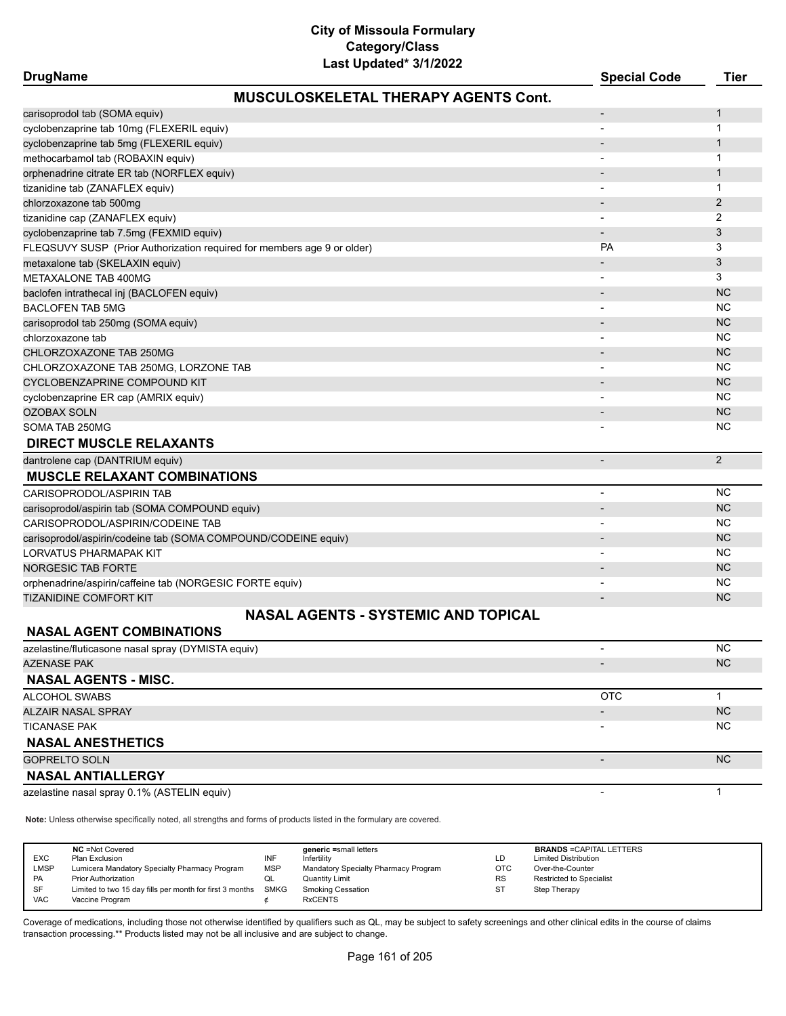| <b>DrugName</b>                                                         | ⊥ası טµuaι <del>c</del> u v חבר בא          | <b>Special Code</b>          | <b>Tier</b>    |
|-------------------------------------------------------------------------|---------------------------------------------|------------------------------|----------------|
|                                                                         | <b>MUSCULOSKELETAL THERAPY AGENTS Cont.</b> |                              |                |
| carisoprodol tab (SOMA equiv)                                           |                                             |                              | $\mathbf{1}$   |
| cyclobenzaprine tab 10mg (FLEXERIL equiv)                               |                                             |                              | $\mathbf{1}$   |
| cyclobenzaprine tab 5mg (FLEXERIL equiv)                                |                                             |                              | $\mathbf{1}$   |
| methocarbamol tab (ROBAXIN equiv)                                       |                                             |                              | 1              |
| orphenadrine citrate ER tab (NORFLEX equiv)                             |                                             |                              | $\mathbf{1}$   |
| tizanidine tab (ZANAFLEX equiv)                                         |                                             |                              | $\mathbf{1}$   |
| chlorzoxazone tab 500mg                                                 |                                             |                              | $\overline{2}$ |
| tizanidine cap (ZANAFLEX equiv)                                         |                                             |                              | 2              |
| cyclobenzaprine tab 7.5mg (FEXMID equiv)                                |                                             | $\overline{\phantom{a}}$     | 3              |
| FLEQSUVY SUSP (Prior Authorization required for members age 9 or older) |                                             | PA                           | 3              |
| metaxalone tab (SKELAXIN equiv)                                         |                                             |                              | 3              |
| METAXALONE TAB 400MG                                                    |                                             |                              | 3              |
| baclofen intrathecal inj (BACLOFEN equiv)                               |                                             |                              | <b>NC</b>      |
| <b>BACLOFEN TAB 5MG</b>                                                 |                                             | $\qquad \qquad \blacksquare$ | <b>NC</b>      |
| carisoprodol tab 250mg (SOMA equiv)                                     |                                             | $\overline{\phantom{a}}$     | <b>NC</b>      |
| chlorzoxazone tab                                                       |                                             | $\overline{\phantom{0}}$     | <b>NC</b>      |
| CHLORZOXAZONE TAB 250MG                                                 |                                             |                              | <b>NC</b>      |
| CHLORZOXAZONE TAB 250MG, LORZONE TAB                                    |                                             |                              | <b>NC</b>      |
| CYCLOBENZAPRINE COMPOUND KIT                                            |                                             | $\overline{\phantom{a}}$     | <b>NC</b>      |
| cyclobenzaprine ER cap (AMRIX equiv)                                    |                                             |                              | <b>NC</b>      |
| <b>OZOBAX SOLN</b>                                                      |                                             | $\overline{\phantom{m}}$     | <b>NC</b>      |
| SOMA TAB 250MG                                                          |                                             |                              | <b>NC</b>      |
| <b>DIRECT MUSCLE RELAXANTS</b>                                          |                                             |                              |                |
| dantrolene cap (DANTRIUM equiv)                                         |                                             | $\overline{\phantom{a}}$     | 2              |
| <b>MUSCLE RELAXANT COMBINATIONS</b>                                     |                                             |                              |                |
| CARISOPRODOL/ASPIRIN TAB                                                |                                             | $\overline{\phantom{a}}$     | <b>NC</b>      |
| carisoprodol/aspirin tab (SOMA COMPOUND equiv)                          |                                             | $\overline{a}$               | <b>NC</b>      |
| CARISOPRODOL/ASPIRIN/CODEINE TAB                                        |                                             |                              | <b>NC</b>      |
| carisoprodol/aspirin/codeine tab (SOMA COMPOUND/CODEINE equiv)          |                                             | $\overline{a}$               | <b>NC</b>      |
| LORVATUS PHARMAPAK KIT                                                  |                                             |                              | <b>NC</b>      |
| <b>NORGESIC TAB FORTE</b>                                               |                                             |                              | <b>NC</b>      |
| orphenadrine/aspirin/caffeine tab (NORGESIC FORTE equiv)                |                                             |                              | <b>NC</b>      |
| TIZANIDINE COMFORT KIT                                                  |                                             | $\blacksquare$               | <b>NC</b>      |
|                                                                         | <b>NASAL AGENTS - SYSTEMIC AND TOPICAL</b>  |                              |                |
| <b>NASAL AGENT COMBINATIONS</b>                                         |                                             |                              |                |
| azelastine/fluticasone nasal spray (DYMISTA equiv)                      |                                             | $\overline{\phantom{a}}$     | <b>NC</b>      |
| <b>AZENASE PAK</b>                                                      |                                             |                              | <b>NC</b>      |
|                                                                         |                                             |                              |                |

#### **NASAL AGENTS - MISC.** ALCOHOL SWABS **OTC** 2 2 2 2 2 2 2 2 2 2 2 2 3 2 2 3 2 2 3 2 3 2 3 2 3 2 3 2 3 3 2 3 3 2 3 3 3 3 3 3 3 3 3 4 3 3 4 3 3 4 3 3 4 3 4 3 4 3 4 3 4 3 4 3 4 3 4 3 4 3 4 3 4 3 4 3 4 3 4 3 4 3 4 3 4 3 4 3 4 3 4 3 4 3 4 3 4 3 4 3 4 ALZAIR NASAL SPRAY - NASAL SPRAY - NASAL SPRAY - NASAL SPRAY - NASAL SPRAY - NASAL SPRAY - NASAL SPRAY - NASAL TICANASE PAK - NC **NASAL ANESTHETICS** GOPRELTO SOLN AND RESERVED ON A SERVED ON A SERVED ON A SERVED ON A SERVED ON A SERVED ON A SERVED ON A SERVED **NASAL ANTIALLERGY** azelastine nasal spray 0.1% (ASTELIN equiv) and the control of the control of the control of the control of the control of the control of the control of the control of the control of the control of the control of the contr

**Note:** Unless otherwise specifically noted, all strengths and forms of products listed in the formulary are covered.

| <b>NC</b> = Not Covered<br>generic =small letters<br><b>EXC</b><br>INF<br>Plan Exclusion<br>Infertility<br><b>LMSP</b><br><b>MSP</b><br>Lumicera Mandatory Specialty Pharmacy Program<br>Mandatory Specialty Pharmacy Program<br><b>Quantity Limit</b><br><b>PA</b><br><b>Prior Authorization</b><br>QL<br>Limited to two 15 day fills per month for first 3 months SMKG<br>SF<br><b>Smoking Cessation</b><br><b>VAC</b><br><b>RxCENTS</b><br>Vaccine Program | LD<br><b>OTC</b><br><b>RS</b><br><b>ST</b> | <b>BRANDS = CAPITAL LETTERS</b><br><b>Limited Distribution</b><br>Over-the-Counter<br><b>Restricted to Specialist</b><br>Step Therapy |
|---------------------------------------------------------------------------------------------------------------------------------------------------------------------------------------------------------------------------------------------------------------------------------------------------------------------------------------------------------------------------------------------------------------------------------------------------------------|--------------------------------------------|---------------------------------------------------------------------------------------------------------------------------------------|
|---------------------------------------------------------------------------------------------------------------------------------------------------------------------------------------------------------------------------------------------------------------------------------------------------------------------------------------------------------------------------------------------------------------------------------------------------------------|--------------------------------------------|---------------------------------------------------------------------------------------------------------------------------------------|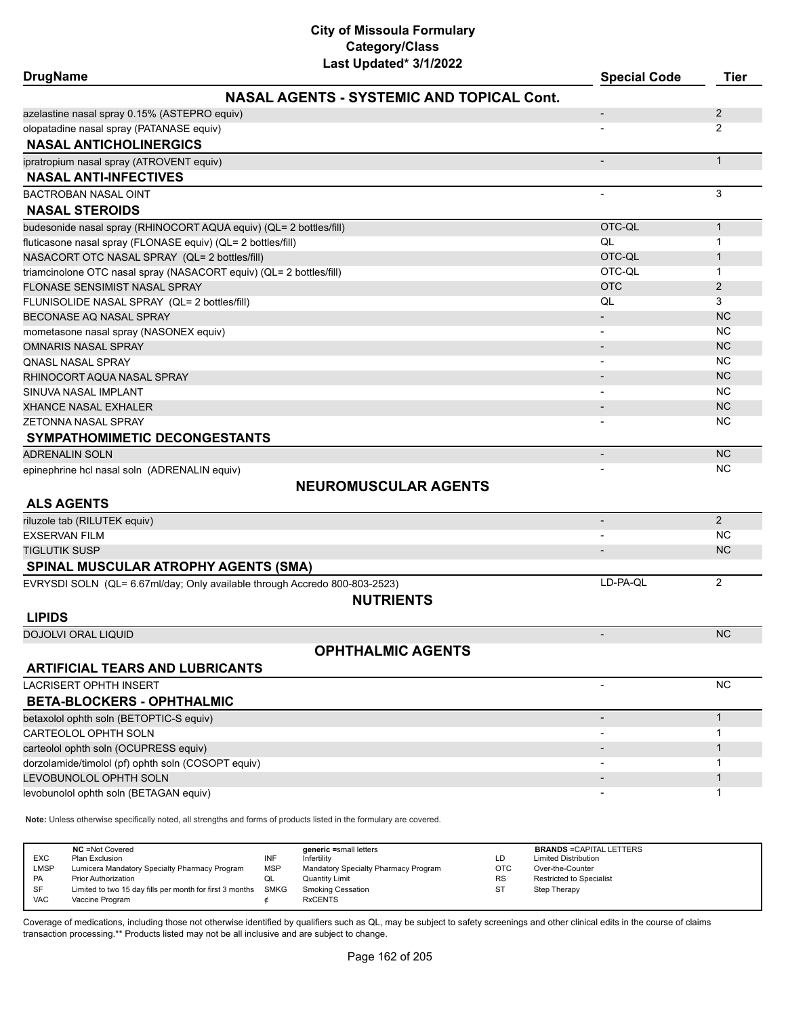| <b>DrugName</b>                                                     | Last updated" 3/1/2022                                                                                              | <b>Special Code</b>      | Tier           |
|---------------------------------------------------------------------|---------------------------------------------------------------------------------------------------------------------|--------------------------|----------------|
|                                                                     | <b>NASAL AGENTS - SYSTEMIC AND TOPICAL Cont.</b>                                                                    |                          |                |
| azelastine nasal spray 0.15% (ASTEPRO equiv)                        |                                                                                                                     |                          | $\overline{2}$ |
| olopatadine nasal spray (PATANASE equiv)                            |                                                                                                                     |                          | 2              |
| <b>NASAL ANTICHOLINERGICS</b>                                       |                                                                                                                     |                          |                |
| ipratropium nasal spray (ATROVENT equiv)                            |                                                                                                                     | $\blacksquare$           | $\mathbf{1}$   |
| <b>NASAL ANTI-INFECTIVES</b>                                        |                                                                                                                     |                          |                |
| <b>BACTROBAN NASAL OINT</b>                                         |                                                                                                                     |                          | 3              |
| <b>NASAL STEROIDS</b>                                               |                                                                                                                     |                          |                |
| budesonide nasal spray (RHINOCORT AQUA equiv) (QL= 2 bottles/fill)  |                                                                                                                     | OTC-QL                   | $\mathbf{1}$   |
| fluticasone nasal spray (FLONASE equiv) (QL= 2 bottles/fill)        |                                                                                                                     | QL                       | 1              |
| NASACORT OTC NASAL SPRAY (QL= 2 bottles/fill)                       |                                                                                                                     | OTC-QL                   | 1              |
| triamcinolone OTC nasal spray (NASACORT equiv) (QL= 2 bottles/fill) |                                                                                                                     | OTC-QL                   | 1              |
| FLONASE SENSIMIST NASAL SPRAY                                       |                                                                                                                     | <b>OTC</b>               | $\overline{2}$ |
| FLUNISOLIDE NASAL SPRAY (QL= 2 bottles/fill)                        |                                                                                                                     | QL                       | 3              |
| BECONASE AQ NASAL SPRAY                                             |                                                                                                                     |                          | <b>NC</b>      |
| mometasone nasal spray (NASONEX equiv)                              |                                                                                                                     | -                        | <b>NC</b>      |
| <b>OMNARIS NASAL SPRAY</b>                                          |                                                                                                                     |                          | <b>NC</b>      |
| QNASL NASAL SPRAY                                                   |                                                                                                                     |                          | NC.            |
| RHINOCORT AQUA NASAL SPRAY                                          |                                                                                                                     |                          | <b>NC</b>      |
| SINUVA NASAL IMPLANT                                                |                                                                                                                     |                          | <b>NC</b>      |
| <b>XHANCE NASAL EXHALER</b>                                         |                                                                                                                     |                          | <b>NC</b>      |
| <b>ZETONNA NASAL SPRAY</b>                                          |                                                                                                                     |                          | NC.            |
| <b>SYMPATHOMIMETIC DECONGESTANTS</b>                                |                                                                                                                     |                          |                |
| <b>ADRENALIN SOLN</b>                                               |                                                                                                                     |                          | <b>NC</b>      |
| epinephrine hcl nasal soln (ADRENALIN equiv)                        |                                                                                                                     |                          | <b>NC</b>      |
|                                                                     | <b>NEUROMUSCULAR AGENTS</b>                                                                                         |                          |                |
| <b>ALS AGENTS</b>                                                   |                                                                                                                     |                          |                |
| riluzole tab (RILUTEK equiv)                                        |                                                                                                                     | $\overline{\phantom{a}}$ | 2              |
| <b>EXSERVAN FILM</b>                                                |                                                                                                                     |                          | <b>NC</b>      |
| <b>TIGLUTIK SUSP</b>                                                |                                                                                                                     |                          | <b>NC</b>      |
| <b>SPINAL MUSCULAR ATROPHY AGENTS (SMA)</b>                         |                                                                                                                     |                          |                |
|                                                                     | EVRYSDI SOLN (QL= 6.67ml/day; Only available through Accredo 800-803-2523)                                          | LD-PA-QL                 | 2              |
|                                                                     | <b>NUTRIENTS</b>                                                                                                    |                          |                |
| <b>LIPIDS</b>                                                       |                                                                                                                     |                          |                |
|                                                                     |                                                                                                                     |                          | <b>NC</b>      |
| DOJOLVI ORAL LIQUID                                                 |                                                                                                                     |                          |                |
|                                                                     | <b>OPHTHALMIC AGENTS</b>                                                                                            |                          |                |
| <b>ARTIFICIAL TEARS AND LUBRICANTS</b>                              |                                                                                                                     |                          |                |
| LACRISERT OPHTH INSERT                                              |                                                                                                                     |                          | <b>NC</b>      |
| <b>BETA-BLOCKERS - OPHTHALMIC</b>                                   |                                                                                                                     |                          |                |
| betaxolol ophth soln (BETOPTIC-S equiv)                             |                                                                                                                     | $\overline{\phantom{m}}$ | $\mathbf{1}$   |
| CARTEOLOL OPHTH SOLN                                                |                                                                                                                     |                          | 1              |
| carteolol ophth soln (OCUPRESS equiv)                               |                                                                                                                     |                          | 1              |
| dorzolamide/timolol (pf) ophth soln (COSOPT equiv)                  |                                                                                                                     | $\overline{\phantom{0}}$ | 1              |
| LEVOBUNOLOL OPHTH SOLN                                              |                                                                                                                     |                          | 1              |
| levobunolol ophth soln (BETAGAN equiv)                              |                                                                                                                     |                          | 1              |
|                                                                     | Note: Unless otherwise specifically noted, all strengths and forms of products listed in the formulary are covered. |                          |                |
|                                                                     |                                                                                                                     |                          |                |

| <b>EXC</b> | <b>NC</b> = Not Covered<br>Plan Exclusion                     | INF        | generic =small letters<br>Infertility | LD         | <b>BRANDS = CAPITAL LETTERS</b><br><b>Limited Distribution</b> |
|------------|---------------------------------------------------------------|------------|---------------------------------------|------------|----------------------------------------------------------------|
| LMSP       | Lumicera Mandatory Specialty Pharmacy Program                 | <b>MSP</b> | Mandatory Specialty Pharmacy Program  | <b>OTC</b> | Over-the-Counter                                               |
| <b>PA</b>  | <b>Prior Authorization</b>                                    | QL         | Quantity Limit                        | <b>RS</b>  | <b>Restricted to Specialist</b>                                |
| SF         | Limited to two 15 day fills per month for first 3 months SMKG |            | <b>Smoking Cessation</b>              | <b>ST</b>  | Step Therapy                                                   |
| <b>VAC</b> | Vaccine Program                                               |            | <b>RxCENTS</b>                        |            |                                                                |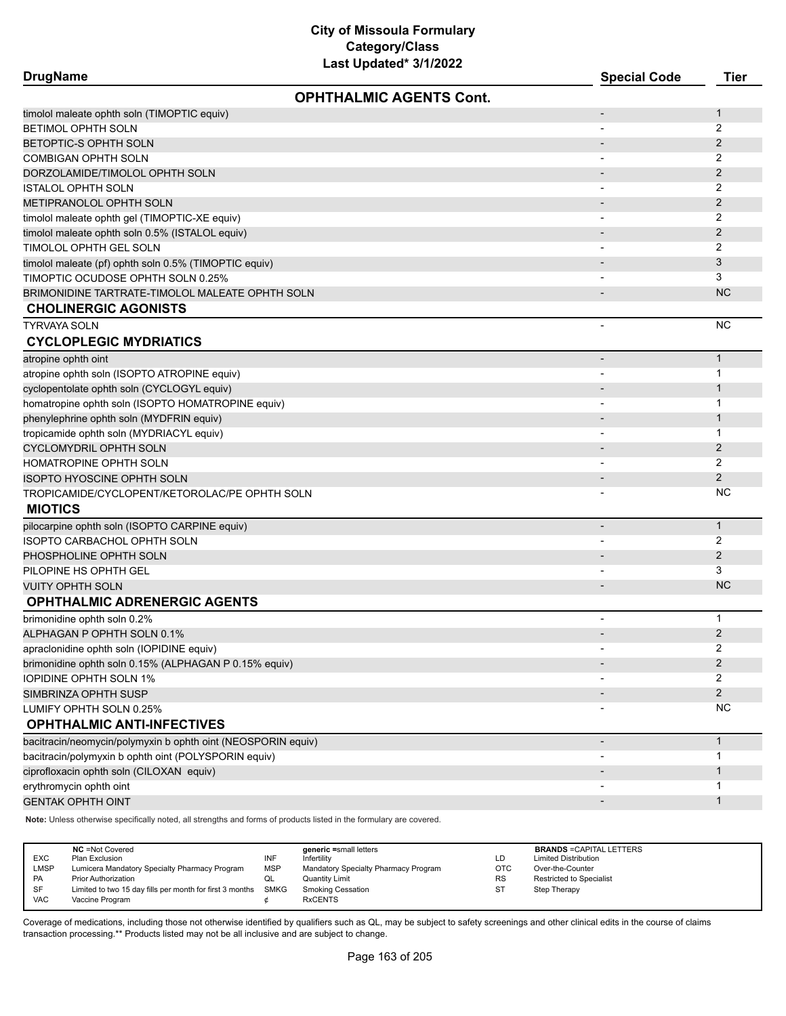| <b>DrugName</b><br><b>Special Code</b><br><b>OPHTHALMIC AGENTS Cont.</b><br>timolol maleate ophth soln (TIMOPTIC equiv)<br>$\overline{\phantom{m}}$<br><b>BETIMOL OPHTH SOLN</b><br>BETOPTIC-S OPHTH SOLN<br>COMBIGAN OPHTH SOLN | <b>Tier</b><br>$\mathbf{1}$<br>2<br>2<br>2<br>$\overline{2}$<br>2<br>$\overline{2}$<br>2 |
|----------------------------------------------------------------------------------------------------------------------------------------------------------------------------------------------------------------------------------|------------------------------------------------------------------------------------------|
|                                                                                                                                                                                                                                  |                                                                                          |
|                                                                                                                                                                                                                                  |                                                                                          |
|                                                                                                                                                                                                                                  |                                                                                          |
|                                                                                                                                                                                                                                  |                                                                                          |
|                                                                                                                                                                                                                                  |                                                                                          |
| DORZOLAMIDE/TIMOLOL OPHTH SOLN                                                                                                                                                                                                   |                                                                                          |
| <b>ISTALOL OPHTH SOLN</b><br>$\overline{a}$                                                                                                                                                                                      |                                                                                          |
| <b>METIPRANOLOL OPHTH SOLN</b>                                                                                                                                                                                                   |                                                                                          |
| timolol maleate ophth gel (TIMOPTIC-XE equiv)                                                                                                                                                                                    |                                                                                          |
| timolol maleate ophth soln 0.5% (ISTALOL equiv)                                                                                                                                                                                  | $\overline{2}$                                                                           |
| 2<br>TIMOLOL OPHTH GEL SOLN                                                                                                                                                                                                      |                                                                                          |
| timolol maleate (pf) ophth soln 0.5% (TIMOPTIC equiv)                                                                                                                                                                            | 3                                                                                        |
| TIMOPTIC OCUDOSE OPHTH SOLN 0.25%                                                                                                                                                                                                | 3                                                                                        |
| BRIMONIDINE TARTRATE-TIMOLOL MALEATE OPHTH SOLN                                                                                                                                                                                  | <b>NC</b>                                                                                |
| <b>CHOLINERGIC AGONISTS</b>                                                                                                                                                                                                      |                                                                                          |
| TYRVAYA SOLN<br>$\overline{a}$                                                                                                                                                                                                   | <b>NC</b>                                                                                |
| <b>CYCLOPLEGIC MYDRIATICS</b>                                                                                                                                                                                                    |                                                                                          |
| atropine ophth oint<br>$\overline{a}$                                                                                                                                                                                            | $\mathbf{1}$                                                                             |
| atropine ophth soln (ISOPTO ATROPINE equiv)                                                                                                                                                                                      | 1                                                                                        |
| cyclopentolate ophth soln (CYCLOGYL equiv)                                                                                                                                                                                       | 1                                                                                        |
| homatropine ophth soln (ISOPTO HOMATROPINE equiv)<br>$\qquad \qquad \blacksquare$                                                                                                                                                | 1                                                                                        |
| phenylephrine ophth soln (MYDFRIN equiv)                                                                                                                                                                                         | 1                                                                                        |
| tropicamide ophth soln (MYDRIACYL equiv)                                                                                                                                                                                         | 1                                                                                        |
| CYCLOMYDRIL OPHTH SOLN                                                                                                                                                                                                           | 2                                                                                        |
| HOMATROPINE OPHTH SOLN                                                                                                                                                                                                           | 2                                                                                        |
| <b>ISOPTO HYOSCINE OPHTH SOLN</b>                                                                                                                                                                                                | $\overline{2}$                                                                           |
| TROPICAMIDE/CYCLOPENT/KETOROLAC/PE OPHTH SOLN                                                                                                                                                                                    | <b>NC</b>                                                                                |
| <b>MIOTICS</b>                                                                                                                                                                                                                   |                                                                                          |
| pilocarpine ophth soln (ISOPTO CARPINE equiv)<br>$\qquad \qquad \blacksquare$                                                                                                                                                    | $\mathbf{1}$                                                                             |
| ISOPTO CARBACHOL OPHTH SOLN                                                                                                                                                                                                      | 2                                                                                        |
| PHOSPHOLINE OPHTH SOLN                                                                                                                                                                                                           | $\overline{2}$                                                                           |
| PILOPINE HS OPHTH GEL                                                                                                                                                                                                            | 3                                                                                        |
| <b>VUITY OPHTH SOLN</b>                                                                                                                                                                                                          | <b>NC</b>                                                                                |
| <b>OPHTHALMIC ADRENERGIC AGENTS</b>                                                                                                                                                                                              |                                                                                          |
| brimonidine ophth soln 0.2%<br>٠                                                                                                                                                                                                 | 1                                                                                        |
| ALPHAGAN P OPHTH SOLN 0.1%                                                                                                                                                                                                       | $\overline{2}$                                                                           |
| apraclonidine ophth soln (IOPIDINE equiv)                                                                                                                                                                                        | 2                                                                                        |
| brimonidine ophth soln 0.15% (ALPHAGAN P 0.15% equiv)                                                                                                                                                                            | $\overline{2}$                                                                           |
| IOPIDINE OPHTH SOLN 1%                                                                                                                                                                                                           | 2                                                                                        |
| SIMBRINZA OPHTH SUSP                                                                                                                                                                                                             | $\overline{2}$                                                                           |
| LUMIFY OPHTH SOLN 0.25%                                                                                                                                                                                                          | <b>NC</b>                                                                                |
| <b>OPHTHALMIC ANTI-INFECTIVES</b>                                                                                                                                                                                                |                                                                                          |
| bacitracin/neomycin/polymyxin b ophth oint (NEOSPORIN equiv)<br>$\overline{\phantom{m}}$                                                                                                                                         | $\mathbf{1}$                                                                             |
| bacitracin/polymyxin b ophth oint (POLYSPORIN equiv)                                                                                                                                                                             | 1                                                                                        |
| ciprofloxacin ophth soln (CILOXAN equiv)                                                                                                                                                                                         | 1                                                                                        |
| erythromycin ophth oint                                                                                                                                                                                                          | 1                                                                                        |
| <b>GENTAK OPHTH OINT</b>                                                                                                                                                                                                         | $\mathbf{1}$                                                                             |

**Note:** Unless otherwise specifically noted, all strengths and forms of products listed in the formulary are covered.

| <b>EXC</b><br><b>LMSP</b><br>PA<br>SF | <b>NC</b> = Not Covered<br>Plan Exclusion<br>Lumicera Mandatory Specialty Pharmacy Program<br><b>Prior Authorization</b><br>Limited to two 15 day fills per month for first 3 months | INF<br><b>MSP</b><br>QL<br>SMKG | generic =small letters<br>Infertility<br>Mandatory Specialty Pharmacy Program<br><b>Quantity Limit</b><br><b>Smoking Cessation</b> | LD<br><b>OTC</b><br><b>RS</b><br><b>ST</b> | <b>BRANDS = CAPITAL LETTERS</b><br><b>Limited Distribution</b><br>Over-the-Counter<br><b>Restricted to Specialist</b><br>Step Therapy |
|---------------------------------------|--------------------------------------------------------------------------------------------------------------------------------------------------------------------------------------|---------------------------------|------------------------------------------------------------------------------------------------------------------------------------|--------------------------------------------|---------------------------------------------------------------------------------------------------------------------------------------|
| <b>VAC</b>                            | Vaccine Program                                                                                                                                                                      |                                 | <b>RxCENTS</b>                                                                                                                     |                                            |                                                                                                                                       |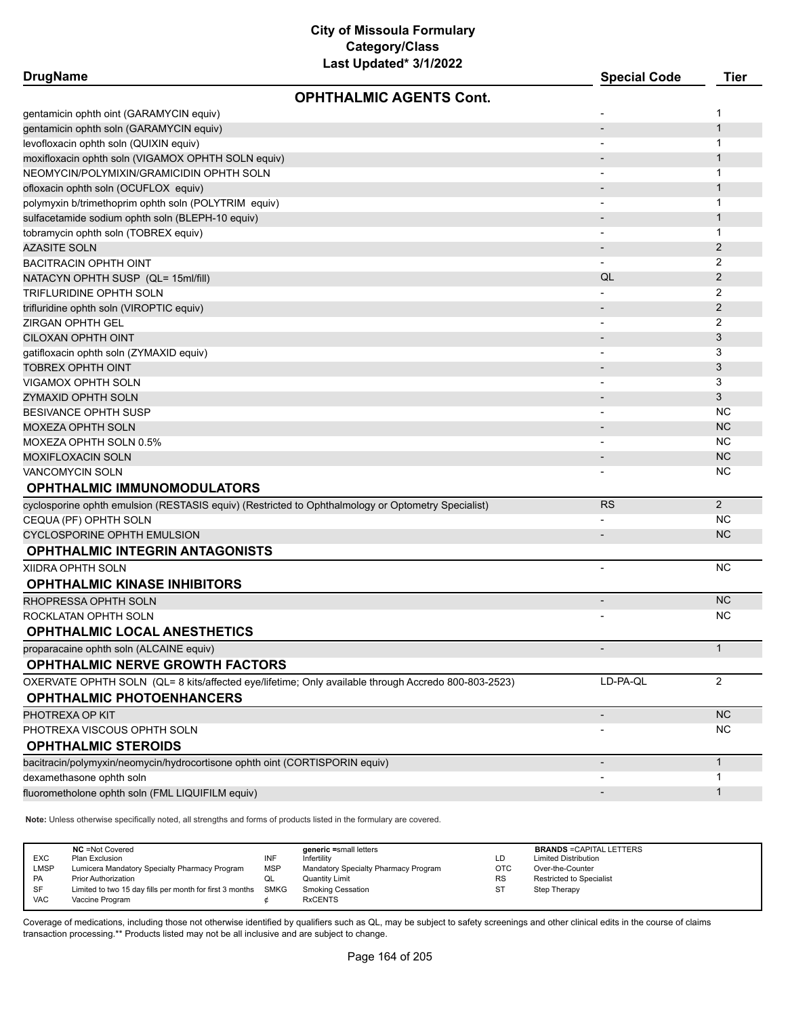| <b>DrugName</b>                                                                                     | Lasi upudibu <i>shiku</i> zz   | <b>Special Code</b>      | <b>Tier</b>    |
|-----------------------------------------------------------------------------------------------------|--------------------------------|--------------------------|----------------|
|                                                                                                     | <b>OPHTHALMIC AGENTS Cont.</b> |                          |                |
| gentamicin ophth oint (GARAMYCIN equiv)                                                             |                                | $\overline{\phantom{a}}$ | 1              |
| gentamicin ophth soln (GARAMYCIN equiv)                                                             |                                |                          | $\mathbf{1}$   |
| levofloxacin ophth soln (QUIXIN equiv)                                                              |                                | $\overline{\phantom{a}}$ | 1              |
| moxifloxacin ophth soln (VIGAMOX OPHTH SOLN equiv)                                                  |                                |                          | $\mathbf{1}$   |
| NEOMYCIN/POLYMIXIN/GRAMICIDIN OPHTH SOLN                                                            |                                | $\overline{\phantom{a}}$ | 1              |
| ofloxacin ophth soln (OCUFLOX equiv)                                                                |                                |                          | $\mathbf{1}$   |
| polymyxin b/trimethoprim ophth soln (POLYTRIM equiv)                                                |                                | $\overline{\phantom{a}}$ | 1              |
| sulfacetamide sodium ophth soln (BLEPH-10 equiv)                                                    |                                |                          | $\mathbf{1}$   |
| tobramycin ophth soln (TOBREX equiv)                                                                |                                | $\overline{\phantom{a}}$ | 1              |
| <b>AZASITE SOLN</b>                                                                                 |                                |                          | $\overline{2}$ |
| <b>BACITRACIN OPHTH OINT</b>                                                                        |                                |                          | 2              |
| NATACYN OPHTH SUSP (QL= 15ml/fill)                                                                  |                                | QL                       | $\overline{2}$ |
| TRIFLURIDINE OPHTH SOLN                                                                             |                                |                          | 2              |
| trifluridine ophth soln (VIROPTIC equiv)                                                            |                                |                          | $\overline{2}$ |
| <b>ZIRGAN OPHTH GEL</b>                                                                             |                                |                          | 2              |
| CILOXAN OPHTH OINT                                                                                  |                                | $\overline{\phantom{a}}$ | 3              |
| gatifloxacin ophth soln (ZYMAXID equiv)                                                             |                                | $\overline{\phantom{a}}$ | 3              |
| <b>TOBREX OPHTH OINT</b>                                                                            |                                |                          | 3              |
| <b>VIGAMOX OPHTH SOLN</b>                                                                           |                                |                          | 3              |
| <b>ZYMAXID OPHTH SOLN</b>                                                                           |                                |                          | 3              |
| <b>BESIVANCE OPHTH SUSP</b>                                                                         |                                |                          | <b>NC</b>      |
| <b>MOXEZA OPHTH SOLN</b>                                                                            |                                |                          | <b>NC</b>      |
| MOXEZA OPHTH SOLN 0.5%                                                                              |                                |                          | <b>NC</b>      |
| <b>MOXIFLOXACIN SOLN</b>                                                                            |                                |                          | <b>NC</b>      |
| <b>VANCOMYCIN SOLN</b>                                                                              |                                |                          | <b>NC</b>      |
| OPHTHALMIC IMMUNOMODULATORS                                                                         |                                |                          |                |
| cyclosporine ophth emulsion (RESTASIS equiv) (Restricted to Ophthalmology or Optometry Specialist)  |                                | <b>RS</b>                | 2              |
| CEQUA (PF) OPHTH SOLN                                                                               |                                |                          | <b>NC</b>      |
| <b>CYCLOSPORINE OPHTH EMULSION</b>                                                                  |                                |                          | <b>NC</b>      |
| <b>OPHTHALMIC INTEGRIN ANTAGONISTS</b>                                                              |                                |                          |                |
| <b>XIIDRA OPHTH SOLN</b>                                                                            |                                | $\overline{a}$           | <b>NC</b>      |
| <b>OPHTHALMIC KINASE INHIBITORS</b>                                                                 |                                |                          |                |
| RHOPRESSA OPHTH SOLN                                                                                |                                | $\overline{\phantom{a}}$ | <b>NC</b>      |
| ROCKLATAN OPHTH SOLN                                                                                |                                |                          | <b>NC</b>      |
| <b>OPHTHALMIC LOCAL ANESTHETICS</b>                                                                 |                                |                          |                |
| proparacaine ophth soln (ALCAINE equiv)                                                             |                                |                          | $\mathbf{1}$   |
| <b>OPHTHALMIC NERVE GROWTH FACTORS</b>                                                              |                                |                          |                |
| OXERVATE OPHTH SOLN (QL= 8 kits/affected eye/lifetime; Only available through Accredo 800-803-2523) |                                | LD-PA-QL                 | $\overline{2}$ |
| <b>OPHTHALMIC PHOTOENHANCERS</b>                                                                    |                                |                          |                |
| PHOTREXA OP KIT                                                                                     |                                | -                        | $NC$           |
| PHOTREXA VISCOUS OPHTH SOLN                                                                         |                                |                          | <b>NC</b>      |
| <b>OPHTHALMIC STEROIDS</b>                                                                          |                                |                          |                |
| bacitracin/polymyxin/neomycin/hydrocortisone ophth oint (CORTISPORIN equiv)                         |                                | $\overline{\phantom{a}}$ | $\mathbf{1}$   |
| dexamethasone ophth soln                                                                            |                                |                          | 1              |
| fluorometholone ophth soln (FML LIQUIFILM equiv)                                                    |                                |                          | $\mathbf{1}$   |

**Note:** Unless otherwise specifically noted, all strengths and forms of products listed in the formulary are covered.

| <b>EXC</b><br>LMSP<br>PA | <b>NC</b> = Not Covered<br>Plan Exclusion<br>Lumicera Mandatory Specialty Pharmacy Program<br><b>Prior Authorization</b> | INF<br><b>MSP</b><br>◡ | generic =small letters<br>Infertility<br>Mandatory Specialty Pharmacy Program<br><b>Quantity Limit</b> | LD<br><b>OTC</b><br><b>RS</b> | <b>BRANDS = CAPITAL LETTERS</b><br><b>Limited Distribution</b><br>Over-the-Counter<br>Restricted to Specialist |
|--------------------------|--------------------------------------------------------------------------------------------------------------------------|------------------------|--------------------------------------------------------------------------------------------------------|-------------------------------|----------------------------------------------------------------------------------------------------------------|
| <b>SF</b><br><b>VAC</b>  | Limited to two 15 day fills per month for first 3 months<br>Vaccine Program                                              | SMKG                   | <b>Smoking Cessation</b><br><b>RxCENTS</b>                                                             | <b>ST</b>                     | Step Therapy                                                                                                   |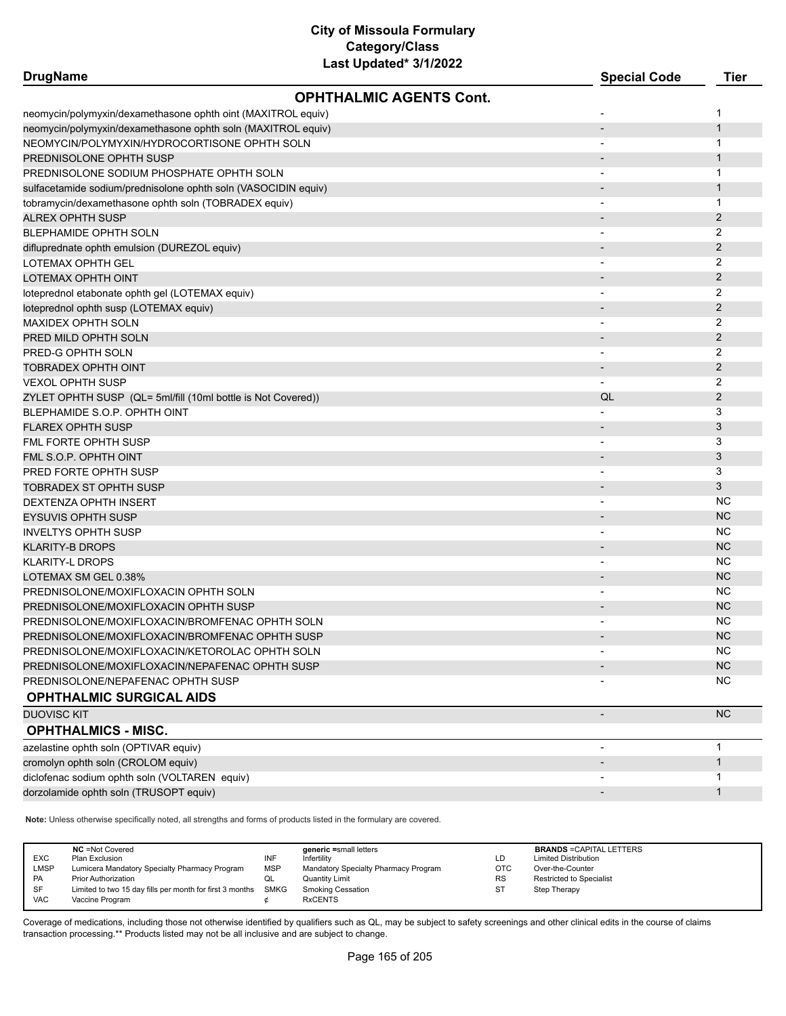| <b>DrugName</b>                                                | Last Upuat <del>c</del> u vrizuzz | <b>Special Code</b>      | <b>Tier</b>    |
|----------------------------------------------------------------|-----------------------------------|--------------------------|----------------|
|                                                                | <b>OPHTHALMIC AGENTS Cont.</b>    |                          |                |
| neomycin/polymyxin/dexamethasone ophth oint (MAXITROL equiv)   |                                   |                          | $\mathbf 1$    |
| neomycin/polymyxin/dexamethasone ophth soln (MAXITROL equiv)   |                                   | $\overline{\phantom{a}}$ | $\mathbf{1}$   |
| NEOMYCIN/POLYMYXIN/HYDROCORTISONE OPHTH SOLN                   |                                   |                          | 1              |
| PREDNISOLONE OPHTH SUSP                                        |                                   |                          | 1              |
| PREDNISOLONE SODIUM PHOSPHATE OPHTH SOLN                       |                                   |                          | $\mathbf 1$    |
| sulfacetamide sodium/prednisolone ophth soln (VASOCIDIN equiv) |                                   |                          | $\mathbf{1}$   |
| tobramycin/dexamethasone ophth soln (TOBRADEX equiv)           |                                   |                          | $\mathbf{1}$   |
| <b>ALREX OPHTH SUSP</b>                                        |                                   |                          | $\overline{2}$ |
| <b>BLEPHAMIDE OPHTH SOLN</b>                                   |                                   |                          | 2              |
| difluprednate ophth emulsion (DUREZOL equiv)                   |                                   |                          | 2              |
| LOTEMAX OPHTH GEL                                              |                                   |                          | 2              |
| LOTEMAX OPHTH OINT                                             |                                   |                          | $\overline{2}$ |
| loteprednol etabonate ophth gel (LOTEMAX equiv)                |                                   |                          | 2              |
| loteprednol ophth susp (LOTEMAX equiv)                         |                                   |                          | 2              |
| <b>MAXIDEX OPHTH SOLN</b>                                      |                                   |                          | 2              |
| PRED MILD OPHTH SOLN                                           |                                   |                          | 2              |
| PRED-G OPHTH SOLN                                              |                                   |                          | 2              |
| TOBRADEX OPHTH OINT                                            |                                   |                          | $\overline{2}$ |
| <b>VEXOL OPHTH SUSP</b>                                        |                                   |                          | 2              |
| ZYLET OPHTH SUSP (QL= 5ml/fill (10ml bottle is Not Covered))   |                                   | QL                       | 2              |
| BLEPHAMIDE S.O.P. OPHTH OINT                                   |                                   |                          | 3              |
| <b>FLAREX OPHTH SUSP</b>                                       |                                   |                          | 3              |
| FML FORTE OPHTH SUSP                                           |                                   |                          | 3              |
| FML S.O.P. OPHTH OINT                                          |                                   |                          | 3              |
| PRED FORTE OPHTH SUSP                                          |                                   |                          | 3              |
| <b>TOBRADEX ST OPHTH SUSP</b>                                  |                                   |                          | 3              |
| DEXTENZA OPHTH INSERT                                          |                                   |                          | <b>NC</b>      |
| <b>EYSUVIS OPHTH SUSP</b>                                      |                                   |                          | <b>NC</b>      |
| <b>INVELTYS OPHTH SUSP</b>                                     |                                   |                          | NC.            |
| <b>KLARITY-B DROPS</b>                                         |                                   |                          | <b>NC</b>      |
| KLARITY-L DROPS                                                |                                   |                          | <b>NC</b>      |
| LOTEMAX SM GEL 0.38%                                           |                                   |                          | <b>NC</b>      |
| PREDNISOLONE/MOXIFLOXACIN OPHTH SOLN                           |                                   | $\overline{\phantom{a}}$ | NC.            |
| PREDNISOLONE/MOXIFLOXACIN OPHTH SUSP                           |                                   |                          | <b>NC</b>      |
| PREDNISOLONE/MOXIFLOXACIN/BROMFENAC OPHTH SOLN                 |                                   |                          | <b>NC</b>      |
| PREDNISOLONE/MOXIFLOXACIN/BROMFENAC OPHTH SUSP                 |                                   |                          | <b>NC</b>      |
| PREDNISOLONE/MOXIFLOXACIN/KETOROLAC OPHTH SOLN                 |                                   |                          | <b>NC</b>      |
| PREDNISOLONE/MOXIFLOXACIN/NEPAFENAC OPHTH SUSP                 |                                   |                          | <b>NC</b>      |
| PREDNISOLONE/NEPAFENAC OPHTH SUSP                              |                                   |                          | <b>NC</b>      |
| <b>OPHTHALMIC SURGICAL AIDS</b>                                |                                   |                          |                |
| <b>DUOVISC KIT</b>                                             |                                   | $\overline{\phantom{a}}$ | <b>NC</b>      |
| <b>OPHTHALMICS - MISC.</b>                                     |                                   |                          |                |
| azelastine ophth soln (OPTIVAR equiv)                          |                                   | $\overline{\phantom{a}}$ | $\mathbf{1}$   |
| cromolyn ophth soln (CROLOM equiv)                             |                                   | $\overline{\phantom{a}}$ | $\mathbf{1}$   |
| diclofenac sodium ophth soln (VOLTAREN equiv)                  |                                   |                          | $\mathbf{1}$   |
| dorzolamide ophth soln (TRUSOPT equiv)                         |                                   | $\overline{\phantom{a}}$ | $\mathbf{1}$   |

**Note:** Unless otherwise specifically noted, all strengths and forms of products listed in the formulary are covered.

| <b>VAC</b><br><b>RxCENTS</b><br>Vaccine Program | <b>EXC</b><br><b>LMSP</b><br><b>PA</b><br>SF | <b>NC</b> = Not Covered<br>Plan Exclusion<br>Lumicera Mandatory Specialty Pharmacy Program<br><b>Prior Authorization</b><br>Limited to two 15 day fills per month for first 3 months SMKG | INF<br><b>MSP</b><br>QL | generic =small letters<br>Infertility<br>Mandatory Specialty Pharmacy Program<br>Quantity Limit<br><b>Smoking Cessation</b> | LD<br><b>OTC</b><br><b>RS</b><br><b>ST</b> | <b>BRANDS = CAPITAL LETTERS</b><br><b>Limited Distribution</b><br>Over-the-Counter<br><b>Restricted to Specialist</b><br>Step Therapy |
|-------------------------------------------------|----------------------------------------------|-------------------------------------------------------------------------------------------------------------------------------------------------------------------------------------------|-------------------------|-----------------------------------------------------------------------------------------------------------------------------|--------------------------------------------|---------------------------------------------------------------------------------------------------------------------------------------|
|-------------------------------------------------|----------------------------------------------|-------------------------------------------------------------------------------------------------------------------------------------------------------------------------------------------|-------------------------|-----------------------------------------------------------------------------------------------------------------------------|--------------------------------------------|---------------------------------------------------------------------------------------------------------------------------------------|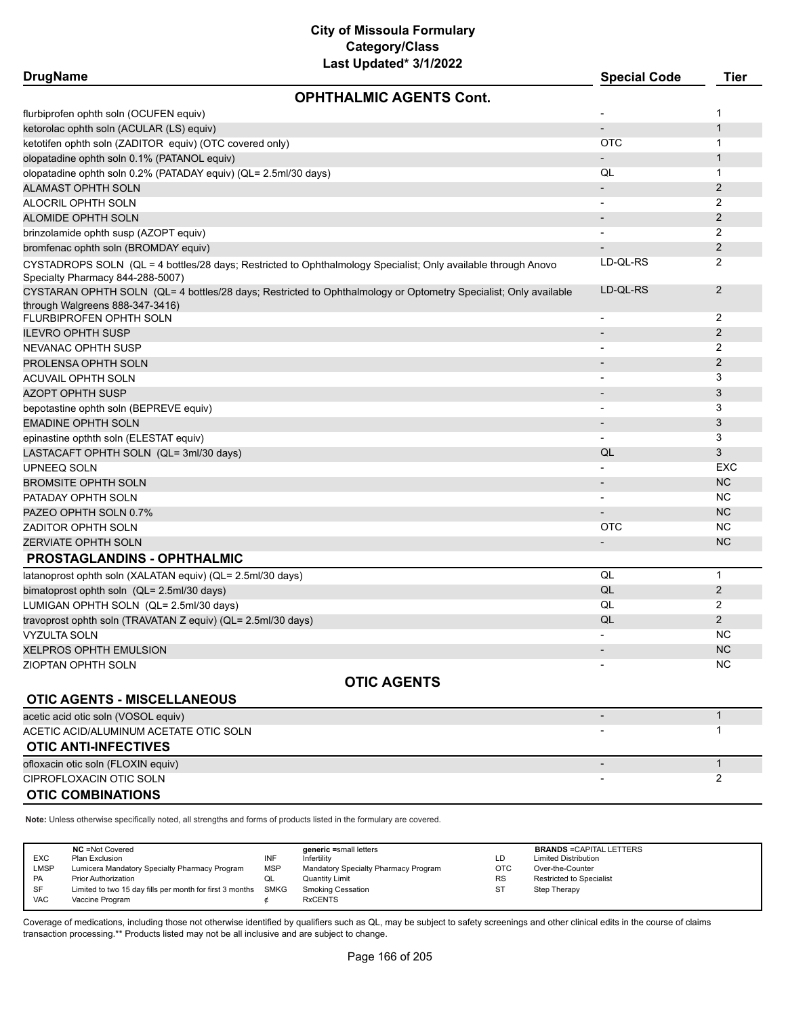# **City of Missoula Formulary Category/Class**

| Last Updated* 3/1/2022                                                                                                                             |                          |                |
|----------------------------------------------------------------------------------------------------------------------------------------------------|--------------------------|----------------|
| <b>DrugName</b>                                                                                                                                    | <b>Special Code</b>      | <b>Tier</b>    |
| <b>OPHTHALMIC AGENTS Cont.</b>                                                                                                                     |                          |                |
| flurbiprofen ophth soln (OCUFEN equiv)                                                                                                             |                          | 1              |
| ketorolac ophth soln (ACULAR (LS) equiv)                                                                                                           |                          | 1              |
| ketotifen ophth soln (ZADITOR equiv) (OTC covered only)                                                                                            | <b>OTC</b>               | 1              |
| olopatadine ophth soln 0.1% (PATANOL equiv)                                                                                                        |                          | 1              |
| olopatadine ophth soln 0.2% (PATADAY equiv) (QL= 2.5ml/30 days)                                                                                    | QL                       | 1              |
| ALAMAST OPHTH SOLN                                                                                                                                 |                          | 2              |
| ALOCRIL OPHTH SOLN                                                                                                                                 |                          | 2              |
| ALOMIDE OPHTH SOLN                                                                                                                                 |                          | 2              |
| brinzolamide ophth susp (AZOPT equiv)                                                                                                              |                          | 2              |
| bromfenac ophth soln (BROMDAY equiv)                                                                                                               |                          | 2              |
| CYSTADROPS SOLN (QL = 4 bottles/28 days; Restricted to Ophthalmology Specialist; Only available through Anovo                                      | LD-QL-RS                 | 2              |
| Specialty Pharmacy 844-288-5007)                                                                                                                   |                          |                |
| CYSTARAN OPHTH SOLN (QL= 4 bottles/28 days; Restricted to Ophthalmology or Optometry Specialist; Only available<br>through Walgreens 888-347-3416) | LD-QL-RS                 | 2              |
| FLURBIPROFEN OPHTH SOLN                                                                                                                            |                          | 2              |
| ILEVRO OPHTH SUSP                                                                                                                                  |                          | 2              |
| NEVANAC OPHTH SUSP                                                                                                                                 |                          | 2              |
| PROLENSA OPHTH SOLN                                                                                                                                |                          | 2              |
| ACUVAIL OPHTH SOLN                                                                                                                                 |                          | 3              |
| AZOPT OPHTH SUSP                                                                                                                                   | $\overline{\phantom{a}}$ | 3              |
| bepotastine ophth soln (BEPREVE equiv)                                                                                                             | $\overline{\phantom{a}}$ | 3              |
| <b>EMADINE OPHTH SOLN</b>                                                                                                                          |                          | 3              |
| epinastine opthth soln (ELESTAT equiv)                                                                                                             |                          | 3              |
| LASTACAFT OPHTH SOLN (QL= 3ml/30 days)                                                                                                             | QL                       | 3              |
| UPNEEQ SOLN                                                                                                                                        |                          | EXC            |
| BROMSITE OPHTH SOLN                                                                                                                                |                          | <b>NC</b>      |
| PATADAY OPHTH SOLN                                                                                                                                 |                          | <b>NC</b>      |
| PAZEO OPHTH SOLN 0.7%                                                                                                                              |                          | <b>NC</b>      |
| ZADITOR OPHTH SOLN                                                                                                                                 | <b>OTC</b>               | <b>NC</b>      |
| <b>ZERVIATE OPHTH SOLN</b>                                                                                                                         |                          | <b>NC</b>      |
| <b>PROSTAGLANDINS - OPHTHALMIC</b>                                                                                                                 |                          |                |
| latanoprost ophth soln (XALATAN equiv) (QL= 2.5ml/30 days)                                                                                         | QL                       | $\mathbf{1}$   |
| bimatoprost ophth soln (QL= 2.5ml/30 days)                                                                                                         | QL                       | 2              |
| LUMIGAN OPHTH SOLN (QL= 2.5ml/30 days)                                                                                                             | QL                       | 2              |
| travoprost ophth soln (TRAVATAN Z equiv) (QL= 2.5ml/30 days)                                                                                       | QL                       | $\overline{2}$ |
| <b>VYZULTA SOLN</b>                                                                                                                                |                          | <b>NC</b>      |
| XELPROS OPHTH EMULSION                                                                                                                             |                          | <b>NC</b>      |
| ZIOPTAN OPHTH SOLN                                                                                                                                 |                          | NC.            |
| <b>OTIC AGENTS</b>                                                                                                                                 |                          |                |
| <b>OTIC AGENTS - MISCELLANEOUS</b>                                                                                                                 |                          |                |
| acetic acid otic soln (VOSOL equiv)                                                                                                                | $\overline{\phantom{a}}$ | $\mathbf{1}$   |
| ACETIC ACID/ALUMINUM ACETATE OTIC SOLN                                                                                                             |                          | $\mathbf{1}$   |
| <b>OTIC ANTI-INFECTIVES</b>                                                                                                                        |                          |                |
| ofloxacin otic soln (FLOXIN equiv)                                                                                                                 |                          | $\mathbf{1}$   |
| CIPROFLOXACIN OTIC SOLN                                                                                                                            |                          | 2              |
| <b>OTIC COMBINATIONS</b>                                                                                                                           |                          |                |

**Note:** Unless otherwise specifically noted, all strengths and forms of products listed in the formulary are covered.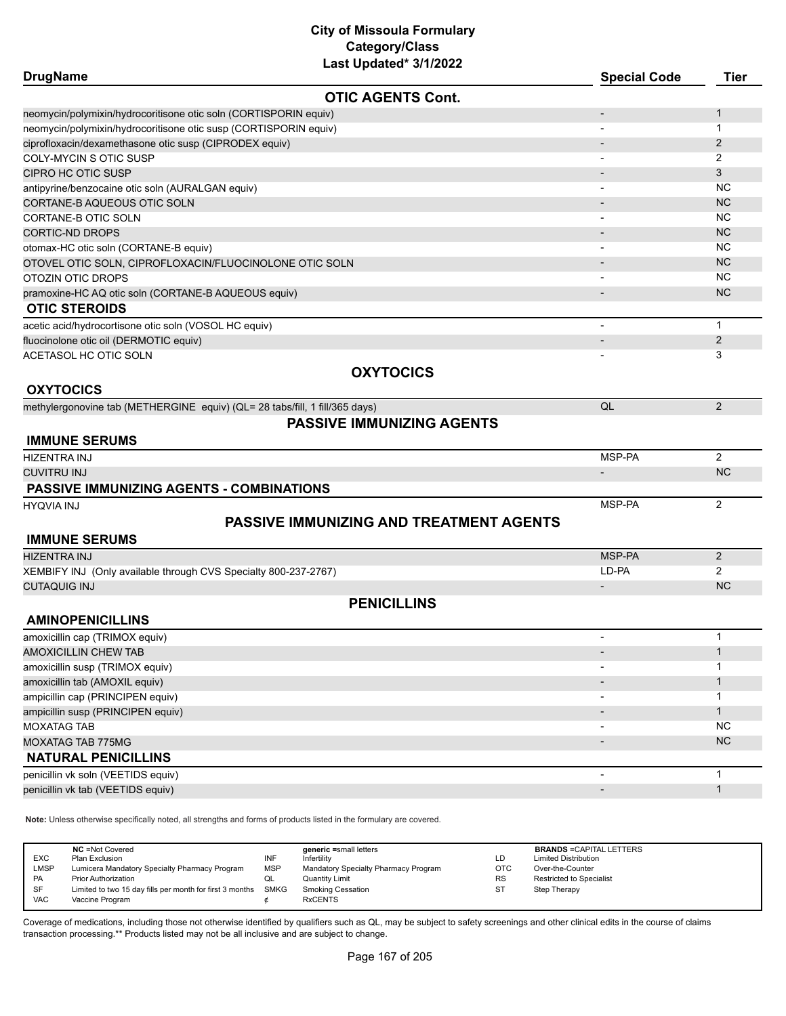| <b>DrugName</b>                                                             |                                                | <b>Special Code</b>      | <b>Tier</b>    |
|-----------------------------------------------------------------------------|------------------------------------------------|--------------------------|----------------|
|                                                                             | <b>OTIC AGENTS Cont.</b>                       |                          |                |
| neomycin/polymixin/hydrocoritisone otic soln (CORTISPORIN equiv)            |                                                |                          | 1              |
| neomycin/polymixin/hydrocoritisone otic susp (CORTISPORIN equiv)            |                                                |                          | 1              |
| ciprofloxacin/dexamethasone otic susp (CIPRODEX equiv)                      |                                                |                          | 2              |
| COLY-MYCIN S OTIC SUSP                                                      |                                                |                          | 2              |
| CIPRO HC OTIC SUSP                                                          |                                                |                          | 3              |
| antipyrine/benzocaine otic soln (AURALGAN equiv)                            |                                                |                          | <b>NC</b>      |
| CORTANE-B AQUEOUS OTIC SOLN                                                 |                                                |                          | <b>NC</b>      |
| CORTANE-B OTIC SOLN                                                         |                                                |                          | <b>NC</b>      |
| CORTIC-ND DROPS                                                             |                                                |                          | <b>NC</b>      |
| otomax-HC otic soln (CORTANE-B equiv)                                       |                                                |                          | <b>NC</b>      |
| OTOVEL OTIC SOLN, CIPROFLOXACIN/FLUOCINOLONE OTIC SOLN                      |                                                |                          | <b>NC</b>      |
| OTOZIN OTIC DROPS                                                           |                                                |                          | <b>NC</b>      |
| pramoxine-HC AQ otic soln (CORTANE-B AQUEOUS equiv)                         |                                                |                          | <b>NC</b>      |
| <b>OTIC STEROIDS</b>                                                        |                                                |                          |                |
| acetic acid/hydrocortisone otic soln (VOSOL HC equiv)                       |                                                | $\blacksquare$           | $\mathbf{1}$   |
| fluocinolone otic oil (DERMOTIC equiv)                                      |                                                | $\overline{\phantom{a}}$ | $\overline{2}$ |
| ACETASOL HC OTIC SOLN                                                       |                                                |                          | 3              |
|                                                                             | <b>OXYTOCICS</b>                               |                          |                |
| <b>OXYTOCICS</b>                                                            |                                                |                          |                |
| methylergonovine tab (METHERGINE equiv) (QL= 28 tabs/fill, 1 fill/365 days) |                                                | QL                       | $\overline{2}$ |
|                                                                             | <b>PASSIVE IMMUNIZING AGENTS</b>               |                          |                |
| <b>IMMUNE SERUMS</b>                                                        |                                                |                          |                |
| <b>HIZENTRA INJ</b>                                                         |                                                | MSP-PA                   | $\overline{2}$ |
| <b>CUVITRU INJ</b>                                                          |                                                |                          | <b>NC</b>      |
| PASSIVE IMMUNIZING AGENTS - COMBINATIONS                                    |                                                |                          |                |
| <b>HYQVIA INJ</b>                                                           |                                                | MSP-PA                   | 2              |
|                                                                             | <b>PASSIVE IMMUNIZING AND TREATMENT AGENTS</b> |                          |                |
| <b>IMMUNE SERUMS</b>                                                        |                                                |                          |                |
| <b>HIZENTRA INJ</b>                                                         |                                                | MSP-PA                   | $\overline{2}$ |
| XEMBIFY INJ (Only available through CVS Specialty 800-237-2767)             |                                                | LD-PA                    | $\overline{2}$ |
| <b>CUTAQUIG INJ</b>                                                         |                                                | $\overline{\phantom{a}}$ | <b>NC</b>      |
|                                                                             | <b>PENICILLINS</b>                             |                          |                |
| <b>AMINOPENICILLINS</b>                                                     |                                                |                          |                |
| amoxicillin cap (TRIMOX equiv)                                              |                                                |                          | $\mathbf{1}$   |
| <b>AMOXICILLIN CHEW TAB</b>                                                 |                                                |                          | $\mathbf{1}$   |
| amoxicillin susp (TRIMOX equiv)                                             |                                                |                          | 1              |
| amoxicillin tab (AMOXIL equiv)                                              |                                                |                          | 1              |
| ampicillin cap (PRINCIPEN equiv)                                            |                                                |                          | 1              |
| ampicillin susp (PRINCIPEN equiv)                                           |                                                |                          | $\mathbf{1}$   |
| <b>MOXATAG TAB</b>                                                          |                                                |                          | <b>NC</b>      |
| MOXATAG TAB 775MG                                                           |                                                |                          | <b>NC</b>      |
| <b>NATURAL PENICILLINS</b>                                                  |                                                |                          |                |
|                                                                             |                                                |                          | $\mathbf{1}$   |
| penicillin vk soln (VEETIDS equiv)                                          |                                                |                          | $\mathbf{1}$   |
| penicillin vk tab (VEETIDS equiv)                                           |                                                |                          |                |
|                                                                             |                                                |                          |                |

**Note:** Unless otherwise specifically noted, all strengths and forms of products listed in the formulary are covered.

| <b>EXC</b><br><b>LMSP</b><br>PA | <b>NC</b> = Not Covered<br>Plan Exclusion<br>Lumicera Mandatory Specialty Pharmacy Program<br><b>Prior Authorization</b> | <b>INF</b><br><b>MSP</b><br>QL | generic =small letters<br>Infertility<br>Mandatory Specialty Pharmacy Program<br>Quantity Limit | LD<br><b>OTC</b><br><b>RS</b> | <b>BRANDS = CAPITAL LETTERS</b><br><b>Limited Distribution</b><br>Over-the-Counter<br><b>Restricted to Specialist</b> |
|---------------------------------|--------------------------------------------------------------------------------------------------------------------------|--------------------------------|-------------------------------------------------------------------------------------------------|-------------------------------|-----------------------------------------------------------------------------------------------------------------------|
| SF<br><b>VAC</b>                | Limited to two 15 day fills per month for first 3 months<br>Vaccine Program                                              | SMKG                           | <b>Smoking Cessation</b><br><b>RxCENTS</b>                                                      | -ST                           | Step Therapy                                                                                                          |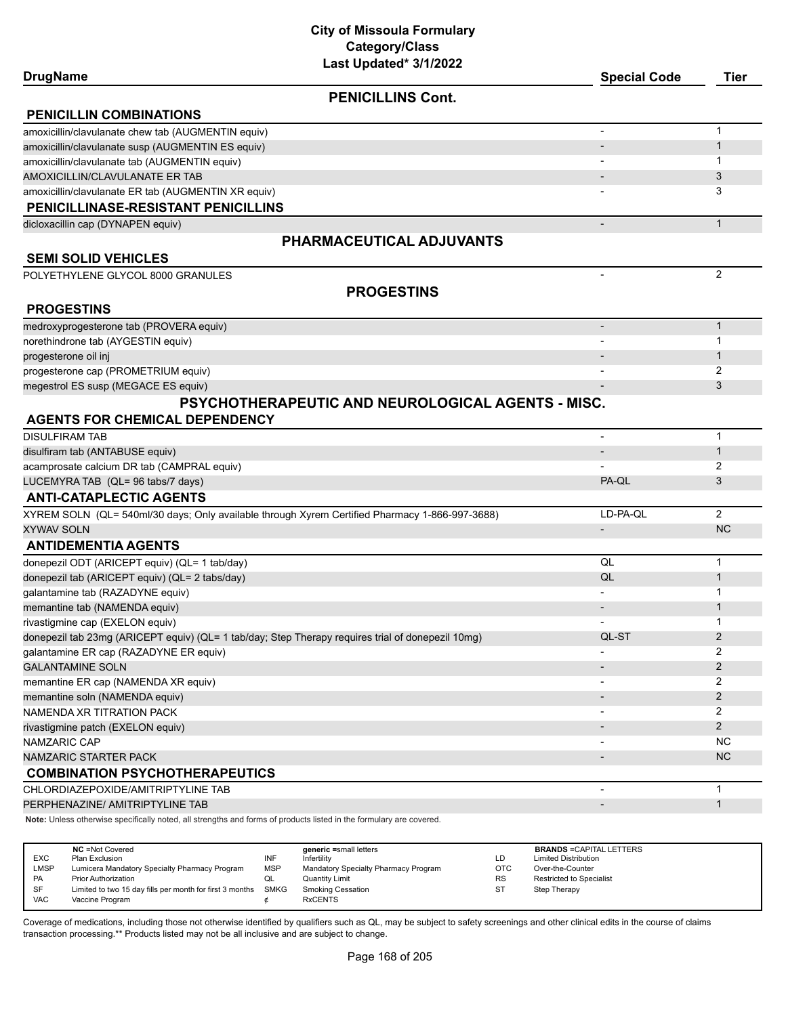| <b>DrugName</b>                                                                                                     | Last updated" 3/1/2022                                                                         | <b>Special Code</b>          | <b>Tier</b>    |
|---------------------------------------------------------------------------------------------------------------------|------------------------------------------------------------------------------------------------|------------------------------|----------------|
|                                                                                                                     | <b>PENICILLINS Cont.</b>                                                                       |                              |                |
| <b>PENICILLIN COMBINATIONS</b>                                                                                      |                                                                                                |                              |                |
| amoxicillin/clavulanate chew tab (AUGMENTIN equiv)                                                                  |                                                                                                |                              | $\mathbf{1}$   |
| amoxicillin/clavulanate susp (AUGMENTIN ES equiv)                                                                   |                                                                                                |                              | $\mathbf{1}$   |
| amoxicillin/clavulanate tab (AUGMENTIN equiv)                                                                       |                                                                                                |                              | 1              |
| AMOXICILLIN/CLAVULANATE ER TAB                                                                                      |                                                                                                |                              | 3              |
| amoxicillin/clavulanate ER tab (AUGMENTIN XR equiv)                                                                 |                                                                                                |                              | 3              |
| PENICILLINASE-RESISTANT PENICILLINS                                                                                 |                                                                                                |                              |                |
| dicloxacillin cap (DYNAPEN equiv)                                                                                   |                                                                                                |                              | $\mathbf{1}$   |
|                                                                                                                     | PHARMACEUTICAL ADJUVANTS                                                                       |                              |                |
| <b>SEMI SOLID VEHICLES</b>                                                                                          |                                                                                                |                              |                |
| POLYETHYLENE GLYCOL 8000 GRANULES                                                                                   |                                                                                                | $\overline{\phantom{a}}$     | 2              |
|                                                                                                                     | <b>PROGESTINS</b>                                                                              |                              |                |
| <b>PROGESTINS</b>                                                                                                   |                                                                                                |                              |                |
| medroxyprogesterone tab (PROVERA equiv)                                                                             |                                                                                                |                              | $\mathbf{1}$   |
| norethindrone tab (AYGESTIN equiv)                                                                                  |                                                                                                |                              | $\mathbf 1$    |
| progesterone oil inj                                                                                                |                                                                                                |                              | $\mathbf{1}$   |
| progesterone cap (PROMETRIUM equiv)                                                                                 |                                                                                                |                              | 2              |
| megestrol ES susp (MEGACE ES equiv)                                                                                 |                                                                                                |                              | 3              |
|                                                                                                                     | PSYCHOTHERAPEUTIC AND NEUROLOGICAL AGENTS - MISC.                                              |                              |                |
| <b>AGENTS FOR CHEMICAL DEPENDENCY</b>                                                                               |                                                                                                |                              |                |
| <b>DISULFIRAM TAB</b>                                                                                               |                                                                                                | $\overline{\phantom{a}}$     | $\mathbf{1}$   |
| disulfiram tab (ANTABUSE equiv)                                                                                     |                                                                                                |                              | $\mathbf{1}$   |
| acamprosate calcium DR tab (CAMPRAL equiv)                                                                          |                                                                                                |                              | 2              |
| LUCEMYRA TAB (QL= 96 tabs/7 days)                                                                                   |                                                                                                | PA-QL                        | 3              |
| <b>ANTI-CATAPLECTIC AGENTS</b>                                                                                      |                                                                                                |                              |                |
|                                                                                                                     | XYREM SOLN (QL= 540ml/30 days; Only available through Xyrem Certified Pharmacy 1-866-997-3688) | LD-PA-QL                     | 2              |
| <b>XYWAV SOLN</b>                                                                                                   |                                                                                                | $\qquad \qquad \blacksquare$ | <b>NC</b>      |
| <b>ANTIDEMENTIA AGENTS</b>                                                                                          |                                                                                                |                              |                |
| donepezil ODT (ARICEPT equiv) (QL= 1 tab/day)                                                                       |                                                                                                | QL                           | $\mathbf{1}$   |
| donepezil tab (ARICEPT equiv) (QL= 2 tabs/day)                                                                      |                                                                                                | QL                           | $\mathbf{1}$   |
| galantamine tab (RAZADYNE equiv)                                                                                    |                                                                                                |                              | 1              |
| memantine tab (NAMENDA equiv)                                                                                       |                                                                                                |                              | 1              |
| rivastigmine cap (EXELON equiv)                                                                                     |                                                                                                |                              | 1              |
| donepezil tab 23mg (ARICEPT equiv) (QL= 1 tab/day; Step Therapy requires trial of donepezil 10mg)                   |                                                                                                | QL-ST                        | 2              |
| galantamine ER cap (RAZADYNE ER equiv)                                                                              |                                                                                                | $\blacksquare$               | 2              |
| <b>GALANTAMINE SOLN</b>                                                                                             |                                                                                                |                              | 2              |
| memantine ER cap (NAMENDA XR equiv)                                                                                 |                                                                                                |                              | 2              |
| memantine soln (NAMENDA equiv)                                                                                      |                                                                                                |                              | $\overline{2}$ |
| NAMENDA XR TITRATION PACK                                                                                           |                                                                                                |                              | 2              |
| rivastigmine patch (EXELON equiv)                                                                                   |                                                                                                |                              | 2              |
| NAMZARIC CAP                                                                                                        |                                                                                                |                              | <b>NC</b>      |
| <b>NAMZARIC STARTER PACK</b>                                                                                        |                                                                                                |                              | <b>NC</b>      |
| <b>COMBINATION PSYCHOTHERAPEUTICS</b>                                                                               |                                                                                                |                              |                |
| CHLORDIAZEPOXIDE/AMITRIPTYLINE TAB                                                                                  |                                                                                                |                              | $\mathbf{1}$   |
| PERPHENAZINE/ AMITRIPTYLINE TAB                                                                                     |                                                                                                |                              | $\mathbf{1}$   |
| Note: Unless otherwise specifically noted, all strengths and forms of products listed in the formulary are covered. |                                                                                                |                              |                |

|             | <b>NC</b> = Not Covered                                  |            | generic =small letters               |           | <b>BRANDS = CAPITAL LETTERS</b> |
|-------------|----------------------------------------------------------|------------|--------------------------------------|-----------|---------------------------------|
| <b>EXC</b>  | Plan Exclusion                                           | INF        | Infertility                          | LD        | <b>Limited Distribution</b>     |
| <b>LMSP</b> | Lumicera Mandatory Specialty Pharmacy Program            | <b>MSP</b> | Mandatory Specialty Pharmacy Program | OTC       | Over-the-Counter                |
| PA          | <b>Prior Authorization</b>                               |            | Quantity Limit                       | <b>RS</b> | <b>Restricted to Specialist</b> |
| SF          | Limited to two 15 day fills per month for first 3 months | SMKG       | Smoking Cessation                    | ST        | Step Therapy                    |
| <b>VAC</b>  | Vaccine Program                                          |            | <b>RxCENTS</b>                       |           |                                 |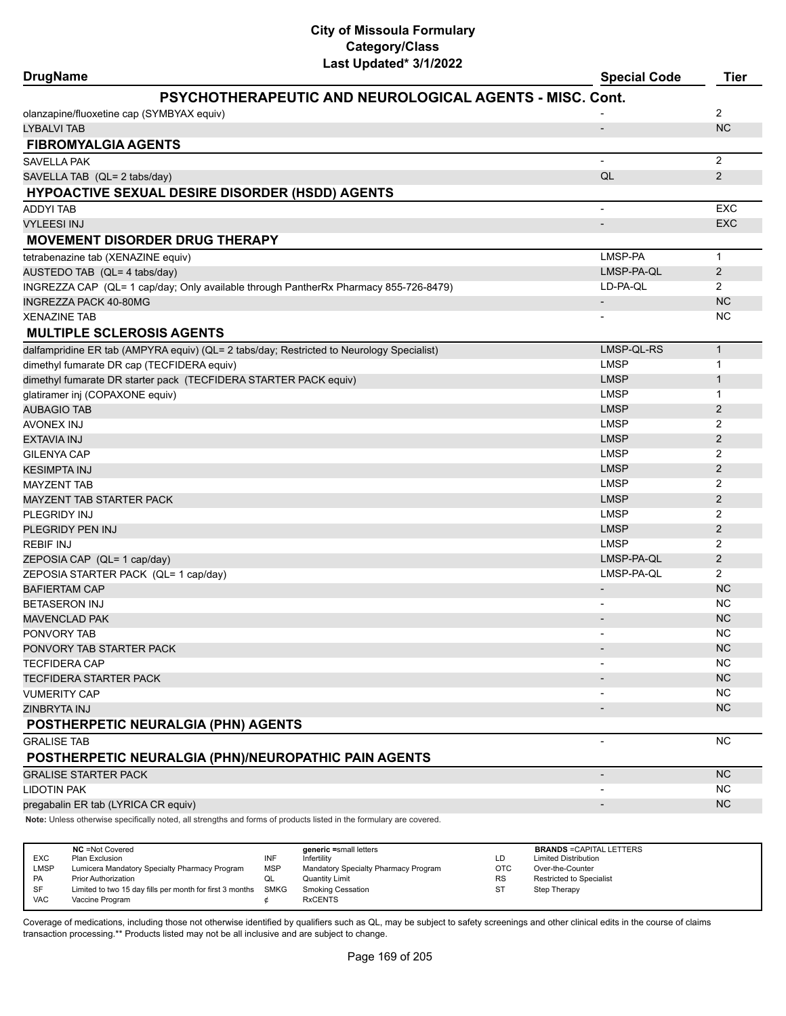| Last updated" 3/1/2022<br><b>DrugName</b>                                                                                   | <b>Special Code</b>      | Tier                        |
|-----------------------------------------------------------------------------------------------------------------------------|--------------------------|-----------------------------|
| <b>PSYCHOTHERAPEUTIC AND NEUROLOGICAL AGENTS - MISC. Cont.</b>                                                              |                          |                             |
| olanzapine/fluoxetine cap (SYMBYAX equiv)                                                                                   |                          | 2                           |
| LYBALVI TAB                                                                                                                 | $\overline{a}$           | <b>NC</b>                   |
| <b>FIBROMYALGIA AGENTS</b>                                                                                                  |                          |                             |
| <b>SAVELLA PAK</b>                                                                                                          | $\blacksquare$           | 2                           |
| SAVELLA TAB (QL= 2 tabs/day)                                                                                                | QL                       | 2                           |
| <b>HYPOACTIVE SEXUAL DESIRE DISORDER (HSDD) AGENTS</b>                                                                      |                          |                             |
| <b>ADDYI TAB</b>                                                                                                            |                          | EXC                         |
| <b>VYLEESI INJ</b>                                                                                                          |                          | <b>EXC</b>                  |
| <b>MOVEMENT DISORDER DRUG THERAPY</b>                                                                                       |                          |                             |
| tetrabenazine tab (XENAZINE equiv)                                                                                          | LMSP-PA                  | $\mathbf{1}$                |
| AUSTEDO TAB (QL= 4 tabs/day)                                                                                                | LMSP-PA-QL               | $\overline{2}$              |
| INGREZZA CAP (QL= 1 cap/day; Only available through PantherRx Pharmacy 855-726-8479)                                        | LD-PA-QL                 | 2                           |
| INGREZZA PACK 40-80MG                                                                                                       | $\overline{\phantom{a}}$ | <b>NC</b>                   |
| XENAZINE TAB                                                                                                                |                          | <b>NC</b>                   |
| <b>MULTIPLE SCLEROSIS AGENTS</b>                                                                                            |                          |                             |
|                                                                                                                             | LMSP-QL-RS               |                             |
| dalfampridine ER tab (AMPYRA equiv) (QL= 2 tabs/day; Restricted to Neurology Specialist)                                    | <b>LMSP</b>              | $\mathbf{1}$                |
| dimethyl fumarate DR cap (TECFIDERA equiv)                                                                                  | <b>LMSP</b>              | $\mathbf 1$<br>$\mathbf{1}$ |
| dimethyl fumarate DR starter pack (TECFIDERA STARTER PACK equiv)                                                            | <b>LMSP</b>              | $\mathbf{1}$                |
| glatiramer inj (COPAXONE equiv)                                                                                             | <b>LMSP</b>              | $\overline{2}$              |
| AUBAGIO TAB                                                                                                                 | <b>LMSP</b>              | 2                           |
| AVONEX INJ                                                                                                                  | <b>LMSP</b>              | 2                           |
| EXTAVIA INJ<br>GILENYA CAP                                                                                                  | <b>LMSP</b>              | 2                           |
| KESIMPTA INJ                                                                                                                | <b>LMSP</b>              | 2                           |
| <b>MAYZENT TAB</b>                                                                                                          | <b>LMSP</b>              | 2                           |
| MAYZENT TAB STARTER PACK                                                                                                    | <b>LMSP</b>              | $\overline{2}$              |
| PLEGRIDY INJ                                                                                                                | <b>LMSP</b>              | 2                           |
| PLEGRIDY PEN INJ                                                                                                            | <b>LMSP</b>              | 2                           |
| REBIF INJ                                                                                                                   | <b>LMSP</b>              | 2                           |
|                                                                                                                             | LMSP-PA-QL               | $\overline{2}$              |
| ZEPOSIA CAP (QL= 1 cap/day)                                                                                                 | LMSP-PA-QL               | $\overline{2}$              |
| ZEPOSIA STARTER PACK (QL= 1 cap/day)<br><b>BAFIERTAM CAP</b>                                                                |                          | <b>NC</b>                   |
| BETASERON INJ                                                                                                               |                          | <b>NC</b>                   |
| MAVENCLAD PAK                                                                                                               |                          | <b>NC</b>                   |
| PONVORY TAB                                                                                                                 |                          | <b>NC</b>                   |
| PONVORY TAB STARTER PACK                                                                                                    |                          | <b>NC</b>                   |
| <b>TECFIDERA CAP</b>                                                                                                        |                          | <b>NC</b>                   |
| TECFIDERA STARTER PACK                                                                                                      |                          | <b>NC</b>                   |
| VUMERITY CAP                                                                                                                |                          | <b>NC</b>                   |
| ZINBRYTA INJ                                                                                                                |                          | <b>NC</b>                   |
| POSTHERPETIC NEURALGIA (PHN) AGENTS                                                                                         |                          |                             |
|                                                                                                                             |                          | <b>NC</b>                   |
| <b>GRALISE TAB</b><br>POSTHERPETIC NEURALGIA (PHN)/NEUROPATHIC PAIN AGENTS                                                  |                          |                             |
| <b>GRALISE STARTER PACK</b>                                                                                                 | $\overline{\phantom{a}}$ | <b>NC</b>                   |
| LIDOTIN PAK                                                                                                                 |                          | <b>NC</b>                   |
|                                                                                                                             |                          | <b>NC</b>                   |
| pregabalin ER tab (LYRICA CR equiv)<br>Note: Unlose otherwise specifically noted, all strengths and ferms of products ligt- |                          |                             |

**Note:** Unless otherwise specifically noted, all strengths and forms of products listed in the formulary are covered.

| <b>EXC</b><br>LMSP<br><b>PA</b><br><b>SF</b> | <b>NC</b> = Not Covered<br>Plan Exclusion<br>Lumicera Mandatory Specialty Pharmacy Program<br><b>Prior Authorization</b><br>Limited to two 15 day fills per month for first 3 months | INF<br><b>MSP</b><br>QL<br><b>SMKG</b> | generic =small letters<br>Infertility<br>Mandatory Specialty Pharmacy Program<br><b>Quantity Limit</b><br><b>Smoking Cessation</b> | LD<br>OTC<br><b>RS</b><br><b>ST</b> | <b>BRANDS = CAPITAL LETTERS</b><br><b>Limited Distribution</b><br>Over-the-Counter<br><b>Restricted to Specialist</b><br>Step Therapy |
|----------------------------------------------|--------------------------------------------------------------------------------------------------------------------------------------------------------------------------------------|----------------------------------------|------------------------------------------------------------------------------------------------------------------------------------|-------------------------------------|---------------------------------------------------------------------------------------------------------------------------------------|
| <b>VAC</b>                                   | Vaccine Program                                                                                                                                                                      |                                        | <b>RxCENTS</b>                                                                                                                     |                                     |                                                                                                                                       |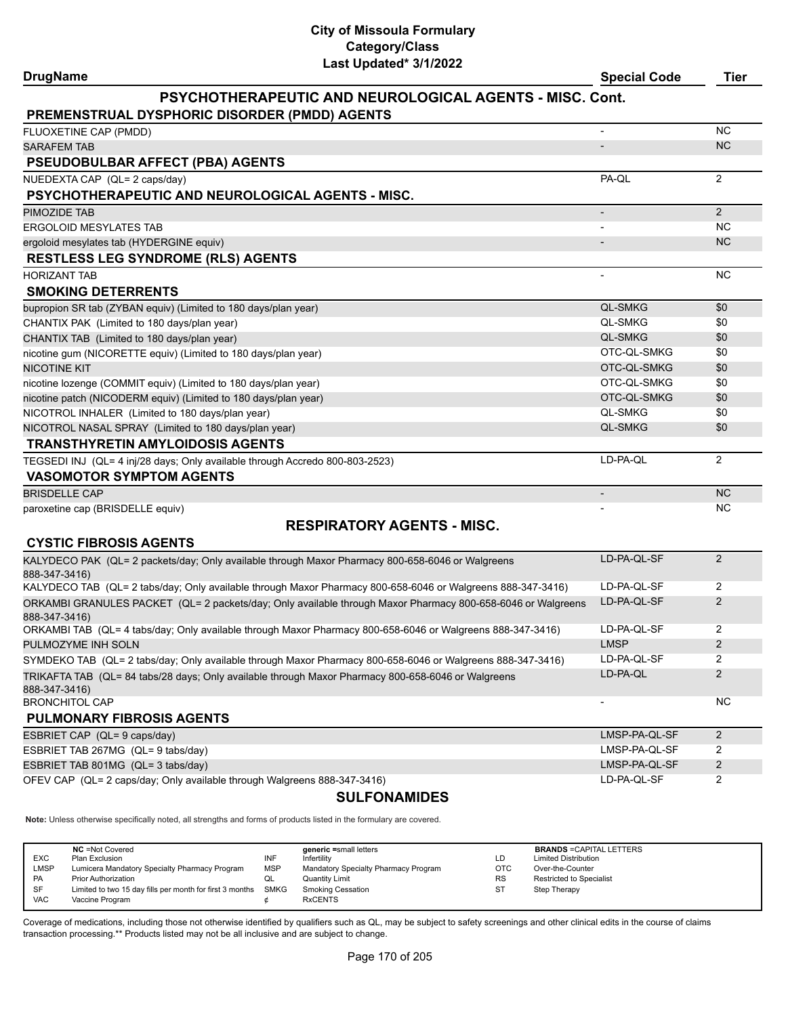| <b>DrugName</b> | <b>Special Code</b> | Tier |
|-----------------|---------------------|------|

#### **PSYCHOTHERAPEUTIC AND NEUROLOGICAL AGENTS - MISC. Cont.**

| <b>PREMENSTRUAL DYSPHORIC DISORDER (PMDD) AGENTS</b>                         |                          |           |
|------------------------------------------------------------------------------|--------------------------|-----------|
| FLUOXETINE CAP (PMDD)                                                        | $\overline{\phantom{a}}$ | <b>NC</b> |
| <b>SARAFEM TAB</b>                                                           |                          | <b>NC</b> |
| <b>PSEUDOBULBAR AFFECT (PBA) AGENTS</b>                                      |                          |           |
| NUEDEXTA CAP (QL= 2 caps/day)                                                | PA-OL                    | 2         |
| <b>PSYCHOTHERAPEUTIC AND NEUROLOGICAL AGENTS - MISC.</b>                     |                          |           |
| <b>PIMOZIDE TAB</b>                                                          | $\overline{\phantom{a}}$ | 2         |
| <b>ERGOLOID MESYLATES TAB</b>                                                |                          | <b>NC</b> |
| ergoloid mesylates tab (HYDERGINE equiv)                                     |                          | <b>NC</b> |
| <b>RESTLESS LEG SYNDROME (RLS) AGENTS</b>                                    |                          |           |
| <b>HORIZANT TAB</b>                                                          |                          | <b>NC</b> |
| <b>SMOKING DETERRENTS</b>                                                    |                          |           |
| bupropion SR tab (ZYBAN equiv) (Limited to 180 days/plan year)               | <b>QL-SMKG</b>           | \$0       |
| CHANTIX PAK (Limited to 180 days/plan year)                                  | <b>QL-SMKG</b>           | \$0       |
| CHANTIX TAB (Limited to 180 days/plan year)                                  | <b>QL-SMKG</b>           | \$0       |
| nicotine gum (NICORETTE equiv) (Limited to 180 days/plan year)               | OTC-QL-SMKG              | \$0       |
| <b>NICOTINE KIT</b>                                                          | OTC-QL-SMKG              | \$0       |
| nicotine lozenge (COMMIT equiv) (Limited to 180 days/plan year)              | OTC-QL-SMKG              | \$0       |
| nicotine patch (NICODERM equiv) (Limited to 180 days/plan year)              | OTC-QL-SMKG              | \$0       |
| NICOTROL INHALER (Limited to 180 days/plan year)                             | <b>QL-SMKG</b>           | \$0       |
| NICOTROL NASAL SPRAY (Limited to 180 days/plan year)                         | <b>QL-SMKG</b>           | \$0       |
| <b>TRANSTHYRETIN AMYLOIDOSIS AGENTS</b>                                      |                          |           |
| TEGSEDI INJ (QL= 4 inj/28 days; Only available through Accredo 800-803-2523) | LD-PA-QL                 | 2         |
| <b>VASOMOTOR SYMPTOM AGENTS</b>                                              |                          |           |
| <b>BRISDELLE CAP</b>                                                         |                          | <b>NC</b> |
| paroxetine cap (BRISDELLE equiv)                                             |                          | <b>NC</b> |

# **RESPIRATORY AGENTS - MISC.**

| <b>CYSTIC FIBROSIS AGENTS</b>                                                                                                |                          |     |
|------------------------------------------------------------------------------------------------------------------------------|--------------------------|-----|
| KALYDECO PAK (QL= 2 packets/day; Only available through Maxor Pharmacy 800-658-6046 or Walgreens<br>888-347-3416)            | LD-PA-OL-SF              |     |
| KALYDECO TAB (QL= 2 tabs/day; Only available through Maxor Pharmacy 800-658-6046 or Walgreens 888-347-3416)                  | LD-PA-OL-SF              | 2   |
| ORKAMBI GRANULES PACKET (QL= 2 packets/day; Only available through Maxor Pharmacy 800-658-6046 or Walgreens<br>888-347-3416) | LD-PA-OL-SF              |     |
| ORKAMBI TAB (QL= 4 tabs/day; Only available through Maxor Pharmacy 800-658-6046 or Walgreens 888-347-3416)                   | LD-PA-OL-SF              | 2   |
| PULMOZYME INH SOLN                                                                                                           | <b>LMSP</b>              | 2   |
| SYMDEKO TAB (QL= 2 tabs/day; Only available through Maxor Pharmacy 800-658-6046 or Walgreens 888-347-3416)                   | LD-PA-OL-SF              |     |
| TRIKAFTA TAB (QL= 84 tabs/28 days; Only available through Maxor Pharmacy 800-658-6046 or Walgreens<br>888-347-3416)          | LD-PA-OL                 | 2   |
| <b>BRONCHITOL CAP</b>                                                                                                        | $\overline{\phantom{0}}$ | NC. |
| <b>PULMONARY FIBROSIS AGENTS</b>                                                                                             |                          |     |

| ESBRIET CAP (QL= 9 caps/day)                                             | LMSP-PA-QL-SF |  |
|--------------------------------------------------------------------------|---------------|--|
| ESBRIET TAB 267MG (QL= 9 tabs/day)                                       | LMSP-PA-QL-SF |  |
| ESBRIET TAB 801MG (QL= 3 tabs/day)                                       | LMSP-PA-QL-SF |  |
| OFEV CAP (QL= 2 caps/day; Only available through Walgreens 888-347-3416) | LD-PA-QL-SF   |  |

#### **SULFONAMIDES**

**Note:** Unless otherwise specifically noted, all strengths and forms of products listed in the formulary are covered.

|            | <b>NC</b> = Not Covered                                  |            | generic =small letters               |           | <b>BRANDS = CAPITAL LETTERS</b> |
|------------|----------------------------------------------------------|------------|--------------------------------------|-----------|---------------------------------|
| <b>EXC</b> | Plan Exclusion                                           | INF        | Infertility                          | LD        | <b>Limited Distribution</b>     |
| LMSP       | Lumicera Mandatory Specialty Pharmacy Program            | <b>MSP</b> | Mandatory Specialty Pharmacy Program | OTC       | Over-the-Counter                |
| <b>PA</b>  | <b>Prior Authorization</b>                               | QL         | <b>Quantity Limit</b>                | <b>RS</b> | <b>Restricted to Specialist</b> |
| SF         | Limited to two 15 day fills per month for first 3 months | SMKG       | Smoking Cessation                    | ST        | Step Therapy                    |
| <b>VAC</b> | Vaccine Program                                          |            | <b>RxCENTS</b>                       |           |                                 |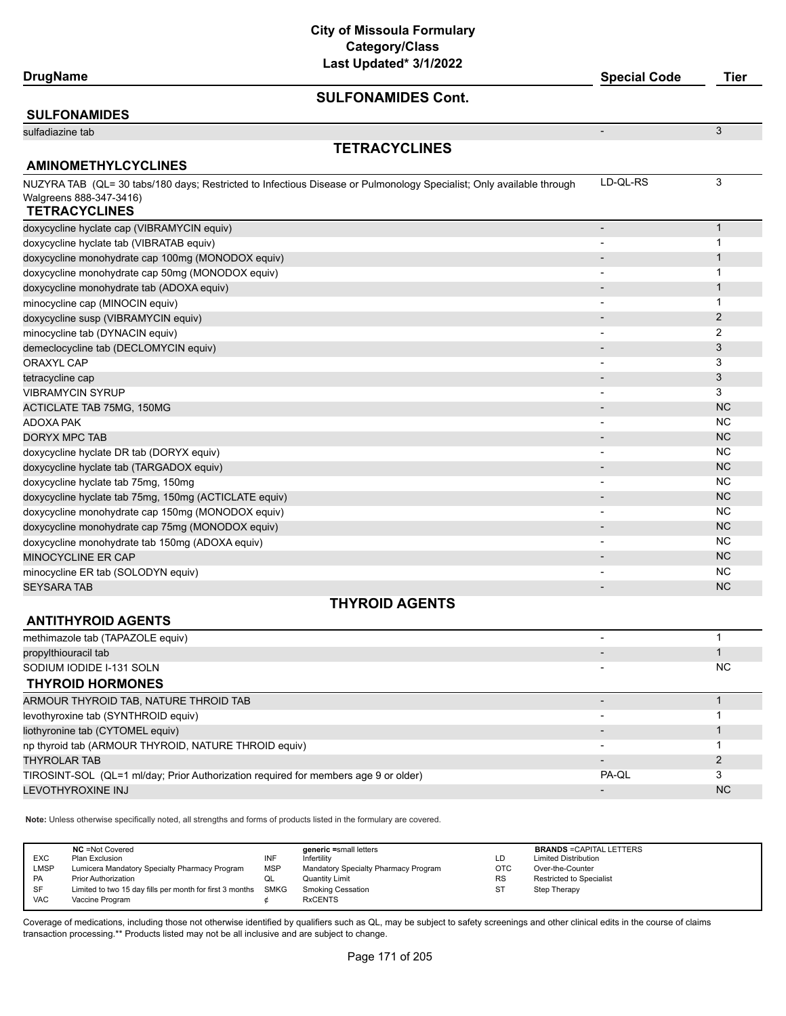| DrugName |
|----------|
|----------|

#### **SULFONAMIDES Cont.**

#### **SULFONAMIDES** sulfadiazine tab - 33 September 2008 - 34 September 2008 - 34 September 2008 - 34 September 2008 - 34 Septembe **TETRACYCLINES AMINOMETHYLCYCLINES** NUZYRA TAB (QL= 30 tabs/180 days; Restricted to Infectious Disease or Pulmonology Specialist; Only available through Walgreens 888-347-3416) LD-QL-RS 3 **TETRACYCLINES** doxycycline hyclate cap (VIBRAMYCIN equiv) - 1 doxycycline hyclate tab (VIBRATAB equiv) and the state of the state of the state of the state of the state of the state of the state of the state of the state of the state of the state of the state of the state of the stat doxycycline monohydrate cap 100mg (MONODOX equiv) - 1 doxycycline monohydrate cap 50mg (MONODOX equiv) and the capacity of the control of the capacity of the capacity of the control of the control of the control of the control of the control of the control of the control of t doxycycline monohydrate tab (ADOXA equiv) - 1 minocycline cap (MINOCIN equiv) and the control of the control of the control of the control of the control of the control of the control of the control of the control of the control of the control of the control of the co doxycycline susp (VIBRAMYCIN equiv) - 2 A Construction of the construction of the construction of the construction of the construction of the construction of the construction of the construction of the construction of the minocycline tab (DYNACIN equiv) and the control of the control of the control of the control of the control of the control of the control of the control of the control of the control of the control of the control of the co demeclocycline tab (DECLOMYCIN equiv) and the control of the control of the control of the control of the control of the control of the control of the control of the control of the control of the control of the control of ORAXYL CAP - 3 tetracycline cap - 33 September 2014 - 34 September 2014 - 34 September 2014 - 35 September 2014 - 34 Septembe VIBRAMYCIN SYRUP **2008** 3 ACTICLATE TAB 75MG, 150MG - NGC 150MG - NGC 150MG - NGC 150MG - NGC 150MG - NGC 150MG - NGC 150MG - NGC 150MG -ADOXA PAK - NC DORYX MPC TAB - NC NORTH CONTROL CONTROL CONTROL CONTROL CONTROL CONTROL CONTROL CONTROL CONTROL CONTROL CONTROL CONTROL CONTROL CONTROL CONTROL CONTROL CONTROL CONTROL CONTROL CONTROL CONTROL CONTROL CONTROL CONTROL CONTR doxycycline hyclate DR tab (DORYX equiv) and the control of the control of the control of the control of the control of the control of the control of the control of the control of the control of the control of the control doxycycline hyclate tab (TARGADOX equiv) and the control of the control of the control of the control of the control of the control of the control of the control of the control of the control of the control of the control doxycycline hyclate tab 75mg, 150mg - NC doxycycline hyclate tab 75mg, 150mg (ACTICLATE equiv) - NC doxycycline monohydrate cap 150mg (MONODOX equiv) and the control of the control of the control of the control of the control of the control of the control of the control of the control of the control of the control of the doxycycline monohydrate cap 75mg (MONODOX equiv) - NC Anticode Capital Control of Capital Control of Capital Control of Control of Control of Control of Control of Control of Control of Control of Control of Control of Con doxycycline monohydrate tab 150mg (ADOXA equiv) and the control of the control of the control of the control of the control of the control of the control of the control of the control of the control of the control of the c MINOCYCLINE ER CAP - NC minocycline ER tab (SOLODYN equiv) and the control of the control of the control of the control of the control of the control of the control of the control of the control of the control of the control of the control of the SEYSARA TAB - NC NORTH AND THE SERVER OF THE SERVER OF THE SERVER OF THE SERVER OF THE SERVER OF THE SERVER OF

#### **THYROID AGENTS**

## **ANTITHYROID AGENTS**

| methimazole tab (TAPAZOLE equiv)                                                    |                          |           |
|-------------------------------------------------------------------------------------|--------------------------|-----------|
| propylthiouracil tab                                                                |                          |           |
| SODIUM IODIDE I-131 SOLN                                                            |                          | <b>NC</b> |
| <b>THYROID HORMONES</b>                                                             |                          |           |
| ARMOUR THYROID TAB, NATURE THROID TAB                                               |                          |           |
| levothyroxine tab (SYNTHROID equiv)                                                 | $\overline{\phantom{0}}$ |           |
| liothyronine tab (CYTOMEL equiv)                                                    |                          |           |
| np thyroid tab (ARMOUR THYROID, NATURE THROID equiv)                                | $\overline{\phantom{0}}$ |           |
| <b>THYROLAR TAB</b>                                                                 |                          |           |
| TIROSINT-SOL (QL=1 ml/day; Prior Authorization required for members age 9 or older) | PA-QL                    |           |
| LEVOTHYROXINE INJ                                                                   | $\overline{\phantom{0}}$ | <b>NC</b> |

**Note:** Unless otherwise specifically noted, all strengths and forms of products listed in the formulary are covered.

|            | <b>NC</b> = Not Covered                                       |            | generic =small letters               |            | <b>BRANDS = CAPITAL LETTERS</b> |
|------------|---------------------------------------------------------------|------------|--------------------------------------|------------|---------------------------------|
| EXC        | Plan Exclusion                                                | INF        | Infertility                          | LD         | <b>Limited Distribution</b>     |
| LMSP       | Lumicera Mandatory Specialty Pharmacy Program                 | <b>MSP</b> | Mandatory Specialty Pharmacy Program | <b>OTC</b> | Over-the-Counter                |
| PA         | <b>Prior Authorization</b>                                    | QL         | Quantity Limit                       | <b>RS</b>  | <b>Restricted to Specialist</b> |
| <b>SF</b>  | Limited to two 15 day fills per month for first 3 months SMKG |            | <b>Smoking Cessation</b>             | -ST        | Step Therapy                    |
| <b>VAC</b> | Vaccine Program                                               |            | <b>RxCENTS</b>                       |            |                                 |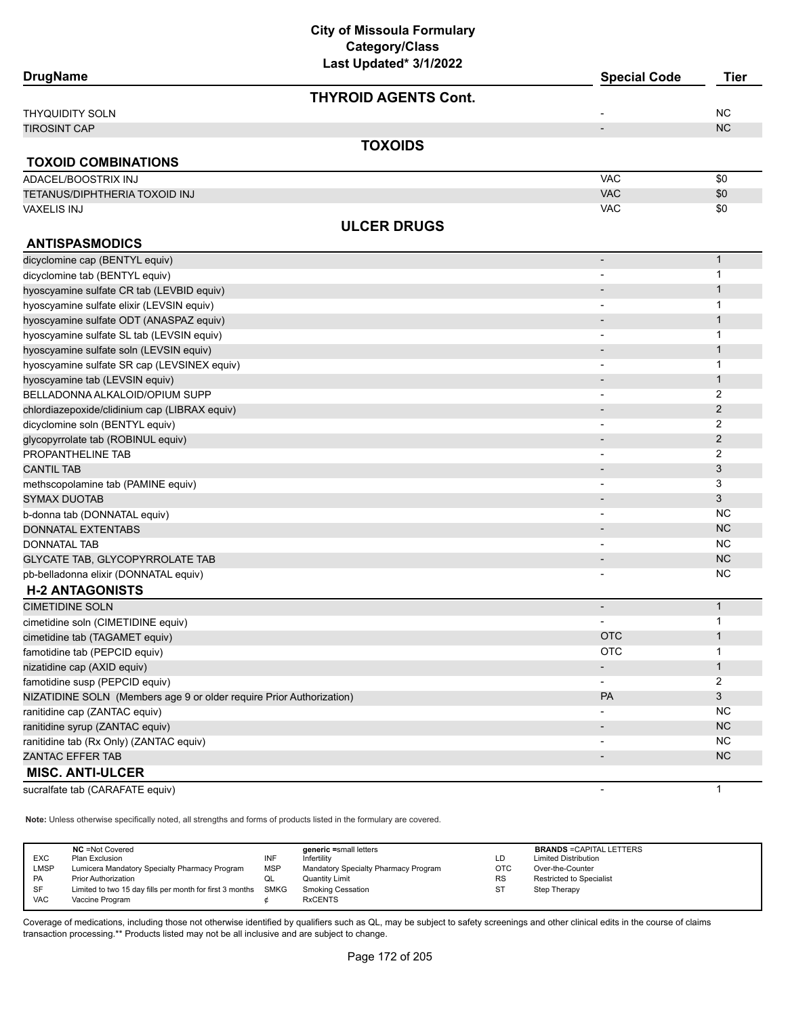| <b>DrugName</b>                                                      | LUJI UPUULUU <i>VIIIL</i> VLL | <b>Special Code</b>          | <b>Tier</b>    |
|----------------------------------------------------------------------|-------------------------------|------------------------------|----------------|
|                                                                      | <b>THYROID AGENTS Cont.</b>   |                              |                |
| THYQUIDITY SOLN                                                      |                               |                              | <b>NC</b>      |
| <b>TIROSINT CAP</b>                                                  |                               | $\overline{\phantom{m}}$     | <b>NC</b>      |
|                                                                      | <b>TOXOIDS</b>                |                              |                |
| <b>TOXOID COMBINATIONS</b>                                           |                               |                              |                |
| ADACEL/BOOSTRIX INJ                                                  |                               | <b>VAC</b>                   | \$0            |
| TETANUS/DIPHTHERIA TOXOID INJ                                        |                               | <b>VAC</b>                   | \$0            |
| VAXELIS INJ                                                          |                               | <b>VAC</b>                   | \$0            |
|                                                                      | <b>ULCER DRUGS</b>            |                              |                |
| <b>ANTISPASMODICS</b>                                                |                               |                              |                |
| dicyclomine cap (BENTYL equiv)                                       |                               | $\qquad \qquad \blacksquare$ | $\mathbf{1}$   |
| dicyclomine tab (BENTYL equiv)                                       |                               |                              | 1              |
| hyoscyamine sulfate CR tab (LEVBID equiv)                            |                               |                              | $\mathbf{1}$   |
| hyoscyamine sulfate elixir (LEVSIN equiv)                            |                               |                              | 1              |
| hyoscyamine sulfate ODT (ANASPAZ equiv)                              |                               |                              | 1              |
| hyoscyamine sulfate SL tab (LEVSIN equiv)                            |                               |                              | 1              |
| hyoscyamine sulfate soln (LEVSIN equiv)                              |                               |                              | $\mathbf{1}$   |
| hyoscyamine sulfate SR cap (LEVSINEX equiv)                          |                               |                              | 1              |
| hyoscyamine tab (LEVSIN equiv)                                       |                               |                              | $\mathbf{1}$   |
| BELLADONNA ALKALOID/OPIUM SUPP                                       |                               |                              | 2              |
| chlordiazepoxide/clidinium cap (LIBRAX equiv)                        |                               |                              | $\overline{2}$ |
| dicyclomine soln (BENTYL equiv)                                      |                               |                              | 2              |
| glycopyrrolate tab (ROBINUL equiv)                                   |                               |                              | $\overline{c}$ |
| PROPANTHELINE TAB                                                    |                               | $\overline{\phantom{a}}$     | 2              |
| <b>CANTIL TAB</b>                                                    |                               |                              | 3              |
| methscopolamine tab (PAMINE equiv)                                   |                               | -                            | 3              |
| <b>SYMAX DUOTAB</b>                                                  |                               |                              | 3              |
| b-donna tab (DONNATAL equiv)                                         |                               | $\overline{\phantom{0}}$     | <b>NC</b>      |
| DONNATAL EXTENTABS                                                   |                               |                              | <b>NC</b>      |
| <b>DONNATAL TAB</b>                                                  |                               |                              | <b>NC</b>      |
| <b>GLYCATE TAB, GLYCOPYRROLATE TAB</b>                               |                               | $\overline{\phantom{a}}$     | <b>NC</b>      |
| pb-belladonna elixir (DONNATAL equiv)                                |                               | $\qquad \qquad \blacksquare$ | <b>NC</b>      |
| <b>H-2 ANTAGONISTS</b>                                               |                               |                              |                |
| <b>CIMETIDINE SOLN</b>                                               |                               | $\overline{\phantom{a}}$     | $\mathbf{1}$   |
| cimetidine soln (CIMETIDINE equiv)                                   |                               |                              | 1              |
| cimetidine tab (TAGAMET equiv)                                       |                               | <b>OTC</b>                   | $\mathbf{1}$   |
| famotidine tab (PEPCID equiv)                                        |                               | <b>OTC</b>                   | 1              |
| nizatidine cap (AXID equiv)                                          |                               |                              | $\mathbf{1}$   |
| famotidine susp (PEPCID equiv)                                       |                               | $\qquad \qquad \blacksquare$ | 2              |
| NIZATIDINE SOLN (Members age 9 or older require Prior Authorization) |                               | PA                           | 3              |
| ranitidine cap (ZANTAC equiv)                                        |                               |                              | <b>NC</b>      |
| ranitidine syrup (ZANTAC equiv)                                      |                               |                              | <b>NC</b>      |
| ranitidine tab (Rx Only) (ZANTAC equiv)                              |                               |                              | <b>NC</b>      |
| ZANTAC EFFER TAB                                                     |                               |                              | <b>NC</b>      |
| <b>MISC. ANTI-ULCER</b>                                              |                               |                              |                |
| sucralfate tab (CARAFATE equiv)                                      |                               |                              | 1              |

**Note:** Unless otherwise specifically noted, all strengths and forms of products listed in the formulary are covered.

| <b>NC</b> = Not Covered<br>generic =small letters<br><b>EXC</b><br>INF<br>Plan Exclusion<br><b>Limited Distribution</b><br>Infertility<br>LD<br><b>LMSP</b><br><b>MSP</b><br>Lumicera Mandatory Specialty Pharmacy Program<br>Mandatory Specialty Pharmacy Program<br>OTC<br>Over-the-Counter<br><b>PA</b><br><b>RS</b><br>Restricted to Specialist<br><b>Prior Authorization</b><br><b>Quantity Limit</b><br>QL<br><b>SF</b><br><b>SMKG</b><br>Limited to two 15 day fills per month for first 3 months<br><b>Smoking Cessation</b><br>S.<br>Step Therapy<br><b>VAC</b><br><b>RxCENTS</b><br>Vaccine Program | <b>BRANDS = CAPITAL LETTERS</b> |
|---------------------------------------------------------------------------------------------------------------------------------------------------------------------------------------------------------------------------------------------------------------------------------------------------------------------------------------------------------------------------------------------------------------------------------------------------------------------------------------------------------------------------------------------------------------------------------------------------------------|---------------------------------|
|---------------------------------------------------------------------------------------------------------------------------------------------------------------------------------------------------------------------------------------------------------------------------------------------------------------------------------------------------------------------------------------------------------------------------------------------------------------------------------------------------------------------------------------------------------------------------------------------------------------|---------------------------------|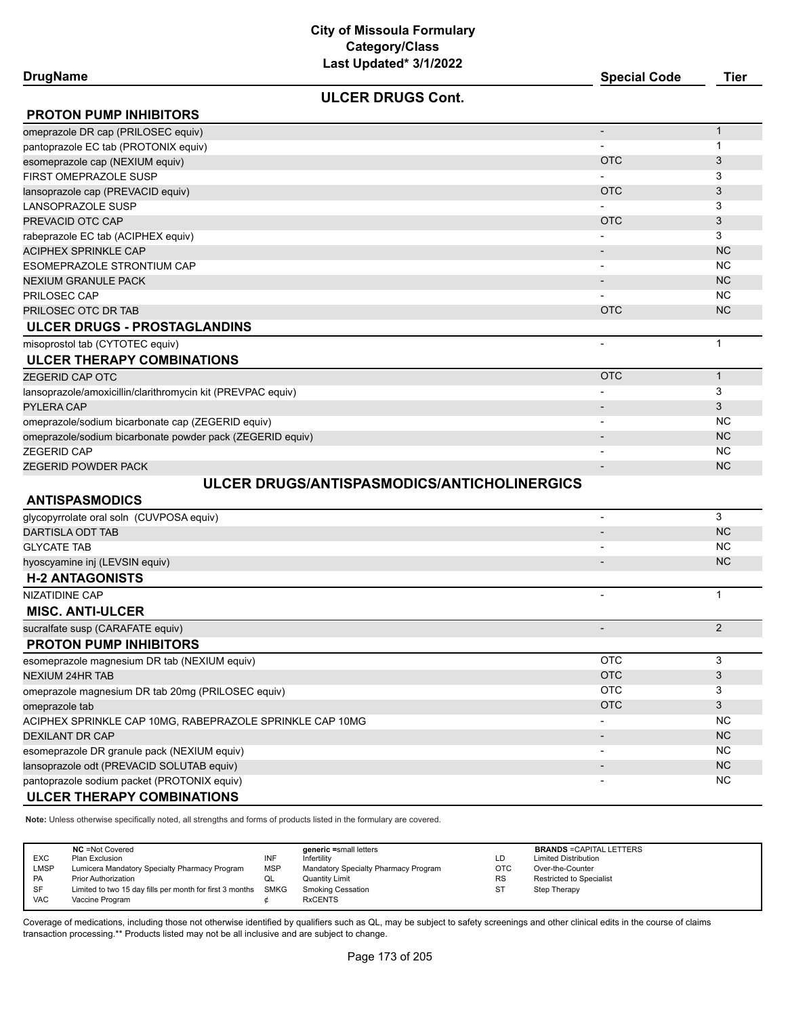| <b>DrugName</b> |  |
|-----------------|--|
|-----------------|--|

## **DrugName Special Code Tier**

**ULCER DRUGS Cont.**

| <b>PROTON PUMP INHIBITORS</b>                                                                                     |                          |              |
|-------------------------------------------------------------------------------------------------------------------|--------------------------|--------------|
| omeprazole DR cap (PRILOSEC equiv)                                                                                |                          | $\mathbf{1}$ |
| pantoprazole EC tab (PROTONIX equiv)                                                                              |                          | 1            |
| esomeprazole cap (NEXIUM equiv)                                                                                   | <b>OTC</b>               | 3            |
| FIRST OMEPRAZOLE SUSP                                                                                             |                          | 3            |
| lansoprazole cap (PREVACID equiv)                                                                                 | <b>OTC</b>               | 3            |
| LANSOPRAZOLE SUSP                                                                                                 |                          | 3            |
| PREVACID OTC CAP                                                                                                  | <b>OTC</b>               | 3            |
| rabeprazole EC tab (ACIPHEX equiv)                                                                                |                          | 3            |
| <b>ACIPHEX SPRINKLE CAP</b>                                                                                       |                          | <b>NC</b>    |
| ESOMEPRAZOLE STRONTIUM CAP                                                                                        |                          | <b>NC</b>    |
| <b>NEXIUM GRANULE PACK</b>                                                                                        | $\overline{\phantom{a}}$ | <b>NC</b>    |
| PRILOSEC CAP                                                                                                      |                          | <b>NC</b>    |
| PRILOSEC OTC DR TAB                                                                                               | <b>OTC</b>               | <b>NC</b>    |
| ULCER DRUGS - PROSTAGLANDINS                                                                                      |                          |              |
| misoprostol tab (CYTOTEC equiv)                                                                                   | $\overline{\phantom{a}}$ | $\mathbf 1$  |
| <b>ULCER THERAPY COMBINATIONS</b>                                                                                 |                          |              |
| ZEGERID CAP OTC                                                                                                   | <b>OTC</b>               | $\mathbf{1}$ |
| lansoprazole/amoxicillin/clarithromycin kit (PREVPAC equiv)                                                       |                          | 3            |
| PYLERA CAP                                                                                                        |                          | 3            |
| omeprazole/sodium bicarbonate cap (ZEGERID equiv)                                                                 |                          | NC           |
| omeprazole/sodium bicarbonate powder pack (ZEGERID equiv)                                                         |                          | <b>NC</b>    |
| <b>ZEGERID CAP</b>                                                                                                |                          | <b>NC</b>    |
| ZEGERID POWDER PACK                                                                                               |                          | <b>NC</b>    |
| ULCER DRUGS/ANTISPASMODICS/ANTICHOLINERGICS                                                                       |                          |              |
| <b>ANTISPASMODICS</b>                                                                                             |                          |              |
| glycopyrrolate oral soln (CUVPOSA equiv)                                                                          | $\overline{\phantom{a}}$ | 3            |
| DARTISLA ODT TAB                                                                                                  |                          | <b>NC</b>    |
| <b>GLYCATE TAB</b>                                                                                                |                          | <b>NC</b>    |
| hyoscyamine inj (LEVSIN equiv)                                                                                    |                          | <b>NC</b>    |
| <b>H-2 ANTAGONISTS</b>                                                                                            |                          |              |
| <b>NIZATIDINE CAP</b>                                                                                             |                          | $\mathbf{1}$ |
| <b>MISC. ANTI-ULCER</b>                                                                                           |                          |              |
| sucralfate susp (CARAFATE equiv)                                                                                  | $\overline{\phantom{a}}$ | 2            |
| <b>PROTON PUMP INHIBITORS</b>                                                                                     |                          |              |
| esomeprazole magnesium DR tab (NEXIUM equiv)                                                                      | <b>OTC</b>               | 3            |
| <b>NEXIUM 24HR TAB</b>                                                                                            | <b>OTC</b>               | 3            |
| omeprazole magnesium DR tab 20mg (PRILOSEC equiv)                                                                 | <b>OTC</b>               | 3            |
| omeprazole tab                                                                                                    | <b>OTC</b>               | 3            |
| ACIPHEX SPRINKLE CAP 10MG, RABEPRAZOLE SPRINKLE CAP 10MG                                                          |                          | <b>NC</b>    |
| <b>DEXILANT DR CAP</b>                                                                                            |                          | <b>NC</b>    |
| esomeprazole DR granule pack (NEXIUM equiv)                                                                       |                          | NC.          |
| lansoprazole odt (PREVACID SOLUTAB equiv)                                                                         |                          | NC           |
| pantoprazole sodium packet (PROTONIX equiv)                                                                       |                          | <b>NC</b>    |
| <b>ULCER THERAPY COMBINATIONS</b>                                                                                 |                          |              |
| Note: Unless otherwise specifically noted all strengths and forms of products listed in the formulary are covered |                          |              |

**Note:** Unless otherwise specifically noted, all strengths and forms of products listed in the formulary are covered.

| <b>EXC</b> | <b>NC</b> = Not Covered<br>Plan Exclusion                | INF         | generic =small letters<br>Infertility | LD         | <b>BRANDS = CAPITAL LETTERS</b><br><b>Limited Distribution</b> |
|------------|----------------------------------------------------------|-------------|---------------------------------------|------------|----------------------------------------------------------------|
| LMSP       | Lumicera Mandatory Specialty Pharmacy Program            | <b>MSP</b>  | Mandatory Specialty Pharmacy Program  | <b>OTC</b> | Over-the-Counter                                               |
| PA         | <b>Prior Authorization</b>                               | QL          | <b>Quantity Limit</b>                 | <b>RS</b>  | Restricted to Specialist                                       |
| <b>SF</b>  | Limited to two 15 day fills per month for first 3 months | <b>SMKG</b> | <b>Smoking Cessation</b>              | <b>ST</b>  | Step Therapy                                                   |
| <b>VAC</b> | Vaccine Program                                          |             | <b>RxCENTS</b>                        |            |                                                                |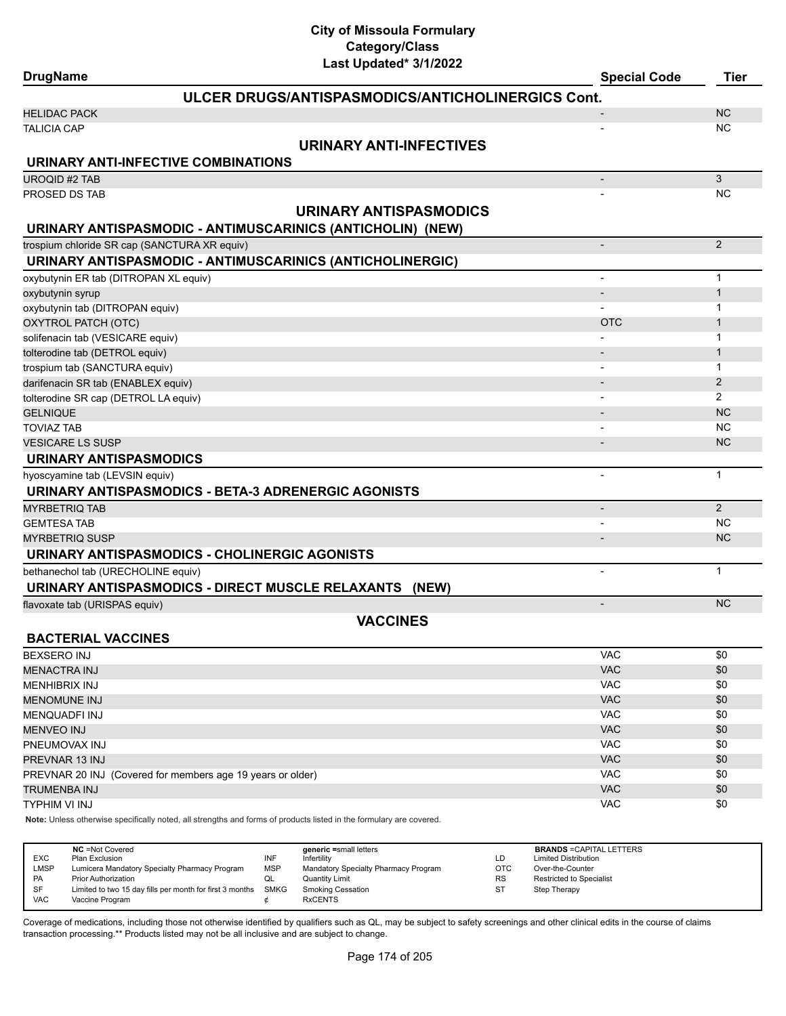| <b>DrugName</b>                                            | Last Updated" 3/1/2022                            | <b>Special Code</b><br><b>Tier</b> |
|------------------------------------------------------------|---------------------------------------------------|------------------------------------|
|                                                            | ULCER DRUGS/ANTISPASMODICS/ANTICHOLINERGICS Cont. |                                    |
| <b>HELIDAC PACK</b>                                        |                                                   | <b>NC</b>                          |
| <b>TALICIA CAP</b>                                         |                                                   | <b>NC</b>                          |
|                                                            | URINARY ANTI-INFECTIVES                           |                                    |
| URINARY ANTI-INFECTIVE COMBINATIONS                        |                                                   |                                    |
| <b>UROQID #2 TAB</b>                                       | $\overline{\phantom{m}}$                          | $\mathbf{3}$                       |
| PROSED DS TAB                                              |                                                   | <b>NC</b>                          |
|                                                            | URINARY ANTISPASMODICS                            |                                    |
| URINARY ANTISPASMODIC - ANTIMUSCARINICS (ANTICHOLIN) (NEW) |                                                   |                                    |
| trospium chloride SR cap (SANCTURA XR equiv)               | $\overline{\phantom{a}}$                          | 2                                  |
| URINARY ANTISPASMODIC - ANTIMUSCARINICS (ANTICHOLINERGIC)  |                                                   |                                    |
| oxybutynin ER tab (DITROPAN XL equiv)                      | $\overline{\phantom{a}}$                          | $\mathbf{1}$                       |
| oxybutynin syrup                                           | $\overline{\phantom{m}}$                          | $\mathbf{1}$                       |
| oxybutynin tab (DITROPAN equiv)                            |                                                   | $\mathbf{1}$                       |
| OXYTROL PATCH (OTC)                                        | <b>OTC</b>                                        | $\mathbf 1$                        |
| solifenacin tab (VESICARE equiv)                           |                                                   | 1                                  |
| tolterodine tab (DETROL equiv)                             | $\overline{\phantom{a}}$                          | $\mathbf{1}$                       |
| trospium tab (SANCTURA equiv)                              |                                                   | 1                                  |
| darifenacin SR tab (ENABLEX equiv)                         | $\overline{\phantom{a}}$                          | 2                                  |
| tolterodine SR cap (DETROL LA equiv)                       | $\overline{\phantom{0}}$                          | $\overline{2}$                     |
| <b>GELNIQUE</b>                                            | $\overline{\phantom{a}}$                          | <b>NC</b>                          |
| <b>TOVIAZ TAB</b>                                          | $\overline{\phantom{a}}$                          | <b>NC</b>                          |
| <b>VESICARE LS SUSP</b>                                    | $\overline{\phantom{0}}$                          | <b>NC</b>                          |
| URINARY ANTISPASMODICS                                     |                                                   |                                    |
| hyoscyamine tab (LEVSIN equiv)                             | $\overline{a}$                                    | $\mathbf{1}$                       |
| URINARY ANTISPASMODICS - BETA-3 ADRENERGIC AGONISTS        |                                                   |                                    |
| <b>MYRBETRIQ TAB</b>                                       | $\overline{\phantom{m}}$                          | 2                                  |
| <b>GEMTESA TAB</b>                                         |                                                   | NC.                                |
| <b>MYRBETRIQ SUSP</b>                                      | $\overline{\phantom{a}}$                          | <b>NC</b>                          |
| URINARY ANTISPASMODICS - CHOLINERGIC AGONISTS              |                                                   |                                    |
| bethanechol tab (URECHOLINE equiv)                         | $\overline{\phantom{a}}$                          | $\mathbf{1}$                       |
| URINARY ANTISPASMODICS - DIRECT MUSCLE RELAXANTS (NEW)     |                                                   |                                    |
| flavoxate tab (URISPAS equiv)                              | $\qquad \qquad \blacksquare$                      | <b>NC</b>                          |
|                                                            | <b>VACCINES</b>                                   |                                    |
| <b>BACTERIAL VACCINES</b>                                  |                                                   |                                    |
| <b>BEXSERO INJ</b>                                         | <b>VAC</b>                                        | \$0                                |
| <b>MENACTRA INJ</b>                                        | VAC                                               | \$0                                |
| <b>MENHIBRIX INJ</b>                                       | <b>VAC</b>                                        | \$0                                |
| <b>MENOMUNE INJ</b>                                        | <b>VAC</b>                                        | \$0                                |
| <b>MENQUADFI INJ</b>                                       | <b>VAC</b>                                        | \$0                                |
| <b>MENVEO INJ</b>                                          | <b>VAC</b>                                        | \$0                                |
| PNEUMOVAX INJ                                              | <b>VAC</b>                                        | \$0                                |
| PREVNAR 13 INJ                                             | <b>VAC</b>                                        | \$0                                |

TRUMENBA INJ VAC \$0 TYPHIM VI INJ VAC \$0

**Note:** Unless otherwise specifically noted, all strengths and forms of products listed in the formulary are covered.

| <b>EXC</b><br><b>LMSP</b><br><b>PA</b> | <b>NC</b> = Not Covered<br>Plan Exclusion<br>Lumicera Mandatory Specialty Pharmacy Program<br><b>Prior Authorization</b> | INF<br><b>MSP</b><br>◡ | generic =small letters<br>Infertility<br>Mandatory Specialty Pharmacy Program<br><b>Quantity Limit</b> | LD<br><b>OTC</b><br><b>RS</b> | <b>BRANDS = CAPITAL LETTERS</b><br><b>Limited Distribution</b><br>Over-the-Counter<br>Restricted to Specialist |
|----------------------------------------|--------------------------------------------------------------------------------------------------------------------------|------------------------|--------------------------------------------------------------------------------------------------------|-------------------------------|----------------------------------------------------------------------------------------------------------------|
| SF<br><b>VAC</b>                       | Limited to two 15 day fills per month for first 3 months<br>Vaccine Program                                              | SMKG                   | <b>Smoking Cessation</b><br><b>RxCENTS</b>                                                             | ST                            | Step Therapy                                                                                                   |

PREVNAR 20 INJ (Covered for members age 19 years or older) VAC \$0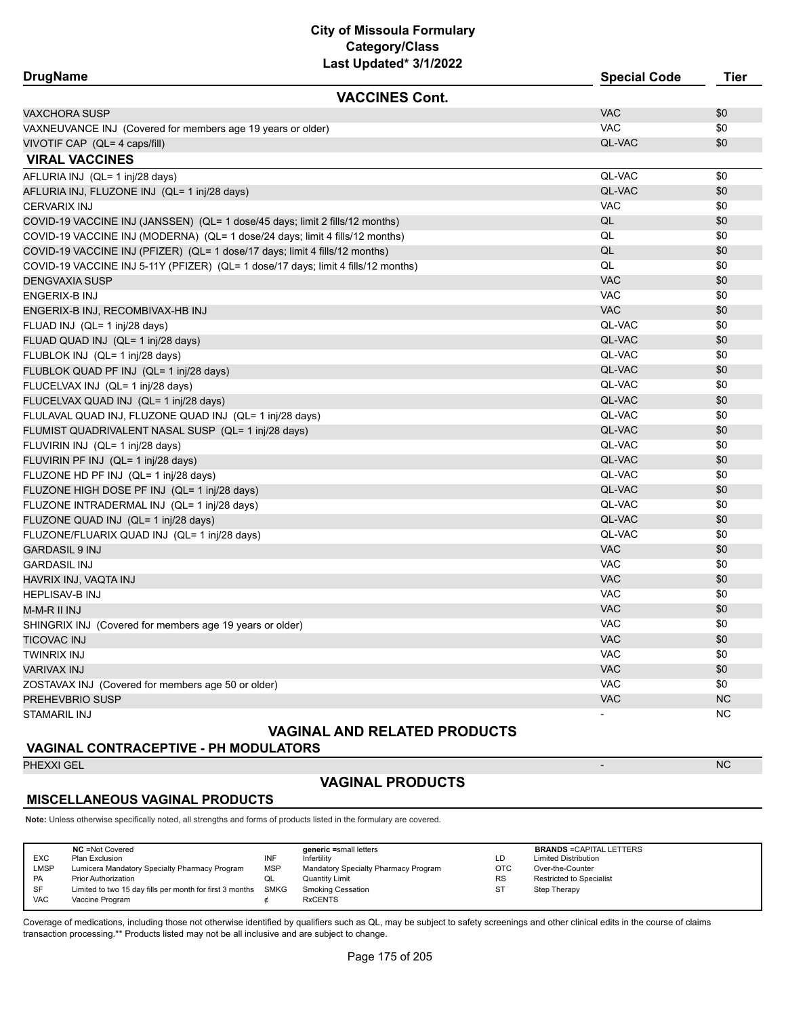| <b>DrugName</b>                                                                   |                       | <b>Special Code</b> | <b>Tier</b> |
|-----------------------------------------------------------------------------------|-----------------------|---------------------|-------------|
|                                                                                   | <b>VACCINES Cont.</b> |                     |             |
| VAXCHORA SUSP                                                                     |                       | <b>VAC</b>          | \$0         |
| VAXNEUVANCE INJ (Covered for members age 19 years or older)                       |                       | <b>VAC</b>          | \$0         |
| VIVOTIF CAP (QL= 4 caps/fill)                                                     |                       | QL-VAC              | \$0         |
| <b>VIRAL VACCINES</b>                                                             |                       |                     |             |
| AFLURIA INJ (QL= 1 inj/28 days)                                                   |                       | QL-VAC              | \$0         |
| AFLURIA INJ, FLUZONE INJ (QL= 1 inj/28 days)                                      |                       | QL-VAC              | \$0         |
| <b>CERVARIX INJ</b>                                                               |                       | <b>VAC</b>          | \$0         |
| COVID-19 VACCINE INJ (JANSSEN) (QL= 1 dose/45 days; limit 2 fills/12 months)      |                       | QL                  | \$0         |
| COVID-19 VACCINE INJ (MODERNA) (QL= 1 dose/24 days; limit 4 fills/12 months)      |                       | QL                  | \$0         |
| COVID-19 VACCINE INJ (PFIZER) (QL= 1 dose/17 days; limit 4 fills/12 months)       |                       | QL                  | \$0         |
| COVID-19 VACCINE INJ 5-11Y (PFIZER) (QL= 1 dose/17 days; limit 4 fills/12 months) |                       | QL                  | \$0         |
| <b>DENGVAXIA SUSP</b>                                                             |                       | <b>VAC</b>          | \$0         |
| ENGERIX-B INJ                                                                     |                       | <b>VAC</b>          | \$0         |
| ENGERIX-B INJ, RECOMBIVAX-HB INJ                                                  |                       | <b>VAC</b>          | \$0         |
| FLUAD INJ (QL= 1 inj/28 days)                                                     |                       | QL-VAC              | \$0         |
| FLUAD QUAD INJ (QL= 1 inj/28 days)                                                |                       | QL-VAC              | \$0         |
| FLUBLOK INJ (QL= 1 inj/28 days)                                                   |                       | QL-VAC              | \$0         |
| FLUBLOK QUAD PF INJ (QL= 1 inj/28 days)                                           |                       | QL-VAC              | \$0         |
| FLUCELVAX INJ (QL= 1 inj/28 days)                                                 |                       | QL-VAC              | \$0         |
| FLUCELVAX QUAD INJ (QL= 1 inj/28 days)                                            |                       | QL-VAC              | \$0         |
| FLULAVAL QUAD INJ, FLUZONE QUAD INJ (QL= 1 inj/28 days)                           |                       | QL-VAC              | \$0         |
| FLUMIST QUADRIVALENT NASAL SUSP (QL= 1 inj/28 days)                               |                       | QL-VAC              | \$0         |
| FLUVIRIN INJ (QL= 1 inj/28 days)                                                  |                       | QL-VAC              | \$0         |
| FLUVIRIN PF INJ (QL= 1 inj/28 days)                                               |                       | QL-VAC              | \$0         |
| FLUZONE HD PF INJ (QL= 1 inj/28 days)                                             |                       | QL-VAC              | \$0         |
| FLUZONE HIGH DOSE PF INJ (QL= 1 inj/28 days)                                      |                       | QL-VAC              | \$0         |
| FLUZONE INTRADERMAL INJ (QL= 1 inj/28 days)                                       |                       | QL-VAC              | \$0         |
| FLUZONE QUAD INJ (QL= 1 inj/28 days)                                              |                       | QL-VAC              | \$0         |
| FLUZONE/FLUARIX QUAD INJ (QL= 1 inj/28 days)                                      |                       | QL-VAC              | \$0         |
| <b>GARDASIL 9 INJ</b>                                                             |                       | <b>VAC</b>          | \$0         |
| <b>GARDASIL INJ</b>                                                               |                       | VAC                 | \$0         |
| HAVRIX INJ, VAQTA INJ                                                             |                       | <b>VAC</b>          | \$0         |
| HEPLISAV-B INJ                                                                    |                       | <b>VAC</b>          | \$0         |
| M-M-R II INJ                                                                      |                       | <b>VAC</b>          | \$0         |
| SHINGRIX INJ (Covered for members age 19 years or older)                          |                       | <b>VAC</b>          | \$0         |
| TICOVAC INJ                                                                       |                       | <b>VAC</b>          | \$0         |
| TWINRIX INJ                                                                       |                       | <b>VAC</b>          | \$0         |
| VARIVAX INJ                                                                       |                       | <b>VAC</b>          | \$0         |
| ZOSTAVAX INJ (Covered for members age 50 or older)                                |                       | <b>VAC</b>          | \$0         |
| PREHEVBRIO SUSP                                                                   |                       | <b>VAC</b>          | <b>NC</b>   |
| STAMARIL INJ                                                                      |                       |                     | <b>NC</b>   |

# **VAGINAL AND RELATED PRODUCTS**

#### **VAGINAL CONTRACEPTIVE - PH MODULATORS**

PHEXXI GEL - NC

# **VAGINAL PRODUCTS**

#### **MISCELLANEOUS VAGINAL PRODUCTS**

**Note:** Unless otherwise specifically noted, all strengths and forms of products listed in the formulary are covered.

| LMSP<br>Lumicera Mandatory Specialty Pharmacy Program<br><b>MSP</b><br><b>OTC</b><br>Mandatory Specialty Pharmacy Program<br>Over-the-Counter<br><b>RS</b><br><b>PA</b><br><b>Prior Authorization</b><br><b>Quantity Limit</b><br>QL<br>SF<br>SMKG<br>Limited to two 15 day fills per month for first 3 months<br><b>Smoking Cessation</b><br><b>ST</b><br>Step Therapy<br><b>VAC</b><br><b>RxCENTS</b><br>Vaccine Program | <b>BRANDS = CAPITAL LETTERS</b><br><b>Limited Distribution</b><br><b>Restricted to Specialist</b> |
|----------------------------------------------------------------------------------------------------------------------------------------------------------------------------------------------------------------------------------------------------------------------------------------------------------------------------------------------------------------------------------------------------------------------------|---------------------------------------------------------------------------------------------------|
|----------------------------------------------------------------------------------------------------------------------------------------------------------------------------------------------------------------------------------------------------------------------------------------------------------------------------------------------------------------------------------------------------------------------------|---------------------------------------------------------------------------------------------------|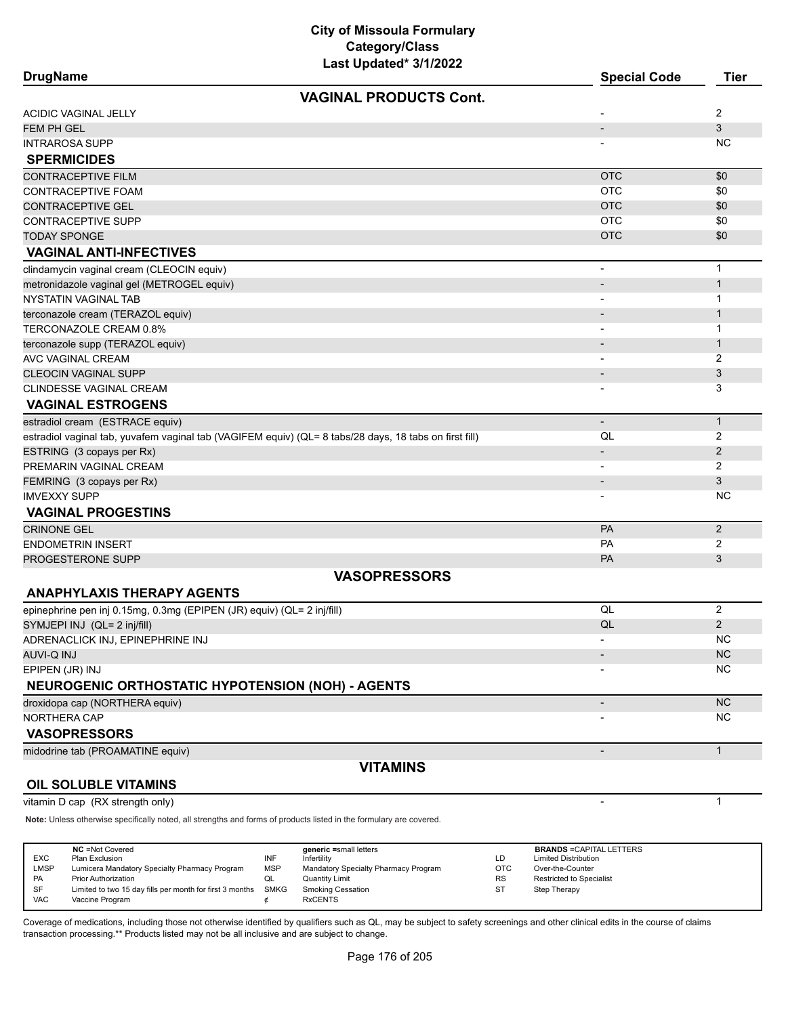| <b>DrugName</b>                                                                                                     | Last updated" 3/1/2022                              |                  | <b>Special Code</b>                             | <b>Tier</b>    |
|---------------------------------------------------------------------------------------------------------------------|-----------------------------------------------------|------------------|-------------------------------------------------|----------------|
|                                                                                                                     | <b>VAGINAL PRODUCTS Cont.</b>                       |                  |                                                 |                |
| ACIDIC VAGINAL JELLY                                                                                                |                                                     |                  |                                                 | 2              |
| <b>FEM PH GEL</b>                                                                                                   |                                                     |                  |                                                 | 3              |
| <b>INTRAROSA SUPP</b>                                                                                               |                                                     |                  |                                                 | NC.            |
| <b>SPERMICIDES</b>                                                                                                  |                                                     |                  |                                                 |                |
| <b>CONTRACEPTIVE FILM</b>                                                                                           |                                                     |                  | <b>OTC</b>                                      | \$0            |
| CONTRACEPTIVE FOAM                                                                                                  |                                                     |                  | <b>OTC</b>                                      | \$0            |
| CONTRACEPTIVE GEL                                                                                                   |                                                     |                  | <b>OTC</b>                                      | \$0            |
| CONTRACEPTIVE SUPP                                                                                                  |                                                     |                  | <b>OTC</b>                                      | \$0            |
| <b>TODAY SPONGE</b>                                                                                                 |                                                     |                  | <b>OTC</b>                                      | \$0            |
| <b>VAGINAL ANTI-INFECTIVES</b>                                                                                      |                                                     |                  |                                                 |                |
| clindamycin vaginal cream (CLEOCIN equiv)                                                                           |                                                     |                  | $\overline{\phantom{a}}$                        | $\mathbf{1}$   |
| metronidazole vaginal gel (METROGEL equiv)                                                                          |                                                     |                  |                                                 | $\mathbf{1}$   |
| NYSTATIN VAGINAL TAB                                                                                                |                                                     |                  |                                                 | 1              |
| terconazole cream (TERAZOL equiv)                                                                                   |                                                     |                  |                                                 | $\mathbf 1$    |
| TERCONAZOLE CREAM 0.8%                                                                                              |                                                     |                  |                                                 | 1              |
| terconazole supp (TERAZOL equiv)                                                                                    |                                                     |                  |                                                 | $\mathbf{1}$   |
| AVC VAGINAL CREAM                                                                                                   |                                                     |                  | $\qquad \qquad \blacksquare$                    | 2              |
| <b>CLEOCIN VAGINAL SUPP</b>                                                                                         |                                                     |                  |                                                 | 3              |
| CLINDESSE VAGINAL CREAM                                                                                             |                                                     |                  |                                                 | 3              |
| <b>VAGINAL ESTROGENS</b>                                                                                            |                                                     |                  |                                                 |                |
| estradiol cream (ESTRACE equiv)                                                                                     |                                                     |                  | $\blacksquare$                                  | $\mathbf{1}$   |
| estradiol vaginal tab, yuvafem vaginal tab (VAGIFEM equiv) (QL= 8 tabs/28 days, 18 tabs on first fill)              |                                                     |                  | QL                                              | 2              |
| ESTRING (3 copays per Rx)                                                                                           |                                                     |                  | -                                               | $\overline{2}$ |
| PREMARIN VAGINAL CREAM                                                                                              |                                                     |                  | $\overline{\phantom{a}}$                        | $\overline{2}$ |
| FEMRING (3 copays per Rx)                                                                                           |                                                     |                  |                                                 | 3              |
| <b>IMVEXXY SUPP</b>                                                                                                 |                                                     |                  |                                                 | ΝC             |
| <b>VAGINAL PROGESTINS</b>                                                                                           |                                                     |                  |                                                 |                |
| <b>CRINONE GEL</b>                                                                                                  |                                                     |                  | PA                                              | $\overline{2}$ |
| <b>ENDOMETRIN INSERT</b>                                                                                            |                                                     |                  | PA                                              | $\overline{2}$ |
| PROGESTERONE SUPP                                                                                                   |                                                     |                  | <b>PA</b>                                       | 3              |
|                                                                                                                     | <b>VASOPRESSORS</b>                                 |                  |                                                 |                |
| <b>ANAPHYLAXIS THERAPY AGENTS</b>                                                                                   |                                                     |                  |                                                 |                |
| epinephrine pen inj 0.15mg, 0.3mg (EPIPEN (JR) equiv) (QL= 2 inj/fill)                                              |                                                     |                  | QL                                              | $\overline{2}$ |
| SYMJEPI INJ (QL= 2 inj/fill)                                                                                        |                                                     |                  | QL                                              | $\overline{2}$ |
| ADRENACLICK INJ, EPINEPHRINE INJ                                                                                    |                                                     |                  |                                                 | <b>NC</b>      |
| AUVI-Q INJ                                                                                                          |                                                     |                  |                                                 | <b>NC</b>      |
| EPIPEN (JR) INJ                                                                                                     |                                                     |                  |                                                 | ΝC             |
| <b>NEUROGENIC ORTHOSTATIC HYPOTENSION (NOH) - AGENTS</b>                                                            |                                                     |                  |                                                 |                |
| droxidopa cap (NORTHERA equiv)                                                                                      |                                                     |                  |                                                 | <b>NC</b>      |
| <b>NORTHERA CAP</b>                                                                                                 |                                                     |                  |                                                 | NC             |
| <b>VASOPRESSORS</b>                                                                                                 |                                                     |                  |                                                 |                |
| midodrine tab (PROAMATINE equiv)                                                                                    |                                                     |                  | $\overline{\phantom{a}}$                        | $\mathbf{1}$   |
|                                                                                                                     | <b>VITAMINS</b>                                     |                  |                                                 |                |
| <b>OIL SOLUBLE VITAMINS</b>                                                                                         |                                                     |                  |                                                 |                |
| vitamin D cap (RX strength only)                                                                                    |                                                     |                  |                                                 | $\mathbf 1$    |
| Note: Unless otherwise specifically noted, all strengths and forms of products listed in the formulary are covered. |                                                     |                  |                                                 |                |
|                                                                                                                     |                                                     |                  |                                                 |                |
| NC =Not Covered                                                                                                     | generic =small letters                              |                  | <b>BRANDS = CAPITAL LETTERS</b>                 |                |
| INF<br>EXC<br>Plan Exclusion<br>Lumicera Mandatory Specialty Pharmacy Program<br><b>MSP</b><br>LMSP                 | Infertility<br>Mandatory Specialty Pharmacy Program | LD<br><b>OTC</b> | <b>Limited Distribution</b><br>Over-the-Counter |                |

Coverage of medications, including those not otherwise identified by qualifiers such as QL, may be subject to safety screenings and other clinical edits in the course of claims transaction processing.\*\* Products listed may not be all inclusive and are subject to change.

PA Prior Authorization Common Common Common Common Common Common Common Common Common Common Common Common Comm<br>Publish SF Limited to two 15 day fills per month for first 3 months SMKG Smoking Cessation ST ST Step Therapy

Limited to two 15 day fills per month for first 3 months SMKG VAC Vaccine Program  $\phi$  RxCENTS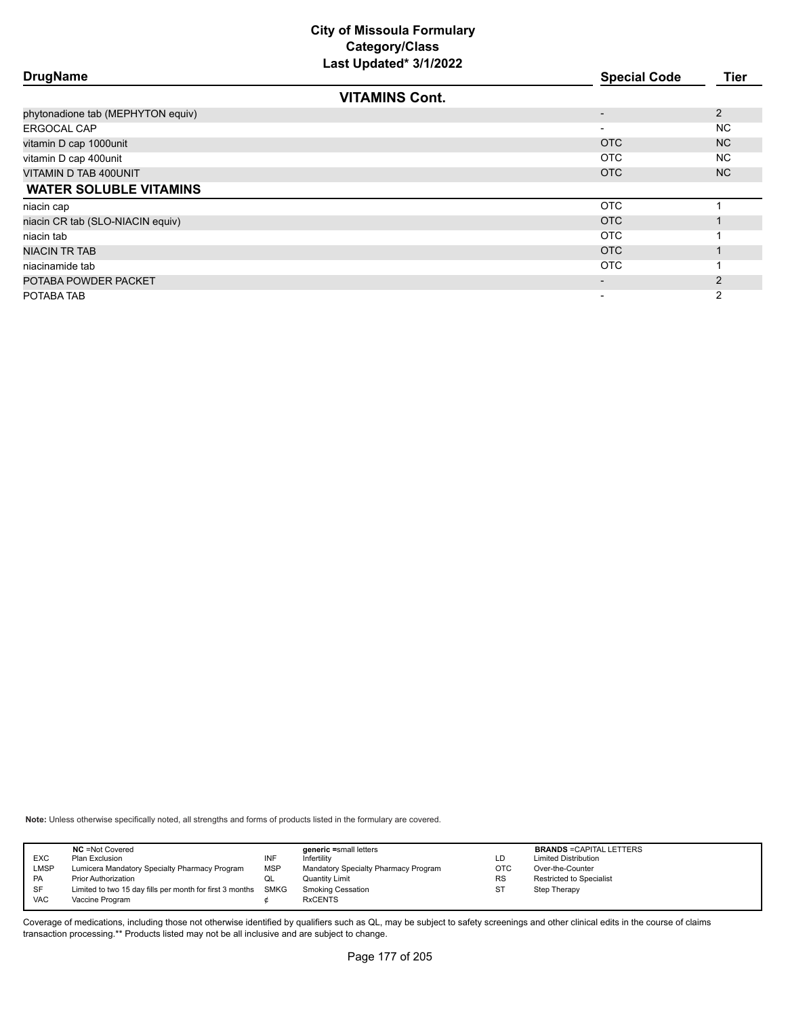|                                   | Last Upualtu VIIILULL |                          |                |
|-----------------------------------|-----------------------|--------------------------|----------------|
| <b>DrugName</b>                   |                       | <b>Special Code</b>      | Tier           |
|                                   | <b>VITAMINS Cont.</b> |                          |                |
| phytonadione tab (MEPHYTON equiv) |                       |                          | 2              |
| <b>ERGOCAL CAP</b>                |                       | $\overline{\phantom{a}}$ | <b>NC</b>      |
| vitamin D cap 1000unit            |                       | <b>OTC</b>               | N <sub>C</sub> |
| vitamin D cap 400unit             |                       | <b>OTC</b>               | <b>NC</b>      |
| VITAMIN D TAB 400UNIT             |                       | OTC                      | NC.            |
| <b>WATER SOLUBLE VITAMINS</b>     |                       |                          |                |
| niacin cap                        |                       | <b>OTC</b>               |                |
| niacin CR tab (SLO-NIACIN equiv)  |                       | OTC                      |                |
| niacin tab                        |                       | <b>OTC</b>               |                |
| <b>NIACIN TR TAB</b>              |                       | OTC                      |                |
| niacinamide tab                   |                       | OTC                      |                |
| POTABA POWDER PACKET              |                       |                          | 2              |
| POTABA TAB                        |                       | $\overline{\phantom{0}}$ | $\overline{2}$ |
|                                   |                       |                          |                |

**Note:** Unless otherwise specifically noted, all strengths and forms of products listed in the formulary are covered.

| <b>EXC</b><br>LMSP      | <b>NC</b> = Not Covered<br>Plan Exclusion<br>Lumicera Mandatory Specialty Pharmacy Program | INF<br><b>MSP</b> | generic =small letters<br>Infertilitv<br>Mandatory Specialty Pharmacy Program | LD<br><b>OTC</b> | <b>BRANDS = CAPITAL LETTERS</b><br><b>Limited Distribution</b><br>Over-the-Counter |
|-------------------------|--------------------------------------------------------------------------------------------|-------------------|-------------------------------------------------------------------------------|------------------|------------------------------------------------------------------------------------|
| <b>PA</b>               | <b>Prior Authorization</b>                                                                 | QL                | Quantity Limit                                                                | <b>RS</b>        | <b>Restricted to Specialist</b>                                                    |
| <b>SF</b><br><b>VAC</b> | Limited to two 15 day fills per month for first 3 months SMKG<br>Vaccine Program           |                   | <b>Smoking Cessation</b><br><b>RxCENTS</b>                                    | ST               | Step Therapy                                                                       |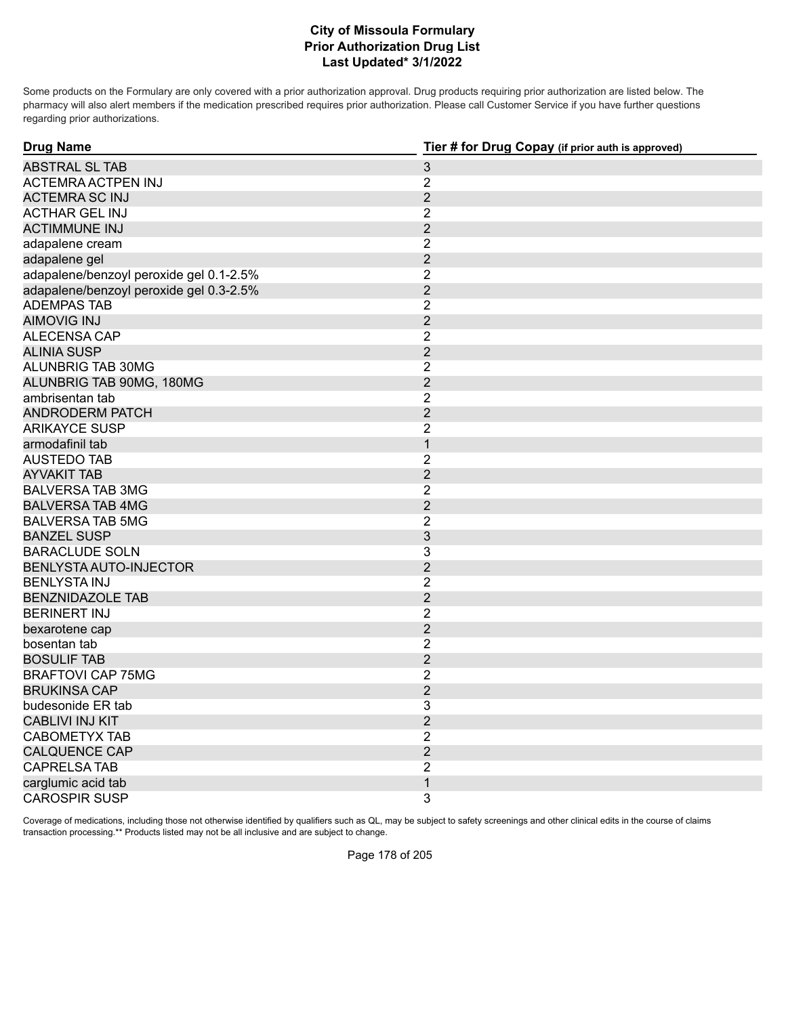#### **Prior Authorization Drug List Last Updated\* 3/1/2022 City of Missoula Formulary**

Some products on the Formulary are only covered with a prior authorization approval. Drug products requiring prior authorization are listed below. The pharmacy will also alert members if the medication prescribed requires prior authorization. Please call Customer Service if you have further questions regarding prior authorizations.

| <b>Drug Name</b>                        | Tier # for Drug Copay (if prior auth is approved) |  |  |
|-----------------------------------------|---------------------------------------------------|--|--|
| <b>ABSTRAL SL TAB</b>                   | $\ensuremath{\mathsf{3}}$                         |  |  |
| ACTEMRA ACTPEN INJ                      | $\overline{2}$                                    |  |  |
| <b>ACTEMRA SC INJ</b>                   | $\overline{2}$                                    |  |  |
| <b>ACTHAR GEL INJ</b>                   | $\overline{2}$                                    |  |  |
| <b>ACTIMMUNE INJ</b>                    | $\overline{2}$                                    |  |  |
| adapalene cream                         | $\overline{c}$                                    |  |  |
| adapalene gel                           | $\overline{2}$                                    |  |  |
| adapalene/benzoyl peroxide gel 0.1-2.5% | $\overline{2}$                                    |  |  |
| adapalene/benzoyl peroxide gel 0.3-2.5% | $\overline{2}$                                    |  |  |
| <b>ADEMPAS TAB</b>                      | $\overline{2}$                                    |  |  |
| <b>AIMOVIG INJ</b>                      | $\overline{2}$                                    |  |  |
| ALECENSA CAP                            | $\overline{2}$                                    |  |  |
| <b>ALINIA SUSP</b>                      | $\overline{2}$                                    |  |  |
| ALUNBRIG TAB 30MG                       | $\overline{2}$                                    |  |  |
| ALUNBRIG TAB 90MG, 180MG                | $\overline{2}$                                    |  |  |
| ambrisentan tab                         | $\overline{2}$                                    |  |  |
| <b>ANDRODERM PATCH</b>                  | $\overline{2}$                                    |  |  |
| <b>ARIKAYCE SUSP</b>                    | $\overline{2}$                                    |  |  |
| armodafinil tab                         | $\mathbf{1}$                                      |  |  |
| <b>AUSTEDO TAB</b>                      | $\overline{2}$                                    |  |  |
| <b>AYVAKIT TAB</b>                      | $\overline{2}$                                    |  |  |
| <b>BALVERSA TAB 3MG</b>                 | $\overline{2}$                                    |  |  |
| <b>BALVERSA TAB 4MG</b>                 | $\overline{2}$                                    |  |  |
| <b>BALVERSA TAB 5MG</b>                 | $\overline{2}$                                    |  |  |
| <b>BANZEL SUSP</b>                      | 3                                                 |  |  |
| <b>BARACLUDE SOLN</b>                   | 3                                                 |  |  |
| BENLYSTA AUTO-INJECTOR                  | $\overline{2}$                                    |  |  |
| <b>BENLYSTA INJ</b>                     | $\overline{2}$                                    |  |  |
| <b>BENZNIDAZOLE TAB</b>                 | $\overline{2}$                                    |  |  |
| <b>BERINERT INJ</b>                     | 2                                                 |  |  |
| bexarotene cap                          | $\overline{2}$                                    |  |  |
| bosentan tab                            | $\overline{2}$                                    |  |  |
| <b>BOSULIF TAB</b>                      | $\overline{2}$                                    |  |  |
| <b>BRAFTOVI CAP 75MG</b>                | $\overline{2}$                                    |  |  |
| <b>BRUKINSA CAP</b>                     | $\overline{2}$                                    |  |  |
| budesonide ER tab                       | 3                                                 |  |  |
| <b>CABLIVI INJ KIT</b>                  | $\overline{2}$                                    |  |  |
| <b>CABOMETYX TAB</b>                    | $\overline{2}$                                    |  |  |
| <b>CALQUENCE CAP</b>                    | $\overline{2}$                                    |  |  |
| <b>CAPRELSA TAB</b>                     | $\overline{2}$                                    |  |  |
| carglumic acid tab                      | $\mathbf{1}$                                      |  |  |
| <b>CAROSPIR SUSP</b>                    | 3                                                 |  |  |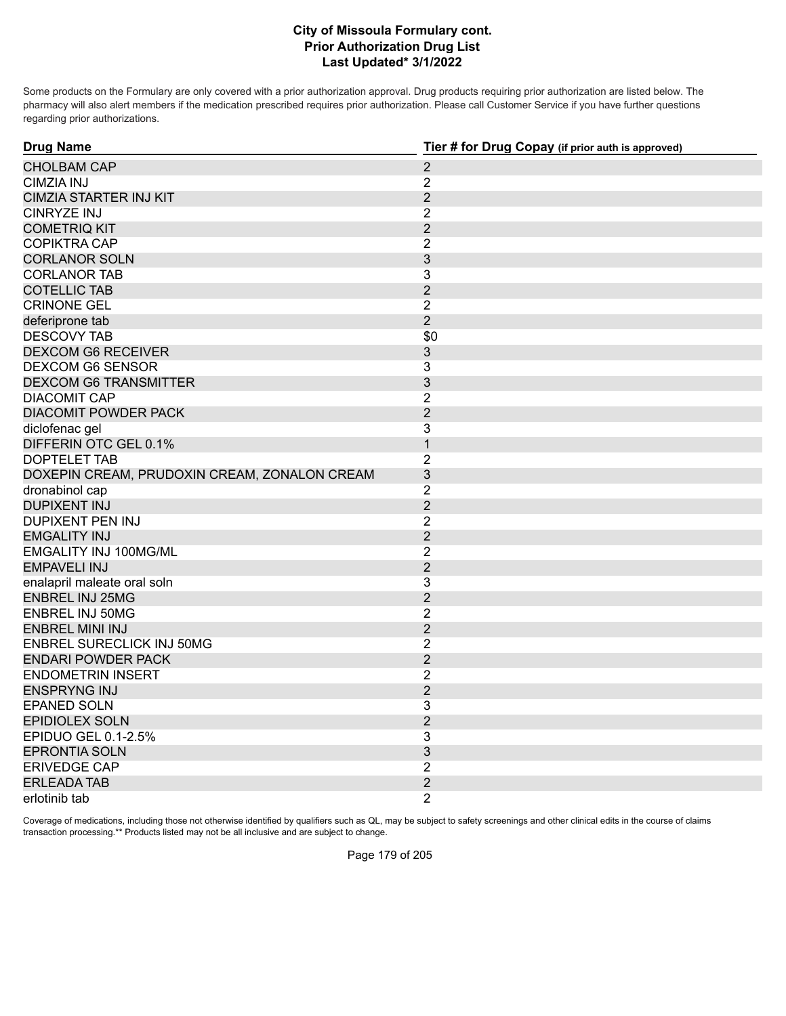#### **Prior Authorization Drug List Last Updated\* 3/1/2022 City of Missoula Formulary cont.**

Some products on the Formulary are only covered with a prior authorization approval. Drug products requiring prior authorization are listed below. The pharmacy will also alert members if the medication prescribed requires prior authorization. Please call Customer Service if you have further questions regarding prior authorizations.

| <b>Drug Name</b>                             | Tier # for Drug Copay (if prior auth is approved) |
|----------------------------------------------|---------------------------------------------------|
| <b>CHOLBAM CAP</b>                           | $\overline{2}$                                    |
| <b>CIMZIA INJ</b>                            | $\overline{2}$                                    |
| <b>CIMZIA STARTER INJ KIT</b>                | $\overline{2}$                                    |
| <b>CINRYZE INJ</b>                           | $\overline{2}$                                    |
| <b>COMETRIQ KIT</b>                          | $\overline{2}$                                    |
| <b>COPIKTRA CAP</b>                          | $\overline{2}$                                    |
| <b>CORLANOR SOLN</b>                         | 3                                                 |
| <b>CORLANOR TAB</b>                          | 3                                                 |
| <b>COTELLIC TAB</b>                          | $\overline{2}$                                    |
| <b>CRINONE GEL</b>                           | $\overline{2}$                                    |
| deferiprone tab                              | $\overline{2}$                                    |
| DESCOVY TAB                                  | \$0                                               |
| <b>DEXCOM G6 RECEIVER</b>                    | 3                                                 |
| <b>DEXCOM G6 SENSOR</b>                      | 3                                                 |
| <b>DEXCOM G6 TRANSMITTER</b>                 | 3                                                 |
| <b>DIACOMIT CAP</b>                          | $\overline{2}$                                    |
| <b>DIACOMIT POWDER PACK</b>                  | $\overline{2}$                                    |
| diclofenac gel                               | 3                                                 |
| DIFFERIN OTC GEL 0.1%                        | 1                                                 |
| DOPTELET TAB                                 | $\overline{2}$                                    |
| DOXEPIN CREAM, PRUDOXIN CREAM, ZONALON CREAM | $\overline{3}$                                    |
| dronabinol cap                               | $\overline{2}$                                    |
| <b>DUPIXENT INJ</b>                          | $\overline{2}$                                    |
| <b>DUPIXENT PEN INJ</b>                      | $\overline{2}$                                    |
| <b>EMGALITY INJ</b>                          | $\overline{2}$                                    |
| EMGALITY INJ 100MG/ML                        | $\overline{2}$                                    |
| <b>EMPAVELI INJ</b>                          | $\overline{2}$                                    |
| enalapril maleate oral soln                  | 3                                                 |
| <b>ENBREL INJ 25MG</b>                       | $\overline{2}$                                    |
| <b>ENBREL INJ 50MG</b>                       | $\overline{2}$                                    |
| <b>ENBREL MINI INJ</b>                       | $\overline{2}$                                    |
| <b>ENBREL SURECLICK INJ 50MG</b>             | $\overline{2}$                                    |
| <b>ENDARI POWDER PACK</b>                    | $\overline{2}$                                    |
| <b>ENDOMETRIN INSERT</b>                     | $\overline{2}$                                    |
| <b>ENSPRYNG INJ</b>                          | $\overline{2}$                                    |
| <b>EPANED SOLN</b>                           | 3                                                 |
| <b>EPIDIOLEX SOLN</b>                        | $\overline{2}$                                    |
| EPIDUO GEL 0.1-2.5%                          | 3                                                 |
| <b>EPRONTIA SOLN</b>                         | 3                                                 |
| <b>ERIVEDGE CAP</b>                          | $\overline{2}$                                    |
| <b>ERLEADA TAB</b>                           | $\overline{2}$                                    |
| erlotinib tab                                | $\overline{2}$                                    |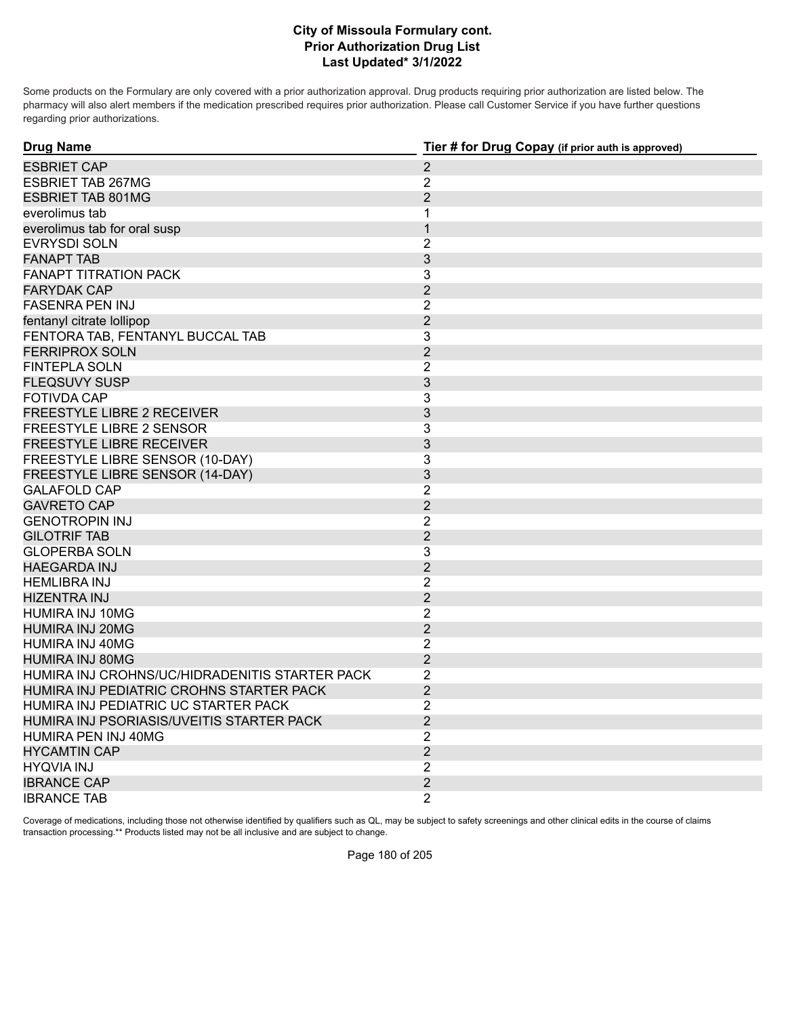#### **Prior Authorization Drug List Last Updated\* 3/1/2022 City of Missoula Formulary cont.**

Some products on the Formulary are only covered with a prior authorization approval. Drug products requiring prior authorization are listed below. The pharmacy will also alert members if the medication prescribed requires prior authorization. Please call Customer Service if you have further questions regarding prior authorizations.

| <b>Drug Name</b>                               | Tier # for Drug Copay (if prior auth is approved) |
|------------------------------------------------|---------------------------------------------------|
| <b>ESBRIET CAP</b>                             | $\overline{2}$                                    |
| <b>ESBRIET TAB 267MG</b>                       | $\overline{2}$                                    |
| <b>ESBRIET TAB 801MG</b>                       | $\overline{2}$                                    |
| everolimus tab                                 | 1                                                 |
| everolimus tab for oral susp                   | $\mathbf{1}$                                      |
| <b>EVRYSDI SOLN</b>                            | $\overline{2}$                                    |
| <b>FANAPT TAB</b>                              | 3                                                 |
| <b>FANAPT TITRATION PACK</b>                   | 3                                                 |
| <b>FARYDAK CAP</b>                             | $\overline{2}$                                    |
| <b>FASENRA PEN INJ</b>                         | $\overline{2}$                                    |
| fentanyl citrate lollipop                      | $\overline{2}$                                    |
| FENTORA TAB, FENTANYL BUCCAL TAB               | 3                                                 |
| <b>FERRIPROX SOLN</b>                          | $\overline{2}$                                    |
| <b>FINTEPLA SOLN</b>                           | 2                                                 |
| <b>FLEQSUVY SUSP</b>                           | 3                                                 |
| <b>FOTIVDA CAP</b>                             | 3                                                 |
| <b>FREESTYLE LIBRE 2 RECEIVER</b>              | $\ensuremath{\mathsf{3}}$                         |
| <b>FREESTYLE LIBRE 2 SENSOR</b>                | 3                                                 |
| <b>FREESTYLE LIBRE RECEIVER</b>                | 3                                                 |
| FREESTYLE LIBRE SENSOR (10-DAY)                | 3                                                 |
| FREESTYLE LIBRE SENSOR (14-DAY)                | 3                                                 |
| <b>GALAFOLD CAP</b>                            | $\overline{2}$                                    |
| <b>GAVRETO CAP</b>                             | $\overline{2}$                                    |
| <b>GENOTROPIN INJ</b>                          | $\overline{2}$                                    |
| <b>GILOTRIF TAB</b>                            | $\overline{2}$                                    |
| <b>GLOPERBA SOLN</b>                           | 3                                                 |
| <b>HAEGARDA INJ</b>                            | $\overline{2}$                                    |
| <b>HEMLIBRA INJ</b>                            | $\overline{2}$                                    |
| <b>HIZENTRA INJ</b>                            | $\overline{2}$                                    |
| HUMIRA INJ 10MG                                | $\overline{2}$                                    |
| <b>HUMIRA INJ 20MG</b>                         | $\overline{2}$                                    |
| HUMIRA INJ 40MG                                | $\overline{2}$                                    |
| <b>HUMIRA INJ 80MG</b>                         | $\overline{2}$                                    |
| HUMIRA INJ CROHNS/UC/HIDRADENITIS STARTER PACK | $\overline{2}$                                    |
| HUMIRA INJ PEDIATRIC CROHNS STARTER PACK       | $\overline{2}$                                    |
| HUMIRA INJ PEDIATRIC UC STARTER PACK           | $\overline{2}$                                    |
| HUMIRA INJ PSORIASIS/UVEITIS STARTER PACK      | $\overline{2}$                                    |
| HUMIRA PEN INJ 40MG                            | $\overline{2}$                                    |
| <b>HYCAMTIN CAP</b>                            | $\overline{2}$                                    |
| <b>HYQVIA INJ</b>                              | $\overline{2}$                                    |
| <b>IBRANCE CAP</b>                             | $\overline{2}$                                    |
| <b>IBRANCE TAB</b>                             | $\overline{2}$                                    |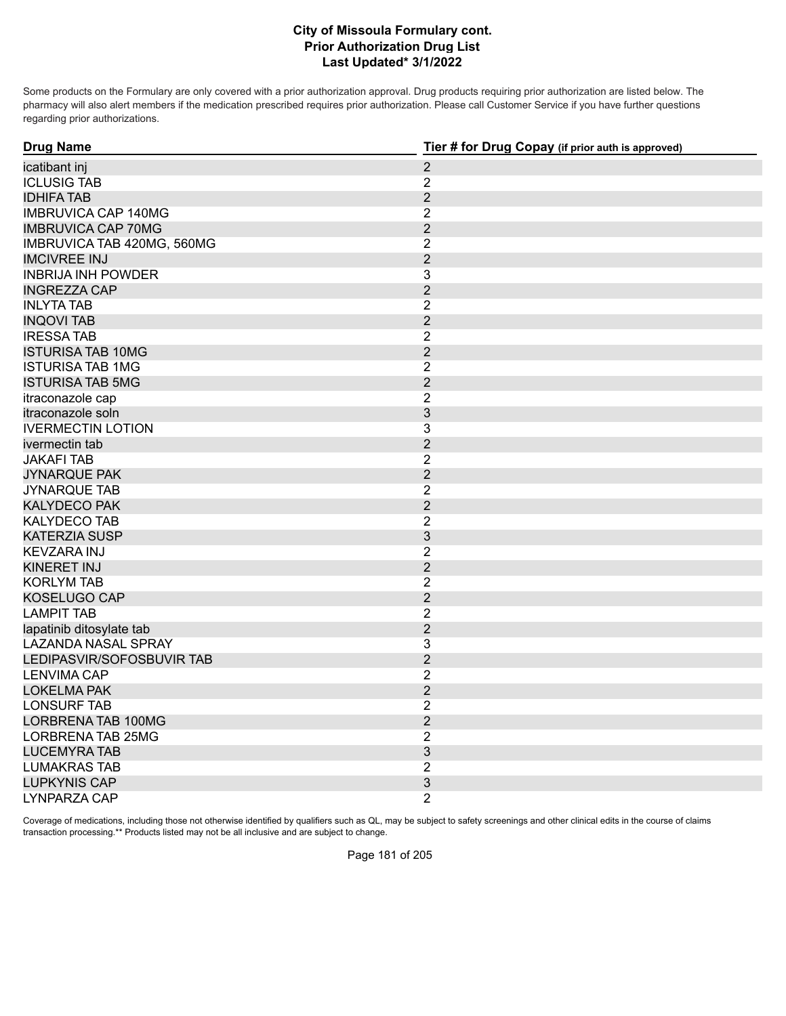Some products on the Formulary are only covered with a prior authorization approval. Drug products requiring prior authorization are listed below. The pharmacy will also alert members if the medication prescribed requires prior authorization. Please call Customer Service if you have further questions regarding prior authorizations.

| <b>Drug Name</b>           | Tier # for Drug Copay (if prior auth is approved) |
|----------------------------|---------------------------------------------------|
| icatibant inj              | $\overline{2}$                                    |
| <b>ICLUSIG TAB</b>         | $\overline{2}$                                    |
| <b>IDHIFA TAB</b>          | $\overline{2}$                                    |
| <b>IMBRUVICA CAP 140MG</b> | $\overline{2}$                                    |
| <b>IMBRUVICA CAP 70MG</b>  | $\overline{2}$                                    |
| IMBRUVICA TAB 420MG, 560MG | $\overline{2}$                                    |
| <b>IMCIVREE INJ</b>        | $\overline{2}$                                    |
| <b>INBRIJA INH POWDER</b>  | 3                                                 |
| <b>INGREZZA CAP</b>        | $\overline{2}$                                    |
| <b>INLYTA TAB</b>          | $\overline{2}$                                    |
| <b>INQOVI TAB</b>          | $\overline{2}$                                    |
| <b>IRESSATAB</b>           | $\overline{2}$                                    |
| <b>ISTURISA TAB 10MG</b>   | $\overline{2}$                                    |
| <b>ISTURISA TAB 1MG</b>    | $\overline{2}$                                    |
| <b>ISTURISA TAB 5MG</b>    | $\overline{2}$                                    |
| itraconazole cap           | $\overline{2}$                                    |
| itraconazole soln          | 3                                                 |
| <b>IVERMECTIN LOTION</b>   | 3                                                 |
| ivermectin tab             | $\overline{2}$                                    |
| <b>JAKAFI TAB</b>          | $\overline{2}$                                    |
| <b>JYNARQUE PAK</b>        | $\overline{2}$                                    |
| <b>JYNARQUE TAB</b>        | $\overline{2}$                                    |
| <b>KALYDECO PAK</b>        | $\overline{2}$                                    |
| <b>KALYDECO TAB</b>        | $\overline{2}$                                    |
| <b>KATERZIA SUSP</b>       | $\ensuremath{\mathsf{3}}$                         |
| <b>KEVZARA INJ</b>         | $\overline{2}$                                    |
| <b>KINERET INJ</b>         | $\overline{2}$                                    |
| <b>KORLYM TAB</b>          | $\overline{2}$                                    |
| <b>KOSELUGO CAP</b>        | $\overline{2}$                                    |
| <b>LAMPIT TAB</b>          | $\overline{2}$                                    |
| lapatinib ditosylate tab   | $\overline{2}$                                    |
| <b>LAZANDA NASAL SPRAY</b> | 3                                                 |
| LEDIPASVIR/SOFOSBUVIR TAB  | $\overline{2}$                                    |
| <b>LENVIMA CAP</b>         | $\overline{2}$                                    |
| <b>LOKELMA PAK</b>         | $\overline{2}$                                    |
| <b>LONSURF TAB</b>         | $\overline{2}$                                    |
| <b>LORBRENA TAB 100MG</b>  | $\overline{2}$                                    |
| <b>LORBRENA TAB 25MG</b>   | $\overline{2}$                                    |
| <b>LUCEMYRA TAB</b>        | $\ensuremath{\mathsf{3}}$                         |
| <b>LUMAKRAS TAB</b>        | $\overline{2}$                                    |
| <b>LUPKYNIS CAP</b>        | 3                                                 |
| LYNPARZA CAP               | $\overline{2}$                                    |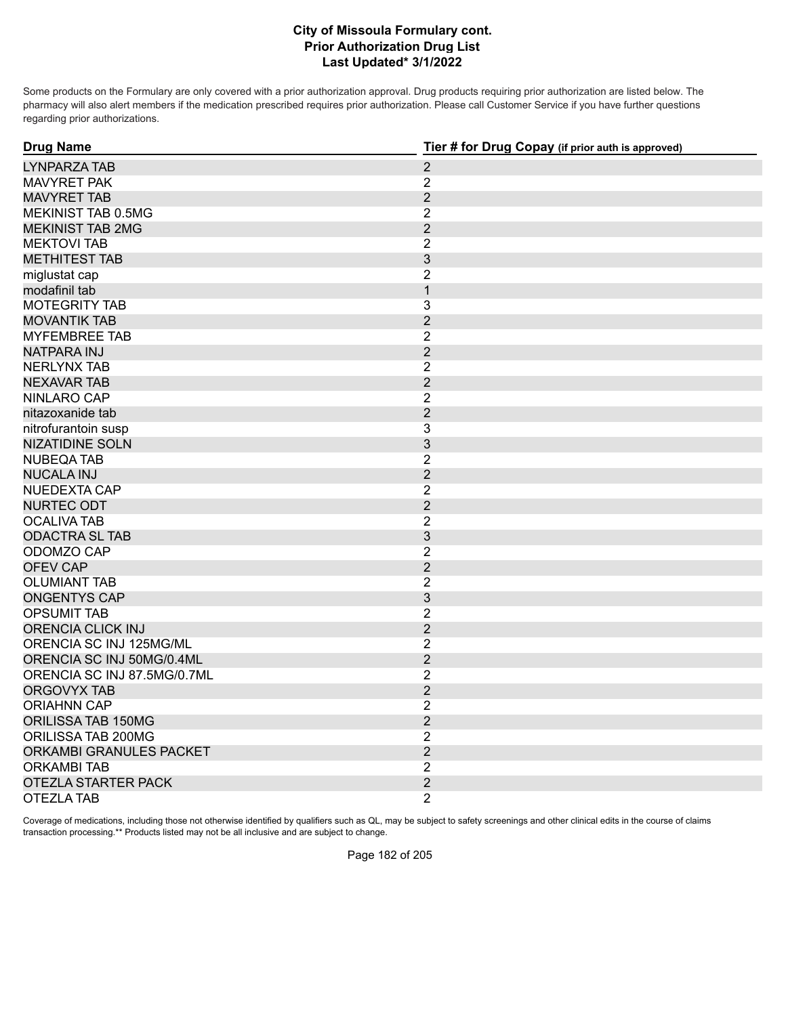Some products on the Formulary are only covered with a prior authorization approval. Drug products requiring prior authorization are listed below. The pharmacy will also alert members if the medication prescribed requires prior authorization. Please call Customer Service if you have further questions regarding prior authorizations.

| <b>Drug Name</b>            | Tier # for Drug Copay (if prior auth is approved) |
|-----------------------------|---------------------------------------------------|
| LYNPARZA TAB                | $\overline{2}$                                    |
| <b>MAVYRET PAK</b>          | $\overline{2}$                                    |
| <b>MAVYRET TAB</b>          | $\overline{2}$                                    |
| MEKINIST TAB 0.5MG          | $\overline{2}$                                    |
| <b>MEKINIST TAB 2MG</b>     | $\overline{2}$                                    |
| <b>MEKTOVI TAB</b>          | $\overline{2}$                                    |
| <b>METHITEST TAB</b>        | 3                                                 |
| miglustat cap               | $\overline{2}$                                    |
| modafinil tab               | $\mathbf{1}$                                      |
| <b>MOTEGRITY TAB</b>        | 3                                                 |
| <b>MOVANTIK TAB</b>         | $\overline{2}$                                    |
| <b>MYFEMBREE TAB</b>        | $\overline{2}$                                    |
| NATPARA INJ                 | $\overline{2}$                                    |
| NERLYNX TAB                 | $\overline{2}$                                    |
| <b>NEXAVAR TAB</b>          | $\overline{2}$                                    |
| NINLARO CAP                 | $\overline{2}$                                    |
| nitazoxanide tab            | $\overline{2}$                                    |
| nitrofurantoin susp         | 3                                                 |
| <b>NIZATIDINE SOLN</b>      | 3                                                 |
| <b>NUBEQA TAB</b>           | $\overline{2}$                                    |
| <b>NUCALA INJ</b>           | $\overline{2}$                                    |
| NUEDEXTA CAP                | $\overline{2}$                                    |
| NURTEC ODT                  | $\overline{2}$                                    |
| <b>OCALIVA TAB</b>          | $\overline{2}$                                    |
| <b>ODACTRA SL TAB</b>       | $\mathfrak{S}$                                    |
| ODOMZO CAP                  | $\overline{2}$                                    |
| <b>OFEV CAP</b>             | $\overline{2}$                                    |
| <b>OLUMIANT TAB</b>         | $\overline{2}$                                    |
| <b>ONGENTYS CAP</b>         | 3                                                 |
| <b>OPSUMIT TAB</b>          | $\overline{2}$                                    |
| <b>ORENCIA CLICK INJ</b>    | $\overline{2}$                                    |
| ORENCIA SC INJ 125MG/ML     | $\overline{2}$                                    |
| ORENCIA SC INJ 50MG/0.4ML   | $\overline{2}$                                    |
| ORENCIA SC INJ 87.5MG/0.7ML | $\overline{2}$                                    |
| ORGOVYX TAB                 | $\overline{2}$                                    |
| <b>ORIAHNN CAP</b>          | $\overline{2}$                                    |
| ORILISSA TAB 150MG          | $\overline{2}$                                    |
| ORILISSA TAB 200MG          | $\overline{2}$                                    |
| ORKAMBI GRANULES PACKET     | $\overline{2}$                                    |
| <b>ORKAMBI TAB</b>          | $\overline{2}$                                    |
| <b>OTEZLA STARTER PACK</b>  | $\overline{2}$                                    |
| <b>OTEZLA TAB</b>           | $\overline{2}$                                    |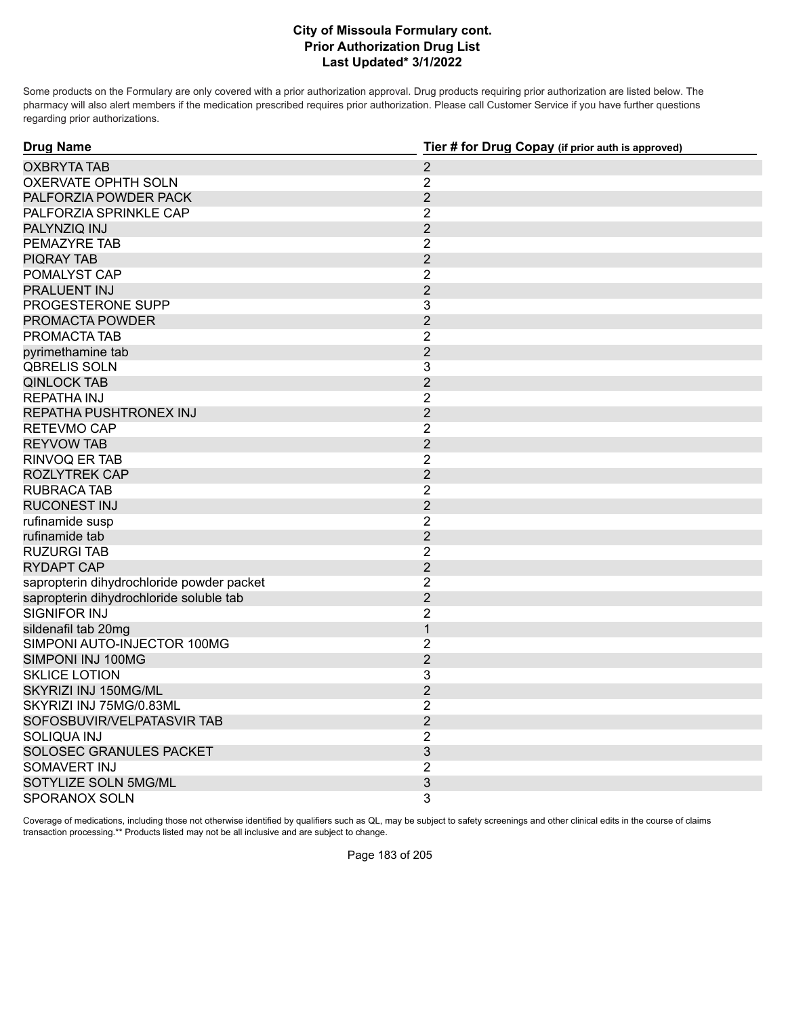Some products on the Formulary are only covered with a prior authorization approval. Drug products requiring prior authorization are listed below. The pharmacy will also alert members if the medication prescribed requires prior authorization. Please call Customer Service if you have further questions regarding prior authorizations.

| <b>Drug Name</b>                          | Tier # for Drug Copay (if prior auth is approved) |
|-------------------------------------------|---------------------------------------------------|
| <b>OXBRYTA TAB</b>                        | $\overline{2}$                                    |
| <b>OXERVATE OPHTH SOLN</b>                | $\overline{2}$                                    |
| PALFORZIA POWDER PACK                     | $\overline{2}$                                    |
| PALFORZIA SPRINKLE CAP                    | $\overline{2}$                                    |
| PALYNZIQ INJ                              | $\overline{2}$                                    |
| PEMAZYRE TAB                              | $\overline{2}$                                    |
| <b>PIQRAY TAB</b>                         | $\overline{2}$                                    |
| POMALYST CAP                              | $\overline{2}$                                    |
| <b>PRALUENT INJ</b>                       | $\overline{2}$                                    |
| PROGESTERONE SUPP                         | 3                                                 |
| PROMACTA POWDER                           | $\overline{2}$                                    |
| PROMACTA TAB                              | $\overline{2}$                                    |
| pyrimethamine tab                         | $\overline{2}$                                    |
| <b>QBRELIS SOLN</b>                       | 3                                                 |
| <b>QINLOCK TAB</b>                        | $\overline{2}$                                    |
| <b>REPATHA INJ</b>                        | $\overline{2}$                                    |
| REPATHA PUSHTRONEX INJ                    | $\overline{2}$                                    |
| RETEVMO CAP                               | $\overline{2}$                                    |
| <b>REYVOW TAB</b>                         | $\overline{2}$                                    |
| <b>RINVOQ ER TAB</b>                      | $\overline{2}$                                    |
| <b>ROZLYTREK CAP</b>                      | $\overline{2}$                                    |
| <b>RUBRACA TAB</b>                        | $\overline{2}$                                    |
| <b>RUCONEST INJ</b>                       | $\overline{2}$                                    |
| rufinamide susp                           | $\overline{2}$                                    |
| rufinamide tab                            | $\overline{2}$                                    |
| <b>RUZURGI TAB</b>                        | $\overline{2}$                                    |
| <b>RYDAPT CAP</b>                         | $\overline{2}$                                    |
| sapropterin dihydrochloride powder packet | $\overline{2}$                                    |
| sapropterin dihydrochloride soluble tab   | $\overline{2}$                                    |
| SIGNIFOR INJ                              | $\overline{2}$                                    |
| sildenafil tab 20mg                       | $\mathbf{1}$                                      |
| SIMPONI AUTO-INJECTOR 100MG               | $\overline{2}$                                    |
| SIMPONI INJ 100MG                         | $\overline{2}$                                    |
| <b>SKLICE LOTION</b>                      | 3                                                 |
| SKYRIZI INJ 150MG/ML                      | $\overline{2}$                                    |
| SKYRIZI INJ 75MG/0.83ML                   | $\overline{2}$                                    |
| SOFOSBUVIR/VELPATASVIR TAB                | $\overline{2}$                                    |
| <b>SOLIQUA INJ</b>                        | $\overline{2}$                                    |
| SOLOSEC GRANULES PACKET                   | 3                                                 |
| SOMAVERT INJ                              | $\overline{2}$                                    |
| SOTYLIZE SOLN 5MG/ML                      | 3                                                 |
| SPORANOX SOLN                             | 3                                                 |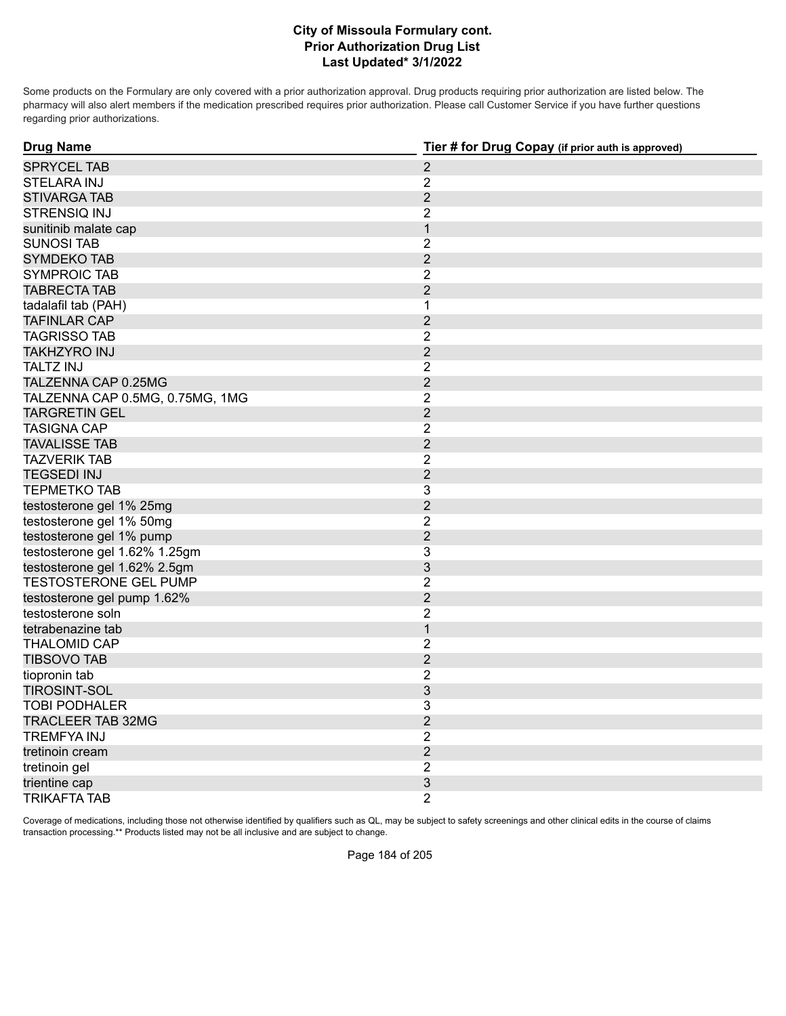Some products on the Formulary are only covered with a prior authorization approval. Drug products requiring prior authorization are listed below. The pharmacy will also alert members if the medication prescribed requires prior authorization. Please call Customer Service if you have further questions regarding prior authorizations.

| <b>Drug Name</b>                | Tier # for Drug Copay (if prior auth is approved) |
|---------------------------------|---------------------------------------------------|
| <b>SPRYCEL TAB</b>              | $\overline{2}$                                    |
| <b>STELARA INJ</b>              | $\overline{2}$                                    |
| <b>STIVARGA TAB</b>             | $\overline{2}$                                    |
| STRENSIQ INJ                    | $\overline{2}$                                    |
| sunitinib malate cap            | $\mathbf{1}$                                      |
| <b>SUNOSI TAB</b>               | $\overline{2}$                                    |
| <b>SYMDEKO TAB</b>              | $\overline{2}$                                    |
| <b>SYMPROIC TAB</b>             | $\overline{2}$                                    |
| <b>TABRECTA TAB</b>             | $\overline{2}$                                    |
| tadalafil tab (PAH)             | 1                                                 |
| <b>TAFINLAR CAP</b>             | $\overline{2}$                                    |
| <b>TAGRISSO TAB</b>             | $\overline{2}$                                    |
| <b>TAKHZYRO INJ</b>             | $\overline{2}$                                    |
| <b>TALTZ INJ</b>                | $\overline{2}$                                    |
| TALZENNA CAP 0.25MG             | $\overline{2}$                                    |
| TALZENNA CAP 0.5MG, 0.75MG, 1MG | $\overline{2}$                                    |
| <b>TARGRETIN GEL</b>            | $\overline{2}$                                    |
| <b>TASIGNA CAP</b>              | $\overline{2}$                                    |
| <b>TAVALISSE TAB</b>            | $\overline{2}$                                    |
| <b>TAZVERIK TAB</b>             | $\overline{2}$                                    |
| <b>TEGSEDI INJ</b>              | $\overline{2}$                                    |
| <b>TEPMETKO TAB</b>             | 3                                                 |
| testosterone gel 1% 25mg        | $\overline{2}$                                    |
| testosterone gel 1% 50mg        | $\overline{2}$                                    |
| testosterone gel 1% pump        | $\overline{2}$                                    |
| testosterone gel 1.62% 1.25gm   | 3                                                 |
| testosterone gel 1.62% 2.5gm    | $\mathfrak{S}$                                    |
| <b>TESTOSTERONE GEL PUMP</b>    | $\overline{2}$                                    |
| testosterone gel pump 1.62%     | $\overline{2}$                                    |
| testosterone soln               | $\overline{2}$                                    |
| tetrabenazine tab               | $\mathbf{1}$                                      |
| <b>THALOMID CAP</b>             | $\overline{2}$                                    |
| <b>TIBSOVO TAB</b>              | $\overline{2}$                                    |
| tiopronin tab                   | $\overline{2}$                                    |
| <b>TIROSINT-SOL</b>             | 3                                                 |
| <b>TOBI PODHALER</b>            | 3                                                 |
| <b>TRACLEER TAB 32MG</b>        | $\overline{2}$                                    |
| <b>TREMFYA INJ</b>              | $\sqrt{2}$                                        |
| tretinoin cream                 | $\overline{2}$                                    |
| tretinoin gel                   | $\overline{2}$                                    |
| trientine cap                   | 3                                                 |
| TRIKAFTA TAB                    | $\overline{2}$                                    |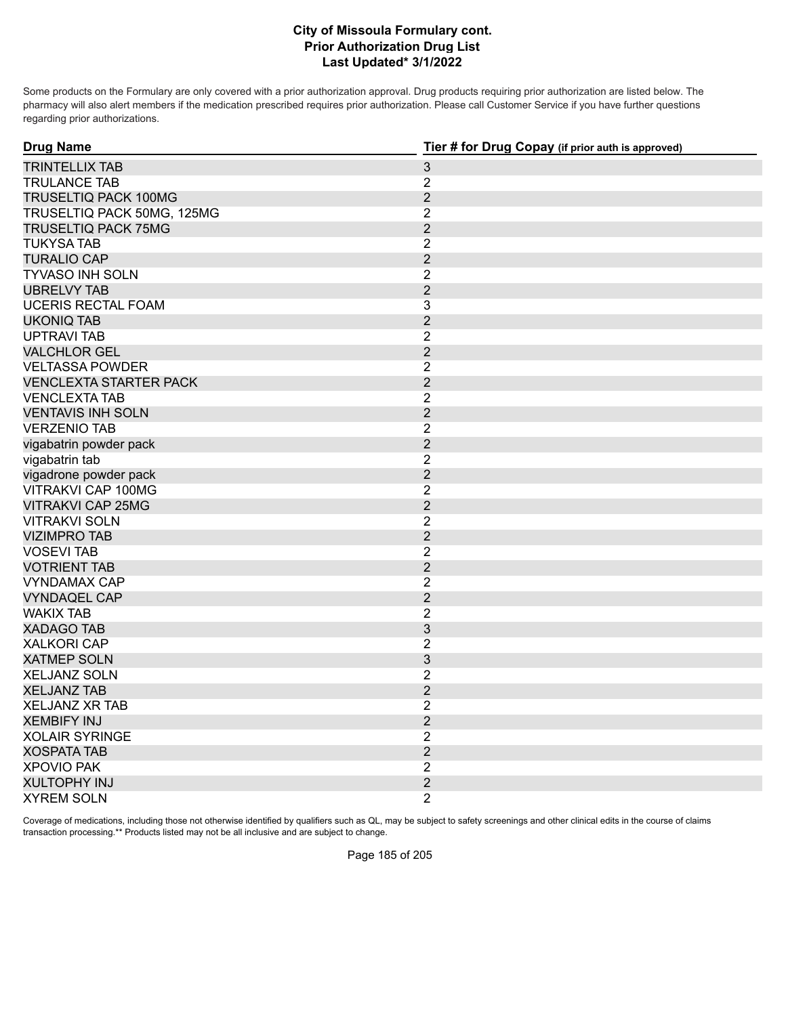Some products on the Formulary are only covered with a prior authorization approval. Drug products requiring prior authorization are listed below. The pharmacy will also alert members if the medication prescribed requires prior authorization. Please call Customer Service if you have further questions regarding prior authorizations.

| <b>Drug Name</b><br>Tier # for Drug Copay (if prior auth is approved) |                |
|-----------------------------------------------------------------------|----------------|
| <b>TRINTELLIX TAB</b>                                                 | $\mathfrak{S}$ |
| <b>TRULANCE TAB</b>                                                   | $\overline{2}$ |
| TRUSELTIQ PACK 100MG                                                  | $\overline{2}$ |
| TRUSELTIQ PACK 50MG, 125MG                                            | $\overline{2}$ |
| <b>TRUSELTIQ PACK 75MG</b>                                            | $\overline{2}$ |
| <b>TUKYSA TAB</b>                                                     | $\overline{c}$ |
| <b>TURALIO CAP</b>                                                    | $\overline{2}$ |
| <b>TYVASO INH SOLN</b>                                                | $\overline{2}$ |
| <b>UBRELVY TAB</b>                                                    | $\overline{2}$ |
| <b>UCERIS RECTAL FOAM</b>                                             | 3              |
| <b>UKONIQ TAB</b>                                                     | $\overline{2}$ |
| <b>UPTRAVI TAB</b>                                                    | $\overline{2}$ |
| <b>VALCHLOR GEL</b>                                                   | $\overline{2}$ |
| <b>VELTASSA POWDER</b>                                                | $\overline{2}$ |
| <b>VENCLEXTA STARTER PACK</b>                                         | $\overline{2}$ |
| <b>VENCLEXTA TAB</b>                                                  | $\overline{2}$ |
| <b>VENTAVIS INH SOLN</b>                                              | $\overline{2}$ |
| <b>VERZENIO TAB</b>                                                   | $\overline{2}$ |
| vigabatrin powder pack                                                | $\overline{2}$ |
| vigabatrin tab                                                        | $\overline{2}$ |
| vigadrone powder pack                                                 | $\overline{2}$ |
| VITRAKVI CAP 100MG                                                    | $\overline{2}$ |
| <b>VITRAKVI CAP 25MG</b>                                              | $\overline{2}$ |
| <b>VITRAKVI SOLN</b>                                                  | $\overline{2}$ |
| <b>VIZIMPRO TAB</b>                                                   | $\overline{2}$ |
| <b>VOSEVI TAB</b>                                                     | $\overline{2}$ |
| <b>VOTRIENT TAB</b>                                                   | $\overline{2}$ |
| <b>VYNDAMAX CAP</b>                                                   | $\overline{2}$ |
| <b>VYNDAQEL CAP</b>                                                   | $\overline{2}$ |
| <b>WAKIX TAB</b>                                                      | $\overline{c}$ |
| <b>XADAGO TAB</b>                                                     | $\mathfrak{S}$ |
| <b>XALKORI CAP</b>                                                    | $\overline{2}$ |
| <b>XATMEP SOLN</b>                                                    | 3              |
| <b>XELJANZ SOLN</b>                                                   | $\overline{2}$ |
| <b>XELJANZ TAB</b>                                                    | $\overline{2}$ |
| <b>XELJANZ XR TAB</b>                                                 | $\overline{2}$ |
| <b>XEMBIFY INJ</b>                                                    | $\overline{2}$ |
| <b>XOLAIR SYRINGE</b>                                                 | $\overline{2}$ |
| <b>XOSPATA TAB</b>                                                    | $\overline{2}$ |
| <b>XPOVIO PAK</b>                                                     | $\overline{2}$ |
| <b>XULTOPHY INJ</b>                                                   | $\overline{2}$ |
| <b>XYREM SOLN</b>                                                     | $\overline{2}$ |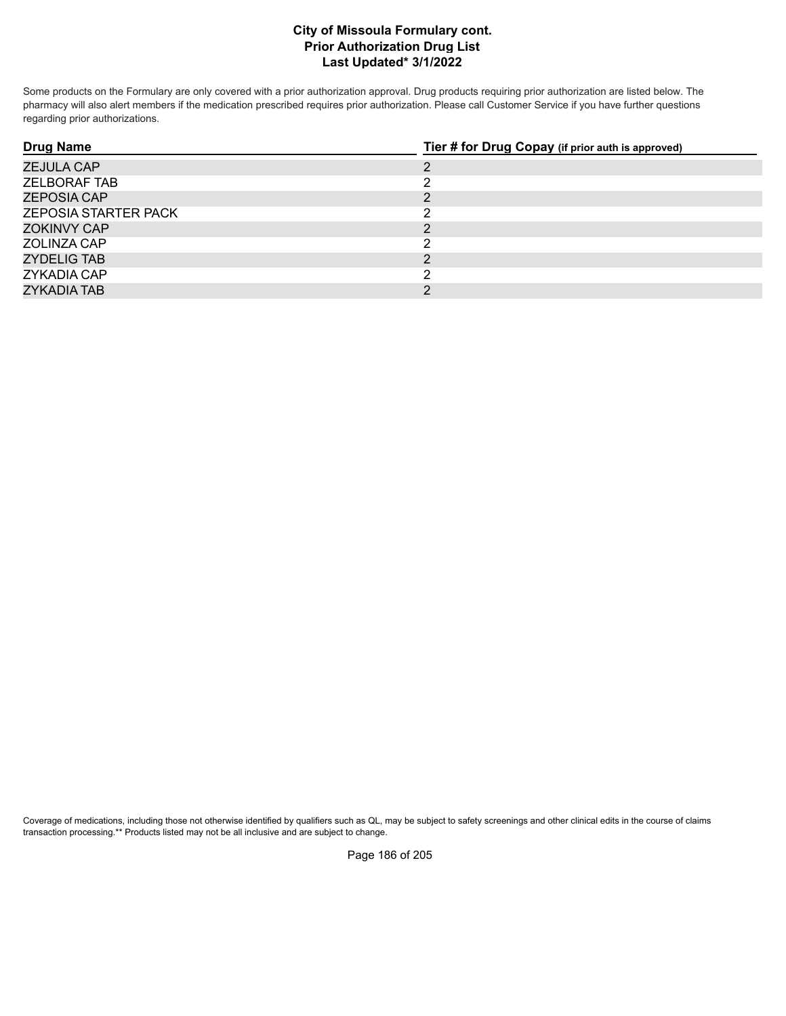Some products on the Formulary are only covered with a prior authorization approval. Drug products requiring prior authorization are listed below. The pharmacy will also alert members if the medication prescribed requires prior authorization. Please call Customer Service if you have further questions regarding prior authorizations.

| <b>Drug Name</b>            | Tier # for Drug Copay (if prior auth is approved) |
|-----------------------------|---------------------------------------------------|
| <b>ZEJULA CAP</b>           | ּ                                                 |
| <b>ZELBORAF TAB</b>         |                                                   |
| ZEPOSIA CAP                 | ◠                                                 |
| <b>ZEPOSIA STARTER PACK</b> | ◠                                                 |
| ZOKINVY CAP                 | າ                                                 |
| ZOLINZA CAP                 | ົ                                                 |
| ZYDELIG TAB                 | ∍                                                 |
| <b>ZYKADIA CAP</b>          |                                                   |
| ZYKADIA TAB                 | ◠                                                 |

Coverage of medications, including those not otherwise identified by qualifiers such as QL, may be subject to safety screenings and other clinical edits in the course of claims transaction processing.\*\* Products listed may not be all inclusive and are subject to change.

Page 186 of 205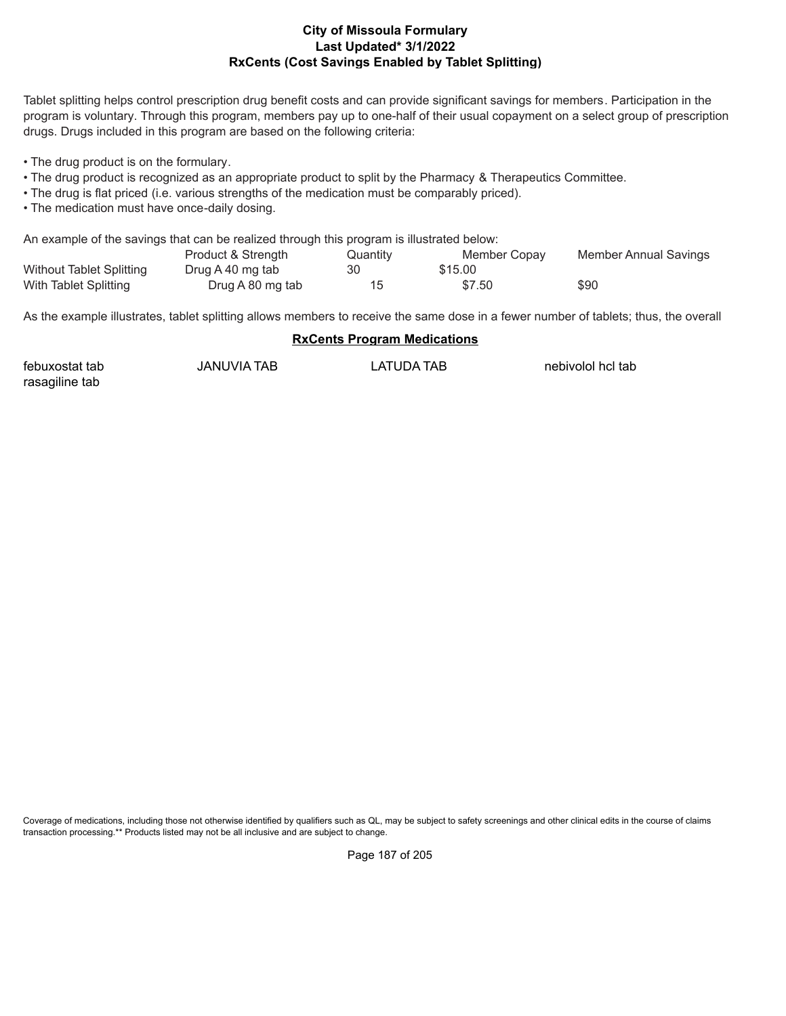#### **Last Updated\* 3/1/2022 RxCents (Cost Savings Enabled by Tablet Splitting) City of Missoula Formulary**

Tablet splitting helps control prescription drug benefit costs and can provide significant savings for members. Participation in the program is voluntary. Through this program, members pay up to one-half of their usual copayment on a select group of prescription drugs. Drugs included in this program are based on the following criteria:

• The drug product is on the formulary.

- The drug product is recognized as an appropriate product to split by the Pharmacy & Therapeutics Committee.
- The drug is flat priced (i.e. various strengths of the medication must be comparably priced).
- The medication must have once-daily dosing.

An example of the savings that can be realized through this program is illustrated below:

|                                 | Product & Strength | Quantity | Member Copay | Member Annual Savings |
|---------------------------------|--------------------|----------|--------------|-----------------------|
| <b>Without Tablet Splitting</b> | Drug A 40 mg tab   | 30       | \$15.00      |                       |
| With Tablet Splitting           | Drug A 80 mg tab   |          | \$7.50       | \$90                  |

As the example illustrates, tablet splitting allows members to receive the same dose in a fewer number of tablets; thus, the overall

#### **RxCents Program Medications**

| febuxostat tab | JANUVIA TAB | LATUDA TAB | nebivolol hcl tab |
|----------------|-------------|------------|-------------------|
| rasagiline tab |             |            |                   |

Coverage of medications, including those not otherwise identified by qualifiers such as QL, may be subject to safety screenings and other clinical edits in the course of claims transaction processing.\*\* Products listed may not be all inclusive and are subject to change.

Page 187 of 205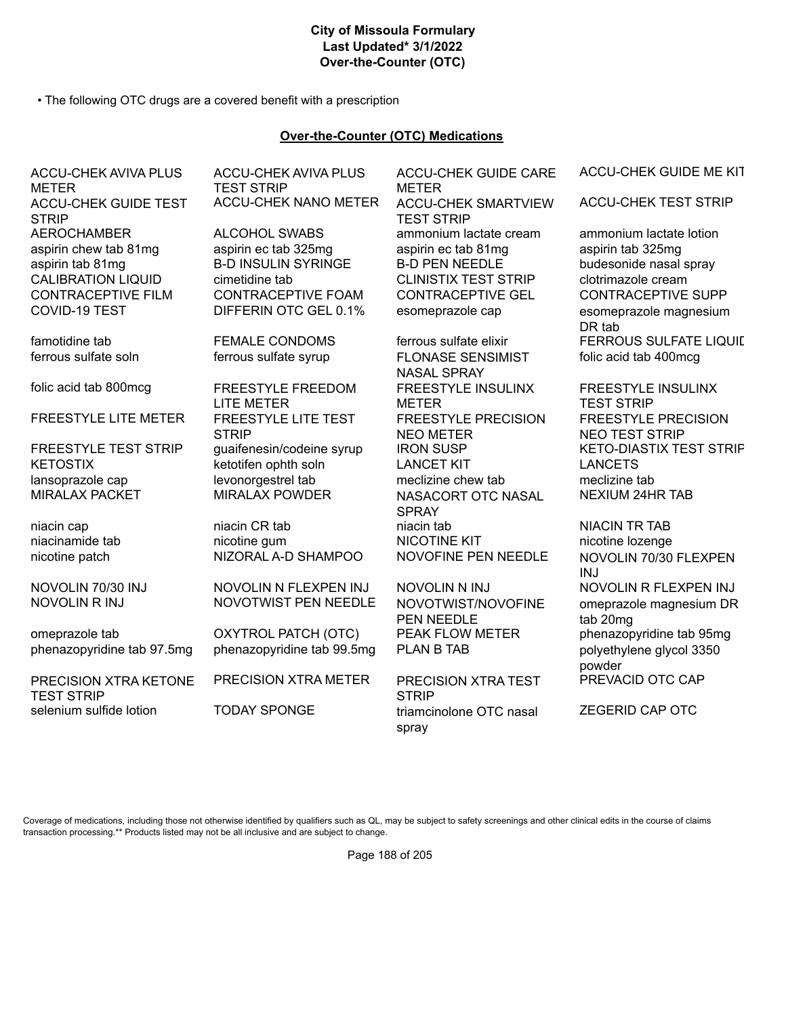#### **City of Missoula Formulary Last Updated\* 3/1/2022 Over-the-Counter (OTC)**

• The following OTC drugs are a covered benefit with a prescription

## **Over-the-Counter (OTC) Medications**

ACCU-CHEK AVIVA PLUS **METER** ACCU-CHEK GUIDE TEST **STRIP** AEROCHAMBER ALCOHOL SWABS ammonium lactate cream ammonium lactate lotion aspirin chew tab 81mg aspirin ec tab 325mg aspirin ec tab 81mg aspirin tab 325mg aspirin tab 81mg B-D INSULIN SYRINGE B-D PEN NEEDLE budesonide nasal spray CALIBRATION LIQUID cimetidine tab CLINISTIX TEST STRIP clotrimazole cream CONTRACEPTIVE FILM CONTRACEPTIVE FOAM CONTRACEPTIVE GEL CONTRACEPTIVE SUPP COVID-19 TEST **DIFFERIN OTC GEL 0.1%** esomeprazole cap esomeprazole magnesium

omeprazole tab **OXYTROL PATCH (OTC)** PEAK FLOW METER phenazopyridine tab 95mg phenazopyridine tab 97.5mg phenazopyridine tab 99.5mg PLAN B TAB polyethylene glycol 3350

PRECISION XTRA KETONE TEST STRIP selenium sulfide lotion TODAY SPONGE triamcinolone OTC nasal

ACCU-CHEK AVIVA PLUS TEST STRIP ACCU-CHEK NANO METER ACCU-CHEK SMARTVIEW

folic acid tab 800mcg FREESTYLE FREEDOM LITE METER FREESTYLE LITE METER FREESTYLE LITE TEST **STRIP** KETOSTIX betotifen ophth soln LANCET KIT LANCETS lansoprazole cap and intervenorgestrel tab meclizine chew tab meclizine tab meclizine tab MIRALAX PACKET MIRALAX POWDER NASACORT OTC NASAL

NOVOLIN 70/30 INJ NOVOLIN N FLEXPEN INJ NOVOLIN N INJ NOVOLIN R FLEXPEN INJ NOVOLIN R INJ NOVOTWIST PEN NEEDLE NOVOTWIST/NOVOFINE

ACCU-CHEK GUIDE CARE METER TEST STRIP

ferrous sulfate soln ferrous sulfate syrup FLONASE SENSIMIST NASAL SPRAY FREESTYLE INSULINX METER FREESTYLE PRECISION NEO METER **SPRAY** niacin cap **niacin CR tab** niacin CR tab niacin tab niacin tab NIACIN TR TAB niacinamide tab **nicotine gum** NICOTINE KIT **nicotine lozenge** 

PEN NEEDLE

PRECISION XTRA METER PRECISION XTRA TEST **STRIP** spray

ACCU-CHEK GUIDE ME KIT

ACCU-CHEK TEST STRIP

DR tab famotidine tab **FEMALE CONDOMS** ferrous sulfate elixir FERROUS SULFATE LIQUIL folic acid tab 400mcg

FREESTYLE INSULINX TEST STRIP FREESTYLE PRECISION NEO TEST STRIP FREESTYLE TEST STRIP quaifenesin/codeine syrup IRON SUSP THE THE KETO-DIASTIX TEST STRIF NEXIUM 24HR TAB

nicotine patch NIZORAL A-D SHAMPOO NOVOFINE PEN NEEDLE NOVOLIN 70/30 FLEXPEN INJ<br>NOVOLIN R FLEXPEN INJ omeprazole magnesium DR tab 20mg powder PREVACID OTC CAP

ZEGERID CAP OTC

Coverage of medications, including those not otherwise identified by qualifiers such as QL, may be subject to safety screenings and other clinical edits in the course of claims transaction processing.\*\* Products listed may not be all inclusive and are subject to change.

Page 188 of 205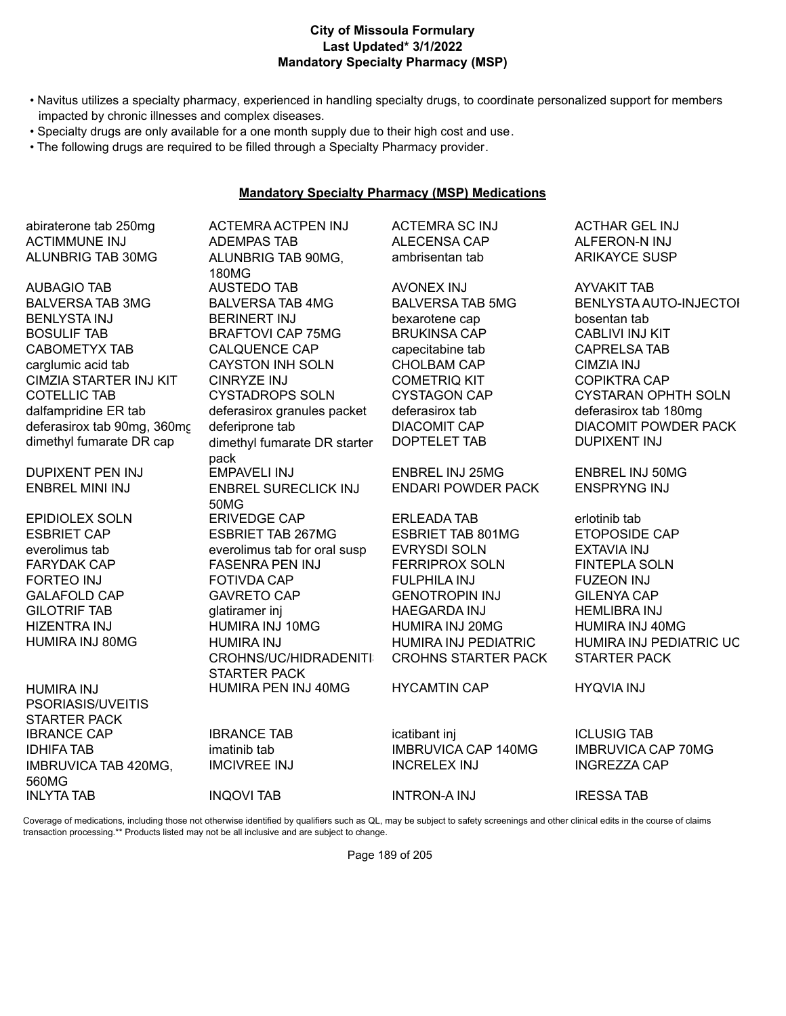## **Last Updated\* 3/1/2022 Mandatory Specialty Pharmacy (MSP) City of Missoula Formulary**

- Navitus utilizes a specialty pharmacy, experienced in handling specialty drugs, to coordinate personalized support for members impacted by chronic illnesses and complex diseases.
- Specialty drugs are only available for a one month supply due to their high cost and use.
- The following drugs are required to be filled through a Specialty Pharmacy provider.

#### **Mandatory Specialty Pharmacy (MSP) Medications**

abiraterone tab 250mg ACTEMRA ACTPEN INJ ACTEMRA SC INJ ACTHAR GEL INJ ALUNBRIG TAB 30MG ALUNBRIG TAB 90MG,

HUMIRA INJ 80MG HUMIRA INJ

HUMIRA INJ PSORIASIS/UVEITIS STARTER PACK IBRANCE CAP **IBRANCE TAB** icatibant inj ICLUSIG TAB IMBRUVICA TAB 420MG, 560MG INLYTA TAB INQOVI TAB INTRON-A INJ IRESSA TAB

ACTIMMUNE INJ ADEMPAS TAB ALECENSA CAP ALFERON-N INJ 180MG AUBAGIO TAB AUSTEDO TAB AVONEX INJ AYVAKIT TAB BALVERSA TAB 3MG BALVERSA TAB 4MG BALVERSA TAB 5MG BENLYSTA AUTO-INJECTOI BENLYSTA INJ BERINERT INJ bexarotene cap bosentan tab BOSULIF TAB BRAFTOVI CAP 75MG BRUKINSA CAP CABLIVI INJ KIT CABOMETYX TAB CALQUENCE CAP capecitabine tab CAPRELSA TAB carglumic acid tab CAYSTON INH SOLN CHOLBAM CAP CIMZIA INJ CIMZIA STARTER INJ KIT CINRYZE INJ COMETRIQ KIT COPIKTRA CAP COTELLIC TAB CYSTADROPS SOLN CYSTAGON CAP CYSTARAN OPHTH SOLN dalfampridine ER tab deferasirox granules packet deferasirox tab deferasirox tab 180mg deferasirox tab 90mg, 360mc deferiprone tab DIACOMIT CAP DIACOMIT POWDER PACK dimethyl fumarate DR cap dimethyl fumarate DR starter pack DUPIXENT PEN INJ EMPAVELI INJ ENBREL INJ 25MG ENBREL INJ 50MG ENBREL MINI INJ ENBREL SURECLICK INJ 50MG EPIDIOLEX SOLN ERIVEDGE CAP ERLEADA TAB erlotinib tab ESBRIET CAP ESBRIET TAB 267MG ESBRIET TAB 801MG ETOPOSIDE CAP everolimus tab everolimus tab for oral susp EVRYSDI SOLN EXTAVIA INJ FARYDAK CAP FASENRA PEN INJ FERRIPROX SOLN FINTEPLA SOLN FORTEO INJ FOTIVDA CAP FULPHILA INJ FUZEON INJ GALAFOLD CAP GAVRETO CAP GENOTROPIN INJ GILENYA CAP GILOTRIF TAB Glatiramer inj the HAEGARDA INJ HEMLIBRA INJ HIZENTRA INJ HUMIRA INJ 10MG HUMIRA INJ 20MG HUMIRA INJ 40MG CROHNS/UC/HIDRADENITI STARTER PACK HUMIRA PEN INJ 40MG HYCAMTIN CAP HYQVIA INJ

DOPTELET TAB DUPIXENT INJ

ENDARI POWDER PACK ENSPRYNG INJ

HUMIRA INJ PEDIATRIC CROHNS STARTER PACK

IDHIFA TAB imatinib tab IMBRUVICA CAP 140MG IMBRUVICA CAP 70MG IMCIVREE INJ INCRELEX INJ INGREZZA CAP

ambrisentan tab ARIKAYCE SUSP

HUMIRA INJ PEDIATRIC UC STARTER PACK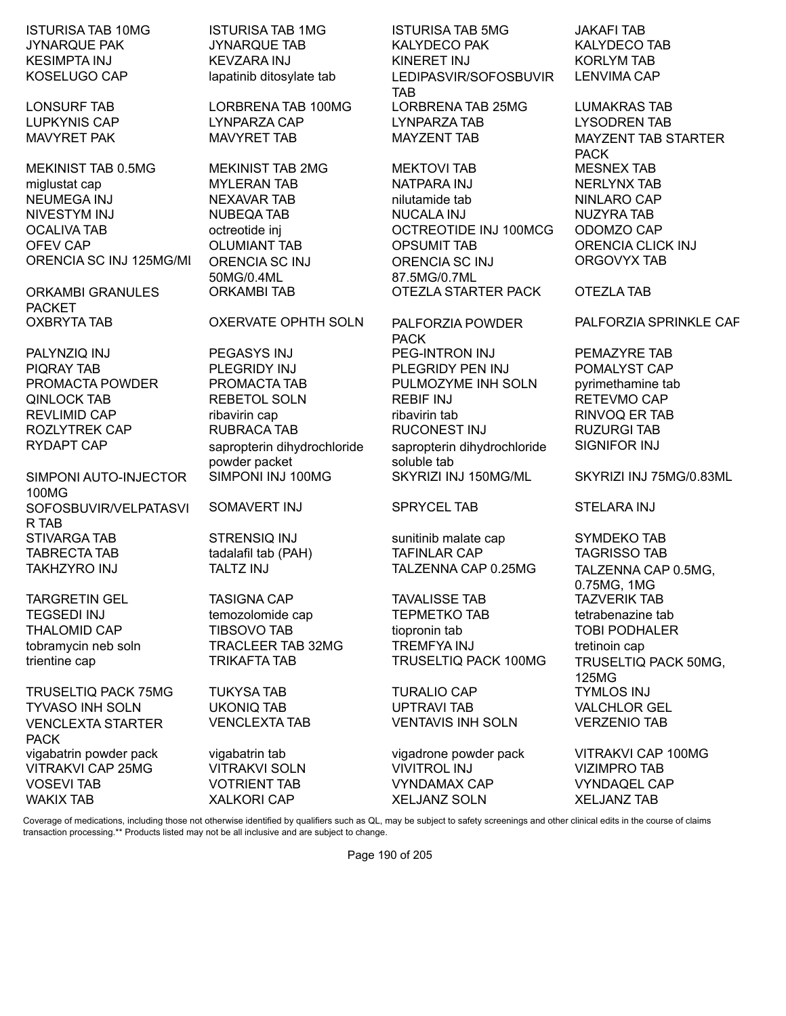MEKINIST TAB 0.5MG MEKINIST TAB 2MG MEKTOVI TAB MESNEX TAB miglustat cap MYLERAN TAB NATPARA INJ NERLYNX TAB NEUMEGA INJ NEXAVAR TAB nilutamide tab NINLARO CAP NIVESTYM INJ NUBEQA TAB NUCALA INJ NUZYRA TAB OCALIVA TAB octreotide inj OCTREOTIDE INJ 100MCG ODOMZO CAP OFEV CAP OLUMIANT TAB OPSUMIT TAB ORENCIA CLICK INJ ORENCIA SC INJ 125MG/ML ORENCIA SC INJ

ORKAMBI GRANULES PACKET

SIMPONI AUTO-INJECTOR 100MG SOFOSBUVIR/VELPATASVI R TAB STIVARGA TAB STRENSIQ INJ SUNITINID malate cap SYMDEKO TAB TABRECTA TAB tadalafil tab (PAH) TAFINLAR CAP TAGRISSO TAB

TRUSELTIQ PACK 75MG TUKYSA TAB TURALIO CAP TYMLOS INJ TYVASO INH SOLN UKONIQ TAB UPTRAVI TAB VALCHLOR GEL VENCLEXTA STARTER PACK vigabatrin powder pack vigabatrin tab vigadrone powder pack VITRAKVI CAP 100MG VITRAKVI CAP 25MG VITRAKVI SOLN VIVITROL INJ VIZIMPRO TAB VOSEVI TAB VOTRIENT TAB VYNDAMAX CAP VYNDAQEL CAP WAKIX TAB XALKORI CAP XELJANZ SOLN XELJANZ TAB

50MG/0.4ML

#### OXBRYTA TAB OXERVATE OPHTH SOLN PALFORZIA POWDER

PIQRAY TAB PLEGRIDY INJ PLEGRIDY PEN INJ POMALYST CAP PROMACTA POWDER PROMACTA TAB PULMOZYME INH SOLN pyrimethamine tab QINLOCK TAB REBETOL SOLN REBIF INJ RETEVMO CAP REVLIMID CAP **REVLIMID** CAP ribavirin cap ribavirin tab RINVOQ ER TAB ROZLYTREK CAP RUBRACA TAB RUCONEST INJ RUZURGI TAB RYDAPT CAP sapropterin dihydrochloride powder packet<br>SIMPONI INJ 100MG

SOMAVERT INJ SPRYCEL TAB STELARA INJ

ISTURISA TAB 10MG ISTURISA TAB 1MG ISTURISA TAB 5MG JAKAFI TAB JYNARQUE PAK JYNARQUE TAB KALYDECO PAK KALYDECO TAB KESIMPTA INJ KEVZARA INJ KINERET INJ KORLYM TAB KOSELUGO CAP lapatinib ditosylate tab LEDIPASVIR/SOFOSBUVIR TAB<br>LORBRENA TAB 25MG LONSURF TAB LORBRENA TAB 100MG LORBRENA TAB 25MG LUMAKRAS TAB LUPKYNIS CAP LYNPARZA CAP LYNPARZA TAB LYSODREN TAB

> ORENCIA SC INJ 87.5MG/0.7ML ORKAMBI TAB OTEZLA STARTER PACK OTEZLA TAB

PACK PALYNZIQ INJ PEGASYS INJ PEG-INTRON INJ PEMAZYRE TAB sapropterin dihydrochloride soluble tab

TARGRETIN GEL TASIGNA CAP TAVALISSE TAB TAZVERIK TAB TEGSEDI INJ temozolomide cap TEPMETKO TAB tetrabenazine tab THALOMID CAP TIBSOVO TAB tiopronin tab TOBI PODHALER tobramycin neb soln TRACLEER TAB 32MG TREMFYA INJ tretinoin cap trientine cap TRIKAFTA TAB TRUSELTIQ PACK 100MG TRUSELTIQ PACK 50MG,

VENCLEXTA TAB VENTAVIS INH SOLN VERZENIO TAB

LENVIMA CAP

MAVYRET PAK MAVYRET TAB MAYZENT TAB MAYZENT TAB MAYZENT TAB STARTER PACK ORGOVYX TAB

PALFORZIA SPRINKLE CAP

SIGNIFOR INJ

SKYRIZI INJ 150MG/ML SKYRIZI INJ 75MG/0.83ML

TAKHZYRO INJ TALTZ INJ TALZENNA CAP 0.25MG TALZENNA CAP 0.5MG, 0.75MG, 1MG 125MG

Coverage of medications, including those not otherwise identified by qualifiers such as QL, may be subject to safety screenings and other clinical edits in the course of claims transaction processing.\*\* Products listed may not be all inclusive and are subject to change.

Page 190 of 205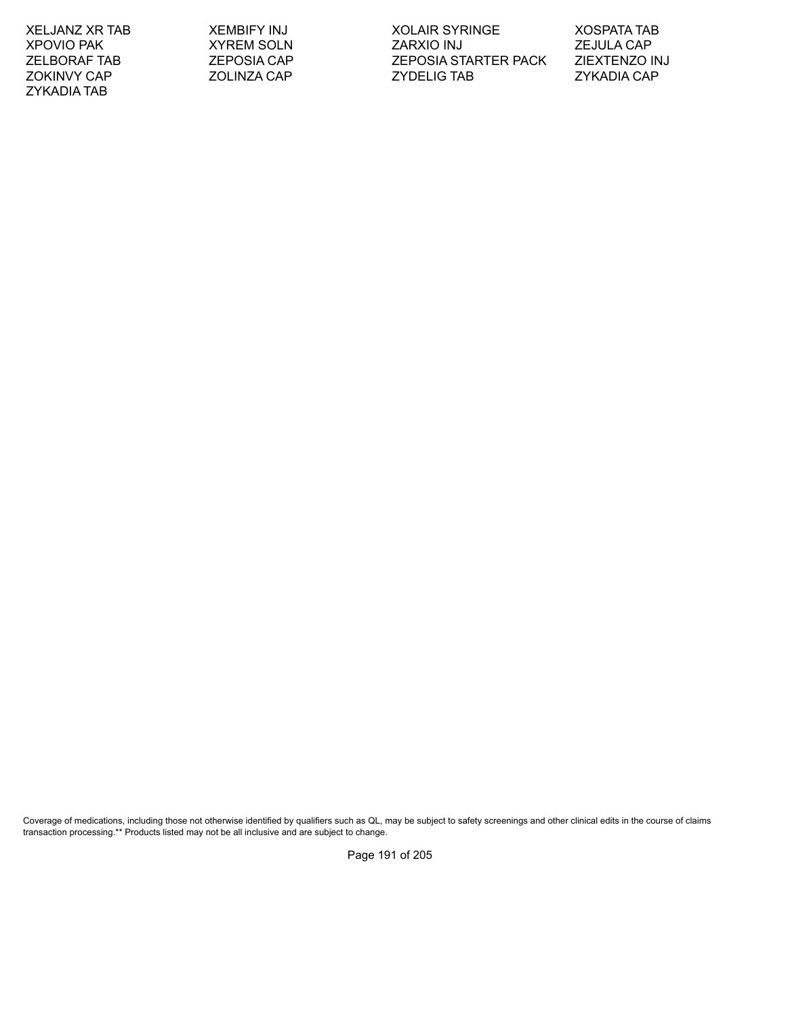ZYKADIA TAB

XELJANZ XR TAB XEMBIFY INJ XOLAIR SYRINGE XOSPATA TAB XPOVIO PAK XYREM SOLN ZARXIO INJ ZEJULA CAP ZELBORAF TAB ZEPOSIA CAP ZEPOSIA STARTER PACK ZIEXTENZO INJ ZOKINVY CAP ZOLINZA CAP ZYDELIG TAB ZYKADIA CAP

Coverage of medications, including those not otherwise identified by qualifiers such as QL, may be subject to safety screenings and other clinical edits in the course of claims transaction processing.\*\* Products listed may not be all inclusive and are subject to change.

Page 191 of 205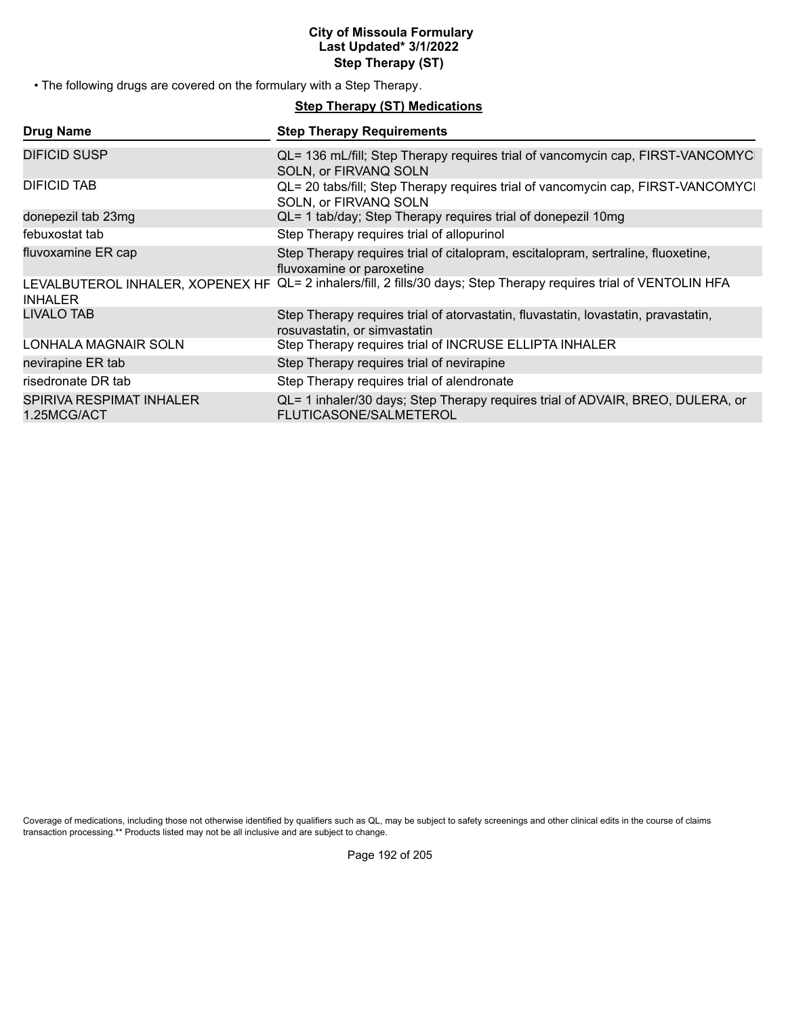## **City of Missoula Formulary Last Updated\* 3/1/2022 Step Therapy (ST)**

• The following drugs are covered on the formulary with a Step Therapy.

## **Step Therapy (ST) Medications**

| <b>Drug Name</b>                                   | <b>Step Therapy Requirements</b>                                                                                   |
|----------------------------------------------------|--------------------------------------------------------------------------------------------------------------------|
| DIFICID SUSP                                       | QL= 136 mL/fill; Step Therapy requires trial of vancomycin cap, FIRST-VANCOMYC<br>SOLN, or FIRVANQ SOLN            |
| DIFICID TAB                                        | QL= 20 tabs/fill; Step Therapy requires trial of vancomycin cap, FIRST-VANCOMYCI<br>SOLN, or FIRVANQ SOLN          |
| donepezil tab 23mg                                 | QL= 1 tab/day; Step Therapy requires trial of donepezil 10mg                                                       |
| febuxostat tab                                     | Step Therapy requires trial of allopurinol                                                                         |
| fluvoxamine ER cap                                 | Step Therapy requires trial of citalopram, escitalopram, sertraline, fluoxetine,<br>fluvoxamine or paroxetine      |
| LEVALBUTEROL INHALER, XOPENEX HF<br><b>INHALER</b> | QL= 2 inhalers/fill, 2 fills/30 days; Step Therapy requires trial of VENTOLIN HFA                                  |
| LIVALO TAB                                         | Step Therapy requires trial of atorvastatin, fluvastatin, lovastatin, pravastatin,<br>rosuvastatin, or simvastatin |
| LONHALA MAGNAIR SOLN                               | Step Therapy requires trial of INCRUSE ELLIPTA INHALER                                                             |
| nevirapine ER tab                                  | Step Therapy requires trial of nevirapine                                                                          |
| risedronate DR tab                                 | Step Therapy requires trial of alendronate                                                                         |
| SPIRIVA RESPIMAT INHALER<br>1.25MCG/ACT            | QL= 1 inhaler/30 days; Step Therapy requires trial of ADVAIR, BREO, DULERA, or<br><b>FLUTICASONE/SALMETEROL</b>    |

Coverage of medications, including those not otherwise identified by qualifiers such as QL, may be subject to safety screenings and other clinical edits in the course of claims transaction processing.\*\* Products listed may not be all inclusive and are subject to change.

Page 192 of 205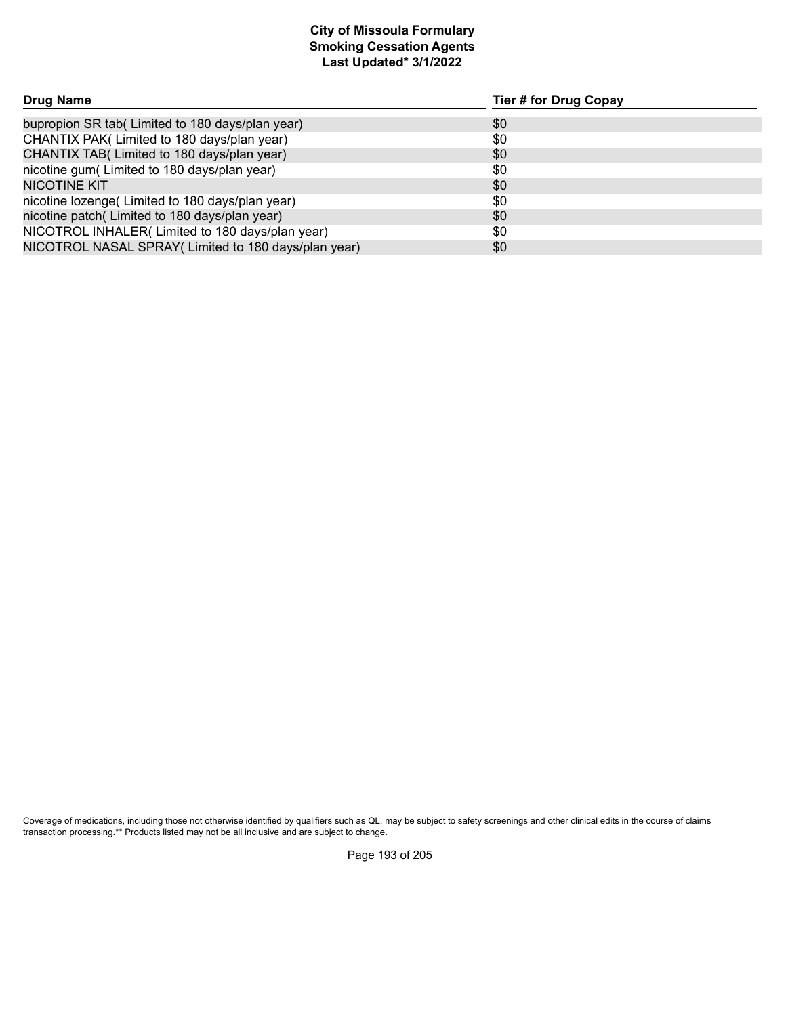# **Smoking Cessation Agents Last Updated\* 3/1/2022 City of Missoula Formulary**

| Drug Name                                            | Tier # for Drug Copay |
|------------------------------------------------------|-----------------------|
| bupropion SR tab(Limited to 180 days/plan year)      | \$0                   |
| CHANTIX PAK(Limited to 180 days/plan year)           | \$0                   |
| CHANTIX TAB( Limited to 180 days/plan year)          | \$0                   |
| nicotine gum(Limited to 180 days/plan year)          | \$0                   |
| <b>NICOTINE KIT</b>                                  | \$0                   |
| nicotine lozenge(Limited to 180 days/plan year)      | \$0                   |
| nicotine patch(Limited to 180 days/plan year)        | \$0                   |
| NICOTROL INHALER(Limited to 180 days/plan year)      | \$0                   |
| NICOTROL NASAL SPRAY (Limited to 180 days/plan year) | \$0                   |

Coverage of medications, including those not otherwise identified by qualifiers such as QL, may be subject to safety screenings and other clinical edits in the course of claims transaction processing.\*\* Products listed may not be all inclusive and are subject to change.

Page 193 of 205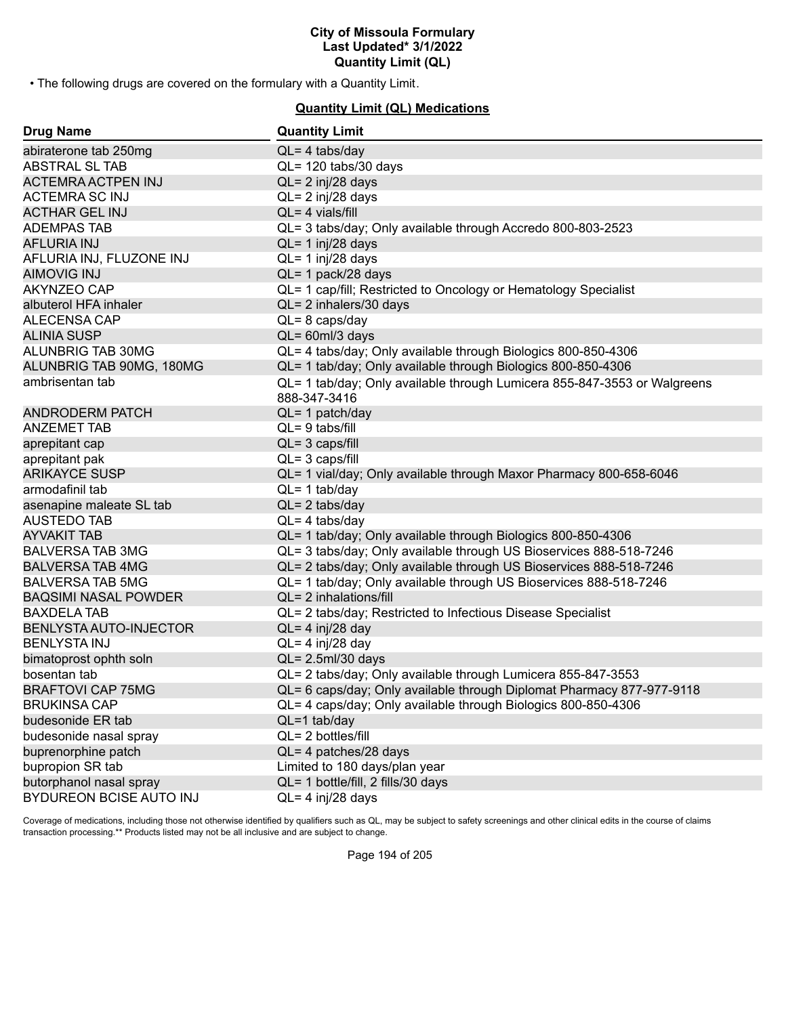• The following drugs are covered on the formulary with a Quantity Limit.

## **Quantity Limit (QL) Medications**

| <b>Drug Name</b>              | <b>Quantity Limit</b>                                                                    |
|-------------------------------|------------------------------------------------------------------------------------------|
| abiraterone tab 250mg         | $QL = 4$ tabs/day                                                                        |
| <b>ABSTRAL SL TAB</b>         | QL= 120 tabs/30 days                                                                     |
| <b>ACTEMRA ACTPEN INJ</b>     | $QL = 2$ inj/28 days                                                                     |
| <b>ACTEMRA SC INJ</b>         | QL= 2 inj/28 days                                                                        |
| <b>ACTHAR GEL INJ</b>         | QL= 4 vials/fill                                                                         |
| <b>ADEMPAS TAB</b>            | QL= 3 tabs/day; Only available through Accredo 800-803-2523                              |
| <b>AFLURIA INJ</b>            | $QL = 1$ inj/28 days                                                                     |
| AFLURIA INJ, FLUZONE INJ      | $QL = 1$ inj/28 days                                                                     |
| <b>AIMOVIG INJ</b>            | QL= 1 pack/28 days                                                                       |
| AKYNZEO CAP                   | QL= 1 cap/fill; Restricted to Oncology or Hematology Specialist                          |
| albuterol HFA inhaler         | QL= 2 inhalers/30 days                                                                   |
| ALECENSA CAP                  | $QL = 8 \text{ caps/day}$                                                                |
| <b>ALINIA SUSP</b>            | $QL = 60ml/3$ days                                                                       |
| ALUNBRIG TAB 30MG             | QL= 4 tabs/day; Only available through Biologics 800-850-4306                            |
| ALUNBRIG TAB 90MG, 180MG      | QL= 1 tab/day; Only available through Biologics 800-850-4306                             |
| ambrisentan tab               | QL= 1 tab/day; Only available through Lumicera 855-847-3553 or Walgreens<br>888-347-3416 |
| <b>ANDRODERM PATCH</b>        | QL= 1 patch/day                                                                          |
| <b>ANZEMET TAB</b>            | $QL = 9$ tabs/fill                                                                       |
| aprepitant cap                | $QL = 3 \text{ caps/fill}$                                                               |
| aprepitant pak                | $QL = 3 \text{ caps/fill}$                                                               |
| <b>ARIKAYCE SUSP</b>          | QL= 1 vial/day; Only available through Maxor Pharmacy 800-658-6046                       |
| armodafinil tab               | $QL = 1$ tab/day                                                                         |
| asenapine maleate SL tab      | $QL = 2$ tabs/day                                                                        |
| <b>AUSTEDO TAB</b>            | $QL = 4$ tabs/day                                                                        |
| <b>AYVAKIT TAB</b>            | QL= 1 tab/day; Only available through Biologics 800-850-4306                             |
| <b>BALVERSA TAB 3MG</b>       | QL= 3 tabs/day; Only available through US Bioservices 888-518-7246                       |
| <b>BALVERSA TAB 4MG</b>       | QL= 2 tabs/day; Only available through US Bioservices 888-518-7246                       |
| <b>BALVERSA TAB 5MG</b>       | QL= 1 tab/day; Only available through US Bioservices 888-518-7246                        |
| <b>BAQSIMI NASAL POWDER</b>   | QL= 2 inhalations/fill                                                                   |
| <b>BAXDELA TAB</b>            | QL= 2 tabs/day; Restricted to Infectious Disease Specialist                              |
| <b>BENLYSTA AUTO-INJECTOR</b> | $QL = 4$ inj/28 day                                                                      |
| <b>BENLYSTA INJ</b>           | $QL = 4$ inj/28 day                                                                      |
| bimatoprost ophth soln        | $QL = 2.5$ ml/30 days                                                                    |
| bosentan tab                  | QL= 2 tabs/day; Only available through Lumicera 855-847-3553                             |
| <b>BRAFTOVI CAP 75MG</b>      | QL= 6 caps/day; Only available through Diplomat Pharmacy 877-977-9118                    |
| <b>BRUKINSA CAP</b>           | QL= 4 caps/day; Only available through Biologics 800-850-4306                            |
| budesonide ER tab             | QL=1 tab/day                                                                             |
| budesonide nasal spray        | QL= 2 bottles/fill                                                                       |
| buprenorphine patch           | QL= 4 patches/28 days                                                                    |
| bupropion SR tab              | Limited to 180 days/plan year                                                            |
| butorphanol nasal spray       | QL= 1 bottle/fill, 2 fills/30 days                                                       |
| BYDUREON BCISE AUTO INJ       | QL= 4 inj/28 days                                                                        |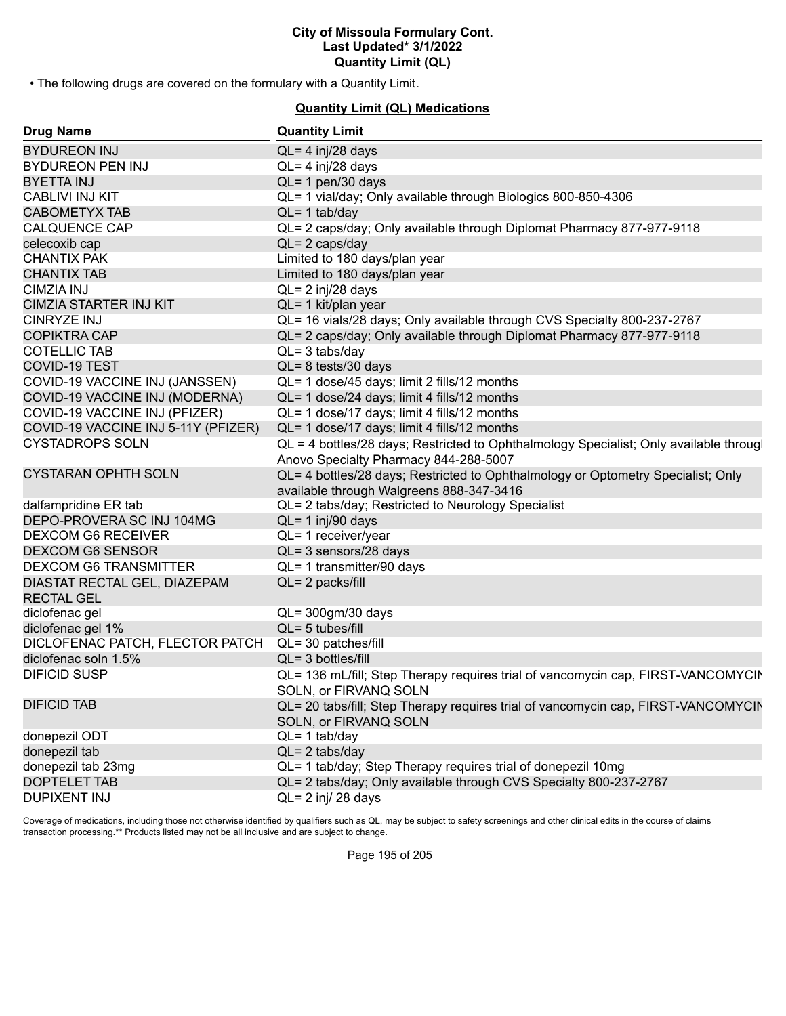• The following drugs are covered on the formulary with a Quantity Limit.

## **Quantity Limit (QL) Medications**

| <b>Drug Name</b>                    | <b>Quantity Limit</b>                                                                  |
|-------------------------------------|----------------------------------------------------------------------------------------|
| <b>BYDUREON INJ</b>                 | $QL = 4$ inj/28 days                                                                   |
| <b>BYDUREON PEN INJ</b>             | $QL = 4$ inj/28 days                                                                   |
| <b>BYETTA INJ</b>                   | QL= 1 pen/30 days                                                                      |
| <b>CABLIVI INJ KIT</b>              | QL= 1 vial/day; Only available through Biologics 800-850-4306                          |
| <b>CABOMETYX TAB</b>                | $QL = 1$ tab/day                                                                       |
| <b>CALQUENCE CAP</b>                | QL= 2 caps/day; Only available through Diplomat Pharmacy 877-977-9118                  |
| celecoxib cap                       | $QL = 2 \text{ caps/day}$                                                              |
| <b>CHANTIX PAK</b>                  | Limited to 180 days/plan year                                                          |
| <b>CHANTIX TAB</b>                  | Limited to 180 days/plan year                                                          |
| <b>CIMZIA INJ</b>                   | QL= 2 inj/28 days                                                                      |
| <b>CIMZIA STARTER INJ KIT</b>       | QL= 1 kit/plan year                                                                    |
| <b>CINRYZE INJ</b>                  | QL= 16 vials/28 days; Only available through CVS Specialty 800-237-2767                |
| <b>COPIKTRA CAP</b>                 | QL= 2 caps/day; Only available through Diplomat Pharmacy 877-977-9118                  |
| <b>COTELLIC TAB</b>                 | $QL = 3$ tabs/day                                                                      |
| <b>COVID-19 TEST</b>                | $QL = 8$ tests/30 days                                                                 |
| COVID-19 VACCINE INJ (JANSSEN)      | QL= 1 dose/45 days; limit 2 fills/12 months                                            |
| COVID-19 VACCINE INJ (MODERNA)      | QL= 1 dose/24 days; limit 4 fills/12 months                                            |
| COVID-19 VACCINE INJ (PFIZER)       | QL= 1 dose/17 days; limit 4 fills/12 months                                            |
| COVID-19 VACCINE INJ 5-11Y (PFIZER) | QL= 1 dose/17 days; limit 4 fills/12 months                                            |
| <b>CYSTADROPS SOLN</b>              | QL = 4 bottles/28 days; Restricted to Ophthalmology Specialist; Only available througl |
|                                     | Anovo Specialty Pharmacy 844-288-5007                                                  |
| <b>CYSTARAN OPHTH SOLN</b>          | QL= 4 bottles/28 days; Restricted to Ophthalmology or Optometry Specialist; Only       |
|                                     | available through Walgreens 888-347-3416                                               |
| dalfampridine ER tab                | QL= 2 tabs/day; Restricted to Neurology Specialist                                     |
| DEPO-PROVERA SC INJ 104MG           | QL= 1 inj/90 days                                                                      |
| <b>DEXCOM G6 RECEIVER</b>           | QL= 1 receiver/year                                                                    |
| <b>DEXCOM G6 SENSOR</b>             | QL= 3 sensors/28 days                                                                  |
| <b>DEXCOM G6 TRANSMITTER</b>        | QL= 1 transmitter/90 days                                                              |
| DIASTAT RECTAL GEL, DIAZEPAM        | QL= 2 packs/fill                                                                       |
| <b>RECTAL GEL</b>                   |                                                                                        |
| diclofenac gel                      | $QL = 300$ gm/30 days                                                                  |
| diclofenac gel 1%                   | QL= 5 tubes/fill                                                                       |
| DICLOFENAC PATCH, FLECTOR PATCH     | QL= 30 patches/fill                                                                    |
| diclofenac soln 1.5%                | QL= 3 bottles/fill                                                                     |
| <b>DIFICID SUSP</b>                 | QL= 136 mL/fill; Step Therapy requires trial of vancomycin cap, FIRST-VANCOMYCIN       |
|                                     | SOLN. or FIRVANO SOLN                                                                  |
| <b>DIFICID TAB</b>                  | QL= 20 tabs/fill; Step Therapy requires trial of vancomycin cap, FIRST-VANCOMYCIN      |
|                                     | SOLN, or FIRVANQ SOLN                                                                  |
| donepezil ODT                       | $QL = 1$ tab/day                                                                       |
| donepezil tab                       | $QL = 2$ tabs/day                                                                      |
| donepezil tab 23mg                  | QL= 1 tab/day; Step Therapy requires trial of donepezil 10mg                           |
| <b>DOPTELET TAB</b>                 | QL= 2 tabs/day; Only available through CVS Specialty 800-237-2767                      |
| <b>DUPIXENT INJ</b>                 | $QL = 2$ inj/ 28 days                                                                  |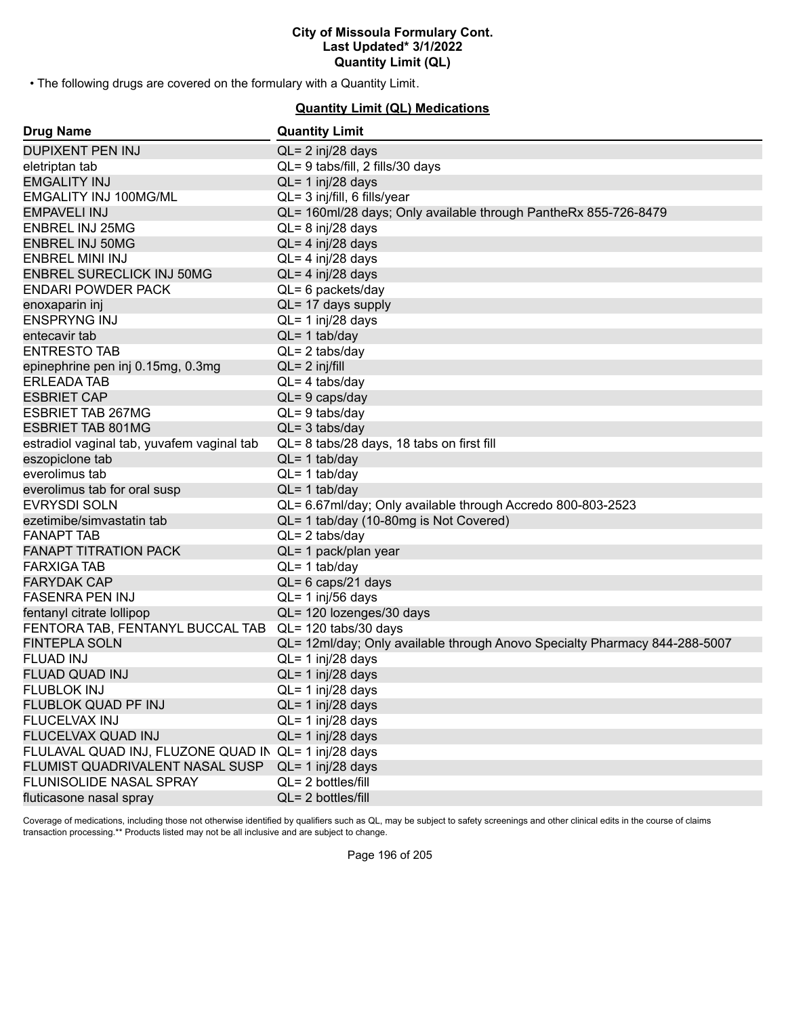• The following drugs are covered on the formulary with a Quantity Limit.

## **Quantity Limit (QL) Medications**

| <b>Drug Name</b>                                     | <b>Quantity Limit</b>                                                      |
|------------------------------------------------------|----------------------------------------------------------------------------|
| <b>DUPIXENT PEN INJ</b>                              | $QL = 2$ inj/28 days                                                       |
| eletriptan tab                                       | QL= 9 tabs/fill, 2 fills/30 days                                           |
| <b>EMGALITY INJ</b>                                  | $QL = 1$ inj/28 days                                                       |
| EMGALITY INJ 100MG/ML                                | QL= 3 inj/fill, 6 fills/year                                               |
| <b>EMPAVELI INJ</b>                                  | QL= 160ml/28 days; Only available through PantheRx 855-726-8479            |
| <b>ENBREL INJ 25MG</b>                               | $QL = 8$ inj/28 days                                                       |
| <b>ENBREL INJ 50MG</b>                               | $QL = 4$ inj/28 days                                                       |
| <b>ENBREL MINI INJ</b>                               | QL= 4 inj/28 days                                                          |
| <b>ENBREL SURECLICK INJ 50MG</b>                     | $QL = 4$ inj/28 days                                                       |
| <b>ENDARI POWDER PACK</b>                            | QL= 6 packets/day                                                          |
| enoxaparin inj                                       | QL= 17 days supply                                                         |
| <b>ENSPRYNG INJ</b>                                  | QL= 1 inj/28 days                                                          |
| entecavir tab                                        | $QL = 1$ tab/day                                                           |
| <b>ENTRESTO TAB</b>                                  | $QL = 2$ tabs/day                                                          |
| epinephrine pen inj 0.15mg, 0.3mg                    | $QL = 2$ inj/fill                                                          |
| <b>ERLEADA TAB</b>                                   | $QL = 4$ tabs/day                                                          |
| <b>ESBRIET CAP</b>                                   | $QL = 9$ caps/day                                                          |
| <b>ESBRIET TAB 267MG</b>                             | $QL = 9$ tabs/day                                                          |
| <b>ESBRIET TAB 801MG</b>                             | $QL = 3$ tabs/day                                                          |
| estradiol vaginal tab, yuvafem vaginal tab           | QL= 8 tabs/28 days, 18 tabs on first fill                                  |
| eszopiclone tab                                      | $QL = 1$ tab/day                                                           |
| everolimus tab                                       | $QL = 1$ tab/day                                                           |
| everolimus tab for oral susp                         | $QL = 1$ tab/day                                                           |
| <b>EVRYSDI SOLN</b>                                  | QL= 6.67ml/day; Only available through Accredo 800-803-2523                |
| ezetimibe/simvastatin tab                            | QL= 1 tab/day (10-80mg is Not Covered)                                     |
| <b>FANAPT TAB</b>                                    | $QL = 2$ tabs/day                                                          |
| <b>FANAPT TITRATION PACK</b>                         | QL= 1 pack/plan year                                                       |
| <b>FARXIGA TAB</b>                                   | $QL = 1$ tab/day                                                           |
| <b>FARYDAK CAP</b>                                   | QL= 6 caps/21 days                                                         |
| <b>FASENRA PEN INJ</b>                               | QL= 1 inj/56 days                                                          |
| fentanyl citrate lollipop                            | QL= 120 lozenges/30 days                                                   |
| FENTORA TAB, FENTANYL BUCCAL TAB                     | QL= 120 tabs/30 days                                                       |
| <b>FINTEPLA SOLN</b>                                 | QL= 12ml/day; Only available through Anovo Specialty Pharmacy 844-288-5007 |
| <b>FLUAD INJ</b>                                     | QL= 1 inj/28 days                                                          |
| FLUAD QUAD INJ                                       | QL= 1 inj/28 days                                                          |
| <b>FLUBLOK INJ</b>                                   | $QL = 1$ inj/28 days                                                       |
| FLUBLOK QUAD PF INJ                                  | $QL = 1$ inj/28 days                                                       |
| FLUCELVAX INJ                                        | QL= 1 inj/28 days                                                          |
| FLUCELVAX QUAD INJ                                   | $QL = 1$ inj/28 days                                                       |
| FLULAVAL QUAD INJ, FLUZONE QUAD IN QL= 1 inj/28 days |                                                                            |
| FLUMIST QUADRIVALENT NASAL SUSP                      | $QL = 1$ inj/28 days                                                       |
| FLUNISOLIDE NASAL SPRAY                              | QL= 2 bottles/fill                                                         |
| fluticasone nasal spray                              | QL= 2 bottles/fill                                                         |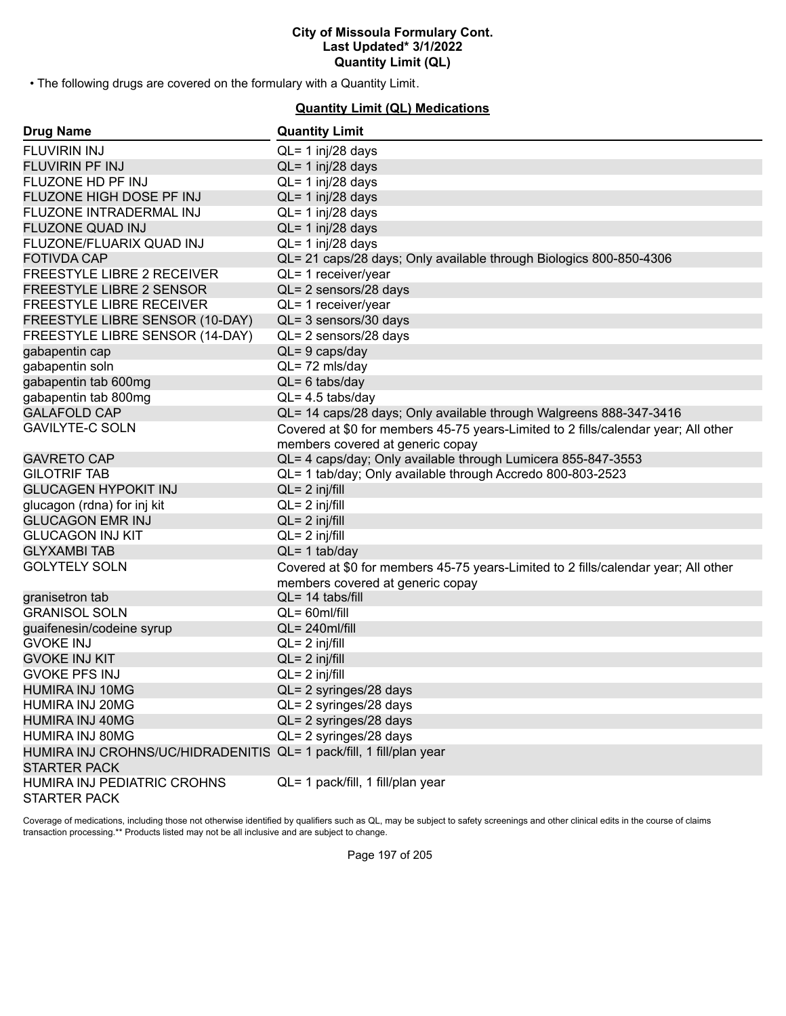• The following drugs are covered on the formulary with a Quantity Limit.

## **Quantity Limit (QL) Medications**

| <b>Drug Name</b>                                                                           | <b>Quantity Limit</b>                                                                                                  |
|--------------------------------------------------------------------------------------------|------------------------------------------------------------------------------------------------------------------------|
| FLUVIRIN INJ                                                                               | $QL = 1$ inj/28 days                                                                                                   |
| FLUVIRIN PF INJ                                                                            | QL= 1 inj/28 days                                                                                                      |
| FLUZONE HD PF INJ                                                                          | $QL = 1$ inj/28 days                                                                                                   |
| FLUZONE HIGH DOSE PF INJ                                                                   | $QL = 1$ inj/28 days                                                                                                   |
| FLUZONE INTRADERMAL INJ                                                                    | $QL = 1$ inj/28 days                                                                                                   |
| FLUZONE QUAD INJ                                                                           | $QL = 1$ inj/28 days                                                                                                   |
| FLUZONE/FLUARIX QUAD INJ                                                                   | $QL = 1$ inj/28 days                                                                                                   |
| <b>FOTIVDA CAP</b>                                                                         | QL= 21 caps/28 days; Only available through Biologics 800-850-4306                                                     |
| FREESTYLE LIBRE 2 RECEIVER                                                                 | QL= 1 receiver/year                                                                                                    |
| <b>FREESTYLE LIBRE 2 SENSOR</b>                                                            | QL= 2 sensors/28 days                                                                                                  |
| FREESTYLE LIBRE RECEIVER                                                                   | QL= 1 receiver/year                                                                                                    |
| FREESTYLE LIBRE SENSOR (10-DAY)                                                            | QL= 3 sensors/30 days                                                                                                  |
| FREESTYLE LIBRE SENSOR (14-DAY)                                                            | QL= 2 sensors/28 days                                                                                                  |
| gabapentin cap                                                                             | QL= 9 caps/day                                                                                                         |
| gabapentin soln                                                                            | QL=72 mls/day                                                                                                          |
| gabapentin tab 600mg                                                                       | $QL = 6$ tabs/day                                                                                                      |
| gabapentin tab 800mg                                                                       | $QL = 4.5$ tabs/day                                                                                                    |
| <b>GALAFOLD CAP</b>                                                                        | QL= 14 caps/28 days; Only available through Walgreens 888-347-3416                                                     |
| <b>GAVILYTE-C SOLN</b>                                                                     | Covered at \$0 for members 45-75 years-Limited to 2 fills/calendar year; All other<br>members covered at generic copay |
| <b>GAVRETO CAP</b>                                                                         | QL= 4 caps/day; Only available through Lumicera 855-847-3553                                                           |
| <b>GILOTRIF TAB</b>                                                                        | QL= 1 tab/day; Only available through Accredo 800-803-2523                                                             |
| <b>GLUCAGEN HYPOKIT INJ</b>                                                                | $QL = 2$ inj/fill                                                                                                      |
| glucagon (rdna) for inj kit                                                                | $QL = 2$ inj/fill                                                                                                      |
| <b>GLUCAGON EMR INJ</b>                                                                    | $QL = 2$ inj/fill                                                                                                      |
| <b>GLUCAGON INJ KIT</b>                                                                    | $QL = 2$ inj/fill                                                                                                      |
| <b>GLYXAMBI TAB</b>                                                                        | $QL = 1$ tab/day                                                                                                       |
| <b>GOLYTELY SOLN</b>                                                                       | Covered at \$0 for members 45-75 years-Limited to 2 fills/calendar year; All other<br>members covered at generic copay |
| granisetron tab                                                                            | $QL = 14$ tabs/fill                                                                                                    |
| <b>GRANISOL SOLN</b>                                                                       | $QL = 60$ ml/fill                                                                                                      |
| guaifenesin/codeine syrup                                                                  | $QL = 240$ ml/fill                                                                                                     |
| <b>GVOKE INJ</b>                                                                           | $QL = 2$ inj/fill                                                                                                      |
| <b>GVOKE INJ KIT</b>                                                                       | $QL = 2$ inj/fill                                                                                                      |
| <b>GVOKE PFS INJ</b>                                                                       | $QL = 2$ inj/fill                                                                                                      |
| <b>HUMIRA INJ 10MG</b>                                                                     | QL= 2 syringes/28 days                                                                                                 |
| HUMIRA INJ 20MG                                                                            | QL= 2 syringes/28 days                                                                                                 |
| <b>HUMIRA INJ 40MG</b>                                                                     | QL= 2 syringes/28 days                                                                                                 |
| HUMIRA INJ 80MG                                                                            | QL= 2 syringes/28 days                                                                                                 |
| HUMIRA INJ CROHNS/UC/HIDRADENITIS QL= 1 pack/fill, 1 fill/plan year<br><b>STARTER PACK</b> |                                                                                                                        |
| HUMIRA INJ PEDIATRIC CROHNS<br><b>STARTER PACK</b>                                         | QL= 1 pack/fill, 1 fill/plan year                                                                                      |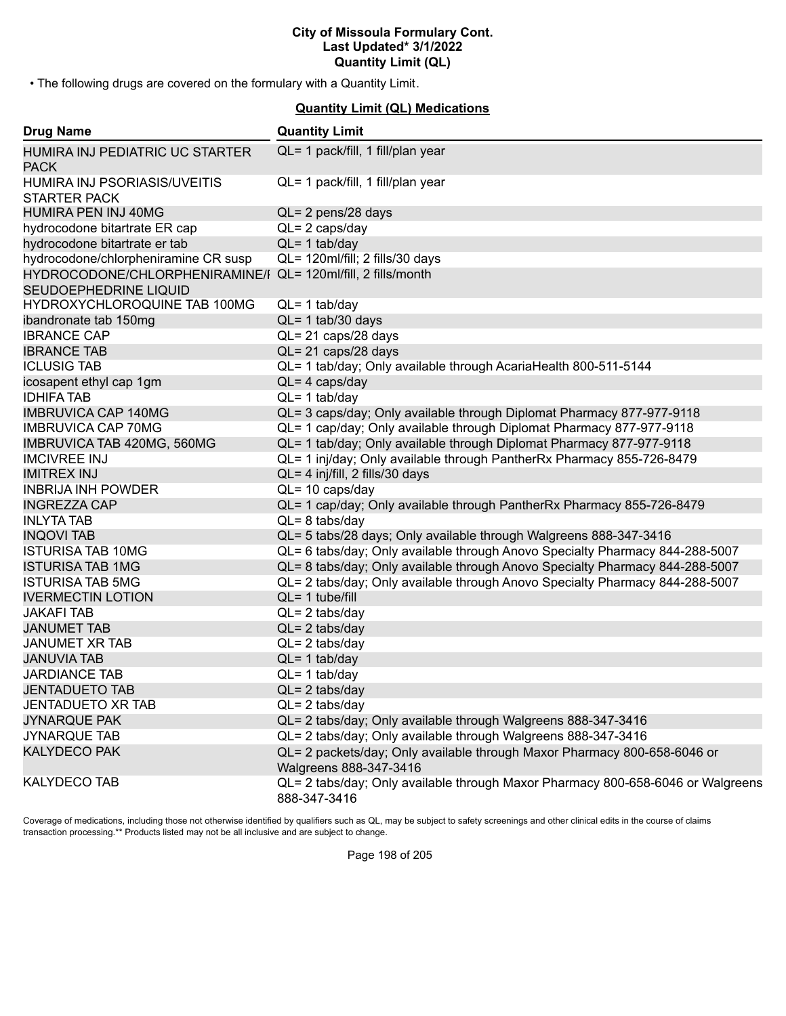• The following drugs are covered on the formulary with a Quantity Limit.

## **Quantity Limit (QL) Medications**

| <b>Drug Name</b>                                        | <b>Quantity Limit</b>                                                                              |
|---------------------------------------------------------|----------------------------------------------------------------------------------------------------|
| HUMIRA INJ PEDIATRIC UC STARTER<br><b>PACK</b>          | QL= 1 pack/fill, 1 fill/plan year                                                                  |
| HUMIRA INJ PSORIASIS/UVEITIS<br><b>STARTER PACK</b>     | QL= 1 pack/fill, 1 fill/plan year                                                                  |
| HUMIRA PEN INJ 40MG                                     | $QL = 2$ pens/28 days                                                                              |
| hydrocodone bitartrate ER cap                           | $QL = 2 \text{ caps/day}$                                                                          |
| hydrocodone bitartrate er tab                           | $QL = 1$ tab/day                                                                                   |
| hydrocodone/chlorpheniramine CR susp                    | QL= 120ml/fill; 2 fills/30 days                                                                    |
| HYDROCODONE/CHLORPHENIRAMINE/I<br>SEUDOEPHEDRINE LIQUID | QL= 120ml/fill, 2 fills/month                                                                      |
| HYDROXYCHLOROQUINE TAB 100MG                            | $QL = 1$ tab/day                                                                                   |
| ibandronate tab 150mg                                   | $QL = 1$ tab/30 days                                                                               |
| <b>IBRANCE CAP</b>                                      | QL= 21 caps/28 days                                                                                |
| <b>IBRANCE TAB</b>                                      | QL= 21 caps/28 days                                                                                |
| <b>ICLUSIG TAB</b>                                      | QL= 1 tab/day; Only available through AcariaHealth 800-511-5144                                    |
| icosapent ethyl cap 1gm                                 | $QL = 4 \text{ caps/day}$                                                                          |
| <b>IDHIFA TAB</b>                                       | $QL = 1$ tab/day                                                                                   |
| <b>IMBRUVICA CAP 140MG</b>                              | QL= 3 caps/day; Only available through Diplomat Pharmacy 877-977-9118                              |
| <b>IMBRUVICA CAP 70MG</b>                               | QL= 1 cap/day; Only available through Diplomat Pharmacy 877-977-9118                               |
| IMBRUVICA TAB 420MG, 560MG                              | QL= 1 tab/day; Only available through Diplomat Pharmacy 877-977-9118                               |
| <b>IMCIVREE INJ</b>                                     | QL= 1 inj/day; Only available through PantherRx Pharmacy 855-726-8479                              |
| <b>IMITREX INJ</b>                                      | QL= 4 inj/fill, 2 fills/30 days                                                                    |
| <b>INBRIJA INH POWDER</b>                               | $QL = 10 \text{ caps/day}$                                                                         |
| <b>INGREZZA CAP</b>                                     | QL= 1 cap/day; Only available through PantherRx Pharmacy 855-726-8479                              |
| <b>INLYTA TAB</b>                                       | $QL = 8$ tabs/day                                                                                  |
| <b>INQOVI TAB</b>                                       | QL= 5 tabs/28 days; Only available through Walgreens 888-347-3416                                  |
| <b>ISTURISA TAB 10MG</b>                                | QL= 6 tabs/day; Only available through Anovo Specialty Pharmacy 844-288-5007                       |
| <b>ISTURISA TAB 1MG</b>                                 | QL= 8 tabs/day; Only available through Anovo Specialty Pharmacy 844-288-5007                       |
| <b>ISTURISA TAB 5MG</b>                                 | QL= 2 tabs/day; Only available through Anovo Specialty Pharmacy 844-288-5007                       |
| <b>IVERMECTIN LOTION</b>                                | $QL = 1$ tube/fill                                                                                 |
| <b>JAKAFI TAB</b>                                       | $QL = 2$ tabs/day                                                                                  |
| <b>JANUMET TAB</b>                                      | $QL = 2$ tabs/day                                                                                  |
| <b>JANUMET XR TAB</b>                                   | $QL = 2$ tabs/day                                                                                  |
| <b>JANUVIA TAB</b>                                      | $QL = 1$ tab/day                                                                                   |
| <b>JARDIANCE TAB</b>                                    | $QL = 1$ tab/day                                                                                   |
| <b>JENTADUETO TAB</b>                                   | $QL = 2$ tabs/day                                                                                  |
| <b>JENTADUETO XR TAB</b>                                | $QL = 2$ tabs/day                                                                                  |
| <b>JYNARQUE PAK</b>                                     | QL= 2 tabs/day; Only available through Walgreens 888-347-3416                                      |
| <b>JYNARQUE TAB</b>                                     | QL= 2 tabs/day; Only available through Walgreens 888-347-3416                                      |
| <b>KALYDECO PAK</b>                                     | QL= 2 packets/day; Only available through Maxor Pharmacy 800-658-6046 or<br>Walgreens 888-347-3416 |
| <b>KALYDECO TAB</b>                                     | QL= 2 tabs/day; Only available through Maxor Pharmacy 800-658-6046 or Walgreens<br>888-347-3416    |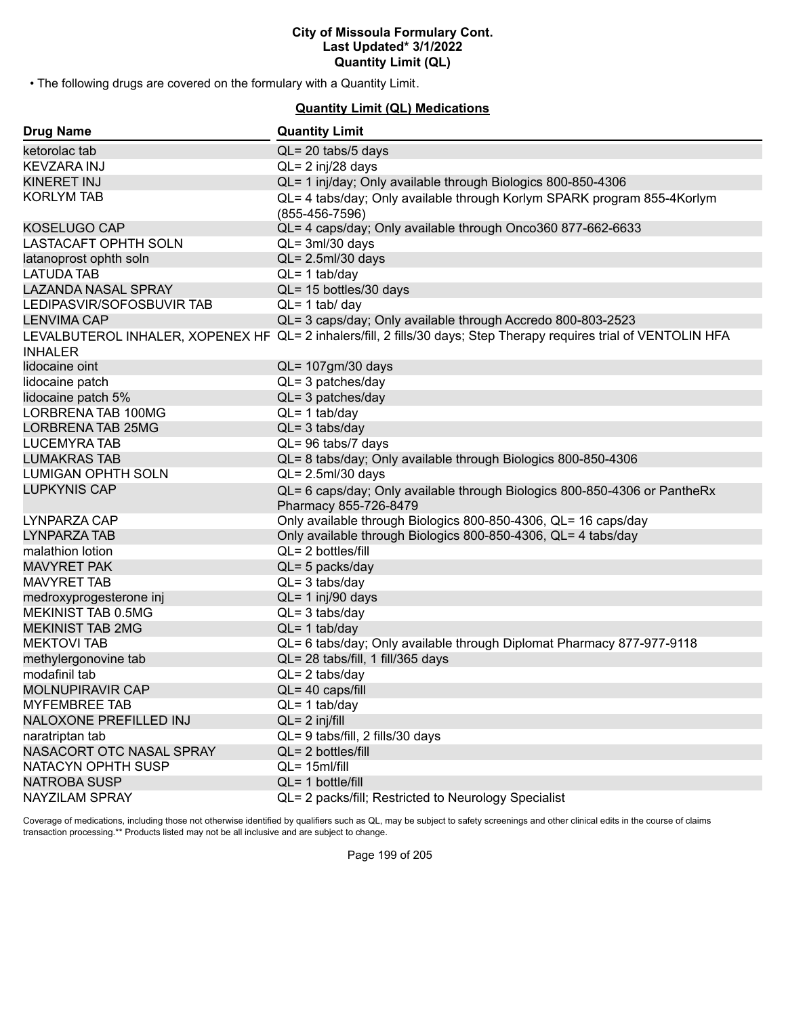• The following drugs are covered on the formulary with a Quantity Limit.

## **Quantity Limit (QL) Medications**

| <b>Drug Name</b>           | <b>Quantity Limit</b>                                                                                              |
|----------------------------|--------------------------------------------------------------------------------------------------------------------|
| ketorolac tab              | QL= 20 tabs/5 days                                                                                                 |
| KEVZARA INJ                | $QL = 2$ inj/28 days                                                                                               |
| <b>KINERET INJ</b>         | QL= 1 inj/day; Only available through Biologics 800-850-4306                                                       |
| <b>KORLYM TAB</b>          | QL= 4 tabs/day; Only available through Korlym SPARK program 855-4Korlym                                            |
|                            | $(855-456-7596)$                                                                                                   |
| KOSELUGO CAP               | QL= 4 caps/day; Only available through Onco360 877-662-6633                                                        |
| LASTACAFT OPHTH SOLN       | $QL = 3ml/30$ days                                                                                                 |
| latanoprost ophth soln     | $QL = 2.5$ ml/30 days                                                                                              |
| <b>LATUDA TAB</b>          | $QL = 1$ tab/day                                                                                                   |
| <b>LAZANDA NASAL SPRAY</b> | QL= 15 bottles/30 days                                                                                             |
| LEDIPASVIR/SOFOSBUVIR TAB  | $QL = 1$ tab/ day                                                                                                  |
| <b>LENVIMA CAP</b>         | QL= 3 caps/day; Only available through Accredo 800-803-2523                                                        |
|                            | LEVALBUTEROL INHALER, XOPENEX HF QL= 2 inhalers/fill, 2 fills/30 days; Step Therapy requires trial of VENTOLIN HFA |
| <b>INHALER</b>             |                                                                                                                    |
| lidocaine oint             | QL= 107gm/30 days                                                                                                  |
| lidocaine patch            | $QL = 3$ patches/day                                                                                               |
| lidocaine patch 5%         | $QL = 3$ patches/day                                                                                               |
| LORBRENA TAB 100MG         | $QL = 1$ tab/day                                                                                                   |
| <b>LORBRENA TAB 25MG</b>   | $QL = 3$ tabs/day                                                                                                  |
| <b>LUCEMYRA TAB</b>        | QL= 96 tabs/7 days                                                                                                 |
| <b>LUMAKRAS TAB</b>        | QL= 8 tabs/day; Only available through Biologics 800-850-4306                                                      |
| <b>LUMIGAN OPHTH SOLN</b>  | $QL = 2.5$ ml/30 days                                                                                              |
| <b>LUPKYNIS CAP</b>        | QL= 6 caps/day; Only available through Biologics 800-850-4306 or PantheRx                                          |
|                            | Pharmacy 855-726-8479                                                                                              |
| LYNPARZA CAP               | Only available through Biologics 800-850-4306, QL= 16 caps/day                                                     |
| LYNPARZA TAB               | Only available through Biologics 800-850-4306, QL= 4 tabs/day                                                      |
| malathion lotion           | QL= 2 bottles/fill                                                                                                 |
| <b>MAVYRET PAK</b>         | $QL = 5$ packs/day                                                                                                 |
| <b>MAVYRET TAB</b>         | $QL = 3$ tabs/day                                                                                                  |
| medroxyprogesterone inj    | QL= 1 inj/90 days                                                                                                  |
| MEKINIST TAB 0.5MG         | $QL = 3$ tabs/day                                                                                                  |
| <b>MEKINIST TAB 2MG</b>    | $QL = 1$ tab/day                                                                                                   |
| <b>MEKTOVI TAB</b>         | QL= 6 tabs/day; Only available through Diplomat Pharmacy 877-977-9118                                              |
| methylergonovine tab       | QL= 28 tabs/fill, 1 fill/365 days                                                                                  |
| modafinil tab              | $QL = 2$ tabs/day                                                                                                  |
| MOLNUPIRAVIR CAP           | $QL = 40 \text{ caps/fill}$                                                                                        |
| <b>MYFEMBREE TAB</b>       | $QL = 1$ tab/day                                                                                                   |
| NALOXONE PREFILLED INJ     | $QL = 2$ inj/fill                                                                                                  |
| naratriptan tab            | QL= 9 tabs/fill, 2 fills/30 days                                                                                   |
| NASACORT OTC NASAL SPRAY   | QL= 2 bottles/fill                                                                                                 |
| NATACYN OPHTH SUSP         | $QL = 15$ ml/fill                                                                                                  |
| <b>NATROBA SUSP</b>        | $QL = 1$ bottle/fill                                                                                               |
| NAYZILAM SPRAY             | QL= 2 packs/fill; Restricted to Neurology Specialist                                                               |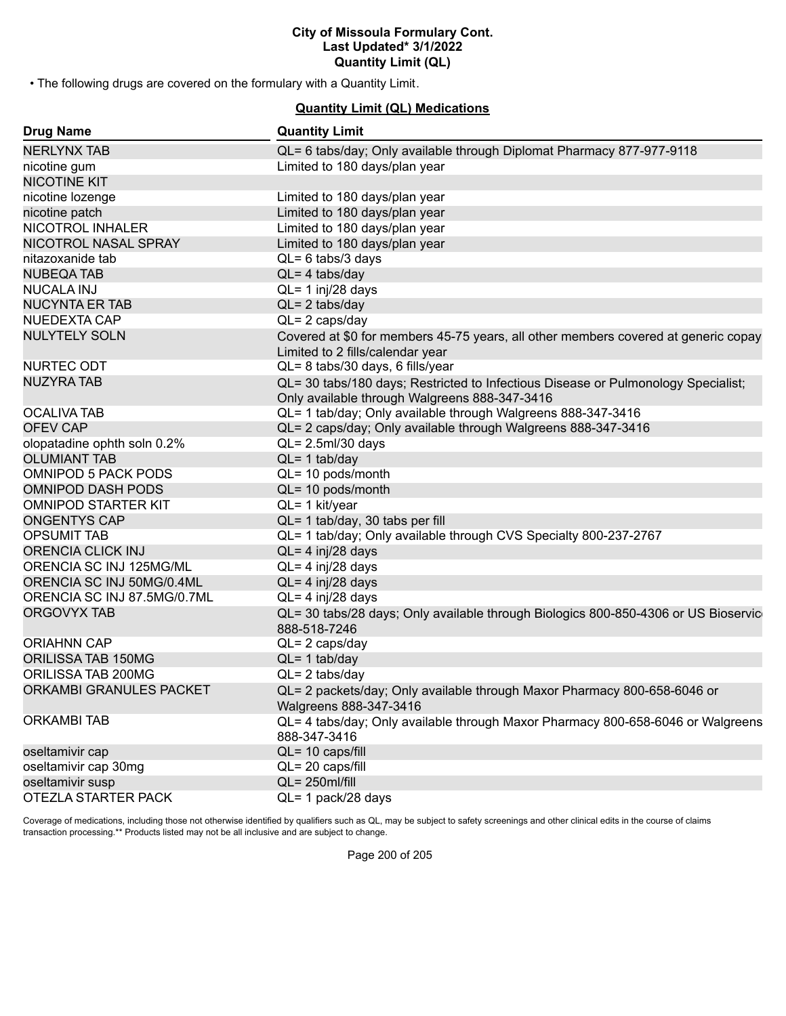• The following drugs are covered on the formulary with a Quantity Limit.

## **Quantity Limit (QL) Medications**

| <b>Drug Name</b>            | <b>Quantity Limit</b>                                                                                                              |
|-----------------------------|------------------------------------------------------------------------------------------------------------------------------------|
| <b>NERLYNX TAB</b>          | QL= 6 tabs/day; Only available through Diplomat Pharmacy 877-977-9118                                                              |
| nicotine gum                | Limited to 180 days/plan year                                                                                                      |
| <b>NICOTINE KIT</b>         |                                                                                                                                    |
| nicotine lozenge            | Limited to 180 days/plan year                                                                                                      |
| nicotine patch              | Limited to 180 days/plan year                                                                                                      |
| NICOTROL INHALER            | Limited to 180 days/plan year                                                                                                      |
| NICOTROL NASAL SPRAY        | Limited to 180 days/plan year                                                                                                      |
| nitazoxanide tab            | $QL = 6$ tabs/3 days                                                                                                               |
| <b>NUBEQA TAB</b>           | $QL = 4$ tabs/day                                                                                                                  |
| <b>NUCALA INJ</b>           | $QL = 1$ inj/28 days                                                                                                               |
| <b>NUCYNTA ER TAB</b>       | $QL = 2$ tabs/day                                                                                                                  |
| NUEDEXTA CAP                | $QL = 2 \text{ caps/day}$                                                                                                          |
| <b>NULYTELY SOLN</b>        | Covered at \$0 for members 45-75 years, all other members covered at generic copay<br>Limited to 2 fills/calendar year             |
| NURTEC ODT                  | QL= 8 tabs/30 days, 6 fills/year                                                                                                   |
| <b>NUZYRA TAB</b>           | QL= 30 tabs/180 days; Restricted to Infectious Disease or Pulmonology Specialist;<br>Only available through Walgreens 888-347-3416 |
| <b>OCALIVA TAB</b>          | QL= 1 tab/day; Only available through Walgreens 888-347-3416                                                                       |
| <b>OFEV CAP</b>             | QL= 2 caps/day; Only available through Walgreens 888-347-3416                                                                      |
| olopatadine ophth soln 0.2% | $QL = 2.5$ ml/30 days                                                                                                              |
| <b>OLUMIANT TAB</b>         | $QL = 1$ tab/day                                                                                                                   |
| <b>OMNIPOD 5 PACK PODS</b>  | QL= 10 pods/month                                                                                                                  |
| <b>OMNIPOD DASH PODS</b>    | QL= 10 pods/month                                                                                                                  |
| <b>OMNIPOD STARTER KIT</b>  | QL= 1 kit/year                                                                                                                     |
| <b>ONGENTYS CAP</b>         | QL= 1 tab/day, 30 tabs per fill                                                                                                    |
| <b>OPSUMIT TAB</b>          | QL= 1 tab/day; Only available through CVS Specialty 800-237-2767                                                                   |
| ORENCIA CLICK INJ           | QL= 4 inj/28 days                                                                                                                  |
| ORENCIA SC INJ 125MG/ML     | $QL = 4$ inj/28 days                                                                                                               |
| ORENCIA SC INJ 50MG/0.4ML   | $QL = 4$ inj/28 days                                                                                                               |
| ORENCIA SC INJ 87.5MG/0.7ML | $QL = 4$ inj/28 days                                                                                                               |
| <b>ORGOVYX TAB</b>          | QL= 30 tabs/28 days; Only available through Biologics 800-850-4306 or US Bioservic<br>888-518-7246                                 |
| <b>ORIAHNN CAP</b>          | $QL = 2 \text{ caps/day}$                                                                                                          |
| ORILISSA TAB 150MG          | $QL = 1$ tab/day                                                                                                                   |
| ORILISSA TAB 200MG          | $QL = 2$ tabs/day                                                                                                                  |
| ORKAMBI GRANULES PACKET     | QL= 2 packets/day; Only available through Maxor Pharmacy 800-658-6046 or<br>Walgreens 888-347-3416                                 |
| <b>ORKAMBI TAB</b>          | QL= 4 tabs/day; Only available through Maxor Pharmacy 800-658-6046 or Walgreens<br>888-347-3416                                    |
| oseltamivir cap             | QL= 10 caps/fill                                                                                                                   |
| oseltamivir cap 30mg        | QL= 20 caps/fill                                                                                                                   |
| oseltamivir susp            | $QL = 250$ ml/fill                                                                                                                 |
| OTEZLA STARTER PACK         | QL= 1 pack/28 days                                                                                                                 |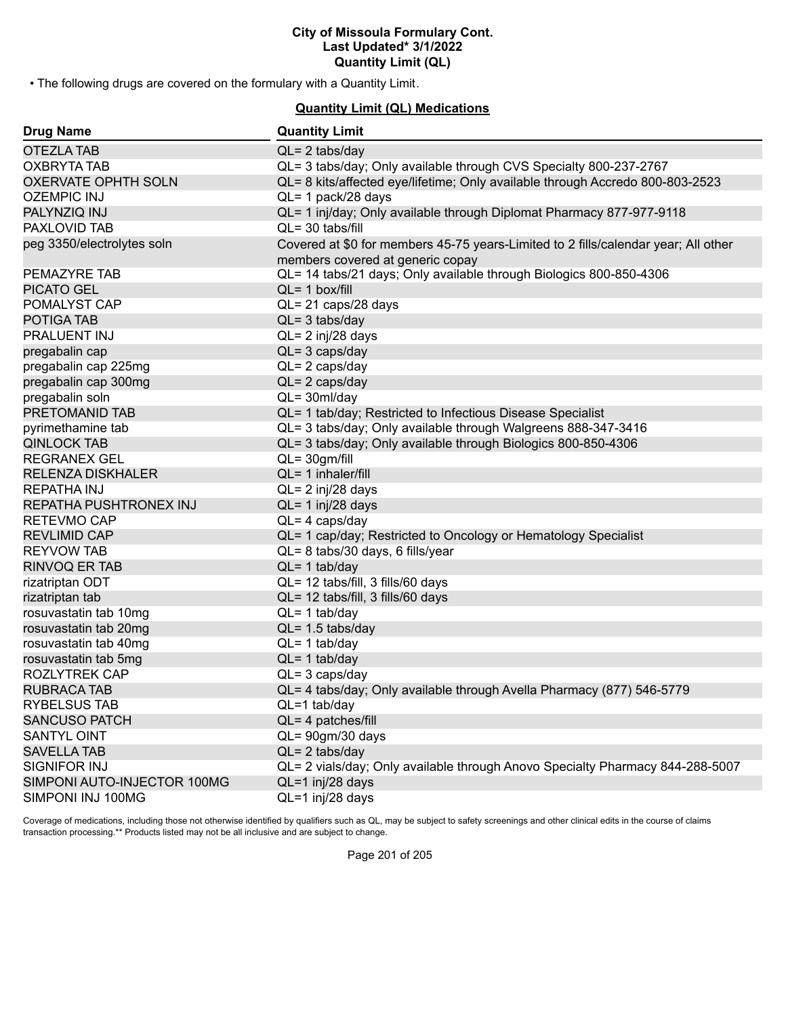• The following drugs are covered on the formulary with a Quantity Limit.

## **Quantity Limit (QL) Medications**

| <b>Drug Name</b>            | <b>Quantity Limit</b>                                                                                                  |
|-----------------------------|------------------------------------------------------------------------------------------------------------------------|
| <b>OTEZLA TAB</b>           | $QL = 2$ tabs/day                                                                                                      |
| <b>OXBRYTA TAB</b>          | QL= 3 tabs/day; Only available through CVS Specialty 800-237-2767                                                      |
| <b>OXERVATE OPHTH SOLN</b>  | QL= 8 kits/affected eye/lifetime; Only available through Accredo 800-803-2523                                          |
| <b>OZEMPIC INJ</b>          | QL= 1 pack/28 days                                                                                                     |
| PALYNZIQ INJ                | QL= 1 inj/day; Only available through Diplomat Pharmacy 877-977-9118                                                   |
| PAXLOVID TAB                | $QL = 30$ tabs/fill                                                                                                    |
| peg 3350/electrolytes soln  | Covered at \$0 for members 45-75 years-Limited to 2 fills/calendar year; All other<br>members covered at generic copay |
| PEMAZYRE TAB                | QL= 14 tabs/21 days; Only available through Biologics 800-850-4306                                                     |
| <b>PICATO GEL</b>           | $QL = 1$ box/fill                                                                                                      |
| POMALYST CAP                | QL= 21 caps/28 days                                                                                                    |
| POTIGA TAB                  | $QL = 3$ tabs/day                                                                                                      |
| PRALUENT INJ                | QL= 2 inj/28 days                                                                                                      |
| pregabalin cap              | $QL = 3 \text{ caps/day}$                                                                                              |
| pregabalin cap 225mg        | $QL = 2 \text{ caps/day}$                                                                                              |
| pregabalin cap 300mg        | $QL = 2 \text{ caps/day}$                                                                                              |
| pregabalin soln             | $QL = 30ml/day$                                                                                                        |
| PRETOMANID TAB              | QL= 1 tab/day; Restricted to Infectious Disease Specialist                                                             |
| pyrimethamine tab           | QL= 3 tabs/day; Only available through Walgreens 888-347-3416                                                          |
| <b>QINLOCK TAB</b>          | QL= 3 tabs/day; Only available through Biologics 800-850-4306                                                          |
| <b>REGRANEX GEL</b>         | $QL = 30gm/fill$                                                                                                       |
| <b>RELENZA DISKHALER</b>    | QL= 1 inhaler/fill                                                                                                     |
| <b>REPATHA INJ</b>          | QL= 2 inj/28 days                                                                                                      |
| REPATHA PUSHTRONEX INJ      | $QL = 1$ inj/28 days                                                                                                   |
| <b>RETEVMO CAP</b>          | $QL = 4 \text{ caps/day}$                                                                                              |
| <b>REVLIMID CAP</b>         | QL= 1 cap/day; Restricted to Oncology or Hematology Specialist                                                         |
| <b>REYVOW TAB</b>           | QL= 8 tabs/30 days, 6 fills/year                                                                                       |
| <b>RINVOQ ER TAB</b>        | $QL = 1$ tab/day                                                                                                       |
| rizatriptan ODT             | QL= 12 tabs/fill, 3 fills/60 days                                                                                      |
| rizatriptan tab             | QL= 12 tabs/fill, 3 fills/60 days                                                                                      |
| rosuvastatin tab 10mg       | $QL = 1$ tab/day                                                                                                       |
| rosuvastatin tab 20mg       | $QL = 1.5$ tabs/day                                                                                                    |
| rosuvastatin tab 40mg       | $QL = 1$ tab/day                                                                                                       |
| rosuvastatin tab 5mg        | $QL = 1$ tab/day                                                                                                       |
| <b>ROZLYTREK CAP</b>        | $QL = 3 \text{ caps/day}$                                                                                              |
| RUBRACA TAB                 | QL= 4 tabs/day; Only available through Avella Pharmacy (877) 546-5779                                                  |
| <b>RYBELSUS TAB</b>         | $QL=1$ tab/day                                                                                                         |
| <b>SANCUSO PATCH</b>        | QL= 4 patches/fill                                                                                                     |
| SANTYL OINT                 | $QL = 90gm/30 days$                                                                                                    |
| <b>SAVELLA TAB</b>          | $QL = 2$ tabs/day                                                                                                      |
| SIGNIFOR INJ                | QL= 2 vials/day; Only available through Anovo Specialty Pharmacy 844-288-5007                                          |
| SIMPONI AUTO-INJECTOR 100MG | QL=1 inj/28 days                                                                                                       |
| SIMPONI INJ 100MG           | QL=1 inj/28 days                                                                                                       |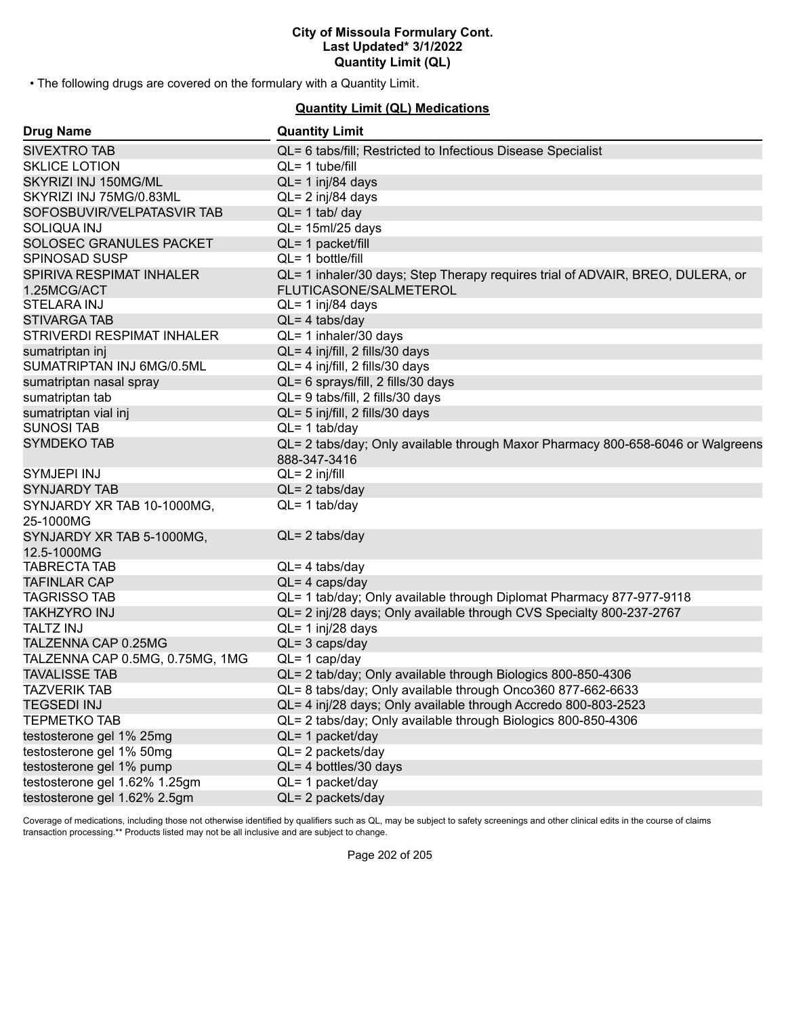• The following drugs are covered on the formulary with a Quantity Limit.

## **Quantity Limit (QL) Medications**

| <b>Drug Name</b>                | <b>Quantity Limit</b>                                                                           |
|---------------------------------|-------------------------------------------------------------------------------------------------|
| <b>SIVEXTRO TAB</b>             | QL= 6 tabs/fill; Restricted to Infectious Disease Specialist                                    |
| <b>SKLICE LOTION</b>            | $QL = 1$ tube/fill                                                                              |
| SKYRIZI INJ 150MG/ML            | QL= 1 inj/84 days                                                                               |
| SKYRIZI INJ 75MG/0.83ML         | QL= 2 inj/84 days                                                                               |
| SOFOSBUVIR/VELPATASVIR TAB      | $QL = 1$ tab/ day                                                                               |
| <b>SOLIQUA INJ</b>              | $QL = 15ml/25 days$                                                                             |
| SOLOSEC GRANULES PACKET         | QL= 1 packet/fill                                                                               |
| SPINOSAD SUSP                   | $QL = 1$ bottle/fill                                                                            |
| SPIRIVA RESPIMAT INHALER        | QL= 1 inhaler/30 days; Step Therapy requires trial of ADVAIR, BREO, DULERA, or                  |
| 1.25MCG/ACT                     | FLUTICASONE/SALMETEROL                                                                          |
| <b>STELARA INJ</b>              | QL= 1 inj/84 days                                                                               |
| <b>STIVARGA TAB</b>             | $QL = 4$ tabs/day                                                                               |
| STRIVERDI RESPIMAT INHALER      | QL= 1 inhaler/30 days                                                                           |
| sumatriptan inj                 | QL= 4 inj/fill, 2 fills/30 days                                                                 |
| SUMATRIPTAN INJ 6MG/0.5ML       | QL= 4 inj/fill, 2 fills/30 days                                                                 |
| sumatriptan nasal spray         | QL= 6 sprays/fill, 2 fills/30 days                                                              |
| sumatriptan tab                 | QL= 9 tabs/fill, 2 fills/30 days                                                                |
| sumatriptan vial inj            | QL= 5 inj/fill, 2 fills/30 days                                                                 |
| <b>SUNOSI TAB</b>               | $QL = 1$ tab/day                                                                                |
| <b>SYMDEKO TAB</b>              | QL= 2 tabs/day; Only available through Maxor Pharmacy 800-658-6046 or Walgreens<br>888-347-3416 |
| SYMJEPI INJ                     | $QL = 2$ inj/fill                                                                               |
| <b>SYNJARDY TAB</b>             | $QL = 2$ tabs/day                                                                               |
| SYNJARDY XR TAB 10-1000MG,      | $QL = 1$ tab/day                                                                                |
| 25-1000MG                       |                                                                                                 |
| SYNJARDY XR TAB 5-1000MG,       | $QL = 2$ tabs/day                                                                               |
| 12.5-1000MG                     |                                                                                                 |
| <b>TABRECTA TAB</b>             | $QL = 4$ tabs/day                                                                               |
| <b>TAFINLAR CAP</b>             | $QL = 4 \text{ caps/day}$                                                                       |
| <b>TAGRISSO TAB</b>             | QL= 1 tab/day; Only available through Diplomat Pharmacy 877-977-9118                            |
| <b>TAKHZYRO INJ</b>             | QL= 2 inj/28 days; Only available through CVS Specialty 800-237-2767                            |
| <b>TALTZ INJ</b>                | $QL = 1$ inj/28 days                                                                            |
| TALZENNA CAP 0.25MG             | $QL = 3 \text{ caps/day}$                                                                       |
| TALZENNA CAP 0.5MG, 0.75MG, 1MG | $QL = 1$ cap/day                                                                                |
| <b>TAVALISSE TAB</b>            | QL= 2 tab/day; Only available through Biologics 800-850-4306                                    |
| <b>TAZVERIK TAB</b>             | QL= 8 tabs/day; Only available through Onco360 877-662-6633                                     |
| <b>TEGSEDI INJ</b>              | QL= 4 inj/28 days; Only available through Accredo 800-803-2523                                  |
| <b>TEPMETKO TAB</b>             | QL= 2 tabs/day; Only available through Biologics 800-850-4306                                   |
| testosterone gel 1% 25mg        | QL= 1 packet/day                                                                                |
| testosterone gel 1% 50mg        | QL= 2 packets/day                                                                               |
| testosterone gel 1% pump        | QL= 4 bottles/30 days                                                                           |
| testosterone gel 1.62% 1.25gm   | QL= 1 packet/day                                                                                |
| testosterone gel 1.62% 2.5gm    | $QL = 2$ packets/day                                                                            |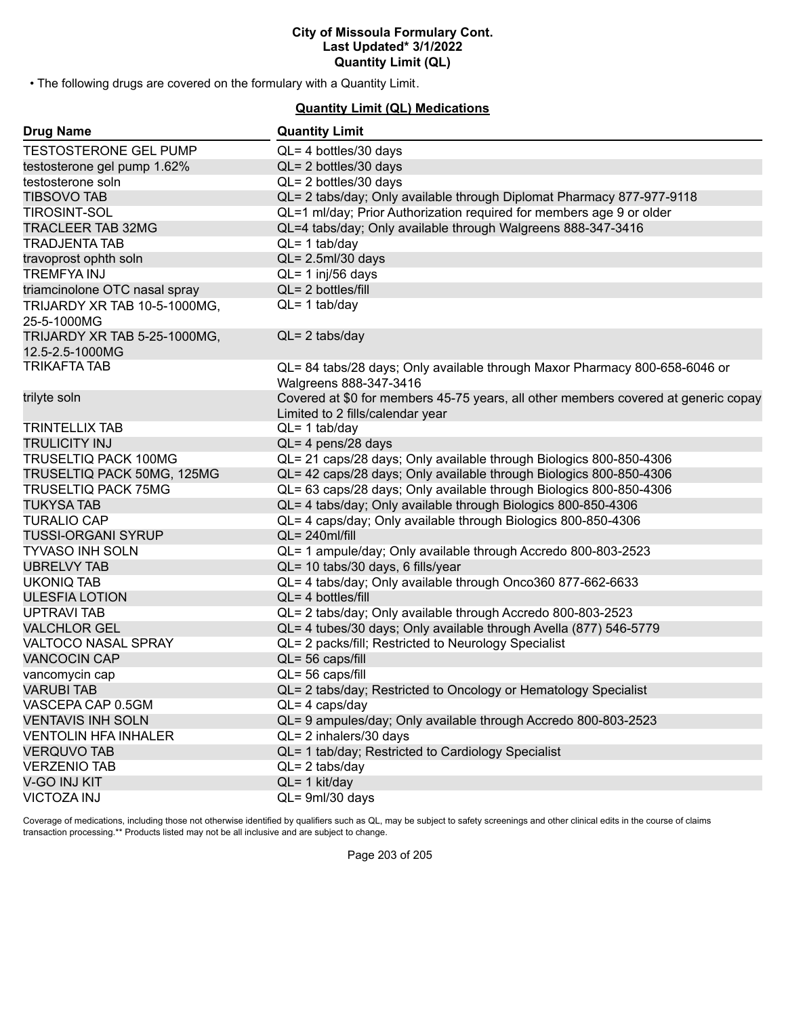• The following drugs are covered on the formulary with a Quantity Limit.

## **Quantity Limit (QL) Medications**

| <b>Drug Name</b>                                | <b>Quantity Limit</b>                                                                                                  |
|-------------------------------------------------|------------------------------------------------------------------------------------------------------------------------|
| <b>TESTOSTERONE GEL PUMP</b>                    | $QL = 4$ bottles/30 days                                                                                               |
| testosterone gel pump 1.62%                     | QL= 2 bottles/30 days                                                                                                  |
| testosterone soln                               | $QL = 2$ bottles/30 days                                                                                               |
| <b>TIBSOVO TAB</b>                              | QL= 2 tabs/day; Only available through Diplomat Pharmacy 877-977-9118                                                  |
| <b>TIROSINT-SOL</b>                             | QL=1 ml/day; Prior Authorization required for members age 9 or older                                                   |
| <b>TRACLEER TAB 32MG</b>                        | QL=4 tabs/day; Only available through Walgreens 888-347-3416                                                           |
| <b>TRADJENTA TAB</b>                            | $QL = 1$ tab/day                                                                                                       |
| travoprost ophth soln                           | $QL = 2.5$ ml/30 days                                                                                                  |
| <b>TREMFYAINJ</b>                               | $QL = 1$ inj/56 days                                                                                                   |
| triamcinolone OTC nasal spray                   | QL= 2 bottles/fill                                                                                                     |
| TRIJARDY XR TAB 10-5-1000MG,<br>25-5-1000MG     | $QL = 1$ tab/day                                                                                                       |
|                                                 | $QL = 2$ tabs/day                                                                                                      |
| TRIJARDY XR TAB 5-25-1000MG,<br>12.5-2.5-1000MG |                                                                                                                        |
| <b>TRIKAFTA TAB</b>                             | QL= 84 tabs/28 days; Only available through Maxor Pharmacy 800-658-6046 or<br>Walgreens 888-347-3416                   |
| trilyte soln                                    | Covered at \$0 for members 45-75 years, all other members covered at generic copay<br>Limited to 2 fills/calendar year |
| <b>TRINTELLIX TAB</b>                           | $QL = 1$ tab/day                                                                                                       |
| <b>TRULICITY INJ</b>                            | QL= 4 pens/28 days                                                                                                     |
| <b>TRUSELTIQ PACK 100MG</b>                     | QL= 21 caps/28 days; Only available through Biologics 800-850-4306                                                     |
| TRUSELTIQ PACK 50MG, 125MG                      | QL= 42 caps/28 days; Only available through Biologics 800-850-4306                                                     |
| <b>TRUSELTIQ PACK 75MG</b>                      | QL= 63 caps/28 days; Only available through Biologics 800-850-4306                                                     |
| <b>TUKYSA TAB</b>                               | QL= 4 tabs/day; Only available through Biologics 800-850-4306                                                          |
| <b>TURALIO CAP</b>                              | QL= 4 caps/day; Only available through Biologics 800-850-4306                                                          |
| <b>TUSSI-ORGANI SYRUP</b>                       | $QL = 240$ ml/fill                                                                                                     |
| <b>TYVASO INH SOLN</b>                          | QL= 1 ampule/day; Only available through Accredo 800-803-2523                                                          |
| <b>UBRELVY TAB</b>                              | QL= 10 tabs/30 days, 6 fills/year                                                                                      |
| <b>UKONIQ TAB</b>                               | QL= 4 tabs/day; Only available through Onco360 877-662-6633                                                            |
| <b>ULESFIA LOTION</b>                           | $QL = 4$ bottles/fill                                                                                                  |
| <b>UPTRAVI TAB</b>                              | QL= 2 tabs/day; Only available through Accredo 800-803-2523                                                            |
| <b>VALCHLOR GEL</b>                             | QL= 4 tubes/30 days; Only available through Avella (877) 546-5779                                                      |
| VALTOCO NASAL SPRAY                             | QL= 2 packs/fill; Restricted to Neurology Specialist                                                                   |
| <b>VANCOCIN CAP</b>                             | $QL = 56 \text{ caps/fill}$                                                                                            |
| vancomycin cap                                  | $QL = 56$ caps/fill                                                                                                    |
| <b>VARUBI TAB</b>                               | QL= 2 tabs/day; Restricted to Oncology or Hematology Specialist                                                        |
| VASCEPA CAP 0.5GM                               | $QL = 4 \text{ caps/day}$                                                                                              |
| <b>VENTAVIS INH SOLN</b>                        | QL= 9 ampules/day; Only available through Accredo 800-803-2523                                                         |
| <b>VENTOLIN HFA INHALER</b>                     | $QL = 2$ inhalers/30 days                                                                                              |
| <b>VERQUVO TAB</b>                              | QL= 1 tab/day; Restricted to Cardiology Specialist                                                                     |
| <b>VERZENIO TAB</b>                             | $QL = 2$ tabs/day                                                                                                      |
| V-GO INJ KIT                                    | $QL = 1$ kit/day                                                                                                       |
| <b>VICTOZA INJ</b>                              | QL= 9ml/30 days                                                                                                        |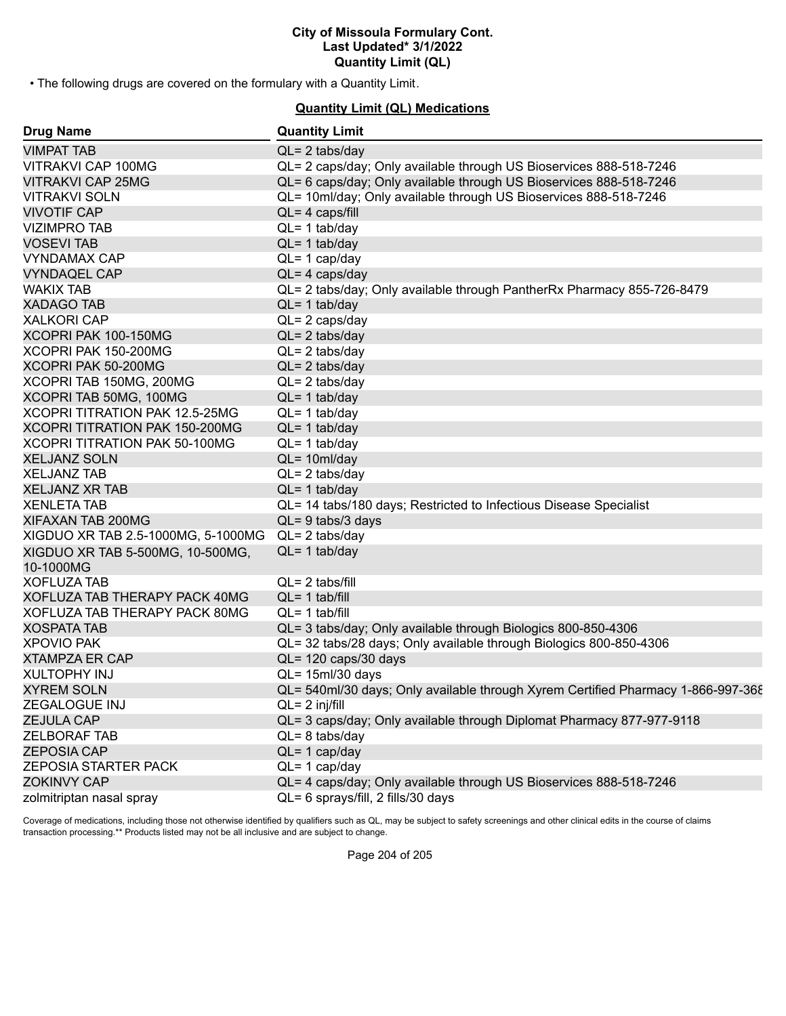• The following drugs are covered on the formulary with a Quantity Limit.

## **Quantity Limit (QL) Medications**

| <b>Drug Name</b>                   | <b>Quantity Limit</b>                                                            |
|------------------------------------|----------------------------------------------------------------------------------|
| <b>VIMPAT TAB</b>                  | $QL = 2$ tabs/day                                                                |
| VITRAKVI CAP 100MG                 | QL= 2 caps/day; Only available through US Bioservices 888-518-7246               |
| <b>VITRAKVI CAP 25MG</b>           | QL= 6 caps/day; Only available through US Bioservices 888-518-7246               |
| <b>VITRAKVI SOLN</b>               | QL= 10ml/day; Only available through US Bioservices 888-518-7246                 |
| <b>VIVOTIF CAP</b>                 | $QL = 4 \text{ caps/fill}$                                                       |
| <b>VIZIMPRO TAB</b>                | $QL = 1$ tab/day                                                                 |
| <b>VOSEVI TAB</b>                  | $QL = 1$ tab/day                                                                 |
| <b>VYNDAMAX CAP</b>                | $QL = 1$ cap/day                                                                 |
| <b>VYNDAQEL CAP</b>                | $QL = 4 \text{ caps/day}$                                                        |
| <b>WAKIX TAB</b>                   | QL= 2 tabs/day; Only available through PantherRx Pharmacy 855-726-8479           |
| <b>XADAGO TAB</b>                  | $QL = 1$ tab/day                                                                 |
| <b>XALKORI CAP</b>                 | $QL = 2 \text{ caps/day}$                                                        |
| XCOPRI PAK 100-150MG               | $QL = 2$ tabs/day                                                                |
| XCOPRI PAK 150-200MG               | $QL = 2$ tabs/day                                                                |
| XCOPRI PAK 50-200MG                | $QL = 2$ tabs/day                                                                |
| XCOPRI TAB 150MG, 200MG            | $QL = 2$ tabs/day                                                                |
| XCOPRI TAB 50MG, 100MG             | $QL = 1$ tab/day                                                                 |
| XCOPRI TITRATION PAK 12.5-25MG     | $QL = 1$ tab/day                                                                 |
| XCOPRI TITRATION PAK 150-200MG     | $QL = 1$ tab/day                                                                 |
| XCOPRI TITRATION PAK 50-100MG      | $QL = 1$ tab/day                                                                 |
| <b>XELJANZ SOLN</b>                | $QL = 10ml/day$                                                                  |
| <b>XELJANZ TAB</b>                 | $QL = 2$ tabs/day                                                                |
| <b>XELJANZ XR TAB</b>              | $QL = 1$ tab/day                                                                 |
| <b>XENLETA TAB</b>                 | QL= 14 tabs/180 days; Restricted to Infectious Disease Specialist                |
| XIFAXAN TAB 200MG                  | $QL = 9$ tabs/3 days                                                             |
| XIGDUO XR TAB 2.5-1000MG, 5-1000MG | $QL = 2$ tabs/day                                                                |
| XIGDUO XR TAB 5-500MG, 10-500MG,   | $QL = 1$ tab/day                                                                 |
| 10-1000MG                          |                                                                                  |
| <b>XOFLUZA TAB</b>                 | $QL = 2$ tabs/fill                                                               |
| XOFLUZA TAB THERAPY PACK 40MG      | $QL = 1$ tab/fill                                                                |
| XOFLUZA TAB THERAPY PACK 80MG      | $QL = 1$ tab/fill                                                                |
| <b>XOSPATA TAB</b>                 | QL= 3 tabs/day; Only available through Biologics 800-850-4306                    |
| <b>XPOVIO PAK</b>                  | QL= 32 tabs/28 days; Only available through Biologics 800-850-4306               |
| <b>XTAMPZA ER CAP</b>              | QL= 120 caps/30 days                                                             |
| <b>XULTOPHY INJ</b>                | $QL = 15ml/30$ days                                                              |
| <b>XYREM SOLN</b>                  | QL= 540ml/30 days; Only available through Xyrem Certified Pharmacy 1-866-997-368 |
| ZEGALOGUE INJ                      | $QL = 2$ inj/fill                                                                |
| <b>ZEJULA CAP</b>                  | QL= 3 caps/day; Only available through Diplomat Pharmacy 877-977-9118            |
| <b>ZELBORAF TAB</b>                | $QL = 8$ tabs/day                                                                |
| <b>ZEPOSIA CAP</b>                 | $QL = 1$ cap/day                                                                 |
| ZEPOSIA STARTER PACK               | $QL = 1$ cap/day                                                                 |
| <b>ZOKINVY CAP</b>                 | QL= 4 caps/day; Only available through US Bioservices 888-518-7246               |
| zolmitriptan nasal spray           | QL= 6 sprays/fill, 2 fills/30 days                                               |